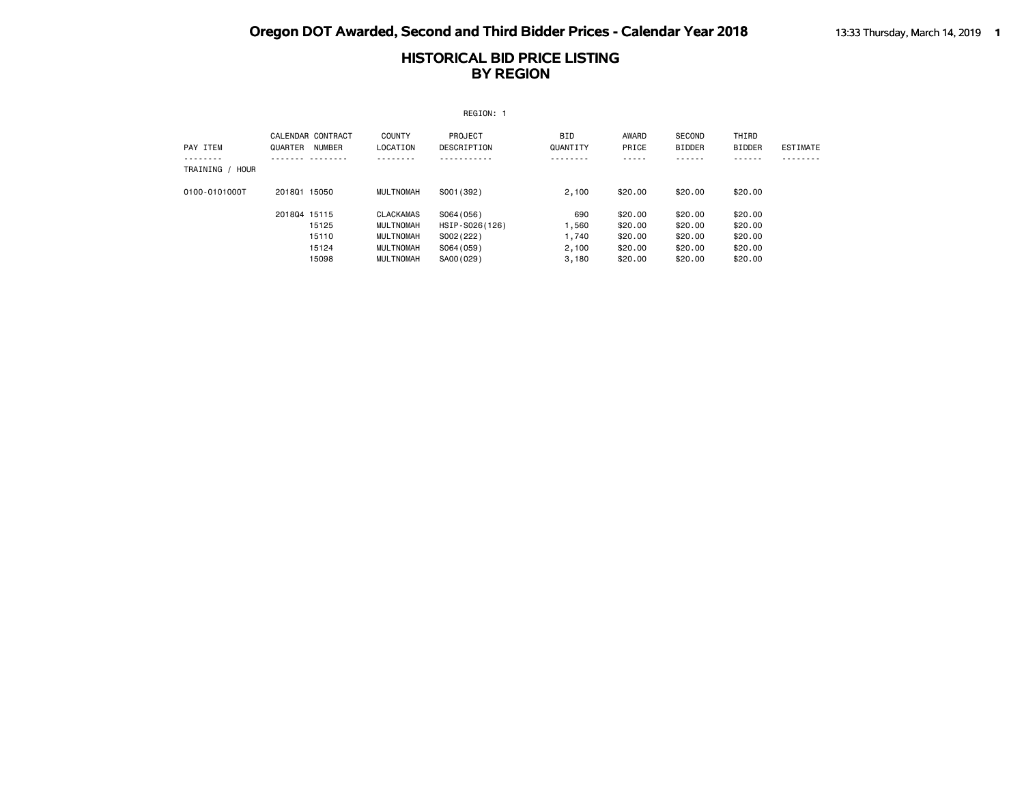|                    |                                               |                               | REGION: 1                    |                        |                    |                                |                        |                 |
|--------------------|-----------------------------------------------|-------------------------------|------------------------------|------------------------|--------------------|--------------------------------|------------------------|-----------------|
| PAY ITEM           | CALENDAR CONTRACT<br>QUARTER<br><b>NUMBER</b> | <b>COUNTY</b><br>LOCATION     | PROJECT<br>DESCRIPTION       | <b>BID</b><br>QUANTITY | AWARD<br>PRICE     | <b>SECOND</b><br><b>BIDDER</b> | THIRD<br><b>BIDDER</b> | <b>ESTIMATE</b> |
| TRAINING /<br>HOUR |                                               |                               |                              |                        | $- - -$            |                                | . <b>.</b> .           |                 |
| 0100-0101000T      | 201801 15050                                  | MULTNOMAH                     | S001 (392)                   | 2,100                  | \$20,00            | \$20,00                        | \$20,00                |                 |
|                    | 201804 15115<br>15125                         | <b>CLACKAMAS</b><br>MULTNOMAH | S064 (056)<br>HSIP-S026(126) | 690<br>1,560           | \$20,00<br>\$20,00 | \$20.00<br>\$20,00             | \$20,00<br>\$20,00     |                 |
|                    | 15110<br>15124                                | MULTNOMAH<br>MULTNOMAH        | S002(222)<br>S064 (059)      | 1,740<br>2,100         | \$20,00<br>\$20,00 | \$20,00<br>\$20,00             | \$20.00<br>\$20,00     |                 |
|                    | 15098                                         | MULTNOMAH                     | SA00(029)                    | 3,180                  | \$20,00            | \$20,00                        | \$20,00                |                 |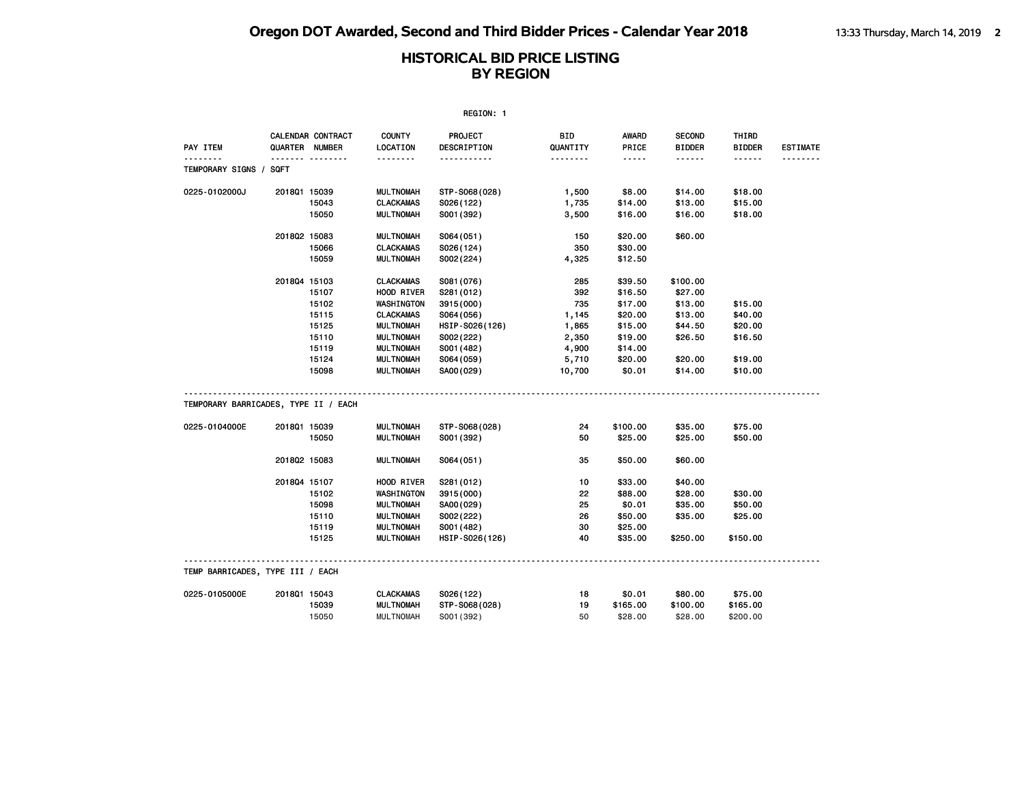| REGION: 1                            |                |                   |                           |                                      |                        |                       |                                |                        |                 |
|--------------------------------------|----------------|-------------------|---------------------------|--------------------------------------|------------------------|-----------------------|--------------------------------|------------------------|-----------------|
| PAY ITEM                             | QUARTER NUMBER | CALENDAR CONTRACT | <b>COUNTY</b><br>LOCATION | <b>PROJECT</b><br><b>DESCRIPTION</b> | <b>BID</b><br>QUANTITY | <b>AWARD</b><br>PRICE | <b>SECOND</b><br><b>BIDDER</b> | THIRD<br><b>BIDDER</b> | <b>ESTIMATE</b> |
| TEMPORARY SIGNS /                    | SQFT           | .                 | .                         | . <b>.</b> .                         | .                      | -----                 | ------                         | ------                 |                 |
| 0225-0102000J                        | 201801 15039   |                   | <b>MULTNOMAH</b>          | STP-S068(028)                        | 1,500                  | \$8.00                | \$14.00                        | \$18.00                |                 |
|                                      |                | 15043             | <b>CLACKAMAS</b>          | S026(122)                            | 1,735                  | \$14.00               | \$13.00                        | \$15.00                |                 |
|                                      |                | 15050             | <b>MULTNOMAH</b>          | S001 (392)                           | 3,500                  | \$16.00               | \$16.00                        | \$18.00                |                 |
|                                      | 2018Q2 15083   |                   | <b>MULTNOMAH</b>          | S064(051)                            | 150                    | \$20.00               | \$60.00                        |                        |                 |
|                                      |                | 15066             | <b>CLACKAMAS</b>          | S026(124)                            | 350                    | \$30.00               |                                |                        |                 |
|                                      |                | 15059             | <b>MULTNOMAH</b>          | S002(224)                            | 4,325                  | \$12.50               |                                |                        |                 |
|                                      | 201804 15103   |                   | <b>CLACKAMAS</b>          | S081 (076)                           | 285                    | \$39.50               | \$100.00                       |                        |                 |
|                                      |                | 15107             | HOOD RIVER                | S281 (012)                           | 392                    | \$16.50               | \$27.00                        |                        |                 |
|                                      |                | 15102             | WASHINGTON                | 3915 (000)                           | 735                    | \$17.00               | \$13.00                        | \$15.00                |                 |
|                                      |                | 15115             | <b>CLACKAMAS</b>          | S064 (056)                           | 1,145                  | \$20.00               | \$13.00                        | \$40.00                |                 |
|                                      |                | 15125             | <b>MULTNOMAH</b>          | HSIP-S026(126)                       | 1,865                  | \$15.00               | \$44.50                        | \$20.00                |                 |
|                                      |                | 15110             | <b>MULTNOMAH</b>          | S002(222)                            | 2,350                  | \$19.00               | \$26.50                        | \$16.50                |                 |
|                                      |                | 15119             | <b>MULTNOMAH</b>          | S001 (482)                           | 4,900                  | \$14.00               |                                |                        |                 |
|                                      |                | 15124             | <b>MULTNOMAH</b>          | S064 (059)                           | 5,710                  | \$20.00               | \$20.00                        | \$19.00                |                 |
|                                      |                | 15098             | <b>MULTNOMAH</b>          | SA00(029)                            | 10,700                 | \$0.01                | \$14.00                        | \$10.00                |                 |
| TEMPORARY BARRICADES, TYPE II / EACH |                |                   |                           |                                      |                        |                       |                                |                        |                 |
| 0225-0104000E                        | 2018Q1 15039   |                   | <b>MULTNOMAH</b>          | STP-S068(028)                        | 24                     | \$100.00              | \$35.00                        | \$75.00                |                 |
|                                      |                | 15050             | <b>MULTNOMAH</b>          | S001 (392)                           | 50                     | \$25.00               | \$25.00                        | \$50.00                |                 |
|                                      | 201802 15083   |                   | <b>MULTNOMAH</b>          | S064(051)                            | 35                     | \$50.00               | \$60.00                        |                        |                 |
|                                      | 201804 15107   |                   | HOOD RIVER                | S281 (012)                           | 10                     | \$33.00               | \$40.00                        |                        |                 |
|                                      |                | 15102             | WASHINGTON                | 3915 (000)                           | 22                     | \$88.00               | \$28.00                        | \$30.00                |                 |
|                                      |                | 15098             | <b>MULTNOMAH</b>          | SA00(029)                            | 25                     | \$0.01                | \$35.00                        | \$50.00                |                 |
|                                      |                | 15110             | <b>MULTNOMAH</b>          | S002(222)                            | 26                     | \$50.00               | \$35.00                        | \$25.00                |                 |
|                                      |                | 15119             | <b>MULTNOMAH</b>          | S001 (482)                           | 30                     | \$25.00               |                                |                        |                 |
|                                      |                | 15125             | <b>MULTNOMAH</b>          | HSIP-S026(126)                       | 40                     | \$35.00               | \$250.00                       | \$150.00               |                 |
| TEMP BARRICADES, TYPE III / EACH     |                |                   |                           |                                      |                        |                       |                                |                        |                 |
| 0225-0105000E                        | 201801 15043   |                   | <b>CLACKAMAS</b>          | S026(122)                            | 18                     | \$0.01                | \$80.00                        | \$75.00                |                 |
|                                      |                | 15039             | <b>MULTNOMAH</b>          | STP-S068(028)                        | 19                     | \$165.00              | \$100.00                       | \$165.00               |                 |
|                                      |                | 15050             | <b>MULTNOMAH</b>          | S001 (392)                           | 50                     | \$28,00               | \$28.00                        | \$200.00               |                 |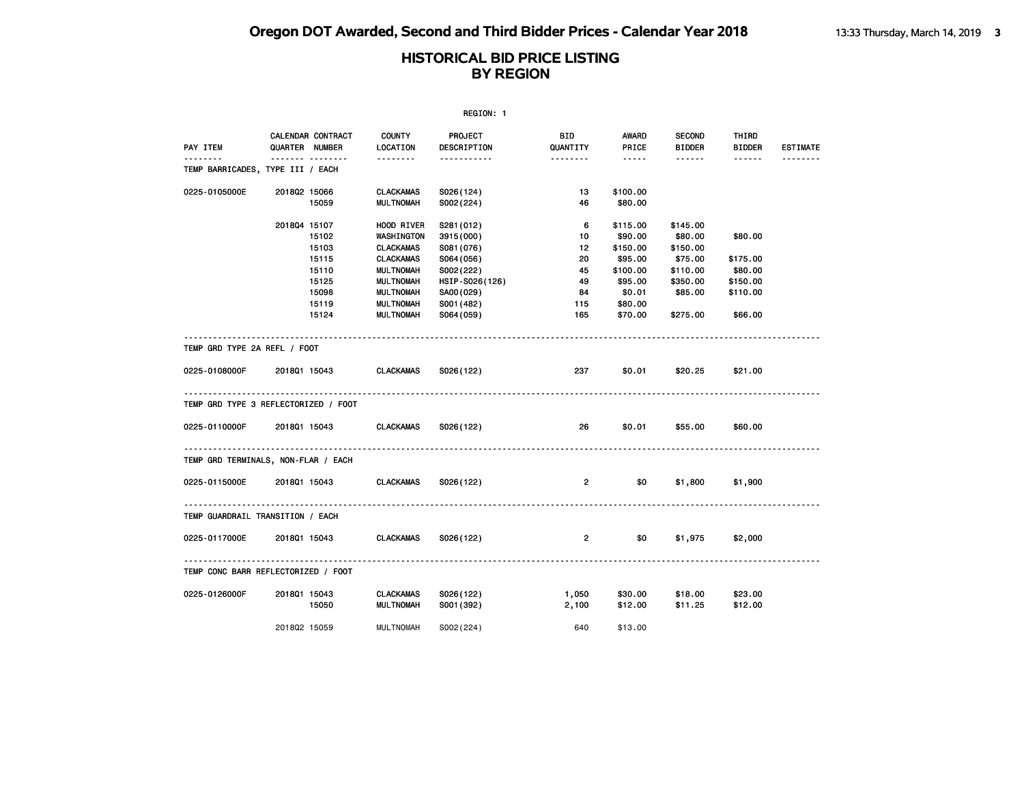|                              |                                       |                                      | REGION: 1               |                 |                                                                                                                                                      |                                |                        |                 |
|------------------------------|---------------------------------------|--------------------------------------|-------------------------|-----------------|------------------------------------------------------------------------------------------------------------------------------------------------------|--------------------------------|------------------------|-----------------|
| PAY ITEM                     | CALENDAR CONTRACT<br>QUARTER NUMBER   | <b>COUNTY</b><br>LOCATION            | PROJECT<br>DESCRIPTION  | BID<br>QUANTITY | AWARD<br>PRICE                                                                                                                                       | <b>SECOND</b><br><b>BIDDER</b> | THIRD<br><b>BIDDER</b> | <b>ESTIMATE</b> |
| <u>.</u>                     | .<br>TEMP BARRICADES, TYPE III / EACH | <u> - - - - - - -</u>                | -----------             | --------        | $\frac{1}{2} \left( \frac{1}{2} \right) \left( \frac{1}{2} \right) \left( \frac{1}{2} \right) \left( \frac{1}{2} \right) \left( \frac{1}{2} \right)$ | $\cdots\cdots\cdots$           | $- - - - - -$          | <u>.</u>        |
| 0225-0105000E                | 201802 15066<br>15059                 | <b>CLACKAMAS</b><br><b>MULTNOMAH</b> | S026(124)<br>S002(224)  | 13<br>46        | \$100.00<br>\$80.00                                                                                                                                  |                                |                        |                 |
|                              | 201804 15107                          | HOOD RIVER                           | S281 (012)              | 6               | \$115.00                                                                                                                                             | \$145.00                       |                        |                 |
|                              | 15102                                 | WASHINGTON                           | 3915 (000)              | 10              | \$90.00                                                                                                                                              | \$80.00                        | \$80.00                |                 |
|                              | 15103                                 | CLACKAMAS                            | S081 (076)              | 12              | \$150.00                                                                                                                                             | \$150.00                       |                        |                 |
|                              | 15115                                 | <b>CLACKAMAS</b>                     | S064 (056)              | 20              | \$95.00                                                                                                                                              | \$75.00                        | \$175.00               |                 |
|                              | 15110                                 | <b>MULTNOMAH</b>                     | S002(222)               | 45              | \$100.00                                                                                                                                             | \$110.00                       | \$80.00                |                 |
|                              | 15125                                 | <b>MULTNOMAH</b>                     | HSIP-S026(126)          | 49              | \$95.00                                                                                                                                              | \$350.00                       | \$150.00               |                 |
|                              | 15098                                 | <b>MULTNOMAH</b>                     | SA00(029)               | 84              | \$0.01                                                                                                                                               | \$85.00                        | \$110.00               |                 |
|                              | 15119                                 | MULTNOMAH                            | S001 (482)              | 115             | \$80.00                                                                                                                                              |                                |                        |                 |
|                              | 15124                                 | <b>MULTNOMAH</b>                     | S064 (059)              | 165             | \$70.00                                                                                                                                              | \$275.00                       | \$66.00                |                 |
| TEMP GRD TYPE 2A REFL / FOOT |                                       |                                      |                         |                 |                                                                                                                                                      |                                |                        |                 |
| 0225-0108000F                | 201801 15043                          | CLACKAMAS                            | S026(122)               | 237             | \$0.01                                                                                                                                               | \$20.25                        | \$21.00                |                 |
|                              | TEMP GRD TYPE 3 REFLECTORIZED / FOOT  |                                      |                         |                 |                                                                                                                                                      |                                |                        |                 |
| 0225-0110000F                | 201801 15043                          | CLACKAMAS                            | S026(122)               | 26              | \$0.01                                                                                                                                               | \$55.00                        | \$60.00                |                 |
|                              | TEMP GRD TERMINALS, NON-FLAR / EACH   |                                      |                         |                 |                                                                                                                                                      |                                |                        |                 |
| 0225-0115000E                | 201801 15043                          | <b>CLACKAMAS</b>                     | S026(122)               | $\overline{2}$  | \$0                                                                                                                                                  | \$1,800                        | \$1,900                |                 |
|                              | TEMP GUARDRAIL TRANSITION / EACH      |                                      |                         |                 |                                                                                                                                                      |                                |                        |                 |
| 0225-0117000E                | 201801 15043                          | <b>CLACKAMAS</b>                     | S026(122)               | $\overline{2}$  | \$0                                                                                                                                                  | \$1,975                        | \$2,000                |                 |
|                              | TEMP CONC BARR REFLECTORIZED / FOOT   |                                      |                         |                 |                                                                                                                                                      |                                |                        |                 |
|                              |                                       |                                      |                         |                 |                                                                                                                                                      |                                |                        |                 |
| 0225-0126000F                | 2018Q1 15043<br>15050                 | CLACKAMAS<br><b>MULTNOMAH</b>        | S026(122)<br>S001 (392) | 1,050<br>2,100  | \$30.00<br>\$12.00                                                                                                                                   | \$18.00<br>\$11.25             | \$23.00<br>\$12.00     |                 |
|                              | 201802 15059                          | MULTNOMAH                            | S002(224)               | 640             | \$13,00                                                                                                                                              |                                |                        |                 |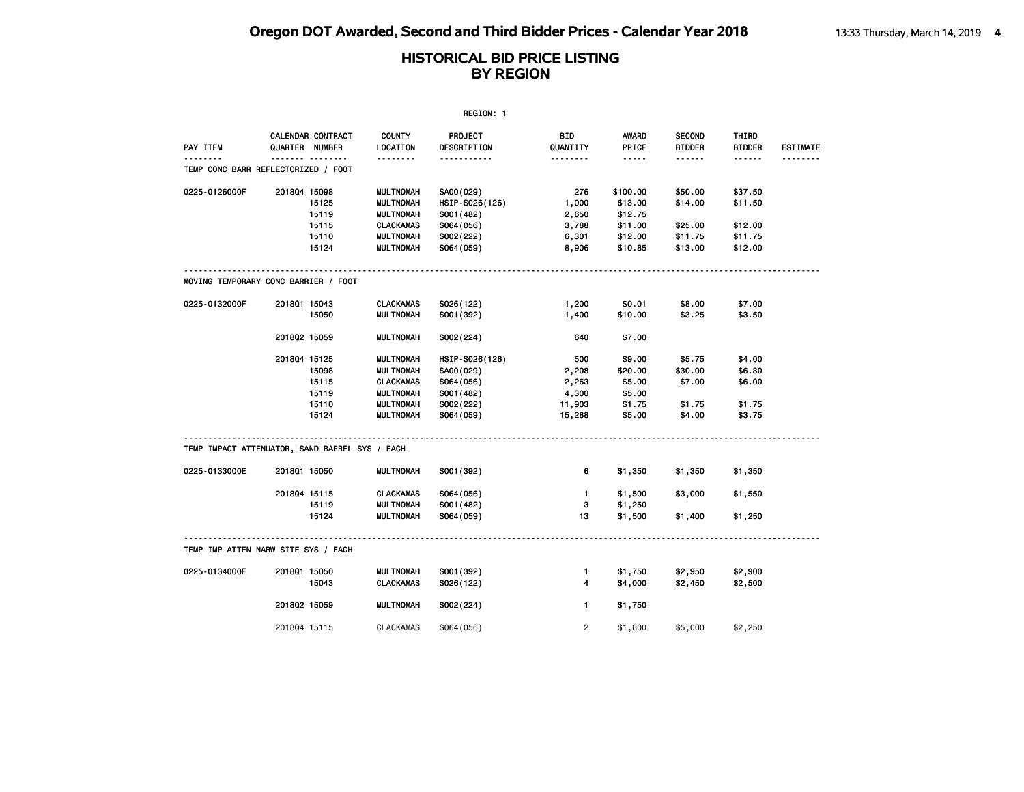|                                                |              |                                     |                           | REGION: 1              |                 |                |                                |                        |                 |
|------------------------------------------------|--------------|-------------------------------------|---------------------------|------------------------|-----------------|----------------|--------------------------------|------------------------|-----------------|
| PAY ITEM                                       |              | CALENDAR CONTRACT<br>QUARTER NUMBER | <b>COUNTY</b><br>LOCATION | PROJECT<br>DESCRIPTION | BID<br>QUANTITY | AWARD<br>PRICE | <b>SECOND</b><br><b>BIDDER</b> | THIRD<br><b>BIDDER</b> | <b>ESTIMATE</b> |
| TEMP CONC BARR REFLECTORIZED / FOOT            |              | <b>.</b>                            | .                         | .                      | .               | $- - - - -$    | .                              |                        |                 |
| 0225-0126000F                                  | 201804 15098 |                                     | <b>MULTNOMAH</b>          | SA00(029)              | 276             | \$100.00       | \$50.00                        | \$37.50                |                 |
|                                                |              | 15125                               | <b>MULTNOMAH</b>          | HSIP-S026(126)         | 1,000           | \$13.00        | \$14.00                        | \$11.50                |                 |
|                                                |              | 15119                               | <b>MULTNOMAH</b>          | S001 (482)             | 2,650           | \$12.75        |                                |                        |                 |
|                                                |              | 15115                               | <b>CLACKAMAS</b>          | S064(056)              | 3,788           | \$11.00        | \$25.00                        | \$12.00                |                 |
|                                                |              | 15110                               | <b>MULTNOMAH</b>          | S002(222)              | 6,301           | \$12.00        | \$11.75                        | \$11.75                |                 |
|                                                |              | 15124                               | <b>MULTNOMAH</b>          | S064 (059)             | 8,906           | \$10.85        | \$13.00                        | \$12.00                |                 |
| MOVING TEMPORARY CONC BARRIER / FOOT           |              |                                     |                           |                        |                 |                |                                |                        |                 |
| 0225-0132000F                                  | 201801 15043 |                                     | <b>CLACKAMAS</b>          | S026(122)              | 1,200           | \$0.01         | \$8.00                         | \$7.00                 |                 |
|                                                |              | 15050                               | <b>MULTNOMAH</b>          | S001 (392)             | 1,400           | \$10.00        | \$3.25                         | \$3.50                 |                 |
|                                                | 2018Q2 15059 |                                     | <b>MULTNOMAH</b>          | S002(224)              | 640             | \$7.00         |                                |                        |                 |
|                                                | 2018Q4 15125 |                                     | MULTNOMAH                 | HSIP-S026(126)         | 500             | \$9.00         | \$5.75                         | \$4.00                 |                 |
|                                                |              | 15098                               | <b>MULTNOMAH</b>          | SA00(029)              | 2,208           | \$20.00        | \$30.00                        | \$6.30                 |                 |
|                                                |              | 15115                               | <b>CLACKAMAS</b>          | S064(056)              | 2,263           | \$5.00         | \$7.00                         | \$6.00                 |                 |
|                                                |              | 15119                               | <b>MULTNOMAH</b>          | S001 (482)             | 4,300           | \$5.00         |                                |                        |                 |
|                                                |              | 15110                               | <b>MULTNOMAH</b>          | S002(222)              | 11,903          | \$1.75         | \$1.75                         | \$1.75                 |                 |
|                                                |              | 15124                               | <b>MULTNOMAH</b>          | S064 (059)             | 15,288          | \$5.00         | \$4.00                         | \$3.75                 |                 |
| TEMP IMPACT ATTENUATOR, SAND BARREL SYS / EACH |              |                                     |                           |                        |                 |                |                                |                        |                 |
| 0225-0133000E                                  | 201801 15050 |                                     | <b>MULTNOMAH</b>          | S001 (392)             | 6               | \$1,350        | \$1,350                        | \$1,350                |                 |
|                                                | 2018Q4 15115 |                                     | <b>CLACKAMAS</b>          | S064 (056)             | $\mathbf{1}$    | \$1,500        | \$3,000                        | \$1,550                |                 |
|                                                |              | 15119                               | <b>MULTNOMAH</b>          | S001 (482)             | 3               | \$1,250        |                                |                        |                 |
|                                                |              | 15124                               | <b>MULTNOMAH</b>          | S064(059)              | 13              | \$1,500        | \$1,400                        | \$1,250                |                 |
| TEMP IMP ATTEN NARW SITE SYS / EACH            |              |                                     |                           |                        |                 |                |                                |                        |                 |
| 0225-0134000E                                  | 2018Q1 15050 |                                     | <b>MULTNOMAH</b>          | S001 (392)             | 1               | \$1,750        | \$2,950                        | \$2,900                |                 |
|                                                |              | 15043                               | <b>CLACKAMAS</b>          | S026(122)              | 4               | \$4,000        | \$2,450                        | \$2,500                |                 |
|                                                | 201802 15059 |                                     | <b>MULTNOMAH</b>          | S002(224)              | $\mathbf{1}$    | \$1,750        |                                |                        |                 |
|                                                | 201804 15115 |                                     | <b>CLACKAMAS</b>          | S064 (056)             | $\overline{2}$  | \$1,800        | \$5,000                        | \$2,250                |                 |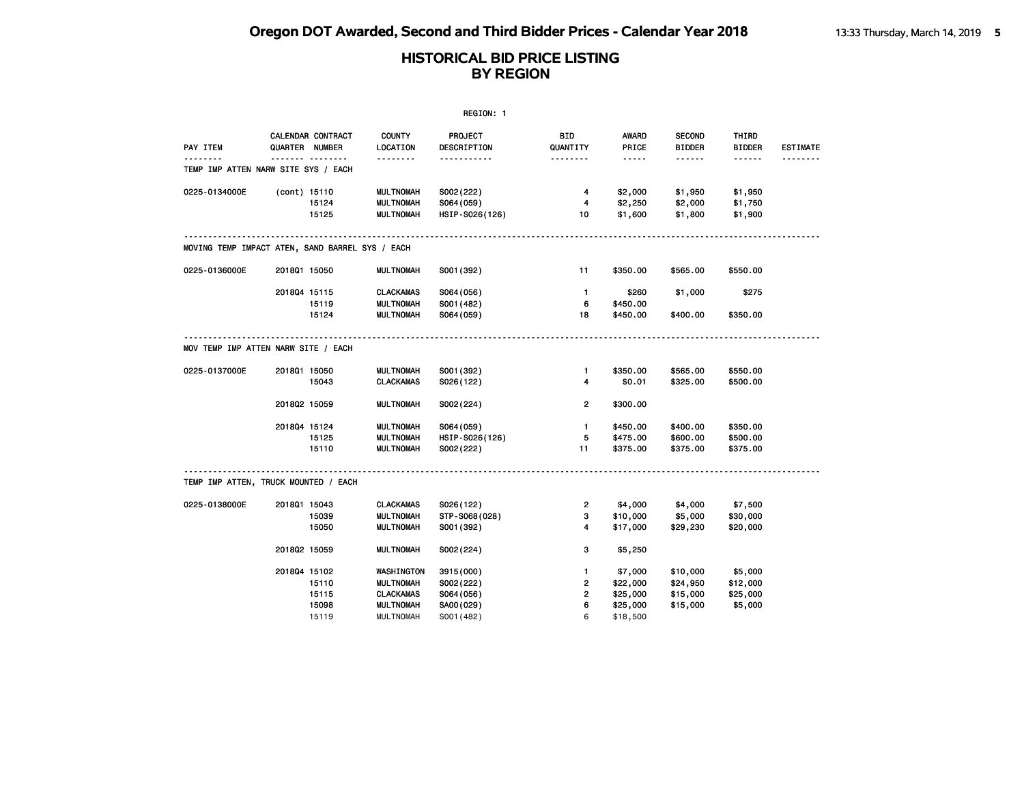| REGION: 1     |                                                 |                           |                        |                         |                       |                                |                        |                 |  |  |
|---------------|-------------------------------------------------|---------------------------|------------------------|-------------------------|-----------------------|--------------------------------|------------------------|-----------------|--|--|
| PAY ITEM      | CALENDAR CONTRACT<br>QUARTER NUMBER             | <b>COUNTY</b><br>LOCATION | PROJECT<br>DESCRIPTION | BID<br>QUANTITY         | <b>AWARD</b><br>PRICE | <b>SECOND</b><br><b>BIDDER</b> | THIRD<br><b>BIDDER</b> | <b>ESTIMATE</b> |  |  |
|               | TEMP IMP ATTEN NARW SITE SYS / EACH             | <u>.</u>                  | <u></u>                | <u>.</u>                | $- - - - -$           | ------                         |                        |                 |  |  |
| 0225-0134000E | (cont) 15110                                    | <b>MULTNOMAH</b>          | S002(222)              | 4                       | \$2,000               | \$1,950                        | \$1,950                |                 |  |  |
|               | 15124                                           | <b>MULTNOMAH</b>          | S064 (059)             | 4                       | \$2,250               | \$2,000                        | \$1,750                |                 |  |  |
|               | 15125                                           | <b>MULTNOMAH</b>          | HSIP-S026(126)         | 10                      | \$1,600               | \$1,800                        | \$1,900                |                 |  |  |
|               | MOVING TEMP IMPACT ATEN, SAND BARREL SYS / EACH |                           |                        |                         |                       |                                |                        |                 |  |  |
| 0225-0136000E | 201801 15050                                    | <b>MULTNOMAH</b>          | S001 (392)             | 11                      | \$350.00              | \$565.00                       | \$550.00               |                 |  |  |
|               | 201804 15115                                    | <b>CLACKAMAS</b>          | S064 (056)             | $\mathbf{1}$            | \$260                 | \$1,000                        | \$275                  |                 |  |  |
|               | 15119                                           | <b>MULTNOMAH</b>          | S001 (482)             | 6                       | \$450.00              |                                |                        |                 |  |  |
|               | 15124                                           | <b>MULTNOMAH</b>          | S064 (059)             | 18                      | \$450.00              | \$400.00                       | \$350.00               |                 |  |  |
|               | MOV TEMP IMP ATTEN NARW SITE / EACH             |                           |                        |                         |                       |                                |                        |                 |  |  |
| 0225-0137000E | 2018Q1 15050                                    | <b>MULTNOMAH</b>          | S001 (392)             | $\mathbf{1}$            | \$350.00              | \$565.00                       | \$550.00               |                 |  |  |
|               | 15043                                           | <b>CLACKAMAS</b>          | S026(122)              | 4                       | \$0.01                | \$325.00                       | \$500.00               |                 |  |  |
|               | 2018Q2 15059                                    | <b>MULTNOMAH</b>          | S002(224)              | $\overline{2}$          | \$300.00              |                                |                        |                 |  |  |
|               | 201804 15124                                    | <b>MULTNOMAH</b>          | S064 (059)             | 1                       | \$450.00              | \$400.00                       | \$350.00               |                 |  |  |
|               | 15125                                           | <b>MULTNOMAH</b>          | HSIP-S026(126)         | 5                       | \$475.00              | \$600.00                       | \$500.00               |                 |  |  |
|               | 15110                                           | <b>MULTNOMAH</b>          | S002(222)              | 11                      | \$375.00              | \$375.00                       | \$375.00               |                 |  |  |
|               | TEMP IMP ATTEN, TRUCK MOUNTED / EACH            |                           |                        |                         |                       |                                |                        |                 |  |  |
| 0225-0138000E | 2018Q1 15043                                    | <b>CLACKAMAS</b>          | S026(122)              | 2                       | \$4,000               | \$4,000                        | \$7,500                |                 |  |  |
|               | 15039                                           | <b>MULTNOMAH</b>          | STP-S068(028)          | з                       | \$10,000              | \$5,000                        | \$30,000               |                 |  |  |
|               | 15050                                           | <b>MULTNOMAH</b>          | S001 (392)             | 4                       | \$17,000              | \$29,230                       | \$20,000               |                 |  |  |
|               | 2018Q2 15059                                    | <b>MULTNOMAH</b>          | S002(224)              | 3                       | \$5,250               |                                |                        |                 |  |  |
|               | 201804 15102                                    | WASHINGTON                | 3915 (000)             | 1.                      | \$7,000               | \$10,000                       | \$5,000                |                 |  |  |
|               | 15110                                           | <b>MULTNOMAH</b>          | S002(222)              | $\overline{\mathbf{c}}$ | \$22,000              | \$24,950                       | \$12,000               |                 |  |  |
|               | 15115                                           | <b>CLACKAMAS</b>          | S064 (056)             | $\mathbf{2}$            | \$25,000              | \$15,000                       | \$25,000               |                 |  |  |
|               | 15098                                           | <b>MULTNOMAH</b>          | SA00 (029)             | 6                       | \$25,000              | \$15,000                       | \$5,000                |                 |  |  |
|               | 15119                                           | <b>MULTNOMAH</b>          | S001 (482)             | 6                       | \$18,500              |                                |                        |                 |  |  |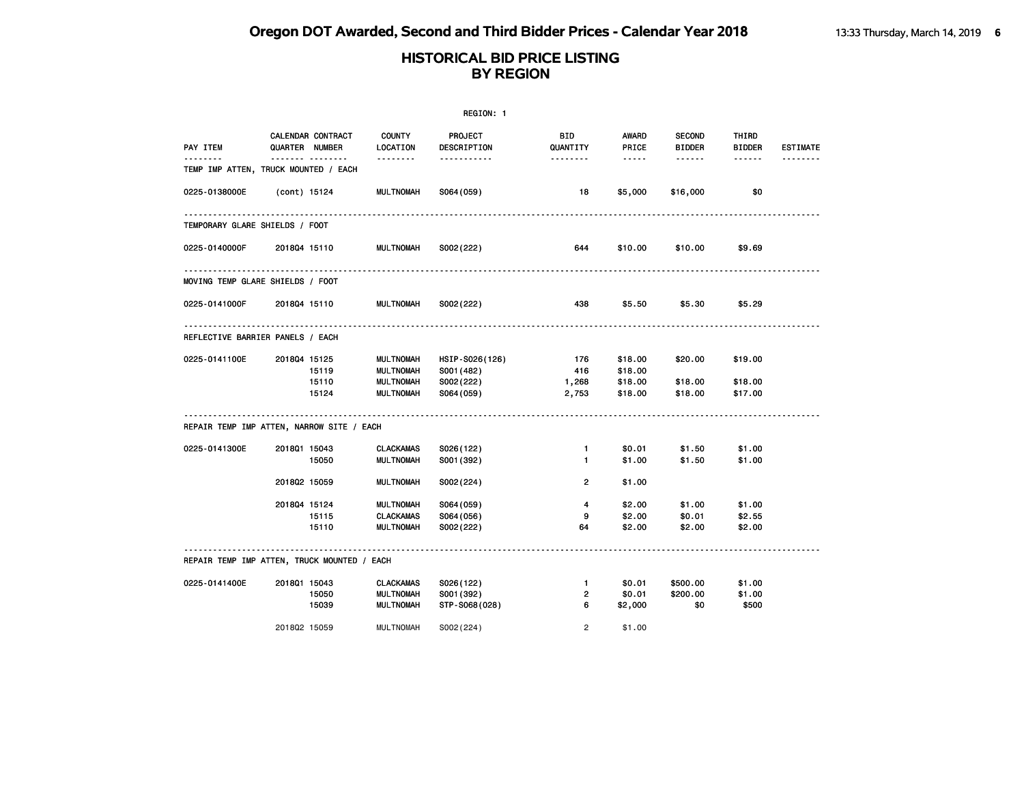| REGION: 1                                   |              |                                     |                                                          |                                           |                              |                                                                                                               |                                |                            |                 |
|---------------------------------------------|--------------|-------------------------------------|----------------------------------------------------------|-------------------------------------------|------------------------------|---------------------------------------------------------------------------------------------------------------|--------------------------------|----------------------------|-----------------|
| PAY ITEM                                    |              | CALENDAR CONTRACT<br>QUARTER NUMBER | COUNTY<br>LOCATION                                       | PROJECT<br>DESCRIPTION                    | <b>BID</b><br>QUANTITY       | AWARD<br>PRICE                                                                                                | <b>SECOND</b><br><b>BIDDER</b> | THIRD<br><b>BIDDER</b>     | <b>ESTIMATE</b> |
| TEMP IMP ATTEN, TRUCK MOUNTED / EACH        |              | .                                   | --------                                                 | <u>.</u>                                  | --------                     | $\frac{1}{2} \frac{1}{2} \frac{1}{2} \frac{1}{2} \frac{1}{2} \frac{1}{2} \frac{1}{2} \frac{1}{2} \frac{1}{2}$ | ------                         | ------                     |                 |
| 0225-0138000E                               |              | (cont) 15124                        | <b>MULTNOMAH</b>                                         | S064 (059)                                | 18                           | \$5,000                                                                                                       | \$16,000                       | \$0                        |                 |
| TEMPORARY GLARE SHIELDS / FOOT              |              |                                     |                                                          |                                           |                              |                                                                                                               |                                |                            |                 |
| 0225-0140000F                               | 201804 15110 |                                     | <b>MULTNOMAH</b>                                         | S002(222)                                 | 644                          | \$10.00                                                                                                       | \$10.00                        | \$9.69                     |                 |
| MOVING TEMP GLARE SHIELDS / FOOT            |              |                                     |                                                          |                                           |                              |                                                                                                               |                                |                            |                 |
| 0225-0141000F                               | 201804 15110 |                                     | <b>MULTNOMAH</b>                                         | S002(222)                                 | 438                          | \$5.50                                                                                                        | \$5.30                         | \$5.29                     |                 |
| REFLECTIVE BARRIER PANELS / EACH            |              |                                     |                                                          |                                           |                              |                                                                                                               |                                |                            |                 |
| 0225-0141100E                               | 201804 15125 | 15119<br>15110                      | <b>MULTNOMAH</b><br><b>MULTNOMAH</b><br><b>MULTNOMAH</b> | HSIP-S026(126)<br>S001 (482)<br>S002(222) | 176<br>416<br>1,268          | \$18.00<br>\$18.00<br>\$18.00                                                                                 | \$20.00<br>\$18.00             | \$19.00<br>\$18.00         |                 |
|                                             |              | 15124                               | <b>MULTNOMAH</b>                                         | S064 (059)                                | 2,753                        | \$18.00                                                                                                       | \$18.00                        | \$17.00                    |                 |
| REPAIR TEMP IMP ATTEN, NARROW SITE / EACH   |              |                                     |                                                          |                                           |                              |                                                                                                               |                                |                            |                 |
| 0225-0141300E                               | 201801 15043 | 15050                               | <b>CLACKAMAS</b><br><b>MULTNOMAH</b>                     | S026(122)<br>S001 (392)                   | $\mathbf{1}$<br>$\mathbf{1}$ | \$0.01<br>\$1.00                                                                                              | \$1.50<br>\$1.50               | \$1.00<br>\$1.00           |                 |
|                                             | 201802 15059 |                                     | <b>MULTNOMAH</b>                                         | S002(224)                                 | $\overline{2}$               | \$1.00                                                                                                        |                                |                            |                 |
|                                             |              | 201804 15124<br>15115<br>15110      | <b>MULTNOMAH</b><br><b>CLACKAMAS</b><br><b>MULTNOMAH</b> | S064 (059)<br>S064(056)<br>S002(222)      | 4<br>9<br>64                 | \$2.00<br>\$2.00<br>\$2.00                                                                                    | \$1.00<br>\$0.01<br>\$2.00     | \$1.00<br>\$2.55<br>\$2.00 |                 |
| REPAIR TEMP IMP ATTEN, TRUCK MOUNTED / EACH |              |                                     |                                                          |                                           |                              |                                                                                                               |                                |                            |                 |
| 0225-0141400E                               | 201801 15043 |                                     | CLACKAMAS                                                | S026(122)                                 | $\mathbf{1}$                 | \$0.01                                                                                                        | \$500.00                       | \$1.00                     |                 |
|                                             |              | 15050<br>15039                      | <b>MULTNOMAH</b><br><b>MULTNOMAH</b>                     | S001 (392)<br>STP-S068(028)               | $\overline{2}$<br>6          | \$0.01<br>\$2,000                                                                                             | \$200.00<br>\$0                | \$1.00<br>\$500            |                 |
|                                             | 201802 15059 |                                     | <b>MULTNOMAH</b>                                         | S002(224)                                 | $\overline{2}$               | \$1,00                                                                                                        |                                |                            |                 |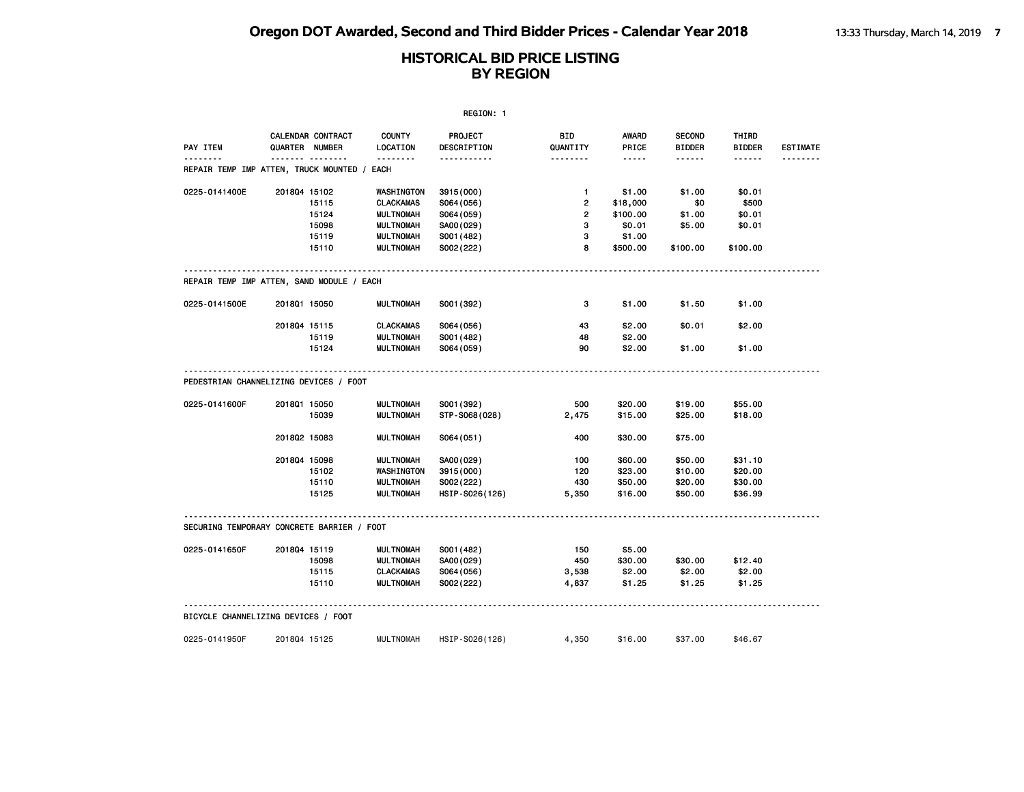| <b>PAY ITEM</b> | CALENDAR CONTRACT<br>QUARTER NUMBER                     | <b>COUNTY</b><br>LOCATION | PROJECT<br>DESCRIPTION | BID<br>QUANTITY | AWARD<br>PRICE                                                                                                | <b>SECOND</b><br><b>BIDDER</b> | THIRD<br><b>BIDDER</b> | <b>ESTIMATE</b> |
|-----------------|---------------------------------------------------------|---------------------------|------------------------|-----------------|---------------------------------------------------------------------------------------------------------------|--------------------------------|------------------------|-----------------|
|                 | <b>.</b><br>REPAIR TEMP IMP ATTEN, TRUCK MOUNTED / EACH | .                         | .                      | .               | $\frac{1}{2} \frac{1}{2} \frac{1}{2} \frac{1}{2} \frac{1}{2} \frac{1}{2} \frac{1}{2} \frac{1}{2} \frac{1}{2}$ | ------                         | ------                 |                 |
| 0225-0141400E   | 201804 15102                                            | WASHINGTON                | 3915(000)              | $\mathbf{1}$    | \$1.00                                                                                                        | \$1.00                         | \$0.01                 |                 |
|                 | 15115                                                   | <b>CLACKAMAS</b>          | S064 (056)             | $\overline{2}$  | \$18,000                                                                                                      | \$0                            | \$500                  |                 |
|                 | 15124                                                   | <b>MULTNOMAH</b>          | S064 (059)             | $\overline{2}$  | \$100.00                                                                                                      | \$1.00                         | \$0.01                 |                 |
|                 | 15098                                                   | <b>MULTNOMAH</b>          | SA00(029)              | 3               | \$0.01                                                                                                        | \$5.00                         | \$0.01                 |                 |
|                 | 15119                                                   | <b>MULTNOMAH</b>          | S001 (482)             | 3               | \$1.00                                                                                                        |                                |                        |                 |
|                 | 15110                                                   | <b>MULTNOMAH</b>          | S002(222)              | 8               | \$500.00                                                                                                      | \$100.00                       | \$100.00               |                 |
|                 | REPAIR TEMP IMP ATTEN, SAND MODULE / EACH               |                           |                        |                 |                                                                                                               |                                |                        |                 |
| 0225-0141500E   | 201801 15050                                            | <b>MULTNOMAH</b>          | S001 (392)             | 3               | \$1.00                                                                                                        | \$1.50                         | \$1.00                 |                 |
|                 | 201804 15115                                            | <b>CLACKAMAS</b>          | S064 (056)             | 43              | \$2.00                                                                                                        | \$0.01                         | \$2.00                 |                 |
|                 | 15119                                                   | <b>MULTNOMAH</b>          | S001 (482)             | 48              | \$2.00                                                                                                        |                                |                        |                 |
|                 | 15124                                                   | <b>MULTNOMAH</b>          | S064 (059)             | 90              | \$2.00                                                                                                        | \$1.00                         | \$1.00                 |                 |
| 0225-0141600F   | PEDESTRIAN CHANNELIZING DEVICES / FOOT<br>201801 15050  | <b>MULTNOMAH</b>          | S001 (392)             | 500             | \$20.00                                                                                                       | \$19.00                        | \$55.00                |                 |
|                 | 15039                                                   | <b>MULTNOMAH</b>          | STP-S068(028)          | 2,475           | \$15.00                                                                                                       | \$25.00                        | \$18.00                |                 |
|                 | 201802 15083                                            | <b>MULTNOMAH</b>          | S064(051)              | 400             | \$30.00                                                                                                       | \$75.00                        |                        |                 |
|                 | 201804 15098                                            | <b>MULTNOMAH</b>          | SA00(029)              | 100             | \$60.00                                                                                                       | \$50.00                        | \$31.10                |                 |
|                 | 15102                                                   | WASHINGTON                | 3915(000)              | 120             | \$23.00                                                                                                       | \$10.00                        | \$20.00                |                 |
|                 | 15110                                                   | <b>MULTNOMAH</b>          | S002(222)              | 430             | \$50.00                                                                                                       | \$20.00                        | \$30.00                |                 |
|                 | 15125                                                   | <b>MULTNOMAH</b>          | HSIP-S026(126)         | 5,350           | \$16.00                                                                                                       | \$50.00                        | \$36.99                |                 |
|                 | SECURING TEMPORARY CONCRETE BARRIER / FOOT              |                           |                        |                 |                                                                                                               |                                |                        |                 |
| 0225-0141650F   | 201804 15119                                            | <b>MULTNOMAH</b>          | S001 (482)             | 150             | \$5.00                                                                                                        |                                |                        |                 |
|                 | 15098                                                   | <b>MULTNOMAH</b>          | SA00(029)              | 450             | \$30.00                                                                                                       | \$30.00                        | \$12.40                |                 |
|                 | 15115                                                   | <b>CLACKAMAS</b>          | S064 (056)             | 3,538           | \$2.00                                                                                                        | \$2.00                         | \$2.00                 |                 |
|                 | 15110                                                   | <b>MULTNOMAH</b>          | S002(222)              | 4,837           | \$1.25                                                                                                        | \$1.25                         | \$1.25                 |                 |
|                 | BICYCLE CHANNELIZING DEVICES / FOOT                     |                           |                        |                 |                                                                                                               |                                |                        |                 |
| 0225-0141950F   | 201804 15125                                            | <b>MULTNOMAH</b>          | HSIP-S026(126)         | 4,350           | \$16.00                                                                                                       | \$37.00                        | \$46.67                |                 |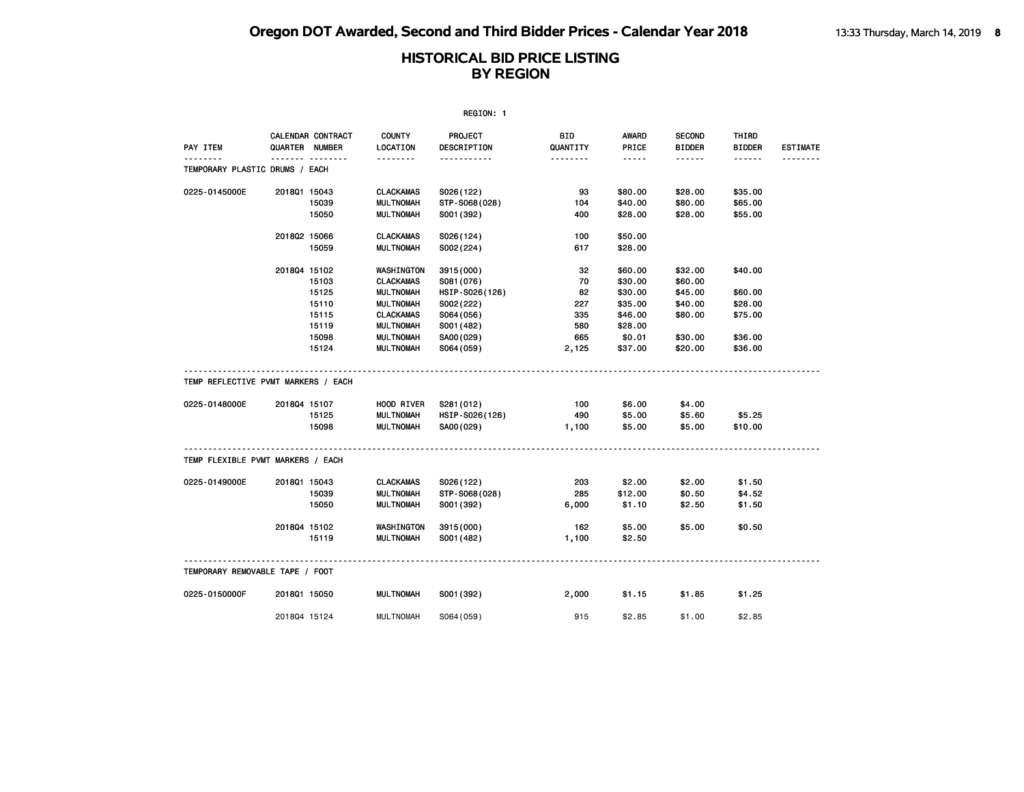| REGION: 1                           |              |                                     |                           |                        |                 |                       |                                |                        |                 |
|-------------------------------------|--------------|-------------------------------------|---------------------------|------------------------|-----------------|-----------------------|--------------------------------|------------------------|-----------------|
| PAY ITEM                            |              | CALENDAR CONTRACT<br>QUARTER NUMBER | <b>COUNTY</b><br>LOCATION | PROJECT<br>DESCRIPTION | BID<br>QUANTITY | <b>AWARD</b><br>PRICE | <b>SECOND</b><br><b>BIDDER</b> | THIRD<br><b>BIDDER</b> | <b>ESTIMATE</b> |
| TEMPORARY PLASTIC DRUMS / EACH      |              |                                     | .                         | .                      | <u>.</u>        | $- - - - -$           | ------                         |                        | --------        |
| 0225-0145000E                       | 201801 15043 |                                     | <b>CLACKAMAS</b>          | S026(122)              | 93              | \$80.00               | \$28.00                        | \$35.00                |                 |
|                                     |              | 15039                               | <b>MULTNOMAH</b>          | STP-S068(028)          | 104             | \$40.00               | \$80.00                        | \$65.00                |                 |
|                                     |              | 15050                               | <b>MULTNOMAH</b>          | S001 (392)             | 400             | \$28.00               | \$28.00                        | \$55.00                |                 |
|                                     | 201802 15066 |                                     | <b>CLACKAMAS</b>          | S026(124)              | 100             | \$50.00               |                                |                        |                 |
|                                     |              | 15059                               | <b>MULTNOMAH</b>          | S002(224)              | 617             | \$28.00               |                                |                        |                 |
|                                     | 201804 15102 |                                     | WASHINGTON                | 3915(000)              | 32              | \$60.00               | \$32.00                        | \$40.00                |                 |
|                                     |              | 15103                               | <b>CLACKAMAS</b>          | S081 (076)             | 70              | \$30.00               | \$60.00                        |                        |                 |
|                                     |              | 15125                               | <b>MULTNOMAH</b>          | HSIP-S026(126)         | 82              | \$30.00               | \$45.00                        | \$60.00                |                 |
|                                     |              | 15110                               | <b>MULTNOMAH</b>          | S002(222)              | 227             | \$35.00               | \$40.00                        | \$28.00                |                 |
|                                     |              | 15115                               | <b>CLACKAMAS</b>          | S064 (056)             | 335             | \$46.00               | \$80.00                        | \$75.00                |                 |
|                                     |              | 15119                               | <b>MULTNOMAH</b>          | S001 (482)             | 580             | \$28.00               |                                |                        |                 |
|                                     |              | 15098                               | <b>MULTNOMAH</b>          | SA00(029)              | 665             | \$0.01                | \$30.00                        | \$36.00                |                 |
|                                     |              | 15124                               | <b>MULTNOMAH</b>          | S064 (059)             | 2,125           | \$37.00               | \$20.00                        | \$36.00                |                 |
| TEMP REFLECTIVE PVMT MARKERS / EACH |              |                                     |                           |                        |                 |                       |                                |                        |                 |
| 0225-0148000E                       | 201804 15107 |                                     | HOOD RIVER                | S281 (012)             | 100             | \$6.00                | \$4.00                         |                        |                 |
|                                     |              | 15125                               | <b>MULTNOMAH</b>          | HSIP-S026(126)         | 490             | \$5.00                | \$5.60                         | \$5.25                 |                 |
|                                     |              | 15098                               | <b>MULTNOMAH</b>          | SA00(029)              | 1,100           | \$5.00                | \$5.00                         | \$10.00                |                 |
| TEMP FLEXIBLE PVMT MARKERS / EACH   |              |                                     |                           |                        |                 |                       |                                |                        |                 |
| 0225-0149000E                       | 201801 15043 |                                     | <b>CLACKAMAS</b>          | S026(122)              | 203             | \$2.00                | \$2.00                         | \$1.50                 |                 |
|                                     |              | 15039                               | <b>MULTNOMAH</b>          | STP-S068(028)          | 285             | \$12.00               | \$0.50                         | \$4.52                 |                 |
|                                     |              | 15050                               | <b>MULTNOMAH</b>          | S001 (392)             | 6,000           | \$1.10                | \$2.50                         | \$1.50                 |                 |
|                                     | 201804 15102 |                                     | WASHINGTON                | 3915(000)              | 162             | \$5.00                | \$5.00                         | \$0.50                 |                 |
|                                     |              | 15119                               | <b>MULTNOMAH</b>          | S001 (482)             | 1,100           | \$2.50                |                                |                        |                 |
| TEMPORARY REMOVABLE TAPE / FOOT     |              |                                     |                           |                        |                 |                       |                                |                        |                 |
| 0225-0150000F                       | 201801 15050 |                                     | <b>MULTNOMAH</b>          | S001 (392)             | 2,000           | \$1.15                | \$1.85                         | \$1.25                 |                 |
|                                     | 201804 15124 |                                     | <b>MULTNOMAH</b>          | S064 (059)             | 915             | \$2.85                | \$1.00                         | \$2.85                 |                 |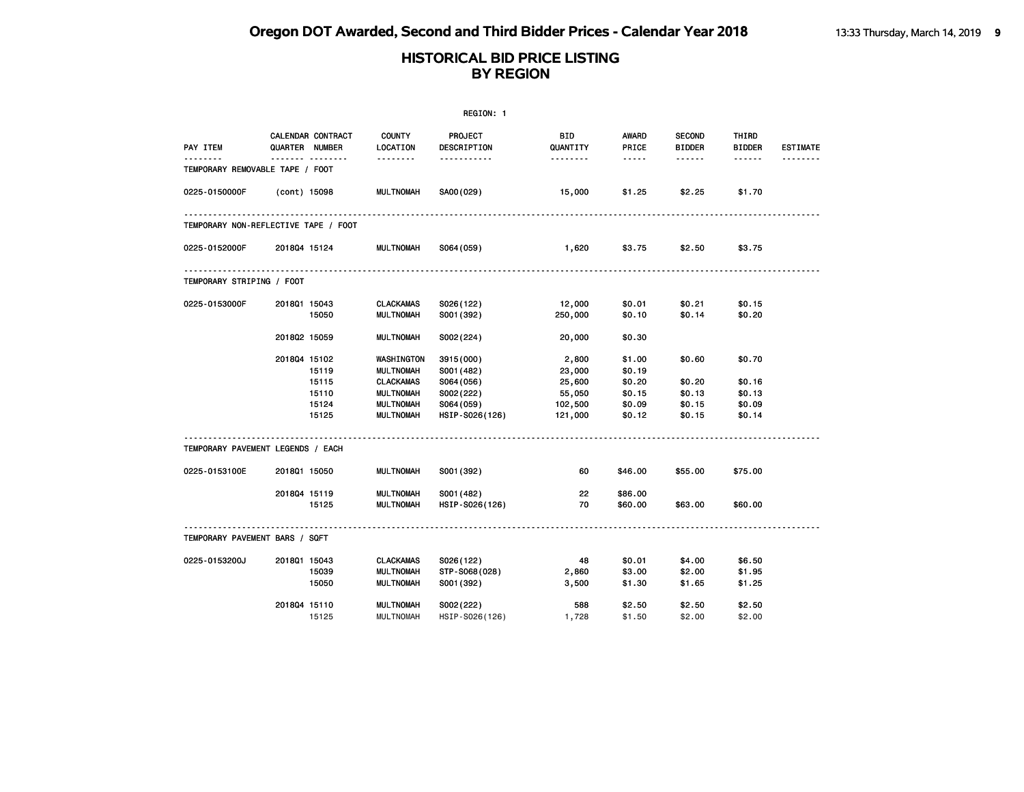|                                      |              |                                           |                                                                                                                | REGION: 1                                                                           |                                                           |                                                          |                                                |                                                |                 |
|--------------------------------------|--------------|-------------------------------------------|----------------------------------------------------------------------------------------------------------------|-------------------------------------------------------------------------------------|-----------------------------------------------------------|----------------------------------------------------------|------------------------------------------------|------------------------------------------------|-----------------|
| PAY ITEM                             |              | CALENDAR CONTRACT<br>QUARTER NUMBER       | <b>COUNTY</b><br>LOCATION                                                                                      | PROJECT<br>DESCRIPTION                                                              | BID<br>QUANTITY                                           | AWARD<br>PRICE                                           | <b>SECOND</b><br><b>BIDDER</b>                 | THIRD<br><b>BIDDER</b>                         | <b>ESTIMATE</b> |
| TEMPORARY REMOVABLE TAPE / FOOT      |              |                                           | <u>.</u>                                                                                                       | -----------                                                                         | <u>.</u>                                                  | $- - - - -$                                              | ------                                         | ------                                         |                 |
| 0225-0150000F                        | (cont) 15098 |                                           | <b>MULTNOMAH</b>                                                                                               | SA00(029)                                                                           | 15,000                                                    | \$1.25                                                   | \$2.25                                         | \$1.70                                         |                 |
| TEMPORARY NON-REFLECTIVE TAPE / FOOT |              |                                           |                                                                                                                |                                                                                     |                                                           |                                                          |                                                |                                                |                 |
| 0225-0152000F                        | 201804 15124 |                                           | <b>MULTNOMAH</b>                                                                                               | S064 (059)                                                                          | 1,620                                                     | \$3.75                                                   | \$2.50                                         | \$3.75                                         |                 |
| TEMPORARY STRIPING / FOOT            |              |                                           |                                                                                                                |                                                                                     |                                                           |                                                          |                                                |                                                |                 |
| 0225-0153000F                        | 201801 15043 | 15050                                     | <b>CLACKAMAS</b><br><b>MULTNOMAH</b>                                                                           | S026(122)<br>S001 (392)                                                             | 12,000<br>250,000                                         | \$0.01<br>\$0.10                                         | \$0.21<br>\$0.14                               | \$0.15<br>\$0.20                               |                 |
|                                      | 201802 15059 |                                           | MULTNOMAH                                                                                                      | S002(224)                                                                           | 20,000                                                    | \$0.30                                                   |                                                |                                                |                 |
|                                      | 201804 15102 | 15119<br>15115<br>15110<br>15124<br>15125 | WASHINGTON<br><b>MULTNOMAH</b><br><b>CLACKAMAS</b><br><b>MULTNOMAH</b><br><b>MULTNOMAH</b><br><b>MULTNOMAH</b> | 3915 (000)<br>S001 (482)<br>S064 (056)<br>S002(222)<br>S064 (059)<br>HSIP-S026(126) | 2,800<br>23,000<br>25,600<br>55,050<br>102,500<br>121,000 | \$1.00<br>\$0.19<br>\$0.20<br>\$0.15<br>\$0.09<br>\$0.12 | \$0.60<br>\$0.20<br>\$0.13<br>\$0.15<br>\$0.15 | \$0.70<br>\$0.16<br>\$0.13<br>\$0.09<br>\$0.14 |                 |
| TEMPORARY PAVEMENT LEGENDS / EACH    |              |                                           |                                                                                                                |                                                                                     |                                                           |                                                          |                                                |                                                |                 |
| 0225-0153100E                        | 201801 15050 |                                           | <b>MULTNOMAH</b>                                                                                               | S001 (392)                                                                          | 60                                                        | \$46.00                                                  | \$55.00                                        | \$75.00                                        |                 |
|                                      | 201804 15119 | 15125                                     | <b>MULTNOMAH</b><br><b>MULTNOMAH</b>                                                                           | S001 (482)<br>HSIP-S026(126)                                                        | 22<br>70                                                  | \$86.00<br>\$60.00                                       | \$63.00                                        | \$60.00                                        |                 |
| TEMPORARY PAVEMENT BARS / SQFT       |              |                                           |                                                                                                                |                                                                                     |                                                           |                                                          |                                                |                                                |                 |
| 0225-0153200J                        | 201801 15043 | 15039<br>15050                            | <b>CLACKAMAS</b><br><b>MULTNOMAH</b><br><b>MULTNOMAH</b>                                                       | S026(122)<br>STP-S068(028)<br>S001 (392)                                            | 48<br>2,860<br>3,500                                      | \$0.01<br>\$3.00<br>\$1.30                               | \$4.00<br>\$2.00<br>\$1.65                     | \$6.50<br>\$1.95<br>\$1.25                     |                 |
|                                      | 2018Q4 15110 | 15125                                     | <b>MULTNOMAH</b><br><b>MULTNOMAH</b>                                                                           | S002(222)<br>HSIP-S026(126)                                                         | 588<br>1,728                                              | \$2.50<br>\$1.50                                         | \$2.50<br>\$2.00                               | \$2.50<br>\$2.00                               |                 |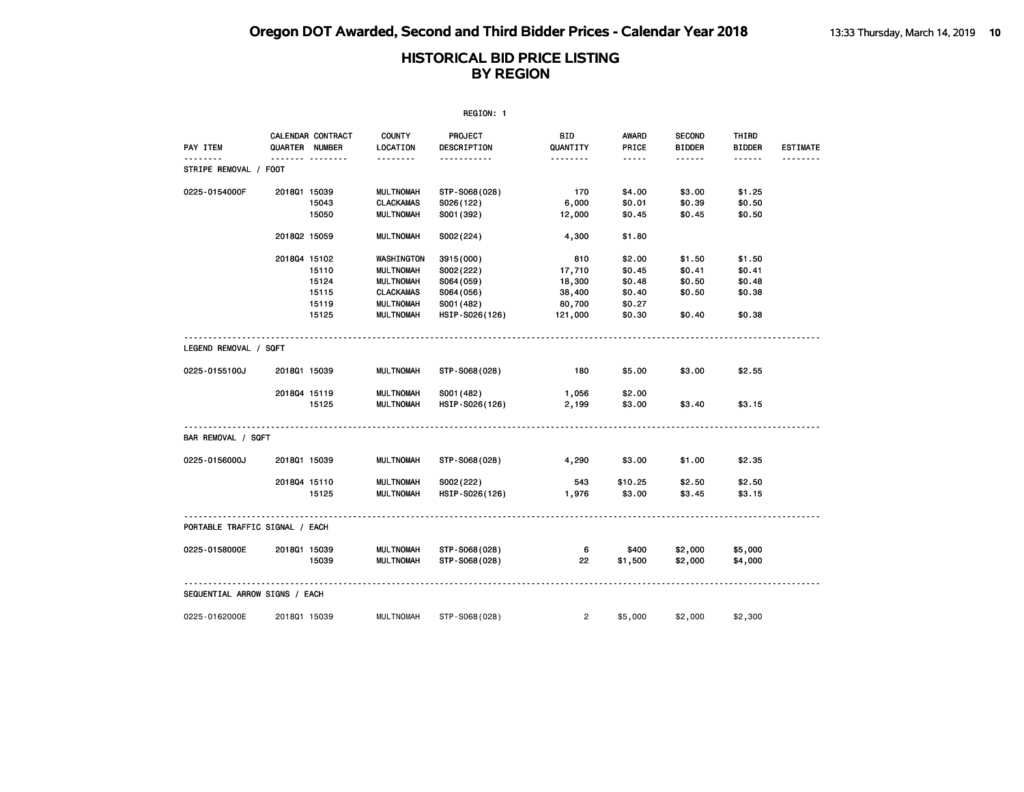|                                |                |                   |                           | REGION: 1              |                 |                       |                                |                        |                 |
|--------------------------------|----------------|-------------------|---------------------------|------------------------|-----------------|-----------------------|--------------------------------|------------------------|-----------------|
| PAY ITEM                       | QUARTER NUMBER | CALENDAR CONTRACT | <b>COUNTY</b><br>LOCATION | PROJECT<br>DESCRIPTION | BID<br>QUANTITY | <b>AWARD</b><br>PRICE | <b>SECOND</b><br><b>BIDDER</b> | THIRD<br><b>BIDDER</b> | <b>ESTIMATE</b> |
| <b>STRIPE REMOVAL / FOOT</b>   |                | <b>.</b>          | .                         | .                      | .               | .                     | ------                         |                        |                 |
| 0225-0154000F                  | 201801 15039   |                   | <b>MULTNOMAH</b>          | STP-S068(028)          | 170             | \$4.00                | \$3.00                         | \$1.25                 |                 |
|                                |                | 15043             | <b>CLACKAMAS</b>          | S026(122)              | 6,000           | \$0.01                | \$0.39                         | \$0.50                 |                 |
|                                |                | 15050             | <b>MULTNOMAH</b>          | S001 (392)             | 12,000          | \$0.45                | \$0.45                         | \$0.50                 |                 |
|                                | 201802 15059   |                   | <b>MULTNOMAH</b>          | S002(224)              | 4,300           | \$1.80                |                                |                        |                 |
|                                | 201804 15102   |                   | WASHINGTON                | 3915 (000)             | 810             | \$2.00                | \$1.50                         | \$1.50                 |                 |
|                                |                | 15110             | <b>MULTNOMAH</b>          | S002(222)              | 17,710          | \$0.45                | \$0.41                         | \$0.41                 |                 |
|                                |                | 15124             | <b>MULTNOMAH</b>          | S064 (059)             | 18,300          | \$0.48                | \$0.50                         | \$0.48                 |                 |
|                                |                | 15115             | <b>CLACKAMAS</b>          | S064 (056)             | 38,400          | \$0.40                | \$0.50                         | \$0.38                 |                 |
|                                |                | 15119             | <b>MULTNOMAH</b>          | S001 (482)             | 80,700          | \$0.27                |                                |                        |                 |
|                                |                | 15125             | <b>MULTNOMAH</b>          | HSIP-S026(126)         | 121,000         | \$0.30                | \$0.40                         | \$0.38                 |                 |
| LEGEND REMOVAL / SQFT          |                |                   |                           |                        |                 |                       |                                |                        |                 |
| 0225-0155100J                  | 201801 15039   |                   | <b>MULTNOMAH</b>          | STP-S068(028)          | 180             | \$5.00                | \$3.00                         | \$2.55                 |                 |
|                                | 201804 15119   |                   | <b>MULTNOMAH</b>          | S001 (482)             | 1,056           | \$2.00                |                                |                        |                 |
|                                |                | 15125             | <b>MULTNOMAH</b>          | HSIP-S026(126)         | 2,199           | \$3.00                | \$3.40                         | \$3.15                 |                 |
| BAR REMOVAL / SQFT             |                |                   |                           |                        |                 |                       |                                |                        |                 |
| 0225-0156000J                  | 201801 15039   |                   | <b>MULTNOMAH</b>          | STP-S068(028)          | 4,290           | \$3.00                | \$1.00                         | \$2.35                 |                 |
|                                | 201804 15110   |                   | <b>MULTNOMAH</b>          | S002(222)              | 543             | \$10.25               | \$2.50                         | \$2.50                 |                 |
|                                |                | 15125             | <b>MULTNOMAH</b>          | HSIP-S026(126)         | 1,976           | \$3.00                | \$3.45                         | \$3.15                 |                 |
| PORTABLE TRAFFIC SIGNAL / EACH |                |                   |                           |                        |                 |                       |                                |                        |                 |
|                                |                |                   |                           |                        |                 |                       |                                |                        |                 |
| 0225-0158000E                  | 201801 15039   |                   | <b>MULTNOMAH</b>          | STP-S068(028)          | 6               | \$400                 | \$2,000                        | \$5,000                |                 |
|                                |                | 15039             | <b>MULTNOMAH</b>          | STP-S068(028)          | 22              | \$1,500               | \$2,000                        | \$4,000                |                 |
| SEQUENTIAL ARROW SIGNS / EACH  |                |                   |                           |                        |                 |                       |                                |                        |                 |
|                                |                |                   |                           |                        |                 |                       |                                |                        |                 |
| 0225-0162000E                  | 201801 15039   |                   | <b>MULTNOMAH</b>          | STP-S068(028)          | $\overline{2}$  | \$5,000               | \$2,000                        | \$2,300                |                 |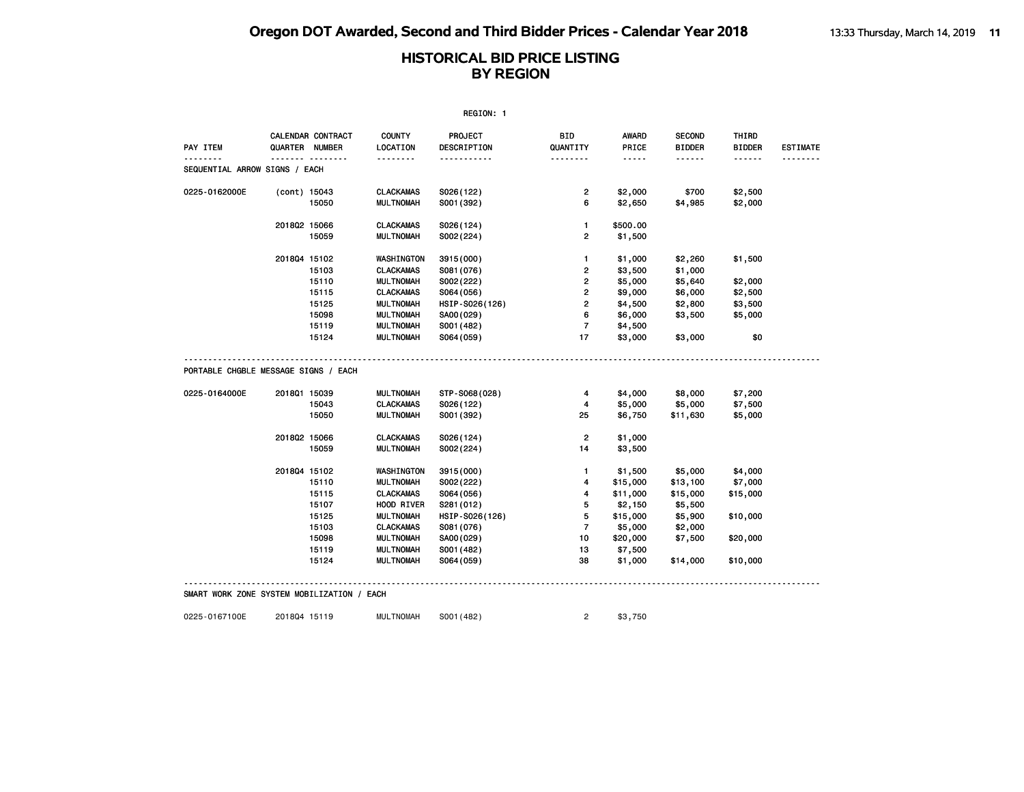| REGION: 1                                          |              |                                     |                           |                        |                         |                |                                |                        |                 |  |
|----------------------------------------------------|--------------|-------------------------------------|---------------------------|------------------------|-------------------------|----------------|--------------------------------|------------------------|-----------------|--|
| PAY ITEM                                           |              | CALENDAR CONTRACT<br>QUARTER NUMBER | <b>COUNTY</b><br>LOCATION | PROJECT<br>DESCRIPTION | BID<br>QUANTITY         | AWARD<br>PRICE | <b>SECOND</b><br><b>BIDDER</b> | THIRD<br><b>BIDDER</b> | <b>ESTIMATE</b> |  |
| $- - - - - - - -$<br>SEQUENTIAL ARROW SIGNS / EACH | --------     | ---------                           | .                         | <u>.</u>               | <u>.</u>                | -----          | .                              | ------                 | <u>.</u>        |  |
| 0225-0162000E                                      | (cont) 15043 |                                     | <b>CLACKAMAS</b>          | S026(122)              | $\overline{\mathbf{c}}$ | \$2,000        | \$700                          | \$2,500                |                 |  |
|                                                    |              | 15050                               | <b>MULTNOMAH</b>          | S001 (392)             | 6                       | \$2,650        | \$4,985                        | \$2,000                |                 |  |
|                                                    | 2018Q2 15066 |                                     | CLACKAMAS                 | S026(124)              | $\mathbf{1}$            | \$500.00       |                                |                        |                 |  |
|                                                    |              | 15059                               | <b>MULTNOMAH</b>          | S002(224)              | 2                       | \$1,500        |                                |                        |                 |  |
|                                                    | 201804 15102 |                                     | WASHINGTON                | 3915 (000)             | $\mathbf{1}$            | \$1,000        | \$2,260                        | \$1,500                |                 |  |
|                                                    |              | 15103                               | <b>CLACKAMAS</b>          | S081 (076)             | $\mathbf{2}$            | \$3,500        | \$1,000                        |                        |                 |  |
|                                                    |              | 15110                               | <b>MULTNOMAH</b>          | S002(222)              | $\mathbf{2}$            | \$5,000        | \$5,640                        | \$2,000                |                 |  |
|                                                    |              | 15115                               | <b>CLACKAMAS</b>          | S064 (056)             | $\mathbf{2}$            | \$9,000        | \$6,000                        | \$2,500                |                 |  |
|                                                    |              | 15125                               | <b>MULTNOMAH</b>          | HSIP-S026(126)         | $\overline{\mathbf{c}}$ | \$4,500        | \$2,800                        | \$3,500                |                 |  |
|                                                    |              | 15098                               | <b>MULTNOMAH</b>          | SA00(029)              | 6                       | \$6,000        | \$3,500                        | \$5,000                |                 |  |
|                                                    |              | 15119                               | <b>MULTNOMAH</b>          | S001 (482)             | $\overline{7}$          | \$4,500        |                                |                        |                 |  |
|                                                    |              | 15124                               | <b>MULTNOMAH</b>          | S064 (059)             | 17                      | \$3,000        | \$3,000                        | \$0                    |                 |  |
| PORTABLE CHGBLE MESSAGE SIGNS / EACH               |              |                                     |                           |                        |                         |                |                                |                        |                 |  |
| 0225-0164000E                                      | 2018Q1 15039 |                                     | <b>MULTNOMAH</b>          | STP-S068(028)          | 4                       | \$4,000        | \$8,000                        | \$7,200                |                 |  |
|                                                    |              | 15043                               | <b>CLACKAMAS</b>          | S026(122)              | 4                       | \$5,000        | \$5,000                        | \$7,500                |                 |  |
|                                                    |              | 15050                               | <b>MULTNOMAH</b>          | S001 (392)             | 25                      | \$6,750        | \$11,630                       | \$5,000                |                 |  |
|                                                    | 201802 15066 |                                     | <b>CLACKAMAS</b>          | S026(124)              | $\overline{\mathbf{c}}$ | \$1,000        |                                |                        |                 |  |
|                                                    |              | 15059                               | <b>MULTNOMAH</b>          | S002(224)              | 14                      | \$3,500        |                                |                        |                 |  |
|                                                    | 201804 15102 |                                     | <b>WASHINGTON</b>         | 3915 (000)             | 1                       | \$1,500        | \$5,000                        | \$4,000                |                 |  |
|                                                    |              | 15110                               | <b>MULTNOMAH</b>          | S002(222)              | 4                       | \$15,000       | \$13,100                       | \$7,000                |                 |  |
|                                                    |              | 15115                               | <b>CLACKAMAS</b>          | S064 (056)             | 4                       | \$11,000       | \$15,000                       | \$15,000               |                 |  |
|                                                    |              | 15107                               | HOOD RIVER                | S281 (012)             | 5                       | \$2,150        | \$5,500                        |                        |                 |  |
|                                                    |              | 15125                               | <b>MULTNOMAH</b>          | HSIP-S026(126)         | 5                       | \$15,000       | \$5,900                        | \$10,000               |                 |  |
|                                                    |              | 15103                               | <b>CLACKAMAS</b>          | S081 (076)             | $\overline{7}$          | \$5,000        | \$2,000                        |                        |                 |  |
|                                                    |              | 15098                               | <b>MULTNOMAH</b>          | SA00(029)              | 10                      | \$20,000       | \$7,500                        | \$20,000               |                 |  |
|                                                    |              | 15119                               | <b>MULTNOMAH</b>          | S001 (482)             | 13                      | \$7,500        |                                |                        |                 |  |
|                                                    |              | 15124                               | <b>MULTNOMAH</b>          | S064 (059)             | 38                      | \$1,000        | \$14,000                       | \$10,000               |                 |  |
| SMART WORK ZONE SYSTEM MOBILIZATION / EACH         |              |                                     |                           |                        |                         |                |                                |                        |                 |  |
| 0225-0167100E                                      | 201804 15119 |                                     | <b>MULTNOMAH</b>          | S001 (482)             | 2                       | \$3,750        |                                |                        |                 |  |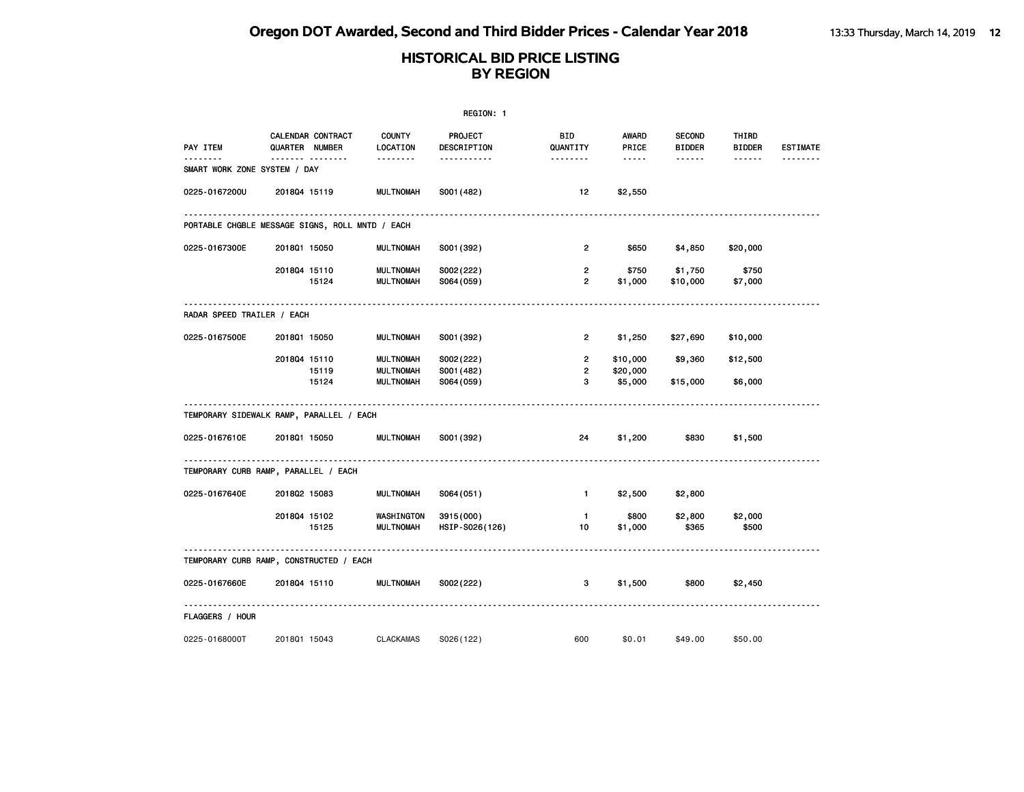|                                                 |                |                   |                                            | REGION: 1                             |                                    |                                 |                                |                        |                 |
|-------------------------------------------------|----------------|-------------------|--------------------------------------------|---------------------------------------|------------------------------------|---------------------------------|--------------------------------|------------------------|-----------------|
| PAY ITEM                                        | QUARTER NUMBER | CALENDAR CONTRACT | <b>COUNTY</b><br>LOCATION                  | <b>PROJECT</b><br>DESCRIPTION         | BID<br>QUANTITY                    | AWARD<br>PRICE                  | <b>SECOND</b><br><b>BIDDER</b> | THIRD<br><b>BIDDER</b> | <b>ESTIMATE</b> |
| .<br>SMART WORK ZONE SYSTEM / DAY               |                | .                 | --------                                   | -----------                           | --------                           | $\cdots \cdots$                 | ------                         | ------                 |                 |
| 0225-0167200U                                   | 201804 15119   |                   | <b>MULTNOMAH</b>                           | S001 (482)                            | 12                                 | \$2,550                         |                                |                        |                 |
| PORTABLE CHGBLE MESSAGE SIGNS, ROLL MNTD / EACH |                |                   |                                            |                                       |                                    |                                 |                                |                        |                 |
| 0225-0167300E                                   | 201801 15050   |                   | <b>MULTNOMAH</b>                           | S001 (392)                            | $\overline{2}$                     | \$650                           | \$4,850                        | \$20,000               |                 |
|                                                 | 201804 15110   | 15124             | <b>MULTNOMAH</b><br><b>MULTNOMAH</b>       | S002(222)<br>S064 (059)               | $\overline{2}$<br>$\overline{2}$   | \$750<br>\$1,000                | \$1,750<br>\$10,000            | \$750<br>\$7,000       |                 |
| RADAR SPEED TRAILER / EACH                      |                |                   |                                            |                                       |                                    |                                 |                                |                        |                 |
| 0225-0167500E                                   | 201801 15050   |                   | <b>MULTNOMAH</b>                           | S001 (392)                            | $\overline{2}$                     | \$1,250                         | \$27,690                       | \$10,000               |                 |
|                                                 | 201804 15110   | 15119<br>15124    | <b>MULTNOMAH</b><br>MULTNOMAH<br>MULTNOMAH | S002(222)<br>S001 (482)<br>S064 (059) | $2^{\circ}$<br>$\overline{2}$<br>3 | \$10,000<br>\$20,000<br>\$5,000 | \$9,360<br>\$15,000            | \$12,500<br>\$6,000    |                 |
| TEMPORARY SIDEWALK RAMP, PARALLEL / EACH        |                |                   |                                            |                                       |                                    |                                 |                                |                        |                 |
| 0225-0167610E                                   | 2018Q1 15050   |                   | MULTNOMAH                                  | S001 (392)                            | 24                                 | \$1,200                         | \$830                          | \$1,500                |                 |
| TEMPORARY CURB RAMP, PARALLEL / EACH            |                |                   |                                            |                                       |                                    |                                 |                                |                        |                 |
| 0225-0167640E                                   | 201802 15083   |                   | <b>MULTNOMAH</b>                           | S064(051)                             | $\blacksquare$                     | \$2,500                         | \$2,800                        |                        |                 |
|                                                 | 201804 15102   | 15125             | WASHINGTON<br>MULTNOMAH                    | 3915 (000)<br>HSIP-S026(126)          | $\mathbf{1}$<br>10                 | \$800<br>\$1,000                | \$2,800<br>\$365               | \$2,000<br>\$500       |                 |
| TEMPORARY CURB RAMP, CONSTRUCTED / EACH         |                |                   |                                            |                                       |                                    |                                 |                                |                        |                 |
| 0225-0167660E 2018Q4 15110                      |                |                   | MULTNOMAH                                  | S002(222)                             | 3                                  | \$1,500                         | \$800                          | \$2,450                |                 |
| <b>FLAGGERS / HOUR</b>                          |                |                   |                                            |                                       |                                    |                                 |                                |                        |                 |
| 0225-0168000T                                   | 201801 15043   |                   | CLACKAMAS                                  | S026(122)                             | 600                                | \$0.01                          | \$49.00                        | \$50.00                |                 |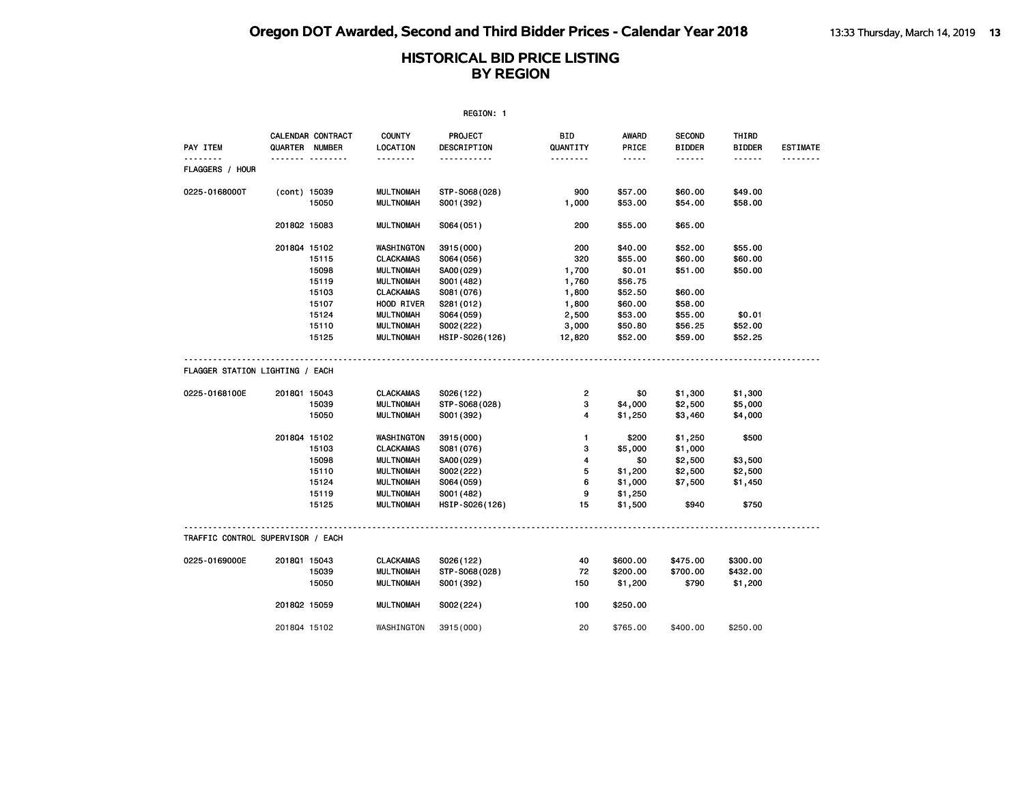|                                    |                |                   |                           | REGION: 1              |                       |                |                                |                        |                 |
|------------------------------------|----------------|-------------------|---------------------------|------------------------|-----------------------|----------------|--------------------------------|------------------------|-----------------|
| <b>PAY ITEM</b>                    | QUARTER NUMBER | CALENDAR CONTRACT | <b>COUNTY</b><br>LOCATION | PROJECT<br>DESCRIPTION | BID<br>QUANTITY       | AWARD<br>PRICE | <b>SECOND</b><br><b>BIDDER</b> | THIRD<br><b>BIDDER</b> | <b>ESTIMATE</b> |
| <u>.</u><br><b>FLAGGERS / HOUR</b> |                | <b>.</b>          | <u> - - - - - - -</u>     | .                      | <u> - - - - - - -</u> | -----          | ------                         | ------                 | .               |
|                                    |                |                   |                           |                        |                       |                |                                |                        |                 |
| 0225-0168000T                      | (cont) 15039   |                   | <b>MULTNOMAH</b>          | STP-S068(028)          | 900                   | \$57.00        | \$60.00                        | \$49.00                |                 |
|                                    |                | 15050             | <b>MULTNOMAH</b>          | S001 (392)             | 1,000                 | \$53.00        | \$54.00                        | \$58.00                |                 |
|                                    | 201802 15083   |                   | <b>MULTNOMAH</b>          | S064(051)              | 200                   | \$55.00        | \$65.00                        |                        |                 |
|                                    | 201804 15102   |                   | WASHINGTON                | 3915 (000)             | 200                   | \$40.00        | \$52.00                        | \$55.00                |                 |
|                                    |                | 15115             | <b>CLACKAMAS</b>          | S064 (056)             | 320                   | \$55.00        | \$60.00                        | \$60.00                |                 |
|                                    |                | 15098             | <b>MULTNOMAH</b>          | SA00 (029)             | 1,700                 | \$0.01         | \$51.00                        | \$50.00                |                 |
|                                    |                | 15119             | <b>MULTNOMAH</b>          | S001 (482)             | 1,760                 | \$56.75        |                                |                        |                 |
|                                    |                | 15103             | <b>CLACKAMAS</b>          | S081 (076)             | 1,800                 | \$52.50        | \$60.00                        |                        |                 |
|                                    |                | 15107             | HOOD RIVER                | S281 (012)             | 1,800                 | \$60.00        | \$58.00                        |                        |                 |
|                                    |                | 15124             | <b>MULTNOMAH</b>          | S064 (059)             | 2,500                 | \$53.00        | \$55.00                        | \$0.01                 |                 |
|                                    |                | 15110             | <b>MULTNOMAH</b>          | S002(222)              | 3,000                 | \$50.80        | \$56.25                        | \$52.00                |                 |
|                                    |                | 15125             | <b>MULTNOMAH</b>          | HSIP-S026(126)         | 12,820                | \$52.00        | \$59.00                        | \$52.25                |                 |
| FLAGGER STATION LIGHTING / EACH    |                |                   |                           |                        |                       |                |                                |                        |                 |
| 0225-0168100E                      | 201801 15043   |                   | <b>CLACKAMAS</b>          | S026(122)              | 2                     | \$0            | \$1,300                        | \$1,300                |                 |
|                                    |                | 15039             | <b>MULTNOMAH</b>          | STP-S068(028)          | з                     | \$4,000        | \$2,500                        | \$5,000                |                 |
|                                    |                | 15050             | <b>MULTNOMAH</b>          | S001 (392)             | 4                     | \$1,250        | \$3,460                        | \$4,000                |                 |
|                                    | 201804 15102   |                   | WASHINGTON                | 3915(000)              | $\mathbf{1}$          | \$200          | \$1,250                        | \$500                  |                 |
|                                    |                | 15103             | <b>CLACKAMAS</b>          | S081 (076)             | з                     | \$5,000        | \$1,000                        |                        |                 |
|                                    |                | 15098             | <b>MULTNOMAH</b>          | SA00 (029)             | 4                     | \$0            | \$2,500                        | \$3,500                |                 |
|                                    |                | 15110             | <b>MULTNOMAH</b>          | S002(222)              | 5                     | \$1,200        | \$2,500                        | \$2,500                |                 |
|                                    |                | 15124             | <b>MULTNOMAH</b>          | S064 (059)             | 6                     | \$1,000        | \$7,500                        | \$1,450                |                 |
|                                    |                | 15119             | <b>MULTNOMAH</b>          | S001 (482)             | 9                     | \$1,250        |                                |                        |                 |
|                                    |                | 15125             | <b>MULTNOMAH</b>          | HSIP-S026(126)         | 15                    | \$1,500        | \$940                          | \$750                  |                 |
| TRAFFIC CONTROL SUPERVISOR / EACH  |                |                   |                           |                        |                       |                |                                |                        |                 |
| 0225-0169000E                      | 201801 15043   |                   | <b>CLACKAMAS</b>          | S026(122)              | 40                    | \$600.00       | \$475.00                       | \$300.00               |                 |
|                                    |                | 15039             | MULTNOMAH                 | STP-S068(028)          | 72                    | \$200.00       | \$700.00                       | \$432.00               |                 |
|                                    |                | 15050             | <b>MULTNOMAH</b>          | S001 (392)             | 150                   | \$1,200        | \$790                          | \$1,200                |                 |
|                                    | 201802 15059   |                   | <b>MULTNOMAH</b>          | S002(224)              | 100                   | \$250.00       |                                |                        |                 |
|                                    | 201804 15102   |                   | WASHINGTON                | 3915 (000)             | 20                    | \$765.00       | \$400.00                       | \$250.00               |                 |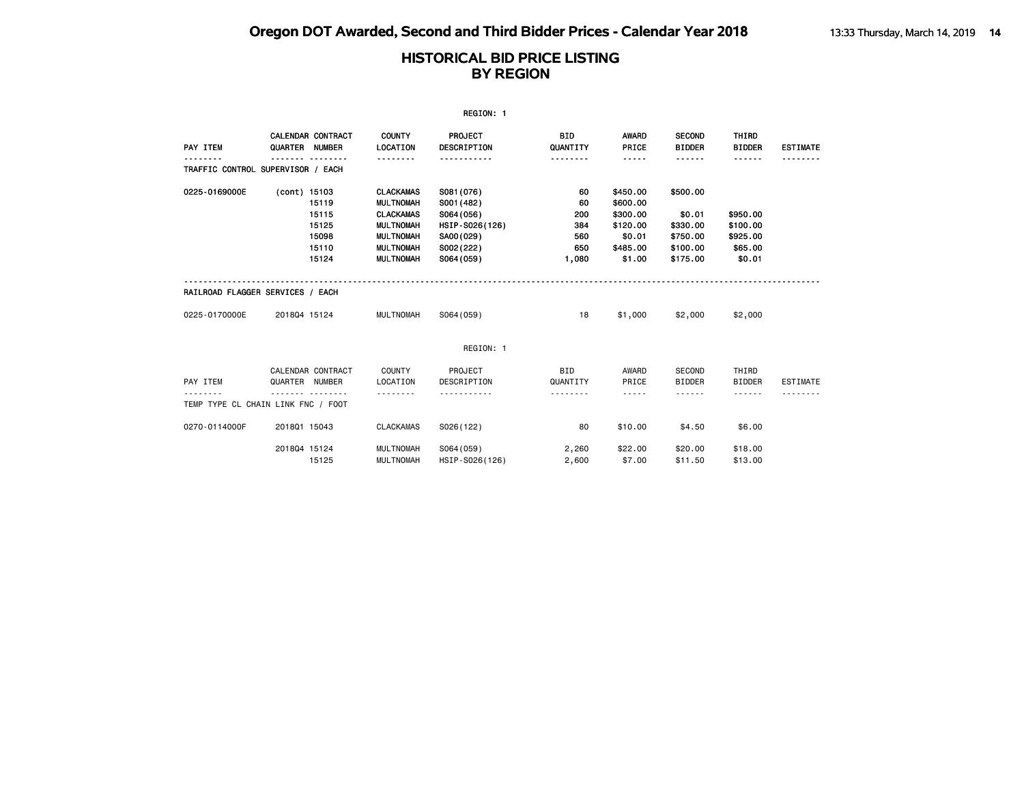| REGION: 1                                      |                |                                                    |                                                                                                                                          |                                                                                                 |                                               |                                                                                                                                                                                                   |                                                                    |                                                       |                 |  |  |  |
|------------------------------------------------|----------------|----------------------------------------------------|------------------------------------------------------------------------------------------------------------------------------------------|-------------------------------------------------------------------------------------------------|-----------------------------------------------|---------------------------------------------------------------------------------------------------------------------------------------------------------------------------------------------------|--------------------------------------------------------------------|-------------------------------------------------------|-----------------|--|--|--|
| PAY ITEM                                       | QUARTER NUMBER | CALENDAR CONTRACT                                  | <b>COUNTY</b><br><b>LOCATION</b>                                                                                                         | PROJECT<br><b>DESCRIPTION</b>                                                                   | <b>BID</b><br>QUANTITY                        | AWARD<br>PRICE                                                                                                                                                                                    | <b>SECOND</b><br><b>BIDDER</b>                                     | THIRD<br><b>BIDDER</b>                                | <b>ESTIMATE</b> |  |  |  |
| TRAFFIC CONTROL SUPERVISOR / EACH              |                |                                                    | <u>.</u>                                                                                                                                 |                                                                                                 | <u>.</u>                                      | -----                                                                                                                                                                                             | .                                                                  | ------                                                |                 |  |  |  |
| 0225-0169000E                                  | (cont) 15103   | 15119<br>15115<br>15125<br>15098<br>15110<br>15124 | <b>CLACKAMAS</b><br><b>MULTNOMAH</b><br><b>CLACKAMAS</b><br><b>MULTNOMAH</b><br><b>MULTNOMAH</b><br><b>MULTNOMAH</b><br><b>MULTNOMAH</b> | S081 (076)<br>S001 (482)<br>S064 (056)<br>HSIP-S026(126)<br>SA00(029)<br>S002(222)<br>S064(059) | 60<br>60<br>200<br>384<br>560<br>650<br>1,080 | \$450.00<br>\$600.00<br>\$300.00<br>\$120.00<br>\$0.01<br>\$485.00<br>\$1.00                                                                                                                      | \$500.00<br>\$0.01<br>\$330.00<br>\$750.00<br>\$100.00<br>\$175.00 | \$950.00<br>\$100.00<br>\$925.00<br>\$65.00<br>\$0.01 |                 |  |  |  |
| RAILROAD FLAGGER SERVICES / EACH               |                |                                                    |                                                                                                                                          |                                                                                                 |                                               |                                                                                                                                                                                                   |                                                                    |                                                       |                 |  |  |  |
| 0225-0170000E                                  | 201804 15124   |                                                    | <b>MULTNOMAH</b>                                                                                                                         | S064(059)                                                                                       | 18                                            | \$1,000                                                                                                                                                                                           | \$2,000                                                            | \$2,000                                               |                 |  |  |  |
|                                                |                |                                                    |                                                                                                                                          | REGION: 1                                                                                       |                                               |                                                                                                                                                                                                   |                                                                    |                                                       |                 |  |  |  |
| PAY ITEM<br>TEMP TYPE CL CHAIN LINK FNC / FOOT | QUARTER NUMBER | CALENDAR CONTRACT                                  | <b>COUNTY</b><br>LOCATION<br>.                                                                                                           | PROJECT<br>DESCRIPTION                                                                          | <b>BID</b><br>QUANTITY<br><u>.</u>            | AWARD<br>PRICE<br>$\frac{1}{2} \left( \frac{1}{2} \right) \left( \frac{1}{2} \right) \left( \frac{1}{2} \right) \left( \frac{1}{2} \right) \left( \frac{1}{2} \right) \left( \frac{1}{2} \right)$ | <b>SECOND</b><br><b>BIDDER</b><br>------                           | THIRD<br><b>BIDDER</b><br>.                           | <b>ESTIMATE</b> |  |  |  |
| 0270-0114000F                                  | 201801 15043   |                                                    | <b>CLACKAMAS</b>                                                                                                                         | S026(122)                                                                                       | 80                                            | \$10.00                                                                                                                                                                                           | \$4,50                                                             | \$6.00                                                |                 |  |  |  |
|                                                | 201804 15124   | 15125                                              | <b>MULTNOMAH</b><br><b>MULTNOMAH</b>                                                                                                     | S064 (059)<br>HSIP-S026(126)                                                                    | 2,260<br>2,600                                | \$22.00<br>\$7.00                                                                                                                                                                                 | \$20.00<br>\$11.50                                                 | \$18.00<br>\$13.00                                    |                 |  |  |  |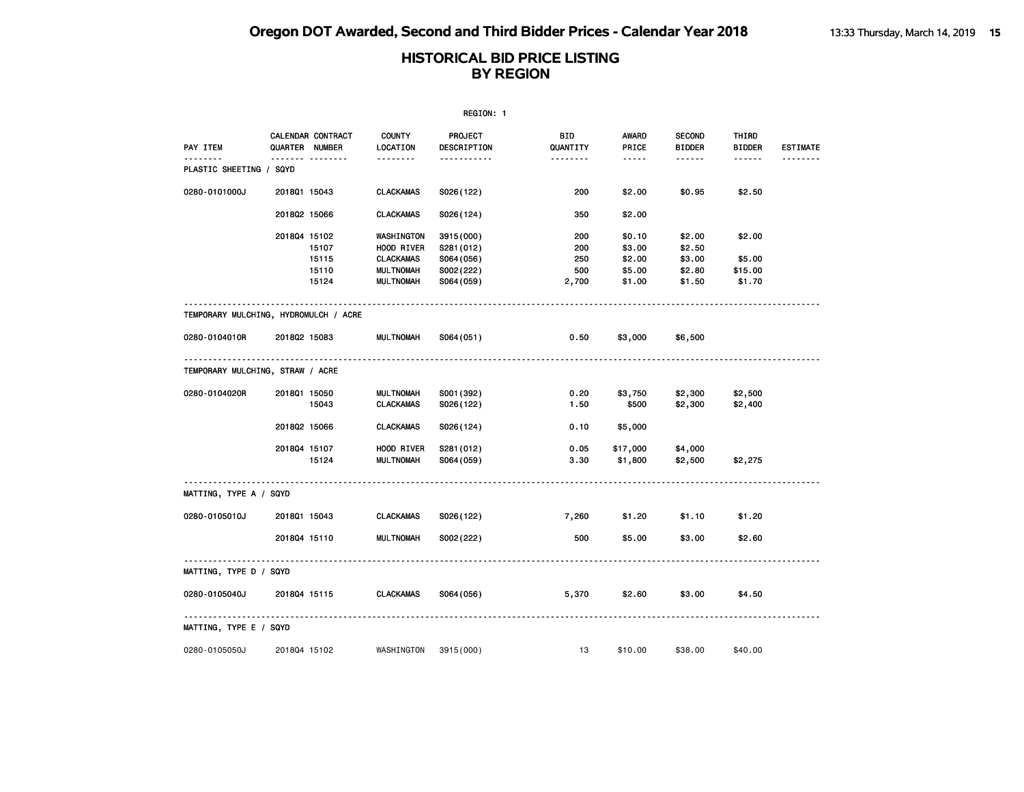|                                       |                |                   |                           | REGION: 1              |                        |                |                                |                        |                 |
|---------------------------------------|----------------|-------------------|---------------------------|------------------------|------------------------|----------------|--------------------------------|------------------------|-----------------|
| PAY ITEM                              | QUARTER NUMBER | CALENDAR CONTRACT | <b>COUNTY</b><br>LOCATION | PROJECT<br>DESCRIPTION | <b>BID</b><br>QUANTITY | AWARD<br>PRICE | <b>SECOND</b><br><b>BIDDER</b> | THIRD<br><b>BIDDER</b> | <b>ESTIMATE</b> |
| PLASTIC SHEETING / SQYD               |                |                   | .                         | <u>.</u>               | --------               | -----          | ------                         | ------                 |                 |
| 0280-0101000J                         | 2018Q1 15043   |                   | <b>CLACKAMAS</b>          | S026(122)              | 200                    | \$2.00         | \$0.95                         | \$2.50                 |                 |
|                                       | 201802 15066   |                   | <b>CLACKAMAS</b>          | S026(124)              | 350                    | \$2.00         |                                |                        |                 |
|                                       | 201804 15102   |                   | WASHINGTON                | 3915 (000)             | 200                    | \$0.10         | \$2.00                         | \$2.00                 |                 |
|                                       |                | 15107             | HOOD RIVER                | S281 (012)             | 200                    | \$3.00         | \$2.50                         |                        |                 |
|                                       |                | 15115             | <b>CLACKAMAS</b>          | S064 (056)             | 250                    | \$2.00         | \$3.00                         | \$5.00                 |                 |
|                                       |                | 15110             | <b>MULTNOMAH</b>          | S002(222)              | 500                    | \$5.00         | \$2.80                         | \$15.00                |                 |
|                                       |                | 15124             | <b>MULTNOMAH</b>          | S064 (059)             | 2,700                  | \$1.00         | \$1.50                         | \$1.70                 |                 |
| TEMPORARY MULCHING, HYDROMULCH / ACRE |                |                   |                           |                        |                        |                |                                |                        |                 |
| 0280-0104010R                         | 201802 15083   |                   | <b>MULTNOMAH</b>          | S064(051)              | 0.50                   | \$3,000        | \$6,500                        |                        |                 |
| TEMPORARY MULCHING, STRAW / ACRE      |                |                   |                           |                        |                        |                |                                |                        |                 |
| 0280-0104020R                         | 2018Q1 15050   |                   | <b>MULTNOMAH</b>          | S001 (392)             | 0.20                   | \$3,750        | \$2,300                        | \$2,500                |                 |
|                                       |                | 15043             | <b>CLACKAMAS</b>          | S026(122)              | 1.50                   | \$500          | \$2,300                        | \$2,400                |                 |
|                                       | 201802 15066   |                   | <b>CLACKAMAS</b>          | S026(124)              | 0.10                   | \$5,000        |                                |                        |                 |
|                                       | 201804 15107   |                   | HOOD RIVER                | S281 (012)             | 0.05                   | \$17,000       | \$4,000                        |                        |                 |
|                                       |                | 15124             | <b>MULTNOMAH</b>          | S064 (059)             | 3.30                   | \$1,800        | \$2,500                        | \$2,275                |                 |
| MATTING, TYPE A / SQYD                |                |                   |                           |                        |                        |                |                                |                        |                 |
| 0280-0105010J                         | 201801 15043   |                   | <b>CLACKAMAS</b>          | S026(122)              | 7,260                  | \$1.20         | \$1.10                         | \$1.20                 |                 |
|                                       | 201804 15110   |                   | <b>MULTNOMAH</b>          | S002(222)              | 500                    | \$5.00         | \$3.00                         | \$2.60                 |                 |
| MATTING, TYPE D / SQYD                |                |                   |                           |                        |                        |                |                                |                        |                 |
| 0280-0105040J                         | 201804 15115   |                   | <b>CLACKAMAS</b>          | S064 (056)             | 5,370                  | \$2.60         | \$3.00                         | \$4.50                 |                 |
| MATTING, TYPE E / SQYD                |                |                   |                           |                        |                        |                |                                |                        |                 |
|                                       |                |                   |                           |                        |                        |                |                                |                        |                 |
| 0280-0105050J                         | 201804 15102   |                   | WASHINGTON                | 3915(000)              | 13                     | \$10.00        | \$38.00                        | \$40.00                |                 |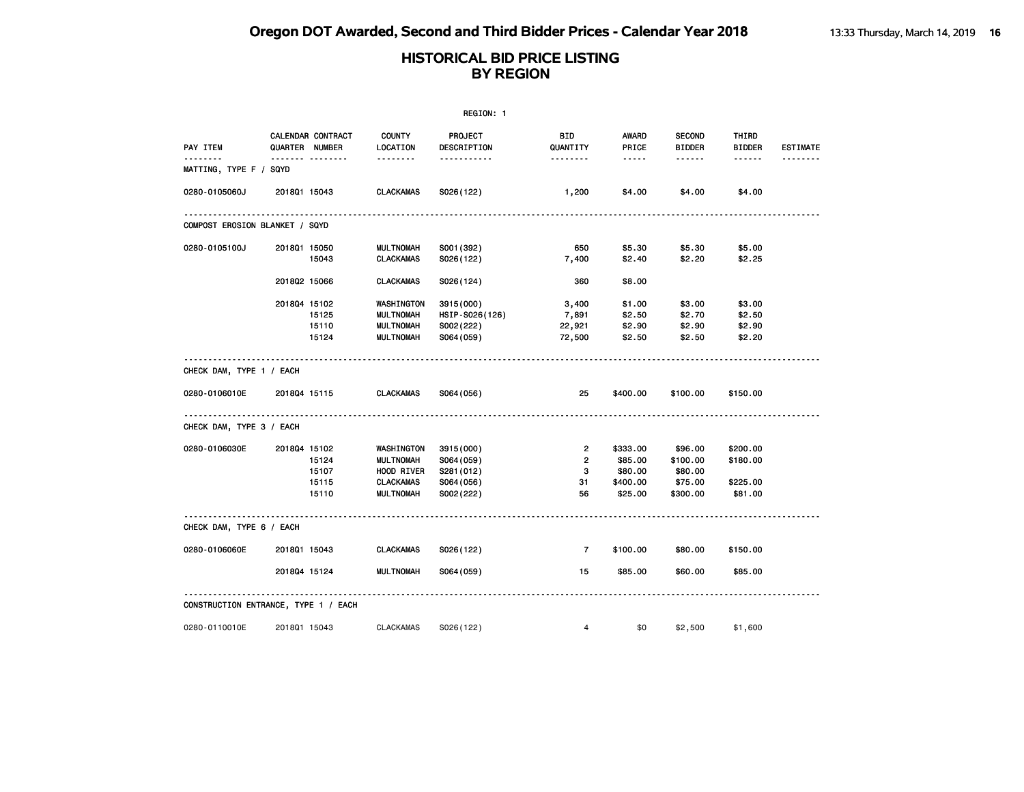| REGION: 1                            |                |                                  |                                                                                      |                                                                  |                                                   |                                                       |                                                       |                                             |                 |  |
|--------------------------------------|----------------|----------------------------------|--------------------------------------------------------------------------------------|------------------------------------------------------------------|---------------------------------------------------|-------------------------------------------------------|-------------------------------------------------------|---------------------------------------------|-----------------|--|
| PAY ITEM                             | QUARTER NUMBER | CALENDAR CONTRACT                | <b>COUNTY</b><br>LOCATION                                                            | PROJECT<br>DESCRIPTION                                           | BID<br>QUANTITY                                   | AWARD<br>PRICE                                        | <b>SECOND</b><br><b>BIDDER</b>                        | THIRD<br><b>BIDDER</b>                      | <b>ESTIMATE</b> |  |
| .<br>MATTING, TYPE F / SQYD          |                | .                                |                                                                                      | <u></u>                                                          |                                                   | $\cdots \cdots$                                       | ------                                                |                                             | .               |  |
| 0280-0105060J                        | 201801 15043   |                                  | <b>CLACKAMAS</b>                                                                     | S026(122)                                                        | 1,200                                             | \$4.00                                                | \$4.00                                                | \$4.00                                      |                 |  |
| COMPOST EROSION BLANKET / SQYD       |                |                                  |                                                                                      |                                                                  |                                                   |                                                       |                                                       |                                             |                 |  |
| 0280-0105100J                        | 201801 15050   | 15043                            | <b>MULTNOMAH</b><br><b>CLACKAMAS</b>                                                 | S001 (392)<br>S026(122)                                          | 650<br>7,400                                      | \$5.30<br>\$2.40                                      | \$5.30<br>\$2.20                                      | \$5.00<br>\$2.25                            |                 |  |
|                                      | 201802 15066   |                                  | <b>CLACKAMAS</b>                                                                     | S026(124)                                                        | 360                                               | \$8.00                                                |                                                       |                                             |                 |  |
|                                      | 2018Q4 15102   | 15125<br>15110<br>15124          | WASHINGTON<br><b>MULTNOMAH</b><br><b>MULTNOMAH</b><br><b>MULTNOMAH</b>               | 3915(000)<br>HSIP-S026(126)<br>S002(222)<br>S064(059)            | 3,400<br>7,891<br>22,921<br>72,500                | \$1.00<br>\$2.50<br>\$2.90<br>\$2.50                  | \$3.00<br>\$2.70<br>\$2.90<br>\$2.50                  | \$3.00<br>\$2.50<br>\$2.90<br>\$2.20        |                 |  |
| CHECK DAM, TYPE 1 / EACH             |                |                                  |                                                                                      |                                                                  |                                                   |                                                       |                                                       |                                             |                 |  |
| 0280-0106010E                        | 201804 15115   |                                  | <b>CLACKAMAS</b>                                                                     | S064(056)                                                        | 25                                                | \$400.00                                              | \$100.00                                              | \$150.00                                    |                 |  |
| CHECK DAM, TYPE 3 / EACH             |                |                                  |                                                                                      |                                                                  |                                                   |                                                       |                                                       |                                             |                 |  |
| 0280-0106030E                        | 201804 15102   | 15124<br>15107<br>15115<br>15110 | WASHINGTON<br><b>MULTNOMAH</b><br>HOOD RIVER<br><b>CLACKAMAS</b><br><b>MULTNOMAH</b> | 3915(000)<br>S064 (059)<br>S281 (012)<br>S064 (056)<br>S002(222) | $\overline{2}$<br>$\overline{2}$<br>3<br>31<br>56 | \$333.00<br>\$85.00<br>\$80.00<br>\$400.00<br>\$25.00 | \$96.00<br>\$100.00<br>\$80.00<br>\$75.00<br>\$300.00 | \$200.00<br>\$180.00<br>\$225.00<br>\$81.00 |                 |  |
| CHECK DAM, TYPE 6 / EACH             |                |                                  |                                                                                      |                                                                  |                                                   |                                                       |                                                       |                                             |                 |  |
| 0280-0106060E                        | 2018Q1 15043   |                                  | <b>CLACKAMAS</b>                                                                     | S026(122)                                                        | $\overline{7}$                                    | \$100.00                                              | \$80.00                                               | \$150.00                                    |                 |  |
|                                      | 201804 15124   |                                  | <b>MULTNOMAH</b>                                                                     | S064 (059)                                                       | 15                                                | \$85.00                                               | \$60.00                                               | \$85.00                                     |                 |  |
| CONSTRUCTION ENTRANCE, TYPE 1 / EACH |                |                                  |                                                                                      |                                                                  |                                                   |                                                       |                                                       |                                             |                 |  |
| 0280-0110010E                        | 201801 15043   |                                  | <b>CLACKAMAS</b>                                                                     | S026(122)                                                        | 4                                                 | \$0                                                   | \$2,500                                               | \$1,600                                     |                 |  |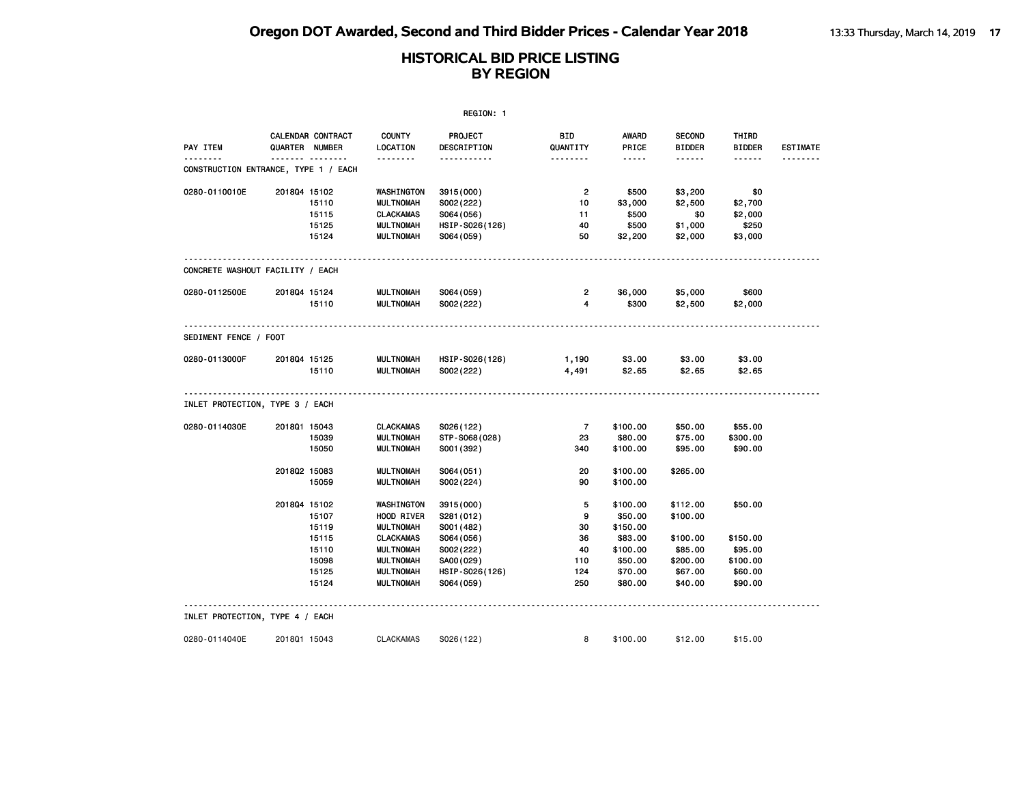|                                      |              |                                     |                           | REGION: 1              |                 |                       |                                |                        |          |
|--------------------------------------|--------------|-------------------------------------|---------------------------|------------------------|-----------------|-----------------------|--------------------------------|------------------------|----------|
| PAY ITEM                             |              | CALENDAR CONTRACT<br>QUARTER NUMBER | <b>COUNTY</b><br>LOCATION | PROJECT<br>DESCRIPTION | BID<br>QUANTITY | <b>AWARD</b><br>PRICE | <b>SECOND</b><br><b>BIDDER</b> | THIRD<br><b>BIDDER</b> | ESTIMATE |
| CONSTRUCTION ENTRANCE, TYPE 1 / EACH |              | .                                   | <u>.</u>                  | .                      | <u>.</u>        | $- - - - -$           | ------                         | ------                 |          |
| 0280-0110010E                        | 201804 15102 |                                     | WASHINGTON                | 3915 (000)             | $\overline{2}$  | \$500                 | \$3,200                        | \$0                    |          |
|                                      |              | 15110                               | <b>MULTNOMAH</b>          | S002(222)              | 10              | \$3,000               | \$2,500                        | \$2,700                |          |
|                                      |              | 15115                               | <b>CLACKAMAS</b>          | S064 (056)             | 11              | \$500                 | \$0                            | \$2,000                |          |
|                                      |              | 15125                               | <b>MULTNOMAH</b>          | HSIP-S026(126)         | 40              | \$500                 | \$1,000                        | \$250                  |          |
|                                      |              | 15124                               | <b>MULTNOMAH</b>          | S064 (059)             | 50              | \$2,200               | \$2,000                        | \$3,000                |          |
| CONCRETE WASHOUT FACILITY / EACH     |              |                                     |                           |                        |                 |                       |                                |                        |          |
| 0280-0112500E                        | 201804 15124 |                                     | <b>MULTNOMAH</b>          | S064 (059)             | $\overline{2}$  | \$6,000               | \$5,000                        | \$600                  |          |
|                                      |              | 15110                               | <b>MULTNOMAH</b>          | S002(222)              | 4               | \$300                 | \$2,500                        | \$2,000                |          |
| SEDIMENT FENCE / FOOT                |              |                                     |                           |                        |                 |                       |                                |                        |          |
| 0280-0113000F                        | 201804 15125 |                                     | <b>MULTNOMAH</b>          | HSIP-S026(126)         | 1,190           | \$3.00                | \$3.00                         | \$3.00                 |          |
|                                      |              | 15110                               | <b>MULTNOMAH</b>          | S002(222)              | 4,491           | \$2.65                | \$2.65                         | \$2.65                 |          |
| INLET PROTECTION, TYPE 3 / EACH      |              |                                     |                           |                        |                 |                       |                                |                        |          |
| 0280-0114030E                        | 201801 15043 |                                     | CLACKAMAS                 | S026(122)              | 7               | \$100.00              | \$50.00                        | \$55.00                |          |
|                                      |              | 15039                               | <b>MULTNOMAH</b>          | STP-S068(028)          | 23              | \$80.00               | \$75.00                        | \$300.00               |          |
|                                      |              | 15050                               | <b>MULTNOMAH</b>          | S001 (392)             | 340             | \$100.00              | \$95.00                        | \$90.00                |          |
|                                      | 201802 15083 |                                     | <b>MULTNOMAH</b>          | S064(051)              | 20              | \$100.00              | \$265.00                       |                        |          |
|                                      |              | 15059                               | <b>MULTNOMAH</b>          | S002(224)              | 90              | \$100.00              |                                |                        |          |
|                                      | 2018Q4 15102 |                                     | WASHINGTON                | 3915(000)              | 5               | \$100.00              | \$112.00                       | \$50.00                |          |
|                                      |              | 15107                               | HOOD RIVER                | S281 (012)             | 9               | \$50.00               | \$100.00                       |                        |          |
|                                      |              | 15119                               | <b>MULTNOMAH</b>          | S001 (482)             | 30              | \$150.00              |                                |                        |          |
|                                      |              | 15115                               | <b>CLACKAMAS</b>          | S064 (056)             | 36              | \$83.00               | \$100.00                       | \$150.00               |          |
|                                      |              | 15110                               | <b>MULTNOMAH</b>          | S002(222)              | 40              | \$100.00              | \$85.00                        | \$95.00                |          |
|                                      |              | 15098                               | <b>MULTNOMAH</b>          | SA00(029)              | 110             | \$50.00               | \$200.00                       | \$100.00               |          |
|                                      |              | 15125                               | <b>MULTNOMAH</b>          | HSIP-S026(126)         | 124             | \$70.00               | \$67.00                        | \$60.00                |          |
|                                      |              | 15124                               | <b>MULTNOMAH</b>          | S064 (059)             | 250             | \$80.00               | \$40.00                        | \$90.00                |          |
| INLET PROTECTION, TYPE 4 / EACH      |              |                                     |                           |                        |                 |                       |                                |                        |          |
| 0280-0114040E                        | 201801 15043 |                                     | <b>CLACKAMAS</b>          | S026(122)              | 8               | \$100.00              | \$12.00                        | \$15.00                |          |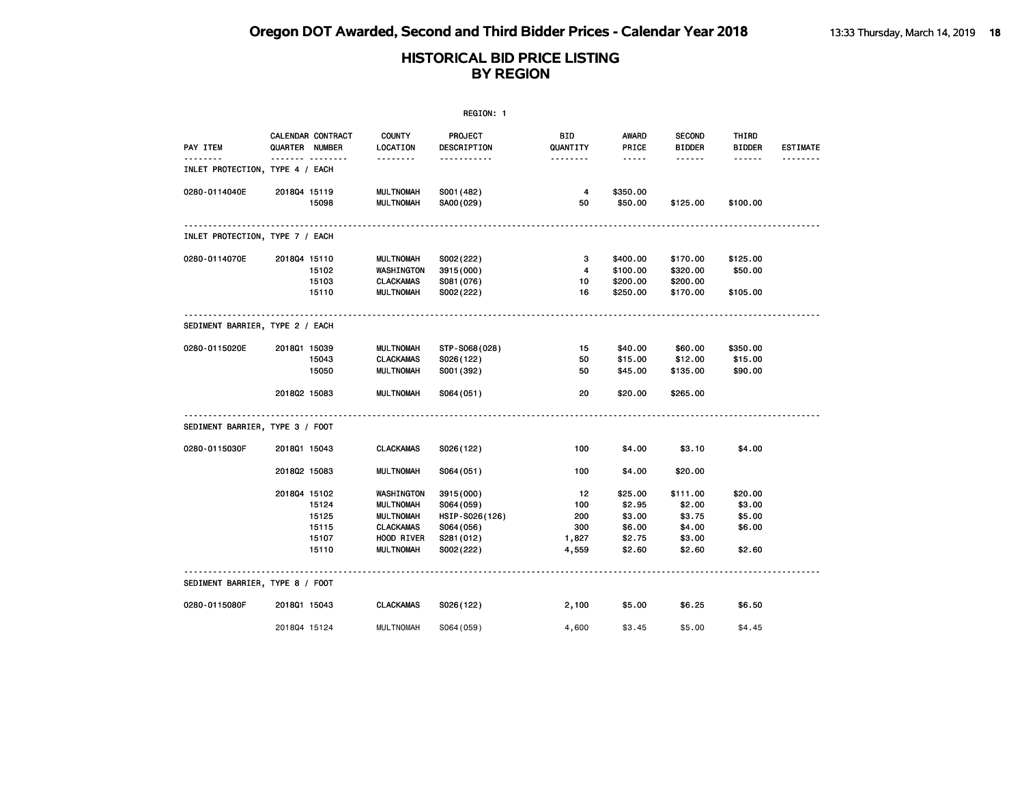|                                 | REGION: 1                    |                                           |                                                                                                          |                                                                                    |                                           |                                                           |                                                            |                                                 |                 |  |  |
|---------------------------------|------------------------------|-------------------------------------------|----------------------------------------------------------------------------------------------------------|------------------------------------------------------------------------------------|-------------------------------------------|-----------------------------------------------------------|------------------------------------------------------------|-------------------------------------------------|-----------------|--|--|
| PAY ITEM                        | QUARTER NUMBER               | CALENDAR CONTRACT                         | <b>COUNTY</b><br>LOCATION                                                                                | PROJECT<br>DESCRIPTION                                                             | BID<br>QUANTITY                           | AWARD<br>PRICE                                            | <b>SECOND</b><br><b>BIDDER</b>                             | THIRD<br><b>BIDDER</b>                          | <b>ESTIMATE</b> |  |  |
| INLET PROTECTION, TYPE 4 / EACH |                              |                                           | .                                                                                                        | <u>.</u>                                                                           |                                           | -----                                                     | .                                                          | ------                                          | --------        |  |  |
| 0280-0114040E                   | 201804 15119                 | 15098                                     | <b>MULTNOMAH</b><br><b>MULTNOMAH</b>                                                                     | S001 (482)<br>SA00(029)                                                            | 4<br>50                                   | \$350.00<br>\$50.00                                       | \$125.00                                                   | \$100.00                                        |                 |  |  |
| INLET PROTECTION, TYPE 7 / EACH |                              |                                           |                                                                                                          |                                                                                    |                                           |                                                           |                                                            |                                                 |                 |  |  |
| 0280-0114070E                   | 201804 15110                 | 15102<br>15103<br>15110                   | <b>MULTNOMAH</b><br>WASHINGTON<br><b>CLACKAMAS</b><br><b>MULTNOMAH</b>                                   | S002(222)<br>3915 (000)<br>S081 (076)<br>S002(222)                                 | 3<br>4<br>10<br>16                        | \$400.00<br>\$100.00<br>\$200.00<br>\$250.00              | \$170.00<br>\$320.00<br>\$200.00<br>\$170.00               | \$125.00<br>\$50.00<br>\$105.00                 |                 |  |  |
| SEDIMENT BARRIER, TYPE 2 / EACH |                              |                                           |                                                                                                          |                                                                                    |                                           |                                                           |                                                            |                                                 |                 |  |  |
| 0280-0115020E                   | 201801 15039<br>201802 15083 | 15043<br>15050                            | <b>MULTNOMAH</b><br><b>CLACKAMAS</b><br><b>MULTNOMAH</b><br><b>MULTNOMAH</b>                             | STP-S068(028)<br>S026(122)<br>S001 (392)<br>S064 (051)                             | 15<br>50<br>50<br>20                      | \$40.00<br>\$15.00<br>\$45.00<br>\$20.00                  | \$60.00<br>\$12.00<br>\$135.00<br>\$265.00                 | \$350.00<br>\$15.00<br>\$90.00                  |                 |  |  |
| SEDIMENT BARRIER, TYPE 3 / FOOT |                              |                                           |                                                                                                          |                                                                                    |                                           |                                                           |                                                            |                                                 |                 |  |  |
| 0280-0115030F                   | 201801 15043                 |                                           | <b>CLACKAMAS</b>                                                                                         | S026(122)                                                                          | 100                                       | \$4.00                                                    | \$3.10                                                     | \$4.00                                          |                 |  |  |
|                                 | 201802 15083                 |                                           | <b>MULTNOMAH</b>                                                                                         | S064(051)                                                                          | 100                                       | \$4.00                                                    | \$20.00                                                    |                                                 |                 |  |  |
|                                 | 201804 15102                 | 15124<br>15125<br>15115<br>15107<br>15110 | WASHINGTON<br><b>MULTNOMAH</b><br><b>MULTNOMAH</b><br><b>CLACKAMAS</b><br>HOOD RIVER<br><b>MULTNOMAH</b> | 3915(000)<br>S064 (059)<br>HSIP-S026(126)<br>S064 (056)<br>S281 (012)<br>S002(222) | 12<br>100<br>200<br>300<br>1,827<br>4,559 | \$25.00<br>\$2.95<br>\$3.00<br>\$6.00<br>\$2.75<br>\$2.60 | \$111.00<br>\$2.00<br>\$3.75<br>\$4.00<br>\$3.00<br>\$2.60 | \$20.00<br>\$3.00<br>\$5.00<br>\$6.00<br>\$2.60 |                 |  |  |
| SEDIMENT BARRIER, TYPE 8 / FOOT |                              |                                           |                                                                                                          |                                                                                    |                                           |                                                           |                                                            |                                                 |                 |  |  |
| 0280-0115080F                   | 201801 15043                 |                                           | <b>CLACKAMAS</b>                                                                                         | S026(122)                                                                          | 2,100                                     | \$5.00                                                    | \$6.25                                                     | \$6.50                                          |                 |  |  |
|                                 | 201804 15124                 |                                           | <b>MULTNOMAH</b>                                                                                         | S064 (059)                                                                         | 4,600                                     | \$3.45                                                    | \$5.00                                                     | \$4.45                                          |                 |  |  |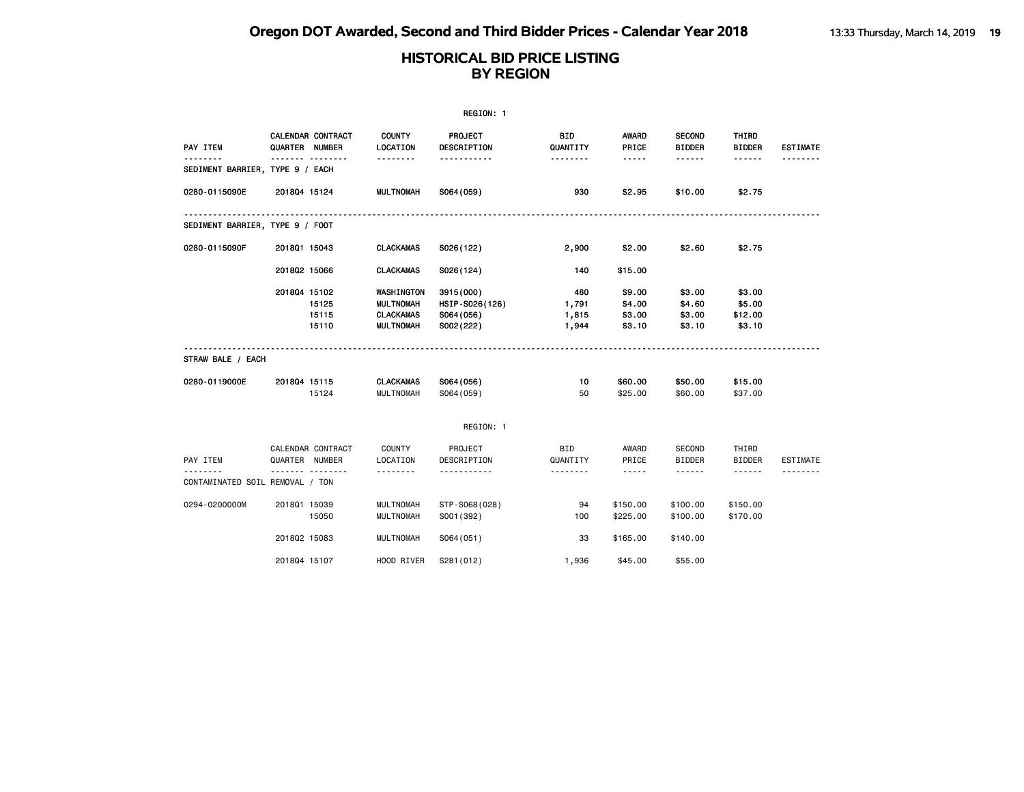|                                             |                |                         |                                                                        | REGION: 1                                              |                                |                                                                                                                                                                        |                                            |                                         |                 |
|---------------------------------------------|----------------|-------------------------|------------------------------------------------------------------------|--------------------------------------------------------|--------------------------------|------------------------------------------------------------------------------------------------------------------------------------------------------------------------|--------------------------------------------|-----------------------------------------|-----------------|
| PAY ITEM                                    | QUARTER NUMBER | CALENDAR CONTRACT<br>.  | <b>COUNTY</b><br>LOCATION<br><u>.</u>                                  | PROJECT<br>DESCRIPTION<br><u></u>                      | BID<br>QUANTITY                | <b>AWARD</b><br>PRICE<br>$- - - - -$                                                                                                                                   | <b>SECOND</b><br><b>BIDDER</b><br>------   | THIRD<br><b>BIDDER</b><br>$- - - - - -$ | <b>ESTIMATE</b> |
| SEDIMENT BARRIER, TYPE 9 / EACH             |                |                         |                                                                        |                                                        |                                |                                                                                                                                                                        |                                            |                                         |                 |
| 0280-0115090E                               | 201804 15124   |                         | <b>MULTNOMAH</b>                                                       | S064 (059)                                             | 930                            | \$2.95                                                                                                                                                                 | \$10.00                                    | \$2.75                                  |                 |
| SEDIMENT BARRIER, TYPE 9 / FOOT             |                |                         |                                                                        |                                                        |                                |                                                                                                                                                                        |                                            |                                         |                 |
| 0280-0115090F                               | 201801 15043   |                         | <b>CLACKAMAS</b>                                                       | S026(122)                                              | 2,900                          | \$2.00                                                                                                                                                                 | \$2.60                                     | \$2.75                                  |                 |
|                                             | 201802 15066   |                         | <b>CLACKAMAS</b>                                                       | S026(124)                                              | 140                            | \$15.00                                                                                                                                                                |                                            |                                         |                 |
|                                             | 201804 15102   | 15125<br>15115<br>15110 | WASHINGTON<br><b>MULTNOMAH</b><br><b>CLACKAMAS</b><br><b>MULTNOMAH</b> | 3915 (000)<br>HSIP-S026(126)<br>S064(056)<br>S002(222) | 480<br>1,791<br>1,815<br>1,944 | \$9.00<br>\$4.00<br>\$3.00<br>\$3.10                                                                                                                                   | \$3.00<br>\$4.60<br>\$3.00<br>\$3.10       | \$3.00<br>\$5.00<br>\$12.00<br>\$3.10   |                 |
| STRAW BALE / EACH                           |                |                         |                                                                        |                                                        |                                |                                                                                                                                                                        |                                            |                                         |                 |
| 0280-0119000E                               | 201804 15115   | 15124                   | <b>CLACKAMAS</b><br><b>MULTNOMAH</b>                                   | S064(056)<br>S064 (059)                                | 10<br>50                       | \$60.00<br>\$25.00                                                                                                                                                     | \$50.00<br>\$60,00                         | \$15.00<br>\$37,00                      |                 |
|                                             |                |                         |                                                                        | REGION: 1                                              |                                |                                                                                                                                                                        |                                            |                                         |                 |
| PAY ITEM<br>CONTAMINATED SOIL REMOVAL / TON | QUARTER NUMBER | CALENDAR CONTRACT<br>.  | COUNTY<br>LOCATION<br>.                                                | PROJECT<br>DESCRIPTION<br><u>.</u>                     | BID<br>QUANTITY                | AWARD<br>PRICE<br>$\frac{1}{2} \left( \frac{1}{2} \right) \left( \frac{1}{2} \right) \left( \frac{1}{2} \right) \left( \frac{1}{2} \right) \left( \frac{1}{2} \right)$ | <b>SECOND</b><br><b>BIDDER</b><br><b>.</b> | THIRD<br><b>BIDDER</b><br>$- - - - - -$ | ESTIMATE        |
| 0294-0200000M                               | 201801 15039   | 15050                   | <b>MULTNOMAH</b><br><b>MULTNOMAH</b>                                   | STP-S068(028)<br>S001 (392)                            | 94<br>100                      | \$150.00<br>\$225.00                                                                                                                                                   | \$100.00<br>\$100.00                       | \$150.00<br>\$170.00                    |                 |
|                                             | 201802 15083   |                         | <b>MULTNOMAH</b>                                                       | S064(051)                                              | 33                             | \$165.00                                                                                                                                                               | \$140.00                                   |                                         |                 |
|                                             | 201804 15107   |                         | HOOD RIVER                                                             | S281 (012)                                             | 1,936                          | \$45.00                                                                                                                                                                | \$55.00                                    |                                         |                 |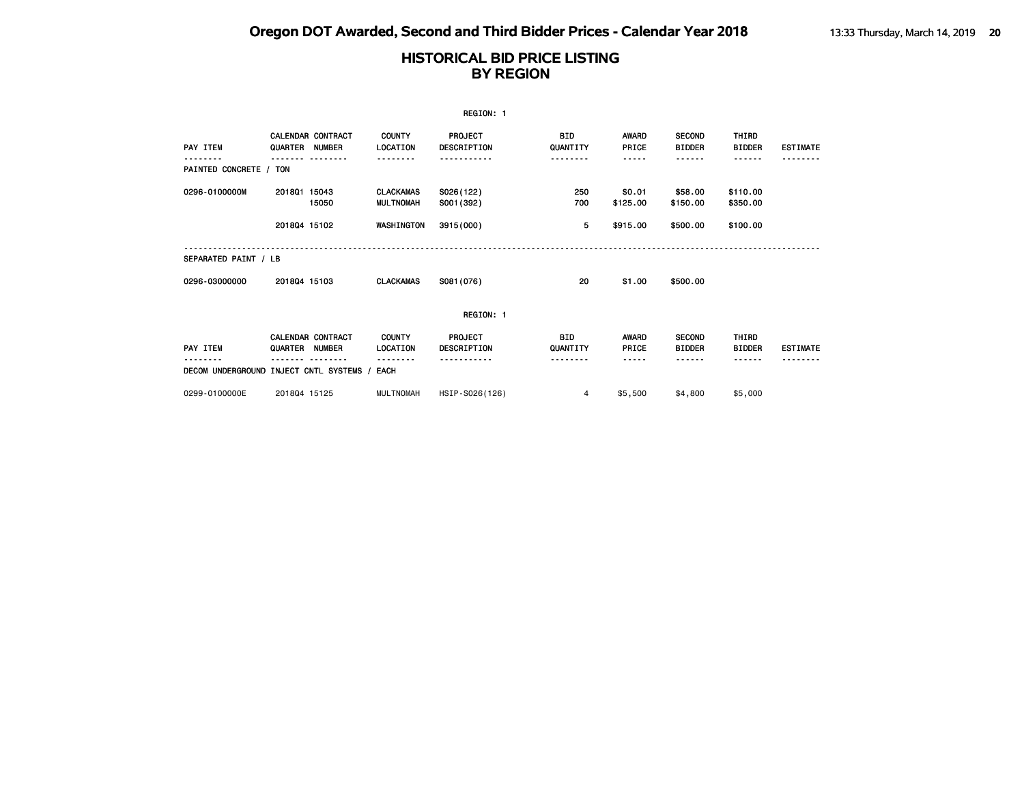|                        |                                            |                                  | REGION: 1                            |                        |                       |                                |                        |                 |
|------------------------|--------------------------------------------|----------------------------------|--------------------------------------|------------------------|-----------------------|--------------------------------|------------------------|-----------------|
| PAY ITEM               | <b>CALENDAR CONTRACT</b><br>QUARTER NUMBER | <b>COUNTY</b><br>LOCATION        | PROJECT<br>DESCRIPTION               | <b>BID</b><br>QUANTITY | <b>AWARD</b><br>PRICE | <b>SECOND</b><br><b>BIDDER</b> | THIRD<br><b>BIDDER</b> | <b>ESTIMATE</b> |
| PAINTED CONCRETE / TON |                                            |                                  |                                      |                        | -----                 | ------                         | ------                 |                 |
|                        |                                            |                                  |                                      |                        |                       |                                |                        |                 |
| 0296-0100000M          | 201801 15043                               | <b>CLACKAMAS</b>                 | S026(122)                            | 250                    | \$0.01                | \$58.00                        | \$110.00               |                 |
|                        | 15050                                      | <b>MULTNOMAH</b>                 | S001 (392)                           | 700                    | \$125.00              | \$150.00                       | \$350.00               |                 |
|                        | 201804 15102                               | WASHINGTON                       | 3915 (000)                           | 5                      | \$915.00              | \$500.00                       | \$100.00               |                 |
| SEPARATED PAINT / LB   |                                            |                                  |                                      |                        |                       |                                |                        |                 |
| 0296-03000000          | 201804 15103                               | <b>CLACKAMAS</b>                 | S081 (076)                           | 20                     | \$1.00                | \$500.00                       |                        |                 |
|                        |                                            |                                  | REGION: 1                            |                        |                       |                                |                        |                 |
| PAY ITEM               | <b>CALENDAR CONTRACT</b><br>QUARTER NUMBER | <b>COUNTY</b><br><b>LOCATION</b> | <b>PROJECT</b><br><b>DESCRIPTION</b> | <b>BID</b><br>QUANTITY | AWARD<br>PRICE        | <b>SECOND</b><br><b>BIDDER</b> | THIRD<br><b>BIDDER</b> | <b>ESTIMATE</b> |
|                        | DECOM UNDERGROUND INJECT CNTL SYSTEMS /    | EACH                             |                                      |                        | -----                 | ------                         |                        |                 |
| 0299-0100000E          | 201804 15125                               | <b>MULTNOMAH</b>                 | HSIP-S026(126)                       | 4                      | \$5,500               | \$4,800                        | \$5,000                |                 |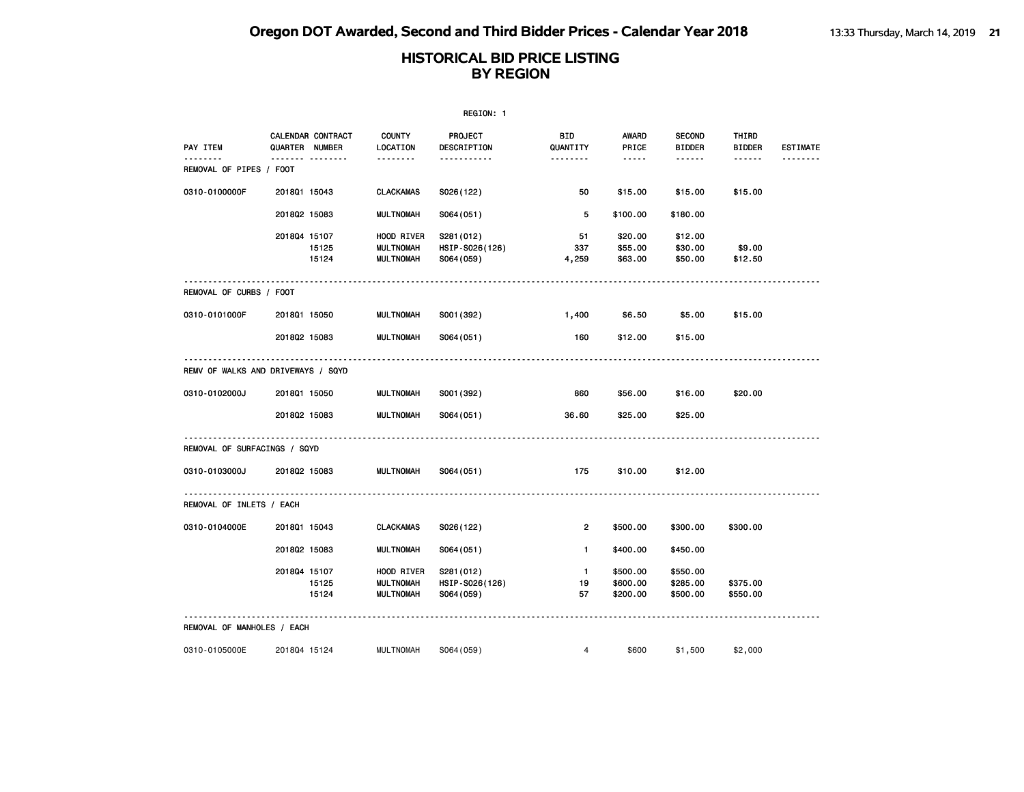|                                    | REGION: 1    |                                     |                           |                        |                 |                       |                                |                        |                 |  |  |
|------------------------------------|--------------|-------------------------------------|---------------------------|------------------------|-----------------|-----------------------|--------------------------------|------------------------|-----------------|--|--|
| PAY ITEM                           |              | CALENDAR CONTRACT<br>QUARTER NUMBER | <b>COUNTY</b><br>LOCATION | PROJECT<br>DESCRIPTION | BID<br>QUANTITY | <b>AWARD</b><br>PRICE | <b>SECOND</b><br><b>BIDDER</b> | THIRD<br><b>BIDDER</b> | <b>ESTIMATE</b> |  |  |
| REMOVAL OF PIPES / FOOT            |              | .                                   | <u>.</u>                  | <u>.</u>               |                 | $- - - - -$           | ------                         | $- - - - - -$          | <u>.</u>        |  |  |
| 0310-0100000F                      | 201801 15043 |                                     | <b>CLACKAMAS</b>          | S026(122)              | 50              | \$15.00               | \$15.00                        | \$15.00                |                 |  |  |
|                                    | 201802 15083 |                                     | <b>MULTNOMAH</b>          | S064(051)              | 5               | \$100.00              | \$180.00                       |                        |                 |  |  |
|                                    | 201804 15107 |                                     | HOOD RIVER                | S281 (012)             | 51              | \$20.00               | \$12.00                        |                        |                 |  |  |
|                                    |              | 15125                               | <b>MULTNOMAH</b>          | HSIP-S026(126)         | 337             | \$55.00               | \$30.00                        | \$9.00                 |                 |  |  |
|                                    |              | 15124                               | <b>MULTNOMAH</b>          | S064 (059)             | 4,259           | \$63.00               | \$50.00                        | \$12.50                |                 |  |  |
| REMOVAL OF CURBS / FOOT            |              |                                     |                           |                        |                 |                       |                                |                        |                 |  |  |
| 0310-0101000F                      | 201801 15050 |                                     | <b>MULTNOMAH</b>          | S001 (392)             | 1,400           | \$6.50                | \$5.00                         | \$15.00                |                 |  |  |
|                                    | 201802 15083 |                                     | <b>MULTNOMAH</b>          | S064(051)              | 160             | \$12.00               | \$15.00                        |                        |                 |  |  |
| REMV OF WALKS AND DRIVEWAYS / SQYD |              |                                     |                           |                        |                 |                       |                                |                        |                 |  |  |
| 0310-0102000J                      | 201801 15050 |                                     | <b>MULTNOMAH</b>          | S001 (392)             | 860             | \$56.00               | \$16.00                        | \$20.00                |                 |  |  |
|                                    | 201802 15083 |                                     | <b>MULTNOMAH</b>          | S064(051)              | 36.60           | \$25.00               | \$25.00                        |                        |                 |  |  |
| REMOVAL OF SURFACINGS / SQYD       |              |                                     |                           |                        |                 |                       |                                |                        |                 |  |  |
| 0310-0103000J                      | 201802 15083 |                                     | <b>MULTNOMAH</b>          | S064(051)              | 175             | \$10.00               | \$12.00                        |                        |                 |  |  |
| REMOVAL OF INLETS / EACH           |              |                                     |                           |                        |                 |                       |                                |                        |                 |  |  |
| 0310-0104000E                      | 201801 15043 |                                     | <b>CLACKAMAS</b>          | S026(122)              | $\overline{2}$  | \$500.00              | \$300.00                       | \$300.00               |                 |  |  |
|                                    | 201802 15083 |                                     | <b>MULTNOMAH</b>          | S064 (051)             | $\mathbf{1}$    | \$400.00              | \$450.00                       |                        |                 |  |  |
|                                    | 201804 15107 |                                     | HOOD RIVER                | S281 (012)             | $\mathbf{1}$    | \$500.00              | \$550.00                       |                        |                 |  |  |
|                                    |              | 15125                               | <b>MULTNOMAH</b>          | HSIP-S026(126)         | 19              | \$600.00              | \$285.00                       | \$375.00               |                 |  |  |
|                                    |              | 15124                               | <b>MULTNOMAH</b>          | S064 (059)             | 57              | \$200.00              | \$500.00                       | \$550.00               |                 |  |  |
| REMOVAL OF MANHOLES / EACH         |              |                                     |                           |                        |                 |                       |                                |                        |                 |  |  |
| 0310-0105000E                      | 201804 15124 |                                     | MULTNOMAH                 | S064 (059)             | 4               | \$600                 | \$1,500                        | \$2,000                |                 |  |  |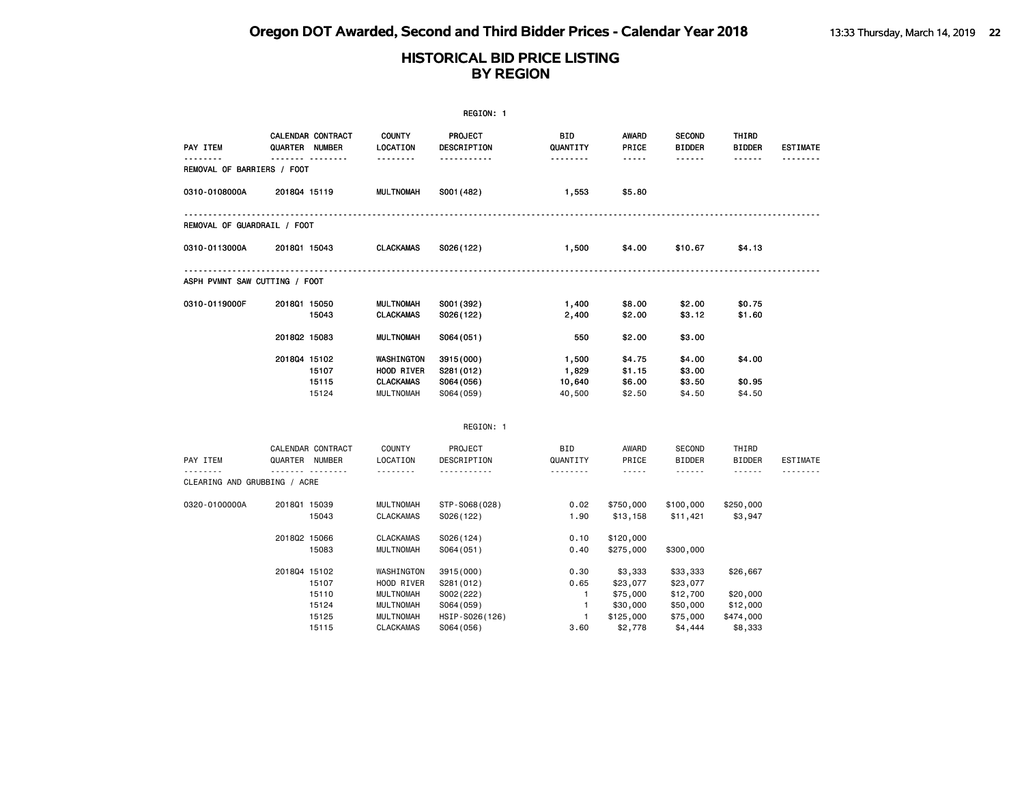|                               | REGION: 1    |                                            |                                                                  |                                                      |                                        |                                                      |                                                   |                                  |                 |  |
|-------------------------------|--------------|--------------------------------------------|------------------------------------------------------------------|------------------------------------------------------|----------------------------------------|------------------------------------------------------|---------------------------------------------------|----------------------------------|-----------------|--|
| PAY ITEM                      |              | CALENDAR CONTRACT<br><b>QUARTER NUMBER</b> | <b>COUNTY</b><br>LOCATION                                        | PROJECT<br>DESCRIPTION                               | <b>BID</b><br>QUANTITY                 | AWARD<br>PRICE                                       | <b>SECOND</b><br><b>BIDDER</b>                    | THIRD<br><b>BIDDER</b>           | <b>ESTIMATE</b> |  |
| REMOVAL OF BARRIERS / FOOT    |              | .                                          | <u> - - - - - - -</u>                                            | -----------                                          | <u>.</u>                               | $- - - - -$                                          | .                                                 |                                  | <u>.</u>        |  |
| 0310-0108000A                 | 201804 15119 |                                            | <b>MULTNOMAH</b>                                                 | S001 (482)                                           | 1,553                                  | \$5.80                                               |                                                   |                                  |                 |  |
| REMOVAL OF GUARDRAIL / FOOT   |              |                                            |                                                                  |                                                      |                                        |                                                      |                                                   |                                  |                 |  |
| 0310-0113000A                 | 201801 15043 |                                            | <b>CLACKAMAS</b>                                                 | S026(122)                                            | 1,500                                  | \$4.00                                               | \$10.67                                           | \$4.13                           |                 |  |
| ASPH PVMNT SAW CUTTING / FOOT |              |                                            |                                                                  |                                                      |                                        |                                                      |                                                   |                                  |                 |  |
| 0310-0119000F                 | 2018Q1 15050 | 15043                                      | <b>MULTNOMAH</b><br><b>CLACKAMAS</b>                             | S001 (392)<br>S026(122)                              | 1,400<br>2,400                         | \$8.00<br>\$2.00                                     | \$2.00<br>\$3.12                                  | \$0.75<br>\$1.60                 |                 |  |
|                               | 201802 15083 |                                            | <b>MULTNOMAH</b>                                                 | S064(051)                                            | 550                                    | \$2.00                                               | \$3.00                                            |                                  |                 |  |
|                               | 201804 15102 | 15107<br>15115<br>15124                    | WASHINGTON<br>HOOD RIVER<br><b>CLACKAMAS</b><br><b>MULTNOMAH</b> | 3915 (000)<br>S281 (012)<br>S064 (056)<br>S064 (059) | 1,500<br>1,829<br>10,640<br>40,500     | \$4.75<br>\$1.15<br>\$6.00<br>\$2.50                 | \$4.00<br>\$3.00<br>\$3.50<br>\$4.50              | \$4.00<br>\$0.95<br>\$4.50       |                 |  |
|                               |              |                                            |                                                                  | REGION: 1                                            |                                        |                                                      |                                                   |                                  |                 |  |
| PAY ITEM<br><u>.</u>          |              | CALENDAR CONTRACT<br>QUARTER NUMBER<br>.   | COUNTY<br>LOCATION<br>.                                          | PROJECT<br>DESCRIPTION<br>.                          | BID<br>QUANTITY<br>.                   | AWARD<br>PRICE<br>$\sim$ $\sim$ $\sim$ $\sim$ $\sim$ | SECOND<br><b>BIDDER</b><br>$\cdots \cdots \cdots$ | THIRD<br><b>BIDDER</b>           | ESTIMATE<br>.   |  |
| CLEARING AND GRUBBING / ACRE  |              |                                            |                                                                  |                                                      |                                        |                                                      |                                                   |                                  |                 |  |
| 0320-0100000A                 | 201801 15039 | 15043                                      | MULTNOMAH<br><b>CLACKAMAS</b>                                    | STP-S068(028)<br>S026(122)                           | 0.02<br>1.90                           | \$750,000<br>\$13,158                                | \$100,000<br>\$11,421                             | \$250,000<br>\$3,947             |                 |  |
|                               | 201802 15066 | 15083                                      | <b>CLACKAMAS</b><br><b>MULTNOMAH</b>                             | S026(124)<br>S064(051)                               | 0.10<br>0.40                           | \$120,000<br>\$275,000                               | \$300,000                                         |                                  |                 |  |
|                               | 201804 15102 | 15107<br>15110                             | WASHINGTON<br>HOOD RIVER<br><b>MULTNOMAH</b>                     | 3915 (000)<br>S281(012)<br>S002(222)                 | 0.30<br>0.65<br>$\mathbf{1}$           | \$3,333<br>\$23,077<br>\$75,000                      | \$33,333<br>\$23,077<br>\$12,700                  | \$26,667<br>\$20,000             |                 |  |
|                               |              | 15124<br>15125<br>15115                    | <b>MULTNOMAH</b><br><b>MULTNOMAH</b><br><b>CLACKAMAS</b>         | S064 (059)<br>HSIP-S026(126)<br>S064 (056)           | $\overline{1}$<br>$\mathbf{1}$<br>3.60 | \$30,000<br>\$125,000<br>\$2,778                     | \$50,000<br>\$75,000<br>\$4,444                   | \$12,000<br>\$474,000<br>\$8,333 |                 |  |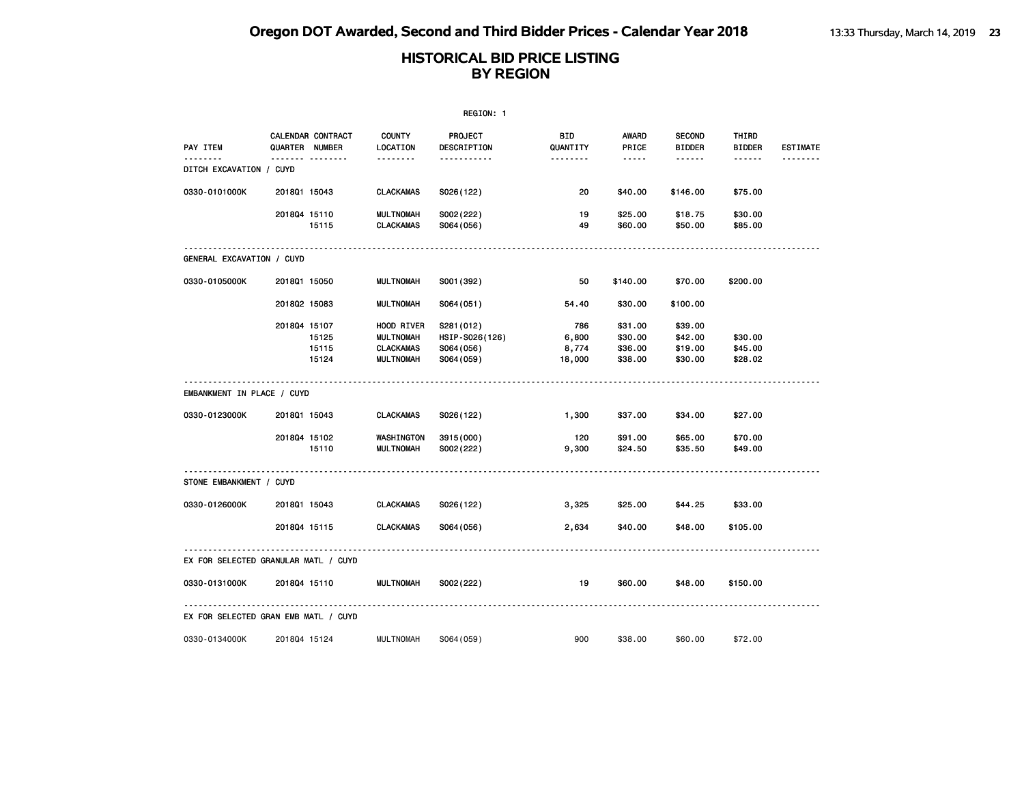|                                      | REGION: 1                           |                |                                      |                               |                 |                    |                                |                        |                 |  |  |
|--------------------------------------|-------------------------------------|----------------|--------------------------------------|-------------------------------|-----------------|--------------------|--------------------------------|------------------------|-----------------|--|--|
| PAY ITEM                             | CALENDAR CONTRACT<br>QUARTER NUMBER |                | <b>COUNTY</b><br>LOCATION            | <b>PROJECT</b><br>DESCRIPTION | BID<br>QUANTITY | AWARD<br>PRICE     | <b>SECOND</b><br><b>BIDDER</b> | THIRD<br><b>BIDDER</b> | <b>ESTIMATE</b> |  |  |
| DITCH EXCAVATION / CUYD              | <u>------- --------</u>             |                | .                                    | .                             | --------        | -----              | ------                         | ------                 |                 |  |  |
| 0330-0101000K                        | 201801 15043                        |                | <b>CLACKAMAS</b>                     | S026(122)                     | 20              | \$40.00            | \$146.00                       | \$75.00                |                 |  |  |
|                                      | 201804 15110                        | 15115          | <b>MULTNOMAH</b><br><b>CLACKAMAS</b> | S002(222)<br>S064 (056)       | 19<br>49        | \$25.00<br>\$60.00 | \$18.75<br>\$50.00             | \$30.00<br>\$85.00     |                 |  |  |
| GENERAL EXCAVATION / CUYD            |                                     |                |                                      |                               |                 |                    |                                |                        |                 |  |  |
| 0330-0105000K                        | 201801 15050                        |                | <b>MULTNOMAH</b>                     | S001 (392)                    | 50              | \$140.00           | \$70.00                        | \$200.00               |                 |  |  |
|                                      | 201802 15083                        |                | <b>MULTNOMAH</b>                     | S064(051)                     | 54.40           | \$30.00            | \$100.00                       |                        |                 |  |  |
|                                      | 201804 15107                        |                | HOOD RIVER                           | S281 (012)                    | 786             | \$31.00            | \$39.00                        |                        |                 |  |  |
|                                      |                                     | 15125          | <b>MULTNOMAH</b>                     | HSIP-S026(126)                | 6,800           | \$30.00            | \$42.00                        | \$30.00                |                 |  |  |
|                                      |                                     | 15115<br>15124 | <b>CLACKAMAS</b><br><b>MULTNOMAH</b> | S064(056)<br>S064 (059)       | 8,774<br>18,000 | \$36.00<br>\$38.00 | \$19.00<br>\$30.00             | \$45.00<br>\$28.02     |                 |  |  |
| EMBANKMENT IN PLACE / CUYD           |                                     |                |                                      |                               |                 |                    |                                |                        |                 |  |  |
| 0330-0123000K                        | 201801 15043                        |                | <b>CLACKAMAS</b>                     | S026(122)                     | 1,300           | \$37.00            | \$34.00                        | \$27.00                |                 |  |  |
|                                      | 201804 15102                        |                | WASHINGTON                           | 3915 (000)                    | 120             | \$91.00            | \$65.00                        | \$70.00                |                 |  |  |
|                                      |                                     | 15110          | <b>MULTNOMAH</b>                     | S002(222)                     | 9,300           | \$24.50            | \$35.50                        | \$49.00                |                 |  |  |
| STONE EMBANKMENT / CUYD              |                                     |                |                                      |                               |                 |                    |                                |                        |                 |  |  |
| 0330-0126000K                        | 201801 15043                        |                | <b>CLACKAMAS</b>                     | S026(122)                     | 3,325           | \$25.00            | \$44.25                        | \$33.00                |                 |  |  |
|                                      | 201804 15115                        |                | <b>CLACKAMAS</b>                     | S064 (056)                    | 2,634           | \$40.00            | \$48.00                        | \$105.00               |                 |  |  |
| EX FOR SELECTED GRANULAR MATL / CUYD |                                     |                |                                      |                               |                 |                    |                                |                        |                 |  |  |
| 0330-0131000K                        | 201804 15110                        |                | MULTNOMAH                            | S002(222)                     | 19              | \$60.00            | \$48.00                        | \$150.00               |                 |  |  |
| EX FOR SELECTED GRAN EMB MATL / CUYD |                                     |                |                                      |                               |                 |                    |                                |                        |                 |  |  |
| 0330-0134000K                        | 201804 15124                        |                | <b>MULTNOMAH</b>                     | S064 (059)                    | 900             | \$38.00            | \$60.00                        | \$72.00                |                 |  |  |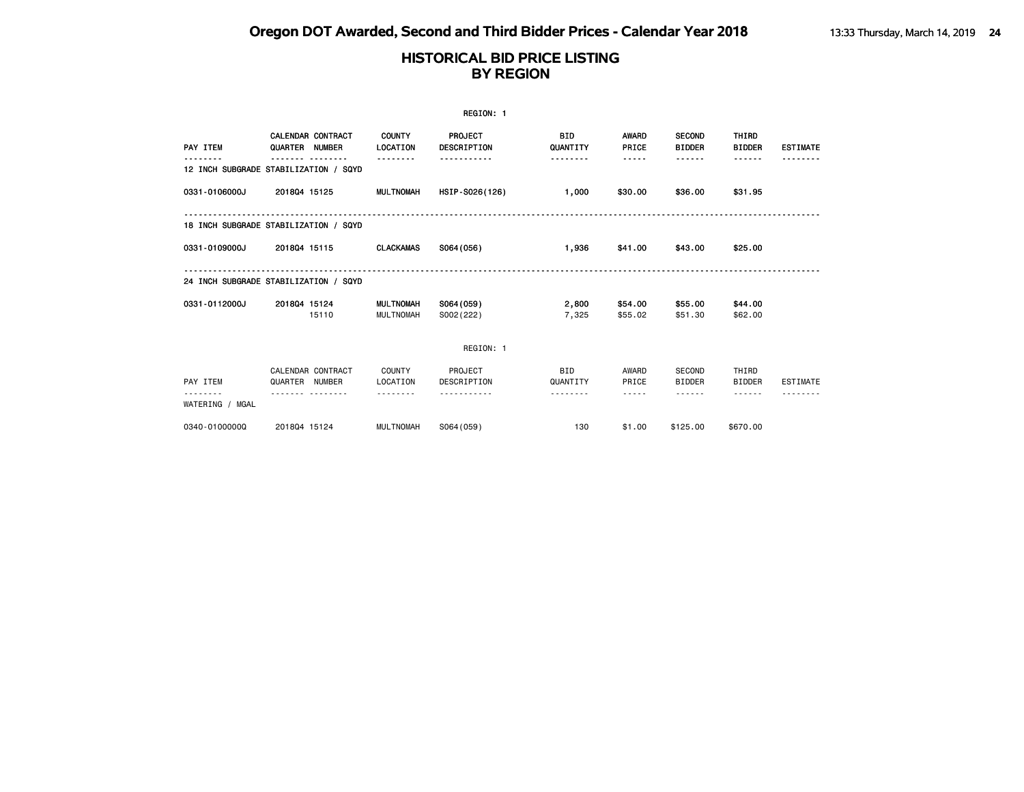|                 |                                            |                               | REGION: 1                            |                             |                         |                                               |                                  |                 |
|-----------------|--------------------------------------------|-------------------------------|--------------------------------------|-----------------------------|-------------------------|-----------------------------------------------|----------------------------------|-----------------|
| PAY ITEM        | <b>CALENDAR CONTRACT</b><br>QUARTER NUMBER | <b>COUNTY</b><br>LOCATION     | <b>PROJECT</b><br><b>DESCRIPTION</b> | <b>BID</b><br>QUANTITY      | <b>AWARD</b><br>PRICE   | <b>SECOND</b><br><b>BIDDER</b>                | <b>THIRD</b><br><b>BIDDER</b>    | <b>ESTIMATE</b> |
|                 | 12 INCH SUBGRADE STABILIZATION / SQYD      |                               |                                      | <u>.</u>                    | -----                   | ------                                        | ------                           |                 |
| 0331-0106000J   | 201804 15125                               | <b>MULTNOMAH</b>              | HSIP-S026(126)                       | 1,000                       | \$30.00                 | \$36.00                                       | \$31.95                          |                 |
|                 | 18 INCH SUBGRADE STABILIZATION / SQYD      |                               |                                      |                             |                         |                                               |                                  |                 |
| 0331-0109000J   | 201804 15115                               | <b>CLACKAMAS</b>              | S064(056)                            | 1,936                       | \$41.00                 | \$43.00                                       | \$25.00                          |                 |
|                 | 24 INCH SUBGRADE STABILIZATION / SQYD      |                               |                                      |                             |                         |                                               |                                  |                 |
| 0331-0112000J   | 201804 15124<br>15110                      | MULTNOMAH<br><b>MULTNOMAH</b> | S064(059)<br>S002(222)               | 2,800<br>7,325              | \$54.00<br>\$55.02      | \$55.00<br>\$51.30                            | \$44.00<br>\$62.00               |                 |
|                 |                                            |                               | REGION: 1                            |                             |                         |                                               |                                  |                 |
| PAY ITEM        | CALENDAR CONTRACT<br>QUARTER NUMBER        | <b>COUNTY</b><br>LOCATION     | PROJECT<br>DESCRIPTION               | <b>BID</b><br>QUANTITY<br>. | AWARD<br>PRICE<br>----- | <b>SECOND</b><br><b>BIDDER</b><br>- - - - - - | THIRD<br><b>BIDDER</b><br>------ | <b>ESTIMATE</b> |
| WATERING / MGAL |                                            |                               |                                      |                             |                         |                                               |                                  |                 |
| 0340-0100000Q   | 201804 15124                               | <b>MULTNOMAH</b>              | S064 (059)                           | 130                         | \$1,00                  | \$125.00                                      | \$670.00                         |                 |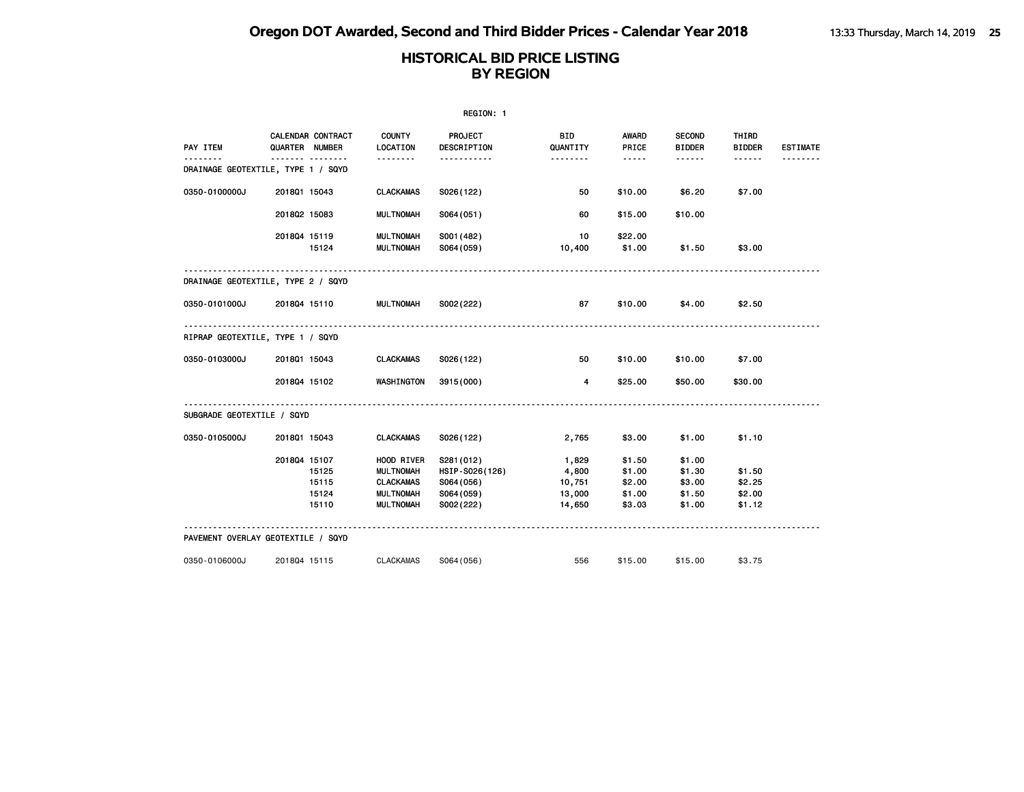|                                                | REGION: 1    |                                     |                                                                              |                                                                      |                                              |                                                |                                                |                                      |                 |  |  |  |
|------------------------------------------------|--------------|-------------------------------------|------------------------------------------------------------------------------|----------------------------------------------------------------------|----------------------------------------------|------------------------------------------------|------------------------------------------------|--------------------------------------|-----------------|--|--|--|
| PAY ITEM                                       |              | CALENDAR CONTRACT<br>QUARTER NUMBER | <b>COUNTY</b><br>LOCATION                                                    | PROJECT<br>DESCRIPTION                                               | BID<br>QUANTITY                              | AWARD<br>PRICE                                 | <b>SECOND</b><br><b>BIDDER</b>                 | THIRD<br><b>BIDDER</b>               | <b>ESTIMATE</b> |  |  |  |
| <u>.</u><br>DRAINAGE GEOTEXTILE, TYPE 1 / SQYD |              | <u>--- --------</u>                 | --------                                                                     | <u>.</u>                                                             | --------                                     | $\cdots \cdots \cdots$                         | ------                                         | ------                               |                 |  |  |  |
| 0350-0100000J                                  | 201801 15043 |                                     | <b>CLACKAMAS</b>                                                             | S026(122)                                                            | 50                                           | \$10.00                                        | \$6.20                                         | \$7.00                               |                 |  |  |  |
|                                                | 201802 15083 |                                     | <b>MULTNOMAH</b>                                                             | S064(051)                                                            | 60                                           | \$15.00                                        | \$10.00                                        |                                      |                 |  |  |  |
|                                                | 201804 15119 | 15124                               | <b>MULTNOMAH</b><br><b>MULTNOMAH</b>                                         | S001 (482)<br>S064 (059)                                             | 10<br>10,400                                 | \$22.00<br>\$1.00                              | \$1.50                                         | \$3.00                               |                 |  |  |  |
| DRAINAGE GEOTEXTILE, TYPE 2 / SQYD             |              |                                     |                                                                              |                                                                      |                                              |                                                |                                                |                                      |                 |  |  |  |
| 0350-0101000J                                  | 201804 15110 |                                     | MULTNOMAH                                                                    | S002(222)                                                            | 87                                           | \$10.00                                        | \$4.00                                         | \$2.50                               |                 |  |  |  |
| RIPRAP GEOTEXTILE, TYPE 1 / SQYD               |              |                                     |                                                                              |                                                                      |                                              |                                                |                                                |                                      |                 |  |  |  |
| 0350-0103000J                                  | 201801 15043 |                                     | <b>CLACKAMAS</b>                                                             | S026(122)                                                            | 50                                           | \$10.00                                        | \$10.00                                        | \$7.00                               |                 |  |  |  |
|                                                | 201804 15102 |                                     | WASHINGTON                                                                   | 3915 (000)                                                           | $\overline{4}$                               | \$25.00                                        | \$50.00                                        | \$30.00                              |                 |  |  |  |
| SUBGRADE GEOTEXTILE / SQYD                     |              |                                     |                                                                              |                                                                      |                                              |                                                |                                                |                                      |                 |  |  |  |
| 0350-0105000J                                  | 201801 15043 |                                     | <b>CLACKAMAS</b>                                                             | S026(122)                                                            | 2,765                                        | \$3.00                                         | \$1.00                                         | \$1.10                               |                 |  |  |  |
|                                                | 201804 15107 | 15125<br>15115<br>15124<br>15110    | HOOD RIVER<br><b>MULTNOMAH</b><br><b>CLACKAMAS</b><br>MULTNOMAH<br>MULTNOMAH | S281 (012)<br>HSIP-S026(126)<br>S064(056)<br>S064 (059)<br>S002(222) | 1,829<br>4,800<br>10,751<br>13,000<br>14,650 | \$1.50<br>\$1.00<br>\$2.00<br>\$1.00<br>\$3.03 | \$1.00<br>\$1.30<br>\$3.00<br>\$1.50<br>\$1.00 | \$1.50<br>\$2.25<br>\$2.00<br>\$1.12 |                 |  |  |  |
| PAVEMENT OVERLAY GEOTEXTILE / SQYD             |              |                                     |                                                                              |                                                                      |                                              |                                                |                                                |                                      |                 |  |  |  |
| 0350-0106000J                                  | 201804 15115 |                                     | <b>CLACKAMAS</b>                                                             | S064 (056)                                                           | 556                                          | \$15.00                                        | \$15.00                                        | \$3.75                               |                 |  |  |  |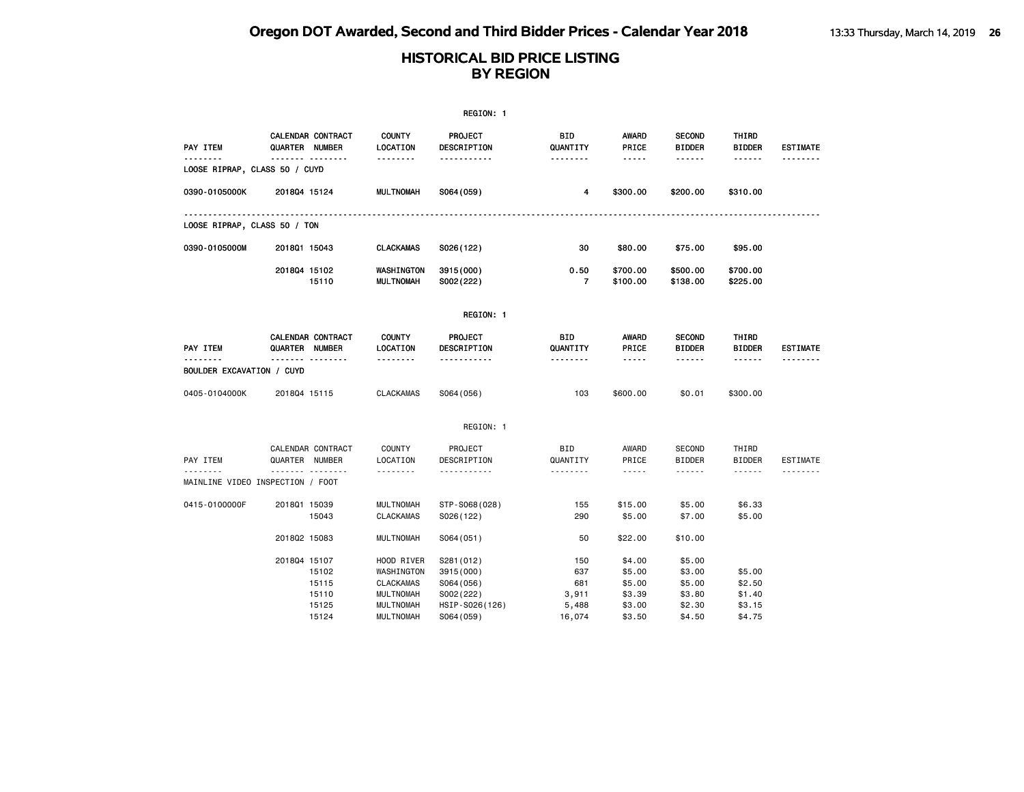|                                           |                                                 |                                                                  | REGION: 1                                           |                                    |                                                      |                                                |                                  |                             |
|-------------------------------------------|-------------------------------------------------|------------------------------------------------------------------|-----------------------------------------------------|------------------------------------|------------------------------------------------------|------------------------------------------------|----------------------------------|-----------------------------|
| PAY ITEM                                  | CALENDAR CONTRACT<br>QUARTER NUMBER             | <b>COUNTY</b><br>LOCATION                                        | <b>PROJECT</b><br>DESCRIPTION                       | BID<br>QUANTITY                    | <b>AWARD</b><br>PRICE                                | <b>SECOND</b><br><b>BIDDER</b>                 | THIRD<br><b>BIDDER</b>           | <b>ESTIMATE</b>             |
| <u>.</u><br>LOOSE RIPRAP, CLASS 50 / CUYD | .                                               | <u> - - - - - - -</u>                                            | -----------                                         | .                                  | $- - - - -$                                          | ------                                         | ------                           | <u>.</u>                    |
| 0390-0105000K                             | 201804 15124                                    | <b>MULTNOMAH</b>                                                 | S064 (059)                                          | 4                                  | \$300.00                                             | \$200.00                                       | \$310.00                         |                             |
| LOOSE RIPRAP, CLASS 50 / TON              |                                                 |                                                                  |                                                     |                                    |                                                      |                                                |                                  |                             |
| 0390-0105000M                             | 2018Q1 15043                                    | <b>CLACKAMAS</b>                                                 | S026(122)                                           | 30                                 | \$80.00                                              | \$75.00                                        | \$95.00                          |                             |
|                                           | 2018Q4 15102<br>15110                           | WASHINGTON<br><b>MULTNOMAH</b>                                   | 3915 (000)<br>S002(222)                             | 0.50<br>$\overline{7}$             | \$700.00<br>\$100.00                                 | \$500.00<br>\$138.00                           | \$700.00<br>\$225.00             |                             |
|                                           |                                                 |                                                                  | REGION: 1                                           |                                    |                                                      |                                                |                                  |                             |
| PAY ITEM                                  | CALENDAR CONTRACT<br>QUARTER NUMBER             | <b>COUNTY</b><br>LOCATION                                        | PROJECT<br>DESCRIPTION                              | BID<br>QUANTITY                    | <b>AWARD</b><br>PRICE                                | <b>SECOND</b><br><b>BIDDER</b>                 | THIRD<br><b>BIDDER</b>           | <b>ESTIMATE</b>             |
| .<br>BOULDER EXCAVATION / CUYD            | .                                               | .                                                                | .                                                   | <u>.</u>                           | -----                                                | .                                              |                                  |                             |
| 0405-0104000K                             | 201804 15115                                    | <b>CLACKAMAS</b>                                                 | S064 (056)                                          | 103                                | \$600.00                                             | \$0.01                                         | \$300.00                         |                             |
|                                           |                                                 |                                                                  | REGION: 1                                           |                                    |                                                      |                                                |                                  |                             |
| PAY ITEM<br>.                             | CALENDAR CONTRACT<br>QUARTER NUMBER<br><u>.</u> | <b>COUNTY</b><br>LOCATION<br><u>.</u>                            | PROJECT<br>DESCRIPTION<br><u>.</u>                  | <b>BID</b><br>QUANTITY<br><u>.</u> | AWARD<br>PRICE<br>$\sim$ $\sim$ $\sim$ $\sim$ $\sim$ | <b>SECOND</b><br><b>BIDDER</b>                 | THIRD<br><b>BIDDER</b><br>------ | <b>ESTIMATE</b><br>-------- |
|                                           | MAINLINE VIDEO INSPECTION / FOOT                |                                                                  |                                                     |                                    |                                                      | ------                                         |                                  |                             |
| 0415-0100000F                             | 201801 15039<br>15043                           | <b>MULTNOMAH</b><br><b>CLACKAMAS</b>                             | STP-S068(028)<br>S026(122)                          | 155<br>290                         | \$15.00<br>\$5.00                                    | \$5.00<br>\$7.00                               | \$6.33<br>\$5.00                 |                             |
|                                           | 201802 15083                                    | <b>MULTNOMAH</b>                                                 | S064(051)                                           | 50                                 | \$22.00                                              | \$10.00                                        |                                  |                             |
|                                           | 201804 15107<br>15102<br>15115<br>15110         | HOOD RIVER<br>WASHINGTON<br><b>CLACKAMAS</b><br><b>MULTNOMAH</b> | S281 (012)<br>3915 (000)<br>S064 (056)<br>S002(222) | 150<br>637<br>681<br>3,911         | \$4.00<br>\$5.00<br>\$5.00<br>\$3.39                 | \$5.00<br>\$3.00<br>\$5.00<br>\$3.80<br>\$2.30 | \$5.00<br>\$2.50<br>\$1.40       |                             |
|                                           | 15125<br>15124                                  | <b>MULTNOMAH</b><br><b>MULTNOMAH</b>                             | HSIP-S026(126)<br>S064 (059)                        | 5,488<br>16,074                    | \$3.00<br>\$3.50                                     | \$4.50                                         | \$3.15<br>\$4.75                 |                             |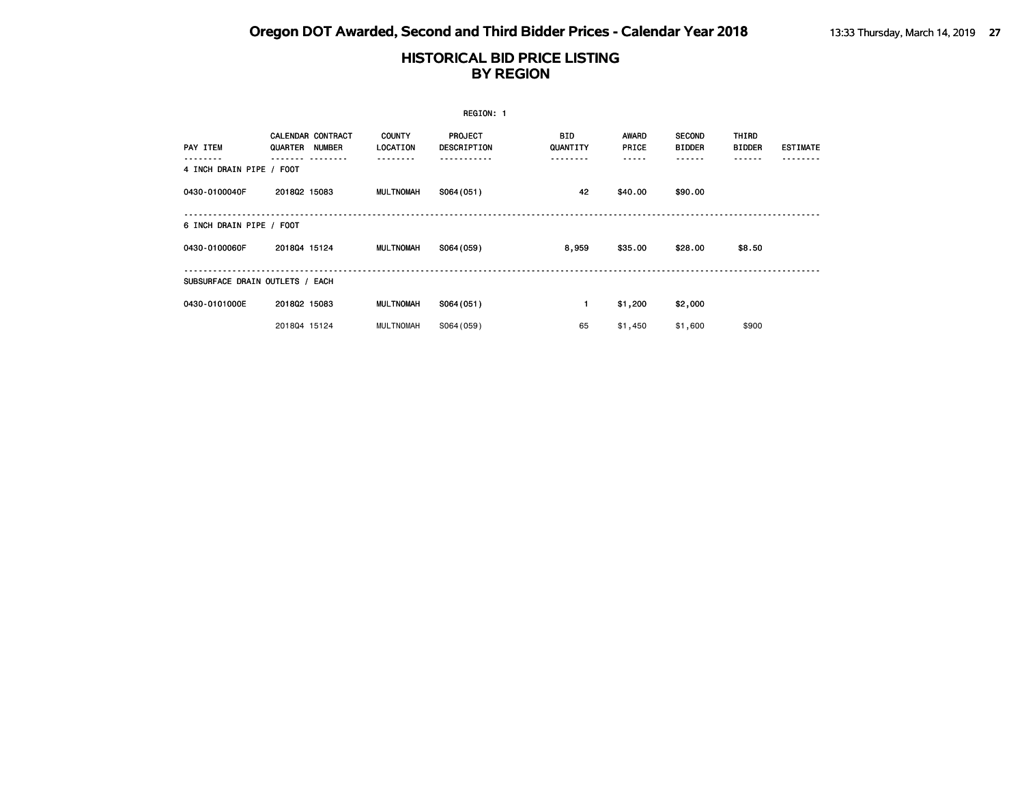|                                 |              |                                           |                           | REGION: 1              |                        |                       |                                |                               |                 |
|---------------------------------|--------------|-------------------------------------------|---------------------------|------------------------|------------------------|-----------------------|--------------------------------|-------------------------------|-----------------|
| PAY ITEM                        | QUARTER      | <b>CALENDAR CONTRACT</b><br><b>NUMBER</b> | <b>COUNTY</b><br>LOCATION | PROJECT<br>DESCRIPTION | <b>BID</b><br>QUANTITY | <b>AWARD</b><br>PRICE | <b>SECOND</b><br><b>BIDDER</b> | <b>THIRD</b><br><b>BIDDER</b> | <b>ESTIMATE</b> |
| 4 INCH DRAIN PIPE / FOOT        |              |                                           |                           |                        | -----                  | - - - - -             | - - - - - -                    | .                             |                 |
| 0430-0100040F                   | 201802 15083 |                                           | <b>MULTNOMAH</b>          | S064(051)              | 42                     | \$40.00               | \$90.00                        |                               |                 |
| 6 INCH DRAIN PIPE / FOOT        |              |                                           |                           |                        |                        |                       |                                |                               |                 |
| 0430-0100060F                   | 201804 15124 |                                           | <b>MULTNOMAH</b>          | S064 (059)             | 8,959                  | \$35.00               | \$28.00                        | \$8.50                        |                 |
| SUBSURFACE DRAIN OUTLETS / EACH |              |                                           |                           |                        |                        |                       |                                |                               |                 |
| 0430-0101000E                   | 201802 15083 |                                           | <b>MULTNOMAH</b>          | S064(051)              | 1.                     | \$1,200               | \$2,000                        |                               |                 |
|                                 | 201804 15124 |                                           | <b>MULTNOMAH</b>          | S064 (059)             | 65                     | \$1,450               | \$1,600                        | \$900                         |                 |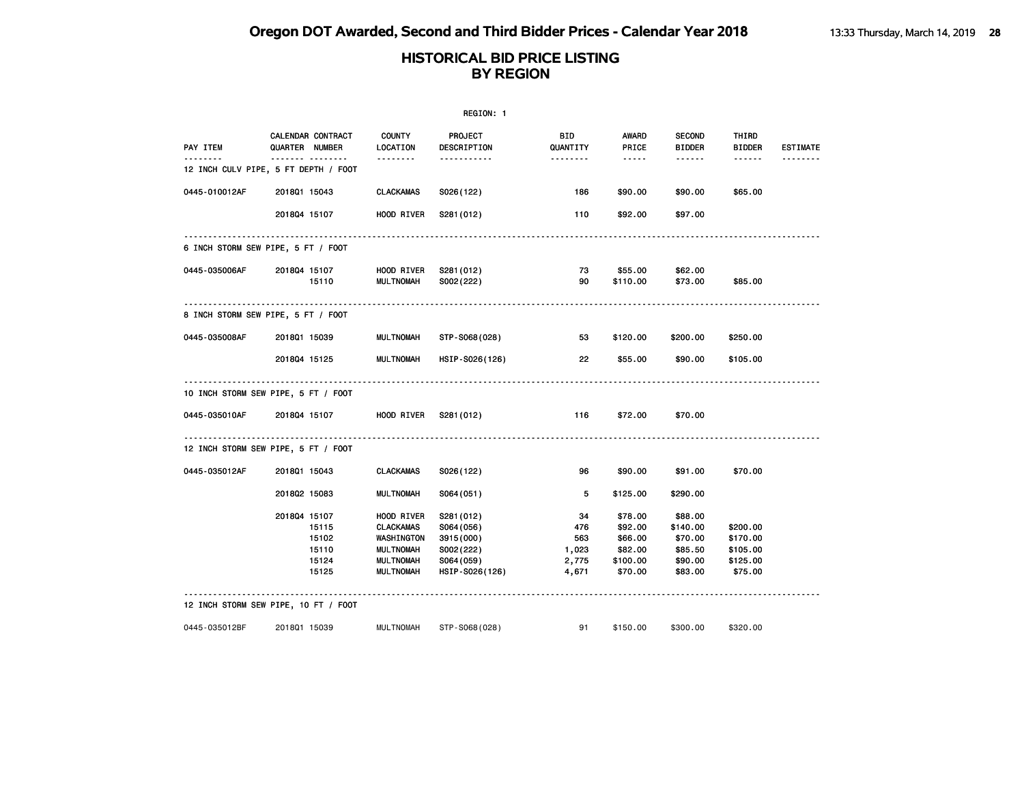|                                                  |                |                          |                                | REGION: 1               |                 |                                                                                                                                                      |                                |                        |                 |
|--------------------------------------------------|----------------|--------------------------|--------------------------------|-------------------------|-----------------|------------------------------------------------------------------------------------------------------------------------------------------------------|--------------------------------|------------------------|-----------------|
| PAY ITEM                                         | QUARTER NUMBER | <b>CALENDAR CONTRACT</b> | <b>COUNTY</b><br>LOCATION      | PROJECT<br>DESCRIPTION  | BID<br>QUANTITY | AWARD<br>PRICE                                                                                                                                       | <b>SECOND</b><br><b>BIDDER</b> | THIRD<br><b>BIDDER</b> | <b>ESTIMATE</b> |
| <u>.</u><br>12 INCH CULV PIPE, 5 FT DEPTH / FOOT |                | <u> </u>                 | <u> - - - - - - -</u>          | -----------             | 1.1.1.1.1.1.1   | $\frac{1}{2} \left( \frac{1}{2} \right) \left( \frac{1}{2} \right) \left( \frac{1}{2} \right) \left( \frac{1}{2} \right) \left( \frac{1}{2} \right)$ | ------                         | ------                 | <u>.</u>        |
| 0445-010012AF                                    | 201801 15043   |                          | <b>CLACKAMAS</b>               | S026(122)               | 186             | \$90.00                                                                                                                                              | \$90.00                        | \$65.00                |                 |
|                                                  | 201804 15107   |                          | HOOD RIVER                     | S281 (012)              | 110             | \$92.00                                                                                                                                              | \$97.00                        |                        |                 |
| 6 INCH STORM SEW PIPE, 5 FT / FOOT               |                |                          | .                              |                         |                 |                                                                                                                                                      |                                |                        |                 |
| 0445-035006AF                                    | 201804 15107   | 15110                    | HOOD RIVER<br><b>MULTNOMAH</b> | S281 (012)<br>S002(222) | 73<br>90        | \$55.00<br>\$110.00                                                                                                                                  | \$62.00<br>\$73.00             | \$85.00                |                 |
| 8 INCH STORM SEW PIPE, 5 FT / FOOT               |                |                          |                                |                         |                 |                                                                                                                                                      |                                |                        |                 |
| 0445-035008AF                                    | 201801 15039   |                          | MULTNOMAH                      | STP-S068(028)           | 53              | \$120.00                                                                                                                                             | \$200.00                       | \$250.00               |                 |
|                                                  | 201804 15125   |                          | MULTNOMAH                      | HSIP-S026(126)          | 22              | \$55.00                                                                                                                                              | \$90.00                        | \$105.00               |                 |
| 10 INCH STORM SEW PIPE, 5 FT / FOOT              |                |                          |                                |                         |                 |                                                                                                                                                      |                                |                        |                 |
| 0445-035010AF                                    |                | 201804 15107             | HOOD RIVER S281(012)           |                         | 116             | \$72.00                                                                                                                                              | \$70.00                        |                        |                 |
| 12 INCH STORM SEW PIPE, 5 FT / FOOT              |                |                          |                                |                         |                 |                                                                                                                                                      |                                |                        |                 |
| 0445-035012AF                                    | 201801 15043   |                          | CLACKAMAS                      | S026(122)               | 96              | \$90.00                                                                                                                                              | \$91.00                        | \$70.00                |                 |
|                                                  | 201802 15083   |                          | <b>MULTNOMAH</b>               | S064(051)               | 5               | \$125.00                                                                                                                                             | \$290.00                       |                        |                 |
|                                                  | 201804 15107   |                          | HOOD RIVER                     | S281 (012)              | 34              | \$78.00                                                                                                                                              | \$88.00                        |                        |                 |
|                                                  |                | 15115                    | CLACKAMAS                      | S064 (056)              | 476             | \$92.00                                                                                                                                              | \$140.00                       | \$200.00               |                 |
|                                                  |                | 15102                    | WASHINGTON                     | 3915 (000)              | 563             | \$66.00                                                                                                                                              | \$70.00                        | \$170.00               |                 |
|                                                  |                | 15110                    | MULTNOMAH                      | S002(222)               | 1,023           | \$82.00                                                                                                                                              | \$85.50                        | \$105.00               |                 |
|                                                  |                | 15124                    | <b>MULTNOMAH</b>               | S064 (059)              | 2,775           | \$100.00                                                                                                                                             | \$90.00                        | \$125.00               |                 |
|                                                  |                | 15125                    | MULTNOMAH                      | HSIP-S026(126)          | 4,671           | \$70.00                                                                                                                                              | \$83.00                        | \$75.00                |                 |
| 12 INCH STORM SEW PIPE, 10 FT / FOOT             |                |                          |                                |                         |                 |                                                                                                                                                      |                                |                        |                 |
| 0445-035012BF                                    | 201801 15039   |                          | <b>MULTNOMAH</b>               | STP-S068(028)           | 91              | \$150.00                                                                                                                                             | \$300.00                       | \$320.00               |                 |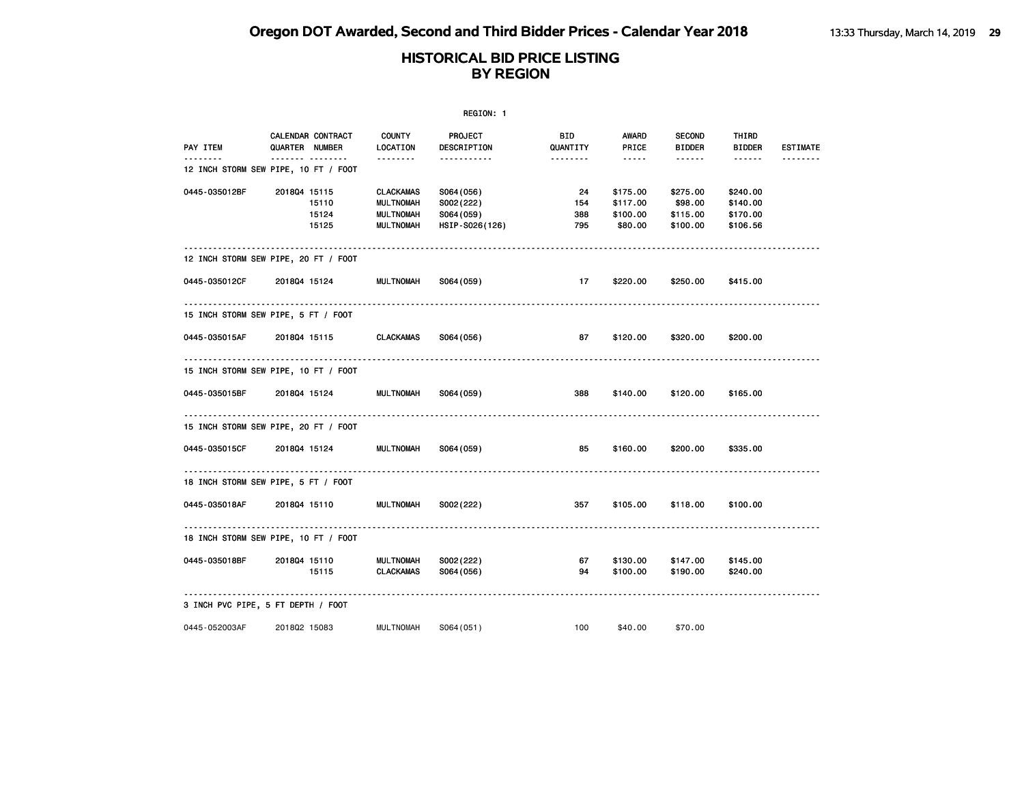|               | REGION: 1                                        |                                      |                         |                 |                       |                                |                        |                 |  |  |  |  |
|---------------|--------------------------------------------------|--------------------------------------|-------------------------|-----------------|-----------------------|--------------------------------|------------------------|-----------------|--|--|--|--|
| PAY ITEM      | CALENDAR CONTRACT<br>QUARTER NUMBER              | <b>COUNTY</b><br>LOCATION            | PROJECT<br>DESCRIPTION  | BID<br>QUANTITY | <b>AWARD</b><br>PRICE | <b>SECOND</b><br><b>BIDDER</b> | THIRD<br><b>BIDDER</b> | <b>ESTIMATE</b> |  |  |  |  |
|               | <b>.</b><br>12 INCH STORM SEW PIPE, 10 FT / FOOT | <u>.</u>                             | -----------             | .               | -----                 | ------                         | ------                 |                 |  |  |  |  |
| 0445-035012BF | 201804 15115                                     | <b>CLACKAMAS</b>                     | S064 (056)              | 24              | \$175.00              | \$275.00                       | \$240.00               |                 |  |  |  |  |
|               | 15110                                            | <b>MULTNOMAH</b>                     | S002(222)               | 154             | \$117.00              | \$98.00                        | \$140.00               |                 |  |  |  |  |
|               | 15124                                            | <b>MULTNOMAH</b>                     | S064 (059)              | 388             | \$100.00              | \$115.00                       | \$170.00               |                 |  |  |  |  |
|               | 15125                                            | <b>MULTNOMAH</b>                     | HSIP-S026(126)          | 795             | \$80.00               | \$100.00                       | \$106.56               |                 |  |  |  |  |
|               | 12 INCH STORM SEW PIPE, 20 FT / FOOT             |                                      |                         |                 |                       |                                |                        |                 |  |  |  |  |
| 0445-035012CF | 201804 15124                                     | <b>MULTNOMAH</b>                     | S064 (059)              | 17              | \$220.00              | \$250.00                       | \$415.00               |                 |  |  |  |  |
|               | 15 INCH STORM SEW PIPE, 5 FT / FOOT              |                                      |                         |                 |                       |                                |                        |                 |  |  |  |  |
| 0445-035015AF | 201804 15115                                     | <b>CLACKAMAS</b>                     | S064 (056)              | 87              | \$120.00              | \$320.00                       | \$200.00               |                 |  |  |  |  |
|               | 15 INCH STORM SEW PIPE, 10 FT / FOOT             |                                      |                         |                 |                       |                                |                        |                 |  |  |  |  |
| 0445-035015BF | 201804 15124                                     | <b>MULTNOMAH</b>                     | S064 (059)              | 388             | \$140.00              | \$120.00                       | \$165.00               |                 |  |  |  |  |
|               | 15 INCH STORM SEW PIPE, 20 FT / FOOT             |                                      |                         |                 |                       |                                |                        |                 |  |  |  |  |
| 0445-035015CF | 201804 15124                                     | <b>MULTNOMAH</b>                     | S064 (059)              | 85              | \$160.00              | \$200.00                       | \$335.00               |                 |  |  |  |  |
|               | 18 INCH STORM SEW PIPE, 5 FT / FOOT              |                                      |                         |                 |                       |                                |                        |                 |  |  |  |  |
| 0445-035018AF | 201804 15110                                     | <b>MULTNOMAH</b>                     | S002(222)               | 357             | \$105.00              | \$118.00                       | \$100.00               |                 |  |  |  |  |
|               | 18 INCH STORM SEW PIPE, 10 FT / FOOT             |                                      |                         |                 |                       |                                |                        |                 |  |  |  |  |
| 0445-035018BF | 201804 15110<br>15115                            | <b>MULTNOMAH</b><br><b>CLACKAMAS</b> | S002(222)<br>S064 (056) | 67<br>94        | \$130.00<br>\$100.00  | \$147.00<br>\$190.00           | \$145.00<br>\$240.00   |                 |  |  |  |  |
|               |                                                  |                                      |                         |                 |                       |                                |                        |                 |  |  |  |  |
|               | 3 INCH PVC PIPE, 5 FT DEPTH / FOOT               |                                      |                         |                 |                       |                                |                        |                 |  |  |  |  |
| 0445-052003AF | 201802 15083                                     | <b>MULTNOMAH</b>                     | S064(051)               | 100             | \$40.00               | \$70.00                        |                        |                 |  |  |  |  |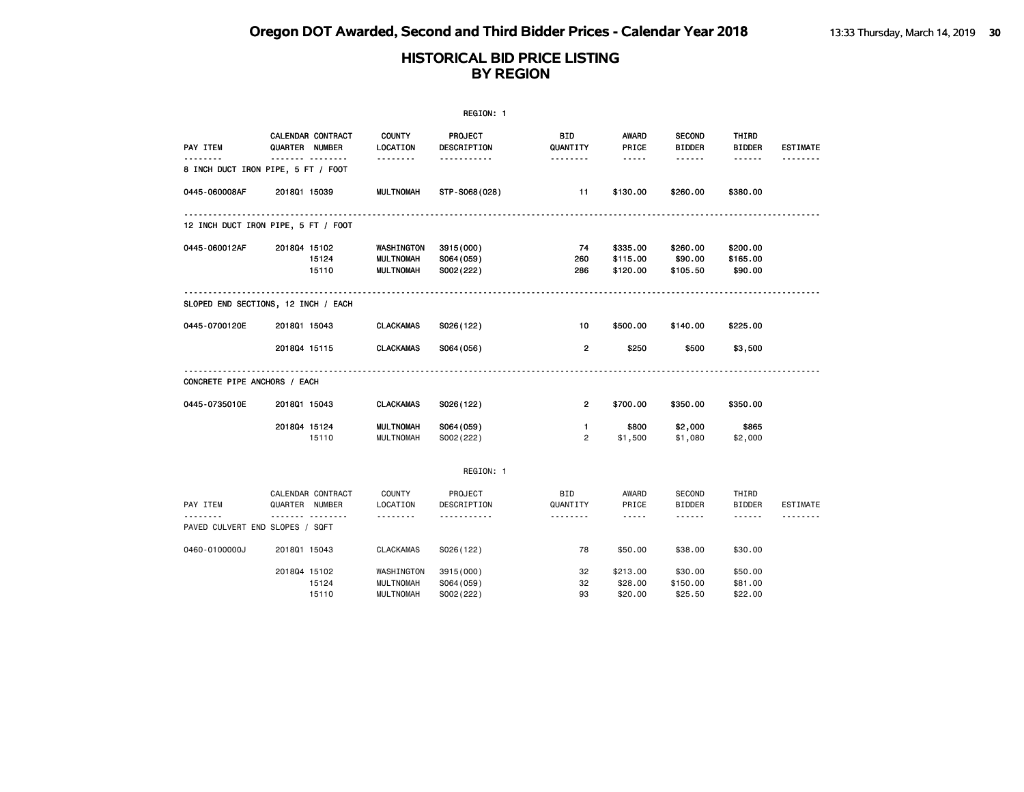|                                     |              |                                                |                                                    | REGION: 1                             |                                    |                                  |                                                               |                                                              |                 |
|-------------------------------------|--------------|------------------------------------------------|----------------------------------------------------|---------------------------------------|------------------------------------|----------------------------------|---------------------------------------------------------------|--------------------------------------------------------------|-----------------|
| PAY ITEM                            |              | CALENDAR CONTRACT<br><b>QUARTER NUMBER</b><br> | <b>COUNTY</b><br>LOCATION<br><u>.</u>              | PROJECT<br>DESCRIPTION                | <b>BID</b><br>QUANTITY<br><u>.</u> | <b>AWARD</b><br>PRICE            | <b>SECOND</b><br><b>BIDDER</b>                                | THIRD<br><b>BIDDER</b>                                       | <b>ESTIMATE</b> |
| 8 INCH DUCT IRON PIPE, 5 FT / FOOT  |              |                                                |                                                    | <u></u>                               |                                    | $- - - - -$                      |                                                               | $- - - - - -$                                                |                 |
| 0445-060008AF                       | 201801 15039 |                                                | <b>MULTNOMAH</b>                                   | STP-S068(028)                         | 11                                 | \$130.00                         | \$260.00                                                      | \$380.00                                                     |                 |
| 12 INCH DUCT IRON PIPE, 5 FT / FOOT |              |                                                |                                                    |                                       |                                    |                                  |                                                               |                                                              |                 |
| 0445-060012AF                       | 201804 15102 | 15124<br>15110                                 | WASHINGTON<br><b>MULTNOMAH</b><br><b>MULTNOMAH</b> | 3915 (000)<br>S064 (059)<br>S002(222) | 74<br>260<br>286                   | \$335.00<br>\$115.00<br>\$120.00 | \$260.00<br>\$90.00<br>\$105.50                               | \$200.00<br>\$165.00<br>\$90.00                              |                 |
| SLOPED END SECTIONS, 12 INCH / EACH |              |                                                |                                                    |                                       |                                    |                                  |                                                               |                                                              |                 |
| 0445-0700120E                       | 201801 15043 |                                                | <b>CLACKAMAS</b>                                   | S026(122)                             | 10                                 | \$500.00                         | \$140.00                                                      | \$225.00                                                     |                 |
|                                     | 201804 15115 |                                                | <b>CLACKAMAS</b>                                   | S064 (056)                            | 2                                  | \$250                            | \$500                                                         | \$3,500                                                      |                 |
| CONCRETE PIPE ANCHORS / EACH        |              |                                                |                                                    |                                       |                                    |                                  |                                                               |                                                              |                 |
| 0445-0735010E                       | 201801 15043 |                                                | <b>CLACKAMAS</b>                                   | S026(122)                             | $\overline{2}$                     | \$700.00                         | \$350.00                                                      | \$350.00                                                     |                 |
|                                     | 201804 15124 | 15110                                          | <b>MULTNOMAH</b><br><b>MULTNOMAH</b>               | S064 (059)<br>S002(222)               | $\mathbf{1}$<br>$\overline{2}$     | \$800<br>\$1,500                 | \$2,000<br>\$1,080                                            | \$865<br>\$2,000                                             |                 |
|                                     |              |                                                |                                                    | REGION: 1                             |                                    |                                  |                                                               |                                                              |                 |
| PAY ITEM<br><u>.</u>                |              | CALENDAR CONTRACT<br>QUARTER NUMBER<br>.       | COUNTY<br>LOCATION<br>.                            | PROJECT<br>DESCRIPTION<br><u>.</u>    | BID<br>QUANTITY<br>.               | AWARD<br>PRICE<br>$\frac{1}{2}$  | SECOND<br><b>BIDDER</b><br>$\sim$ $\sim$ $\sim$ $\sim$ $\sim$ | THIRD<br><b>BIDDER</b><br>$\sim$ $\sim$ $\sim$ $\sim$ $\sim$ | ESTIMATE<br>.   |
| PAVED CULVERT END SLOPES / SQFT     |              |                                                |                                                    |                                       |                                    |                                  |                                                               |                                                              |                 |
| 0460-0100000J                       | 201801 15043 |                                                | <b>CLACKAMAS</b>                                   | S026(122)                             | 78                                 | \$50.00                          | \$38.00                                                       | \$30.00                                                      |                 |
|                                     | 201804 15102 | 15124<br>15110                                 | WASHINGTON<br><b>MULTNOMAH</b><br><b>MULTNOMAH</b> | 3915 (000)<br>S064 (059)<br>S002(222) | 32<br>32<br>93                     | \$213.00<br>\$28.00<br>\$20.00   | \$30.00<br>\$150.00<br>\$25.50                                | \$50.00<br>\$81.00<br>\$22.00                                |                 |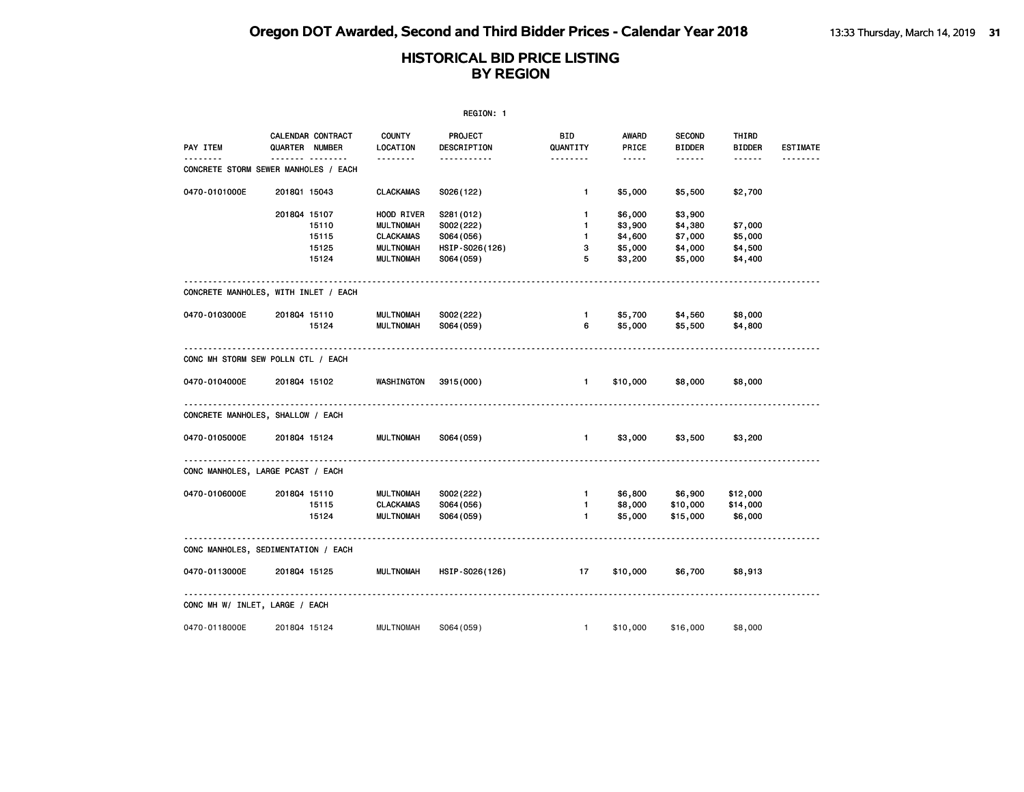|                                                  |              |                                                   |                                                    | REGION: 1                             |                                                |                               |                                         |                                 |                 |
|--------------------------------------------------|--------------|---------------------------------------------------|----------------------------------------------------|---------------------------------------|------------------------------------------------|-------------------------------|-----------------------------------------|---------------------------------|-----------------|
| PAY ITEM                                         |              | <b>CALENDAR CONTRACT</b><br><b>QUARTER NUMBER</b> | <b>COUNTY</b><br>LOCATION                          | PROJECT<br>DESCRIPTION                | BID<br>QUANTITY                                | AWARD<br>PRICE                | <b>SECOND</b><br><b>BIDDER</b>          | THIRD<br><b>BIDDER</b>          | <b>ESTIMATE</b> |
| <u>.</u><br>CONCRETE STORM SEWER MANHOLES / EACH |              | .                                                 | <u>.</u>                                           | -----------                           | <u> - - - - - - -</u>                          | $\sim$ $\sim$ $\sim$ $\sim$   | $\cdots\cdots\cdots$                    |                                 | <u>.</u>        |
| 0470-0101000E                                    | 201801 15043 |                                                   | <b>CLACKAMAS</b>                                   | S026(122)                             | $\mathbf{1}$                                   | \$5,000                       | \$5,500                                 | \$2,700                         |                 |
|                                                  | 201804 15107 | 15110<br>15115                                    | <b>HOOD RIVER</b><br><b>MULTNOMAH</b><br>CLACKAMAS | S281 (012)<br>S002(222)<br>S064 (056) | $\mathbf{1}$<br>$\mathbf{1}$<br>$\blacksquare$ | \$6,000<br>\$3,900<br>\$4,600 | \$3,900<br>\$4,380<br>\$7,000           | \$7,000<br>\$5,000              |                 |
|                                                  |              | 15125<br>15124                                    | MULTNOMAH<br>MULTNOMAH                             | HSIP-S026(126)<br>S064(059)           | 3<br>5                                         | \$5,000<br>\$3,200            | \$4,000<br>\$5,000                      | \$4,500<br>\$4,400              |                 |
| CONCRETE MANHOLES, WITH INLET / EACH             |              |                                                   |                                                    |                                       |                                                |                               |                                         |                                 |                 |
| 0470-0103000E                                    | 201804 15110 | 15124                                             | <b>MULTNOMAH</b><br><b>MULTNOMAH</b>               | S002(222)<br>S064 (059)               | $\blacksquare$<br>6                            | \$5,700<br>\$5,000            | \$4,560<br>\$5,500                      | \$8,000<br>\$4,800              |                 |
| CONC MH STORM SEW POLLN CTL / EACH               |              |                                                   | --------                                           |                                       |                                                |                               |                                         |                                 |                 |
| 0470-0104000E                                    | 201804 15102 |                                                   | WASHINGTON                                         | 3915 (000)                            | $\sim$ 1                                       |                               | \$10,000 \$8,000                        | \$8,000                         |                 |
| CONCRETE MANHOLES, SHALLOW / EACH                |              |                                                   | <u>.</u>                                           |                                       |                                                |                               |                                         |                                 |                 |
| 0470-0105000E                                    | 201804 15124 |                                                   | MULTNOMAH                                          | S064 (059)                            | $\blacksquare$                                 | \$3,000                       | \$3,500                                 | \$3,200                         |                 |
| CONC MANHOLES, LARGE PCAST / EACH                |              |                                                   |                                                    |                                       |                                                |                               |                                         |                                 |                 |
| 0470-0106000E                                    | 201804 15110 | 15115<br>15124                                    | MULTNOMAH<br>CLACKAMAS<br>MULTNOMAH                | S002(222)<br>S064 (056)<br>S064 (059) | $1 -$<br>$\mathbf{1}$<br>$1 -$                 | \$8,000<br>\$5,000            | \$6,800 \$6,900<br>\$10,000<br>\$15,000 | \$12,000<br>\$14,000<br>\$6,000 |                 |
| CONC MANHOLES, SEDIMENTATION / EACH              |              |                                                   |                                                    |                                       |                                                |                               |                                         |                                 |                 |
| 0470-0113000E                                    | 201804 15125 |                                                   | MULTNOMAH                                          | HSIP-S026(126)                        | $\sim$ 17                                      | \$10,000                      | \$6,700                                 | \$8,913                         |                 |
| CONC MH W/ INLET, LARGE / EACH                   |              |                                                   |                                                    |                                       |                                                |                               |                                         |                                 |                 |
| 0470-0118000E                                    | 201804 15124 |                                                   | <b>MULTNOMAH</b>                                   | S064 (059)                            | $\mathbf{1}$                                   | \$10,000                      | \$16,000                                | \$8,000                         |                 |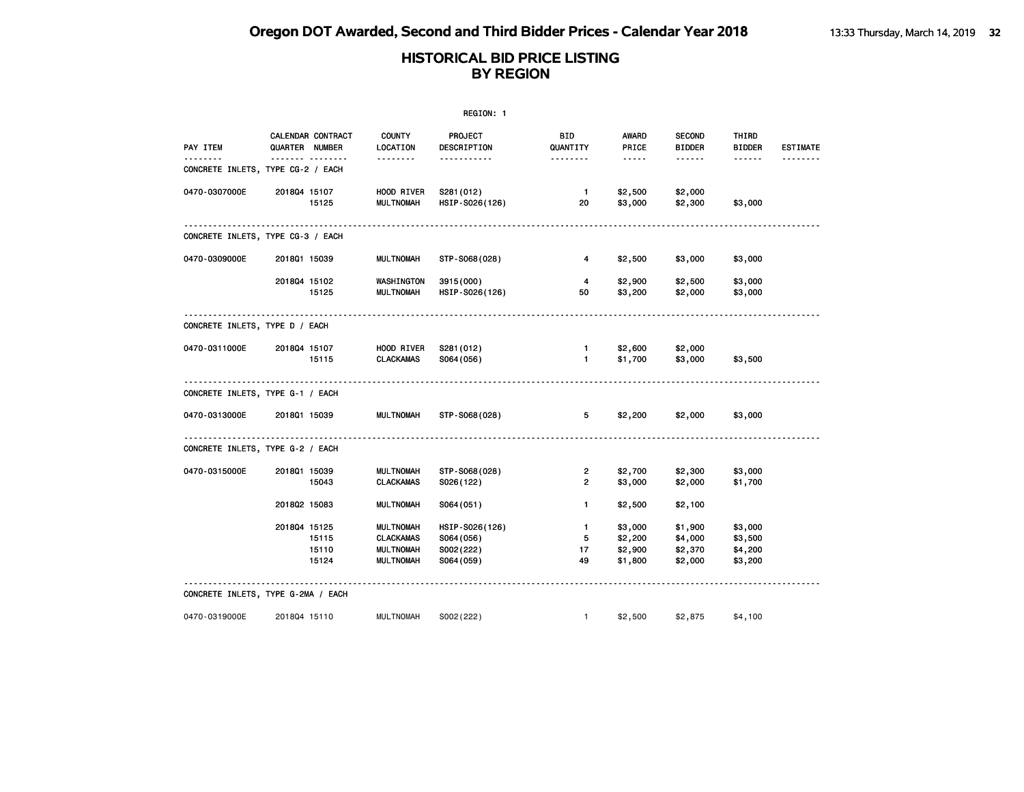|                                    |              |                                     | REGION: 1                 |                        |                        |                |                                |                        |                 |
|------------------------------------|--------------|-------------------------------------|---------------------------|------------------------|------------------------|----------------|--------------------------------|------------------------|-----------------|
| PAY ITEM                           |              | CALENDAR CONTRACT<br>QUARTER NUMBER | <b>COUNTY</b><br>LOCATION | PROJECT<br>DESCRIPTION | <b>BID</b><br>QUANTITY | AWARD<br>PRICE | <b>SECOND</b><br><b>BIDDER</b> | THIRD<br><b>BIDDER</b> | <b>ESTIMATE</b> |
| CONCRETE INLETS, TYPE CG-2 / EACH  |              |                                     | .                         | <u>.</u>               | .                      | $- - - - -$    |                                |                        | .               |
| 0470-0307000E                      | 201804 15107 |                                     | HOOD RIVER                | S281 (012)             | $\mathbf{1}$           | \$2,500        | \$2,000                        |                        |                 |
|                                    |              | 15125                               | <b>MULTNOMAH</b>          | HSIP-S026(126)         | 20                     | \$3,000        | \$2,300                        | \$3,000                |                 |
| CONCRETE INLETS, TYPE CG-3 / EACH  |              |                                     |                           |                        |                        |                |                                |                        |                 |
| 0470-0309000E                      | 201801 15039 |                                     | <b>MULTNOMAH</b>          | STP-S068(028)          | 4                      | \$2,500        | \$3,000                        | \$3,000                |                 |
|                                    | 201804 15102 |                                     | WASHINGTON                | 3915(000)              | 4                      | \$2,900        | \$2,500                        | \$3,000                |                 |
|                                    |              | 15125                               | <b>MULTNOMAH</b>          | HSIP-S026(126)         | 50                     | \$3,200        | \$2,000                        | \$3,000                |                 |
| CONCRETE INLETS, TYPE D / EACH     |              |                                     |                           |                        |                        |                |                                |                        |                 |
| 0470-0311000E                      | 201804 15107 |                                     | HOOD RIVER                | S281 (012)             | $\blacksquare$         | \$2,600        | \$2,000                        |                        |                 |
|                                    |              | 15115                               | <b>CLACKAMAS</b>          | S064 (056)             | $\mathbf{1}$           | \$1,700        | \$3,000                        | \$3,500                |                 |
| CONCRETE INLETS, TYPE G-1 / EACH   |              |                                     |                           |                        |                        |                |                                |                        |                 |
| 0470-0313000E                      | 201801 15039 |                                     | <b>MULTNOMAH</b>          | STP-S068(028)          | 5                      | \$2,200        | \$2,000                        | \$3,000                |                 |
| CONCRETE INLETS, TYPE G-2 / EACH   |              |                                     |                           |                        |                        |                |                                |                        |                 |
| 0470-0315000E                      | 201801 15039 |                                     | MULTNOMAH                 | STP-S068(028)          | 2                      | \$2,700        | \$2,300                        | \$3,000                |                 |
|                                    |              | 15043                               | <b>CLACKAMAS</b>          | S026(122)              | $\overline{2}$         | \$3,000        | \$2,000                        | \$1,700                |                 |
|                                    | 201802 15083 |                                     | <b>MULTNOMAH</b>          | S064(051)              | $\mathbf{1}$           | \$2,500        | \$2,100                        |                        |                 |
|                                    | 201804 15125 |                                     | <b>MULTNOMAH</b>          | HSIP-S026(126)         | $\mathbf{1}$           | \$3,000        | \$1,900                        | \$3,000                |                 |
|                                    |              | 15115                               | <b>CLACKAMAS</b>          | S064 (056)             | 5                      | \$2,200        | \$4,000                        | \$3,500                |                 |
|                                    |              | 15110                               | <b>MULTNOMAH</b>          | S002(222)              | 17                     | \$2,900        | \$2,370                        | \$4,200                |                 |
|                                    |              | 15124                               | <b>MULTNOMAH</b>          | S064 (059)             | 49                     | \$1,800        | \$2,000                        | \$3,200                |                 |
| CONCRETE INLETS, TYPE G-2MA / EACH |              |                                     |                           |                        |                        |                |                                |                        |                 |
| 0470-0319000E                      | 201804 15110 |                                     | <b>MULTNOMAH</b>          | S002(222)              | $\mathbf{1}$           | \$2,500        | \$2,875                        | \$4,100                |                 |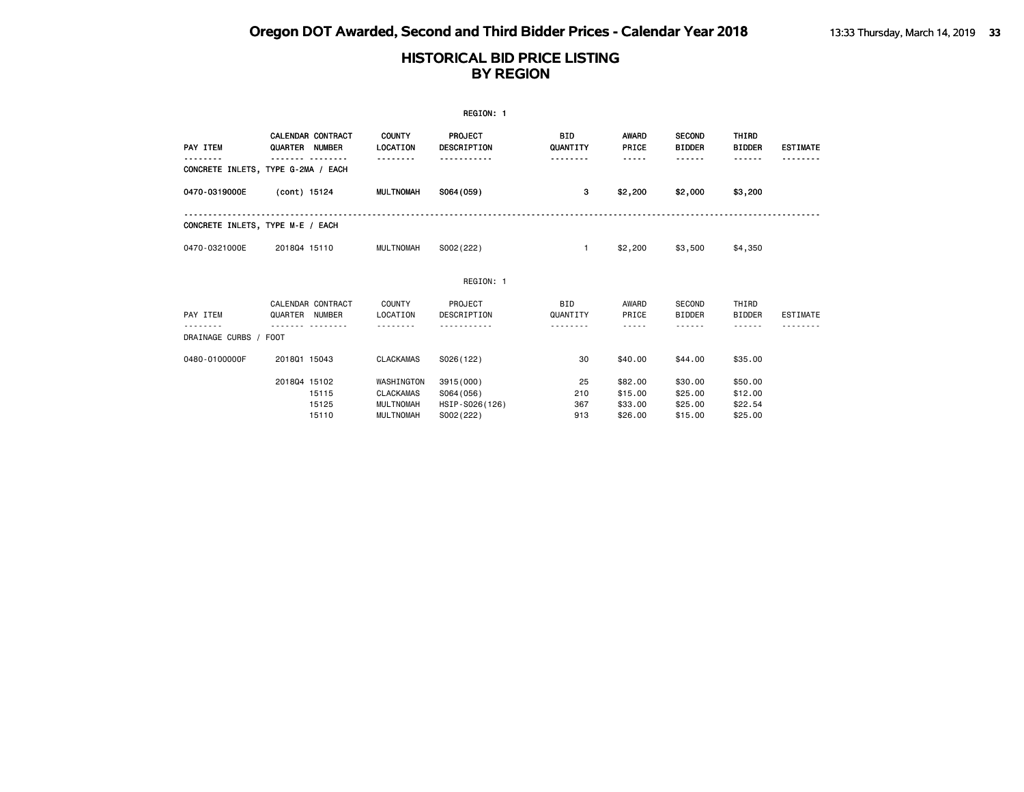| REGION: 1                          |                |                          |                                                                        |                                                        |                         |                                          |                                          |                                          |                 |  |  |  |
|------------------------------------|----------------|--------------------------|------------------------------------------------------------------------|--------------------------------------------------------|-------------------------|------------------------------------------|------------------------------------------|------------------------------------------|-----------------|--|--|--|
| PAY ITEM                           | QUARTER NUMBER | <b>CALENDAR CONTRACT</b> | <b>COUNTY</b><br><b>LOCATION</b>                                       | <b>PROJECT</b><br>DESCRIPTION                          | BID.<br>QUANTITY        | <b>AWARD</b><br>PRICE                    | <b>SECOND</b><br><b>BIDDER</b>           | THIRD<br><b>BIDDER</b>                   | <b>ESTIMATE</b> |  |  |  |
| CONCRETE INLETS, TYPE G-2MA / EACH |                |                          |                                                                        |                                                        | .                       | -----                                    | ------                                   | ------                                   |                 |  |  |  |
| 0470-0319000E                      | (cont) 15124   |                          | MULTNOMAH                                                              | S064 (059)                                             | 3                       | \$2,200                                  | \$2,000                                  | \$3,200                                  |                 |  |  |  |
| CONCRETE INLETS, TYPE M-E / EACH   |                |                          |                                                                        |                                                        |                         |                                          |                                          |                                          |                 |  |  |  |
| 0470-0321000E                      | 201804 15110   |                          | MULTNOMAH                                                              | S002(222)                                              | 1.                      | \$2,200                                  | \$3,500                                  | \$4,350                                  |                 |  |  |  |
|                                    |                |                          |                                                                        | REGION: 1                                              |                         |                                          |                                          |                                          |                 |  |  |  |
| PAY ITEM                           | QUARTER NUMBER | CALENDAR CONTRACT        | COUNTY<br>LOCATION                                                     | PROJECT<br>DESCRIPTION                                 | BID<br>QUANTITY         | AWARD<br>PRICE                           | <b>SECOND</b><br><b>BIDDER</b>           | THIRD<br><b>BIDDER</b>                   | ESTIMATE        |  |  |  |
| <u>.</u><br>DRAINAGE CURBS / FOOT  |                |                          |                                                                        |                                                        | .                       | $- - - - -$                              | ------                                   | - - - - - -                              |                 |  |  |  |
| 0480-0100000F                      | 201801 15043   |                          | <b>CLACKAMAS</b>                                                       | S026(122)                                              | 30                      | \$40,00                                  | \$44,00                                  | \$35,00                                  |                 |  |  |  |
|                                    | 201804 15102   | 15115<br>15125<br>15110  | WASHINGTON<br><b>CLACKAMAS</b><br><b>MULTNOMAH</b><br><b>MULTNOMAH</b> | 3915(000)<br>S064 (056)<br>HSIP-S026(126)<br>S002(222) | 25<br>210<br>367<br>913 | \$82.00<br>\$15.00<br>\$33.00<br>\$26.00 | \$30.00<br>\$25.00<br>\$25.00<br>\$15.00 | \$50,00<br>\$12.00<br>\$22.54<br>\$25.00 |                 |  |  |  |
|                                    |                |                          |                                                                        |                                                        |                         |                                          |                                          |                                          |                 |  |  |  |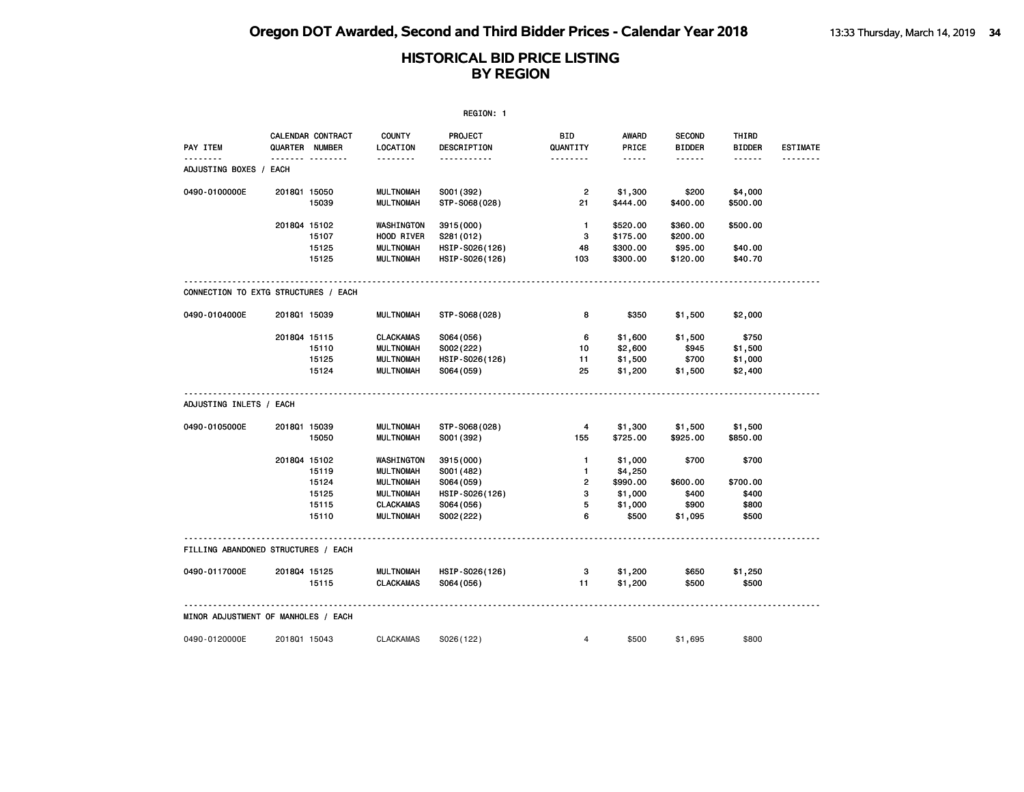| <b>REGION: 1</b>                     |                |                         |                                                          |                                            |                                   |                                |                                |                             |          |  |  |
|--------------------------------------|----------------|-------------------------|----------------------------------------------------------|--------------------------------------------|-----------------------------------|--------------------------------|--------------------------------|-----------------------------|----------|--|--|
| PAY ITEM                             | QUARTER NUMBER | CALENDAR CONTRACT       | <b>COUNTY</b><br>LOCATION                                | <b>PROJECT</b><br>DESCRIPTION              | <b>BID</b><br>QUANTITY            | <b>AWARD</b><br>PRICE          | <b>SECOND</b><br><b>BIDDER</b> | THIRD<br><b>BIDDER</b>      | ESTIMATE |  |  |
| .<br>ADJUSTING BOXES / EACH          |                | <u> </u>                | .                                                        | .                                          | --------                          | -----                          | ------                         | ------                      |          |  |  |
| 0490-0100000E                        | 2018Q1 15050   | 15039                   | <b>MULTNOMAH</b><br>MULTNOMAH                            | S001 (392)<br>STP-S068(028)                | $\overline{2}$<br>21              | \$1,300<br>\$444.00            | \$200<br>\$400.00              | \$4,000<br>\$500.00         |          |  |  |
|                                      | 201804 15102   | 15107                   | <b>WASHINGTON</b><br>HOOD RIVER                          | 3915 (000)<br>S281 (012)                   | $\mathbf{1}$<br>з                 | \$520.00<br>\$175.00           | \$360.00<br>\$200.00           | \$500.00                    |          |  |  |
|                                      |                | 15125<br>15125          | <b>MULTNOMAH</b><br><b>MULTNOMAH</b>                     | HSIP-S026(126)<br>HSIP-S026(126)           | 48<br>103                         | \$300.00<br>\$300.00           | \$95.00<br>\$120.00            | \$40.00<br>\$40.70          |          |  |  |
| CONNECTION TO EXTG STRUCTURES / EACH |                |                         |                                                          |                                            |                                   |                                |                                |                             |          |  |  |
| 0490-0104000E                        | 201801 15039   |                         | MULTNOMAH                                                | STP-S068(028)                              | 8                                 | \$350                          | \$1,500                        | \$2,000                     |          |  |  |
|                                      | 2018Q4 15115   | 15110<br>15125          | <b>CLACKAMAS</b><br><b>MULTNOMAH</b><br><b>MULTNOMAH</b> | S064 (056)<br>S002(222)<br>HSIP-S026(126)  | 6<br>10<br>11                     | \$1,600<br>\$2,600<br>\$1,500  | \$1,500<br>\$945<br>\$700      | \$750<br>\$1,500<br>\$1,000 |          |  |  |
| ADJUSTING INLETS / EACH              |                | 15124                   | <b>MULTNOMAH</b>                                         | S064 (059)                                 | 25                                | \$1,200                        | \$1,500                        | \$2,400                     |          |  |  |
| 0490-0105000E                        | 2018Q1 15039   | 15050                   | MULTNOMAH<br><b>MULTNOMAH</b>                            | STP-S068(028)<br>S001 (392)                | 4<br>155                          | \$1,300<br>\$725.00            | \$1,500<br>\$925.00            | \$1,500<br>\$850.00         |          |  |  |
|                                      | 201804 15102   | 15119                   | WASHINGTON<br><b>MULTNOMAH</b>                           | 3915 (000)<br>S001 (482)                   | $\mathbf{1}$<br>$\mathbf{1}$      | \$1,000<br>\$4,250             | \$700                          | \$700                       |          |  |  |
|                                      |                | 15124<br>15125<br>15115 | <b>MULTNOMAH</b><br><b>MULTNOMAH</b><br><b>CLACKAMAS</b> | S064 (059)<br>HSIP-S026(126)<br>S064 (056) | $\overline{\mathbf{c}}$<br>3<br>5 | \$990.00<br>\$1,000<br>\$1,000 | \$600.00<br>\$400<br>\$900     | \$700.00<br>\$400<br>\$800  |          |  |  |
|                                      |                | 15110                   | <b>MULTNOMAH</b>                                         | S002(222)                                  | 6                                 | \$500                          | \$1,095                        | \$500                       |          |  |  |
| FILLING ABANDONED STRUCTURES / EACH  |                |                         |                                                          |                                            |                                   |                                |                                |                             |          |  |  |
| 0490-0117000E                        | 2018Q4 15125   | 15115                   | <b>MULTNOMAH</b><br><b>CLACKAMAS</b>                     | HSIP-S026(126)<br>S064 (056)               | з<br>11                           | \$1,200<br>\$1,200             | \$650<br>\$500                 | \$1,250<br>\$500            |          |  |  |
| MINOR ADJUSTMENT OF MANHOLES / EACH  |                |                         |                                                          |                                            |                                   |                                |                                |                             |          |  |  |
| 0490-0120000E                        | 201801 15043   |                         | <b>CLACKAMAS</b>                                         | S026(122)                                  | 4                                 | \$500                          | \$1,695                        | \$800                       |          |  |  |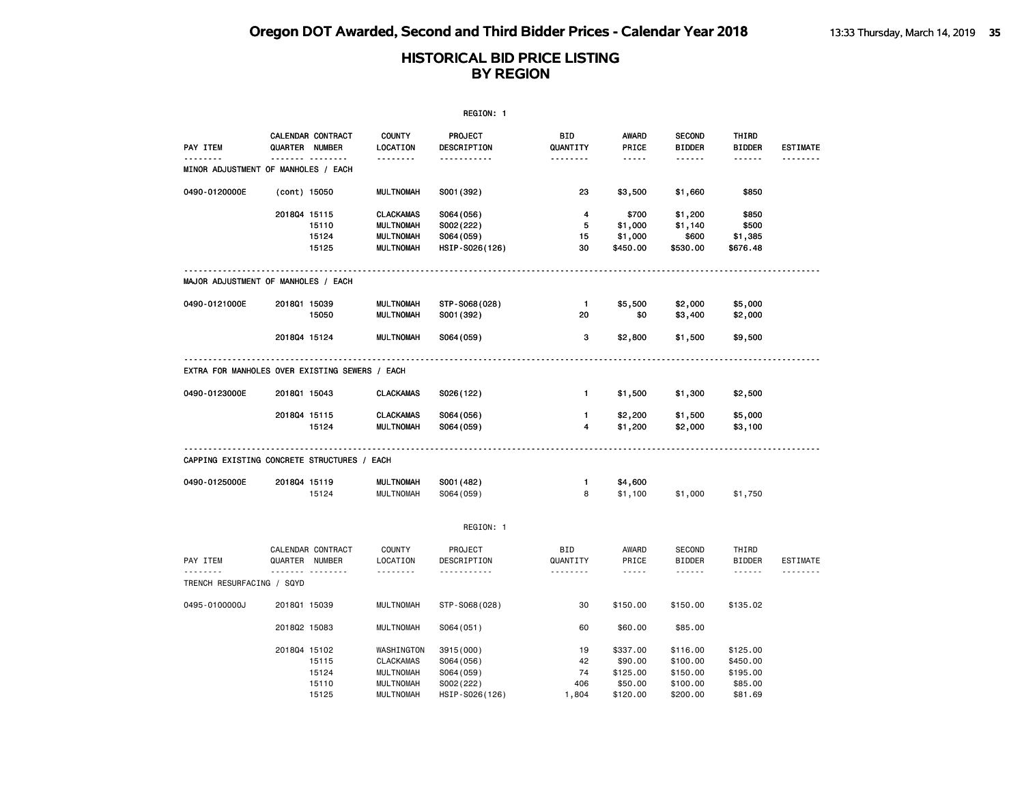| REGION: 1                                       |                           |                                  |                                                                                            |                                                                       |                                |                                                        |                                                          |                                                        |                 |  |  |
|-------------------------------------------------|---------------------------|----------------------------------|--------------------------------------------------------------------------------------------|-----------------------------------------------------------------------|--------------------------------|--------------------------------------------------------|----------------------------------------------------------|--------------------------------------------------------|-----------------|--|--|
| PAY ITEM                                        | QUARTER NUMBER            | CALENDAR CONTRACT                | <b>COUNTY</b><br>LOCATION                                                                  | <b>PROJECT</b><br>DESCRIPTION                                         | BID<br>QUANTITY                | AWARD<br>PRICE                                         | <b>SECOND</b><br><b>BIDDER</b>                           | THIRD<br><b>BIDDER</b>                                 | <b>ESTIMATE</b> |  |  |
| --------<br>MINOR ADJUSTMENT OF MANHOLES / EACH |                           | . <sub>.</sub>                   | <u>.</u>                                                                                   | <u>.</u>                                                              | <u>.</u>                       | $- - - - -$                                            | ------                                                   | ------                                                 | --------        |  |  |
| 0490-0120000E                                   | (cont) 15050              |                                  | <b>MULTNOMAH</b>                                                                           | S001 (392)                                                            | 23                             | \$3,500                                                | \$1,660                                                  | \$850                                                  |                 |  |  |
|                                                 | 201804 15115              | 15110<br>15124<br>15125          | <b>CLACKAMAS</b><br><b>MULTNOMAH</b><br><b>MULTNOMAH</b><br><b>MULTNOMAH</b>               | S064 (056)<br>S002(222)<br>S064 (059)<br>HSIP-S026(126)               | 4<br>5<br>15<br>30             | \$700<br>\$1,000<br>\$1,000<br>\$450.00                | \$1,200<br>\$1,140<br>\$600<br>\$530.00                  | \$850<br>\$500<br>\$1,385<br>\$676.48                  |                 |  |  |
| MAJOR ADJUSTMENT OF MANHOLES / EACH             |                           |                                  |                                                                                            |                                                                       |                                |                                                        |                                                          |                                                        |                 |  |  |
| 0490-0121000E                                   | 201801 15039              | 15050                            | <b>MULTNOMAH</b><br><b>MULTNOMAH</b>                                                       | STP-S068(028)<br>S001 (392)                                           | $\mathbf{1}$<br>20             | \$5,500<br>\$0                                         | \$2,000<br>\$3,400                                       | \$5,000<br>\$2,000                                     |                 |  |  |
|                                                 | 201804 15124              |                                  | <b>MULTNOMAH</b>                                                                           | S064 (059)                                                            | з                              | \$2,800                                                | \$1,500                                                  | \$9,500                                                |                 |  |  |
| EXTRA FOR MANHOLES OVER EXISTING SEWERS / EACH  |                           |                                  |                                                                                            |                                                                       |                                |                                                        |                                                          |                                                        |                 |  |  |
| 0490-0123000E                                   | 201801 15043              |                                  | <b>CLACKAMAS</b>                                                                           | S026(122)                                                             | $\mathbf{1}$                   | \$1,500                                                | \$1,300                                                  | \$2,500                                                |                 |  |  |
|                                                 | 2018Q4 15115              | 15124                            | <b>CLACKAMAS</b><br><b>MULTNOMAH</b>                                                       | S064 (056)<br>S064 (059)                                              | $\mathbf{1}$<br>4              | \$2,200<br>\$1,200                                     | \$1,500<br>\$2,000                                       | \$5,000<br>\$3,100                                     |                 |  |  |
| CAPPING EXISTING CONCRETE STRUCTURES / EACH     |                           |                                  |                                                                                            |                                                                       |                                |                                                        |                                                          |                                                        |                 |  |  |
| 0490-0125000E                                   | 201804 15119              | 15124                            | <b>MULTNOMAH</b><br><b>MULTNOMAH</b>                                                       | S001 (482)<br>S064 (059)                                              | $\mathbf{1}$<br>8              | \$4,600<br>\$1,100                                     | \$1,000                                                  | \$1,750                                                |                 |  |  |
|                                                 |                           |                                  |                                                                                            | REGION: 1                                                             |                                |                                                        |                                                          |                                                        |                 |  |  |
| PAY ITEM                                        | QUARTER NUMBER<br>$- - -$ | CALENDAR CONTRACT<br>.           | <b>COUNTY</b><br>LOCATION<br>.                                                             | PROJECT<br>DESCRIPTION<br>.                                           | <b>BID</b><br>QUANTITY<br>.    | AWARD<br>PRICE<br>$- - - - -$                          | <b>SECOND</b><br><b>BIDDER</b><br>.                      | THIRD<br><b>BIDDER</b><br>------                       | <b>ESTIMATE</b> |  |  |
| TRENCH RESURFACING / SQYD                       |                           |                                  |                                                                                            |                                                                       |                                |                                                        |                                                          |                                                        |                 |  |  |
| 0495-0100000J                                   | 201801 15039              |                                  | <b>MULTNOMAH</b>                                                                           | STP-S068(028)                                                         | 30                             | \$150.00                                               | \$150.00                                                 | \$135.02                                               |                 |  |  |
|                                                 | 201802 15083              |                                  | <b>MULTNOMAH</b>                                                                           | S064(051)                                                             | 60                             | \$60.00                                                | \$85.00                                                  |                                                        |                 |  |  |
|                                                 | 201804 15102              | 15115<br>15124<br>15110<br>15125 | WASHINGTON<br><b>CLACKAMAS</b><br><b>MULTNOMAH</b><br><b>MULTNOMAH</b><br><b>MULTNOMAH</b> | 3915 (000)<br>S064 (056)<br>S064 (059)<br>S002(222)<br>HSIP-S026(126) | 19<br>42<br>74<br>406<br>1,804 | \$337.00<br>\$90.00<br>\$125.00<br>\$50.00<br>\$120.00 | \$116.00<br>\$100.00<br>\$150.00<br>\$100.00<br>\$200.00 | \$125.00<br>\$450.00<br>\$195.00<br>\$85.00<br>\$81.69 |                 |  |  |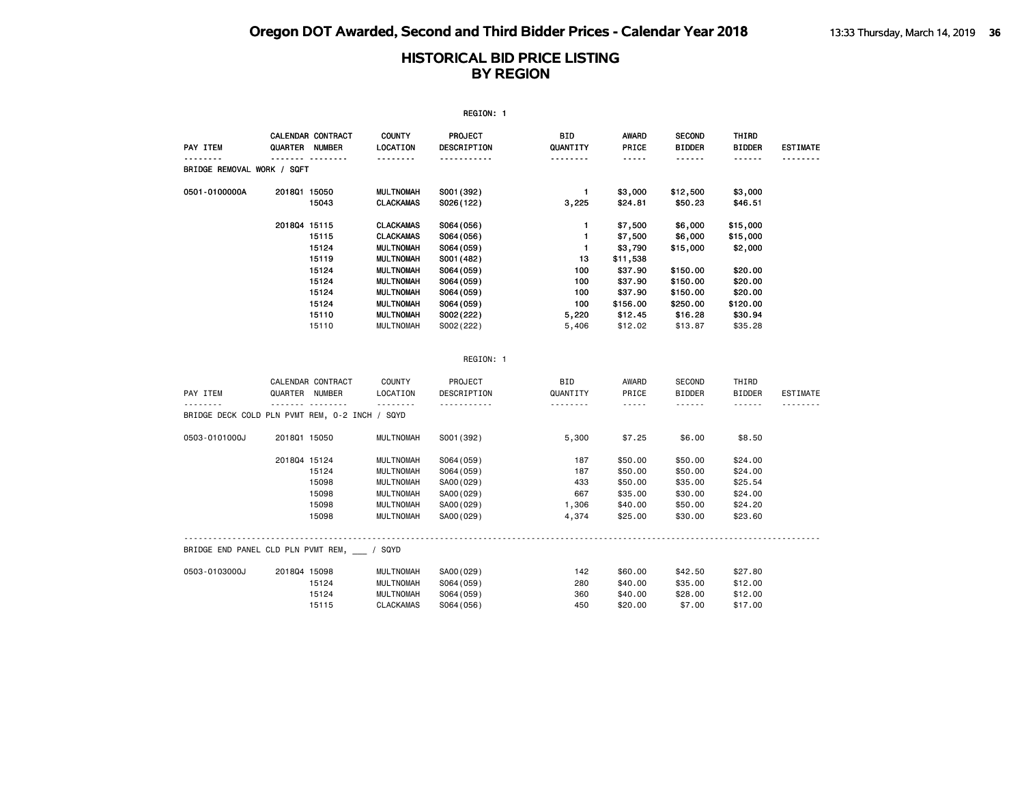|                            | REGION: 1    |                                           |                           |                               |                        |                       |                                |                        |                 |  |  |  |  |
|----------------------------|--------------|-------------------------------------------|---------------------------|-------------------------------|------------------------|-----------------------|--------------------------------|------------------------|-----------------|--|--|--|--|
| PAY ITEM                   | QUARTER      | <b>CALENDAR CONTRACT</b><br><b>NUMBER</b> | <b>COUNTY</b><br>LOCATION | <b>PROJECT</b><br>DESCRIPTION | <b>BID</b><br>QUANTITY | <b>AWARD</b><br>PRICE | <b>SECOND</b><br><b>BIDDER</b> | THIRD<br><b>BIDDER</b> | <b>ESTIMATE</b> |  |  |  |  |
| BRIDGE REMOVAL WORK / SQFT |              |                                           |                           |                               |                        |                       |                                |                        |                 |  |  |  |  |
| 0501-0100000A              | 201801 15050 |                                           | <b>MULTNOMAH</b>          | S001 (392)                    |                        | \$3,000               | \$12,500                       | \$3,000                |                 |  |  |  |  |
|                            |              | 15043                                     | <b>CLACKAMAS</b>          | S026(122)                     | 3,225                  | \$24.81               | \$50.23                        | \$46.51                |                 |  |  |  |  |
|                            | 201804 15115 |                                           | <b>CLACKAMAS</b>          | S064 (056)                    |                        | \$7,500               | \$6,000                        | \$15,000               |                 |  |  |  |  |
|                            |              | 15115                                     | <b>CLACKAMAS</b>          | S064 (056)                    |                        | \$7,500               | \$6,000                        | \$15,000               |                 |  |  |  |  |
|                            |              | 15124                                     | MULTNOMAH                 | S064 (059)                    |                        | \$3,790               | \$15,000                       | \$2,000                |                 |  |  |  |  |
|                            |              | 15119                                     | <b>MULTNOMAH</b>          | S001 (482)                    | 13                     | \$11,538              |                                |                        |                 |  |  |  |  |
|                            |              | 15124                                     | <b>MULTNOMAH</b>          | S064 (059)                    | 100                    | \$37.90               | \$150.00                       | \$20.00                |                 |  |  |  |  |
|                            |              | 15124                                     | MULTNOMAH                 | S064 (059)                    | 100                    | \$37.90               | \$150.00                       | \$20.00                |                 |  |  |  |  |
|                            |              | 15124                                     | MULTNOMAH                 | S064 (059)                    | 100                    | \$37.90               | \$150.00                       | \$20.00                |                 |  |  |  |  |
|                            |              | 15124                                     | MULTNOMAH                 | S064 (059)                    | 100                    | \$156.00              | \$250.00                       | \$120.00               |                 |  |  |  |  |
|                            |              | 15110                                     | MULTNOMAH                 | S002(222)                     | 5,220                  | \$12.45               | \$16.28                        | \$30.94                |                 |  |  |  |  |
|                            |              | 15110                                     | MULTNOMAH                 | S002(222)                     | 5,406                  | \$12.02               | \$13.87                        | \$35.28                |                 |  |  |  |  |

REGION: 1

|                                                |              | CALENDAR CONTRACT | <b>COUNTY</b>    | PROJECT     | <b>BID</b> | AWARD       | SECOND  | THIRD   |          |
|------------------------------------------------|--------------|-------------------|------------------|-------------|------------|-------------|---------|---------|----------|
| PAY ITEM                                       |              | QUARTER NUMBER    | LOCATION         | DESCRIPTION | QUANTITY   | PRICE       | BIDDER  | BIDDER  | ESTIMATE |
|                                                |              |                   |                  |             |            | $- - - - -$ |         | .       |          |
| BRIDGE DECK COLD PLN PVMT REM, 0-2 INCH / SQYD |              |                   |                  |             |            |             |         |         |          |
| 0503-0101000J                                  | 201801 15050 |                   | <b>MULTNOMAH</b> | S001 (392)  | 5,300      | \$7.25      | \$6.00  | \$8.50  |          |
|                                                | 201804 15124 |                   | MULTNOMAH        | S064 (059)  | 187        | \$50.00     | \$50.00 | \$24.00 |          |
|                                                |              | 15124             | <b>MULTNOMAH</b> | S064 (059)  | 187        | \$50.00     | \$50.00 | \$24.00 |          |
|                                                |              | 15098             | <b>MULTNOMAH</b> | SA00(029)   | 433        | \$50.00     | \$35.00 | \$25.54 |          |
|                                                |              | 15098             | <b>MULTNOMAH</b> | SA00 (029)  | 667        | \$35.00     | \$30.00 | \$24.00 |          |
|                                                |              | 15098             | MULTNOMAH        | SA00 (029)  | 1,306      | \$40.00     | \$50.00 | \$24.20 |          |
|                                                |              | 15098             | <b>MULTNOMAH</b> | SA00(029)   | 4,374      | \$25.00     | \$30,00 | \$23.60 |          |
| BRIDGE END PANEL CLD PLN PVMT REM, / SQYD      |              |                   |                  |             |            |             |         |         |          |
| 0503-0103000J                                  | 201804 15098 |                   | MULTNOMAH        | SA00(029)   | 142        | \$60,00     | \$42.50 | \$27.80 |          |
|                                                |              | 15124             | MULTNOMAH        | S064 (059)  | 280        | \$40.00     | \$35.00 | \$12.00 |          |
|                                                |              | 15124             | MULTNOMAH        | S064 (059)  | 360        | \$40.00     | \$28.00 | \$12.00 |          |
|                                                |              | 15115             | CLACKAMAS        | S064(056)   | 450        | \$20.00     | \$7.00  | \$17.00 |          |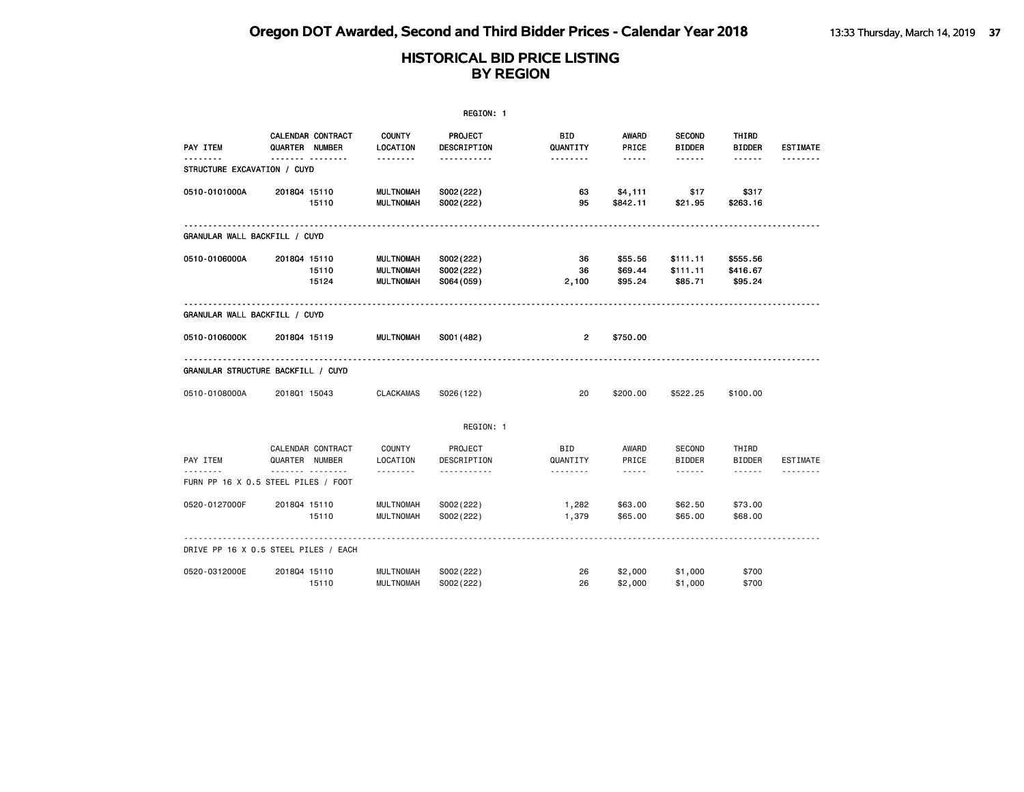|                                         |                                                 |                                                          | REGION: 1                            |                        |                                                                                                                                                      |                                 |                                                                                                                                                                                                                                                                                                                                                                                                                                                                            |                 |
|-----------------------------------------|-------------------------------------------------|----------------------------------------------------------|--------------------------------------|------------------------|------------------------------------------------------------------------------------------------------------------------------------------------------|---------------------------------|----------------------------------------------------------------------------------------------------------------------------------------------------------------------------------------------------------------------------------------------------------------------------------------------------------------------------------------------------------------------------------------------------------------------------------------------------------------------------|-----------------|
| PAY ITEM                                | CALENDAR CONTRACT<br>QUARTER NUMBER             | <b>COUNTY</b><br>LOCATION                                | PROJECT<br>DESCRIPTION               | <b>BID</b><br>QUANTITY | <b>AWARD</b><br>PRICE                                                                                                                                | <b>SECOND</b><br><b>BIDDER</b>  | THIRD<br><b>BIDDER</b>                                                                                                                                                                                                                                                                                                                                                                                                                                                     | <b>ESTIMATE</b> |
| <u>.</u><br>STRUCTURE EXCAVATION / CUYD | <u> </u>                                        | .                                                        | -----------                          | .                      | $\frac{1}{2} \left( \frac{1}{2} \right) \left( \frac{1}{2} \right) \left( \frac{1}{2} \right) \left( \frac{1}{2} \right) \left( \frac{1}{2} \right)$ | $- - - - - -$                   | $- - - - - -$                                                                                                                                                                                                                                                                                                                                                                                                                                                              | .               |
| 0510-0101000A                           | 201804 15110<br>15110                           | <b>MULTNOMAH</b><br><b>MULTNOMAH</b>                     | S002(222)<br>S002(222)               | 63<br>95               | \$4,111<br>\$842.11                                                                                                                                  | \$17<br>\$21.95                 | \$317<br>\$263.16                                                                                                                                                                                                                                                                                                                                                                                                                                                          |                 |
| GRANULAR WALL BACKFILL / CUYD           |                                                 |                                                          |                                      |                        |                                                                                                                                                      |                                 |                                                                                                                                                                                                                                                                                                                                                                                                                                                                            |                 |
| 0510-0106000A                           | 201804 15110<br>15110<br>15124                  | <b>MULTNOMAH</b><br><b>MULTNOMAH</b><br><b>MULTNOMAH</b> | S002(222)<br>S002(222)<br>S064 (059) | 36<br>36<br>2,100      | \$55.56<br>\$69.44<br>\$95.24                                                                                                                        | \$111.11<br>\$111.11<br>\$85.71 | \$555.56<br>\$416.67<br>\$95.24                                                                                                                                                                                                                                                                                                                                                                                                                                            |                 |
| GRANULAR WALL BACKFILL / CUYD           |                                                 | ____________________________________                     |                                      |                        |                                                                                                                                                      |                                 |                                                                                                                                                                                                                                                                                                                                                                                                                                                                            |                 |
| 0510-0106000K                           | 201804 15119                                    | <b>MULTNOMAH</b>                                         | S001 (482)                           | $\overline{2}$         | \$750.00                                                                                                                                             |                                 |                                                                                                                                                                                                                                                                                                                                                                                                                                                                            |                 |
|                                         | GRANULAR STRUCTURE BACKFILL / CUYD              |                                                          |                                      |                        |                                                                                                                                                      |                                 |                                                                                                                                                                                                                                                                                                                                                                                                                                                                            |                 |
| 0510-0108000A                           | 201801 15043                                    | CLACKAMAS                                                | S026(122)                            | 20                     | \$200.00                                                                                                                                             | \$522.25                        | \$100.00                                                                                                                                                                                                                                                                                                                                                                                                                                                                   |                 |
|                                         |                                                 |                                                          | REGION: 1                            |                        |                                                                                                                                                      |                                 |                                                                                                                                                                                                                                                                                                                                                                                                                                                                            |                 |
| PAY ITEM                                | CALENDAR CONTRACT<br>QUARTER NUMBER             | COUNTY<br>LOCATION                                       | PROJECT<br>DESCRIPTION               | <b>BID</b><br>QUANTITY | AWARD<br>PRICE                                                                                                                                       | SECOND<br><b>BIDDER</b>         | THIRD<br><b>BIDDER</b>                                                                                                                                                                                                                                                                                                                                                                                                                                                     | <b>ESTIMATE</b> |
| <u>.</u>                                | <u> </u><br>FURN PP 16 X 0.5 STEEL PILES / FOOT | .                                                        | .                                    | .                      | $\frac{1}{2}$                                                                                                                                        | $- - - - - - -$                 | $\frac{1}{2} \left( \frac{1}{2} \right) \left( \frac{1}{2} \right) \left( \frac{1}{2} \right) \left( \frac{1}{2} \right) \left( \frac{1}{2} \right) \left( \frac{1}{2} \right) \left( \frac{1}{2} \right) \left( \frac{1}{2} \right) \left( \frac{1}{2} \right) \left( \frac{1}{2} \right) \left( \frac{1}{2} \right) \left( \frac{1}{2} \right) \left( \frac{1}{2} \right) \left( \frac{1}{2} \right) \left( \frac{1}{2} \right) \left( \frac{1}{2} \right) \left( \frac$ |                 |
| 0520-0127000F                           | 201804 15110<br>15110                           | <b>MULTNOMAH</b><br><b>MULTNOMAH</b>                     | S002(222)<br>S002(222)               | 1,282<br>1,379         | \$63.00<br>\$65.00                                                                                                                                   | \$62.50<br>\$65.00              | \$73.00<br>\$68.00                                                                                                                                                                                                                                                                                                                                                                                                                                                         |                 |
|                                         | DRIVE PP 16 X 0.5 STEEL PILES / EACH            |                                                          |                                      |                        |                                                                                                                                                      |                                 |                                                                                                                                                                                                                                                                                                                                                                                                                                                                            |                 |
| 0520-0312000E                           | 201804 15110<br>15110                           | MULTNOMAH<br><b>MULTNOMAH</b>                            | S002(222)<br>S002(222)               | 26<br>26               | \$2,000<br>\$2,000                                                                                                                                   | \$1,000<br>\$1,000              | \$700<br>\$700                                                                                                                                                                                                                                                                                                                                                                                                                                                             |                 |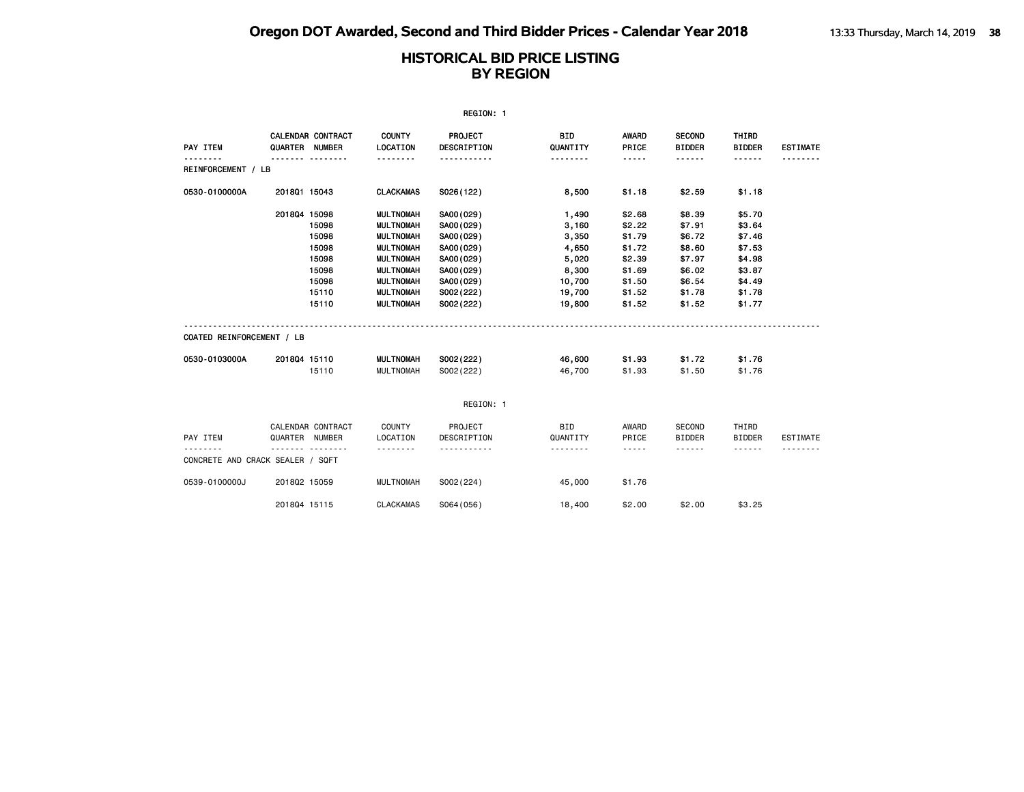|                                  |                |                          |                                     | REGION: 1               |                                     |                      |                                  |                           |                      |
|----------------------------------|----------------|--------------------------|-------------------------------------|-------------------------|-------------------------------------|----------------------|----------------------------------|---------------------------|----------------------|
| PAY ITEM                         | QUARTER NUMBER | <b>CALENDAR CONTRACT</b> | <b>COUNTY</b><br><b>LOCATION</b>    | PROJECT<br>DESCRIPTION  | <b>BID</b><br>QUANTITY              | AWARD<br>PRICE       | <b>SECOND</b><br><b>BIDDER</b>   | THIRD<br><b>BIDDER</b>    | <b>ESTIMATE</b>      |
| REINFORCEMENT / LB               |                |                          | <b>.</b>                            | .                       | .                                   | -----                | .                                | ------                    |                      |
| 0530-0100000A                    | 201801 15043   |                          | <b>CLACKAMAS</b>                    | S026(122)               | 8,500                               | \$1.18               | \$2.59                           | \$1.18                    |                      |
|                                  | 201804 15098   |                          | <b>MULTNOMAH</b>                    | SA00(029)               | 1,490                               | \$2.68               | \$8.39                           | \$5.70                    |                      |
|                                  |                | 15098                    | <b>MULTNOMAH</b>                    | SA00(029)               | 3,160                               | \$2.22               | \$7.91                           | \$3.64                    |                      |
|                                  |                | 15098                    | <b>MULTNOMAH</b>                    | SA00(029)               | 3,350                               | \$1.79               | \$6.72                           | \$7.46                    |                      |
|                                  |                | 15098                    | <b>MULTNOMAH</b>                    | SA00(029)               | 4,650                               | \$1.72               | \$8.60                           | \$7.53                    |                      |
|                                  |                | 15098                    | <b>MULTNOMAH</b>                    | SA00(029)               | 5,020                               | \$2.39               | \$7.97                           | \$4.98                    |                      |
|                                  |                | 15098                    | <b>MULTNOMAH</b>                    | SA00(029)               | 8,300                               | \$1.69               | \$6.02                           | \$3.87                    |                      |
|                                  |                | 15098                    | <b>MULTNOMAH</b>                    | SA00(029)               | 10,700                              | \$1.50               | \$6.54                           | \$4.49                    |                      |
|                                  |                | 15110                    | <b>MULTNOMAH</b>                    | S002(222)               | 19,700                              | \$1.52               | \$1.78                           | \$1.78                    |                      |
|                                  |                | 15110                    | <b>MULTNOMAH</b>                    | S002(222)               | 19,800                              | \$1.52               | \$1.52                           | \$1.77                    |                      |
| COATED REINFORCEMENT / LB        |                |                          |                                     |                         |                                     |                      |                                  |                           |                      |
| 0530-0103000A                    | 201804 15110   |                          | <b>MULTNOMAH</b>                    | S002(222)               | 46,600                              | \$1.93               | \$1.72                           | \$1.76                    |                      |
|                                  |                | 15110                    | <b>MULTNOMAH</b>                    | S002(222)               | 46,700                              | \$1.93               | \$1.50                           | \$1.76                    |                      |
|                                  |                |                          |                                     | REGION: 1               |                                     |                      |                                  |                           |                      |
|                                  |                |                          |                                     |                         |                                     |                      |                                  |                           |                      |
|                                  |                | CALENDAR CONTRACT        | COUNTY                              | PROJECT                 | BID                                 | AWARD                | SECOND                           | THIRD                     |                      |
| PAY ITEM<br><u>.</u>             | QUARTER NUMBER | <u>.</u>                 | LOCATION<br><u> - - - - - - - -</u> | DESCRIPTION<br><u>.</u> | QUANTITY<br><u> - - - - - - - -</u> | PRICE<br>$- - - - -$ | <b>BIDDER</b><br>$- - - - - - -$ | <b>BIDDER</b><br><b>.</b> | ESTIMATE<br><u>.</u> |
| CONCRETE AND CRACK SEALER / SQFT |                |                          |                                     |                         |                                     |                      |                                  |                           |                      |
| 0539-0100000J                    | 201802 15059   |                          | <b>MULTNOMAH</b>                    | S002(224)               | 45,000                              | \$1.76               |                                  |                           |                      |
|                                  | 201804 15115   |                          | <b>CLACKAMAS</b>                    | S064 (056)              | 18,400                              | \$2.00               | \$2.00                           | \$3,25                    |                      |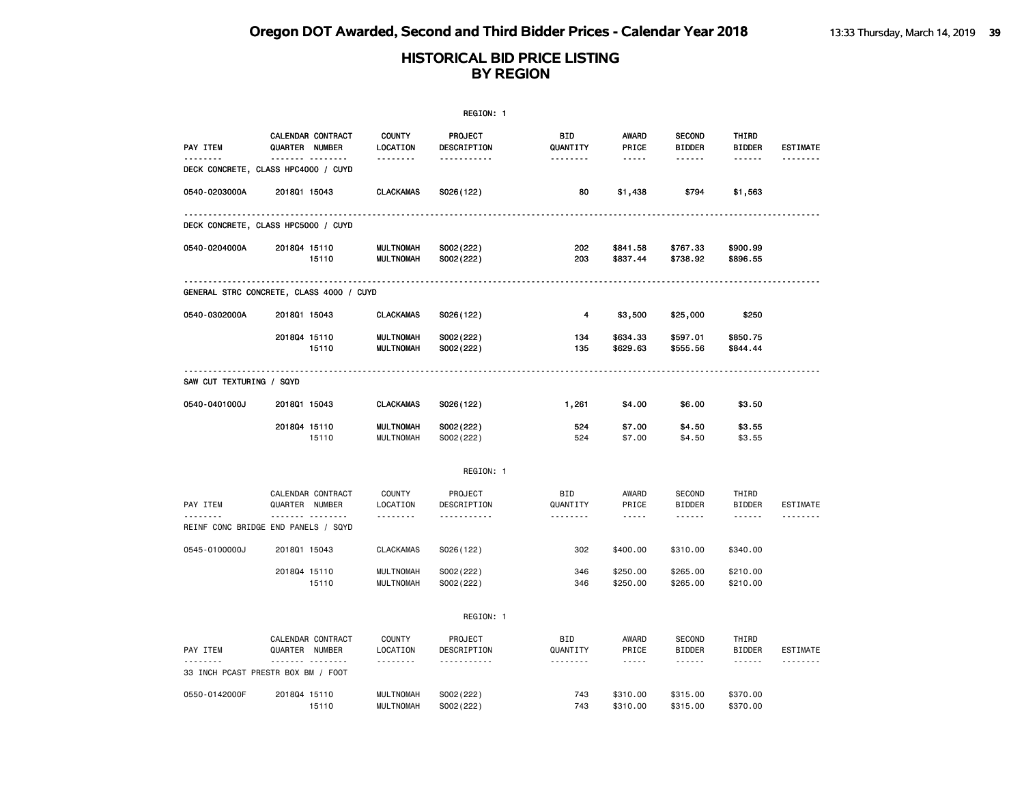|                                          |                |                                      |                                      | REGION: 1                          |                             |                                |                                                                                                                                               |                                                                                                                                       |                             |
|------------------------------------------|----------------|--------------------------------------|--------------------------------------|------------------------------------|-----------------------------|--------------------------------|-----------------------------------------------------------------------------------------------------------------------------------------------|---------------------------------------------------------------------------------------------------------------------------------------|-----------------------------|
| PAY ITEM<br><u>.</u>                     | QUARTER NUMBER | <b>CALENDAR CONTRACT</b><br><b>.</b> | <b>COUNTY</b><br>LOCATION<br>.       | <b>PROJECT</b><br>DESCRIPTION<br>. | BID<br>QUANTITY<br><u>.</u> | <b>AWARD</b><br>PRICE<br>----- | <b>SECOND</b><br><b>BIDDER</b><br>------                                                                                                      | THIRD<br><b>BIDDER</b><br>------                                                                                                      | <b>ESTIMATE</b>             |
| DECK CONCRETE, CLASS HPC4000 / CUYD      |                |                                      |                                      |                                    |                             |                                |                                                                                                                                               |                                                                                                                                       |                             |
| 0540-0203000A                            | 201801 15043   |                                      | <b>CLACKAMAS</b>                     | S026(122)                          | 80                          | \$1,438                        | \$794                                                                                                                                         | \$1,563                                                                                                                               |                             |
| DECK CONCRETE, CLASS HPC5000 / CUYD      |                |                                      |                                      |                                    |                             |                                |                                                                                                                                               |                                                                                                                                       |                             |
| 0540-0204000A                            | 201804 15110   | 15110                                | <b>MULTNOMAH</b><br><b>MULTNOMAH</b> | S002(222)<br>S002(222)             | 202<br>203                  | \$841.58<br>\$837.44           | \$767.33<br>\$738.92                                                                                                                          | \$900.99<br>\$896.55                                                                                                                  |                             |
| GENERAL STRC CONCRETE, CLASS 4000 / CUYD |                |                                      |                                      |                                    |                             |                                |                                                                                                                                               |                                                                                                                                       |                             |
| 0540-0302000A                            | 201801 15043   |                                      | <b>CLACKAMAS</b>                     | S026(122)                          | 4                           | \$3,500                        | \$25,000                                                                                                                                      | \$250                                                                                                                                 |                             |
|                                          | 201804 15110   | 15110                                | <b>MULTNOMAH</b><br><b>MULTNOMAH</b> | S002(222)<br>S002(222)             | 134<br>135                  | \$634.33<br>\$629.63           | \$597.01<br>\$555.56                                                                                                                          | \$850.75<br>\$844.44                                                                                                                  |                             |
| SAW CUT TEXTURING / SQYD                 |                |                                      |                                      |                                    |                             |                                |                                                                                                                                               |                                                                                                                                       |                             |
| 0540-0401000J                            | 201801 15043   |                                      | <b>CLACKAMAS</b>                     | S026(122)                          | 1,261                       | \$4.00                         | \$6.00                                                                                                                                        | \$3.50                                                                                                                                |                             |
|                                          | 201804 15110   | 15110                                | <b>MULTNOMAH</b><br><b>MULTNOMAH</b> | S002(222)<br>S002(222)             | 524<br>524                  | \$7.00<br>\$7.00               | \$4.50<br>\$4.50                                                                                                                              | \$3.55<br>\$3.55                                                                                                                      |                             |
|                                          |                |                                      |                                      | REGION: 1                          |                             |                                |                                                                                                                                               |                                                                                                                                       |                             |
| PAY ITEM                                 | QUARTER NUMBER | CALENDAR CONTRACT<br><b>.</b>        | <b>COUNTY</b><br>LOCATION<br>.       | PROJECT<br>DESCRIPTION<br><u>.</u> | <b>BID</b><br>QUANTITY<br>. | AWARD<br>PRICE<br>$- - - - -$  | <b>SECOND</b><br><b>BIDDER</b><br>.                                                                                                           | THIRD<br><b>BIDDER</b><br>------                                                                                                      | ESTIMATE                    |
| REINF CONC BRIDGE END PANELS / SQYD      |                |                                      |                                      |                                    |                             |                                |                                                                                                                                               |                                                                                                                                       |                             |
| 0545-0100000J                            | 201801 15043   |                                      | <b>CLACKAMAS</b>                     | S026(122)                          | 302                         | \$400.00                       | \$310.00                                                                                                                                      | \$340.00                                                                                                                              |                             |
|                                          | 201804 15110   | 15110                                | <b>MULTNOMAH</b><br><b>MULTNOMAH</b> | S002(222)<br>S002(222)             | 346<br>346                  | \$250.00<br>\$250.00           | \$265.00<br>\$265.00                                                                                                                          | \$210.00<br>\$210.00                                                                                                                  |                             |
|                                          |                |                                      |                                      | REGION: 1                          |                             |                                |                                                                                                                                               |                                                                                                                                       |                             |
| PAY ITEM                                 | QUARTER NUMBER | CALENDAR CONTRACT<br><u> </u>        | <b>COUNTY</b><br>LOCATION<br>.       | PROJECT<br>DESCRIPTION<br>.        | <b>BID</b><br>QUANTITY<br>. | AWARD<br>PRICE<br>$- - - -$    | <b>SECOND</b><br><b>BIDDER</b><br>$\begin{array}{cccccccccc} \bullet & \bullet & \bullet & \bullet & \bullet & \bullet & \bullet \end{array}$ | THIRD<br><b>BIDDER</b><br>$\begin{array}{cccccccccc} \bullet & \bullet & \bullet & \bullet & \bullet & \bullet & \bullet \end{array}$ | <b>ESTIMATE</b><br><u>.</u> |
| 33 INCH PCAST PRESTR BOX BM / FOOT       |                |                                      |                                      |                                    |                             |                                |                                                                                                                                               |                                                                                                                                       |                             |
| 0550-0142000F                            | 201804 15110   | 15110                                | <b>MULTNOMAH</b><br><b>MULTNOMAH</b> | S002(222)<br>S002(222)             | 743<br>743                  | \$310.00<br>\$310.00           | \$315.00<br>\$315.00                                                                                                                          | \$370.00<br>\$370.00                                                                                                                  |                             |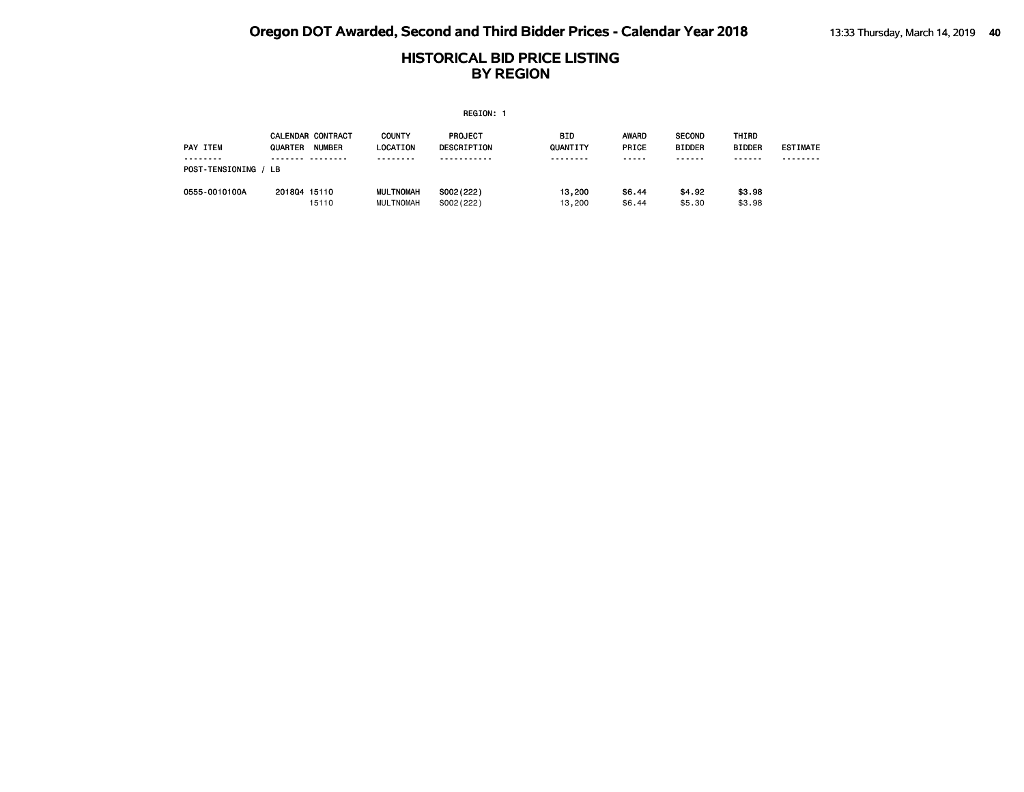| REGION: 1            |              |                                           |                               |                               |                  |                       |                                |                               |                 |  |  |
|----------------------|--------------|-------------------------------------------|-------------------------------|-------------------------------|------------------|-----------------------|--------------------------------|-------------------------------|-----------------|--|--|
| <b>PAY ITEM</b>      | QUARTER      | <b>CALENDAR CONTRACT</b><br><b>NUMBER</b> | <b>COUNTY</b><br>LOCATION     | <b>PROJECT</b><br>DESCRIPTION | BID<br>QUANTITY  | <b>AWARD</b><br>PRICE | <b>SECOND</b><br><b>BIDDER</b> | <b>THIRD</b><br><b>BIDDER</b> | <b>ESTIMATE</b> |  |  |
| POST-TENSIONING / LB |              |                                           | .                             |                               | .                | -----                 | ------                         | ------                        | - - - - - - - - |  |  |
| 0555-0010100A        | 201804 15110 | 15110                                     | <b>MULTNOMAH</b><br>MULTNOMAH | S002(222)<br>S002(222)        | 13.200<br>13,200 | \$6.44<br>\$6.44      | \$4.92<br>\$5.30               | \$3.98<br>\$3,98              |                 |  |  |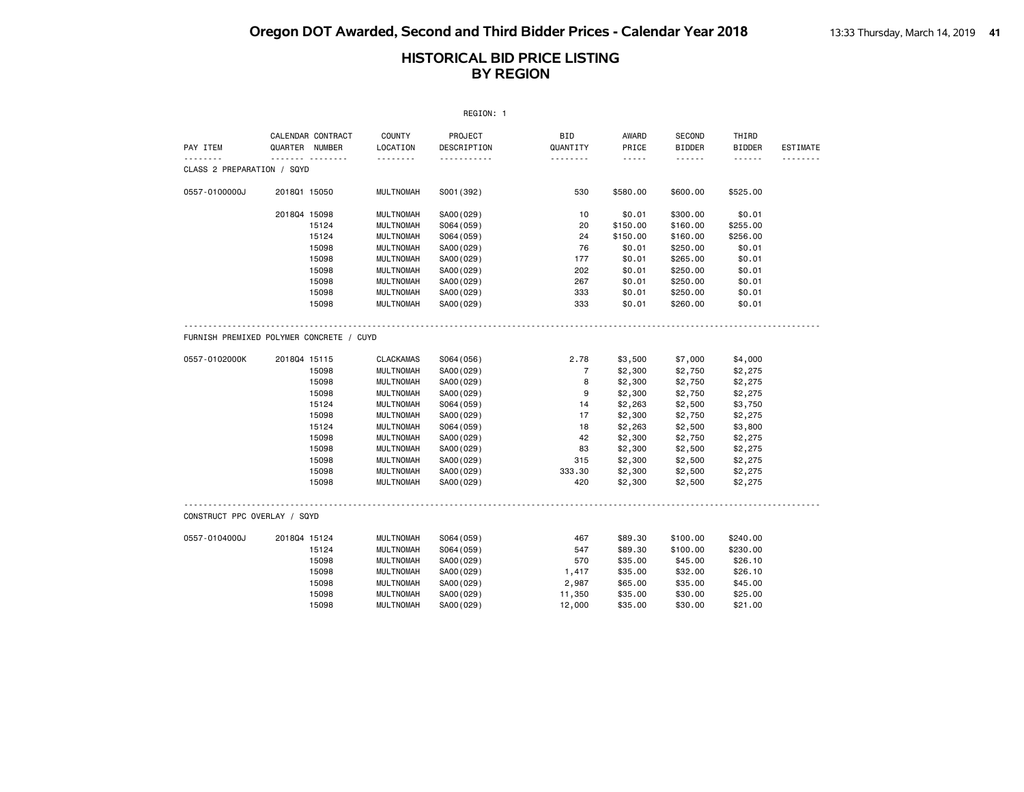| REGION: 1                                |                |                   |                           |                        |                        |                |                                |                        |          |  |
|------------------------------------------|----------------|-------------------|---------------------------|------------------------|------------------------|----------------|--------------------------------|------------------------|----------|--|
| PAY ITEM                                 | QUARTER NUMBER | CALENDAR CONTRACT | <b>COUNTY</b><br>LOCATION | PROJECT<br>DESCRIPTION | <b>BID</b><br>QUANTITY | AWARD<br>PRICE | <b>SECOND</b><br><b>BIDDER</b> | THIRD<br><b>BIDDER</b> | ESTIMATE |  |
|                                          |                | <u>.</u>          | .                         | <u>.</u>               | .                      | $\frac{1}{2}$  |                                | .                      |          |  |
| CLASS 2 PREPARATION / SQYD               |                |                   |                           |                        |                        |                |                                |                        |          |  |
| 0557-0100000J                            | 201801 15050   |                   | <b>MULTNOMAH</b>          | S001 (392)             | 530                    | \$580.00       | \$600.00                       | \$525.00               |          |  |
|                                          | 201804 15098   |                   | <b>MULTNOMAH</b>          | SA00 (029)             | 10                     | \$0.01         | \$300.00                       | \$0.01                 |          |  |
|                                          |                | 15124             | <b>MULTNOMAH</b>          | S064 (059)             | 20                     | \$150.00       | \$160.00                       | \$255.00               |          |  |
|                                          |                | 15124             | <b>MULTNOMAH</b>          | S064 (059)             | 24                     | \$150.00       | \$160.00                       | \$256.00               |          |  |
|                                          |                | 15098             | <b>MULTNOMAH</b>          | SA00 (029)             | 76                     | \$0.01         | \$250.00                       | \$0.01                 |          |  |
|                                          |                | 15098             | <b>MULTNOMAH</b>          | SA00 (029)             | 177                    | \$0.01         | \$265.00                       | \$0.01                 |          |  |
|                                          |                | 15098             | <b>MULTNOMAH</b>          | SA00 (029)             | 202                    | \$0.01         | \$250.00                       | \$0.01                 |          |  |
|                                          |                | 15098             | <b>MULTNOMAH</b>          | SA00 (029)             | 267                    | \$0.01         | \$250.00                       | \$0.01                 |          |  |
|                                          |                | 15098             | <b>MULTNOMAH</b>          | SA00 (029)             | 333                    | \$0.01         | \$250.00                       | \$0.01                 |          |  |
|                                          |                | 15098             | <b>MULTNOMAH</b>          | SA00 (029)             | 333                    | \$0.01         | \$260.00                       | \$0.01                 |          |  |
| FURNISH PREMIXED POLYMER CONCRETE / CUYD |                |                   |                           |                        |                        |                |                                |                        |          |  |
| 0557-0102000K                            | 201804 15115   |                   | <b>CLACKAMAS</b>          | S064 (056)             | 2.78                   | \$3,500        | \$7,000                        | \$4,000                |          |  |
|                                          |                | 15098             | <b>MULTNOMAH</b>          | SA00 (029)             | $\overline{7}$         | \$2,300        | \$2,750                        | \$2,275                |          |  |
|                                          |                | 15098             | <b>MULTNOMAH</b>          | SA00 (029)             | 8                      | \$2,300        | \$2,750                        | \$2,275                |          |  |
|                                          |                | 15098             | <b>MULTNOMAH</b>          | SA00 (029)             | 9                      | \$2,300        | \$2,750                        | \$2,275                |          |  |
|                                          |                | 15124             | <b>MULTNOMAH</b>          | S064 (059)             | 14                     | \$2,263        | \$2,500                        | \$3,750                |          |  |
|                                          |                | 15098             | <b>MULTNOMAH</b>          | SA00 (029)             | 17                     | \$2,300        | \$2,750                        | \$2,275                |          |  |
|                                          |                | 15124             | <b>MULTNOMAH</b>          | S064 (059)             | 18                     | \$2,263        | \$2,500                        | \$3,800                |          |  |
|                                          |                | 15098             | <b>MULTNOMAH</b>          | SA00 (029)             | 42                     | \$2,300        | \$2,750                        | \$2,275                |          |  |
|                                          |                | 15098             | <b>MULTNOMAH</b>          | SA00 (029)             | 83                     | \$2,300        | \$2,500                        | \$2,275                |          |  |
|                                          |                | 15098             | <b>MULTNOMAH</b>          | SA00 (029)             | 315                    | \$2,300        | \$2,500                        | \$2,275                |          |  |
|                                          |                | 15098             | <b>MULTNOMAH</b>          | SA00 (029)             | 333.30                 | \$2,300        | \$2,500                        | \$2,275                |          |  |
|                                          |                | 15098             | <b>MULTNOMAH</b>          | SA00 (029)             | 420                    | \$2,300        | \$2,500                        | \$2,275                |          |  |
| CONSTRUCT PPC OVERLAY / SQYD             |                |                   |                           |                        |                        |                |                                |                        |          |  |
|                                          |                |                   |                           |                        |                        |                |                                |                        |          |  |
| 0557-0104000J                            | 201804 15124   |                   | <b>MULTNOMAH</b>          | S064 (059)             | 467                    | \$89.30        | \$100.00                       | \$240.00               |          |  |
|                                          |                | 15124             | <b>MULTNOMAH</b>          | S064 (059)             | 547                    | \$89.30        | \$100.00                       | \$230.00               |          |  |
|                                          |                | 15098             | <b>MULTNOMAH</b>          | SA00 (029)             | 570                    | \$35.00        | \$45.00                        | \$26.10                |          |  |
|                                          |                | 15098             | <b>MULTNOMAH</b>          | SA00 (029)             | 1,417                  | \$35.00        | \$32.00                        | \$26.10                |          |  |
|                                          |                | 15098             | <b>MULTNOMAH</b>          | SA00 (029)             | 2,987                  | \$65.00        | \$35.00                        | \$45.00                |          |  |
|                                          |                | 15098             | <b>MULTNOMAH</b>          | SA00 (029)             | 11,350                 | \$35.00        | \$30.00                        | \$25.00                |          |  |
|                                          |                | 15098             | <b>MULTNOMAH</b>          | SA00 (029)             | 12,000                 | \$35.00        | \$30.00                        | \$21.00                |          |  |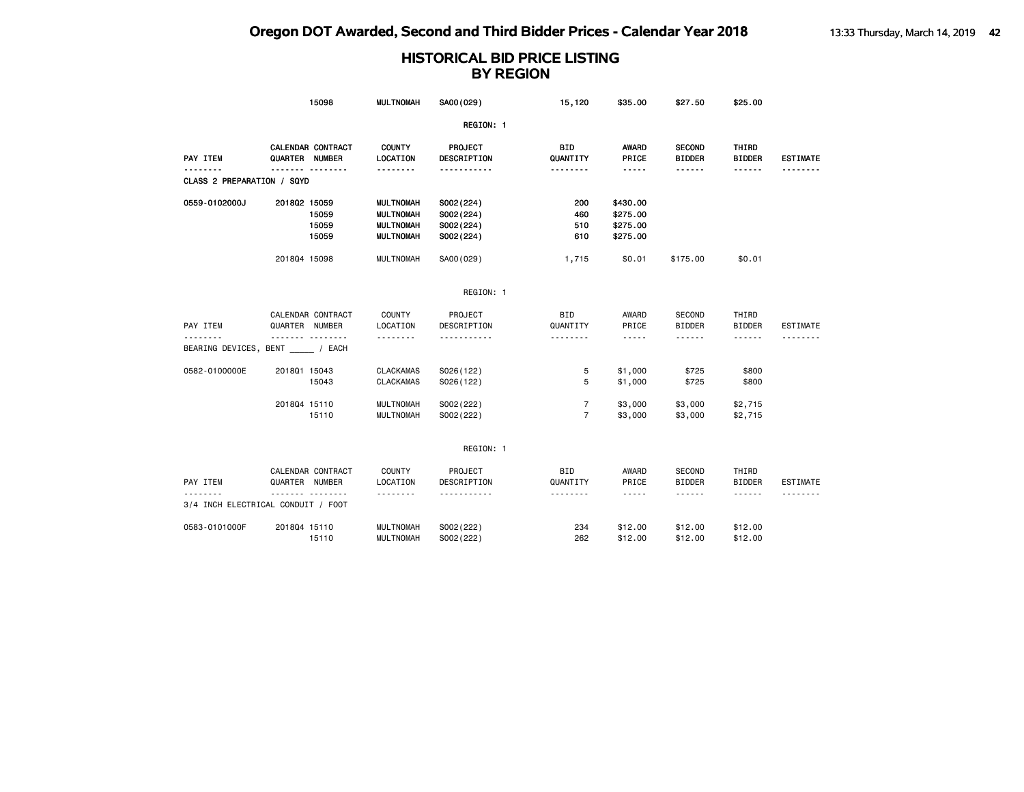|                            | 15098                                   | <b>MULTNOMAH</b>                                                             | SA00(029)                                        | 15,120                   | \$35.00                                                                                                                   | \$27.50                        | \$25.00                                                                                                                                                                                                                                                                                                                                                                                                                                                                    |                 |
|----------------------------|-----------------------------------------|------------------------------------------------------------------------------|--------------------------------------------------|--------------------------|---------------------------------------------------------------------------------------------------------------------------|--------------------------------|----------------------------------------------------------------------------------------------------------------------------------------------------------------------------------------------------------------------------------------------------------------------------------------------------------------------------------------------------------------------------------------------------------------------------------------------------------------------------|-----------------|
|                            |                                         |                                                                              | REGION: 1                                        |                          |                                                                                                                           |                                |                                                                                                                                                                                                                                                                                                                                                                                                                                                                            |                 |
| PAY ITEM                   | CALENDAR CONTRACT<br>QUARTER NUMBER     | <b>COUNTY</b><br>LOCATION                                                    | PROJECT<br>DESCRIPTION                           | <b>BID</b><br>QUANTITY   | <b>AWARD</b><br>PRICE                                                                                                     | <b>SECOND</b><br><b>BIDDER</b> | THIRD<br><b>BIDDER</b>                                                                                                                                                                                                                                                                                                                                                                                                                                                     | <b>ESTIMATE</b> |
| CLASS 2 PREPARATION / SQYD | .                                       | .                                                                            | -----------                                      | <u>.</u>                 | -----                                                                                                                     | ------                         | ------                                                                                                                                                                                                                                                                                                                                                                                                                                                                     | .               |
| 0559-0102000J              | 201802 15059<br>15059<br>15059<br>15059 | <b>MULTNOMAH</b><br><b>MULTNOMAH</b><br><b>MULTNOMAH</b><br><b>MULTNOMAH</b> | S002(224)<br>S002(224)<br>S002(224)<br>S002(224) | 200<br>460<br>510<br>610 | \$430.00<br>\$275.00<br>\$275.00<br>\$275.00                                                                              |                                |                                                                                                                                                                                                                                                                                                                                                                                                                                                                            |                 |
|                            | 201804 15098                            | <b>MULTNOMAH</b>                                                             | SA00(029)                                        | 1,715                    | \$0.01                                                                                                                    | \$175.00                       | \$0.01                                                                                                                                                                                                                                                                                                                                                                                                                                                                     |                 |
|                            |                                         |                                                                              | REGION: 1                                        |                          |                                                                                                                           |                                |                                                                                                                                                                                                                                                                                                                                                                                                                                                                            |                 |
| PAY ITEM                   | CALENDAR CONTRACT<br>QUARTER NUMBER     | COUNTY<br>LOCATION                                                           | PROJECT<br>DESCRIPTION                           | <b>BID</b><br>QUANTITY   | AWARD<br>PRICE                                                                                                            | SECOND<br><b>BIDDER</b>        | THIRD<br><b>BIDDER</b>                                                                                                                                                                                                                                                                                                                                                                                                                                                     | <b>ESTIMATE</b> |
| .                          | .<br>BEARING DEVICES, BENT / EACH       | <u>.</u>                                                                     | .                                                | .                        | $\frac{1}{2} \frac{1}{2} \frac{1}{2} \frac{1}{2} \frac{1}{2} \frac{1}{2} \frac{1}{2} \frac{1}{2} \frac{1}{2} \frac{1}{2}$ | ------                         | $\cdots \cdots \cdots$                                                                                                                                                                                                                                                                                                                                                                                                                                                     | .               |
| 0582-0100000E              | 201801 15043<br>15043                   | <b>CLACKAMAS</b><br><b>CLACKAMAS</b>                                         | S026(122)<br>S026(122)                           | 5<br>5                   | \$1,000<br>\$1,000                                                                                                        | \$725<br>\$725                 | \$800<br>\$800                                                                                                                                                                                                                                                                                                                                                                                                                                                             |                 |
|                            | 201804 15110<br>15110                   | <b>MULTNOMAH</b><br><b>MULTNOMAH</b>                                         | S002(222)<br>S002(222)                           | 7<br>$\overline{7}$      | \$3,000<br>\$3,000                                                                                                        | \$3,000<br>\$3,000             | \$2,715<br>\$2,715                                                                                                                                                                                                                                                                                                                                                                                                                                                         |                 |
|                            |                                         |                                                                              | REGION: 1                                        |                          |                                                                                                                           |                                |                                                                                                                                                                                                                                                                                                                                                                                                                                                                            |                 |
| PAY ITEM                   | CALENDAR CONTRACT<br>QUARTER NUMBER     | COUNTY<br>LOCATION                                                           | PROJECT<br>DESCRIPTION                           | <b>BID</b><br>QUANTITY   | AWARD<br>PRICE                                                                                                            | <b>SECOND</b><br><b>BIDDER</b> | THIRD<br><b>BIDDER</b>                                                                                                                                                                                                                                                                                                                                                                                                                                                     | <b>ESTIMATE</b> |
|                            | .<br>3/4 INCH ELECTRICAL CONDUIT / FOOT | .                                                                            | <u>.</u>                                         |                          | $- - - - -$                                                                                                               |                                | $\frac{1}{2} \left( \frac{1}{2} \right) \left( \frac{1}{2} \right) \left( \frac{1}{2} \right) \left( \frac{1}{2} \right) \left( \frac{1}{2} \right) \left( \frac{1}{2} \right) \left( \frac{1}{2} \right) \left( \frac{1}{2} \right) \left( \frac{1}{2} \right) \left( \frac{1}{2} \right) \left( \frac{1}{2} \right) \left( \frac{1}{2} \right) \left( \frac{1}{2} \right) \left( \frac{1}{2} \right) \left( \frac{1}{2} \right) \left( \frac{1}{2} \right) \left( \frac$ |                 |
| 0583-0101000F              | 201804 15110<br>15110                   | <b>MULTNOMAH</b><br><b>MULTNOMAH</b>                                         | S002(222)<br>S002(222)                           | 234<br>262               | \$12.00<br>\$12.00                                                                                                        | \$12.00<br>\$12.00             | \$12.00<br>\$12.00                                                                                                                                                                                                                                                                                                                                                                                                                                                         |                 |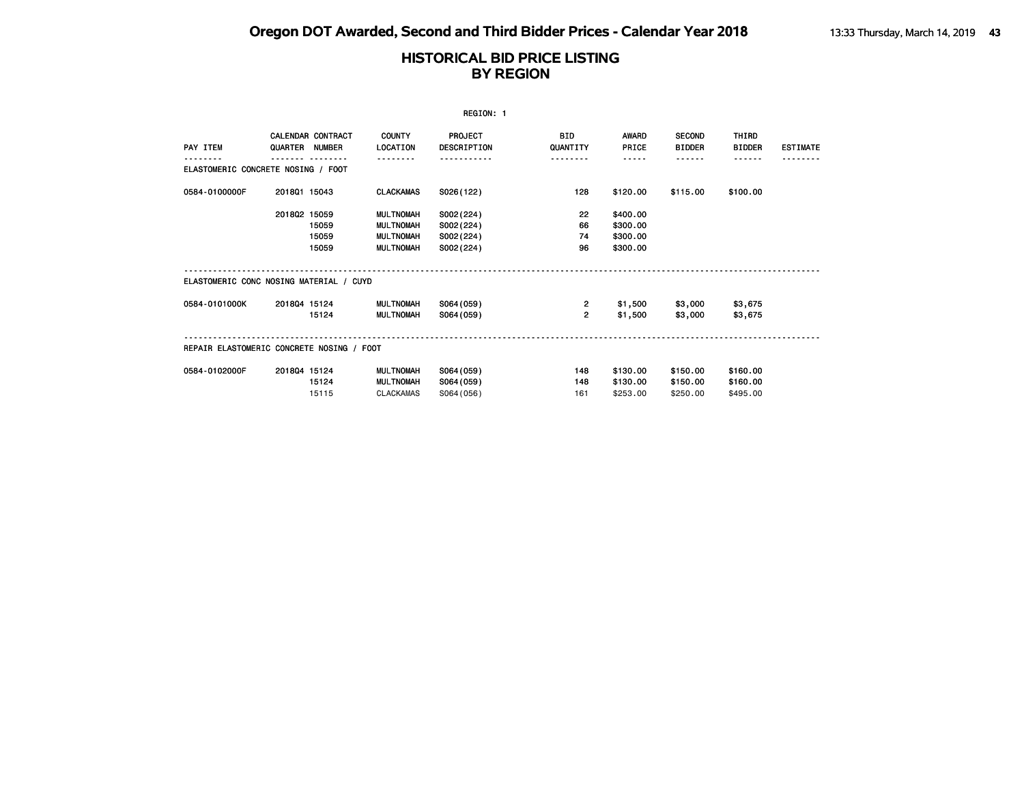| REGION: 1                                 |                |                          |                                  |                               |                        |                         |                                     |                                  |                 |  |
|-------------------------------------------|----------------|--------------------------|----------------------------------|-------------------------------|------------------------|-------------------------|-------------------------------------|----------------------------------|-----------------|--|
| PAY ITEM                                  | QUARTER NUMBER | <b>CALENDAR CONTRACT</b> | <b>COUNTY</b><br><b>LOCATION</b> | PROJECT<br><b>DESCRIPTION</b> | <b>BID</b><br>QUANTITY | AWARD<br>PRICE<br>----- | <b>SECOND</b><br><b>BIDDER</b><br>. | THIRD<br><b>BIDDER</b><br>------ | <b>ESTIMATE</b> |  |
| ELASTOMERIC CONCRETE NOSING / FOOT        |                |                          |                                  |                               |                        |                         |                                     |                                  |                 |  |
| 0584-0100000F                             | 201801 15043   |                          | <b>CLACKAMAS</b>                 | S026(122)                     | 128                    | \$120.00                | \$115.00                            | \$100.00                         |                 |  |
|                                           | 201802 15059   |                          | <b>MULTNOMAH</b>                 | S002(224)                     | 22                     | \$400.00                |                                     |                                  |                 |  |
|                                           |                | 15059                    | <b>MULTNOMAH</b>                 | S002(224)                     | 66                     | \$300.00                |                                     |                                  |                 |  |
|                                           |                | 15059                    | <b>MULTNOMAH</b>                 | S002(224)                     | 74                     | \$300.00                |                                     |                                  |                 |  |
|                                           |                | 15059                    | <b>MULTNOMAH</b>                 | S002(224)                     | 96                     | \$300.00                |                                     |                                  |                 |  |
| ELASTOMERIC CONC NOSING MATERIAL / CUYD   |                |                          |                                  |                               |                        |                         |                                     |                                  |                 |  |
| 0584-0101000K                             | 201804 15124   |                          | <b>MULTNOMAH</b>                 | S064 (059)                    | $\overline{2}$         | \$1,500                 | \$3,000                             | \$3,675                          |                 |  |
|                                           |                | 15124                    | <b>MULTNOMAH</b>                 | S064 (059)                    | $\overline{2}$         | \$1,500                 | \$3,000                             | \$3,675                          |                 |  |
| REPAIR ELASTOMERIC CONCRETE NOSING / FOOT |                |                          |                                  |                               |                        |                         |                                     |                                  |                 |  |
| 0584-0102000F                             | 201804 15124   |                          | <b>MULTNOMAH</b>                 | S064 (059)                    | 148                    | \$130.00                | \$150.00                            | \$160.00                         |                 |  |
|                                           |                | 15124                    | <b>MULTNOMAH</b>                 | S064 (059)                    | 148                    | \$130.00                | \$150.00                            | \$160.00                         |                 |  |
|                                           |                | 15115                    | <b>CLACKAMAS</b>                 | S064 (056)                    | 161                    | \$253,00                | \$250,00                            | \$495.00                         |                 |  |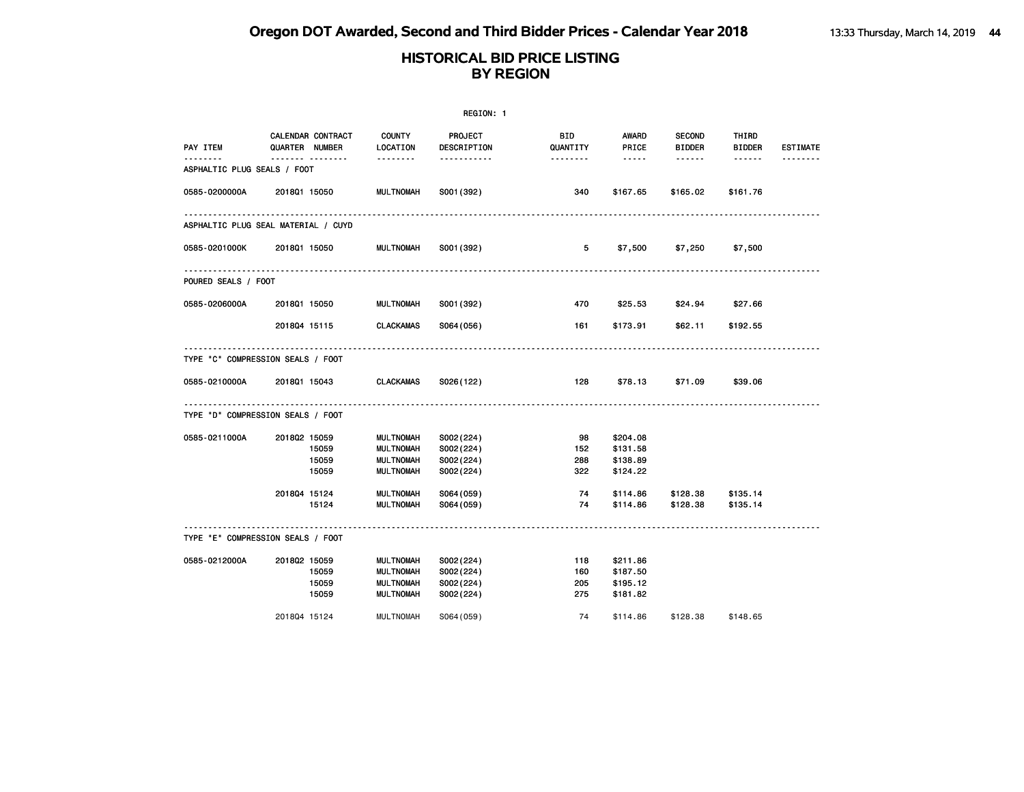| REGION: 1                        |                                     |                           |                        |                        |                                                                                                   |                                |                        |                 |  |
|----------------------------------|-------------------------------------|---------------------------|------------------------|------------------------|---------------------------------------------------------------------------------------------------|--------------------------------|------------------------|-----------------|--|
| PAY ITEM                         | CALENDAR CONTRACT<br>QUARTER NUMBER | <b>COUNTY</b><br>LOCATION | PROJECT<br>DESCRIPTION | <b>BID</b><br>QUANTITY | <b>AWARD</b><br>PRICE                                                                             | <b>SECOND</b><br><b>BIDDER</b> | THIRD<br><b>BIDDER</b> | <b>ESTIMATE</b> |  |
| .<br>ASPHALTIC PLUG SEALS / FOOT | .                                   | <u> - - - - - - -</u>     | -----------            | --------               | $\begin{array}{cccccccccc} \bullet & \bullet & \bullet & \bullet & \bullet & \bullet \end{array}$ | ------                         | $- - - - - -$          |                 |  |
| 0585-0200000A                    | 201801 15050                        | <b>MULTNOMAH</b>          | S001 (392)             | 340                    | \$167.65                                                                                          | \$165.02                       | \$161.76               |                 |  |
|                                  | ASPHALTIC PLUG SEAL MATERIAL / CUYD |                           |                        |                        |                                                                                                   |                                |                        |                 |  |
| 0585-0201000K                    | 201801 15050                        | MULTNOMAH                 | S001 (392)             | 5 <sub>1</sub>         | \$7,500                                                                                           | \$7,250                        | \$7,500                |                 |  |
| POURED SEALS / FOOT              |                                     |                           |                        |                        |                                                                                                   |                                |                        |                 |  |
| 0585-0206000A                    | 201801 15050                        | MULTNOMAH                 | S001 (392)             | 470                    | \$25.53                                                                                           | \$24.94                        | \$27.66                |                 |  |
|                                  | 201804 15115                        | <b>CLACKAMAS</b>          | S064 (056)             | 161                    | \$173.91                                                                                          | \$62.11                        | \$192.55               |                 |  |
|                                  | TYPE "C" COMPRESSION SEALS / FOOT   |                           |                        |                        |                                                                                                   |                                |                        |                 |  |
| 0585-0210000A                    | 201801 15043                        | CLACKAMAS                 | S026(122)              | 128                    | \$78.13                                                                                           | \$71.09                        | \$39.06                |                 |  |
|                                  | TYPE "D" COMPRESSION SEALS / FOOT   |                           |                        |                        |                                                                                                   |                                |                        |                 |  |
| 0585-0211000A                    | 201802 15059                        | MULTNOMAH                 | S002(224)              | 98                     | \$204.08                                                                                          |                                |                        |                 |  |
|                                  | 15059                               | MULTNOMAH                 | S002(224)              | 152                    | \$131.58                                                                                          |                                |                        |                 |  |
|                                  | 15059                               | <b>MULTNOMAH</b>          | S002(224)              | 288                    | \$138.89                                                                                          |                                |                        |                 |  |
|                                  | 15059                               | <b>MULTNOMAH</b>          | S002(224)              | 322                    | \$124.22                                                                                          |                                |                        |                 |  |
|                                  | 201804 15124                        | MULTNOMAH                 | S064 (059)             | 74                     | \$114.86                                                                                          | \$128.38                       | \$135.14               |                 |  |
|                                  | 15124                               | MULTNOMAH                 | S064 (059)             | 74                     | \$114.86                                                                                          | \$128.38                       | \$135.14               |                 |  |
|                                  | TYPE "E" COMPRESSION SEALS / FOOT   |                           |                        |                        |                                                                                                   |                                |                        |                 |  |
| 0585-0212000A                    | 201802 15059                        | MULTNOMAH                 | S002(224)              | 118                    | \$211.86                                                                                          |                                |                        |                 |  |
|                                  | 15059                               | MULTNOMAH                 | S002(224)              | 160                    | \$187.50                                                                                          |                                |                        |                 |  |
|                                  | 15059                               | <b>MULTNOMAH</b>          | S002(224)              | 205                    | \$195.12                                                                                          |                                |                        |                 |  |
|                                  | 15059                               | <b>MULTNOMAH</b>          | S002(224)              | 275                    | \$181.82                                                                                          |                                |                        |                 |  |
|                                  | 201804 15124                        | MULTNOMAH                 | S064 (059)             | 74                     | \$114.86                                                                                          | \$128.38                       | \$148.65               |                 |  |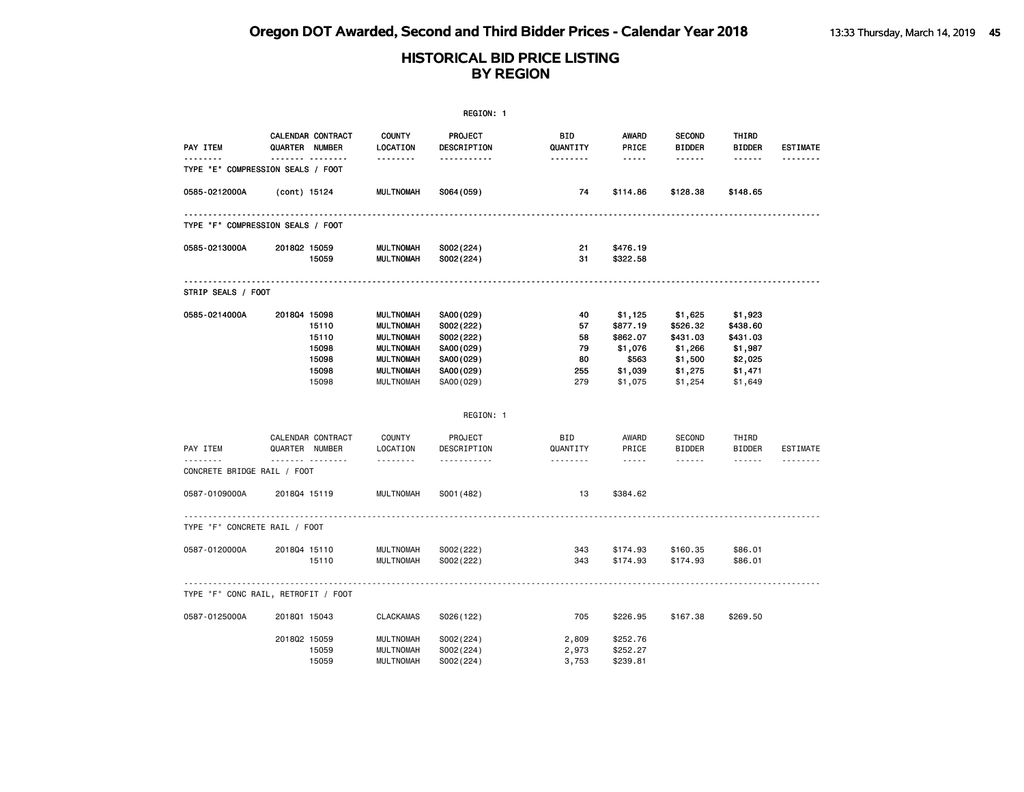|                                     |                |                                                    |                                                                                                                                          | REGION: 1                                                                                |                                          |                                                                                                               |                                                                             |                                                                             |                      |
|-------------------------------------|----------------|----------------------------------------------------|------------------------------------------------------------------------------------------------------------------------------------------|------------------------------------------------------------------------------------------|------------------------------------------|---------------------------------------------------------------------------------------------------------------|-----------------------------------------------------------------------------|-----------------------------------------------------------------------------|----------------------|
| PAY ITEM                            | QUARTER NUMBER | CALENDAR CONTRACT                                  | <b>COUNTY</b><br>LOCATION                                                                                                                | PROJECT<br>DESCRIPTION                                                                   | BID<br>QUANTITY                          | <b>AWARD</b><br>PRICE                                                                                         | <b>SECOND</b><br><b>BIDDER</b>                                              | THIRD<br><b>BIDDER</b>                                                      | <b>ESTIMATE</b>      |
| TYPE "E" COMPRESSION SEALS / FOOT   |                | .                                                  | .                                                                                                                                        | -----------                                                                              | .                                        | $\frac{1}{2} \frac{1}{2} \frac{1}{2} \frac{1}{2} \frac{1}{2} \frac{1}{2} \frac{1}{2} \frac{1}{2} \frac{1}{2}$ | ------                                                                      | $- - - - - -$                                                               | --------             |
| 0585-0212000A                       | (cont) 15124   |                                                    | <b>MULTNOMAH</b>                                                                                                                         | S064 (059)                                                                               | 74                                       | \$114.86                                                                                                      | \$128.38                                                                    | \$148.65                                                                    |                      |
| TYPE "F" COMPRESSION SEALS / FOOT   |                |                                                    |                                                                                                                                          |                                                                                          |                                          |                                                                                                               |                                                                             |                                                                             |                      |
| 0585-0213000A                       | 201802 15059   | 15059                                              | MULTNOMAH<br><b>MULTNOMAH</b>                                                                                                            | S002(224)<br>S002(224)                                                                   | 21<br>31                                 | \$476.19<br>\$322.58                                                                                          |                                                                             |                                                                             |                      |
| STRIP SEALS / FOOT                  |                |                                                    |                                                                                                                                          |                                                                                          |                                          |                                                                                                               |                                                                             |                                                                             |                      |
| 0585-0214000A                       | 201804 15098   | 15110<br>15110<br>15098<br>15098<br>15098<br>15098 | <b>MULTNOMAH</b><br><b>MULTNOMAH</b><br><b>MULTNOMAH</b><br><b>MULTNOMAH</b><br><b>MULTNOMAH</b><br><b>MULTNOMAH</b><br><b>MULTNOMAH</b> | SA00(029)<br>S002(222)<br>S002(222)<br>SA00(029)<br>SA00(029)<br>SA00(029)<br>SA00 (029) | 40<br>57<br>58<br>79<br>80<br>255<br>279 | \$1,125<br>\$877.19<br>\$862.07<br>\$1,076<br>\$563<br>\$1,039<br>\$1,075                                     | \$1,625<br>\$526.32<br>\$431.03<br>\$1,266<br>\$1,500<br>\$1,275<br>\$1,254 | \$1,923<br>\$438.60<br>\$431.03<br>\$1,987<br>\$2,025<br>\$1,471<br>\$1,649 |                      |
|                                     |                |                                                    |                                                                                                                                          | REGION: 1                                                                                |                                          |                                                                                                               |                                                                             |                                                                             |                      |
| PAY ITEM<br>--------                | QUARTER NUMBER | CALENDAR CONTRACT<br><u>.</u>                      | COUNTY<br>LOCATION<br>.                                                                                                                  | PROJECT<br>DESCRIPTION<br><u>.</u>                                                       | BID<br>QUANTITY                          | AWARD<br>PRICE<br>$- - - - -$                                                                                 | SECOND<br><b>BIDDER</b><br>------                                           | THIRD<br><b>BIDDER</b><br>$- - - - - - -$                                   | ESTIMATE<br>-------- |
| CONCRETE BRIDGE RAIL / FOOT         |                |                                                    |                                                                                                                                          |                                                                                          |                                          |                                                                                                               |                                                                             |                                                                             |                      |
| 0587-0109000A                       | 201804 15119   |                                                    | <b>MULTNOMAH</b>                                                                                                                         | S001 (482)                                                                               | 13                                       | \$384.62                                                                                                      |                                                                             |                                                                             |                      |
| TYPE "F" CONCRETE RAIL / FOOT       |                |                                                    |                                                                                                                                          |                                                                                          |                                          |                                                                                                               |                                                                             |                                                                             |                      |
| 0587-0120000A                       | 201804 15110   | 15110                                              | <b>MULTNOMAH</b><br><b>MULTNOMAH</b>                                                                                                     | S002(222)<br>S002(222)                                                                   | 343<br>343                               | \$174.93<br>\$174.93                                                                                          | \$160.35<br>\$174.93                                                        | \$86.01<br>\$86.01                                                          |                      |
| TYPE "F" CONC RAIL, RETROFIT / FOOT |                |                                                    |                                                                                                                                          |                                                                                          |                                          |                                                                                                               |                                                                             |                                                                             |                      |
| 0587-0125000A                       | 201801 15043   |                                                    | <b>CLACKAMAS</b>                                                                                                                         | S026(122)                                                                                | 705                                      | \$226.95                                                                                                      | \$167.38                                                                    | \$269.50                                                                    |                      |
|                                     | 201802 15059   | 15059<br>15059                                     | MULTNOMAH<br><b>MULTNOMAH</b><br><b>MULTNOMAH</b>                                                                                        | S002(224)<br>S002(224)<br>S002(224)                                                      | 2,809<br>2,973<br>3,753                  | \$252.76<br>\$252.27<br>\$239.81                                                                              |                                                                             |                                                                             |                      |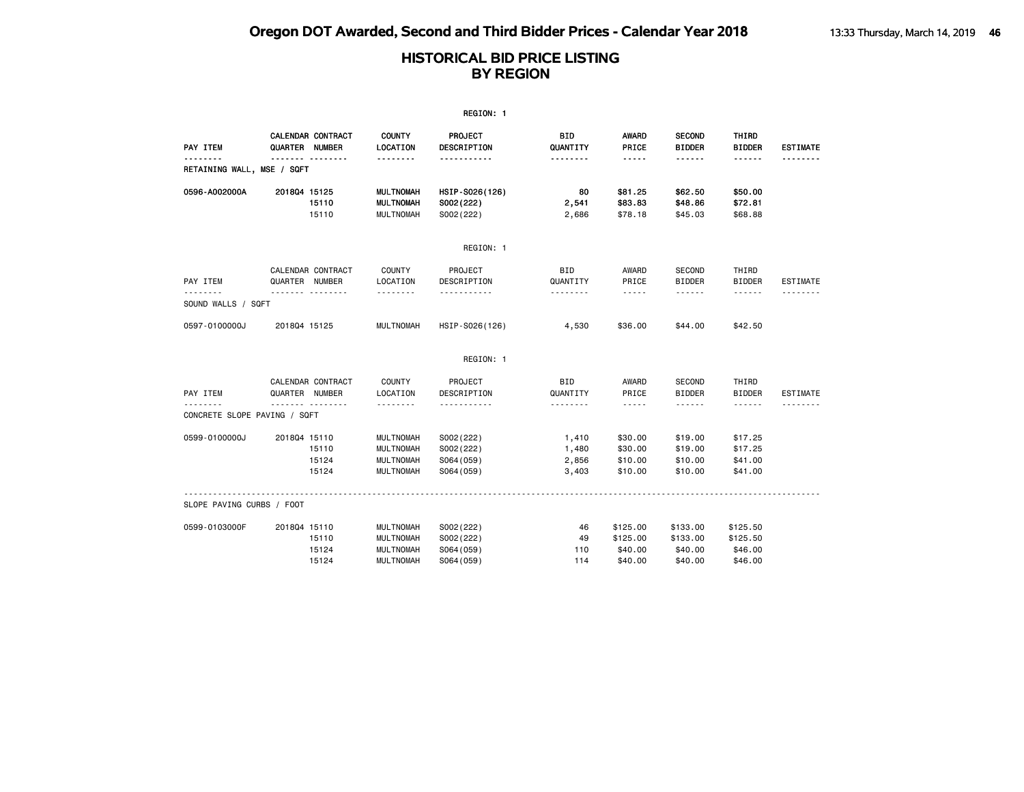|                                   |                |                                     |                                                                              | REGION: 1                                          |                                  |                                                                                                                                                                                 |                                            |                                            |                 |
|-----------------------------------|----------------|-------------------------------------|------------------------------------------------------------------------------|----------------------------------------------------|----------------------------------|---------------------------------------------------------------------------------------------------------------------------------------------------------------------------------|--------------------------------------------|--------------------------------------------|-----------------|
| PAY ITEM                          | QUARTER NUMBER | CALENDAR CONTRACT                   | <b>COUNTY</b><br>LOCATION                                                    | PROJECT<br>DESCRIPTION                             | BID<br>QUANTITY                  | <b>AWARD</b><br>PRICE                                                                                                                                                           | <b>SECOND</b><br><b>BIDDER</b>             | THIRD<br><b>BIDDER</b>                     | <b>ESTIMATE</b> |
| .<br>RETAINING WALL, MSE / SQFT   |                | <u> </u>                            | <u>.</u>                                                                     | <u>.</u>                                           | <u>.</u>                         | $- - - - -$                                                                                                                                                                     |                                            | ------                                     | .               |
| 0596-A002000A                     | 201804 15125   | 15110<br>15110                      | <b>MULTNOMAH</b><br><b>MULTNOMAH</b><br><b>MULTNOMAH</b>                     | HSIP-S026(126)<br>S002(222)<br>S002(222)           | 80<br>2,541<br>2,686             | \$81.25<br>\$83.83<br>\$78.18                                                                                                                                                   | \$62.50<br>\$48.86<br>\$45.03              | \$50.00<br>\$72.81<br>\$68.88              |                 |
|                                   |                |                                     |                                                                              | REGION: 1                                          |                                  |                                                                                                                                                                                 |                                            |                                            |                 |
| PAY ITEM                          |                | CALENDAR CONTRACT<br>QUARTER NUMBER | COUNTY<br>LOCATION                                                           | PROJECT<br>DESCRIPTION                             | <b>BID</b><br>QUANTITY           | AWARD<br>PRICE                                                                                                                                                                  | <b>SECOND</b><br><b>BIDDER</b>             | THIRD<br><b>BIDDER</b>                     | <b>ESTIMATE</b> |
| .<br>SOUND WALLS / SQFT           |                | .                                   | <u>.</u>                                                                     | <u>.</u>                                           | <u>.</u>                         | $\sim$ $\sim$ $\sim$ $\sim$ $\sim$                                                                                                                                              | .                                          | ------                                     |                 |
| 0597-0100000J                     | 201804 15125   |                                     | <b>MULTNOMAH</b>                                                             | HSIP-S026(126)                                     | 4,530                            | \$36.00                                                                                                                                                                         | \$44.00                                    | \$42.50                                    |                 |
|                                   |                |                                     |                                                                              | REGION: 1                                          |                                  |                                                                                                                                                                                 |                                            |                                            |                 |
| PAY ITEM                          | QUARTER NUMBER | CALENDAR CONTRACT                   | <b>COUNTY</b><br>LOCATION                                                    | PROJECT<br>DESCRIPTION                             | <b>BID</b><br>QUANTITY           | AWARD<br>PRICE                                                                                                                                                                  | <b>SECOND</b><br><b>BIDDER</b>             | THIRD<br><b>BIDDER</b>                     | <b>ESTIMATE</b> |
| .<br>CONCRETE SLOPE PAVING / SQFT |                | .                                   | .                                                                            | .                                                  |                                  | $\frac{1}{2} \left( \frac{1}{2} \right) \left( \frac{1}{2} \right) \left( \frac{1}{2} \right) \left( \frac{1}{2} \right) \left( \frac{1}{2} \right) \left( \frac{1}{2} \right)$ | <b>.</b>                                   | ------                                     |                 |
| 0599-0100000J                     | 201804 15110   | 15110<br>15124<br>15124             | <b>MULTNOMAH</b><br><b>MULTNOMAH</b><br><b>MULTNOMAH</b><br><b>MULTNOMAH</b> | S002(222)<br>S002(222)<br>S064 (059)<br>S064(059)  | 1,410<br>1,480<br>2,856<br>3,403 | \$30.00<br>\$30.00<br>\$10.00<br>\$10.00                                                                                                                                        | \$19.00<br>\$19.00<br>\$10.00<br>\$10.00   | \$17.25<br>\$17.25<br>\$41.00<br>\$41.00   |                 |
| SLOPE PAVING CURBS / FOOT         |                |                                     |                                                                              |                                                    |                                  |                                                                                                                                                                                 |                                            |                                            |                 |
| 0599-0103000F                     | 201804 15110   | 15110<br>15124<br>15124             | <b>MULTNOMAH</b><br><b>MULTNOMAH</b><br><b>MULTNOMAH</b><br><b>MULTNOMAH</b> | S002(222)<br>S002(222)<br>S064 (059)<br>S064 (059) | 46<br>49<br>110<br>114           | \$125.00<br>\$125.00<br>\$40.00<br>\$40.00                                                                                                                                      | \$133.00<br>\$133.00<br>\$40.00<br>\$40.00 | \$125.50<br>\$125.50<br>\$46.00<br>\$46.00 |                 |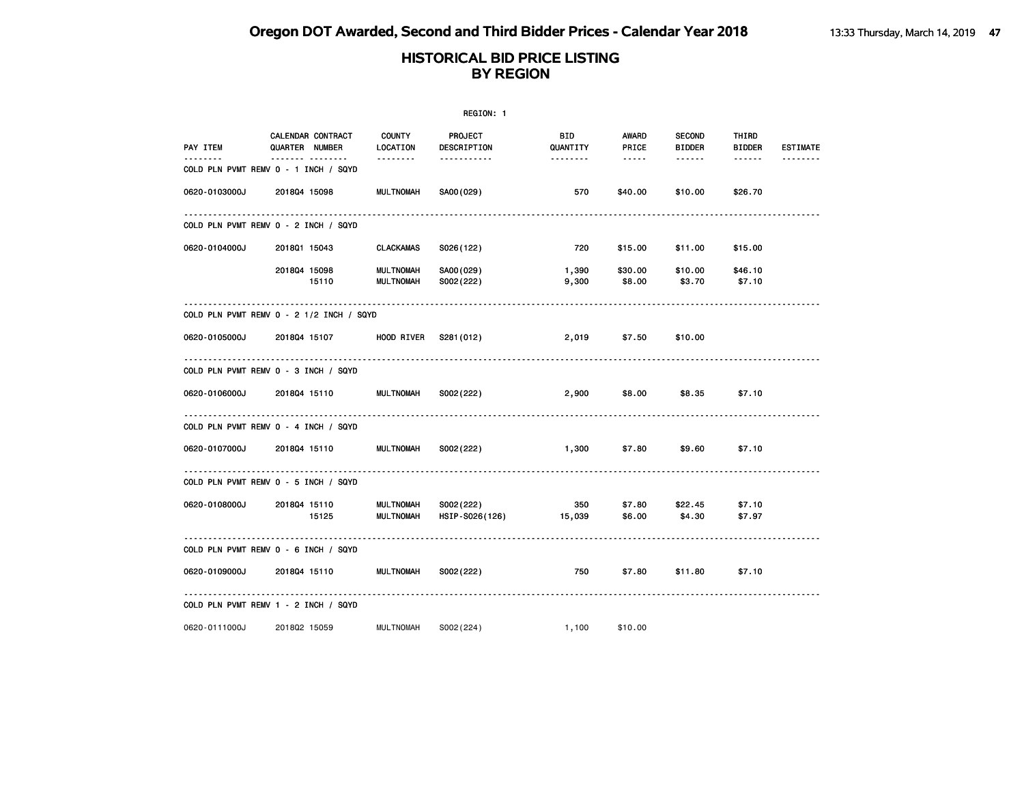|               |                                                 |                                      | REGION: 1                   |                 |                        |                                |                        |                 |
|---------------|-------------------------------------------------|--------------------------------------|-----------------------------|-----------------|------------------------|--------------------------------|------------------------|-----------------|
| PAY ITEM      | CALENDAR CONTRACT<br>QUARTER NUMBER             | COUNTY<br>LOCATION                   | PROJECT<br>DESCRIPTION      | BID<br>QUANTITY | AWARD<br>PRICE         | <b>SECOND</b><br><b>BIDDER</b> | THIRD<br><b>BIDDER</b> | <b>ESTIMATE</b> |
| ------        | <u></u><br>COLD PLN PVMT REMV 0 - 1 INCH / SQYD | --------                             | -----------                 | --------        | $\cdots \cdots \cdots$ | ------                         | ------                 |                 |
| 0620-0103000J | 201804 15098                                    | <b>MULTNOMAH</b>                     | SA00(029)                   | 570             | \$40.00                | \$10.00                        | \$26.70                |                 |
|               | COLD PLN PVMT REMV 0 - 2 INCH / SQYD            |                                      |                             |                 |                        |                                |                        |                 |
| 0620-0104000J | 201801 15043                                    | <b>CLACKAMAS</b>                     | S026(122)                   | 720             | \$15.00                | \$11.00                        | \$15.00                |                 |
|               | 201804 15098<br>15110                           | <b>MULTNOMAH</b><br><b>MULTNOMAH</b> | SA00(029)<br>S002(222)      | 1,390<br>9,300  | \$30.00<br>\$8.00      | \$10.00<br>\$3.70              | \$46.10<br>\$7.10      |                 |
|               | COLD PLN PVMT REMV 0 - 2 1/2 INCH / SQYD        |                                      |                             |                 |                        |                                |                        |                 |
| 0620-0105000J | 201804 15107                                    | HOOD RIVER                           | S281 (012)                  | 2,019           | \$7.50                 | \$10.00                        |                        |                 |
|               | COLD PLN PVMT REMV 0 - 3 INCH / SQYD            |                                      |                             |                 |                        |                                |                        |                 |
| 0620-0106000J | 201804 15110                                    | <b>MULTNOMAH</b>                     | S002(222)                   | 2,900           | \$8.00                 | \$8.35                         | \$7.10                 |                 |
|               | COLD PLN PVMT REMV 0 - 4 INCH / SQYD            |                                      |                             |                 |                        |                                |                        |                 |
| 0620-0107000J | 201804 15110                                    | <b>MULTNOMAH</b>                     | S002(222)                   | 1,300           | \$7.80                 | \$9.60                         | \$7.10                 |                 |
|               | COLD PLN PVMT REMV 0 - 5 INCH / SQYD            |                                      |                             |                 |                        |                                |                        |                 |
| 0620-0108000J | 201804 15110<br>15125                           | <b>MULTNOMAH</b><br><b>MULTNOMAH</b> | S002(222)<br>HSIP-S026(126) | 350<br>15,039   | \$7.80<br>\$6.00       | \$22.45<br>\$4.30              | \$7.10<br>\$7.97       |                 |
|               | COLD PLN PVMT REMV 0 - 6 INCH / SQYD            |                                      |                             |                 |                        |                                |                        |                 |
| 0620-0109000J | 201804 15110                                    | MULTNOMAH                            | S002(222)                   | 750             | \$7.80                 | \$11.80                        | \$7.10                 |                 |
|               | COLD PLN PVMT REMV 1 - 2 INCH / SQYD            |                                      |                             |                 |                        |                                |                        |                 |
| 0620-0111000J | 201802 15059                                    | <b>MULTNOMAH</b>                     | S002(224)                   | 1,100           | \$10.00                |                                |                        |                 |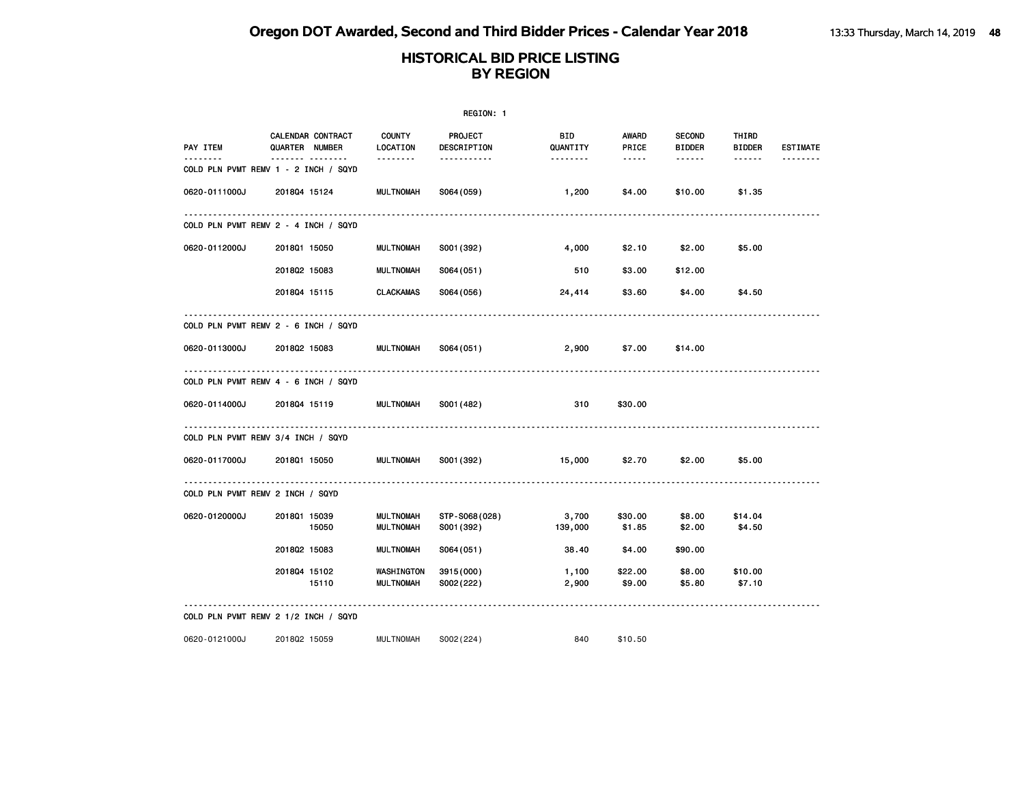|               |                                                          |                                      | REGION: 1                   |                  |                   |                                |                        |                 |
|---------------|----------------------------------------------------------|--------------------------------------|-----------------------------|------------------|-------------------|--------------------------------|------------------------|-----------------|
| PAY ITEM      | CALENDAR CONTRACT<br>QUARTER NUMBER                      | <b>COUNTY</b><br>LOCATION            | PROJECT<br>DESCRIPTION      | BID<br>QUANTITY  | AWARD<br>PRICE    | <b>SECOND</b><br><b>BIDDER</b> | THIRD<br><b>BIDDER</b> | <b>ESTIMATE</b> |
| <u>.</u>      | ------- --------<br>COLD PLN PVMT REMV 1 - 2 INCH / SQYD | --------                             | -----------                 | --------         | $\cdots \cdots$   | ------                         | ------                 |                 |
| 0620-0111000J | 201804 15124                                             | MULTNOMAH                            | S064 (059)                  | 1,200            | \$4.00            | \$10.00                        | \$1.35                 |                 |
|               | COLD PLN PVMT REMV 2 - 4 INCH / SQYD                     |                                      |                             |                  |                   |                                |                        |                 |
| 0620-0112000J | 201801 15050                                             | MULTNOMAH                            | S001 (392)                  | 4,000            | \$2.10            | \$2.00                         | \$5.00                 |                 |
|               | 201802 15083                                             | <b>MULTNOMAH</b>                     | S064(051)                   | 510              | \$3.00            | \$12.00                        |                        |                 |
|               | 201804 15115                                             | <b>CLACKAMAS</b>                     | S064(056)                   | 24,414           | \$3.60            | \$4.00                         | \$4.50                 |                 |
|               | COLD PLN PVMT REMV 2 - 6 INCH / SQYD                     |                                      |                             |                  |                   |                                |                        |                 |
| 0620-0113000J | 201802 15083                                             | MULTNOMAH                            | S064(051)                   | 2,900            | \$7.00            | \$14.00                        |                        |                 |
|               | COLD PLN PVMT REMV 4 - 6 INCH / SQYD                     |                                      |                             |                  |                   |                                |                        |                 |
| 0620-0114000J | 201804 15119                                             | MULTNOMAH                            | S001 (482)                  | 310              | \$30.00           |                                |                        |                 |
|               | COLD PLN PVMT REMV 3/4 INCH / SQYD                       |                                      |                             |                  |                   |                                |                        |                 |
| 0620-0117000J | 201801 15050                                             | MULTNOMAH                            | S001 (392)                  | 15,000           | \$2.70            | \$2.00                         | \$5.00                 |                 |
|               | COLD PLN PVMT REMV 2 INCH / SQYD                         |                                      |                             |                  |                   |                                |                        |                 |
| 0620-0120000J | 201801 15039<br>15050                                    | <b>MULTNOMAH</b><br><b>MULTNOMAH</b> | STP-S068(028)<br>S001 (392) | 3,700<br>139,000 | \$30.00<br>\$1.85 | \$8.00<br>\$2.00               | \$14.04<br>\$4.50      |                 |
|               | 201802 15083                                             | <b>MULTNOMAH</b>                     | S064(051)                   | 38.40            | \$4.00            | \$90.00                        |                        |                 |
|               | 201804 15102<br>15110                                    | WASHINGTON<br>MULTNOMAH              | 3915 (000)<br>S002(222)     | 1,100<br>2,900   | \$22.00<br>\$9.00 | \$8.00<br>\$5.80               | \$10.00<br>\$7.10      |                 |
|               | COLD PLN PVMT REMV 2 1/2 INCH / SQYD                     |                                      |                             |                  |                   |                                |                        |                 |
| 0620-0121000J | 201802 15059                                             | MULTNOMAH                            | S002(224)                   | 840              | \$10.50           |                                |                        |                 |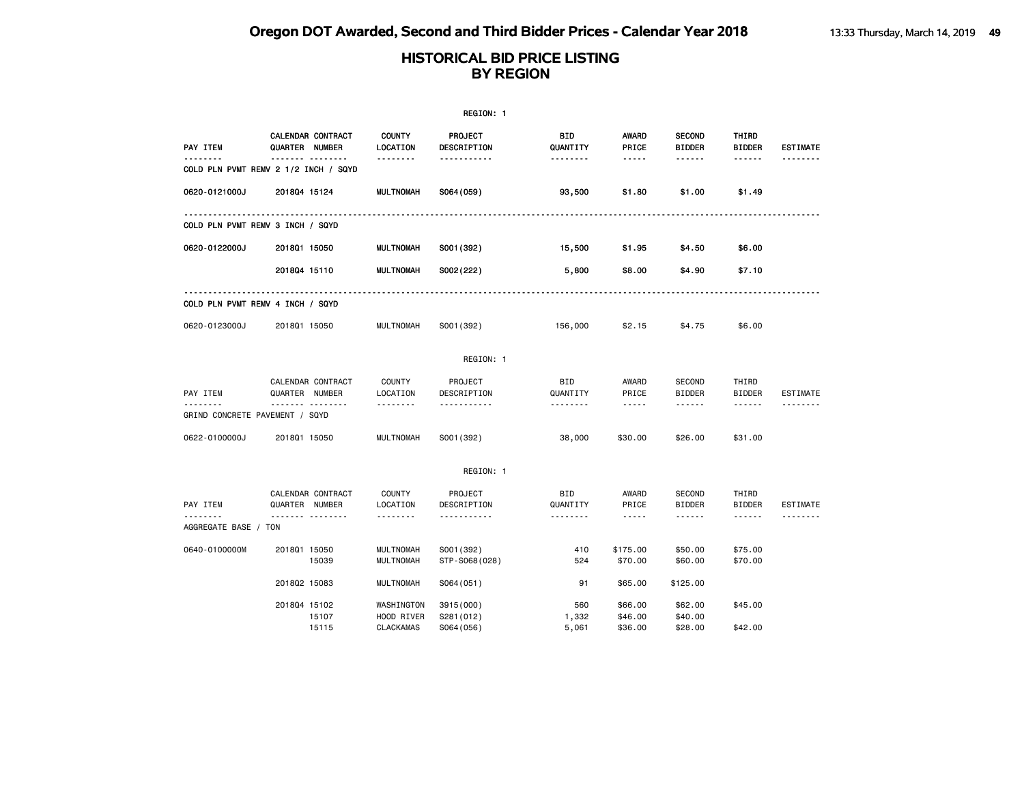|                                      | REGION: 1      |                        |                                              |                                       |                        |                                                                                                                                                      |                                          |                                    |                      |  |
|--------------------------------------|----------------|------------------------|----------------------------------------------|---------------------------------------|------------------------|------------------------------------------------------------------------------------------------------------------------------------------------------|------------------------------------------|------------------------------------|----------------------|--|
| PAY ITEM                             | QUARTER NUMBER | CALENDAR CONTRACT      | <b>COUNTY</b><br>LOCATION                    | PROJECT<br>DESCRIPTION                | BID<br>QUANTITY        | AWARD<br>PRICE                                                                                                                                       | <b>SECOND</b><br><b>BIDDER</b>           | THIRD<br><b>BIDDER</b>             | <b>ESTIMATE</b>      |  |
| COLD PLN PVMT REMV 2 1/2 INCH / SQYD |                | ------- --------       | <u>.</u>                                     | -----------                           | <u>.</u>               | $- - - - -$                                                                                                                                          | ------                                   | $- - - - - -$                      | <u>.</u>             |  |
| 0620-0121000J                        | 201804 15124   |                        | <b>MULTNOMAH</b>                             | S064 (059)                            | 93,500                 | \$1.80                                                                                                                                               | \$1.00                                   | \$1.49                             |                      |  |
| COLD PLN PVMT REMV 3 INCH / SQYD     |                |                        |                                              |                                       |                        |                                                                                                                                                      |                                          |                                    |                      |  |
| 0620-0122000J                        | 201801 15050   |                        | <b>MULTNOMAH</b>                             | S001 (392)                            | 15,500                 | \$1.95                                                                                                                                               | \$4.50                                   | \$6.00                             |                      |  |
|                                      | 201804 15110   |                        | <b>MULTNOMAH</b>                             | S002(222)                             | 5,800                  | \$8.00                                                                                                                                               | \$4.90                                   | \$7.10                             |                      |  |
| COLD PLN PVMT REMV 4 INCH / SQYD     |                |                        |                                              |                                       |                        |                                                                                                                                                      |                                          |                                    |                      |  |
| 0620-0123000J                        | 201801 15050   |                        | <b>MULTNOMAH</b>                             | S001 (392)                            | 156,000                | \$2.15                                                                                                                                               | \$4.75                                   | \$6.00                             |                      |  |
|                                      |                |                        |                                              | REGION: 1                             |                        |                                                                                                                                                      |                                          |                                    |                      |  |
| PAY ITEM                             | QUARTER NUMBER | CALENDAR CONTRACT      | COUNTY<br>LOCATION                           | PROJECT<br>DESCRIPTION                | <b>BID</b><br>QUANTITY | AWARD<br>PRICE                                                                                                                                       | <b>SECOND</b><br><b>BIDDER</b>           | THIRD<br><b>BIDDER</b>             | <b>ESTIMATE</b>      |  |
| GRIND CONCRETE PAVEMENT / SQYD       |                | <u>.</u>               | .                                            | .                                     | --------               | $\frac{1}{2} \left( \frac{1}{2} \right) \left( \frac{1}{2} \right) \left( \frac{1}{2} \right) \left( \frac{1}{2} \right) \left( \frac{1}{2} \right)$ | ------                                   | ------                             |                      |  |
| 0622-0100000J                        | 201801 15050   |                        | <b>MULTNOMAH</b>                             | S001 (392)                            | 38,000                 | \$30,00                                                                                                                                              | \$26,00                                  | \$31,00                            |                      |  |
|                                      |                |                        |                                              | REGION: 1                             |                        |                                                                                                                                                      |                                          |                                    |                      |  |
| PAY ITEM<br>.                        | QUARTER NUMBER | CALENDAR CONTRACT<br>. | COUNTY<br>LOCATION<br>.                      | PROJECT<br>DESCRIPTION<br><u>.</u>    | BID<br>QUANTITY<br>.   | AWARD<br>PRICE<br>$\sim$ $\sim$ $\sim$ $\sim$ $\sim$                                                                                                 | <b>SECOND</b><br><b>BIDDER</b><br>------ | THIRD<br><b>BIDDER</b><br><b>.</b> | <b>ESTIMATE</b><br>. |  |
| AGGREGATE BASE / TON                 |                |                        |                                              |                                       |                        |                                                                                                                                                      |                                          |                                    |                      |  |
| 0640-0100000M                        | 201801 15050   | 15039                  | <b>MULTNOMAH</b><br><b>MULTNOMAH</b>         | S001 (392)<br>STP-S068(028)           | 410<br>524             | \$175.00<br>\$70.00                                                                                                                                  | \$50.00<br>\$60.00                       | \$75.00<br>\$70.00                 |                      |  |
|                                      | 201802 15083   |                        | <b>MULTNOMAH</b>                             | S064(051)                             | 91                     | \$65.00                                                                                                                                              | \$125,00                                 |                                    |                      |  |
|                                      | 201804 15102   | 15107<br>15115         | WASHINGTON<br>HOOD RIVER<br><b>CLACKAMAS</b> | 3915(000)<br>S281 (012)<br>S064 (056) | 560<br>1,332<br>5,061  | \$66.00<br>\$46.00<br>\$36.00                                                                                                                        | \$62.00<br>\$40.00<br>\$28.00            | \$45.00<br>\$42.00                 |                      |  |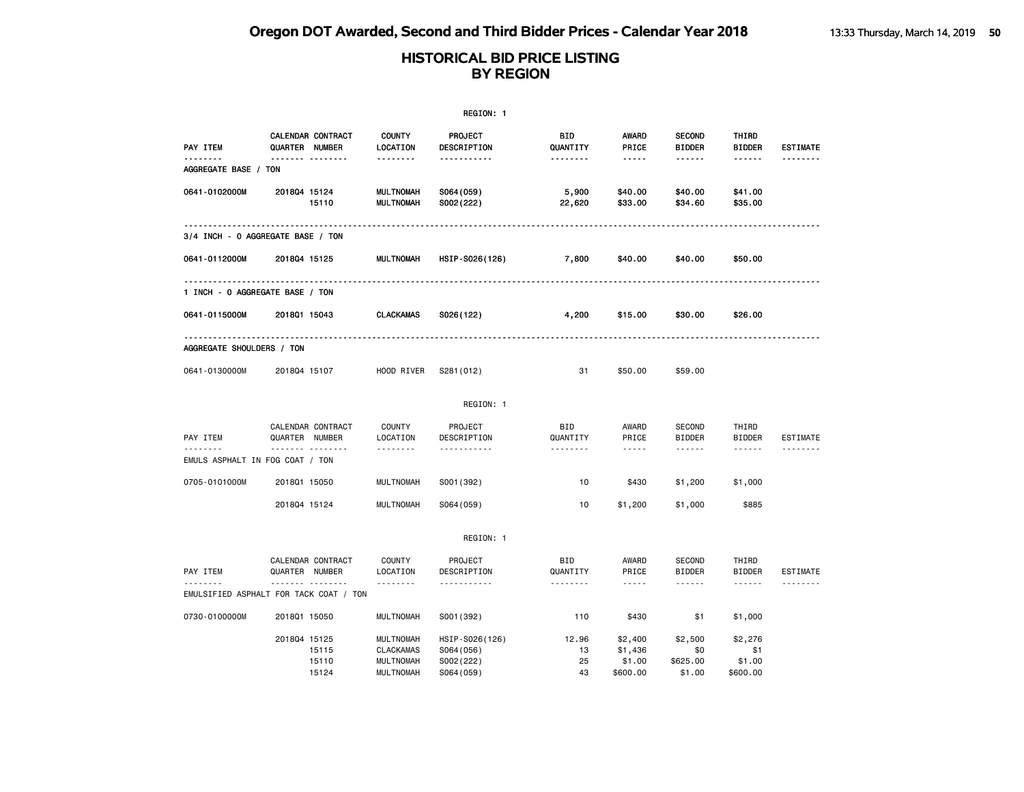|                                  |                                                                       |                                                                              | REGION: 1                                               |                             |                                                                                                                                                                                 |                                          |                                      |                             |
|----------------------------------|-----------------------------------------------------------------------|------------------------------------------------------------------------------|---------------------------------------------------------|-----------------------------|---------------------------------------------------------------------------------------------------------------------------------------------------------------------------------|------------------------------------------|--------------------------------------|-----------------------------|
| PAY ITEM<br><u>.</u>             | <b>CALENDAR CONTRACT</b><br><b>QUARTER NUMBER</b><br>------- -------- | <b>COUNTY</b><br>LOCATION<br>--------                                        | PROJECT<br>DESCRIPTION<br>-----------                   | BID<br>QUANTITY<br><u>.</u> | AWARD<br>PRICE<br>$- - - - -$                                                                                                                                                   | <b>SECOND</b><br><b>BIDDER</b><br>------ | THIRD<br><b>BIDDER</b><br>------     | <b>ESTIMATE</b><br><u>.</u> |
| <b>AGGREGATE BASE / TON</b>      |                                                                       |                                                                              |                                                         |                             |                                                                                                                                                                                 |                                          |                                      |                             |
| 0641-0102000M                    | 201804 15124<br>15110                                                 | <b>MULTNOMAH</b><br><b>MULTNOMAH</b>                                         | S064 (059)<br>S002(222)                                 | 5,900<br>22,620             | \$40.00<br>\$33.00                                                                                                                                                              | \$40.00<br>\$34.60                       | \$41.00<br>\$35.00                   |                             |
|                                  | 3/4 INCH - 0 AGGREGATE BASE / TON                                     |                                                                              |                                                         |                             |                                                                                                                                                                                 |                                          |                                      |                             |
| 0641-0112000M                    | 201804 15125                                                          | <b>MULTNOMAH</b>                                                             | HSIP-S026(126)                                          | 7,800                       | \$40.00                                                                                                                                                                         | \$40.00                                  | \$50.00                              |                             |
|                                  | 1 INCH - 0 AGGREGATE BASE / TON                                       |                                                                              |                                                         |                             |                                                                                                                                                                                 |                                          |                                      |                             |
| 0641-0115000M                    | 201801 15043                                                          | <b>CLACKAMAS</b>                                                             | S026(122)                                               | 4,200                       | \$15.00                                                                                                                                                                         | \$30.00                                  | \$26.00                              |                             |
| <b>AGGREGATE SHOULDERS / TON</b> |                                                                       |                                                                              |                                                         |                             |                                                                                                                                                                                 |                                          |                                      |                             |
| 0641-0130000M                    | 201804 15107                                                          | HOOD RIVER                                                                   | S281 (012)                                              | 31                          | \$50.00                                                                                                                                                                         | \$59.00                                  |                                      |                             |
|                                  |                                                                       |                                                                              | REGION: 1                                               |                             |                                                                                                                                                                                 |                                          |                                      |                             |
| PAY ITEM                         | CALENDAR CONTRACT<br>QUARTER NUMBER                                   | <b>COUNTY</b><br>LOCATION                                                    | PROJECT<br>DESCRIPTION                                  | BID<br>QUANTITY             | AWARD<br>PRICE                                                                                                                                                                  | <b>SECOND</b><br><b>BIDDER</b>           | THIRD<br><b>BIDDER</b>               | <b>ESTIMATE</b>             |
| --------                         | .<br>EMULS ASPHALT IN FOG COAT / TON                                  | --------                                                                     | <u>.</u>                                                | --------                    | $\frac{1}{2} \frac{1}{2} \frac{1}{2} \frac{1}{2} \frac{1}{2} \frac{1}{2} \frac{1}{2} \frac{1}{2} \frac{1}{2} \frac{1}{2} \frac{1}{2} \frac{1}{2}$                               | ------                                   | ------                               |                             |
| 0705-0101000M                    | 201801 15050                                                          | <b>MULTNOMAH</b>                                                             | S001 (392)                                              | 10                          | \$430                                                                                                                                                                           | \$1,200                                  | \$1,000                              |                             |
|                                  | 201804 15124                                                          | <b>MULTNOMAH</b>                                                             | S064 (059)                                              | 10                          | \$1,200                                                                                                                                                                         | \$1,000                                  | \$885                                |                             |
|                                  |                                                                       |                                                                              | REGION: 1                                               |                             |                                                                                                                                                                                 |                                          |                                      |                             |
| PAY ITEM                         | CALENDAR CONTRACT<br>QUARTER NUMBER                                   | <b>COUNTY</b><br>LOCATION                                                    | PROJECT<br>DESCRIPTION                                  | <b>BID</b><br>QUANTITY      | AWARD<br>PRICE                                                                                                                                                                  | <b>SECOND</b><br><b>BIDDER</b>           | THIRD<br><b>BIDDER</b>               | <b>ESTIMATE</b>             |
| --------                         | <u>.</u><br>EMULSIFIED ASPHALT FOR TACK COAT / TON                    | <u>.</u>                                                                     | .                                                       | --------                    | $\frac{1}{2} \left( \frac{1}{2} \right) \left( \frac{1}{2} \right) \left( \frac{1}{2} \right) \left( \frac{1}{2} \right) \left( \frac{1}{2} \right) \left( \frac{1}{2} \right)$ | ------                                   | $- - - - - -$                        | <u>.</u>                    |
| 0730-0100000M                    | 201801 15050                                                          | <b>MULTNOMAH</b>                                                             | S001 (392)                                              | 110                         | \$430                                                                                                                                                                           | \$1                                      | \$1,000                              |                             |
|                                  | 201804 15125<br>15115<br>15110<br>15124                               | <b>MULTNOMAH</b><br><b>CLACKAMAS</b><br><b>MULTNOMAH</b><br><b>MULTNOMAH</b> | HSIP-S026(126)<br>S064 (056)<br>S002(222)<br>S064 (059) | 12.96<br>13<br>25<br>43     | \$2,400<br>\$1,436<br>\$1.00<br>\$600.00                                                                                                                                        | \$2,500<br>\$0<br>\$625.00<br>\$1.00     | \$2,276<br>\$1<br>\$1.00<br>\$600.00 |                             |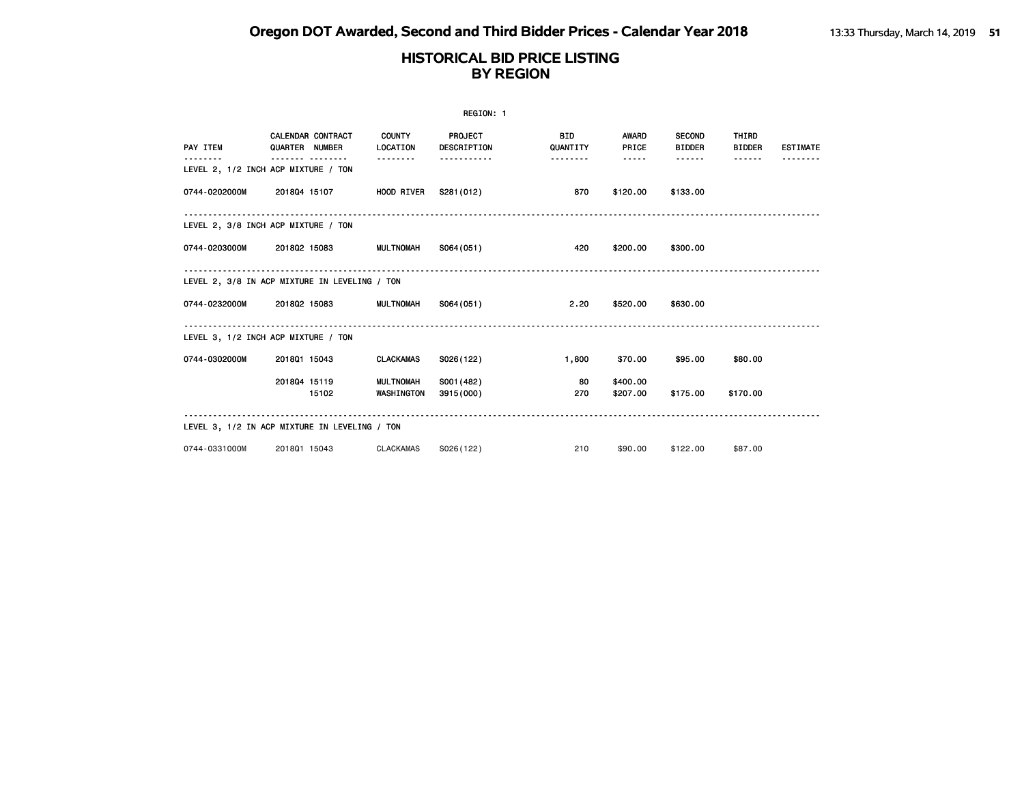|                            |                                               |                                | REGION: 1                     |                        |                       |                                |                        |                 |
|----------------------------|-----------------------------------------------|--------------------------------|-------------------------------|------------------------|-----------------------|--------------------------------|------------------------|-----------------|
| PAY ITEM                   | CALENDAR CONTRACT<br>QUARTER NUMBER           | <b>COUNTY</b><br>LOCATION      | <b>PROJECT</b><br>DESCRIPTION | <b>BID</b><br>QUANTITY | <b>AWARD</b><br>PRICE | <b>SECOND</b><br><b>BIDDER</b> | THIRD<br><b>BIDDER</b> | <b>ESTIMATE</b> |
|                            | LEVEL 2, 1/2 INCH ACP MIXTURE / TON           |                                | .                             | .                      | $- - - - -$           | ------                         | ------                 |                 |
| 0744-0202000M              | 201804 15107                                  | <b>HOOD RIVER</b>              | S281(012)                     | 870                    | \$120.00              | \$133.00                       |                        |                 |
|                            | LEVEL 2, 3/8 INCH ACP MIXTURE / TON           |                                |                               |                        |                       |                                |                        |                 |
| 0744-0203000M 2018Q2 15083 |                                               | <b>MULTNOMAH</b>               | SO64(051)                     | 420                    | \$200.00              | \$300.00                       |                        |                 |
|                            | LEVEL 2, 3/8 IN ACP MIXTURE IN LEVELING / TON |                                |                               |                        |                       |                                |                        |                 |
| 0744-0232000M              | 201802 15083                                  | <b>MULTNOMAH</b>               | S064(051)                     | 2.20                   | \$520.00              | \$630.00                       |                        |                 |
|                            | LEVEL 3, 1/2 INCH ACP MIXTURE / TON           |                                |                               |                        |                       |                                |                        |                 |
| 0744-0302000M              | 201801 15043                                  | <b>CLACKAMAS</b>               | S026(122)                     | 1,800                  | \$70.00               | \$95.00                        | \$80.00                |                 |
|                            | 201804 15119<br>15102                         | MULTNOMAH<br><b>WASHINGTON</b> | S001 (482)<br>3915 (000)      | - 80<br>270            | \$400.00<br>\$207.00  | \$175.00                       | \$170.00               |                 |
|                            | LEVEL 3, 1/2 IN ACP MIXTURE IN LEVELING / TON |                                |                               |                        |                       |                                |                        |                 |
| 0744-0331000M              | 201801 15043                                  | CLACKAMAS                      | S026(122)                     | 210                    | \$90.00               | \$122,00                       | \$87,00                |                 |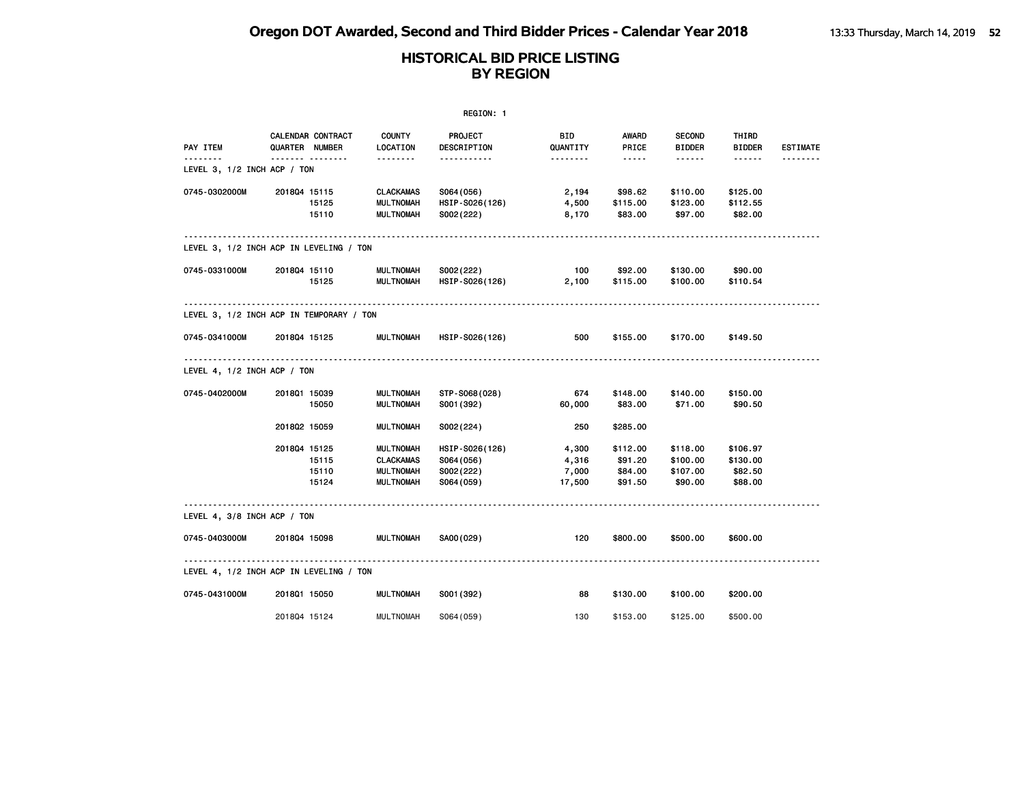|                                          |              |                                     |                                                                              | REGION: 1                                               |                                   |                                           |                                             |                                            |                 |
|------------------------------------------|--------------|-------------------------------------|------------------------------------------------------------------------------|---------------------------------------------------------|-----------------------------------|-------------------------------------------|---------------------------------------------|--------------------------------------------|-----------------|
| PAY ITEM                                 |              | CALENDAR CONTRACT<br>QUARTER NUMBER | <b>COUNTY</b><br>LOCATION                                                    | PROJECT<br>DESCRIPTION                                  | BID.<br>QUANTITY                  | <b>AWARD</b><br>PRICE                     | <b>SECOND</b><br><b>BIDDER</b>              | THIRD<br><b>BIDDER</b>                     | <b>ESTIMATE</b> |
| LEVEL 3, $1/2$ INCH ACP $/$ TON          |              | . <sub>.</sub>                      | --------                                                                     | .                                                       | --------                          | -----                                     | ------                                      | ------                                     |                 |
| 0745-0302000M                            | 201804 15115 | 15125<br>15110                      | <b>CLACKAMAS</b><br><b>MULTNOMAH</b><br><b>MULTNOMAH</b>                     | S064 (056)<br>HSIP-S026(126)<br>S002(222)               | 2,194<br>4,500<br>8,170           | \$98.62<br>\$115.00<br>\$83.00            | \$110.00<br>\$123.00<br>\$97.00             | \$125.00<br>\$112.55<br>\$82.00            |                 |
| LEVEL 3, 1/2 INCH ACP IN LEVELING / TON  |              |                                     |                                                                              |                                                         |                                   |                                           |                                             |                                            |                 |
| 0745-0331000M                            | 201804 15110 | 15125                               | MULTNOMAH<br><b>MULTNOMAH</b>                                                | S002(222)<br>HSIP-S026(126)                             | 100<br>2,100                      | \$92.00<br>\$115.00                       | \$130.00<br>\$100.00                        | \$90.00<br>\$110.54                        |                 |
| LEVEL 3, 1/2 INCH ACP IN TEMPORARY / TON |              |                                     |                                                                              |                                                         |                                   |                                           |                                             |                                            |                 |
| 0745-0341000M                            | 201804 15125 |                                     | MULTNOMAH                                                                    | HSIP-S026(126)                                          | 500                               | \$155.00                                  | \$170.00                                    | \$149.50                                   |                 |
| LEVEL 4, $1/2$ INCH ACP $/$ TON          |              |                                     |                                                                              |                                                         |                                   |                                           |                                             |                                            |                 |
| 0745-0402000M                            | 201801 15039 | 15050                               | MULTNOMAH<br><b>MULTNOMAH</b>                                                | STP-S068(028)<br>S001 (392)                             | 674<br>60,000                     | \$148.00<br>\$83.00                       | \$140.00<br>\$71.00                         | \$150.00<br>\$90.50                        |                 |
|                                          | 201802 15059 |                                     | <b>MULTNOMAH</b>                                                             | S002(224)                                               | 250                               | \$285.00                                  |                                             |                                            |                 |
|                                          | 201804 15125 | 15115<br>15110<br>15124             | <b>MULTNOMAH</b><br><b>CLACKAMAS</b><br><b>MULTNOMAH</b><br><b>MULTNOMAH</b> | HSIP-S026(126)<br>S064 (056)<br>S002(222)<br>S064 (059) | 4,300<br>4,316<br>7,000<br>17,500 | \$112.00<br>\$91.20<br>\$84.00<br>\$91.50 | \$118.00<br>\$100.00<br>\$107.00<br>\$90.00 | \$106.97<br>\$130.00<br>\$82.50<br>\$88.00 |                 |
| LEVEL 4, 3/8 INCH ACP / TON              |              |                                     |                                                                              |                                                         |                                   |                                           |                                             |                                            |                 |
| 0745-0403000M                            | 201804 15098 |                                     | <b>MULTNOMAH</b>                                                             | SA00(029)                                               | 120                               | \$800.00                                  | \$500.00                                    | \$600.00                                   |                 |
| LEVEL 4, 1/2 INCH ACP IN LEVELING / TON  |              |                                     |                                                                              |                                                         |                                   |                                           |                                             |                                            |                 |
| 0745-0431000M                            | 201801 15050 |                                     | <b>MULTNOMAH</b>                                                             | S001 (392)                                              | 88                                | \$130.00                                  | \$100.00                                    | \$200.00                                   |                 |
|                                          | 201804 15124 |                                     | <b>MULTNOMAH</b>                                                             | S064 (059)                                              | 130                               | \$153.00                                  | \$125.00                                    | \$500.00                                   |                 |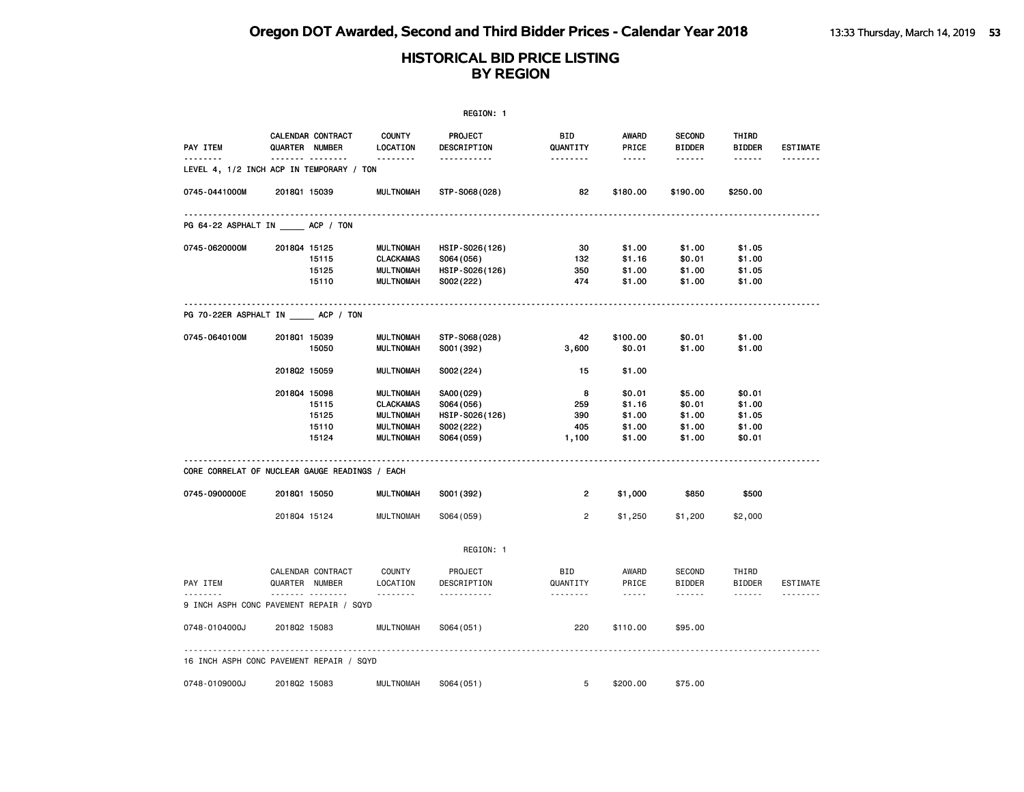|                                                |              |                                     |                                       | REGION: 1                          |                             |                                 |                                |                         |                                    |
|------------------------------------------------|--------------|-------------------------------------|---------------------------------------|------------------------------------|-----------------------------|---------------------------------|--------------------------------|-------------------------|------------------------------------|
| PAY ITEM<br><u>.</u>                           |              | CALENDAR CONTRACT<br>QUARTER NUMBER | <b>COUNTY</b><br>LOCATION<br><u>.</u> | PROJECT<br>DESCRIPTION<br><u>.</u> | BID<br>QUANTITY<br><u>.</u> | AWARD<br>PRICE<br>$\frac{1}{2}$ | <b>SECOND</b><br><b>BIDDER</b> | THIRD<br><b>BIDDER</b>  | <b>ESTIMATE</b><br>- - - - - - - - |
| LEVEL 4, 1/2 INCH ACP IN TEMPORARY / TON       |              | ------- --------                    |                                       |                                    |                             |                                 |                                |                         |                                    |
| 0745-0441000M                                  | 201801 15039 |                                     | <b>MULTNOMAH</b>                      | STP-S068(028)                      | 82                          | \$180.00                        | \$190.00                       | \$250.00                |                                    |
| PG 64-22 ASPHALT IN _____ ACP / TON            |              |                                     |                                       |                                    |                             |                                 |                                |                         |                                    |
| 0745-0620000M                                  | 201804 15125 |                                     | <b>MULTNOMAH</b>                      | HSIP-S026(126)                     | 30                          | \$1.00                          | \$1.00                         | \$1.05                  |                                    |
|                                                |              | 15115                               | <b>CLACKAMAS</b>                      | S064 (056)                         | 132                         | \$1.16                          | \$0.01                         | \$1.00                  |                                    |
|                                                |              | 15125                               | <b>MULTNOMAH</b>                      | HSIP-S026(126)                     | 350                         | \$1.00                          | \$1.00                         | \$1.05                  |                                    |
|                                                |              | 15110                               | <b>MULTNOMAH</b>                      | S002(222)                          | 474                         | \$1.00                          | \$1.00                         | \$1.00                  |                                    |
| PG 70-22ER ASPHALT IN ACP / TON                |              |                                     |                                       |                                    |                             |                                 |                                |                         |                                    |
| 0745-0640100M                                  | 201801 15039 |                                     | <b>MULTNOMAH</b>                      | STP-S068(028)                      | 42                          | \$100.00                        | \$0.01                         | \$1.00                  |                                    |
|                                                |              | 15050                               | <b>MULTNOMAH</b>                      | S001 (392)                         | 3,600                       | \$0.01                          | \$1.00                         | \$1.00                  |                                    |
|                                                | 201802 15059 |                                     | <b>MULTNOMAH</b>                      | S002(224)                          | 15                          | \$1.00                          |                                |                         |                                    |
|                                                | 201804 15098 |                                     | <b>MULTNOMAH</b>                      | SA00(029)                          | 8                           | \$0.01                          | \$5.00                         | \$0.01                  |                                    |
|                                                |              | 15115                               | <b>CLACKAMAS</b>                      | S064 (056)                         | 259                         | \$1.16                          | \$0.01                         | \$1.00                  |                                    |
|                                                |              | 15125                               | <b>MULTNOMAH</b>                      | HSIP-S026(126)                     | 390                         | \$1.00                          | \$1.00                         | \$1.05                  |                                    |
|                                                |              | 15110                               | <b>MULTNOMAH</b>                      | S002(222)                          | 405                         | \$1.00                          | \$1.00                         | \$1.00                  |                                    |
|                                                |              | 15124                               | <b>MULTNOMAH</b>                      | S064 (059)                         | 1,100                       | \$1.00                          | \$1.00                         | \$0.01                  |                                    |
| CORE CORRELAT OF NUCLEAR GAUGE READINGS / EACH |              |                                     |                                       |                                    |                             |                                 |                                |                         |                                    |
| 0745-0900000E                                  | 201801 15050 |                                     | <b>MULTNOMAH</b>                      | S001 (392)                         | $\overline{\mathbf{c}}$     | \$1,000                         | \$850                          | \$500                   |                                    |
|                                                | 201804 15124 |                                     | <b>MULTNOMAH</b>                      | S064 (059)                         | $\overline{2}$              | \$1,250                         | \$1,200                        | \$2,000                 |                                    |
|                                                |              |                                     |                                       | REGION: 1                          |                             |                                 |                                |                         |                                    |
|                                                |              | CALENDAR CONTRACT                   | COUNTY                                | PROJECT                            | BID                         | AWARD                           | SECOND                         | THIRD                   |                                    |
| PAY ITEM                                       |              | QUARTER NUMBER<br><u>.</u>          | LOCATION<br>.                         | DESCRIPTION<br>.                   | QUANTITY<br><u>.</u>        | PRICE<br>$\frac{1}{2}$          | <b>BIDDER</b><br>------        | <b>BIDDER</b><br>------ | <b>ESTIMATE</b><br>.               |
| 9 INCH ASPH CONC PAVEMENT REPAIR / SQYD        |              |                                     |                                       |                                    |                             |                                 |                                |                         |                                    |
| 0748-0104000J                                  | 201802 15083 |                                     | <b>MULTNOMAH</b>                      | S064(051)                          | 220                         | \$110.00                        | \$95.00                        |                         |                                    |
|                                                |              |                                     |                                       |                                    |                             |                                 |                                |                         |                                    |
| 16 INCH ASPH CONC PAVEMENT REPAIR / SQYD       |              |                                     |                                       |                                    |                             |                                 |                                |                         |                                    |
| 0748-0109000J                                  | 201802 15083 |                                     | <b>MULTNOMAH</b>                      | S064(051)                          | 5                           | \$200.00                        | \$75.00                        |                         |                                    |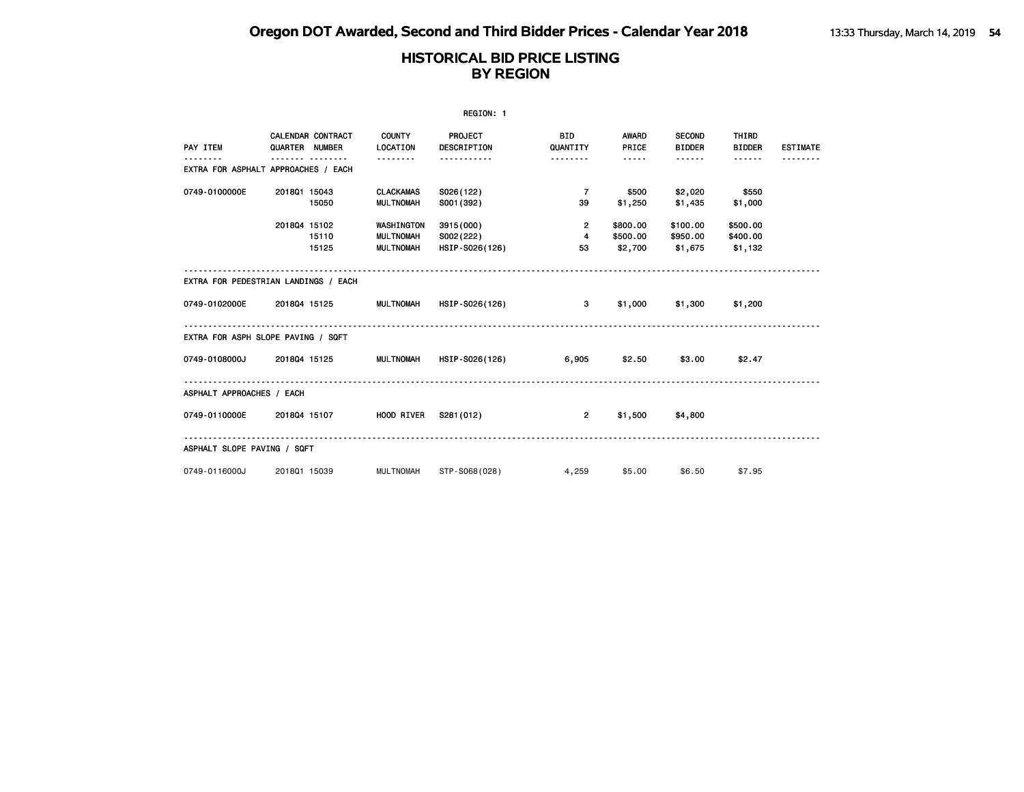|                                      |              |                                            |                                                    | REGION: 1                                 |                                        |                                |                                                 |                                         |                 |
|--------------------------------------|--------------|--------------------------------------------|----------------------------------------------------|-------------------------------------------|----------------------------------------|--------------------------------|-------------------------------------------------|-----------------------------------------|-----------------|
| PAY ITEM                             |              | <b>CALENDAR CONTRACT</b><br>QUARTER NUMBER | <b>COUNTY</b><br>LOCATION<br>--------              | <b>PROJECT</b><br>DESCRIPTION             | BID<br>QUANTITY<br>.                   | <b>AWARD</b><br>PRICE<br>----- | <b>SECOND</b><br><b>BIDDER</b><br>------        | <b>THIRD</b><br><b>BIDDER</b><br>------ | <b>ESTIMATE</b> |
| EXTRA FOR ASPHALT APPROACHES / EACH  |              |                                            |                                                    |                                           |                                        |                                |                                                 |                                         |                 |
| 0749-0100000E                        | 201801 15043 | 15050                                      | <b>CLACKAMAS</b><br><b>MULTNOMAH</b>               | S026(122)<br>S001 (392)                   | $\overline{7}$<br>39                   | \$500<br>\$1,250               | \$1,435                                         | \$2,020 \$550<br>\$1,000                |                 |
|                                      | 201804 15102 | 15110<br>15125                             | WASHINGTON<br><b>MULTNOMAH</b><br><b>MULTNOMAH</b> | 3915 (000)<br>S002(222)<br>HSIP-S026(126) | $\overline{2}$<br>$\overline{4}$<br>53 | \$800.00<br>\$500.00           | \$100.00<br>\$950.00<br>\$2,700 \$1,675 \$1,132 | \$500.00<br>\$400.00                    |                 |
| EXTRA FOR PEDESTRIAN LANDINGS / EACH |              |                                            |                                                    |                                           |                                        |                                |                                                 |                                         |                 |
| 0749-0102000E                        | 201804 15125 |                                            | MULTNOMAH                                          | HSIP-S026(126)                            | 3                                      | \$1,000                        |                                                 | $$1,300$ $$1,200$                       |                 |
| EXTRA FOR ASPH SLOPE PAVING / SQFT   |              |                                            |                                                    |                                           |                                        |                                |                                                 |                                         |                 |
| 0749-0108000J                        | 201804 15125 |                                            | <b>MULTNOMAH</b>                                   |                                           | HSIP-S026(126) 6,905 \$2.50            |                                |                                                 | $$3.00$ $$2.47$                         |                 |
| ASPHALT APPROACHES / EACH            |              |                                            |                                                    |                                           |                                        |                                |                                                 |                                         |                 |
| 0749-0110000E                        |              |                                            |                                                    | 2018Q4 15107 HOOD RIVER S281(012)         | $\overline{2}$                         | \$1,500                        | \$4,800                                         |                                         |                 |
| ASPHALT SLOPE PAVING / SQFT          |              |                                            |                                                    |                                           |                                        |                                |                                                 |                                         |                 |
| 0749-0116000J                        | 201801 15039 |                                            | MULTNOMAH                                          | STP-S068(028)                             | 4,259                                  | \$5.00                         | \$6.50                                          | \$7.95                                  |                 |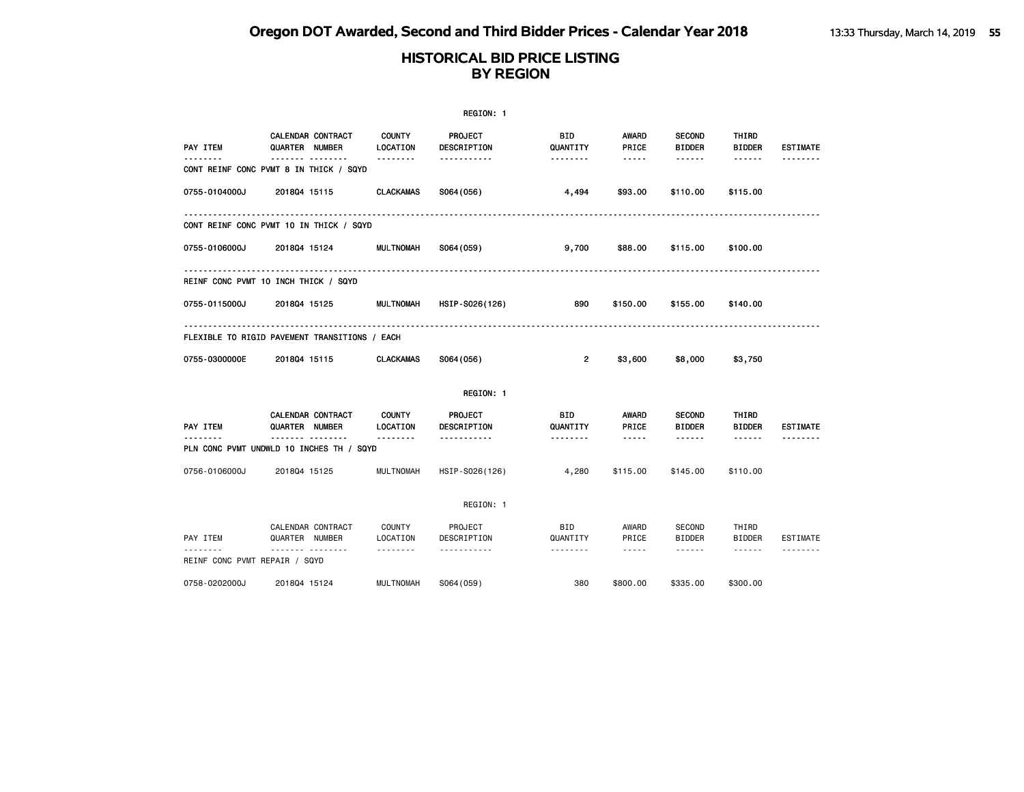|                               |                                                           |                           | REGION: 1                     |                 |                        |                                |                        |                 |
|-------------------------------|-----------------------------------------------------------|---------------------------|-------------------------------|-----------------|------------------------|--------------------------------|------------------------|-----------------|
| PAY ITEM                      | CALENDAR CONTRACT<br>QUARTER NUMBER                       | <b>COUNTY</b><br>LOCATION | <b>PROJECT</b><br>DESCRIPTION | BID<br>QUANTITY | AWARD<br>PRICE         | <b>SECOND</b><br><b>BIDDER</b> | THIRD<br><b>BIDDER</b> | <b>ESTIMATE</b> |
|                               | .<br>CONT REINF CONC PVMT 8 IN THICK / SQYD               | .                         | <u>.</u>                      | .               | -----                  | $- - - - - -$                  |                        | <u>.</u>        |
| 0755-0104000J                 | 201804 15115                                              | <b>CLACKAMAS</b>          | S064 (056)                    | 4,494           | \$93.00                | \$110.00                       | \$115.00               |                 |
|                               | <u>.</u><br>CONT REINF CONC PVMT 10 IN THICK / SQYD       |                           |                               |                 |                        |                                |                        |                 |
| 0755-0106000J                 | 201804 15124                                              | <b>MULTNOMAH</b>          | S064 (059)                    | 9,700           | \$88.00                | \$115.00                       | \$100.00               |                 |
|                               | REINF CONC PVMT 10 INCH THICK / SQYD                      |                           |                               |                 |                        |                                |                        |                 |
| 0755-0115000J                 | 201804 15125                                              | <b>MULTNOMAH</b>          | HSIP-S026(126)                | 890             | \$150.00               | \$155.00                       | \$140.00               |                 |
|                               | FLEXIBLE TO RIGID PAVEMENT TRANSITIONS / EACH             |                           |                               |                 |                        |                                |                        |                 |
| 0755-0300000E                 | 201804 15115                                              | <b>CLACKAMAS</b>          | S064 (056)                    | $\overline{2}$  | \$3,600                | \$8,000                        | \$3,750                |                 |
|                               |                                                           |                           | REGION: 1                     |                 |                        |                                |                        |                 |
| <b>PAY ITEM</b>               | <b>CALENDAR CONTRACT</b><br>QUARTER NUMBER                | <b>COUNTY</b><br>LOCATION | PROJECT<br>DESCRIPTION        | BID<br>QUANTITY | AWARD<br>PRICE         | <b>SECOND</b><br><b>BIDDER</b> | THIRD<br><b>BIDDER</b> | <b>ESTIMATE</b> |
|                               | .<br><u>.</u><br>PLN CONC PVMT UNDWLD 10 INCHES TH / SQYD | --------                  | -----------                   | --------        | $\cdots \cdots \cdots$ | ------                         | ------                 |                 |
| 0756-0106000J                 | 201804 15125                                              | <b>MULTNOMAH</b>          | HSIP-S026(126)                | 4,280           | \$115.00               | \$145,00                       | \$110.00               |                 |
|                               |                                                           |                           | REGION: 1                     |                 |                        |                                |                        |                 |
| PAY ITEM                      | CALENDAR CONTRACT<br>QUARTER NUMBER                       | <b>COUNTY</b><br>LOCATION | PROJECT<br>DESCRIPTION        | BID<br>QUANTITY | AWARD<br>PRICE         | SECOND<br><b>BIDDER</b>        | THIRD<br><b>BIDDER</b> | ESTIMATE        |
| REINF CONC PVMT REPAIR / SQYD | <b>.</b>                                                  | .                         | -----------                   | --------        | $\cdots \cdots \cdots$ | $\cdots \cdots \cdots$         | ------                 |                 |
| 0758-0202000J                 | 201804 15124                                              | <b>MULTNOMAH</b>          | S064 (059)                    | 380             | \$800.00               | \$335.00                       | \$300.00               |                 |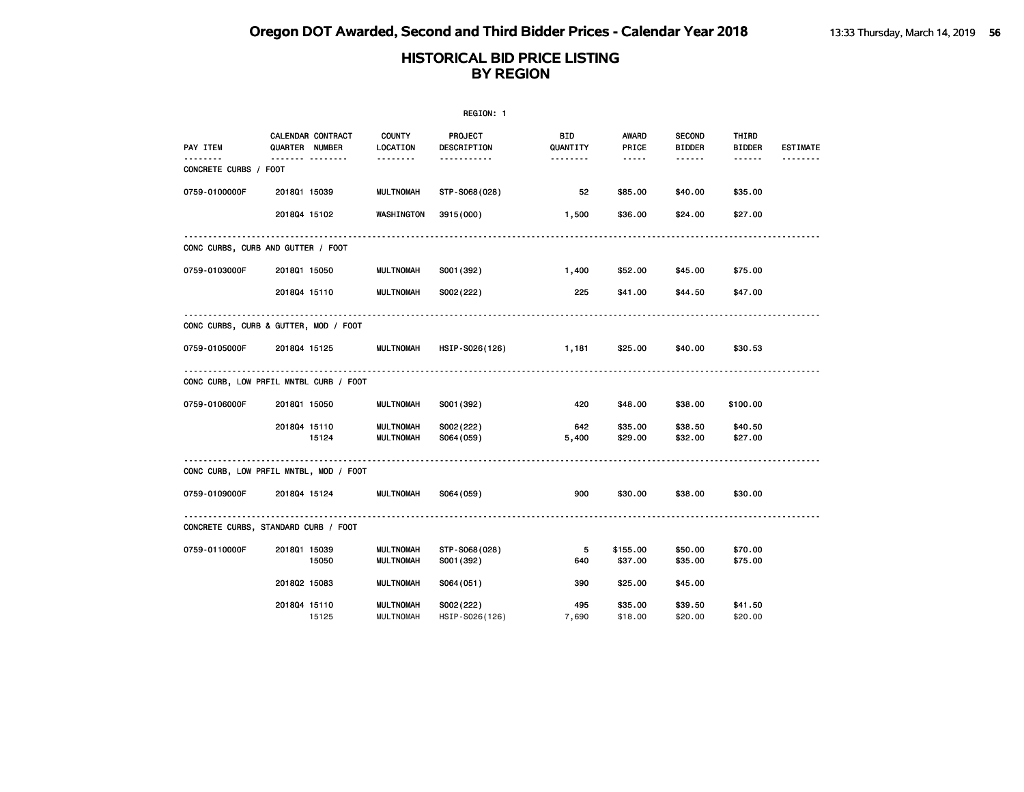|                                        |                            |                   |                                      | REGION: 1                   |                                          |                                          |                                     |                                  |                 |
|----------------------------------------|----------------------------|-------------------|--------------------------------------|-----------------------------|------------------------------------------|------------------------------------------|-------------------------------------|----------------------------------|-----------------|
| PAY ITEM<br>.<br>CONCRETE CURBS / FOOT | <b>QUARTER NUMBER</b><br>. | CALENDAR CONTRACT | <b>COUNTY</b><br>LOCATION            | PROJECT<br>DESCRIPTION<br>. | BID<br>QUANTITY<br><u> - - - - - - -</u> | <b>AWARD</b><br>PRICE<br>$\cdots \cdots$ | <b>SECOND</b><br><b>BIDDER</b><br>. | THIRD<br><b>BIDDER</b><br>------ | <b>ESTIMATE</b> |
| 0759-0100000F                          | 201801 15039               |                   | <b>MULTNOMAH</b>                     | STP-S068(028)               | 52                                       | \$85.00                                  | \$40.00                             | \$35.00                          |                 |
|                                        | 201804 15102               |                   | WASHINGTON                           | 3915 (000)                  | 1,500                                    | \$36.00                                  | \$24.00                             | \$27.00                          |                 |
| CONC CURBS, CURB AND GUTTER / FOOT     |                            |                   |                                      |                             |                                          |                                          |                                     |                                  |                 |
| 0759-0103000F                          | 2018Q1 15050               |                   | <b>MULTNOMAH</b>                     | S001 (392)                  | 1,400                                    | \$52.00                                  | \$45.00                             | \$75.00                          |                 |
|                                        | 201804 15110               |                   | <b>MULTNOMAH</b>                     | S002(222)                   | 225                                      | \$41.00                                  | \$44.50                             | \$47.00                          |                 |
| CONC CURBS, CURB & GUTTER, MOD / FOOT  |                            |                   |                                      |                             |                                          |                                          |                                     |                                  |                 |
| 0759-0105000F                          | 201804 15125               |                   | <b>MULTNOMAH</b>                     | HSIP-S026(126)              | $\frac{1}{1,181}$                        | \$25.00                                  | \$40.00                             | \$30.53                          |                 |
| CONC CURB, LOW PRFIL MNTBL CURB / FOOT | .                          |                   |                                      |                             |                                          |                                          |                                     |                                  |                 |
| 0759-0106000F                          | 201801 15050               |                   | MULTNOMAH                            | S001 (392)                  | 420                                      | \$48.00                                  | \$38.00                             | \$100.00                         |                 |
|                                        | 201804 15110               | 15124             | <b>MULTNOMAH</b><br><b>MULTNOMAH</b> | S002(222)<br>S064 (059)     | 642<br>5,400                             | \$35.00<br>\$29.00                       | \$38.50<br>\$32.00                  | \$40.50<br>\$27.00               |                 |
| CONC CURB, LOW PRFIL MNTBL, MOD / FOOT |                            |                   |                                      |                             |                                          |                                          |                                     |                                  |                 |
| 0759-0109000F                          | 201804 15124               |                   | <b>MULTNOMAH</b>                     | S064 (059)                  | 900                                      | \$30.00                                  | \$38.00                             | \$30.00                          |                 |
| CONCRETE CURBS, STANDARD CURB / FOOT   |                            |                   |                                      |                             |                                          |                                          |                                     |                                  |                 |
| 0759-0110000F                          | 201801 15039               | 15050             | MULTNOMAH<br><b>MULTNOMAH</b>        | STP-S068(028)<br>S001 (392) | - 5<br>640                               | \$155.00<br>\$37.00                      | \$50.00<br>\$35.00                  | \$70.00<br>\$75.00               |                 |
|                                        | 201802 15083               |                   | <b>MULTNOMAH</b>                     | S064(051)                   | 390                                      | \$25.00                                  | \$45.00                             |                                  |                 |
|                                        | 201804 15110               | 15125             | <b>MULTNOMAH</b><br><b>MULTNOMAH</b> | S002(222)<br>HSIP-S026(126) | 495<br>7,690                             | \$35.00<br>\$18.00                       | \$39.50<br>\$20.00                  | \$41.50<br>\$20.00               |                 |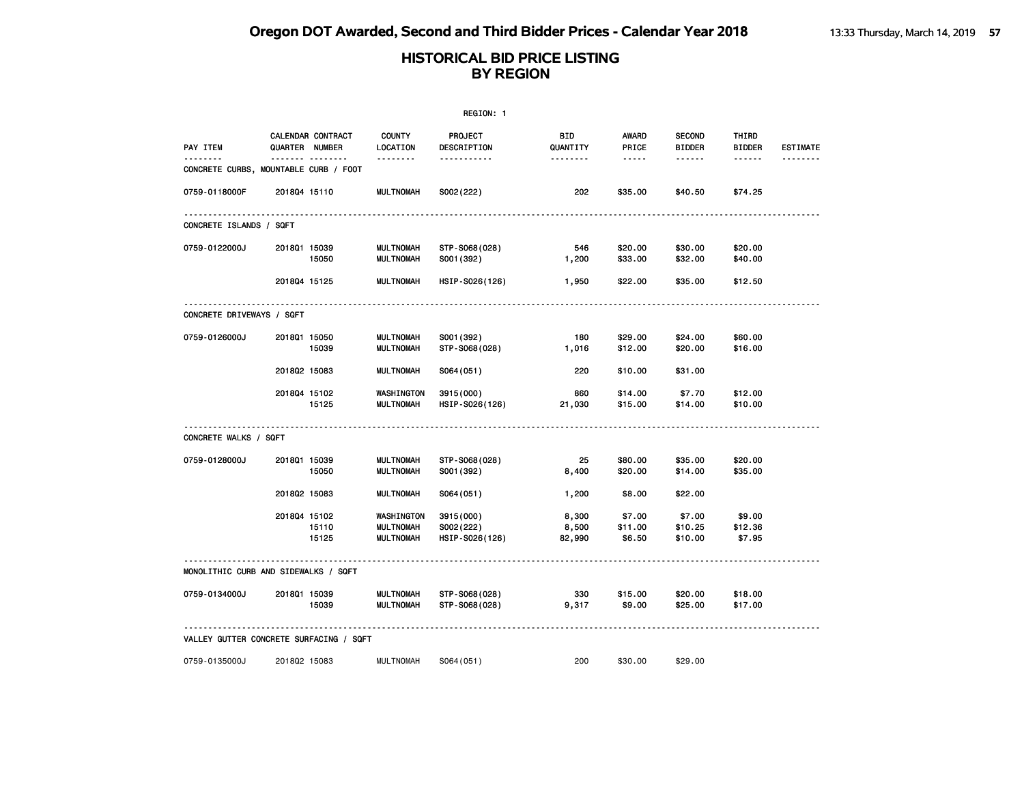|                                         |              |                                     |                                      | REGION: 1                     |                      |                                      |                                          |                                  |                 |
|-----------------------------------------|--------------|-------------------------------------|--------------------------------------|-------------------------------|----------------------|--------------------------------------|------------------------------------------|----------------------------------|-----------------|
| PAY ITEM                                |              | CALENDAR CONTRACT<br>QUARTER NUMBER | <b>COUNTY</b><br>LOCATION<br>.       | <b>PROJECT</b><br>DESCRIPTION | BID<br>QUANTITY<br>. | <b>AWARD</b><br>PRICE<br>$- - - - -$ | <b>SECOND</b><br><b>BIDDER</b><br>------ | THIRD<br><b>BIDDER</b><br>------ | <b>ESTIMATE</b> |
| CONCRETE CURBS, MOUNTABLE CURB / FOOT   |              |                                     |                                      |                               |                      |                                      |                                          |                                  |                 |
| 0759-0118000F                           | 201804 15110 |                                     | <b>MULTNOMAH</b>                     | S002(222)                     | 202                  | \$35.00                              | \$40.50                                  | \$74.25                          |                 |
| CONCRETE ISLANDS / SQFT                 |              |                                     |                                      |                               |                      |                                      |                                          |                                  |                 |
| 0759-0122000J                           | 201801 15039 |                                     | <b>MULTNOMAH</b>                     | STP-S068(028)                 | 546                  | \$20.00                              | \$30.00                                  | \$20.00                          |                 |
|                                         |              | 15050                               | <b>MULTNOMAH</b>                     | S001 (392)                    | 1,200                | \$33.00                              | \$32.00                                  | \$40.00                          |                 |
|                                         | 201804 15125 |                                     | <b>MULTNOMAH</b>                     | HSIP-S026(126)                | 1,950                | \$22.00                              | \$35.00                                  | \$12.50                          |                 |
| CONCRETE DRIVEWAYS / SQFT               |              |                                     |                                      |                               |                      |                                      |                                          |                                  |                 |
| 0759-0126000J                           | 201801 15050 |                                     | <b>MULTNOMAH</b>                     | S001 (392)                    | 180                  | \$29.00                              | \$24.00                                  | \$60.00                          |                 |
|                                         |              | 15039                               | <b>MULTNOMAH</b>                     | STP-S068(028)                 | 1,016                | \$12.00                              | \$20.00                                  | \$16.00                          |                 |
|                                         | 201802 15083 |                                     | <b>MULTNOMAH</b>                     | S064(051)                     | 220                  | \$10.00                              | \$31.00                                  |                                  |                 |
|                                         | 201804 15102 |                                     | WASHINGTON                           | 3915 (000)                    | 860                  | \$14.00                              | \$7.70                                   | \$12.00                          |                 |
|                                         |              | 15125                               | <b>MULTNOMAH</b>                     | HSIP-S026(126)                | 21,030               | \$15.00                              | \$14.00                                  | \$10.00                          |                 |
| CONCRETE WALKS / SQFT                   |              |                                     |                                      |                               |                      |                                      |                                          |                                  |                 |
| 0759-0128000J                           | 201801 15039 |                                     | <b>MULTNOMAH</b>                     | STP-S068(028)                 | 25                   | \$80.00                              | \$35.00                                  | \$20.00                          |                 |
|                                         |              | 15050                               | <b>MULTNOMAH</b>                     | S001 (392)                    | 8,400                | \$20.00                              | \$14.00                                  | \$35.00                          |                 |
|                                         | 201802 15083 |                                     | <b>MULTNOMAH</b>                     | S064(051)                     | 1,200                | \$8.00                               | \$22.00                                  |                                  |                 |
|                                         | 201804 15102 |                                     | WASHINGTON                           | 3915 (000)                    | 8,300                | \$7.00                               | \$7.00                                   | \$9.00                           |                 |
|                                         |              | 15110<br>15125                      | <b>MULTNOMAH</b><br><b>MULTNOMAH</b> | S002(222)<br>HSIP-S026(126)   | 8,500<br>82,990      | \$11.00<br>\$6.50                    | \$10.25<br>\$10.00                       | \$12.36<br>\$7.95                |                 |
|                                         |              |                                     |                                      |                               |                      |                                      |                                          |                                  |                 |
| MONOLITHIC CURB AND SIDEWALKS / SQFT    |              |                                     |                                      |                               |                      |                                      |                                          |                                  |                 |
| 0759-0134000J                           | 201801 15039 |                                     | <b>MULTNOMAH</b>                     | STP-S068(028)                 | 330                  | \$15.00                              | \$20.00                                  | \$18.00                          |                 |
|                                         |              | 15039                               | <b>MULTNOMAH</b>                     | STP-S068(028)                 | 9,317                | \$9.00                               | \$25.00                                  | \$17.00                          |                 |
| VALLEY GUTTER CONCRETE SURFACING / SQFT |              |                                     |                                      |                               |                      |                                      |                                          |                                  |                 |
| 0759-0135000J                           | 201802 15083 |                                     | <b>MULTNOMAH</b>                     | S064(051)                     | 200                  | \$30.00                              | \$29.00                                  |                                  |                 |
|                                         |              |                                     |                                      |                               |                      |                                      |                                          |                                  |                 |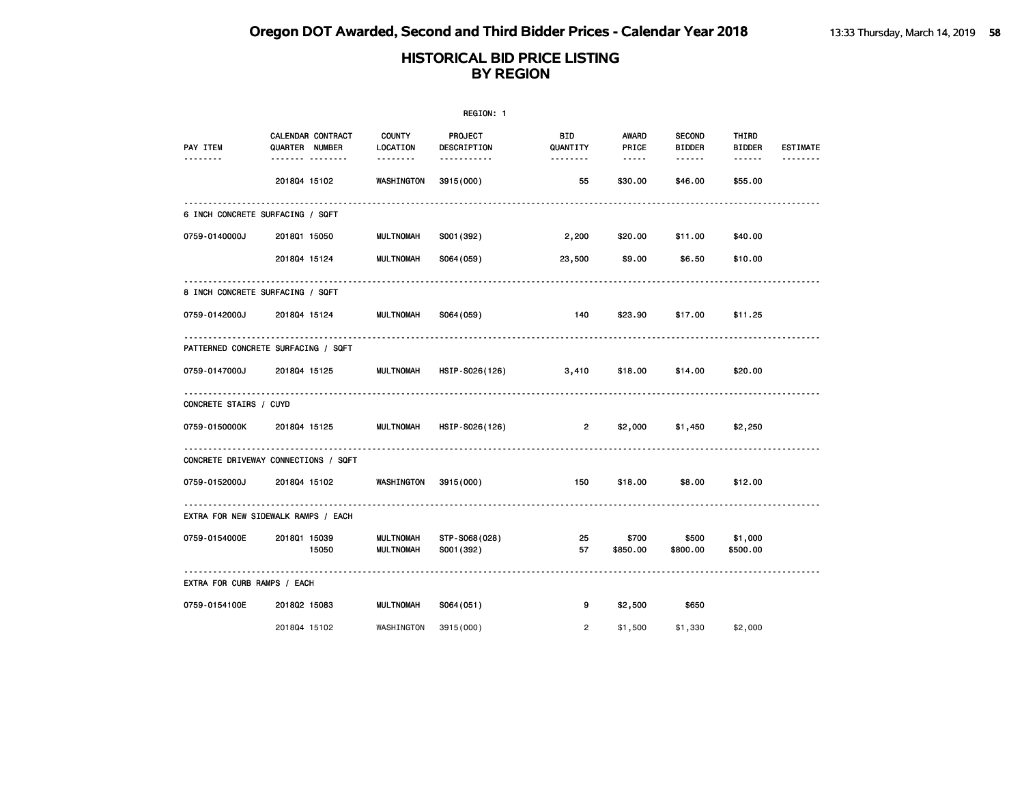|                                      |                            |                   |                                | REGION: 1                   |                                    |                            |                                                        |                                  |                 |
|--------------------------------------|----------------------------|-------------------|--------------------------------|-----------------------------|------------------------------------|----------------------------|--------------------------------------------------------|----------------------------------|-----------------|
| <b>PAY ITEM</b>                      | QUARTER NUMBER<br><u> </u> | CALENDAR CONTRACT | <b>COUNTY</b><br>LOCATION<br>. | PROJECT<br>DESCRIPTION<br>. | <b>BID</b><br>QUANTITY<br>-------- | AWARD<br>PRICE<br>$\cdots$ | <b>SECOND</b><br><b>BIDDER</b><br>$\cdots\cdots\cdots$ | THIRD<br><b>BIDDER</b><br>------ | <b>ESTIMATE</b> |
|                                      | 201804 15102               |                   | <b>WASHINGTON</b>              | 3915(000)                   | 55                                 | \$30.00                    | \$46.00                                                | \$55.00                          |                 |
| 6 INCH CONCRETE SURFACING / SQFT     |                            |                   |                                |                             |                                    |                            |                                                        |                                  |                 |
| 0759-0140000J                        | 201801 15050               |                   | MULTNOMAH                      | S001 (392)                  | 2,200                              | \$20.00                    | \$11.00                                                | \$40.00                          |                 |
|                                      | 201804 15124               |                   | <b>MULTNOMAH</b>               | S064 (059)                  | 23,500                             | \$9.00                     | \$6.50                                                 | \$10.00                          |                 |
| 8 INCH CONCRETE SURFACING / SQFT     | .                          |                   |                                |                             |                                    |                            |                                                        |                                  |                 |
| 0759-0142000J 2018Q4 15124           |                            |                   | MULTNOMAH                      | S064 (059)                  | 140                                | \$23.90                    | \$17.00                                                | \$11.25                          |                 |
| PATTERNED CONCRETE SURFACING / SQFT  | .                          |                   |                                |                             |                                    |                            |                                                        |                                  |                 |
| 0759-0147000J 2018Q4 15125 MULTNOMAH |                            |                   |                                | HSIP-S026(126)              | $3,410$ \$18.00 \$14.00            |                            |                                                        | \$20.00                          |                 |
| CONCRETE STAIRS / CUYD               |                            |                   |                                |                             |                                    |                            |                                                        |                                  |                 |
| 0759-0150000K 2018Q4 15125           |                            |                   | MULTNOMAH                      | HSIP-S026(126)              | $\overline{2}$                     |                            | \$2,000 \$1,450                                        | \$2,250                          |                 |
| CONCRETE DRIVEWAY CONNECTIONS / SQFT |                            |                   |                                |                             |                                    |                            |                                                        |                                  |                 |
| 0759-0152000J 2018Q4 15102           |                            |                   | WASHINGTON 3915(000)           |                             | 150                                | \$18.00                    | \$8.00                                                 | \$12.00                          |                 |
| EXTRA FOR NEW SIDEWALK RAMPS / EACH  | .                          |                   |                                |                             |                                    |                            |                                                        |                                  |                 |
| 0759-0154000E                        | 201801 15039               | 15050             | MULTNOMAH<br>MULTNOMAH         | STP-S068(028)<br>S001 (392) | 25<br>57                           | \$700<br>\$850.00          | \$500<br>\$800.00                                      | \$1,000<br>\$500.00              |                 |
| EXTRA FOR CURB RAMPS / EACH          |                            |                   |                                |                             |                                    |                            |                                                        |                                  |                 |
| 0759-0154100E                        | 201802 15083               |                   | MULTNOMAH                      | S064(051)                   | 9                                  | \$2,500                    | \$650                                                  |                                  |                 |
|                                      | 201804 15102               |                   | WASHINGTON                     | 3915 (000)                  | $\overline{2}$                     | \$1,500                    | \$1,330                                                | \$2,000                          |                 |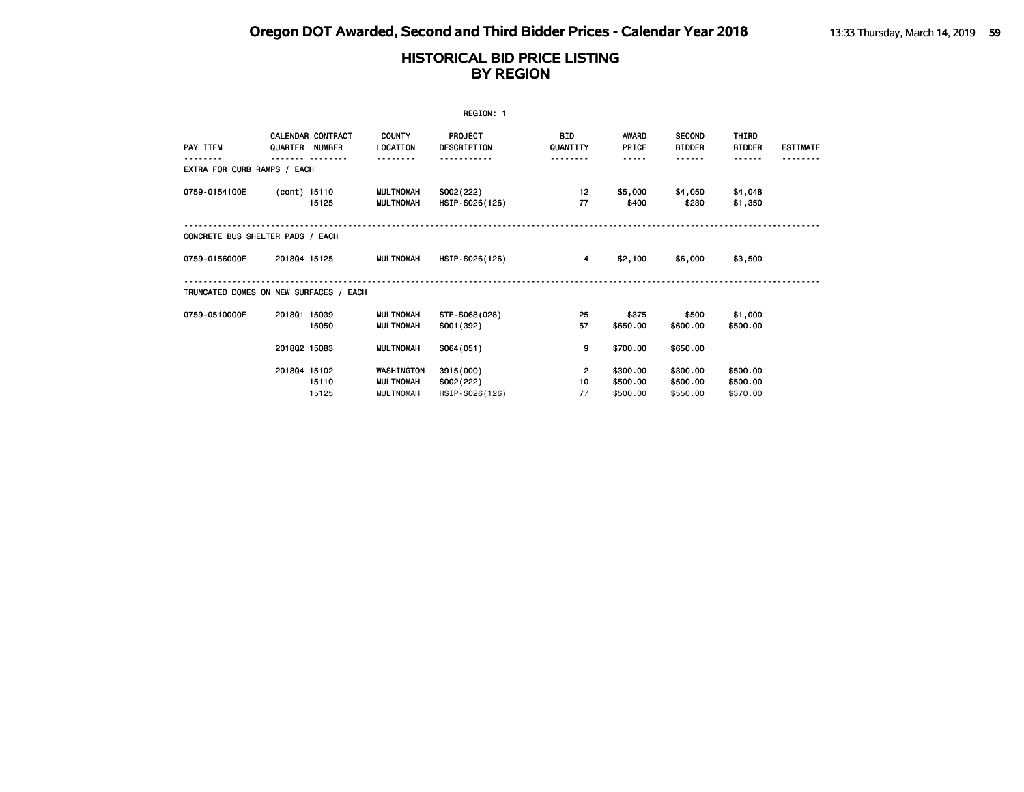|                                        |                |                          |                                             | REGION: 1                                 |                        |                                  |                                  |                                  |                 |
|----------------------------------------|----------------|--------------------------|---------------------------------------------|-------------------------------------------|------------------------|----------------------------------|----------------------------------|----------------------------------|-----------------|
| PAY ITEM                               | QUARTER NUMBER | <b>CALENDAR CONTRACT</b> | <b>COUNTY</b><br>LOCATION                   | <b>PROJECT</b><br><b>DESCRIPTION</b>      | <b>BID</b><br>QUANTITY | <b>AWARD</b><br>PRICE            | <b>SECOND</b><br><b>BIDDER</b>   | <b>THIRD</b><br><b>BIDDER</b>    | <b>ESTIMATE</b> |
| EXTRA FOR CURB RAMPS / EACH            |                |                          |                                             |                                           |                        | -----                            | - - - - - -                      |                                  |                 |
| 0759-0154100E                          | (cont) 15110   | 15125                    | <b>MULTNOMAH</b><br><b>MULTNOMAH</b>        | S002(222)<br>HSIP-S026(126)               | 12<br>77               | \$5,000<br>\$400                 | \$4,050<br>\$230                 | \$4,048<br>\$1,350               |                 |
| CONCRETE BUS SHELTER PADS / EACH       |                |                          |                                             |                                           |                        |                                  |                                  |                                  |                 |
| 0759-0156000E                          | 201804 15125   |                          | MULTNOMAH                                   | HSIP-S026(126)                            | $\overline{4}$         | \$2,100                          | \$6,000                          | \$3,500                          |                 |
| TRUNCATED DOMES ON NEW SURFACES / EACH |                |                          |                                             |                                           |                        |                                  |                                  |                                  |                 |
| 0759-0510000E                          | 201801 15039   | 15050                    | <b>MULTNOMAH</b><br><b>MULTNOMAH</b>        | STP-S068(028)<br>S001 (392)               | 25<br>57               | \$375<br>\$650.00                | \$500<br>\$600.00                | \$1,000<br>\$500.00              |                 |
|                                        | 201802 15083   |                          | <b>MULTNOMAH</b>                            | S064(051)                                 | 9                      | \$700.00                         | \$650.00                         |                                  |                 |
|                                        | 201804 15102   | 15110<br>15125           | WASHINGTON<br>MULTNOMAH<br><b>MULTNOMAH</b> | 3915 (000)<br>S002(222)<br>HSIP-S026(126) | 2<br>10<br>77          | \$300.00<br>\$500.00<br>\$500,00 | \$300.00<br>\$500.00<br>\$550,00 | \$500.00<br>\$500.00<br>\$370.00 |                 |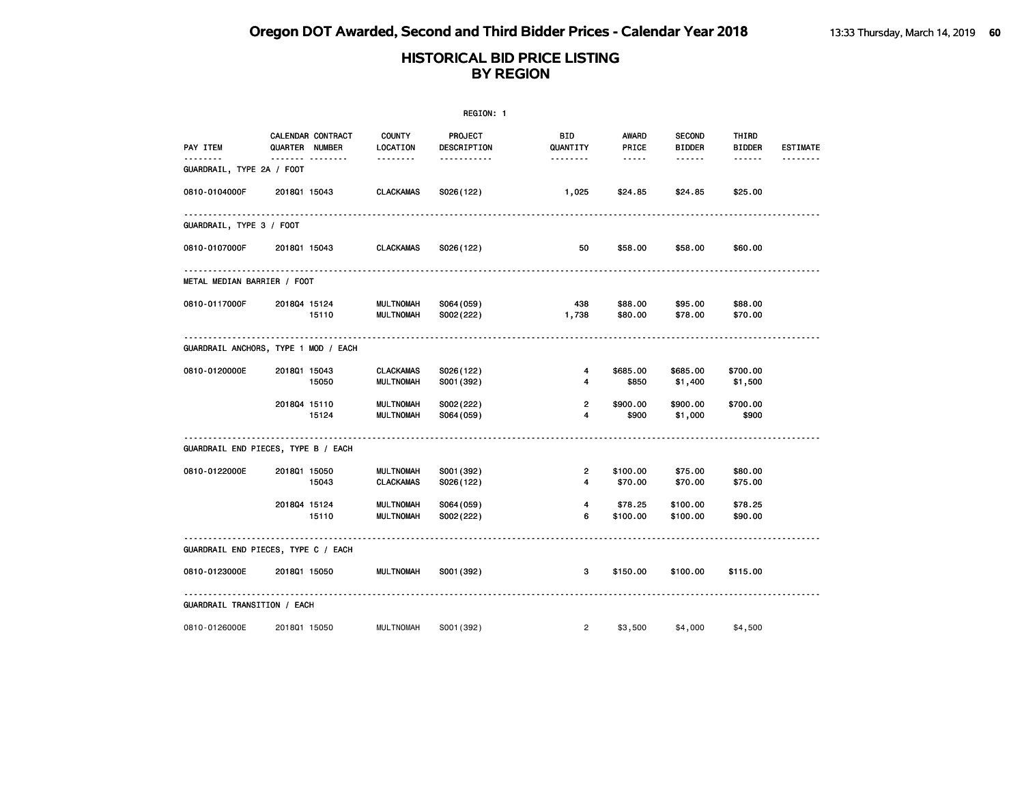|                                      |                |                   |                                      | REGION: 1               |                        |                                                                                                                                                      |                                |                        |                 |
|--------------------------------------|----------------|-------------------|--------------------------------------|-------------------------|------------------------|------------------------------------------------------------------------------------------------------------------------------------------------------|--------------------------------|------------------------|-----------------|
| PAY ITEM                             | QUARTER NUMBER | CALENDAR CONTRACT | COUNTY<br>LOCATION                   | PROJECT<br>DESCRIPTION  | <b>BID</b><br>QUANTITY | AWARD<br>PRICE                                                                                                                                       | <b>SECOND</b><br><b>BIDDER</b> | THIRD<br><b>BIDDER</b> | <b>ESTIMATE</b> |
| GUARDRAIL, TYPE 2A / FOOT            |                | <u></u>           | --------                             | .                       | --------               | $\frac{1}{2} \left( \frac{1}{2} \right) \left( \frac{1}{2} \right) \left( \frac{1}{2} \right) \left( \frac{1}{2} \right) \left( \frac{1}{2} \right)$ | ------                         | $- - - - - -$          |                 |
| 0810-0104000F                        | 201801 15043   |                   | <b>CLACKAMAS</b>                     | S026(122)               | 1,025                  | \$24.85                                                                                                                                              | \$24.85                        | \$25.00                |                 |
| GUARDRAIL, TYPE 3 / FOOT             |                |                   |                                      |                         |                        |                                                                                                                                                      |                                |                        |                 |
| 0810-0107000F                        | 201801 15043   |                   | <b>CLACKAMAS</b>                     | S026(122)               | 50                     | \$58.00                                                                                                                                              | \$58.00                        | \$60.00                |                 |
| METAL MEDIAN BARRIER / FOOT          |                |                   |                                      |                         |                        |                                                                                                                                                      |                                |                        |                 |
| 0810-0117000F                        | 201804 15124   | 15110             | <b>MULTNOMAH</b><br><b>MULTNOMAH</b> | S064 (059)<br>S002(222) | 438<br>1,738           | \$88.00<br>\$80.00                                                                                                                                   | \$95.00<br>\$78.00             | \$88.00<br>\$70.00     |                 |
| GUARDRAIL ANCHORS, TYPE 1 MOD / EACH |                |                   | .                                    |                         |                        |                                                                                                                                                      |                                |                        |                 |
| 0810-0120000E                        | 201801 15043   | 15050             | <b>CLACKAMAS</b><br><b>MULTNOMAH</b> | S026(122)<br>S001 (392) | 4<br>4                 | \$685.00<br>\$850                                                                                                                                    | \$685.00<br>\$1,400            | \$700.00<br>\$1,500    |                 |
|                                      | 201804 15110   | 15124             | <b>MULTNOMAH</b><br><b>MULTNOMAH</b> | S002(222)<br>S064 (059) | $\overline{2}$<br>4    | \$900.00<br>\$900                                                                                                                                    | \$900.00<br>\$1,000            | \$700.00<br>\$900      |                 |
| GUARDRAIL END PIECES, TYPE B / EACH  |                |                   |                                      |                         |                        |                                                                                                                                                      |                                |                        |                 |
| 0810-0122000E                        | 201801 15050   | 15043             | <b>MULTNOMAH</b><br><b>CLACKAMAS</b> | S001 (392)<br>S026(122) | 2<br>4                 | \$100.00<br>\$70.00                                                                                                                                  | \$75.00<br>\$70.00             | \$80.00<br>\$75.00     |                 |
|                                      | 201804 15124   | 15110             | <b>MULTNOMAH</b><br><b>MULTNOMAH</b> | S064 (059)<br>S002(222) | 4<br>6                 | \$78.25<br>\$100.00                                                                                                                                  | \$100.00<br>\$100.00           | \$78.25<br>\$90.00     |                 |
| GUARDRAIL END PIECES, TYPE C / EACH  |                |                   |                                      |                         |                        |                                                                                                                                                      |                                |                        |                 |
| 0810-0123000E                        | 201801 15050   |                   | <b>MULTNOMAH</b>                     | S001 (392)              | 3                      | \$150.00                                                                                                                                             | \$100.00                       | \$115.00               |                 |
| GUARDRAIL TRANSITION / EACH          |                |                   |                                      |                         |                        |                                                                                                                                                      |                                |                        |                 |
| 0810-0126000E                        | 201801 15050   |                   | <b>MULTNOMAH</b>                     | S001 (392)              | $\overline{2}$         | \$3,500                                                                                                                                              | \$4,000                        | \$4,500                |                 |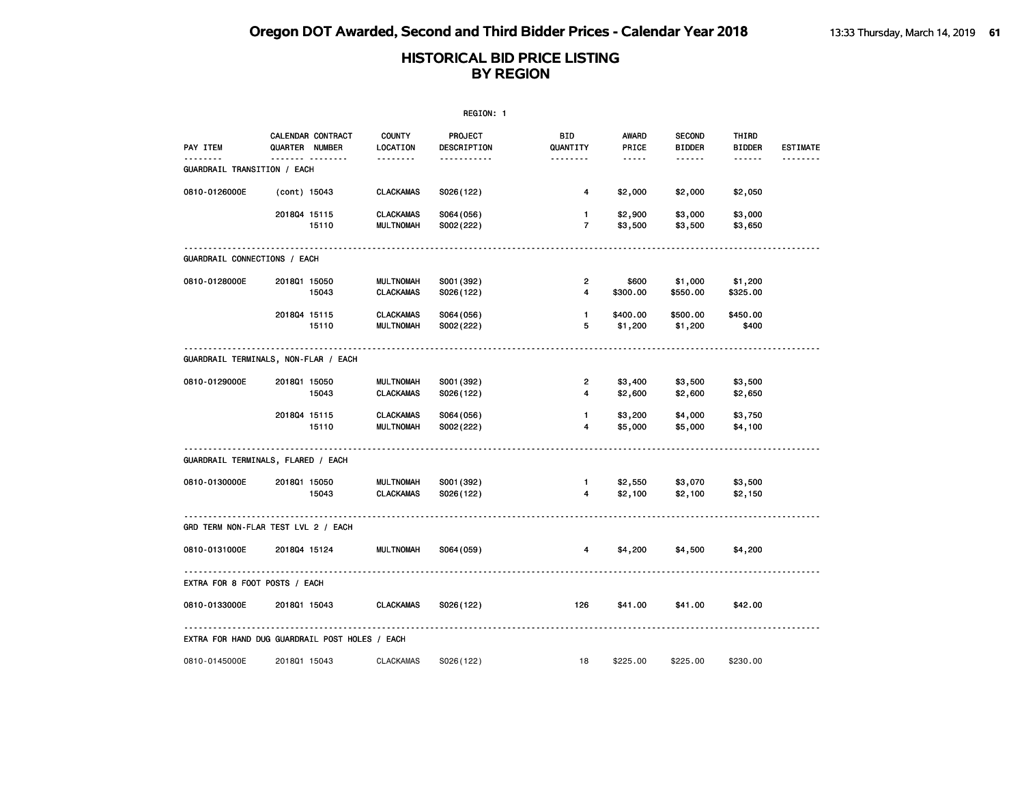|                                                |                |                               |                                      | REGION: 1                   |                                    |                                      |                                |                                  |                 |
|------------------------------------------------|----------------|-------------------------------|--------------------------------------|-----------------------------|------------------------------------|--------------------------------------|--------------------------------|----------------------------------|-----------------|
| PAY ITEM<br><u>.</u>                           | QUARTER NUMBER | CALENDAR CONTRACT<br><u> </u> | <b>COUNTY</b><br>LOCATION<br>.       | PROJECT<br>DESCRIPTION<br>. | <b>BID</b><br>QUANTITY<br><u>.</u> | <b>AWARD</b><br>PRICE<br>$- - - - -$ | <b>SECOND</b><br><b>BIDDER</b> | THIRD<br><b>BIDDER</b><br>------ | <b>ESTIMATE</b> |
| <b>GUARDRAIL TRANSITION / EACH</b>             |                |                               |                                      |                             |                                    |                                      | ------                         |                                  |                 |
| 0810-0126000E                                  | (cont) 15043   |                               | <b>CLACKAMAS</b>                     | S026(122)                   | 4                                  | \$2,000                              | \$2,000                        | \$2,050                          |                 |
|                                                | 201804 15115   | 15110                         | <b>CLACKAMAS</b><br><b>MULTNOMAH</b> | S064(056)<br>S002(222)      | $\mathbf{1}$<br>$\overline{7}$     | \$2,900<br>\$3,500                   | \$3,000<br>\$3,500             | \$3,000<br>\$3,650               |                 |
| GUARDRAIL CONNECTIONS / EACH                   |                |                               |                                      |                             |                                    |                                      |                                |                                  |                 |
| 0810-0128000E                                  | 2018Q1 15050   | 15043                         | <b>MULTNOMAH</b><br><b>CLACKAMAS</b> | S001 (392)<br>S026(122)     | $\overline{\mathbf{c}}$<br>4       | \$600<br>\$300.00                    | \$1,000<br>\$550.00            | \$1,200<br>\$325.00              |                 |
|                                                | 201804 15115   | 15110                         | <b>CLACKAMAS</b><br><b>MULTNOMAH</b> | S064(056)<br>S002(222)      | $\mathbf{1}$<br>5                  | \$400.00<br>\$1,200                  | \$500.00<br>\$1,200            | \$450.00<br>\$400                |                 |
| GUARDRAIL TERMINALS, NON-FLAR / EACH           |                |                               |                                      |                             |                                    |                                      |                                |                                  |                 |
| 0810-0129000E                                  | 201801 15050   | 15043                         | <b>MULTNOMAH</b><br><b>CLACKAMAS</b> | S001 (392)<br>S026(122)     | $\overline{\mathbf{c}}$<br>4       | \$3,400<br>\$2,600                   | \$3,500<br>\$2,600             | \$3,500<br>\$2,650               |                 |
|                                                | 201804 15115   | 15110                         | <b>CLACKAMAS</b><br><b>MULTNOMAH</b> | S064 (056)<br>S002(222)     | 1<br>4                             | \$3,200<br>\$5,000                   | \$4,000<br>\$5,000             | \$3,750<br>\$4,100               |                 |
| GUARDRAIL TERMINALS, FLARED / EACH             |                |                               |                                      |                             |                                    |                                      |                                |                                  |                 |
| 0810-0130000E                                  | 201801 15050   | 15043                         | <b>MULTNOMAH</b><br><b>CLACKAMAS</b> | S001 (392)<br>S026(122)     | 1<br>4                             | \$2,550<br>\$2,100                   | \$3,070<br>\$2,100             | \$3,500<br>\$2,150               |                 |
| GRD TERM NON-FLAR TEST LVL 2 / EACH            |                |                               |                                      |                             |                                    |                                      |                                |                                  |                 |
| 0810-0131000E                                  | 201804 15124   |                               | <b>MULTNOMAH</b>                     | S064 (059)                  | 4                                  | \$4,200                              | \$4,500                        | \$4,200                          |                 |
| EXTRA FOR 8 FOOT POSTS / EACH                  |                |                               |                                      |                             |                                    |                                      |                                |                                  |                 |
| 0810-0133000E                                  | 201801 15043   |                               | <b>CLACKAMAS</b>                     | S026(122)                   | 126                                | \$41.00                              | \$41.00                        | \$42.00                          |                 |
| EXTRA FOR HAND DUG GUARDRAIL POST HOLES / EACH |                |                               |                                      |                             |                                    |                                      |                                |                                  |                 |
| 0810-0145000E                                  | 201801 15043   |                               | <b>CLACKAMAS</b>                     | S026(122)                   | 18                                 | \$225.00                             | \$225.00                       | \$230.00                         |                 |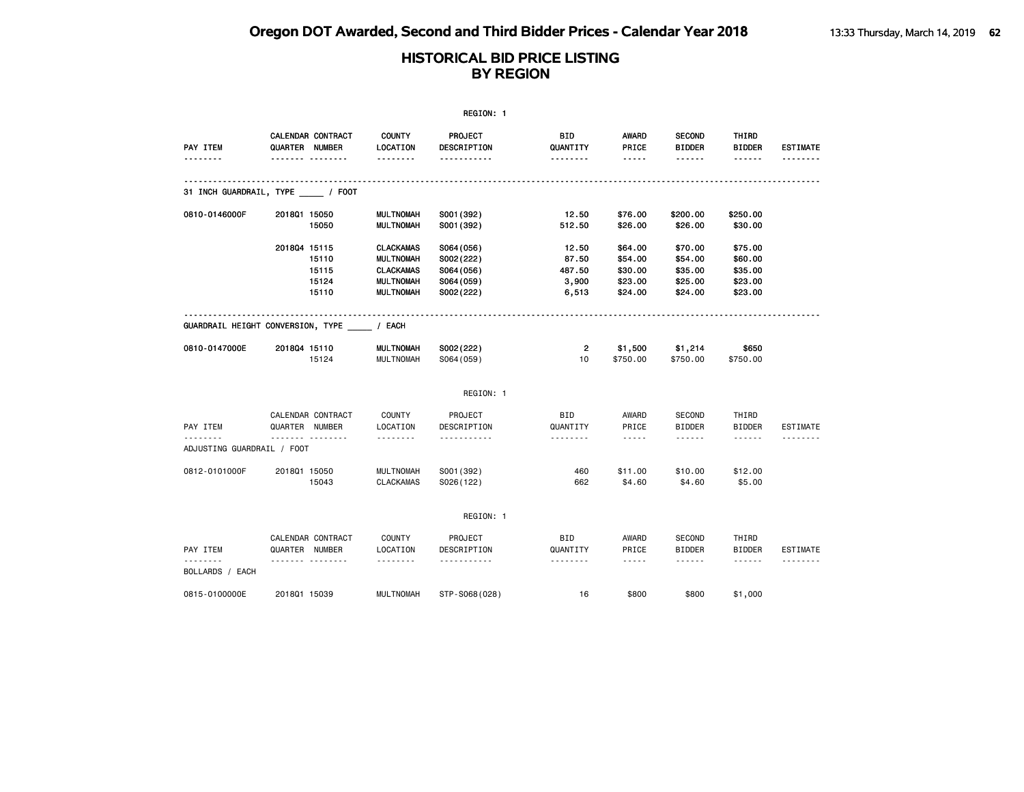|                            |                                                               |                                                                                                  | REGION: 1                                                        |                                            |                                                      |                                                                                                                                               |                                                     |                             |
|----------------------------|---------------------------------------------------------------|--------------------------------------------------------------------------------------------------|------------------------------------------------------------------|--------------------------------------------|------------------------------------------------------|-----------------------------------------------------------------------------------------------------------------------------------------------|-----------------------------------------------------|-----------------------------|
| PAY ITEM                   | <b>CALENDAR CONTRACT</b><br><b>QUARTER NUMBER</b><br><b>.</b> | <b>COUNTY</b><br>LOCATION<br><u>.</u>                                                            | PROJECT<br>DESCRIPTION<br>.                                      | <b>BID</b><br>QUANTITY                     | <b>AWARD</b><br>PRICE<br>$- - - - -$                 | <b>SECOND</b><br><b>BIDDER</b>                                                                                                                | THIRD<br><b>BIDDER</b><br>------                    | <b>ESTIMATE</b><br><u>.</u> |
|                            | 31 INCH GUARDRAIL, TYPE / FOOT                                |                                                                                                  |                                                                  |                                            |                                                      |                                                                                                                                               |                                                     |                             |
| 0810-0146000F              | 201801 15050<br>15050                                         | <b>MULTNOMAH</b><br><b>MULTNOMAH</b>                                                             | S001 (392)<br>S001 (392)                                         | 12.50<br>512.50                            | \$76.00<br>\$26.00                                   | \$200.00<br>\$26.00                                                                                                                           | \$250.00<br>\$30.00                                 |                             |
|                            | 201804 15115<br>15110<br>15115<br>15124<br>15110              | <b>CLACKAMAS</b><br><b>MULTNOMAH</b><br><b>CLACKAMAS</b><br><b>MULTNOMAH</b><br><b>MULTNOMAH</b> | S064 (056)<br>S002(222)<br>S064 (056)<br>S064 (059)<br>S002(222) | 12.50<br>87.50<br>487.50<br>3,900<br>6,513 | \$64.00<br>\$54.00<br>\$30.00<br>\$23.00<br>\$24.00  | \$70.00<br>\$54.00<br>\$35.00<br>\$25.00<br>\$24.00                                                                                           | \$75.00<br>\$60.00<br>\$35.00<br>\$23.00<br>\$23.00 |                             |
|                            | GUARDRAIL HEIGHT CONVERSION, TYPE _____ / EACH                |                                                                                                  |                                                                  |                                            |                                                      |                                                                                                                                               |                                                     |                             |
| 0810-0147000E              | 201804 15110<br>15124                                         | <b>MULTNOMAH</b><br><b>MULTNOMAH</b>                                                             | S002(222)<br>S064 (059)                                          | 2<br>10                                    | \$1,500<br>\$750.00                                  | \$1,214<br>\$750.00                                                                                                                           | \$650<br>\$750.00                                   |                             |
|                            |                                                               |                                                                                                  | REGION: 1                                                        |                                            |                                                      |                                                                                                                                               |                                                     |                             |
| PAY ITEM<br>.              | CALENDAR CONTRACT<br>QUARTER NUMBER<br>.                      | <b>COUNTY</b><br>LOCATION<br>.                                                                   | PROJECT<br>DESCRIPTION<br>.                                      | BID<br>QUANTITY<br>.                       | AWARD<br>PRICE<br>$\sim$ $\sim$ $\sim$ $\sim$ $\sim$ | <b>SECOND</b><br><b>BIDDER</b><br>$\begin{array}{cccccccccc} \bullet & \bullet & \bullet & \bullet & \bullet & \bullet & \bullet \end{array}$ | THIRD<br><b>BIDDER</b><br><b>.</b>                  | <b>ESTIMATE</b><br>.        |
| ADJUSTING GUARDRAIL / FOOT |                                                               |                                                                                                  |                                                                  |                                            |                                                      |                                                                                                                                               |                                                     |                             |
| 0812-0101000F              | 201801 15050<br>15043                                         | <b>MULTNOMAH</b><br><b>CLACKAMAS</b>                                                             | S001 (392)<br>S026(122)                                          | 460<br>662                                 | \$11.00<br>\$4.60                                    | \$10,00<br>\$4.60                                                                                                                             | \$12.00<br>\$5.00                                   |                             |
|                            |                                                               |                                                                                                  | REGION: 1                                                        |                                            |                                                      |                                                                                                                                               |                                                     |                             |
| PAY ITEM<br>.              | CALENDAR CONTRACT<br>QUARTER NUMBER<br>.                      | <b>COUNTY</b><br>LOCATION<br>.                                                                   | PROJECT<br>DESCRIPTION<br><u>.</u>                               | BID<br>QUANTITY<br>.                       | AWARD<br>PRICE<br>$- - - - -$                        | <b>SECOND</b><br><b>BIDDER</b><br>------                                                                                                      | THIRD<br><b>BIDDER</b><br>------                    | <b>ESTIMATE</b><br><u>.</u> |
| BOLLARDS / EACH            |                                                               |                                                                                                  |                                                                  |                                            |                                                      |                                                                                                                                               |                                                     |                             |
| 0815-0100000E              | 201801 15039                                                  | <b>MULTNOMAH</b>                                                                                 | STP-S068(028)                                                    | 16                                         | \$800                                                | \$800                                                                                                                                         | \$1,000                                             |                             |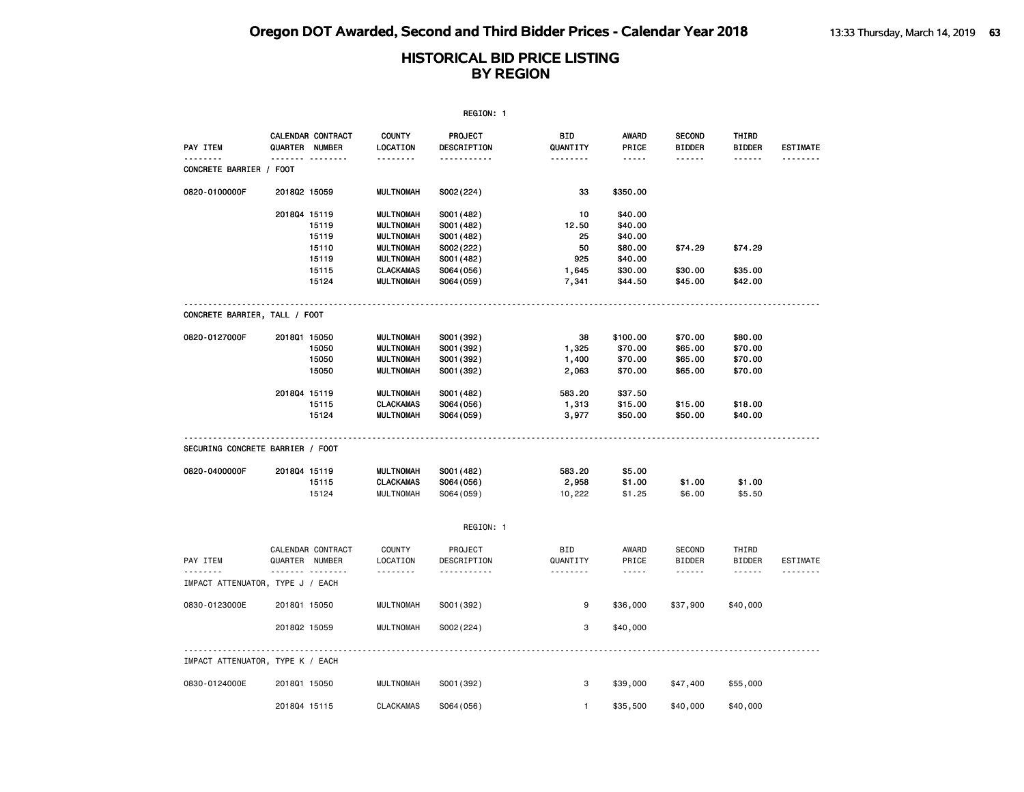|                                  |                |                   |                           | REGION: 1              |                 |                       |                                |                        |                 |
|----------------------------------|----------------|-------------------|---------------------------|------------------------|-----------------|-----------------------|--------------------------------|------------------------|-----------------|
| PAY ITEM                         | QUARTER NUMBER | CALENDAR CONTRACT | <b>COUNTY</b><br>LOCATION | PROJECT<br>DESCRIPTION | BID<br>QUANTITY | <b>AWARD</b><br>PRICE | <b>SECOND</b><br><b>BIDDER</b> | THIRD<br><b>BIDDER</b> | <b>ESTIMATE</b> |
| CONCRETE BARRIER / FOOT          |                | <b>.</b>          | --------                  | <u>.</u>               | --------        | $- - - - -$           | ------                         | ------                 |                 |
| 0820-0100000F                    | 201802 15059   |                   | <b>MULTNOMAH</b>          | S002(224)              | 33              | \$350.00              |                                |                        |                 |
|                                  | 201804 15119   |                   | <b>MULTNOMAH</b>          | S001 (482)             | 10              | \$40.00               |                                |                        |                 |
|                                  |                | 15119             | <b>MULTNOMAH</b>          | S001 (482)             | 12.50           | \$40.00               |                                |                        |                 |
|                                  |                | 15119             | <b>MULTNOMAH</b>          | S001 (482)             | 25              | \$40.00               |                                |                        |                 |
|                                  |                | 15110             | <b>MULTNOMAH</b>          | S002(222)              | 50              | \$80.00               | \$74.29                        | \$74.29                |                 |
|                                  |                | 15119             | <b>MULTNOMAH</b>          | S001 (482)             | 925             | \$40.00               |                                |                        |                 |
|                                  |                | 15115             | <b>CLACKAMAS</b>          | S064 (056)             | 1,645           | \$30.00               | \$30.00                        | \$35.00                |                 |
|                                  |                | 15124             | <b>MULTNOMAH</b>          | S064 (059)             | 7,341           | \$44.50               | \$45.00                        | \$42.00                |                 |
| CONCRETE BARRIER, TALL / FOOT    |                |                   |                           |                        |                 |                       |                                |                        |                 |
| 0820-0127000F                    | 201801 15050   |                   | <b>MULTNOMAH</b>          | S001 (392)             | 38              | \$100.00              | \$70.00                        | \$80.00                |                 |
|                                  |                | 15050             | <b>MULTNOMAH</b>          | S001 (392)             | 1,325           | \$70.00               | \$65.00                        | \$70.00                |                 |
|                                  |                | 15050             | <b>MULTNOMAH</b>          | S001 (392)             | 1,400           | \$70.00               | \$65.00                        | \$70.00                |                 |
|                                  |                | 15050             | <b>MULTNOMAH</b>          | S001 (392)             | 2,063           | \$70.00               | \$65.00                        | \$70.00                |                 |
|                                  | 201804 15119   |                   | <b>MULTNOMAH</b>          | S001 (482)             | 583.20          | \$37.50               |                                |                        |                 |
|                                  |                | 15115             | <b>CLACKAMAS</b>          | S064 (056)             | 1,313           | \$15.00               | \$15.00                        | \$18.00                |                 |
|                                  |                | 15124             | <b>MULTNOMAH</b>          | S064 (059)             | 3,977           | \$50.00               | \$50.00                        | \$40.00                |                 |
| SECURING CONCRETE BARRIER / FOOT |                |                   |                           |                        |                 |                       |                                |                        |                 |
| 0820-0400000F                    | 201804 15119   |                   | <b>MULTNOMAH</b>          | S001 (482)             | 583.20          | \$5.00                |                                |                        |                 |
|                                  |                | 15115             | <b>CLACKAMAS</b>          | S064 (056)             | 2,958           | \$1.00                | \$1.00                         | \$1.00                 |                 |
|                                  |                | 15124             | <b>MULTNOMAH</b>          | S064 (059)             | 10,222          | \$1.25                | \$6.00                         | \$5.50                 |                 |
|                                  |                |                   |                           | REGION: 1              |                 |                       |                                |                        |                 |
|                                  |                |                   |                           |                        |                 |                       |                                |                        |                 |
| PAY ITEM                         | QUARTER NUMBER | CALENDAR CONTRACT | <b>COUNTY</b><br>LOCATION | PROJECT<br>DESCRIPTION | BID<br>QUANTITY | AWARD<br>PRICE        | SECOND<br><b>BIDDER</b>        | THIRD<br><b>BIDDER</b> | <b>ESTIMATE</b> |
| IMPACT ATTENUATOR, TYPE J / EACH |                |                   | .                         | .                      | .               | .                     | .                              | ------                 | .               |
| 0830-0123000E                    | 201801 15050   |                   | <b>MULTNOMAH</b>          | S001 (392)             | 9               | \$36,000              | \$37,900                       | \$40,000               |                 |
|                                  | 201802 15059   |                   | <b>MULTNOMAH</b>          | S002(224)              | 3               | \$40,000              |                                |                        |                 |
|                                  |                |                   |                           |                        |                 |                       |                                |                        |                 |
| IMPACT ATTENUATOR, TYPE K / EACH |                |                   |                           |                        |                 |                       |                                |                        |                 |
| 0830-0124000E                    | 201801 15050   |                   | <b>MULTNOMAH</b>          | S001 (392)             | 3               | \$39,000              | \$47,400                       | \$55,000               |                 |
|                                  | 201804 15115   |                   | <b>CLACKAMAS</b>          | S064 (056)             | $\mathbf{1}$    | \$35,500              | \$40,000                       | \$40,000               |                 |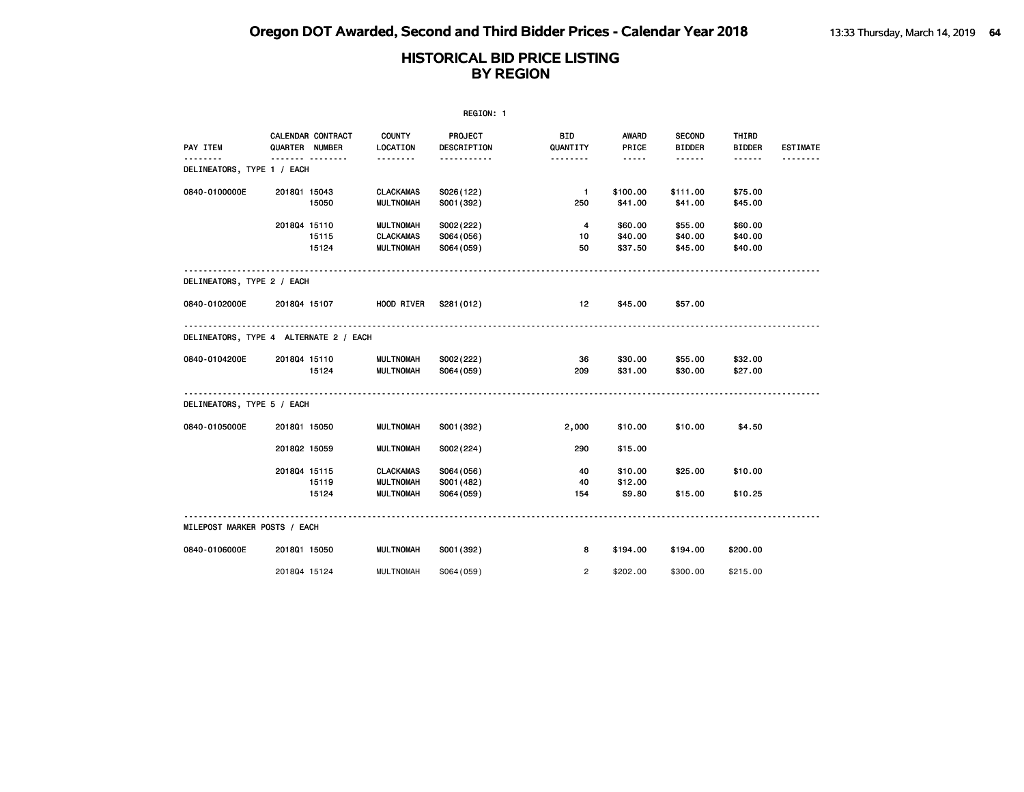| REGION: 1                              |              |                                     |                                                          |                                        |                            |                               |                                |                               |                 |  |  |
|----------------------------------------|--------------|-------------------------------------|----------------------------------------------------------|----------------------------------------|----------------------------|-------------------------------|--------------------------------|-------------------------------|-----------------|--|--|
| PAY ITEM                               |              | CALENDAR CONTRACT<br>QUARTER NUMBER | <b>COUNTY</b><br>LOCATION                                | <b>PROJECT</b><br>DESCRIPTION          | <b>BID</b><br>QUANTITY     | AWARD<br>PRICE                | <b>SECOND</b><br><b>BIDDER</b> | THIRD<br><b>BIDDER</b>        | <b>ESTIMATE</b> |  |  |
| <u>.</u><br>DELINEATORS, TYPE 1 / EACH |              | .                                   | <u>.</u>                                                 | <u>.</u>                               |                            | $- - - - -$                   | $- - - - - -$                  | ------                        |                 |  |  |
| 0840-0100000E                          | 201801 15043 | 15050                               | CLACKAMAS<br><b>MULTNOMAH</b>                            | S026(122)<br>S001 (392)                | $\blacksquare$<br>250      | \$100.00<br>\$41.00           | \$111.00<br>\$41.00            | \$75.00<br>\$45.00            |                 |  |  |
|                                        | 201804 15110 | 15115<br>15124                      | <b>MULTNOMAH</b><br><b>CLACKAMAS</b><br><b>MULTNOMAH</b> | S002(222)<br>S064 (056)<br>S064 (059)  | $\overline{4}$<br>10<br>50 | \$60.00<br>\$40.00<br>\$37.50 | \$55.00<br>\$40.00<br>\$45.00  | \$60.00<br>\$40.00<br>\$40.00 |                 |  |  |
| DELINEATORS, TYPE 2 / EACH             |              |                                     |                                                          |                                        |                            |                               |                                |                               |                 |  |  |
| 0840-0102000E                          | 201804 15107 |                                     | HOOD RIVER                                               | S281 (012)                             | 12                         | \$45.00                       | \$57.00                        |                               |                 |  |  |
| DELINEATORS, TYPE 4 ALTERNATE 2 / EACH |              |                                     |                                                          |                                        |                            |                               |                                |                               |                 |  |  |
| 0840-0104200E                          | 201804 15110 | 15124                               | <b>MULTNOMAH</b><br><b>MULTNOMAH</b>                     | S002(222)<br>S064 (059)                | 36<br>209                  | \$30.00<br>\$31.00            | \$55.00<br>\$30.00             | \$32.00<br>\$27.00            |                 |  |  |
| DELINEATORS, TYPE 5 / EACH             |              |                                     |                                                          |                                        |                            |                               |                                |                               |                 |  |  |
| 0840-0105000E                          | 2018Q1 15050 |                                     | <b>MULTNOMAH</b>                                         | S001 (392)                             | 2,000                      | \$10.00                       | \$10.00                        | \$4.50                        |                 |  |  |
|                                        | 201802 15059 |                                     | <b>MULTNOMAH</b>                                         | S002(224)                              | 290                        | \$15.00                       |                                |                               |                 |  |  |
|                                        | 201804 15115 | 15119<br>15124                      | <b>CLACKAMAS</b><br><b>MULTNOMAH</b><br><b>MULTNOMAH</b> | S064 (056)<br>S001 (482)<br>S064 (059) | 40<br>40<br>154            | \$10.00<br>\$12.00<br>\$9.80  | \$25.00<br>\$15.00             | \$10.00<br>\$10.25            |                 |  |  |
| MILEPOST MARKER POSTS / EACH           |              |                                     |                                                          |                                        |                            |                               |                                |                               |                 |  |  |
| 0840-0106000E                          | 2018Q1 15050 |                                     | <b>MULTNOMAH</b>                                         | S001 (392)                             | 8                          | \$194.00                      | \$194.00                       | \$200.00                      |                 |  |  |
|                                        | 201804 15124 |                                     | <b>MULTNOMAH</b>                                         | S064 (059)                             | $\overline{2}$             | \$202.00                      | \$300.00                       | \$215.00                      |                 |  |  |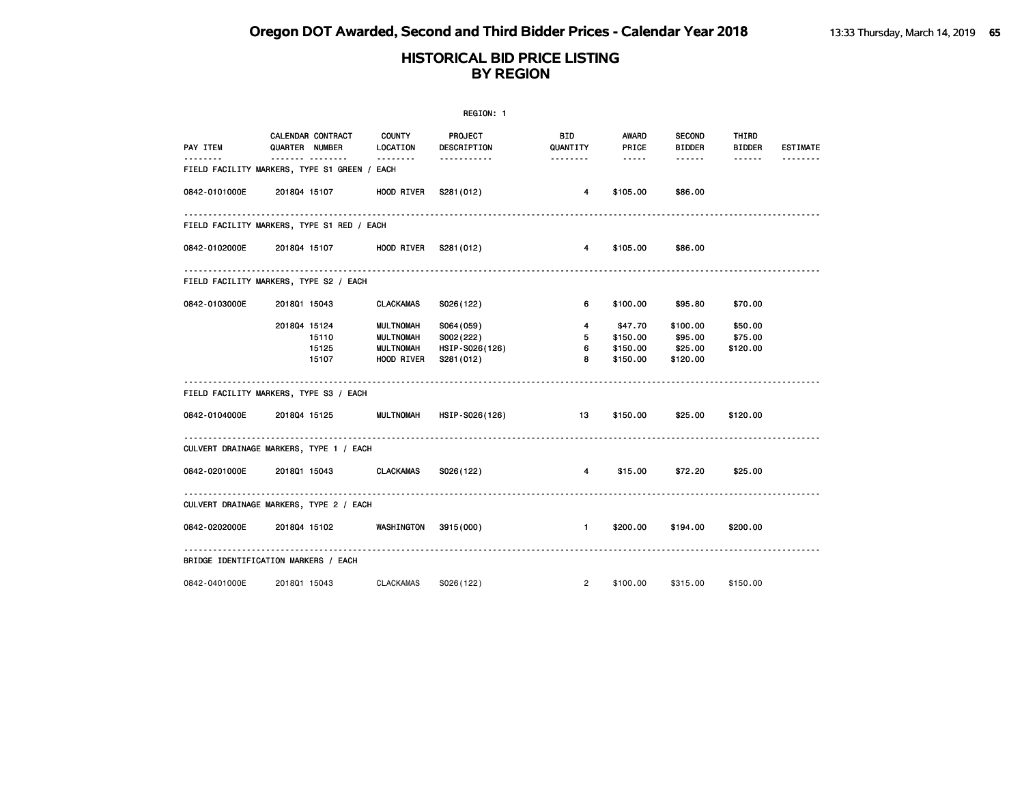|                                                   |              |                                         |                                                          | REGION: 1                                               |                        |                                             |                                            |                                |                 |
|---------------------------------------------------|--------------|-----------------------------------------|----------------------------------------------------------|---------------------------------------------------------|------------------------|---------------------------------------------|--------------------------------------------|--------------------------------|-----------------|
| PAY ITEM                                          |              | CALENDAR CONTRACT<br>QUARTER NUMBER     | <b>COUNTY</b><br>LOCATION                                | PROJECT<br>DESCRIPTION                                  | <b>BID</b><br>QUANTITY | AWARD<br>PRICE                              | <b>SECOND</b><br><b>BIDDER</b>             | THIRD<br>BIDDER                | <b>ESTIMATE</b> |
| .<br>FIELD FACILITY MARKERS, TYPE S1 GREEN / EACH |              | .                                       | <u> - - - - - - -</u>                                    | -----------                                             | --------               | $\cdots \cdots \cdots$                      | $- - - - - -$                              | $- - - - - -$                  | .               |
| 0842-0101000E 2018Q4 15107                        |              |                                         |                                                          | HOOD RIVER S281 (012)                                   | $\overline{4}$         | \$105.00                                    | \$86.00                                    |                                |                 |
| FIELD FACILITY MARKERS, TYPE S1 RED / EACH        |              |                                         |                                                          |                                                         |                        |                                             |                                            |                                |                 |
| 0842-0102000E                                     |              |                                         | 2018Q4 15107 HOOD RIVER S281 (012)                       |                                                         | $\overline{4}$         | \$105.00                                    | \$86.00                                    |                                |                 |
| FIELD FACILITY MARKERS, TYPE S2 / EACH            |              |                                         |                                                          |                                                         |                        |                                             |                                            |                                |                 |
| 0842-0103000E                                     | 201801 15043 |                                         | CLACKAMAS                                                | S026(122)                                               | 6                      | \$100.00                                    | \$95.80                                    | \$70.00                        |                 |
|                                                   |              | 201804 15124<br>15110<br>15125<br>15107 | MULTNOMAH<br>MULTNOMAH<br>MULTNOMAH<br><b>HOOD RIVER</b> | S064 (059)<br>S002(222)<br>HSIP-S026(126)<br>S281 (012) | 4<br>5<br>6<br>8       | \$47.70<br>\$150.00<br>\$150.00<br>\$150.00 | \$100.00<br>\$95.00<br>\$25.00<br>\$120.00 | \$50.00<br>\$75.00<br>\$120.00 |                 |
| FIELD FACILITY MARKERS, TYPE S3 / EACH            |              |                                         | .                                                        |                                                         |                        |                                             |                                            |                                |                 |
| 0842-0104000E 2018Q4 15125                        |              |                                         |                                                          | MULTNOMAH HSIP-S026(126) 13                             |                        | \$150.00                                    | \$25.00                                    | \$120.00                       |                 |
| CULVERT DRAINAGE MARKERS, TYPE 1 / EACH           |              |                                         |                                                          |                                                         |                        |                                             |                                            |                                |                 |
| 0842-0201000E                                     |              | 201801 15043                            | <b>CLACKAMAS</b>                                         | S026(122)                                               | $\overline{4}$         | \$15.00                                     | \$72.20                                    | \$25.00                        |                 |
| CULVERT DRAINAGE MARKERS, TYPE 2 / EACH           |              |                                         |                                                          |                                                         |                        |                                             |                                            |                                |                 |
| 0842-0202000E 2018Q4 15102                        |              |                                         | WASHINGTON 3915(000)                                     |                                                         | $1 -$                  | \$200.00                                    | \$194.00                                   | \$200.00                       |                 |
| BRIDGE IDENTIFICATION MARKERS / EACH              |              |                                         |                                                          |                                                         |                        |                                             |                                            |                                |                 |
| 0842-0401000E                                     |              | 201801 15043                            | CLACKAMAS                                                | S026(122)                                               | $\overline{2}$         | \$100.00                                    | \$315.00                                   | \$150.00                       |                 |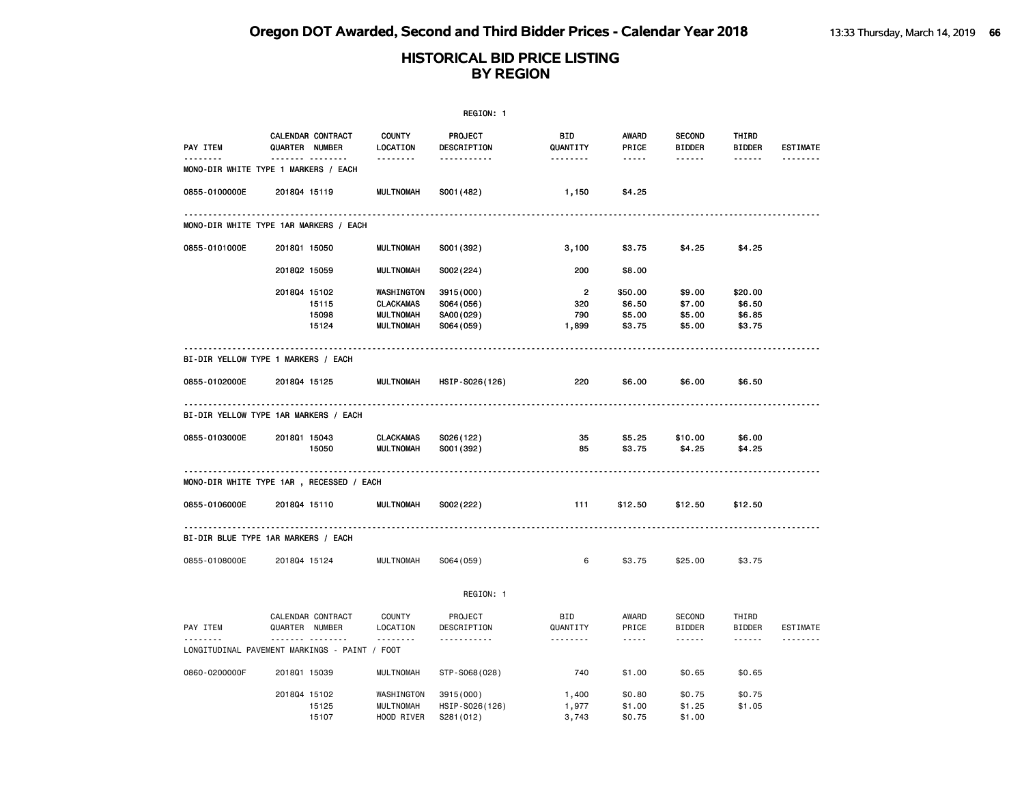|                                                         |              |                                     |                                                                        | REGION: 1                                           |                                       |                                       |                                      |                                       |                 |
|---------------------------------------------------------|--------------|-------------------------------------|------------------------------------------------------------------------|-----------------------------------------------------|---------------------------------------|---------------------------------------|--------------------------------------|---------------------------------------|-----------------|
| <b>PAY ITEM</b>                                         |              | CALENDAR CONTRACT<br>QUARTER NUMBER | <b>COUNTY</b><br>LOCATION                                              | PROJECT<br>DESCRIPTION                              | BID<br>QUANTITY                       | AWARD<br>PRICE                        | <b>SECOND</b><br><b>BIDDER</b>       | THIRD<br><b>BIDDER</b>                | <b>ESTIMATE</b> |
| <u>.</u><br><b>MONO-DIR WHITE TYPE 1 MARKERS / EACH</b> |              | .                                   | .                                                                      | <u>.</u>                                            | <u>.</u>                              | -----                                 | $- - - - - -$                        | .                                     | <u>.</u>        |
| 0855-0100000E                                           | 201804 15119 |                                     | <b>MULTNOMAH</b>                                                       | S001 (482)                                          | 1,150                                 | \$4.25                                |                                      |                                       |                 |
| <b>MONO-DIR WHITE TYPE 1AR MARKERS / EACH</b>           |              |                                     |                                                                        |                                                     |                                       |                                       |                                      |                                       |                 |
| 0855-0101000E                                           | 201801 15050 |                                     | <b>MULTNOMAH</b>                                                       | S001 (392)                                          | 3,100                                 | \$3.75                                | \$4.25                               | \$4.25                                |                 |
|                                                         | 201802 15059 |                                     | <b>MULTNOMAH</b>                                                       | S002(224)                                           | 200                                   | \$8.00                                |                                      |                                       |                 |
|                                                         | 201804 15102 | 15115<br>15098<br>15124             | WASHINGTON<br><b>CLACKAMAS</b><br><b>MULTNOMAH</b><br><b>MULTNOMAH</b> | 3915 (000)<br>S064 (056)<br>SA00(029)<br>S064 (059) | $\overline{2}$<br>320<br>790<br>1,899 | \$50.00<br>\$6.50<br>\$5.00<br>\$3.75 | \$9.00<br>\$7.00<br>\$5.00<br>\$5.00 | \$20.00<br>\$6.50<br>\$6.85<br>\$3.75 |                 |
| BI-DIR YELLOW TYPE 1 MARKERS / EACH                     |              |                                     |                                                                        |                                                     |                                       |                                       |                                      |                                       |                 |
| 0855-0102000E                                           | 201804 15125 |                                     | <b>MULTNOMAH</b>                                                       | HSIP-S026(126)                                      | 220                                   | \$6.00                                | \$6.00                               | \$6.50                                |                 |
| BI-DIR YELLOW TYPE 1AR MARKERS / EACH                   | .            |                                     |                                                                        |                                                     |                                       |                                       |                                      |                                       |                 |
| 0855-0103000E                                           | 201801 15043 | 15050                               | <b>CLACKAMAS</b><br><b>MULTNOMAH</b>                                   | S026(122)<br>S001 (392)                             | 35<br>85                              | \$5.25<br>\$3.75                      | \$10.00<br>\$4.25                    | \$6.00<br>\$4.25                      |                 |
| MONO-DIR WHITE TYPE 1AR , RECESSED / EACH               |              |                                     |                                                                        |                                                     |                                       |                                       |                                      |                                       |                 |
| 0855-0106000E                                           | 201804 15110 |                                     | <b>MULTNOMAH</b>                                                       | S002(222)                                           | 111                                   | \$12.50                               | \$12.50                              | \$12.50                               |                 |
| BI-DIR BLUE TYPE 1AR MARKERS / EACH                     |              |                                     |                                                                        |                                                     |                                       |                                       |                                      |                                       |                 |
| 0855-0108000E                                           | 201804 15124 |                                     | <b>MULTNOMAH</b>                                                       | S064 (059)                                          | 6                                     | \$3.75                                | \$25.00                              | \$3.75                                |                 |
|                                                         |              |                                     |                                                                        | REGION: 1                                           |                                       |                                       |                                      |                                       |                 |
| PAY ITEM                                                |              | CALENDAR CONTRACT<br>QUARTER NUMBER | COUNTY<br>LOCATION                                                     | PROJECT<br>DESCRIPTION                              | <b>BID</b><br>QUANTITY                | AWARD<br>PRICE                        | SECOND<br><b>BIDDER</b>              | THIRD<br><b>BIDDER</b>                | ESTIMATE        |
| LONGITUDINAL PAVEMENT MARKINGS - PAINT / FOOT           |              | . <sub>.</sub>                      | .                                                                      | <u>.</u>                                            | .                                     | .                                     | ------                               | ------                                | .               |
| 0860-0200000F                                           | 201801 15039 |                                     | <b>MULTNOMAH</b>                                                       | STP-S068(028)                                       | 740                                   | \$1.00                                | \$0.65                               | \$0.65                                |                 |
|                                                         | 201804 15102 | 15125<br>15107                      | WASHINGTON<br><b>MULTNOMAH</b><br>HOOD RIVER                           | 3915 (000)<br>HSIP-S026(126)<br>S281(012)           | 1,400<br>1,977<br>3,743               | \$0.80<br>\$1.00<br>\$0.75            | \$0.75<br>\$1.25<br>\$1.00           | \$0.75<br>\$1.05                      |                 |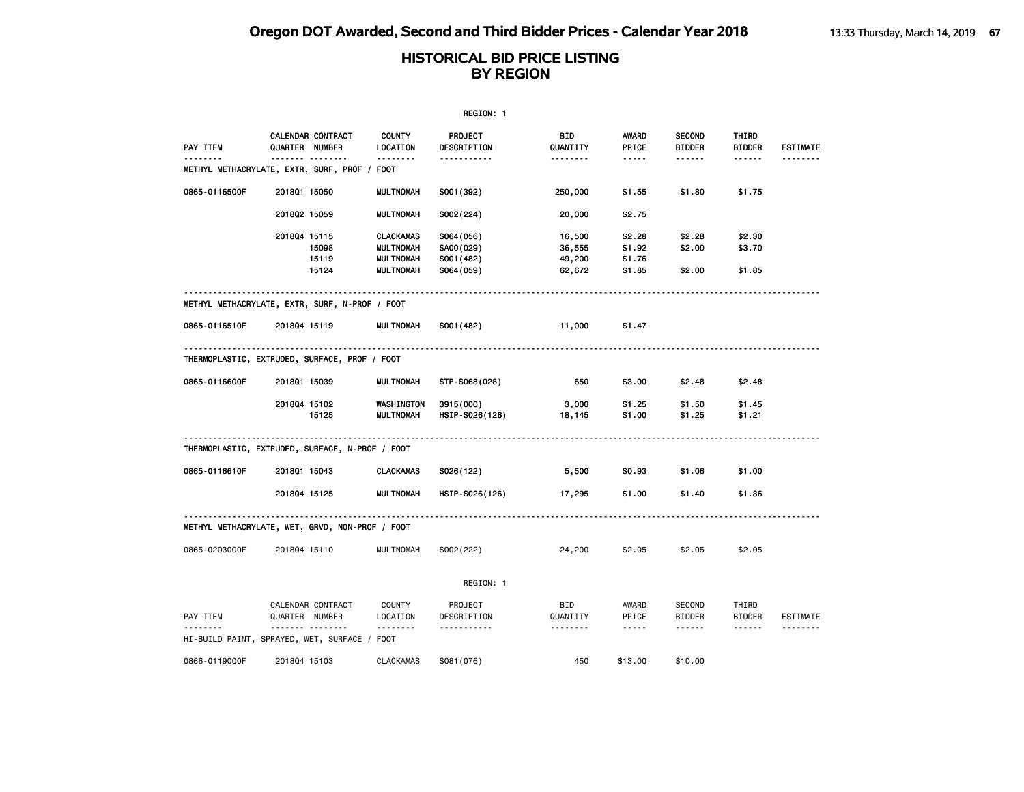|               |                                                   |                                | REGION: 1                    |                 |                                                                                                               |                                |                                      |                 |
|---------------|---------------------------------------------------|--------------------------------|------------------------------|-----------------|---------------------------------------------------------------------------------------------------------------|--------------------------------|--------------------------------------|-----------------|
| PAY ITEM      | <b>CALENDAR CONTRACT</b><br>QUARTER NUMBER        | <b>COUNTY</b><br>LOCATION      | PROJECT<br>DESCRIPTION       | BID<br>QUANTITY | AWARD<br>PRICE                                                                                                | <b>SECOND</b><br><b>BIDDER</b> | THIRD<br><b>BIDDER</b>               | <b>ESTIMATE</b> |
| -------       | .<br>METHYL METHACRYLATE, EXTR, SURF, PROF / FOOT | .                              | -----------                  | <u>.</u>        | $\frac{1}{2} \frac{1}{2} \frac{1}{2} \frac{1}{2} \frac{1}{2} \frac{1}{2} \frac{1}{2} \frac{1}{2} \frac{1}{2}$ | ------                         | ------                               | --------        |
| 0865-0116500F | 201801 15050                                      | <b>MULTNOMAH</b>               | S001 (392)                   | 250,000         | \$1.55                                                                                                        | \$1.80                         | \$1.75                               |                 |
|               | 201802 15059                                      | <b>MULTNOMAH</b>               | S002(224)                    | 20,000          | \$2.75                                                                                                        |                                |                                      |                 |
|               | 201804 15115                                      | <b>CLACKAMAS</b>               | S064 (056)                   | 16,500          | \$2.28                                                                                                        | \$2.28                         | \$2.30                               |                 |
|               | 15098                                             | <b>MULTNOMAH</b>               | SA00(029)                    | 36,555          | \$1.92                                                                                                        | \$2.00                         | \$3.70                               |                 |
|               | 15119                                             | <b>MULTNOMAH</b>               | S001 (482)                   | 49,200          | \$1.76                                                                                                        |                                |                                      |                 |
|               | 15124                                             | <b>MULTNOMAH</b>               | S064 (059)                   | 62,672          | \$1.85                                                                                                        | \$2.00                         | \$1.85                               |                 |
|               | METHYL METHACRYLATE, EXTR, SURF, N-PROF / FOOT    |                                |                              |                 |                                                                                                               |                                |                                      |                 |
| 0865-0116510F | 201804 15119                                      | <b>MULTNOMAH</b>               | S001 (482)                   | 11,000          | \$1.47                                                                                                        |                                |                                      |                 |
|               | THERMOPLASTIC, EXTRUDED, SURFACE, PROF / FOOT     |                                |                              |                 |                                                                                                               |                                |                                      |                 |
| 0865-0116600F | 201801 15039                                      | <b>MULTNOMAH</b>               | STP-S068(028)                | 650             | \$3.00                                                                                                        | \$2.48                         | \$2.48                               |                 |
|               | 201804 15102<br>15125                             | WASHINGTON<br><b>MULTNOMAH</b> | 3915 (000)<br>HSIP-S026(126) | 3,000<br>18,145 | \$1.25<br>\$1.00                                                                                              | \$1.50<br>\$1.25               | \$1.45<br>\$1.21                     |                 |
|               | THERMOPLASTIC, EXTRUDED, SURFACE, N-PROF / FOOT   |                                |                              |                 |                                                                                                               |                                |                                      |                 |
| 0865-0116610F | 201801 15043                                      | <b>CLACKAMAS</b>               | S026(122)                    | 5,500           | \$0.93                                                                                                        | \$1.06                         | \$1.00                               |                 |
|               | 201804 15125                                      | <b>MULTNOMAH</b>               | HSIP-S026(126)               | 17,295          | \$1.00                                                                                                        | \$1.40                         | \$1.36                               |                 |
|               | METHYL METHACRYLATE, WET, GRVD, NON-PROF / FOOT   |                                |                              |                 |                                                                                                               |                                |                                      |                 |
| 0865-0203000F | 201804 15110                                      | <b>MULTNOMAH</b>               | S002(222)                    | 24,200          | \$2.05                                                                                                        | \$2.05                         | \$2.05                               |                 |
|               |                                                   |                                | REGION: 1                    |                 |                                                                                                               |                                |                                      |                 |
| PAY ITEM      | CALENDAR CONTRACT<br>QUARTER NUMBER               | <b>COUNTY</b><br>LOCATION      | PROJECT<br>DESCRIPTION       | BID<br>QUANTITY | AWARD<br>PRICE                                                                                                | <b>SECOND</b><br><b>BIDDER</b> | THIRD<br><b>BIDDER</b>               | ESTIMATE        |
|               | .<br>HI-BUILD PAINT, SPRAYED, WET, SURFACE / FOOT | .                              | .                            | .               | $\frac{1}{2}$                                                                                                 |                                | $\omega$ is a second set of $\omega$ | .               |
| 0866-0119000F | 201804 15103                                      | <b>CLACKAMAS</b>               | S081 (076)                   | 450             | \$13.00                                                                                                       | \$10.00                        |                                      |                 |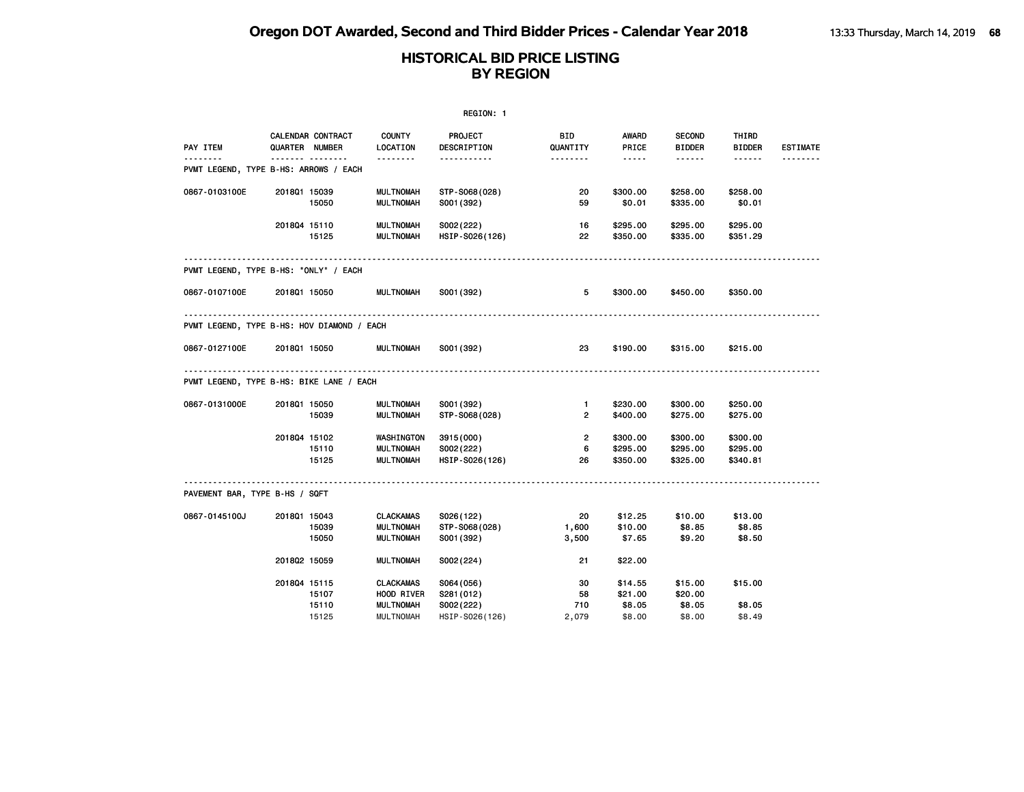|                                                 |              |                                            |                           | REGION: 1              |                 |                |                                |                        |                 |
|-------------------------------------------------|--------------|--------------------------------------------|---------------------------|------------------------|-----------------|----------------|--------------------------------|------------------------|-----------------|
| PAY ITEM                                        |              | CALENDAR CONTRACT<br><b>QUARTER NUMBER</b> | <b>COUNTY</b><br>LOCATION | PROJECT<br>DESCRIPTION | BID<br>QUANTITY | AWARD<br>PRICE | <b>SECOND</b><br><b>BIDDER</b> | THIRD<br><b>BIDDER</b> | <b>ESTIMATE</b> |
| ------<br>PVMT LEGEND, TYPE B-HS: ARROWS / EACH |              | .                                          | .                         | .                      | --------        | $- - - - -$    | ------                         | ------                 |                 |
| 0867-0103100E                                   | 201801 15039 |                                            | <b>MULTNOMAH</b>          | STP-S068(028)          | 20              | \$300.00       | \$258.00                       | \$258.00               |                 |
|                                                 |              | 15050                                      | <b>MULTNOMAH</b>          | S001 (392)             | 59              | \$0.01         | \$335.00                       | \$0.01                 |                 |
|                                                 | 201804 15110 |                                            | <b>MULTNOMAH</b>          | S002(222)              | 16              | \$295.00       | \$295.00                       | \$295.00               |                 |
|                                                 |              | 15125                                      | <b>MULTNOMAH</b>          | HSIP-S026(126)         | 22              | \$350.00       | \$335.00                       | \$351.29               |                 |
| PVMT LEGEND, TYPE B-HS: "ONLY" / EACH           |              |                                            |                           |                        |                 |                |                                |                        |                 |
| 0867-0107100E                                   | 201801 15050 |                                            | <b>MULTNOMAH</b>          | S001 (392)             | 5               | \$300.00       | \$450.00                       | \$350.00               |                 |
| PVMT LEGEND, TYPE B-HS: HOV DIAMOND / EACH      |              |                                            |                           |                        |                 |                |                                |                        |                 |
| 0867-0127100E                                   | 201801 15050 |                                            | <b>MULTNOMAH</b>          | S001 (392)             | 23              | \$190.00       | \$315.00                       | \$215.00               |                 |
| PVMT LEGEND, TYPE B-HS: BIKE LANE / EACH        |              |                                            |                           |                        |                 |                |                                |                        |                 |
| 0867-0131000E                                   | 201801 15050 |                                            | MULTNOMAH                 | S001 (392)             | $\mathbf{1}$    | \$230.00       | \$300.00                       | \$250.00               |                 |
|                                                 |              | 15039                                      | <b>MULTNOMAH</b>          | STP-S068(028)          | $\overline{2}$  | \$400.00       | \$275.00                       | \$275.00               |                 |
|                                                 | 201804 15102 |                                            | WASHINGTON                | 3915(000)              | $\overline{2}$  | \$300.00       | \$300.00                       | \$300.00               |                 |
|                                                 |              | 15110                                      | <b>MULTNOMAH</b>          | S002(222)              | 6               | \$295.00       | \$295.00                       | \$295.00               |                 |
|                                                 |              | 15125                                      | <b>MULTNOMAH</b>          | HSIP-S026(126)         | 26              | \$350.00       | \$325.00                       | \$340.81               |                 |
| PAVEMENT BAR, TYPE B-HS / SQFT                  |              |                                            |                           |                        |                 |                |                                |                        |                 |
| 0867-0145100J                                   | 201801 15043 |                                            | <b>CLACKAMAS</b>          | S026(122)              | 20              | \$12.25        | \$10.00                        | \$13.00                |                 |
|                                                 |              | 15039                                      | <b>MULTNOMAH</b>          | STP-S068(028)          | 1,600           | \$10.00        | \$8.85                         | \$8.85                 |                 |
|                                                 |              | 15050                                      | <b>MULTNOMAH</b>          | S001 (392)             | 3,500           | \$7.65         | \$9.20                         | \$8.50                 |                 |
|                                                 | 201802 15059 |                                            | <b>MULTNOMAH</b>          | S002(224)              | 21              | \$22.00        |                                |                        |                 |
|                                                 | 201804 15115 |                                            | <b>CLACKAMAS</b>          | S064 (056)             | 30              | \$14.55        | \$15.00                        | \$15.00                |                 |
|                                                 |              | 15107                                      | HOOD RIVER                | S281 (012)             | 58              | \$21.00        | \$20.00                        |                        |                 |
|                                                 |              | 15110                                      | <b>MULTNOMAH</b>          | S002(222)              | 710             | \$8.05         | \$8.05                         | \$8.05                 |                 |
|                                                 |              | 15125                                      | <b>MULTNOMAH</b>          | HSIP-S026(126)         | 2,079           | \$8.00         | \$8.00                         | \$8.49                 |                 |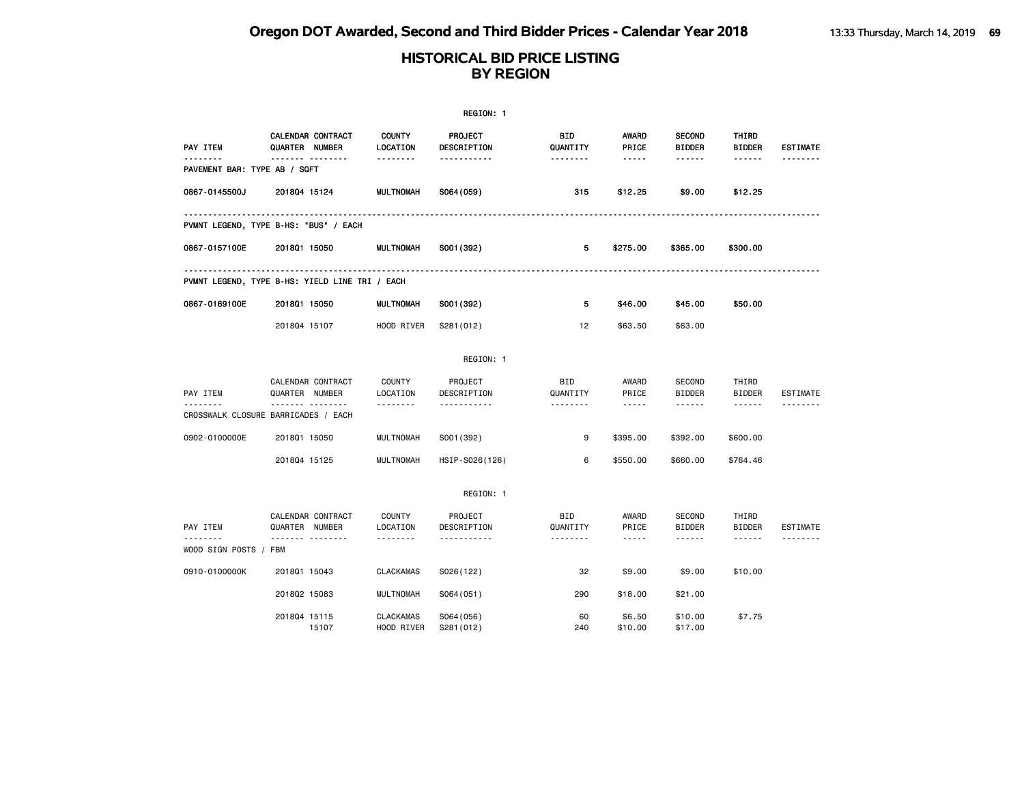|                                          |                                                |                                | REGION: 1                |                 |                       |                                |                        |                 |
|------------------------------------------|------------------------------------------------|--------------------------------|--------------------------|-----------------|-----------------------|--------------------------------|------------------------|-----------------|
| PAY ITEM                                 | CALENDAR CONTRACT<br>QUARTER NUMBER            | <b>COUNTY</b><br>LOCATION      | PROJECT<br>DESCRIPTION   | BID<br>QUANTITY | <b>AWARD</b><br>PRICE | <b>SECOND</b><br><b>BIDDER</b> | THIRD<br><b>BIDDER</b> | <b>ESTIMATE</b> |
| --------<br>PAVEMENT BAR: TYPE AB / SQFT | <u> </u>                                       | <u>.</u>                       | -----------              | <u>.</u>        | $- - - - -$           | ------                         | ------                 | <u>.</u>        |
| 0867-0145500J                            | 201804 15124                                   | <b>MULTNOMAH</b>               | S064 (059)               | 315             | \$12.25               | \$9.00                         | \$12.25                |                 |
|                                          | PVMNT LEGEND, TYPE B-HS: "BUS" / EACH          |                                |                          |                 |                       |                                |                        |                 |
| 0867-0157100E                            | 201801 15050                                   | <b>MULTNOMAH</b>               | S001 (392)               | 5.              | \$275.00              | \$365.00                       | \$300.00               |                 |
|                                          | PVMNT LEGEND, TYPE B-HS: YIELD LINE TRI / EACH |                                |                          |                 |                       |                                |                        |                 |
| 0867-0169100E                            | 201801 15050                                   | <b>MULTNOMAH</b>               | S001 (392)               | 5               | \$46.00               | \$45.00                        | \$50.00                |                 |
|                                          | 201804 15107                                   | HOOD RIVER                     | S281 (012)               | 12              | \$63.50               | \$63.00                        |                        |                 |
|                                          |                                                |                                | REGION: 1                |                 |                       |                                |                        |                 |
| PAY ITEM                                 | CALENDAR CONTRACT<br>QUARTER NUMBER            | <b>COUNTY</b><br>LOCATION      | PROJECT<br>DESCRIPTION   | BID<br>QUANTITY | AWARD<br>PRICE        | <b>SECOND</b><br><b>BIDDER</b> | THIRD<br><b>BIDDER</b> | <b>ESTIMATE</b> |
| .                                        | <br>CROSSWALK CLOSURE BARRICADES / EACH        | <u>.</u>                       | <u>.</u>                 | .               | $- - - - -$           | ------                         | ------                 | <u>.</u>        |
| 0902-0100000E                            | 201801 15050                                   | <b>MULTNOMAH</b>               | S001 (392)               | 9               | \$395.00              | \$392.00                       | \$600.00               |                 |
|                                          | 201804 15125                                   | <b>MULTNOMAH</b>               | HSIP-S026(126)           | 6               | \$550.00              | \$660.00                       | \$764.46               |                 |
|                                          |                                                |                                | REGION: 1                |                 |                       |                                |                        |                 |
| PAY ITEM                                 | CALENDAR CONTRACT<br>QUARTER NUMBER            | <b>COUNTY</b><br>LOCATION      | PROJECT<br>DESCRIPTION   | BID<br>QUANTITY | AWARD<br>PRICE        | <b>SECOND</b><br><b>BIDDER</b> | THIRD<br><b>BIDDER</b> | <b>ESTIMATE</b> |
| .<br>WOOD SIGN POSTS / FBM               | <b>.</b>                                       | .                              | .                        | .               | $- - - - -$           | ------                         | ------                 | .               |
| 0910-0100000K                            | 201801 15043                                   | <b>CLACKAMAS</b>               | S026(122)                | 32              | \$9.00                | \$9.00                         | \$10.00                |                 |
|                                          | 2018Q2 15083                                   | <b>MULTNOMAH</b>               | S064(051)                | 290             | \$18.00               | \$21.00                        |                        |                 |
|                                          | 201804 15115<br>15107                          | <b>CLACKAMAS</b><br>HOOD RIVER | S064 (056)<br>S281 (012) | 60<br>240       | \$6.50<br>\$10.00     | \$10.00<br>\$17.00             | \$7.75                 |                 |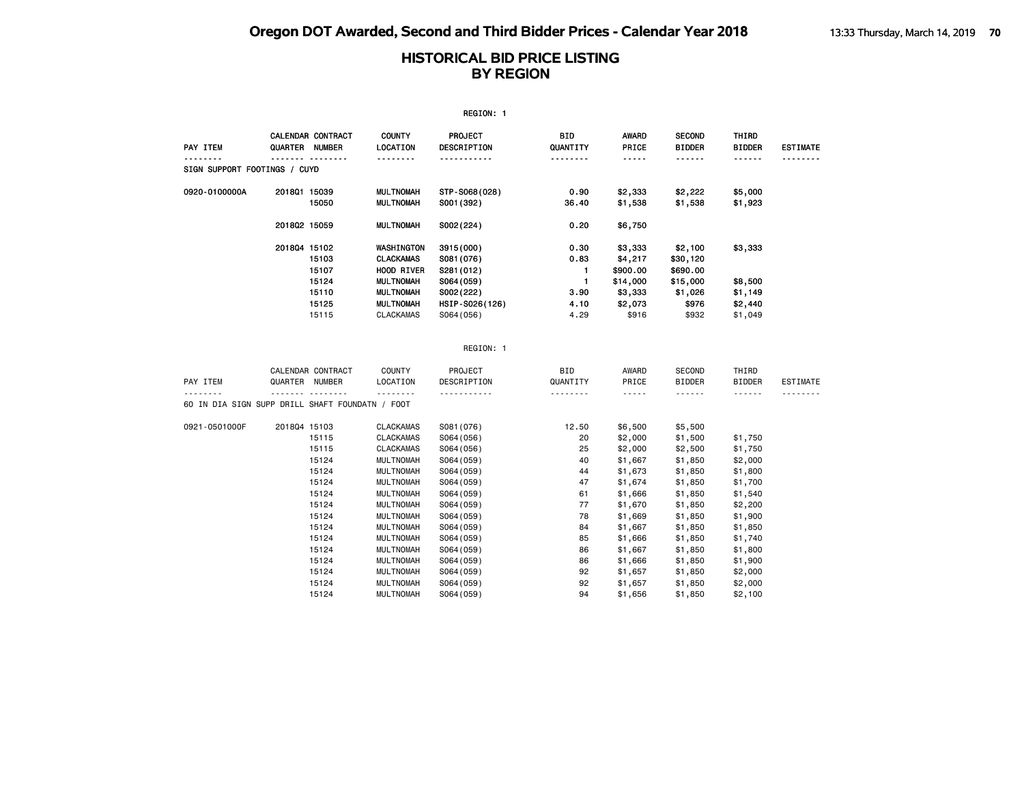|                                                             |                       |                   |                           | REGION: 1                            |                 |                                                                                                                                                      |                                |                        |                 |
|-------------------------------------------------------------|-----------------------|-------------------|---------------------------|--------------------------------------|-----------------|------------------------------------------------------------------------------------------------------------------------------------------------------|--------------------------------|------------------------|-----------------|
| <b>PAY ITEM</b>                                             | <b>QUARTER NUMBER</b> | CALENDAR CONTRACT | <b>COUNTY</b><br>LOCATION | <b>PROJECT</b><br><b>DESCRIPTION</b> | BID<br>QUANTITY | AWARD<br>PRICE                                                                                                                                       | <b>SECOND</b><br><b>BIDDER</b> | THIRD<br><b>BIDDER</b> | <b>ESTIMATE</b> |
| SIGN SUPPORT FOOTINGS / CUYD                                |                       | <u>--------</u>   | <u>.</u>                  | <u>.</u>                             |                 | $- - - - -$                                                                                                                                          | ------                         | ------                 | --------        |
| 0920-0100000A                                               | 201801 15039          |                   | <b>MULTNOMAH</b>          | STP-S068(028)                        | 0.90            | \$2,333                                                                                                                                              | \$2,222                        | \$5,000                |                 |
|                                                             |                       | 15050             | MULTNOMAH                 | S001 (392)                           | 36.40           | \$1,538                                                                                                                                              | \$1,538                        | \$1,923                |                 |
|                                                             | 201802 15059          |                   | <b>MULTNOMAH</b>          | S002(224)                            | 0.20            | \$6,750                                                                                                                                              |                                |                        |                 |
|                                                             | 201804 15102          |                   | WASHINGTON                | 3915(000)                            | 0.30            | \$3,333                                                                                                                                              | \$2,100                        | \$3,333                |                 |
|                                                             |                       | 15103             | <b>CLACKAMAS</b>          | S081 (076)                           | 0.83            | \$4,217                                                                                                                                              | \$30,120                       |                        |                 |
|                                                             |                       | 15107             | HOOD RIVER                | S281 (012)                           | $\mathbf{1}$    | \$900.00                                                                                                                                             | \$690.00                       |                        |                 |
|                                                             |                       | 15124             | <b>MULTNOMAH</b>          | S064 (059)                           | $\mathbf{1}$    | \$14,000                                                                                                                                             | \$15,000                       | \$8,500                |                 |
|                                                             |                       | 15110             | MULTNOMAH                 | S002(222)                            | 3.90            | \$3,333                                                                                                                                              | \$1,026                        | \$1,149                |                 |
|                                                             |                       | 15125             | <b>MULTNOMAH</b>          | HSIP-S026(126)                       | 4.10            | \$2,073                                                                                                                                              | \$976                          | \$2,440                |                 |
|                                                             |                       | 15115             | <b>CLACKAMAS</b>          | S064 (056)                           | 4.29            | \$916                                                                                                                                                | \$932                          | \$1,049                |                 |
|                                                             |                       |                   |                           | REGION: 1                            |                 |                                                                                                                                                      |                                |                        |                 |
|                                                             |                       | CALENDAR CONTRACT | COUNTY                    | PROJECT                              | BID             | AWARD                                                                                                                                                | <b>SECOND</b>                  | THIRD                  |                 |
| PAY ITEM                                                    | QUARTER NUMBER        |                   | LOCATION                  | DESCRIPTION                          | QUANTITY        | PRICE                                                                                                                                                | <b>BIDDER</b>                  | <b>BIDDER</b>          | ESTIMATE        |
| <u>.</u><br>60 IN DIA SIGN SUPP DRILL SHAFT FOUNDATN / FOOT |                       | .                 | .                         | .                                    | <u>.</u>        | $\frac{1}{2} \left( \frac{1}{2} \right) \left( \frac{1}{2} \right) \left( \frac{1}{2} \right) \left( \frac{1}{2} \right) \left( \frac{1}{2} \right)$ | ------                         | .                      | <u>.</u>        |
| 0921-0501000F                                               | 201804 15103          |                   | <b>CLACKAMAS</b>          | S081 (076)                           | 12.50           | \$6,500                                                                                                                                              | \$5,500                        |                        |                 |
|                                                             |                       | 15115             | <b>CLACKAMAS</b>          | S064 (056)                           | 20              | \$2,000                                                                                                                                              | \$1,500                        | \$1,750                |                 |
|                                                             |                       | 15115             | <b>CLACKAMAS</b>          | S064 (056)                           | 25              | \$2,000                                                                                                                                              | \$2,500                        | \$1,750                |                 |
|                                                             |                       | 15124             | <b>MULTNOMAH</b>          | S064 (059)                           | 40              | \$1,667                                                                                                                                              | \$1,850                        | \$2,000                |                 |
|                                                             |                       | 15124             | <b>MULTNOMAH</b>          | S064 (059)                           | 44              | \$1,673                                                                                                                                              | \$1,850                        | \$1,800                |                 |
|                                                             |                       | 15124             | <b>MULTNOMAH</b>          | S064 (059)                           | 47              | \$1,674                                                                                                                                              | \$1,850                        | \$1,700                |                 |
|                                                             |                       | 15124             | <b>MULTNOMAH</b>          | S064 (059)                           | 61              | \$1,666                                                                                                                                              | \$1,850                        | \$1,540                |                 |
|                                                             |                       | 15124             | <b>MULTNOMAH</b>          | S064 (059)                           | 77              | \$1,670                                                                                                                                              | \$1,850                        | \$2,200                |                 |
|                                                             |                       | 15124             | <b>MULTNOMAH</b>          | S064 (059)                           | 78              | \$1,669                                                                                                                                              | \$1,850                        | \$1,900                |                 |
|                                                             |                       | 15124             | <b>MULTNOMAH</b>          | S064 (059)                           | 84              | \$1,667                                                                                                                                              | \$1,850                        | \$1,850                |                 |
|                                                             |                       | 15124             | <b>MULTNOMAH</b>          | S064 (059)                           | 85              | \$1,666                                                                                                                                              | \$1,850                        | \$1,740                |                 |
|                                                             |                       | 15124             | <b>MULTNOMAH</b>          | S064 (059)                           | 86              | \$1,667                                                                                                                                              | \$1,850                        | \$1,800                |                 |
|                                                             |                       | 15124             | <b>MULTNOMAH</b>          | S064 (059)                           | 86              | \$1,666                                                                                                                                              | \$1,850                        | \$1,900                |                 |
|                                                             |                       | 15124             | <b>MULTNOMAH</b>          | S064 (059)                           | 92              | \$1,657                                                                                                                                              | \$1,850                        | \$2,000                |                 |
|                                                             |                       | 15124             | <b>MULTNOMAH</b>          | S064 (059)                           | 92              | \$1,657                                                                                                                                              | \$1,850                        | \$2,000                |                 |
|                                                             |                       | 15124             | MULTNOMAH                 | S064 (059)                           | 94              | \$1,656                                                                                                                                              | \$1,850                        | \$2,100                |                 |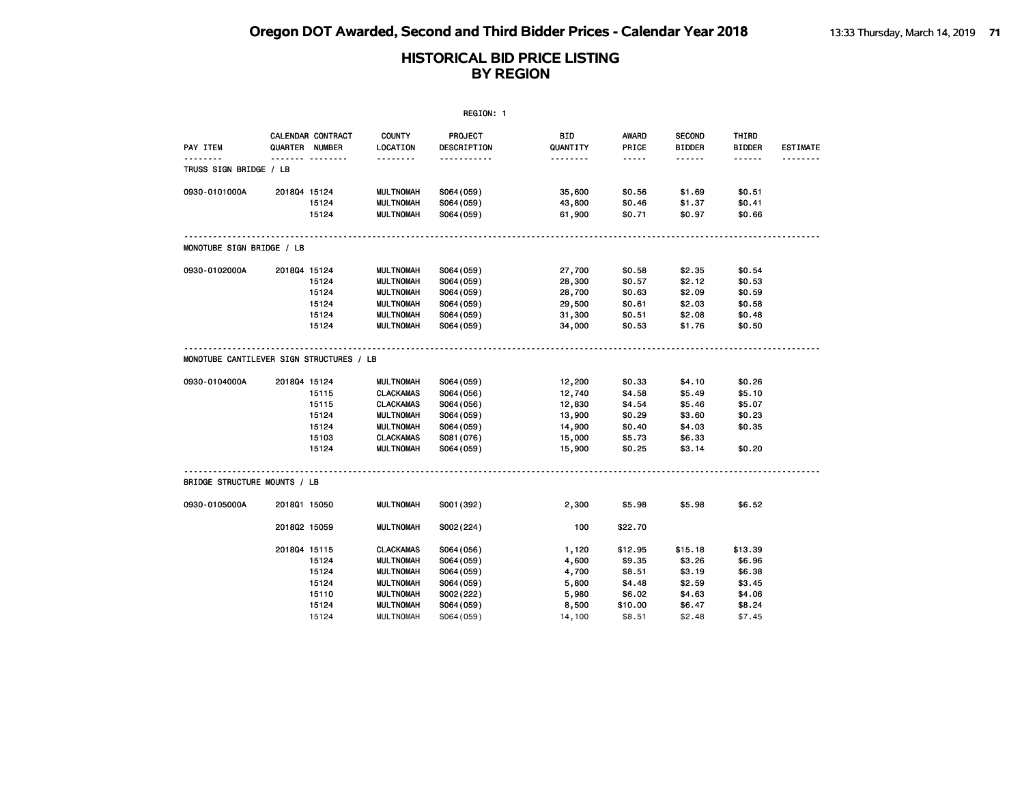| REGION: 1                                |              |                                     |                           |                        |                        |                       |                                |                        |                 |
|------------------------------------------|--------------|-------------------------------------|---------------------------|------------------------|------------------------|-----------------------|--------------------------------|------------------------|-----------------|
| PAY ITEM                                 |              | CALENDAR CONTRACT<br>QUARTER NUMBER | <b>COUNTY</b><br>LOCATION | PROJECT<br>DESCRIPTION | <b>BID</b><br>QUANTITY | <b>AWARD</b><br>PRICE | <b>SECOND</b><br><b>BIDDER</b> | THIRD<br><b>BIDDER</b> | <b>ESTIMATE</b> |
| TRUSS SIGN BRIDGE / LB                   |              |                                     | .                         | .                      | <u>.</u>               | -----                 | .                              | .                      |                 |
| 0930-0101000A                            | 201804 15124 |                                     | <b>MULTNOMAH</b>          | S064 (059)             | 35,600                 | \$0.56                | \$1.69                         | \$0.51                 |                 |
|                                          |              | 15124                               | <b>MULTNOMAH</b>          | S064 (059)             | 43,800                 | \$0.46                | \$1.37                         | \$0.41                 |                 |
|                                          |              | 15124                               | <b>MULTNOMAH</b>          | S064 (059)             | 61,900                 | \$0.71                | \$0.97                         | \$0.66                 |                 |
| MONOTUBE SIGN BRIDGE / LB                |              |                                     |                           |                        |                        |                       |                                |                        |                 |
| 0930-0102000A                            | 201804 15124 |                                     | <b>MULTNOMAH</b>          | S064(059)              | 27,700                 | \$0.58                | \$2.35                         | \$0.54                 |                 |
|                                          |              | 15124                               | <b>MULTNOMAH</b>          | S064 (059)             | 28,300                 | \$0.57                | \$2.12                         | \$0.53                 |                 |
|                                          |              | 15124                               | <b>MULTNOMAH</b>          | S064 (059)             | 28,700                 | \$0.63                | \$2.09                         | \$0.59                 |                 |
|                                          |              | 15124                               | <b>MULTNOMAH</b>          | S064 (059)             | 29,500                 | \$0.61                | \$2.03                         | \$0.58                 |                 |
|                                          |              | 15124                               | <b>MULTNOMAH</b>          | S064 (059)             | 31,300                 | \$0.51                | \$2.08                         | \$0.48                 |                 |
|                                          |              | 15124                               | <b>MULTNOMAH</b>          | S064 (059)             | 34,000                 | \$0.53                | \$1.76                         | \$0.50                 |                 |
| MONOTUBE CANTILEVER SIGN STRUCTURES / LB |              |                                     |                           |                        |                        |                       |                                |                        |                 |
| 0930-0104000A                            | 201804 15124 |                                     | <b>MULTNOMAH</b>          | S064 (059)             | 12,200                 | \$0.33                | \$4.10                         | \$0.26                 |                 |
|                                          |              | 15115                               | <b>CLACKAMAS</b>          | S064 (056)             | 12,740                 | \$4.58                | \$5.49                         | \$5.10                 |                 |
|                                          |              | 15115                               | <b>CLACKAMAS</b>          | S064 (056)             | 12,830                 | \$4.54                | \$5.46                         | \$5.07                 |                 |
|                                          |              | 15124                               | <b>MULTNOMAH</b>          | S064 (059)             | 13,900                 | \$0.29                | \$3.60                         | \$0.23                 |                 |
|                                          |              | 15124                               | <b>MULTNOMAH</b>          | S064 (059)             | 14,900                 | \$0.40                | \$4.03                         | \$0.35                 |                 |
|                                          |              | 15103                               | <b>CLACKAMAS</b>          | S081 (076)             | 15,000                 | \$5.73                | \$6.33                         |                        |                 |
|                                          |              | 15124                               | <b>MULTNOMAH</b>          | S064 (059)             | 15,900                 | \$0.25                | \$3.14                         | \$0.20                 |                 |
| BRIDGE STRUCTURE MOUNTS / LB             |              |                                     |                           |                        |                        |                       |                                |                        |                 |
| 0930-0105000A                            | 201801 15050 |                                     | <b>MULTNOMAH</b>          | S001 (392)             | 2,300                  | \$5.98                | \$5.98                         | \$6.52                 |                 |
|                                          | 201802 15059 |                                     | <b>MULTNOMAH</b>          | S002(224)              | 100                    | \$22.70               |                                |                        |                 |
|                                          | 201804 15115 |                                     | <b>CLACKAMAS</b>          | S064(056)              | 1,120                  | \$12.95               | \$15.18                        | \$13.39                |                 |
|                                          |              | 15124                               | <b>MULTNOMAH</b>          | S064 (059)             | 4,600                  | \$9.35                | \$3.26                         | \$6.96                 |                 |
|                                          |              | 15124                               | <b>MULTNOMAH</b>          | S064 (059)             | 4,700                  | \$8.51                | \$3.19                         | \$6.38                 |                 |
|                                          |              | 15124                               | <b>MULTNOMAH</b>          | S064 (059)             | 5,800                  | \$4.48                | \$2.59                         | \$3.45                 |                 |
|                                          |              | 15110                               | <b>MULTNOMAH</b>          | S002(222)              | 5,980                  | \$6.02                | \$4.63                         | \$4.06                 |                 |
|                                          |              | 15124                               | <b>MULTNOMAH</b>          | S064 (059)             | 8,500                  | \$10.00               | \$6.47                         | \$8.24                 |                 |
|                                          |              | 15124                               | <b>MULTNOMAH</b>          | S064 (059)             | 14,100                 | \$8.51                | \$2.48                         | \$7.45                 |                 |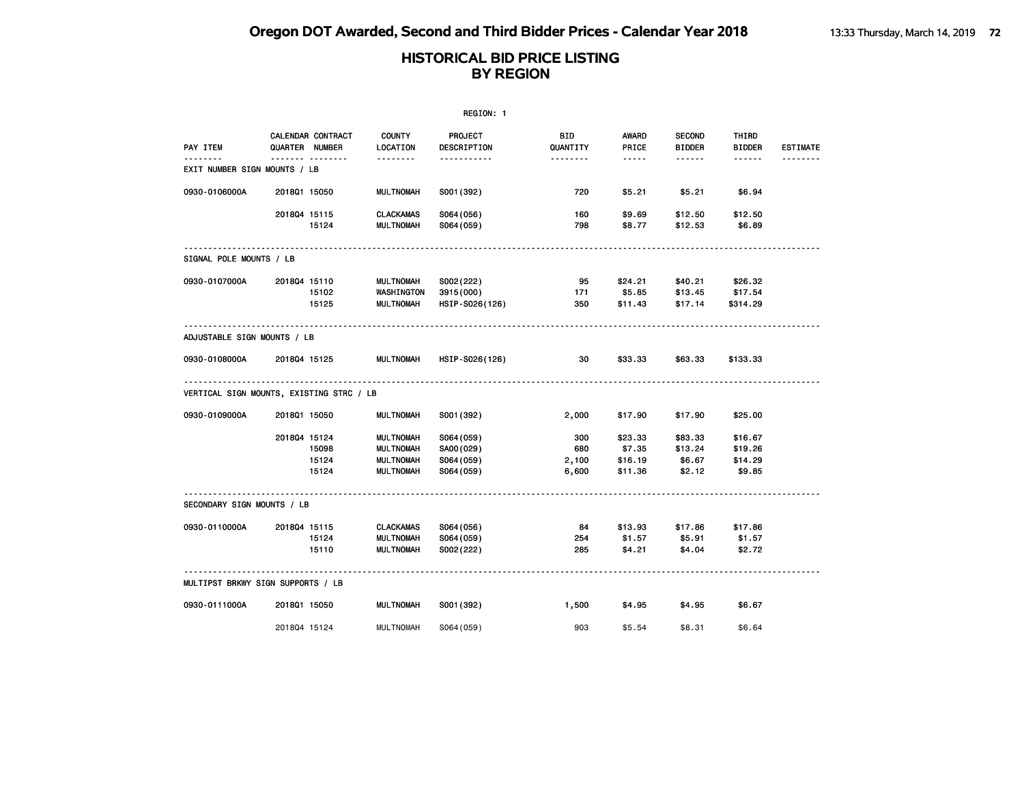|                                          |              |                                     |                                                                       | REGION: 1                                           |                              |                                                                                                               |                                        |                                         |                 |
|------------------------------------------|--------------|-------------------------------------|-----------------------------------------------------------------------|-----------------------------------------------------|------------------------------|---------------------------------------------------------------------------------------------------------------|----------------------------------------|-----------------------------------------|-----------------|
| PAY ITEM                                 |              | CALENDAR CONTRACT<br>QUARTER NUMBER | <b>COUNTY</b><br>LOCATION                                             | <b>PROJECT</b><br>DESCRIPTION                       | <b>BID</b><br>QUANTITY       | <b>AWARD</b><br>PRICE                                                                                         | <b>SECOND</b><br><b>BIDDER</b>         | THIRD<br><b>BIDDER</b>                  | <b>ESTIMATE</b> |
| EXIT NUMBER SIGN MOUNTS / LB             |              | <u> </u>                            | <u>.</u>                                                              | <u>.</u>                                            | <u> - - - - - - -</u>        | $\frac{1}{2} \frac{1}{2} \frac{1}{2} \frac{1}{2} \frac{1}{2} \frac{1}{2} \frac{1}{2} \frac{1}{2} \frac{1}{2}$ | .                                      | ------                                  | .               |
| 0930-0106000A                            | 201801 15050 |                                     | <b>MULTNOMAH</b>                                                      | S001 (392)                                          | 720                          | \$5.21                                                                                                        | \$5.21                                 | \$6.94                                  |                 |
|                                          | 201804 15115 | 15124                               | <b>CLACKAMAS</b><br><b>MULTNOMAH</b>                                  | S064 (056)<br>S064 (059)                            | 160<br>798                   | \$9.69<br>\$8.77                                                                                              | \$12.50<br>\$12.53                     | \$12.50<br>\$6.89                       |                 |
| SIGNAL POLE MOUNTS / LB                  |              |                                     |                                                                       |                                                     |                              |                                                                                                               |                                        |                                         |                 |
| 0930-0107000A                            | 201804 15110 | 15102<br>15125                      | MULTNOMAH<br>WASHINGTON<br><b>MULTNOMAH</b>                           | S002(222)<br>3915 (000)<br>HSIP-S026(126)           | 95<br>171<br>350             | \$24.21<br>\$5.85<br>\$11.43                                                                                  | \$40.21<br>\$13.45<br>\$17.14          | \$26.32<br>\$17.54<br>\$314.29          |                 |
| ADJUSTABLE SIGN MOUNTS / LB              |              |                                     |                                                                       |                                                     |                              |                                                                                                               |                                        |                                         |                 |
| 0930-0108000A                            | 201804 15125 |                                     | MULTNOMAH                                                             | HSIP-S026(126)                                      | 30                           | \$33.33                                                                                                       | \$63.33                                | \$133.33                                |                 |
| VERTICAL SIGN MOUNTS, EXISTING STRC / LB |              |                                     |                                                                       |                                                     |                              |                                                                                                               |                                        |                                         |                 |
| 0930-0109000A                            | 201801 15050 |                                     | <b>MULTNOMAH</b>                                                      | S001 (392)                                          | 2,000                        | \$17.90                                                                                                       | \$17.90                                | \$25.00                                 |                 |
|                                          | 201804 15124 | 15098<br>15124<br>15124             | <b>MULTNOMAH</b><br><b>MULTNOMAH</b><br><b>MULTNOMAH</b><br>MULTNOMAH | S064 (059)<br>SA00(029)<br>S064 (059)<br>S064 (059) | 300<br>680<br>2,100<br>6,600 | \$23.33<br>\$7.35<br>\$16.19<br>\$11.36                                                                       | \$83.33<br>\$13.24<br>\$6.67<br>\$2.12 | \$16.67<br>\$19.26<br>\$14.29<br>\$9.85 |                 |
| SECONDARY SIGN MOUNTS / LB               |              |                                     |                                                                       |                                                     |                              |                                                                                                               |                                        |                                         |                 |
| 0930-0110000A                            | 201804 15115 | 15124<br>15110                      | <b>CLACKAMAS</b><br><b>MULTNOMAH</b><br><b>MULTNOMAH</b>              | S064 (056)<br>S064 (059)<br>S002(222)               | 84<br>254<br>285             | \$13.93<br>\$1.57<br>\$4.21                                                                                   | \$17.86<br>\$5.91<br>\$4.04            | \$17.86<br>\$1.57<br>\$2.72             |                 |
| MULTIPST BRKWY SIGN SUPPORTS / LB        |              |                                     |                                                                       |                                                     |                              |                                                                                                               |                                        |                                         |                 |
| 0930-0111000A                            | 201801 15050 |                                     | <b>MULTNOMAH</b>                                                      | S001 (392)                                          | 1,500                        | \$4.95                                                                                                        | \$4.95                                 | \$6.67                                  |                 |
|                                          | 201804 15124 |                                     | <b>MULTNOMAH</b>                                                      | S064 (059)                                          | 903                          | \$5.54                                                                                                        | \$8.31                                 | \$6.64                                  |                 |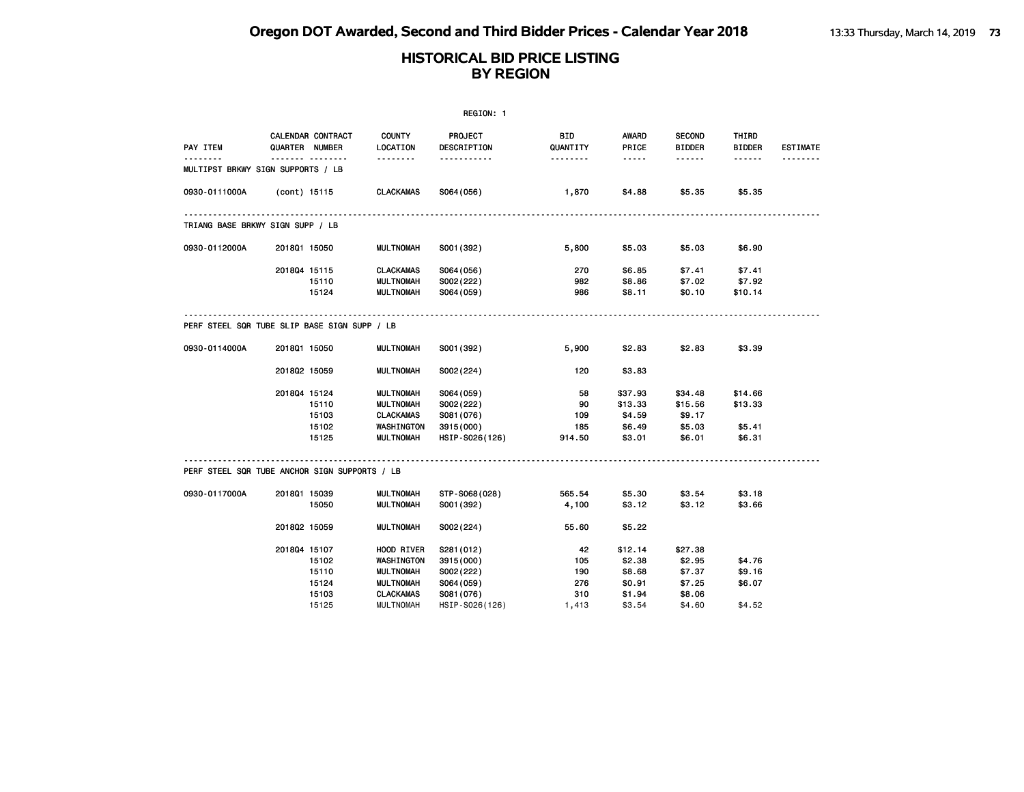| REGION: 1                                     |                |                   |                                      |                        |                        |                                                                                                                                                      |                                |                        |                 |
|-----------------------------------------------|----------------|-------------------|--------------------------------------|------------------------|------------------------|------------------------------------------------------------------------------------------------------------------------------------------------------|--------------------------------|------------------------|-----------------|
| PAY ITEM                                      | QUARTER NUMBER | CALENDAR CONTRACT | <b>COUNTY</b><br>LOCATION            | PROJECT<br>DESCRIPTION | <b>BID</b><br>QUANTITY | AWARD<br>PRICE                                                                                                                                       | <b>SECOND</b><br><b>BIDDER</b> | THIRD<br><b>BIDDER</b> | <b>ESTIMATE</b> |
| <u>.</u><br>MULTIPST BRKWY SIGN SUPPORTS / LB |                |                   | <u>.</u>                             | -----------            |                        | $\frac{1}{2} \left( \frac{1}{2} \right) \left( \frac{1}{2} \right) \left( \frac{1}{2} \right) \left( \frac{1}{2} \right) \left( \frac{1}{2} \right)$ | $- - - - - -$                  | $- - - - - -$          | .               |
| 0930-0111000A                                 |                |                   | (cont) 15115 CLACKAMAS               | S064(056)              | 1,870                  | \$4.88                                                                                                                                               | \$5.35                         | \$5.35                 |                 |
| TRIANG BASE BRKWY SIGN SUPP / LB              |                |                   |                                      |                        |                        |                                                                                                                                                      |                                |                        |                 |
| 0930-0112000A                                 | 201801 15050   |                   | <b>MULTNOMAH</b>                     | S001 (392)             | 5,800                  | \$5.03                                                                                                                                               | \$5.03                         | \$6.90                 |                 |
|                                               | 201804 15115   |                   | CLACKAMAS                            | S064(056)              | 270                    | \$6.85                                                                                                                                               | \$7.41                         | \$7.41                 |                 |
|                                               |                | 15110<br>15124    | <b>MULTNOMAH</b><br><b>MULTNOMAH</b> | S002(222)<br>S064(059) | 982<br>986             | \$8.86<br>\$8.11                                                                                                                                     | \$7.02<br>\$0.10               | \$7.92<br>\$10.14      |                 |
|                                               |                |                   |                                      |                        |                        |                                                                                                                                                      |                                |                        |                 |
| PERF STEEL SQR TUBE SLIP BASE SIGN SUPP / LB  |                |                   |                                      |                        |                        |                                                                                                                                                      |                                |                        |                 |
| 0930-0114000A                                 | 201801 15050   |                   | <b>MULTNOMAH</b>                     | S001 (392)             | 5,900                  | \$2.83                                                                                                                                               | \$2.83                         | \$3.39                 |                 |
|                                               | 201802 15059   |                   | <b>MULTNOMAH</b>                     | S002(224)              | 120                    | \$3.83                                                                                                                                               |                                |                        |                 |
|                                               | 201804 15124   |                   | MULTNOMAH                            | S064(059)              | 58                     | \$37.93                                                                                                                                              | \$34.48                        | \$14.66                |                 |
|                                               |                | 15110             | <b>MULTNOMAH</b>                     | S002(222)              | 90                     | \$13.33                                                                                                                                              | \$15.56                        | \$13.33                |                 |
|                                               |                | 15103             | <b>CLACKAMAS</b>                     | S081 (076)             | 109                    | \$4.59                                                                                                                                               | \$9.17                         |                        |                 |
|                                               |                | 15102             | WASHINGTON                           | 3915 (000)             | 185                    | \$6.49                                                                                                                                               | \$5.03                         | \$5.41                 |                 |
|                                               |                | 15125             | MULTNOMAH                            | HSIP-S026(126)         | 914.50                 | \$3.01                                                                                                                                               | \$6.01                         | \$6.31                 |                 |
| PERF STEEL SQR TUBE ANCHOR SIGN SUPPORTS / LB |                |                   |                                      |                        |                        |                                                                                                                                                      |                                |                        |                 |
| 0930-0117000A                                 | 201801 15039   |                   | <b>MULTNOMAH</b>                     | STP-S068(028)          | 565.54                 | \$5.30                                                                                                                                               | \$3.54                         | \$3.18                 |                 |
|                                               |                | 15050             | <b>MULTNOMAH</b>                     | S001 (392)             | 4,100                  | \$3.12                                                                                                                                               | \$3.12                         | \$3.66                 |                 |
|                                               | 201802 15059   |                   | <b>MULTNOMAH</b>                     | S002(224)              | 55.60                  | \$5.22                                                                                                                                               |                                |                        |                 |
|                                               | 201804 15107   |                   | HOOD RIVER                           | S281 (012)             | 42                     | \$12.14                                                                                                                                              | \$27.38                        |                        |                 |
|                                               |                | 15102             | WASHINGTON                           | 3915(000)              | 105                    | \$2.38                                                                                                                                               | \$2.95                         | \$4.76                 |                 |
|                                               |                | 15110             | MULTNOMAH                            | S002(222)              | 190                    | \$8.68                                                                                                                                               | \$7.37                         | \$9.16                 |                 |
|                                               |                | 15124             | <b>MULTNOMAH</b>                     | S064 (059)             | 276                    | \$0.91                                                                                                                                               | \$7.25                         | \$6.07                 |                 |
|                                               |                | 15103             | <b>CLACKAMAS</b>                     | S081 (076)             | 310                    | \$1.94                                                                                                                                               | \$8.06                         |                        |                 |
|                                               |                | 15125             | <b>MULTNOMAH</b>                     | HSIP-S026(126)         | 1,413                  | \$3.54                                                                                                                                               | \$4.60                         | \$4.52                 |                 |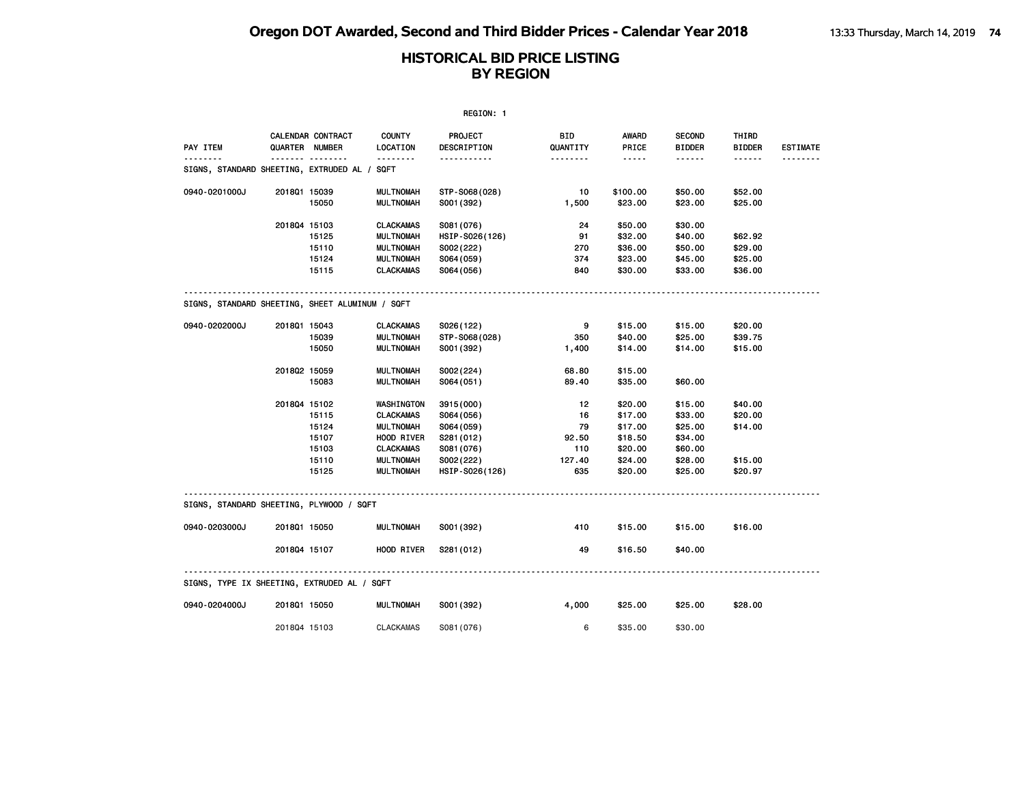|                                                 |                |                   |                           | REGION: 1                     |                        |                |                                |                        |                         |
|-------------------------------------------------|----------------|-------------------|---------------------------|-------------------------------|------------------------|----------------|--------------------------------|------------------------|-------------------------|
| PAY ITEM<br>-------                             | QUARTER NUMBER | CALENDAR CONTRACT | <b>COUNTY</b><br>LOCATION | <b>PROJECT</b><br>DESCRIPTION | <b>BID</b><br>QUANTITY | AWARD<br>PRICE | <b>SECOND</b><br><b>BIDDER</b> | THIRD<br><b>BIDDER</b> | <b>ESTIMATE</b><br>---- |
| SIGNS, STANDARD SHEETING, EXTRUDED AL / SQFT    |                |                   | .                         | .                             | .                      | -----          | .                              | ------                 |                         |
| 0940-0201000J                                   | 201801 15039   |                   | <b>MULTNOMAH</b>          | STP-S068(028)                 | 10                     | \$100.00       | \$50.00                        | \$52.00                |                         |
|                                                 |                | 15050             | <b>MULTNOMAH</b>          | S001 (392)                    | 1,500                  | \$23.00        | \$23.00                        | \$25.00                |                         |
|                                                 | 201804 15103   |                   | <b>CLACKAMAS</b>          | S081 (076)                    | 24                     | \$50.00        | \$30.00                        |                        |                         |
|                                                 |                | 15125             | <b>MULTNOMAH</b>          | HSIP-S026(126)                | 91                     | \$32.00        | \$40.00                        | \$62.92                |                         |
|                                                 |                | 15110             | <b>MULTNOMAH</b>          | S002(222)                     | 270                    | \$36.00        | \$50.00                        | \$29.00                |                         |
|                                                 |                | 15124             | <b>MULTNOMAH</b>          | S064 (059)                    | 374                    | \$23.00        | \$45.00                        | \$25.00                |                         |
|                                                 |                | 15115             | <b>CLACKAMAS</b>          | S064 (056)                    | 840                    | \$30.00        | \$33.00                        | \$36.00                |                         |
| SIGNS, STANDARD SHEETING, SHEET ALUMINUM / SQFT |                |                   |                           |                               |                        |                |                                |                        |                         |
| 0940-0202000J                                   | 201801 15043   |                   | <b>CLACKAMAS</b>          | S026(122)                     | 9                      | \$15.00        | \$15.00                        | \$20.00                |                         |
|                                                 |                | 15039             | <b>MULTNOMAH</b>          | STP-S068(028)                 | 350                    | \$40.00        | \$25.00                        | \$39.75                |                         |
|                                                 |                | 15050             | <b>MULTNOMAH</b>          | S001 (392)                    | 1,400                  | \$14.00        | \$14.00                        | \$15.00                |                         |
|                                                 | 201802 15059   |                   | <b>MULTNOMAH</b>          | S002(224)                     | 68.80                  | \$15.00        |                                |                        |                         |
|                                                 |                | 15083             | <b>MULTNOMAH</b>          | S064(051)                     | 89.40                  | \$35.00        | \$60.00                        |                        |                         |
|                                                 | 201804 15102   |                   | WASHINGTON                | 3915 (000)                    | 12                     | \$20.00        | \$15.00                        | \$40.00                |                         |
|                                                 |                | 15115             | <b>CLACKAMAS</b>          | S064 (056)                    | 16                     | \$17.00        | \$33.00                        | \$20.00                |                         |
|                                                 |                | 15124             | <b>MULTNOMAH</b>          | S064 (059)                    | 79                     | \$17.00        | \$25.00                        | \$14.00                |                         |
|                                                 |                | 15107             | HOOD RIVER                | S281 (012)                    | 92.50                  | \$18.50        | \$34.00                        |                        |                         |
|                                                 |                | 15103             | <b>CLACKAMAS</b>          | S081 (076)                    | 110                    | \$20.00        | \$60.00                        |                        |                         |
|                                                 |                | 15110             | <b>MULTNOMAH</b>          | S002(222)                     | 127.40                 | \$24.00        | \$28.00                        | \$15.00                |                         |
|                                                 |                | 15125             | <b>MULTNOMAH</b>          | HSIP-S026(126)                | 635                    | \$20.00        | \$25.00                        | \$20.97                |                         |
| SIGNS, STANDARD SHEETING, PLYWOOD / SQFT        |                |                   |                           |                               |                        |                |                                |                        |                         |
| 0940-0203000J                                   | 201801 15050   |                   | <b>MULTNOMAH</b>          | S001 (392)                    | 410                    | \$15.00        | \$15.00                        | \$16.00                |                         |
|                                                 | 201804 15107   |                   | HOOD RIVER                | S281 (012)                    | 49                     | \$16.50        | \$40.00                        |                        |                         |
| SIGNS, TYPE IX SHEETING, EXTRUDED AL / SQFT     |                |                   |                           |                               |                        |                |                                |                        |                         |
| 0940-0204000J                                   | 201801 15050   |                   | <b>MULTNOMAH</b>          | S001 (392)                    | 4,000                  | \$25.00        | \$25.00                        | \$28.00                |                         |
|                                                 | 201804 15103   |                   | <b>CLACKAMAS</b>          | S081 (076)                    | 6                      | \$35.00        | \$30.00                        |                        |                         |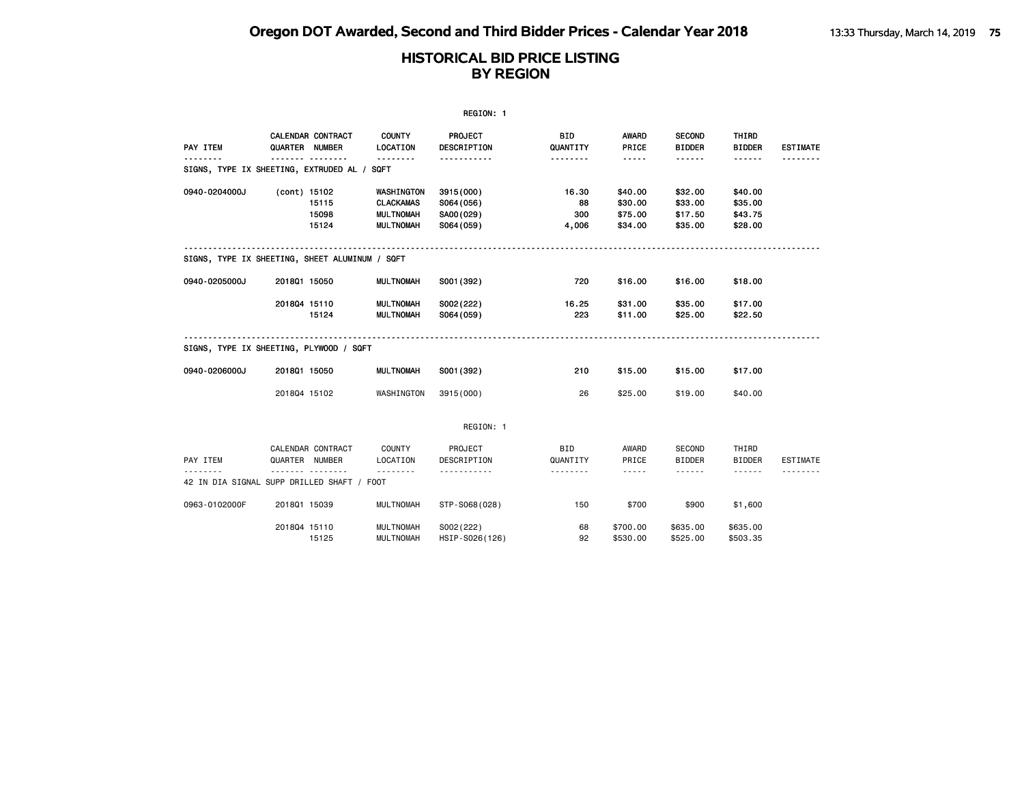|                      |                                                        | REGION: 1                 |                        |                        |                                                                                                                                                      |                                |                                                                                                                                                                                                                                                                                                                                                                                                                                                                            |                 |  |
|----------------------|--------------------------------------------------------|---------------------------|------------------------|------------------------|------------------------------------------------------------------------------------------------------------------------------------------------------|--------------------------------|----------------------------------------------------------------------------------------------------------------------------------------------------------------------------------------------------------------------------------------------------------------------------------------------------------------------------------------------------------------------------------------------------------------------------------------------------------------------------|-----------------|--|
| PAY ITEM             | CALENDAR CONTRACT<br>QUARTER NUMBER                    | <b>COUNTY</b><br>LOCATION | PROJECT<br>DESCRIPTION | <b>BID</b><br>QUANTITY | AWARD<br>PRICE                                                                                                                                       | <b>SECOND</b><br><b>BIDDER</b> | THIRD<br><b>BIDDER</b>                                                                                                                                                                                                                                                                                                                                                                                                                                                     | <b>ESTIMATE</b> |  |
|                      | .<br>SIGNS, TYPE IX SHEETING, EXTRUDED AL / SQFT       | .                         |                        | .                      | -----                                                                                                                                                | .                              | ------                                                                                                                                                                                                                                                                                                                                                                                                                                                                     |                 |  |
| 0940-0204000J        | (cont) 15102                                           | WASHINGTON                | 3915 (000)             | 16.30                  | \$40.00                                                                                                                                              | \$32.00                        | \$40.00                                                                                                                                                                                                                                                                                                                                                                                                                                                                    |                 |  |
|                      | 15115                                                  | <b>CLACKAMAS</b>          | S064 (056)             | 88                     | \$30.00                                                                                                                                              | \$33.00                        | \$35.00                                                                                                                                                                                                                                                                                                                                                                                                                                                                    |                 |  |
|                      | 15098                                                  | <b>MULTNOMAH</b>          | SA00(029)              | 300                    | \$75.00                                                                                                                                              | \$17.50                        | \$43.75                                                                                                                                                                                                                                                                                                                                                                                                                                                                    |                 |  |
|                      | 15124                                                  | <b>MULTNOMAH</b>          | S064 (059)             | 4,006                  | \$34.00                                                                                                                                              | \$35.00                        | \$28.00                                                                                                                                                                                                                                                                                                                                                                                                                                                                    |                 |  |
|                      | SIGNS, TYPE IX SHEETING, SHEET ALUMINUM / SQFT         |                           |                        |                        |                                                                                                                                                      |                                |                                                                                                                                                                                                                                                                                                                                                                                                                                                                            |                 |  |
| <b>0940-0205000J</b> | 201801 15050                                           | <b>MULTNOMAH</b>          | S001 (392)             | 720                    | \$16.00                                                                                                                                              | \$16.00                        | \$18.00                                                                                                                                                                                                                                                                                                                                                                                                                                                                    |                 |  |
|                      | 201804 15110                                           | <b>MULTNOMAH</b>          | S002(222)              | 16.25                  | \$31.00                                                                                                                                              | \$35.00                        | \$17.00                                                                                                                                                                                                                                                                                                                                                                                                                                                                    |                 |  |
|                      | 15124                                                  | <b>MULTNOMAH</b>          | S064 (059)             | 223                    | \$11.00                                                                                                                                              | \$25.00                        | \$22.50                                                                                                                                                                                                                                                                                                                                                                                                                                                                    |                 |  |
|                      | SIGNS, TYPE IX SHEETING, PLYWOOD / SQFT                |                           |                        |                        |                                                                                                                                                      |                                |                                                                                                                                                                                                                                                                                                                                                                                                                                                                            |                 |  |
| 0940-0206000J        | 201801 15050                                           | <b>MULTNOMAH</b>          | S001 (392)             | 210                    | \$15.00                                                                                                                                              | \$15.00                        | \$17.00                                                                                                                                                                                                                                                                                                                                                                                                                                                                    |                 |  |
|                      | 201804 15102                                           | WASHINGTON                | 3915(000)              | 26                     | \$25.00                                                                                                                                              | \$19,00                        | \$40.00                                                                                                                                                                                                                                                                                                                                                                                                                                                                    |                 |  |
|                      |                                                        |                           | REGION: 1              |                        |                                                                                                                                                      |                                |                                                                                                                                                                                                                                                                                                                                                                                                                                                                            |                 |  |
|                      |                                                        |                           |                        |                        |                                                                                                                                                      |                                |                                                                                                                                                                                                                                                                                                                                                                                                                                                                            |                 |  |
|                      | CALENDAR CONTRACT                                      | COUNTY                    | PROJECT                | <b>BID</b>             | AWARD                                                                                                                                                | SECOND                         | THIRD                                                                                                                                                                                                                                                                                                                                                                                                                                                                      |                 |  |
| PAY ITEM             | QUARTER NUMBER                                         | LOCATION                  | DESCRIPTION            | QUANTITY               | PRICE                                                                                                                                                | <b>BIDDER</b>                  | <b>BIDDER</b>                                                                                                                                                                                                                                                                                                                                                                                                                                                              | <b>ESTIMATE</b> |  |
|                      | <u>.</u><br>42 IN DIA SIGNAL SUPP DRILLED SHAFT / FOOT | <u>.</u>                  | .                      | .                      | $\frac{1}{2} \left( \frac{1}{2} \right) \left( \frac{1}{2} \right) \left( \frac{1}{2} \right) \left( \frac{1}{2} \right) \left( \frac{1}{2} \right)$ | <b>.</b>                       | $\frac{1}{2} \left( \frac{1}{2} \right) \left( \frac{1}{2} \right) \left( \frac{1}{2} \right) \left( \frac{1}{2} \right) \left( \frac{1}{2} \right) \left( \frac{1}{2} \right) \left( \frac{1}{2} \right) \left( \frac{1}{2} \right) \left( \frac{1}{2} \right) \left( \frac{1}{2} \right) \left( \frac{1}{2} \right) \left( \frac{1}{2} \right) \left( \frac{1}{2} \right) \left( \frac{1}{2} \right) \left( \frac{1}{2} \right) \left( \frac{1}{2} \right) \left( \frac$ |                 |  |
|                      |                                                        |                           |                        |                        |                                                                                                                                                      |                                |                                                                                                                                                                                                                                                                                                                                                                                                                                                                            |                 |  |
| 0963-0102000F        | 201801 15039                                           | <b>MULTNOMAH</b>          | STP-S068(028)          | 150                    | \$700                                                                                                                                                | \$900                          | \$1,600                                                                                                                                                                                                                                                                                                                                                                                                                                                                    |                 |  |
|                      | 201804 15110                                           | <b>MULTNOMAH</b>          | S002(222)              | 68                     | \$700.00                                                                                                                                             | \$635.00                       | \$635.00                                                                                                                                                                                                                                                                                                                                                                                                                                                                   |                 |  |
|                      | 15125                                                  | <b>MULTNOMAH</b>          | HSIP-S026(126)         | 92                     | \$530.00                                                                                                                                             | \$525,00                       | \$503.35                                                                                                                                                                                                                                                                                                                                                                                                                                                                   |                 |  |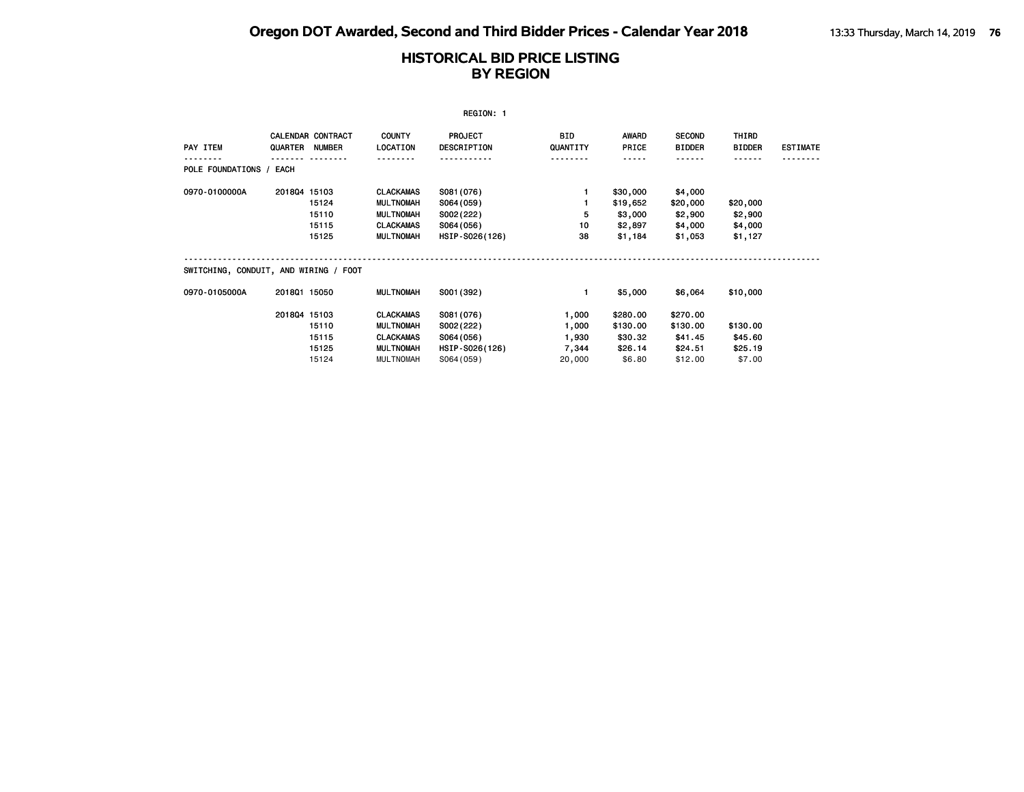| REGION: 1                             |              |                                           |                                                                                                  |                                                                       |                                            |                                                       |                                                       |                                           |                 |
|---------------------------------------|--------------|-------------------------------------------|--------------------------------------------------------------------------------------------------|-----------------------------------------------------------------------|--------------------------------------------|-------------------------------------------------------|-------------------------------------------------------|-------------------------------------------|-----------------|
| PAY ITEM                              | QUARTER      | <b>CALENDAR CONTRACT</b><br><b>NUMBER</b> | <b>COUNTY</b><br>LOCATION                                                                        | PROJECT<br>DESCRIPTION                                                | <b>BID</b><br>QUANTITY                     | <b>AWARD</b><br>PRICE                                 | <b>SECOND</b><br><b>BIDDER</b>                        | THIRD<br><b>BIDDER</b>                    | <b>ESTIMATE</b> |
| POLE FOUNDATIONS /                    | EACH         |                                           |                                                                                                  |                                                                       |                                            |                                                       |                                                       |                                           |                 |
| 0970-0100000A                         | 201804 15103 | 15124<br>15110<br>15115<br>15125          | <b>CLACKAMAS</b><br><b>MULTNOMAH</b><br><b>MULTNOMAH</b><br><b>CLACKAMAS</b><br><b>MULTNOMAH</b> | S081 (076)<br>S064 (059)<br>S002(222)<br>S064 (056)<br>HSIP-S026(126) | 5<br>10<br>38                              | \$30,000<br>\$19,652<br>\$3,000<br>\$2,897<br>\$1,184 | \$4,000<br>\$20,000<br>\$2,900<br>\$4,000<br>\$1,053  | \$20,000<br>\$2,900<br>\$4,000<br>\$1,127 |                 |
| SWITCHING, CONDUIT, AND WIRING / FOOT |              |                                           |                                                                                                  |                                                                       |                                            |                                                       |                                                       |                                           |                 |
| 0970-0105000A                         | 201801 15050 |                                           | <b>MULTNOMAH</b>                                                                                 | S001 (392)                                                            |                                            | \$5,000                                               | \$6,064                                               | \$10,000                                  |                 |
|                                       | 201804 15103 | 15110<br>15115<br>15125<br>15124          | <b>CLACKAMAS</b><br><b>MULTNOMAH</b><br>CLACKAMAS<br><b>MULTNOMAH</b><br><b>MULTNOMAH</b>        | S081 (076)<br>S002(222)<br>S064(056)<br>HSIP-S026(126)<br>S064 (059)  | 1,000<br>1,000<br>1,930<br>7,344<br>20,000 | \$280.00<br>\$130.00<br>\$30.32<br>\$26.14<br>\$6.80  | \$270.00<br>\$130.00<br>\$41.45<br>\$24.51<br>\$12.00 | \$130.00<br>\$45.60<br>\$25.19<br>\$7.00  |                 |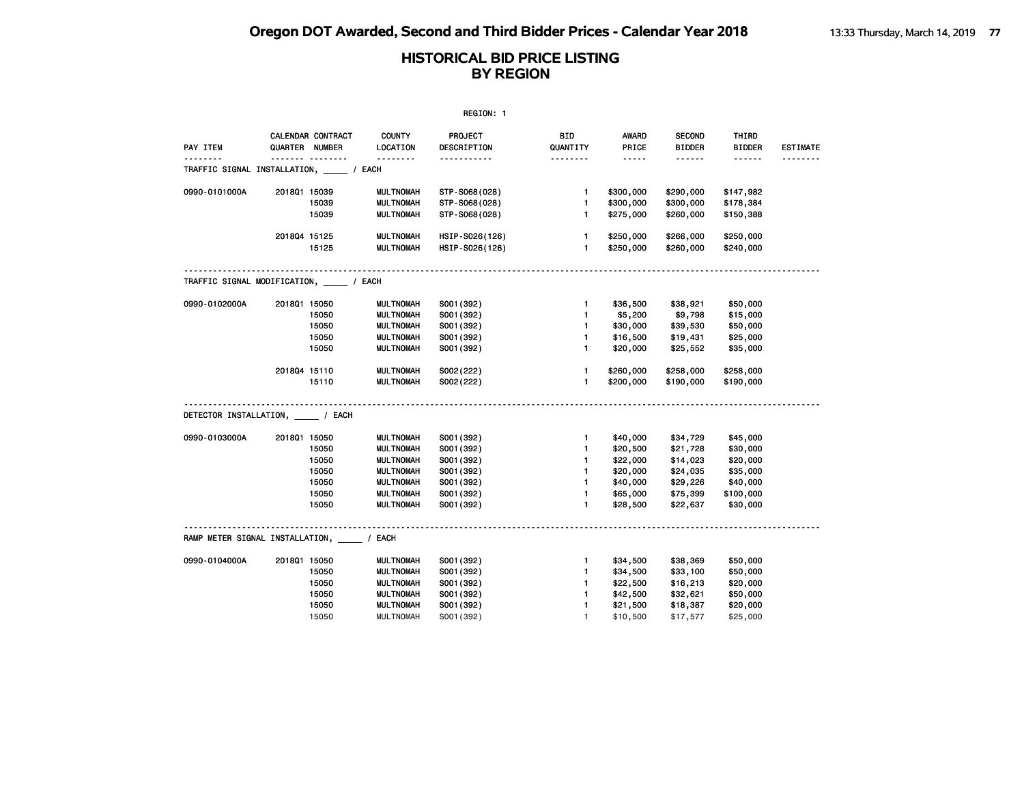| REGION: 1                              |              |                                         |                           |                        |                 |                     |                                |                                         |                             |
|----------------------------------------|--------------|-----------------------------------------|---------------------------|------------------------|-----------------|---------------------|--------------------------------|-----------------------------------------|-----------------------------|
| PAY ITEM<br><u>.</u>                   |              | CALENDAR CONTRACT<br>QUARTER NUMBER<br> | <b>COUNTY</b><br>LOCATION | PROJECT<br>DESCRIPTION | BID<br>QUANTITY | AWARD<br>PRICE<br>. | <b>SECOND</b><br><b>BIDDER</b> | THIRD<br><b>BIDDER</b><br>$- - - - - -$ | <b>ESTIMATE</b><br><u>.</u> |
| TRAFFIC SIGNAL INSTALLATION, / EACH    |              |                                         | .                         | <u>.</u>               | <u>.</u>        |                     | $- - - - - -$                  |                                         |                             |
| 0990-0101000A                          | 201801 15039 |                                         | <b>MULTNOMAH</b>          | STP-S068(028)          | $\mathbf{1}$    | \$300,000           | \$290,000                      | \$147,982                               |                             |
|                                        |              | 15039                                   | <b>MULTNOMAH</b>          | STP-S068(028)          | $\mathbf{1}$    | \$300,000           | \$300,000                      | \$178,384                               |                             |
|                                        |              | 15039                                   | <b>MULTNOMAH</b>          | STP-S068(028)          | $\mathbf{1}$    | \$275,000           | \$260,000                      | \$150,388                               |                             |
|                                        | 201804 15125 |                                         | <b>MULTNOMAH</b>          | HSIP-S026(126)         | 1.              | \$250,000           | \$266,000                      | \$250,000                               |                             |
|                                        |              | 15125                                   | <b>MULTNOMAH</b>          | HSIP-S026(126)         | $\mathbf{1}$    | \$250,000           | \$260,000                      | \$240,000                               |                             |
| TRAFFIC SIGNAL MODIFICATION, __ / EACH |              |                                         |                           |                        |                 |                     |                                |                                         |                             |
| 0990-0102000A                          | 201801 15050 |                                         | <b>MULTNOMAH</b>          | S001 (392)             | $\mathbf{1}$    | \$36,500            | \$38,921                       | \$50,000                                |                             |
|                                        |              | 15050                                   | <b>MULTNOMAH</b>          | S001 (392)             | $\mathbf{1}$    | \$5,200             | \$9,798                        | \$15,000                                |                             |
|                                        |              | 15050                                   | <b>MULTNOMAH</b>          | S001 (392)             | $\mathbf{1}$    | \$30,000            | \$39,530                       | \$50,000                                |                             |
|                                        |              | 15050                                   | <b>MULTNOMAH</b>          | S001 (392)             | $\mathbf{1}$    | \$16,500            | \$19,431                       | \$25,000                                |                             |
|                                        |              | 15050                                   | <b>MULTNOMAH</b>          | S001 (392)             | $\mathbf{1}$    | \$20,000            | \$25,552                       | \$35,000                                |                             |
|                                        | 201804 15110 |                                         | <b>MULTNOMAH</b>          | S002(222)              | $\mathbf{1}$    | \$260,000           | \$258,000                      | \$258,000                               |                             |
|                                        |              | 15110                                   | <b>MULTNOMAH</b>          | S002(222)              | $\mathbf{1}$    | \$200,000           | \$190,000                      | \$190,000                               |                             |
| DETECTOR INSTALLATION, / EACH          |              |                                         |                           |                        |                 |                     |                                |                                         |                             |
| 0990-0103000A                          | 201801 15050 |                                         | <b>MULTNOMAH</b>          | S001 (392)             | 1.              | \$40,000            | \$34,729                       | \$45,000                                |                             |
|                                        |              | 15050                                   | <b>MULTNOMAH</b>          | S001 (392)             | $\mathbf{1}$    | \$20,500            | \$21,728                       | \$30,000                                |                             |
|                                        |              | 15050                                   | <b>MULTNOMAH</b>          | S001 (392)             | 1.              | \$22,000            | \$14,023                       | \$20,000                                |                             |
|                                        |              | 15050                                   | <b>MULTNOMAH</b>          | S001 (392)             | $\mathbf{1}$    | \$20,000            | \$24,035                       | \$35,000                                |                             |
|                                        |              | 15050                                   | <b>MULTNOMAH</b>          | S001 (392)             | $\mathbf{1}$    | \$40,000            | \$29,226                       | \$40,000                                |                             |
|                                        |              | 15050                                   | <b>MULTNOMAH</b>          | S001 (392)             | $\mathbf{1}$    | \$65,000            | \$75,399                       | \$100,000                               |                             |
|                                        |              | 15050                                   | <b>MULTNOMAH</b>          | S001 (392)             | $\mathbf{1}$    | \$28,500            | \$22,637                       | \$30,000                                |                             |
| RAMP METER SIGNAL INSTALLATION, / EACH |              |                                         |                           |                        |                 |                     |                                |                                         |                             |
| 0990-0104000A                          | 201801 15050 |                                         | <b>MULTNOMAH</b>          | S001 (392)             | 1.              | \$34,500            | \$38,369                       | \$50,000                                |                             |
|                                        |              | 15050                                   | <b>MULTNOMAH</b>          | S001 (392)             | $\mathbf{1}$    | \$34,500            | \$33,100                       | \$50,000                                |                             |
|                                        |              | 15050                                   | <b>MULTNOMAH</b>          | S001 (392)             | 1.              | \$22,500            | \$16,213                       | \$20,000                                |                             |
|                                        |              | 15050                                   | <b>MULTNOMAH</b>          | S001 (392)             | $\mathbf{1}$    | \$42,500            | \$32,621                       | \$50,000                                |                             |
|                                        |              | 15050                                   | <b>MULTNOMAH</b>          | S001 (392)             | $\mathbf{1}$    | \$21,500            | \$18,387                       | \$20,000                                |                             |
|                                        |              | 15050                                   | <b>MULTNOMAH</b>          | S001 (392)             | $\mathbf{1}$    | \$10,500            | \$17,577                       | \$25,000                                |                             |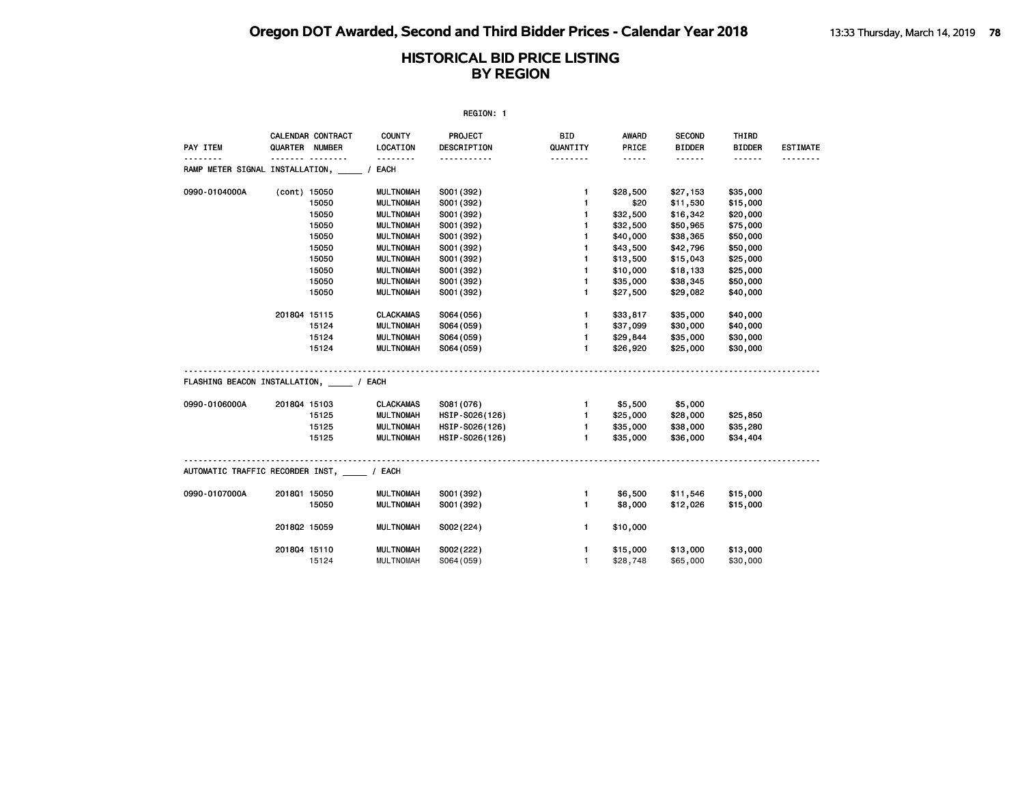| REGION: 1                               |              |                                     |                           |                        |                        |                |                                |                        |                 |
|-----------------------------------------|--------------|-------------------------------------|---------------------------|------------------------|------------------------|----------------|--------------------------------|------------------------|-----------------|
| PAY ITEM                                |              | CALENDAR CONTRACT<br>QUARTER NUMBER | <b>COUNTY</b><br>LOCATION | PROJECT<br>DESCRIPTION | <b>BID</b><br>QUANTITY | AWARD<br>PRICE | <b>SECOND</b><br><b>BIDDER</b> | THIRD<br><b>BIDDER</b> | <b>ESTIMATE</b> |
| RAMP METER SIGNAL INSTALLATION,         |              |                                     | --------<br>EACH          | .                      | --------               | $- - - - -$    | ------                         | ------                 |                 |
| 0990-0104000A                           | (cont) 15050 |                                     | <b>MULTNOMAH</b>          | S001 (392)             | $\mathbf{1}$           | \$28,500       | \$27,153                       | \$35,000               |                 |
|                                         |              | 15050                               | <b>MULTNOMAH</b>          | S001 (392)             | 1.                     | \$20           | \$11,530                       | \$15,000               |                 |
|                                         |              | 15050                               | <b>MULTNOMAH</b>          | S001 (392)             | 1.                     | \$32,500       | \$16,342                       | \$20,000               |                 |
|                                         |              | 15050                               | <b>MULTNOMAH</b>          | S001 (392)             | $\mathbf{1}$           | \$32,500       | \$50,965                       | \$75,000               |                 |
|                                         |              | 15050                               | <b>MULTNOMAH</b>          | S001 (392)             | 1.                     | \$40,000       | \$38,365                       | \$50,000               |                 |
|                                         |              | 15050                               | <b>MULTNOMAH</b>          | S001 (392)             | $\mathbf{1}$           | \$43,500       | \$42,796                       | \$50,000               |                 |
|                                         |              | 15050                               | <b>MULTNOMAH</b>          | S001 (392)             | $\mathbf{1}$           | \$13,500       | \$15,043                       | \$25,000               |                 |
|                                         |              | 15050                               | <b>MULTNOMAH</b>          | S001 (392)             | $\mathbf{1}$           | \$10,000       | \$18,133                       | \$25,000               |                 |
|                                         |              | 15050                               | <b>MULTNOMAH</b>          | S001 (392)             | $\blacksquare$         | \$35,000       | \$38,345                       | \$50,000               |                 |
|                                         |              | 15050                               | <b>MULTNOMAH</b>          | S001 (392)             | $\mathbf{1}$           | \$27,500       | \$29,082                       | \$40,000               |                 |
|                                         | 201804 15115 |                                     | <b>CLACKAMAS</b>          | S064 (056)             | 1.                     | \$33,817       | \$35,000                       | \$40,000               |                 |
|                                         |              | 15124                               | <b>MULTNOMAH</b>          | S064 (059)             | $\mathbf{1}$           | \$37,099       | \$30,000                       | \$40,000               |                 |
|                                         |              | 15124                               | <b>MULTNOMAH</b>          | S064 (059)             | $\mathbf{1}$           | \$29,844       | \$35,000                       | \$30,000               |                 |
|                                         |              | 15124                               | <b>MULTNOMAH</b>          | S064 (059)             | $\mathbf{1}$           | \$26,920       | \$25,000                       | \$30,000               |                 |
| FLASHING BEACON INSTALLATION, / EACH    |              |                                     |                           |                        |                        |                |                                |                        |                 |
| 0990-0106000A                           | 201804 15103 |                                     | CLACKAMAS                 | S081 (076)             | $\mathbf{1}$           | \$5,500        | \$5,000                        |                        |                 |
|                                         |              | 15125                               | <b>MULTNOMAH</b>          | HSIP-S026(126)         | $\mathbf{1}$           | \$25,000       | \$28,000                       | \$25,850               |                 |
|                                         |              | 15125                               | <b>MULTNOMAH</b>          | HSIP-S026(126)         | $\mathbf{1}$           | \$35,000       | \$38,000                       | \$35,280               |                 |
|                                         |              | 15125                               | <b>MULTNOMAH</b>          | HSIP-S026(126)         | $\mathbf{1}$           | \$35,000       | \$36,000                       | \$34,404               |                 |
| AUTOMATIC TRAFFIC RECORDER INST, / EACH |              |                                     |                           |                        |                        |                |                                |                        |                 |
|                                         |              |                                     |                           |                        |                        |                |                                |                        |                 |
| 0990-0107000A                           | 201801 15050 |                                     | <b>MULTNOMAH</b>          | S001 (392)             | 1.                     | \$6,500        | \$11,546                       | \$15,000               |                 |
|                                         |              | 15050                               | <b>MULTNOMAH</b>          | S001 (392)             | $\mathbf{1}$           | \$8,000        | \$12,026                       | \$15,000               |                 |
|                                         | 201802 15059 |                                     | <b>MULTNOMAH</b>          | S002(224)              | $\mathbf{1}$           | \$10,000       |                                |                        |                 |
|                                         | 201804 15110 |                                     | <b>MULTNOMAH</b>          | S002(222)              | 1                      | \$15,000       | \$13,000                       | \$13,000               |                 |
|                                         |              | 15124                               | <b>MULTNOMAH</b>          | S064 (059)             | 1                      | \$28,748       | \$65,000                       | \$30,000               |                 |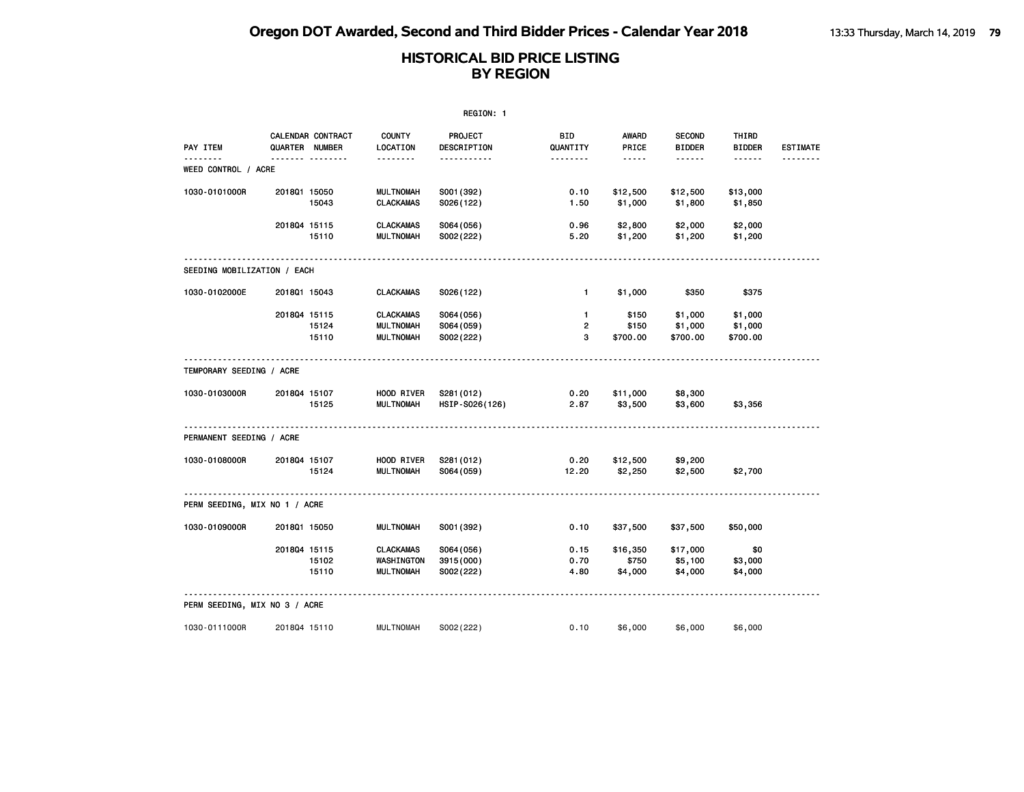|                               |              |                                     |                                      | REGION: 1               |                       |                    |                                |                                                                                                                       |                 |
|-------------------------------|--------------|-------------------------------------|--------------------------------------|-------------------------|-----------------------|--------------------|--------------------------------|-----------------------------------------------------------------------------------------------------------------------|-----------------|
| PAY ITEM                      |              | CALENDAR CONTRACT<br>QUARTER NUMBER | <b>COUNTY</b><br>LOCATION            | PROJECT<br>DESCRIPTION  | BID<br>QUANTITY       | AWARD<br>PRICE     | <b>SECOND</b><br><b>BIDDER</b> | THIRD<br><b>BIDDER</b>                                                                                                | <b>ESTIMATE</b> |
| WEED CONTROL / ACRE           |              | .                                   | <u>.</u>                             | .                       | <u> - - - - - - -</u> | .                  |                                | $\begin{array}{cccccccccc} \bullet & \bullet & \bullet & \bullet & \bullet & \bullet & \bullet & \bullet \end{array}$ | .               |
| 1030-0101000R                 | 201801 15050 | 15043                               | <b>MULTNOMAH</b><br><b>CLACKAMAS</b> | S001 (392)              | 0.10<br>1.50          | \$12,500           | \$12,500                       | \$13,000                                                                                                              |                 |
|                               | 201804 15115 |                                     | <b>CLACKAMAS</b>                     | S026(122)<br>S064 (056) | 0.96                  | \$1,000<br>\$2,800 | \$1,800<br>\$2,000             | \$1,850<br>\$2,000                                                                                                    |                 |
|                               |              | 15110                               | <b>MULTNOMAH</b>                     | S002(222)               | 5.20                  | \$1,200            | \$1,200                        | \$1,200                                                                                                               |                 |
| SEEDING MOBILIZATION / EACH   |              |                                     |                                      |                         |                       |                    |                                |                                                                                                                       |                 |
| 1030-0102000E                 | 201801 15043 |                                     | <b>CLACKAMAS</b>                     | S026(122)               | $\mathbf{1}$          | \$1,000            | \$350                          | \$375                                                                                                                 |                 |
|                               | 201804 15115 |                                     | <b>CLACKAMAS</b>                     | S064 (056)              | $\mathbf{1}$          | \$150              | \$1,000                        | \$1,000                                                                                                               |                 |
|                               |              | 15124                               | <b>MULTNOMAH</b>                     | S064 (059)              | $\overline{2}$        | \$150              | \$1,000                        | \$1,000                                                                                                               |                 |
|                               |              | 15110                               | <b>MULTNOMAH</b>                     | S002(222)               | 3                     | \$700.00           | \$700.00                       | \$700.00                                                                                                              |                 |
| TEMPORARY SEEDING / ACRE      |              |                                     |                                      |                         |                       |                    |                                |                                                                                                                       |                 |
| 1030-0103000R                 | 201804 15107 |                                     | HOOD RIVER                           | S281 (012)              | 0.20                  | \$11,000           | \$8,300                        |                                                                                                                       |                 |
|                               |              | 15125                               | <b>MULTNOMAH</b>                     | HSIP-S026(126)          | 2.87                  | \$3,500            | \$3,600                        | \$3,356                                                                                                               |                 |
| PERMANENT SEEDING / ACRE      |              |                                     |                                      |                         |                       |                    |                                |                                                                                                                       |                 |
| 1030-0108000R                 | 201804 15107 |                                     | HOOD RIVER                           | S281 (012)              | 0.20                  | \$12,500           | \$9,200                        |                                                                                                                       |                 |
|                               |              | 15124                               | <b>MULTNOMAH</b>                     | S064 (059)              | 12.20                 | \$2,250            | \$2,500                        | \$2,700                                                                                                               |                 |
| PERM SEEDING, MIX NO 1 / ACRE |              |                                     |                                      |                         |                       |                    |                                |                                                                                                                       |                 |
| 1030-0109000R                 | 201801 15050 |                                     | <b>MULTNOMAH</b>                     | S001 (392)              | 0.10                  | \$37,500           | \$37,500                       | \$50,000                                                                                                              |                 |
|                               | 201804 15115 |                                     | <b>CLACKAMAS</b>                     | S064 (056)              | 0.15                  | \$16,350           | \$17,000                       | \$0                                                                                                                   |                 |
|                               |              | 15102                               | WASHINGTON                           | 3915 (000)              | 0.70                  | \$750              | \$5,100                        | \$3,000                                                                                                               |                 |
|                               |              | 15110                               | <b>MULTNOMAH</b>                     | S002(222)               | 4.80                  | \$4,000            | \$4,000                        | \$4,000                                                                                                               |                 |
| PERM SEEDING, MIX NO 3 / ACRE |              |                                     |                                      |                         |                       |                    |                                |                                                                                                                       |                 |
| 1030-0111000R                 | 201804 15110 |                                     | <b>MULTNOMAH</b>                     | S002(222)               | 0.10                  | \$6,000            | \$6,000                        | \$6,000                                                                                                               |                 |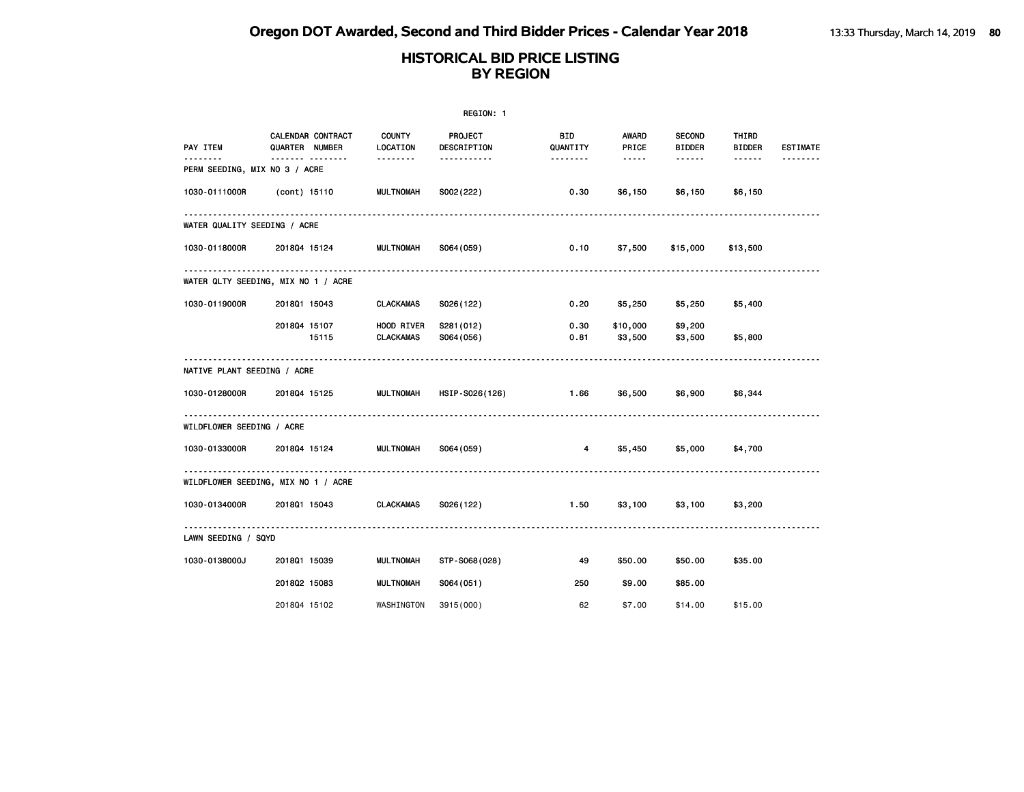| REGION: 1                          |                                     |                                |                          |                        |                     |                                |                        |                 |  |
|------------------------------------|-------------------------------------|--------------------------------|--------------------------|------------------------|---------------------|--------------------------------|------------------------|-----------------|--|
| PAY ITEM                           | CALENDAR CONTRACT<br>QUARTER NUMBER | <b>COUNTY</b><br>LOCATION      | PROJECT<br>DESCRIPTION   | <b>BID</b><br>QUANTITY | AWARD<br>PRICE      | <b>SECOND</b><br><b>BIDDER</b> | THIRD<br><b>BIDDER</b> | <b>ESTIMATE</b> |  |
| .<br>PERM SEEDING, MIX NO 3 / ACRE | .                                   | <u>.</u>                       | -----------              | <u> - - - - - - -</u>  | $\cdots \cdots$     | ------                         |                        | .               |  |
| 1030-0111000R                      | (cont) 15110                        | <b>MULTNOMAH</b>               | S002 (222)               | 0.30                   | \$6,150             | \$6,150                        | \$6,150                |                 |  |
| WATER QUALITY SEEDING / ACRE       |                                     |                                |                          |                        |                     |                                |                        |                 |  |
| 1030-0118000R                      | 201804 15124                        | <b>MULTNOMAH</b>               | S064 (059)               | 0.10                   | \$7,500             | \$15,000                       | \$13,500               |                 |  |
|                                    | WATER QLTY SEEDING, MIX NO 1 / ACRE |                                |                          |                        |                     |                                |                        |                 |  |
| 1030-0119000R                      | 201801 15043                        | <b>CLACKAMAS</b>               | S026(122)                | 0.20                   | \$5,250             | \$5,250                        | \$5,400                |                 |  |
|                                    | 201804 15107<br>15115               | HOOD RIVER<br><b>CLACKAMAS</b> | S281 (012)<br>S064 (056) | 0.30<br>0.81           | \$10,000<br>\$3,500 | \$9,200<br>\$3,500             | \$5,800                |                 |  |
| NATIVE PLANT SEEDING / ACRE        |                                     |                                |                          |                        |                     |                                |                        |                 |  |
| 1030-0128000R                      | 201804 15125                        | <b>MULTNOMAH</b>               | HSIP-S026(126)           | $\sim$ 1.66            | \$6,500             | \$6,900                        | \$6,344                |                 |  |
| WILDFLOWER SEEDING / ACRE          |                                     |                                |                          |                        |                     |                                |                        |                 |  |
| 1030-0133000R                      | 201804 15124                        | <b>MULTNOMAH</b>               | S064(059)                | $\overline{4}$         | \$5,450             | \$5,000                        | \$4,700                |                 |  |
|                                    | WILDFLOWER SEEDING, MIX NO 1 / ACRE |                                |                          |                        |                     |                                |                        |                 |  |
| 1030-0134000R                      | 201801 15043                        | CLACKAMAS                      | S026(122)                | 1.50                   | \$3,100             | \$3,100                        | \$3,200                |                 |  |
| LAWN SEEDING / SQYD                |                                     |                                |                          |                        |                     |                                |                        |                 |  |
| 1030-0138000J                      | 201801 15039                        | <b>MULTNOMAH</b>               | STP-S068(028)            | 49                     | \$50.00             | \$50.00                        | \$35.00                |                 |  |
|                                    | 201802 15083                        | <b>MULTNOMAH</b>               | S064(051)                | 250                    | \$9.00              | \$85.00                        |                        |                 |  |
|                                    | 201804 15102                        | WASHINGTON                     | 3915 (000)               | 62                     | \$7.00              | \$14,00                        | \$15.00                |                 |  |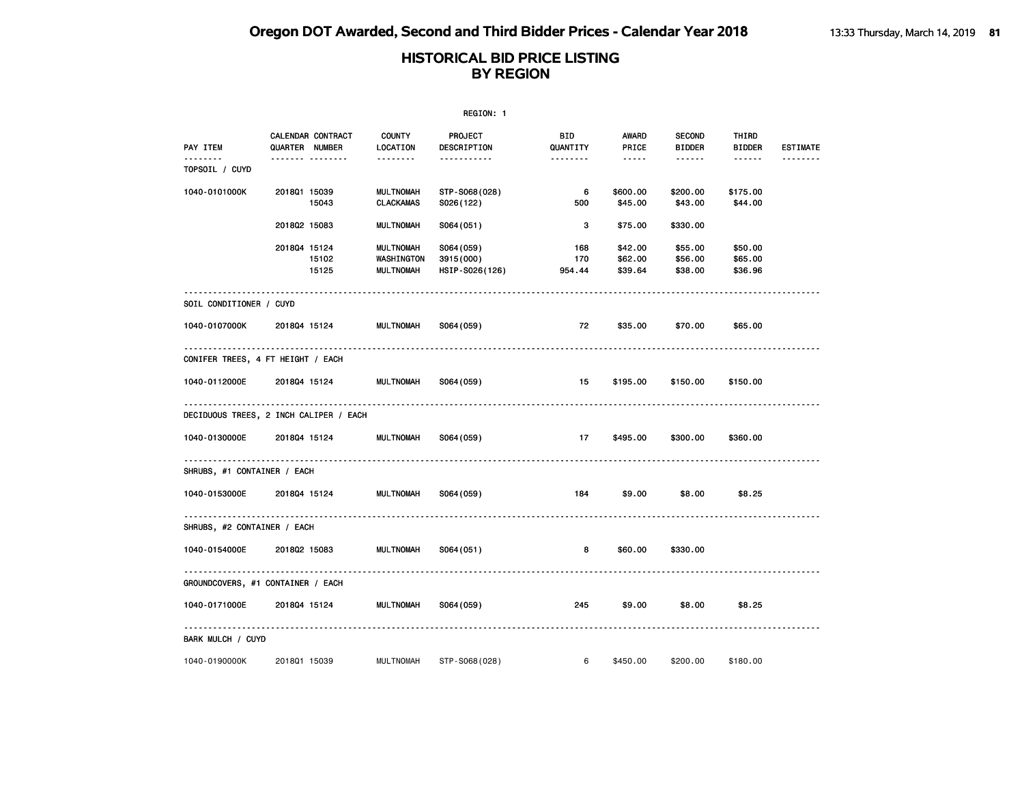|                             |                                        |                                             | REGION: 1                                 |                      |                               |                                |                               |                 |
|-----------------------------|----------------------------------------|---------------------------------------------|-------------------------------------------|----------------------|-------------------------------|--------------------------------|-------------------------------|-----------------|
| PAY ITEM                    | CALENDAR CONTRACT<br>QUARTER NUMBER    | <b>COUNTY</b><br>LOCATION                   | <b>PROJECT</b><br>DESCRIPTION             | BID<br>QUANTITY      | AWARD<br>PRICE                | <b>SECOND</b><br><b>BIDDER</b> | THIRD<br><b>BIDDER</b>        | <b>ESTIMATE</b> |
| <u>.</u><br>TOPSOIL / CUYD  | .                                      | <u> - - - - - - -</u>                       | <u> - - - - - - - - - - -</u>             |                      | $- - - - -$                   | $- - - - - -$                  | $- - - - - -$                 | <u>.</u>        |
| 1040-0101000K               | 201801 15039<br>15043                  | <b>MULTNOMAH</b><br><b>CLACKAMAS</b>        | STP-S068(028)<br>S026(122)                | 6<br>500             | \$600.00<br>\$45.00           | \$200.00<br>\$43.00            | \$175.00<br>\$44.00           |                 |
|                             | 201802 15083                           | <b>MULTNOMAH</b>                            | S064(051)                                 | 3                    | \$75.00                       | \$330.00                       |                               |                 |
|                             | 201804 15124<br>15102<br>15125         | <b>MULTNOMAH</b><br>WASHINGTON<br>MULTNOMAH | S064 (059)<br>3915(000)<br>HSIP-S026(126) | 168<br>170<br>954.44 | \$42.00<br>\$62.00<br>\$39.64 | \$55.00<br>\$56.00<br>\$38.00  | \$50.00<br>\$65.00<br>\$36.96 |                 |
| SOIL CONDITIONER / CUYD     |                                        |                                             |                                           |                      |                               |                                |                               |                 |
| 1040-0107000K               | 201804 15124                           | <b>MULTNOMAH</b>                            | S064 (059)                                | 72                   | \$35.00                       | \$70.00                        | \$65.00                       |                 |
|                             | CONIFER TREES, 4 FT HEIGHT / EACH      |                                             |                                           |                      |                               |                                |                               |                 |
| 1040-0112000E               | 201804 15124                           | MULTNOMAH                                   | S064 (059)                                | 15                   | \$195.00                      | \$150.00                       | \$150.00                      |                 |
|                             | DECIDUOUS TREES, 2 INCH CALIPER / EACH |                                             |                                           |                      |                               |                                |                               |                 |
| 1040-0130000E               | 201804 15124                           | <b>MULTNOMAH</b>                            | S064 (059)                                | 17 <sub>1</sub>      | \$495.00                      | \$300.00                       | \$360.00                      |                 |
| SHRUBS, #1 CONTAINER / EACH |                                        |                                             |                                           |                      |                               |                                |                               |                 |
| 1040-0153000E               | 201804 15124                           | MULTNOMAH                                   | S064 (059)                                | 184                  | \$9.00                        | \$8.00                         | \$8.25                        |                 |
| SHRUBS, #2 CONTAINER / EACH |                                        |                                             |                                           |                      |                               |                                |                               |                 |
| 1040-0154000E               | 201802 15083                           | <b>MULTNOMAH</b>                            | S064 (051)                                | 8                    | \$60.00                       | \$330.00                       |                               |                 |
|                             | GROUNDCOVERS, #1 CONTAINER / EACH      |                                             |                                           |                      |                               |                                |                               |                 |
| 1040-0171000E               | 201804 15124                           | <b>MULTNOMAH</b>                            | S064 (059)                                | 245                  | \$9.00                        | \$8.00                         | \$8.25                        |                 |
| BARK MULCH / CUYD           |                                        |                                             |                                           |                      |                               |                                |                               |                 |
| 1040-0190000K               | 201801 15039                           | <b>MULTNOMAH</b>                            | STP-S068(028)                             | 6                    | \$450.00                      | \$200.00                       | \$180.00                      |                 |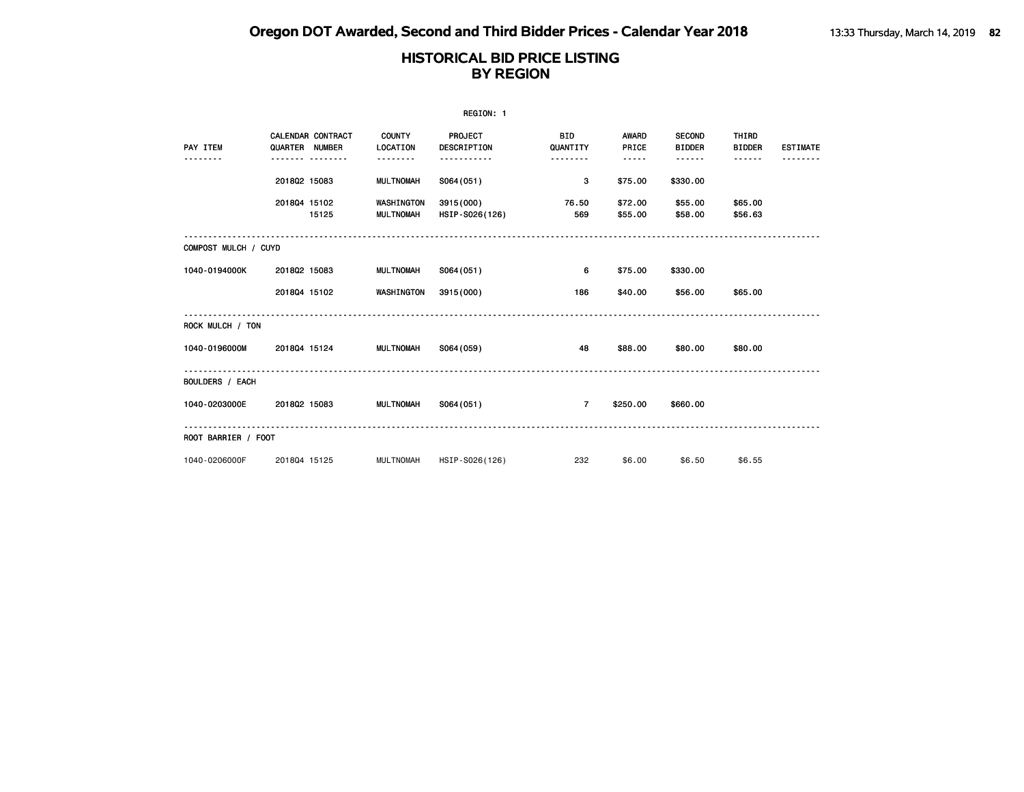|                        |                |                   |                                  | REGION: 1                     |                        |                |                                |                        |                 |
|------------------------|----------------|-------------------|----------------------------------|-------------------------------|------------------------|----------------|--------------------------------|------------------------|-----------------|
| PAY ITEM               | QUARTER NUMBER | CALENDAR CONTRACT | <b>COUNTY</b><br><b>LOCATION</b> | <b>PROJECT</b><br>DESCRIPTION | <b>BID</b><br>QUANTITY | AWARD<br>PRICE | <b>SECOND</b><br><b>BIDDER</b> | THIRD<br><b>BIDDER</b> | <b>ESTIMATE</b> |
|                        |                |                   | <b>.</b>                         |                               | <b>.</b>               | -----          | ------                         | ------                 |                 |
|                        | 201802 15083   |                   | <b>MULTNOMAH</b>                 | S064(051)                     | 3                      | \$75.00        | \$330.00                       |                        |                 |
|                        | 201804 15102   |                   | WASHINGTON                       | 3915 (000)                    | 76.50                  | \$72.00        | \$55.00                        | \$65.00                |                 |
|                        |                | 15125             | <b>MULTNOMAH</b>                 | HSIP-S026(126)                | 569                    | \$55.00        | \$58.00                        | \$56.63                |                 |
|                        |                |                   |                                  |                               |                        |                |                                |                        |                 |
| COMPOST MULCH / CUYD   |                |                   |                                  |                               |                        |                |                                |                        |                 |
| 1040-0194000K          | 201802 15083   |                   | <b>MULTNOMAH</b>                 | S064(051)                     | 6                      | \$75.00        | \$330.00                       |                        |                 |
|                        | 201804 15102   |                   | WASHINGTON                       | 3915 (000)                    | 186                    | \$40.00        | \$56.00                        | \$65.00                |                 |
| ROCK MULCH / TON       |                |                   |                                  |                               |                        |                |                                |                        |                 |
|                        |                |                   |                                  |                               |                        |                |                                |                        |                 |
| 1040-0196000M          | 201804 15124   |                   | <b>MULTNOMAH</b>                 | S064(059)                     | 48                     | \$88.00        | \$80.00                        | \$80.00                |                 |
| <b>BOULDERS / EACH</b> |                |                   |                                  |                               |                        |                |                                |                        |                 |
| 1040-0203000E          | 201802 15083   |                   | <b>MULTNOMAH</b>                 | S064(051)                     | $\overline{7}$         | \$250.00       | \$660.00                       |                        |                 |
|                        |                |                   |                                  |                               |                        |                |                                |                        |                 |
| ROOT BARRIER / FOOT    |                |                   |                                  |                               |                        |                |                                |                        |                 |
| 1040-0206000F          | 201804 15125   |                   | <b>MULTNOMAH</b>                 | HSIP-S026(126)                | 232                    | \$6,00         | \$6.50                         | \$6.55                 |                 |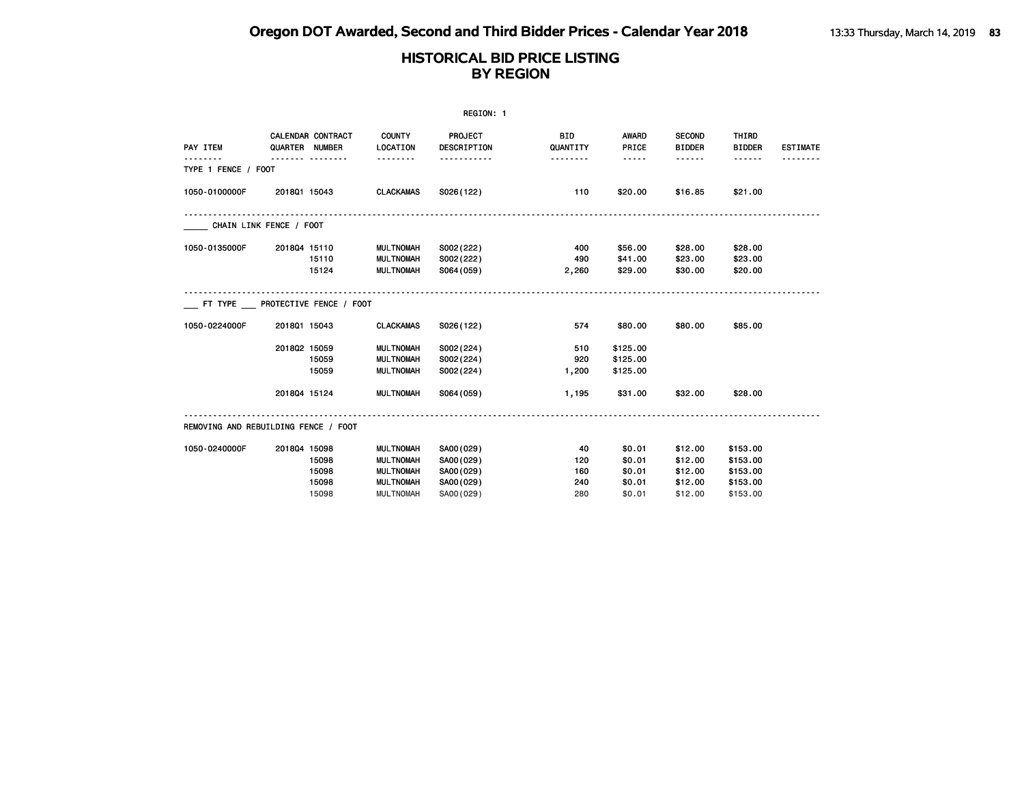| REGION: 1                            |                |                                  |                                                                                                  |                                                               |                                |                                                |                                                     |                                                          |                 |
|--------------------------------------|----------------|----------------------------------|--------------------------------------------------------------------------------------------------|---------------------------------------------------------------|--------------------------------|------------------------------------------------|-----------------------------------------------------|----------------------------------------------------------|-----------------|
| PAY ITEM                             | QUARTER NUMBER | CALENDAR CONTRACT                | <b>COUNTY</b><br>LOCATION                                                                        | PROJECT<br>DESCRIPTION                                        | <b>BID</b><br>QUANTITY         | AWARD<br>PRICE                                 | <b>SECOND</b><br><b>BIDDER</b>                      | THIRD<br><b>BIDDER</b>                                   | <b>ESTIMATE</b> |
| TYPE 1 FENCE / FOOT                  |                |                                  | <b>.</b>                                                                                         |                                                               | <u>.</u>                       | -----                                          | ------                                              | ------                                                   |                 |
| 1050-0100000F                        | 201801 15043   |                                  | <b>CLACKAMAS</b>                                                                                 | S026(122)                                                     | 110                            | \$20.00                                        | \$16.85                                             | \$21.00                                                  |                 |
| CHAIN LINK FENCE / FOOT              |                |                                  |                                                                                                  |                                                               |                                |                                                |                                                     |                                                          |                 |
| 1050-0135000F                        | 201804 15110   | 15110<br>15124                   | <b>MULTNOMAH</b><br><b>MULTNOMAH</b><br><b>MULTNOMAH</b>                                         | S002(222)<br>S002(222)<br>S064 (059)                          | 400<br>490<br>2,260            | \$56.00<br>\$41.00<br>\$29.00                  | \$28.00<br>\$23.00<br>\$30.00                       | \$28.00<br>\$23.00<br>\$20.00                            |                 |
| FT TYPE PROTECTIVE FENCE / FOOT      |                |                                  |                                                                                                  |                                                               |                                |                                                |                                                     |                                                          |                 |
| 1050-0224000F                        | 201801 15043   |                                  | <b>CLACKAMAS</b>                                                                                 | S026(122)                                                     | 574                            | \$80.00                                        | \$80.00                                             | \$85,00                                                  |                 |
|                                      | 201802 15059   | 15059<br>15059                   | <b>MULTNOMAH</b><br><b>MULTNOMAH</b><br><b>MULTNOMAH</b>                                         | S002(224)<br>S002(224)<br>S002(224)                           | 510<br>920<br>1,200            | \$125.00<br>\$125.00<br>\$125.00               |                                                     |                                                          |                 |
|                                      | 201804 15124   |                                  | <b>MULTNOMAH</b>                                                                                 | S064(059)                                                     | 1,195                          | \$31.00                                        | \$32.00                                             | \$28.00                                                  |                 |
| REMOVING AND REBUILDING FENCE / FOOT |                |                                  |                                                                                                  |                                                               |                                |                                                |                                                     |                                                          |                 |
| 1050-0240000F                        | 201804 15098   | 15098<br>15098<br>15098<br>15098 | <b>MULTNOMAH</b><br><b>MULTNOMAH</b><br><b>MULTNOMAH</b><br><b>MULTNOMAH</b><br><b>MULTNOMAH</b> | SA00(029)<br>SA00(029)<br>SA00(029)<br>SA00(029)<br>SA00(029) | 40<br>120<br>160<br>240<br>280 | \$0.01<br>\$0.01<br>\$0.01<br>\$0.01<br>\$0.01 | \$12.00<br>\$12.00<br>\$12.00<br>\$12.00<br>\$12.00 | \$153.00<br>\$153.00<br>\$153.00<br>\$153.00<br>\$153.00 |                 |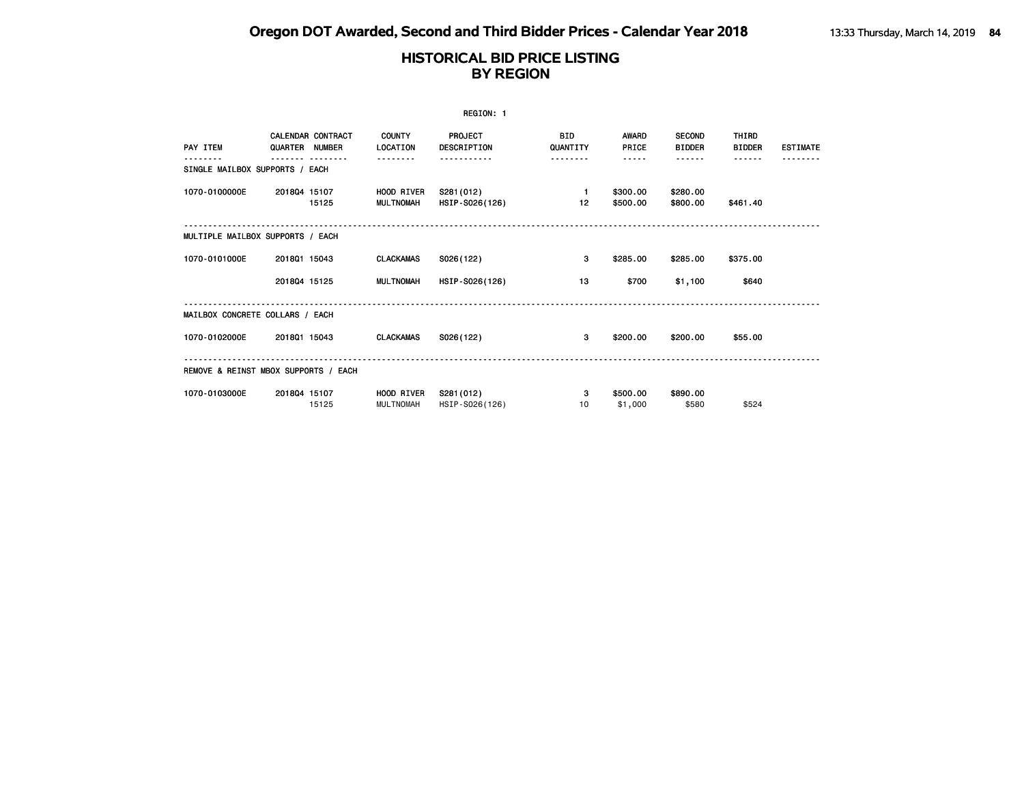| <b>BID</b><br><b>CALENDAR CONTRACT</b><br><b>COUNTY</b><br>AWARD<br><b>SECOND</b><br>THIRD<br>PROJECT<br>PAY ITEM<br>QUARTER NUMBER<br>PRICE<br><b>BIDDER</b><br><b>BIDDER</b><br>LOCATION<br><b>DESCRIPTION</b><br>QUANTITY<br><b>ESTIMATE</b><br><b>.</b><br>------<br>.<br>SINGLE MAILBOX SUPPORTS / EACH |  |
|--------------------------------------------------------------------------------------------------------------------------------------------------------------------------------------------------------------------------------------------------------------------------------------------------------------|--|
|                                                                                                                                                                                                                                                                                                              |  |
|                                                                                                                                                                                                                                                                                                              |  |
| 1070-0100000E<br>201804 15107<br><b>HOOD RIVER</b><br>S281 (012)<br>\$300.00<br>\$280.00<br>$\blacksquare$<br>15125<br>HSIP-S026(126)<br>\$500.00<br>\$800.00<br><b>MULTNOMAH</b><br>12<br>\$461.40                                                                                                          |  |
| MULTIPLE MAILBOX SUPPORTS / EACH                                                                                                                                                                                                                                                                             |  |
| <b>CLACKAMAS</b><br>S026(122)<br>3<br>\$285,00<br>\$285.00<br>\$375.00<br>1070-0101000E<br>201801 15043                                                                                                                                                                                                      |  |
| 201804 15125<br>13<br>\$1,100<br>\$640<br><b>MULTNOMAH</b><br>HSIP-S026(126)<br>\$700                                                                                                                                                                                                                        |  |
| MAILBOX CONCRETE COLLARS / EACH                                                                                                                                                                                                                                                                              |  |
| <b>CLACKAMAS</b><br>3<br>1070-0102000E<br>201801 15043<br>S026(122)<br>\$200.00<br>\$200.00<br>\$55.00                                                                                                                                                                                                       |  |
| REMOVE & REINST MBOX SUPPORTS / EACH                                                                                                                                                                                                                                                                         |  |
| 201804 15107<br><b>HOOD RIVER</b><br>1070-0103000E<br>\$500.00<br>\$890.00<br>S281 (012)<br>3<br>15125<br>\$580<br><b>MULTNOMAH</b><br>HSIP-S026(126)<br>\$1,000<br>\$524<br>10                                                                                                                              |  |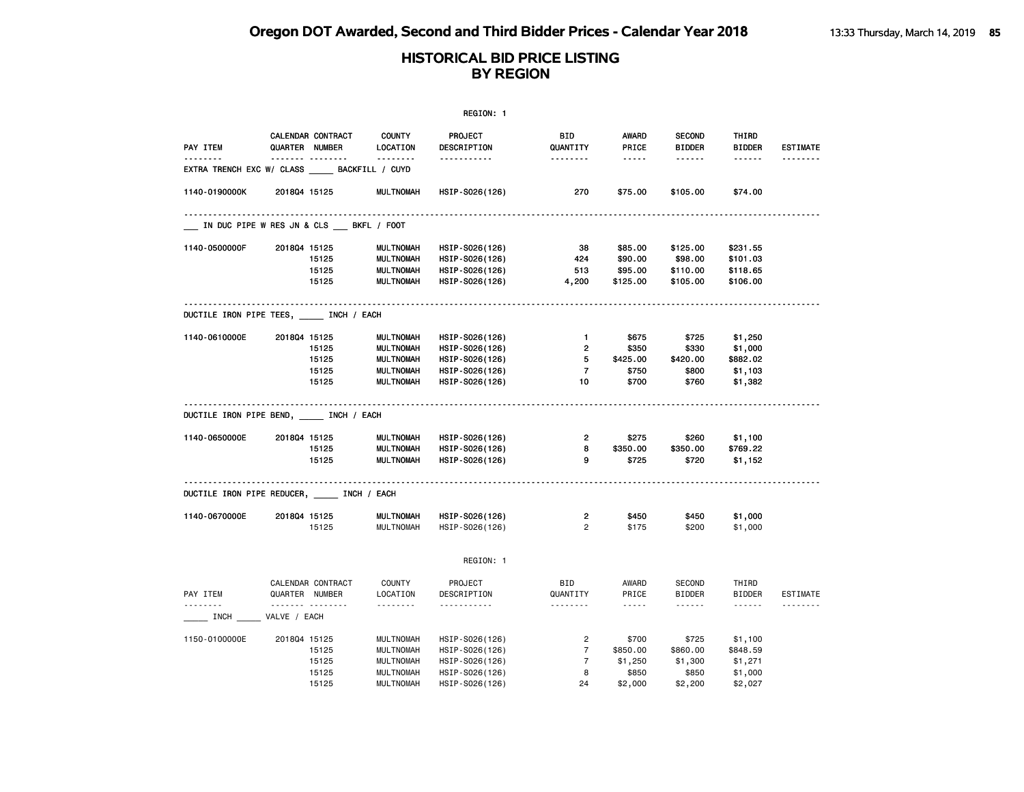| PAY ITEM                                                   |                           | CALENDAR CONTRACT | COUNTY                            | PROJECT          | BID                  | AWARD                                       | <b>SECOND</b>           | THIRD<br><b>BIDDER</b> | <b>ESTIMATE</b> |
|------------------------------------------------------------|---------------------------|-------------------|-----------------------------------|------------------|----------------------|---------------------------------------------|-------------------------|------------------------|-----------------|
| .                                                          | QUARTER NUMBER<br><u></u> |                   | LOCATION<br><u> - - - - - - -</u> | DESCRIPTION<br>. | QUANTITY<br>-------- | PRICE<br>$\cdots \cdots$                    | <b>BIDDER</b><br>------ | ------                 | .               |
| EXTRA TRENCH EXC W/ CLASS BACKFILL / CUYD                  |                           |                   |                                   |                  |                      |                                             |                         |                        |                 |
| 1140-0190000K                                              | 201804 15125              |                   | <b>MULTNOMAH</b>                  | HSIP-S026(126)   | 270                  | \$75.00                                     | \$105.00                | \$74.00                |                 |
| IN DUC PIPE W RES JN & CLS ___ BKFL / FOOT                 |                           |                   |                                   |                  |                      |                                             |                         |                        |                 |
| 1140-0500000F                                              | 201804 15125              |                   | <b>MULTNOMAH</b>                  | HSIP-S026(126)   | - 38                 | \$85.00                                     | \$125.00                | \$231.55               |                 |
|                                                            |                           | 15125             | <b>MULTNOMAH</b>                  | HSIP-S026(126)   | 424                  | \$90.00                                     | \$98.00                 | \$101.03               |                 |
|                                                            |                           | 15125             | <b>MULTNOMAH</b>                  | HSIP-S026(126)   | 513                  | \$95.00                                     | \$110.00                | \$118.65               |                 |
|                                                            |                           | 15125             | MULTNOMAH                         | HSIP-S026(126)   | 4,200                | \$125.00                                    | \$105.00                | \$106.00               |                 |
| DUCTILE IRON PIPE TEES, MINCH / EACH                       |                           |                   |                                   |                  |                      |                                             |                         |                        |                 |
| 1140-0610000E                                              | 201804 15125              |                   | <b>MULTNOMAH</b>                  | HSIP-S026(126)   | $\blacksquare$       | \$675                                       | \$725                   | \$1,250                |                 |
|                                                            |                           | 15125             | MULTNOMAH                         | HSIP-S026(126)   | $\overline{2}$       | \$350                                       | \$330                   | \$1,000                |                 |
|                                                            |                           | 15125             | <b>MULTNOMAH</b>                  | HSIP-S026(126)   | 5                    | \$425.00                                    | \$420.00                | \$882.02               |                 |
|                                                            |                           | 15125             | <b>MULTNOMAH</b>                  | HSIP-S026(126)   | $\mathbf{7}$         | \$750                                       | \$800                   | \$1,103                |                 |
|                                                            |                           |                   |                                   |                  | 10                   | \$700                                       | \$760                   | \$1,382                |                 |
|                                                            |                           | 15125             | MULTNOMAH                         | HSIP-S026(126)   |                      |                                             |                         |                        |                 |
|                                                            |                           |                   |                                   |                  |                      |                                             |                         |                        |                 |
|                                                            | 201804 15125              |                   | MULTNOMAH                         | HSIP-S026(126)   | $2^{\circ}$          | \$275                                       | \$260                   | \$1,100                |                 |
| DUCTILE IRON PIPE BEND, _____ INCH / EACH<br>1140-0650000E |                           | 15125             | MULTNOMAH                         | HSIP-S026(126)   | 8                    | \$350.00                                    | \$350.00                | \$769.22               |                 |
|                                                            |                           | 15125             | <b>MULTNOMAH</b>                  | HSIP-S026(126)   | 9                    | \$725                                       | \$720                   | \$1,152                |                 |
|                                                            |                           |                   |                                   |                  |                      |                                             |                         |                        |                 |
| DUCTILE IRON PIPE REDUCER, INCH / EACH<br>1140-0670000E    | 201804 15125              |                   | MULTNOMAH                         | HSIP-S026(126)   | $\overline{2}$       | \$450                                       | \$450                   | \$1,000                |                 |
|                                                            |                           | 15125             | MULTNOMAH                         | HSIP-S026(126)   | $\overline{2}$       | \$175                                       | \$200                   | \$1,000                |                 |
|                                                            |                           |                   |                                   | REGION: 1        |                      |                                             |                         |                        |                 |
|                                                            |                           | CALENDAR CONTRACT | COUNTY                            | PROJECT          | BID                  | AWARD                                       | SECOND                  | THIRD                  |                 |
|                                                            | QUARTER NUMBER<br>.       |                   | LOCATION                          | DESCRIPTION      | QUANTITY             | PRICE<br>$\sim$ $\sim$ $\sim$ $\sim$ $\sim$ | BIDDER                  | BIDDER                 |                 |
| PAY ITEM<br><u>.</u><br>INCH VALVE / EACH                  |                           |                   | .                                 | -----------      | .                    |                                             | .                       | $\cdots \cdots \cdots$ | ESTIMATE<br>.   |
|                                                            | 201804 15125              |                   | <b>MULTNOMAH</b>                  | HSIP-S026(126)   | $\overline{2}$       | \$700                                       | \$725                   | \$1,100                |                 |
| 1150-0100000E                                              |                           | 15125             | <b>MULTNOMAH</b>                  | HSIP-S026(126)   | $\overline{7}$       | \$850.00                                    | \$860.00                | \$848.59               |                 |
|                                                            |                           | 15125             | <b>MULTNOMAH</b>                  | HSIP-S026(126)   | $\overline{7}$       | \$1,250                                     | \$1,300                 | \$1,271                |                 |
|                                                            |                           | 15125             | <b>MULTNOMAH</b>                  | HSIP-S026(126)   | 8                    | \$850                                       | \$850                   | \$1,000                |                 |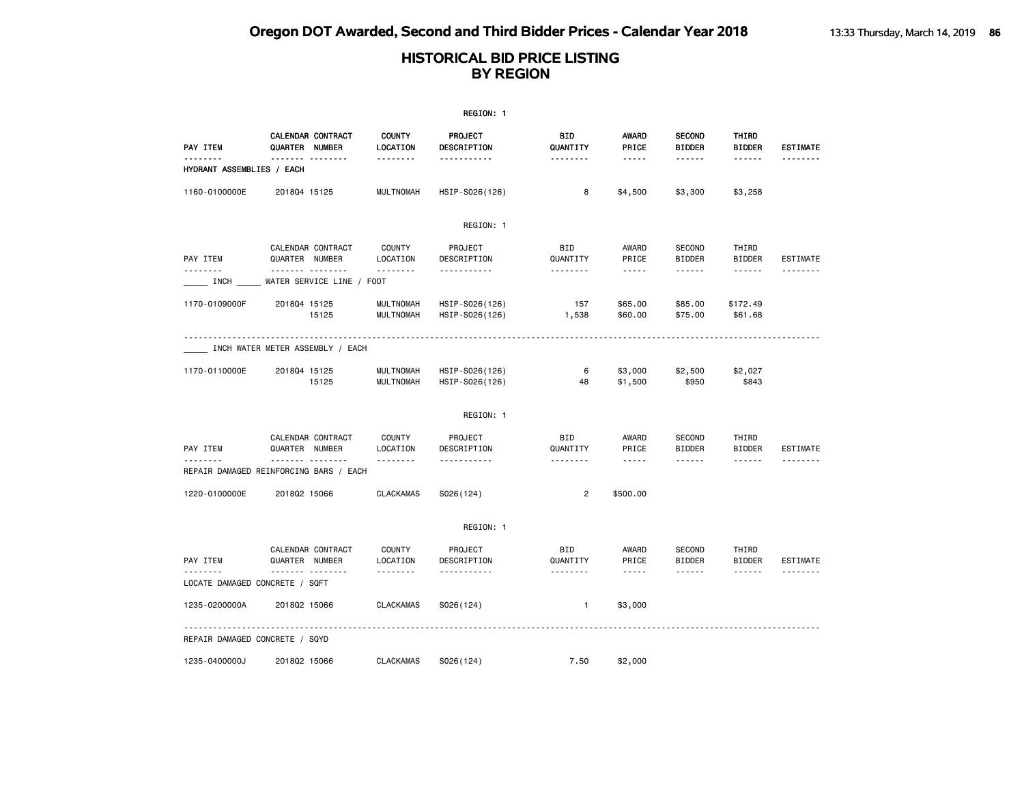|                                       |                                                         |                                      | REGION: 1                        |                        |                                                                                                                                                      |                                |                        |                 |
|---------------------------------------|---------------------------------------------------------|--------------------------------------|----------------------------------|------------------------|------------------------------------------------------------------------------------------------------------------------------------------------------|--------------------------------|------------------------|-----------------|
| PAY ITEM                              | CALENDAR CONTRACT<br><b>QUARTER NUMBER</b>              | <b>COUNTY</b><br>LOCATION            | <b>PROJECT</b><br>DESCRIPTION    | BID<br>QUANTITY        | <b>AWARD</b><br>PRICE                                                                                                                                | <b>SECOND</b><br><b>BIDDER</b> | THIRD<br><b>BIDDER</b> | <b>ESTIMATE</b> |
| <u>.</u><br>HYDRANT ASSEMBLIES / EACH | ------- --------                                        | --------                             | <u>.</u>                         | --------               | .                                                                                                                                                    | ------                         | ------                 |                 |
| 1160-0100000E                         | 201804 15125                                            | <b>MULTNOMAH</b>                     | HSIP-S026(126)                   | 8                      | \$4,500                                                                                                                                              | \$3,300                        | \$3,258                |                 |
|                                       |                                                         |                                      | REGION: 1                        |                        |                                                                                                                                                      |                                |                        |                 |
| PAY ITEM                              | CALENDAR CONTRACT<br>QUARTER NUMBER                     | <b>COUNTY</b><br>LOCATION            | PROJECT<br>DESCRIPTION           | BID<br>QUANTITY        | AWARD<br>PRICE                                                                                                                                       | <b>SECOND</b><br><b>BIDDER</b> | THIRD<br><b>BIDDER</b> | ESTIMATE        |
|                                       | .<br>INCH WATER SERVICE LINE / FOOT                     |                                      | .                                | <u>.</u>               | $\frac{1}{2} \left( \frac{1}{2} \right) \left( \frac{1}{2} \right) \left( \frac{1}{2} \right) \left( \frac{1}{2} \right) \left( \frac{1}{2} \right)$ | ------                         | <b>.</b>               | .               |
| 1170-0109000F                         | 201804 15125<br>15125                                   | <b>MULTNOMAH</b><br><b>MULTNOMAH</b> | HSIP-S026(126)<br>HSIP-S026(126) | 157<br>1,538           | \$65.00<br>\$60.00                                                                                                                                   | \$85.00<br>\$75.00             | \$172.49<br>\$61.68    |                 |
|                                       | INCH WATER METER ASSEMBLY / EACH                        |                                      |                                  |                        |                                                                                                                                                      |                                |                        |                 |
| 1170-0110000E                         | 201804 15125<br>15125                                   | <b>MULTNOMAH</b><br><b>MULTNOMAH</b> | HSIP-S026(126)<br>HSIP-S026(126) | 6<br>48                | \$3,000<br>\$1,500                                                                                                                                   | \$2,500<br>\$950               | \$2,027<br>\$843       |                 |
|                                       |                                                         |                                      | REGION: 1                        |                        |                                                                                                                                                      |                                |                        |                 |
| PAY ITEM                              | CALENDAR CONTRACT<br>QUARTER NUMBER                     | <b>COUNTY</b><br>LOCATION            | PROJECT<br>DESCRIPTION           | BID<br>QUANTITY        | AWARD<br>PRICE                                                                                                                                       | <b>SECOND</b><br><b>BIDDER</b> | THIRD<br><b>BIDDER</b> | ESTIMATE        |
| <u>.</u>                              | <u>.</u><br>.<br>REPAIR DAMAGED REINFORCING BARS / EACH | .                                    | .                                | .                      | $\frac{1}{2}$                                                                                                                                        | $- - - - - -$                  | $- - - - - -$          | <u>.</u>        |
| 1220-0100000E                         | 201802 15066                                            | <b>CLACKAMAS</b>                     | S026(124)                        | $\overline{c}$         | \$500.00                                                                                                                                             |                                |                        |                 |
|                                       |                                                         |                                      | REGION: 1                        |                        |                                                                                                                                                      |                                |                        |                 |
| PAY ITEM                              | CALENDAR CONTRACT<br>QUARTER NUMBER                     | <b>COUNTY</b><br>LOCATION            | PROJECT<br>DESCRIPTION           | <b>BID</b><br>QUANTITY | AWARD<br>PRICE                                                                                                                                       | <b>SECOND</b><br><b>BIDDER</b> | THIRD<br><b>BIDDER</b> | <b>ESTIMATE</b> |
| <u>.</u>                              | .<br>LOCATE DAMAGED CONCRETE / SQFT                     | .                                    | .                                | .                      | $\frac{1}{2} \frac{1}{2} \frac{1}{2} \frac{1}{2} \frac{1}{2} \frac{1}{2} \frac{1}{2} \frac{1}{2} \frac{1}{2}$                                        | ------                         | ------                 | <u>.</u>        |
| 1235-0200000A                         | 201802 15066                                            | <b>CLACKAMAS</b>                     | S026(124)                        | 1                      | \$3,000                                                                                                                                              |                                |                        |                 |
|                                       | REPAIR DAMAGED CONCRETE / SQYD                          |                                      |                                  |                        |                                                                                                                                                      |                                |                        |                 |
| 1235-0400000J                         | 201802 15066                                            | <b>CLACKAMAS</b>                     | S026(124)                        | 7.50                   | \$2,000                                                                                                                                              |                                |                        |                 |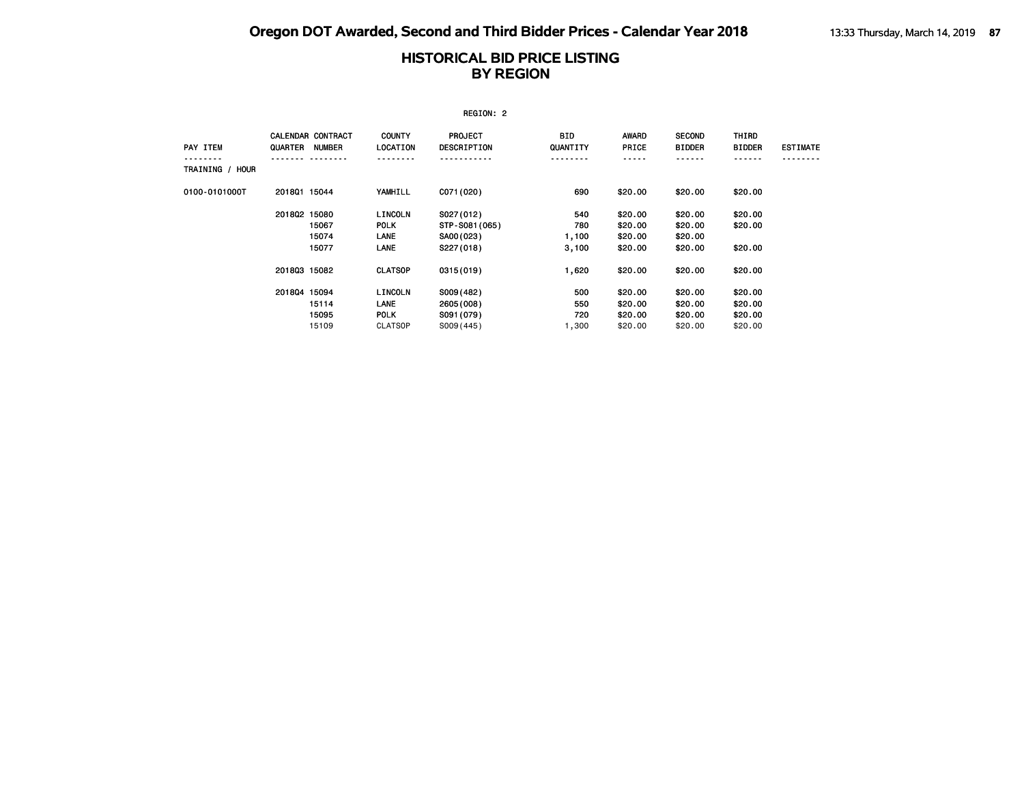| REGION: 2       |              |                                           |                                                         |                                                       |                              |                                          |                                          |                                          |                 |  |  |  |
|-----------------|--------------|-------------------------------------------|---------------------------------------------------------|-------------------------------------------------------|------------------------------|------------------------------------------|------------------------------------------|------------------------------------------|-----------------|--|--|--|
| PAY ITEM        | QUARTER      | <b>CALENDAR CONTRACT</b><br><b>NUMBER</b> | <b>COUNTY</b><br>LOCATION                               | PROJECT<br><b>DESCRIPTION</b>                         | BID<br>QUANTITY              | <b>AWARD</b><br>PRICE                    | <b>SECOND</b><br><b>BIDDER</b>           | THIRD<br><b>BIDDER</b>                   | <b>ESTIMATE</b> |  |  |  |
| TRAINING / HOUR |              |                                           |                                                         |                                                       |                              | . <b>.</b>                               |                                          |                                          |                 |  |  |  |
| 0100-0101000T   | 201801 15044 |                                           | YAMHILL                                                 | C071 (020)                                            | 690                          | \$20.00                                  | \$20.00                                  | \$20.00                                  |                 |  |  |  |
|                 | 201802 15080 | 15067<br>15074<br>15077                   | LINCOLN<br><b>POLK</b><br>LANE<br>LANE                  | S027(012)<br>STP-S081 (065)<br>SA00(023)<br>S227(018) | 540<br>780<br>1,100<br>3,100 | \$20.00<br>\$20.00<br>\$20.00<br>\$20.00 | \$20.00<br>\$20.00<br>\$20.00<br>\$20.00 | \$20.00<br>\$20.00<br>\$20.00            |                 |  |  |  |
|                 | 201803 15082 |                                           | <b>CLATSOP</b>                                          | 0315(019)                                             | 1,620                        | \$20.00                                  | \$20.00                                  | \$20.00                                  |                 |  |  |  |
|                 | 201804 15094 | 15114<br>15095<br>15109                   | <b>LINCOLN</b><br>LANE<br><b>POLK</b><br><b>CLATSOP</b> | S009(482)<br>2605 (008)<br>S091 (079)<br>S009(445)    | 500<br>550<br>720<br>1,300   | \$20.00<br>\$20.00<br>\$20.00<br>\$20.00 | \$20.00<br>\$20.00<br>\$20.00<br>\$20.00 | \$20.00<br>\$20.00<br>\$20.00<br>\$20.00 |                 |  |  |  |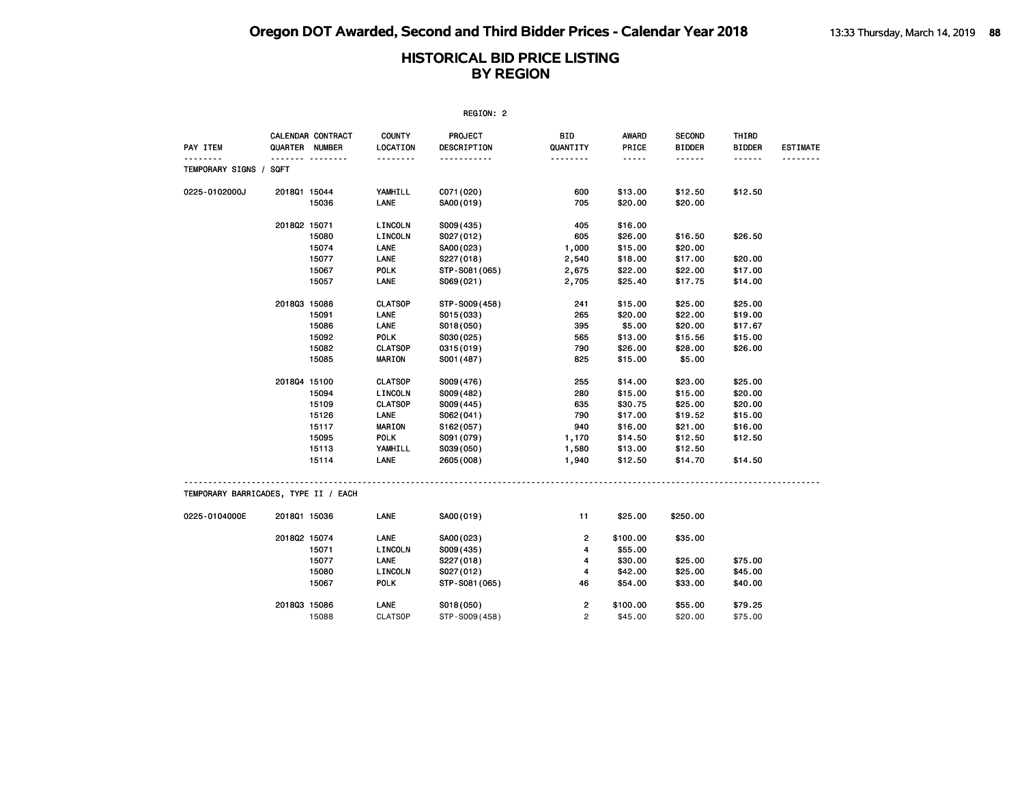|                                      | REGION: 2             |                   |                           |                        |                         |                |                                |                        |          |  |  |
|--------------------------------------|-----------------------|-------------------|---------------------------|------------------------|-------------------------|----------------|--------------------------------|------------------------|----------|--|--|
| PAY ITEM                             | <b>QUARTER NUMBER</b> | CALENDAR CONTRACT | <b>COUNTY</b><br>LOCATION | PROJECT<br>DESCRIPTION | BID<br>QUANTITY         | AWARD<br>PRICE | <b>SECOND</b><br><b>BIDDER</b> | THIRD<br><b>BIDDER</b> | ESTIMATE |  |  |
| TEMPORARY SIGNS /                    | <b>SQFT</b>           | <b>.</b>          |                           | .                      | .                       | .              | .                              |                        | <u>.</u> |  |  |
| 0225-0102000J                        | 2018Q1 15044          |                   | YAMHILL                   | C071 (020)             | 600                     | \$13.00        | \$12.50                        | \$12.50                |          |  |  |
|                                      |                       | 15036             | LANE                      | SA00(019)              | 705                     | \$20.00        | \$20.00                        |                        |          |  |  |
|                                      | 201802 15071          |                   | LINCOLN                   | S009(435)              | 405                     | \$16.00        |                                |                        |          |  |  |
|                                      |                       | 15080             | LINCOLN                   | S027(012)              | 605                     | \$26.00        | \$16.50                        | \$26.50                |          |  |  |
|                                      |                       | 15074             | LANE                      | SA00(023)              | 1,000                   | \$15.00        | \$20.00                        |                        |          |  |  |
|                                      |                       | 15077             | LANE                      | S227(018)              | 2,540                   | \$18.00        | \$17.00                        | \$20.00                |          |  |  |
|                                      |                       | 15067             | POLK                      | STP-S081 (065)         | 2,675                   | \$22.00        | \$22.00                        | \$17.00                |          |  |  |
|                                      |                       | 15057             | LANE                      | S069(021)              | 2,705                   | \$25.40        | \$17.75                        | \$14.00                |          |  |  |
|                                      | 201803 15088          |                   | <b>CLATSOP</b>            | STP-S009(458)          | 241                     | \$15.00        | \$25.00                        | \$25.00                |          |  |  |
|                                      |                       | 15091             | LANE                      | S015(033)              | 265                     | \$20.00        | \$22.00                        | \$19.00                |          |  |  |
|                                      |                       | 15086             | LANE                      | S018(050)              | 395                     | \$5.00         | \$20.00                        | \$17.67                |          |  |  |
|                                      |                       | 15092             | POLK                      | S030(025)              | 565                     | \$13.00        | \$15.56                        | \$15.00                |          |  |  |
|                                      |                       | 15082             | <b>CLATSOP</b>            | 0315 (019)             | 790                     | \$26.00        | \$28.00                        | \$26.00                |          |  |  |
|                                      |                       | 15085             | MARION                    | S001 (487)             | 825                     | \$15.00        | \$5.00                         |                        |          |  |  |
|                                      | 201804 15100          |                   | <b>CLATSOP</b>            | S009(476)              | 255                     | \$14.00        | \$23.00                        | \$25.00                |          |  |  |
|                                      |                       | 15094             | LINCOLN                   | S009(482)              | 280                     | \$15.00        | \$15.00                        | \$20.00                |          |  |  |
|                                      |                       | 15109             | <b>CLATSOP</b>            | S009(445)              | 635                     | \$30.75        | \$25.00                        | \$20.00                |          |  |  |
|                                      |                       | 15126             | LANE                      | S062(041)              | 790                     | \$17.00        | \$19.52                        | \$15.00                |          |  |  |
|                                      |                       | 15117             | MARION                    | S162(057)              | 940                     | \$16.00        | \$21.00                        | \$16.00                |          |  |  |
|                                      |                       | 15095             | <b>POLK</b>               | S091 (079)             | 1,170                   | \$14.50        | \$12.50                        | \$12.50                |          |  |  |
|                                      |                       | 15113             | YAMHILL                   | S039(050)              | 1,580                   | \$13.00        | \$12.50                        |                        |          |  |  |
|                                      |                       | 15114             | LANE                      | 2605 (008)             | 1,940                   | \$12.50        | \$14.70                        | \$14.50                |          |  |  |
| TEMPORARY BARRICADES, TYPE II / EACH |                       |                   |                           |                        |                         |                |                                |                        |          |  |  |
| 0225-0104000E                        | 201801 15036          |                   | LANE                      | SA00(019)              | 11                      | \$25.00        | \$250.00                       |                        |          |  |  |
|                                      | 201802 15074          |                   | LANE                      | SA00(023)              | $\overline{2}$          | \$100.00       | \$35.00                        |                        |          |  |  |
|                                      |                       | 15071             | LINCOLN                   | S009(435)              | $\overline{\mathbf{4}}$ | \$55.00        |                                |                        |          |  |  |
|                                      |                       | 15077             | LANE                      | S227(018)              | 4                       | \$30.00        | \$25.00                        | \$75.00                |          |  |  |
|                                      |                       | 15080             | LINCOLN                   | S027 (012)             | 4                       | \$42.00        | \$25.00                        | \$45.00                |          |  |  |
|                                      |                       | 15067             | <b>POLK</b>               | STP-S081 (065)         | 46                      | \$54.00        | \$33.00                        | \$40.00                |          |  |  |
|                                      | 201803 15086          |                   | LANE                      | S018(050)              | $\overline{2}$          | \$100.00       | \$55.00                        | \$79.25                |          |  |  |
|                                      |                       | 15088             | <b>CLATSOP</b>            | STP-S009(458)          | $\overline{2}$          | \$45.00        | \$20.00                        | \$75.00                |          |  |  |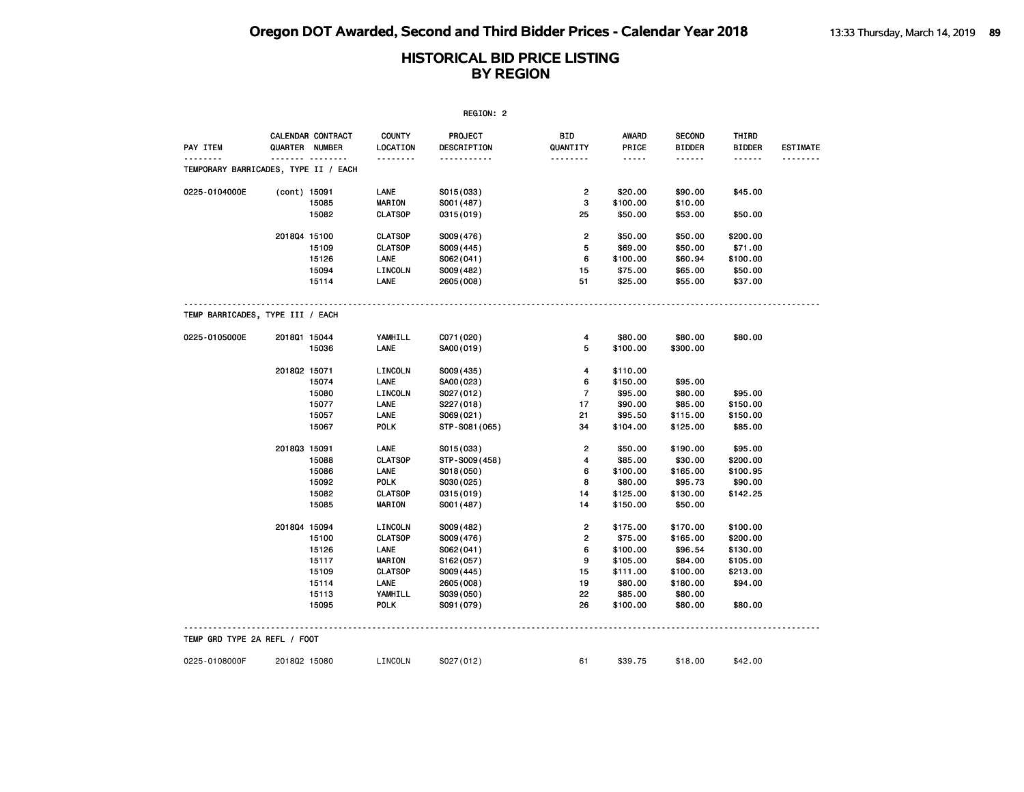|                                      |              |                                     |                           | REGION: 2              |                 |                       |                                |                        |                      |
|--------------------------------------|--------------|-------------------------------------|---------------------------|------------------------|-----------------|-----------------------|--------------------------------|------------------------|----------------------|
| PAY ITEM<br><u>.</u>                 |              | CALENDAR CONTRACT<br>QUARTER NUMBER | <b>COUNTY</b><br>LOCATION | PROJECT<br>DESCRIPTION | BID<br>QUANTITY | <b>AWARD</b><br>PRICE | <b>SECOND</b><br><b>BIDDER</b> | THIRD<br><b>BIDDER</b> | <b>ESTIMATE</b><br>. |
| TEMPORARY BARRICADES, TYPE II / EACH |              | .                                   | .                         | <u>.</u>               | <u>.</u>        | $- - - - -$           |                                | $- - - - - -$          |                      |
| 0225-0104000E                        | (cont) 15091 |                                     | LANE                      | S015(033)              | $\overline{2}$  | \$20.00               | \$90.00                        | \$45.00                |                      |
|                                      |              | 15085                               | <b>MARION</b>             | S001 (487)             | з               | \$100.00              | \$10.00                        |                        |                      |
|                                      |              | 15082                               | <b>CLATSOP</b>            | 0315 (019)             | 25              | \$50.00               | \$53.00                        | \$50.00                |                      |
|                                      | 201804 15100 |                                     | <b>CLATSOP</b>            | S009(476)              | $\overline{2}$  | \$50.00               | \$50.00                        | \$200.00               |                      |
|                                      |              | 15109                               | <b>CLATSOP</b>            | S009(445)              | 5               | \$69.00               | \$50.00                        | \$71.00                |                      |
|                                      |              | 15126                               | LANE                      | S062(041)              | 6               | \$100.00              | \$60.94                        | \$100.00               |                      |
|                                      |              | 15094                               | LINCOLN                   | S009(482)              | 15              | \$75.00               | \$65.00                        | \$50.00                |                      |
|                                      |              | 15114                               | LANE                      | 2605 (008)             | 51              | \$25.00               | \$55.00                        | \$37.00                |                      |
| TEMP BARRICADES, TYPE III / EACH     |              |                                     |                           |                        |                 |                       |                                |                        |                      |
| 0225-0105000E                        | 201801 15044 |                                     | YAMHILL                   | C071 (020)             | 4               | \$80.00               | \$80.00                        | \$80.00                |                      |
|                                      |              | 15036                               | LANE                      | SA00(019)              | 5               | \$100.00              | \$300.00                       |                        |                      |
|                                      | 201802 15071 |                                     | LINCOLN                   | S009(435)              | 4               | \$110.00              |                                |                        |                      |
|                                      |              | 15074                               | LANE                      | SA00(023)              | 6               | \$150.00              | \$95.00                        |                        |                      |
|                                      |              | 15080                               | LINCOLN                   | S027(012)              | $\overline{7}$  | \$95.00               | \$80.00                        | \$95.00                |                      |
|                                      |              | 15077                               | LANE                      | S227 (018)             | 17              | \$90.00               | \$85.00                        | \$150.00               |                      |
|                                      |              | 15057                               | LANE                      | S069(021)              | 21              | \$95.50               | \$115.00                       | \$150.00               |                      |
|                                      |              | 15067                               | <b>POLK</b>               | STP-S081 (065)         | 34              | \$104.00              | \$125.00                       | \$85.00                |                      |
|                                      | 201803 15091 |                                     | LANE                      | S015(033)              | $\overline{2}$  | \$50.00               | \$190.00                       | \$95.00                |                      |
|                                      |              | 15088                               | <b>CLATSOP</b>            | STP-S009(458)          | 4               | \$85.00               | \$30.00                        | \$200.00               |                      |
|                                      |              | 15086                               | LANE                      | S018(050)              | 6               | \$100.00              | \$165.00                       | \$100.95               |                      |
|                                      |              | 15092                               | <b>POLK</b>               | S030(025)              | 8               | \$80.00               | \$95.73                        | \$90.00                |                      |
|                                      |              | 15082                               | <b>CLATSOP</b>            | 0315 (019)             | 14              | \$125.00              | \$130.00                       | \$142.25               |                      |
|                                      |              | 15085                               | MARION                    | S001 (487)             | 14              | \$150.00              | \$50.00                        |                        |                      |
|                                      | 201804 15094 |                                     | LINCOLN                   | S009(482)              | 2               | \$175.00              | \$170.00                       | \$100.00               |                      |
|                                      |              | 15100                               | <b>CLATSOP</b>            | S009 (476)             | 2               | \$75.00               | \$165.00                       | \$200.00               |                      |
|                                      |              | 15126                               | LANE                      | S062(041)              | 6               | \$100.00              | \$96.54                        | \$130.00               |                      |
|                                      |              | 15117                               | <b>MARION</b>             | S162(057)              | 9               | \$105.00              | \$84.00                        | \$105.00               |                      |
|                                      |              | 15109                               | <b>CLATSOP</b>            | S009(445)              | 15              | \$111.00              | \$100.00                       | \$213.00               |                      |
|                                      |              | 15114                               | LANE                      | 2605 (008)             | 19              | \$80.00               | \$180.00                       | \$94.00                |                      |
|                                      |              | 15113                               | YAMHILL                   | S039(050)              | 22              | \$85.00               | \$80.00                        |                        |                      |
|                                      |              | 15095                               | <b>POLK</b>               | S091 (079)             | 26              | \$100.00              | \$80.00                        | \$80.00                |                      |
| TEMP GRD TYPE 2A REFL / FOOT         |              |                                     |                           |                        |                 |                       |                                |                        |                      |
| 0225-0108000F                        | 201802 15080 |                                     | LINCOLN                   | S027(012)              | 61              | \$39.75               | \$18.00                        | \$42.00                |                      |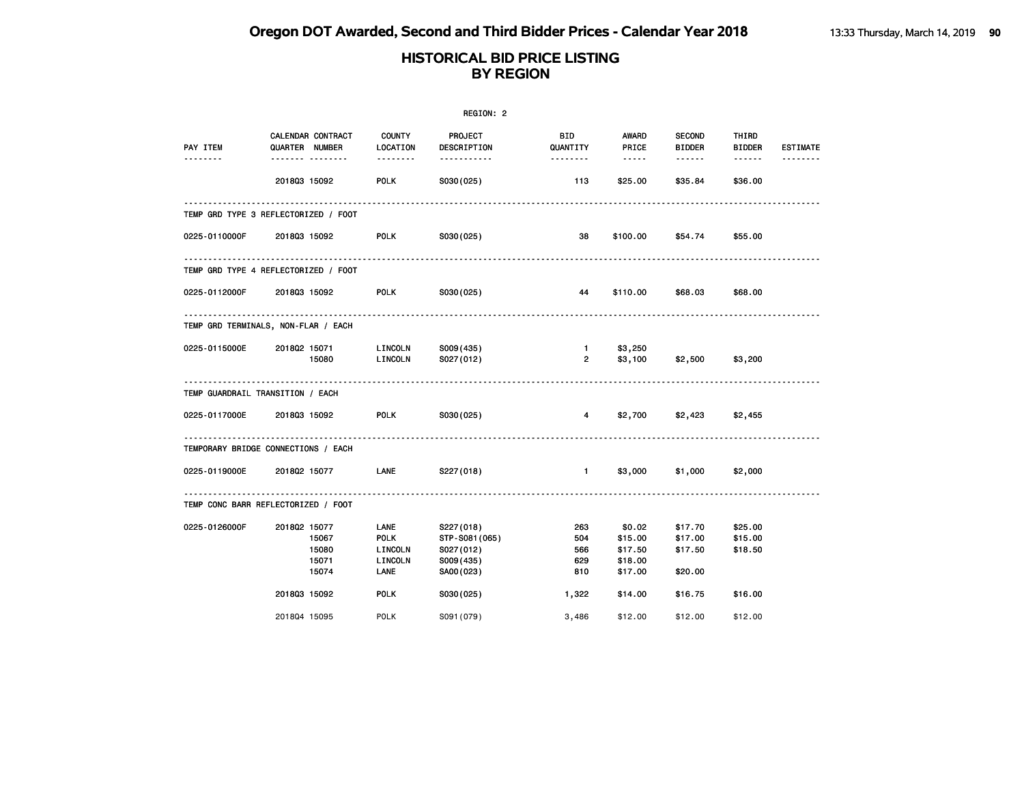|                                      |              |                                                |                                                          | REGION: 2                                                         |                                    |                                                                                                                     |                                           |                               |                      |
|--------------------------------------|--------------|------------------------------------------------|----------------------------------------------------------|-------------------------------------------------------------------|------------------------------------|---------------------------------------------------------------------------------------------------------------------|-------------------------------------------|-------------------------------|----------------------|
| PAY ITEM<br>.                        |              | CALENDAR CONTRACT COUNTY<br>QUARTER NUMBER<br> | LOCATION<br><b></b>                                      | <b>PROJECT</b><br>DESCRIPTION<br><u></u>                          | <b>BID</b><br>QUANTITY<br><u>.</u> | AWARD<br>PRICE<br>$\begin{array}{cccccccccc} \bullet & \bullet & \bullet & \bullet & \bullet & \bullet \end{array}$ | <b>SECOND</b><br><b>BIDDER</b><br><b></b> | THIRD<br><b>BIDDER</b>        | <b>ESTIMATE</b><br>. |
|                                      |              | 201803 15092                                   | POLK                                                     | S030(025)                                                         | 113                                | \$25.00                                                                                                             | \$35.84                                   | \$36.00                       |                      |
| TEMP GRD TYPE 3 REFLECTORIZED / FOOT |              |                                                |                                                          |                                                                   |                                    |                                                                                                                     |                                           |                               |                      |
| 0225-0110000F 2018Q3 15092           |              |                                                | <b>POLK</b>                                              | S030(025)                                                         | 38                                 | \$100.00                                                                                                            | \$54.74                                   | \$55.00                       |                      |
| TEMP GRD TYPE 4 REFLECTORIZED / FOOT |              |                                                |                                                          |                                                                   |                                    |                                                                                                                     |                                           |                               |                      |
| 0225-0112000F 2018Q3 15092           |              |                                                | <b>POLK</b>                                              | S030(025)                                                         | 44                                 | \$110.00                                                                                                            | \$68.03                                   | \$68.00                       |                      |
| TEMP GRD TERMINALS, NON-FLAR / EACH  | .            |                                                |                                                          |                                                                   |                                    |                                                                                                                     |                                           |                               |                      |
| 0225-0115000E 2018Q2 15071           |              | 15080                                          | <b>LINCOLN</b><br>LINCOLN                                | S009(435)<br>S027(012)                                            | $\mathbf{1}$<br>$\overline{2}$     | \$3,250<br>\$3,100                                                                                                  | \$2,500                                   | \$3,200                       |                      |
| TEMP GUARDRAIL TRANSITION / EACH     |              |                                                |                                                          |                                                                   |                                    |                                                                                                                     |                                           |                               |                      |
| 0225-0117000E 2018Q3 15092           |              | <b>POLK</b>                                    |                                                          | S030(025)                                                         | $\overline{4}$                     | \$2,700                                                                                                             | \$2,423                                   | \$2,455                       |                      |
| TEMPORARY BRIDGE CONNECTIONS / EACH  |              |                                                |                                                          |                                                                   |                                    |                                                                                                                     |                                           |                               |                      |
| 0225-0119000E 2018Q2 15077           |              |                                                | LANE                                                     | S227(018)                                                         |                                    | 1 \$3,000                                                                                                           | \$1,000                                   | \$2,000                       |                      |
| TEMP CONC BARR REFLECTORIZED / FOOT  |              |                                                |                                                          |                                                                   |                                    |                                                                                                                     |                                           |                               |                      |
| 0225-0126000F                        | 201802 15077 | 15067<br>15080<br>15071<br>15074               | <b>LANE</b><br><b>POLK</b><br>LINCOLN<br>LINCOLN<br>LANE | S227(018)<br>STP-S081(065)<br>S027(012)<br>S009(435)<br>SA00(023) | 263<br>504<br>566<br>629<br>810    | \$0.02<br>\$15.00<br>\$17.50<br>\$18.00<br>\$17.00                                                                  | \$17.70<br>\$17.00<br>\$17.50<br>\$20.00  | \$25.00<br>\$15.00<br>\$18.50 |                      |
|                                      | 201803 15092 |                                                | <b>POLK</b>                                              | S030(025)                                                         | 1,322                              | \$14.00                                                                                                             | \$16.75                                   | \$16.00                       |                      |
|                                      | 201804 15095 |                                                | POLK                                                     | S091(079)                                                         | 3,486                              | \$12,00                                                                                                             | \$12,00                                   | \$12.00                       |                      |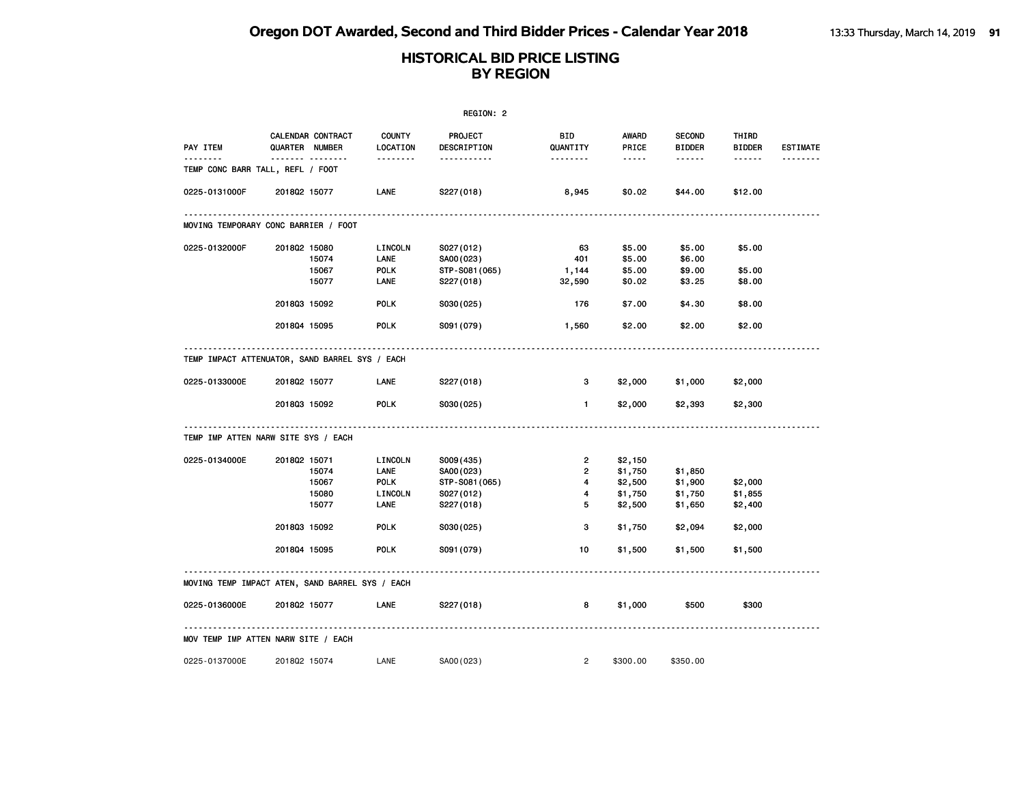|               |                                                 |                           | REGION: 2              |                 |                               |                                |                        |                 |
|---------------|-------------------------------------------------|---------------------------|------------------------|-----------------|-------------------------------|--------------------------------|------------------------|-----------------|
| PAY ITEM      | CALENDAR CONTRACT<br>QUARTER NUMBER             | <b>COUNTY</b><br>LOCATION | PROJECT<br>DESCRIPTION | BID<br>QUANTITY | AWARD<br>PRICE<br>$- - - - -$ | <b>SECOND</b><br><b>BIDDER</b> | THIRD<br><b>BIDDER</b> | <b>ESTIMATE</b> |
|               | .<br>TEMP CONC BARR TALL, REFL / FOOT           | .                         | .                      | --------        |                               | ------                         | ------                 |                 |
| 0225-0131000F | 201802 15077                                    | LANE                      | S227(018)              | 8,945           | \$0.02                        | \$44.00                        | \$12.00                |                 |
|               | MOVING TEMPORARY CONC BARRIER / FOOT            |                           |                        |                 |                               |                                |                        |                 |
| 0225-0132000F | 201802 15080                                    | LINCOLN                   | S027(012)              | 63              | \$5.00                        | \$5.00                         | \$5.00                 |                 |
|               | 15074                                           | LANE                      | SA00(023)              | 401             | \$5.00                        | \$6.00                         |                        |                 |
|               | 15067                                           | <b>POLK</b>               | STP-S081(065)          | 1,144           | \$5.00                        | \$9.00                         | \$5.00                 |                 |
|               | 15077                                           | LANE                      | S227(018)              | 32,590          | \$0.02                        | \$3.25                         | \$8.00                 |                 |
|               | 201803 15092                                    | <b>POLK</b>               | S030(025)              | 176             | \$7.00                        | \$4.30                         | \$8.00                 |                 |
|               | 201804 15095                                    | <b>POLK</b>               | S091 (079)             | 1,560           | \$2.00                        | \$2.00                         | \$2.00                 |                 |
|               | TEMP IMPACT ATTENUATOR, SAND BARREL SYS / EACH  |                           |                        |                 |                               |                                |                        |                 |
| 0225-0133000E | 201802 15077                                    | LANE                      | S227(018)              | з               | \$2,000                       | \$1,000                        | \$2,000                |                 |
|               | 201803 15092                                    | <b>POLK</b>               | S030(025)              | 1.              | \$2,000                       | \$2,393                        | \$2,300                |                 |
|               | TEMP IMP ATTEN NARW SITE SYS / EACH             |                           |                        |                 |                               |                                |                        |                 |
| 0225-0134000E | 201802 15071                                    | LINCOLN                   | S009(435)              | $\overline{2}$  | \$2,150                       |                                |                        |                 |
|               | 15074                                           | LANE                      | SA00(023)              | $\overline{2}$  | \$1,750                       | \$1,850                        |                        |                 |
|               | 15067                                           | <b>POLK</b>               | STP-S081(065)          | 4               | \$2,500                       | \$1,900                        | \$2,000                |                 |
|               | 15080                                           | LINCOLN                   | S027(012)              | 4               | \$1,750                       | \$1,750                        | \$1,855                |                 |
|               | 15077                                           | LANE                      | S227(018)              | 5               | \$2,500                       | \$1,650                        | \$2,400                |                 |
|               | 201803 15092                                    | <b>POLK</b>               | S030(025)              | 3               | \$1,750                       | \$2,094                        | \$2,000                |                 |
|               | 201804 15095                                    | <b>POLK</b>               | S091 (079)             | 10              | \$1,500                       | \$1,500                        | \$1,500                |                 |
|               | MOVING TEMP IMPACT ATEN, SAND BARREL SYS / EACH |                           |                        |                 |                               |                                |                        |                 |
| 0225-0136000E | 201802 15077                                    | LANE                      | S227 (018)             | 8               | \$1,000                       | \$500                          | \$300                  |                 |
|               | MOV TEMP IMP ATTEN NARW SITE / EACH             |                           |                        |                 |                               |                                |                        |                 |
| 0225-0137000E | 201802 15074                                    | LANE                      | SA00(023)              | $\overline{2}$  | \$300.00                      | \$350.00                       |                        |                 |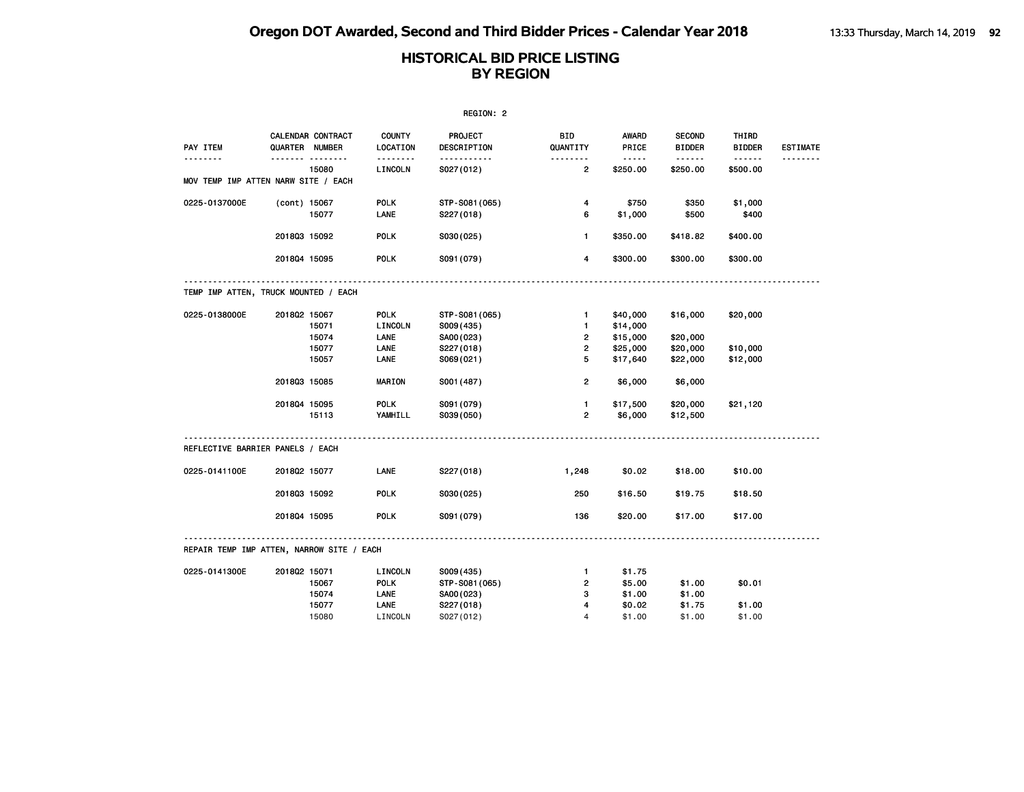|                                           |                       |                       |                                | REGION: 2                                 |                                    |                                  |                                |                                         |                      |
|-------------------------------------------|-----------------------|-----------------------|--------------------------------|-------------------------------------------|------------------------------------|----------------------------------|--------------------------------|-----------------------------------------|----------------------|
| PAY ITEM<br>.                             | <b>QUARTER NUMBER</b> | CALENDAR CONTRACT<br> | <b>COUNTY</b><br>LOCATION<br>. | <b>PROJECT</b><br>DESCRIPTION<br><u>.</u> | <b>BID</b><br>QUANTITY<br><u>.</u> | <b>AWARD</b><br>PRICE<br>1.1.1.1 | <b>SECOND</b><br><b>BIDDER</b> | THIRD<br><b>BIDDER</b><br>$- - - - - -$ | <b>ESTIMATE</b><br>. |
|                                           |                       | 15080                 | LINCOLN                        | S027(012)                                 | $\overline{2}$                     | \$250.00                         | \$250.00                       | \$500.00                                |                      |
| MOV TEMP IMP ATTEN NARW SITE / EACH       |                       |                       |                                |                                           |                                    |                                  |                                |                                         |                      |
| 0225-0137000E                             | (cont) 15067          |                       | <b>POLK</b>                    | STP-S081 (065)                            | 4                                  | \$750                            | \$350                          | \$1,000                                 |                      |
|                                           |                       | 15077                 | LANE                           | S227(018)                                 | 6                                  | \$1,000                          | \$500                          | \$400                                   |                      |
|                                           | 201803 15092          |                       | <b>POLK</b>                    | S030(025)                                 | $\mathbf{1}$                       | \$350.00                         | \$418.82                       | \$400.00                                |                      |
|                                           | 2018Q4 15095          |                       | <b>POLK</b>                    | S091 (079)                                | 4                                  | \$300.00                         | \$300.00                       | \$300.00                                |                      |
| TEMP IMP ATTEN, TRUCK MOUNTED / EACH      |                       |                       |                                |                                           |                                    |                                  |                                |                                         |                      |
| 0225-0138000E                             | 201802 15067          |                       | <b>POLK</b>                    | STP-S081 (065)                            | 1.                                 | \$40,000                         | \$16,000                       | \$20,000                                |                      |
|                                           |                       | 15071                 | LINCOLN                        | S009(435)                                 | $\mathbf{1}$                       | \$14,000                         |                                |                                         |                      |
|                                           |                       | 15074                 | LANE                           | SA00(023)                                 | $\overline{2}$                     | \$15,000                         | \$20,000                       |                                         |                      |
|                                           |                       | 15077                 | LANE                           | S227(018)                                 | $\overline{2}$                     | \$25,000                         | \$20,000                       | \$10,000                                |                      |
|                                           |                       | 15057                 | LANE                           | S069(021)                                 | 5                                  | \$17,640                         | \$22,000                       | \$12,000                                |                      |
|                                           | 201803 15085          |                       | <b>MARION</b>                  | S001 (487)                                | 2                                  | \$6,000                          | \$6,000                        |                                         |                      |
|                                           | 201804 15095          |                       | <b>POLK</b>                    | S091 (079)                                | $\blacksquare$                     | \$17,500                         | \$20,000                       | \$21,120                                |                      |
|                                           |                       | 15113                 | YAMHILL                        | S039(050)                                 | $\overline{2}$                     | \$6,000                          | \$12,500                       |                                         |                      |
| REFLECTIVE BARRIER PANELS / EACH          |                       |                       |                                |                                           |                                    |                                  |                                |                                         |                      |
| 0225-0141100E                             | 2018Q2 15077          |                       | LANE                           | S227(018)                                 | 1,248                              | \$0.02                           | \$18.00                        | \$10.00                                 |                      |
|                                           | 201803 15092          |                       | <b>POLK</b>                    | S030(025)                                 | 250                                | \$16.50                          | \$19.75                        | \$18.50                                 |                      |
|                                           | 2018Q4 15095          |                       | <b>POLK</b>                    | S091 (079)                                | 136                                | \$20.00                          | \$17.00                        | \$17.00                                 |                      |
| REPAIR TEMP IMP ATTEN, NARROW SITE / EACH |                       |                       |                                |                                           |                                    |                                  |                                |                                         |                      |
| 0225-0141300E                             | 201802 15071          |                       | LINCOLN                        | S009(435)                                 | $\mathbf{1}$                       | \$1.75                           |                                |                                         |                      |
|                                           |                       | 15067                 | <b>POLK</b>                    | STP-S081 (065)                            | $\overline{2}$                     | \$5.00                           | \$1.00                         | \$0.01                                  |                      |
|                                           |                       | 15074                 | LANE                           | SA00(023)                                 | 3                                  | \$1.00                           | \$1.00                         |                                         |                      |
|                                           |                       | 15077                 | LANE                           | S227(018)                                 | 4                                  | \$0.02                           | \$1.75                         | \$1.00                                  |                      |
|                                           |                       | 15080                 | LINCOLN                        | S027(012)                                 | 4                                  | \$1.00                           | \$1.00                         | \$1.00                                  |                      |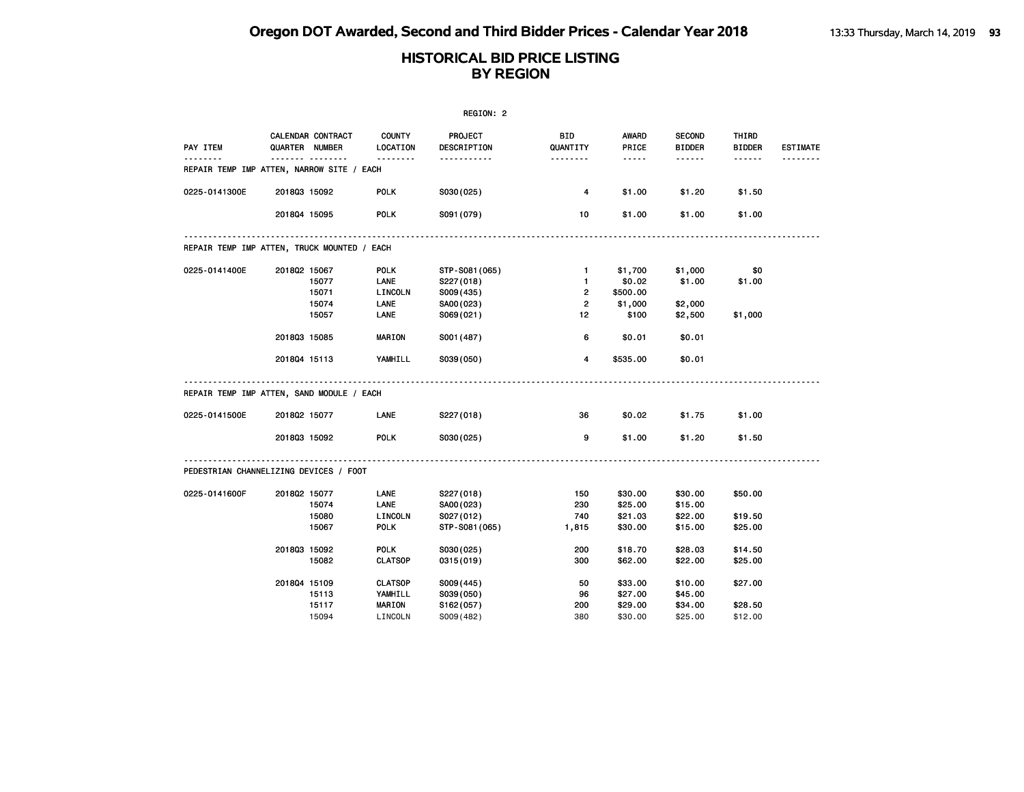|                                             |              |                                     |                    | REGION: 2              |                        |                       |                                |                        |                 |
|---------------------------------------------|--------------|-------------------------------------|--------------------|------------------------|------------------------|-----------------------|--------------------------------|------------------------|-----------------|
| PAY ITEM                                    |              | CALENDAR CONTRACT<br>QUARTER NUMBER | COUNTY<br>LOCATION | PROJECT<br>DESCRIPTION | <b>BID</b><br>QUANTITY | <b>AWARD</b><br>PRICE | <b>SECOND</b><br><b>BIDDER</b> | THIRD<br><b>BIDDER</b> | <b>ESTIMATE</b> |
| REPAIR TEMP IMP ATTEN, NARROW SITE / EACH   |              |                                     | .                  | .                      | <u> - - - - - - -</u>  | $- - - - -$           | ------                         | ------                 | $- - - -$       |
| 0225-0141300E                               | 201803 15092 |                                     | <b>POLK</b>        | S030(025)              | 4                      | \$1.00                | \$1.20                         | \$1.50                 |                 |
|                                             | 201804 15095 |                                     | <b>POLK</b>        | S091 (079)             | 10                     | \$1.00                | \$1.00                         | \$1.00                 |                 |
| REPAIR TEMP IMP ATTEN, TRUCK MOUNTED / EACH |              |                                     |                    |                        |                        |                       |                                |                        |                 |
| 0225-0141400E                               | 201802 15067 |                                     | <b>POLK</b>        | STP-S081(065)          | $\mathbf{1}$           | \$1,700               | \$1,000                        | \$0                    |                 |
|                                             |              | 15077                               | LANE               | S227(018)              | $\mathbf{1}$           | \$0.02                | \$1.00                         | \$1.00                 |                 |
|                                             |              | 15071                               | LINCOLN            | S009(435)              | $\overline{2}$         | \$500.00              |                                |                        |                 |
|                                             |              | 15074                               | LANE               | SA00(023)              | $\overline{2}$         | \$1,000               | \$2,000                        |                        |                 |
|                                             |              | 15057                               | LANE               | S069(021)              | 12                     | \$100                 | \$2,500                        | \$1,000                |                 |
|                                             | 201803 15085 |                                     | <b>MARION</b>      | S001 (487)             | 6                      | \$0.01                | \$0.01                         |                        |                 |
|                                             | 201804 15113 |                                     | YAMHILL            | S039(050)              | 4                      | \$535.00              | \$0.01                         |                        |                 |
| REPAIR TEMP IMP ATTEN, SAND MODULE / EACH   |              |                                     |                    |                        |                        |                       |                                |                        |                 |
| 0225-0141500E                               | 201802 15077 |                                     | <b>LANE</b>        | S227(018)              | 36                     | \$0.02                | \$1.75                         | \$1.00                 |                 |
|                                             | 201803 15092 |                                     | <b>POLK</b>        | S030(025)              | 9                      | \$1.00                | \$1.20                         | \$1.50                 |                 |
| PEDESTRIAN CHANNELIZING DEVICES / FOOT      |              |                                     |                    |                        |                        |                       |                                |                        |                 |
| 0225-0141600F                               | 201802 15077 |                                     | LANE               | S227(018)              | 150                    | \$30.00               | \$30.00                        | \$50.00                |                 |
|                                             |              | 15074                               | LANE               | SA00(023)              | 230                    | \$25.00               | \$15.00                        |                        |                 |
|                                             |              | 15080                               | LINCOLN            | S027(012)              | 740                    | \$21.03               | \$22.00                        | \$19.50                |                 |
|                                             |              | 15067                               | <b>POLK</b>        | STP-S081(065)          | 1,815                  | \$30.00               | \$15.00                        | \$25.00                |                 |
|                                             | 201803 15092 |                                     | <b>POLK</b>        | S030(025)              | 200                    | \$18.70               | \$28.03                        | \$14.50                |                 |
|                                             |              | 15082                               | <b>CLATSOP</b>     | 0315 (019)             | 300                    | \$62.00               | \$22.00                        | \$25.00                |                 |
|                                             | 201804 15109 |                                     | <b>CLATSOP</b>     | S009(445)              | 50                     | \$33.00               | \$10.00                        | \$27.00                |                 |
|                                             |              | 15113                               | YAMHILL            | S039(050)              | 96                     | \$27.00               | \$45.00                        |                        |                 |
|                                             |              | 15117                               | <b>MARION</b>      | S162(057)              | 200                    | \$29.00               | \$34.00                        | \$28.50                |                 |
|                                             |              | 15094                               | LINCOLN            | S009(482)              | 380                    | \$30.00               | \$25.00                        | \$12.00                |                 |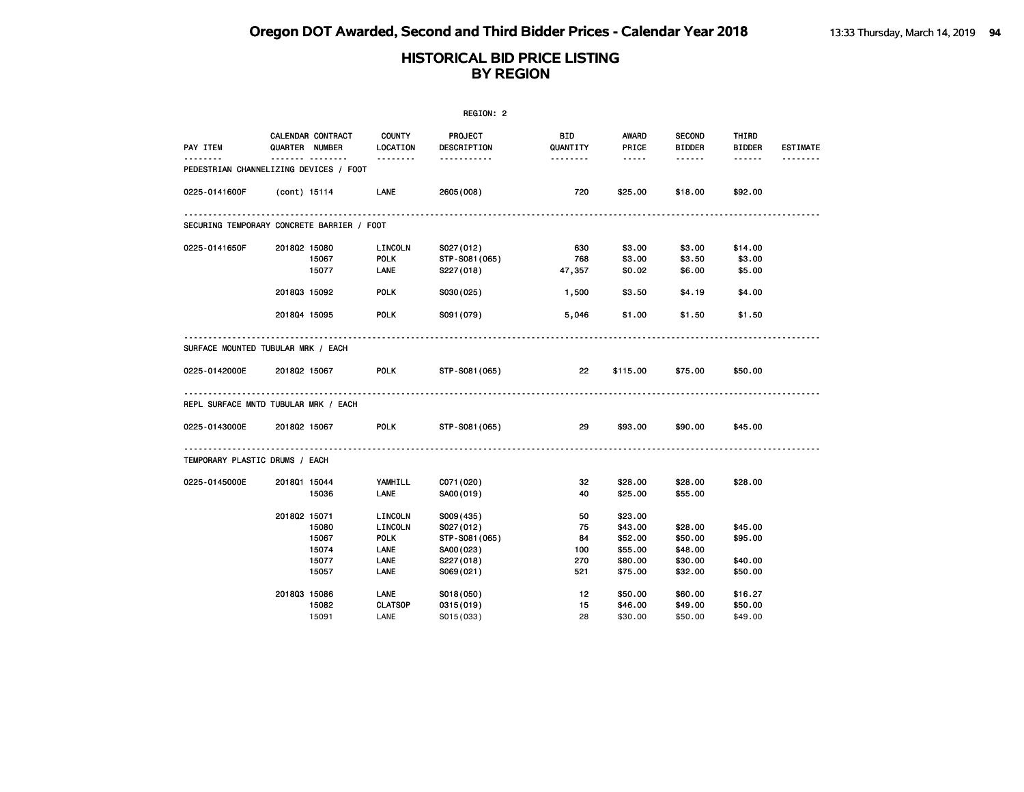|                                            |              |                                     |                    | REGION: 2              |                        |                       |                                |                        |                 |
|--------------------------------------------|--------------|-------------------------------------|--------------------|------------------------|------------------------|-----------------------|--------------------------------|------------------------|-----------------|
| PAY ITEM                                   |              | CALENDAR CONTRACT<br>QUARTER NUMBER | COUNTY<br>LOCATION | PROJECT<br>DESCRIPTION | <b>BID</b><br>QUANTITY | <b>AWARD</b><br>PRICE | <b>SECOND</b><br><b>BIDDER</b> | THIRD<br><b>BIDDER</b> | <b>ESTIMATE</b> |
| PEDESTRIAN CHANNELIZING DEVICES / FOOT     |              | <u> </u>                            | .                  | <u>.</u>               | --------               | $- - - - -$           | ------                         | $- - - - - -$          |                 |
| 0225-0141600F                              |              | (cont) 15114                        | LANE               | 2605 (008)             | 720                    | \$25.00               | \$18.00                        | \$92.00                |                 |
| SECURING TEMPORARY CONCRETE BARRIER / FOOT |              |                                     |                    |                        |                        |                       |                                |                        |                 |
| 0225-0141650F                              | 201802 15080 |                                     | LINCOLN            | S027(012)              | 630                    | \$3.00                | \$3.00                         | \$14.00                |                 |
|                                            |              | 15067                               | <b>POLK</b>        | STP-S081(065)          | 768                    | \$3.00                | \$3.50                         | \$3.00                 |                 |
|                                            |              | 15077                               | <b>LANE</b>        | S227(018)              | 47,357                 | \$0.02                | \$6.00                         | \$5.00                 |                 |
|                                            | 201803 15092 |                                     | <b>POLK</b>        | S030(025)              | 1,500                  | \$3.50                | \$4.19                         | \$4.00                 |                 |
|                                            | 201804 15095 |                                     | <b>POLK</b>        | S091 (079)             | 5,046                  | \$1.00                | \$1.50                         | \$1.50                 |                 |
| SURFACE MOUNTED TUBULAR MRK / EACH         |              |                                     |                    |                        |                        |                       |                                |                        |                 |
| 0225-0142000E                              | 201802 15067 |                                     | <b>POLK</b>        | STP-S081(065)          | 22                     | \$115.00              | \$75.00                        | \$50.00                |                 |
| REPL SURFACE MNTD TUBULAR MRK / EACH       |              |                                     |                    |                        |                        |                       |                                |                        |                 |
| 0225-0143000E                              |              | 201802 15067                        | <b>POLK</b>        | STP-S081(065)          | 29                     | \$93.00               | \$90.00                        | \$45.00                |                 |
| TEMPORARY PLASTIC DRUMS / EACH             |              |                                     |                    |                        |                        |                       |                                |                        |                 |
| 0225-0145000E                              | 201801 15044 |                                     | YAMHILL            | C071 (020)             | 32                     | \$28.00               | \$28.00                        | \$28.00                |                 |
|                                            |              | 15036                               | LANE               | SA00(019)              | 40                     | \$25.00               | \$55.00                        |                        |                 |
|                                            | 201802 15071 |                                     | LINCOLN            | S009(435)              | 50                     | \$23.00               |                                |                        |                 |
|                                            |              | 15080                               | LINCOLN            | S027(012)              | 75                     | \$43.00               | \$28.00                        | \$45.00                |                 |
|                                            |              | 15067                               | <b>POLK</b>        | STP-S081 (065)         | 84                     | \$52.00               | \$50.00                        | \$95.00                |                 |
|                                            |              | 15074                               | LANE               | SA00(023)              | 100                    | \$55.00               | \$48.00                        |                        |                 |
|                                            |              | 15077                               | LANE               | S227(018)              | 270                    | \$80.00               | \$30.00                        | \$40.00                |                 |
|                                            |              | 15057                               | LANE               | S069(021)              | 521                    | \$75.00               | \$32.00                        | \$50.00                |                 |
|                                            | 201803 15086 |                                     | LANE               | S018(050)              | 12                     | \$50.00               | \$60.00                        | \$16.27                |                 |
|                                            |              | 15082                               | <b>CLATSOP</b>     | 0315 (019)             | 15                     | \$46.00               | \$49.00                        | \$50.00                |                 |
|                                            |              | 15091                               | LANE               | S015(033)              | 28                     | \$30.00               | \$50.00                        | \$49.00                |                 |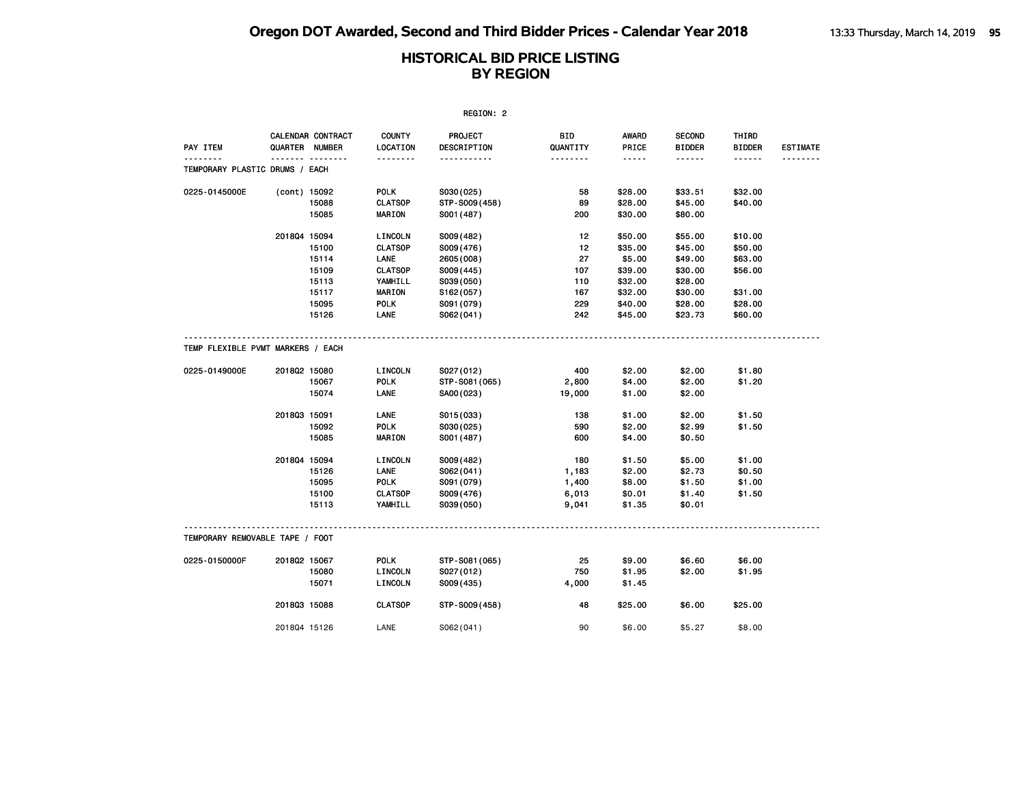|                                   |                |                   |                           | REGION: 2              |                 |                |                                |                        |                 |
|-----------------------------------|----------------|-------------------|---------------------------|------------------------|-----------------|----------------|--------------------------------|------------------------|-----------------|
| PAY ITEM                          | QUARTER NUMBER | CALENDAR CONTRACT | <b>COUNTY</b><br>LOCATION | PROJECT<br>DESCRIPTION | BID<br>QUANTITY | AWARD<br>PRICE | <b>SECOND</b><br><b>BIDDER</b> | THIRD<br><b>BIDDER</b> | <b>ESTIMATE</b> |
| TEMPORARY PLASTIC DRUMS / EACH    |                | ------            | .                         | -----------            | <u>.</u>        | $- - - - -$    | .                              |                        | <u>.</u>        |
| 0225-0145000E                     | (cont) 15092   |                   | <b>POLK</b>               | S030(025)              | 58              | \$28.00        | \$33.51                        | \$32.00                |                 |
|                                   |                | 15088             | <b>CLATSOP</b>            | STP-S009(458)          | 89              | \$28.00        | \$45.00                        | \$40.00                |                 |
|                                   |                | 15085             | <b>MARION</b>             | S001 (487)             | 200             | \$30.00        | \$80.00                        |                        |                 |
|                                   | 201804 15094   |                   | LINCOLN                   | S009(482)              | 12              | \$50.00        | \$55.00                        | \$10.00                |                 |
|                                   |                | 15100             | <b>CLATSOP</b>            | S009(476)              | 12              | \$35.00        | \$45.00                        | \$50.00                |                 |
|                                   |                | 15114             | LANE                      | 2605 (008)             | 27              | \$5.00         | \$49.00                        | \$63.00                |                 |
|                                   |                | 15109             | <b>CLATSOP</b>            | S009(445)              | 107             | \$39.00        | \$30.00                        | \$56.00                |                 |
|                                   |                | 15113             | YAMHILL                   | S039(050)              | 110             | \$32.00        | \$28.00                        |                        |                 |
|                                   |                | 15117             | MARION                    | S162(057)              | 167             | \$32.00        | \$30.00                        | \$31.00                |                 |
|                                   |                | 15095             | <b>POLK</b>               | S091 (079)             | 229             | \$40.00        | \$28.00                        | \$28.00                |                 |
|                                   |                | 15126             | LANE                      | S062(041)              | 242             | \$45.00        | \$23.73                        | \$60.00                |                 |
| TEMP FLEXIBLE PVMT MARKERS / EACH |                |                   |                           |                        |                 |                |                                |                        |                 |
| 0225-0149000E                     | 201802 15080   |                   | LINCOLN                   | S027(012)              | 400             | \$2.00         | \$2.00                         | \$1.80                 |                 |
|                                   |                | 15067             | <b>POLK</b>               | STP-S081 (065)         | 2,800           | \$4.00         | \$2.00                         | \$1.20                 |                 |
|                                   |                | 15074             | LANE                      | SA00(023)              | 19,000          | \$1.00         | \$2.00                         |                        |                 |
|                                   | 201803 15091   |                   | LANE                      | S015(033)              | 138             | \$1.00         | \$2.00                         | \$1.50                 |                 |
|                                   |                | 15092             | <b>POLK</b>               | S030(025)              | 590             | \$2.00         | \$2.99                         | \$1.50                 |                 |
|                                   |                | 15085             | <b>MARION</b>             | S001 (487)             | 600             | \$4.00         | \$0.50                         |                        |                 |
|                                   | 201804 15094   |                   | LINCOLN                   | S009(482)              | 180             | \$1.50         | \$5.00                         | \$1.00                 |                 |
|                                   |                | 15126             | LANE                      | S062(041)              | 1,183           | \$2.00         | \$2.73                         | \$0.50                 |                 |
|                                   |                | 15095             | <b>POLK</b>               | S091 (079)             | 1,400           | \$8.00         | \$1.50                         | \$1.00                 |                 |
|                                   |                | 15100             | <b>CLATSOP</b>            | S009(476)              | 6,013           | \$0.01         | \$1.40                         | \$1.50                 |                 |
|                                   |                | 15113             | YAMHILL                   | S039(050)              | 9,041           | \$1.35         | \$0.01                         |                        |                 |
| TEMPORARY REMOVABLE TAPE / FOOT   |                |                   |                           |                        |                 |                |                                |                        |                 |
| 0225-0150000F                     | 2018Q2 15067   |                   | <b>POLK</b>               | STP-S081 (065)         | 25              | \$9.00         | \$6.60                         | \$6.00                 |                 |
|                                   |                | 15080             | LINCOLN                   | S027(012)              | 750             | \$1.95         | \$2.00                         | \$1.95                 |                 |
|                                   |                | 15071             | LINCOLN                   | S009(435)              | 4,000           | \$1.45         |                                |                        |                 |
|                                   | 201803 15088   |                   | <b>CLATSOP</b>            | STP-S009(458)          | 48              | \$25.00        | \$6.00                         | \$25.00                |                 |
|                                   | 201804 15126   |                   | LANE                      | S062(041)              | 90              | \$6.00         | \$5.27                         | \$8.00                 |                 |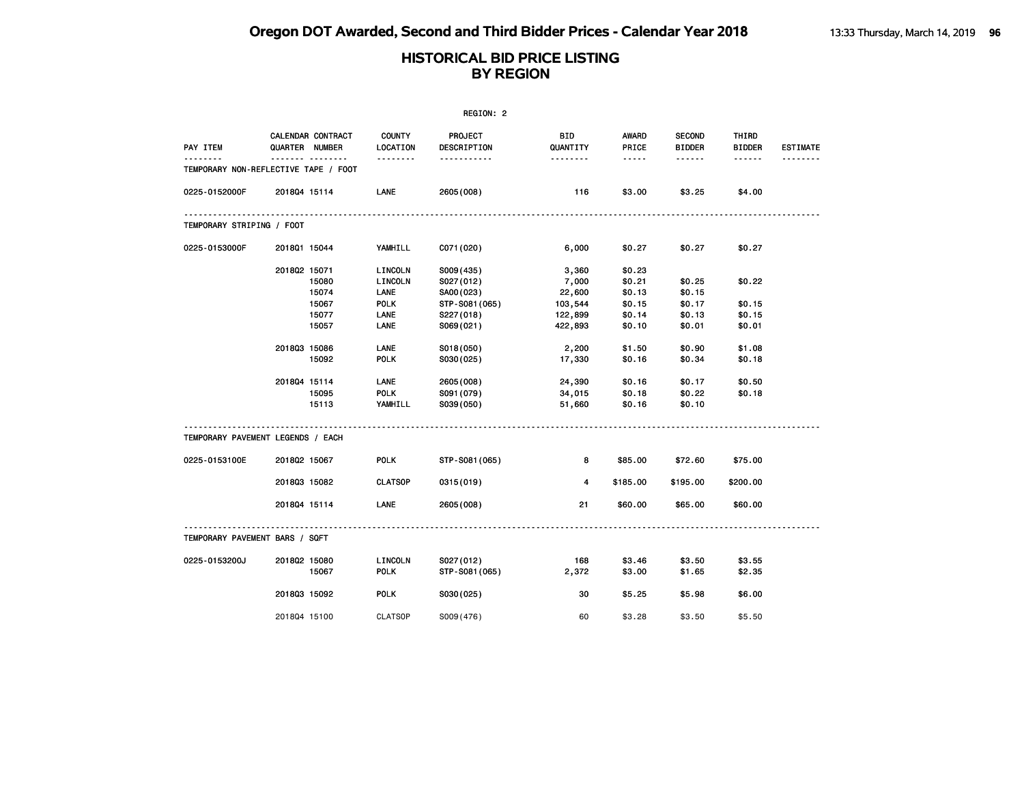|                                      | REGION: 2    |                                     |                                |                                         |                               |                            |                                |                            |                 |  |  |
|--------------------------------------|--------------|-------------------------------------|--------------------------------|-----------------------------------------|-------------------------------|----------------------------|--------------------------------|----------------------------|-----------------|--|--|
| PAY ITEM                             |              | CALENDAR CONTRACT<br>QUARTER NUMBER | <b>COUNTY</b><br>LOCATION      | PROJECT<br>DESCRIPTION                  | <b>BID</b><br>QUANTITY        | <b>AWARD</b><br>PRICE      | <b>SECOND</b><br><b>BIDDER</b> | THIRD<br><b>BIDDER</b>     | <b>ESTIMATE</b> |  |  |
| TEMPORARY NON-REFLECTIVE TAPE / FOOT |              | .                                   | .                              | .                                       | <u>.</u>                      | -----                      | ------                         | ------                     |                 |  |  |
| 0225-0152000F                        | 201804 15114 |                                     | LANE                           | 2605 (008)                              | 116                           | \$3.00                     | \$3.25                         | \$4.00                     |                 |  |  |
| TEMPORARY STRIPING / FOOT            |              |                                     |                                |                                         |                               |                            |                                |                            |                 |  |  |
| 0225-0153000F                        | 2018Q1 15044 |                                     | YAMHILL                        | C071 (020)                              | 6,000                         | \$0.27                     | \$0.27                         | \$0.27                     |                 |  |  |
|                                      | 201802 15071 | 15080<br>15074                      | LINCOLN<br>LINCOLN<br>LANE     | S009(435)<br>S027(012)<br>SA00(023)     | 3,360<br>7,000<br>22,600      | \$0.23<br>\$0.21<br>\$0.13 | \$0.25<br>\$0.15               | \$0.22                     |                 |  |  |
|                                      |              | 15067<br>15077<br>15057             | <b>POLK</b><br>LANE<br>LANE    | STP-S081(065)<br>S227(018)<br>S069(021) | 103,544<br>122,899<br>422,893 | \$0.15<br>\$0.14<br>\$0.10 | \$0.17<br>\$0.13<br>\$0.01     | \$0.15<br>\$0.15<br>\$0.01 |                 |  |  |
|                                      | 201803 15086 | 15092                               | LANE<br><b>POLK</b>            | S018(050)<br>S030(025)                  | 2,200<br>17,330               | \$1.50<br>\$0.16           | \$0.90<br>\$0.34               | \$1.08<br>\$0.18           |                 |  |  |
|                                      | 201804 15114 | 15095<br>15113                      | LANE<br><b>POLK</b><br>YAMHILL | 2605 (008)<br>S091 (079)<br>S039(050)   | 24,390<br>34,015<br>51,660    | \$0.16<br>\$0.18<br>\$0.16 | \$0.17<br>\$0.22<br>\$0.10     | \$0.50<br>\$0.18           |                 |  |  |
| TEMPORARY PAVEMENT LEGENDS / EACH    |              |                                     |                                |                                         |                               |                            |                                |                            |                 |  |  |
| 0225-0153100E                        | 201802 15067 |                                     | <b>POLK</b>                    | STP-S081(065)                           | 8                             | \$85.00                    | \$72.60                        | \$75.00                    |                 |  |  |
|                                      | 201803 15082 |                                     | <b>CLATSOP</b>                 | 0315(019)                               | $\overline{4}$                | \$185.00                   | \$195.00                       | \$200.00                   |                 |  |  |
|                                      | 201804 15114 |                                     | LANE                           | 2605 (008)                              | 21                            | \$60.00                    | \$65.00                        | \$60.00                    |                 |  |  |
| TEMPORARY PAVEMENT BARS / SQFT       |              |                                     |                                |                                         |                               |                            |                                |                            |                 |  |  |
| 0225-0153200J                        | 201802 15080 | 15067                               | LINCOLN<br><b>POLK</b>         | S027(012)<br>STP-S081(065)              | 168<br>2,372                  | \$3.46<br>\$3.00           | \$3.50<br>\$1.65               | \$3.55<br>\$2.35           |                 |  |  |
|                                      | 201803 15092 |                                     | <b>POLK</b>                    | S030(025)                               | 30                            | \$5.25                     | \$5.98                         | \$6.00                     |                 |  |  |
|                                      | 201804 15100 |                                     | <b>CLATSOP</b>                 | S009(476)                               | 60                            | \$3.28                     | \$3.50                         | \$5.50                     |                 |  |  |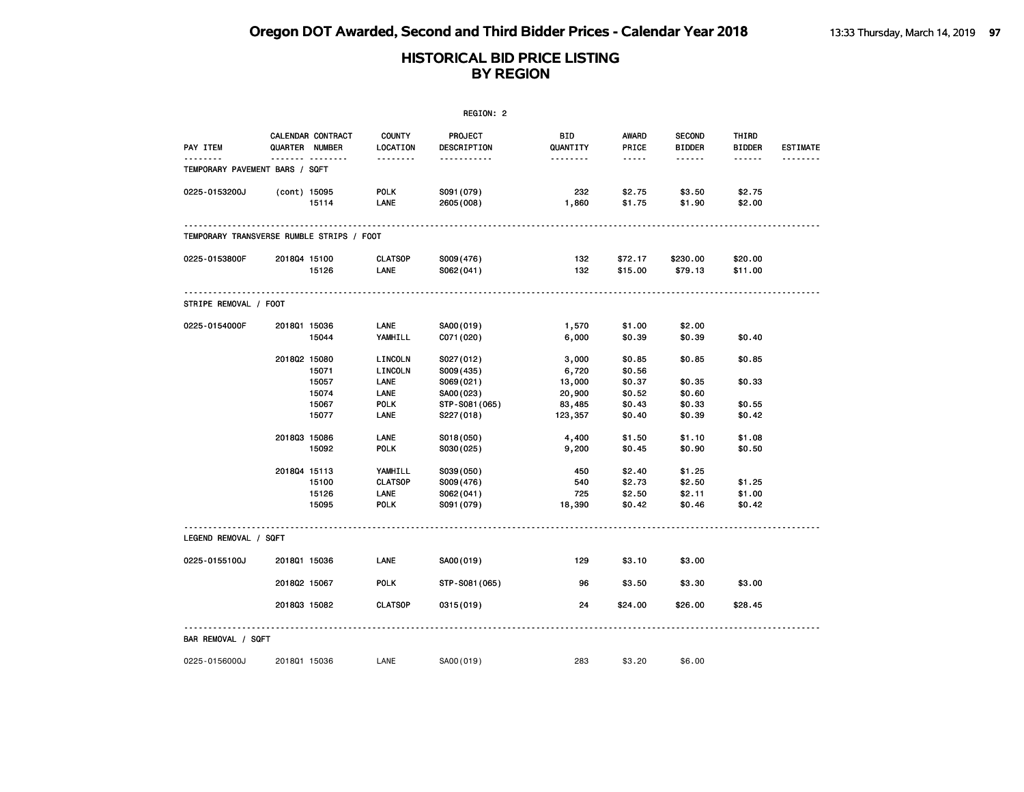|                                           |                |                         |                                                  | REGION: 2                                         |                             |                                      |                                      |                            |                 |
|-------------------------------------------|----------------|-------------------------|--------------------------------------------------|---------------------------------------------------|-----------------------------|--------------------------------------|--------------------------------------|----------------------------|-----------------|
| PAY ITEM                                  | QUARTER NUMBER | CALENDAR CONTRACT       | <b>COUNTY</b><br>LOCATION                        | PROJECT<br>DESCRIPTION                            | <b>BID</b><br>QUANTITY      | <b>AWARD</b><br>PRICE                | <b>SECOND</b><br><b>BIDDER</b>       | THIRD<br><b>BIDDER</b>     | <b>ESTIMATE</b> |
| TEMPORARY PAVEMENT BARS / SQFT            |                | <u>.</u>                | .                                                | .                                                 | <u>.</u>                    | -----                                | .                                    | ------                     |                 |
| 0225-0153200J                             | (cont) 15095   | 15114                   | POLK<br>LANE                                     | S091 (079)<br>2605 (008)                          | 232<br>1,860                | \$2.75<br>\$1.75                     | \$3.50<br>\$1.90                     | \$2.75<br>\$2.00           |                 |
| TEMPORARY TRANSVERSE RUMBLE STRIPS / FOOT |                |                         |                                                  |                                                   |                             |                                      |                                      |                            |                 |
| 0225-0153800F                             | 201804 15100   | 15126                   | <b>CLATSOP</b><br><b>LANE</b>                    | S009(476)<br>S062(041)                            | 132<br>132                  | \$72.17<br>\$15.00                   | \$230.00<br>\$79.13                  | \$20.00<br>\$11.00         |                 |
| STRIPE REMOVAL / FOOT                     |                |                         |                                                  |                                                   |                             |                                      |                                      |                            |                 |
| 0225-0154000F                             | 201801 15036   | 15044                   | LANE<br>YAMHILL                                  | SA00(019)<br>C071 (020)                           | 1,570<br>6,000              | \$1.00<br>\$0.39                     | \$2.00<br>\$0.39                     | \$0.40                     |                 |
|                                           | 201802 15080   | 15071                   | LINCOLN<br>LINCOLN                               | S027(012)<br>S009(435)                            | 3,000<br>6,720              | \$0.85<br>\$0.56                     | \$0.85                               | \$0.85                     |                 |
|                                           |                | 15057<br>15074<br>15067 | LANE<br>LANE<br><b>POLK</b>                      | S069(021)<br>SA00(023)<br>STP-S081 (065)          | 13,000<br>20,900<br>83,485  | \$0.37<br>\$0.52<br>\$0.43           | \$0.35<br>\$0.60<br>\$0.33           | \$0.33<br>\$0.55           |                 |
|                                           |                | 15077                   | LANE                                             | S227(018)                                         | 123,357                     | \$0.40                               | \$0.39                               | \$0.42                     |                 |
|                                           | 201803 15086   | 15092                   | LANE<br><b>POLK</b>                              | S018(050)<br>S030(025)                            | 4,400<br>9,200              | \$1.50<br>\$0.45                     | \$1.10<br>\$0.90                     | \$1.08<br>\$0.50           |                 |
|                                           | 201804 15113   | 15100<br>15126<br>15095 | YAMHILL<br><b>CLATSOP</b><br>LANE<br><b>POLK</b> | S039(050)<br>S009(476)<br>S062(041)<br>S091 (079) | 450<br>540<br>725<br>18,390 | \$2.40<br>\$2.73<br>\$2.50<br>\$0.42 | \$1.25<br>\$2.50<br>\$2.11<br>\$0.46 | \$1.25<br>\$1.00<br>\$0.42 |                 |
| LEGEND REMOVAL / SQFT                     |                |                         |                                                  |                                                   |                             |                                      |                                      |                            |                 |
| 0225-0155100J                             | 201801 15036   |                         | LANE                                             | SA00(019)                                         | 129                         | \$3.10                               | \$3.00                               |                            |                 |
|                                           | 201802 15067   |                         | <b>POLK</b>                                      | STP-S081(065)                                     | 96                          | \$3.50                               | \$3.30                               | \$3.00                     |                 |
|                                           | 201803 15082   |                         | <b>CLATSOP</b>                                   | 0315 (019)                                        | 24                          | \$24.00                              | \$26.00                              | \$28.45                    |                 |
| BAR REMOVAL / SQFT                        |                |                         |                                                  |                                                   |                             |                                      |                                      |                            |                 |
| 0225-0156000J                             | 201801 15036   |                         | LANE                                             | SA00(019)                                         | 283                         | \$3.20                               | \$6.00                               |                            |                 |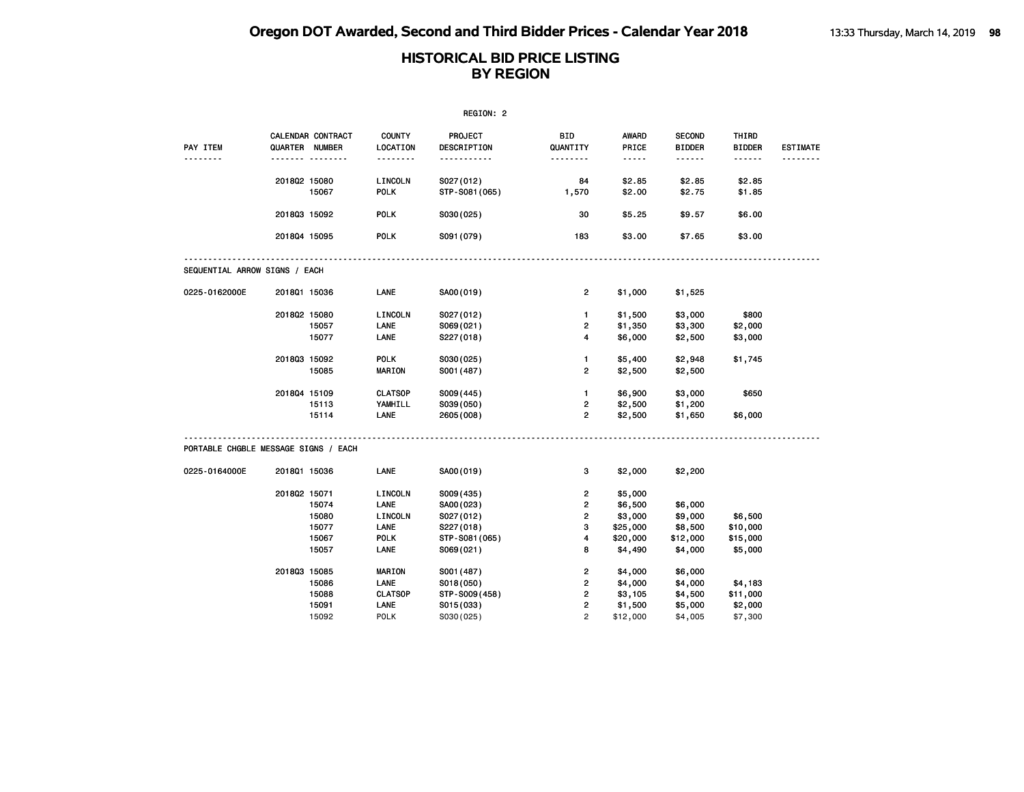|                                      |              |                                         |                                | REGION: 2                   |                                          |                     |                                     |                        |                      |
|--------------------------------------|--------------|-----------------------------------------|--------------------------------|-----------------------------|------------------------------------------|---------------------|-------------------------------------|------------------------|----------------------|
| PAY ITEM<br><u>.</u>                 |              | CALENDAR CONTRACT<br>QUARTER NUMBER<br> | <b>COUNTY</b><br>LOCATION<br>. | PROJECT<br>DESCRIPTION<br>. | BID<br>QUANTITY<br><u> - - - - - - -</u> | AWARD<br>PRICE<br>. | <b>SECOND</b><br><b>BIDDER</b><br>. | THIRD<br><b>BIDDER</b> | <b>ESTIMATE</b><br>. |
|                                      | 201802 15080 | 15067                                   | LINCOLN<br><b>POLK</b>         | S027(012)<br>STP-S081(065)  | 84<br>1,570                              | \$2.85<br>\$2.00    | \$2.85<br>\$2.75                    | \$2.85<br>\$1.85       |                      |
|                                      | 2018Q3 15092 |                                         | <b>POLK</b>                    | S030(025)                   | 30                                       | \$5.25              | \$9.57                              | \$6.00                 |                      |
|                                      | 201804 15095 |                                         | <b>POLK</b>                    | S091 (079)                  | 183                                      | \$3.00              | \$7.65                              | \$3.00                 |                      |
| SEQUENTIAL ARROW SIGNS / EACH        |              |                                         |                                |                             |                                          |                     |                                     |                        |                      |
| 0225-0162000E                        | 201801 15036 |                                         | LANE                           | SA00(019)                   | $\overline{2}$                           | \$1,000             | \$1,525                             |                        |                      |
|                                      | 2018Q2 15080 |                                         | LINCOLN                        | S027(012)                   | $\mathbf{1}$                             | \$1,500             | \$3,000                             | \$800                  |                      |
|                                      |              | 15057                                   | LANE                           | S069(021)                   | $\overline{2}$                           | \$1,350             | \$3,300                             | \$2,000                |                      |
|                                      |              | 15077                                   | LANE                           | S227(018)                   | $\overline{4}$                           | \$6,000             | \$2,500                             | \$3,000                |                      |
|                                      | 201803 15092 |                                         | <b>POLK</b>                    | S030(025)                   | $\mathbf{1}$                             | \$5,400             | \$2,948                             | \$1,745                |                      |
|                                      |              | 15085                                   | <b>MARION</b>                  | S001 (487)                  | $\overline{2}$                           | \$2,500             | \$2,500                             |                        |                      |
|                                      | 201804 15109 |                                         | <b>CLATSOP</b>                 | S009(445)                   | $\mathbf{1}$                             | \$6,900             | \$3,000                             | \$650                  |                      |
|                                      |              | 15113                                   | YAMHILL                        | S039(050)                   | $\overline{2}$                           | \$2,500             | \$1,200                             |                        |                      |
|                                      |              | 15114                                   | LANE                           | 2605 (008)                  | $\overline{2}$                           | \$2,500             | \$1,650                             | \$6,000                |                      |
| PORTABLE CHGBLE MESSAGE SIGNS / EACH |              |                                         |                                |                             |                                          |                     |                                     |                        |                      |
| 0225-0164000E                        | 201801 15036 |                                         | <b>LANE</b>                    | SA00(019)                   | 3                                        | \$2,000             | \$2,200                             |                        |                      |
|                                      | 201802 15071 |                                         | LINCOLN                        | S009 (435)                  | $\overline{2}$                           | \$5,000             |                                     |                        |                      |
|                                      |              | 15074                                   | LANE                           | SA00(023)                   | $\overline{2}$                           | \$6,500             | \$6,000                             |                        |                      |
|                                      |              | 15080                                   | LINCOLN                        | S027(012)                   | $\overline{2}$                           | \$3,000             | \$9,000                             | \$6,500                |                      |
|                                      |              | 15077                                   | LANE                           | S227(018)                   | 3                                        | \$25,000            | \$8,500                             | \$10,000               |                      |
|                                      |              | 15067                                   | <b>POLK</b>                    | STP-S081(065)               | $\overline{4}$                           | \$20,000            | \$12,000                            | \$15,000               |                      |
|                                      |              | 15057                                   | LANE                           | S069(021)                   | 8                                        | \$4,490             | \$4,000                             | \$5,000                |                      |
|                                      | 201803 15085 |                                         | <b>MARION</b>                  | S001 (487)                  | $\overline{2}$                           | \$4,000             | \$6,000                             |                        |                      |
|                                      |              | 15086                                   | LANE                           | S018(050)                   | $\overline{2}$                           | \$4,000             | \$4,000                             | \$4,183                |                      |
|                                      |              | 15088                                   | <b>CLATSOP</b>                 | STP-S009(458)               | $\overline{2}$                           | \$3,105             | \$4,500                             | \$11,000               |                      |
|                                      |              | 15091                                   | LANE                           | S015(033)                   | $\overline{2}$                           | \$1,500             | \$5,000                             | \$2,000                |                      |
|                                      |              | 15092                                   | <b>POLK</b>                    | S030(025)                   | $\overline{2}$                           | \$12,000            | \$4,005                             | \$7,300                |                      |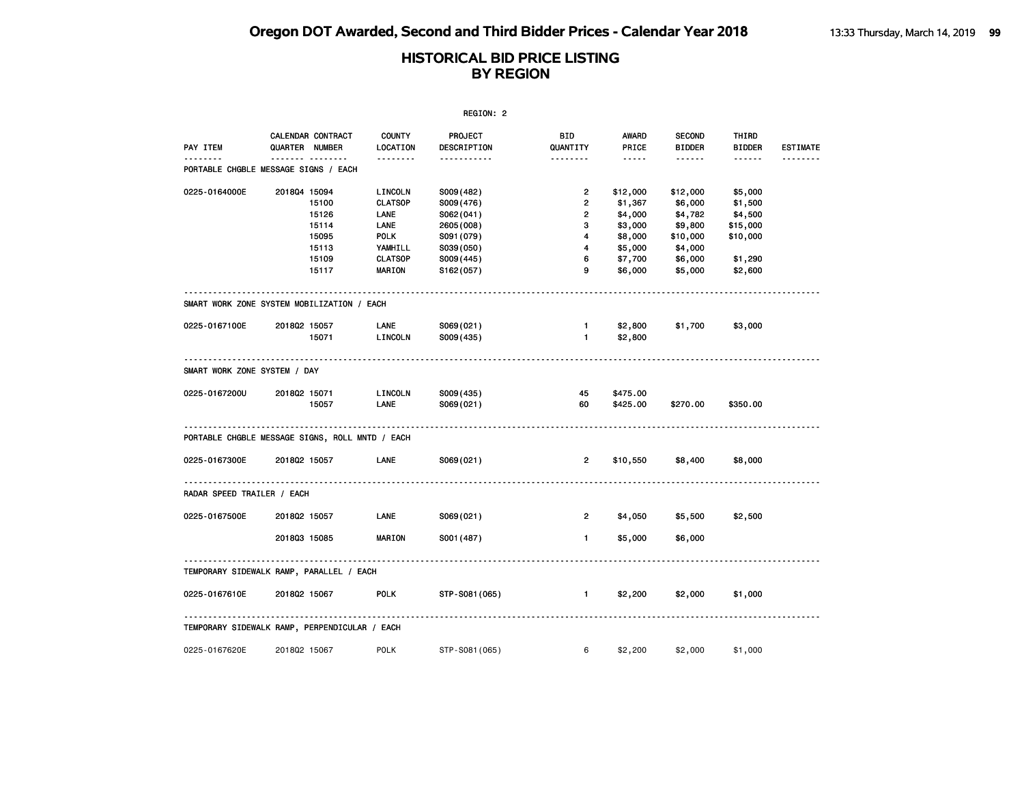|                                                 |                                     |       |                           | REGION: 2              |                         |                                                                                                               |                                |                        |                 |
|-------------------------------------------------|-------------------------------------|-------|---------------------------|------------------------|-------------------------|---------------------------------------------------------------------------------------------------------------|--------------------------------|------------------------|-----------------|
| PAY ITEM                                        | CALENDAR CONTRACT<br>QUARTER NUMBER |       | <b>COUNTY</b><br>LOCATION | PROJECT<br>DESCRIPTION | BID<br>QUANTITY         | AWARD<br>PRICE                                                                                                | <b>SECOND</b><br><b>BIDDER</b> | THIRD<br><b>BIDDER</b> | <b>ESTIMATE</b> |
| PORTABLE CHGBLE MESSAGE SIGNS / EACH            | <u></u>                             |       | <u>.</u>                  | .                      | --------                | $\frac{1}{2} \frac{1}{2} \frac{1}{2} \frac{1}{2} \frac{1}{2} \frac{1}{2} \frac{1}{2} \frac{1}{2} \frac{1}{2}$ | ------                         | ------                 |                 |
| 0225-0164000E                                   | 201804 15094                        |       | LINCOLN                   | S009(482)              | $\overline{2}$          | \$12,000                                                                                                      | \$12,000                       | \$5,000                |                 |
|                                                 |                                     | 15100 | <b>CLATSOP</b>            | S009(476)              | $\overline{\mathbf{c}}$ | \$1,367                                                                                                       | \$6,000                        | \$1,500                |                 |
|                                                 |                                     | 15126 | LANE                      | S062(041)              | $\overline{\mathbf{c}}$ | \$4,000                                                                                                       | \$4,782                        | \$4,500                |                 |
|                                                 |                                     | 15114 | LANE                      | 2605 (008)             | 3                       | \$3,000                                                                                                       | \$9,800                        | \$15,000               |                 |
|                                                 |                                     | 15095 | <b>POLK</b>               | S091 (079)             | 4                       | \$8,000                                                                                                       | \$10,000                       | \$10,000               |                 |
|                                                 |                                     | 15113 | YAMHILL                   | S039(050)              | 4                       | \$5,000                                                                                                       | \$4,000                        |                        |                 |
|                                                 |                                     | 15109 | <b>CLATSOP</b>            | S009(445)              | 6                       | \$7,700                                                                                                       | \$6,000                        | \$1,290                |                 |
|                                                 |                                     | 15117 | MARION                    | S162(057)              | 9                       | \$6,000                                                                                                       | \$5,000                        | \$2,600                |                 |
| SMART WORK ZONE SYSTEM MOBILIZATION / EACH      |                                     |       |                           |                        |                         |                                                                                                               |                                |                        |                 |
| 0225-0167100E                                   | 201802 15057                        |       | LANE                      | S069(021)              | $\mathbf{1}$            | \$2,800                                                                                                       | \$1,700                        | \$3,000                |                 |
|                                                 |                                     | 15071 | LINCOLN                   | S009(435)              | $\mathbf{1}$            | \$2,800                                                                                                       |                                |                        |                 |
| SMART WORK ZONE SYSTEM / DAY                    |                                     |       |                           |                        |                         |                                                                                                               |                                |                        |                 |
|                                                 |                                     |       |                           |                        |                         |                                                                                                               |                                |                        |                 |
| 0225-0167200U                                   | 201802 15071                        |       | LINCOLN                   | S009(435)              | 45                      | \$475.00                                                                                                      |                                |                        |                 |
|                                                 |                                     | 15057 | LANE                      | S069(021)              | 60                      | \$425.00                                                                                                      | \$270.00                       | \$350.00               |                 |
| PORTABLE CHGBLE MESSAGE SIGNS, ROLL MNTD / EACH |                                     |       |                           |                        |                         |                                                                                                               |                                |                        |                 |
| 0225-0167300E                                   | 201802 15057                        |       | LANE                      | S069(021)              | $\overline{2}$          | \$10,550                                                                                                      | \$8,400                        | \$8,000                |                 |
| RADAR SPEED TRAILER / EACH                      |                                     |       |                           |                        |                         |                                                                                                               |                                |                        |                 |
| 0225-0167500E                                   | 201802 15057                        |       | LANE                      | S069(021)              | $\overline{2}$          | \$4,050                                                                                                       | \$5,500                        | \$2,500                |                 |
|                                                 |                                     |       |                           |                        |                         |                                                                                                               |                                |                        |                 |
|                                                 | 201803 15085                        |       | <b>MARION</b>             | S001 (487)             | $\mathbf{1}$            | \$5,000                                                                                                       | \$6,000                        |                        |                 |
| TEMPORARY SIDEWALK RAMP, PARALLEL / EACH        |                                     |       |                           |                        |                         |                                                                                                               |                                |                        |                 |
| 0225-0167610E                                   | 201802 15067                        |       | <b>POLK</b>               | STP-S081(065)          | $\mathbf{1}$            | \$2,200                                                                                                       | \$2,000                        | \$1,000                |                 |
| TEMPORARY SIDEWALK RAMP, PERPENDICULAR / EACH   |                                     |       |                           |                        |                         |                                                                                                               |                                |                        |                 |
| 0225-0167620E                                   | 201802 15067                        |       | POLK                      | STP-S081 (065)         | 6                       | \$2,200                                                                                                       | \$2,000                        | \$1,000                |                 |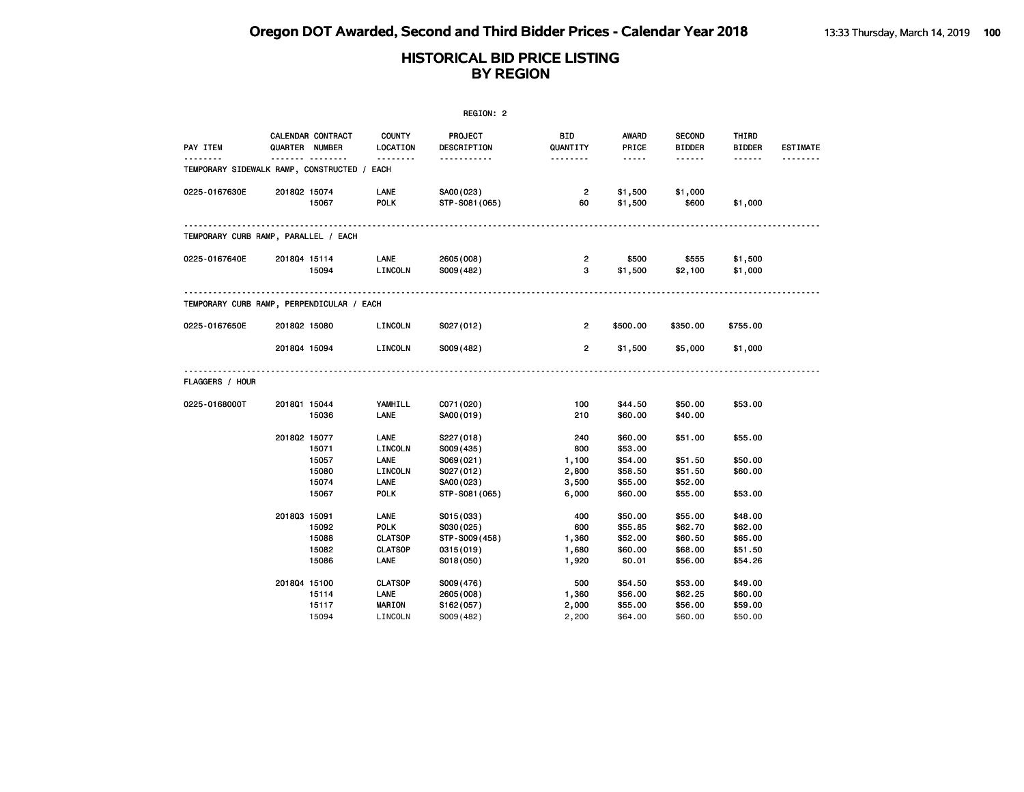|                                                  |              |                                            | REGION: 2                 |                        |                        |                                                                                                                           |                                |                        |                 |
|--------------------------------------------------|--------------|--------------------------------------------|---------------------------|------------------------|------------------------|---------------------------------------------------------------------------------------------------------------------------|--------------------------------|------------------------|-----------------|
| PAY ITEM                                         |              | CALENDAR CONTRACT<br><b>QUARTER NUMBER</b> | <b>COUNTY</b><br>LOCATION | PROJECT<br>DESCRIPTION | <b>BID</b><br>QUANTITY | <b>AWARD</b><br>PRICE                                                                                                     | <b>SECOND</b><br><b>BIDDER</b> | THIRD<br><b>BIDDER</b> | <b>ESTIMATE</b> |
| .<br>TEMPORARY SIDEWALK RAMP, CONSTRUCTED / EACH |              |                                            | .                         | .                      | --------               | $\frac{1}{2} \left( \frac{1}{2} \right) \left( \frac{1}{2} \right) \left( \frac{1}{2} \right) \left( \frac{1}{2} \right)$ | ------                         | ------                 |                 |
| 0225-0167630E                                    |              | 2018Q2 15074                               | LANE                      | SA00(023)              | 2                      | \$1,500                                                                                                                   | \$1,000                        |                        |                 |
|                                                  |              | 15067                                      | <b>POLK</b>               | STP-S081 (065)         | 60                     | \$1,500                                                                                                                   | \$600                          | \$1,000                |                 |
| TEMPORARY CURB RAMP, PARALLEL / EACH             |              |                                            |                           |                        |                        |                                                                                                                           |                                |                        |                 |
| 0225-0167640E                                    |              | 201804 15114                               | LANE                      | 2605 (008)             | 2                      | \$500                                                                                                                     | \$555                          | \$1,500                |                 |
|                                                  |              | 15094                                      | LINCOLN                   | S009(482)              | 3                      | \$1,500                                                                                                                   | \$2,100                        | \$1,000                |                 |
| TEMPORARY CURB RAMP, PERPENDICULAR / EACH        |              |                                            |                           |                        |                        |                                                                                                                           |                                |                        |                 |
| 0225-0167650E                                    | 2018Q2 15080 |                                            | LINCOLN                   | S027(012)              | $\overline{2}$         | \$500.00                                                                                                                  | \$350.00                       | \$755.00               |                 |
|                                                  |              | 201804 15094                               | LINCOLN                   | S009(482)              | $\overline{2}$         | \$1,500                                                                                                                   | \$5,000                        | \$1,000                |                 |
| FLAGGERS / HOUR                                  |              |                                            |                           |                        |                        |                                                                                                                           |                                |                        |                 |
| 0225-0168000T                                    |              | 2018Q1 15044                               | YAMHILL                   | C071 (020)             | 100                    | \$44.50                                                                                                                   | \$50.00                        | \$53.00                |                 |
|                                                  |              | 15036                                      | LANE                      | SA00(019)              | 210                    | \$60.00                                                                                                                   | \$40.00                        |                        |                 |
|                                                  | 201802 15077 |                                            | LANE                      | S227(018)              | 240                    | \$60.00                                                                                                                   | \$51.00                        | \$55.00                |                 |
|                                                  |              | 15071                                      | LINCOLN                   | S009(435)              | 800                    | \$53.00                                                                                                                   |                                |                        |                 |
|                                                  |              | 15057                                      | LANE                      | S069(021)              | 1,100                  | \$54.00                                                                                                                   | \$51.50                        | \$50.00                |                 |
|                                                  |              | 15080                                      | LINCOLN                   | S027(012)              | 2,800                  | \$58.50                                                                                                                   | \$51.50                        | \$60.00                |                 |
|                                                  |              | 15074                                      | LANE                      | SA00(023)              | 3,500                  | \$55.00                                                                                                                   | \$52.00                        |                        |                 |
|                                                  |              | 15067                                      | <b>POLK</b>               | STP-S081 (065)         | 6,000                  | \$60.00                                                                                                                   | \$55.00                        | \$53.00                |                 |
|                                                  | 201803 15091 |                                            | LANE                      | S015(033)              | 400                    | \$50.00                                                                                                                   | \$55.00                        | \$48.00                |                 |
|                                                  |              | 15092                                      | <b>POLK</b>               | S030(025)              | 600                    | \$55.85                                                                                                                   | \$62.70                        | \$62.00                |                 |
|                                                  |              | 15088                                      | <b>CLATSOP</b>            | STP-S009(458)          | 1,360                  | \$52.00                                                                                                                   | \$60.50                        | \$65.00                |                 |
|                                                  |              | 15082                                      | <b>CLATSOP</b>            | 0315 (019)             | 1,680                  | \$60.00                                                                                                                   | \$68.00                        | \$51.50                |                 |
|                                                  |              | 15086                                      | LANE                      | S018(050)              | 1,920                  | \$0.01                                                                                                                    | \$56.00                        | \$54.26                |                 |
|                                                  | 201804 15100 |                                            | <b>CLATSOP</b>            | S009(476)              | 500                    | \$54.50                                                                                                                   | \$53.00                        | \$49.00                |                 |
|                                                  |              | 15114                                      | LANE                      | 2605 (008)             | 1,360                  | \$56.00                                                                                                                   | \$62.25                        | \$60.00                |                 |
|                                                  |              | 15117                                      | <b>MARION</b>             | S162(057)              | 2,000                  | \$55.00                                                                                                                   | \$56.00                        | \$59.00                |                 |
|                                                  |              | 15094                                      | LINCOLN                   | S009(482)              | 2,200                  | \$64.00                                                                                                                   | \$60.00                        | \$50.00                |                 |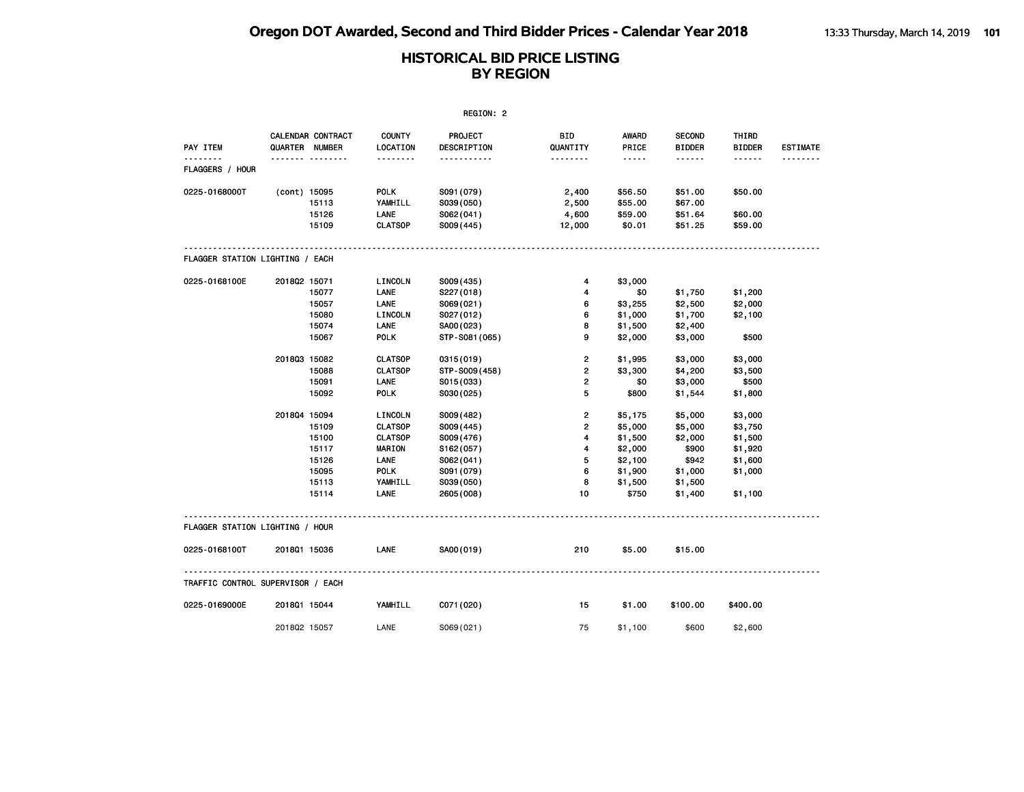|                                   |                |                                     |                           | REGION: 2              |                         |                         |                                |                        |                              |
|-----------------------------------|----------------|-------------------------------------|---------------------------|------------------------|-------------------------|-------------------------|--------------------------------|------------------------|------------------------------|
| PAY ITEM                          | QUARTER NUMBER | CALENDAR CONTRACT<br>. <sub>.</sub> | <b>COUNTY</b><br>LOCATION | PROJECT<br>DESCRIPTION | <b>BID</b><br>QUANTITY  | AWARD<br>PRICE<br>----- | <b>SECOND</b><br><b>BIDDER</b> | THIRD<br><b>BIDDER</b> | <b>ESTIMATE</b><br>- - - - - |
| <b>FLAGGERS / HOUR</b>            |                |                                     | --------                  | .                      | <u>.</u>                |                         | .                              | ------                 |                              |
| 0225-0168000T                     | (cont) 15095   |                                     | <b>POLK</b>               | S091 (079)             | 2,400                   | \$56.50                 | \$51.00                        | \$50.00                |                              |
|                                   |                | 15113                               | YAMHILL                   | S039(050)              | 2,500                   | \$55.00                 | \$67.00                        |                        |                              |
|                                   |                | 15126                               | LANE                      | S062(041)              | 4,600                   | \$59.00                 | \$51.64                        | \$60.00                |                              |
|                                   |                | 15109                               | <b>CLATSOP</b>            | S009(445)              | 12,000                  | \$0.01                  | \$51.25                        | \$59.00                |                              |
| FLAGGER STATION LIGHTING / EACH   |                |                                     |                           |                        |                         |                         |                                |                        |                              |
| 0225-0168100E                     | 201802 15071   |                                     | LINCOLN                   | S009(435)              | 4                       | \$3,000                 |                                |                        |                              |
|                                   |                | 15077                               | LANE                      | S227 (018)             | 4                       | \$0                     | \$1,750                        | \$1,200                |                              |
|                                   |                | 15057                               | LANE                      | S069(021)              | 6                       | \$3,255                 | \$2,500                        | \$2,000                |                              |
|                                   |                | 15080                               | LINCOLN                   | S027(012)              | 6                       | \$1,000                 | \$1,700                        | \$2,100                |                              |
|                                   |                | 15074                               | LANE                      | SA00(023)              | 8                       | \$1,500                 | \$2,400                        |                        |                              |
|                                   |                | 15067                               | <b>POLK</b>               | STP-S081 (065)         | 9                       | \$2,000                 | \$3,000                        | \$500                  |                              |
|                                   | 201803 15082   |                                     | <b>CLATSOP</b>            | 0315 (019)             | $\overline{2}$          | \$1,995                 | \$3,000                        | \$3,000                |                              |
|                                   |                | 15088                               | <b>CLATSOP</b>            | STP-S009(458)          | $\overline{2}$          | \$3,300                 | \$4,200                        | \$3,500                |                              |
|                                   |                | 15091                               | LANE                      | S015(033)              | $\overline{\mathbf{c}}$ | \$0                     | \$3,000                        | \$500                  |                              |
|                                   |                | 15092                               | <b>POLK</b>               | S030(025)              | 5                       | \$800                   | \$1,544                        | \$1,800                |                              |
|                                   | 201804 15094   |                                     | LINCOLN                   | S009(482)              | $\overline{\mathbf{c}}$ | \$5,175                 | \$5,000                        | \$3,000                |                              |
|                                   |                | 15109                               | <b>CLATSOP</b>            | S009(445)              | $\mathbf{2}$            | \$5,000                 | \$5,000                        | \$3,750                |                              |
|                                   |                | 15100                               | <b>CLATSOP</b>            | S009(476)              | 4                       | \$1,500                 | \$2,000                        | \$1,500                |                              |
|                                   |                | 15117                               | <b>MARION</b>             | S162(057)              | 4                       | \$2,000                 | \$900                          | \$1,920                |                              |
|                                   |                | 15126                               | LANE                      | S062(041)              | 5                       | \$2,100                 | \$942                          | \$1,600                |                              |
|                                   |                | 15095                               | <b>POLK</b>               | S091 (079)             | 6                       | \$1,900                 | \$1,000                        | \$1,000                |                              |
|                                   |                | 15113                               | YAMHILL                   | S039(050)              | 8                       | \$1,500                 | \$1,500                        |                        |                              |
|                                   |                | 15114                               | LANE                      | 2605 (008)             | 10                      | \$750                   | \$1,400                        | \$1,100                |                              |
| FLAGGER STATION LIGHTING / HOUR   |                |                                     |                           |                        |                         |                         |                                |                        |                              |
| 0225-0168100T                     | 201801 15036   |                                     | LANE                      | SA00(019)              | 210                     | \$5.00                  | \$15.00                        |                        |                              |
| TRAFFIC CONTROL SUPERVISOR / EACH |                |                                     |                           |                        |                         |                         |                                |                        |                              |
| 0225-0169000E                     | 2018Q1 15044   |                                     | YAMHILL                   | C071 (020)             | 15                      | \$1.00                  | \$100.00                       | \$400.00               |                              |
|                                   | 201802 15057   |                                     | LANE                      | S069(021)              | 75                      | \$1,100                 | \$600                          | \$2,600                |                              |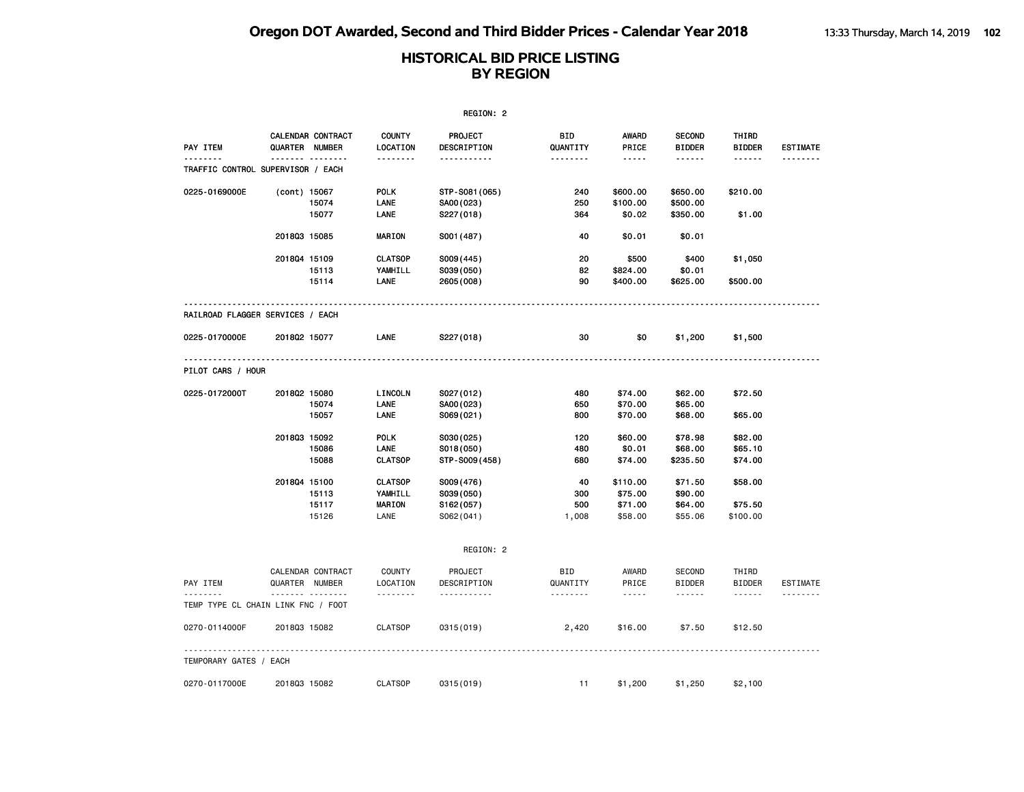|                                    |                |                         |                                                    | REGION: 2                                        |                             |                                                      |                                          |                                |                 |
|------------------------------------|----------------|-------------------------|----------------------------------------------------|--------------------------------------------------|-----------------------------|------------------------------------------------------|------------------------------------------|--------------------------------|-----------------|
| PAY ITEM                           | QUARTER NUMBER | CALENDAR CONTRACT       | <b>COUNTY</b><br>LOCATION                          | PROJECT<br>DESCRIPTION                           | <b>BID</b><br>QUANTITY      | <b>AWARD</b><br>PRICE                                | <b>SECOND</b><br><b>BIDDER</b>           | THIRD<br><b>BIDDER</b>         | <b>ESTIMATE</b> |
| TRAFFIC CONTROL SUPERVISOR / EACH  |                | <u></u>                 | <u>.</u>                                           | <u>.</u>                                         | <u>.</u>                    | $- - - - -$                                          | ------                                   | ------                         |                 |
| 0225-0169000E                      | (cont) 15067   | 15074<br>15077          | <b>POLK</b><br>LANE<br>LANE                        | STP-S081 (065)<br>SA00(023)<br>S227(018)         | 240<br>250<br>364           | \$600.00<br>\$100.00<br>\$0.02                       | \$650.00<br>\$500.00<br>\$350.00         | \$210.00<br>\$1.00             |                 |
|                                    | 201803 15085   |                         | <b>MARION</b>                                      | S001 (487)                                       | 40                          | \$0.01                                               | \$0.01                                   |                                |                 |
|                                    | 201804 15109   | 15113<br>15114          | <b>CLATSOP</b><br>YAMHILL<br>LANE                  | S009(445)<br>S039(050)<br>2605 (008)             | 20<br>82<br>90              | \$500<br>\$824.00<br>\$400.00                        | \$400<br>\$0.01<br>\$625.00              | \$1,050<br>\$500.00            |                 |
| RAILROAD FLAGGER SERVICES / EACH   |                |                         |                                                    |                                                  |                             |                                                      |                                          |                                |                 |
| 0225-0170000E                      | 201802 15077   |                         | LANE                                               | S227(018)                                        | 30                          | \$0                                                  | \$1,200                                  | \$1,500                        |                 |
| PILOT CARS / HOUR                  |                |                         |                                                    |                                                  |                             |                                                      |                                          |                                |                 |
| 0225-0172000T                      | 201802 15080   | 15074<br>15057          | LINCOLN<br>LANE<br>LANE                            | S027(012)<br>SA00(023)<br>S069(021)              | 480<br>650<br>800           | \$74.00<br>\$70.00<br>\$70.00                        | \$62.00<br>\$65.00<br>\$68.00            | \$72.50<br>\$65.00             |                 |
|                                    | 201803 15092   | 15086<br>15088          | POLK<br>LANE<br><b>CLATSOP</b>                     | S030(025)<br>S018(050)<br>STP-S009(458)          | 120<br>480<br>680           | \$60.00<br>\$0.01<br>\$74.00                         | \$78.98<br>\$68.00<br>\$235.50           | \$82.00<br>\$65.10<br>\$74.00  |                 |
|                                    | 201804 15100   | 15113<br>15117<br>15126 | <b>CLATSOP</b><br>YAMHILL<br><b>MARION</b><br>LANE | S009(476)<br>S039(050)<br>S162(057)<br>S062(041) | 40<br>300<br>500<br>1,008   | \$110.00<br>\$75.00<br>\$71.00<br>\$58.00            | \$71.50<br>\$90.00<br>\$64.00<br>\$55.06 | \$58.00<br>\$75.50<br>\$100.00 |                 |
|                                    |                |                         |                                                    | REGION: 2                                        |                             |                                                      |                                          |                                |                 |
| PAY ITEM                           | QUARTER NUMBER | CALENDAR CONTRACT<br>.  | <b>COUNTY</b><br>LOCATION<br><u>.</u>              | PROJECT<br>DESCRIPTION<br>.                      | <b>BID</b><br>QUANTITY<br>. | AWARD<br>PRICE<br>$\sim$ $\sim$ $\sim$ $\sim$ $\sim$ | <b>SECOND</b><br><b>BIDDER</b><br>------ | THIRD<br><b>BIDDER</b><br>.    | ESTIMATE        |
| TEMP TYPE CL CHAIN LINK FNC / FOOT |                |                         |                                                    |                                                  |                             |                                                      |                                          |                                |                 |
| 0270-0114000F                      | 201803 15082   |                         | <b>CLATSOP</b>                                     | 0315 (019)                                       | 2,420                       | \$16.00                                              | \$7.50                                   | \$12.50                        |                 |
| TEMPORARY GATES / EACH             |                |                         |                                                    |                                                  |                             |                                                      |                                          |                                |                 |
| 0270-0117000E                      | 201803 15082   |                         | <b>CLATSOP</b>                                     | 0315 (019)                                       | 11                          | \$1,200                                              | \$1,250                                  | \$2,100                        |                 |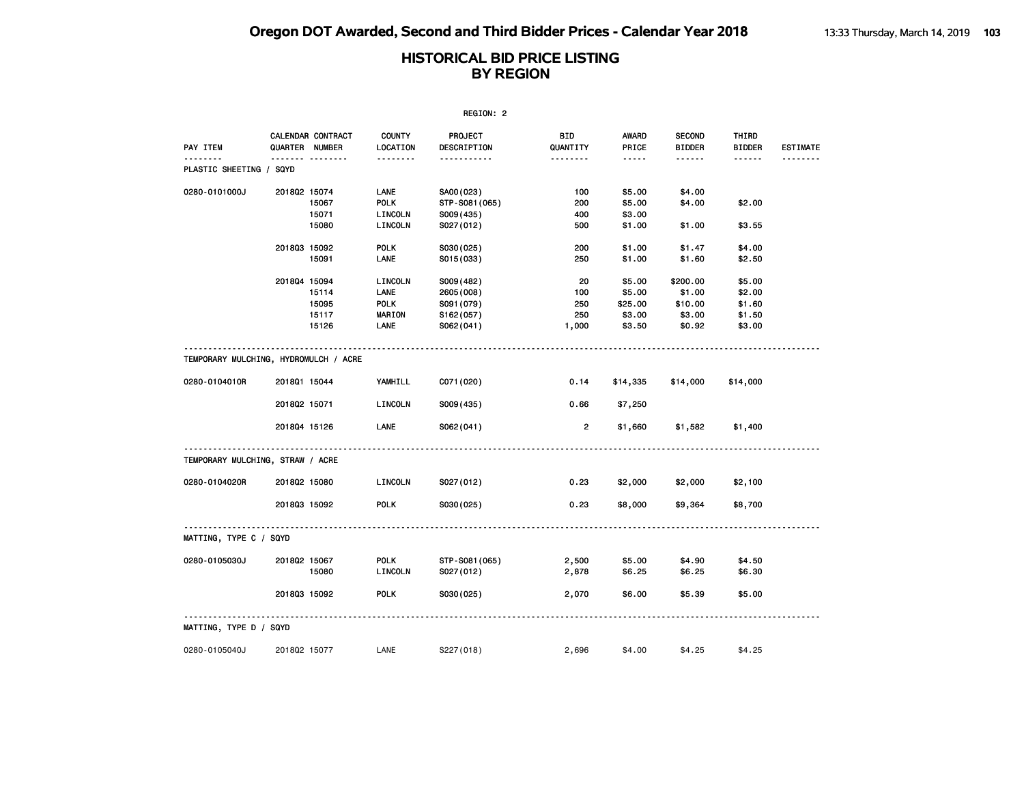|                                       |                |                   |                           | REGION: 2                     |                        |                       |                                |                        |                 |
|---------------------------------------|----------------|-------------------|---------------------------|-------------------------------|------------------------|-----------------------|--------------------------------|------------------------|-----------------|
| PAY ITEM                              | QUARTER NUMBER | CALENDAR CONTRACT | <b>COUNTY</b><br>LOCATION | <b>PROJECT</b><br>DESCRIPTION | <b>BID</b><br>QUANTITY | <b>AWARD</b><br>PRICE | <b>SECOND</b><br><b>BIDDER</b> | THIRD<br><b>BIDDER</b> | <b>ESTIMATE</b> |
| .<br>PLASTIC SHEETING / SQYD          |                | . <sub>.</sub>    | <u>.</u>                  | <u>.</u>                      |                        | $- - - - -$           |                                | $- - - - - -$          | <u>.</u>        |
| 0280-0101000J                         | 2018Q2 15074   |                   | LANE                      | SA00(023)                     | 100                    | \$5.00                | \$4.00                         |                        |                 |
|                                       |                | 15067             | <b>POLK</b>               | STP-S081 (065)                | 200                    | \$5.00                | \$4.00                         | \$2.00                 |                 |
|                                       |                | 15071             | LINCOLN                   | S009(435)                     | 400                    | \$3.00                |                                |                        |                 |
|                                       |                | 15080             | LINCOLN                   | S027(012)                     | 500                    | \$1.00                | \$1.00                         | \$3.55                 |                 |
|                                       | 201803 15092   |                   | <b>POLK</b>               | S030(025)                     | 200                    | \$1.00                | \$1.47                         | \$4.00                 |                 |
|                                       |                | 15091             | LANE                      | S015(033)                     | 250                    | \$1.00                | \$1.60                         | \$2.50                 |                 |
|                                       | 2018Q4 15094   |                   | LINCOLN                   | S009(482)                     | 20                     | \$5.00                | \$200.00                       | \$5.00                 |                 |
|                                       |                | 15114             | LANE                      | 2605 (008)                    | 100                    | \$5.00                | \$1.00                         | \$2.00                 |                 |
|                                       |                | 15095             | <b>POLK</b>               | S091 (079)                    | 250                    | \$25.00               | \$10.00                        | \$1.60                 |                 |
|                                       |                | 15117             | MARION                    | S162(057)                     | 250                    | \$3.00                | \$3.00                         | \$1.50                 |                 |
|                                       |                | 15126             | LANE                      | S062(041)                     | 1,000                  | \$3.50                | \$0.92                         | \$3.00                 |                 |
| TEMPORARY MULCHING, HYDROMULCH / ACRE |                |                   |                           |                               |                        |                       |                                |                        |                 |
| 0280-0104010R                         | 201801 15044   |                   | YAMHILL                   | C071 (020)                    | 0.14                   | \$14,335              | \$14,000                       | \$14,000               |                 |
|                                       | 201802 15071   |                   | LINCOLN                   | S009(435)                     | 0.66                   | \$7,250               |                                |                        |                 |
|                                       | 201804 15126   |                   | <b>LANE</b>               | S062(041)                     | 2                      | \$1,660               | \$1,582                        | \$1,400                |                 |
| TEMPORARY MULCHING, STRAW / ACRE      |                |                   |                           |                               |                        |                       |                                |                        |                 |
| 0280-0104020R                         | 2018Q2 15080   |                   | LINCOLN                   | S027(012)                     | 0.23                   | \$2,000               | \$2,000                        | \$2,100                |                 |
|                                       | 201803 15092   |                   | <b>POLK</b>               | S030(025)                     | 0.23                   | \$8,000               | \$9,364                        | \$8,700                |                 |
| MATTING, TYPE C / SQYD                |                |                   |                           |                               |                        |                       |                                |                        |                 |
| 0280-0105030J                         | 2018Q2 15067   |                   | <b>POLK</b>               | STP-S081 (065)                | 2,500                  | \$5.00                | \$4.90                         | \$4.50                 |                 |
|                                       |                | 15080             | LINCOLN                   | S027(012)                     | 2,878                  | \$6.25                | \$6.25                         | \$6.30                 |                 |
|                                       | 201803 15092   |                   | <b>POLK</b>               | S030(025)                     | 2,070                  | \$6.00                | \$5.39                         | \$5.00                 |                 |
| MATTING, TYPE D / SQYD                |                |                   |                           |                               |                        |                       |                                |                        |                 |
| 0280-0105040J                         | 201802 15077   |                   | LANE                      | S227(018)                     | 2,696                  | \$4.00                | \$4.25                         | \$4.25                 |                 |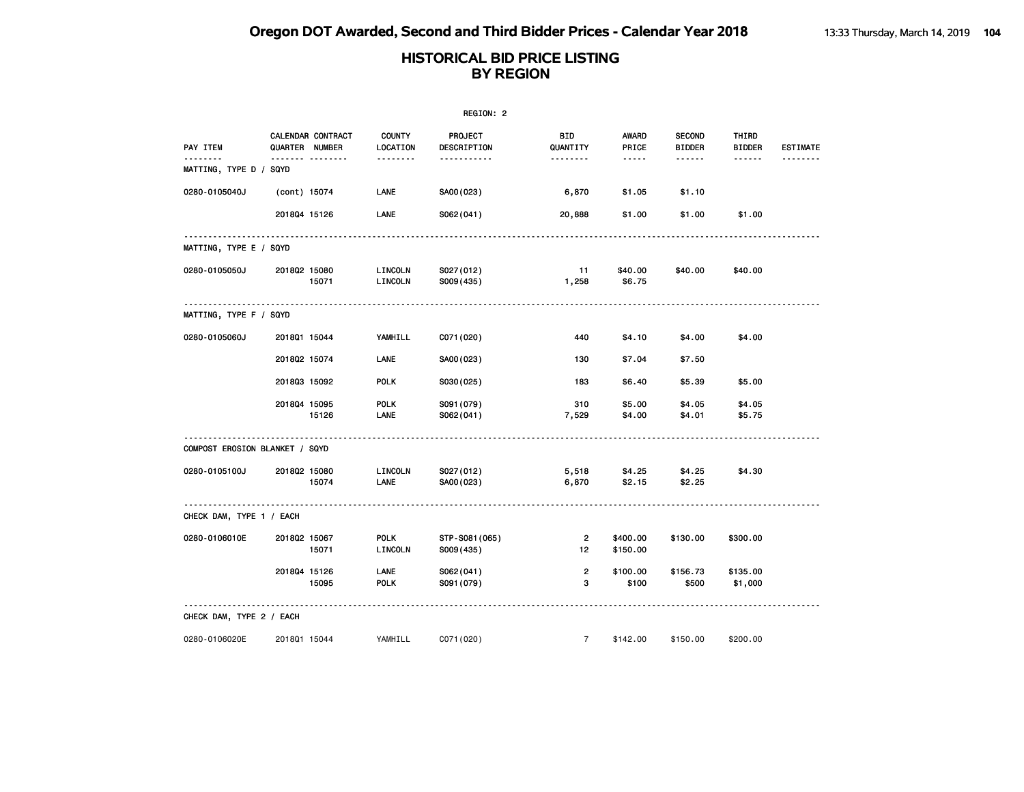|                                    |              |                                     |                           | REGION: 2                  |                      |                      |                                |                        |                 |
|------------------------------------|--------------|-------------------------------------|---------------------------|----------------------------|----------------------|----------------------|--------------------------------|------------------------|-----------------|
| PAY ITEM                           |              | CALENDAR CONTRACT<br>QUARTER NUMBER | <b>COUNTY</b><br>LOCATION | PROJECT<br>DESCRIPTION     | BID<br>QUANTITY      | AWARD<br>PRICE       | <b>SECOND</b><br><b>BIDDER</b> | THIRD<br><b>BIDDER</b> | <b>ESTIMATE</b> |
| <u>.</u><br>MATTING, TYPE D / SQYD |              | <u>.</u>                            | <u>.</u>                  | .                          | <u>.</u>             | -----                | ------                         | ------                 | .               |
| 0280-0105040J                      | (cont) 15074 |                                     | LANE                      | SA00(023)                  | 6,870                | \$1.05               | \$1.10                         |                        |                 |
|                                    | 201804 15126 |                                     | <b>LANE</b>               | S062(041)                  | 20,888               | \$1.00               | \$1.00                         | \$1.00                 |                 |
| MATTING, TYPE E / SQYD             |              |                                     |                           |                            |                      |                      |                                |                        |                 |
| 0280-0105050J                      | 2018Q2 15080 | 15071                               | LINCOLN<br>LINCOLN        | S027(012)<br>S009(435)     | 11<br>1,258          | \$40.00<br>\$6.75    | \$40.00                        | \$40.00                |                 |
| MATTING, TYPE F / SQYD             |              |                                     |                           |                            |                      |                      |                                |                        |                 |
| 0280-0105060J                      | 201801 15044 |                                     | YAMHILL                   | C071 (020)                 | 440                  | \$4.10               | \$4.00                         | \$4.00                 |                 |
|                                    | 201802 15074 |                                     | LANE                      | SA00(023)                  | 130                  | \$7.04               | \$7.50                         |                        |                 |
|                                    | 201803 15092 |                                     | <b>POLK</b>               | S030(025)                  | 183                  | \$6.40               | \$5.39                         | \$5.00                 |                 |
|                                    | 201804 15095 | 15126                               | <b>POLK</b><br>LANE       | S091 (079)<br>S062(041)    | 310<br>7,529         | \$5.00<br>\$4.00     | \$4.05<br>\$4.01               | \$4.05<br>\$5.75       |                 |
| COMPOST EROSION BLANKET / SQYD     |              |                                     |                           |                            |                      |                      |                                |                        |                 |
| 0280-0105100J                      | 201802 15080 | 15074                               | LINCOLN<br>LANE           | S027(012)<br>SA00(023)     | 5,518<br>6,870       | \$4.25<br>\$2.15     | \$4.25<br>\$2.25               | \$4.30                 |                 |
| CHECK DAM, TYPE 1 / EACH           |              |                                     |                           |                            |                      |                      |                                |                        |                 |
| 0280-0106010E                      | 201802 15067 | 15071                               | <b>POLK</b><br>LINCOLN    | STP-S081(065)<br>S009(435) | $\overline{2}$<br>12 | \$400.00<br>\$150.00 | \$130.00                       | \$300.00               |                 |
|                                    | 201804 15126 | 15095                               | LANE<br><b>POLK</b>       | S062(041)<br>S091 (079)    | 2<br>з               | \$100.00<br>\$100    | \$156.73<br>\$500              | \$135.00<br>\$1,000    |                 |
| CHECK DAM, TYPE 2 / EACH           |              |                                     |                           |                            |                      |                      |                                |                        |                 |
| 0280-0106020E                      | 201801 15044 |                                     | YAMHILL                   | C071 (020)                 | $\overline{7}$       | \$142.00             | \$150.00                       | \$200.00               |                 |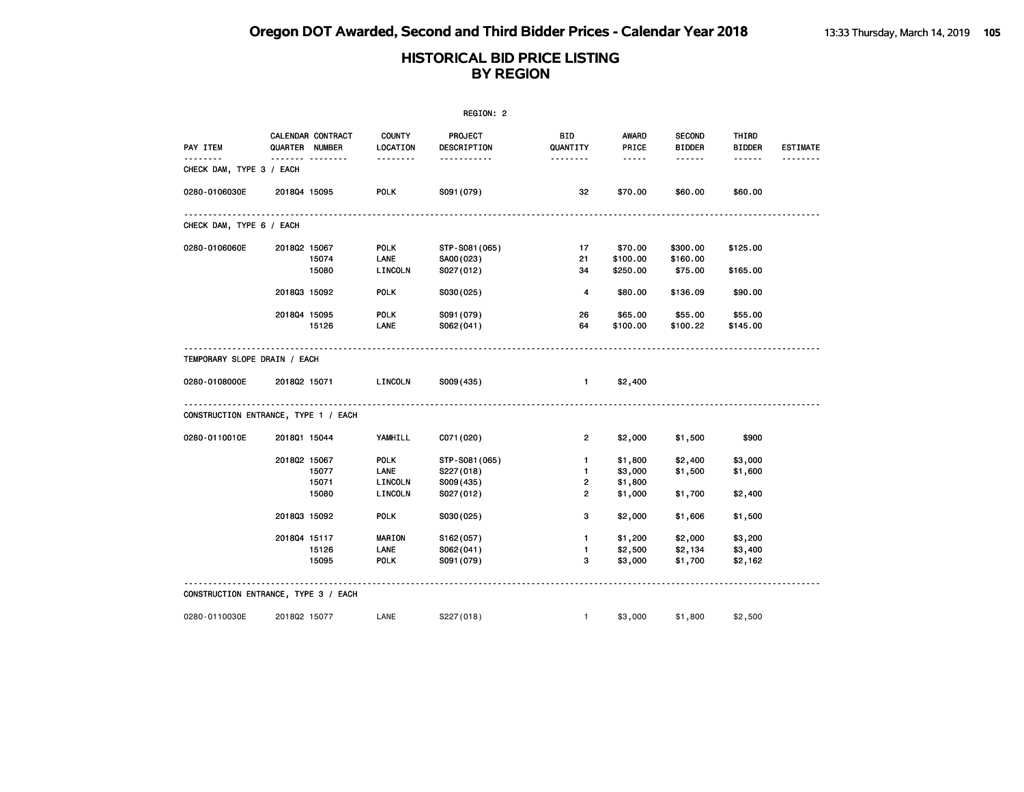|                                      |                                            |                    | REGION: 2              |                        |                                                                                                               |                                |                        |                 |
|--------------------------------------|--------------------------------------------|--------------------|------------------------|------------------------|---------------------------------------------------------------------------------------------------------------|--------------------------------|------------------------|-----------------|
| PAY ITEM                             | CALENDAR CONTRACT<br><b>QUARTER NUMBER</b> | COUNTY<br>LOCATION | PROJECT<br>DESCRIPTION | <b>BID</b><br>QUANTITY | <b>AWARD</b><br>PRICE                                                                                         | <b>SECOND</b><br><b>BIDDER</b> | THIRD<br><b>BIDDER</b> | <b>ESTIMATE</b> |
| <u>.</u><br>CHECK DAM, TYPE 3 / EACH | .                                          | .                  | .                      | --------               | $\frac{1}{2} \frac{1}{2} \frac{1}{2} \frac{1}{2} \frac{1}{2} \frac{1}{2} \frac{1}{2} \frac{1}{2} \frac{1}{2}$ | ------                         | ------                 | .               |
| 0280-0106030E                        | 201804 15095                               | <b>POLK</b>        | S091 (079)             | 32                     | \$70.00                                                                                                       | \$60.00                        | \$60.00                |                 |
| CHECK DAM, TYPE 6 / EACH             |                                            |                    |                        |                        |                                                                                                               |                                |                        |                 |
| 0280-0106060E                        | 201802 15067                               | <b>POLK</b>        | STP-S081(065)          | 17                     | \$70.00                                                                                                       | \$300.00                       | \$125.00               |                 |
|                                      | 15074                                      | LANE               | SA00(023)              | 21                     | \$100.00                                                                                                      | \$160.00                       |                        |                 |
|                                      | 15080                                      | LINCOLN            | S027(012)              | 34                     | \$250.00                                                                                                      | \$75.00                        | \$165.00               |                 |
|                                      | 201803 15092                               | <b>POLK</b>        | S030(025)              | 4                      | \$80.00                                                                                                       | \$136.09                       | \$90.00                |                 |
|                                      | 201804 15095                               | <b>POLK</b>        | S091 (079)             | 26                     | \$65.00                                                                                                       | \$55.00                        | \$55.00                |                 |
|                                      | 15126                                      | LANE               | S062(041)              | 64                     | \$100.00                                                                                                      | \$100.22                       | \$145.00               |                 |
|                                      |                                            |                    |                        |                        |                                                                                                               |                                |                        |                 |
| TEMPORARY SLOPE DRAIN / EACH         |                                            |                    |                        |                        |                                                                                                               |                                |                        |                 |
| 0280-0108000E                        | 201802 15071                               | LINCOLN            | S009(435)              | $\mathbf{1}$           | \$2,400                                                                                                       |                                |                        |                 |
|                                      | CONSTRUCTION ENTRANCE, TYPE 1 / EACH       |                    |                        |                        |                                                                                                               |                                |                        |                 |
| 0280-0110010E                        | 201801 15044                               | YAMHILL            | C071 (020)             | $\overline{2}$         | \$2,000                                                                                                       | \$1,500                        | \$900                  |                 |
|                                      | 201802 15067                               | <b>POLK</b>        | STP-S081 (065)         | 1.                     | \$1,800                                                                                                       | \$2,400                        | \$3,000                |                 |
|                                      | 15077                                      | LANE               | S227(018)              | $\mathbf{1}$           | \$3,000                                                                                                       | \$1,500                        | \$1,600                |                 |
|                                      | 15071                                      | LINCOLN            | S009(435)              | 2                      | \$1,800                                                                                                       |                                |                        |                 |
|                                      | 15080                                      | LINCOLN            | S027(012)              | $\overline{2}$         | \$1,000                                                                                                       | \$1,700                        | \$2,400                |                 |
|                                      | 201803 15092                               | <b>POLK</b>        | S030(025)              | 3                      | \$2,000                                                                                                       | \$1,606                        | \$1,500                |                 |
|                                      | 201804 15117                               | <b>MARION</b>      | S162(057)              | $\mathbf{1}$           | \$1,200                                                                                                       | \$2,000                        | \$3,200                |                 |
|                                      | 15126                                      | LANE               | S062(041)              | $\mathbf{1}$           | \$2,500                                                                                                       | \$2,134                        | \$3,400                |                 |
|                                      | 15095                                      | <b>POLK</b>        | S091 (079)             | 3                      | \$3,000                                                                                                       | \$1,700                        | \$2,162                |                 |
|                                      | CONSTRUCTION ENTRANCE, TYPE 3 / EACH       |                    |                        |                        |                                                                                                               |                                |                        |                 |
| 0280-0110030E                        | 201802 15077                               | LANE               | S227(018)              | $\mathbf{1}$           | \$3,000                                                                                                       | \$1,800                        | \$2,500                |                 |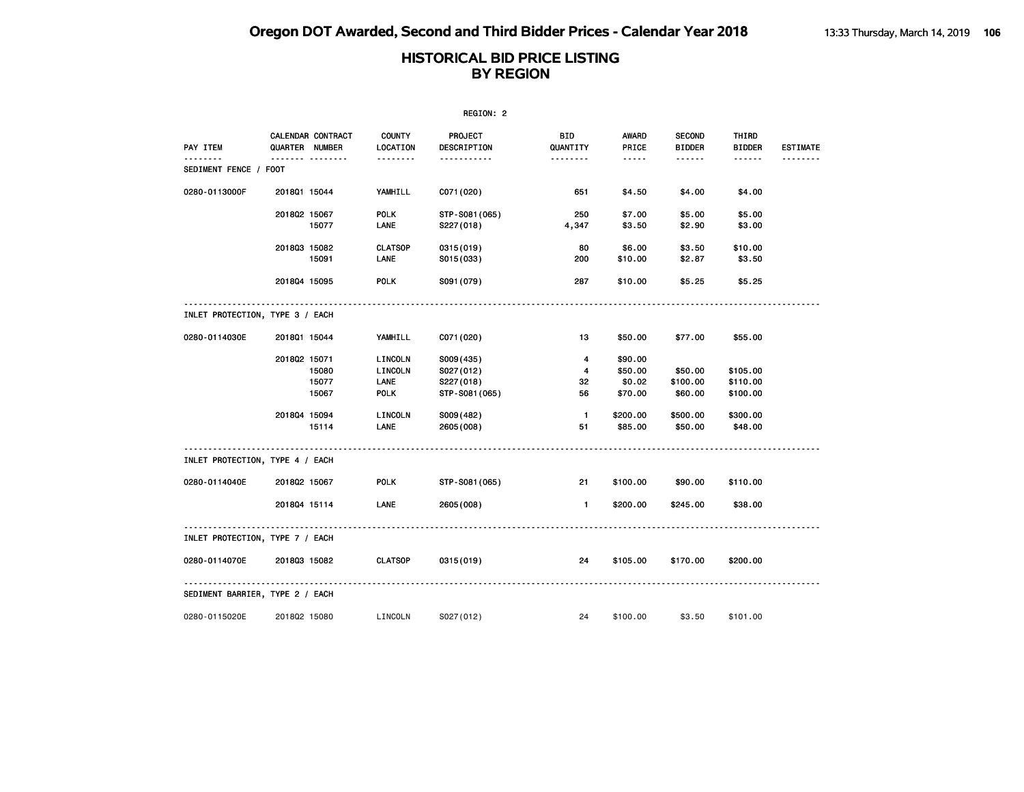|                                   |              |                                     |                                           | REGION: 2                                            |                                 |                                         |                                |                                  |                 |
|-----------------------------------|--------------|-------------------------------------|-------------------------------------------|------------------------------------------------------|---------------------------------|-----------------------------------------|--------------------------------|----------------------------------|-----------------|
| PAY ITEM                          |              | CALENDAR CONTRACT<br>QUARTER NUMBER | COUNTY<br>LOCATION                        | PROJECT<br>DESCRIPTION                               | BID<br>QUANTITY                 | AWARD<br>PRICE                          | <b>SECOND</b><br><b>BIDDER</b> | THIRD<br><b>BIDDER</b>           | <b>ESTIMATE</b> |
| <u>.</u><br>SEDIMENT FENCE / FOOT |              | <b>.</b>                            | <u> - - - - - - -</u>                     | -----------                                          | <u>.</u>                        | $\cdots \cdots$                         | ------                         | $- - - - - -$                    | <u>.</u>        |
| 0280-0113000F                     | 201801 15044 |                                     | YAMHILL                                   | C071 (020)                                           | 651                             | \$4.50                                  | \$4.00                         | \$4.00                           |                 |
|                                   | 2018Q2 15067 | 15077                               | POLK<br>LANE                              | STP-S081(065)<br>S227(018)                           | 250<br>4,347                    | \$7.00<br>\$3.50                        | \$5.00<br>\$2.90               | \$5.00<br>\$3.00                 |                 |
|                                   | 201803 15082 | 15091                               | <b>CLATSOP</b><br>LANE                    | 0315 (019)<br>S015(033)                              | 80<br>200                       | \$6.00<br>\$10.00                       | \$3.50<br>\$2.87               | \$10.00<br>\$3.50                |                 |
|                                   | 201804 15095 |                                     | <b>POLK</b>                               | S091 (079)                                           | 287                             | \$10.00                                 | \$5.25                         | \$5.25                           |                 |
| INLET PROTECTION, TYPE 3 / EACH   |              |                                     |                                           |                                                      |                                 |                                         |                                |                                  |                 |
| 0280-0114030E                     | 201801 15044 |                                     | YAMHILL                                   | C071 (020)                                           | 13                              | \$50.00                                 | \$77.00                        | \$55.00                          |                 |
|                                   | 201802 15071 | 15080<br>15077<br>15067             | LINCOLN<br>LINCOLN<br>LANE<br><b>POLK</b> | S009(435)<br>S027(012)<br>S227(018)<br>STP-S081(065) | $\overline{4}$<br>4<br>32<br>56 | \$90.00<br>\$50.00<br>\$0.02<br>\$70.00 | \$50.00<br>\$100.00<br>\$60.00 | \$105.00<br>\$110.00<br>\$100.00 |                 |
|                                   | 201804 15094 | 15114                               | LINCOLN<br>LANE                           | S009(482)<br>2605 (008)                              | $\blacksquare$<br>51            | \$200.00<br>\$85.00                     | \$500.00<br>\$50.00            | \$300.00<br>\$48.00              |                 |
| INLET PROTECTION, TYPE 4 / EACH   |              |                                     |                                           |                                                      |                                 |                                         |                                |                                  |                 |
| 0280-0114040E                     | 201802 15067 |                                     | <b>POLK</b>                               | STP-S081(065)                                        | 21                              | \$100.00                                | \$90.00                        | \$110.00                         |                 |
|                                   | 201804 15114 |                                     | LANE                                      | 2605 (008)                                           | $\blacksquare$                  | \$200.00                                | \$245.00                       | \$38.00                          |                 |
| INLET PROTECTION, TYPE 7 / EACH   |              |                                     |                                           |                                                      |                                 |                                         |                                |                                  |                 |
| 0280-0114070E                     | 201803 15082 |                                     | <b>CLATSOP</b>                            | 0315 (019)                                           | 24                              | \$105.00                                | \$170.00                       | \$200.00                         |                 |
| SEDIMENT BARRIER, TYPE 2 / EACH   |              |                                     |                                           |                                                      |                                 |                                         |                                |                                  |                 |
| 0280-0115020E                     | 201802 15080 |                                     | LINCOLN                                   | S027(012)                                            | 24                              | \$100.00                                | \$3.50                         | \$101.00                         |                 |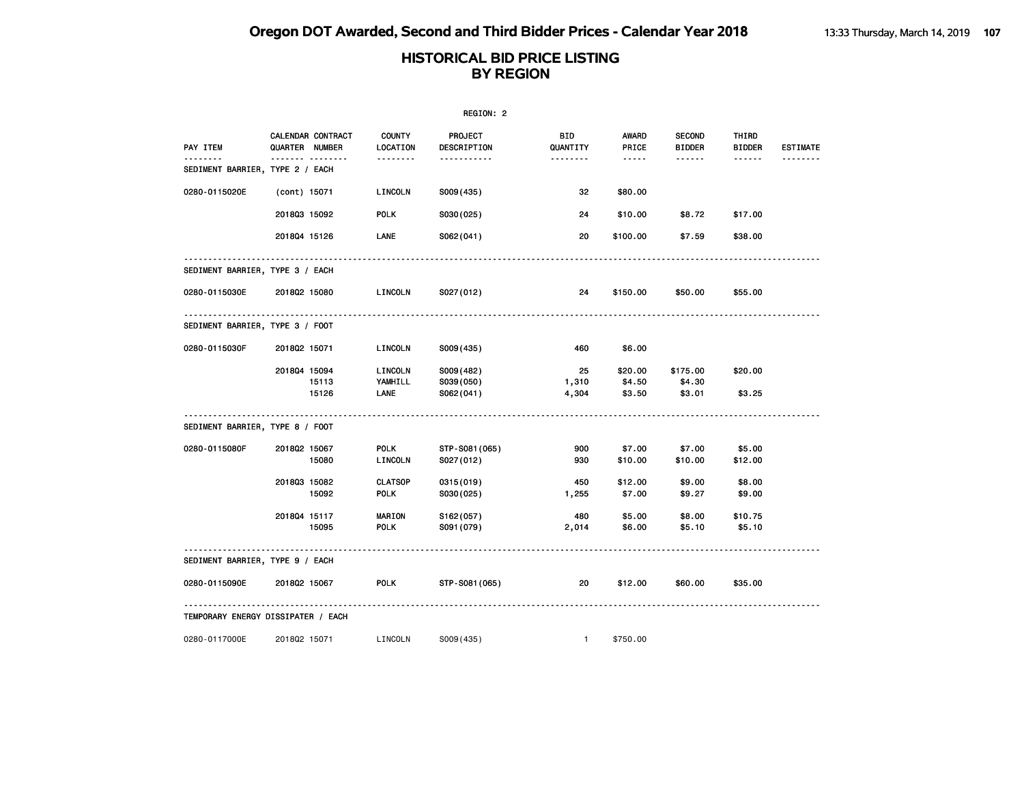|                                      |              |                                     |                               | REGION: 2                           |                       |                             |                                |                        |                 |
|--------------------------------------|--------------|-------------------------------------|-------------------------------|-------------------------------------|-----------------------|-----------------------------|--------------------------------|------------------------|-----------------|
| PAY ITEM                             |              | CALENDAR CONTRACT<br>QUARTER NUMBER | COUNTY<br>LOCATION            | PROJECT<br>DESCRIPTION              | BID<br>QUANTITY       | AWARD<br>PRICE              | <b>SECOND</b><br><b>BIDDER</b> | THIRD<br><b>BIDDER</b> | <b>ESTIMATE</b> |
| .<br>SEDIMENT BARRIER, TYPE 2 / EACH |              | .                                   |                               | <u> - - - - - - - - - - -</u>       | <u> - - - - - - -</u> | $- - - - -$                 | ------                         | ------                 | <u>.</u>        |
| 0280-0115020E                        | (cont) 15071 |                                     | LINCOLN                       | S009(435)                           | 32                    | \$80.00                     |                                |                        |                 |
|                                      | 201803 15092 |                                     | <b>POLK</b>                   | S030(025)                           | 24                    | \$10.00                     | \$8.72                         | \$17.00                |                 |
|                                      | 201804 15126 |                                     | LANE                          | S062(041)                           | 20                    | \$100.00                    | \$7.59                         | \$38.00                |                 |
| SEDIMENT BARRIER, TYPE 3 / EACH      |              |                                     |                               |                                     |                       |                             |                                |                        |                 |
| 0280-0115030E                        | 201802 15080 |                                     | LINCOLN                       | S027(012)                           | 24                    | \$150.00                    | \$50.00                        | \$55.00                |                 |
| SEDIMENT BARRIER, TYPE 3 / FOOT      |              |                                     |                               |                                     |                       |                             |                                |                        |                 |
| 0280-0115030F                        | 201802 15071 |                                     | LINCOLN                       | S009(435)                           | 460                   | \$6.00                      |                                |                        |                 |
|                                      | 201804 15094 | 15113<br>15126                      | LINCOLN<br>YAMHILL<br>LANE    | S009(482)<br>S039(050)<br>S062(041) | 25<br>1,310<br>4,304  | \$20.00<br>\$4.50<br>\$3.50 | \$175.00<br>\$4.30<br>\$3.01   | \$20.00<br>\$3.25      |                 |
| SEDIMENT BARRIER, TYPE 8 / FOOT      |              |                                     |                               |                                     |                       |                             |                                |                        |                 |
| 0280-0115080F                        | 201802 15067 | 15080                               | <b>POLK</b><br>LINCOLN        | STP-S081 (065)<br>S027(012)         | 900<br>930            | \$7.00<br>\$10.00           | \$7.00<br>\$10.00              | \$5.00<br>\$12.00      |                 |
|                                      | 201803 15082 | 15092                               | <b>CLATSOP</b><br><b>POLK</b> | 0315 (019)<br>S030(025)             | 450<br>1,255          | \$12.00<br>\$7.00           | \$9.00<br>\$9.27               | \$8.00<br>\$9.00       |                 |
|                                      | 201804 15117 | 15095                               | <b>MARION</b><br><b>POLK</b>  | S162(057)<br>S091 (079)             | 480<br>2,014          | \$5.00<br>\$6.00            | \$8.00<br>\$5.10               | \$10.75<br>\$5.10      |                 |
| SEDIMENT BARRIER, TYPE 9 / EACH      |              |                                     |                               |                                     |                       |                             |                                |                        |                 |
| 0280-0115090E                        | 201802 15067 |                                     | <b>POLK</b>                   | STP-S081 (065)                      | 20                    | \$12.00                     | \$60.00                        | \$35.00                |                 |
| TEMPORARY ENERGY DISSIPATER / EACH   |              |                                     |                               |                                     |                       |                             |                                |                        |                 |
| 0280-0117000E                        | 201802 15071 |                                     | LINCOLN                       | S009(435)                           | $\mathbf{1}$          | \$750.00                    |                                |                        |                 |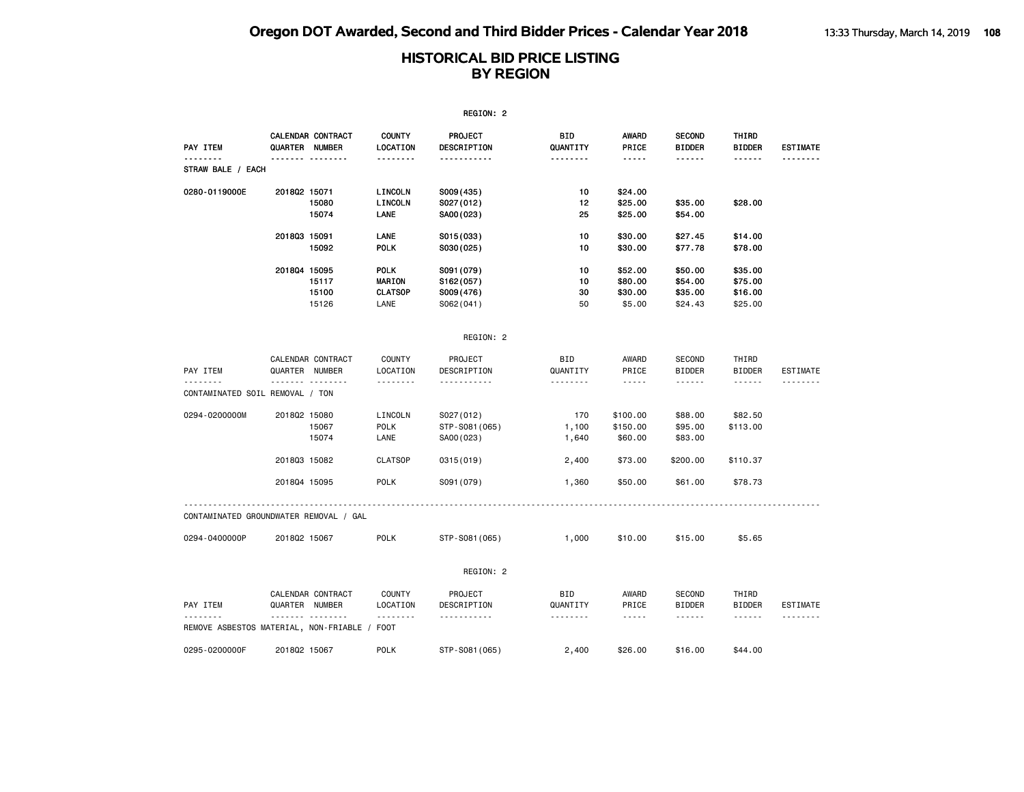|                                              |                |                         |                                                 | REGION: 2                                         |                        |                                                                                                                                                                                 |                                            |                                                                                                                                                                                                                                                                                                                                                                                                                                                                            |                             |
|----------------------------------------------|----------------|-------------------------|-------------------------------------------------|---------------------------------------------------|------------------------|---------------------------------------------------------------------------------------------------------------------------------------------------------------------------------|--------------------------------------------|----------------------------------------------------------------------------------------------------------------------------------------------------------------------------------------------------------------------------------------------------------------------------------------------------------------------------------------------------------------------------------------------------------------------------------------------------------------------------|-----------------------------|
| PAY ITEM                                     | QUARTER NUMBER | CALENDAR CONTRACT       | <b>COUNTY</b><br>LOCATION                       | <b>PROJECT</b><br>DESCRIPTION                     | BID<br>QUANTITY        | <b>AWARD</b><br>PRICE                                                                                                                                                           | <b>SECOND</b><br><b>BIDDER</b>             | THIRD<br><b>BIDDER</b>                                                                                                                                                                                                                                                                                                                                                                                                                                                     | <b>ESTIMATE</b><br><u>.</u> |
| .<br>STRAW BALE / EACH                       |                | <b>.</b>                | .                                               | .                                                 | <u> - - - - - - -</u>  | -----                                                                                                                                                                           | ------                                     | ------                                                                                                                                                                                                                                                                                                                                                                                                                                                                     |                             |
| 0280-0119000E                                | 201802 15071   | 15080<br>15074          | LINCOLN<br>LINCOLN<br>LANE                      | S009(435)<br>S027(012)<br>SA00(023)               | 10<br>12<br>25         | \$24.00<br>\$25.00<br>\$25.00                                                                                                                                                   | \$35.00<br>\$54.00                         | \$28.00                                                                                                                                                                                                                                                                                                                                                                                                                                                                    |                             |
|                                              | 201803 15091   | 15092                   | <b>LANE</b><br><b>POLK</b>                      | S015(033)<br>S030(025)                            | 10<br>10               | \$30.00<br>\$30.00                                                                                                                                                              | \$27.45<br>\$77.78                         | \$14.00<br>\$78.00                                                                                                                                                                                                                                                                                                                                                                                                                                                         |                             |
|                                              | 201804 15095   | 15117<br>15100<br>15126 | <b>POLK</b><br>MARION<br><b>CLATSOP</b><br>LANE | S091 (079)<br>S162(057)<br>S009(476)<br>S062(041) | 10<br>10<br>30<br>50   | \$52.00<br>\$80.00<br>\$30.00<br>\$5.00                                                                                                                                         | \$50.00<br>\$54.00<br>\$35.00<br>\$24.43   | \$35.00<br>\$75.00<br>\$16.00<br>\$25.00                                                                                                                                                                                                                                                                                                                                                                                                                                   |                             |
|                                              |                |                         |                                                 | REGION: 2                                         |                        |                                                                                                                                                                                 |                                            |                                                                                                                                                                                                                                                                                                                                                                                                                                                                            |                             |
| PAY ITEM                                     | QUARTER NUMBER | CALENDAR CONTRACT       | COUNTY<br>LOCATION                              | PROJECT<br>DESCRIPTION                            | BID<br>QUANTITY        | AWARD<br>PRICE                                                                                                                                                                  | <b>SECOND</b><br><b>BIDDER</b>             | THIRD<br><b>BIDDER</b>                                                                                                                                                                                                                                                                                                                                                                                                                                                     | <b>ESTIMATE</b>             |
| --------<br>CONTAMINATED SOIL REMOVAL / TON  |                | <u>.</u>                | .                                               | .                                                 | .                      | $\frac{1}{2} \left( \frac{1}{2} \right) \left( \frac{1}{2} \right) \left( \frac{1}{2} \right) \left( \frac{1}{2} \right) \left( \frac{1}{2} \right) \left( \frac{1}{2} \right)$ | ------                                     | ------                                                                                                                                                                                                                                                                                                                                                                                                                                                                     | <u>.</u>                    |
| 0294-0200000M                                | 201802 15080   | 15067<br>15074          | LINCOLN<br><b>POLK</b><br>LANE                  | S027(012)<br>STP-S081 (065)<br>SA00(023)          | 170<br>1,100<br>1,640  | \$100.00<br>\$150.00<br>\$60.00                                                                                                                                                 | \$88.00<br>\$95.00<br>\$83.00              | \$82.50<br>\$113.00                                                                                                                                                                                                                                                                                                                                                                                                                                                        |                             |
|                                              | 201803 15082   |                         | <b>CLATSOP</b>                                  | 0315(019)                                         | 2,400                  | \$73.00                                                                                                                                                                         | \$200.00                                   | \$110.37                                                                                                                                                                                                                                                                                                                                                                                                                                                                   |                             |
|                                              | 201804 15095   |                         | <b>POLK</b>                                     | S091 (079)                                        | 1,360                  | \$50,00                                                                                                                                                                         | \$61,00                                    | \$78.73                                                                                                                                                                                                                                                                                                                                                                                                                                                                    |                             |
| CONTAMINATED GROUNDWATER REMOVAL / GAL       |                |                         |                                                 |                                                   |                        |                                                                                                                                                                                 |                                            |                                                                                                                                                                                                                                                                                                                                                                                                                                                                            |                             |
| 0294-0400000P                                | 201802 15067   |                         | <b>POLK</b>                                     | STP-S081 (065)                                    | 1,000                  | \$10.00                                                                                                                                                                         | \$15.00                                    | \$5.65                                                                                                                                                                                                                                                                                                                                                                                                                                                                     |                             |
|                                              |                |                         |                                                 | REGION: 2                                         |                        |                                                                                                                                                                                 |                                            |                                                                                                                                                                                                                                                                                                                                                                                                                                                                            |                             |
| PAY ITEM                                     | QUARTER NUMBER | CALENDAR CONTRACT       | <b>COUNTY</b><br>LOCATION<br>.                  | PROJECT<br>DESCRIPTION                            | <b>BID</b><br>QUANTITY | AWARD<br>PRICE                                                                                                                                                                  | <b>SECOND</b><br><b>BIDDER</b><br><u>.</u> | THIRD<br><b>BIDDER</b>                                                                                                                                                                                                                                                                                                                                                                                                                                                     | ESTIMATE<br><u>.</u>        |
| REMOVE ASBESTOS MATERIAL, NON-FRIABLE / FOOT |                |                         |                                                 | .                                                 | <u>.</u>               | $\sim$ $\sim$ $\sim$ $\sim$ $\sim$                                                                                                                                              |                                            | $\frac{1}{2} \left( \frac{1}{2} \right) \left( \frac{1}{2} \right) \left( \frac{1}{2} \right) \left( \frac{1}{2} \right) \left( \frac{1}{2} \right) \left( \frac{1}{2} \right) \left( \frac{1}{2} \right) \left( \frac{1}{2} \right) \left( \frac{1}{2} \right) \left( \frac{1}{2} \right) \left( \frac{1}{2} \right) \left( \frac{1}{2} \right) \left( \frac{1}{2} \right) \left( \frac{1}{2} \right) \left( \frac{1}{2} \right) \left( \frac{1}{2} \right) \left( \frac$ |                             |
| 0295-0200000F                                | 201802 15067   |                         | <b>POLK</b>                                     | STP-S081 (065)                                    | 2,400                  | \$26.00                                                                                                                                                                         | \$16.00                                    | \$44.00                                                                                                                                                                                                                                                                                                                                                                                                                                                                    |                             |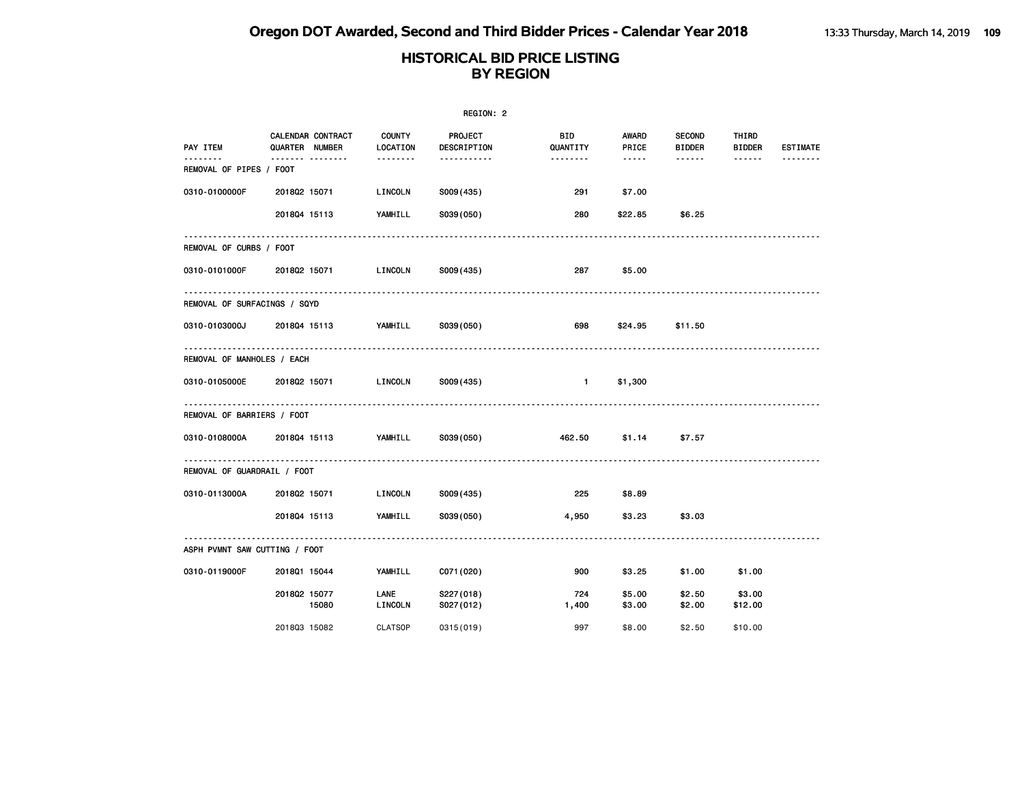|                               |                                                |                                                    | REGION: 2                             |                               |                                          |                              |                   |                             |
|-------------------------------|------------------------------------------------|----------------------------------------------------|---------------------------------------|-------------------------------|------------------------------------------|------------------------------|-------------------|-----------------------------|
| PAY ITEM<br>.                 | <b>CALENDAR CONTRACT</b><br>QUARTER NUMBER<br> | <b>COUNTY</b><br>LOCATION<br><u> - - - - - - -</u> | PROJECT<br>DESCRIPTION<br>----------- | <b>BID</b><br>QUANTITY        | AWARD<br>PRICE<br>$\cdots \cdots \cdots$ | <b>SECOND</b><br>BIDDER<br>. | THIRD<br>BIDDER   | <b>ESTIMATE</b><br><u>.</u> |
| REMOVAL OF PIPES / FOOT       |                                                |                                                    |                                       |                               |                                          |                              |                   |                             |
| 0310-0100000F                 | 201802 15071                                   | LINCOLN                                            | S009(435)                             | 291                           | \$7.00                                   |                              |                   |                             |
|                               | 201804 15113                                   | YAMHILL                                            | S039(050)                             | 280                           | \$22.85                                  | \$6.25                       |                   |                             |
| REMOVAL OF CURBS / FOOT       |                                                |                                                    |                                       |                               |                                          |                              |                   |                             |
| 0310-0101000F 201802 15071    |                                                | LINCOLN                                            | S009(435)                             | 287                           | \$5.00                                   |                              |                   |                             |
| REMOVAL OF SURFACINGS / SQYD  |                                                |                                                    |                                       |                               |                                          |                              |                   |                             |
| 0310-0103000J                 | 201804 15113                                   | YAMHILL                                            | S039(050)                             | 698                           | \$24.95                                  | \$11.50                      |                   |                             |
| REMOVAL OF MANHOLES / EACH    |                                                |                                                    |                                       |                               |                                          |                              |                   |                             |
| 0310-0105000E                 | 201802 15071                                   | LINCOLN                                            | S009(435)                             | $\mathbf{1}$ and $\mathbf{1}$ | \$1,300                                  |                              |                   |                             |
| REMOVAL OF BARRIERS / FOOT    |                                                |                                                    |                                       |                               |                                          |                              |                   |                             |
| 0310-0108000A                 | 201804 15113                                   | YAMHILL                                            | S039(050)                             | 462.50                        | \$1.14                                   | \$7.57                       |                   |                             |
| REMOVAL OF GUARDRAIL / FOOT   |                                                |                                                    |                                       |                               |                                          |                              |                   |                             |
| 0310-0113000A 2018Q2 15071    |                                                | <b>LINCOLN</b>                                     | S009(435)                             | 225                           | \$8.89                                   |                              |                   |                             |
|                               | 201804 15113                                   | YAMHILL                                            | S039(050)                             | 4,950                         | \$3.23                                   | \$3.03                       |                   |                             |
| ASPH PVMNT SAW CUTTING / FOOT |                                                |                                                    |                                       |                               |                                          |                              |                   |                             |
| 0310-0119000F                 | 201801 15044                                   | YAMHILL                                            | C071 (020)                            | 900                           | \$3.25                                   | \$1.00                       | \$1.00            |                             |
|                               | 2018Q2 15077<br>15080                          | LANE<br>LINCOLN                                    | S227(018)<br>S027(012)                | 724<br>1,400                  | \$5.00<br>\$3.00                         | \$2.50<br>\$2.00             | \$3.00<br>\$12.00 |                             |
|                               | 201803 15082                                   | <b>CLATSOP</b>                                     | 0315 (019)                            | 997                           | \$8,00                                   | \$2.50                       | \$10.00           |                             |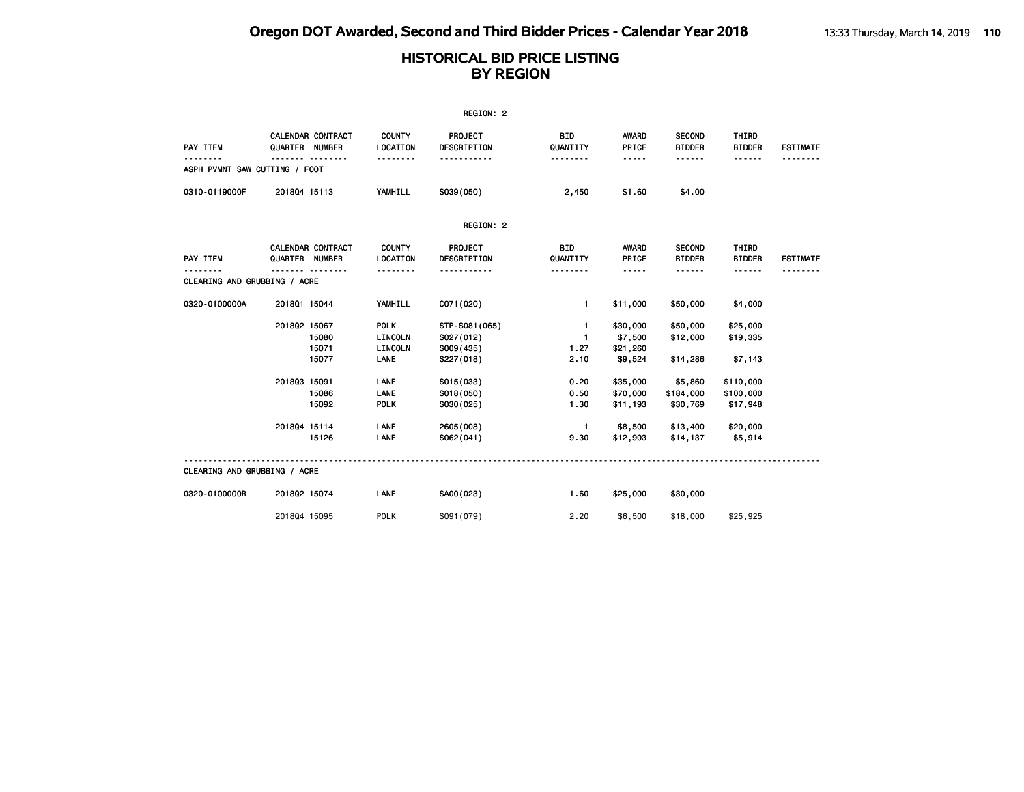|                               |                                            |                         |                                              | REGION: 2                                             |                                              |                                            |                                  |                                    |                 |
|-------------------------------|--------------------------------------------|-------------------------|----------------------------------------------|-------------------------------------------------------|----------------------------------------------|--------------------------------------------|----------------------------------|------------------------------------|-----------------|
| PAY ITEM                      | <b>CALENDAR CONTRACT</b><br>QUARTER NUMBER |                         | <b>COUNTY</b><br><b>LOCATION</b><br><u>.</u> | PROJECT<br>DESCRIPTION<br>.                           | <b>BID</b><br>QUANTITY<br><u>.</u>           | <b>AWARD</b><br>PRICE<br>$- - - - -$       | <b>SECOND</b><br><b>BIDDER</b>   | THIRD<br><b>BIDDER</b><br>------   | <b>ESTIMATE</b> |
| ASPH PVMNT SAW CUTTING / FOOT |                                            |                         |                                              |                                                       |                                              |                                            | .                                |                                    |                 |
| 0310-0119000F                 | 201804 15113                               |                         | YAMHILL                                      | S039(050)                                             | 2,450                                        | \$1.60                                     | \$4.00                           |                                    |                 |
|                               |                                            |                         |                                              | REGION: 2                                             |                                              |                                            |                                  |                                    |                 |
| PAY ITEM                      | <b>CALENDAR CONTRACT</b><br>QUARTER NUMBER |                         | <b>COUNTY</b><br><b>LOCATION</b>             | PROJECT<br>DESCRIPTION                                | <b>BID</b><br>QUANTITY                       | AWARD<br>PRICE                             | <b>SECOND</b><br><b>BIDDER</b>   | THIRD<br><b>BIDDER</b>             | <b>ESTIMATE</b> |
| CLEARING AND GRUBBING / ACRE  |                                            | ------                  | .                                            | .                                                     | .                                            | $- - - - -$                                | <u>.</u>                         | ------                             |                 |
| 0320-0100000A                 | 201801 15044                               |                         | YAMHILL                                      | C071 (020)                                            | 1                                            | \$11,000                                   | \$50,000                         | \$4,000                            |                 |
|                               | 201802 15067                               | 15080<br>15071<br>15077 | <b>POLK</b><br>LINCOLN<br>LINCOLN<br>LANE    | STP-S081 (065)<br>S027(012)<br>S009(435)<br>S227(018) | $\mathbf{1}$<br>$\mathbf{1}$<br>1.27<br>2.10 | \$30,000<br>\$7,500<br>\$21,260<br>\$9,524 | \$50,000<br>\$12,000<br>\$14,286 | \$25,000<br>\$19,335<br>\$7,143    |                 |
|                               | 201803 15091                               | 15086<br>15092          | LANE<br>LANE<br><b>POLK</b>                  | S015(033)<br>S018(050)<br>S030(025)                   | 0.20<br>0.50<br>1.30                         | \$35,000<br>\$70,000<br>\$11,193           | \$5,860<br>\$184,000<br>\$30,769 | \$110,000<br>\$100,000<br>\$17,948 |                 |
|                               | 201804 15114                               | 15126                   | <b>LANE</b><br><b>LANE</b>                   | 2605 (008)<br>SO62(041)                               | $\blacksquare$<br>9.30                       | \$8,500<br>\$12,903                        | \$13,400<br>\$14,137             | \$20,000<br>\$5,914                |                 |
| CLEARING AND GRUBBING / ACRE  |                                            |                         |                                              |                                                       |                                              |                                            |                                  |                                    |                 |
| 0320-0100000R                 | 201802 15074                               |                         | <b>LANE</b>                                  | SA00(023)                                             | 1.60                                         | \$25,000                                   | \$30,000                         |                                    |                 |
|                               | 201804 15095                               |                         | <b>POLK</b>                                  | S091 (079)                                            | 2.20                                         | \$6,500                                    | \$18,000                         | \$25,925                           |                 |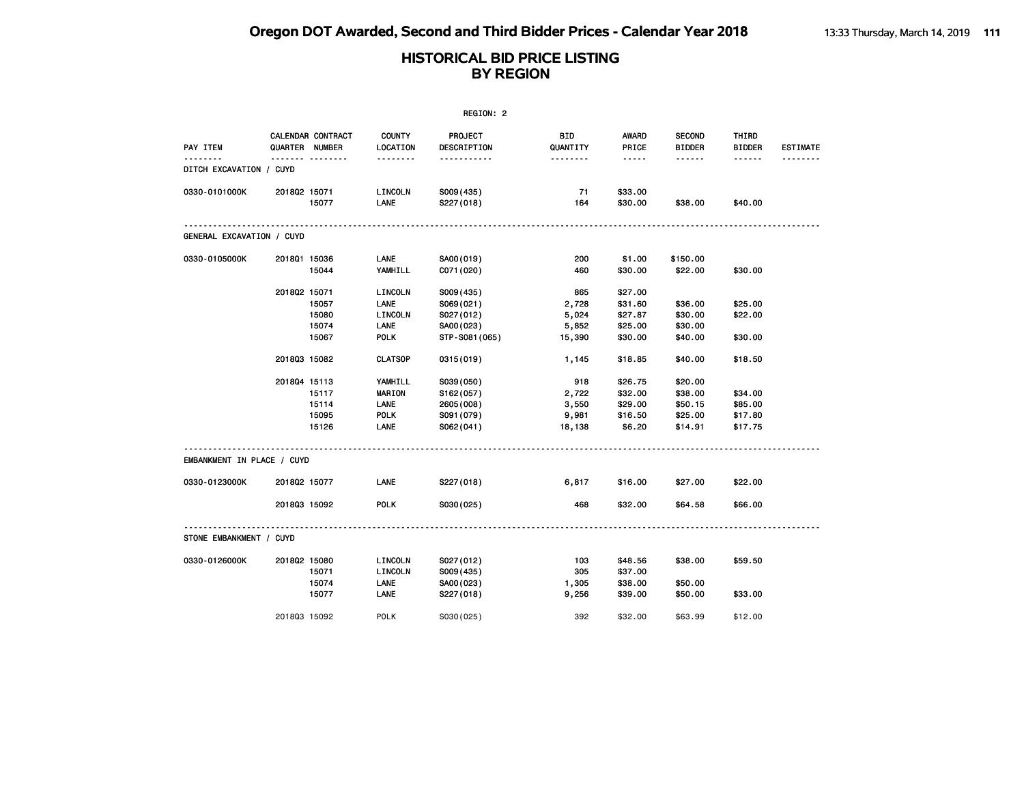| REGION: 2                                |              |                                     |                    |                        |                        |                       |                                |                        |                 |
|------------------------------------------|--------------|-------------------------------------|--------------------|------------------------|------------------------|-----------------------|--------------------------------|------------------------|-----------------|
| PAY ITEM                                 |              | CALENDAR CONTRACT<br>QUARTER NUMBER | COUNTY<br>LOCATION | PROJECT<br>DESCRIPTION | <b>BID</b><br>QUANTITY | <b>AWARD</b><br>PRICE | <b>SECOND</b><br><b>BIDDER</b> | THIRD<br><b>BIDDER</b> | <b>ESTIMATE</b> |
| $- - - - - -$<br>DITCH EXCAVATION / CUYD |              |                                     | .                  | <u></u>                | <u>.</u>               | $- - - - -$           | .                              |                        | <u>.</u>        |
| 0330-0101000K                            | 201802 15071 |                                     | LINCOLN            | S009(435)              | 71                     | \$33.00               |                                |                        |                 |
|                                          |              | 15077                               | LANE               | S227(018)              | 164                    | \$30.00               | \$38.00                        | \$40.00                |                 |
| GENERAL EXCAVATION / CUYD                |              |                                     |                    |                        |                        |                       |                                |                        |                 |
| 0330-0105000K                            | 201801 15036 |                                     | <b>LANE</b>        | SA00(019)              | 200                    | \$1.00                | \$150.00                       |                        |                 |
|                                          |              | 15044                               | YAMHILL            | C071 (020)             | 460                    | \$30.00               | \$22.00                        | \$30.00                |                 |
|                                          | 201802 15071 |                                     | LINCOLN            | S009(435)              | 865                    | \$27.00               |                                |                        |                 |
|                                          |              | 15057                               | LANE               | S069(021)              | 2,728                  | \$31.60               | \$36.00                        | \$25.00                |                 |
|                                          |              | 15080                               | LINCOLN            | S027(012)              | 5,024                  | \$27.87               | \$30.00                        | \$22.00                |                 |
|                                          |              | 15074                               | LANE               | SA00(023)              | 5,852                  | \$25.00               | \$30.00                        |                        |                 |
|                                          |              | 15067                               | <b>POLK</b>        | STP-S081 (065)         | 15,390                 | \$30.00               | \$40.00                        | \$30.00                |                 |
|                                          | 201803 15082 |                                     | <b>CLATSOP</b>     | 0315(019)              | 1,145                  | \$18.85               | \$40.00                        | \$18.50                |                 |
|                                          | 201804 15113 |                                     | YAMHILL            | S039(050)              | 918                    | \$26.75               | \$20.00                        |                        |                 |
|                                          |              | 15117                               | <b>MARION</b>      | S162(057)              | 2,722                  | \$32.00               | \$38.00                        | \$34.00                |                 |
|                                          |              | 15114                               | LANE               | 2605 (008)             | 3,550                  | \$29.00               | \$50.15                        | \$85.00                |                 |
|                                          |              | 15095                               | <b>POLK</b>        | S091 (079)             | 9,981                  | \$16.50               | \$25.00                        | \$17.80                |                 |
|                                          |              | 15126                               | LANE               | S062(041)              | 18,138                 | \$6.20                | \$14.91                        | \$17.75                |                 |
| EMBANKMENT IN PLACE / CUYD               |              |                                     |                    |                        |                        |                       |                                |                        |                 |
| 0330-0123000K                            | 2018Q2 15077 |                                     | LANE               | S227(018)              | 6,817                  | \$16.00               | \$27.00                        | \$22.00                |                 |
|                                          | 201803 15092 |                                     | <b>POLK</b>        | S030(025)              | 468                    | \$32.00               | \$64.58                        | \$66.00                |                 |
| STONE EMBANKMENT / CUYD                  |              |                                     |                    |                        |                        |                       |                                |                        |                 |
| 0330-0126000K                            | 201802 15080 |                                     | LINCOLN            | S027(012)              | 103                    | \$48.56               | \$38.00                        | \$59.50                |                 |
|                                          |              | 15071                               | LINCOLN            | S009(435)              | 305                    | \$37.00               |                                |                        |                 |
|                                          |              | 15074                               | LANE               | SA00(023)              | 1,305                  | \$38.00               | \$50.00                        |                        |                 |
|                                          |              | 15077                               | LANE               | S227(018)              | 9,256                  | \$39.00               | \$50.00                        | \$33.00                |                 |
|                                          | 201803 15092 |                                     | <b>POLK</b>        | S030(025)              | 392                    | \$32,00               | \$63.99                        | \$12.00                |                 |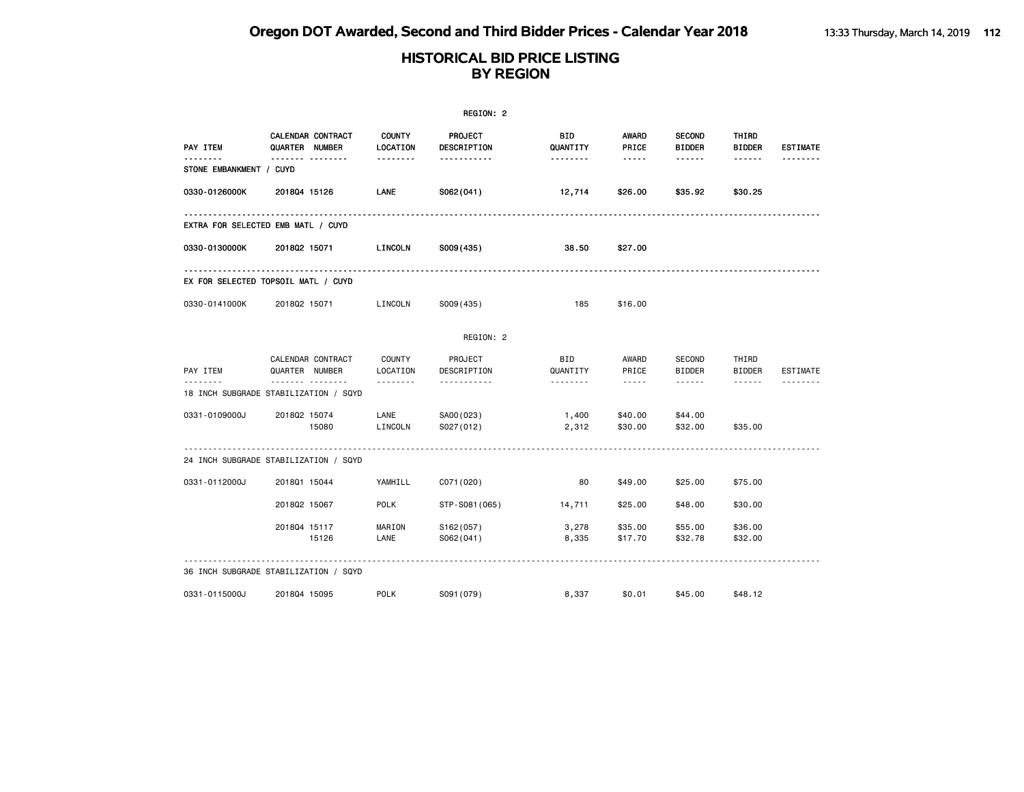|                         |                                            |                           | REGION: 2                     |                 |                    |                                |                        |                 |
|-------------------------|--------------------------------------------|---------------------------|-------------------------------|-----------------|--------------------|--------------------------------|------------------------|-----------------|
| PAY ITEM                | CALENDAR CONTRACT<br>QUARTER NUMBER        | <b>COUNTY</b><br>LOCATION | <b>PROJECT</b><br>DESCRIPTION | BID<br>QUANTITY | AWARD<br>PRICE     | <b>SECOND</b><br><b>BIDDER</b> | THIRD<br><b>BIDDER</b> | <b>ESTIMATE</b> |
| STONE EMBANKMENT / CUYD | ---------                                  | .                         | <u>.</u>                      | <u>.</u>        | $- - - - -$        | ------                         | ------                 |                 |
| 0330-0126000K           | 201804 15126                               | LANE                      | S062(041)                     | 12,714          | \$26.00            | \$35.92                        | \$30.25                |                 |
|                         | EXTRA FOR SELECTED EMB MATL / CUYD         |                           |                               |                 |                    |                                |                        |                 |
| 0330-0130000K           | 201802 15071                               | LINCOLN                   | S009(435)                     | 38.50           | \$27.00            |                                |                        |                 |
|                         | EX FOR SELECTED TOPSOIL MATL / CUYD        |                           |                               |                 |                    |                                |                        |                 |
| 0330-0141000K           | 201802 15071                               | LINCOLN                   | S009(435)                     | 185             | \$16.00            |                                |                        |                 |
|                         |                                            |                           | REGION: 2                     |                 |                    |                                |                        |                 |
| PAY ITEM                | CALENDAR CONTRACT<br>QUARTER NUMBER        | COUNTY<br>LOCATION        | PROJECT<br>DESCRIPTION        | BID<br>QUANTITY | AWARD<br>PRICE     | SECOND<br><b>BIDDER</b>        | THIRD<br><b>BIDDER</b> | <b>ESTIMATE</b> |
|                         | .<br>18 INCH SUBGRADE STABILIZATION / SQYD |                           | .                             | .               | $- - - - -$        | $- - - - - -$                  | $- - - - - -$          | --------        |
| 0331-0109000J           | 201802 15074<br>15080                      | LANE<br>LINCOLN           | SA00(023)<br>S027(012)        | 1,400<br>2,312  | \$40.00<br>\$30.00 | \$44.00<br>\$32.00             | \$35.00                |                 |
|                         | 24 INCH SUBGRADE STABILIZATION / SQYD      |                           |                               |                 |                    |                                |                        |                 |
| 0331-0112000J           | 201801 15044                               | YAMHILL                   | C071 (020)                    | 80              | \$49.00            | \$25.00                        | \$75.00                |                 |
|                         | 201802 15067                               | <b>POLK</b>               | STP-S081(065)                 | 14,711          | \$25.00            | \$48.00                        | \$30.00                |                 |
|                         | 201804 15117<br>15126                      | MARION<br>LANE            | S162(057)<br>S062(041)        | 3,278<br>8,335  | \$35.00<br>\$17.70 | \$55.00<br>\$32.78             | \$36.00<br>\$32.00     |                 |
|                         | 36 INCH SUBGRADE STABILIZATION / SQYD      |                           |                               |                 |                    |                                |                        |                 |
| 0331-0115000J           | 201804 15095                               | <b>POLK</b>               | S091 (079)                    | 8,337           | \$0.01             | \$45.00                        | \$48.12                |                 |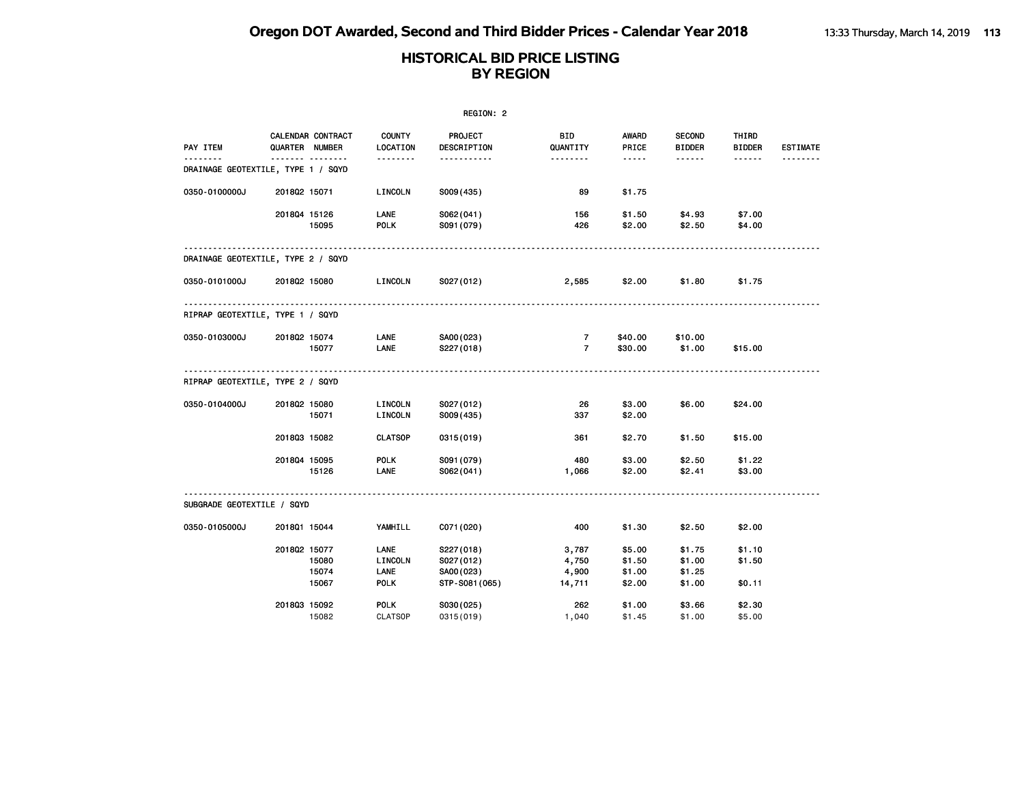|                                    |              |                                                |                                        | REGION: 2                                             |                                          |                                                                                                                                 |                                          |                                  |                             |
|------------------------------------|--------------|------------------------------------------------|----------------------------------------|-------------------------------------------------------|------------------------------------------|---------------------------------------------------------------------------------------------------------------------------------|------------------------------------------|----------------------------------|-----------------------------|
| PAY ITEM                           |              | CALENDAR CONTRACT<br>QUARTER NUMBER<br><u></u> | <b>COUNTY</b><br>LOCATION<br><u>.</u>  | PROJECT<br>DESCRIPTION<br>.                           | BID<br>QUANTITY<br><u> - - - - - - -</u> | AWARD<br>PRICE<br>$\frac{1}{2} \frac{1}{2} \frac{1}{2} \frac{1}{2} \frac{1}{2} \frac{1}{2} \frac{1}{2} \frac{1}{2} \frac{1}{2}$ | <b>SECOND</b><br><b>BIDDER</b><br>------ | THIRD<br><b>BIDDER</b><br>------ | <b>ESTIMATE</b><br>-------- |
| DRAINAGE GEOTEXTILE, TYPE 1 / SQYD |              |                                                |                                        |                                                       |                                          |                                                                                                                                 |                                          |                                  |                             |
| 0350-0100000J                      | 201802 15071 |                                                | LINCOLN                                | S009(435)                                             | 89                                       | \$1.75                                                                                                                          |                                          |                                  |                             |
|                                    | 201804 15126 | 15095                                          | LANE<br><b>POLK</b>                    | S062(041)<br>S091 (079)                               | 156<br>426                               | \$1.50<br>\$2.00                                                                                                                | \$4.93<br>\$2.50                         | \$7.00<br>\$4.00                 |                             |
| DRAINAGE GEOTEXTILE, TYPE 2 / SQYD |              |                                                |                                        |                                                       |                                          |                                                                                                                                 |                                          |                                  |                             |
| 0350-0101000J                      | 201802 15080 |                                                | LINCOLN                                | S027(012)                                             | 2,585                                    | \$2.00                                                                                                                          | \$1.80                                   | \$1.75                           |                             |
| RIPRAP GEOTEXTILE, TYPE 1 / SQYD   |              |                                                |                                        |                                                       |                                          |                                                                                                                                 |                                          |                                  |                             |
| 0350-0103000J                      | 201802 15074 | 15077                                          | LANE<br>LANE                           | SA00(023)<br>S227(018)                                | $\overline{7}$<br>$\overline{7}$         | \$40.00<br>\$30.00                                                                                                              | \$10.00<br>\$1.00                        | \$15.00                          |                             |
| RIPRAP GEOTEXTILE, TYPE 2 / SQYD   |              |                                                |                                        |                                                       |                                          |                                                                                                                                 |                                          |                                  |                             |
| 0350-0104000J                      | 201802 15080 | 15071                                          | LINCOLN<br>LINCOLN                     | S027(012)<br>S009(435)                                | 26<br>337                                | \$3.00<br>\$2.00                                                                                                                | \$6.00                                   | \$24.00                          |                             |
|                                    | 201803 15082 |                                                | <b>CLATSOP</b>                         | 0315 (019)                                            | 361                                      | \$2.70                                                                                                                          | \$1.50                                   | \$15.00                          |                             |
|                                    | 201804 15095 | 15126                                          | <b>POLK</b><br>LANE                    | S091 (079)<br>S062(041)                               | 480<br>1,066                             | \$3.00<br>\$2.00                                                                                                                | \$2.50<br>\$2.41                         | \$1.22<br>\$3.00                 |                             |
| SUBGRADE GEOTEXTILE / SQYD         |              |                                                |                                        |                                                       |                                          |                                                                                                                                 |                                          |                                  |                             |
| 0350-0105000J                      | 201801 15044 |                                                | YAMHILL                                | C071 (020)                                            | 400                                      | \$1.30                                                                                                                          | \$2.50                                   | \$2.00                           |                             |
|                                    | 201802 15077 | 15080<br>15074<br>15067                        | LANE<br>LINCOLN<br>LANE<br><b>POLK</b> | S227(018)<br>S027(012)<br>SA00(023)<br>STP-S081 (065) | 3,787<br>4,750<br>4,900<br>14,711        | \$5.00<br>\$1.50<br>\$1.00<br>\$2.00                                                                                            | \$1.75<br>\$1.00<br>\$1.25<br>\$1.00     | \$1.10<br>\$1.50<br>\$0.11       |                             |
|                                    | 201803 15092 | 15082                                          | <b>POLK</b><br><b>CLATSOP</b>          | S030(025)<br>0315 (019)                               | 262<br>1,040                             | \$1.00<br>\$1.45                                                                                                                | \$3.66<br>\$1.00                         | \$2.30<br>\$5.00                 |                             |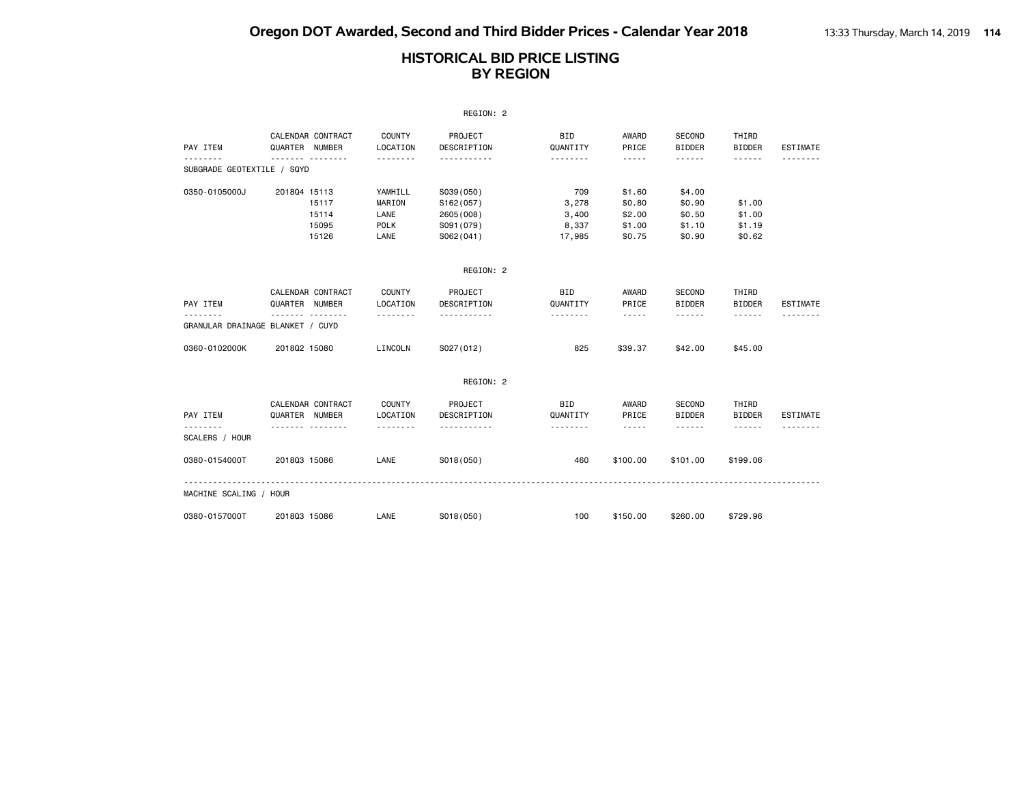|                                  |              |                                                       |                                           | REGION: 2                                                       |                                          |                                                                                                                                                      |                                                |                                      |                             |
|----------------------------------|--------------|-------------------------------------------------------|-------------------------------------------|-----------------------------------------------------------------|------------------------------------------|------------------------------------------------------------------------------------------------------------------------------------------------------|------------------------------------------------|--------------------------------------|-----------------------------|
| PAY ITEM                         |              | CALENDAR CONTRACT<br>QUARTER NUMBER                   | <b>COUNTY</b><br>LOCATION                 | PROJECT<br>DESCRIPTION                                          | <b>BID</b><br>QUANTITY                   | AWARD<br>PRICE                                                                                                                                       | SECOND<br><b>BIDDER</b>                        | THIRD<br><b>BIDDER</b>               | ESTIMATE                    |
| SUBGRADE GEOTEXTILE / SQYD       |              | .                                                     | --------                                  | <u>.</u>                                                        | .                                        | $\frac{1}{2} \left( \frac{1}{2} \right) \left( \frac{1}{2} \right) \left( \frac{1}{2} \right) \left( \frac{1}{2} \right) \left( \frac{1}{2} \right)$ | ------                                         | ------                               |                             |
| 0350-0105000J                    | 201804 15113 | 15117<br>15114<br>15095<br>15126                      | YAMHILL<br>MARION<br>LANE<br>POLK<br>LANE | S039(050)<br>S162(057)<br>2605 (008)<br>S091 (079)<br>S062(041) | 709<br>3,278<br>3,400<br>8,337<br>17,985 | \$1.60<br>\$0.80<br>\$2.00<br>\$1.00<br>\$0.75                                                                                                       | \$4.00<br>\$0.90<br>\$0.50<br>\$1.10<br>\$0.90 | \$1.00<br>\$1.00<br>\$1.19<br>\$0.62 |                             |
|                                  |              |                                                       |                                           | REGION: 2                                                       |                                          |                                                                                                                                                      |                                                |                                      |                             |
| PAY ITEM                         |              | CALENDAR CONTRACT<br>QUARTER NUMBER                   | <b>COUNTY</b><br>LOCATION                 | PROJECT<br>DESCRIPTION                                          | <b>BID</b><br>QUANTITY                   | AWARD<br>PRICE                                                                                                                                       | <b>SECOND</b><br><b>BIDDER</b>                 | THIRD<br><b>BIDDER</b>               | <b>ESTIMATE</b>             |
| GRANULAR DRAINAGE BLANKET / CUYD |              |                                                       | .                                         | .                                                               | .                                        | $\frac{1}{2} \left( \frac{1}{2} \right) \left( \frac{1}{2} \right) \left( \frac{1}{2} \right) \left( \frac{1}{2} \right) \left( \frac{1}{2} \right)$ | <b>.</b>                                       | $\cdots \cdots \cdots \cdots$        |                             |
| 0360-0102000K                    | 201802 15080 |                                                       | LINCOLN                                   | S027(012)                                                       | 825                                      | \$39.37                                                                                                                                              | \$42,00                                        | \$45,00                              |                             |
|                                  |              |                                                       |                                           | REGION: 2                                                       |                                          |                                                                                                                                                      |                                                |                                      |                             |
| PAY ITEM<br>.                    |              | CALENDAR CONTRACT<br>QUARTER NUMBER<br>. <sub>.</sub> | <b>COUNTY</b><br>LOCATION<br>.            | PROJECT<br>DESCRIPTION<br><u>.</u>                              | <b>BID</b><br>QUANTITY<br><u>.</u>       | AWARD<br>PRICE<br>$- - - - -$                                                                                                                        | SECOND<br><b>BIDDER</b>                        | THIRD<br><b>BIDDER</b>               | <b>ESTIMATE</b><br>-------- |
| SCALERS / HOUR                   |              |                                                       |                                           |                                                                 |                                          |                                                                                                                                                      |                                                |                                      |                             |
| 0380-0154000T                    | 201803 15086 |                                                       | LANE                                      | S018(050)                                                       | 460                                      | \$100.00                                                                                                                                             | \$101.00                                       | \$199.06                             |                             |
| MACHINE SCALING / HOUR           |              |                                                       |                                           |                                                                 |                                          |                                                                                                                                                      |                                                |                                      |                             |
| 0380-0157000T                    | 201803 15086 |                                                       | LANE                                      | S018(050)                                                       | 100                                      | \$150.00                                                                                                                                             | \$260.00                                       | \$729.96                             |                             |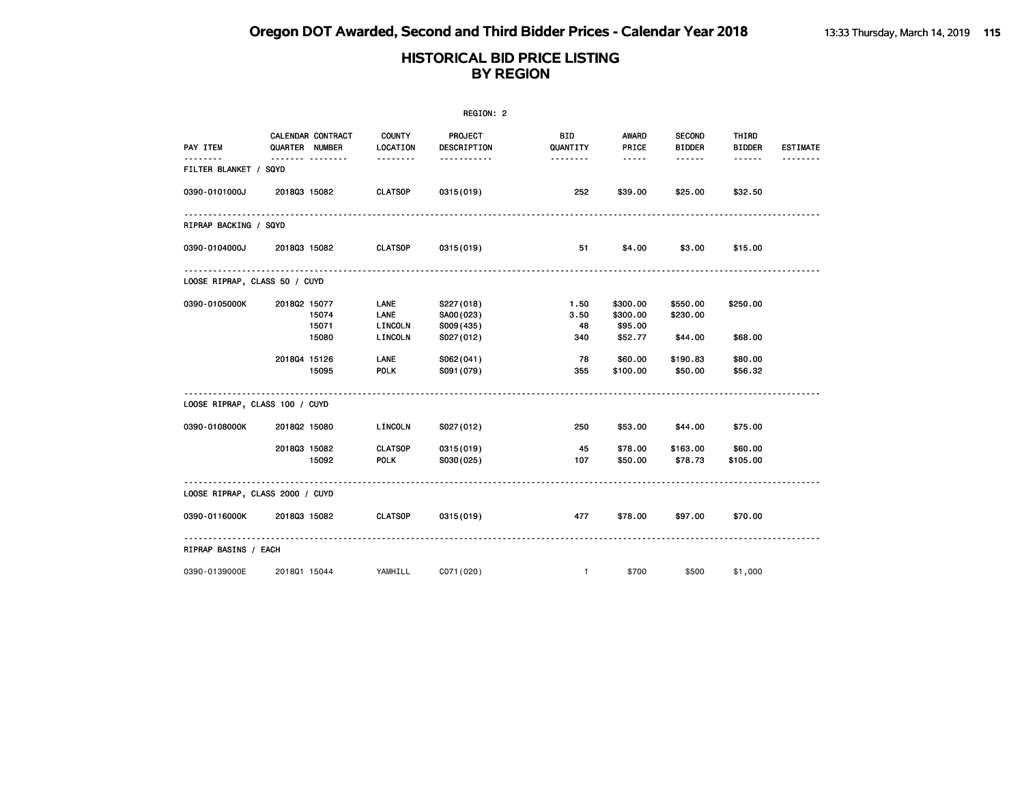|                                 |                                     |                               | REGION: 2                           |                        |                                                                                                                                                      |                                |                        |                 |
|---------------------------------|-------------------------------------|-------------------------------|-------------------------------------|------------------------|------------------------------------------------------------------------------------------------------------------------------------------------------|--------------------------------|------------------------|-----------------|
| PAY ITEM<br>.                   | CALENDAR CONTRACT<br>QUARTER NUMBER | COUNTY<br>LOCATION            | PROJECT<br><b>DESCRIPTION</b>       | <b>BID</b><br>QUANTITY | AWARD<br>PRICE                                                                                                                                       | <b>SECOND</b><br><b>BIDDER</b> | THIRD<br><b>BIDDER</b> | <b>ESTIMATE</b> |
| FILTER BLANKET / SQYD           | .                                   | <u> - - - - - - -</u>         | <u>.</u>                            | <u> - - - - - - -</u>  | $\frac{1}{2} \left( \frac{1}{2} \right) \left( \frac{1}{2} \right) \left( \frac{1}{2} \right) \left( \frac{1}{2} \right) \left( \frac{1}{2} \right)$ | .                              | $- - - - - -$          | <u>.</u>        |
| 0390-0101000J                   | 201803 15082                        | <b>CLATSOP</b>                | 0315(019)                           | 252                    | \$39.00                                                                                                                                              | \$25.00                        | \$32.50                |                 |
| RIPRAP BACKING / SQYD           |                                     |                               |                                     |                        |                                                                                                                                                      |                                |                        |                 |
| 0390-0104000J 2018Q3 15082      |                                     | <b>CLATSOP</b>                | 0315 (019)                          | 51                     | \$4.00                                                                                                                                               | \$3.00                         | \$15.00                |                 |
| LOOSE RIPRAP, CLASS 50 / CUYD   |                                     |                               |                                     |                        |                                                                                                                                                      |                                |                        |                 |
| 0390-0105000K                   | 2018Q2 15077<br>15074<br>15071      | LANE<br>LANE<br>LINCOLN       | S227(018)<br>SA00(023)<br>S009(435) | 1.50<br>3.50<br>48     | \$300.00<br>\$300.00<br>\$95.00                                                                                                                      | \$550.00<br>\$230.00           | \$250.00               |                 |
|                                 | 15080                               | LINCOLN                       | S027(012)                           | 340                    | \$52.77                                                                                                                                              | \$44.00                        | \$68.00                |                 |
|                                 | 201804 15126<br>15095               | LANE<br><b>POLK</b>           | SO62(041)<br>S091 (079)             | 78<br>355              | \$60.00<br>\$100.00                                                                                                                                  | \$190.83<br>\$50.00            | \$80.00<br>\$56.32     |                 |
| LOOSE RIPRAP, CLASS 100 / CUYD  |                                     |                               |                                     |                        |                                                                                                                                                      |                                |                        |                 |
| 0390-0108000K                   | 201802 15080                        | LINCOLN                       | S027(012)                           | 250                    | \$53.00                                                                                                                                              | \$44.00                        | \$75.00                |                 |
|                                 | 201803 15082<br>15092               | <b>CLATSOP</b><br><b>POLK</b> | 0315 (019)<br>S030(025)             | 45<br>107              | \$78.00<br>\$50.00                                                                                                                                   | \$163.00<br>\$78.73            | \$60.00<br>\$105.00    |                 |
| LOOSE RIPRAP, CLASS 2000 / CUYD |                                     |                               |                                     |                        |                                                                                                                                                      |                                |                        |                 |
| 0390-0116000K                   | 201803 15082                        | CLATSOP                       | 0315 (019)                          | 477                    | \$78.00                                                                                                                                              | \$97.00                        | \$70.00                |                 |
| RIPRAP BASINS / EACH            |                                     |                               |                                     |                        |                                                                                                                                                      |                                |                        |                 |
| 0390-0139000E                   | 201801 15044                        | YAMHILL                       | C071(020)                           | $\mathbf{1}$           | \$700                                                                                                                                                | \$500                          | \$1,000                |                 |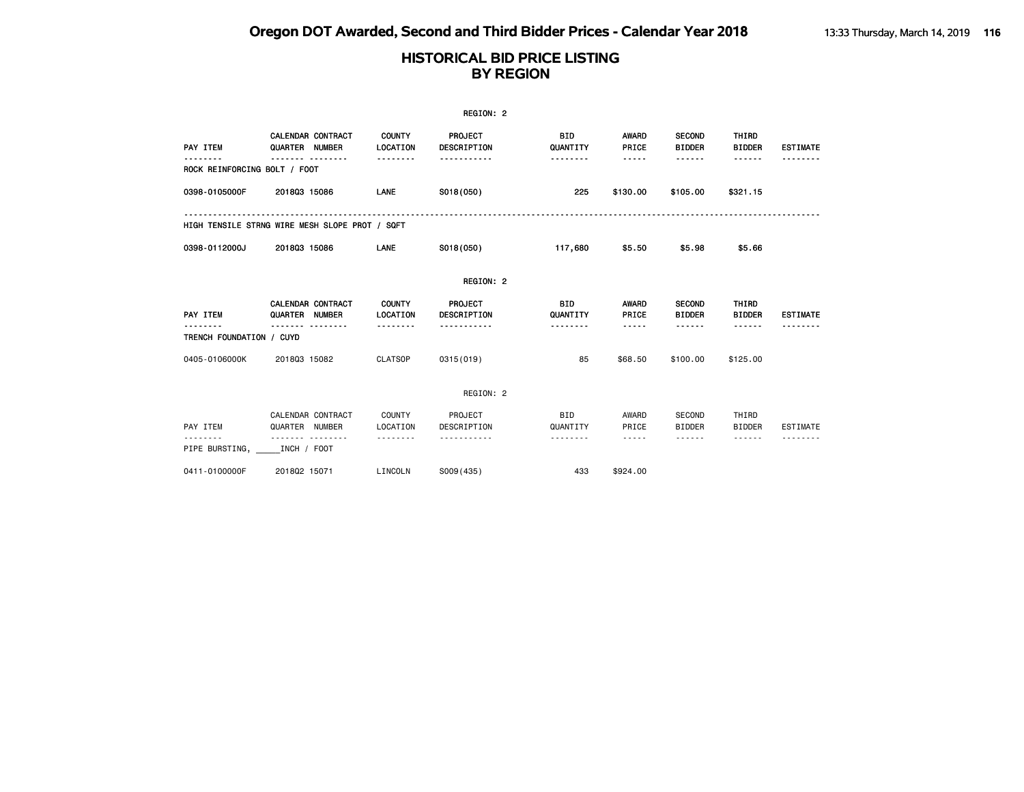#### **HISTORICAL BID PRICE LISTING BY REGION**

|                              |                                                |                           | REGION: 2              |                        |                       |                                |                               |                 |
|------------------------------|------------------------------------------------|---------------------------|------------------------|------------------------|-----------------------|--------------------------------|-------------------------------|-----------------|
| PAY ITEM                     | CALENDAR CONTRACT<br>QUARTER NUMBER            | <b>COUNTY</b><br>LOCATION | PROJECT<br>DESCRIPTION | <b>BID</b><br>QUANTITY | <b>AWARD</b><br>PRICE | <b>SECOND</b><br><b>BIDDER</b> | THIRD<br><b>BIDDER</b>        | <b>ESTIMATE</b> |
| ROCK REINFORCING BOLT / FOOT |                                                |                           |                        |                        |                       |                                | ------                        |                 |
| 0398-0105000F                | 201803 15086                                   | LANE                      | S018(050)              | 225                    | \$130.00              | \$105.00                       | \$321.15                      |                 |
|                              | HIGH TENSILE STRNG WIRE MESH SLOPE PROT / SQFT |                           |                        |                        |                       |                                |                               |                 |
| 0398-0112000J                | 201803 15086                                   | LANE                      | S018(050)              | 117,680                | \$5.50                | \$5.98                         | \$5.66                        |                 |
|                              |                                                |                           | REGION: 2              |                        |                       |                                |                               |                 |
| PAY ITEM                     | <b>CALENDAR CONTRACT</b><br>QUARTER NUMBER     | <b>COUNTY</b><br>LOCATION | PROJECT<br>DESCRIPTION | <b>BID</b><br>QUANTITY | <b>AWARD</b><br>PRICE | <b>SECOND</b><br><b>BIDDER</b> | <b>THIRD</b><br><b>BIDDER</b> | <b>ESTIMATE</b> |
| TRENCH FOUNDATION / CUYD     |                                                |                           |                        |                        |                       | ------                         | ------                        |                 |
| 0405-0106000K                | 201803 15082                                   | <b>CLATSOP</b>            | 0315(019)              | 85                     | \$68,50               | \$100,00                       | \$125.00                      |                 |
|                              |                                                |                           | REGION: 2              |                        |                       |                                |                               |                 |
| PAY ITEM                     | CALENDAR CONTRACT<br>QUARTER NUMBER            | COUNTY<br>LOCATION        | PROJECT<br>DESCRIPTION | <b>BID</b><br>QUANTITY | AWARD<br>PRICE        | <b>SECOND</b><br><b>BIDDER</b> | THIRD<br><b>BIDDER</b>        | <b>ESTIMATE</b> |
| PIPE BURSTING, INCH / FOOT   |                                                |                           |                        |                        | -----                 | ------                         |                               |                 |

0411-0100000F 2018Q2 15071 LINCOLN S009(435) 433 \$924.00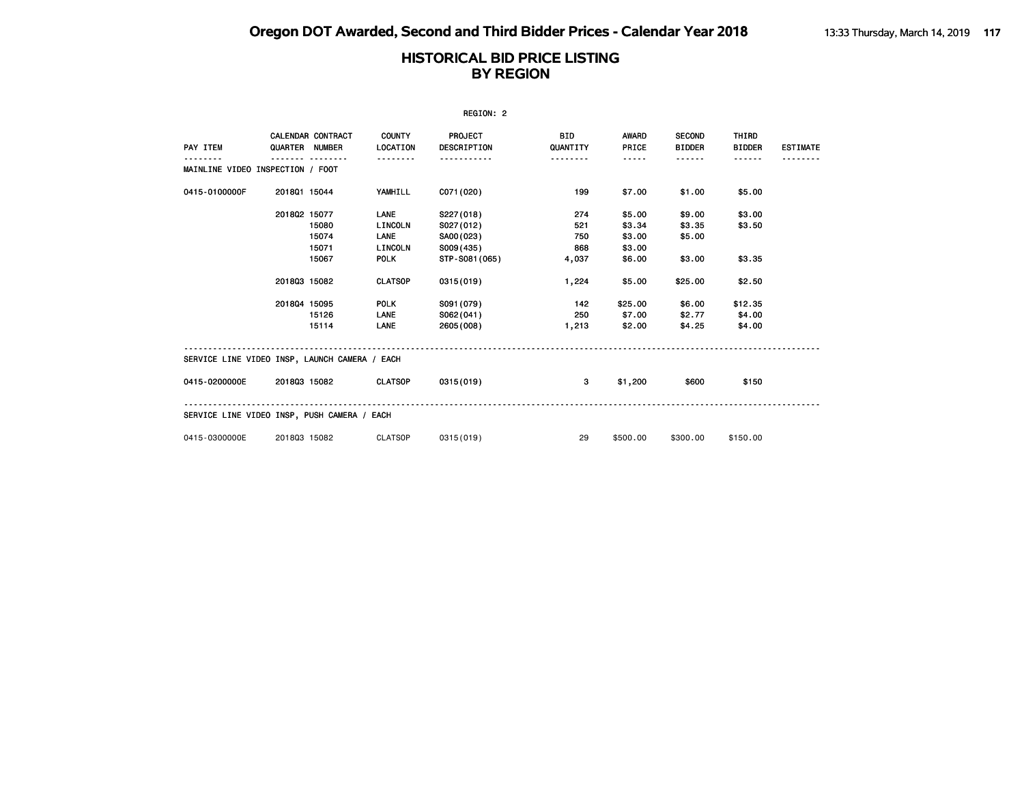|                                                                                     |                                              |                                                    |                                                                                                                         | REGION: 2                                                                                                                |                                                                   |                                                                                         |                                                                               |                                                                     |                 |
|-------------------------------------------------------------------------------------|----------------------------------------------|----------------------------------------------------|-------------------------------------------------------------------------------------------------------------------------|--------------------------------------------------------------------------------------------------------------------------|-------------------------------------------------------------------|-----------------------------------------------------------------------------------------|-------------------------------------------------------------------------------|---------------------------------------------------------------------|-----------------|
| PAY ITEM                                                                            | <b>CALENDAR CONTRACT</b><br>QUARTER NUMBER   |                                                    | <b>COUNTY</b><br>LOCATION                                                                                               | <b>PROJECT</b><br>DESCRIPTION                                                                                            | <b>BID</b><br>QUANTITY                                            | <b>AWARD</b><br>PRICE                                                                   | <b>SECOND</b><br><b>BIDDER</b>                                                | THIRD<br><b>BIDDER</b>                                              | <b>ESTIMATE</b> |
| .<br>MAINLINE VIDEO INSPECTION / FOOT                                               |                                              |                                                    | <u>.</u>                                                                                                                | <u>.</u>                                                                                                                 | .                                                                 | -----                                                                                   |                                                                               | ------                                                              |                 |
| 0415-0100000F                                                                       | 201801 15044                                 |                                                    | YAMHILL                                                                                                                 | C071 (020)                                                                                                               | 199                                                               | \$7.00                                                                                  | \$1.00                                                                        | \$5.00                                                              |                 |
|                                                                                     | 201802 15077<br>201803 15082<br>201804 15095 | 15080<br>15074<br>15071<br>15067<br>15126<br>15114 | LANE<br>LINCOLN<br><b>LANE</b><br>LINCOLN<br><b>POLK</b><br><b>CLATSOP</b><br><b>POLK</b><br><b>LANE</b><br><b>LANE</b> | S227(018)<br>S027(012)<br>SA00(023)<br>S009(435)<br>STP-S081(065)<br>0315 (019)<br>S091 (079)<br>SO62(041)<br>2605 (008) | 274<br>521<br>750<br>868<br>4,037<br>1,224<br>142<br>250<br>1,213 | \$5.00<br>\$3.34<br>\$3.00<br>\$3.00<br>\$6.00<br>\$5.00<br>\$25.00<br>\$7.00<br>\$2.00 | \$9.00<br>\$3.35<br>\$5.00<br>\$3.00<br>\$25.00<br>\$6.00<br>\$2.77<br>\$4.25 | \$3.00<br>\$3.50<br>\$3.35<br>\$2.50<br>\$12.35<br>\$4,00<br>\$4.00 |                 |
| SERVICE LINE VIDEO INSP, LAUNCH CAMERA / EACH<br>0415-0200000E 201803 15082 CLATSOP |                                              |                                                    |                                                                                                                         | 0315(019)                                                                                                                | 3                                                                 | \$1,200                                                                                 | \$600                                                                         | \$150                                                               |                 |
| SERVICE LINE VIDEO INSP, PUSH CAMERA / EACH                                         |                                              |                                                    |                                                                                                                         |                                                                                                                          |                                                                   |                                                                                         |                                                                               |                                                                     |                 |
| 0415-0300000E                                                                       | 201803 15082                                 |                                                    | CLATSOP                                                                                                                 | 0315(019)                                                                                                                | 29                                                                | \$500.00                                                                                | \$300,00                                                                      | \$150.00                                                            |                 |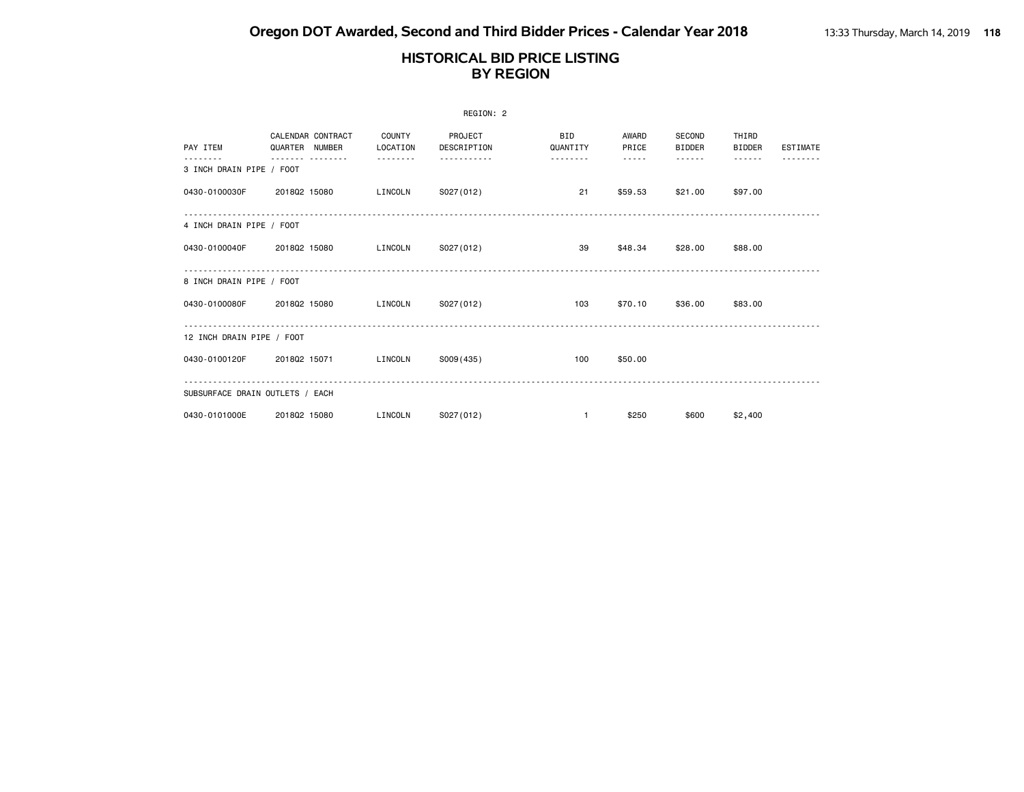|                                 |                |                   |                         | REGION: 2              |                        |                |                  |                        |          |
|---------------------------------|----------------|-------------------|-------------------------|------------------------|------------------------|----------------|------------------|------------------------|----------|
| PAY ITEM                        | QUARTER NUMBER | CALENDAR CONTRACT | COUNTY<br>LOCATION      | PROJECT<br>DESCRIPTION | <b>BID</b><br>QUANTITY | AWARD<br>PRICE | SECOND<br>BIDDER | THIRD<br><b>BIDDER</b> | ESTIMATE |
| 3 INCH DRAIN PIPE / FOOT        |                | --------          | <u> - - - - - - - -</u> |                        |                        | $- - - - -$    | <u>.</u>         | $- - - - - -$          |          |
| 0430-0100030F                   | 201802 15080   |                   | LINCOLN                 | S027(012)              | 21                     | \$59.53        | \$21.00          | \$97.00                |          |
| 4 INCH DRAIN PIPE / FOOT        |                |                   |                         |                        |                        |                |                  |                        |          |
| 0430-0100040F                   | 201802 15080   |                   | LINCOLN S027(012)       |                        | 39                     | \$48.34        | \$28.00          | \$88,00                |          |
| 8 INCH DRAIN PIPE / FOOT        |                |                   |                         |                        |                        |                |                  |                        |          |
| 0430-0100080F                   | 201802 15080   |                   | LINCOLN                 | S027(012)              | 103                    | \$70.10        | \$36.00          | \$83,00                |          |
| 12 INCH DRAIN PIPE / FOOT       |                |                   |                         |                        |                        |                |                  |                        |          |
| 0430-0100120F                   | 201802 15071   |                   | LINCOLN                 | S009(435)              | 100                    | \$50,00        |                  |                        |          |
| SUBSURFACE DRAIN OUTLETS / EACH |                |                   |                         |                        |                        |                |                  |                        |          |
| 0430-0101000E                   | 201802 15080   |                   | LINCOLN                 | S027(012)              | $\mathbf{1}$           | \$250          | \$600            | \$2,400                |          |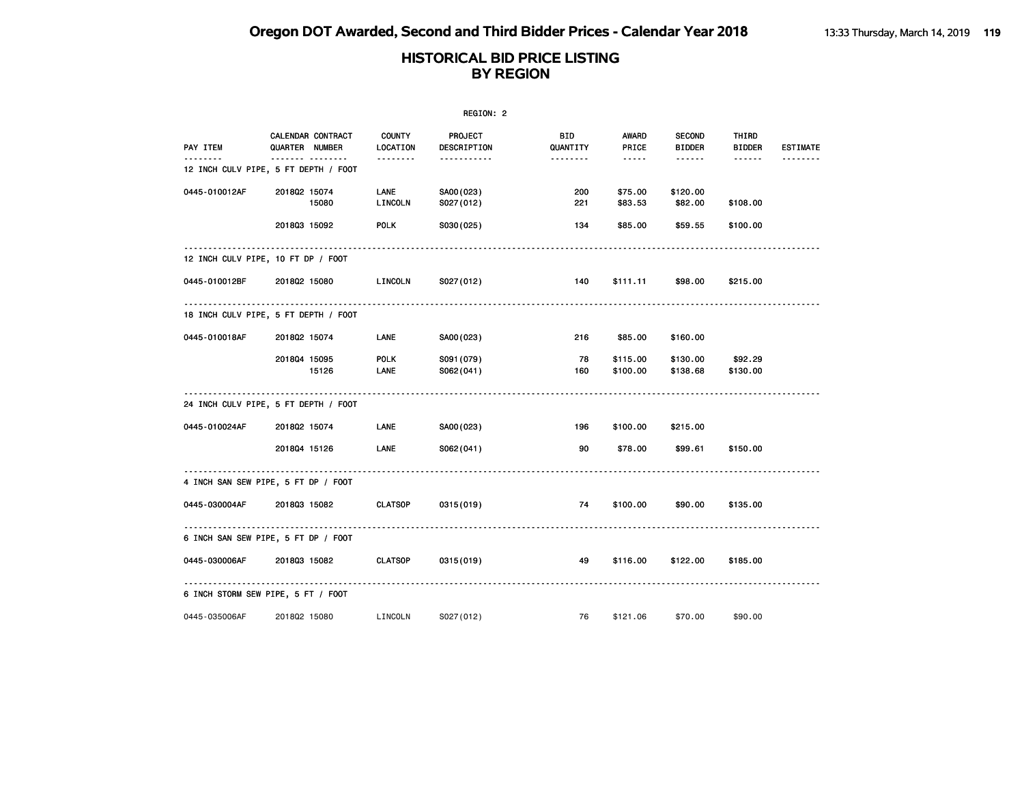|               |                                                          |                       | REGION: 2               |                  |                        |                                |                        |                 |
|---------------|----------------------------------------------------------|-----------------------|-------------------------|------------------|------------------------|--------------------------------|------------------------|-----------------|
| PAY ITEM      | CALENDAR CONTRACT<br>QUARTER NUMBER                      | COUNTY<br>LOCATION    | PROJECT<br>DESCRIPTION  | BID.<br>QUANTITY | AWARD<br>PRICE         | <b>SECOND</b><br><b>BIDDER</b> | THIRD<br><b>BIDDER</b> | <b>ESTIMATE</b> |
| .             | ------- --------<br>12 INCH CULV PIPE, 5 FT DEPTH / FOOT | <u> - - - - - - -</u> | -----------             | --------         | $\cdots \cdots \cdots$ | $- - - - - -$                  | $- - - - - -$          | <u>.</u>        |
| 0445-010012AF | 201802 15074<br>15080                                    | LANE<br>LINCOLN       | SA00(023)<br>S027(012)  | 200<br>221       | \$75.00<br>\$83.53     | \$120.00<br>\$82.00            | \$108.00               |                 |
|               | 201803 15092                                             | <b>POLK</b>           | S030(025)               | 134              | \$85.00                | \$59.55                        | \$100.00               |                 |
| .             | 12 INCH CULV PIPE, 10 FT DP / FOOT                       | .                     |                         |                  |                        |                                |                        |                 |
| 0445-010012BF | 201802 15080                                             | LINCOLN               | S027(012)               | 140              | \$111.11               | \$98.00                        | \$215.00               |                 |
|               | 18 INCH CULV PIPE, 5 FT DEPTH / FOOT                     |                       |                         |                  |                        |                                |                        |                 |
| 0445-010018AF | 201802 15074                                             | LANE                  | SA00(023)               | 216              | \$85.00                | \$160.00                       |                        |                 |
|               | 201804 15095<br>15126                                    | <b>POLK</b><br>LANE   | S091 (079)<br>S062(041) | 78<br>160        | \$115.00<br>\$100.00   | \$130.00<br>\$138.68           | \$92.29<br>\$130.00    |                 |
|               | 24 INCH CULV PIPE, 5 FT DEPTH / FOOT                     |                       |                         |                  |                        |                                |                        |                 |
| 0445-010024AF | 201802 15074                                             | LANE                  | SA00(023)               | 196              | \$100.00               | \$215.00                       |                        |                 |
|               | 201804 15126                                             | LANE                  | S062(041)               | 90               | \$78.00                | \$99.61                        | \$150.00               |                 |
|               | 4 INCH SAN SEW PIPE, 5 FT DP / FOOT                      |                       |                         |                  |                        |                                |                        |                 |
| 0445-030004AF | 201803 15082                                             | <b>CLATSOP</b>        | 0315 (019)              | 74               | \$100.00               | \$90.00                        | \$135.00               |                 |
|               | 6 INCH SAN SEW PIPE, 5 FT DP / FOOT                      |                       |                         |                  |                        |                                |                        |                 |
| 0445-030006AF | 201803 15082                                             | CLATSOP               | 0315 (019)              | 49               | \$116.00               | \$122.00                       | \$185.00               |                 |
|               | 6 INCH STORM SEW PIPE, 5 FT / FOOT                       |                       |                         |                  |                        |                                |                        |                 |
| 0445-035006AF | 201802 15080                                             | LINCOLN               | S027(012)               | 76               | \$121.06               | \$70.00                        | \$90.00                |                 |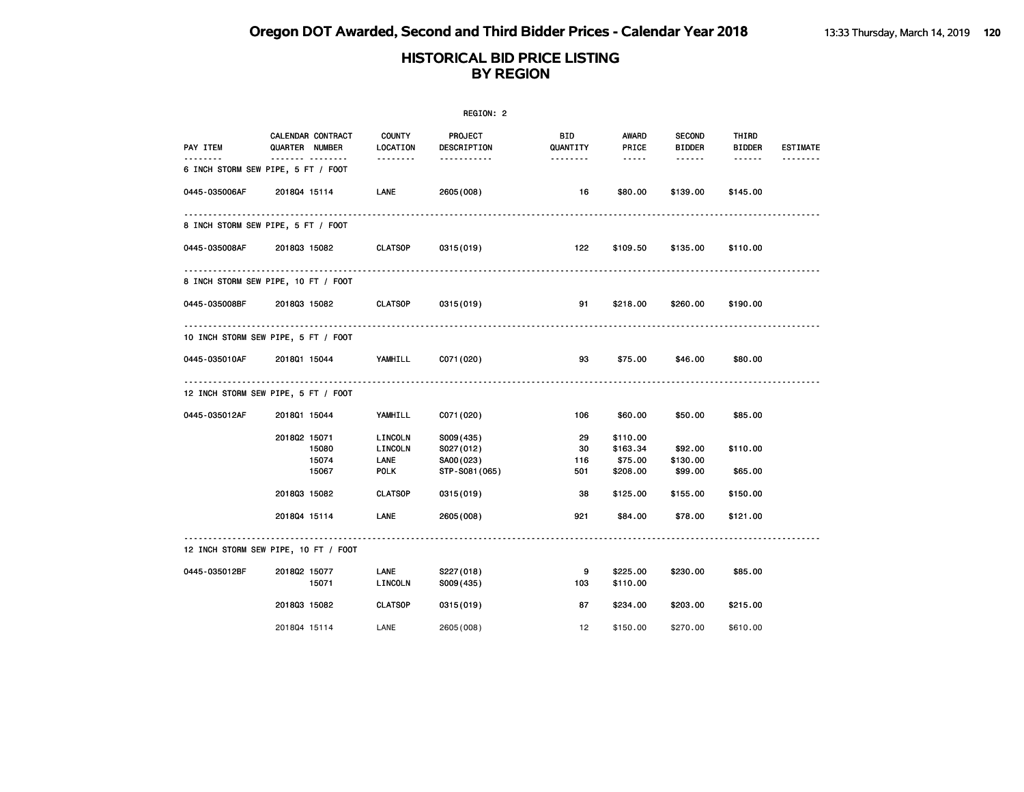| REGION: 2     |                                        |                           |                        |                 |                      |                                |                        |                 |  |
|---------------|----------------------------------------|---------------------------|------------------------|-----------------|----------------------|--------------------------------|------------------------|-----------------|--|
| PAY ITEM      | CALENDAR CONTRACT<br>QUARTER NUMBER    | <b>COUNTY</b><br>LOCATION | PROJECT<br>DESCRIPTION | BID<br>QUANTITY | AWARD<br>PRICE       | <b>SECOND</b><br><b>BIDDER</b> | THIRD<br><b>BIDDER</b> | <b>ESTIMATE</b> |  |
|               | <br>6 INCH STORM SEW PIPE, 5 FT / FOOT | <u> - - - - - - -</u>     | <u>.</u>               | .               | $\cdots \cdots$      | $\cdots\cdots\cdots$           | $- - - - - -$          |                 |  |
| 0445-035006AF | 201804 15114                           | LANE                      | 2605 (008)             | 16              | \$80.00              | \$139.00                       | \$145.00               |                 |  |
|               | 8 INCH STORM SEW PIPE, 5 FT / FOOT     |                           |                        |                 |                      |                                |                        |                 |  |
| 0445-035008AF | 201803 15082                           | <b>CLATSOP</b>            | 0315 (019)             | 122             | \$109.50             | \$135.00                       | \$110.00               |                 |  |
|               | 8 INCH STORM SEW PIPE, 10 FT / FOOT    |                           |                        |                 |                      |                                |                        |                 |  |
| 0445-035008BF | 201803 15082                           | <b>CLATSOP</b>            | 0315 (019)             | 91              | \$218.00             | \$260.00                       | \$190.00               |                 |  |
|               | 10 INCH STORM SEW PIPE, 5 FT / FOOT    |                           |                        |                 |                      |                                |                        |                 |  |
| 0445-035010AF | 201801 15044                           | YAMHILL                   | C071 (020)             | 93              | \$75.00              | \$46.00                        | \$80.00                |                 |  |
|               | 12 INCH STORM SEW PIPE, 5 FT / FOOT    |                           |                        |                 |                      |                                |                        |                 |  |
| 0445-035012AF | 2018Q1 15044                           | YAMHILL                   | C071 (020)             | 106             | \$60.00              | \$50.00                        | \$85.00                |                 |  |
|               | 201802 15071                           | LINCOLN                   | S009(435)              | 29              | \$110.00             |                                |                        |                 |  |
|               | 15080                                  | LINCOLN                   | S027(012)              | 30              | \$163.34             | \$92.00                        | \$110.00               |                 |  |
|               | 15074                                  | LANE                      | SA00(023)              | 116             | \$75.00              | \$130.00                       |                        |                 |  |
|               | 15067                                  | <b>POLK</b>               | STP-S081(065)          | 501             | \$208.00             | \$99.00                        | \$65.00                |                 |  |
|               | 201803 15082                           | <b>CLATSOP</b>            | 0315(019)              | 38              | \$125.00             | \$155.00                       | \$150.00               |                 |  |
|               | 201804 15114                           | LANE                      | 2605 (008)             | 921             | \$84.00              | \$78.00                        | \$121.00               |                 |  |
|               | 12 INCH STORM SEW PIPE, 10 FT / FOOT   |                           |                        |                 |                      |                                |                        |                 |  |
| 0445-035012BF | 201802 15077<br>15071                  | <b>LANE</b><br>LINCOLN    | S227(018)<br>S009(435) | 9<br>103        | \$225.00<br>\$110.00 | \$230.00                       | \$85.00                |                 |  |
|               | 201803 15082                           | <b>CLATSOP</b>            | 0315 (019)             | 87              | \$234,00             | \$203.00                       | \$215.00               |                 |  |
|               | 201804 15114                           | LANE                      | 2605 (008)             | 12              | \$150.00             | \$270.00                       | \$610.00               |                 |  |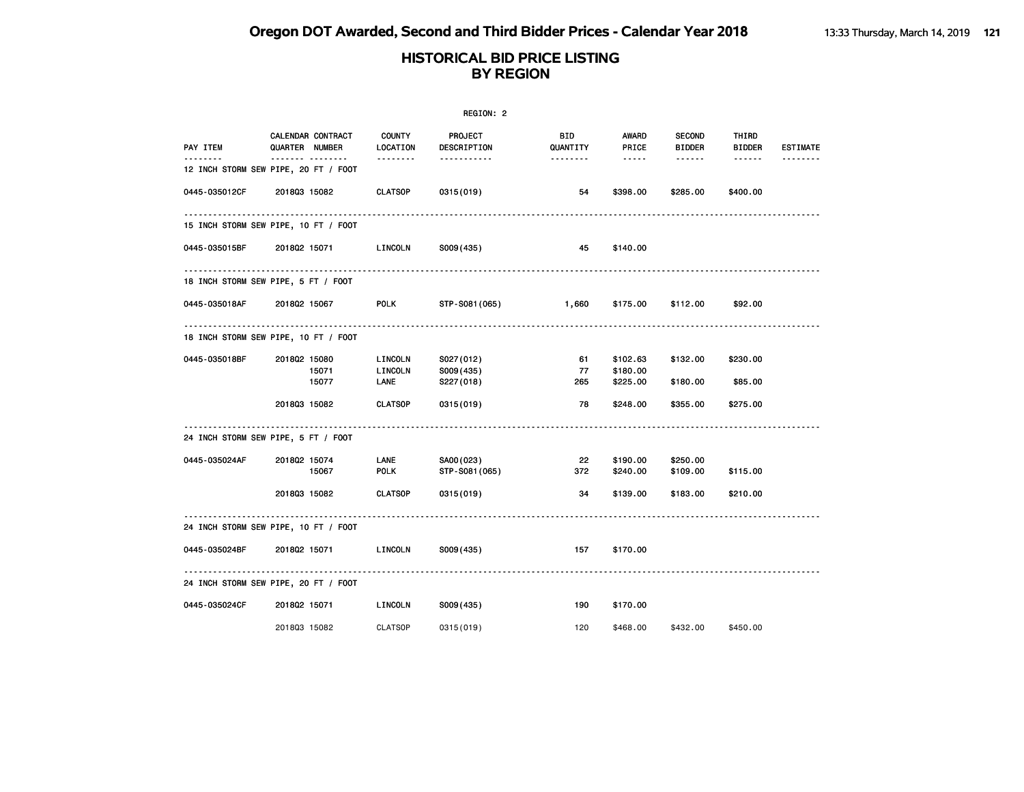|                                                  |                                            |                |                                   | REGION: 2                            |                       |                                  |                                |                        |                 |
|--------------------------------------------------|--------------------------------------------|----------------|-----------------------------------|--------------------------------------|-----------------------|----------------------------------|--------------------------------|------------------------|-----------------|
| PAY ITEM                                         | <b>CALENDAR CONTRACT</b><br>QUARTER NUMBER |                | <b>COUNTY</b><br>LOCATION         | PROJECT<br>DESCRIPTION               | BID<br>QUANTITY       | <b>AWARD</b><br>PRICE            | <b>SECOND</b><br><b>BIDDER</b> | THIRD<br><b>BIDDER</b> | <b>ESTIMATE</b> |
| <u>.</u><br>12 INCH STORM SEW PIPE, 20 FT / FOOT | .                                          |                | <u> - - - - - - -</u>             | -----------                          | <u> - - - - - - -</u> | $\cdots \cdots$                  | .                              | ------                 | <u>.</u>        |
| 0445-035012CF                                    |                                            | 201803 15082   | <b>CLATSOP</b>                    | 0315 (019)                           | 54                    | \$398.00                         | \$285.00                       | \$400.00               |                 |
| 15 INCH STORM SEW PIPE, 10 FT / FOOT             |                                            |                |                                   |                                      |                       |                                  |                                |                        |                 |
| 0445-035015BF                                    |                                            | 201802 15071   | <b>LINCOLN</b>                    | S009(435)                            | 45                    | \$140.00                         |                                |                        |                 |
| 18 INCH STORM SEW PIPE, 5 FT / FOOT              |                                            |                |                                   |                                      |                       |                                  |                                |                        |                 |
| 0445-035018AF                                    |                                            | 201802 15067   | <b>POLK</b>                       | STP-S081(065)                        | $\sim$ 1,660 $\,$     | \$175.00                         | \$112.00                       | \$92.00                |                 |
| 18 INCH STORM SEW PIPE, 10 FT / FOOT             |                                            |                |                                   |                                      |                       |                                  |                                |                        |                 |
| 0445-035018BF                                    | 201802 15080                               | 15071<br>15077 | <b>LINCOLN</b><br>LINCOLN<br>LANE | S027(012)<br>S009 (435)<br>S227(018) | 61<br>77<br>265       | \$102.63<br>\$180.00<br>\$225.00 | \$132.00<br>\$180.00           | \$230.00<br>\$85.00    |                 |
|                                                  | 201803 15082                               |                | <b>CLATSOP</b>                    | 0315 (019)                           | 78                    | \$248.00                         | \$355.00                       | \$275.00               |                 |
| 24 INCH STORM SEW PIPE, 5 FT / FOOT              |                                            |                |                                   |                                      |                       |                                  |                                |                        |                 |
| 0445-035024AF                                    | 201802 15074                               | 15067          | LANE<br><b>POLK</b>               | SA00(023)<br>STP-S081(065)           | 22<br>372             | \$190.00<br>\$240.00             | \$250.00<br>\$109.00           | \$115.00               |                 |
|                                                  | 201803 15082                               |                | <b>CLATSOP</b>                    | 0315 (019)                           | 34                    | \$139.00                         | \$183.00                       | \$210.00               |                 |
| 24 INCH STORM SEW PIPE, 10 FT / FOOT             |                                            |                |                                   |                                      |                       |                                  |                                |                        |                 |
| 0445-035024BF                                    | 201802 15071                               |                | LINCOLN                           | S009(435)                            | 157                   | \$170.00                         |                                |                        |                 |
| 24 INCH STORM SEW PIPE, 20 FT / FOOT             |                                            |                |                                   |                                      |                       |                                  |                                |                        |                 |
| 0445-035024CF                                    | 201802 15071                               |                | LINCOLN                           | S009(435)                            | 190                   | \$170.00                         |                                |                        |                 |
|                                                  | 201803 15082                               |                | <b>CLATSOP</b>                    | 0315 (019)                           | 120                   | \$468.00                         | \$432.00                       | \$450.00               |                 |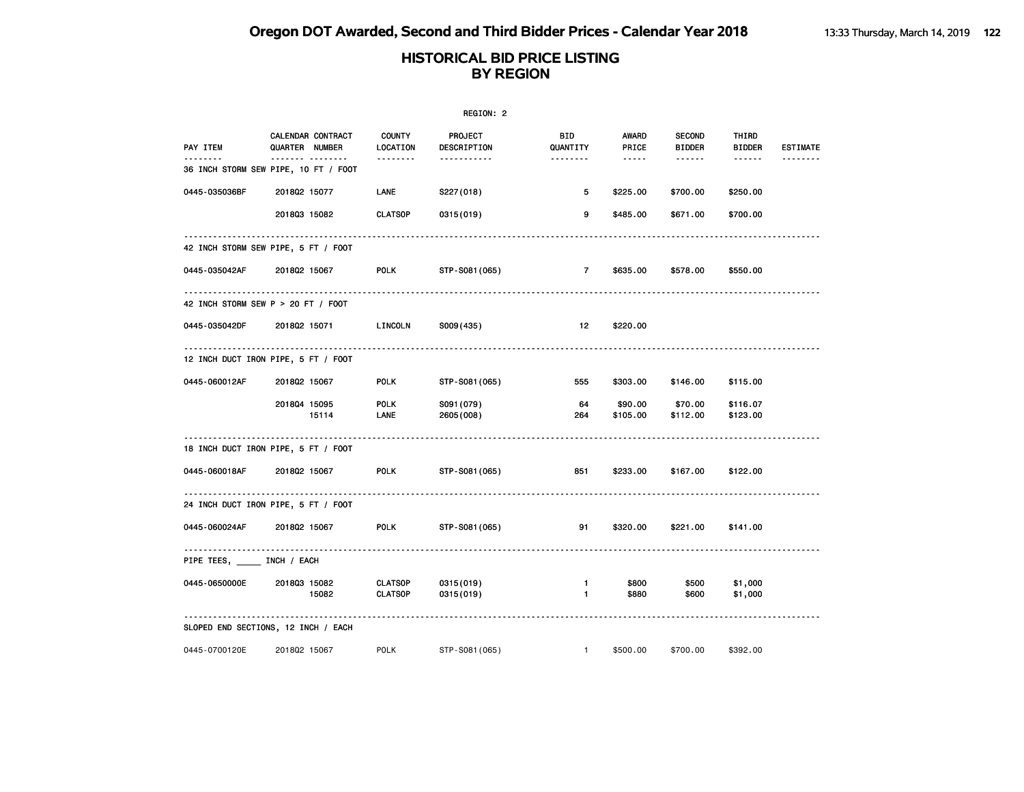|                                      |              |                                     |                                  | REGION: 2                |                                   |                                                                                                                                                      |                                |                        |                 |
|--------------------------------------|--------------|-------------------------------------|----------------------------------|--------------------------|-----------------------------------|------------------------------------------------------------------------------------------------------------------------------------------------------|--------------------------------|------------------------|-----------------|
| PAY ITEM                             |              | CALENDAR CONTRACT<br>QUARTER NUMBER | COUNTY<br>LOCATION               | PROJECT<br>DESCRIPTION   | BID<br>QUANTITY                   | AWARD<br>PRICE                                                                                                                                       | <b>SECOND</b><br><b>BIDDER</b> | THIRD<br><b>BIDDER</b> | <b>ESTIMATE</b> |
| 36 INCH STORM SEW PIPE, 10 FT / FOOT |              |                                     | <u> - - - - - - -</u>            | <u>.</u>                 | <u> - - - - - - -</u>             | $\frac{1}{2} \left( \frac{1}{2} \right) \left( \frac{1}{2} \right) \left( \frac{1}{2} \right) \left( \frac{1}{2} \right) \left( \frac{1}{2} \right)$ | $- - - - - -$                  | $- - - - - -$          |                 |
| 0445-035036BF                        | 201802 15077 |                                     | <b>LANE</b>                      | S227(018)                | 5                                 | \$225.00                                                                                                                                             | \$700.00                       | \$250.00               |                 |
|                                      | 201803 15082 |                                     | <b>CLATSOP</b>                   | 0315 (019)               | 9                                 | \$485.00                                                                                                                                             | \$671.00                       | \$700.00               |                 |
| 42 INCH STORM SEW PIPE, 5 FT / FOOT  |              |                                     |                                  |                          |                                   |                                                                                                                                                      |                                |                        |                 |
| 0445-035042AF                        | 201802 15067 |                                     | <b>POLK</b>                      | STP-S081(065)            | $\overline{7}$ and $\overline{7}$ | \$635.00                                                                                                                                             | \$578.00                       | \$550.00               |                 |
| 42 INCH STORM SEW P > 20 FT / FOOT   |              |                                     |                                  |                          |                                   |                                                                                                                                                      |                                |                        |                 |
| 0445-035042DF                        | 201802 15071 |                                     | <b>LINCOLN</b>                   | S009 (435)               | 12                                | \$220.00                                                                                                                                             |                                |                        |                 |
| 12 INCH DUCT IRON PIPE, 5 FT / FOOT  |              |                                     |                                  |                          |                                   |                                                                                                                                                      |                                |                        |                 |
| 0445-060012AF                        | 201802 15067 |                                     | <b>POLK</b>                      | STP-S081(065)            | 555                               | \$303.00                                                                                                                                             | \$146.00                       | \$115.00               |                 |
|                                      | 201804 15095 | 15114                               | <b>POLK</b><br>LANE              | S091 (079)<br>2605 (008) | 64<br>264                         | \$90.00<br>\$105.00                                                                                                                                  | \$70.00<br>\$112.00            | \$116.07<br>\$123.00   |                 |
| 18 INCH DUCT IRON PIPE, 5 FT / FOOT  |              |                                     |                                  |                          |                                   |                                                                                                                                                      |                                |                        |                 |
| 0445-060018AF                        | 201802 15067 |                                     | <b>POLK</b>                      | STP-S081(065)            | 851                               | \$233.00                                                                                                                                             | \$167.00                       | \$122.00               |                 |
| 24 INCH DUCT IRON PIPE, 5 FT / FOOT  | <u>.</u>     |                                     |                                  |                          |                                   |                                                                                                                                                      |                                |                        |                 |
| 0445-060024AF                        | 201802 15067 |                                     | POLK                             | STP-S081(065)            | 91                                | \$320.00                                                                                                                                             | \$221.00                       | \$141.00               |                 |
| .<br>PIPE TEES, ______ INCH / EACH   |              |                                     |                                  |                          |                                   |                                                                                                                                                      |                                |                        |                 |
| 0445-0650000E                        | 201803 15082 | 15082                               | <b>CLATSOP</b><br><b>CLATSOP</b> | 0315(019)<br>0315(019)   | $\mathbf{1}$<br>$\mathbf{1}$      | \$800<br>\$880                                                                                                                                       | \$500<br>\$600                 | \$1,000<br>\$1,000     |                 |
| SLOPED END SECTIONS, 12 INCH / EACH  |              |                                     |                                  |                          |                                   |                                                                                                                                                      |                                |                        |                 |
| 0445-0700120E                        | 201802 15067 |                                     | <b>POLK</b>                      | STP-S081(065)            | 1                                 | \$500.00                                                                                                                                             | \$700.00                       | \$392.00               |                 |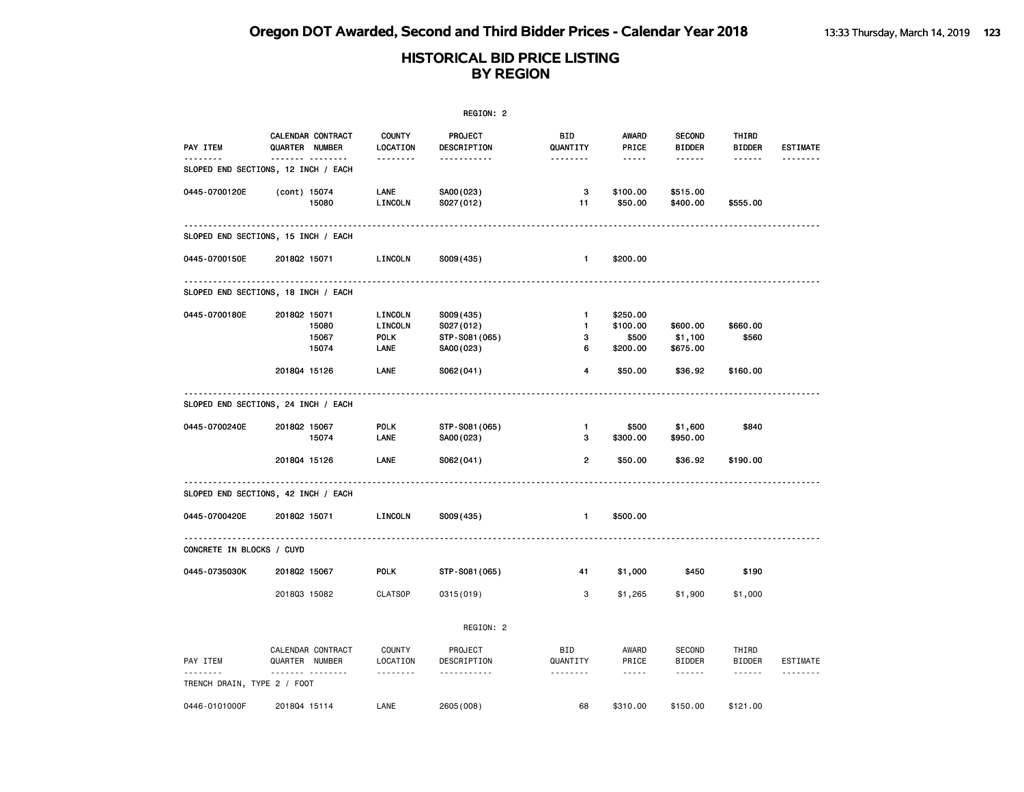|                                     |              |                                     |                                           | REGION: 2                                             |                                        |                                           |                                 |                            |                 |
|-------------------------------------|--------------|-------------------------------------|-------------------------------------------|-------------------------------------------------------|----------------------------------------|-------------------------------------------|---------------------------------|----------------------------|-----------------|
| PAY ITEM                            |              | CALENDAR CONTRACT<br>QUARTER NUMBER | <b>COUNTY</b><br>LOCATION                 | <b>PROJECT</b><br>DESCRIPTION                         | BID<br>QUANTITY                        | <b>AWARD</b><br>PRICE                     | <b>SECOND</b><br><b>BIDDER</b>  | THIRD<br><b>BIDDER</b>     | <b>ESTIMATE</b> |
| SLOPED END SECTIONS, 12 INCH / EACH |              | .                                   | .                                         | .                                                     | <u>.</u>                               | -----                                     | ------                          | ------                     | .               |
| 0445-0700120E                       | (cont) 15074 | 15080                               | LANE<br>LINCOLN                           | SA00(023)<br>S027(012)                                | 3<br>11                                | \$100.00<br>\$50.00                       | \$515.00<br>\$400.00            | \$555.00                   |                 |
| SLOPED END SECTIONS, 15 INCH / EACH |              |                                     |                                           |                                                       |                                        |                                           |                                 |                            |                 |
| 0445-0700150E                       | 201802 15071 |                                     | LINCOLN                                   | S009(435)                                             | $\mathbf{1}$                           | \$200.00                                  |                                 |                            |                 |
| SLOPED END SECTIONS, 18 INCH / EACH |              |                                     |                                           |                                                       |                                        |                                           |                                 |                            |                 |
| 0445-0700180E                       | 201802 15071 | 15080<br>15067<br>15074             | LINCOLN<br>LINCOLN<br><b>POLK</b><br>LANE | S009(435)<br>S027(012)<br>STP-S081 (065)<br>SA00(023) | $\mathbf{1}$<br>$\mathbf{1}$<br>3<br>6 | \$250.00<br>\$100.00<br>\$500<br>\$200.00 | \$600.00<br>\$1,100<br>\$675.00 | \$660.00<br>\$560          |                 |
|                                     | 201804 15126 |                                     | LANE                                      | S062(041)                                             | 4                                      | \$50.00                                   | \$36.92                         | \$160.00                   |                 |
| SLOPED END SECTIONS, 24 INCH / EACH |              |                                     |                                           |                                                       |                                        |                                           |                                 |                            |                 |
| 0445-0700240E                       | 201802 15067 | 15074                               | <b>POLK</b><br>LANE                       | STP-S081 (065)<br>SA00(023)                           | $\mathbf{1}$<br>3                      | \$500<br>\$300.00                         | \$1,600<br>\$950.00             | \$840                      |                 |
|                                     | 201804 15126 |                                     | LANE                                      | S062(041)                                             | $\overline{2}$                         | \$50.00                                   | \$36.92                         | \$190.00                   |                 |
| SLOPED END SECTIONS, 42 INCH / EACH |              |                                     |                                           |                                                       |                                        |                                           |                                 |                            |                 |
| 0445-0700420E                       | 201802 15071 |                                     | LINCOLN                                   | S009(435)                                             | $\mathbf{1}$                           | \$500.00                                  |                                 |                            |                 |
| CONCRETE IN BLOCKS / CUYD           |              |                                     |                                           |                                                       |                                        |                                           |                                 |                            |                 |
| 0445-0735030K                       | 201802 15067 |                                     | <b>POLK</b>                               | STP-S081 (065)                                        | 41                                     | \$1,000                                   | \$450                           | \$190                      |                 |
|                                     | 201803 15082 |                                     | <b>CLATSOP</b>                            | 0315 (019)                                            | 3                                      | \$1,265                                   | \$1,900                         | \$1,000                    |                 |
|                                     |              |                                     |                                           | REGION: 2                                             |                                        |                                           |                                 |                            |                 |
| PAY ITEM                            |              | CALENDAR CONTRACT<br>QUARTER NUMBER | COUNTY<br>LOCATION                        | PROJECT<br>DESCRIPTION                                | BID<br>QUANTITY                        | AWARD<br>PRICE                            | <b>SECOND</b><br><b>BIDDER</b>  | THIRD<br><b>BIDDER</b>     | <b>ESTIMATE</b> |
| TRENCH DRAIN, TYPE 2 / FOOT         |              | .                                   | .                                         | <u>.</u>                                              | .                                      | $\frac{1}{2}$                             | .                               | $\cdots\cdots\cdots\cdots$ | .               |
| 0446-0101000F                       | 201804 15114 |                                     | LANE                                      | 2605 (008)                                            | 68                                     | \$310.00                                  | \$150.00                        | \$121.00                   |                 |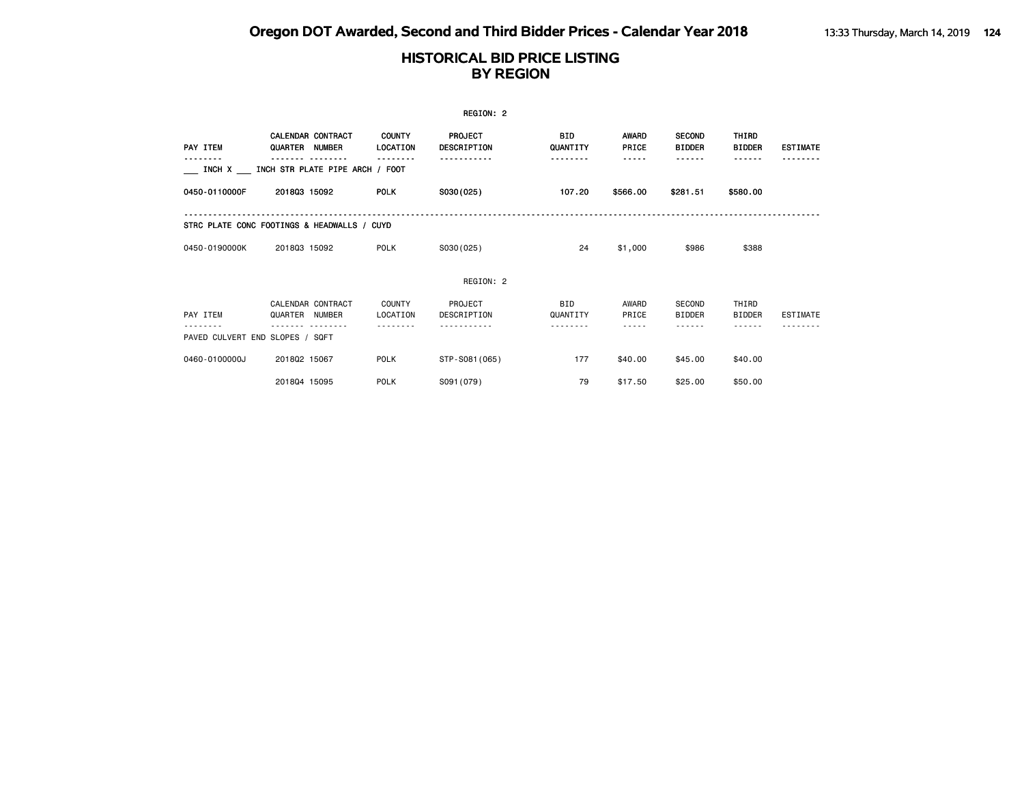|                                             |                                            |                                  | REGION: 2                            |                        |                       |                                |                        |                 |
|---------------------------------------------|--------------------------------------------|----------------------------------|--------------------------------------|------------------------|-----------------------|--------------------------------|------------------------|-----------------|
| PAY ITEM                                    | <b>CALENDAR CONTRACT</b><br>QUARTER NUMBER | <b>COUNTY</b><br><b>LOCATION</b> | <b>PROJECT</b><br><b>DESCRIPTION</b> | BID<br>QUANTITY        | <b>AWARD</b><br>PRICE | <b>SECOND</b><br><b>BIDDER</b> | THIRD<br><b>BIDDER</b> | <b>ESTIMATE</b> |
| INCH X                                      | INCH STR PLATE PIPE ARCH / FOOT            |                                  |                                      |                        |                       |                                | .                      |                 |
| 0450-0110000F                               | 201803 15092                               | <b>POLK</b>                      | S030(025)                            | 107.20                 | \$566.00              | \$281.51                       | \$580.00               |                 |
| STRC PLATE CONC FOOTINGS & HEADWALLS / CUYD |                                            |                                  |                                      |                        |                       |                                |                        |                 |
| 0450-0190000K                               | 201803 15092                               | POLK                             | S030(025)                            | 24                     | \$1,000               | \$986                          | \$388                  |                 |
|                                             |                                            |                                  | REGION: 2                            |                        |                       |                                |                        |                 |
| PAY ITEM                                    | CALENDAR CONTRACT<br>QUARTER NUMBER        | <b>COUNTY</b><br>LOCATION        | PROJECT<br>DESCRIPTION               | <b>BID</b><br>QUANTITY | AWARD<br>PRICE        | SECOND<br><b>BIDDER</b>        | THIRD<br><b>BIDDER</b> | ESTIMATE        |
| PAVED CULVERT END SLOPES / SQFT             |                                            |                                  |                                      |                        |                       |                                |                        |                 |
| 0460-0100000J                               | 201802 15067                               | <b>POLK</b>                      | STP-S081 (065)                       | 177                    | \$40,00               | \$45,00                        | \$40,00                |                 |
|                                             | 201804 15095                               | <b>POLK</b>                      | S091 (079)                           | 79                     | \$17.50               | \$25.00                        | \$50.00                |                 |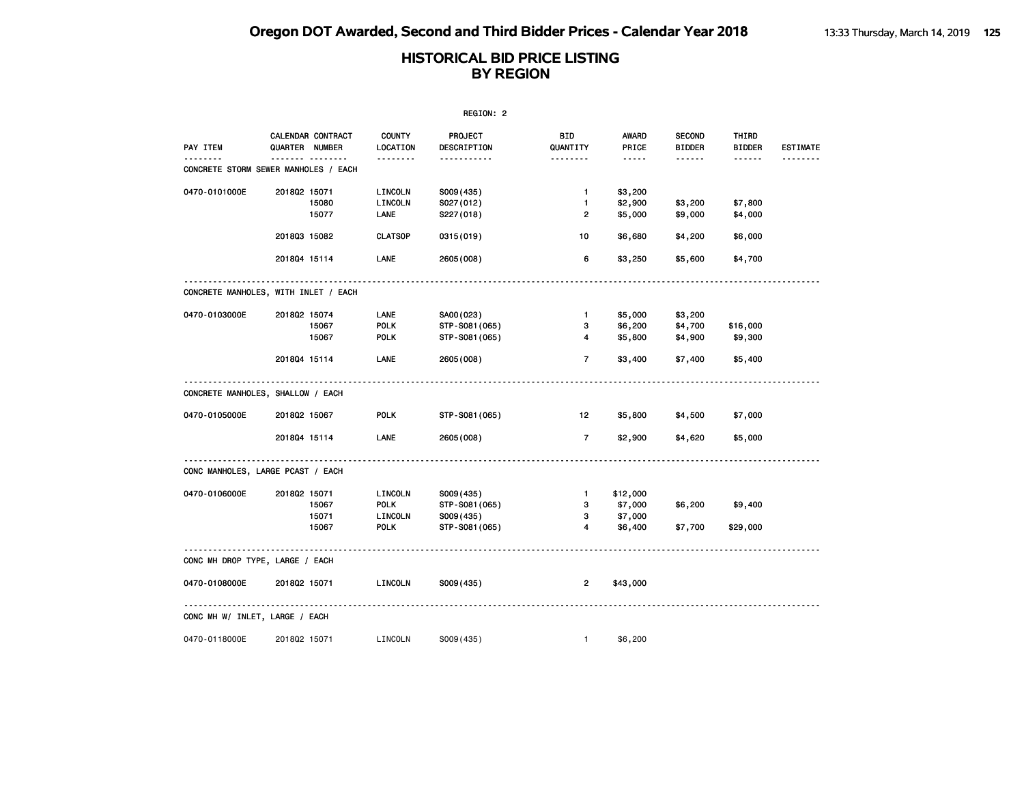|                                           | REGION: 2    |                                     |                           |                        |                       |                |                                |                        |                 |  |  |
|-------------------------------------------|--------------|-------------------------------------|---------------------------|------------------------|-----------------------|----------------|--------------------------------|------------------------|-----------------|--|--|
| PAY ITEM                                  |              | CALENDAR CONTRACT<br>QUARTER NUMBER | <b>COUNTY</b><br>LOCATION | PROJECT<br>DESCRIPTION | BID<br>QUANTITY       | AWARD<br>PRICE | <b>SECOND</b><br><b>BIDDER</b> | THIRD<br><b>BIDDER</b> | <b>ESTIMATE</b> |  |  |
| .<br>CONCRETE STORM SEWER MANHOLES / EACH |              | .                                   | <u>.</u>                  | -----------            | <u> - - - - - - -</u> | $- - - - -$    | ------                         | ------                 |                 |  |  |
| 0470-0101000E                             | 201802 15071 |                                     | LINCOLN                   | S009(435)              | $\mathbf{1}$          | \$3,200        |                                |                        |                 |  |  |
|                                           |              | 15080                               | LINCOLN                   | S027(012)              | $\mathbf{1}$          | \$2,900        | \$3,200                        | \$7,800                |                 |  |  |
|                                           |              | 15077                               | LANE                      | S227(018)              | $\overline{2}$        | \$5,000        | \$9,000                        | \$4,000                |                 |  |  |
|                                           | 201803 15082 |                                     | <b>CLATSOP</b>            | 0315 (019)             | 10                    | \$6,680        | \$4,200                        | \$6,000                |                 |  |  |
|                                           | 201804 15114 |                                     | LANE                      | 2605 (008)             | 6                     | \$3,250        | \$5,600                        | \$4,700                |                 |  |  |
| CONCRETE MANHOLES, WITH INLET / EACH      |              |                                     |                           |                        |                       |                |                                |                        |                 |  |  |
|                                           |              |                                     |                           |                        |                       |                |                                |                        |                 |  |  |
| 0470-0103000E                             | 201802 15074 |                                     | LANE                      | SA00(023)              | $\mathbf{1}$          | \$5,000        | \$3,200                        |                        |                 |  |  |
|                                           |              | 15067                               | <b>POLK</b>               | STP-S081 (065)         | 3                     | \$6,200        | \$4,700                        | \$16,000               |                 |  |  |
|                                           |              | 15067                               | <b>POLK</b>               | STP-S081(065)          | 4                     | \$5,800        | \$4,900                        | \$9,300                |                 |  |  |
|                                           | 201804 15114 |                                     | LANE                      | 2605 (008)             | $\overline{7}$        | \$3,400        | \$7,400                        | \$5,400                |                 |  |  |
| CONCRETE MANHOLES, SHALLOW / EACH         |              |                                     |                           |                        |                       |                |                                |                        |                 |  |  |
| 0470-0105000E                             | 201802 15067 |                                     | <b>POLK</b>               | STP-S081(065)          | 12 <sub>2</sub>       | \$5,800        | \$4,500                        | \$7,000                |                 |  |  |
|                                           | 201804 15114 |                                     | LANE                      | 2605 (008)             | $\overline{7}$        | \$2,900        | \$4,620                        | \$5,000                |                 |  |  |
| CONC MANHOLES, LARGE PCAST / EACH         |              |                                     |                           |                        |                       |                |                                |                        |                 |  |  |
| 0470-0106000E                             | 201802 15071 |                                     | LINCOLN                   | S009(435)              | $\mathbf{1}$          | \$12,000       |                                |                        |                 |  |  |
|                                           |              | 15067                               | <b>POLK</b>               | STP-S081 (065)         | 3                     | \$7,000        | \$6,200                        | \$9,400                |                 |  |  |
|                                           |              | 15071                               | LINCOLN                   | S009(435)              | 3                     | \$7,000        |                                |                        |                 |  |  |
|                                           |              | 15067                               | <b>POLK</b>               | STP-S081 (065)         | 4                     | \$6,400        | \$7,700                        | \$29,000               |                 |  |  |
| CONC MH DROP TYPE, LARGE / EACH           |              |                                     |                           |                        |                       |                |                                |                        |                 |  |  |
| 0470-0108000E                             | 201802 15071 |                                     | LINCOLN                   | S009(435)              | $\overline{2}$        | \$43,000       |                                |                        |                 |  |  |
|                                           |              |                                     |                           |                        |                       |                |                                |                        |                 |  |  |
| CONC MH W/ INLET, LARGE / EACH            |              |                                     |                           |                        |                       |                |                                |                        |                 |  |  |
| 0470-0118000E                             | 201802 15071 |                                     | LINCOLN                   | S009(435)              | $\mathbf{1}$          | \$6,200        |                                |                        |                 |  |  |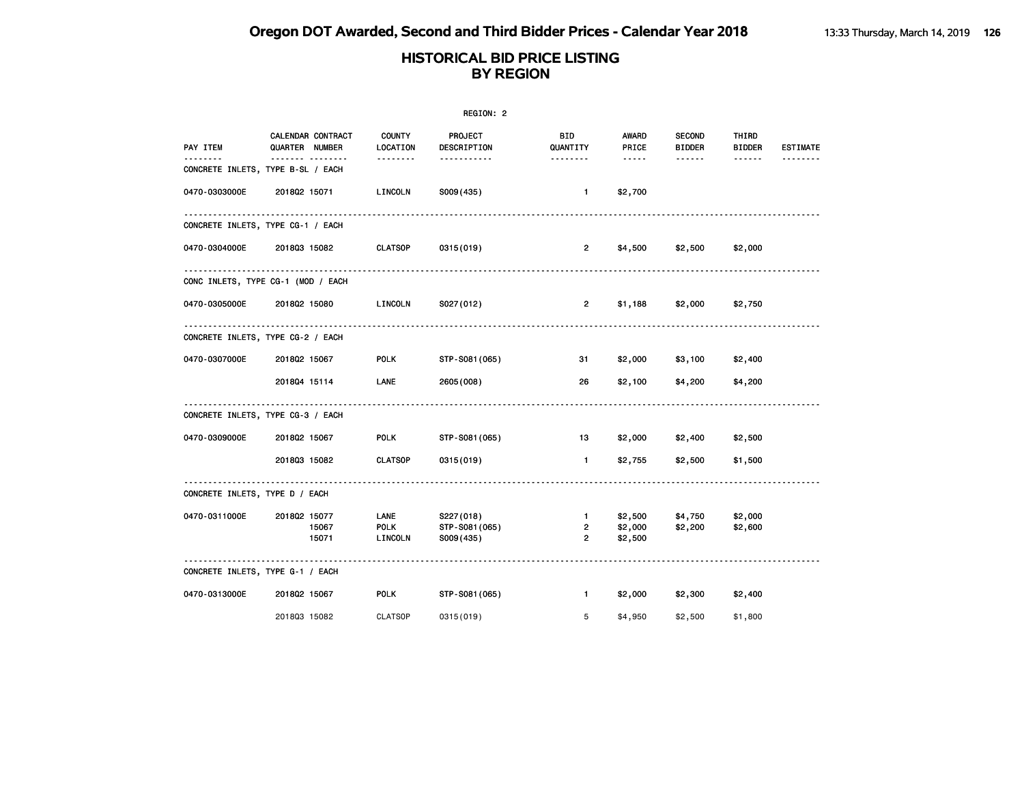|                                | REGION: 2                                    |                                |                                         |                                                  |                               |                                |                        |                 |  |  |  |
|--------------------------------|----------------------------------------------|--------------------------------|-----------------------------------------|--------------------------------------------------|-------------------------------|--------------------------------|------------------------|-----------------|--|--|--|
| PAY ITEM                       | CALENDAR CONTRACT<br>QUARTER NUMBER          | <b>COUNTY</b><br>LOCATION      | <b>PROJECT</b><br>DESCRIPTION           | <b>BID</b><br>QUANTITY                           | AWARD<br>PRICE                | <b>SECOND</b><br><b>BIDDER</b> | THIRD<br><b>BIDDER</b> | <b>ESTIMATE</b> |  |  |  |
| .                              | <u></u><br>CONCRETE INLETS, TYPE B-SL / EACH | --------                       | .                                       | --------                                         | $\cdots \cdots$               | ------                         | $- - - - - -$          |                 |  |  |  |
| 0470-0303000E                  | 201802 15071                                 | LINCOLN                        | S009(435)                               | $\mathbf{1}$                                     | \$2,700                       |                                |                        |                 |  |  |  |
|                                | CONCRETE INLETS, TYPE CG-1 / EACH            |                                |                                         |                                                  |                               |                                |                        |                 |  |  |  |
| 0470-0304000E                  | 201803 15082                                 | <b>CLATSOP</b>                 | 0315 (019)                              | $\overline{2}$                                   | \$4,500                       | \$2,500                        | \$2,000                |                 |  |  |  |
|                                | CONC INLETS, TYPE CG-1 (MOD / EACH           |                                |                                         |                                                  |                               |                                |                        |                 |  |  |  |
| 0470-0305000E                  | 201802 15080                                 | LINCOLN                        | S027(012)                               | $\overline{2}$                                   | \$1,188                       | \$2,000                        | \$2,750                |                 |  |  |  |
|                                | CONCRETE INLETS, TYPE CG-2 / EACH            |                                |                                         |                                                  |                               |                                |                        |                 |  |  |  |
| 0470-0307000E                  | 201802 15067                                 | <b>POLK</b>                    | STP-S081(065)                           | 31                                               | \$2,000                       | \$3,100                        | \$2,400                |                 |  |  |  |
|                                | 201804 15114                                 | LANE                           | 2605 (008)                              | 26                                               | \$2,100                       | \$4,200                        | \$4,200                |                 |  |  |  |
|                                | CONCRETE INLETS, TYPE CG-3 / EACH            |                                |                                         |                                                  |                               |                                |                        |                 |  |  |  |
| 0470-0309000E                  | 201802 15067                                 | <b>POLK</b>                    | STP-S081(065)                           | 13                                               | \$2,000                       | \$2,400                        | \$2,500                |                 |  |  |  |
|                                | 201803 15082                                 | <b>CLATSOP</b>                 | 0315 (019)                              | $\mathbf{1}$                                     | \$2,755                       | \$2,500                        | \$1,500                |                 |  |  |  |
| CONCRETE INLETS, TYPE D / EACH |                                              |                                |                                         |                                                  |                               |                                |                        |                 |  |  |  |
| 0470-0311000E                  | 201802 15077<br>15067<br>15071               | LANE<br><b>POLK</b><br>LINCOLN | S227(018)<br>STP-S081(065)<br>S009(435) | $\mathbf{1}$<br>$\overline{2}$<br>$\overline{2}$ | \$2,500<br>\$2,000<br>\$2,500 | \$4,750<br>\$2,200             | \$2,000<br>\$2,600     |                 |  |  |  |
|                                | CONCRETE INLETS, TYPE G-1 / EACH             |                                |                                         |                                                  |                               |                                |                        |                 |  |  |  |
| 0470-0313000E                  | 201802 15067                                 | <b>POLK</b>                    | STP-S081(065)                           | $\mathbf{1}$                                     | \$2,000                       | \$2,300                        | \$2,400                |                 |  |  |  |
|                                | 201803 15082                                 | <b>CLATSOP</b>                 | 0315 (019)                              | 5                                                | \$4,950                       | \$2,500                        | \$1,800                |                 |  |  |  |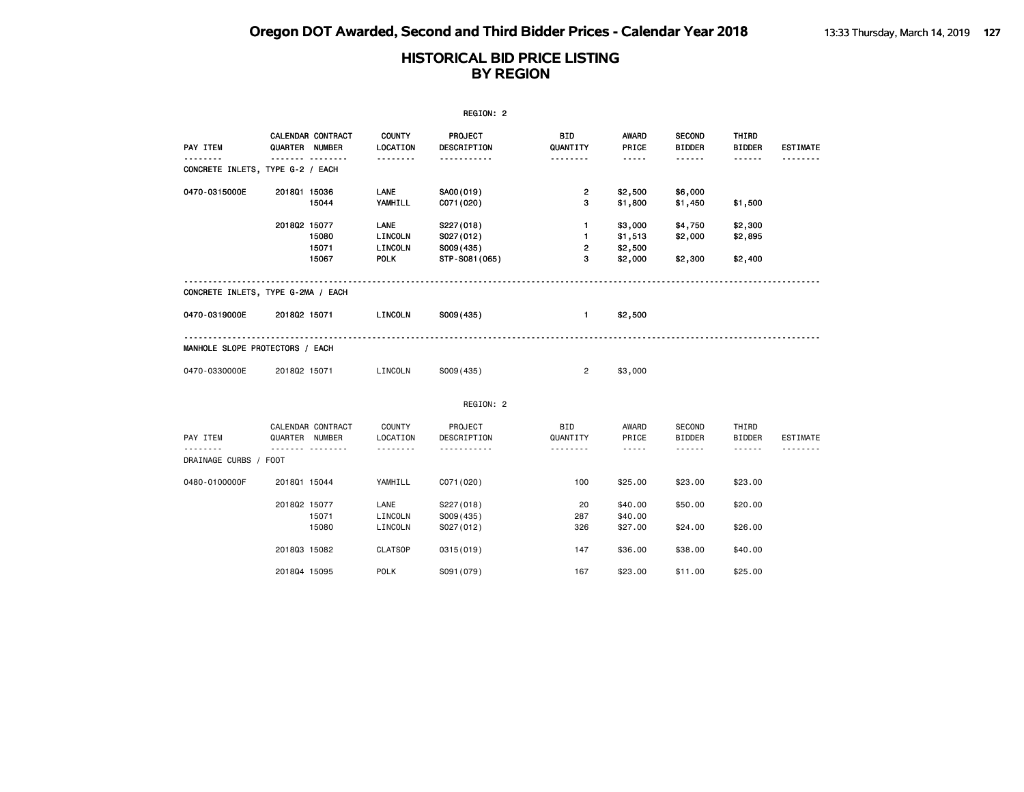|                                              | REGION: 2    |                                          |                            |                                     |                                                |                                                      |                                |                                                                                                                           |                      |  |  |  |
|----------------------------------------------|--------------|------------------------------------------|----------------------------|-------------------------------------|------------------------------------------------|------------------------------------------------------|--------------------------------|---------------------------------------------------------------------------------------------------------------------------|----------------------|--|--|--|
| PAY ITEM                                     |              | CALENDAR CONTRACT<br>QUARTER NUMBER      | <b>COUNTY</b><br>LOCATION  | PROJECT<br>DESCRIPTION              | <b>BID</b><br>QUANTITY                         | AWARD<br>PRICE                                       | <b>SECOND</b><br><b>BIDDER</b> | THIRD<br><b>BIDDER</b>                                                                                                    | <b>ESTIMATE</b>      |  |  |  |
| <u>.</u><br>CONCRETE INLETS, TYPE G-2 / EACH |              | .                                        | <u>.</u>                   | <u></u>                             | <u>.</u>                                       | $- - - - -$                                          | $- - - - - -$                  | $- - - - - -$                                                                                                             | .                    |  |  |  |
| 0470-0315000E                                | 201801 15036 | 15044                                    | <b>LANE</b><br>YAMHILL     | SA00(019)<br>C071 (020)             | $\overline{2}$<br>з                            | \$2,500<br>\$1,800                                   | \$6,000<br>\$1,450             | \$1,500                                                                                                                   |                      |  |  |  |
|                                              | 201802 15077 | 15080<br>15071                           | LANE<br>LINCOLN<br>LINCOLN | S227(018)<br>S027(012)<br>S009(435) | $\mathbf{1}$<br>$\mathbf{1}$<br>$\overline{2}$ | \$3,000<br>\$1,513<br>\$2,500                        | \$4,750<br>\$2,000             | \$2,300<br>\$2,895                                                                                                        |                      |  |  |  |
|                                              |              | 15067                                    | <b>POLK</b>                | STP-S081 (065)                      | 3                                              | \$2,000                                              | \$2,300                        | \$2,400                                                                                                                   |                      |  |  |  |
| CONCRETE INLETS, TYPE G-2MA / EACH           |              |                                          |                            |                                     |                                                |                                                      |                                |                                                                                                                           |                      |  |  |  |
| 0470-0319000E                                | 201802 15071 |                                          | LINCOLN                    | S009(435)                           | $\mathbf{1}$                                   | \$2,500                                              |                                |                                                                                                                           |                      |  |  |  |
| MANHOLE SLOPE PROTECTORS / EACH              |              |                                          |                            |                                     |                                                |                                                      |                                |                                                                                                                           |                      |  |  |  |
| 0470-0330000E                                | 201802 15071 |                                          | LINCOLN                    | S009(435)                           | 2                                              | \$3,000                                              |                                |                                                                                                                           |                      |  |  |  |
|                                              |              |                                          |                            | REGION: 2                           |                                                |                                                      |                                |                                                                                                                           |                      |  |  |  |
| PAY ITEM<br>.                                |              | CALENDAR CONTRACT<br>QUARTER NUMBER<br>. | COUNTY<br>LOCATION<br>.    | PROJECT<br>DESCRIPTION              | BID<br>QUANTITY<br>.                           | AWARD<br>PRICE<br>$\sim$ $\sim$ $\sim$ $\sim$ $\sim$ | SECOND<br><b>BIDDER</b>        | THIRD<br><b>BIDDER</b>                                                                                                    | <b>ESTIMATE</b><br>. |  |  |  |
| DRAINAGE CURBS / FOOT                        |              |                                          |                            | .                                   |                                                |                                                      |                                | $\begin{array}{cccccccccccccc} \bullet & \bullet & \bullet & \bullet & \bullet & \bullet & \bullet & \bullet \end{array}$ |                      |  |  |  |
| 0480-0100000F                                | 201801 15044 |                                          | YAMHILL                    | C071 (020)                          | 100                                            | \$25.00                                              | \$23.00                        | \$23.00                                                                                                                   |                      |  |  |  |
|                                              | 201802 15077 | 15071                                    | LANE<br>LINCOLN            | S227(018)<br>S009(435)              | 20<br>287                                      | \$40.00<br>\$40.00                                   | \$50,00                        | \$20.00                                                                                                                   |                      |  |  |  |
|                                              | 201803 15082 | 15080                                    | LINCOLN<br><b>CLATSOP</b>  | S027(012)<br>0315(019)              | 326<br>147                                     | \$27.00<br>\$36.00                                   | \$24.00<br>\$38.00             | \$26.00<br>\$40.00                                                                                                        |                      |  |  |  |
|                                              | 201804 15095 |                                          | <b>POLK</b>                | S091 (079)                          | 167                                            | \$23,00                                              | \$11.00                        | \$25,00                                                                                                                   |                      |  |  |  |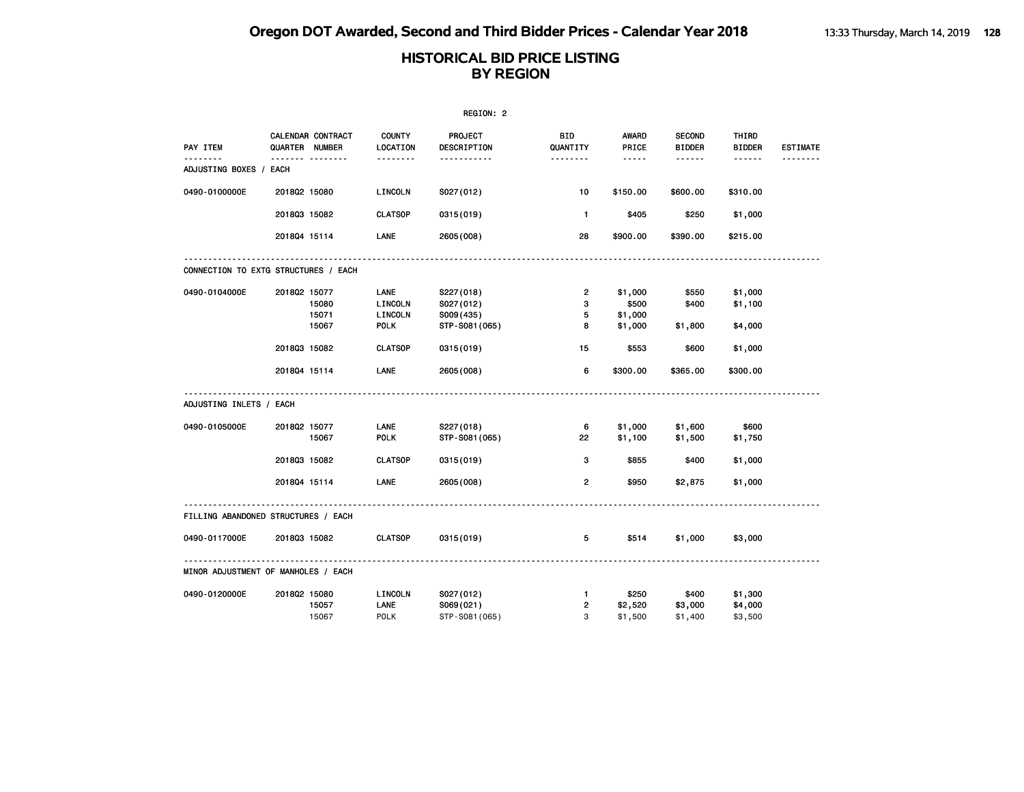|                                      |              |                                         |                                       | REGION: 2                   |                         |                                |                                                 |                        |                             |
|--------------------------------------|--------------|-----------------------------------------|---------------------------------------|-----------------------------|-------------------------|--------------------------------|-------------------------------------------------|------------------------|-----------------------------|
| PAY ITEM                             |              | CALENDAR CONTRACT<br>QUARTER NUMBER<br> | <b>COUNTY</b><br>LOCATION<br><u>.</u> | PROJECT<br>DESCRIPTION<br>. | BID<br>QUANTITY<br>.    | <b>AWARD</b><br>PRICE<br>----- | <b>SECOND</b><br><b>BIDDER</b><br>$- - - - - -$ | THIRD<br><b>BIDDER</b> | <b>ESTIMATE</b><br><u>.</u> |
| ADJUSTING BOXES / EACH               |              |                                         |                                       |                             |                         |                                |                                                 |                        |                             |
| 0490-0100000E                        | 201802 15080 |                                         | LINCOLN                               | S027(012)                   | 10                      | \$150.00                       | \$600.00                                        | \$310.00               |                             |
|                                      | 201803 15082 |                                         | <b>CLATSOP</b>                        | 0315 (019)                  | $\mathbf{1}$            | \$405                          | \$250                                           | \$1,000                |                             |
|                                      | 201804 15114 |                                         | <b>LANE</b>                           | 2605 (008)                  | 28                      | \$900.00                       | \$390.00                                        | \$215.00               |                             |
| CONNECTION TO EXTG STRUCTURES / EACH |              |                                         |                                       |                             |                         |                                |                                                 |                        |                             |
| 0490-0104000E                        | 201802 15077 |                                         | LANE                                  | S227(018)                   | $\overline{\mathbf{c}}$ | \$1,000                        | \$550                                           | \$1,000                |                             |
|                                      |              | 15080                                   | LINCOLN                               | S027(012)                   | 3                       | \$500                          | \$400                                           | \$1,100                |                             |
|                                      |              | 15071<br>15067                          | LINCOLN<br><b>POLK</b>                | S009(435)<br>STP-S081 (065) | 5<br>8                  | \$1,000<br>\$1,000             | \$1,800                                         |                        |                             |
|                                      |              |                                         |                                       |                             |                         |                                |                                                 | \$4,000                |                             |
|                                      | 201803 15082 |                                         | <b>CLATSOP</b>                        | 0315 (019)                  | 15                      | \$553                          | \$600                                           | \$1,000                |                             |
|                                      | 201804 15114 |                                         | LANE                                  | 2605 (008)                  | 6                       | \$300.00                       | \$365.00                                        | \$300.00               |                             |
| ADJUSTING INLETS / EACH              |              |                                         |                                       |                             |                         |                                |                                                 |                        |                             |
| 0490-0105000E                        | 2018Q2 15077 |                                         | LANE                                  | S227(018)                   | 6                       | \$1,000                        | \$1,600                                         | \$600                  |                             |
|                                      |              | 15067                                   | <b>POLK</b>                           | STP-S081(065)               | 22                      | \$1,100                        | \$1,500                                         | \$1,750                |                             |
|                                      | 201803 15082 |                                         | <b>CLATSOP</b>                        | 0315 (019)                  | 3                       | \$855                          | \$400                                           | \$1,000                |                             |
|                                      | 201804 15114 |                                         | LANE                                  | 2605 (008)                  | $\overline{\mathbf{c}}$ | \$950                          | \$2,875                                         | \$1,000                |                             |
| FILLING ABANDONED STRUCTURES / EACH  |              |                                         |                                       |                             |                         |                                |                                                 |                        |                             |
| 0490-0117000E                        | 201803 15082 |                                         | <b>CLATSOP</b>                        | 0315 (019)                  | 5                       | \$514                          | \$1,000                                         | \$3,000                |                             |
| MINOR ADJUSTMENT OF MANHOLES / EACH  |              |                                         |                                       |                             |                         |                                |                                                 |                        |                             |
| 0490-0120000E                        | 201802 15080 |                                         | LINCOLN                               | S027(012)                   | $\mathbf{1}$            | \$250                          | \$400                                           | \$1,300                |                             |
|                                      |              | 15057                                   | LANE                                  | S069(021)                   | 2                       | \$2,520                        | \$3,000                                         | \$4,000                |                             |
|                                      |              | 15067                                   | <b>POLK</b>                           | STP-S081 (065)              | 3                       | \$1,500                        | \$1,400                                         | \$3,500                |                             |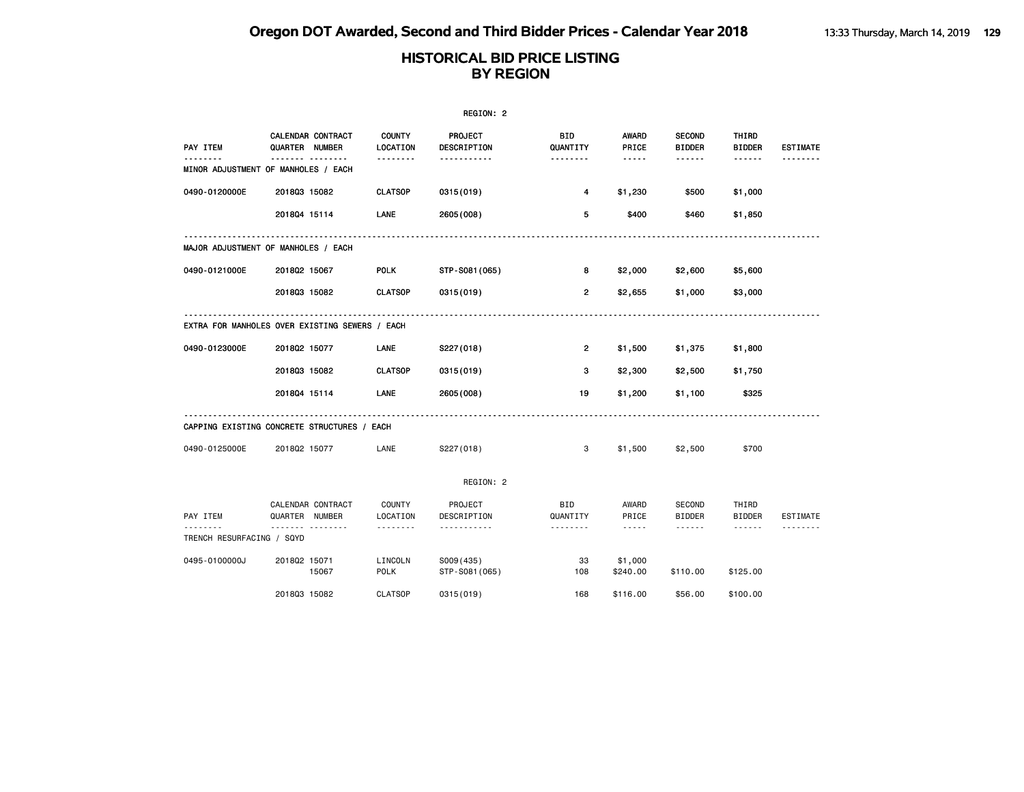| REGION: 2                 |                                                |                           |                               |                        |                     |                                |                        |                 |  |  |  |
|---------------------------|------------------------------------------------|---------------------------|-------------------------------|------------------------|---------------------|--------------------------------|------------------------|-----------------|--|--|--|
| PAY ITEM                  | CALENDAR CONTRACT<br>QUARTER NUMBER            | <b>COUNTY</b><br>LOCATION | <b>PROJECT</b><br>DESCRIPTION | BID<br>QUANTITY        | AWARD<br>PRICE      | <b>SECOND</b><br><b>BIDDER</b> | THIRD<br><b>BIDDER</b> | <b>ESTIMATE</b> |  |  |  |
| .                         | .<br>MINOR ADJUSTMENT OF MANHOLES / EACH       | .                         | <u>.</u>                      | <u>.</u>               | -----               | ------                         | ------                 | - - - - - - - - |  |  |  |
| 0490-0120000E             | 201803 15082                                   | <b>CLATSOP</b>            | 0315(019)                     | 4                      | \$1,230             | \$500                          | \$1,000                |                 |  |  |  |
|                           | 201804 15114                                   | LANE                      | 2605 (008)                    | 5                      | \$400               | \$460                          | \$1,850                |                 |  |  |  |
|                           | MAJOR ADJUSTMENT OF MANHOLES / EACH            |                           |                               |                        |                     |                                |                        |                 |  |  |  |
| 0490-0121000E             | 201802 15067                                   | <b>POLK</b>               | STP-S081 (065)                | 8                      | \$2,000             | \$2,600                        | \$5,600                |                 |  |  |  |
|                           | 201803 15082                                   | <b>CLATSOP</b>            | 0315 (019)                    | $\overline{2}$         | \$2,655             | \$1,000                        | \$3,000                |                 |  |  |  |
|                           | EXTRA FOR MANHOLES OVER EXISTING SEWERS / EACH |                           |                               |                        |                     |                                |                        |                 |  |  |  |
| 0490-0123000E             | 201802 15077                                   | LANE                      | S227(018)                     | 2                      | \$1,500             | \$1,375                        | \$1,800                |                 |  |  |  |
|                           | 201803 15082                                   | <b>CLATSOP</b>            | 0315 (019)                    | з                      | \$2,300             | \$2,500                        | \$1,750                |                 |  |  |  |
|                           | 201804 15114                                   | LANE                      | 2605 (008)                    | 19                     | \$1,200             | \$1,100                        | \$325                  |                 |  |  |  |
|                           | CAPPING EXISTING CONCRETE STRUCTURES / EACH    |                           |                               |                        |                     |                                |                        |                 |  |  |  |
| 0490-0125000E             | 201802 15077                                   | LANE                      | S227(018)                     | 3                      | \$1,500             | \$2,500                        | \$700                  |                 |  |  |  |
|                           |                                                |                           | REGION: 2                     |                        |                     |                                |                        |                 |  |  |  |
| PAY ITEM                  | CALENDAR CONTRACT<br>QUARTER NUMBER            | COUNTY<br>LOCATION        | PROJECT<br>DESCRIPTION        | <b>BID</b><br>QUANTITY | AWARD<br>PRICE      | <b>SECOND</b><br><b>BIDDER</b> | THIRD<br><b>BIDDER</b> | <b>ESTIMATE</b> |  |  |  |
| TRENCH RESURFACING / SQYD | . <sub>.</sub>                                 | .                         | .                             | .                      | $\frac{1}{2}$       | $- - - - - -$                  | ------                 | <u>.</u>        |  |  |  |
| 0495-0100000J             | 201802 15071<br>15067                          | LINCOLN<br>POLK           | S009(435)<br>STP-S081 (065)   | 33<br>108              | \$1,000<br>\$240.00 | \$110.00                       | \$125.00               |                 |  |  |  |
|                           | 201803 15082                                   | <b>CLATSOP</b>            | 0315(019)                     | 168                    | \$116.00            | \$56.00                        | \$100.00               |                 |  |  |  |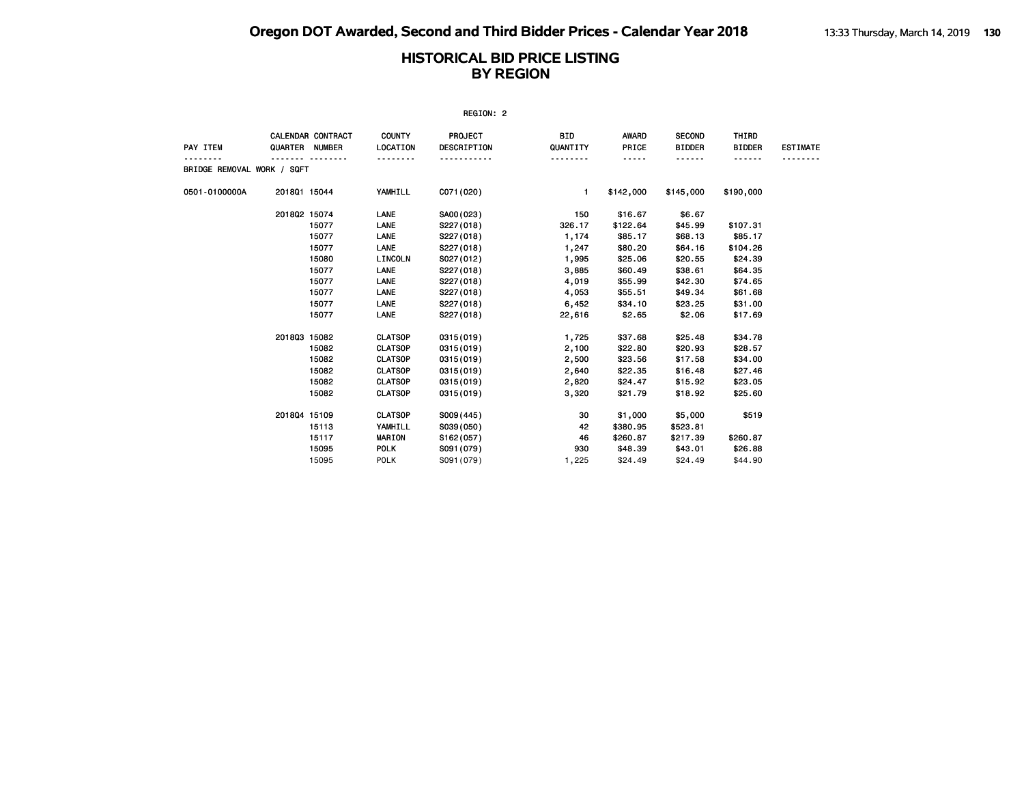|                                   |              |                                            |                 | REGION: 2                     |                        |                |                                |                        |                 |
|-----------------------------------|--------------|--------------------------------------------|-----------------|-------------------------------|------------------------|----------------|--------------------------------|------------------------|-----------------|
| PAY ITEM                          |              | <b>CALENDAR CONTRACT</b><br>QUARTER NUMBER | <b>LOCATION</b> | COUNTY PROJECT<br>DESCRIPTION | <b>BID</b><br>QUANTITY | AWARD<br>PRICE | <b>SECOND</b><br><b>BIDDER</b> | THIRD<br><b>BIDDER</b> | <b>ESTIMATE</b> |
| <b>BRIDGE REMOVAL WORK / SQFT</b> |              |                                            | .               |                               | <u>.</u>               | $- - - - -$    | .                              |                        |                 |
| 0501-0100000A                     |              | 201801 15044                               | YAMHILL         | C071 (020)                    | $\sim$ 1.              | \$142,000      | \$145,000                      | \$190,000              |                 |
|                                   | 201802 15074 |                                            | <b>LANE</b>     | SA00(023)                     | 150                    |                | \$16.67 \$6.67                 |                        |                 |
|                                   |              | 15077                                      | LANE            | S227(018)                     | 326.17                 | \$122.64       | \$45.99                        | \$107.31               |                 |
|                                   |              | 15077                                      | LANE            | S227(018)                     | 1,174                  | \$85.17        | \$68.13                        | \$85.17                |                 |
|                                   |              | 15077                                      | LANE            | S227(018)                     | 1,247                  | \$80.20        | \$64.16                        | \$104.26               |                 |
|                                   |              | 15080                                      | LINCOLN         | SO27(012)                     | 1,995                  | \$25.06        | \$20.55                        | \$24.39                |                 |
|                                   |              | 15077                                      | LANE            | S227 (018)                    | 3,885                  | \$60.49        | \$38.61                        | \$64.35                |                 |
|                                   |              | 15077                                      | LANE            | S227(018)                     | 4,019                  | \$55.99        | \$42.30                        | \$74.65                |                 |
|                                   |              | 15077                                      | LANE            | S227(018)                     | 4,053                  | \$55.51        | \$49.34                        | \$61.68                |                 |
|                                   |              | 15077                                      | LANE            | S227 (018)                    | 6,452                  | \$34.10        | \$23.25                        | \$31.00                |                 |
|                                   |              | 15077                                      | LANE            | S227(018)                     | 22,616                 | \$2.65         | \$2.06                         | \$17.69                |                 |
|                                   | 201803 15082 |                                            | <b>CLATSOP</b>  | 0315 (019)                    | 1,725                  | \$37.68        | \$25.48                        | \$34.78                |                 |
|                                   |              | 15082                                      | <b>CLATSOP</b>  | 0315(019)                     | 2,100                  | \$22.80        | \$20.93                        | \$28.57                |                 |
|                                   |              | 15082                                      | <b>CLATSOP</b>  | 0315(019)                     | 2,500                  | \$23.56        | \$17.58                        | \$34.00                |                 |
|                                   |              | 15082                                      | CLATSOP         | 0315(019)                     | 2,640                  | \$22.35        | \$16.48                        | \$27.46                |                 |
|                                   |              | 15082                                      | <b>CLATSOP</b>  | 0315(019) 2,820               |                        | \$24.47        | \$15.92                        | \$23.05                |                 |
|                                   |              | 15082                                      | <b>CLATSOP</b>  | 0315(019)                     | 3,320                  | \$21.79        | \$18.92                        | \$25.60                |                 |
|                                   | 201804 15109 |                                            | <b>CLATSOP</b>  | S009(445)                     | 30                     | \$1,000        | \$5,000                        | \$519                  |                 |
|                                   |              | 15113                                      | YAMHILL         | S039(050)                     | 42                     | \$380.95       | \$523.81                       |                        |                 |
|                                   |              | 15117                                      | <b>MARION</b>   | S162(057)                     | - 46                   | \$260.87       | \$217.39                       | \$260.87               |                 |
|                                   |              | 15095                                      | <b>POLK</b>     | S091 (079)                    | 930                    | \$48.39        | \$43.01                        | \$26.88                |                 |
|                                   |              | 15095                                      | <b>POLK</b>     | S091 (079)                    | 1,225                  | \$24.49        | \$24.49                        | \$44,90                |                 |
|                                   |              |                                            |                 |                               |                        |                |                                |                        |                 |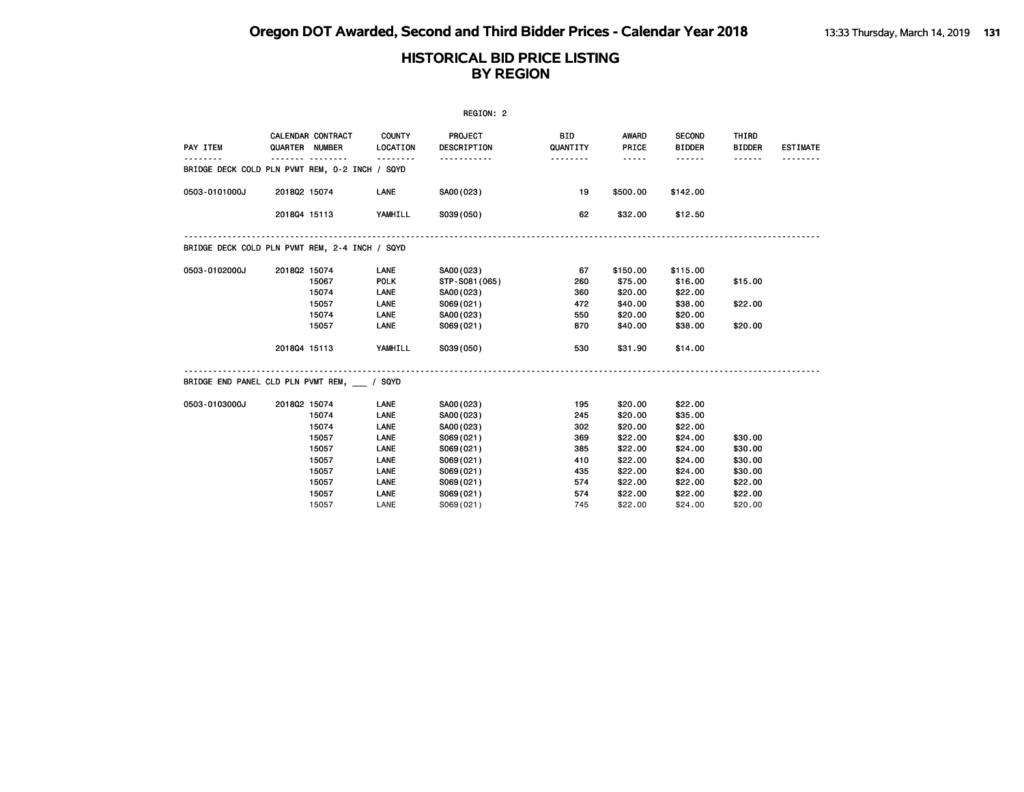|                                                |              |                                            |                           | REGION: 2              |                        |                       |                                |                        |                 |
|------------------------------------------------|--------------|--------------------------------------------|---------------------------|------------------------|------------------------|-----------------------|--------------------------------|------------------------|-----------------|
| PAY ITEM                                       |              | <b>CALENDAR CONTRACT</b><br>QUARTER NUMBER | <b>COUNTY</b><br>LOCATION | PROJECT<br>DESCRIPTION | <b>BID</b><br>QUANTITY | <b>AWARD</b><br>PRICE | <b>SECOND</b><br><b>BIDDER</b> | THIRD<br><b>BIDDER</b> | <b>ESTIMATE</b> |
| BRIDGE DECK COLD PLN PVMT REM, 0-2 INCH / SQYD |              |                                            | .                         |                        | <u>.</u>               | $- - - - -$           | <b></b>                        |                        |                 |
| 0503-0101000J                                  | 201802 15074 |                                            | LANE                      | SA00(023)              | 19                     | \$500.00              | \$142.00                       |                        |                 |
|                                                |              | 201804 15113                               | YAMHILL                   | S039(050)              | 62                     | \$32.00               | \$12.50                        |                        |                 |
| BRIDGE DECK COLD PLN PVMT REM, 2-4 INCH / SQYD |              |                                            |                           |                        |                        |                       |                                |                        |                 |
| 0503-0102000J                                  | 201802 15074 |                                            | <b>LANE</b>               | SA00(023)              | 67                     | \$150.00              | \$115.00                       |                        |                 |
|                                                |              | 15067                                      | <b>POLK</b>               | STP-S081(065)          | 260                    | \$75.00               | \$16.00                        | \$15.00                |                 |
|                                                |              | 15074                                      | LANE                      | SA00(023)              | 360                    | \$20.00               | \$22.00                        |                        |                 |
|                                                |              | 15057                                      | LANE                      | S069(021)              | 472                    | \$40.00               | \$38.00                        | \$22.00                |                 |
|                                                |              | 15074                                      | LANE                      | SA00(023)              | 550                    | \$20.00               | \$20.00                        |                        |                 |
|                                                |              | 15057                                      | LANE                      | S069(021)              | 870                    | \$40.00               | \$38.00                        | \$20.00                |                 |
|                                                |              | 201804 15113                               | YAMHILL                   | S039(050)              | 530                    | \$31.90               | \$14.00                        |                        |                 |
| BRIDGE END PANEL CLD PLN PVMT REM, / SQYD      |              |                                            |                           |                        |                        |                       |                                |                        |                 |
| 0503-0103000J                                  | 201802 15074 |                                            | LANE                      | SA00(023)              | 195                    | \$20.00               | \$22.00                        |                        |                 |
|                                                |              | 15074                                      | LANE                      | SA00(023)              | 245                    | \$20.00               | \$35.00                        |                        |                 |
|                                                |              | 15074                                      | LANE                      | SA00(023)              | 302                    | \$20.00               | \$22.00                        |                        |                 |
|                                                |              | 15057                                      | LANE                      | S069(021)              | 369                    | \$22.00               | \$24.00                        | \$30.00                |                 |
|                                                |              | 15057                                      | LANE                      | S069(021)              | 385                    | \$22.00               | \$24.00                        | \$30.00                |                 |
|                                                |              | 15057                                      | LANE                      | S069(021)              | 410                    | \$22.00               | \$24.00                        | \$30.00                |                 |
|                                                |              | 15057                                      | LANE                      | S069(021)              | 435                    | \$22.00               | \$24.00                        | \$30.00                |                 |
|                                                |              | 15057                                      | LANE                      | S069(021)              | 574                    | \$22.00               | \$22.00                        | \$22.00                |                 |
|                                                |              | 15057                                      | LANE                      | S069(021)              | 574                    | \$22.00               | \$22.00                        | \$22.00                |                 |
|                                                |              | 15057                                      | LANE                      | S069(021)              | 745                    | \$22.00               | \$24,00                        | \$20,00                |                 |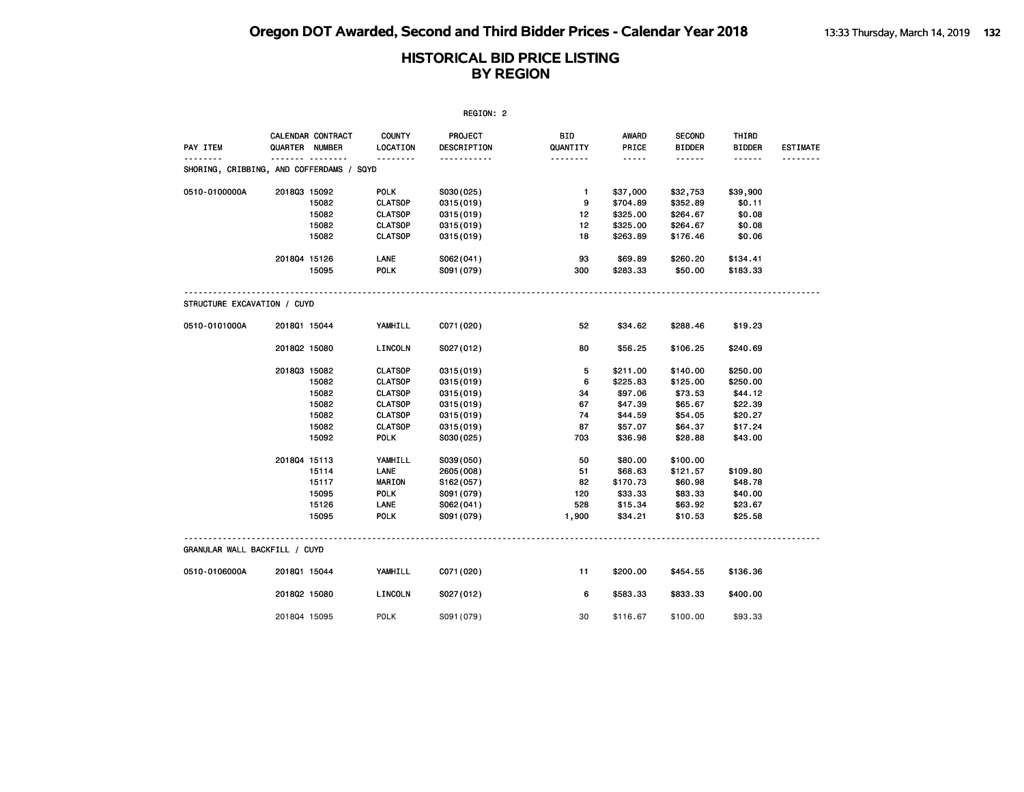| REGION: 2                                     |              |                                     |                           |                               |                 |                                                                                                                                                      |                                |                        |                 |  |  |
|-----------------------------------------------|--------------|-------------------------------------|---------------------------|-------------------------------|-----------------|------------------------------------------------------------------------------------------------------------------------------------------------------|--------------------------------|------------------------|-----------------|--|--|
| PAY ITEM                                      |              | CALENDAR CONTRACT<br>QUARTER NUMBER | <b>COUNTY</b><br>LOCATION | <b>PROJECT</b><br>DESCRIPTION | BID<br>QUANTITY | AWARD<br>PRICE                                                                                                                                       | <b>SECOND</b><br><b>BIDDER</b> | THIRD<br><b>BIDDER</b> | <b>ESTIMATE</b> |  |  |
| .<br>SHORING, CRIBBING, AND COFFERDAMS / SQYD |              | .                                   | .                         | .                             | .               | $\frac{1}{2} \left( \frac{1}{2} \right) \left( \frac{1}{2} \right) \left( \frac{1}{2} \right) \left( \frac{1}{2} \right) \left( \frac{1}{2} \right)$ | $- - - - - -$                  | $- - - - - -$          | .               |  |  |
| 0510-0100000A                                 | 201803 15092 |                                     | <b>POLK</b>               | S030(025)                     | $\mathbf{1}$    | \$37,000                                                                                                                                             | \$32,753                       | \$39,900               |                 |  |  |
|                                               |              | 15082                               | <b>CLATSOP</b>            | 0315 (019)                    | 9               | \$704.89                                                                                                                                             | \$352.89                       | \$0.11                 |                 |  |  |
|                                               |              | 15082                               | <b>CLATSOP</b>            | 0315 (019)                    | 12              | \$325.00                                                                                                                                             | \$264.67                       | \$0.08                 |                 |  |  |
|                                               |              | 15082                               | <b>CLATSOP</b>            | 0315 (019)                    | 12              | \$325.00                                                                                                                                             | \$264.67                       | \$0.08                 |                 |  |  |
|                                               |              | 15082                               | <b>CLATSOP</b>            | 0315 (019)                    | 18              | \$263.89                                                                                                                                             | \$176.46                       | \$0.06                 |                 |  |  |
|                                               | 201804 15126 |                                     | LANE                      | S062(041)                     | 93              | \$69.89                                                                                                                                              | \$260.20                       | \$134.41               |                 |  |  |
|                                               |              | 15095                               | <b>POLK</b>               | S091 (079)                    | 300             | \$283.33                                                                                                                                             | \$50.00                        | \$183.33               |                 |  |  |
| STRUCTURE EXCAVATION / CUYD                   |              |                                     |                           |                               |                 |                                                                                                                                                      |                                |                        |                 |  |  |
| 0510-0101000A                                 | 201801 15044 |                                     | YAMHILL                   | C071 (020)                    | 52              | \$34.62                                                                                                                                              | \$288.46                       | \$19.23                |                 |  |  |
|                                               | 201802 15080 |                                     | LINCOLN                   | S027(012)                     | 80              | \$56.25                                                                                                                                              | \$106.25                       | \$240.69               |                 |  |  |
|                                               | 201803 15082 |                                     | <b>CLATSOP</b>            | 0315 (019)                    | 5               | \$211.00                                                                                                                                             | \$140.00                       | \$250.00               |                 |  |  |
|                                               |              | 15082                               | <b>CLATSOP</b>            | 0315 (019)                    | 6               | \$225.83                                                                                                                                             | \$125.00                       | \$250.00               |                 |  |  |
|                                               |              | 15082                               | <b>CLATSOP</b>            | 0315 (019)                    | 34              | \$97.06                                                                                                                                              | \$73.53                        | \$44.12                |                 |  |  |
|                                               |              | 15082                               | <b>CLATSOP</b>            | 0315 (019)                    | 67              | \$47.39                                                                                                                                              | \$65.67                        | \$22.39                |                 |  |  |
|                                               |              | 15082                               | <b>CLATSOP</b>            | 0315 (019)                    | 74              | \$44.59                                                                                                                                              | \$54.05                        | \$20.27                |                 |  |  |
|                                               |              | 15082                               | <b>CLATSOP</b>            | 0315 (019)                    | 87              | \$57.07                                                                                                                                              | \$64.37                        | \$17.24                |                 |  |  |
|                                               |              | 15092                               | <b>POLK</b>               | S030(025)                     | 703             | \$36.98                                                                                                                                              | \$28.88                        | \$43.00                |                 |  |  |
|                                               | 201804 15113 |                                     | YAMHILL                   | S039(050)                     | 50              | \$80.00                                                                                                                                              | \$100.00                       |                        |                 |  |  |
|                                               |              | 15114                               | LANE                      | 2605 (008)                    | 51              | \$68.63                                                                                                                                              | \$121.57                       | \$109.80               |                 |  |  |
|                                               |              | 15117                               | <b>MARION</b>             | S162(057)                     | 82              | \$170.73                                                                                                                                             | \$60.98                        | \$48.78                |                 |  |  |
|                                               |              | 15095                               | <b>POLK</b>               | S091 (079)                    | 120             | \$33.33                                                                                                                                              | \$83.33                        | \$40.00                |                 |  |  |
|                                               |              | 15126                               | LANE                      | S062(041)                     | 528             | \$15.34                                                                                                                                              | \$63.92                        | \$23.67                |                 |  |  |
|                                               |              | 15095                               | <b>POLK</b>               | S091 (079)                    | 1,900           | \$34.21                                                                                                                                              | \$10.53                        | \$25.58                |                 |  |  |
| GRANULAR WALL BACKFILL / CUYD                 |              |                                     |                           |                               |                 |                                                                                                                                                      |                                |                        |                 |  |  |
| 0510-0106000A                                 | 201801 15044 |                                     | YAMHILL                   | C071 (020)                    | 11              | \$200.00                                                                                                                                             | \$454.55                       | \$136.36               |                 |  |  |
|                                               | 201802 15080 |                                     | LINCOLN                   | S027(012)                     | 6               | \$583.33                                                                                                                                             | \$833.33                       | \$400.00               |                 |  |  |
|                                               | 201804 15095 |                                     | POLK                      | S091 (079)                    | 30              | \$116.67                                                                                                                                             | \$100.00                       | \$93.33                |                 |  |  |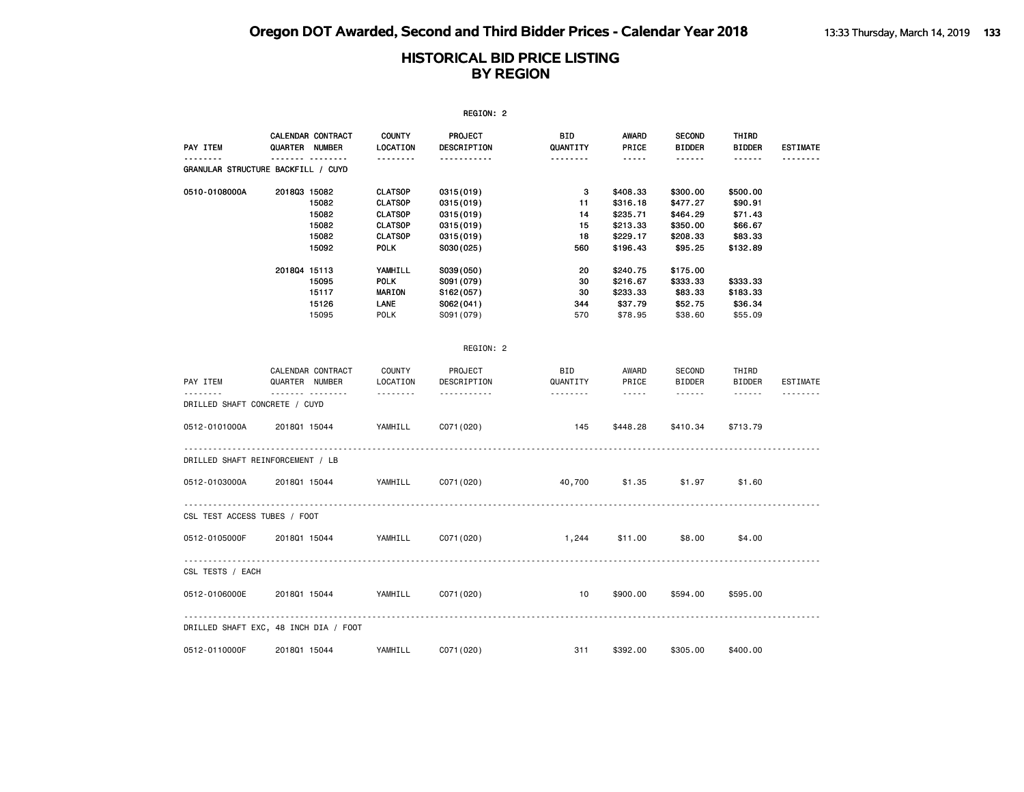|                                         |              |                                     |                           | REGION: 2              |                 |                                    |                                |                        |                 |
|-----------------------------------------|--------------|-------------------------------------|---------------------------|------------------------|-----------------|------------------------------------|--------------------------------|------------------------|-----------------|
| PAY ITEM                                |              | CALENDAR CONTRACT<br>QUARTER NUMBER | <b>COUNTY</b><br>LOCATION | PROJECT<br>DESCRIPTION | BID<br>QUANTITY | AWARD<br>PRICE                     | <b>SECOND</b><br><b>BIDDER</b> | THIRD<br><b>BIDDER</b> | <b>ESTIMATE</b> |
| .<br>GRANULAR STRUCTURE BACKFILL / CUYD |              | <b>.</b>                            | .                         | -----------            | <u>.</u>        | $- - - - -$                        | ------                         |                        | <u>.</u>        |
| 0510-0108000A                           | 201803 15082 |                                     | <b>CLATSOP</b>            | 0315 (019)             | 3               | \$408.33                           | \$300.00                       | \$500.00               |                 |
|                                         |              | 15082                               | <b>CLATSOP</b>            | 0315 (019)             | 11              | \$316.18                           | \$477.27                       | \$90.91                |                 |
|                                         |              | 15082                               | <b>CLATSOP</b>            | 0315 (019)             | 14              | \$235.71                           | \$464.29                       | \$71.43                |                 |
|                                         |              | 15082                               | <b>CLATSOP</b>            | 0315 (019)             | 15              | \$213.33                           | \$350.00                       | \$66.67                |                 |
|                                         |              | 15082                               | <b>CLATSOP</b>            | 0315 (019)             | 18              | \$229.17                           | \$208.33                       | \$83.33                |                 |
|                                         |              | 15092                               | <b>POLK</b>               | S030(025)              | 560             | \$196.43                           | \$95.25                        | \$132.89               |                 |
|                                         | 201804 15113 |                                     | YAMHILL                   | S039(050)              | 20              | \$240.75                           | \$175.00                       |                        |                 |
|                                         |              | 15095                               | <b>POLK</b>               | S091 (079)             | 30              | \$216.67                           | \$333.33                       | \$333.33               |                 |
|                                         |              | 15117                               | <b>MARION</b>             | S162(057)              | 30              | \$233.33                           | \$83.33                        | \$183.33               |                 |
|                                         |              | 15126                               | LANE                      | S062(041)              | 344             | \$37.79                            | \$52.75                        | \$36.34                |                 |
|                                         |              | 15095                               | <b>POLK</b>               | S091 (079)             | 570             | \$78.95                            | \$38.60                        | \$55.09                |                 |
|                                         |              |                                     |                           | REGION: 2              |                 |                                    |                                |                        |                 |
|                                         |              | CALENDAR CONTRACT                   | COUNTY                    | PROJECT                | BID             | AWARD                              | SECOND                         | THIRD                  |                 |
| PAY ITEM                                |              | QUARTER NUMBER                      | LOCATION                  | DESCRIPTION            | QUANTITY        | PRICE                              | <b>BIDDER</b>                  | <b>BIDDER</b>          | <b>ESTIMATE</b> |
|                                         |              | .                                   | .                         | <u>.</u>               | <u>.</u>        | $\sim$ $\sim$ $\sim$ $\sim$ $\sim$ | $\cdots \cdots \cdots$         |                        | .               |
| DRILLED SHAFT CONCRETE / CUYD           |              |                                     |                           |                        |                 |                                    |                                |                        |                 |
| 0512-0101000A                           | 201801 15044 |                                     | YAMHILL                   | C071 (020)             | 145             | \$448.28                           | \$410.34                       | \$713.79               |                 |
| DRILLED SHAFT REINFORCEMENT / LB        |              |                                     |                           |                        |                 |                                    |                                |                        |                 |
| 0512-0103000A                           | 201801 15044 |                                     | YAMHILL                   | C071 (020)             | 40,700          | \$1.35                             | \$1.97                         | \$1,60                 |                 |
| CSL TEST ACCESS TUBES / FOOT            |              |                                     |                           |                        |                 |                                    |                                |                        |                 |
| 0512-0105000F                           | 201801 15044 |                                     | YAMHILL                   | C071 (020)             | 1,244           | \$11.00                            | \$8.00                         | \$4.00                 |                 |
| CSL TESTS / EACH                        |              |                                     |                           |                        |                 |                                    |                                |                        |                 |
| 0512-0106000E                           | 201801 15044 |                                     | YAMHILL                   | C071 (020)             | 10              | \$900.00                           | \$594.00                       | \$595.00               |                 |
|                                         |              |                                     |                           |                        |                 |                                    |                                |                        |                 |
| DRILLED SHAFT EXC, 48 INCH DIA / FOOT   |              |                                     |                           |                        |                 |                                    |                                |                        |                 |
| 0512-0110000F                           | 201801 15044 |                                     | YAMHILL                   | C071 (020)             | 311             | \$392.00                           | \$305.00                       | \$400.00               |                 |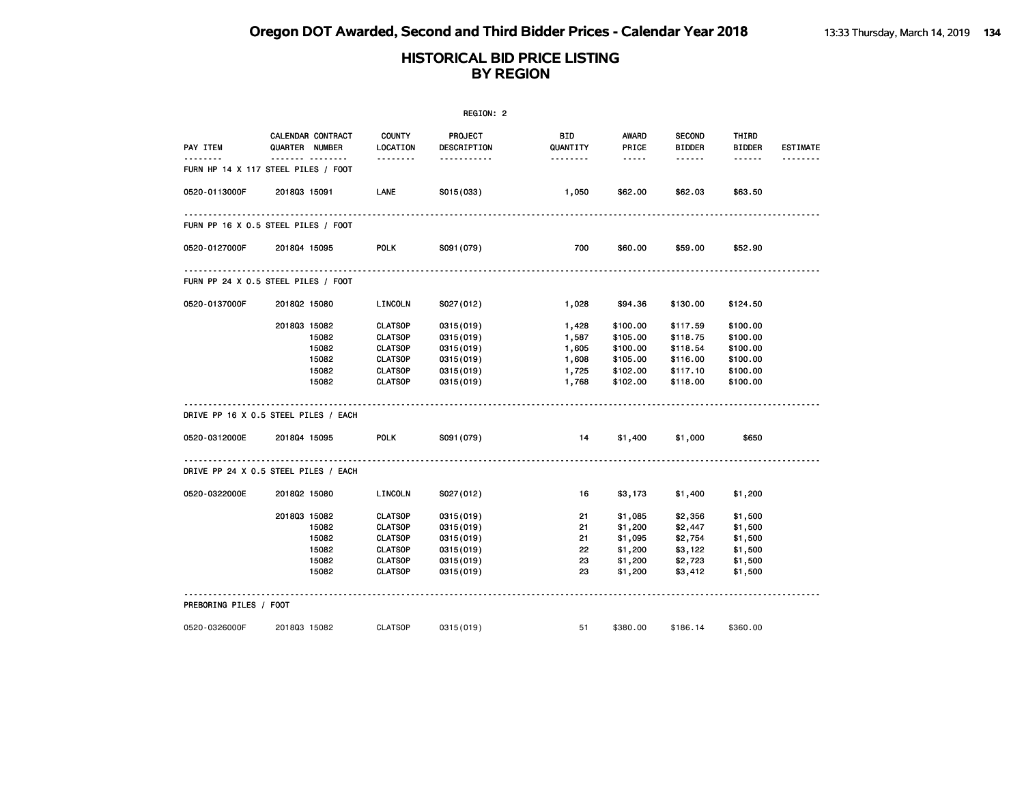| REGION: 2                            |              |                                     |                           |                        |                        |                 |                                |                        |                 |
|--------------------------------------|--------------|-------------------------------------|---------------------------|------------------------|------------------------|-----------------|--------------------------------|------------------------|-----------------|
| PAY ITEM                             |              | CALENDAR CONTRACT<br>QUARTER NUMBER | <b>COUNTY</b><br>LOCATION | PROJECT<br>DESCRIPTION | <b>BID</b><br>QUANTITY | AWARD<br>PRICE  | <b>SECOND</b><br><b>BIDDER</b> | THIRD<br><b>BIDDER</b> | <b>ESTIMATE</b> |
| FURN HP 14 X 117 STEEL PILES / FOOT  |              | <u></u>                             | --------                  | <u>.</u>               | <u> - - - - - - -</u>  | $\cdots \cdots$ | ------                         | ------                 |                 |
| 0520-0113000F                        | 201803 15091 |                                     | LANE                      | S015(033)              | 1,050                  | \$62.00         | \$62.03                        | \$63.50                |                 |
| FURN PP 16 X 0.5 STEEL PILES / FOOT  |              |                                     |                           |                        |                        |                 |                                |                        |                 |
| 0520-0127000F                        | 201804 15095 |                                     | <b>POLK</b>               | S091 (079)             | 700                    | \$60.00         | \$59.00                        | \$52.90                |                 |
| FURN PP 24 X 0.5 STEEL PILES / FOOT  |              |                                     |                           |                        |                        |                 |                                |                        |                 |
| 0520-0137000F                        | 201802 15080 |                                     | LINCOLN                   | S027(012)              | 1,028                  | \$94.36         | \$130.00                       | \$124.50               |                 |
|                                      | 201803 15082 |                                     | <b>CLATSOP</b>            | 0315(019)              | 1,428                  | \$100.00        | \$117.59                       | \$100.00               |                 |
|                                      |              | 15082                               | <b>CLATSOP</b>            | 0315(019)              | 1,587                  | \$105.00        | \$118.75                       | \$100.00               |                 |
|                                      |              | 15082                               | <b>CLATSOP</b>            | 0315 (019)             | 1,605                  | \$100.00        | \$118.54                       | \$100.00               |                 |
|                                      |              | 15082                               | <b>CLATSOP</b>            | 0315 (019)             | 1,608                  | \$105.00        | \$116.00                       | \$100.00               |                 |
|                                      |              | 15082                               | <b>CLATSOP</b>            | 0315 (019)             | 1,725                  | \$102.00        | \$117.10                       | \$100.00               |                 |
|                                      |              | 15082                               | <b>CLATSOP</b>            | 0315 (019)             | 1,768                  | \$102.00        | \$118.00                       | \$100.00               |                 |
| DRIVE PP 16 X 0.5 STEEL PILES / EACH |              |                                     |                           |                        |                        |                 |                                |                        |                 |
| 0520-0312000E                        | 201804 15095 |                                     | <b>POLK</b>               | S091 (079)             | 14                     | \$1,400         | \$1,000                        | \$650                  |                 |
| DRIVE PP 24 X 0.5 STEEL PILES / EACH |              |                                     |                           |                        |                        |                 |                                |                        |                 |
| 0520-0322000E                        | 201802 15080 |                                     | LINCOLN                   | S027(012)              | 16                     | \$3,173         | \$1,400                        | \$1,200                |                 |
|                                      | 201803 15082 |                                     | <b>CLATSOP</b>            | 0315 (019)             | 21                     | \$1,085         | \$2,356                        | \$1,500                |                 |
|                                      |              | 15082                               | <b>CLATSOP</b>            | 0315 (019)             | 21                     | \$1,200         | \$2,447                        | \$1,500                |                 |
|                                      |              | 15082                               | <b>CLATSOP</b>            | 0315 (019)             | 21                     | \$1,095         | \$2,754                        | \$1,500                |                 |
|                                      |              | 15082                               | <b>CLATSOP</b>            | 0315(019)              | 22                     | \$1,200         | \$3,122                        | \$1,500                |                 |
|                                      |              | 15082                               | <b>CLATSOP</b>            | 0315 (019)             | 23                     | \$1,200         | \$2,723                        | \$1,500                |                 |
|                                      |              | 15082                               | <b>CLATSOP</b>            | 0315 (019)             | 23                     | \$1,200         | \$3,412                        | \$1,500                |                 |
| PREBORING PILES / FOOT               |              |                                     |                           |                        |                        |                 |                                |                        |                 |
| 0520-0326000F                        | 201803 15082 |                                     | <b>CLATSOP</b>            | 0315 (019)             | 51                     | \$380.00        | \$186.14                       | \$360.00               |                 |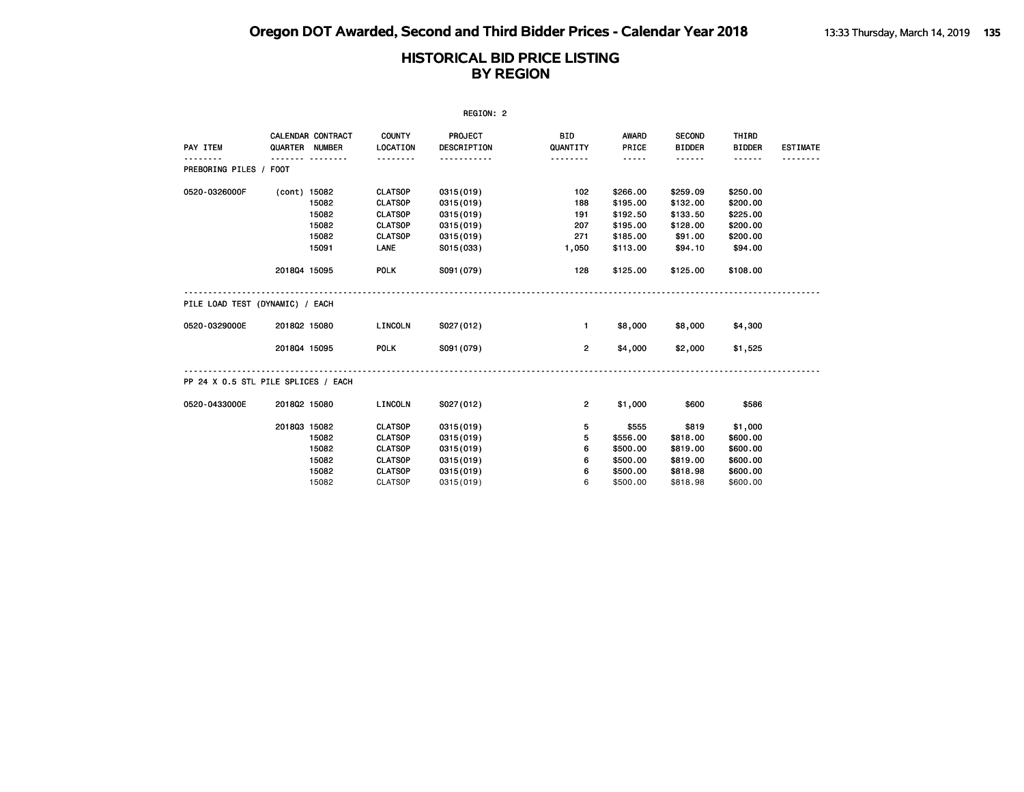|                                                  |                |                   |                | REGION: 2          |                |             |               |               |                 |
|--------------------------------------------------|----------------|-------------------|----------------|--------------------|----------------|-------------|---------------|---------------|-----------------|
|                                                  |                | CALENDAR CONTRACT | <b>COUNTY</b>  | PROJECT            | <b>BID</b>     | AWARD       | <b>SECOND</b> | THIRD         |                 |
| PAY ITEM                                         | QUARTER NUMBER |                   | LOCATION       | <b>DESCRIPTION</b> | QUANTITY       | PRICE       | <b>BIDDER</b> | <b>BIDDER</b> | <b>ESTIMATE</b> |
| PREBORING PILES / FOOT                           |                |                   | .              | .                  | .              | $- - - - -$ |               | .             |                 |
| 0520-0326000F                                    | (cont) 15082   |                   | <b>CLATSOP</b> | 0315 (019)         | 102            | \$266.00    | \$259.09      | \$250.00      |                 |
|                                                  |                | 15082             | <b>CLATSOP</b> | 0315 (019)         | 188            | \$195.00    | \$132.00      | \$200.00      |                 |
|                                                  |                | 15082             | <b>CLATSOP</b> | 0315 (019)         | 191            | \$192.50    | \$133.50      | \$225.00      |                 |
|                                                  |                | 15082             | <b>CLATSOP</b> | 0315 (019)         | 207            | \$195.00    | \$128.00      | \$200.00      |                 |
|                                                  |                | 15082             | <b>CLATSOP</b> | 0315 (019)         | 271            | \$185.00    | \$91.00       | \$200.00      |                 |
|                                                  |                | 15091             | LANE           | S015(033)          | 1,050          | \$113.00    | \$94.10       | \$94.00       |                 |
|                                                  | 201804 15095   |                   | <b>POLK</b>    | S091 (079)         | 128            | \$125.00    | \$125.00      | \$108.00      |                 |
| PILE LOAD TEST (DYNAMIC) / EACH<br>0520-0329000E | 201802 15080   |                   | <b>LINCOLN</b> | S027(012)          | $\mathbf{1}$   | \$8,000     | \$8,000       | \$4,300       |                 |
|                                                  |                |                   |                |                    |                |             |               |               |                 |
|                                                  | 201804 15095   |                   | <b>POLK</b>    | S091 (079)         | $\overline{2}$ | \$4,000     | \$2,000       | \$1,525       |                 |
| PP 24 X 0.5 STL PILE SPLICES / EACH              |                |                   |                |                    |                |             |               |               |                 |
| 0520-0433000E                                    | 201802 15080   |                   | LINCOLN        | S027(012)          | $\overline{2}$ | \$1,000     | \$600         | \$586         |                 |
|                                                  | 201803 15082   |                   | <b>CLATSOP</b> | 0315 (019)         | 5              | \$555       | \$819         | \$1,000       |                 |
|                                                  |                | 15082             | <b>CLATSOP</b> | 0315 (019)         | 5              | \$556.00    | \$818.00      | \$600.00      |                 |
|                                                  |                | 15082             | <b>CLATSOP</b> | 0315 (019)         | 6              | \$500.00    | \$819.00      | \$600.00      |                 |
|                                                  |                | 15082             | <b>CLATSOP</b> | 0315 (019)         | 6              | \$500.00    | \$819.00      | \$600.00      |                 |
|                                                  |                | 15082             | <b>CLATSOP</b> | 0315 (019)         | 6              | \$500.00    | \$818.98      | \$600.00      |                 |
|                                                  |                | 15082             | <b>CLATSOP</b> | 0315(019)          | 6              | \$500,00    | \$818.98      | \$600.00      |                 |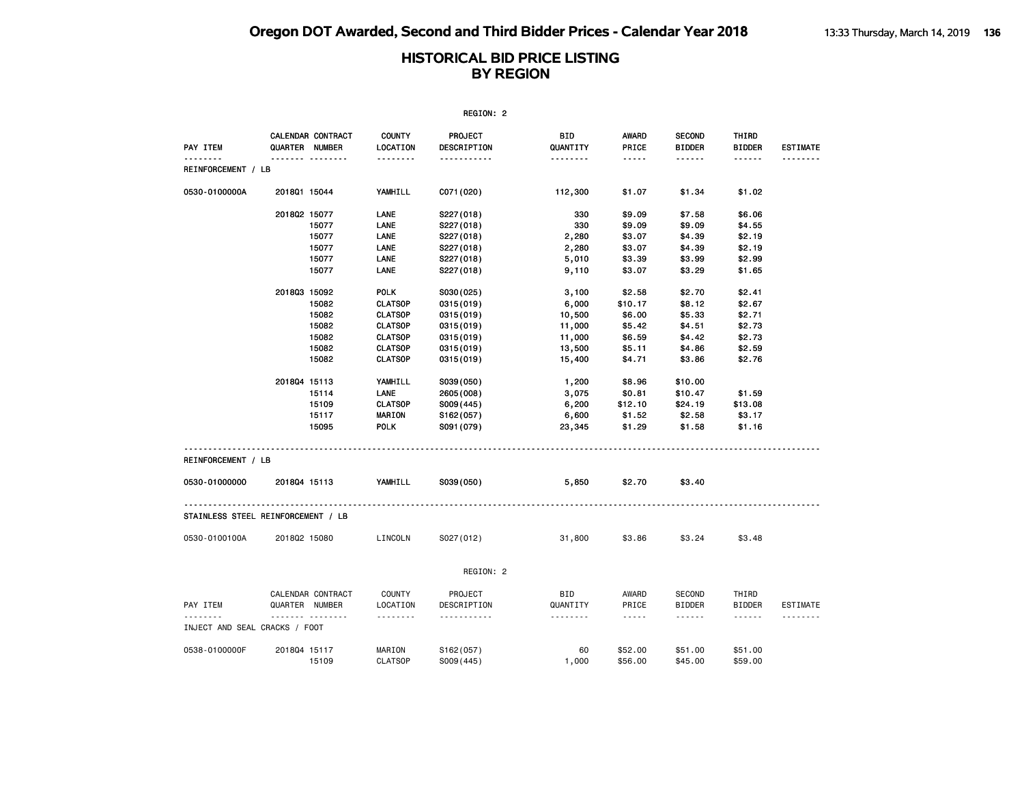| REGION: 2                          |                                     |                           |                        |                        |                                    |                                |                        |                 |  |  |
|------------------------------------|-------------------------------------|---------------------------|------------------------|------------------------|------------------------------------|--------------------------------|------------------------|-----------------|--|--|
| PAY ITEM                           | CALENDAR CONTRACT<br>QUARTER NUMBER | <b>COUNTY</b><br>LOCATION | PROJECT<br>DESCRIPTION | BID<br>QUANTITY        | <b>AWARD</b><br>PRICE              | <b>SECOND</b><br><b>BIDDER</b> | THIRD<br><b>BIDDER</b> | <b>ESTIMATE</b> |  |  |
| --------<br>REINFORCEMENT / LB     |                                     | .                         | -----------            | <u>.</u>               | -----                              | ------                         | ------                 | --------        |  |  |
| 0530-0100000A                      | 201801 15044                        | YAMHILL                   | C071 (020)             | 112,300                | \$1.07                             | \$1.34                         | \$1.02                 |                 |  |  |
|                                    | 201802 15077                        | LANE                      | S227(018)              | 330                    | \$9.09                             | \$7.58                         | \$6.06                 |                 |  |  |
|                                    | 15077                               | LANE                      | S227(018)              | 330                    | \$9.09                             | \$9.09                         | \$4.55                 |                 |  |  |
|                                    | 15077                               | LANE                      | S227(018)              | 2,280                  | \$3.07                             | \$4.39                         | \$2.19                 |                 |  |  |
|                                    | 15077                               | LANE                      | S227 (018)             | 2,280                  | \$3.07                             | \$4.39                         | \$2.19                 |                 |  |  |
|                                    | 15077                               | LANE                      | S227(018)              | 5,010                  | \$3.39                             | \$3.99                         | \$2.99                 |                 |  |  |
|                                    | 15077                               | LANE                      | S227(018)              | 9,110                  | \$3.07                             | \$3.29                         | \$1.65                 |                 |  |  |
|                                    | 201803 15092                        | <b>POLK</b>               | S030(025)              | 3,100                  | \$2.58                             | \$2.70                         | \$2.41                 |                 |  |  |
|                                    | 15082                               | <b>CLATSOP</b>            | 0315 (019)             | 6,000                  | \$10.17                            | \$8.12                         | \$2.67                 |                 |  |  |
|                                    | 15082                               | <b>CLATSOP</b>            | 0315 (019)             | 10,500                 | \$6.00                             | \$5.33                         | \$2.71                 |                 |  |  |
|                                    | 15082                               | <b>CLATSOP</b>            | 0315 (019)             | 11,000                 | \$5.42                             | \$4.51                         | \$2.73                 |                 |  |  |
|                                    | 15082                               | <b>CLATSOP</b>            | 0315(019)              | 11,000                 | \$6.59                             | \$4.42                         | \$2.73                 |                 |  |  |
|                                    | 15082                               | <b>CLATSOP</b>            | 0315 (019)             | 13,500                 | \$5.11                             | \$4.86                         | \$2.59                 |                 |  |  |
|                                    | 15082                               | <b>CLATSOP</b>            | 0315(019)              | 15,400                 | \$4.71                             | \$3.86                         | \$2.76                 |                 |  |  |
|                                    | 201804 15113                        | YAMHILL                   | S039(050)              | 1,200                  | \$8.96                             | \$10.00                        |                        |                 |  |  |
|                                    | 15114                               | LANE                      | 2605 (008)             | 3,075                  | \$0.81                             | \$10.47                        | \$1.59                 |                 |  |  |
|                                    | 15109                               | <b>CLATSOP</b>            | S009(445)              | 6,200                  | \$12.10                            | \$24.19                        | \$13.08                |                 |  |  |
|                                    | 15117                               | MARION                    | S162(057)              | 6,600                  | \$1.52                             | \$2.58                         | \$3.17                 |                 |  |  |
|                                    | 15095                               | <b>POLK</b>               | S091 (079)             | 23,345                 | \$1.29                             | \$1.58                         | \$1.16                 |                 |  |  |
| REINFORCEMENT / LB                 |                                     |                           |                        |                        |                                    |                                |                        |                 |  |  |
| 0530-01000000                      | 201804 15113                        | YAMHILL                   | S039(050)              | 5,850                  | \$2.70                             | \$3.40                         |                        |                 |  |  |
| STAINLESS STEEL REINFORCEMENT / LB |                                     |                           |                        |                        |                                    |                                |                        |                 |  |  |
| 0530-0100100A                      | 201802 15080                        | LINCOLN                   | S027(012)              | 31,800                 | \$3.86                             | \$3.24                         | \$3.48                 |                 |  |  |
|                                    |                                     |                           | REGION: 2              |                        |                                    |                                |                        |                 |  |  |
|                                    |                                     |                           |                        |                        |                                    |                                |                        |                 |  |  |
| PAY ITEM                           | CALENDAR CONTRACT<br>QUARTER NUMBER | COUNTY<br>LOCATION        | PROJECT<br>DESCRIPTION | <b>BID</b><br>QUANTITY | AWARD<br>PRICE                     | SECOND<br><b>BIDDER</b>        | THIRD<br><b>BIDDER</b> | ESTIMATE        |  |  |
| INJECT AND SEAL CRACKS / FOOT      | .                                   | .                         | .                      | <u>.</u>               | $\sim$ $\sim$ $\sim$ $\sim$ $\sim$ | ------                         | ------                 |                 |  |  |
| 0538-0100000F                      | 201804 15117                        | MARION                    |                        | 60                     | \$52.00                            | \$51.00                        | \$51.00                |                 |  |  |
|                                    | 15109                               | <b>CLATSOP</b>            | S162(057)<br>S009(445) | 1,000                  | \$56.00                            | \$45.00                        | \$59.00                |                 |  |  |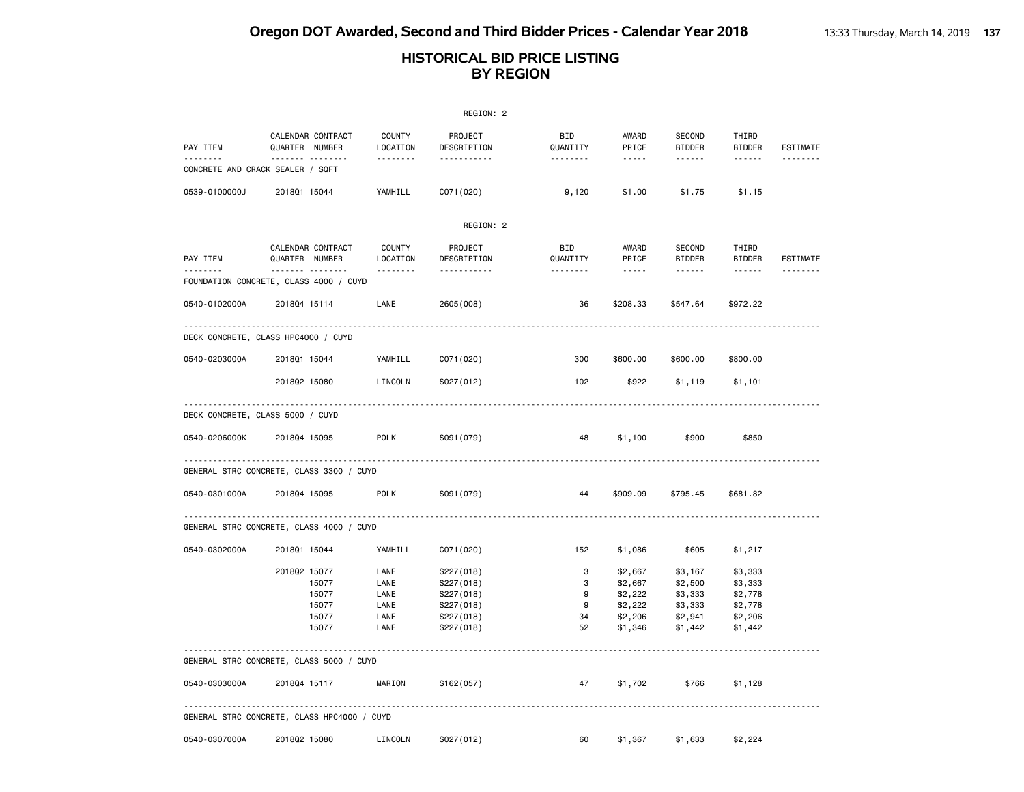|                      |                                                           |                                              | REGION: 2                                                                  |                              |                                                                |                                                                |                                                                |                      |
|----------------------|-----------------------------------------------------------|----------------------------------------------|----------------------------------------------------------------------------|------------------------------|----------------------------------------------------------------|----------------------------------------------------------------|----------------------------------------------------------------|----------------------|
| PAY ITEM<br>.        | CALENDAR CONTRACT<br>QUARTER NUMBER<br><u>.</u>           | COUNTY<br>LOCATION<br><u>.</u>               | PROJECT<br>DESCRIPTION<br><u>.</u>                                         | BID<br>QUANTITY              | AWARD<br>PRICE<br>-----                                        | SECOND<br><b>BIDDER</b><br>.                                   | THIRD<br><b>BIDDER</b><br>.                                    | ESTIMATE             |
|                      | CONCRETE AND CRACK SEALER / SQFT                          |                                              |                                                                            |                              |                                                                |                                                                |                                                                |                      |
| 0539-0100000J        | 201801 15044                                              | YAMHILL                                      | C071 (020)                                                                 | 9,120                        | \$1.00                                                         | \$1.75                                                         | \$1.15                                                         |                      |
|                      |                                                           |                                              | REGION: 2                                                                  |                              |                                                                |                                                                |                                                                |                      |
| PAY ITEM<br>-------- | CALENDAR CONTRACT<br>QUARTER NUMBER<br><u>.</u>           | COUNTY<br>LOCATION<br>.                      | PROJECT<br>DESCRIPTION<br><u>.</u>                                         | BID<br>QUANTITY              | AWARD<br>PRICE<br>$\frac{1}{2}$                                | <b>SECOND</b><br><b>BIDDER</b><br>------                       | THIRD<br><b>BIDDER</b><br>------                               | ESTIMATE<br>-------- |
|                      | FOUNDATION CONCRETE, CLASS 4000 / CUYD                    |                                              |                                                                            |                              |                                                                |                                                                |                                                                |                      |
| 0540-0102000A        | 201804 15114                                              | LANE                                         | 2605 (008)                                                                 | 36                           | \$208.33                                                       | \$547.64                                                       | \$972.22                                                       |                      |
|                      | DECK CONCRETE, CLASS HPC4000 / CUYD                       |                                              |                                                                            |                              |                                                                |                                                                |                                                                |                      |
| 0540-0203000A        | 201801 15044                                              | YAMHILL                                      | C071 (020)                                                                 | 300                          | \$600.00                                                       | \$600.00                                                       | \$800.00                                                       |                      |
|                      | 201802 15080                                              | LINCOLN                                      | S027(012)                                                                  | 102                          | \$922                                                          | \$1,119                                                        | \$1,101                                                        |                      |
|                      | DECK CONCRETE, CLASS 5000 / CUYD                          |                                              |                                                                            |                              |                                                                |                                                                |                                                                |                      |
| 0540-0206000K        | 201804 15095                                              | <b>POLK</b>                                  | S091 (079)                                                                 | 48                           | \$1,100                                                        | \$900                                                          | \$850                                                          |                      |
|                      | GENERAL STRC CONCRETE, CLASS 3300 / CUYD                  |                                              |                                                                            |                              |                                                                |                                                                |                                                                |                      |
| 0540-0301000A        | 201804 15095                                              | <b>POLK</b>                                  | S091 (079)                                                                 | 44                           | \$909.09                                                       | \$795.45                                                       | \$681.82                                                       |                      |
|                      | GENERAL STRC CONCRETE, CLASS 4000 / CUYD                  |                                              |                                                                            |                              |                                                                |                                                                |                                                                |                      |
| 0540-0302000A        | 201801 15044                                              | YAMHILL                                      | C071 (020)                                                                 | 152                          | \$1,086                                                        | \$605                                                          | \$1,217                                                        |                      |
|                      | 201802 15077<br>15077<br>15077<br>15077<br>15077<br>15077 | LANE<br>LANE<br>LANE<br>LANE<br>LANE<br>LANE | S227(018)<br>S227(018)<br>S227(018)<br>S227(018)<br>S227(018)<br>S227(018) | 3<br>3<br>9<br>9<br>34<br>52 | \$2,667<br>\$2,667<br>\$2,222<br>\$2,222<br>\$2,206<br>\$1,346 | \$3,167<br>\$2,500<br>\$3,333<br>\$3,333<br>\$2,941<br>\$1,442 | \$3,333<br>\$3,333<br>\$2,778<br>\$2,778<br>\$2,206<br>\$1,442 |                      |
|                      | GENERAL STRC CONCRETE, CLASS 5000 / CUYD                  |                                              |                                                                            |                              |                                                                |                                                                |                                                                |                      |
| 0540-0303000A        | 201804 15117                                              | MARION                                       | S162(057)                                                                  | 47                           | \$1,702                                                        | \$766                                                          | \$1,128                                                        |                      |
|                      | GENERAL STRC CONCRETE, CLASS HPC4000 / CUYD               |                                              |                                                                            |                              |                                                                |                                                                |                                                                |                      |
| 0540-0307000A        | 201802 15080                                              | LINCOLN                                      | S027(012)                                                                  | 60                           | \$1,367                                                        | \$1,633                                                        | \$2,224                                                        |                      |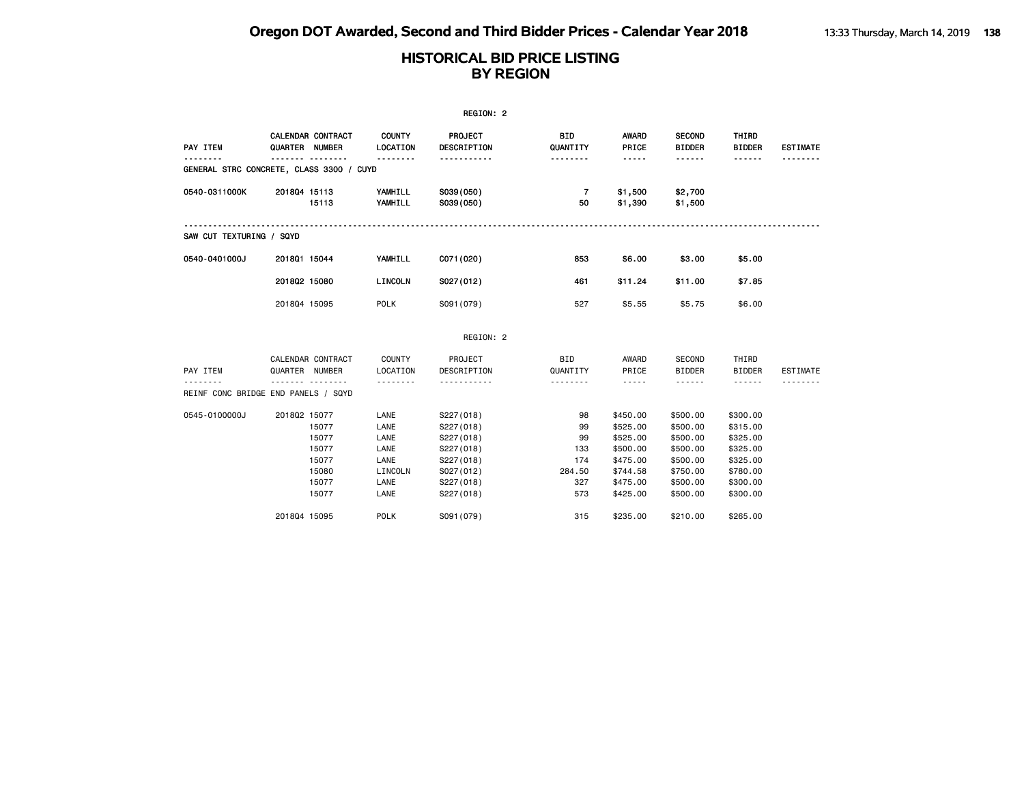|                                          |              |                                                             |                                                                 | REGION: 2                                                                                            |                                                      |                                                                                                                                                                        |                                                                                              |                                                                                                                                                                                                                                                                                                                                                                                                                                                                                                      |                 |
|------------------------------------------|--------------|-------------------------------------------------------------|-----------------------------------------------------------------|------------------------------------------------------------------------------------------------------|------------------------------------------------------|------------------------------------------------------------------------------------------------------------------------------------------------------------------------|----------------------------------------------------------------------------------------------|------------------------------------------------------------------------------------------------------------------------------------------------------------------------------------------------------------------------------------------------------------------------------------------------------------------------------------------------------------------------------------------------------------------------------------------------------------------------------------------------------|-----------------|
| PAY ITEM                                 |              | CALENDAR CONTRACT<br>QUARTER NUMBER                         | <b>COUNTY</b><br>LOCATION                                       | PROJECT<br>DESCRIPTION                                                                               | <b>BID</b><br>QUANTITY                               | AWARD<br>PRICE                                                                                                                                                         | <b>SECOND</b><br><b>BIDDER</b>                                                               | THIRD<br><b>BIDDER</b>                                                                                                                                                                                                                                                                                                                                                                                                                                                                               | <b>ESTIMATE</b> |
| GENERAL STRC CONCRETE, CLASS 3300 / CUYD |              |                                                             |                                                                 | <u>.</u>                                                                                             | <u>.</u>                                             | $- - - - -$                                                                                                                                                            | $- - - - - -$                                                                                |                                                                                                                                                                                                                                                                                                                                                                                                                                                                                                      | .               |
| 0540-0311000K                            | 201804 15113 | 15113                                                       | YAMHILL<br>YAMHILL                                              | S039(050)<br>S039(050)                                                                               | $\overline{7}$<br>50                                 | \$1,500<br>\$1,390                                                                                                                                                     | \$2,700<br>\$1,500                                                                           |                                                                                                                                                                                                                                                                                                                                                                                                                                                                                                      |                 |
| SAW CUT TEXTURING / SQYD                 |              |                                                             |                                                                 |                                                                                                      |                                                      |                                                                                                                                                                        |                                                                                              |                                                                                                                                                                                                                                                                                                                                                                                                                                                                                                      |                 |
| 0540-0401000J                            | 201801 15044 |                                                             | YAMHILL                                                         | C071 (020)                                                                                           | 853                                                  | \$6.00                                                                                                                                                                 | \$3.00                                                                                       | \$5.00                                                                                                                                                                                                                                                                                                                                                                                                                                                                                               |                 |
|                                          | 201802 15080 |                                                             | LINCOLN                                                         | S027(012)                                                                                            | 461                                                  | \$11.24                                                                                                                                                                | \$11.00                                                                                      | \$7.85                                                                                                                                                                                                                                                                                                                                                                                                                                                                                               |                 |
|                                          | 201804 15095 |                                                             | <b>POLK</b>                                                     | S091 (079)                                                                                           | 527                                                  | \$5.55                                                                                                                                                                 | \$5.75                                                                                       | \$6.00                                                                                                                                                                                                                                                                                                                                                                                                                                                                                               |                 |
|                                          |              |                                                             |                                                                 | REGION: 2                                                                                            |                                                      |                                                                                                                                                                        |                                                                                              |                                                                                                                                                                                                                                                                                                                                                                                                                                                                                                      |                 |
| PAY ITEM                                 |              | CALENDAR CONTRACT<br>QUARTER NUMBER<br>.                    | COUNTY<br>LOCATION                                              | PROJECT<br>DESCRIPTION<br><u>.</u>                                                                   | <b>BID</b><br>QUANTITY<br>.                          | AWARD<br>PRICE<br>$\frac{1}{2} \left( \frac{1}{2} \right) \left( \frac{1}{2} \right) \left( \frac{1}{2} \right) \left( \frac{1}{2} \right) \left( \frac{1}{2} \right)$ | SECOND<br><b>BIDDER</b><br><b>.</b>                                                          | THIRD<br><b>BIDDER</b><br>$\frac{1}{2} \left( \frac{1}{2} \right) \left( \frac{1}{2} \right) \left( \frac{1}{2} \right) \left( \frac{1}{2} \right) \left( \frac{1}{2} \right) \left( \frac{1}{2} \right) \left( \frac{1}{2} \right) \left( \frac{1}{2} \right) \left( \frac{1}{2} \right) \left( \frac{1}{2} \right) \left( \frac{1}{2} \right) \left( \frac{1}{2} \right) \left( \frac{1}{2} \right) \left( \frac{1}{2} \right) \left( \frac{1}{2} \right) \left( \frac{1}{2} \right) \left( \frac$ | <b>ESTIMATE</b> |
| REINF CONC BRIDGE END PANELS / SQYD      |              |                                                             |                                                                 |                                                                                                      |                                                      |                                                                                                                                                                        |                                                                                              |                                                                                                                                                                                                                                                                                                                                                                                                                                                                                                      |                 |
| 0545-0100000J                            | 201802 15077 | 15077<br>15077<br>15077<br>15077<br>15080<br>15077<br>15077 | LANE<br>LANE<br>LANE<br>LANE<br>LANE<br>LINCOLN<br>LANE<br>LANE | S227(018)<br>S227(018)<br>S227(018)<br>S227(018)<br>S227(018)<br>S027(012)<br>S227(018)<br>S227(018) | 98<br>99<br>99<br>133<br>174<br>284.50<br>327<br>573 | \$450.00<br>\$525.00<br>\$525.00<br>\$500.00<br>\$475.00<br>\$744.58<br>\$475.00<br>\$425.00                                                                           | \$500.00<br>\$500.00<br>\$500.00<br>\$500.00<br>\$500.00<br>\$750.00<br>\$500.00<br>\$500.00 | \$300.00<br>\$315.00<br>\$325.00<br>\$325.00<br>\$325.00<br>\$780.00<br>\$300.00<br>\$300.00                                                                                                                                                                                                                                                                                                                                                                                                         |                 |
|                                          | 201804 15095 |                                                             | <b>POLK</b>                                                     | S091 (079)                                                                                           | 315                                                  | \$235.00                                                                                                                                                               | \$210.00                                                                                     | \$265,00                                                                                                                                                                                                                                                                                                                                                                                                                                                                                             |                 |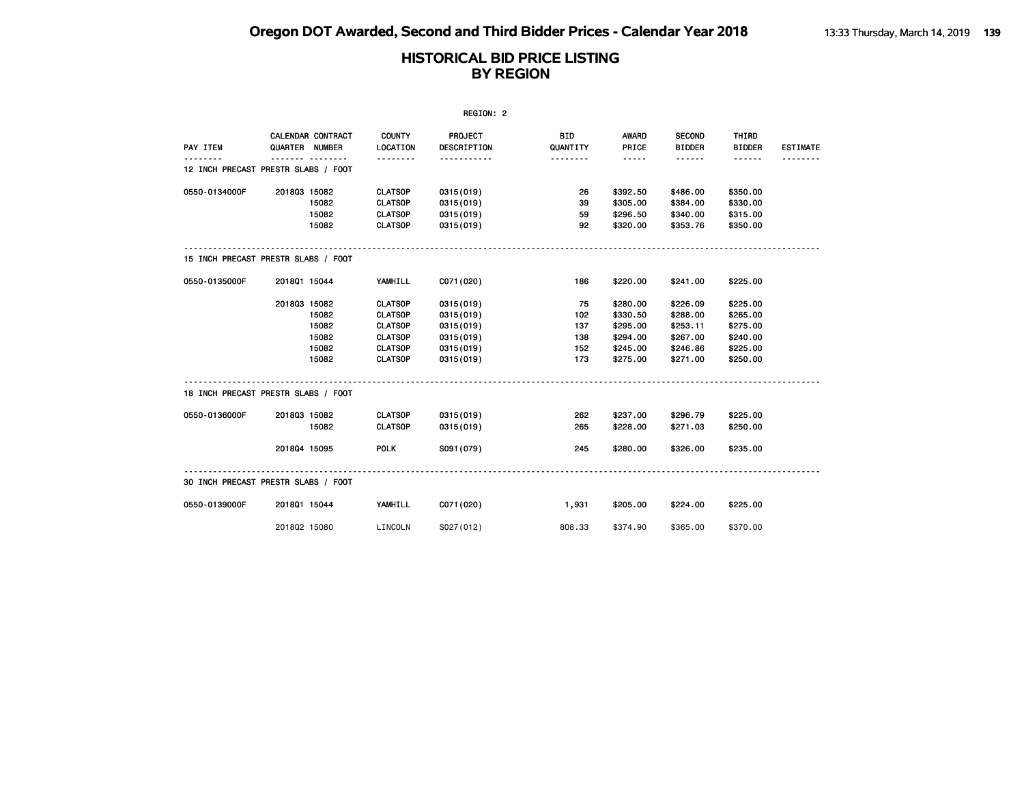| REGION: 2                           |              |                                     |                                  |                        |                        |                       |                                |                        |                 |  |
|-------------------------------------|--------------|-------------------------------------|----------------------------------|------------------------|------------------------|-----------------------|--------------------------------|------------------------|-----------------|--|
| PAY ITEM                            |              | CALENDAR CONTRACT<br>QUARTER NUMBER | <b>COUNTY</b><br><b>LOCATION</b> | PROJECT<br>DESCRIPTION | <b>BID</b><br>QUANTITY | <b>AWARD</b><br>PRICE | <b>SECOND</b><br><b>BIDDER</b> | THIRD<br><b>BIDDER</b> | <b>ESTIMATE</b> |  |
| 12 INCH PRECAST PRESTR SLABS / FOOT |              |                                     | <u>.</u>                         | .                      |                        | $- - - - -$           | ------                         | ------                 |                 |  |
| 0550-0134000F                       | 201803 15082 |                                     | <b>CLATSOP</b>                   | 0315 (019)             | 26                     | \$392.50              | \$486.00                       | \$350.00               |                 |  |
|                                     |              | 15082                               | <b>CLATSOP</b>                   | 0315 (019)             | 39                     | \$305.00              | \$384.00                       | \$330.00               |                 |  |
|                                     |              | 15082                               | <b>CLATSOP</b>                   | 0315 (019)             | 59                     | \$296.50              | \$340.00                       | \$315.00               |                 |  |
|                                     |              | 15082                               | <b>CLATSOP</b>                   | 0315 (019)             | 92                     | \$320.00              | \$353.76                       | \$350.00               |                 |  |
| 15 INCH PRECAST PRESTR SLABS / FOOT |              |                                     |                                  |                        |                        |                       |                                |                        |                 |  |
| 0550-0135000F                       | 201801 15044 |                                     | YAMHILL                          | C071 (020)             | 186                    | \$220.00              | \$241.00                       | \$225.00               |                 |  |
|                                     | 201803 15082 |                                     | <b>CLATSOP</b>                   | 0315 (019)             | 75                     | \$280.00              | \$226.09                       | \$225.00               |                 |  |
|                                     |              | 15082                               | <b>CLATSOP</b>                   | 0315 (019)             | 102                    | \$330.50              | \$288.00                       | \$265,00               |                 |  |
|                                     |              | 15082                               | <b>CLATSOP</b>                   | 0315 (019)             | 137                    | \$295.00              | \$253.11                       | \$275.00               |                 |  |
|                                     |              | 15082                               | <b>CLATSOP</b>                   | 0315 (019)             | 138                    | \$294.00              | \$267.00                       | \$240.00               |                 |  |
|                                     |              | 15082                               | <b>CLATSOP</b>                   | 0315(019)              | 152                    | \$245.00              | \$246.86                       | \$225.00               |                 |  |
|                                     |              | 15082                               | <b>CLATSOP</b>                   | 0315(019)              | 173                    | \$275.00              | \$271.00                       | \$250.00               |                 |  |
| 18 INCH PRECAST PRESTR SLABS / FOOT |              |                                     |                                  |                        |                        |                       |                                |                        |                 |  |
| 0550-0136000F                       | 201803 15082 |                                     | <b>CLATSOP</b>                   | 0315 (019)             | 262                    | \$237.00              | \$296.79                       | \$225.00               |                 |  |
|                                     |              | 15082                               | <b>CLATSOP</b>                   | 0315(019)              | 265                    | \$228.00              | \$271.03                       | \$250.00               |                 |  |
|                                     | 201804 15095 |                                     | <b>POLK</b>                      | S091 (079)             | 245                    | \$280.00              | \$326,00                       | \$235.00               |                 |  |
| 30 INCH PRECAST PRESTR SLABS / FOOT |              |                                     |                                  |                        |                        |                       |                                |                        |                 |  |
| 0550-0139000F                       | 201801 15044 |                                     | YAMHILL                          | C071 (020)             | 1,931                  | \$205.00              | \$224.00                       | \$225.00               |                 |  |
|                                     | 201802 15080 |                                     | LINCOLN                          | S027(012)              | 808.33                 | \$374.90              | \$365,00                       | \$370.00               |                 |  |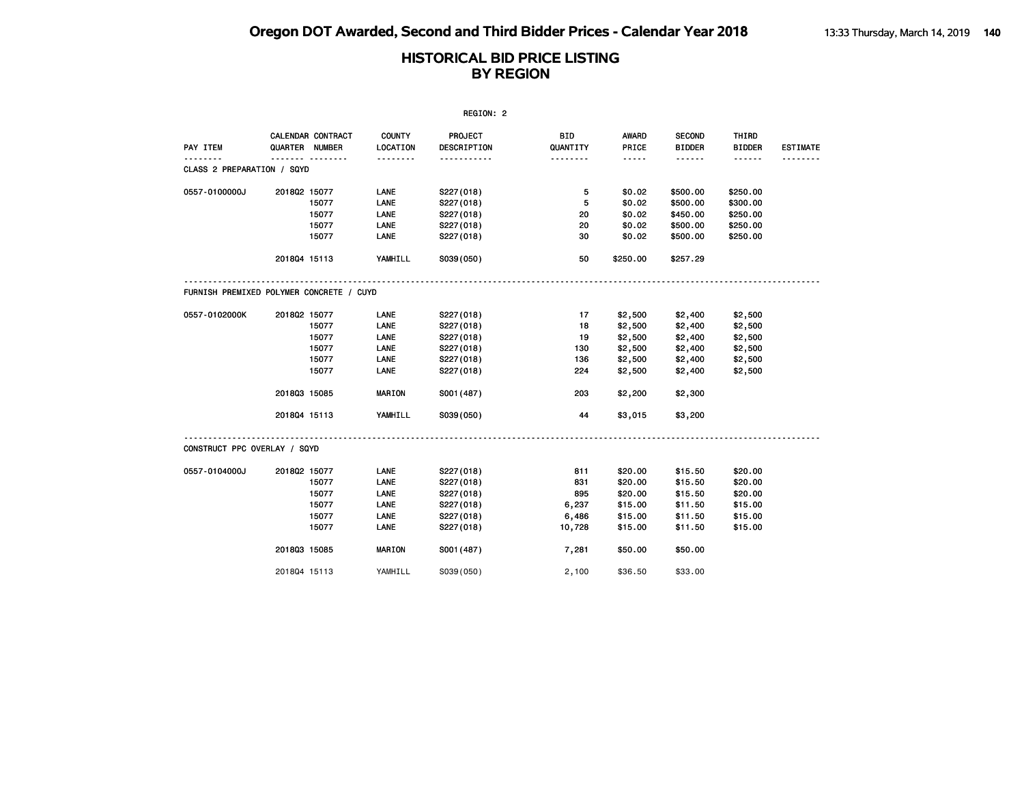|                                          |              |                                     |                           | REGION: 2                     |                        |                                                                                                                           |                                |                        |                 |
|------------------------------------------|--------------|-------------------------------------|---------------------------|-------------------------------|------------------------|---------------------------------------------------------------------------------------------------------------------------|--------------------------------|------------------------|-----------------|
| <b>PAY ITEM</b>                          |              | CALENDAR CONTRACT<br>QUARTER NUMBER | <b>COUNTY</b><br>LOCATION | PROJECT<br><b>DESCRIPTION</b> | <b>BID</b><br>QUANTITY | <b>AWARD</b><br>PRICE                                                                                                     | <b>SECOND</b><br><b>BIDDER</b> | THIRD<br><b>BIDDER</b> | <b>ESTIMATE</b> |
| .<br><b>CLASS 2 PREPARATION / SQYD</b>   |              | .                                   | <u>.</u>                  | <u>.</u>                      |                        | $\frac{1}{2} \left( \frac{1}{2} \right) \left( \frac{1}{2} \right) \left( \frac{1}{2} \right) \left( \frac{1}{2} \right)$ | $- - - - - -$                  | .                      | <u>.</u>        |
| 0557-0100000J                            | 201802 15077 |                                     | LANE                      | S227(018)                     | 5                      | \$0.02                                                                                                                    | \$500.00                       | \$250.00               |                 |
|                                          |              | 15077                               | LANE                      | S227(018)                     | 5                      | \$0.02                                                                                                                    | \$500.00                       | \$300.00               |                 |
|                                          |              | 15077                               | LANE                      | S227(018)                     | 20                     | \$0.02                                                                                                                    | \$450.00                       | \$250.00               |                 |
|                                          |              | 15077                               | LANE                      | S227(018)                     | 20                     | \$0.02                                                                                                                    | \$500.00                       | \$250.00               |                 |
|                                          |              | 15077                               | LANE                      | S227(018)                     | 30                     | \$0.02                                                                                                                    | \$500.00                       | \$250.00               |                 |
|                                          | 201804 15113 |                                     | YAMHILL                   | S039(050)                     | 50                     | \$250.00                                                                                                                  | \$257.29                       |                        |                 |
| FURNISH PREMIXED POLYMER CONCRETE / CUYD |              |                                     |                           |                               |                        |                                                                                                                           |                                |                        |                 |
| 0557-0102000K                            | 201802 15077 |                                     | LANE                      | S227(018)                     | 17                     | \$2,500                                                                                                                   | \$2,400                        | \$2,500                |                 |
|                                          |              | 15077                               | LANE                      | S227(018)                     | 18                     | \$2,500                                                                                                                   | \$2,400                        | \$2,500                |                 |
|                                          |              | 15077                               | LANE                      | S227(018)                     | 19                     | \$2,500                                                                                                                   | \$2,400                        | \$2,500                |                 |
|                                          |              | 15077                               | LANE                      | S227(018)                     | 130                    | \$2,500                                                                                                                   | \$2,400                        | \$2,500                |                 |
|                                          |              | 15077                               | LANE                      | S227(018)                     | 136                    | \$2,500                                                                                                                   | \$2,400                        | \$2,500                |                 |
|                                          |              | 15077                               | LANE                      | S227(018)                     | 224                    | \$2,500                                                                                                                   | \$2,400                        | \$2,500                |                 |
|                                          | 201803 15085 |                                     | <b>MARION</b>             | S001 (487)                    | 203                    | \$2,200                                                                                                                   | \$2,300                        |                        |                 |
|                                          | 201804 15113 |                                     | YAMHILL                   | S039(050)                     | 44                     | \$3,015                                                                                                                   | \$3,200                        |                        |                 |
| CONSTRUCT PPC OVERLAY / SQYD             |              |                                     |                           |                               |                        |                                                                                                                           |                                |                        |                 |
| 0557-0104000J                            | 201802 15077 |                                     | LANE                      | S227(018)                     | 811                    | \$20.00                                                                                                                   | \$15.50                        | \$20.00                |                 |
|                                          |              | 15077                               | LANE                      | S227(018)                     | 831                    | \$20.00                                                                                                                   | \$15.50                        | \$20.00                |                 |
|                                          |              | 15077                               | LANE                      | S227(018)                     | 895                    | \$20.00                                                                                                                   | \$15.50                        | \$20.00                |                 |
|                                          |              | 15077                               | LANE                      | S227(018)                     | 6,237                  | \$15.00                                                                                                                   | \$11.50                        | \$15.00                |                 |
|                                          |              | 15077                               | LANE                      | S227(018)                     | 6,486                  | \$15.00                                                                                                                   | \$11.50                        | \$15.00                |                 |
|                                          |              | 15077                               | LANE                      | S227(018)                     | 10,728                 | \$15.00                                                                                                                   | \$11.50                        | \$15.00                |                 |
|                                          | 201803 15085 |                                     | <b>MARION</b>             | S001 (487)                    | 7,281                  | \$50.00                                                                                                                   | \$50.00                        |                        |                 |
|                                          | 201804 15113 |                                     | YAMHILL                   | S039(050)                     | 2,100                  | \$36.50                                                                                                                   | \$33.00                        |                        |                 |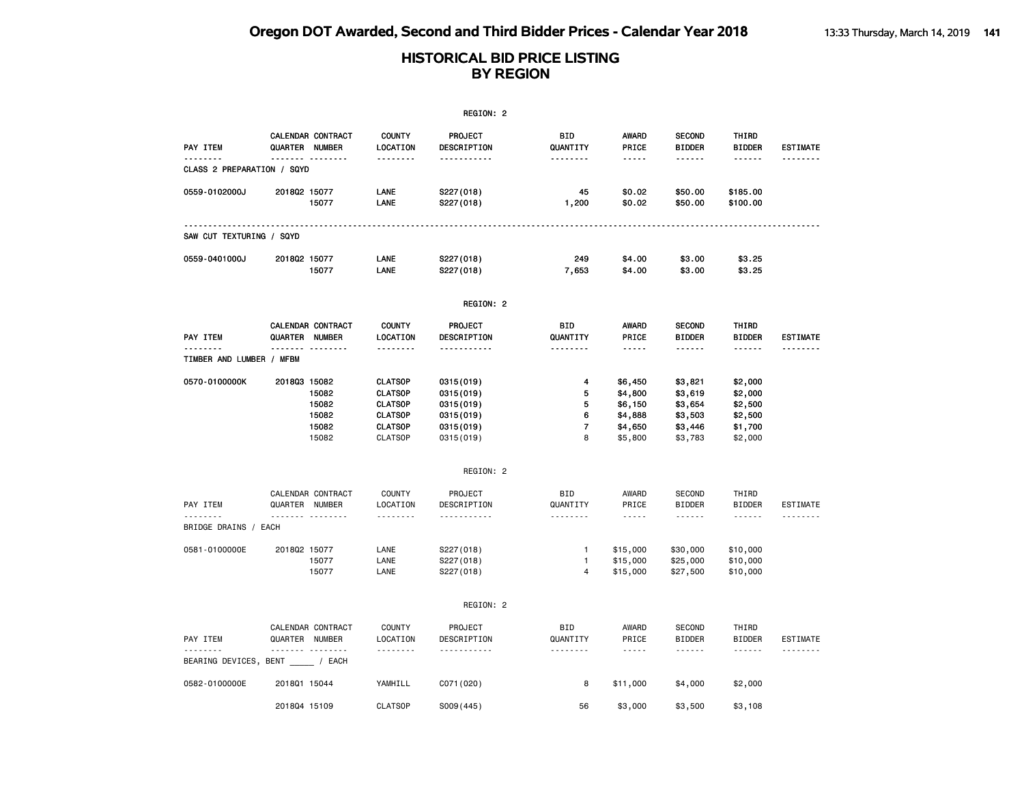|                                              |              |                                                 |                                                                                                          | REGION: 2                                                                        |                                         |                                                                |                                                                |                                                                |                             |
|----------------------------------------------|--------------|-------------------------------------------------|----------------------------------------------------------------------------------------------------------|----------------------------------------------------------------------------------|-----------------------------------------|----------------------------------------------------------------|----------------------------------------------------------------|----------------------------------------------------------------|-----------------------------|
| PAY ITEM                                     |              | CALENDAR CONTRACT<br>QUARTER NUMBER             | <b>COUNTY</b><br>LOCATION                                                                                | <b>PROJECT</b><br>DESCRIPTION<br><u>.</u>                                        | BID<br>QUANTITY                         | <b>AWARD</b><br>PRICE<br>-----                                 | <b>SECOND</b><br><b>BIDDER</b>                                 | THIRD<br><b>BIDDER</b>                                         | <b>ESTIMATE</b><br><u>.</u> |
| CLASS 2 PREPARATION / SQYD                   |              |                                                 | .                                                                                                        |                                                                                  | .                                       |                                                                | ------                                                         | ------                                                         |                             |
| 0559-0102000J                                | 201802 15077 | 15077                                           | LANE<br>LANE                                                                                             | S227(018)<br>S227(018)                                                           | 45<br>1,200                             | \$0.02<br>\$0.02                                               | \$50.00<br>\$50.00                                             | \$185.00<br>\$100.00                                           |                             |
| SAW CUT TEXTURING / SQYD                     |              |                                                 |                                                                                                          |                                                                                  |                                         |                                                                |                                                                |                                                                |                             |
| 0559-0401000J                                | 201802 15077 | 15077                                           | LANE<br>LANE                                                                                             | S227(018)<br>S227(018)                                                           | 249<br>7,653                            | \$4.00<br>\$4.00                                               | \$3.00<br>\$3.00                                               | \$3.25<br>\$3.25                                               |                             |
|                                              |              |                                                 |                                                                                                          | REGION: 2                                                                        |                                         |                                                                |                                                                |                                                                |                             |
| PAY ITEM                                     |              | CALENDAR CONTRACT<br>QUARTER NUMBER<br>.        | <b>COUNTY</b><br>LOCATION<br><u>.</u>                                                                    | PROJECT<br>DESCRIPTION<br>.                                                      | BID<br>QUANTITY<br><u>.</u>             | <b>AWARD</b><br>PRICE<br>-----                                 | <b>SECOND</b><br><b>BIDDER</b><br>------                       | THIRD<br><b>BIDDER</b><br>------                               | <b>ESTIMATE</b><br>-------- |
| TIMBER AND LUMBER / MFBM                     |              |                                                 |                                                                                                          |                                                                                  |                                         |                                                                |                                                                |                                                                |                             |
| 0570-0100000K                                | 201803 15082 | 15082<br>15082<br>15082<br>15082<br>15082       | <b>CLATSOP</b><br><b>CLATSOP</b><br><b>CLATSOP</b><br><b>CLATSOP</b><br><b>CLATSOP</b><br><b>CLATSOP</b> | 0315 (019)<br>0315 (019)<br>0315 (019)<br>0315 (019)<br>0315 (019)<br>0315 (019) | 4<br>5<br>5<br>6<br>$\overline{7}$<br>8 | \$6,450<br>\$4,800<br>\$6,150<br>\$4,888<br>\$4,650<br>\$5,800 | \$3,821<br>\$3,619<br>\$3,654<br>\$3,503<br>\$3,446<br>\$3,783 | \$2,000<br>\$2,000<br>\$2,500<br>\$2,500<br>\$1,700<br>\$2,000 |                             |
|                                              |              |                                                 |                                                                                                          | REGION: 2                                                                        |                                         |                                                                |                                                                |                                                                |                             |
| PAY ITEM<br>--------<br>BRIDGE DRAINS / EACH |              | CALENDAR CONTRACT<br>QUARTER NUMBER<br><u></u>  | COUNTY<br>LOCATION<br><u>.</u>                                                                           | PROJECT<br>DESCRIPTION<br><u>.</u>                                               | BID<br>QUANTITY<br><u>.</u>             | AWARD<br>PRICE<br>$- - - - -$                                  | <b>SECOND</b><br><b>BIDDER</b>                                 | THIRD<br><b>BIDDER</b><br>$- - - - - -$                        | <b>ESTIMATE</b>             |
| 0581-0100000E                                | 201802 15077 | 15077<br>15077                                  | LANE<br>LANE<br>LANE                                                                                     | S227(018)<br>S227 (018)<br>S227(018)                                             | $\mathbf{1}$<br>$\mathbf{1}$<br>4       | \$15,000<br>\$15,000<br>\$15,000                               | \$30,000<br>\$25,000<br>\$27,500                               | \$10,000<br>\$10,000<br>\$10,000                               |                             |
|                                              |              |                                                 |                                                                                                          | REGION: 2                                                                        |                                         |                                                                |                                                                |                                                                |                             |
| PAY ITEM<br>.                                |              | CALENDAR CONTRACT<br>QUARTER NUMBER<br><u>.</u> | COUNTY<br>LOCATION<br><u>.</u>                                                                           | PROJECT<br>DESCRIPTION<br><u> - - - - - - - - - -</u>                            | BID<br>QUANTITY<br>.                    | AWARD<br>PRICE<br>$- - - - -$                                  | <b>SECOND</b><br><b>BIDDER</b><br>------                       | THIRD<br><b>BIDDER</b><br>------                               | <b>ESTIMATE</b><br>-------- |
| BEARING DEVICES, BENT / EACH                 |              |                                                 |                                                                                                          |                                                                                  |                                         |                                                                |                                                                |                                                                |                             |
| 0582-0100000E                                | 201801 15044 |                                                 | YAMHILL                                                                                                  | C071 (020)                                                                       | 8                                       | \$11,000                                                       | \$4,000                                                        | \$2,000                                                        |                             |
|                                              | 201804 15109 |                                                 | <b>CLATSOP</b>                                                                                           | S009(445)                                                                        | 56                                      | \$3,000                                                        | \$3,500                                                        | \$3,108                                                        |                             |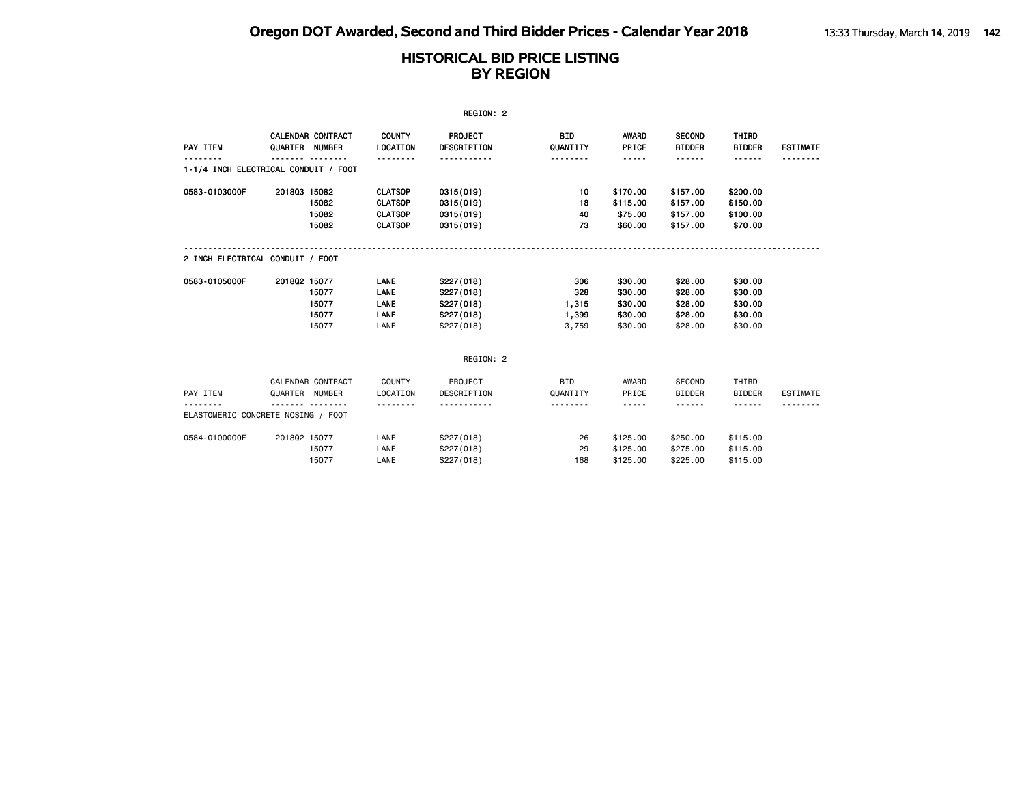| REGION: 2                            |              |                                            |                           |                                      |                 |                |                                |                        |                 |  |
|--------------------------------------|--------------|--------------------------------------------|---------------------------|--------------------------------------|-----------------|----------------|--------------------------------|------------------------|-----------------|--|
| PAY ITEM                             |              | <b>CALENDAR CONTRACT</b><br>QUARTER NUMBER | <b>COUNTY</b><br>LOCATION | <b>PROJECT</b><br><b>DESCRIPTION</b> | BID<br>QUANTITY | AWARD<br>PRICE | <b>SECOND</b><br><b>BIDDER</b> | THIRD<br><b>BIDDER</b> | <b>ESTIMATE</b> |  |
| 1-1/4 INCH ELECTRICAL CONDUIT / FOOT |              |                                            |                           |                                      |                 | -----          | ------                         |                        |                 |  |
| 0583-0103000F                        | 201803 15082 |                                            | <b>CLATSOP</b>            | 0315 (019)                           | 10              | \$170.00       | \$157.00                       | \$200.00               |                 |  |
|                                      |              | 15082                                      | <b>CLATSOP</b>            | 0315 (019)                           | 18              | \$115.00       | \$157.00                       | \$150.00               |                 |  |
|                                      |              | 15082                                      | <b>CLATSOP</b>            | 0315 (019)                           | 40              | \$75.00        | \$157.00                       | \$100.00               |                 |  |
|                                      |              | 15082                                      | <b>CLATSOP</b>            | 0315 (019)                           | 73              | \$60.00        | \$157.00                       | \$70.00                |                 |  |
|                                      |              |                                            |                           |                                      |                 |                |                                |                        |                 |  |
| 2 INCH ELECTRICAL CONDUIT / FOOT     |              |                                            |                           |                                      |                 |                |                                |                        |                 |  |
| 0583-0105000F                        | 201802 15077 |                                            | LANE                      | S227(018)                            | 306             | \$30.00        | \$28.00                        | \$30.00                |                 |  |
|                                      |              | 15077                                      | LANE                      | S227(018)                            | 328             | \$30.00        | \$28.00                        | \$30.00                |                 |  |
|                                      |              | 15077                                      | LANE                      | S227(018)                            | 1,315           | \$30.00        | \$28.00                        | \$30.00                |                 |  |
|                                      |              | 15077                                      | LANE                      | S227(018)                            | 1,399           | \$30.00        | \$28.00                        | \$30.00                |                 |  |
|                                      |              | 15077                                      | LANE                      | S227(018)                            | 3,759           | \$30.00        | \$28.00                        | \$30.00                |                 |  |
|                                      |              |                                            |                           | REGION: 2                            |                 |                |                                |                        |                 |  |

|                               | CALENDAR CONTRACT | <b>COUNTY</b> | PROJECT     | BID      | AWARD    | SECOND        | THIRD         |          |
|-------------------------------|-------------------|---------------|-------------|----------|----------|---------------|---------------|----------|
| PAY ITEM                      | NUMBER<br>QUARTER | LOCATION      | DESCRIPTION | QUANTITY | PRICE    | <b>BIDDER</b> | <b>BIDDER</b> | ESTIMATE |
| --------                      | -------           | --------      | ----------- | -------- | -----    | ------        | ------        | -------- |
| ELASTOMERIC CONCRETE NOSING / | <b>FOOT</b>       |               |             |          |          |               |               |          |
|                               |                   |               |             |          |          |               |               |          |
| 0584-0100000F                 | 201802 15077      | LANE          | S227(018)   | 26       | \$125,00 | \$250,00      | \$115,00      |          |
|                               | 15077             | LANE          | S227(018)   | 29       | \$125,00 | \$275,00      | \$115,00      |          |
|                               | 15077             | LANE          | S227(018)   | 168      | \$125,00 | \$225,00      | \$115,00      |          |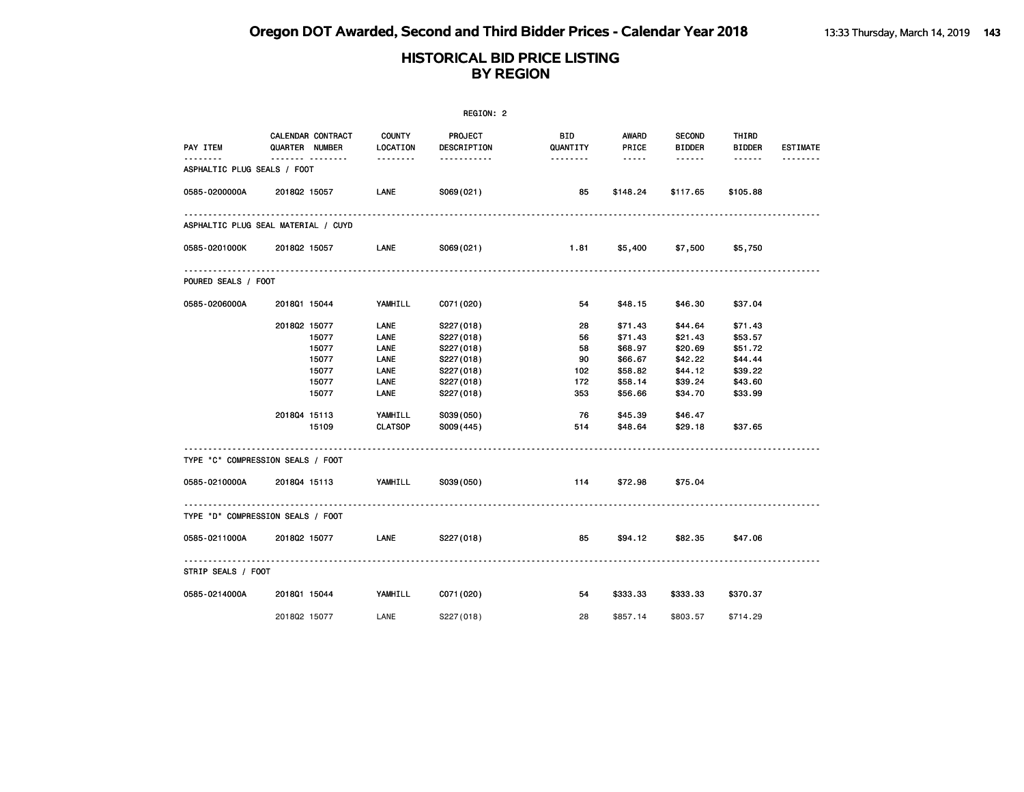|                                         |                                                                                                                                                  |                                                                                                     | REGION: 2                                                                                                                      |                                                               |                                                                                                            |                                                                                                            |                                                                                      |                 |
|-----------------------------------------|--------------------------------------------------------------------------------------------------------------------------------------------------|-----------------------------------------------------------------------------------------------------|--------------------------------------------------------------------------------------------------------------------------------|---------------------------------------------------------------|------------------------------------------------------------------------------------------------------------|------------------------------------------------------------------------------------------------------------|--------------------------------------------------------------------------------------|-----------------|
| PAY ITEM                                | CALENDAR CONTRACT<br>QUARTER NUMBER                                                                                                              | <b>COUNTY</b><br>LOCATION                                                                           | <b>PROJECT</b><br>DESCRIPTION                                                                                                  | <b>BID</b><br>QUANTITY                                        | AWARD<br>PRICE                                                                                             | <b>SECOND</b><br><b>BIDDER</b>                                                                             | THIRD<br><b>BIDDER</b>                                                               | <b>ESTIMATE</b> |
| <u>.</u><br>ASPHALTIC PLUG SEALS / FOOT | ------- --------                                                                                                                                 |                                                                                                     | <u>.</u>                                                                                                                       | 1.1.1.1.1.1.1                                                 | $\cdots \cdots$                                                                                            | $- - - - - -$                                                                                              | $- - - - - -$                                                                        |                 |
| 0585-0200000A                           | 201802 15057                                                                                                                                     | LANE                                                                                                | S069(021)                                                                                                                      | 85                                                            | \$148.24                                                                                                   | \$117.65                                                                                                   | \$105.88                                                                             |                 |
|                                         | ASPHALTIC PLUG SEAL MATERIAL / CUYD                                                                                                              |                                                                                                     |                                                                                                                                |                                                               |                                                                                                            |                                                                                                            |                                                                                      |                 |
|                                         | 0585-0201000K 2018Q2 15057                                                                                                                       | LANE                                                                                                | S069(021)                                                                                                                      |                                                               |                                                                                                            | 1.81 \$5,400 \$7,500                                                                                       | \$5,750                                                                              |                 |
| POURED SEALS / FOOT                     |                                                                                                                                                  |                                                                                                     |                                                                                                                                |                                                               |                                                                                                            |                                                                                                            |                                                                                      |                 |
| 0585-0206000A                           | 201801 15044                                                                                                                                     | YAMHILL                                                                                             | C071 (020)                                                                                                                     | 54                                                            | \$48.15                                                                                                    | \$46.30                                                                                                    | \$37.04                                                                              |                 |
| 0585-0210000A                           | 2018Q2 15077<br>15077<br>15077<br>15077<br>15077<br>15077<br>15077<br>201804 15113<br>15109<br>TYPE "C" COMPRESSION SEALS / FOOT<br>201804 15113 | LANE<br><b>LANE</b><br>LANE<br>LANE<br>LANE<br>LANE<br>LANE<br>YAMHILL<br><b>CLATSOP</b><br>YAMHILL | S227(018)<br>S227(018)<br>S227(018)<br>S227(018)<br>S227(018)<br>S227(018)<br>S227(018)<br>S039(050)<br>S009(445)<br>S039(050) | 28<br>56<br>58<br>90<br>102<br>172<br>353<br>76<br>514<br>114 | \$71.43<br>\$71.43<br>\$68.97<br>\$66.67<br>\$58.82<br>\$58.14<br>\$56.66<br>\$45.39<br>\$48.64<br>\$72.98 | \$44.64<br>\$21.43<br>\$20.69<br>\$42.22<br>\$44.12<br>\$39.24<br>\$34.70<br>\$46.47<br>\$29.18<br>\$75.04 | \$71.43<br>\$53.57<br>\$51.72<br>\$44.44<br>\$39.22<br>\$43.60<br>\$33.99<br>\$37.65 |                 |
|                                         |                                                                                                                                                  |                                                                                                     |                                                                                                                                |                                                               |                                                                                                            |                                                                                                            |                                                                                      |                 |
|                                         | TYPE "D" COMPRESSION SEALS / FOOT                                                                                                                |                                                                                                     |                                                                                                                                |                                                               |                                                                                                            |                                                                                                            |                                                                                      |                 |
| 0585-0211000A                           | 201802 15077                                                                                                                                     | LANE                                                                                                | S227(018)                                                                                                                      | 85                                                            | \$94.12                                                                                                    | \$82.35                                                                                                    | \$47.06                                                                              |                 |
| STRIP SEALS / FOOT                      |                                                                                                                                                  |                                                                                                     |                                                                                                                                |                                                               |                                                                                                            |                                                                                                            |                                                                                      |                 |
| 0585-0214000A                           | 201801 15044                                                                                                                                     | YAMHILL                                                                                             | C071 (020)                                                                                                                     | 54                                                            | \$333.33                                                                                                   | \$333.33                                                                                                   | \$370.37                                                                             |                 |
|                                         | 201802 15077                                                                                                                                     | LANE                                                                                                | S227(018)                                                                                                                      | 28                                                            | \$857.14                                                                                                   | \$803.57                                                                                                   | \$714.29                                                                             |                 |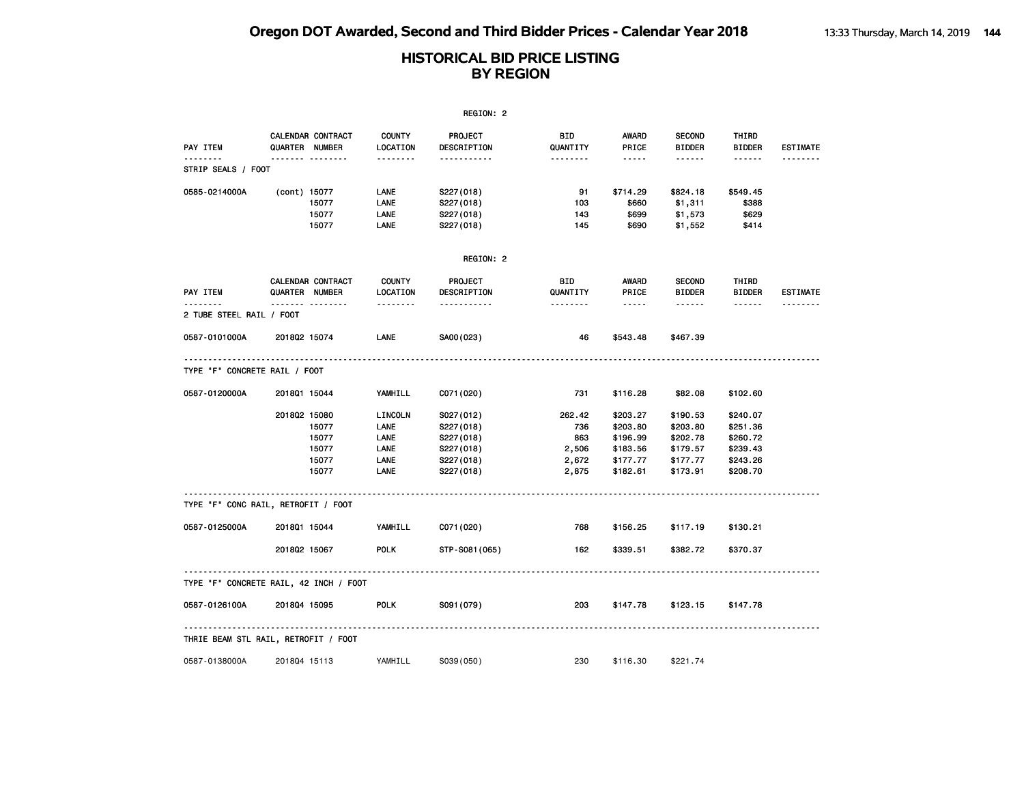| REGION: 2                                 |                              |                                           |                                                 |                                                                            |                                                 |                                                                      |                                                                      |                                                                      |                             |
|-------------------------------------------|------------------------------|-------------------------------------------|-------------------------------------------------|----------------------------------------------------------------------------|-------------------------------------------------|----------------------------------------------------------------------|----------------------------------------------------------------------|----------------------------------------------------------------------|-----------------------------|
| PAY ITEM                                  |                              | CALENDAR CONTRACT<br>QUARTER NUMBER       | <b>COUNTY</b><br>LOCATION                       | PROJECT<br>DESCRIPTION                                                     | BID<br>QUANTITY                                 | AWARD<br>PRICE                                                       | <b>SECOND</b><br><b>BIDDER</b>                                       | THIRD<br><b>BIDDER</b>                                               | <b>ESTIMATE</b>             |
| STRIP SEALS / FOOT                        |                              | .                                         | .                                               | -----------                                                                | --------                                        | -----                                                                | ------                                                               | ------                                                               |                             |
| 0585-0214000A                             | (cont) 15077                 | 15077<br>15077<br>15077                   | LANE<br>LANE<br>LANE<br>LANE                    | S227(018)<br>S227(018)<br>S227(018)<br>S227(018)                           | 91<br>103<br>143<br>145                         | \$714.29<br>\$660<br>\$699<br>\$690                                  | \$824.18<br>\$1,311<br>\$1,573<br>\$1,552                            | \$549.45<br>\$388<br>\$629<br>\$414                                  |                             |
|                                           |                              |                                           |                                                 | REGION: 2                                                                  |                                                 |                                                                      |                                                                      |                                                                      |                             |
| PAY ITEM<br><u>.</u>                      |                              | CALENDAR CONTRACT<br>QUARTER NUMBER<br>   | <b>COUNTY</b><br>LOCATION<br><u>.</u>           | PROJECT<br>DESCRIPTION<br>-----------                                      | BID<br>QUANTITY<br><u>.</u>                     | AWARD<br>PRICE<br>$- - - - -$                                        | <b>SECOND</b><br><b>BIDDER</b>                                       | THIRD<br><b>BIDDER</b><br>$- - - - - -$                              | <b>ESTIMATE</b><br><u>.</u> |
| 2 TUBE STEEL RAIL / FOOT<br>0587-0101000A | 201802 15074                 |                                           | LANE                                            | SA00(023)                                                                  | 46                                              | \$543.48                                                             | \$467.39                                                             |                                                                      |                             |
| TYPE "F" CONCRETE RAIL / FOOT             |                              |                                           |                                                 |                                                                            |                                                 |                                                                      |                                                                      |                                                                      |                             |
| 0587-0120000A                             | 201801 15044                 |                                           | YAMHILL                                         | C071 (020)                                                                 | 731                                             | \$116.28                                                             | \$82.08                                                              | \$102.60                                                             |                             |
|                                           | 201802 15080                 | 15077<br>15077<br>15077<br>15077<br>15077 | LINCOLN<br>LANE<br>LANE<br>LANE<br>LANE<br>LANE | S027(012)<br>S227(018)<br>S227(018)<br>S227(018)<br>S227(018)<br>S227(018) | 262.42<br>736<br>863<br>2,506<br>2,672<br>2,875 | \$203.27<br>\$203.80<br>\$196.99<br>\$183.56<br>\$177.77<br>\$182.61 | \$190.53<br>\$203.80<br>\$202.78<br>\$179.57<br>\$177.77<br>\$173.91 | \$240.07<br>\$251.36<br>\$260.72<br>\$239.43<br>\$243.26<br>\$208.70 |                             |
| TYPE "F" CONC RAIL, RETROFIT / FOOT       |                              |                                           |                                                 |                                                                            |                                                 |                                                                      |                                                                      |                                                                      |                             |
| 0587-0125000A                             | 201801 15044<br>201802 15067 |                                           | YAMHILL<br><b>POLK</b>                          | C071 (020)<br>STP-S081 (065)                                               | 768<br>162                                      | \$156.25<br>\$339.51                                                 | \$117.19<br>\$382.72                                                 | \$130.21<br>\$370.37                                                 |                             |
| TYPE "F" CONCRETE RAIL, 42 INCH / FOOT    |                              |                                           |                                                 |                                                                            |                                                 |                                                                      |                                                                      |                                                                      |                             |
| 0587-0126100A                             | 201804 15095                 |                                           | <b>POLK</b>                                     | S091 (079)                                                                 | 203                                             | \$147.78                                                             | \$123.15                                                             | \$147.78                                                             |                             |
| THRIE BEAM STL RAIL, RETROFIT / FOOT      |                              |                                           |                                                 |                                                                            |                                                 |                                                                      |                                                                      |                                                                      |                             |
| 0587-0138000A                             | 201804 15113                 |                                           | YAMHILL                                         | S039(050)                                                                  | 230                                             | \$116.30                                                             | \$221.74                                                             |                                                                      |                             |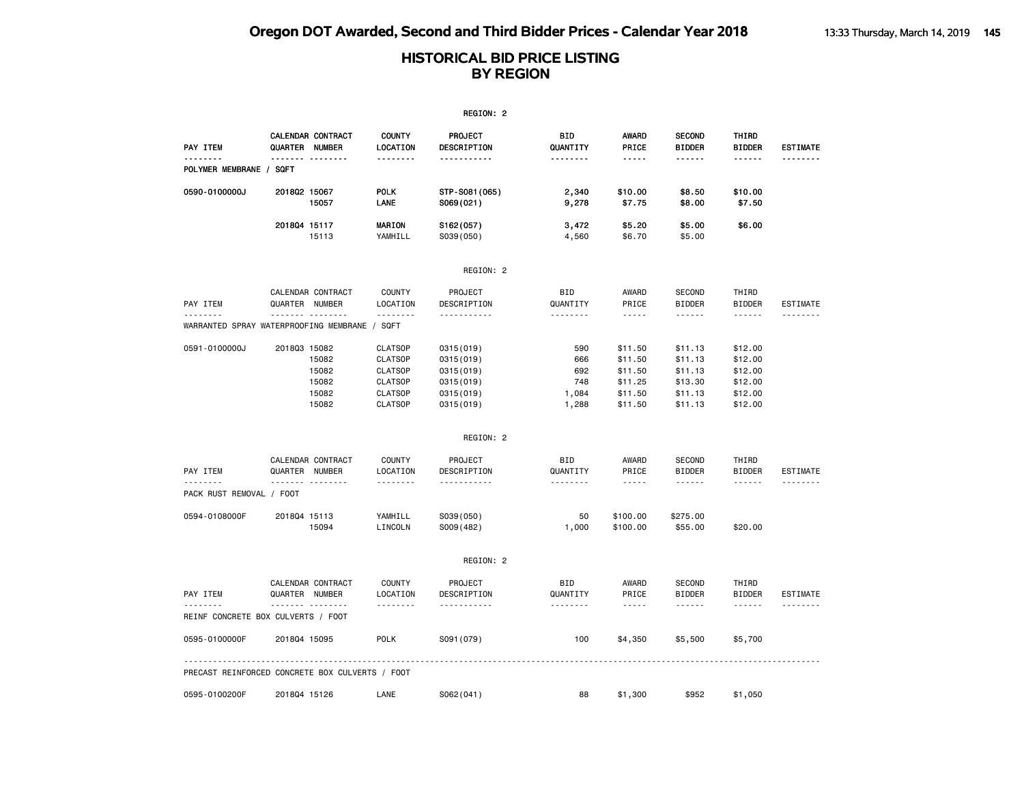|                                                 |                |                                           |                                                                                                          | REGION: 2                                                                       |                                            |                                                                                                                                                      |                                                                |                                                                |                 |
|-------------------------------------------------|----------------|-------------------------------------------|----------------------------------------------------------------------------------------------------------|---------------------------------------------------------------------------------|--------------------------------------------|------------------------------------------------------------------------------------------------------------------------------------------------------|----------------------------------------------------------------|----------------------------------------------------------------|-----------------|
| PAY ITEM                                        | QUARTER        | <b>CALENDAR CONTRACT</b><br><b>NUMBER</b> | <b>COUNTY</b><br>LOCATION                                                                                | PROJECT<br>DESCRIPTION                                                          | <b>BID</b><br>QUANTITY                     | <b>AWARD</b><br>PRICE                                                                                                                                | <b>SECOND</b><br><b>BIDDER</b>                                 | THIRD<br><b>BIDDER</b>                                         | <b>ESTIMATE</b> |
| . <b>.</b><br>POLYMER MEMBRANE /                | SQFT           | <b>.</b>                                  | <u>.</u>                                                                                                 | .                                                                               | <u>.</u>                                   | -----                                                                                                                                                | ------                                                         | ------                                                         | <u>.</u>        |
| 0590-0100000J                                   | 201802 15067   | 15057                                     | <b>POLK</b><br>LANE                                                                                      | STP-S081 (065)<br>S069(021)                                                     | 2,340<br>9,278                             | \$10.00<br>\$7.75                                                                                                                                    | \$8.50<br>\$8.00                                               | \$10.00<br>\$7.50                                              |                 |
|                                                 | 201804 15117   | 15113                                     | <b>MARION</b><br>YAMHILL                                                                                 | S162(057)<br>S039(050)                                                          | 3,472<br>4,560                             | \$5.20<br>\$6.70                                                                                                                                     | \$5.00<br>\$5.00                                               | \$6.00                                                         |                 |
|                                                 |                |                                           |                                                                                                          | REGION: 2                                                                       |                                            |                                                                                                                                                      |                                                                |                                                                |                 |
| PAY ITEM                                        | QUARTER NUMBER | CALENDAR CONTRACT                         | <b>COUNTY</b><br>LOCATION                                                                                | PROJECT<br>DESCRIPTION                                                          | <b>BID</b><br>QUANTITY                     | AWARD<br>PRICE                                                                                                                                       | <b>SECOND</b><br><b>BIDDER</b>                                 | THIRD<br><b>BIDDER</b>                                         | <b>ESTIMATE</b> |
| WARRANTED SPRAY WATERPROOFING MEMBRANE / SQFT   |                | . <sub>.</sub>                            | .                                                                                                        | <u>.</u>                                                                        | .                                          | $\frac{1}{2} \left( \frac{1}{2} \right) \left( \frac{1}{2} \right) \left( \frac{1}{2} \right) \left( \frac{1}{2} \right) \left( \frac{1}{2} \right)$ | $- - - - - -$                                                  | $- - - - - -$                                                  |                 |
| 0591-0100000J                                   | 201803 15082   | 15082<br>15082<br>15082<br>15082<br>15082 | <b>CLATSOP</b><br><b>CLATSOP</b><br><b>CLATSOP</b><br><b>CLATSOP</b><br><b>CLATSOP</b><br><b>CLATSOP</b> | 0315 (019)<br>0315(019)<br>0315 (019)<br>0315 (019)<br>0315 (019)<br>0315 (019) | 590<br>666<br>692<br>748<br>1,084<br>1,288 | \$11.50<br>\$11.50<br>\$11.50<br>\$11.25<br>\$11.50<br>\$11.50                                                                                       | \$11.13<br>\$11.13<br>\$11.13<br>\$13.30<br>\$11.13<br>\$11.13 | \$12.00<br>\$12.00<br>\$12.00<br>\$12.00<br>\$12.00<br>\$12.00 |                 |
|                                                 |                |                                           |                                                                                                          | REGION: 2                                                                       |                                            |                                                                                                                                                      |                                                                |                                                                |                 |
| PAY ITEM                                        | QUARTER NUMBER | CALENDAR CONTRACT                         | <b>COUNTY</b><br>LOCATION                                                                                | PROJECT<br>DESCRIPTION                                                          | BID<br>QUANTITY                            | AWARD<br>PRICE                                                                                                                                       | <b>SECOND</b><br><b>BIDDER</b>                                 | THIRD<br><b>BIDDER</b>                                         | <b>ESTIMATE</b> |
| .<br>PACK RUST REMOVAL / FOOT                   | .              | . <b>.</b>                                | .                                                                                                        | .                                                                               | .                                          | $- - - -$                                                                                                                                            |                                                                | ------                                                         | .               |
| 0594-0108000F                                   | 201804 15113   | 15094                                     | YAMHILL<br>LINCOLN                                                                                       | S039(050)<br>S009(482)                                                          | 50<br>1,000                                | \$100.00<br>\$100.00                                                                                                                                 | \$275.00<br>\$55.00                                            | \$20.00                                                        |                 |
|                                                 |                |                                           |                                                                                                          | REGION: 2                                                                       |                                            |                                                                                                                                                      |                                                                |                                                                |                 |
| PAY ITEM                                        | QUARTER NUMBER | CALENDAR CONTRACT                         | <b>COUNTY</b><br>LOCATION                                                                                | PROJECT<br>DESCRIPTION                                                          | <b>BID</b><br>QUANTITY                     | AWARD<br>PRICE                                                                                                                                       | <b>SECOND</b><br><b>BIDDER</b>                                 | THIRD<br><b>BIDDER</b>                                         | <b>ESTIMATE</b> |
| .<br>REINF CONCRETE BOX CULVERTS / FOOT         |                | .                                         | .                                                                                                        | .                                                                               | .                                          | $- - - - -$                                                                                                                                          | $\cdots\cdots\cdots$                                           | ------                                                         | .               |
| 0595-0100000F                                   | 201804 15095   |                                           | <b>POLK</b>                                                                                              | S091 (079)                                                                      | 100                                        | \$4,350                                                                                                                                              | \$5,500                                                        | \$5,700                                                        |                 |
| PRECAST REINFORCED CONCRETE BOX CULVERTS / FOOT |                |                                           |                                                                                                          |                                                                                 |                                            |                                                                                                                                                      |                                                                |                                                                |                 |
| 0595-0100200F                                   | 201804 15126   |                                           | LANE                                                                                                     | S062(041)                                                                       | 88                                         | \$1,300                                                                                                                                              | \$952                                                          | \$1,050                                                        |                 |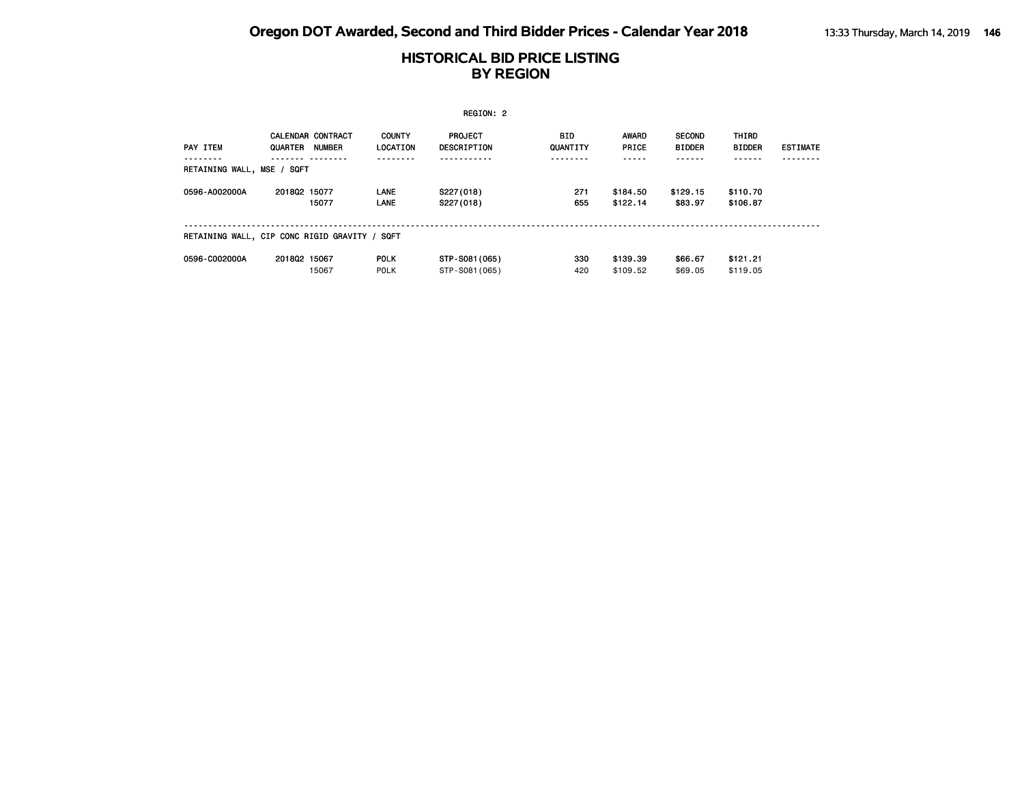**Oregon DOT Awarded, Second and Third Bidder Prices - Calendar Year 2018** 13:33 Thursday, March 14, 2019 146

| REGION: 2                                     |              |                          |               |                    |          |              |               |               |                 |  |  |
|-----------------------------------------------|--------------|--------------------------|---------------|--------------------|----------|--------------|---------------|---------------|-----------------|--|--|
|                                               |              | <b>CALENDAR CONTRACT</b> | <b>COUNTY</b> | PROJECT            | BID.     | <b>AWARD</b> | <b>SECOND</b> | THIRD         |                 |  |  |
| PAY ITEM                                      | QUARTER      | <b>NUMBER</b>            | LOCATION      | <b>DESCRIPTION</b> | QUANTITY | PRICE        | <b>BIDDER</b> | <b>BIDDER</b> | <b>ESTIMATE</b> |  |  |
|                                               |              |                          |               |                    |          |              |               |               |                 |  |  |
| RETAINING WALL, MSE /                         | SQFT         |                          |               |                    |          |              |               |               |                 |  |  |
| 0596-A002000A                                 | 201802 15077 |                          | LANE          | S227(018)          | 271      | \$184.50     | \$129.15      | \$110.70      |                 |  |  |
|                                               |              | 15077                    | <b>LANE</b>   | S227(018)          | 655      | \$122.14     | \$83.97       | \$106.87      |                 |  |  |
| RETAINING WALL, CIP CONC RIGID GRAVITY / SQFT |              |                          |               |                    |          |              |               |               |                 |  |  |
| 0596-C002000A                                 | 201802 15067 |                          | <b>POLK</b>   | STP-S081(065)      | 330      | \$139.39     | \$66.67       | \$121.21      |                 |  |  |
|                                               |              | 15067                    | <b>POLK</b>   | STP-S081 (065)     | 420      | \$109.52     | \$69,05       | \$119.05      |                 |  |  |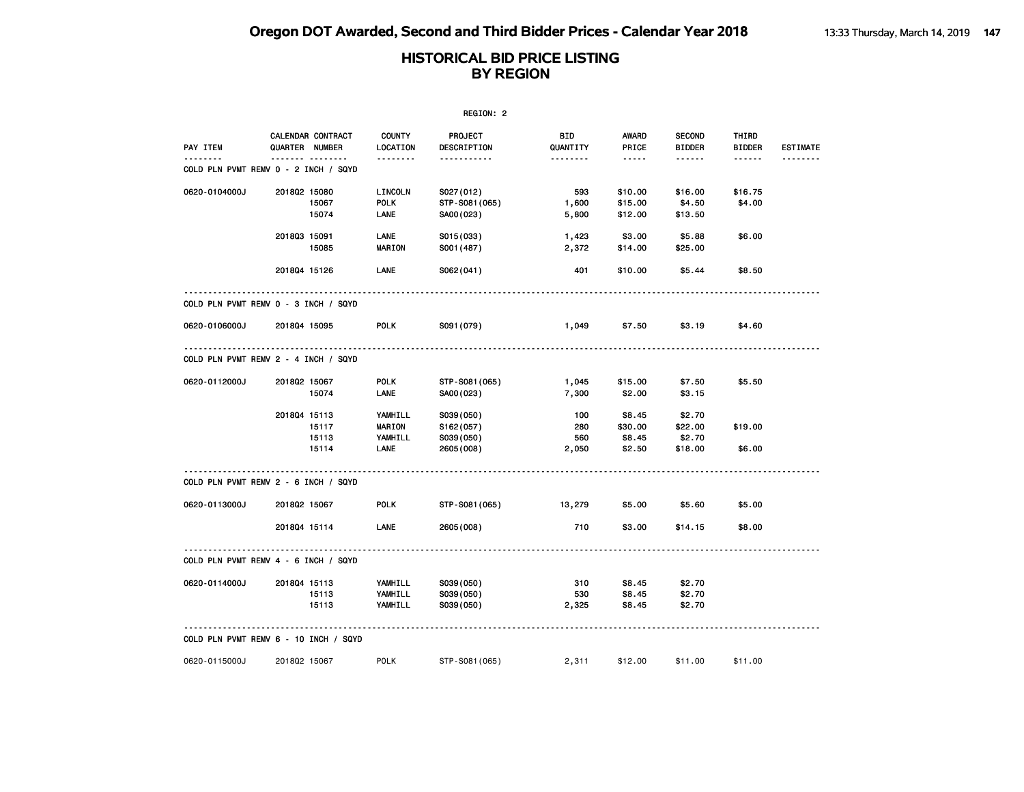|               |                                                 |                               | REGION: 2                           |                     |                                                                                                               |                                |                        |                 |
|---------------|-------------------------------------------------|-------------------------------|-------------------------------------|---------------------|---------------------------------------------------------------------------------------------------------------|--------------------------------|------------------------|-----------------|
| PAY ITEM      | CALENDAR CONTRACT<br>QUARTER NUMBER             | <b>COUNTY</b><br>LOCATION     | <b>PROJECT</b><br>DESCRIPTION       | BID<br>QUANTITY     | AWARD<br>PRICE                                                                                                | <b>SECOND</b><br><b>BIDDER</b> | THIRD<br><b>BIDDER</b> | <b>ESTIMATE</b> |
| .             | <u></u><br>COLD PLN PVMT REMV 0 - 2 INCH / SQYD | <u>.</u>                      | -----------                         | <u>.</u>            | $\frac{1}{2} \frac{1}{2} \frac{1}{2} \frac{1}{2} \frac{1}{2} \frac{1}{2} \frac{1}{2} \frac{1}{2} \frac{1}{2}$ | ------                         | $- - - - - -$          | <u>.</u>        |
| 0620-0104000J | 2018Q2 15080<br>15067                           | LINCOLN<br><b>POLK</b>        | S027(012)<br>STP-S081(065)          | 593<br>1,600        | \$10.00<br>\$15.00                                                                                            | \$16.00<br>\$4.50              | \$16.75<br>\$4.00      |                 |
|               | 15074                                           | LANE                          | SA00(023)                           | 5,800               | \$12.00                                                                                                       | \$13.50                        |                        |                 |
|               | 201803 15091<br>15085                           | LANE<br><b>MARION</b>         | S015(033)<br>S001 (487)             | 1,423<br>2,372      | \$3.00<br>\$14.00                                                                                             | \$5.88<br>\$25.00              | \$6.00                 |                 |
|               | 201804 15126                                    | LANE                          | S062(041)                           | 401                 | \$10.00                                                                                                       | \$5.44                         | \$8.50                 |                 |
|               | COLD PLN PVMT REMV 0 - 3 INCH / SQYD            |                               |                                     |                     |                                                                                                               |                                |                        |                 |
| 0620-0106000J | 201804 15095                                    | <b>POLK</b>                   | S091 (079)                          | 1,049               | \$7.50                                                                                                        | \$3.19                         | \$4.60                 |                 |
|               | COLD PLN PVMT REMV 2 - 4 INCH / SQYD            |                               |                                     |                     |                                                                                                               |                                |                        |                 |
| 0620-0112000J | 201802 15067<br>15074                           | <b>POLK</b><br>LANE           | STP-S081(065)<br>SA00(023)          | 1,045<br>7,300      | \$15.00<br>\$2.00                                                                                             | \$7.50<br>\$3.15               | \$5.50                 |                 |
|               | 201804 15113<br>15117                           | YAMHILL<br><b>MARION</b>      | S039(050)<br>S162(057)              | 100<br>280          | \$8.45<br>\$30.00                                                                                             | \$2.70<br>\$22.00              | \$19.00                |                 |
|               | 15113<br>15114                                  | YAMHILL<br>LANE               | S039(050)<br>2605 (008)             | 560<br>2,050        | \$8.45<br>\$2.50                                                                                              | \$2.70<br>\$18.00              | \$6.00                 |                 |
|               | COLD PLN PVMT REMV 2 - 6 INCH / SQYD            |                               |                                     |                     |                                                                                                               |                                |                        |                 |
| 0620-0113000J | 201802 15067                                    | <b>POLK</b>                   | STP-S081(065)                       | 13,279              | \$5.00                                                                                                        | \$5.60                         | \$5.00                 |                 |
|               | 201804 15114                                    | LANE                          | 2605 (008)                          | 710                 | \$3.00                                                                                                        | \$14.15                        | \$8.00                 |                 |
|               | COLD PLN PVMT REMV 4 - 6 INCH / SQYD            |                               |                                     |                     |                                                                                                               |                                |                        |                 |
| 0620-0114000J | 201804 15113<br>15113<br>15113                  | YAMHILL<br>YAMHILL<br>YAMHILL | S039(050)<br>S039(050)<br>S039(050) | 310<br>530<br>2,325 | \$8.45<br>\$8.45<br>\$8.45                                                                                    | \$2.70<br>\$2.70<br>\$2.70     |                        |                 |
|               | COLD PLN PVMT REMV 6 - 10 INCH / SQYD           |                               |                                     |                     |                                                                                                               |                                |                        |                 |
| 0620-0115000J | 201802 15067                                    | POLK                          | STP-S081(065)                       | 2,311               | \$12.00                                                                                                       | \$11.00                        | \$11.00                |                 |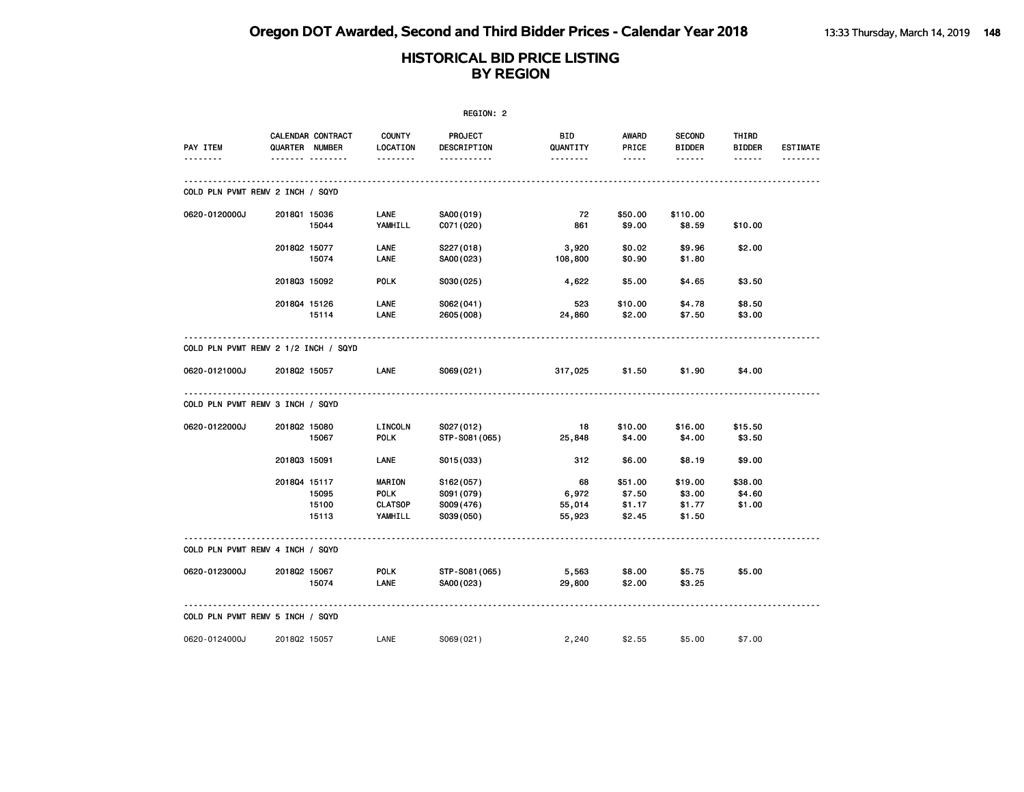**Oregon DOT Awarded, Second and Third Bidder Prices - Calendar Year 2018** 13:33 Thursday, March 14, 2019 **148**

|                                      |              |                                          |                                                           | REGION: 2                                         |                                          |                                                                                                                                             |                                       |                                  |                             |
|--------------------------------------|--------------|------------------------------------------|-----------------------------------------------------------|---------------------------------------------------|------------------------------------------|---------------------------------------------------------------------------------------------------------------------------------------------|---------------------------------------|----------------------------------|-----------------------------|
| PAY ITEM<br><u>.</u>                 |              | CALENDAR CONTRACT<br>QUARTER NUMBER<br>. | COUNTY<br>LOCATION<br><u>.</u>                            | PROJECT<br>DESCRIPTION<br>-----------             | BID<br>QUANTITY<br><u> - - - - - - -</u> | AWARD<br>PRICE<br>$\frac{1}{2} \left( \frac{1}{2} \right) \left( \frac{1}{2} \right) \left( \frac{1}{2} \right) \left( \frac{1}{2} \right)$ | <b>SECOND</b><br><b>BIDDER</b><br>.   | THIRD<br><b>BIDDER</b><br>------ | <b>ESTIMATE</b><br><u>.</u> |
| COLD PLN PVMT REMV 2 INCH / SQYD     |              |                                          |                                                           |                                                   |                                          |                                                                                                                                             |                                       |                                  |                             |
| 0620-0120000J                        | 201801 15036 | 15044                                    | LANE<br>YAMHILL                                           | SA00(019)<br>C071 (020)                           | 72<br>861                                | \$50.00<br>\$9.00                                                                                                                           | \$110.00<br>\$8.59                    | \$10.00                          |                             |
|                                      | 201802 15077 | 15074                                    | LANE<br>LANE                                              | S227(018)<br>SA00(023)                            | 3,920<br>108,800                         | \$0.02<br>\$0.90                                                                                                                            | \$9.96<br>\$1.80                      | \$2.00                           |                             |
|                                      | 201803 15092 |                                          | <b>POLK</b>                                               | S030(025)                                         | 4,622                                    | \$5.00                                                                                                                                      | \$4.65                                | \$3.50                           |                             |
|                                      | 201804 15126 | 15114                                    | LANE<br>LANE                                              | S062(041)<br>2605 (008)                           | 523<br>24,860                            | \$10.00<br>\$2.00                                                                                                                           | \$4.78<br>\$7.50                      | \$8.50<br>\$3.00                 |                             |
| COLD PLN PVMT REMV 2 1/2 INCH / SQYD |              |                                          |                                                           |                                                   |                                          |                                                                                                                                             |                                       |                                  |                             |
| 0620-0121000J                        | 201802 15057 |                                          | LANE                                                      | S069(021)                                         | 317,025                                  | \$1.50                                                                                                                                      | \$1.90                                | \$4.00                           |                             |
| COLD PLN PVMT REMV 3 INCH / SQYD     |              |                                          |                                                           |                                                   |                                          |                                                                                                                                             |                                       |                                  |                             |
| 0620-0122000J                        | 2018Q2 15080 | 15067                                    | LINCOLN<br><b>POLK</b>                                    | S027(012)<br>STP-S081(065)                        | 18<br>25,848                             | \$10.00<br>\$4.00                                                                                                                           | \$16.00<br>\$4.00                     | \$15.50<br>\$3.50                |                             |
|                                      | 201803 15091 |                                          | LANE                                                      | S015(033)                                         | 312                                      | \$6.00                                                                                                                                      | \$8.19                                | \$9.00                           |                             |
|                                      | 201804 15117 | 15095<br>15100<br>15113                  | <b>MARION</b><br><b>POLK</b><br><b>CLATSOP</b><br>YAMHILL | S162(057)<br>S091 (079)<br>S009(476)<br>S039(050) | 68<br>6,972<br>55,014<br>55,923          | \$51.00<br>\$7.50<br>\$1.17<br>\$2.45                                                                                                       | \$19.00<br>\$3.00<br>\$1.77<br>\$1.50 | \$38.00<br>\$4.60<br>\$1.00      |                             |
| COLD PLN PVMT REMV 4 INCH / SQYD     |              |                                          |                                                           |                                                   |                                          |                                                                                                                                             |                                       |                                  |                             |
| 0620-0123000J                        | 201802 15067 | 15074                                    | <b>POLK</b><br>LANE                                       | STP-S081(065)<br>SA00(023)                        | 5,563<br>29,800                          | \$8.00<br>\$2.00                                                                                                                            | \$5.75<br>\$3.25                      | \$5.00                           |                             |
| COLD PLN PVMT REMV 5 INCH / SQYD     |              |                                          |                                                           |                                                   |                                          |                                                                                                                                             |                                       |                                  |                             |
| 0620-0124000J                        | 201802 15057 |                                          | LANE                                                      | S069(021)                                         | 2,240                                    | \$2.55                                                                                                                                      | \$5.00                                | \$7.00                           |                             |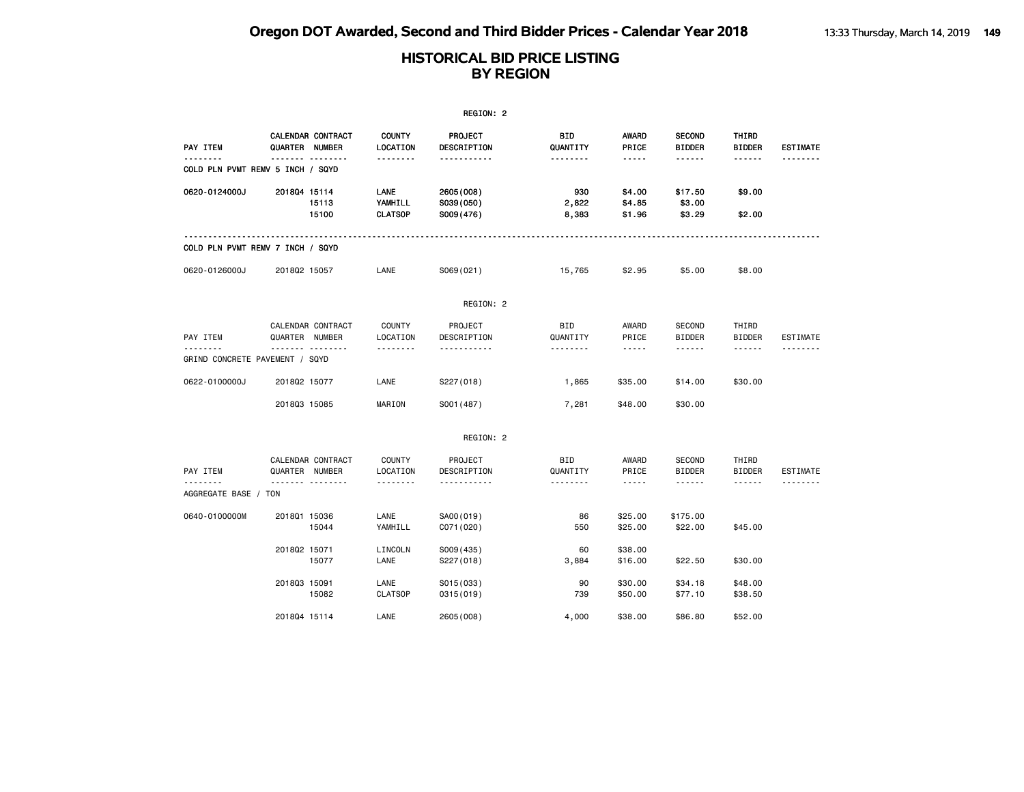|                                            |                |                   |                                   | REGION: 2                            |                        |                                    |                                |                        |                 |
|--------------------------------------------|----------------|-------------------|-----------------------------------|--------------------------------------|------------------------|------------------------------------|--------------------------------|------------------------|-----------------|
| PAY ITEM                                   | QUARTER NUMBER | CALENDAR CONTRACT | <b>COUNTY</b><br>LOCATION         | PROJECT<br>DESCRIPTION               | <b>BID</b><br>QUANTITY | <b>AWARD</b><br>PRICE              | <b>SECOND</b><br><b>BIDDER</b> | THIRD<br><b>BIDDER</b> | <b>ESTIMATE</b> |
| COLD PLN PVMT REMV 5 INCH / SQYD           |                | <u> </u>          | .                                 | .                                    | --------               | -----                              | ------                         | ------                 |                 |
| 0620-0124000J                              | 201804 15114   | 15113<br>15100    | LANE<br>YAMHILL<br><b>CLATSOP</b> | 2605 (008)<br>S039(050)<br>S009(476) | 930<br>2,822<br>8,383  | \$4.00<br>\$4.85<br>\$1.96         | \$17.50<br>\$3.00<br>\$3.29    | \$9.00<br>\$2.00       |                 |
| COLD PLN PVMT REMV 7 INCH / SQYD           |                |                   |                                   |                                      |                        |                                    |                                |                        |                 |
| 0620-0126000J                              | 201802 15057   |                   | LANE                              | S069(021)                            | 15,765                 | \$2.95                             | \$5.00                         | \$8.00                 |                 |
|                                            |                |                   |                                   | REGION: 2                            |                        |                                    |                                |                        |                 |
| PAY ITEM                                   | QUARTER NUMBER | CALENDAR CONTRACT | <b>COUNTY</b><br>LOCATION         | PROJECT<br>DESCRIPTION               | BID<br>QUANTITY        | AWARD<br>PRICE                     | <b>SECOND</b><br><b>BIDDER</b> | THIRD<br><b>BIDDER</b> | ESTIMATE        |
| <u>.</u><br>GRIND CONCRETE PAVEMENT / SQYD |                | .                 | .                                 | .                                    | <u>.</u>               | $\sim$ $\sim$ $\sim$ $\sim$ $\sim$ | ------                         | ------                 | --------        |
| 0622-0100000J                              | 201802 15077   |                   | LANE                              | S227 (018)                           | 1,865                  | \$35.00                            | \$14.00                        | \$30.00                |                 |
|                                            | 201803 15085   |                   | MARION                            | S001 (487)                           | 7,281                  | \$48.00                            | \$30.00                        |                        |                 |
|                                            |                |                   |                                   | REGION: 2                            |                        |                                    |                                |                        |                 |
| PAY ITEM                                   | QUARTER NUMBER | CALENDAR CONTRACT | COUNTY<br>LOCATION                | PROJECT<br>DESCRIPTION               | BID<br>QUANTITY        | AWARD<br>PRICE                     | SECOND<br><b>BIDDER</b>        | THIRD<br><b>BIDDER</b> | ESTIMATE        |
| .<br>AGGREGATE BASE / TON                  |                | .                 | .                                 | .                                    | <u>.</u>               | $\sim$ $\sim$ $\sim$ $\sim$ $\sim$ | ------                         | ------                 |                 |
| 0640-0100000M                              | 201801 15036   | 15044             | LANE<br>YAMHILL                   | SA00(019)<br>C071 (020)              | 86<br>550              | \$25.00<br>\$25.00                 | \$175.00<br>\$22.00            | \$45.00                |                 |
|                                            | 201802 15071   | 15077             | LINCOLN<br>LANE                   | S009(435)<br>S227(018)               | 60<br>3,884            | \$38.00<br>\$16.00                 | \$22.50                        | \$30,00                |                 |
|                                            | 201803 15091   | 15082             | LANE<br><b>CLATSOP</b>            | S015(033)<br>0315 (019)              | 90<br>739              | \$30.00<br>\$50.00                 | \$34.18<br>\$77.10             | \$48.00<br>\$38.50     |                 |
|                                            | 201804 15114   |                   | LANE                              | 2605 (008)                           | 4,000                  | \$38,00                            | \$86.80                        | \$52,00                |                 |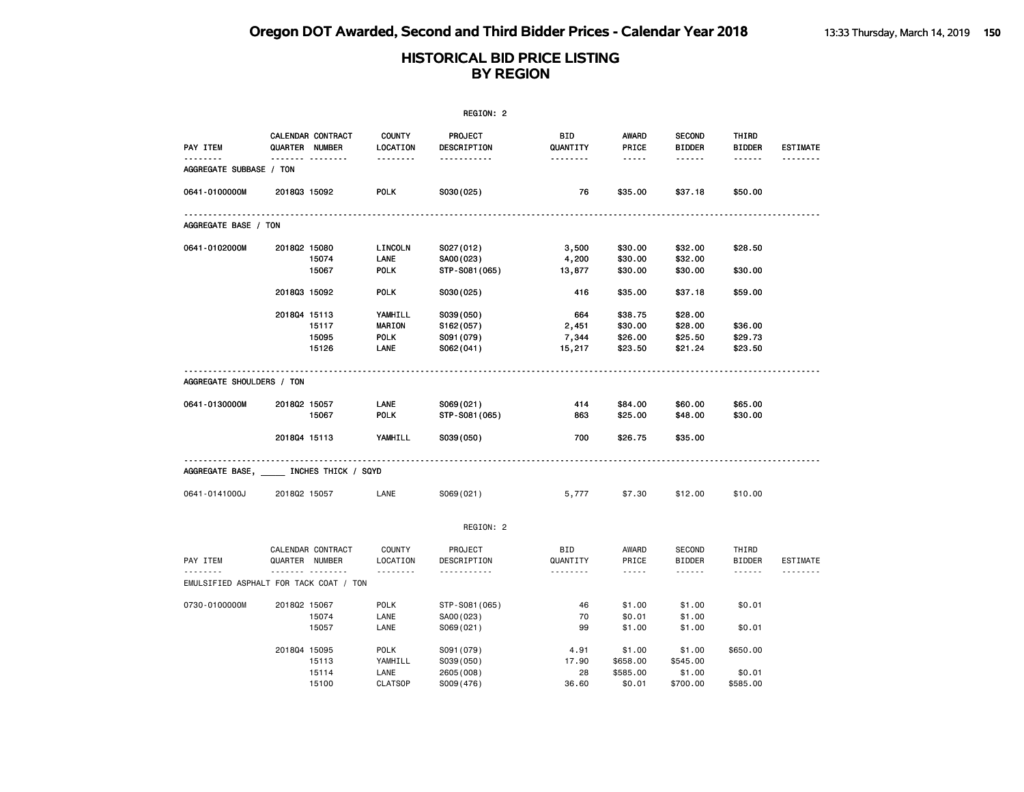|                                        |                |                   |                           | REGION: 2                   |                 |                                                                                                                                                      |                                |                        |                 |
|----------------------------------------|----------------|-------------------|---------------------------|-----------------------------|-----------------|------------------------------------------------------------------------------------------------------------------------------------------------------|--------------------------------|------------------------|-----------------|
| PAY ITEM                               | QUARTER NUMBER | CALENDAR CONTRACT | <b>COUNTY</b><br>LOCATION | PROJECT<br>DESCRIPTION      | BID<br>QUANTITY | AWARD<br>PRICE                                                                                                                                       | <b>SECOND</b><br><b>BIDDER</b> | THIRD<br><b>BIDDER</b> | <b>ESTIMATE</b> |
| AGGREGATE SUBBASE / TON                |                | <b>.</b>          |                           | .                           | <u>.</u>        | $- - - - -$                                                                                                                                          | ------                         | ------                 |                 |
| 0641-0100000M                          | 201803 15092   |                   | POLK                      | S030(025)                   | 76              | \$35.00                                                                                                                                              | \$37.18                        | \$50.00                |                 |
| AGGREGATE BASE / TON                   |                |                   |                           |                             |                 |                                                                                                                                                      |                                |                        |                 |
| 0641-0102000M                          | 201802 15080   |                   | LINCOLN                   | S027(012)                   | 3,500           | \$30.00                                                                                                                                              | \$32.00                        | \$28.50                |                 |
|                                        |                | 15074             | LANE                      | SA00(023)                   | 4,200           | \$30.00                                                                                                                                              | \$32.00                        |                        |                 |
|                                        |                | 15067             | <b>POLK</b>               | STP-S081 (065)              | 13,877          | \$30.00                                                                                                                                              | \$30.00                        | \$30.00                |                 |
|                                        | 201803 15092   |                   | <b>POLK</b>               | S030(025)                   | 416             | \$35.00                                                                                                                                              | \$37.18                        | \$59.00                |                 |
|                                        | 201804 15113   |                   | YAMHILL                   | S039(050)                   | 664             | \$38.75                                                                                                                                              | \$28.00                        |                        |                 |
|                                        |                | 15117             | <b>MARION</b>             | S162(057)                   | 2,451           | \$30.00                                                                                                                                              | \$28.00                        | \$36.00                |                 |
|                                        |                | 15095             | <b>POLK</b>               | S091 (079)                  | 7,344           | \$26.00                                                                                                                                              | \$25.50                        | \$29.73                |                 |
|                                        |                | 15126             | LANE                      | S062(041)                   | 15,217          | \$23.50                                                                                                                                              | \$21.24                        | \$23.50                |                 |
|                                        |                |                   |                           |                             |                 |                                                                                                                                                      |                                |                        |                 |
| AGGREGATE SHOULDERS / TON              |                |                   |                           |                             |                 |                                                                                                                                                      |                                |                        |                 |
| 0641-0130000M                          | 201802 15057   | 15067             | LANE<br>POLK              | S069(021)<br>STP-S081 (065) | 414<br>863      | \$84.00<br>\$25.00                                                                                                                                   | \$60.00<br>\$48.00             | \$65.00<br>\$30.00     |                 |
|                                        | 201804 15113   |                   | YAMHILL                   | S039(050)                   | 700             | \$26.75                                                                                                                                              | \$35.00                        |                        |                 |
| AGGREGATE BASE, INCHES THICK / SQYD    |                |                   |                           |                             |                 |                                                                                                                                                      |                                |                        |                 |
| 0641-0141000J                          | 201802 15057   |                   | LANE                      | S069(021)                   | 5,777           | \$7.30                                                                                                                                               | \$12.00                        | \$10.00                |                 |
|                                        |                |                   |                           | REGION: 2                   |                 |                                                                                                                                                      |                                |                        |                 |
|                                        |                | CALENDAR CONTRACT | <b>COUNTY</b>             | PROJECT                     | <b>BID</b>      | AWARD                                                                                                                                                | SECOND                         | THIRD                  |                 |
| PAY ITEM                               |                | QUARTER NUMBER    | LOCATION                  | DESCRIPTION                 | QUANTITY        | PRICE                                                                                                                                                | <b>BIDDER</b>                  | <b>BIDDER</b>          | <b>ESTIMATE</b> |
| EMULSIFIED ASPHALT FOR TACK COAT / TON |                | .                 | <u>.</u>                  | .                           | .               | $\frac{1}{2} \left( \frac{1}{2} \right) \left( \frac{1}{2} \right) \left( \frac{1}{2} \right) \left( \frac{1}{2} \right) \left( \frac{1}{2} \right)$ | ------                         | ------                 |                 |
|                                        | 201802 15067   |                   | <b>POLK</b>               |                             |                 |                                                                                                                                                      |                                |                        |                 |
| 0730-0100000M                          |                | 15074             | LANE                      | STP-S081(065)<br>SA00 (023) | 46<br>70        | \$1.00<br>\$0.01                                                                                                                                     | \$1.00<br>\$1.00               | \$0.01                 |                 |
|                                        |                | 15057             | LANE                      | S069(021)                   | 99              | \$1.00                                                                                                                                               | \$1.00                         | \$0.01                 |                 |
|                                        |                |                   |                           |                             |                 |                                                                                                                                                      |                                |                        |                 |
|                                        | 201804 15095   |                   | <b>POLK</b>               | S091 (079)                  | 4.91            | \$1.00                                                                                                                                               | \$1.00                         | \$650.00               |                 |
|                                        |                | 15113             | YAMHILL                   | S039(050)                   | 17.90           | \$658.00                                                                                                                                             | \$545.00                       |                        |                 |
|                                        |                | 15114             | LANE                      | 2605 (008)                  | 28              | \$585.00                                                                                                                                             | \$1.00                         | \$0.01                 |                 |
|                                        |                | 15100             | <b>CLATSOP</b>            | S009(476)                   | 36.60           | \$0.01                                                                                                                                               | \$700.00                       | \$585.00               |                 |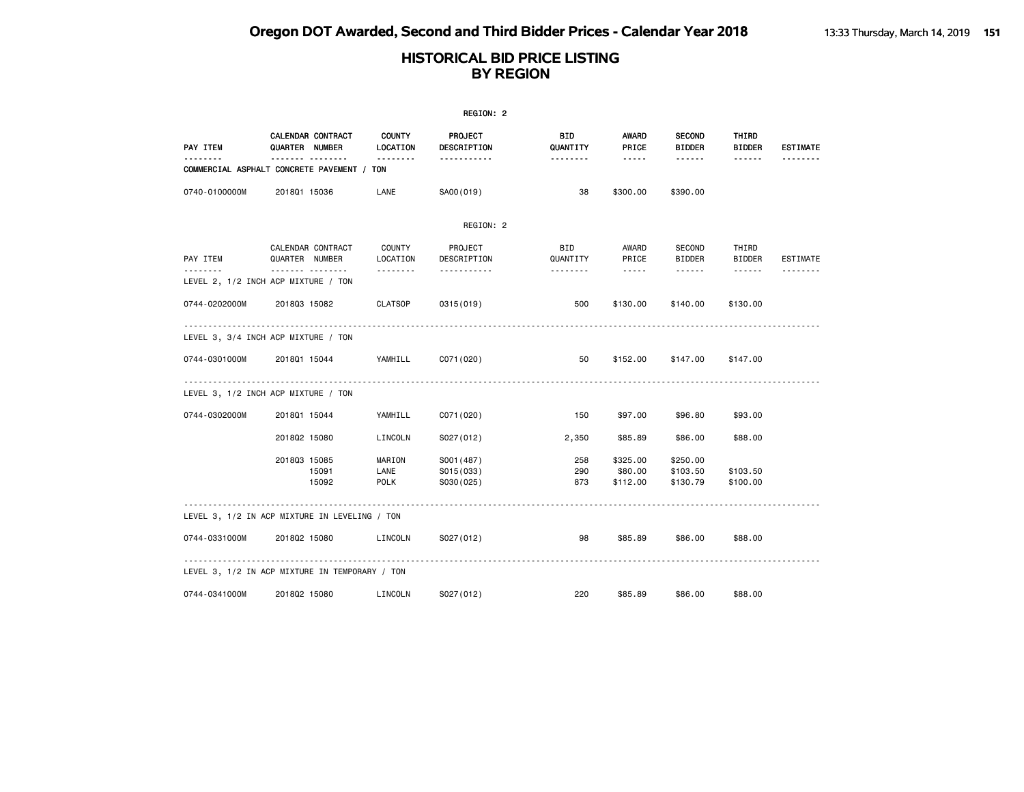|                      |                                                 |                               | REGION: 2                            |                             |                                                                                                                                                      |                                  |                        |                 |
|----------------------|-------------------------------------------------|-------------------------------|--------------------------------------|-----------------------------|------------------------------------------------------------------------------------------------------------------------------------------------------|----------------------------------|------------------------|-----------------|
| PAY ITEM             | CALENDAR CONTRACT<br>QUARTER NUMBER             | <b>COUNTY</b><br>LOCATION     | <b>PROJECT</b><br>DESCRIPTION        | BID<br>QUANTITY             | AWARD<br>PRICE                                                                                                                                       | <b>SECOND</b><br><b>BIDDER</b>   | THIRD<br><b>BIDDER</b> | <b>ESTIMATE</b> |
| .                    | .<br>COMMERCIAL ASPHALT CONCRETE PAVEMENT / TON | <u> - - - - - - -</u>         | -----------                          | <u>.</u>                    | $\frac{1}{2} \left( \frac{1}{2} \right) \left( \frac{1}{2} \right) \left( \frac{1}{2} \right) \left( \frac{1}{2} \right) \left( \frac{1}{2} \right)$ | ------                           | ------                 |                 |
| 0740-0100000M        | 201801 15036                                    | LANE                          | SA00(019)                            | 38                          | \$300.00                                                                                                                                             | \$390.00                         |                        |                 |
|                      |                                                 |                               | REGION: 2                            |                             |                                                                                                                                                      |                                  |                        |                 |
| PAY ITEM<br><u>.</u> | CALENDAR CONTRACT<br>QUARTER NUMBER             | COUNTY<br>LOCATION<br>.       | PROJECT<br>DESCRIPTION               | BID<br>QUANTITY<br><u>.</u> | AWARD<br>PRICE                                                                                                                                       | SECOND<br><b>BIDDER</b>          | THIRD<br><b>BIDDER</b> | ESTIMATE        |
|                      | .<br>LEVEL 2, 1/2 INCH ACP MIXTURE / TON        |                               | <u>.</u>                             |                             | $\frac{1}{2} \left( \frac{1}{2} \right) \left( \frac{1}{2} \right) \left( \frac{1}{2} \right) \left( \frac{1}{2} \right) \left( \frac{1}{2} \right)$ | $- - - - - - -$                  | $- - - - - - -$        | .               |
| 0744-0202000M        | 201803 15082                                    | CLATSOP                       | 0315(019)                            | 500                         | \$130.00                                                                                                                                             | \$140.00                         | \$130.00               |                 |
|                      | LEVEL 3, 3/4 INCH ACP MIXTURE / TON             |                               |                                      |                             |                                                                                                                                                      |                                  |                        |                 |
| 0744-0301000M        | 201801 15044                                    | YAMHILL                       | C071 (020)                           | 50                          | \$152.00                                                                                                                                             | \$147.00                         | \$147.00               |                 |
|                      | LEVEL 3, 1/2 INCH ACP MIXTURE / TON             |                               |                                      |                             |                                                                                                                                                      |                                  |                        |                 |
| 0744-0302000M        | 201801 15044                                    | YAMHILL                       | C071(020)                            | 150                         | \$97.00                                                                                                                                              | \$96.80                          | \$93.00                |                 |
|                      | 201802 15080                                    | LINCOLN                       | S027(012)                            | 2,350                       | \$85.89                                                                                                                                              | \$86.00                          | \$88.00                |                 |
|                      | 201803 15085<br>15091<br>15092                  | MARION<br>LANE<br><b>POLK</b> | S001 (487)<br>S015(033)<br>S030(025) | 258<br>290<br>873           | \$325.00<br>\$80.00<br>\$112.00                                                                                                                      | \$250.00<br>\$103.50<br>\$130.79 | \$103.50<br>\$100.00   |                 |
|                      | LEVEL 3, 1/2 IN ACP MIXTURE IN LEVELING / TON   |                               |                                      |                             |                                                                                                                                                      |                                  |                        |                 |
| 0744-0331000M        | 201802 15080                                    | LINCOLN                       | S027(012)                            | 98                          | \$85.89                                                                                                                                              | \$86.00                          | \$88.00                |                 |
|                      | LEVEL 3, 1/2 IN ACP MIXTURE IN TEMPORARY / TON  |                               |                                      |                             |                                                                                                                                                      |                                  |                        |                 |
| 0744-0341000M        | 201802 15080                                    | LINCOLN                       | S027(012)                            | 220                         | \$85.89                                                                                                                                              | \$86.00                          | \$88.00                |                 |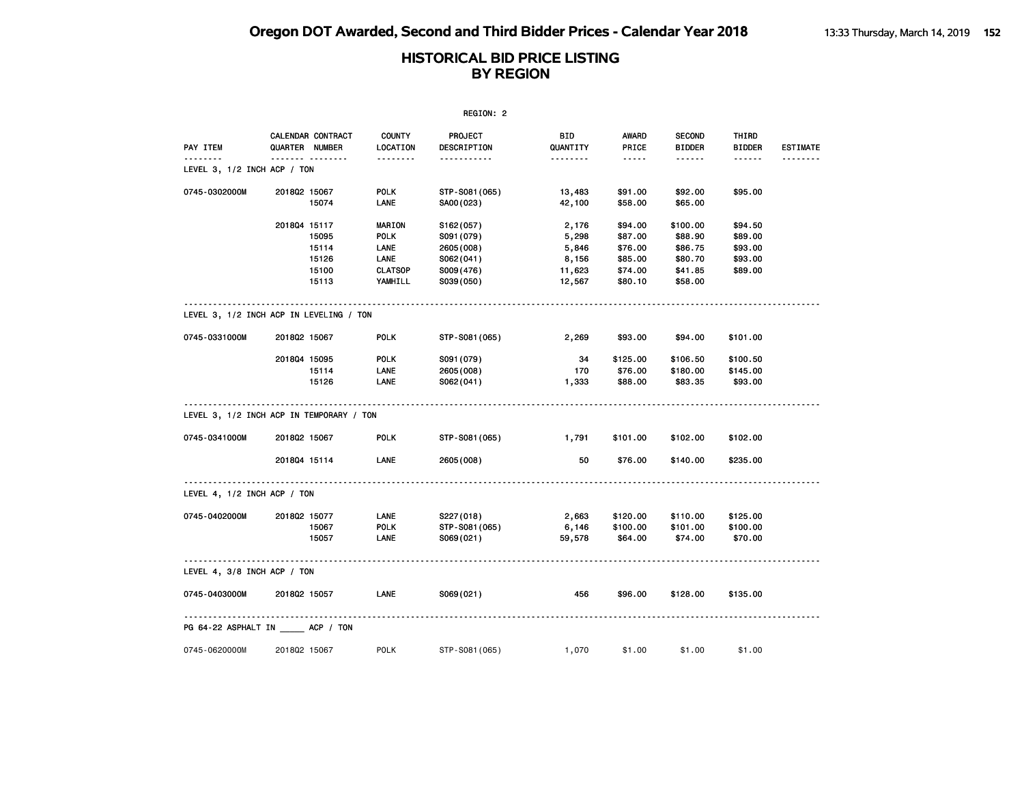|                                          |              |                                     |                    | REGION: 2              |                 |                |                                |                        |                 |
|------------------------------------------|--------------|-------------------------------------|--------------------|------------------------|-----------------|----------------|--------------------------------|------------------------|-----------------|
| PAY ITEM                                 |              | CALENDAR CONTRACT<br>QUARTER NUMBER | COUNTY<br>LOCATION | PROJECT<br>DESCRIPTION | BID<br>QUANTITY | AWARD<br>PRICE | <b>SECOND</b><br><b>BIDDER</b> | THIRD<br><b>BIDDER</b> | <b>ESTIMATE</b> |
| <u>.</u><br>LEVEL 3, 1/2 INCH ACP / TON  |              | .                                   |                    | <u>.</u>               | <u>.</u>        | $- - - - -$    |                                |                        | <u>.</u>        |
| 0745-0302000M                            | 201802 15067 |                                     | <b>POLK</b>        | STP-S081 (065)         | 13,483          | \$91.00        | \$92.00                        | \$95.00                |                 |
|                                          |              | 15074                               | LANE               | SA00(023)              | 42,100          | \$58.00        | \$65.00                        |                        |                 |
|                                          | 201804 15117 |                                     | <b>MARION</b>      | S162(057)              | 2,176           | \$94.00        | \$100.00                       | \$94.50                |                 |
|                                          |              | 15095                               | <b>POLK</b>        | S091 (079)             | 5,298           | \$87.00        | \$88.90                        | \$89.00                |                 |
|                                          |              | 15114                               | LANE               | 2605 (008)             | 5,846           | \$76.00        | \$86.75                        | \$93.00                |                 |
|                                          |              | 15126                               | LANE               | S062(041)              | 8,156           | \$85.00        | \$80.70                        | \$93.00                |                 |
|                                          |              | 15100                               | <b>CLATSOP</b>     | S009(476)              | 11,623          | \$74.00        | \$41.85                        | \$89.00                |                 |
|                                          |              | 15113                               | YAMHILL            | S039(050)              | 12,567          | \$80.10        | \$58.00                        |                        |                 |
| LEVEL 3, 1/2 INCH ACP IN LEVELING / TON  |              |                                     |                    |                        |                 |                |                                |                        |                 |
| 0745-0331000M                            | 201802 15067 |                                     | <b>POLK</b>        | STP-S081(065)          | 2,269           | \$93.00        | \$94.00                        | \$101.00               |                 |
|                                          | 201804 15095 |                                     | <b>POLK</b>        | S091 (079)             | 34              | \$125.00       | \$106.50                       | \$100.50               |                 |
|                                          |              | 15114                               | LANE               | 2605 (008)             | 170             | \$76.00        | \$180.00                       | \$145.00               |                 |
|                                          |              | 15126                               | LANE               | S062(041)              | 1,333           | \$88.00        | \$83.35                        | \$93.00                |                 |
| LEVEL 3, 1/2 INCH ACP IN TEMPORARY / TON |              |                                     |                    |                        |                 |                |                                |                        |                 |
| 0745-0341000M                            | 201802 15067 |                                     | <b>POLK</b>        | STP-S081(065)          | 1,791           | \$101.00       | \$102.00                       | \$102.00               |                 |
|                                          | 201804 15114 |                                     | LANE               | 2605 (008)             | 50              | \$76.00        | \$140.00                       | \$235.00               |                 |
| LEVEL 4, 1/2 INCH ACP / TON              |              |                                     |                    |                        |                 |                |                                |                        |                 |
| 0745-0402000M                            | 201802 15077 |                                     | LANE               | S227(018)              | 2,663           | \$120.00       | \$110.00                       | \$125.00               |                 |
|                                          |              | 15067                               | <b>POLK</b>        | STP-S081(065)          | 6,146           | \$100.00       | \$101.00                       | \$100.00               |                 |
|                                          |              | 15057                               | LANE               | S069(021)              | 59,578          | \$64.00        | \$74.00                        | \$70.00                |                 |
| LEVEL 4, 3/8 INCH ACP / TON              |              |                                     |                    |                        |                 |                |                                |                        |                 |
| 0745-0403000M                            | 201802 15057 |                                     | LANE               | S069(021)              | 456             | \$96.00        | \$128.00                       | \$135.00               |                 |
| PG 64-22 ASPHALT IN ACP / TON            |              |                                     |                    |                        |                 |                |                                |                        |                 |
| 0745-0620000M                            | 201802 15067 |                                     | <b>POLK</b>        | STP-S081(065)          | 1,070           | \$1.00         | \$1.00                         | \$1.00                 |                 |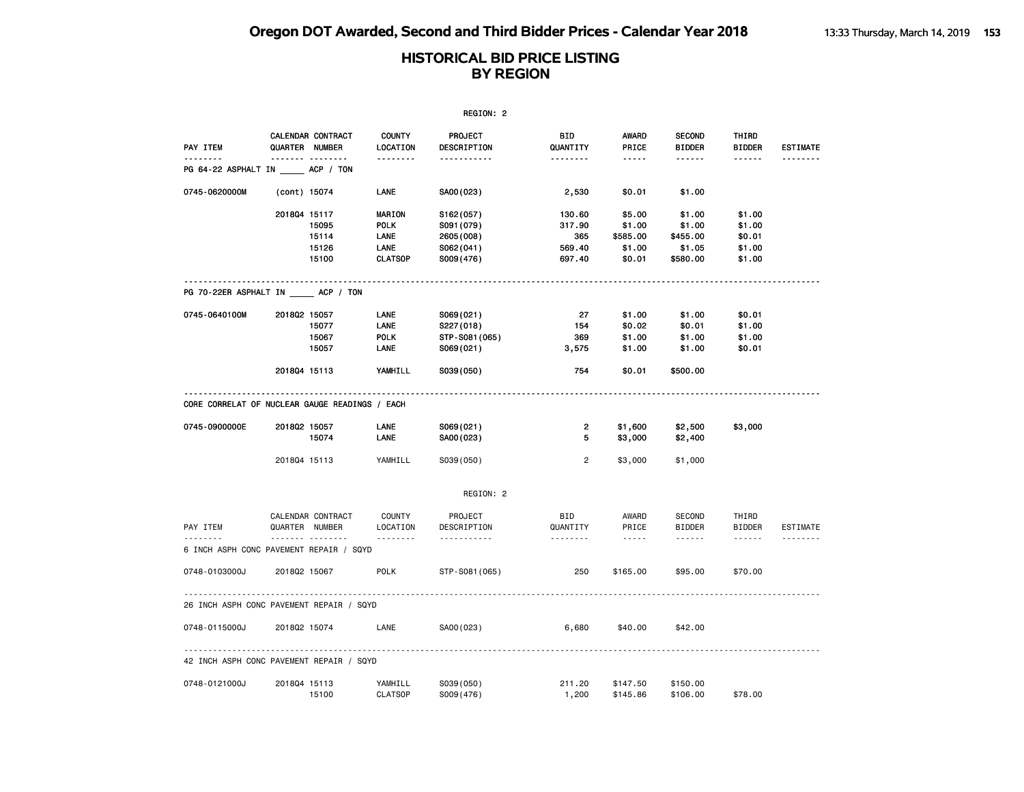|                                                |              |                                     |                           | REGION: 2               |                 |                       |                                |                         |                 |
|------------------------------------------------|--------------|-------------------------------------|---------------------------|-------------------------|-----------------|-----------------------|--------------------------------|-------------------------|-----------------|
| PAY ITEM                                       |              | CALENDAR CONTRACT<br>QUARTER NUMBER | <b>COUNTY</b><br>LOCATION | PROJECT<br>DESCRIPTION  | BID<br>QUANTITY | <b>AWARD</b><br>PRICE | <b>SECOND</b><br><b>BIDDER</b> | THIRD<br><b>BIDDER</b>  | <b>ESTIMATE</b> |
| <u>.</u><br>PG 64-22 ASPHALT IN ACP / TON      |              | ------- --------                    | .                         | <u>.</u>                | .               | $- - - - -$           | $- - - - - -$                  | $- - - - - -$           |                 |
| 0745-0620000M                                  | (cont) 15074 |                                     | LANE                      | SA00(023)               | 2,530           | \$0.01                | \$1.00                         |                         |                 |
|                                                | 201804 15117 |                                     | MARION                    | S162(057)               | 130.60          | \$5.00                | \$1.00                         | \$1.00                  |                 |
|                                                |              | 15095                               | <b>POLK</b>               | S091 (079)              | 317.90          | \$1.00                | \$1.00                         | \$1.00                  |                 |
|                                                |              | 15114                               | LANE                      | 2605 (008)              | 365             | \$585.00              | \$455.00                       | \$0.01                  |                 |
|                                                |              | 15126                               | LANE                      | S062(041)               | 569.40          | \$1.00                | \$1.05                         | \$1.00                  |                 |
|                                                |              | 15100                               | <b>CLATSOP</b>            | S009(476)               | 697.40          | \$0.01                | \$580.00                       | \$1.00                  |                 |
| PG 70-22ER ASPHALT IN ______ ACP / TON         |              |                                     |                           |                         |                 |                       |                                |                         |                 |
| 0745-0640100M                                  | 201802 15057 |                                     | LANE                      | S069(021)               | 27              | \$1.00                | \$1.00                         | \$0.01                  |                 |
|                                                |              | 15077                               | LANE                      | S227(018)               | 154             | \$0.02                | \$0.01                         | \$1.00                  |                 |
|                                                |              | 15067                               | <b>POLK</b>               | STP-S081(065)           | 369             | \$1.00                | \$1.00                         | \$1.00                  |                 |
|                                                |              | 15057                               | LANE                      | S069(021)               | 3,575           | \$1.00                | \$1.00                         | \$0.01                  |                 |
|                                                | 201804 15113 |                                     | YAMHILL                   | S039(050)               | 754             | \$0.01                | \$500.00                       |                         |                 |
| CORE CORRELAT OF NUCLEAR GAUGE READINGS / EACH |              |                                     |                           |                         |                 |                       |                                |                         |                 |
| 0745-0900000E                                  | 201802 15057 |                                     | <b>LANE</b>               | S069(021)               | 2               | \$1,600               | \$2,500                        | \$3,000                 |                 |
|                                                |              | 15074                               | LANE                      | SA00(023)               | 5               | \$3,000               | \$2,400                        |                         |                 |
|                                                | 201804 15113 |                                     | YAMHILL                   | S039(050)               | $\overline{2}$  | \$3,000               | \$1,000                        |                         |                 |
|                                                |              |                                     |                           | REGION: 2               |                 |                       |                                |                         |                 |
|                                                |              | CALENDAR CONTRACT                   | <b>COUNTY</b>             | PROJECT                 | <b>BID</b>      | AWARD                 | SECOND                         | THIRD                   |                 |
| PAY ITEM                                       |              | QUARTER NUMBER<br>. <sub>.</sub>    | LOCATION<br>.             | DESCRIPTION<br><u>.</u> | QUANTITY<br>.   | PRICE<br>$- - - - -$  | <b>BIDDER</b><br>------        | <b>BIDDER</b><br>------ | ESTIMATE        |
| 6 INCH ASPH CONC PAVEMENT REPAIR / SQYD        |              |                                     |                           |                         |                 |                       |                                |                         |                 |
| 0748-0103000J                                  | 201802 15067 |                                     | <b>POLK</b>               | STP-S081 (065)          | 250             | \$165.00              | \$95.00                        | \$70.00                 |                 |
| 26 INCH ASPH CONC PAVEMENT REPAIR / SQYD       |              |                                     |                           |                         |                 |                       |                                |                         |                 |
| 0748-0115000J                                  | 201802 15074 |                                     | LANE                      | SA00(023)               | 6,680           | \$40.00               | \$42.00                        |                         |                 |
| 42 INCH ASPH CONC PAVEMENT REPAIR / SQYD       |              |                                     |                           |                         |                 |                       |                                |                         |                 |
| 0748-0121000J                                  | 201804 15113 |                                     | YAMHILL                   | S039(050)               | 211.20          | \$147.50              | \$150.00                       |                         |                 |
|                                                |              | 15100                               | <b>CLATSOP</b>            | S009(476)               | 1,200           | \$145.86              | \$106.00                       | \$78.00                 |                 |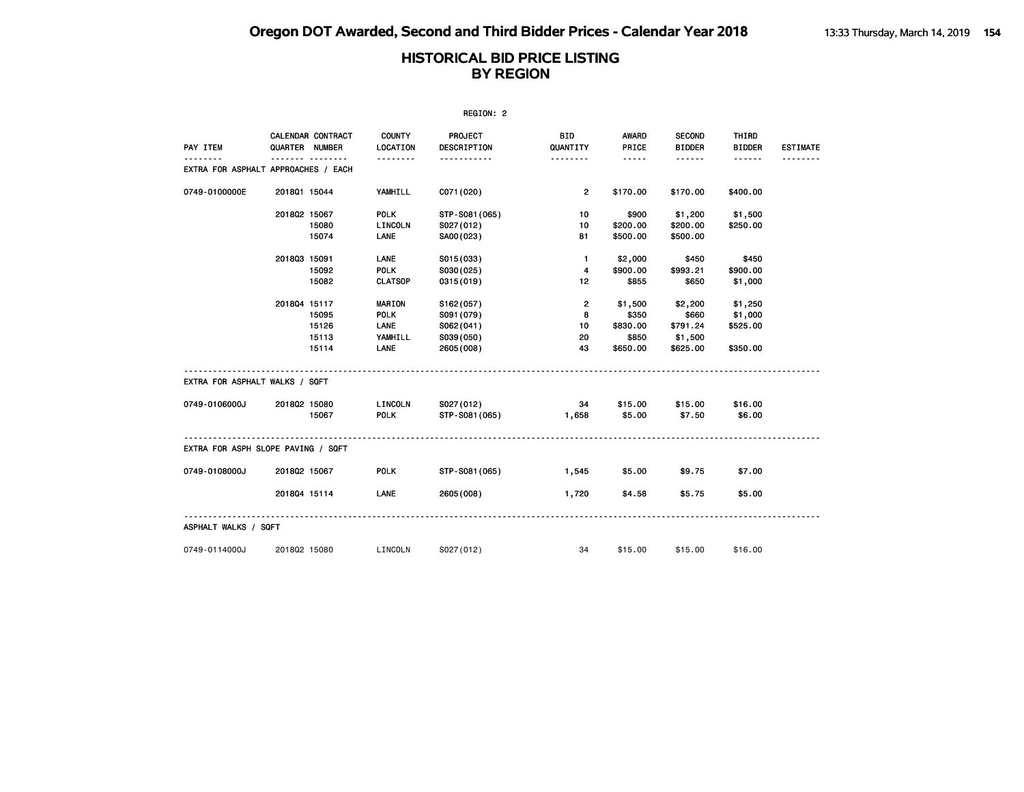|                                |                                                 |                               | REGION: 2                            |                     |                               |                                 |                        |                 |
|--------------------------------|-------------------------------------------------|-------------------------------|--------------------------------------|---------------------|-------------------------------|---------------------------------|------------------------|-----------------|
| PAY ITEM                       | CALENDAR CONTRACT<br>QUARTER NUMBER             | <b>COUNTY</b><br>LOCATION     | PROJECT<br><b>DESCRIPTION</b>        | BID<br>QUANTITY     | <b>AWARD</b><br>PRICE         | <b>SECOND</b><br><b>BIDDER</b>  | THIRD<br><b>BIDDER</b> | <b>ESTIMATE</b> |
| .                              | <u> </u><br>EXTRA FOR ASPHALT APPROACHES / EACH | .                             | .                                    | <u>.</u>            | $- - - - -$                   | ------                          | ------                 |                 |
| 0749-0100000E                  | 201801 15044                                    | YAMHILL                       | C071 (020)                           | $\overline{2}$      | \$170.00                      | \$170.00                        | \$400.00               |                 |
|                                | 201802 15067                                    | <b>POLK</b>                   | STP-S081 (065)                       | 10                  | \$900                         | \$1,200                         | \$1,500                |                 |
|                                | 15080<br>15074                                  | LINCOLN<br>LANE               | S027(012)<br>SA00(023)               | 10<br>81            | \$200.00<br>\$500.00          | \$200.00<br>\$500.00            | \$250.00               |                 |
|                                | 201803 15091                                    | LANE                          | S015(033)                            | $\mathbf{1}$        | \$2,000                       | \$450                           | \$450                  |                 |
|                                | 15092<br>15082                                  | <b>POLK</b><br><b>CLATSOP</b> | S030(025)<br>0315(019)               | 4<br>12             | \$900.00<br>\$855             | \$993.21<br>\$650               | \$900.00<br>\$1,000    |                 |
|                                | 201804 15117<br>15095                           | <b>MARION</b><br><b>POLK</b>  | S162(057)<br>S091 (079)              | $\overline{2}$<br>8 | \$1,500<br>\$350              | \$2,200<br>\$660                | \$1,250<br>\$1,000     |                 |
|                                | 15126<br>15113<br>15114                         | LANE<br>YAMHILL<br>LANE       | S062(041)<br>S039(050)<br>2605 (008) | 10<br>20<br>43      | \$830.00<br>\$850<br>\$650.00 | \$791.24<br>\$1,500<br>\$625.00 | \$525.00<br>\$350.00   |                 |
| EXTRA FOR ASPHALT WALKS / SQFT |                                                 |                               |                                      |                     |                               |                                 |                        |                 |
| 0749-0106000J                  | 201802 15080<br>15067                           | <b>LINCOLN</b><br><b>POLK</b> | S027(012)<br>STP-S081(065)           | - 34<br>1,658       | \$15.00<br>\$5.00             | \$15.00<br>\$7.50               | \$16.00<br>\$6.00      |                 |
|                                | EXTRA FOR ASPH SLOPE PAVING / SQFT              |                               |                                      |                     |                               |                                 |                        |                 |
| 0749-0108000J                  | 201802 15067                                    | <b>POLK</b>                   | STP-S081(065)                        | 1,545               | \$5.00                        | \$9.75                          | \$7.00                 |                 |
|                                | 201804 15114                                    | LANE                          | 2605 (008)                           | 1,720               | \$4.58                        | \$5.75                          | \$5.00                 |                 |
| ASPHALT WALKS / SQFT           |                                                 |                               |                                      |                     |                               |                                 |                        |                 |
| 0749-0114000J                  | 201802 15080                                    | LINCOLN                       | S027(012)                            | 34                  | \$15.00                       | \$15.00                         | \$16.00                |                 |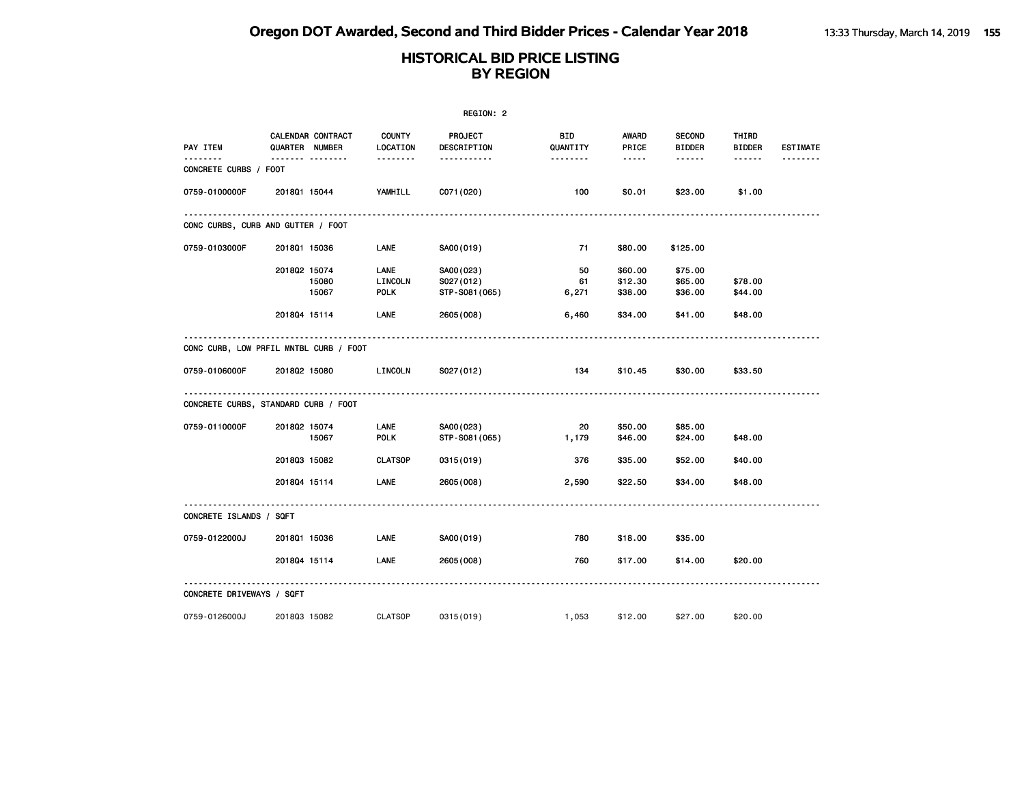|                                        |                |                   |                                | REGION: 2                               |                        |                                                                                                               |                                |                        |                 |
|----------------------------------------|----------------|-------------------|--------------------------------|-----------------------------------------|------------------------|---------------------------------------------------------------------------------------------------------------|--------------------------------|------------------------|-----------------|
| PAY ITEM                               | QUARTER NUMBER | CALENDAR CONTRACT | <b>COUNTY</b><br>LOCATION      | PROJECT<br>DESCRIPTION                  | <b>BID</b><br>QUANTITY | AWARD<br>PRICE                                                                                                | <b>SECOND</b><br><b>BIDDER</b> | THIRD<br><b>BIDDER</b> | <b>ESTIMATE</b> |
| ------<br>CONCRETE CURBS / FOOT        |                | .                 | .                              | -----------                             | --------               | $\frac{1}{2} \frac{1}{2} \frac{1}{2} \frac{1}{2} \frac{1}{2} \frac{1}{2} \frac{1}{2} \frac{1}{2} \frac{1}{2}$ | ------                         | ------                 |                 |
| 0759-0100000F                          | 2018Q1 15044   |                   | YAMHILL                        | C071 (020)                              | 100                    | \$0.01                                                                                                        | \$23.00                        | \$1.00                 |                 |
| CONC CURBS, CURB AND GUTTER / FOOT     |                |                   |                                |                                         |                        |                                                                                                               |                                |                        |                 |
| 0759-0103000F                          | 201801 15036   |                   | LANE                           | SA00(019)                               | 71                     | \$80.00                                                                                                       | \$125.00                       |                        |                 |
|                                        | 201802 15074   | 15080<br>15067    | LANE<br>LINCOLN<br><b>POLK</b> | SA00(023)<br>S027(012)<br>STP-S081(065) | 50<br>61<br>6,271      | \$60.00<br>\$12.30<br>\$38.00                                                                                 | \$75.00<br>\$65.00<br>\$36.00  | \$78.00<br>\$44.00     |                 |
|                                        | 201804 15114   |                   | LANE                           | 2605 (008)                              | 6,460                  | \$34.00                                                                                                       | \$41.00                        | \$48.00                |                 |
| CONC CURB, LOW PRFIL MNTBL CURB / FOOT |                |                   |                                |                                         |                        |                                                                                                               |                                |                        |                 |
| 0759-0106000F                          | 201802 15080   |                   | LINCOLN                        | S027(012)                               | 134                    | \$10.45                                                                                                       | \$30.00                        | \$33.50                |                 |
| CONCRETE CURBS, STANDARD CURB / FOOT   |                |                   |                                |                                         |                        |                                                                                                               |                                |                        |                 |
| 0759-0110000F                          | 201802 15074   | 15067             | LANE<br><b>POLK</b>            | SA00(023)<br>STP-S081(065)              | 20<br>1,179            | \$50.00<br>\$46.00                                                                                            | \$85.00<br>\$24.00             | \$48.00                |                 |
|                                        | 201803 15082   |                   | <b>CLATSOP</b>                 | 0315(019)                               | 376                    | \$35.00                                                                                                       | \$52.00                        | \$40.00                |                 |
|                                        | 201804 15114   |                   | <b>LANE</b>                    | 2605 (008)                              | 2,590                  | \$22.50                                                                                                       | \$34.00                        | \$48.00                |                 |
| CONCRETE ISLANDS / SQFT                |                |                   |                                |                                         |                        |                                                                                                               |                                |                        |                 |
| 0759-0122000J                          | 201801 15036   |                   | <b>LANE</b>                    | SA00(019)                               | 780                    | \$18.00                                                                                                       | \$35.00                        |                        |                 |
|                                        | 201804 15114   |                   | <b>LANE</b>                    | 2605 (008)                              | 760                    | \$17.00                                                                                                       | \$14.00                        | \$20.00                |                 |
| CONCRETE DRIVEWAYS / SQFT              |                |                   |                                |                                         |                        |                                                                                                               |                                |                        |                 |
| 0759-0126000J                          | 201803 15082   |                   | <b>CLATSOP</b>                 | 0315 (019)                              | 1,053                  | \$12.00                                                                                                       | \$27.00                        | \$20.00                |                 |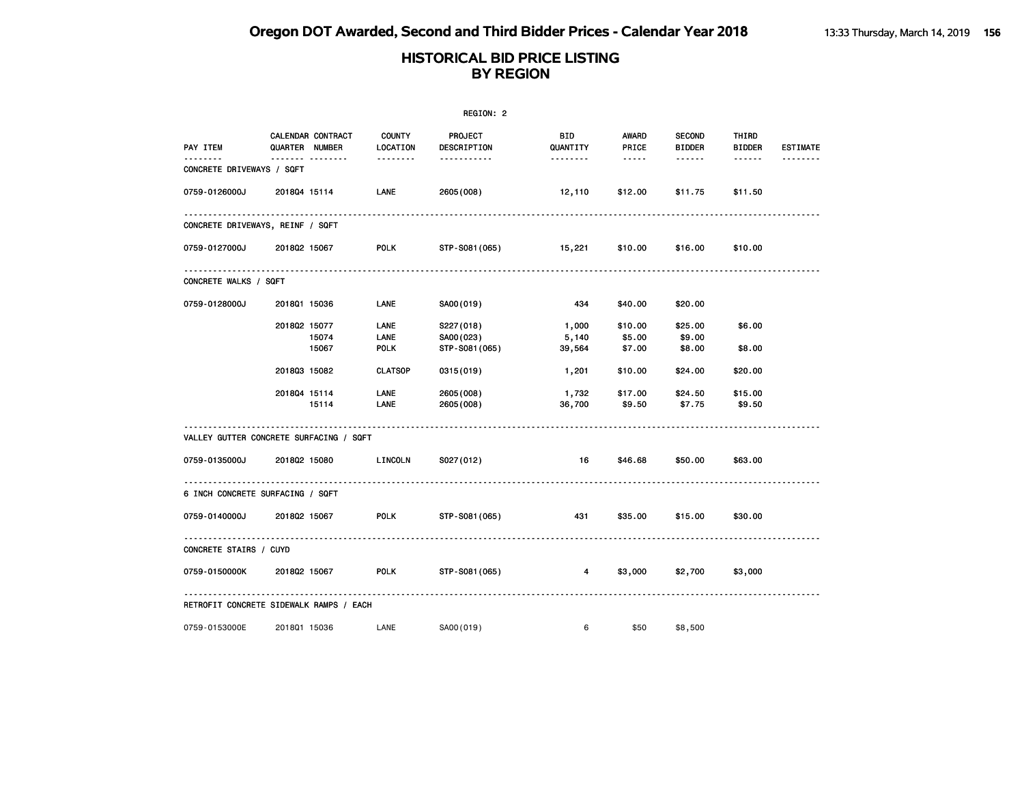|                                         |                |                   |                           | REGION: 2              |                        |                       |                                |                        |                 |
|-----------------------------------------|----------------|-------------------|---------------------------|------------------------|------------------------|-----------------------|--------------------------------|------------------------|-----------------|
| PAY ITEM                                | QUARTER NUMBER | CALENDAR CONTRACT | <b>COUNTY</b><br>LOCATION | PROJECT<br>DESCRIPTION | <b>BID</b><br>QUANTITY | <b>AWARD</b><br>PRICE | <b>SECOND</b><br><b>BIDDER</b> | THIRD<br><b>BIDDER</b> | <b>ESTIMATE</b> |
| .<br>CONCRETE DRIVEWAYS / SQFT          |                |                   | .                         | -----------            | <u> - - - - - - -</u>  | $\cdots \cdots$       | $- - - - - -$                  | ------                 | <u>.</u>        |
| 0759-0126000J                           | 201804 15114   |                   | LANE                      | 2605 (008)             | 12,110                 | \$12.00               | \$11.75                        | \$11.50                |                 |
| CONCRETE DRIVEWAYS, REINF / SQFT        |                |                   |                           |                        |                        |                       |                                |                        |                 |
| 0759-0127000J                           | 201802 15067   |                   | <b>POLK</b>               | STP-S081(065)          | 15,221                 | \$10.00               | \$16.00                        | \$10.00                |                 |
| CONCRETE WALKS / SQFT                   |                |                   |                           |                        |                        |                       |                                |                        |                 |
| 0759-0128000J                           | 201801 15036   |                   | LANE                      | SA00(019)              | 434                    | \$40.00               | \$20.00                        |                        |                 |
|                                         | 201802 15077   | 15074             | LANE<br>LANE              | S227(018)<br>SA00(023) | 1,000<br>5,140         | \$10.00<br>\$5.00     | \$25.00<br>\$9.00              | \$6.00                 |                 |
|                                         |                | 15067             | <b>POLK</b>               | STP-S081 (065)         | 39,564                 | \$7.00                | \$8.00                         | \$8.00                 |                 |
|                                         | 201803 15082   |                   | <b>CLATSOP</b>            | 0315(019)              | 1,201                  | \$10.00               | \$24.00                        | \$20.00                |                 |
|                                         | 201804 15114   | 15114             | LANE<br>LANE              | 2605(008)<br>2605(008) | 1,732<br>36,700        | \$17.00<br>\$9.50     | \$24.50<br>\$7.75              | \$15.00<br>\$9.50      |                 |
| VALLEY GUTTER CONCRETE SURFACING / SQFT |                |                   |                           |                        |                        |                       |                                |                        |                 |
| 0759-0135000J                           | 201802 15080   |                   | LINCOLN                   | S027(012)              | 16                     | \$46.68               | \$50.00                        | \$63.00                |                 |
| 6 INCH CONCRETE SURFACING / SQFT        |                |                   |                           |                        |                        |                       |                                |                        |                 |
| 0759-0140000J                           | 201802 15067   |                   | <b>POLK</b>               | STP-S081(065)          | 431                    | \$35.00               | \$15.00                        | \$30.00                |                 |
| CONCRETE STAIRS / CUYD                  |                |                   |                           |                        |                        |                       |                                |                        |                 |
| 0759-0150000K                           | 201802 15067   |                   | <b>POLK</b>               | STP-S081(065)          | 4                      | \$3,000               | \$2,700                        | \$3,000                |                 |
| RETROFIT CONCRETE SIDEWALK RAMPS / EACH |                |                   |                           |                        |                        |                       |                                |                        |                 |
| 0759-0153000E                           | 201801 15036   |                   | LANE                      | SA00(019)              | 6                      | \$50                  | \$8,500                        |                        |                 |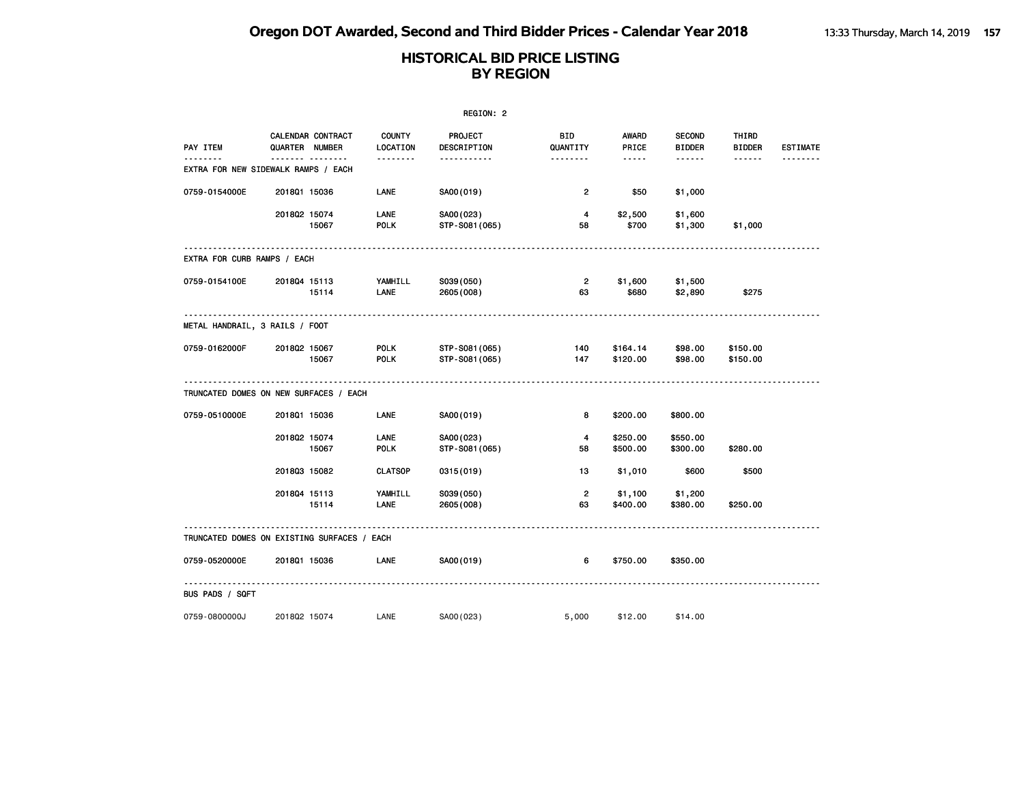|                                             |              |                                     |                           | REGION: 2                       |                       |                        |                                |                        |                 |
|---------------------------------------------|--------------|-------------------------------------|---------------------------|---------------------------------|-----------------------|------------------------|--------------------------------|------------------------|-----------------|
| PAY ITEM                                    |              | CALENDAR CONTRACT<br>QUARTER NUMBER | <b>COUNTY</b><br>LOCATION | PROJECT<br>DESCRIPTION          | BID<br>QUANTITY       | <b>AWARD</b><br>PRICE  | <b>SECOND</b><br><b>BIDDER</b> | THIRD<br><b>BIDDER</b> | <b>ESTIMATE</b> |
| EXTRA FOR NEW SIDEWALK RAMPS / EACH         |              |                                     | <u>.</u>                  | <u>.</u>                        | <u> - - - - - - -</u> | $\cdots \cdots \cdots$ | ------                         | ------                 | --------        |
| 0759-0154000E                               | 201801 15036 |                                     | LANE                      | SA00(019)                       | $\overline{2}$        | \$50                   | \$1,000                        |                        |                 |
|                                             | 2018Q2 15074 | 15067                               | LANE<br><b>POLK</b>       | SA00(023)<br>STP-S081(065)      | $\overline{4}$<br>58  | \$2,500<br>\$700       | \$1,600<br>\$1,300             | \$1,000                |                 |
| EXTRA FOR CURB RAMPS / EACH                 |              |                                     |                           |                                 |                       |                        |                                |                        |                 |
| 0759-0154100E                               | 201804 15113 | 15114                               | YAMHILL<br>LANE           | S039(050)<br>2605 (008)         | $\overline{2}$<br>63  | \$1,600<br>\$680       | \$1,500<br>\$2,890             | \$275                  |                 |
| METAL HANDRAIL, 3 RAILS / FOOT              |              |                                     | <u>.</u>                  |                                 |                       |                        |                                |                        |                 |
| 0759-0162000F                               | 201802 15067 | 15067                               | POLK<br><b>POLK</b>       | STP-S081(065)<br>STP-S081 (065) | 140<br>147            | \$164.14<br>\$120.00   | \$98.00<br>\$98.00             | \$150.00<br>\$150.00   |                 |
| TRUNCATED DOMES ON NEW SURFACES / EACH      |              |                                     |                           |                                 |                       |                        |                                |                        |                 |
| 0759-0510000E                               | 201801 15036 |                                     | LANE                      | SA00(019)                       | 8                     | \$200.00               | \$800.00                       |                        |                 |
|                                             | 2018Q2 15074 | 15067                               | LANE<br><b>POLK</b>       | SA00(023)<br>STP-S081(065)      | 4<br>58               | \$250.00<br>\$500.00   | \$550.00<br>\$300.00           | \$280.00               |                 |
|                                             | 201803 15082 |                                     | <b>CLATSOP</b>            | 0315 (019)                      | 13                    | \$1,010                | \$600                          | \$500                  |                 |
|                                             | 201804 15113 | 15114                               | YAMHILL<br>LANE           | S039(050)<br>2605 (008)         | $\overline{2}$<br>63  | \$1,100<br>\$400.00    | \$1,200<br>\$380.00            | \$250.00               |                 |
| TRUNCATED DOMES ON EXISTING SURFACES / EACH |              |                                     |                           |                                 |                       |                        |                                |                        |                 |
| 0759-0520000E                               | 201801 15036 |                                     | LANE                      | SA00(019)                       | 6                     | \$750.00               | \$350.00                       |                        |                 |
| BUS PADS / SQFT                             |              |                                     |                           |                                 |                       |                        |                                |                        |                 |
| 0759-0800000J                               | 201802 15074 |                                     | LANE                      | SA00(023)                       | 5,000                 | \$12.00                | \$14.00                        |                        |                 |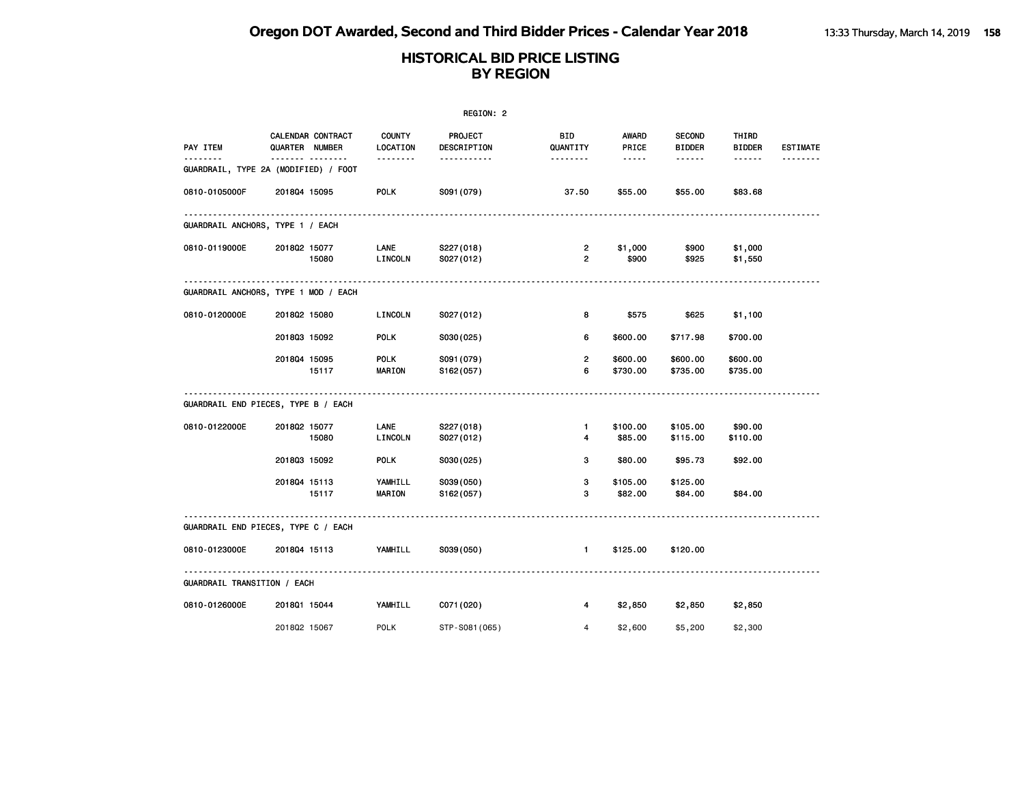|                                                  |              |                                            |                           | REGION: 2                     |                                  |                                                                                                                                                      |                                |                        |                 |
|--------------------------------------------------|--------------|--------------------------------------------|---------------------------|-------------------------------|----------------------------------|------------------------------------------------------------------------------------------------------------------------------------------------------|--------------------------------|------------------------|-----------------|
| PAY ITEM                                         |              | <b>CALENDAR CONTRACT</b><br>QUARTER NUMBER | <b>COUNTY</b><br>LOCATION | <b>PROJECT</b><br>DESCRIPTION | BID<br>QUANTITY                  | AWARD<br>PRICE                                                                                                                                       | <b>SECOND</b><br><b>BIDDER</b> | THIRD<br><b>BIDDER</b> | <b>ESTIMATE</b> |
| <u>.</u><br>GUARDRAIL, TYPE 2A (MODIFIED) / FOOT |              | ------- --------                           | <u>.</u>                  | -----------                   | .                                | $\frac{1}{2} \left( \frac{1}{2} \right) \left( \frac{1}{2} \right) \left( \frac{1}{2} \right) \left( \frac{1}{2} \right) \left( \frac{1}{2} \right)$ | ------                         |                        | --------        |
| 0810-0105000F                                    | 201804 15095 |                                            | <b>POLK</b>               | S091 (079)                    | 37.50                            | \$55.00                                                                                                                                              | \$55.00                        | \$83.68                |                 |
| GUARDRAIL ANCHORS, TYPE 1 / EACH                 |              |                                            |                           |                               |                                  |                                                                                                                                                      |                                |                        |                 |
| 0810-0119000E                                    | 201802 15077 | 15080                                      | LANE<br>LINCOLN           | S227(018)<br>S027(012)        | $\overline{2}$<br>$\overline{2}$ | \$1,000<br>\$900                                                                                                                                     | \$900<br>\$925                 | \$1,000<br>\$1,550     |                 |
| GUARDRAIL ANCHORS, TYPE 1 MOD / EACH             |              |                                            |                           |                               |                                  |                                                                                                                                                      |                                |                        |                 |
| 0810-0120000E                                    | 201802 15080 |                                            | LINCOLN                   | S027(012)                     | 8                                | \$575                                                                                                                                                | \$625                          | \$1,100                |                 |
|                                                  | 201803 15092 |                                            | <b>POLK</b>               | S030(025)                     | 6                                | \$600.00                                                                                                                                             | \$717.98                       | \$700.00               |                 |
|                                                  | 201804 15095 | 15117                                      | <b>POLK</b><br>MARION     | S091 (079)<br>S162(057)       | $\overline{2}$<br>6              | \$600.00<br>\$730.00                                                                                                                                 | \$600.00<br>\$735.00           | \$600.00<br>\$735.00   |                 |
| GUARDRAIL END PIECES, TYPE B / EACH              |              |                                            |                           |                               |                                  |                                                                                                                                                      |                                |                        |                 |
| 0810-0122000E                                    | 201802 15077 | 15080                                      | LANE<br>LINCOLN           | S227(018)<br>S027(012)        | $\mathbf{1}$<br>4                | \$100.00<br>\$85.00                                                                                                                                  | \$105.00<br>\$115.00           | \$90.00<br>\$110.00    |                 |
|                                                  | 201803 15092 |                                            | <b>POLK</b>               | S030(025)                     | з                                | \$80.00                                                                                                                                              | \$95.73                        | \$92.00                |                 |
|                                                  | 201804 15113 | 15117                                      | YAMHILL<br>MARION         | S039(050)<br>S162(057)        | з<br>3                           | \$105.00<br>\$82.00                                                                                                                                  | \$125.00<br>\$84.00            | \$84.00                |                 |
| GUARDRAIL END PIECES, TYPE C / EACH              |              |                                            |                           |                               |                                  |                                                                                                                                                      |                                |                        |                 |
| 0810-0123000E                                    | 201804 15113 |                                            | YAMHILL                   | S039(050)                     | $\mathbf{1}$                     | \$125.00                                                                                                                                             | \$120.00                       |                        |                 |
| GUARDRAIL TRANSITION / EACH                      |              |                                            |                           |                               |                                  |                                                                                                                                                      |                                |                        |                 |
| 0810-0126000E                                    | 201801 15044 |                                            | YAMHILL                   | C071 (020)                    | 4                                | \$2,850                                                                                                                                              | \$2,850                        | \$2,850                |                 |
|                                                  | 201802 15067 |                                            | POLK                      | STP-S081 (065)                | $\overline{4}$                   | \$2,600                                                                                                                                              | \$5,200                        | \$2,300                |                 |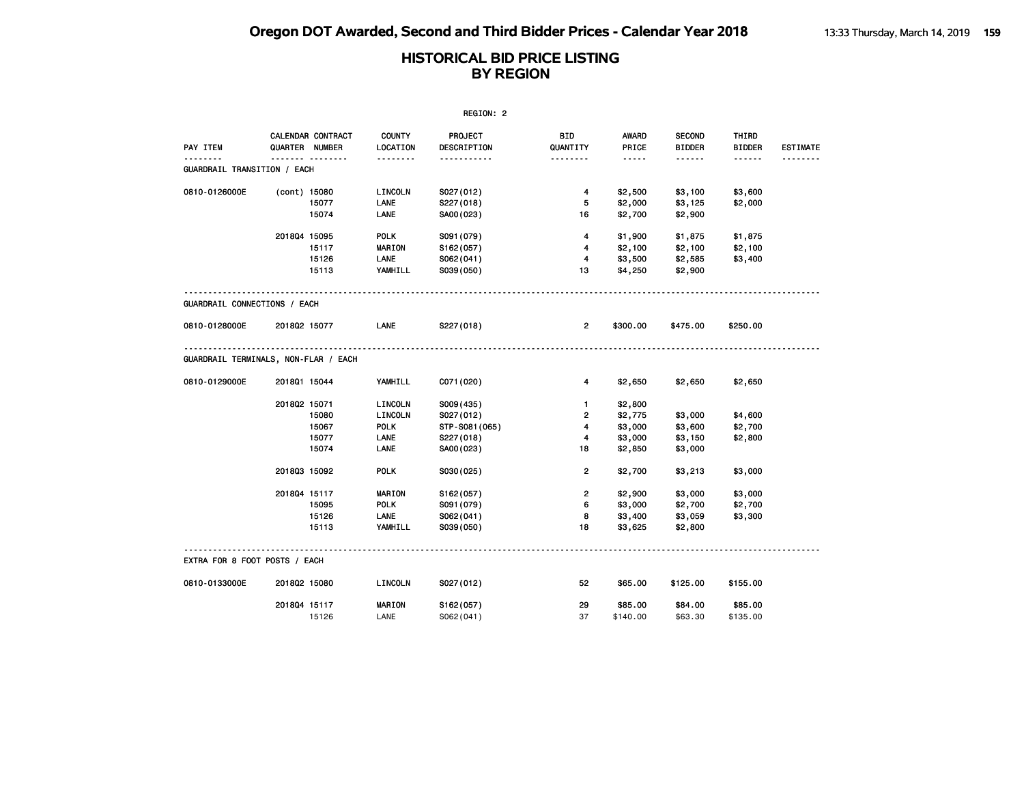|                                         |              |                                     |                           | REGION: 2              |                         |                                                                                                                           |                                |                        |                 |
|-----------------------------------------|--------------|-------------------------------------|---------------------------|------------------------|-------------------------|---------------------------------------------------------------------------------------------------------------------------|--------------------------------|------------------------|-----------------|
| PAY ITEM                                |              | CALENDAR CONTRACT<br>QUARTER NUMBER | <b>COUNTY</b><br>LOCATION | PROJECT<br>DESCRIPTION | <b>BID</b><br>QUANTITY  | AWARD<br>PRICE                                                                                                            | <b>SECOND</b><br><b>BIDDER</b> | THIRD<br><b>BIDDER</b> | <b>ESTIMATE</b> |
| .<br><b>GUARDRAIL TRANSITION / EACH</b> |              | .                                   | .                         | .                      | <u>.</u>                | $\frac{1}{2} \left( \frac{1}{2} \right) \left( \frac{1}{2} \right) \left( \frac{1}{2} \right) \left( \frac{1}{2} \right)$ | ------                         |                        | .               |
| 0810-0126000E                           | (cont) 15080 |                                     | LINCOLN                   | S027(012)              | 4                       | \$2,500                                                                                                                   | \$3,100                        | \$3,600                |                 |
|                                         |              | 15077<br>15074                      | LANE<br>LANE              | S227(018)<br>SA00(023) | 5<br>16                 | \$2,000<br>\$2,700                                                                                                        | \$3,125<br>\$2,900             | \$2,000                |                 |
|                                         | 201804 15095 |                                     | <b>POLK</b>               | S091 (079)             | $\overline{4}$          | \$1,900                                                                                                                   | \$1,875                        | \$1,875                |                 |
|                                         |              | 15117                               | <b>MARION</b>             | S162(057)              | $\overline{4}$          | \$2,100                                                                                                                   | \$2,100                        | \$2,100                |                 |
|                                         |              | 15126                               | LANE                      | S062(041)              | $\overline{\mathbf{4}}$ | \$3,500                                                                                                                   | \$2,585                        | \$3,400                |                 |
|                                         |              | 15113                               | YAMHILL                   | S039(050)              | 13                      | \$4,250                                                                                                                   | \$2,900                        |                        |                 |
| GUARDRAIL CONNECTIONS / EACH            |              |                                     |                           |                        |                         |                                                                                                                           |                                |                        |                 |
| 0810-0128000E                           | 201802 15077 |                                     | LANE                      | S227(018)              | $\overline{2}$          | \$300.00                                                                                                                  | \$475.00                       | \$250.00               |                 |
| GUARDRAIL TERMINALS, NON-FLAR / EACH    |              |                                     |                           |                        |                         |                                                                                                                           |                                |                        |                 |
| 0810-0129000E                           | 2018Q1 15044 |                                     | YAMHILL                   | C071 (020)             | 4                       | \$2,650                                                                                                                   | \$2,650                        | \$2,650                |                 |
|                                         | 201802 15071 |                                     | LINCOLN                   | S009(435)              | $\mathbf{1}$            | \$2,800                                                                                                                   |                                |                        |                 |
|                                         |              | 15080                               | LINCOLN                   | S027(012)              | $\overline{2}$          | \$2,775                                                                                                                   | \$3,000                        | \$4,600                |                 |
|                                         |              | 15067                               | <b>POLK</b>               | STP-S081 (065)         | $\overline{\mathbf{4}}$ | \$3,000                                                                                                                   | \$3,600                        | \$2,700                |                 |
|                                         |              | 15077                               | LANE                      | S227(018)              | 4                       | \$3,000                                                                                                                   | \$3,150                        | \$2,800                |                 |
|                                         |              | 15074                               | LANE                      | SA00(023)              | 18                      | \$2,850                                                                                                                   | \$3,000                        |                        |                 |
|                                         | 201803 15092 |                                     | <b>POLK</b>               | S030(025)              | $\overline{2}$          | \$2,700                                                                                                                   | \$3,213                        | \$3,000                |                 |
|                                         | 2018Q4 15117 |                                     | <b>MARION</b>             | S162(057)              | $\overline{2}$          | \$2,900                                                                                                                   | \$3,000                        | \$3,000                |                 |
|                                         |              | 15095                               | <b>POLK</b>               | S091 (079)             | 6                       | \$3,000                                                                                                                   | \$2,700                        | \$2,700                |                 |
|                                         |              | 15126                               | LANE                      | S062(041)              | 8                       | \$3,400                                                                                                                   | \$3,059                        | \$3,300                |                 |
|                                         |              | 15113                               | YAMHILL                   | S039(050)              | 18                      | \$3,625                                                                                                                   | \$2,800                        |                        |                 |
| EXTRA FOR 8 FOOT POSTS / EACH           |              |                                     |                           |                        |                         |                                                                                                                           |                                |                        |                 |
| 0810-0133000E                           | 201802 15080 |                                     | LINCOLN                   | S027(012)              | 52                      | \$65.00                                                                                                                   | \$125.00                       | \$155.00               |                 |
|                                         | 2018Q4 15117 |                                     | <b>MARION</b>             | S162(057)              | 29                      | \$85.00                                                                                                                   | \$84.00                        | \$85.00                |                 |
|                                         |              | 15126                               | LANE                      | S062(041)              | 37                      | \$140.00                                                                                                                  | \$63.30                        | \$135.00               |                 |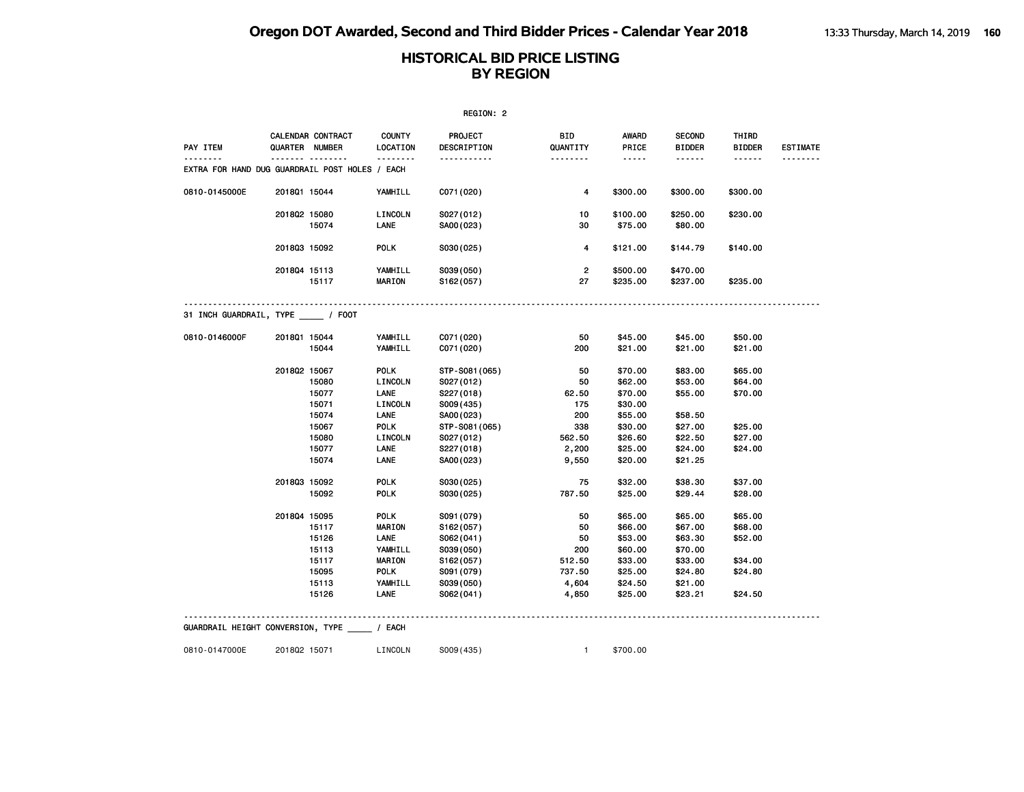|                                                            |              |                                     |                           | REGION: 2              |                        |                               |                                |                        |                 |
|------------------------------------------------------------|--------------|-------------------------------------|---------------------------|------------------------|------------------------|-------------------------------|--------------------------------|------------------------|-----------------|
| PAY ITEM                                                   |              | CALENDAR CONTRACT<br>QUARTER NUMBER | <b>COUNTY</b><br>LOCATION | PROJECT<br>DESCRIPTION | <b>BID</b><br>QUANTITY | AWARD<br>PRICE<br>$- - - - -$ | <b>SECOND</b><br><b>BIDDER</b> | THIRD<br><b>BIDDER</b> | <b>ESTIMATE</b> |
| <u>.</u><br>EXTRA FOR HAND DUG GUARDRAIL POST HOLES / EACH |              |                                     | <u>.</u>                  | <u>.</u>               | <u>.</u>               |                               | $- - - - - -$                  |                        | .               |
| 0810-0145000E                                              | 201801 15044 |                                     | YAMHILL                   | C071 (020)             | 4                      | \$300.00                      | \$300.00                       | \$300.00               |                 |
|                                                            | 201802 15080 |                                     | LINCOLN                   | S027(012)              | 10                     | \$100.00                      | \$250.00                       | \$230.00               |                 |
|                                                            |              | 15074                               | LANE                      | SA00(023)              | 30                     | \$75.00                       | \$80.00                        |                        |                 |
|                                                            | 201803 15092 |                                     | <b>POLK</b>               | S030(025)              | 4                      | \$121.00                      | \$144.79                       | \$140.00               |                 |
|                                                            | 201804 15113 |                                     | YAMHILL                   | S039(050)              | $\overline{2}$         | \$500.00                      | \$470.00                       |                        |                 |
|                                                            |              | 15117                               | <b>MARION</b>             | S162(057)              | 27                     | \$235.00                      | \$237.00                       | \$235.00               |                 |
| 31 INCH GUARDRAIL, TYPE / FOOT                             |              |                                     |                           |                        |                        |                               |                                |                        |                 |
| 0810-0146000F                                              | 2018Q1 15044 |                                     | YAMHILL                   | C071 (020)             | 50                     | \$45.00                       | \$45.00                        | \$50.00                |                 |
|                                                            |              | 15044                               | YAMHILL                   | C071 (020)             | 200                    | \$21.00                       | \$21.00                        | \$21.00                |                 |
|                                                            | 201802 15067 |                                     | <b>POLK</b>               | STP-S081 (065)         | 50                     | \$70.00                       | \$83.00                        | \$65.00                |                 |
|                                                            |              | 15080                               | LINCOLN                   | S027(012)              | 50                     | \$62.00                       | \$53.00                        | \$64.00                |                 |
|                                                            |              | 15077                               | LANE                      | S227(018)              | 62.50                  | \$70.00                       | \$55.00                        | \$70.00                |                 |
|                                                            |              | 15071                               | LINCOLN                   | S009(435)              | 175                    | \$30.00                       |                                |                        |                 |
|                                                            |              | 15074                               | LANE                      | SA00(023)              | 200                    | \$55.00                       | \$58.50                        |                        |                 |
|                                                            |              | 15067                               | <b>POLK</b>               | STP-S081(065)          | 338                    | \$30.00                       | \$27.00                        | \$25.00                |                 |
|                                                            |              | 15080                               | LINCOLN                   | S027(012)              | 562.50                 | \$26.60                       | \$22.50                        | \$27.00                |                 |
|                                                            |              | 15077                               | LANE                      | S227(018)              | 2,200                  | \$25.00                       | \$24.00                        | \$24.00                |                 |
|                                                            |              | 15074                               | LANE                      | SA00(023)              | 9,550                  | \$20.00                       | \$21.25                        |                        |                 |
|                                                            | 201803 15092 |                                     | <b>POLK</b>               | S030(025)              | 75                     | \$32.00                       | \$38.30                        | \$37.00                |                 |
|                                                            |              | 15092                               | <b>POLK</b>               | S030(025)              | 787.50                 | \$25.00                       | \$29.44                        | \$28.00                |                 |
|                                                            | 201804 15095 |                                     | <b>POLK</b>               | S091 (079)             | 50                     | \$65.00                       | \$65.00                        | \$65.00                |                 |
|                                                            |              | 15117                               | <b>MARION</b>             | S162(057)              | 50                     | \$66.00                       | \$67.00                        | \$68.00                |                 |
|                                                            |              | 15126                               | LANE                      | S062(041)              | 50                     | \$53.00                       | \$63.30                        | \$52.00                |                 |
|                                                            |              | 15113                               | YAMHILL                   | S039(050)              | 200                    | \$60.00                       | \$70.00                        |                        |                 |
|                                                            |              | 15117                               | <b>MARION</b>             | S162(057)              | 512.50                 | \$33.00                       | \$33.00                        | \$34.00                |                 |
|                                                            |              | 15095                               | POLK                      | S091 (079)             | 737.50                 | \$25.00                       | \$24.80                        | \$24.80                |                 |
|                                                            |              | 15113                               | YAMHILL                   | S039(050)              | 4,604                  | \$24.50                       | \$21.00                        |                        |                 |
|                                                            |              | 15126                               | LANE                      | S062(041)              | 4,850                  | \$25.00                       | \$23.21                        | \$24.50                |                 |
| GUARDRAIL HEIGHT CONVERSION, TYPE / EACH                   |              |                                     |                           |                        |                        |                               |                                |                        |                 |
| 0810-0147000E                                              | 201802 15071 |                                     | LINCOLN                   | S009(435)              | $\mathbf{1}$           | \$700.00                      |                                |                        |                 |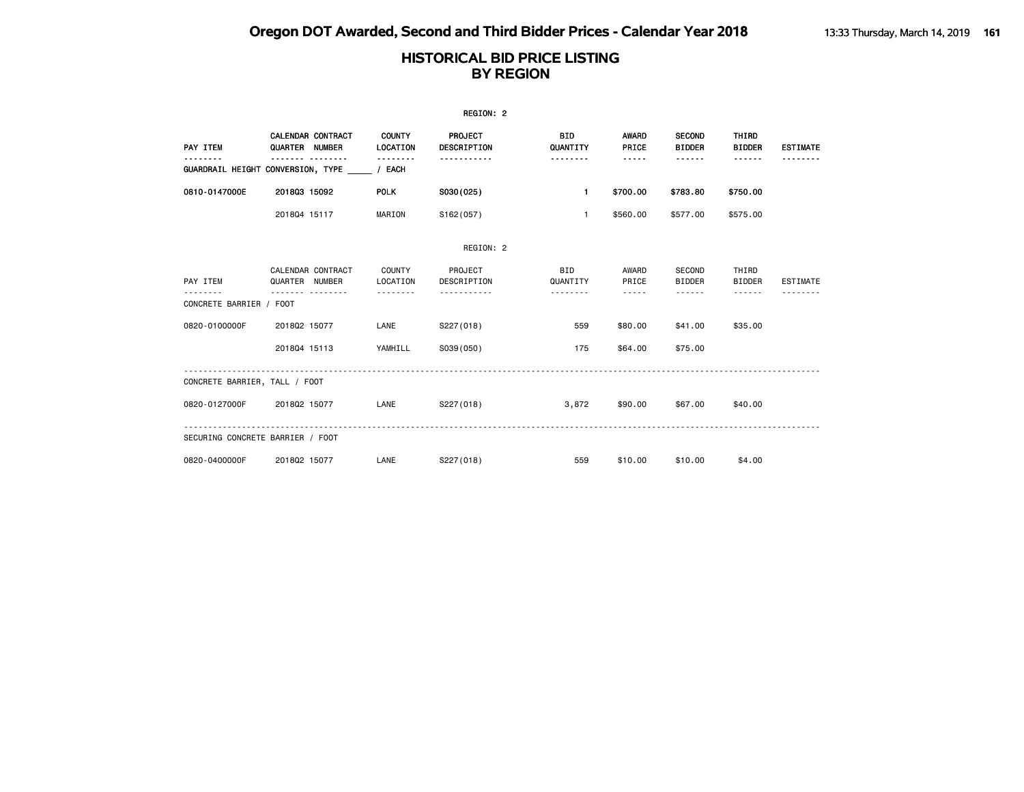**Oregon DOT Awarded, Second and Third Bidder Prices - Calendar Year 2018** 13:33 Thursday, March 14, 2019 **161**

|                                  |                                            |                                  | REGION: 2              |                        |                |                                |                        |                 |
|----------------------------------|--------------------------------------------|----------------------------------|------------------------|------------------------|----------------|--------------------------------|------------------------|-----------------|
| PAY ITEM                         | <b>CALENDAR CONTRACT</b><br>QUARTER NUMBER | <b>COUNTY</b><br><b>LOCATION</b> | PROJECT<br>DESCRIPTION | <b>BID</b><br>QUANTITY | AWARD<br>PRICE | <b>SECOND</b><br><b>BIDDER</b> | THIRD<br><b>BIDDER</b> | <b>ESTIMATE</b> |
|                                  | GUARDRAIL HEIGHT CONVERSION, TYPE          | . <i>.</i><br>/ EACH             |                        | <b>.</b>               | -----          | ------                         | ------                 |                 |
| 0810-0147000E                    | 201803 15092                               | <b>POLK</b>                      | S030(025)              | $\mathbf{1}$           | \$700.00       | \$783.80                       | \$750.00               |                 |
|                                  | 201804 15117                               | MARION                           | S162(057)              | $\mathbf{1}$           | \$560.00       | \$577.00                       | \$575.00               |                 |
|                                  |                                            |                                  | REGION: 2              |                        |                |                                |                        |                 |
| PAY ITEM                         | CALENDAR CONTRACT<br>QUARTER NUMBER        | COUNTY<br>LOCATION               | PROJECT<br>DESCRIPTION | <b>BID</b><br>QUANTITY | AWARD<br>PRICE | SECOND<br><b>BIDDER</b>        | THIRD<br><b>BIDDER</b> | <b>ESTIMATE</b> |
| CONCRETE BARRIER / FOOT          |                                            |                                  |                        | - - - - - - - -        | -----          | ------                         | ------                 |                 |
| 0820-0100000F                    | 201802 15077                               | LANE                             | S227(018)              | 559                    | \$80.00        | \$41.00                        | \$35.00                |                 |
|                                  | 201804 15113                               | YAMHILL                          | S039(050)              | 175                    | \$64.00        | \$75.00                        |                        |                 |
| CONCRETE BARRIER, TALL / FOOT    |                                            |                                  |                        |                        |                |                                |                        |                 |
| 0820-0127000F                    | 201802 15077                               | LANE                             | S227(018)              | 3,872                  | \$90.00        | \$67,00                        | \$40,00                |                 |
| SECURING CONCRETE BARRIER / FOOT |                                            |                                  |                        |                        |                |                                |                        |                 |
| 0820-0400000F                    | 201802 15077                               | LANE                             | S227(018)              | 559                    | \$10.00        | \$10.00                        | \$4,00                 |                 |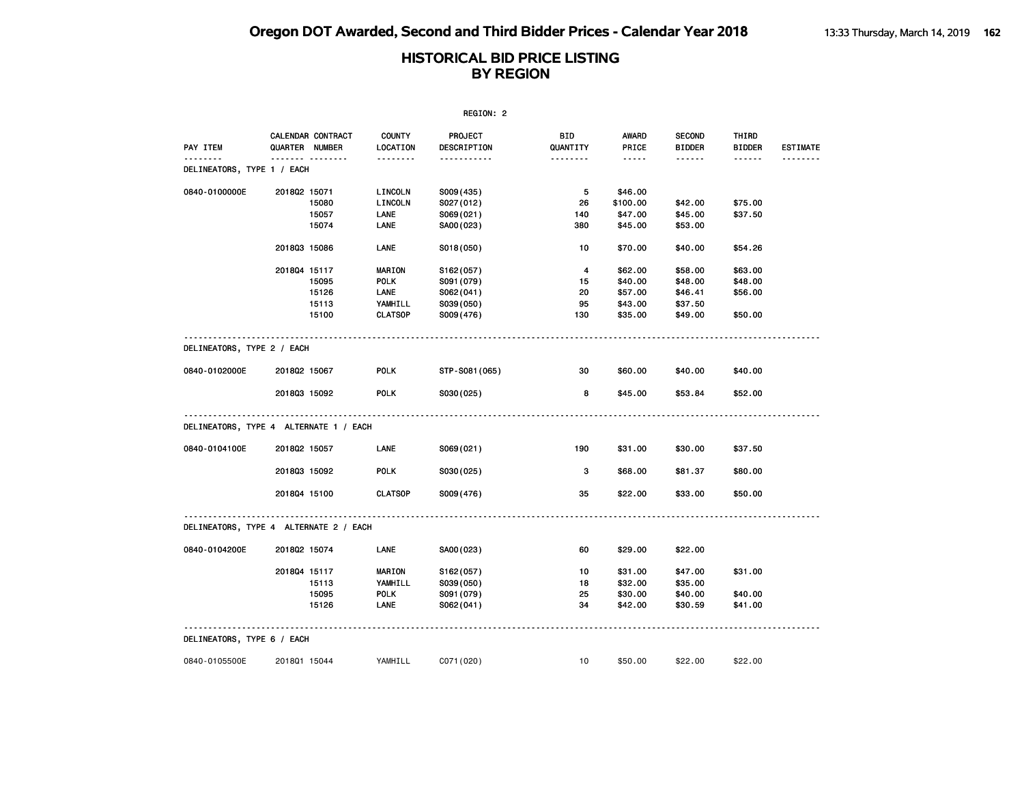|                                        |                |                   |                    | REGION: 2                     |                       |                |                                |                        |                 |
|----------------------------------------|----------------|-------------------|--------------------|-------------------------------|-----------------------|----------------|--------------------------------|------------------------|-----------------|
| PAY ITEM                               | QUARTER NUMBER | CALENDAR CONTRACT | COUNTY<br>LOCATION | <b>PROJECT</b><br>DESCRIPTION | BID<br>QUANTITY       | AWARD<br>PRICE | <b>SECOND</b><br><b>BIDDER</b> | THIRD<br><b>BIDDER</b> | <b>ESTIMATE</b> |
| .<br>DELINEATORS, TYPE 1 / EACH        |                | <u></u>           | .                  | -----------                   | <u> - - - - - - -</u> | $- - - - -$    | ------                         | ------                 | --------        |
| 0840-0100000E                          | 201802 15071   |                   | LINCOLN            | S009(435)                     | 5                     | \$46.00        |                                |                        |                 |
|                                        |                | 15080             | LINCOLN            | S027(012)                     | 26                    | \$100.00       | \$42.00                        | \$75.00                |                 |
|                                        |                | 15057             | LANE               | S069(021)                     | 140                   | \$47.00        | \$45.00                        | \$37.50                |                 |
|                                        |                | 15074             | LANE               | SA00(023)                     | 380                   | \$45.00        | \$53.00                        |                        |                 |
|                                        | 201803 15086   |                   | LANE               | S018(050)                     | 10                    | \$70.00        | \$40.00                        | \$54.26                |                 |
|                                        | 201804 15117   |                   | <b>MARION</b>      | S162(057)                     | 4                     | \$62.00        | \$58.00                        | \$63.00                |                 |
|                                        |                | 15095             | <b>POLK</b>        | S091 (079)                    | 15                    | \$40.00        | \$48.00                        | \$48.00                |                 |
|                                        |                | 15126             | LANE               | S062(041)                     | 20                    | \$57.00        | \$46.41                        | \$56.00                |                 |
|                                        |                | 15113             | YAMHILL            | S039(050)                     | 95                    | \$43.00        | \$37.50                        |                        |                 |
|                                        |                | 15100             | <b>CLATSOP</b>     | S009(476)                     | 130                   | \$35.00        | \$49.00                        | \$50.00                |                 |
| DELINEATORS, TYPE 2 / EACH             |                |                   |                    |                               |                       |                |                                |                        |                 |
| 0840-0102000E                          | 2018Q2 15067   |                   | <b>POLK</b>        | STP-S081(065)                 | 30                    | \$60.00        | \$40.00                        | \$40.00                |                 |
|                                        | 201803 15092   |                   | <b>POLK</b>        | S030(025)                     | 8                     | \$45.00        | \$53.84                        | \$52.00                |                 |
| DELINEATORS, TYPE 4 ALTERNATE 1 / EACH |                |                   |                    |                               |                       |                |                                |                        |                 |
| 0840-0104100E                          | 201802 15057   |                   | LANE               | S069(021)                     | 190                   | \$31.00        | \$30.00                        | \$37.50                |                 |
|                                        | 201803 15092   |                   | <b>POLK</b>        | S030(025)                     | 3                     | \$68.00        | \$81.37                        | \$80.00                |                 |
|                                        | 201804 15100   |                   | <b>CLATSOP</b>     | S009(476)                     | 35                    | \$22.00        | \$33.00                        | \$50.00                |                 |
| DELINEATORS, TYPE 4 ALTERNATE 2 / EACH |                |                   |                    |                               |                       |                |                                |                        |                 |
| 0840-0104200E                          | 201802 15074   |                   | LANE               | SA00(023)                     | 60                    | \$29.00        | \$22.00                        |                        |                 |
|                                        | 201804 15117   |                   | <b>MARION</b>      | S162(057)                     | 10                    | \$31.00        | \$47.00                        | \$31.00                |                 |
|                                        |                | 15113             | YAMHILL            | S039(050)                     | 18                    | \$32.00        | \$35.00                        |                        |                 |
|                                        |                | 15095             | <b>POLK</b>        | S091 (079)                    | 25                    | \$30.00        | \$40.00                        | \$40.00                |                 |
|                                        |                | 15126             | LANE               | S062(041)                     | 34                    | \$42.00        | \$30.59                        | \$41.00                |                 |
| DELINEATORS, TYPE 6 / EACH             |                |                   |                    |                               |                       |                |                                |                        |                 |
| 0840-0105500E                          | 201801 15044   |                   | YAMHILL            | C071 (020)                    | 10                    | \$50.00        | \$22.00                        | \$22.00                |                 |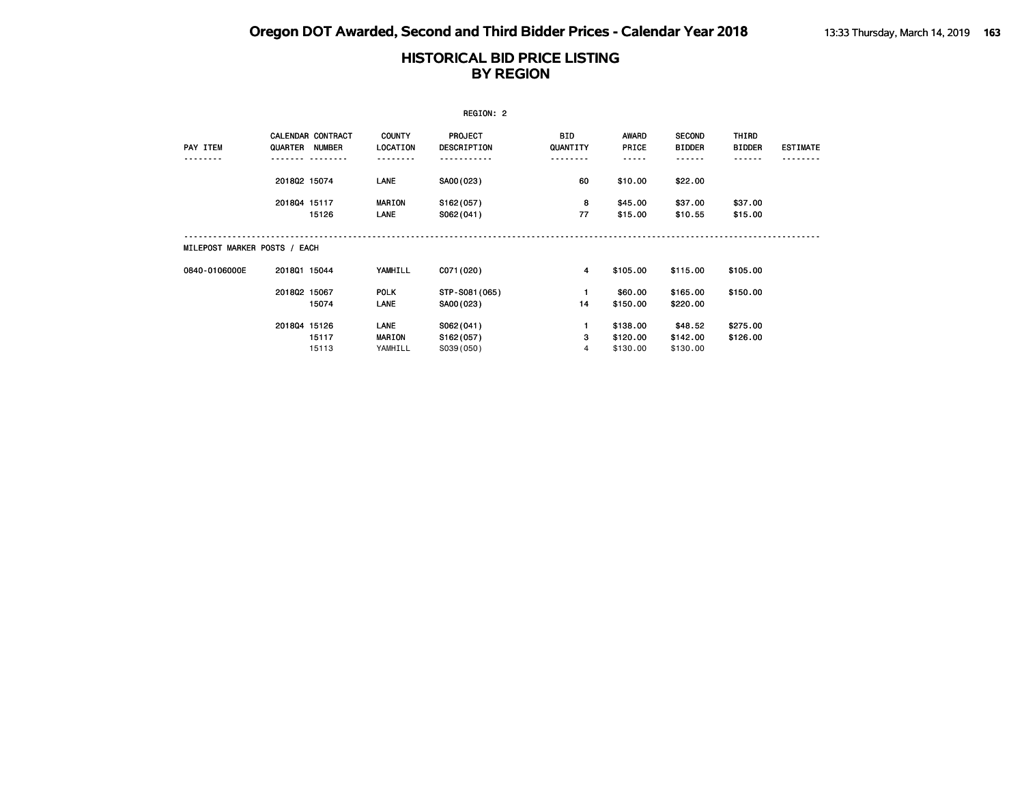|                              |                                            |       |                           | REGION: 2              |                 |                |                                |                        |                 |
|------------------------------|--------------------------------------------|-------|---------------------------|------------------------|-----------------|----------------|--------------------------------|------------------------|-----------------|
| PAY ITEM                     | <b>CALENDAR CONTRACT</b><br>QUARTER NUMBER |       | <b>COUNTY</b><br>LOCATION | PROJECT<br>DESCRIPTION | BID<br>QUANTITY | AWARD<br>PRICE | <b>SECOND</b><br><b>BIDDER</b> | THIRD<br><b>BIDDER</b> | <b>ESTIMATE</b> |
|                              |                                            |       |                           |                        |                 | -----          |                                |                        |                 |
|                              | 201802 15074                               |       | LANE                      | SA00(023)              | 60              | \$10.00        | \$22.00                        |                        |                 |
|                              | 201804 15117                               |       | <b>MARION</b>             | S162(057)              | 8               | \$45.00        | \$37.00                        | \$37.00                |                 |
|                              |                                            | 15126 | LANE                      | S062(041)              | 77              | \$15.00        | \$10.55                        | \$15.00                |                 |
| MILEPOST MARKER POSTS / EACH |                                            |       |                           |                        |                 |                |                                |                        |                 |
| 0840-0106000E                | 201801 15044                               |       | YAMHILL                   | C071 (020)             | 4               | \$105.00       | \$115.00                       | \$105.00               |                 |
|                              | 201802 15067                               |       | <b>POLK</b>               | STP-S081 (065)         |                 | \$60.00        | \$165.00                       | \$150.00               |                 |
|                              |                                            | 15074 | LANE                      | SA00(023)              | 14              | \$150.00       | \$220.00                       |                        |                 |
|                              | 201804 15126                               |       | LANE                      | S062(041)              |                 | \$138.00       | \$48.52                        | \$275.00               |                 |
|                              |                                            | 15117 | <b>MARION</b>             | S162(057)              | з               | \$120.00       | \$142.00                       | \$126.00               |                 |
|                              |                                            | 15113 | YAMHILL                   | S039(050)              | 4               | \$130.00       | \$130.00                       |                        |                 |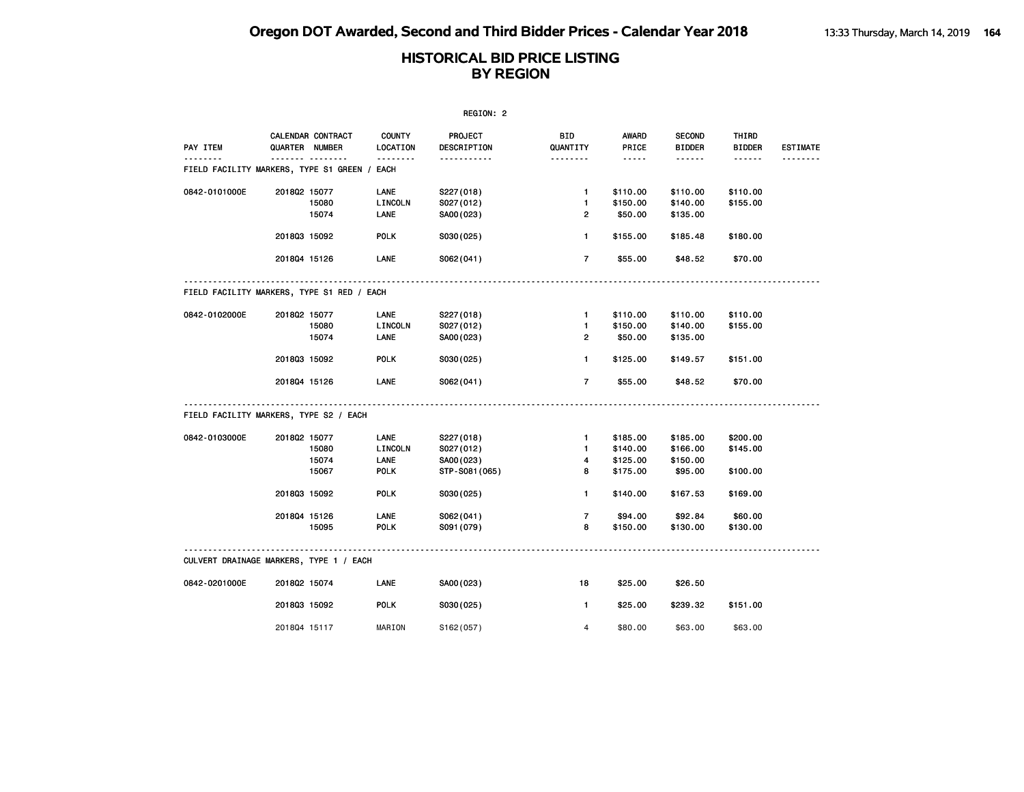| REGION: 2       |                                                   |                           |                        |                        |                                                                                                               |                                |                        |                 |  |  |
|-----------------|---------------------------------------------------|---------------------------|------------------------|------------------------|---------------------------------------------------------------------------------------------------------------|--------------------------------|------------------------|-----------------|--|--|
| <b>PAY ITEM</b> | CALENDAR CONTRACT<br>QUARTER NUMBER               | <b>COUNTY</b><br>LOCATION | PROJECT<br>DESCRIPTION | <b>BID</b><br>QUANTITY | AWARD<br>PRICE                                                                                                | <b>SECOND</b><br><b>BIDDER</b> | THIRD<br><b>BIDDER</b> | <b>ESTIMATE</b> |  |  |
|                 | .<br>FIELD FACILITY MARKERS, TYPE S1 GREEN / EACH | .                         | .                      | <u>.</u>               | $\frac{1}{2} \frac{1}{2} \frac{1}{2} \frac{1}{2} \frac{1}{2} \frac{1}{2} \frac{1}{2} \frac{1}{2} \frac{1}{2}$ | ------                         | ------                 |                 |  |  |
| 0842-0101000E   | 201802 15077                                      | LANE                      | S227(018)              | $\mathbf{1}$           | \$110.00                                                                                                      | \$110.00                       | \$110.00               |                 |  |  |
|                 | 15080                                             | LINCOLN                   | S027(012)              | $\mathbf{1}$           | \$150.00                                                                                                      | \$140.00                       | \$155.00               |                 |  |  |
|                 | 15074                                             | LANE                      | SA00(023)              | $\overline{2}$         | \$50.00                                                                                                       | \$135.00                       |                        |                 |  |  |
|                 | 201803 15092                                      | <b>POLK</b>               | S030(025)              | $\mathbf{1}$           | \$155.00                                                                                                      | \$185.48                       | \$180.00               |                 |  |  |
|                 | 201804 15126                                      | LANE                      | S062(041)              | $\overline{7}$         | \$55.00                                                                                                       | \$48.52                        | \$70.00                |                 |  |  |
|                 | FIELD FACILITY MARKERS, TYPE S1 RED / EACH        |                           |                        |                        |                                                                                                               |                                |                        |                 |  |  |
| 0842-0102000E   | 2018Q2 15077                                      | LANE                      | S227(018)              | $\mathbf{1}$           | \$110.00                                                                                                      | \$110.00                       | \$110.00               |                 |  |  |
|                 | 15080                                             | LINCOLN                   | S027(012)              | $\mathbf{1}$           | \$150.00                                                                                                      | \$140.00                       | \$155.00               |                 |  |  |
|                 | 15074                                             | <b>LANE</b>               | SA00(023)              | $\overline{2}$         | \$50.00                                                                                                       | \$135.00                       |                        |                 |  |  |
|                 | 201803 15092                                      | <b>POLK</b>               | S030(025)              | $\mathbf{1}$           | \$125.00                                                                                                      | \$149.57                       | \$151.00               |                 |  |  |
|                 | 201804 15126                                      | LANE                      | S062(041)              | $\overline{7}$         | \$55.00                                                                                                       | \$48.52                        | \$70.00                |                 |  |  |
|                 | FIELD FACILITY MARKERS, TYPE S2 / EACH            |                           |                        |                        |                                                                                                               |                                |                        |                 |  |  |
| 0842-0103000E   | 201802 15077                                      | <b>LANE</b>               | S227(018)              | $\mathbf{1}$           | \$185.00                                                                                                      | \$185.00                       | \$200.00               |                 |  |  |
|                 | 15080                                             | LINCOLN                   | S027(012)              | $\mathbf{1}$           | \$140.00                                                                                                      | \$166.00                       | \$145.00               |                 |  |  |
|                 | 15074                                             | LANE                      | SA00(023)              | 4                      | \$125.00                                                                                                      | \$150.00                       |                        |                 |  |  |
|                 | 15067                                             | <b>POLK</b>               | STP-S081 (065)         | 8                      | \$175.00                                                                                                      | \$95.00                        | \$100.00               |                 |  |  |
|                 | 201803 15092                                      | <b>POLK</b>               | S030(025)              | $\mathbf{1}$           | \$140.00                                                                                                      | \$167.53                       | \$169.00               |                 |  |  |
|                 | 201804 15126                                      | LANE                      | S062(041)              | $\overline{7}$         | \$94.00                                                                                                       | \$92.84                        | \$60.00                |                 |  |  |
|                 | 15095                                             | <b>POLK</b>               | S091 (079)             | 8                      | \$150.00                                                                                                      | \$130.00                       | \$130.00               |                 |  |  |
|                 | CULVERT DRAINAGE MARKERS, TYPE 1 / EACH           |                           |                        |                        |                                                                                                               |                                |                        |                 |  |  |
| 0842-0201000E   | 201802 15074                                      | LANE                      | SA00(023)              | 18                     | \$25.00                                                                                                       | \$26.50                        |                        |                 |  |  |
|                 | 201803 15092                                      | <b>POLK</b>               | S030(025)              | $\mathbf{1}$           | \$25.00                                                                                                       | \$239.32                       | \$151.00               |                 |  |  |
|                 | 201804 15117                                      | MARION                    | S162(057)              | 4                      | \$80,00                                                                                                       | \$63,00                        | \$63.00                |                 |  |  |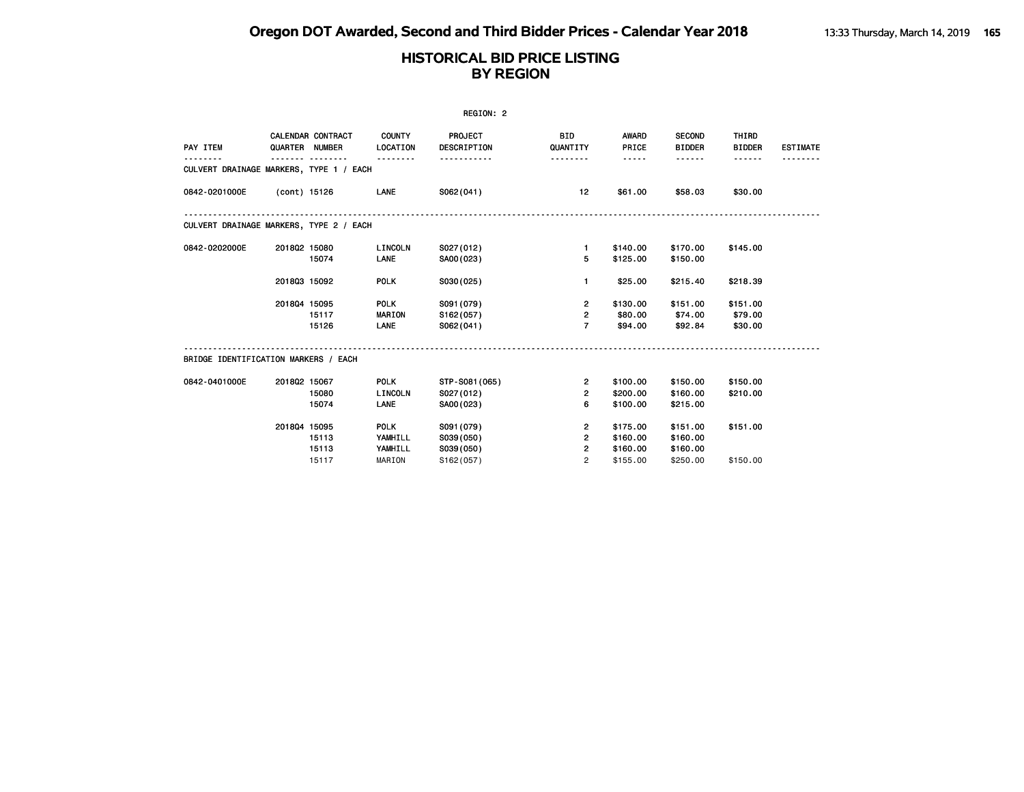|                                         | REGION: 2      |                   |                           |                        |                        |                       |                                |                        |                 |  |  |
|-----------------------------------------|----------------|-------------------|---------------------------|------------------------|------------------------|-----------------------|--------------------------------|------------------------|-----------------|--|--|
| PAY ITEM                                | QUARTER NUMBER | CALENDAR CONTRACT | <b>COUNTY</b><br>LOCATION | PROJECT<br>DESCRIPTION | <b>BID</b><br>QUANTITY | <b>AWARD</b><br>PRICE | <b>SECOND</b><br><b>BIDDER</b> | THIRD<br><b>BIDDER</b> | <b>ESTIMATE</b> |  |  |
| CULVERT DRAINAGE MARKERS, TYPE 1 / EACH |                |                   |                           |                        | --------               | -----                 | .                              |                        |                 |  |  |
| 0842-0201000E                           | (cont) 15126   |                   | LANE                      | SO62(041)              | 12                     | \$61.00               | \$58.03                        | \$30.00                |                 |  |  |
| CULVERT DRAINAGE MARKERS, TYPE 2 / EACH |                |                   |                           |                        |                        |                       |                                |                        |                 |  |  |
| 0842-0202000E                           | 201802 15080   |                   | LINCOLN                   | S027(012)              | $\mathbf{1}$           | \$140.00              | \$170.00                       | \$145.00               |                 |  |  |
|                                         |                | 15074             | LANE                      | SA00(023)              | 5                      | \$125.00              | \$150.00                       |                        |                 |  |  |
|                                         | 201803 15092   |                   | <b>POLK</b>               | S030(025)              | $\mathbf{1}$           | \$25.00               | \$215.40                       | \$218.39               |                 |  |  |
|                                         | 201804 15095   |                   | <b>POLK</b>               | S091 (079)             | $\overline{2}$         | \$130.00              | \$151.00                       | \$151.00               |                 |  |  |
|                                         |                | 15117             | <b>MARION</b>             | S162(057)              | $\overline{2}$         | \$80.00               | \$74.00                        | \$79.00                |                 |  |  |
|                                         |                | 15126             | LANE                      | SO62(041)              | $\overline{7}$         | \$94.00               | \$92.84                        | \$30.00                |                 |  |  |
| BRIDGE IDENTIFICATION MARKERS / EACH    |                |                   |                           |                        |                        |                       |                                |                        |                 |  |  |
| 0842-0401000E                           | 201802 15067   |                   | <b>POLK</b>               | STP-S081 (065)         | 2                      | \$100.00              | \$150.00                       | \$150.00               |                 |  |  |
|                                         |                | 15080             | LINCOLN                   | S027(012)              | $\overline{2}$         | \$200.00              | \$160.00                       | \$210.00               |                 |  |  |
|                                         |                | 15074             | <b>LANE</b>               | SA00(023)              | 6                      | \$100.00              | \$215.00                       |                        |                 |  |  |
|                                         | 201804 15095   |                   | <b>POLK</b>               | S091 (079)             | $\overline{2}$         | \$175.00              | \$151.00                       | \$151.00               |                 |  |  |
|                                         |                | 15113             | YAMHILL                   | S039(050)              | $\overline{2}$         | \$160.00              | \$160.00                       |                        |                 |  |  |
|                                         |                | 15113             | YAMHILL                   | S039(050)              | $\overline{2}$         | \$160.00              | \$160.00                       |                        |                 |  |  |
|                                         |                | 15117             | MARION                    | S162(057)              | $\overline{2}$         | \$155.00              | \$250.00                       | \$150,00               |                 |  |  |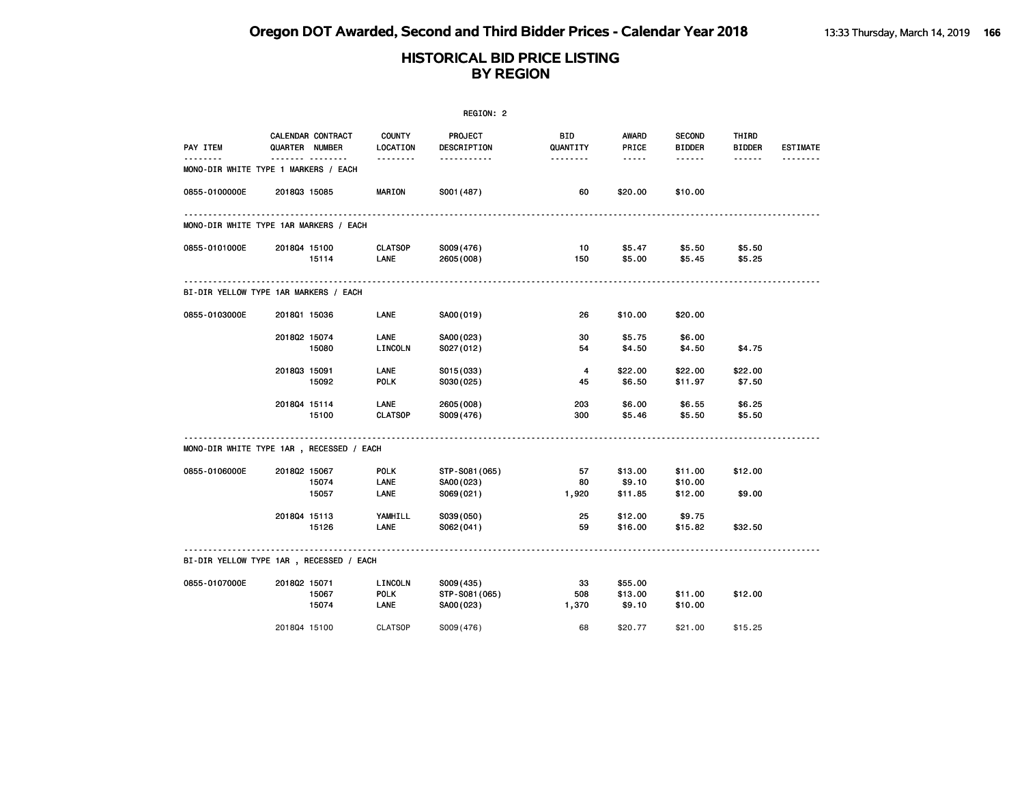|                                          |              |                                     |                                | REGION: 2                                |                        |                                                                                                                           |                                |                        |                 |
|------------------------------------------|--------------|-------------------------------------|--------------------------------|------------------------------------------|------------------------|---------------------------------------------------------------------------------------------------------------------------|--------------------------------|------------------------|-----------------|
| PAY ITEM                                 |              | CALENDAR CONTRACT<br>QUARTER NUMBER | <b>COUNTY</b><br>LOCATION      | <b>PROJECT</b><br>DESCRIPTION            | <b>BID</b><br>QUANTITY | <b>AWARD</b><br>PRICE                                                                                                     | <b>SECOND</b><br><b>BIDDER</b> | THIRD<br><b>BIDDER</b> | <b>ESTIMATE</b> |
| MONO-DIR WHITE TYPE 1 MARKERS / EACH     |              | <u> </u>                            | .                              | -----------                              | <u>.</u>               | $\frac{1}{2} \left( \frac{1}{2} \right) \left( \frac{1}{2} \right) \left( \frac{1}{2} \right) \left( \frac{1}{2} \right)$ | ------                         |                        | <u>.</u>        |
| 0855-0100000E                            | 201803 15085 |                                     | <b>MARION</b>                  | S001 (487)                               | 60                     | \$20.00                                                                                                                   | \$10.00                        |                        |                 |
| MONO-DIR WHITE TYPE 1AR MARKERS / EACH   |              |                                     |                                |                                          |                        |                                                                                                                           |                                |                        |                 |
| 0855-0101000E                            | 201804 15100 | 15114                               | <b>CLATSOP</b><br>LANE         | S009(476)<br>2605 (008)                  | 10<br>150              | \$5.47<br>\$5.00                                                                                                          | \$5.50<br>\$5.45               | \$5.50<br>\$5.25       |                 |
| BI-DIR YELLOW TYPE 1AR MARKERS / EACH    |              |                                     |                                |                                          |                        |                                                                                                                           |                                |                        |                 |
| 0855-0103000E                            | 201801 15036 |                                     | LANE                           | SA00(019)                                | 26                     | \$10.00                                                                                                                   | \$20.00                        |                        |                 |
|                                          | 201802 15074 | 15080                               | <b>LANE</b><br>LINCOLN         | SA00(023)<br>S027(012)                   | 30<br>54               | \$5.75<br>\$4.50                                                                                                          | \$6.00<br>\$4.50               | \$4.75                 |                 |
|                                          | 201803 15091 | 15092                               | <b>LANE</b><br><b>POLK</b>     | S015(033)<br>S030(025)                   | $\overline{4}$<br>45   | \$22.00<br>\$6.50                                                                                                         | \$22.00<br>\$11.97             | \$22.00<br>\$7.50      |                 |
|                                          | 201804 15114 | 15100                               | <b>LANE</b><br><b>CLATSOP</b>  | 2605 (008)<br>S009(476)                  | 203<br>300             | \$6.00<br>\$5.46                                                                                                          | \$6.55<br>\$5.50               | \$6.25<br>\$5.50       |                 |
| MONO-DIR WHITE TYPE 1AR, RECESSED / EACH |              |                                     |                                |                                          |                        |                                                                                                                           |                                |                        |                 |
| 0855-0106000E                            | 201802 15067 | 15074<br>15057                      | <b>POLK</b><br>LANE<br>LANE    | STP-S081(065)<br>SA00(023)<br>S069(021)  | 57<br>80<br>1,920      | \$13.00<br>\$9.10<br>\$11.85                                                                                              | \$11.00<br>\$10.00<br>\$12.00  | \$12.00<br>\$9.00      |                 |
|                                          | 201804 15113 | 15126                               | YAMHILL<br>LANE                | S039(050)<br>S062(041)                   | 25<br>59               | \$12.00<br>\$16.00                                                                                                        | \$9.75<br>\$15.82              | \$32.50                |                 |
| BI-DIR YELLOW TYPE 1AR, RECESSED / EACH  |              |                                     |                                |                                          |                        |                                                                                                                           |                                |                        |                 |
| 0855-0107000E                            | 201802 15071 | 15067<br>15074                      | LINCOLN<br><b>POLK</b><br>LANE | S009(435)<br>STP-S081 (065)<br>SA00(023) | 33<br>508<br>1,370     | \$55.00<br>\$13.00<br>\$9.10                                                                                              | \$11.00<br>\$10.00             | \$12.00                |                 |
|                                          | 201804 15100 |                                     | <b>CLATSOP</b>                 | S009(476)                                | 68                     | \$20.77                                                                                                                   | \$21.00                        | \$15.25                |                 |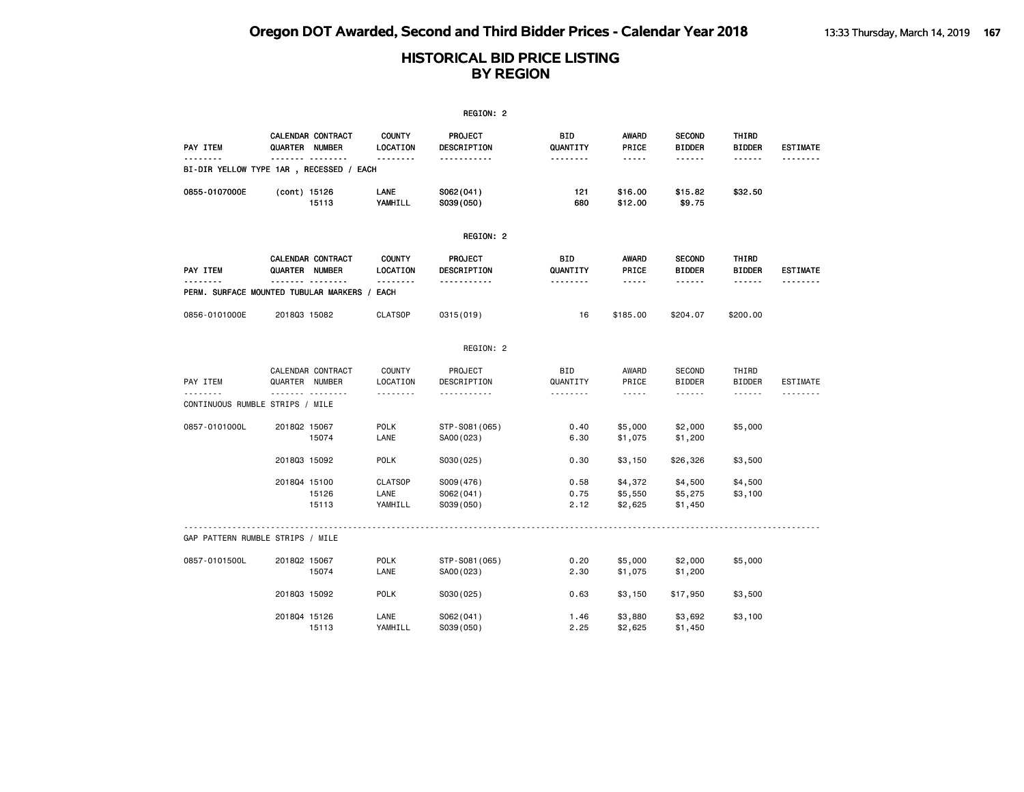|                 |                                                           |                                   | REGION: 2                           |                      |                                    |                                |                        |                 |
|-----------------|-----------------------------------------------------------|-----------------------------------|-------------------------------------|----------------------|------------------------------------|--------------------------------|------------------------|-----------------|
| <b>PAY ITEM</b> | CALENDAR CONTRACT<br>QUARTER NUMBER                       | <b>COUNTY</b><br>LOCATION         | PROJECT<br>DESCRIPTION              | BID<br>QUANTITY      | <b>AWARD</b><br>PRICE              | <b>SECOND</b><br><b>BIDDER</b> | THIRD<br><b>BIDDER</b> | <b>ESTIMATE</b> |
| .               | .<br>BI-DIR YELLOW TYPE 1AR, RECESSED / EACH              | --------                          | -----------                         | --------             | $- - - - -$                        | ------                         | ------                 |                 |
| 0855-0107000E   | (cont) 15126<br>15113                                     | LANE<br>YAMHILL                   | S062(041)<br>S039(050)              | 121<br>680           | \$16.00<br>\$12.00                 | \$15.82<br>\$9.75              | \$32.50                |                 |
|                 |                                                           |                                   | REGION: 2                           |                      |                                    |                                |                        |                 |
| PAY ITEM        | CALENDAR CONTRACT<br>QUARTER NUMBER                       | <b>COUNTY</b><br>LOCATION         | PROJECT<br>DESCRIPTION              | BID<br>QUANTITY      | AWARD<br>PRICE                     | <b>SECOND</b><br><b>BIDDER</b> | THIRD<br><b>BIDDER</b> | <b>ESTIMATE</b> |
|                 | . <sub>.</sub><br>PERM. SURFACE MOUNTED TUBULAR MARKERS / | <u>.</u><br>EACH                  | <u>.</u>                            | <u>.</u>             | $- - - - -$                        | ------                         | ------                 |                 |
| 0856-0101000E   | 201803 15082                                              | <b>CLATSOP</b>                    | 0315 (019)                          | 16                   | \$185.00                           | \$204.07                       | \$200.00               |                 |
|                 |                                                           |                                   | REGION: 2                           |                      |                                    |                                |                        |                 |
| PAY ITEM        | CALENDAR CONTRACT<br>QUARTER NUMBER                       | <b>COUNTY</b><br>LOCATION         | PROJECT<br>DESCRIPTION              | BID<br>QUANTITY      | AWARD<br>PRICE                     | SECOND<br><b>BIDDER</b>        | THIRD<br><b>BIDDER</b> | <b>ESTIMATE</b> |
|                 | . <sub>.</sub><br>CONTINUOUS RUMBLE STRIPS / MILE         | <u>.</u>                          | <u>.</u>                            | .                    | $\sim$ $\sim$ $\sim$ $\sim$ $\sim$ | ------                         | ------                 |                 |
| 0857-0101000L   | 201802 15067<br>15074                                     | <b>POLK</b><br>LANE               | STP-S081 (065)<br>SA00(023)         | 0.40<br>6.30         | \$5,000<br>\$1,075                 | \$2,000<br>\$1,200             | \$5,000                |                 |
|                 | 201803 15092                                              | <b>POLK</b>                       | S030(025)                           | 0.30                 | \$3,150                            | \$26,326                       | \$3,500                |                 |
|                 | 201804 15100<br>15126<br>15113                            | <b>CLATSOP</b><br>LANE<br>YAMHILL | S009(476)<br>S062(041)<br>S039(050) | 0.58<br>0.75<br>2.12 | \$4,372<br>\$5,550<br>\$2,625      | \$4,500<br>\$5,275<br>\$1,450  | \$4,500<br>\$3,100     |                 |
|                 | GAP PATTERN RUMBLE STRIPS / MILE                          |                                   |                                     |                      |                                    |                                |                        |                 |
| 0857-0101500L   | 201802 15067<br>15074                                     | <b>POLK</b><br>LANE               | STP-S081 (065)<br>SA00(023)         | 0.20<br>2.30         | \$5,000<br>\$1,075                 | \$2,000<br>\$1,200             | \$5,000                |                 |
|                 | 201803 15092                                              | <b>POLK</b>                       | S030(025)                           | 0.63                 | \$3,150                            | \$17,950                       | \$3,500                |                 |
|                 | 201804 15126<br>15113                                     | LANE<br>YAMHILL                   | S062(041)<br>S039(050)              | 1.46<br>2.25         | \$3,880<br>\$2,625                 | \$3,692<br>\$1,450             | \$3,100                |                 |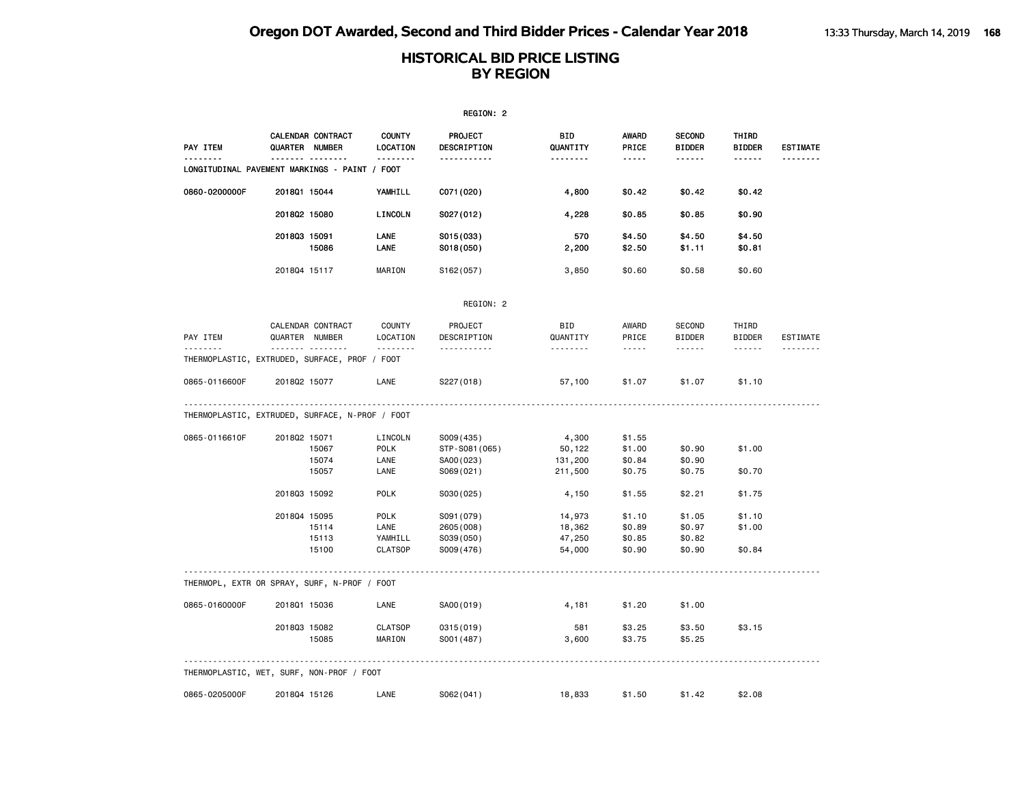| REGION: 2     |                                                           |                                           |                                                      |                                       |                                      |                                      |                            |                             |  |  |
|---------------|-----------------------------------------------------------|-------------------------------------------|------------------------------------------------------|---------------------------------------|--------------------------------------|--------------------------------------|----------------------------|-----------------------------|--|--|
| PAY ITEM      | CALENDAR CONTRACT<br>QUARTER NUMBER                       | <b>COUNTY</b><br>LOCATION                 | PROJECT<br>DESCRIPTION                               | BID<br>QUANTITY                       | <b>AWARD</b><br>PRICE                | <b>SECOND</b><br><b>BIDDER</b>       | THIRD<br><b>BIDDER</b>     | <b>ESTIMATE</b>             |  |  |
| .             | <u> </u><br>LONGITUDINAL PAVEMENT MARKINGS - PAINT / FOOT | .                                         | <u>.</u>                                             | <u>.</u>                              | $- - - - -$                          | ------                               | ------                     |                             |  |  |
| 0860-0200000F | 201801 15044                                              | YAMHILL                                   | C071 (020)                                           | 4,800                                 | \$0.42                               | \$0.42                               | \$0.42                     |                             |  |  |
|               | 201802 15080                                              | LINCOLN                                   | S027(012)                                            | 4,228                                 | \$0.85                               | \$0.85                               | \$0.90                     |                             |  |  |
|               | 201803 15091<br>15086                                     | LANE<br>LANE                              | S015(033)<br>S018(050)                               | 570<br>2,200                          | \$4.50<br>\$2.50                     | \$4.50<br>\$1.11                     | \$4.50<br>\$0.81           |                             |  |  |
|               | 201804 15117                                              | MARION                                    | S162(057)                                            | 3,850                                 | \$0.60                               | \$0.58                               | \$0.60                     |                             |  |  |
|               |                                                           |                                           | REGION: 2                                            |                                       |                                      |                                      |                            |                             |  |  |
| PAY ITEM<br>. | CALENDAR CONTRACT<br>QUARTER NUMBER<br>.                  | <b>COUNTY</b><br>LOCATION                 | PROJECT<br>DESCRIPTION<br><u>.</u>                   | BID<br>QUANTITY<br>.                  | AWARD<br>PRICE<br>$- - - - -$        | <b>SECOND</b><br><b>BIDDER</b><br>.  | THIRD<br><b>BIDDER</b>     | <b>ESTIMATE</b><br><u>.</u> |  |  |
|               | THERMOPLASTIC, EXTRUDED, SURFACE, PROF / FOOT             | .                                         |                                                      |                                       |                                      |                                      | ------                     |                             |  |  |
| 0865-0116600F | 201802 15077                                              | LANE                                      | S227 (018)                                           | 57,100                                | \$1.07                               | \$1.07                               | \$1.10                     |                             |  |  |
|               | THERMOPLASTIC, EXTRUDED, SURFACE, N-PROF / FOOT           |                                           |                                                      |                                       |                                      |                                      |                            |                             |  |  |
| 0865-0116610F | 201802 15071<br>15067<br>15074<br>15057                   | LINCOLN<br><b>POLK</b><br>LANE<br>LANE    | S009(435)<br>STP-S081(065)<br>SA00(023)<br>S069(021) | 4,300<br>50,122<br>131,200<br>211,500 | \$1.55<br>\$1.00<br>\$0.84<br>\$0.75 | \$0.90<br>\$0.90<br>\$0.75           | \$1,00<br>\$0.70           |                             |  |  |
|               | 201803 15092                                              | <b>POLK</b>                               | S030(025)                                            | 4,150                                 | \$1.55                               | \$2.21                               | \$1.75                     |                             |  |  |
|               | 201804 15095<br>15114<br>15113<br>15100                   | POLK<br>LANE<br>YAMHILL<br><b>CLATSOP</b> | S091 (079)<br>2605 (008)<br>S039(050)<br>S009(476)   | 14,973<br>18,362<br>47,250<br>54,000  | \$1.10<br>\$0.89<br>\$0.85<br>\$0.90 | \$1.05<br>\$0.97<br>\$0.82<br>\$0.90 | \$1.10<br>\$1.00<br>\$0.84 |                             |  |  |
|               | THERMOPL, EXTR OR SPRAY, SURF, N-PROF / FOOT              |                                           |                                                      |                                       |                                      |                                      |                            |                             |  |  |
| 0865-0160000F | 201801 15036                                              | LANE                                      | SA00(019)                                            | 4,181                                 | \$1.20                               | \$1.00                               |                            |                             |  |  |
|               | 201803 15082<br>15085                                     | <b>CLATSOP</b><br>MARION                  | 0315 (019)<br>S001 (487)                             | 581<br>3,600                          | \$3.25<br>\$3.75                     | \$3.50<br>\$5.25                     | \$3.15                     |                             |  |  |
|               | THERMOPLASTIC, WET, SURF, NON-PROF / FOOT                 |                                           |                                                      |                                       |                                      |                                      |                            |                             |  |  |
| 0865-0205000F | 201804 15126                                              | LANE                                      | S062(041)                                            | 18,833                                | \$1.50                               | \$1.42                               | \$2.08                     |                             |  |  |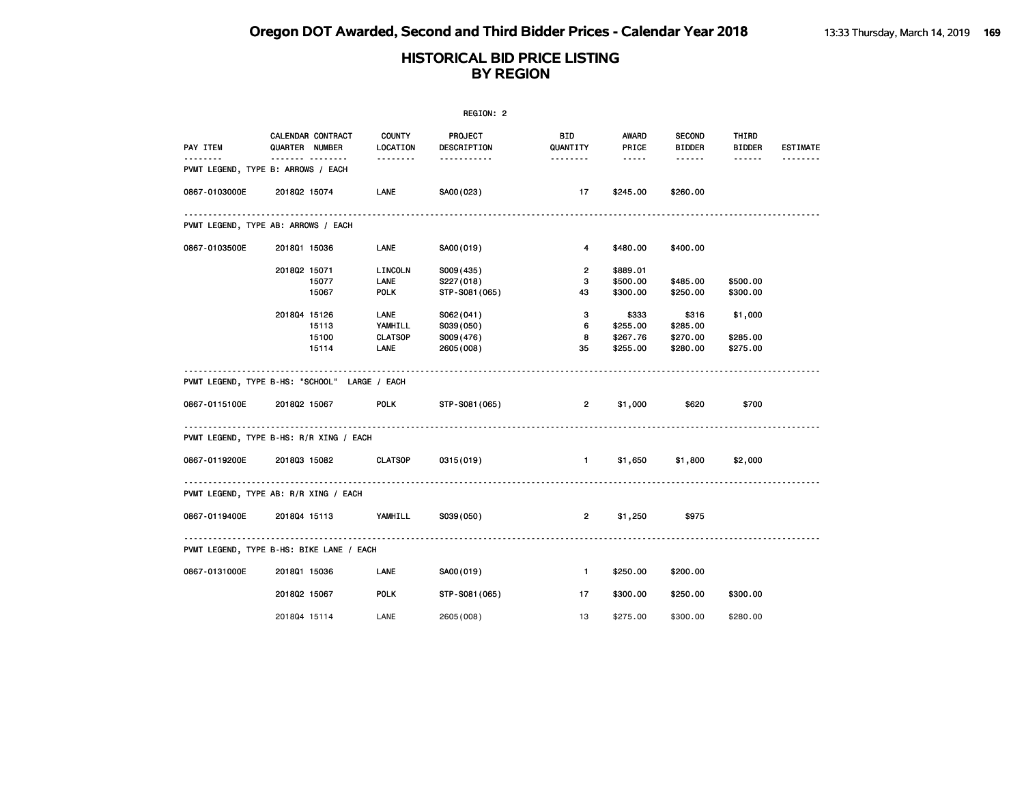|                                                         |              |                                     |                           | REGION: 2              |                        |                                                                                                                                                      |                                |                        |                 |
|---------------------------------------------------------|--------------|-------------------------------------|---------------------------|------------------------|------------------------|------------------------------------------------------------------------------------------------------------------------------------------------------|--------------------------------|------------------------|-----------------|
| PAY ITEM                                                |              | CALENDAR CONTRACT<br>QUARTER NUMBER | <b>COUNTY</b><br>LOCATION | PROJECT<br>DESCRIPTION | <b>BID</b><br>QUANTITY | <b>AWARD</b><br>PRICE                                                                                                                                | <b>SECOND</b><br><b>BIDDER</b> | THIRD<br><b>BIDDER</b> | <b>ESTIMATE</b> |
| $- - - - - - - -$<br>PVMT LEGEND, TYPE B: ARROWS / EACH |              | .                                   | <u> - - - - - - -</u>     | -----------            | <u> - - - - - - -</u>  | $\frac{1}{2} \left( \frac{1}{2} \right) \left( \frac{1}{2} \right) \left( \frac{1}{2} \right) \left( \frac{1}{2} \right) \left( \frac{1}{2} \right)$ | ------                         | ------                 | <u>.</u>        |
| 0867-0103000E                                           |              | 201802 15074                        | LANE                      | SA00(023)              | 17                     | \$245.00                                                                                                                                             | \$260.00                       |                        |                 |
| PVMT LEGEND, TYPE AB: ARROWS / EACH                     |              |                                     |                           |                        |                        |                                                                                                                                                      |                                |                        |                 |
| 0867-0103500E                                           | 201801 15036 |                                     | <b>LANE</b>               | SA00(019)              | 4                      | \$480.00                                                                                                                                             | \$400.00                       |                        |                 |
|                                                         | 201802 15071 |                                     | LINCOLN                   | S009(435)              | $\overline{2}$         | \$889.01                                                                                                                                             |                                |                        |                 |
|                                                         |              | 15077                               | LANE                      | S227(018)              | 3                      | \$500.00                                                                                                                                             | \$485.00                       | \$500.00               |                 |
|                                                         |              | 15067                               | POLK                      | STP-S081(065)          | 43                     | \$300.00                                                                                                                                             | \$250.00                       | \$300.00               |                 |
|                                                         | 201804 15126 |                                     | LANE                      | S062(041)              | 3                      | \$333                                                                                                                                                | \$316                          | \$1,000                |                 |
|                                                         |              | 15113                               | YAMHILL                   | S039(050)              | 6                      | \$255.00                                                                                                                                             | \$285.00                       |                        |                 |
|                                                         |              | 15100                               | CLATSOP                   | S009(476)              | 8                      | \$267.76                                                                                                                                             | \$270.00                       | \$285.00               |                 |
|                                                         |              | 15114                               | LANE                      | 2605 (008)             | 35                     | \$255.00                                                                                                                                             | \$280.00                       | \$275.00               |                 |
| PVMT LEGEND, TYPE B-HS: "SCHOOL" LARGE / EACH           |              |                                     |                           |                        |                        |                                                                                                                                                      |                                |                        |                 |
| 0867-0115100E 2018Q2 15067                              |              |                                     | <b>POLK</b>               | STP-S081(065)          |                        | 2 \$1,000                                                                                                                                            | \$620                          | \$700                  |                 |
| PVMT LEGEND, TYPE B-HS: R/R XING / EACH                 |              |                                     |                           |                        |                        |                                                                                                                                                      |                                |                        |                 |
| 0867-0119200E                                           | 201803 15082 |                                     | CLATSOP 0315 (019)        |                        | $\sim$ 1               | \$1,650                                                                                                                                              | \$1,800                        | \$2,000                |                 |
| PVMT LEGEND, TYPE AB: R/R XING / EACH                   |              |                                     |                           |                        |                        |                                                                                                                                                      |                                |                        |                 |
| 0867-0119400E 2018Q4 15113                              |              |                                     | YAMHILL S039(050)         |                        | $2^{\circ}$            | \$1,250                                                                                                                                              | \$975                          |                        |                 |
| PVMT LEGEND, TYPE B-HS: BIKE LANE / EACH                |              |                                     |                           |                        |                        |                                                                                                                                                      |                                |                        |                 |
| 0867-0131000E                                           | 201801 15036 |                                     | <b>LANE</b>               | SA00(019)              | $\blacksquare$         | \$250.00                                                                                                                                             | \$200.00                       |                        |                 |
|                                                         | 201802 15067 |                                     | <b>POLK</b>               | STP-S081(065)          | 17                     | \$300.00                                                                                                                                             | \$250.00                       | \$300.00               |                 |
|                                                         | 201804 15114 |                                     | LANE                      | 2605 (008)             | 13                     | \$275.00                                                                                                                                             | \$300.00                       | \$280.00               |                 |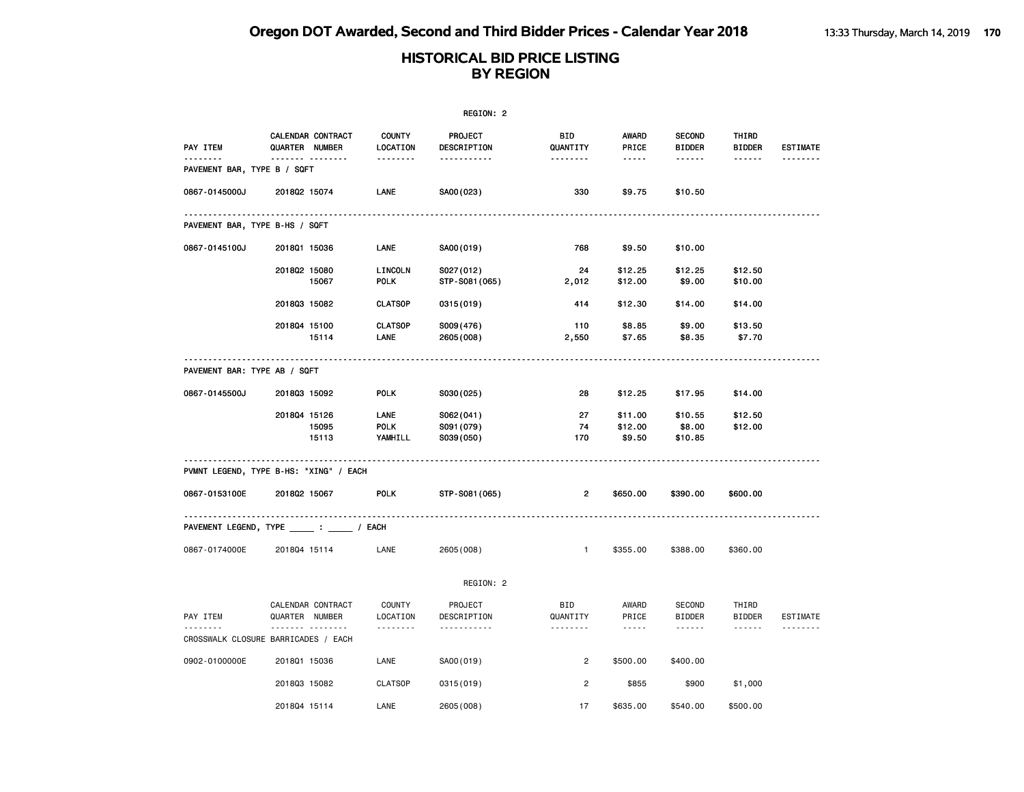|                                                 |                |                   |                                | REGION: 2                            |                        |                                    |                                |                               |                 |
|-------------------------------------------------|----------------|-------------------|--------------------------------|--------------------------------------|------------------------|------------------------------------|--------------------------------|-------------------------------|-----------------|
| PAY ITEM                                        | QUARTER NUMBER | CALENDAR CONTRACT | <b>COUNTY</b><br>LOCATION      | <b>PROJECT</b><br>DESCRIPTION        | <b>BID</b><br>QUANTITY | <b>AWARD</b><br>PRICE              | <b>SECOND</b><br><b>BIDDER</b> | <b>THIRD</b><br><b>BIDDER</b> | <b>ESTIMATE</b> |
| PAVEMENT BAR, TYPE B / SQFT                     | <b>.</b>       |                   | .                              | .                                    | --------               | -----                              | .                              | $\cdots\cdots\cdots$          | .               |
| 0867-0145000J                                   | 201802 15074   |                   | LANE                           | SA00(023)                            | 330                    | \$9.75                             | \$10.50                        |                               |                 |
| PAVEMENT BAR, TYPE B-HS / SQFT                  |                |                   |                                |                                      |                        |                                    |                                |                               |                 |
| 0867-0145100J                                   | 201801 15036   |                   | LANE                           | SA00(019)                            | 768                    | \$9.50                             | \$10.00                        |                               |                 |
|                                                 | 201802 15080   | 15067             | LINCOLN<br><b>POLK</b>         | S027(012)<br>STP-S081 (065)          | 24<br>2,012            | \$12.25<br>\$12.00                 | \$12.25<br>\$9.00              | \$12.50<br>\$10.00            |                 |
|                                                 | 201803 15082   |                   | <b>CLATSOP</b>                 | 0315(019)                            | 414                    | \$12.30                            | \$14.00                        | \$14.00                       |                 |
|                                                 | 201804 15100   | 15114             | <b>CLATSOP</b><br>LANE         | S009(476)<br>2605 (008)              | 110<br>2,550           | \$8.85<br>\$7.65                   | \$9.00<br>\$8.35               | \$13.50<br>\$7.70             |                 |
| PAVEMENT BAR: TYPE AB / SQFT                    |                |                   |                                |                                      |                        |                                    |                                |                               |                 |
| 0867-0145500J                                   | 201803 15092   |                   | <b>POLK</b>                    | S030(025)                            | 28                     | \$12.25                            | \$17.95                        | \$14.00                       |                 |
|                                                 | 201804 15126   | 15095<br>15113    | LANE<br><b>POLK</b><br>YAMHILL | S062(041)<br>S091 (079)<br>S039(050) | 27<br>74<br>170        | \$11.00<br>\$12.00<br>\$9.50       | \$10.55<br>\$8.00<br>\$10.85   | \$12.50<br>\$12.00            |                 |
| PVMNT LEGEND, TYPE B-HS: "XING" / EACH          |                |                   |                                |                                      |                        |                                    |                                |                               |                 |
| 0867-0153100E                                   | 201802 15067   |                   | <b>POLK</b>                    | STP-S081 (065)                       | $\overline{2}$         | \$650.00                           | \$390.00                       | \$600.00                      |                 |
| PAVEMENT LEGEND, TYPE ______ : _____ / EACH     |                |                   |                                |                                      |                        |                                    |                                |                               |                 |
| 0867-0174000E                                   | 201804 15114   |                   | LANE                           | 2605 (008)                           | $\mathbf{1}$           | \$355.00                           | \$388.00                       | \$360.00                      |                 |
|                                                 |                |                   |                                | REGION: 2                            |                        |                                    |                                |                               |                 |
| PAY ITEM                                        | QUARTER NUMBER | CALENDAR CONTRACT | COUNTY<br>LOCATION             | PROJECT<br>DESCRIPTION               | BID<br>QUANTITY        | AWARD<br>PRICE                     | SECOND<br><b>BIDDER</b>        | THIRD<br><b>BIDDER</b>        | ESTIMATE        |
| <u>.</u><br>CROSSWALK CLOSURE BARRICADES / EACH |                |                   | .                              | .                                    | <u>.</u>               | $\sim$ $\sim$ $\sim$ $\sim$ $\sim$ | ------                         |                               | <u>.</u>        |
| 0902-0100000E                                   | 201801 15036   |                   | LANE                           | SA00(019)                            | $\overline{2}$         | \$500,00                           | \$400.00                       |                               |                 |
|                                                 | 201803 15082   |                   | <b>CLATSOP</b>                 | 0315 (019)                           | 2                      | \$855                              | \$900                          | \$1,000                       |                 |
|                                                 | 201804 15114   |                   | LANE                           | 2605 (008)                           | 17                     | \$635.00                           | \$540.00                       | \$500.00                      |                 |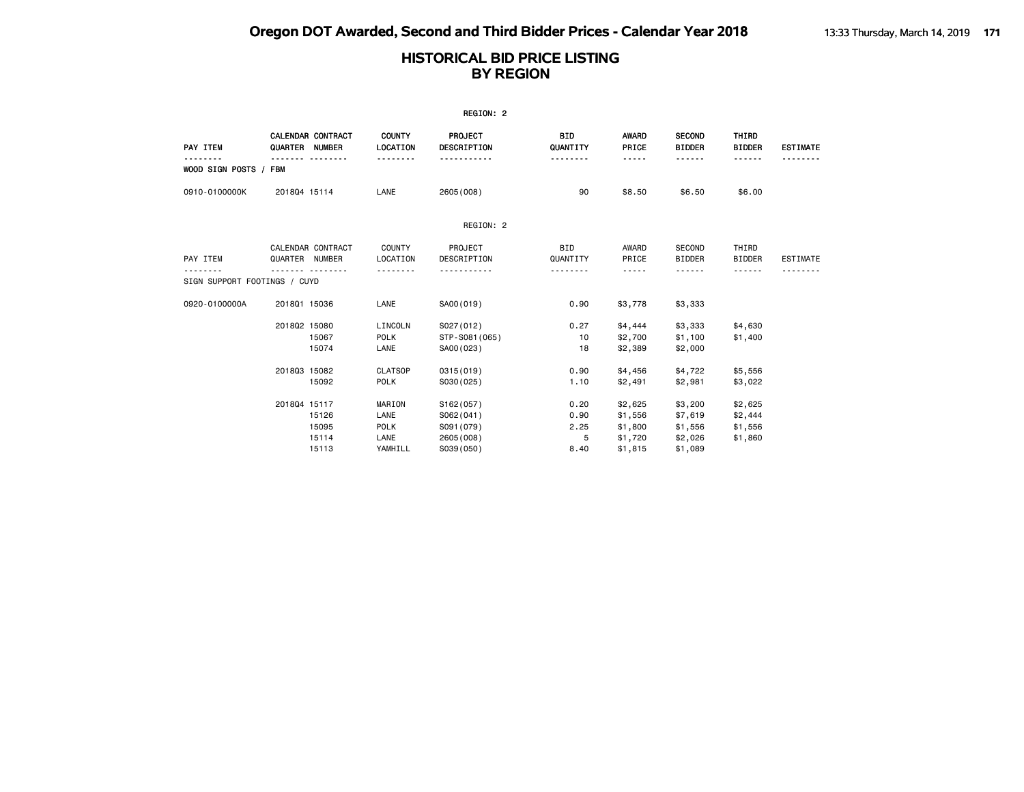| REGION: 2                    |                |                         |                                       |                                                    |                           |                                          |                                          |                                          |                 |  |
|------------------------------|----------------|-------------------------|---------------------------------------|----------------------------------------------------|---------------------------|------------------------------------------|------------------------------------------|------------------------------------------|-----------------|--|
| PAY ITEM                     | QUARTER NUMBER | CALENDAR CONTRACT       | <b>COUNTY</b><br>LOCATION             | PROJECT<br>DESCRIPTION                             | <b>BID</b><br>QUANTITY    | <b>AWARD</b><br>PRICE                    | <b>SECOND</b><br><b>BIDDER</b>           | THIRD<br><b>BIDDER</b>                   | <b>ESTIMATE</b> |  |
| WOOD SIGN POSTS / FBM        |                |                         | .                                     | .                                                  | <u>.</u>                  | -----                                    | ------                                   | ------                                   |                 |  |
| 0910-0100000K                | 201804 15114   |                         | LANE                                  | 2605 (008)                                         | 90                        | \$8.50                                   | \$6.50                                   | \$6.00                                   |                 |  |
|                              |                |                         |                                       | REGION: 2                                          |                           |                                          |                                          |                                          |                 |  |
| PAY ITEM                     | QUARTER NUMBER | CALENDAR CONTRACT       | COUNTY<br>LOCATION                    | PROJECT<br>DESCRIPTION                             | <b>BID</b><br>QUANTITY    | AWARD<br>PRICE                           | SECOND<br><b>BIDDER</b>                  | THIRD<br><b>BIDDER</b>                   | <b>ESTIMATE</b> |  |
| SIGN SUPPORT FOOTINGS / CUYD |                |                         |                                       |                                                    |                           | -----                                    | ------                                   | ------                                   |                 |  |
| 0920-0100000A                | 201801 15036   |                         | LANE                                  | SA00(019)                                          | 0.90                      | \$3,778                                  | \$3,333                                  |                                          |                 |  |
|                              | 201802 15080   | 15067<br>15074          | LINCOLN<br>POLK<br>LANE               | S027(012)<br>STP-S081 (065)<br>SA00(023)           | 0.27<br>10<br>18          | \$4,444<br>\$2,700<br>\$2,389            | \$3,333<br>\$1,100<br>\$2,000            | \$4,630<br>\$1,400                       |                 |  |
|                              | 201803 15082   | 15092                   | <b>CLATSOP</b><br>POLK                | 0315(019)<br>S030(025)                             | 0.90<br>1.10              | \$4,456<br>\$2,491                       | \$4,722<br>\$2,981                       | \$5,556<br>\$3,022                       |                 |  |
|                              | 201804 15117   | 15126<br>15095<br>15114 | MARION<br>LANE<br><b>POLK</b><br>LANE | S162(057)<br>S062(041)<br>S091 (079)<br>2605 (008) | 0.20<br>0.90<br>2.25<br>5 | \$2,625<br>\$1,556<br>\$1,800<br>\$1,720 | \$3,200<br>\$7,619<br>\$1,556<br>\$2,026 | \$2,625<br>\$2,444<br>\$1,556<br>\$1,860 |                 |  |
|                              |                | 15113                   | YAMHILL                               | S039(050)                                          | 8,40                      | \$1,815                                  | \$1,089                                  |                                          |                 |  |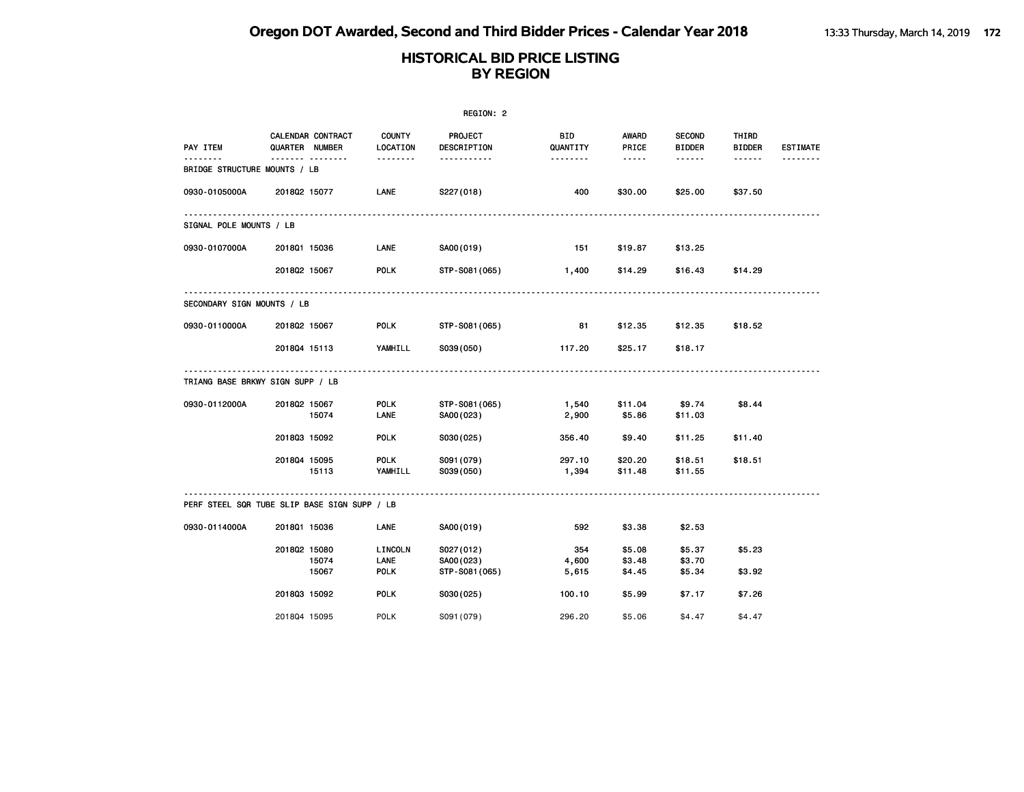|                              |                                              |                                | REGION: 2                               |                       |                            |                                |                        |                 |
|------------------------------|----------------------------------------------|--------------------------------|-----------------------------------------|-----------------------|----------------------------|--------------------------------|------------------------|-----------------|
| PAY ITEM                     | <b>CALENDAR CONTRACT</b><br>QUARTER NUMBER   | <b>COUNTY</b><br>LOCATION      | PROJECT<br>DESCRIPTION                  | BID<br>QUANTITY       | AWARD<br>PRICE             | <b>SECOND</b><br><b>BIDDER</b> | THIRD<br><b>BIDDER</b> | <b>ESTIMATE</b> |
| BRIDGE STRUCTURE MOUNTS / LB | .                                            | <u>.</u>                       | <u>.</u>                                | 1.1.1.1.1.1.1         | $\cdots \cdots$            | ------                         | $- - - - - -$          | --------        |
| 0930-0105000A                | 201802 15077                                 | LANE                           | S227(018)                               | 400                   | \$30.00                    | \$25.00                        | \$37.50                |                 |
| SIGNAL POLE MOUNTS / LB      |                                              |                                |                                         |                       |                            |                                |                        |                 |
| 0930-0107000A                | 201801 15036                                 | LANE                           | SA00(019)                               | 151                   | \$19.87                    | \$13.25                        |                        |                 |
|                              | 2018Q2 15067                                 | <b>POLK</b>                    | STP-S081(065)                           | 1,400                 | \$14.29                    | \$16.43                        | \$14.29                |                 |
| SECONDARY SIGN MOUNTS / LB   |                                              |                                |                                         |                       |                            |                                |                        |                 |
| 0930-0110000A                | 201802 15067                                 | <b>POLK</b>                    | STP-S081(065)                           | 81                    | \$12.35                    | \$12.35                        | \$18.52                |                 |
|                              | 201804 15113                                 | YAMHILL                        | S039(050)                               | 117.20                | \$25.17                    | \$18.17                        |                        |                 |
|                              | TRIANG BASE BRKWY SIGN SUPP / LB             |                                |                                         |                       |                            |                                |                        |                 |
| 0930-0112000A                | 2018Q2 15067<br>15074                        | <b>POLK</b><br>LANE            | STP-S081 (065)<br>SA00(023)             | 1,540<br>2,900        | \$11.04<br>\$5.86          | \$9.74<br>\$11.03              | \$8.44                 |                 |
|                              | 201803 15092                                 | <b>POLK</b>                    | S030(025)                               | 356.40                | \$9.40                     | \$11.25                        | \$11.40                |                 |
|                              | 201804 15095<br>15113                        | <b>POLK</b><br>YAMHILL         | S091 (079)<br>S039(050)                 | 297.10<br>1,394       | \$20.20<br>\$11.48         | \$18.51<br>\$11.55             | \$18.51                |                 |
|                              | PERF STEEL SQR TUBE SLIP BASE SIGN SUPP / LB |                                |                                         |                       |                            |                                |                        |                 |
| 0930-0114000A                | 201801 15036                                 | LANE                           | SA00(019)                               | 592                   | \$3.38                     | \$2.53                         |                        |                 |
|                              | 2018Q2 15080<br>15074<br>15067               | LINCOLN<br>LANE<br><b>POLK</b> | S027(012)<br>SA00(023)<br>STP-S081(065) | 354<br>4,600<br>5,615 | \$5.08<br>\$3.48<br>\$4.45 | \$5.37<br>\$3.70<br>\$5.34     | \$5.23<br>\$3.92       |                 |
|                              | 201803 15092                                 | <b>POLK</b>                    | S030(025)                               | 100.10                | \$5.99                     | \$7.17                         | \$7.26                 |                 |
|                              | 201804 15095                                 | <b>POLK</b>                    | S091 (079)                              | 296.20                | \$5.06                     | \$4.47                         | \$4.47                 |                 |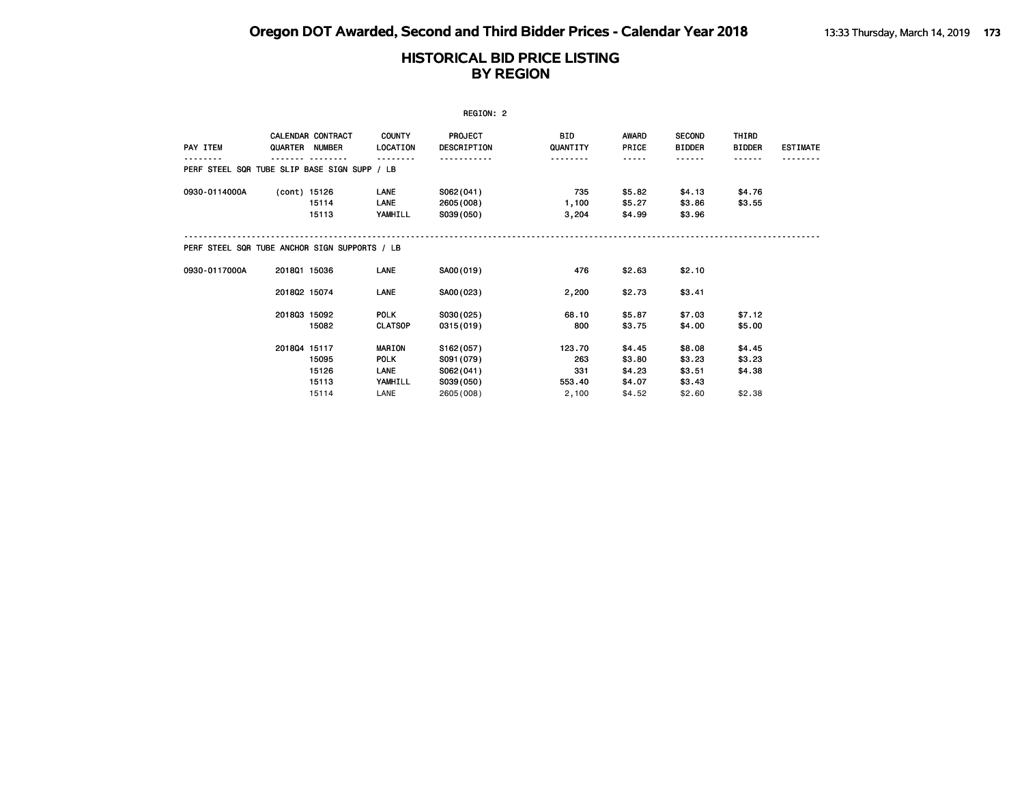|                                               |                |                          |                                                 | REGION: 2                                         |                                |                                      |                                      |                            |                 |
|-----------------------------------------------|----------------|--------------------------|-------------------------------------------------|---------------------------------------------------|--------------------------------|--------------------------------------|--------------------------------------|----------------------------|-----------------|
| PAY ITEM                                      | QUARTER NUMBER | <b>CALENDAR CONTRACT</b> | <b>COUNTY</b><br>LOCATION                       | <b>PROJECT</b><br>DESCRIPTION                     | BID<br>QUANTITY                | <b>AWARD</b><br>PRICE<br>-----       | <b>SECOND</b><br><b>BIDDER</b>       | THIRD<br><b>BIDDER</b>     | <b>ESTIMATE</b> |
| PERF STEEL SQR TUBE SLIP BASE SIGN SUPP / LB  |                |                          |                                                 |                                                   |                                |                                      |                                      |                            |                 |
| 0930-0114000A                                 | (cont) 15126   | 15114<br>15113           | LANE<br>LANE<br>YAMHILL                         | S062(041)<br>2605 (008)<br>S039(050)              | 735<br>1,100<br>3,204          | \$5.82<br>\$5.27<br>\$4.99           | \$4.13<br>\$3.86<br>\$3.96           | \$4.76<br>\$3.55           |                 |
| PERF STEEL SQR TUBE ANCHOR SIGN SUPPORTS / LB |                |                          |                                                 |                                                   |                                |                                      |                                      |                            |                 |
| 0930-0117000A                                 | 201801 15036   |                          | LANE                                            | SA00(019)                                         | 476                            | \$2.63                               | \$2.10                               |                            |                 |
|                                               | 201802 15074   |                          | LANE                                            | SA00(023)                                         | 2,200                          | \$2.73                               | \$3.41                               |                            |                 |
|                                               | 201803 15092   | 15082                    | <b>POLK</b><br><b>CLATSOP</b>                   | S030(025)<br>0315 (019)                           | 68.10<br>800                   | \$5.87<br>\$3.75                     | \$7.03<br>\$4.00                     | \$7.12<br>\$5.00           |                 |
|                                               | 201804 15117   | 15095<br>15126<br>15113  | <b>MARION</b><br><b>POLK</b><br>LANE<br>YAMHILL | S162(057)<br>S091 (079)<br>SO62(041)<br>S039(050) | 123.70<br>263<br>331<br>553.40 | \$4.45<br>\$3.80<br>\$4.23<br>\$4.07 | \$8.08<br>\$3.23<br>\$3.51<br>\$3.43 | \$4.45<br>\$3.23<br>\$4.38 |                 |
|                                               |                | 15114                    | LANE                                            | 2605 (008)                                        | 2,100                          | \$4.52                               | \$2.60                               | \$2.38                     |                 |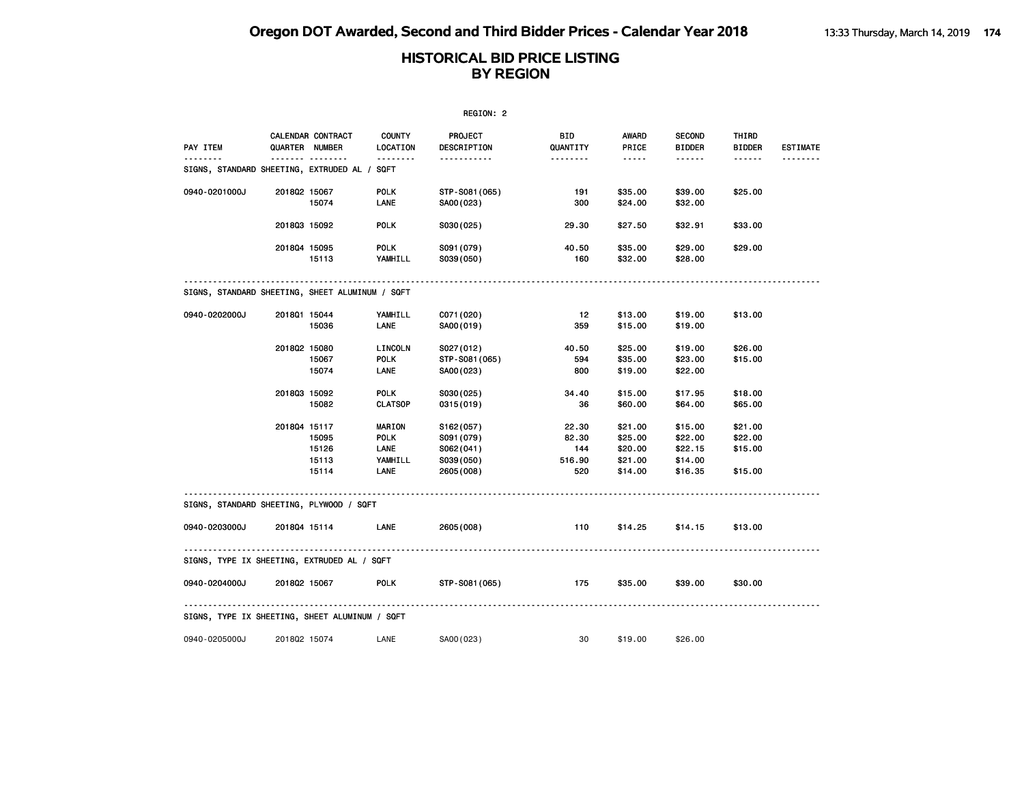|                                                 |                                     |                       | REGION: 2              |                       |                                                                                                               |                                |                        |                 |
|-------------------------------------------------|-------------------------------------|-----------------------|------------------------|-----------------------|---------------------------------------------------------------------------------------------------------------|--------------------------------|------------------------|-----------------|
| PAY ITEM                                        | CALENDAR CONTRACT<br>QUARTER NUMBER | COUNTY<br>LOCATION    | PROJECT<br>DESCRIPTION | BID<br>QUANTITY       | AWARD<br>PRICE                                                                                                | <b>SECOND</b><br><b>BIDDER</b> | THIRD<br><b>BIDDER</b> | <b>ESTIMATE</b> |
| SIGNS, STANDARD SHEETING, EXTRUDED AL / SQFT    | <u></u>                             | <u> - - - - - - -</u> | -----------            | <u> - - - - - - -</u> | $\frac{1}{2} \frac{1}{2} \frac{1}{2} \frac{1}{2} \frac{1}{2} \frac{1}{2} \frac{1}{2} \frac{1}{2} \frac{1}{2}$ | ------                         | ------                 |                 |
| 0940-0201000J                                   | 201802 15067                        | POLK                  | STP-S081(065)          | 191                   | \$35.00                                                                                                       | \$39.00                        | \$25.00                |                 |
|                                                 | 15074                               | LANE                  | SA00(023)              | 300                   | \$24.00                                                                                                       | \$32.00                        |                        |                 |
|                                                 | 201803 15092                        | <b>POLK</b>           | S030(025)              | 29.30                 | \$27.50                                                                                                       | \$32.91                        | \$33.00                |                 |
|                                                 | 201804 15095                        | <b>POLK</b>           | S091 (079)             | 40.50                 | \$35.00                                                                                                       | \$29.00                        | \$29.00                |                 |
|                                                 | 15113                               | YAMHILL               | S039(050)              | 160                   | \$32.00                                                                                                       | \$28.00                        |                        |                 |
| SIGNS, STANDARD SHEETING, SHEET ALUMINUM / SQFT |                                     |                       |                        |                       |                                                                                                               |                                |                        |                 |
|                                                 |                                     |                       |                        |                       |                                                                                                               |                                |                        |                 |
| 0940-0202000J                                   | 201801 15044<br>15036               | YAMHILL<br>LANE       | C071 (020)             | 12<br>359             | \$13.00<br>\$15.00                                                                                            | \$19.00                        | \$13.00                |                 |
|                                                 |                                     |                       | SA00(019)              |                       |                                                                                                               | \$19.00                        |                        |                 |
|                                                 | 201802 15080                        | LINCOLN               | S027(012)              | 40.50                 | \$25.00                                                                                                       | \$19.00                        | \$26.00                |                 |
|                                                 | 15067                               | POLK                  | STP-S081(065)          | 594                   | \$35.00                                                                                                       | \$23.00                        | \$15.00                |                 |
|                                                 | 15074                               | LANE                  | SA00(023)              | 800                   | \$19.00                                                                                                       | \$22.00                        |                        |                 |
|                                                 | 201803 15092                        | <b>POLK</b>           | S030(025)              | 34.40                 | \$15.00                                                                                                       | \$17.95                        | \$18.00                |                 |
|                                                 | 15082                               | <b>CLATSOP</b>        | 0315 (019)             | 36                    | \$60.00                                                                                                       | \$64.00                        | \$65.00                |                 |
|                                                 |                                     |                       |                        |                       |                                                                                                               |                                |                        |                 |
|                                                 | 201804 15117                        | <b>MARION</b>         | S162(057)              | 22.30                 | \$21.00                                                                                                       | \$15.00                        | \$21.00                |                 |
|                                                 | 15095<br>15126                      | <b>POLK</b>           | S091 (079)             | 82.30<br>144          | \$25.00<br>\$20.00                                                                                            | \$22.00                        | \$22.00                |                 |
|                                                 |                                     | LANE                  | S062(041)              |                       |                                                                                                               | \$22.15                        | \$15.00                |                 |
|                                                 | 15113                               | YAMHILL               | S039(050)              | 516.90                | \$21.00                                                                                                       | \$14.00                        |                        |                 |
|                                                 | 15114                               | LANE                  | 2605 (008)             | 520                   | \$14.00                                                                                                       | \$16.35                        | \$15.00                |                 |
| SIGNS, STANDARD SHEETING, PLYWOOD / SQFT        |                                     |                       |                        |                       |                                                                                                               |                                |                        |                 |
| 0940-0203000J                                   | 201804 15114                        | LANE                  | 2605 (008)             | 110                   | \$14.25                                                                                                       | \$14.15                        | \$13.00                |                 |
| SIGNS, TYPE IX SHEETING, EXTRUDED AL / SQFT     |                                     |                       |                        |                       |                                                                                                               |                                |                        |                 |
|                                                 |                                     |                       |                        |                       |                                                                                                               |                                |                        |                 |
| 0940-0204000J                                   | 2018Q2 15067                        | <b>POLK</b>           | STP-S081(065)          | 175                   | \$35.00                                                                                                       | \$39.00                        | \$30.00                |                 |
| SIGNS, TYPE IX SHEETING, SHEET ALUMINUM / SQFT  |                                     |                       |                        |                       |                                                                                                               |                                |                        |                 |
| 0940-0205000J                                   | 201802 15074                        | LANE                  | SA00(023)              | 30                    | \$19.00                                                                                                       | \$26.00                        |                        |                 |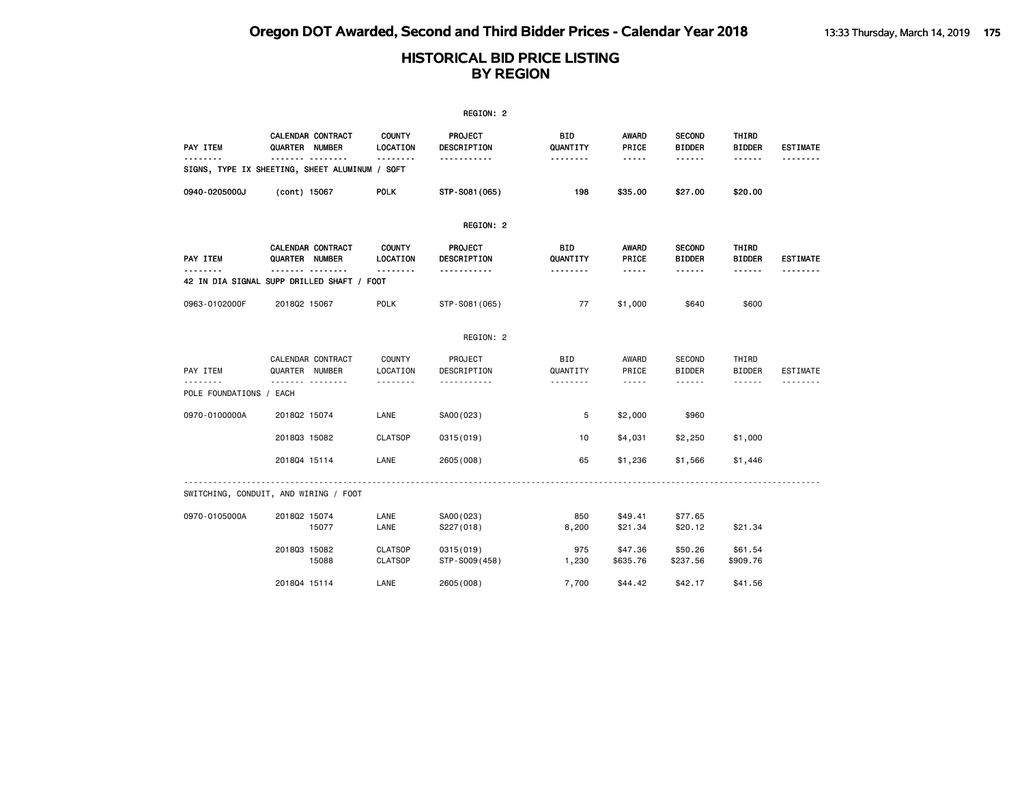**Oregon DOT Awarded, Second and Third Bidder Prices - Calendar Year 2018** 13:33 Thursday, March 14, 2019 175

|                  |                                                            |                                  | REGION: 2                   |                        |                       |                                |                        |                 |
|------------------|------------------------------------------------------------|----------------------------------|-----------------------------|------------------------|-----------------------|--------------------------------|------------------------|-----------------|
| PAY ITEM         | CALENDAR CONTRACT<br>QUARTER NUMBER                        | <b>COUNTY</b><br>LOCATION        | PROJECT<br>DESCRIPTION      | BID<br>QUANTITY        | AWARD<br>PRICE        | <b>SECOND</b><br><b>BIDDER</b> | THIRD<br><b>BIDDER</b> | <b>ESTIMATE</b> |
|                  | --------<br>SIGNS, TYPE IX SHEETING, SHEET ALUMINUM / SQFT | --------                         | .                           | --------               | -----                 | ------                         | ------                 | <u>.</u>        |
| 0940-0205000J    | (cont) 15067                                               | <b>POLK</b>                      | STP-S081 (065)              | 198                    | \$35.00               | \$27.00                        | \$20.00                |                 |
|                  |                                                            |                                  | REGION: 2                   |                        |                       |                                |                        |                 |
| PAY ITEM         | CALENDAR CONTRACT<br>QUARTER NUMBER<br><b>.</b>            | <b>COUNTY</b><br>LOCATION        | PROJECT<br>DESCRIPTION      | BID<br>QUANTITY        | <b>AWARD</b><br>PRICE | <b>SECOND</b><br><b>BIDDER</b> | THIRD<br><b>BIDDER</b> | <b>ESTIMATE</b> |
|                  | 42 IN DIA SIGNAL SUPP DRILLED SHAFT / FOOT                 | - - - - - - - -                  | .                           | --------               | -----                 | ------                         | ------                 |                 |
| 0963-0102000F    | 201802 15067                                               | <b>POLK</b>                      | STP-S081 (065)              | 77                     | \$1,000               | \$640                          | \$600                  |                 |
|                  |                                                            |                                  | REGION: 2                   |                        |                       |                                |                        |                 |
| PAY ITEM         | CALENDAR CONTRACT<br>QUARTER NUMBER                        | COUNTY<br>LOCATION               | PROJECT<br>DESCRIPTION      | <b>BID</b><br>QUANTITY | AWARD<br>PRICE        | <b>SECOND</b><br><b>BIDDER</b> | THIRD<br><b>BIDDER</b> | <b>ESTIMATE</b> |
| POLE FOUNDATIONS | <b>.</b><br>/ EACH                                         |                                  |                             |                        | $- - - - -$           | ------                         |                        |                 |
| 0970-0100000A    | 201802 15074                                               | LANE                             | SA00(023)                   | 5                      | \$2,000               | \$960                          |                        |                 |
|                  | 201803 15082                                               | <b>CLATSOP</b>                   | 0315(019)                   | 10                     | \$4,031               | \$2,250                        | \$1,000                |                 |
|                  | 201804 15114                                               | LANE                             | 2605 (008)                  | 65                     | \$1,236               | \$1,566                        | \$1,446                |                 |
|                  | SWITCHING, CONDUIT, AND WIRING / FOOT                      |                                  |                             |                        |                       |                                |                        |                 |
| 0970-0105000A    | 201802 15074<br>15077                                      | LANE<br>LANE                     | SA00(023)<br>S227(018)      | 850<br>8,200           | \$49.41<br>\$21.34    | \$77.65<br>\$20.12             | \$21.34                |                 |
|                  | 201803 15082<br>15088                                      | <b>CLATSOP</b><br><b>CLATSOP</b> | 0315 (019)<br>STP-S009(458) | 975<br>1,230           | \$47.36<br>\$635.76   | \$50.26<br>\$237.56            | \$61.54<br>\$909.76    |                 |
|                  | 201804 15114                                               | LANE                             | 2605 (008)                  | 7,700                  | \$44.42               | \$42.17                        | \$41.56                |                 |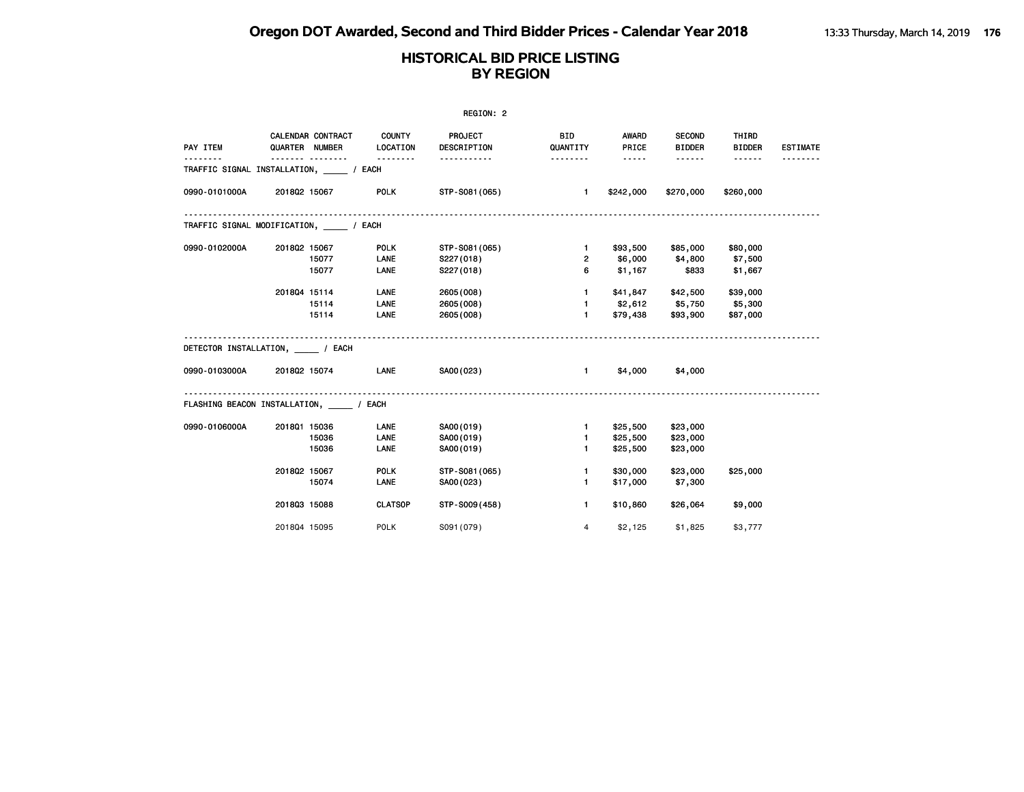| REGION: 2                            |              |                            |                                      |                                           |                        |                                                                                                                                                                        |                                |                        |                 |
|--------------------------------------|--------------|----------------------------|--------------------------------------|-------------------------------------------|------------------------|------------------------------------------------------------------------------------------------------------------------------------------------------------------------|--------------------------------|------------------------|-----------------|
| PAY ITEM                             |              | QUARTER NUMBER<br><u> </u> | CALENDAR CONTRACT COUNTY<br>LOCATION | <b>PROJECT</b><br>DESCRIPTION<br><u>.</u> | <b>BID</b><br>QUANTITY | AWARD<br>PRICE<br>$\frac{1}{2} \left( \frac{1}{2} \right) \left( \frac{1}{2} \right) \left( \frac{1}{2} \right) \left( \frac{1}{2} \right) \left( \frac{1}{2} \right)$ | <b>SECOND</b><br><b>BIDDER</b> | THIRD<br><b>BIDDER</b> | <b>ESTIMATE</b> |
| TRAFFIC SIGNAL INSTALLATION, / EACH  |              |                            |                                      |                                           | <u> - - - - - - -</u>  |                                                                                                                                                                        | ------                         | ------                 |                 |
| 0990-0101000A                        | 201802 15067 |                            | <b>POLK</b>                          | STP-S081(065)                             | $\sim$ 1               | \$242,000                                                                                                                                                              | \$270,000                      | \$260,000              |                 |
| TRAFFIC SIGNAL MODIFICATION, / EACH  |              |                            |                                      |                                           |                        |                                                                                                                                                                        |                                |                        |                 |
| 0990-0102000A                        | 201802 15067 |                            | POLK                                 | STP-S081(065)                             | $1 -$                  | \$93,500                                                                                                                                                               | \$85,000                       | \$80,000               |                 |
|                                      |              | 15077                      | LANE                                 | S227(018)                                 | $2^{\circ}$            |                                                                                                                                                                        | \$6,000 \$4,800 \$7,500        |                        |                 |
|                                      |              | 15077                      | LANE                                 | S227(018)                                 | 6                      | \$1,167                                                                                                                                                                | \$833                          | \$1,667                |                 |
|                                      | 201804 15114 |                            | LANE                                 | 2605 (008)                                | $1 -$                  | \$41,847                                                                                                                                                               | \$42,500                       | \$39,000               |                 |
|                                      |              | 15114                      | LANE                                 | 2605 (008)                                |                        |                                                                                                                                                                        | 1 \$2,612 \$5,750 \$5,300      |                        |                 |
|                                      |              | 15114                      | LANE                                 | 2605(008)                                 | $1 -$                  | \$79,438                                                                                                                                                               | \$93,900                       | \$87,000               |                 |
| DETECTOR INSTALLATION, / EACH        |              |                            |                                      |                                           |                        |                                                                                                                                                                        |                                |                        |                 |
| 0990-0103000A 2018Q2 15074           |              |                            | <b>LANE</b>                          | SA00(023)                                 | $\blacksquare$         | \$4,000                                                                                                                                                                | \$4,000                        |                        |                 |
| FLASHING BEACON INSTALLATION, / EACH |              |                            |                                      |                                           |                        |                                                                                                                                                                        |                                |                        |                 |
| 0990-0106000A                        | 201801 15036 |                            | LANE                                 | SA00(019)                                 | $\mathbf{1}$           | \$25,500                                                                                                                                                               | \$23,000                       |                        |                 |
|                                      |              | 15036                      | LANE                                 | SA00(019)                                 | $\mathbf{1}$           | \$25,500                                                                                                                                                               | \$23,000                       |                        |                 |
|                                      |              | 15036                      | LANE                                 | SA00(019)                                 | $\mathbf{1}$           | \$25,500                                                                                                                                                               | \$23,000                       |                        |                 |
|                                      | 201802 15067 |                            | <b>POLK</b>                          | STP-S081(065)                             | $\mathbf{1}$           | \$30,000                                                                                                                                                               | \$23,000                       | \$25,000               |                 |
|                                      |              | 15074                      | LANE                                 | SA00(023)                                 | 1 <sup>1</sup>         | \$17,000                                                                                                                                                               | \$7,300                        |                        |                 |
|                                      | 201803 15088 |                            | <b>CLATSOP</b>                       | STP-S009(458)                             | 1                      | \$10,860                                                                                                                                                               | \$26,064                       | \$9,000                |                 |
|                                      | 201804 15095 |                            | POLK                                 | S091 (079)                                | $\overline{4}$         | \$2,125                                                                                                                                                                | \$1,825                        | \$3,777                |                 |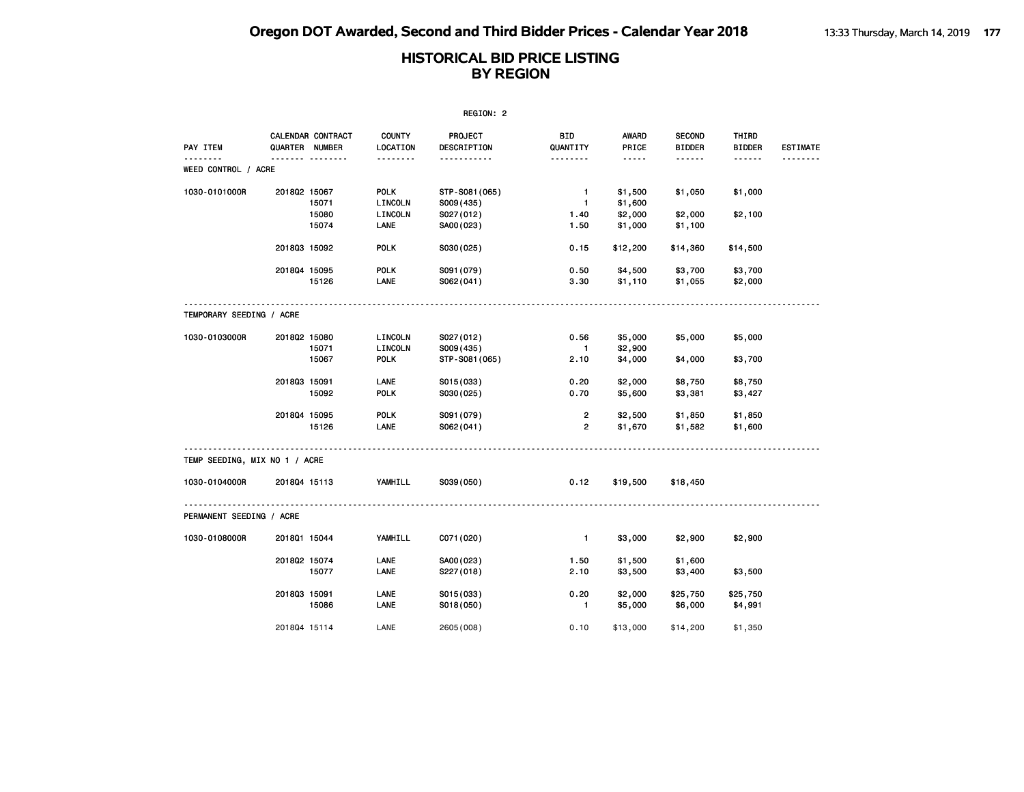|                                 |              |                                     |                           | REGION: 2                  |                                  |                    |                                |                        |                 |
|---------------------------------|--------------|-------------------------------------|---------------------------|----------------------------|----------------------------------|--------------------|--------------------------------|------------------------|-----------------|
| PAY ITEM                        |              | CALENDAR CONTRACT<br>QUARTER NUMBER | <b>COUNTY</b><br>LOCATION | PROJECT<br>DESCRIPTION     | BID<br>QUANTITY                  | AWARD<br>PRICE     | <b>SECOND</b><br><b>BIDDER</b> | THIRD<br><b>BIDDER</b> | <b>ESTIMATE</b> |
| <u>.</u><br>WEED CONTROL / ACRE |              |                                     | <u>.</u>                  | -----------                | <u> - - - - - - -</u>            | $- - - - -$        | .                              |                        | .               |
| 1030-0101000R                   | 201802 15067 | 15071                               | <b>POLK</b><br>LINCOLN    | STP-S081(065)<br>S009(435) | $\blacksquare$<br>$\mathbf{1}$   | \$1,500<br>\$1,600 | \$1,050                        | \$1,000                |                 |
|                                 |              | 15080<br>15074                      | LINCOLN<br>LANE           | S027(012)<br>SA00(023)     | 1.40<br>1.50                     | \$2,000<br>\$1,000 | \$2,000<br>\$1,100             | \$2,100                |                 |
|                                 | 201803 15092 |                                     | <b>POLK</b>               | S030(025)                  | 0.15                             | \$12,200           | \$14,360                       | \$14,500               |                 |
|                                 | 201804 15095 | 15126                               | <b>POLK</b><br>LANE       | S091 (079)<br>S062(041)    | 0.50<br>3.30                     | \$4,500<br>\$1,110 | \$3,700<br>\$1,055             | \$3,700<br>\$2,000     |                 |
| TEMPORARY SEEDING / ACRE        |              |                                     |                           |                            |                                  |                    |                                |                        |                 |
| 1030-0103000R                   | 201802 15080 | 15071                               | LINCOLN<br>LINCOLN        | S027(012)<br>S009(435)     | 0.56<br>$\mathbf{1}$             | \$5,000<br>\$2,900 | \$5,000                        | \$5,000                |                 |
|                                 |              | 15067                               | <b>POLK</b>               | STP-S081 (065)             | 2.10                             | \$4,000            | \$4,000                        | \$3,700                |                 |
|                                 | 201803 15091 | 15092                               | LANE<br><b>POLK</b>       | S015(033)<br>S030(025)     | 0.20<br>0.70                     | \$2,000<br>\$5,600 | \$8,750<br>\$3,381             | \$8,750<br>\$3,427     |                 |
|                                 | 201804 15095 | 15126                               | <b>POLK</b><br>LANE       | S091 (079)<br>S062(041)    | $\overline{2}$<br>$\overline{2}$ | \$2,500<br>\$1,670 | \$1,850<br>\$1,582             | \$1,850<br>\$1,600     |                 |
| TEMP SEEDING, MIX NO 1 / ACRE   |              |                                     |                           |                            |                                  |                    |                                |                        |                 |
| 1030-0104000R                   | 201804 15113 |                                     | YAMHILL                   | S039(050)                  | 0.12                             | \$19,500           | \$18,450                       |                        |                 |
| PERMANENT SEEDING / ACRE        |              |                                     |                           |                            |                                  |                    |                                |                        |                 |
| 1030-0108000R                   | 201801 15044 |                                     | YAMHILL                   | C071 (020)                 | $\blacksquare$                   | \$3,000            | \$2,900                        | \$2,900                |                 |
|                                 | 201802 15074 | 15077                               | LANE<br>LANE              | SA00(023)<br>S227(018)     | 1.50<br>2.10                     | \$1,500<br>\$3,500 | \$1,600<br>\$3,400             | \$3,500                |                 |
|                                 | 201803 15091 | 15086                               | LANE<br>LANE              | S015(033)<br>S018(050)     | 0.20<br>$\mathbf{1}$             | \$2,000<br>\$5,000 | \$25,750<br>\$6,000            | \$25,750<br>\$4,991    |                 |
|                                 | 201804 15114 |                                     | LANE                      | 2605 (008)                 | 0.10                             | \$13,000           | \$14,200                       | \$1,350                |                 |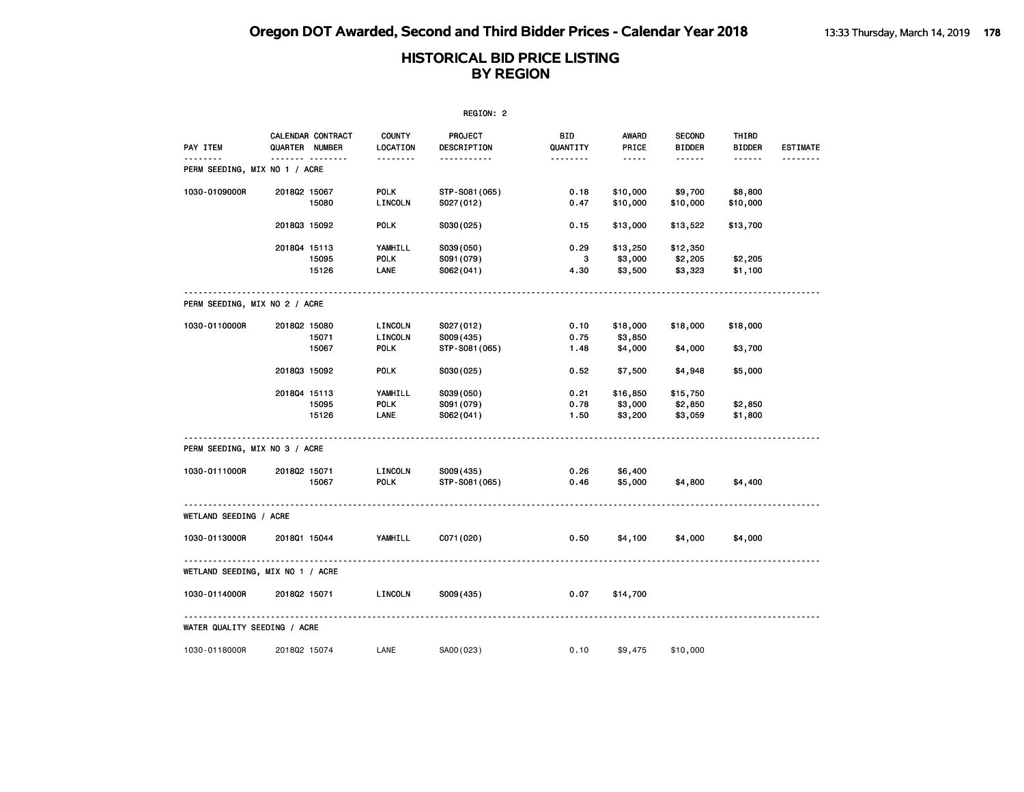|                                          |                                     |                                  | REGION: 2              |                        |                       |                                |                        |                 |
|------------------------------------------|-------------------------------------|----------------------------------|------------------------|------------------------|-----------------------|--------------------------------|------------------------|-----------------|
| PAY ITEM                                 | CALENDAR CONTRACT<br>QUARTER NUMBER | <b>COUNTY</b><br><b>LOCATION</b> | PROJECT<br>DESCRIPTION | <b>BID</b><br>QUANTITY | <b>AWARD</b><br>PRICE | <b>SECOND</b><br><b>BIDDER</b> | THIRD<br><b>BIDDER</b> | <b>ESTIMATE</b> |
| -------<br>PERM SEEDING, MIX NO 1 / ACRE | .                                   | .                                | <u>.</u>               | <u>.</u>               | -----                 | ------                         | ------                 | <u>.</u>        |
| 1030-0109000R                            | 201802 15067                        | <b>POLK</b>                      | STP-S081 (065)         | 0.18                   | \$10,000              | \$9,700                        | \$8,800                |                 |
|                                          | 15080                               | LINCOLN                          | S027(012)              | 0.47                   | \$10,000              | \$10,000                       | \$10,000               |                 |
|                                          | 201803 15092                        | <b>POLK</b>                      | S030(025)              | 0.15                   | \$13,000              | \$13,522                       | \$13,700               |                 |
|                                          | 201804 15113                        | YAMHILL                          | S039(050)              | 0.29                   | \$13,250              | \$12,350                       |                        |                 |
|                                          | 15095                               | <b>POLK</b>                      | S091 (079)             | 3                      | \$3,000               | \$2,205                        | \$2,205                |                 |
|                                          | 15126                               | LANE                             | S062(041)              | 4.30                   | \$3,500               | \$3,323                        | \$1,100                |                 |
| PERM SEEDING, MIX NO 2 / ACRE            |                                     |                                  |                        |                        |                       |                                |                        |                 |
| 1030-0110000R                            | 201802 15080                        | LINCOLN                          | S027(012)              | 0.10                   | \$18,000              | \$18,000                       | \$18,000               |                 |
|                                          | 15071                               | LINCOLN                          | S009(435)              | 0.75                   | \$3,850               |                                |                        |                 |
|                                          | 15067                               | <b>POLK</b>                      | STP-S081 (065)         | 1.48                   | \$4,000               | \$4,000                        | \$3,700                |                 |
|                                          | 201803 15092                        | <b>POLK</b>                      | S030(025)              | 0.52                   | \$7,500               | \$4,948                        | \$5,000                |                 |
|                                          | 201804 15113                        | YAMHILL                          | S039(050)              | 0.21                   | \$16,850              | \$15,750                       |                        |                 |
|                                          | 15095                               | POLK                             | S091 (079)             | 0.78                   | \$3,000               | \$2,850                        | \$2,850                |                 |
|                                          | 15126                               | LANE                             | S062(041)              | 1.50                   | \$3,200               | \$3,059                        | \$1,800                |                 |
| PERM SEEDING, MIX NO 3 / ACRE            |                                     |                                  |                        |                        |                       |                                |                        |                 |
| 1030-0111000R                            | 201802 15071                        | LINCOLN                          | S009(435)              | 0.26                   | \$6,400               |                                |                        |                 |
|                                          | 15067                               | <b>POLK</b>                      | STP-S081 (065)         | 0.46                   | \$5,000               | \$4,800                        | \$4,400                |                 |
| WETLAND SEEDING / ACRE                   |                                     |                                  |                        |                        |                       |                                |                        |                 |
| 1030-0113000R                            | 201801 15044                        | YAMHILL                          | C071 (020)             | 0.50                   | \$4,100               | \$4,000                        | \$4,000                |                 |
|                                          | WETLAND SEEDING, MIX NO 1 / ACRE    |                                  |                        |                        |                       |                                |                        |                 |
| 1030-0114000R                            | 201802 15071                        | LINCOLN                          | S009(435)              | 0.07                   | \$14,700              |                                |                        |                 |
| WATER QUALITY SEEDING / ACRE             |                                     |                                  |                        |                        |                       |                                |                        |                 |
| 1030-0118000R                            | 201802 15074                        | LANE                             | SA00(023)              | 0.10                   | \$9,475               | \$10,000                       |                        |                 |
|                                          |                                     |                                  |                        |                        |                       |                                |                        |                 |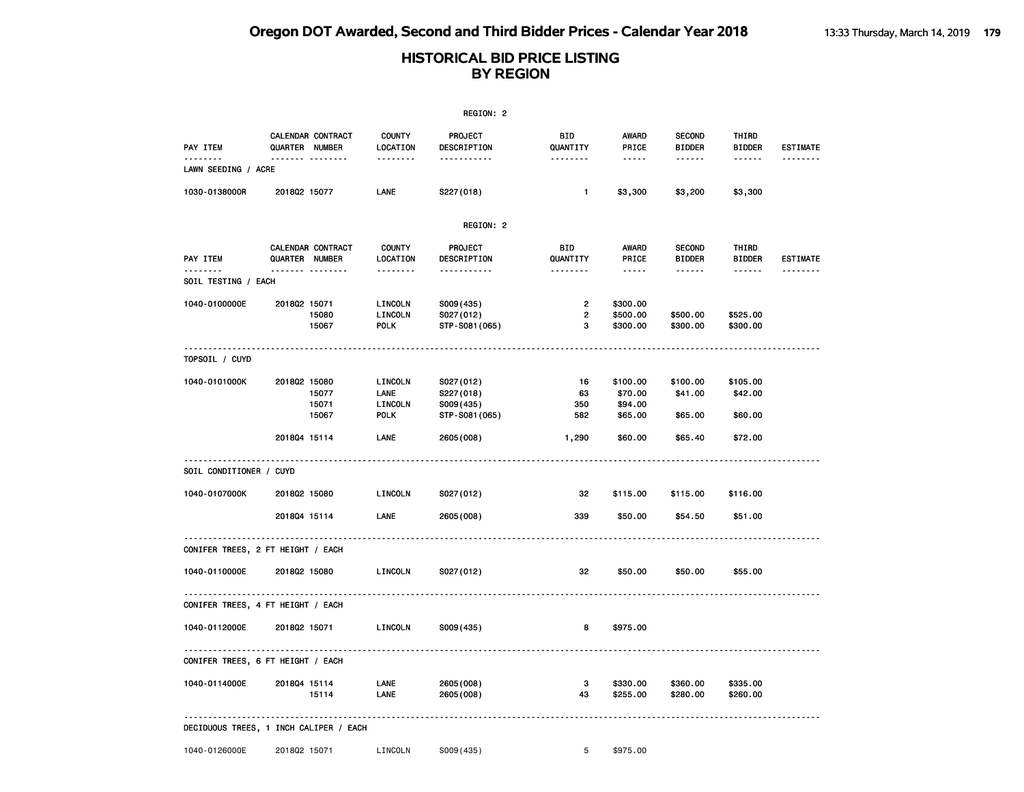|                                               |                |                   |                                   | REGION: 2                                |                                       |                                  |                                |                        |                 |
|-----------------------------------------------|----------------|-------------------|-----------------------------------|------------------------------------------|---------------------------------------|----------------------------------|--------------------------------|------------------------|-----------------|
| PAY ITEM                                      | QUARTER NUMBER | CALENDAR CONTRACT | <b>COUNTY</b><br>LOCATION         | PROJECT<br>DESCRIPTION                   | BID<br>QUANTITY                       | <b>AWARD</b><br>PRICE            | <b>SECOND</b><br><b>BIDDER</b> | THIRD<br><b>BIDDER</b> | <b>ESTIMATE</b> |
| LAWN SEEDING / ACRE                           |                | <b>.</b>          | .                                 | .                                        | <u>.</u>                              | $- - - - -$                      | ------                         | ------                 | .               |
| 1030-0138000R                                 | 201802 15077   |                   | LANE                              | S227(018)                                | $\mathbf{1}$                          | \$3,300                          | \$3,200                        | \$3,300                |                 |
|                                               |                |                   |                                   | REGION: 2                                |                                       |                                  |                                |                        |                 |
| PAY ITEM                                      | QUARTER NUMBER | CALENDAR CONTRACT | <b>COUNTY</b><br>LOCATION         | PROJECT<br>DESCRIPTION                   | <b>BID</b><br>QUANTITY                | <b>AWARD</b><br>PRICE            | <b>SECOND</b><br><b>BIDDER</b> | THIRD<br><b>BIDDER</b> | <b>ESTIMATE</b> |
| <b>SOIL TESTING / EACH</b>                    |                | .                 | .                                 | <u>.</u>                                 |                                       | $- - - - -$                      |                                | ------                 |                 |
| 1040-0100000E                                 | 201802 15071   | 15080<br>15067    | LINCOLN<br>LINCOLN<br><b>POLK</b> | S009(435)<br>S027(012)<br>STP-S081 (065) | $\overline{2}$<br>$\overline{2}$<br>з | \$300.00<br>\$500.00<br>\$300.00 | \$500.00<br>\$300.00           | \$525.00<br>\$300.00   |                 |
| TOPSOIL / CUYD                                |                |                   |                                   |                                          |                                       |                                  |                                |                        |                 |
| 1040-0101000K                                 | 201802 15080   | 15077<br>15071    | LINCOLN<br>LANE<br>LINCOLN        | S027(012)<br>S227(018)<br>S009(435)      | 16<br>63<br>350                       | \$100.00<br>\$70.00<br>\$94.00   | \$100.00<br>\$41.00            | \$105.00<br>\$42.00    |                 |
|                                               | 201804 15114   | 15067             | <b>POLK</b><br>LANE               | STP-S081 (065)<br>2605 (008)             | 582<br>1,290                          | \$65.00<br>\$60.00               | \$65.00<br>\$65.40             | \$60.00<br>\$72.00     |                 |
|                                               |                |                   |                                   |                                          |                                       |                                  |                                |                        |                 |
| SOIL CONDITIONER / CUYD                       |                |                   |                                   |                                          |                                       |                                  |                                |                        |                 |
| 1040-0107000K                                 | 201802 15080   |                   | LINCOLN                           | S027(012)                                | 32                                    | \$115.00                         | \$115.00                       | \$116.00               |                 |
|                                               | 201804 15114   |                   | LANE                              | 2605 (008)                               | 339                                   | \$50.00                          | \$54.50                        | \$51.00                |                 |
| CONIFER TREES, 2 FT HEIGHT / EACH             |                |                   |                                   |                                          |                                       |                                  |                                |                        |                 |
| 1040-0110000E                                 | 201802 15080   |                   | LINCOLN                           | S027(012)                                | 32                                    | \$50.00                          | \$50.00                        | \$55.00                |                 |
| CONIFER TREES, 4 FT HEIGHT / EACH             |                |                   |                                   |                                          |                                       |                                  |                                |                        |                 |
| 1040-0112000E                                 | 201802 15071   |                   | LINCOLN                           | S009(435)                                | 8                                     | \$975.00                         |                                |                        |                 |
| CONIFER TREES, 6 FT HEIGHT / EACH             |                |                   |                                   |                                          |                                       |                                  |                                |                        |                 |
| 1040-0114000E                                 | 201804 15114   | 15114             | LANE<br>LANE                      | 2605 (008)<br>2605 (008)                 | з<br>43                               | \$330.00<br>\$255.00             | \$360.00<br>\$280.00           | \$335.00<br>\$260.00   |                 |
| <b>DECIDUOUS TREES, 1 INCH CALIPER / EACH</b> |                |                   |                                   |                                          |                                       |                                  |                                |                        |                 |
| 1040-0126000E                                 | 201802 15071   |                   | LINCOLN                           | S009(435)                                | 5                                     | \$975.00                         |                                |                        |                 |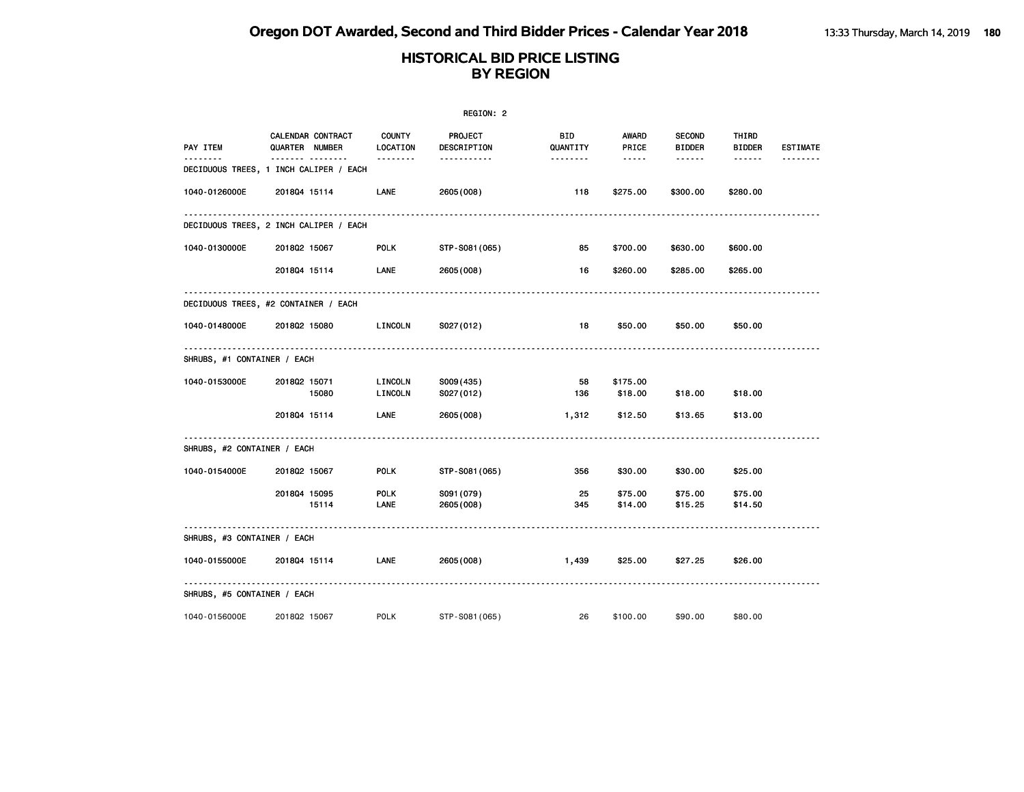|                             |                                            |                         | REGION: 2                     |                 |                     |                                |                        |                 |
|-----------------------------|--------------------------------------------|-------------------------|-------------------------------|-----------------|---------------------|--------------------------------|------------------------|-----------------|
| PAY ITEM                    | CALENDAR CONTRACT<br>QUARTER NUMBER        | COUNTY<br>LOCATION      | PROJECT<br>DESCRIPTION        | BID<br>QUANTITY | AWARD<br>PRICE      | <b>SECOND</b><br><b>BIDDER</b> | THIRD<br><b>BIDDER</b> | <b>ESTIMATE</b> |
|                             | <br>DECIDUOUS TREES, 1 INCH CALIPER / EACH | <u> - - - - - - - -</u> | <u> - - - - - - - - - - -</u> | <u>.</u>        | $\cdots \cdots$     | .                              | $- - - - - -$          | <u>.</u>        |
| 1040-0126000E               | 201804 15114                               | LANE                    | 2605 (008)                    | 118             | \$275.00            | \$300.00                       | \$280.00               |                 |
|                             | DECIDUOUS TREES, 2 INCH CALIPER / EACH     |                         |                               |                 |                     |                                |                        |                 |
| 1040-0130000E               | 2018Q2 15067                               | <b>POLK</b>             | STP-S081(065)                 | 85              | \$700.00            | \$630.00                       | \$600.00               |                 |
|                             | 201804 15114                               | LANE                    | 2605 (008)                    | 16              | \$260.00            | \$285.00                       | \$265.00               |                 |
|                             | DECIDUOUS TREES, #2 CONTAINER / EACH       |                         |                               |                 |                     |                                |                        |                 |
| 1040-0148000E               | 201802 15080                               | LINCOLN                 | S027(012)                     | 18              | \$50.00             | \$50.00                        | \$50.00                |                 |
| SHRUBS, #1 CONTAINER / EACH |                                            |                         |                               |                 |                     |                                |                        |                 |
| 1040-0153000E               | 201802 15071<br>15080                      | LINCOLN<br>LINCOLN      | S009(435)<br>S027(012)        | 58<br>136       | \$175.00<br>\$18.00 | \$18.00                        | \$18.00                |                 |
|                             | 201804 15114                               | LANE                    | 2605 (008)                    | 1,312           | \$12.50             | \$13.65                        | \$13.00                |                 |
| SHRUBS, #2 CONTAINER / EACH |                                            |                         |                               |                 |                     |                                |                        |                 |
| 1040-0154000E               | 201802 15067                               | <b>POLK</b>             | STP-S081(065)                 | 356             | \$30.00             | \$30.00                        | \$25,00                |                 |
|                             | 201804 15095<br>15114                      | <b>POLK</b><br>LANE     | S091 (079)<br>2605 (008)      | 25<br>345       | \$75.00<br>\$14.00  | \$75.00<br>\$15.25             | \$75.00<br>\$14.50     |                 |
| SHRUBS, #3 CONTAINER / EACH |                                            |                         |                               |                 |                     |                                |                        |                 |
| 1040-0155000E               | 201804 15114 LANE                          |                         | 2605 (008)                    | 1,439           | \$25.00             | \$27.25                        | \$26.00                |                 |
| SHRUBS, #5 CONTAINER / EACH |                                            |                         |                               |                 |                     |                                |                        |                 |
| 1040-0156000E               | 201802 15067                               | <b>POLK</b>             | STP-S081 (065)                | 26              | \$100.00            | \$90.00                        | \$80,00                |                 |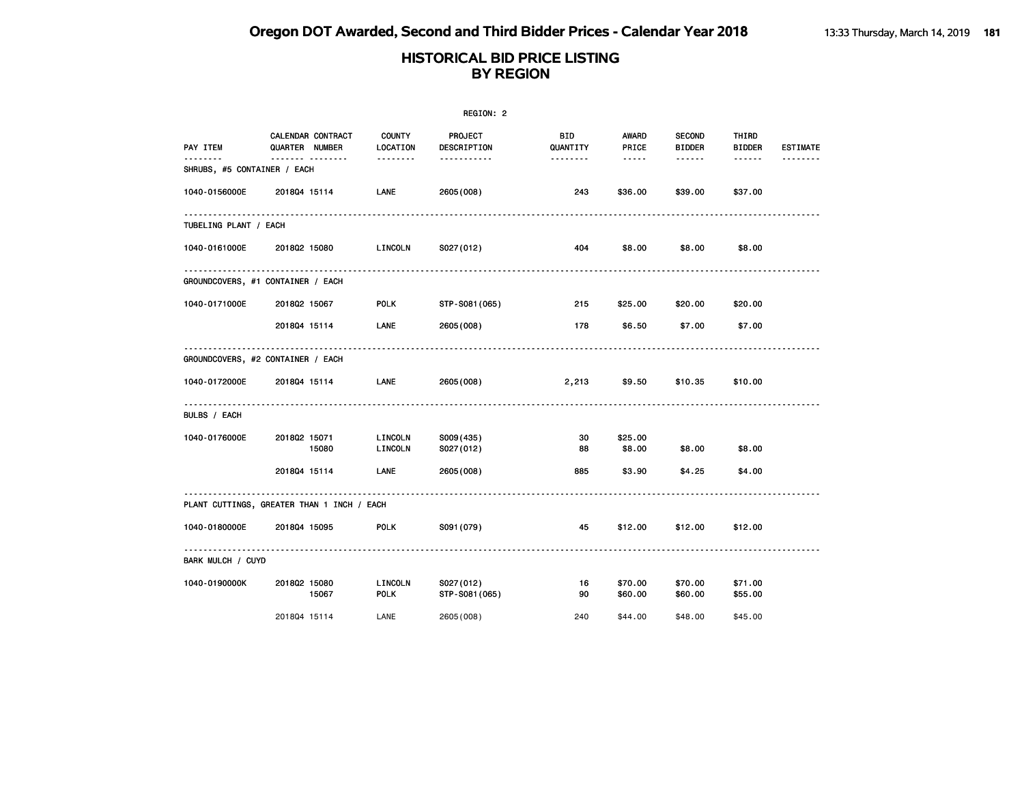|                             |                                                 |                           | REGION: 2                     |                 |                    |                                |                        |                             |
|-----------------------------|-------------------------------------------------|---------------------------|-------------------------------|-----------------|--------------------|--------------------------------|------------------------|-----------------------------|
| PAY ITEM<br>.               | CALENDAR CONTRACT<br>QUARTER NUMBER             | <b>COUNTY</b><br>LOCATION | <b>PROJECT</b><br>DESCRIPTION | BID<br>QUANTITY | AWARD<br>PRICE     | <b>SECOND</b><br><b>BIDDER</b> | THIRD<br><b>BIDDER</b> | <b>ESTIMATE</b><br>-------- |
| SHRUBS, #5 CONTAINER / EACH | <u></u>                                         |                           | <u>.</u>                      |                 | $\cdots \cdots$    | ------                         | ------                 |                             |
| 1040-0156000E               | 201804 15114                                    | LANE                      | 2605 (008)                    | 243             | \$36.00            | \$39.00                        | \$37.00                |                             |
| TUBELING PLANT / EACH       |                                                 |                           |                               |                 |                    |                                |                        |                             |
| 1040-0161000E               | 201802 15080                                    | LINCOLN                   | S027(012)                     | 404             | \$8.00             | \$8.00                         | \$8.00                 |                             |
|                             | GROUNDCOVERS, #1 CONTAINER / EACH               |                           |                               |                 |                    |                                |                        |                             |
| 1040-0171000E               | 201802 15067                                    | <b>POLK</b>               | STP-S081(065)                 | 215             | \$25.00            | \$20.00                        | \$20.00                |                             |
|                             | 201804 15114                                    | LANE                      | 2605 (008)                    | 178             | \$6.50             | \$7.00                         | \$7.00                 |                             |
|                             | GROUNDCOVERS, #2 CONTAINER / EACH               |                           |                               |                 |                    |                                |                        |                             |
| 1040-0172000E               | 201804 15114 LANE                               |                           | 2605 (008)                    | 2,213           | \$9.50             | \$10.35                        | \$10.00                |                             |
| <b>BULBS / EACH</b>         |                                                 |                           |                               |                 |                    |                                |                        |                             |
| 1040-0176000E               | 201802 15071<br>15080                           | LINCOLN<br>LINCOLN        | S009(435)<br>S027(012)        | 30<br>88        | \$25.00<br>\$8.00  | \$8.00                         | \$8.00                 |                             |
|                             | 201804 15114                                    | LANE                      | 2605 (008)                    | 885             | \$3.90             | \$4.25                         | \$4.00                 |                             |
|                             | .<br>PLANT CUTTINGS, GREATER THAN 1 INCH / EACH |                           |                               |                 |                    |                                |                        |                             |
| 1040-0180000E               | 201804 15095                                    | <b>POLK</b>               | S091 (079)                    | 45              | \$12.00            | \$12.00                        | \$12.00                |                             |
| BARK MULCH / CUYD           |                                                 |                           |                               |                 |                    |                                |                        |                             |
| 1040-0190000K               | 201802 15080<br>15067                           | LINCOLN<br><b>POLK</b>    | S027(012)<br>STP-S081(065)    | 16<br>90        | \$70.00<br>\$60.00 | \$70.00<br>\$60.00             | \$71.00<br>\$55.00     |                             |
|                             | 201804 15114                                    | LANE                      | 2605 (008)                    | 240             | \$44.00            | \$48.00                        | \$45.00                |                             |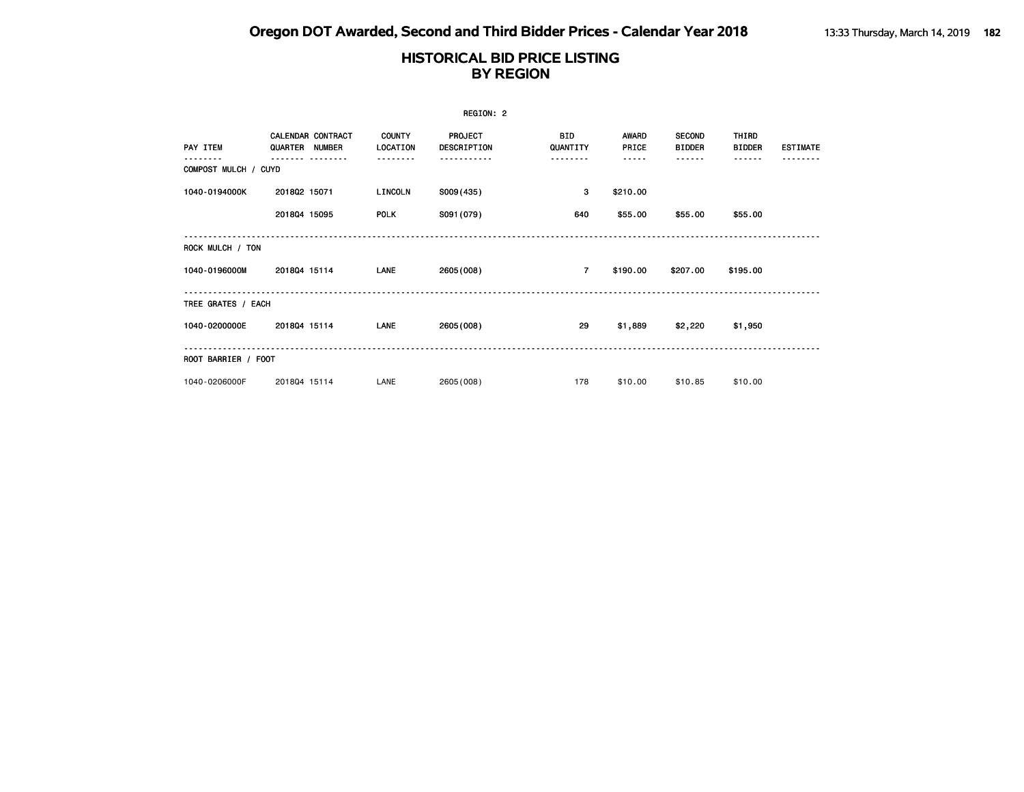| REGION: 2            |                |                          |                           |                               |                 |                |                                |                        |                 |  |
|----------------------|----------------|--------------------------|---------------------------|-------------------------------|-----------------|----------------|--------------------------------|------------------------|-----------------|--|
| PAY ITEM             | QUARTER NUMBER | <b>CALENDAR CONTRACT</b> | <b>COUNTY</b><br>LOCATION | <b>PROJECT</b><br>DESCRIPTION | BID<br>QUANTITY | AWARD<br>PRICE | <b>SECOND</b><br><b>BIDDER</b> | THIRD<br><b>BIDDER</b> | <b>ESTIMATE</b> |  |
| COMPOST MULCH / CUYD |                |                          |                           |                               | .               | -----          | <b>.</b>                       | ------                 |                 |  |
| 1040-0194000K        | 201802 15071   |                          | LINCOLN                   | S009(435)                     | 3               | \$210.00       |                                |                        |                 |  |
|                      | 201804 15095   |                          | <b>POLK</b>               | S091 (079)                    | 640             | \$55.00        | \$55.00                        | \$55.00                |                 |  |
| ROCK MULCH / TON     |                |                          |                           |                               |                 |                |                                |                        |                 |  |
| 1040-0196000M        | 201804 15114   |                          | LANE                      | 2605 (008)                    | $\overline{7}$  | \$190.00       | \$207.00                       | \$195.00               |                 |  |
| TREE GRATES / EACH   |                |                          |                           |                               |                 |                |                                |                        |                 |  |
| 1040-0200000E        | 201804 15114   |                          | LANE                      | 2605 (008)                    | 29              | \$1,889        | \$2,220                        | \$1,950                |                 |  |
| ROOT BARRIER / FOOT  |                |                          |                           |                               |                 |                |                                |                        |                 |  |
| 1040-0206000F        | 201804 15114   |                          | LANE                      | 2605 (008)                    | 178             | \$10,00        | \$10.85                        | \$10.00                |                 |  |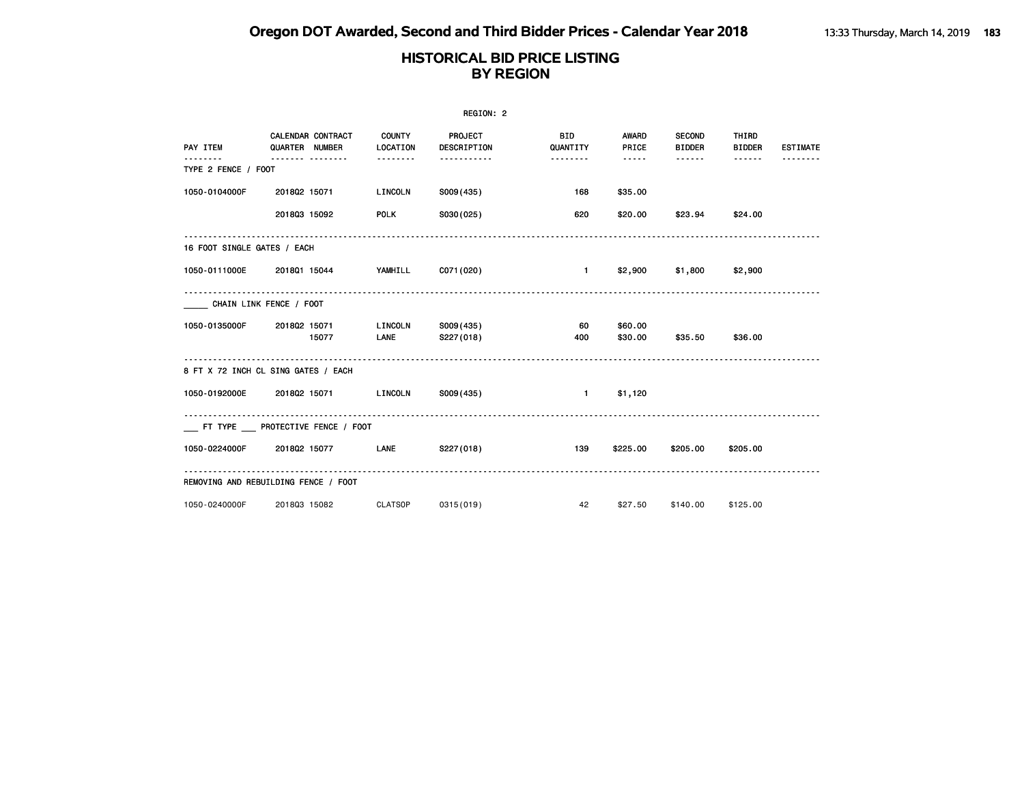|                                        | REGION: 2    |                                            |                           |                        |                        |                       |                                |                        |                 |  |  |  |
|----------------------------------------|--------------|--------------------------------------------|---------------------------|------------------------|------------------------|-----------------------|--------------------------------|------------------------|-----------------|--|--|--|
| PAY ITEM                               |              | <b>CALENDAR CONTRACT</b><br>QUARTER NUMBER | <b>COUNTY</b><br>LOCATION | PROJECT<br>DESCRIPTION | <b>BID</b><br>QUANTITY | <b>AWARD</b><br>PRICE | <b>SECOND</b><br><b>BIDDER</b> | THIRD<br><b>BIDDER</b> | <b>ESTIMATE</b> |  |  |  |
| TYPE 2 FENCE / FOOT                    |              | . <sub>.</sub>                             | .                         | .                      | .                      | $- - - - -$           | .                              | ------                 |                 |  |  |  |
| 1050-0104000F                          | 201802 15071 |                                            | LINCOLN                   | S009(435)              | 168                    | \$35.00               |                                |                        |                 |  |  |  |
|                                        | 201803 15092 |                                            | <b>POLK</b>               | S030(025)              | 620                    | \$20.00               | \$23.94                        | \$24.00                |                 |  |  |  |
| 16 FOOT SINGLE GATES / EACH            |              |                                            |                           |                        |                        |                       |                                |                        |                 |  |  |  |
| 1050-0111000E                          | 201801 15044 |                                            | YAMHILL C071 (020)        |                        | $1 - 1$                | \$2,900               |                                | $$1,800$ $$2,900$      |                 |  |  |  |
| CHAIN LINK FENCE / FOOT                |              |                                            |                           |                        |                        |                       |                                |                        |                 |  |  |  |
| 1050-0135000F                          | 201802 15071 | 15077                                      | LINCOLN<br>LANE           | S009(435)<br>S227(018) | 60<br>400              | \$60.00<br>\$30.00    | \$35.50                        | \$36.00                |                 |  |  |  |
| 8 FT X 72 INCH CL SING GATES / EACH    |              |                                            |                           |                        |                        |                       |                                |                        |                 |  |  |  |
| 1050-0192000E                          | 201802 15071 |                                            | LINCOLN                   | S009(435)              | $\blacksquare$         | \$1,120               |                                |                        |                 |  |  |  |
| __ FT TYPE ___ PROTECTIVE FENCE / FOOT |              |                                            |                           |                        |                        |                       |                                |                        |                 |  |  |  |
| 1050-0224000F 2018Q2 15077             |              |                                            | LANE                      | S227(018)              | 139                    |                       | \$225.00 \$205.00              | \$205.00               |                 |  |  |  |
| REMOVING AND REBUILDING FENCE / FOOT   |              |                                            |                           |                        |                        |                       |                                |                        |                 |  |  |  |
| 1050-0240000F                          | 201803 15082 |                                            | CLATSOP                   | 0315(019)              | 42                     | \$27.50               | \$140.00                       | \$125.00               |                 |  |  |  |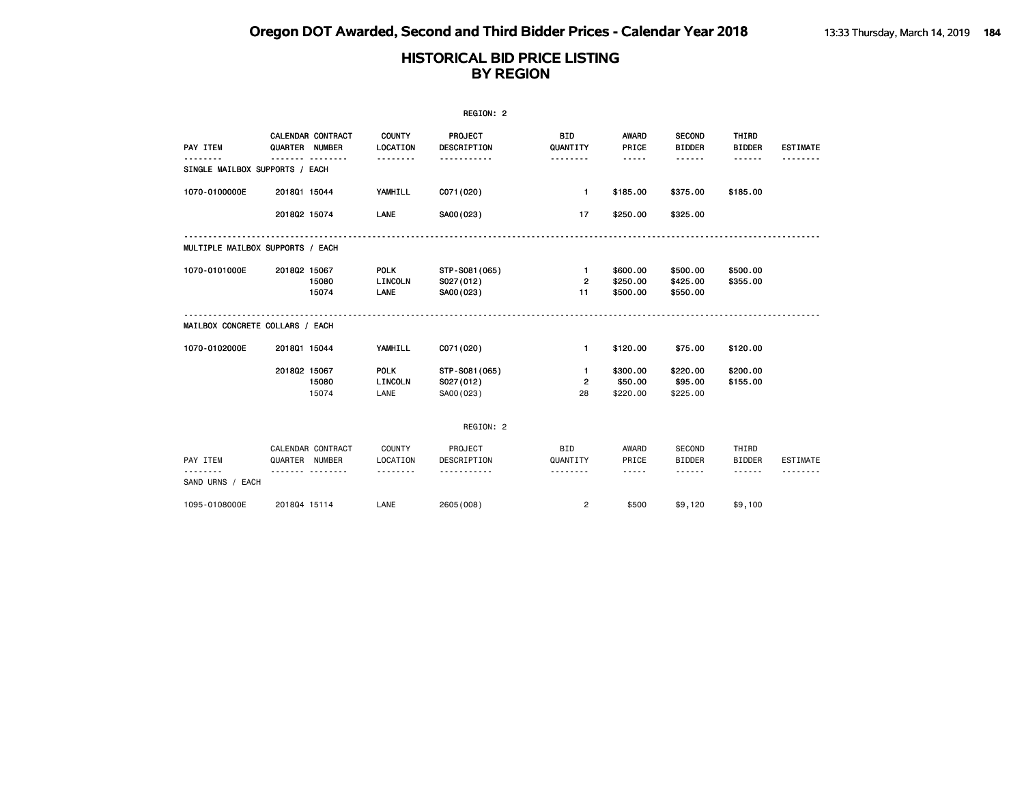|                                  |              |                                          |                                | REGION: 2                               |                                      |                                  |                                     |                                         |                 |
|----------------------------------|--------------|------------------------------------------|--------------------------------|-----------------------------------------|--------------------------------------|----------------------------------|-------------------------------------|-----------------------------------------|-----------------|
| PAY ITEM                         |              | CALENDAR CONTRACT<br>QUARTER NUMBER      | <b>COUNTY</b><br>LOCATION      | PROJECT<br>DESCRIPTION                  | <b>BID</b><br>QUANTITY               | AWARD<br>PRICE                   | <b>SECOND</b><br><b>BIDDER</b>      | THIRD<br><b>BIDDER</b>                  | <b>ESTIMATE</b> |
| SINGLE MAILBOX SUPPORTS / EACH   |              | <u> </u>                                 | <u>.</u>                       | .                                       | .                                    | $- - - - -$                      | ------                              | ------                                  |                 |
| 1070-0100000E                    | 201801 15044 |                                          | YAMHILL                        | C071 (020)                              | $\mathbf{1}$                         | \$185.00                         | \$375.00                            | \$185.00                                |                 |
|                                  | 201802 15074 |                                          | LANE                           | SA00(023)                               | 17                                   | \$250.00                         | \$325.00                            |                                         |                 |
| MULTIPLE MAILBOX SUPPORTS / EACH |              |                                          |                                |                                         |                                      |                                  |                                     |                                         |                 |
| 1070-0101000E                    | 201802 15067 | 15080<br>15074                           | <b>POLK</b><br>LINCOLN<br>LANE | STP-S081(065)<br>S027(012)<br>SA00(023) | $\mathbf{1}$<br>$\overline{2}$<br>11 | \$600.00<br>\$250.00<br>\$500.00 | \$500.00<br>\$425.00<br>\$550.00    | \$500.00<br>\$355.00                    |                 |
| MAILBOX CONCRETE COLLARS / EACH  |              |                                          |                                |                                         |                                      |                                  |                                     |                                         |                 |
| 1070-0102000E                    | 201801 15044 |                                          | YAMHILL                        | C071 (020)                              | $\mathbf{1}$                         | \$120.00                         | \$75.00                             | \$120.00                                |                 |
|                                  | 201802 15067 | 15080<br>15074                           | <b>POLK</b><br>LINCOLN<br>LANE | STP-S081(065)<br>S027(012)<br>SA00(023) | $\mathbf{1}$<br>$\overline{2}$<br>28 | \$300.00<br>\$50.00<br>\$220,00  | \$220.00<br>\$95.00<br>\$225,00     | \$200.00<br>\$155.00                    |                 |
|                                  |              |                                          |                                | REGION: 2                               |                                      |                                  |                                     |                                         |                 |
| PAY ITEM                         |              | CALENDAR CONTRACT<br>QUARTER NUMBER<br>. | COUNTY<br>LOCATION<br><u>.</u> | PROJECT<br>DESCRIPTION<br><u>.</u>      | <b>BID</b><br>QUANTITY<br><u>.</u>   | AWARD<br>PRICE<br>$- - - - -$    | SECOND<br><b>BIDDER</b><br><b>.</b> | THIRD<br><b>BIDDER</b><br>$- - - - - -$ | <b>ESTIMATE</b> |
| SAND URNS / EACH                 |              |                                          |                                |                                         |                                      |                                  |                                     |                                         |                 |
| 1095-0108000E                    | 201804 15114 |                                          | LANE                           | 2605 (008)                              | $\overline{2}$                       | \$500                            | \$9,120                             | \$9,100                                 |                 |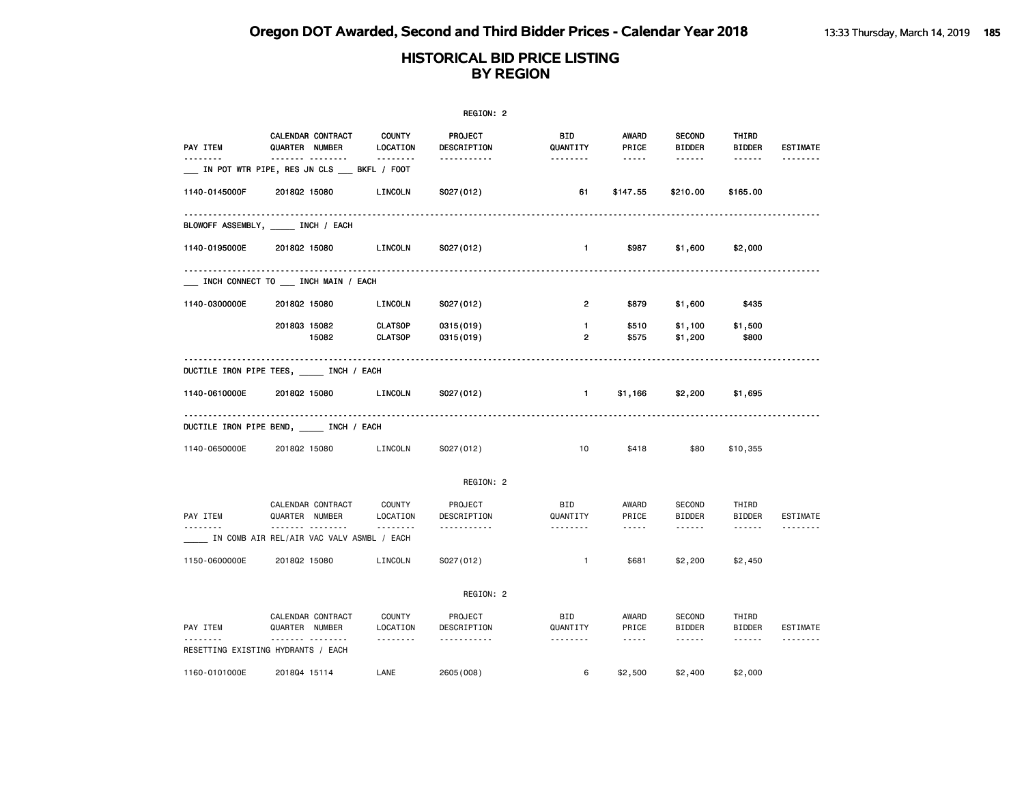|                      |                                                             |                                  | REGION: 2                          |                                |                                                                                                                                                                        |                                |                                    |                 |
|----------------------|-------------------------------------------------------------|----------------------------------|------------------------------------|--------------------------------|------------------------------------------------------------------------------------------------------------------------------------------------------------------------|--------------------------------|------------------------------------|-----------------|
| PAY ITEM             | CALENDAR CONTRACT<br>QUARTER NUMBER                         | <b>COUNTY</b><br>LOCATION        | <b>PROJECT</b><br>DESCRIPTION      | BID<br>QUANTITY                | AWARD<br>PRICE                                                                                                                                                         | <b>SECOND</b><br><b>BIDDER</b> | THIRD<br><b>BIDDER</b>             | <b>ESTIMATE</b> |
|                      | ------- --------<br>IN POT WTR PIPE, RES JN CLS BKFL / FOOT | <u>.</u>                         | -----------                        | <u> - - - - - - -</u>          | $\cdots \cdots$                                                                                                                                                        | ------                         | ------                             | --------        |
| 1140-0145000F        | 201802 15080                                                | LINCOLN                          | S027(012)                          | 61                             | \$147.55                                                                                                                                                               | \$210.00                       | \$165.00                           |                 |
|                      | BLOWOFF ASSEMBLY, _____ INCH / EACH                         |                                  |                                    |                                |                                                                                                                                                                        |                                |                                    |                 |
| 1140-0195000E        | 201802 15080                                                | LINCOLN                          | S027(012)                          | $\mathbf{1}$                   | \$987                                                                                                                                                                  | \$1,600                        | \$2,000                            |                 |
|                      | ___ INCH CONNECT TO ____ INCH MAIN / EACH                   |                                  |                                    |                                |                                                                                                                                                                        |                                |                                    |                 |
| 1140-0300000E        | 201802 15080                                                | LINCOLN                          | S027(012)                          | $\overline{2}$                 | \$879                                                                                                                                                                  | \$1,600                        | \$435                              |                 |
|                      | 201803 15082<br>15082                                       | <b>CLATSOP</b><br><b>CLATSOP</b> | 0315 (019)<br>0315 (019)           | $\mathbf{1}$<br>$\overline{2}$ | \$510<br>\$575                                                                                                                                                         | \$1,100<br>\$1,200             | \$1,500<br>\$800                   |                 |
|                      | DUCTILE IRON PIPE TEES, _____ INCH / EACH                   |                                  |                                    |                                |                                                                                                                                                                        |                                |                                    |                 |
| 1140-0610000E        | 201802 15080                                                | LINCOLN                          | S027(012)                          | $\mathbf{1}$                   | \$1,166                                                                                                                                                                | \$2,200                        | \$1,695                            |                 |
|                      | DUCTILE IRON PIPE BEND, _____ INCH / EACH                   |                                  |                                    |                                |                                                                                                                                                                        |                                |                                    |                 |
| 1140-0650000E        | 201802 15080                                                | LINCOLN                          | S027(012)                          | 10                             | \$418                                                                                                                                                                  | \$80                           | \$10,355                           |                 |
|                      |                                                             |                                  | REGION: 2                          |                                |                                                                                                                                                                        |                                |                                    |                 |
| PAY ITEM<br><u>.</u> | CALENDAR CONTRACT<br>QUARTER NUMBER<br>.                    | COUNTY<br>LOCATION<br>.          | PROJECT<br>DESCRIPTION<br><u>.</u> | BID<br>QUANTITY<br>.           | AWARD<br>PRICE<br>$\frac{1}{2} \left( \frac{1}{2} \right) \left( \frac{1}{2} \right) \left( \frac{1}{2} \right) \left( \frac{1}{2} \right) \left( \frac{1}{2} \right)$ | <b>SECOND</b><br><b>BIDDER</b> | THIRD<br><b>BIDDER</b><br><b>.</b> | ESTIMATE        |
|                      | IN COMB AIR REL/AIR VAC VALV ASMBL / EACH                   |                                  |                                    |                                |                                                                                                                                                                        |                                |                                    |                 |
| 1150-0600000E        | 201802 15080                                                | LINCOLN                          | S027(012)                          | $\mathbf{1}$                   | \$681                                                                                                                                                                  | \$2,200                        | \$2,450                            |                 |
|                      |                                                             |                                  | REGION: 2                          |                                |                                                                                                                                                                        |                                |                                    |                 |
| PAY ITEM             | CALENDAR CONTRACT<br>QUARTER NUMBER                         | COUNTY<br>LOCATION               | PROJECT<br>DESCRIPTION             | <b>BID</b><br>QUANTITY         | AWARD<br>PRICE                                                                                                                                                         | <b>SECOND</b><br><b>BIDDER</b> | THIRD<br><b>BIDDER</b>             | ESTIMATE        |
|                      | .<br>RESETTING EXISTING HYDRANTS / EACH                     | .                                | <u> - - - - - - - - - - -</u>      | --------                       | $- - - - -$                                                                                                                                                            | $- - - - - -$                  | ------                             | --------        |
| 1160-0101000E        | 201804 15114                                                | LANE                             | 2605 (008)                         | 6                              | \$2,500                                                                                                                                                                | \$2,400                        | \$2,000                            |                 |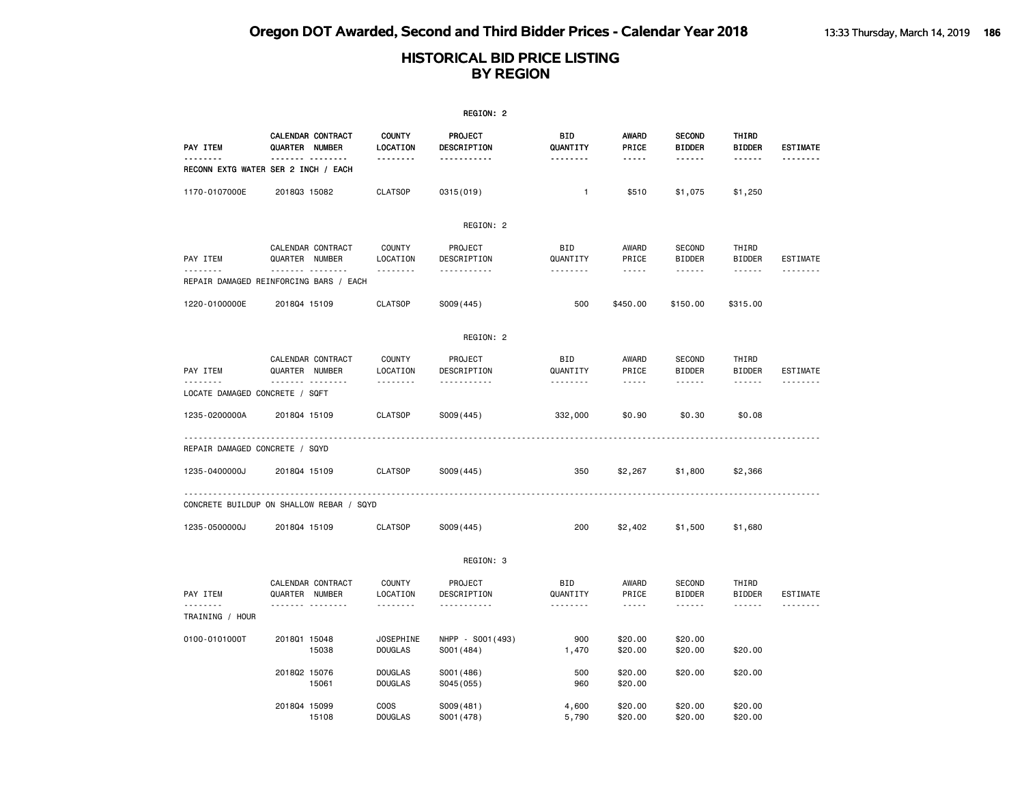|                                |                                                    |                                    | REGION: 2                       |                        |                                    |                                |                        |                 |
|--------------------------------|----------------------------------------------------|------------------------------------|---------------------------------|------------------------|------------------------------------|--------------------------------|------------------------|-----------------|
| PAY ITEM                       | CALENDAR CONTRACT<br>QUARTER NUMBER                | <b>COUNTY</b><br>LOCATION          | <b>PROJECT</b><br>DESCRIPTION   | BID<br>QUANTITY        | <b>AWARD</b><br>PRICE              | <b>SECOND</b><br><b>BIDDER</b> | THIRD<br><b>BIDDER</b> | <b>ESTIMATE</b> |
| .                              | <u></u><br>RECONN EXTG WATER SER 2 INCH / EACH     | .                                  | <u></u>                         | .                      | -----                              | .                              | ------                 | <u>.</u>        |
| 1170-0107000E                  | 201803 15082                                       | <b>CLATSOP</b>                     | 0315 (019)                      | $\mathbf{1}$           | \$510                              | \$1,075                        | \$1,250                |                 |
|                                |                                                    |                                    | REGION: 2                       |                        |                                    |                                |                        |                 |
| PAY ITEM                       | CALENDAR CONTRACT<br>QUARTER NUMBER                | <b>COUNTY</b><br>LOCATION          | PROJECT<br>DESCRIPTION          | <b>BID</b><br>QUANTITY | AWARD<br>PRICE                     | <b>SECOND</b><br><b>BIDDER</b> | THIRD<br><b>BIDDER</b> | ESTIMATE        |
| .                              | <u> </u><br>REPAIR DAMAGED REINFORCING BARS / EACH | <u>.</u>                           | .                               | <u>.</u>               | $\sim$ $\sim$ $\sim$ $\sim$ $\sim$ | ------                         |                        | <u>.</u>        |
| 1220-0100000E                  | 201804 15109                                       | <b>CLATSOP</b>                     | S009(445)                       | 500                    | \$450.00                           | \$150.00                       | \$315.00               |                 |
|                                |                                                    |                                    | REGION: 2                       |                        |                                    |                                |                        |                 |
| PAY ITEM                       | CALENDAR CONTRACT<br>QUARTER NUMBER                | <b>COUNTY</b><br>LOCATION          | PROJECT<br>DESCRIPTION          | BID<br>QUANTITY        | AWARD<br>PRICE                     | <b>SECOND</b><br><b>BIDDER</b> | THIRD<br><b>BIDDER</b> | ESTIMATE        |
| LOCATE DAMAGED CONCRETE / SQFT | <u>.</u>                                           | .                                  | .                               | .                      | $\frac{1}{2}$                      | ------                         | ------                 | .               |
| 1235-0200000A                  | 201804 15109                                       | <b>CLATSOP</b>                     | S009(445)                       | 332,000                | \$0.90                             | \$0.30                         | \$0.08                 |                 |
| REPAIR DAMAGED CONCRETE / SQYD |                                                    |                                    |                                 |                        |                                    |                                |                        |                 |
| 1235-0400000J                  | 201804 15109                                       | <b>CLATSOP</b>                     | S009 (445)                      | 350                    | \$2,267                            | \$1,800                        | \$2,366                |                 |
|                                | CONCRETE BUILDUP ON SHALLOW REBAR / SQYD           |                                    |                                 |                        |                                    |                                |                        |                 |
| 1235-0500000J                  | 201804 15109                                       | <b>CLATSOP</b>                     | S009(445)                       | 200                    | \$2,402                            | \$1,500                        | \$1,680                |                 |
|                                |                                                    |                                    | REGION: 3                       |                        |                                    |                                |                        |                 |
| PAY ITEM                       | CALENDAR CONTRACT<br>QUARTER NUMBER                | COUNTY<br>LOCATION                 | PROJECT<br>DESCRIPTION          | BID<br>QUANTITY        | AWARD<br>PRICE                     | <b>SECOND</b><br><b>BIDDER</b> | THIRD<br><b>BIDDER</b> | <b>ESTIMATE</b> |
| <u>.</u><br>TRAINING / HOUR    | .                                                  | <u>.</u>                           | .                               | .                      | $\sim$ $\sim$ $\sim$ $\sim$ $\sim$ | ------                         | ------                 | <u>.</u>        |
| 0100-0101000T                  | 201801 15048<br>15038                              | <b>JOSEPHINE</b><br><b>DOUGLAS</b> | NHPP - S001 (493)<br>S001 (484) | 900<br>1,470           | \$20.00<br>\$20.00                 | \$20.00<br>\$20.00             | \$20.00                |                 |
|                                | 201802 15076<br>15061                              | <b>DOUGLAS</b><br><b>DOUGLAS</b>   | S001 (486)<br>S045 (055)        | 500<br>960             | \$20.00<br>\$20.00                 | \$20.00                        | \$20.00                |                 |
|                                | 201804 15099<br>15108                              | <b>COOS</b><br><b>DOUGLAS</b>      | S009(481)<br>S001 (478)         | 4,600<br>5,790         | \$20.00<br>\$20.00                 | \$20.00<br>\$20,00             | \$20.00<br>\$20.00     |                 |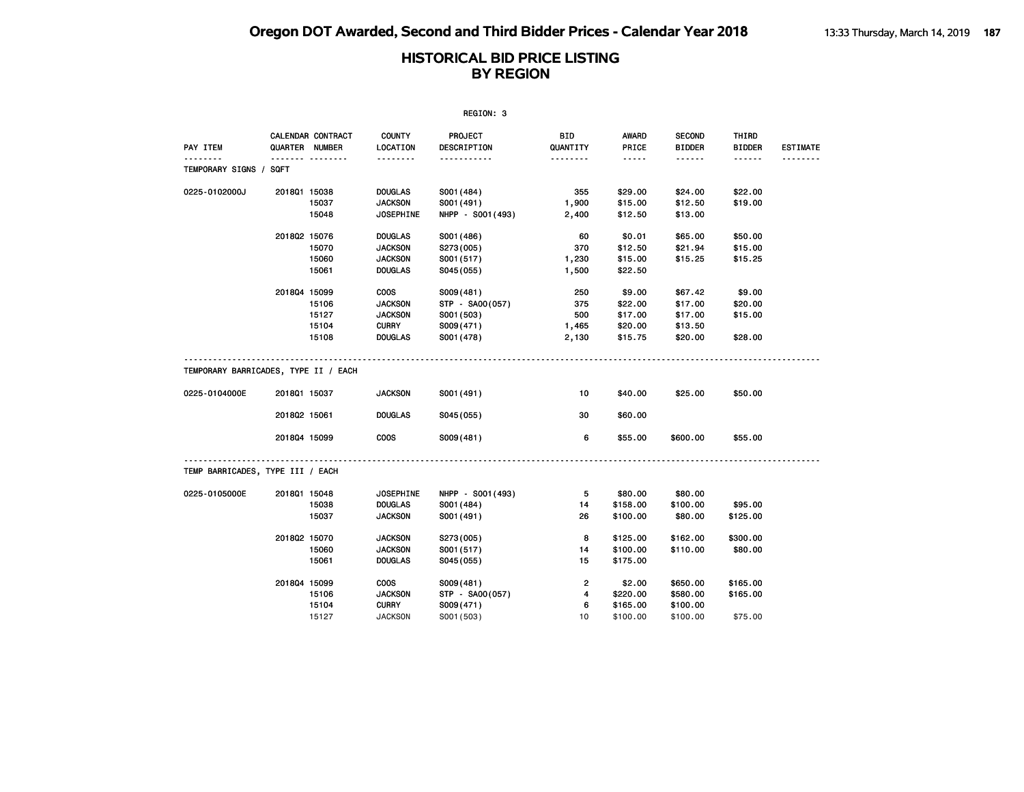|                                      | REGION: 3    |                                     |                           |                               |                        |                |                                |                        |                 |  |  |
|--------------------------------------|--------------|-------------------------------------|---------------------------|-------------------------------|------------------------|----------------|--------------------------------|------------------------|-----------------|--|--|
| PAY ITEM                             |              | CALENDAR CONTRACT<br>QUARTER NUMBER | <b>COUNTY</b><br>LOCATION | <b>PROJECT</b><br>DESCRIPTION | <b>BID</b><br>QUANTITY | AWARD<br>PRICE | <b>SECOND</b><br><b>BIDDER</b> | THIRD<br><b>BIDDER</b> | <b>ESTIMATE</b> |  |  |
| TEMPORARY SIGNS / SQFT               |              | .                                   | .                         | .                             |                        | $- - - - -$    | $- - - - - -$                  |                        | --------        |  |  |
| 0225-0102000J                        | 201801 15038 |                                     | <b>DOUGLAS</b>            | S001 (484)                    | 355                    | \$29.00        | \$24.00                        | \$22.00                |                 |  |  |
|                                      |              | 15037                               | <b>JACKSON</b>            | S001 (491)                    | 1,900                  | \$15.00        | \$12.50                        | \$19.00                |                 |  |  |
|                                      |              | 15048                               | <b>JOSEPHINE</b>          | NHPP - S001 (493)             | 2,400                  | \$12.50        | \$13.00                        |                        |                 |  |  |
|                                      | 201802 15076 |                                     | <b>DOUGLAS</b>            | S001 (486)                    | 60                     | \$0.01         | \$65.00                        | \$50.00                |                 |  |  |
|                                      |              | 15070                               | <b>JACKSON</b>            | S273(005)                     | 370                    | \$12.50        | \$21.94                        | \$15.00                |                 |  |  |
|                                      |              | 15060                               | <b>JACKSON</b>            | S001 (517)                    | 1,230                  | \$15.00        | \$15.25                        | \$15.25                |                 |  |  |
|                                      |              | 15061                               | <b>DOUGLAS</b>            | S045(055)                     | 1,500                  | \$22.50        |                                |                        |                 |  |  |
|                                      | 201804 15099 |                                     | <b>COOS</b>               | S009(481)                     | 250                    | \$9.00         | \$67.42                        | \$9.00                 |                 |  |  |
|                                      |              | 15106                               | <b>JACKSON</b>            | STP - SA00(057)               | 375                    | \$22.00        | \$17.00                        | \$20.00                |                 |  |  |
|                                      |              | 15127                               | <b>JACKSON</b>            | S001 (503)                    | 500                    | \$17.00        | \$17.00                        | \$15.00                |                 |  |  |
|                                      |              | 15104                               | <b>CURRY</b>              | S009(471)                     | 1,465                  | \$20.00        | \$13.50                        |                        |                 |  |  |
|                                      |              | 15108                               | <b>DOUGLAS</b>            | S001 (478)                    | 2,130                  | \$15.75        | \$20.00                        | \$28.00                |                 |  |  |
| TEMPORARY BARRICADES, TYPE II / EACH |              |                                     |                           |                               |                        |                |                                |                        |                 |  |  |
| 0225-0104000E                        | 2018Q1 15037 |                                     | <b>JACKSON</b>            | S001 (491)                    | 10                     | \$40.00        | \$25.00                        | \$50.00                |                 |  |  |
|                                      | 201802 15061 |                                     | <b>DOUGLAS</b>            | S045(055)                     | 30                     | \$60.00        |                                |                        |                 |  |  |
|                                      | 201804 15099 |                                     | <b>COOS</b>               | S009(481)                     | 6                      | \$55.00        | \$600.00                       | \$55.00                |                 |  |  |
|                                      |              |                                     |                           |                               |                        |                |                                |                        |                 |  |  |
| TEMP BARRICADES, TYPE III / EACH     |              |                                     |                           |                               |                        |                |                                |                        |                 |  |  |
| 0225-0105000E                        | 201801 15048 |                                     | <b>JOSEPHINE</b>          | NHPP - S001 (493)             | 5                      | \$80.00        | \$80.00                        |                        |                 |  |  |
|                                      |              | 15038                               | <b>DOUGLAS</b>            | S001 (484)                    | 14                     | \$158.00       | \$100.00                       | \$95.00                |                 |  |  |
|                                      |              | 15037                               | <b>JACKSON</b>            | S001 (491)                    | 26                     | \$100.00       | \$80.00                        | \$125.00               |                 |  |  |
|                                      | 201802 15070 |                                     | <b>JACKSON</b>            | S273(005)                     | 8                      | \$125.00       | \$162,00                       | \$300.00               |                 |  |  |
|                                      |              | 15060                               | <b>JACKSON</b>            | S001 (517)                    | 14                     | \$100.00       | \$110.00                       | \$80.00                |                 |  |  |
|                                      |              | 15061                               | <b>DOUGLAS</b>            | S045 (055)                    | 15                     | \$175.00       |                                |                        |                 |  |  |
|                                      | 201804 15099 |                                     | <b>COOS</b>               | S009(481)                     | 2                      | \$2.00         | \$650.00                       | \$165.00               |                 |  |  |
|                                      |              | 15106                               | <b>JACKSON</b>            | STP - SA00(057)               | 4                      | \$220.00       | \$580.00                       | \$165.00               |                 |  |  |
|                                      |              | 15104                               | <b>CURRY</b>              | S009(471)                     | 6                      | \$165.00       | \$100.00                       |                        |                 |  |  |
|                                      |              | 15127                               | <b>JACKSON</b>            | S001 (503)                    | 10                     | \$100.00       | \$100.00                       | \$75.00                |                 |  |  |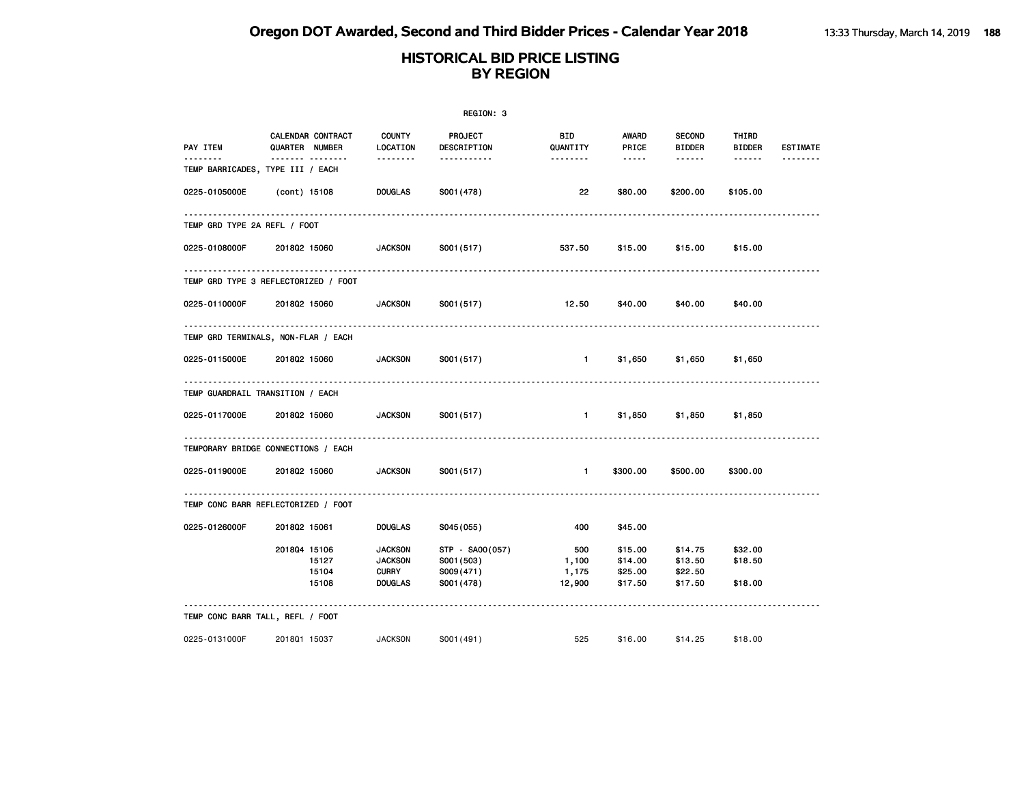|                                      |                                         |                                                                    | REGION: 3                                                |                                 |                                                                                                   |                                          |                               |                 |
|--------------------------------------|-----------------------------------------|--------------------------------------------------------------------|----------------------------------------------------------|---------------------------------|---------------------------------------------------------------------------------------------------|------------------------------------------|-------------------------------|-----------------|
| PAY ITEM<br><u>.</u>                 | CALENDAR CONTRACT<br>QUARTER NUMBER     | <b>COUNTY</b><br>LOCATION                                          | <b>PROJECT</b><br>DESCRIPTION                            | BID<br>QUANTITY                 | AWARD<br>PRICE                                                                                    | <b>SECOND</b><br><b>BIDDER</b>           | THIRD<br><b>BIDDER</b>        | <b>ESTIMATE</b> |
| TEMP BARRICADES, TYPE III / EACH     | <u> </u>                                | --------                                                           | <u>.</u>                                                 | <u> - - - - - - -</u>           | $\begin{array}{cccccccccc} \bullet & \bullet & \bullet & \bullet & \bullet & \bullet \end{array}$ | ------                                   | $- - - - - -$                 | <u>.</u>        |
| 0225-0105000E                        | (cont) 15108                            | <b>DOUGLAS</b>                                                     | S001 (478)                                               | 22                              | \$80.00                                                                                           | \$200.00                                 | \$105.00                      |                 |
| TEMP GRD TYPE 2A REFL / FOOT         |                                         |                                                                    |                                                          |                                 |                                                                                                   |                                          |                               |                 |
| 0225-0108000F                        | 201802 15060                            | <b>JACKSON</b>                                                     | S001 (517)                                               | 537.50                          | \$15.00                                                                                           | \$15.00                                  | \$15.00                       |                 |
| TEMP GRD TYPE 3 REFLECTORIZED / FOOT |                                         |                                                                    |                                                          |                                 |                                                                                                   |                                          |                               |                 |
| 0225-0110000F 2018Q2 15060           |                                         | <b>JACKSON</b>                                                     | S001 (517)                                               | 12.50                           | \$40.00                                                                                           | \$40.00                                  | \$40.00                       |                 |
| TEMP GRD TERMINALS, NON-FLAR / EACH  |                                         |                                                                    |                                                          |                                 |                                                                                                   |                                          |                               |                 |
| 0225-0115000E                        | 201802 15060                            | <b>JACKSON</b>                                                     | S001 (517)                                               | $-1$                            | \$1,650                                                                                           | \$1,650                                  | \$1,650                       |                 |
| TEMP GUARDRAIL TRANSITION / EACH     |                                         |                                                                    |                                                          |                                 |                                                                                                   |                                          |                               |                 |
| 0225-0117000E                        | 201802 15060                            | <b>JACKSON</b>                                                     | S001 (517)                                               | $\blacksquare$ 1                | \$1,850                                                                                           | \$1,850                                  | \$1,850                       |                 |
| TEMPORARY BRIDGE CONNECTIONS / EACH  |                                         |                                                                    |                                                          |                                 |                                                                                                   |                                          |                               |                 |
| 0225-0119000E                        | 201802 15060                            | <b>JACKSON</b>                                                     | S001 (517)                                               | $\sim$ 1.                       | \$300.00                                                                                          | \$500.00                                 | \$300.00                      |                 |
| TEMP CONC BARR REFLECTORIZED / FOOT  |                                         |                                                                    |                                                          |                                 |                                                                                                   |                                          |                               |                 |
| 0225-0126000F                        | 201802 15061                            | <b>DOUGLAS</b>                                                     | S045(055)                                                | 400                             | \$45.00                                                                                           |                                          |                               |                 |
|                                      | 201804 15106<br>15127<br>15104<br>15108 | <b>JACKSON</b><br><b>JACKSON</b><br><b>CURRY</b><br><b>DOUGLAS</b> | STP - SA00(057)<br>S001 (503)<br>S009(471)<br>S001 (478) | 500<br>1,100<br>1,175<br>12,900 | \$15.00<br>\$14.00<br>\$25.00<br>\$17.50                                                          | \$14.75<br>\$13.50<br>\$22.50<br>\$17.50 | \$32.00<br>\$18.50<br>\$18.00 |                 |
| TEMP CONC BARR TALL, REFL / FOOT     |                                         |                                                                    |                                                          |                                 |                                                                                                   |                                          |                               |                 |
| 0225-0131000F                        | 201801 15037                            | <b>JACKSON</b>                                                     | S001 (491)                                               | 525                             | \$16.00                                                                                           | \$14.25                                  | \$18.00                       |                 |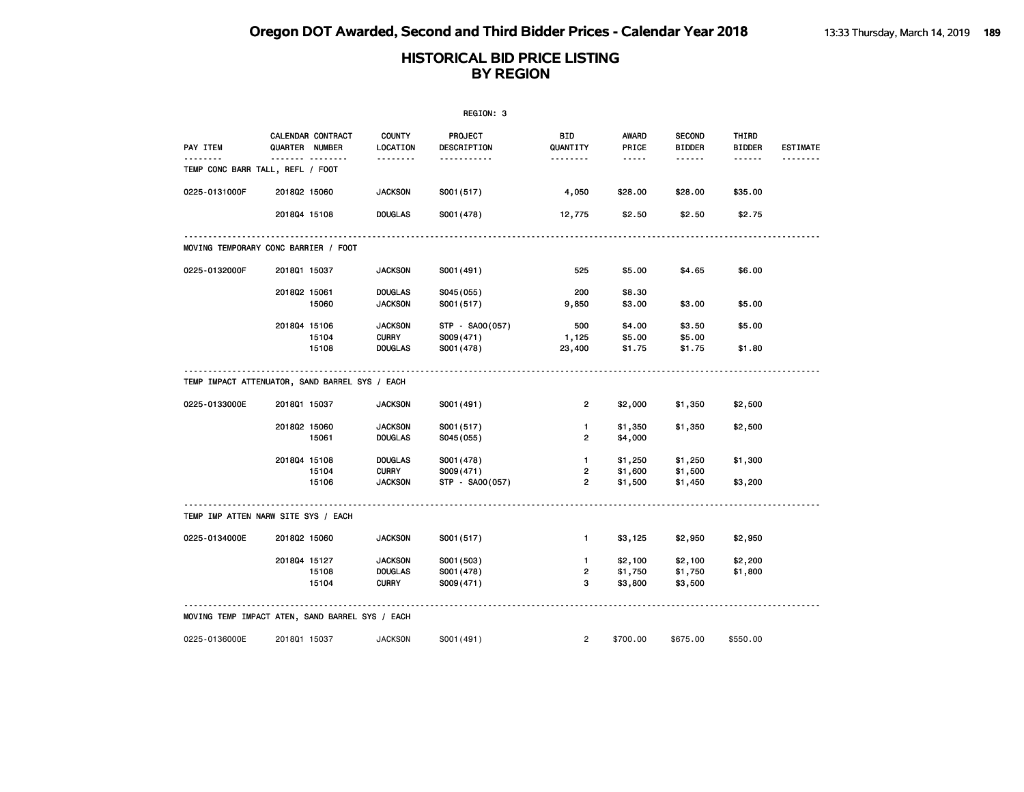|                                                 | REGION: 3    |                                     |                           |                        |                 |                                                                                                               |                                |                        |                 |  |  |  |
|-------------------------------------------------|--------------|-------------------------------------|---------------------------|------------------------|-----------------|---------------------------------------------------------------------------------------------------------------|--------------------------------|------------------------|-----------------|--|--|--|
| PAY ITEM                                        |              | CALENDAR CONTRACT<br>QUARTER NUMBER | <b>COUNTY</b><br>LOCATION | PROJECT<br>DESCRIPTION | BID<br>QUANTITY | AWARD<br>PRICE                                                                                                | <b>SECOND</b><br><b>BIDDER</b> | THIRD<br><b>BIDDER</b> | <b>ESTIMATE</b> |  |  |  |
| TEMP CONC BARR TALL, REFL / FOOT                |              | ------- --------                    | --------                  | .                      | --------        | $\frac{1}{2} \frac{1}{2} \frac{1}{2} \frac{1}{2} \frac{1}{2} \frac{1}{2} \frac{1}{2} \frac{1}{2} \frac{1}{2}$ | ------                         | ------                 |                 |  |  |  |
| 0225-0131000F                                   | 201802 15060 |                                     | <b>JACKSON</b>            | S001(517)              | 4,050           | \$28.00                                                                                                       | \$28.00                        | \$35.00                |                 |  |  |  |
|                                                 | 201804 15108 |                                     | <b>DOUGLAS</b>            | S001 (478)             | 12,775          | \$2.50                                                                                                        | \$2.50                         | \$2.75                 |                 |  |  |  |
| MOVING TEMPORARY CONC BARRIER / FOOT            |              |                                     |                           |                        |                 |                                                                                                               |                                |                        |                 |  |  |  |
| 0225-0132000F                                   | 201801 15037 |                                     | <b>JACKSON</b>            | S001 (491)             | 525             | \$5.00                                                                                                        | \$4.65                         | \$6.00                 |                 |  |  |  |
|                                                 | 201802 15061 |                                     | <b>DOUGLAS</b>            | S045(055)              | 200             | \$8.30                                                                                                        |                                |                        |                 |  |  |  |
|                                                 |              | 15060                               | <b>JACKSON</b>            | S001 (517)             | 9,850           | \$3.00                                                                                                        | \$3.00                         | \$5.00                 |                 |  |  |  |
|                                                 | 201804 15106 |                                     | <b>JACKSON</b>            | STP - SA00(057)        | 500             | \$4.00                                                                                                        | \$3.50                         | \$5.00                 |                 |  |  |  |
|                                                 |              | 15104                               | <b>CURRY</b>              | S009(471)              | 1,125           | \$5.00                                                                                                        | \$5.00                         |                        |                 |  |  |  |
|                                                 |              | 15108                               | <b>DOUGLAS</b>            | S001 (478)             | 23,400          | \$1.75                                                                                                        | \$1.75                         | \$1.80                 |                 |  |  |  |
| TEMP IMPACT ATTENUATOR, SAND BARREL SYS / EACH  |              |                                     |                           |                        |                 |                                                                                                               |                                |                        |                 |  |  |  |
| 0225-0133000E                                   | 201801 15037 |                                     | <b>JACKSON</b>            | S001 (491)             | $\overline{2}$  | \$2,000                                                                                                       | \$1,350                        | \$2,500                |                 |  |  |  |
|                                                 | 201802 15060 |                                     | <b>JACKSON</b>            | S001 (517)             | 1.              | \$1,350                                                                                                       | \$1,350                        | \$2,500                |                 |  |  |  |
|                                                 |              | 15061                               | <b>DOUGLAS</b>            | S045(055)              | $\overline{2}$  | \$4,000                                                                                                       |                                |                        |                 |  |  |  |
|                                                 | 201804 15108 |                                     | <b>DOUGLAS</b>            | S001 (478)             | $\mathbf{1}$    | \$1,250                                                                                                       | \$1,250                        | \$1,300                |                 |  |  |  |
|                                                 |              | 15104                               | <b>CURRY</b>              | S009(471)              | $\overline{2}$  | \$1,600                                                                                                       | \$1,500                        |                        |                 |  |  |  |
|                                                 |              | 15106                               | <b>JACKSON</b>            | STP - SA00(057)        | $\overline{2}$  | \$1,500                                                                                                       | \$1,450                        | \$3,200                |                 |  |  |  |
| TEMP IMP ATTEN NARW SITE SYS / EACH             |              |                                     |                           |                        |                 |                                                                                                               |                                |                        |                 |  |  |  |
| 0225-0134000E                                   | 201802 15060 |                                     | <b>JACKSON</b>            | S001(517)              | $\mathbf{1}$    | \$3,125                                                                                                       | \$2,950                        | \$2,950                |                 |  |  |  |
|                                                 | 201804 15127 |                                     | <b>JACKSON</b>            | S001 (503)             | $\mathbf{1}$    | \$2,100                                                                                                       | \$2,100                        | \$2,200                |                 |  |  |  |
|                                                 |              | 15108                               | <b>DOUGLAS</b>            | S001 (478)             | 2               | \$1,750                                                                                                       | \$1,750                        | \$1,800                |                 |  |  |  |
|                                                 |              | 15104                               | <b>CURRY</b>              | S009(471)              | 3               | \$3,800                                                                                                       | \$3,500                        |                        |                 |  |  |  |
| MOVING TEMP IMPACT ATEN, SAND BARREL SYS / EACH |              |                                     |                           |                        |                 |                                                                                                               |                                |                        |                 |  |  |  |
| 0225-0136000E                                   | 201801 15037 |                                     | <b>JACKSON</b>            | S001 (491)             | $\overline{2}$  | \$700.00                                                                                                      | \$675.00                       | \$550.00               |                 |  |  |  |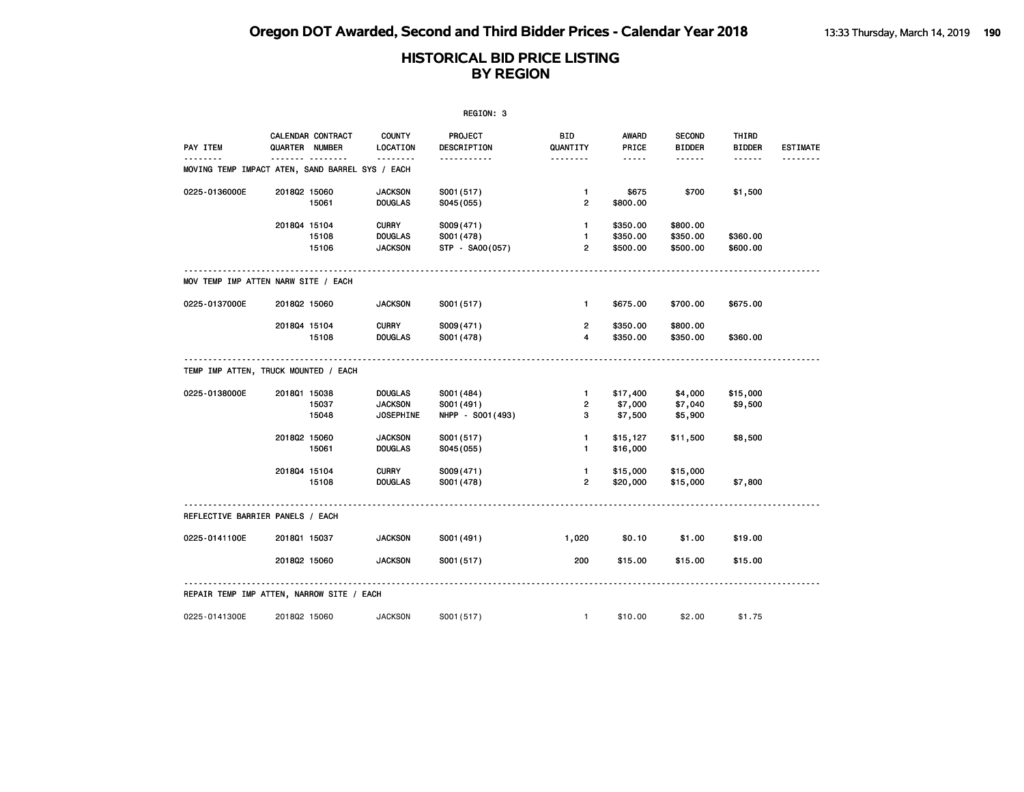| REGION: 3                                            |              |                                     |                           |                        |                 |                       |                                |                        |                 |  |
|------------------------------------------------------|--------------|-------------------------------------|---------------------------|------------------------|-----------------|-----------------------|--------------------------------|------------------------|-----------------|--|
| PAY ITEM                                             |              | CALENDAR CONTRACT<br>QUARTER NUMBER | <b>COUNTY</b><br>LOCATION | PROJECT<br>DESCRIPTION | BID<br>QUANTITY | <b>AWARD</b><br>PRICE | <b>SECOND</b><br><b>BIDDER</b> | THIRD<br><b>BIDDER</b> | <b>ESTIMATE</b> |  |
| .<br>MOVING TEMP IMPACT ATEN, SAND BARREL SYS / EACH |              |                                     | .                         | <u>.</u>               | <u>.</u>        | $- - - - -$           |                                |                        | <u>.</u>        |  |
| 0225-0136000E                                        | 201802 15060 |                                     | <b>JACKSON</b>            | S001 (517)             | $\mathbf{1}$    | \$675                 | \$700                          | \$1,500                |                 |  |
|                                                      |              | 15061                               | <b>DOUGLAS</b>            | S045(055)              | $\overline{2}$  | \$800.00              |                                |                        |                 |  |
|                                                      | 201804 15104 |                                     | <b>CURRY</b>              | S009(471)              | $\mathbf{1}$    | \$350.00              | \$800.00                       |                        |                 |  |
|                                                      |              | 15108                               | <b>DOUGLAS</b>            | S001 (478)             | $\mathbf{1}$    | \$350.00              | \$350.00                       | \$360.00               |                 |  |
|                                                      |              | 15106                               | <b>JACKSON</b>            | STP - SA00(057)        | $\overline{2}$  | \$500.00              | \$500.00                       | \$600.00               |                 |  |
| MOV TEMP IMP ATTEN NARW SITE / EACH                  |              |                                     |                           |                        |                 |                       |                                |                        |                 |  |
| 0225-0137000E                                        | 201802 15060 |                                     | <b>JACKSON</b>            | S001(517)              | $\mathbf{1}$    | \$675.00              | \$700.00                       | \$675.00               |                 |  |
|                                                      | 201804 15104 |                                     | <b>CURRY</b>              | S009(471)              | $\overline{2}$  | \$350.00              | \$800.00                       |                        |                 |  |
|                                                      |              | 15108                               | <b>DOUGLAS</b>            | S001 (478)             | 4               | \$350.00              | \$350.00                       | \$360.00               |                 |  |
| TEMP IMP ATTEN, TRUCK MOUNTED / EACH                 |              |                                     |                           |                        |                 |                       |                                |                        |                 |  |
| 0225-0138000E                                        | 201801 15038 |                                     | <b>DOUGLAS</b>            | S001 (484)             | $\mathbf{1}$    | \$17,400              | \$4,000                        | \$15,000               |                 |  |
|                                                      |              | 15037                               | <b>JACKSON</b>            | S001 (491)             | $\overline{2}$  | \$7,000               | \$7,040                        | \$9,500                |                 |  |
|                                                      |              | 15048                               | <b>JOSEPHINE</b>          | NHPP - S001 (493)      | 3               | \$7,500               | \$5,900                        |                        |                 |  |
|                                                      | 201802 15060 |                                     | <b>JACKSON</b>            | S001(517)              | $\mathbf{1}$    | \$15,127              | \$11,500                       | \$8,500                |                 |  |
|                                                      |              | 15061                               | <b>DOUGLAS</b>            | S045(055)              | $\mathbf{1}$    | \$16,000              |                                |                        |                 |  |
|                                                      | 201804 15104 |                                     | <b>CURRY</b>              | S009(471)              | $\mathbf{1}$    | \$15,000              | \$15,000                       |                        |                 |  |
|                                                      |              | 15108                               | <b>DOUGLAS</b>            | S001 (478)             | $\overline{2}$  | \$20,000              | \$15,000                       | \$7,800                |                 |  |
| REFLECTIVE BARRIER PANELS / EACH                     |              |                                     |                           |                        |                 |                       |                                |                        |                 |  |
| 0225-0141100E                                        | 201801 15037 |                                     | <b>JACKSON</b>            | S001 (491)             | 1,020           | \$0.10                | \$1.00                         | \$19.00                |                 |  |
|                                                      | 201802 15060 |                                     | <b>JACKSON</b>            | S001 (517)             | 200             | \$15.00               | \$15.00                        | \$15.00                |                 |  |
| REPAIR TEMP IMP ATTEN, NARROW SITE / EACH            |              |                                     |                           |                        |                 |                       |                                |                        |                 |  |
| 0225-0141300E                                        | 201802 15060 |                                     | <b>JACKSON</b>            | S001(517)              | $\mathbf{1}$    | \$10,00               | \$2.00                         | \$1.75                 |                 |  |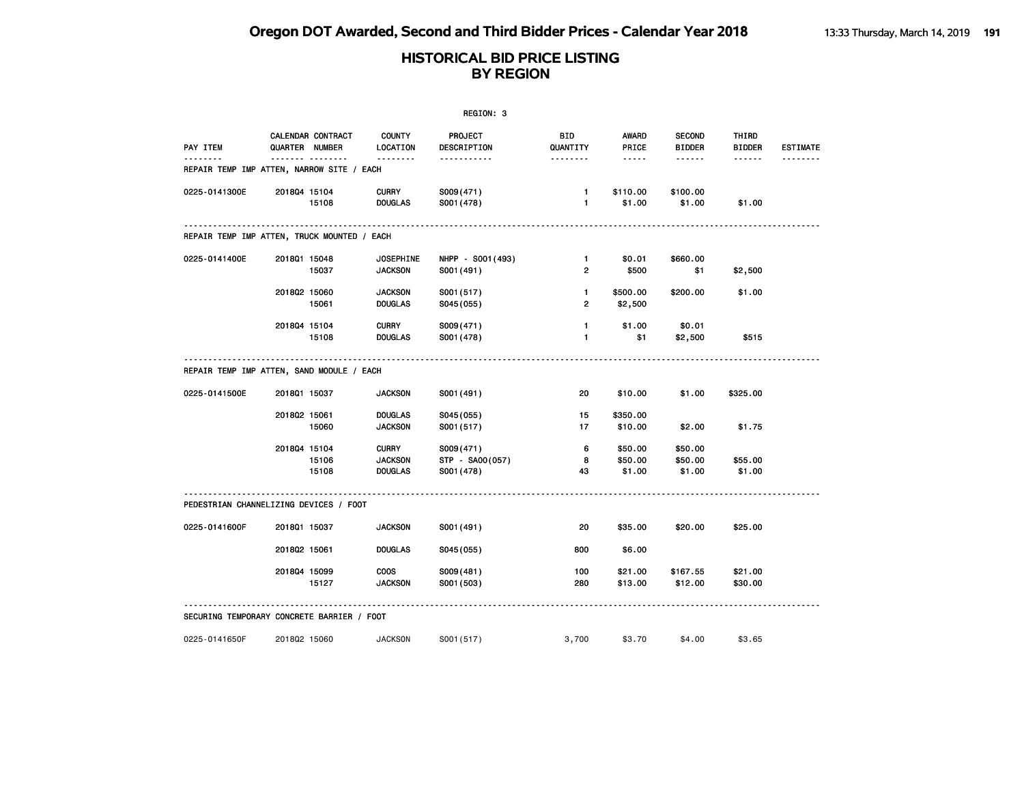|                                             | REGION: 3    |                                     |                                                  |                                            |                                |                              |                                |                        |                 |  |  |
|---------------------------------------------|--------------|-------------------------------------|--------------------------------------------------|--------------------------------------------|--------------------------------|------------------------------|--------------------------------|------------------------|-----------------|--|--|
| PAY ITEM                                    |              | CALENDAR CONTRACT<br>QUARTER NUMBER | <b>COUNTY</b><br>LOCATION                        | PROJECT<br>DESCRIPTION                     | BID<br>QUANTITY                | AWARD<br>PRICE               | <b>SECOND</b><br><b>BIDDER</b> | THIRD<br><b>BIDDER</b> | <b>ESTIMATE</b> |  |  |
| REPAIR TEMP IMP ATTEN, NARROW SITE / EACH   |              | . <sub>.</sub>                      | .                                                | -----------                                | .                              | -----                        | ------                         | ------                 | .               |  |  |
| 0225-0141300E                               | 201804 15104 | 15108                               | <b>CURRY</b><br><b>DOUGLAS</b>                   | S009(471)<br>S001 (478)                    | $\mathbf{1}$<br>$\mathbf{1}$   | \$110.00<br>\$1.00           | \$100.00<br>\$1.00             | \$1.00                 |                 |  |  |
| REPAIR TEMP IMP ATTEN, TRUCK MOUNTED / EACH |              |                                     |                                                  |                                            |                                |                              |                                |                        |                 |  |  |
| 0225-0141400E                               | 201801 15048 | 15037                               | <b>JOSEPHINE</b><br><b>JACKSON</b>               | NHPP - S001 (493)<br>S001 (491)            | $\mathbf{1}$<br>$\overline{2}$ | \$0.01<br>\$500              | \$660.00<br>\$1                | \$2,500                |                 |  |  |
|                                             | 201802 15060 | 15061                               | <b>JACKSON</b><br><b>DOUGLAS</b>                 | S001 (517)<br>S045 (055)                   | $\mathbf{1}$<br>$\overline{2}$ | \$500.00<br>\$2,500          | \$200.00                       | \$1.00                 |                 |  |  |
|                                             | 201804 15104 | 15108                               | <b>CURRY</b><br><b>DOUGLAS</b>                   | S009(471)<br>S001 (478)                    | $\mathbf{1}$<br>$\mathbf{1}$   | \$1.00<br>\$1                | \$0.01<br>\$2,500              | \$515                  |                 |  |  |
| REPAIR TEMP IMP ATTEN, SAND MODULE / EACH   |              |                                     |                                                  |                                            |                                |                              |                                |                        |                 |  |  |
| 0225-0141500E                               | 201801 15037 |                                     | <b>JACKSON</b>                                   | S001 (491)                                 | 20                             | \$10.00                      | \$1.00                         | \$325.00               |                 |  |  |
|                                             | 201802 15061 | 15060                               | <b>DOUGLAS</b><br><b>JACKSON</b>                 | S045 (055)<br>S001 (517)                   | 15<br>17                       | \$350.00<br>\$10.00          | \$2.00                         | \$1.75                 |                 |  |  |
|                                             | 201804 15104 | 15106<br>15108                      | <b>CURRY</b><br><b>JACKSON</b><br><b>DOUGLAS</b> | S009(471)<br>STP - SA00(057)<br>S001 (478) | 6<br>8<br>43                   | \$50.00<br>\$50.00<br>\$1.00 | \$50.00<br>\$50.00<br>\$1.00   | \$55.00<br>\$1.00      |                 |  |  |
| PEDESTRIAN CHANNELIZING DEVICES / FOOT      |              |                                     |                                                  |                                            |                                |                              |                                |                        |                 |  |  |
| 0225-0141600F                               | 201801 15037 |                                     | <b>JACKSON</b>                                   | S001 (491)                                 | 20                             | \$35.00                      | \$20.00                        | \$25.00                |                 |  |  |
|                                             | 201802 15061 |                                     | <b>DOUGLAS</b>                                   | S045 (055)                                 | 800                            | \$6.00                       |                                |                        |                 |  |  |
|                                             | 201804 15099 | 15127                               | <b>COOS</b><br><b>JACKSON</b>                    | S009(481)<br>S001 (503)                    | 100<br>280                     | \$21.00<br>\$13.00           | \$167.55<br>\$12.00            | \$21.00<br>\$30.00     |                 |  |  |
| SECURING TEMPORARY CONCRETE BARRIER / FOOT  |              |                                     |                                                  |                                            |                                |                              |                                |                        |                 |  |  |
| 0225-0141650F                               | 201802 15060 |                                     | <b>JACKSON</b>                                   | S001 (517)                                 | 3,700                          | \$3.70                       | \$4.00                         | \$3.65                 |                 |  |  |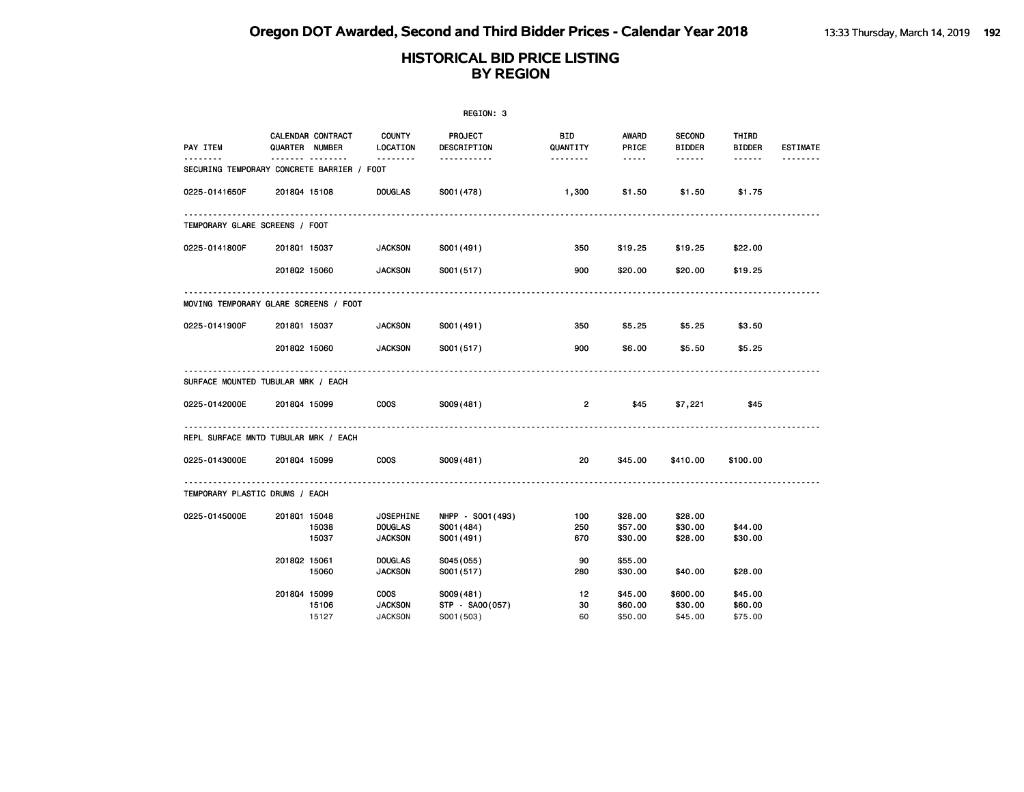| REGION: 3                                            |                       |                   |                                                      |                                               |                   |                               |                                |                               |                 |  |
|------------------------------------------------------|-----------------------|-------------------|------------------------------------------------------|-----------------------------------------------|-------------------|-------------------------------|--------------------------------|-------------------------------|-----------------|--|
| PAY ITEM                                             | <b>QUARTER NUMBER</b> | CALENDAR CONTRACT | <b>COUNTY</b><br>LOCATION                            | <b>PROJECT</b><br>DESCRIPTION                 | BID<br>QUANTITY   | AWARD<br>PRICE                | <b>SECOND</b><br><b>BIDDER</b> | THIRD<br><b>BIDDER</b>        | <b>ESTIMATE</b> |  |
| ------<br>SECURING TEMPORARY CONCRETE BARRIER / FOOT |                       | .                 |                                                      | <u>.</u>                                      |                   | $- - - - -$                   | ------                         |                               |                 |  |
| 0225-0141650F                                        | 201804 15108          |                   | <b>DOUGLAS</b>                                       | S001 (478)                                    | 1,300             | \$1.50                        | \$1.50                         | \$1.75                        |                 |  |
| TEMPORARY GLARE SCREENS / FOOT                       |                       |                   |                                                      |                                               |                   |                               |                                |                               |                 |  |
| 0225-0141800F                                        | 201801 15037          |                   | <b>JACKSON</b>                                       | S001 (491)                                    | 350               | \$19.25                       | \$19.25                        | \$22.00                       |                 |  |
|                                                      | 201802 15060          |                   | <b>JACKSON</b>                                       | S001 (517)                                    | 900               | \$20.00                       | \$20.00                        | \$19.25                       |                 |  |
| MOVING TEMPORARY GLARE SCREENS / FOOT                |                       |                   |                                                      |                                               |                   |                               |                                |                               |                 |  |
| 0225-0141900F                                        | 201801 15037          |                   | <b>JACKSON</b>                                       | S001 (491)                                    | 350               | \$5.25                        | \$5.25                         | \$3.50                        |                 |  |
|                                                      | 201802 15060          |                   | <b>JACKSON</b>                                       | S001 (517)                                    | 900               | \$6.00                        | \$5.50                         | \$5.25                        |                 |  |
| SURFACE MOUNTED TUBULAR MRK / EACH                   |                       |                   |                                                      |                                               |                   |                               |                                |                               |                 |  |
| 0225-0142000E 2018Q4 15099                           |                       |                   | <b>COOS</b>                                          | S009(481)                                     | $\overline{2}$    | \$45                          | \$7,221                        | \$45                          |                 |  |
| REPL SURFACE MNTD TUBULAR MRK / EACH                 |                       |                   |                                                      |                                               |                   |                               |                                |                               |                 |  |
| 0225-0143000E                                        | 201804 15099          |                   | <b>COOS</b>                                          | S009(481)                                     | 20                | \$45.00                       | \$410.00                       | \$100.00                      |                 |  |
| TEMPORARY PLASTIC DRUMS / EACH                       |                       |                   |                                                      |                                               |                   |                               |                                |                               |                 |  |
| 0225-0145000E                                        | 201801 15048          | 15038<br>15037    | <b>JOSEPHINE</b><br><b>DOUGLAS</b><br><b>JACKSON</b> | NHPP - S001 (493)<br>S001 (484)<br>S001 (491) | 100<br>250<br>670 | \$28.00<br>\$57.00<br>\$30.00 | \$28.00<br>\$30.00<br>\$28.00  | \$44.00<br>\$30.00            |                 |  |
|                                                      | 201802 15061          | 15060             | <b>DOUGLAS</b><br><b>JACKSON</b>                     | S045(055)<br>S001 (517)                       | 90<br>280         | \$55.00<br>\$30.00            | \$40.00                        | \$28.00                       |                 |  |
|                                                      | 201804 15099          | 15106<br>15127    | <b>COOS</b><br><b>JACKSON</b><br><b>JACKSON</b>      | S009(481)<br>STP - SA00(057)<br>S001 (503)    | 12<br>30<br>60    | \$45.00<br>\$60.00<br>\$50,00 | \$600.00<br>\$30.00<br>\$45.00 | \$45.00<br>\$60.00<br>\$75.00 |                 |  |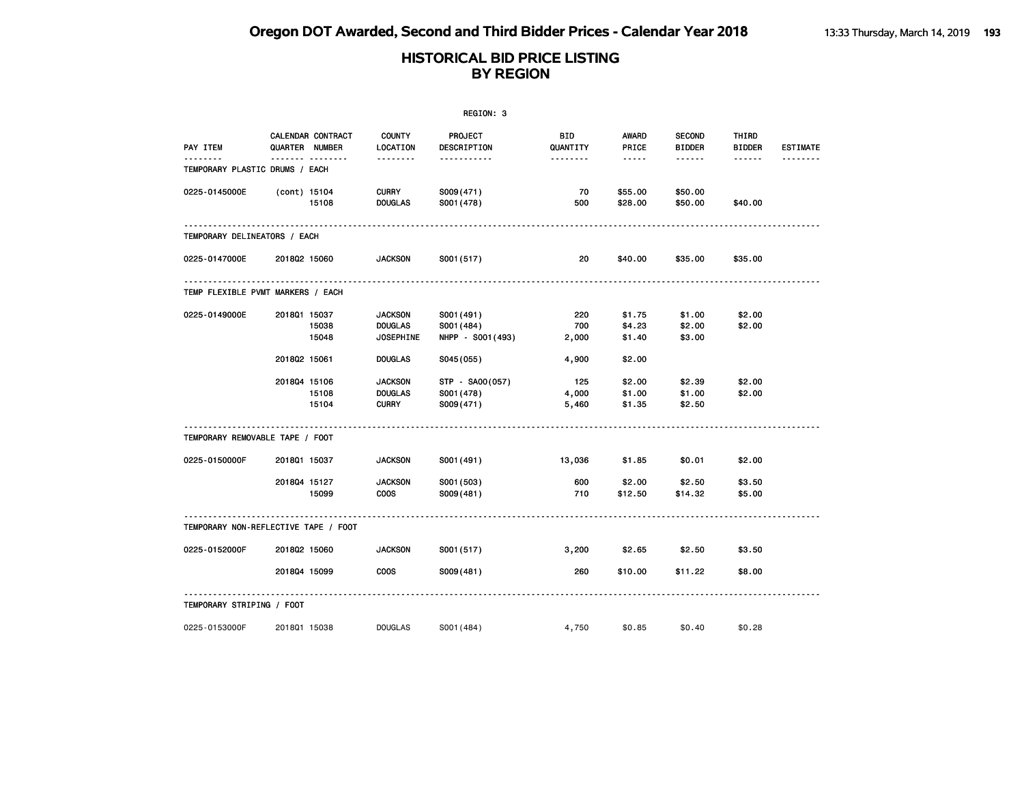|                              |                                            |                                                      | REGION: 3                                     |                        |                                                                                                               |                                |                        |                 |
|------------------------------|--------------------------------------------|------------------------------------------------------|-----------------------------------------------|------------------------|---------------------------------------------------------------------------------------------------------------|--------------------------------|------------------------|-----------------|
| PAY ITEM                     | CALENDAR CONTRACT<br>QUARTER NUMBER        | <b>COUNTY</b><br>LOCATION                            | <b>PROJECT</b><br>DESCRIPTION                 | <b>BID</b><br>QUANTITY | AWARD<br>PRICE                                                                                                | <b>SECOND</b><br><b>BIDDER</b> | THIRD<br><b>BIDDER</b> | <b>ESTIMATE</b> |
|                              | <u>.</u><br>TEMPORARY PLASTIC DRUMS / EACH | .                                                    | .                                             | <u> - - - - - - -</u>  | $\frac{1}{2} \frac{1}{2} \frac{1}{2} \frac{1}{2} \frac{1}{2} \frac{1}{2} \frac{1}{2} \frac{1}{2} \frac{1}{2}$ | ------                         | ------                 |                 |
| 0225-0145000E                | (cont) 15104<br>15108                      | <b>CURRY</b><br><b>DOUGLAS</b>                       | S009(471)<br>S001 (478)                       | 70<br>500              | \$55.00<br>\$28.00                                                                                            | \$50.00<br>\$50.00             | \$40.00                |                 |
| TEMPORARY DELINEATORS / EACH |                                            |                                                      |                                               |                        |                                                                                                               |                                |                        |                 |
| 0225-0147000E                | 201802 15060                               | <b>JACKSON</b>                                       | S001 (517)                                    | 20                     | \$40.00                                                                                                       | \$35.00                        | \$35.00                |                 |
|                              | TEMP FLEXIBLE PVMT MARKERS / EACH          |                                                      |                                               |                        |                                                                                                               |                                |                        |                 |
| 0225-0149000E                | 201801 15037<br>15038<br>15048             | <b>JACKSON</b><br><b>DOUGLAS</b><br><b>JOSEPHINE</b> | S001 (491)<br>S001 (484)<br>NHPP - S001 (493) | 220<br>700<br>2,000    | \$1.75<br>\$4.23<br>\$1.40                                                                                    | \$1.00<br>\$2.00<br>\$3.00     | \$2.00<br>\$2.00       |                 |
|                              | 201802 15061                               | <b>DOUGLAS</b>                                       | S045(055)                                     | 4,900                  | \$2.00                                                                                                        |                                |                        |                 |
|                              | 201804 15106<br>15108<br>15104             | <b>JACKSON</b><br><b>DOUGLAS</b><br><b>CURRY</b>     | STP - SA00(057)<br>S001 (478)<br>S009(471)    | 125<br>4,000<br>5,460  | \$2.00<br>\$1.00<br>\$1.35                                                                                    | \$2.39<br>\$1.00<br>\$2.50     | \$2.00<br>\$2.00       |                 |
|                              | TEMPORARY REMOVABLE TAPE / FOOT            |                                                      |                                               |                        |                                                                                                               |                                |                        |                 |
| 0225-0150000F                | 201801 15037                               | <b>JACKSON</b>                                       | S001 (491)                                    | 13,036                 | \$1.85                                                                                                        | \$0.01                         | \$2.00                 |                 |
|                              | 201804 15127<br>15099                      | <b>JACKSON</b><br><b>COOS</b>                        | S001 (503)<br>S009(481)                       | 600<br>710             | \$2.00<br>\$12.50                                                                                             | \$2.50<br>\$14.32              | \$3.50<br>\$5.00       |                 |
|                              | TEMPORARY NON-REFLECTIVE TAPE / FOOT       |                                                      |                                               |                        |                                                                                                               |                                |                        |                 |
| 0225-0152000F                | 201802 15060                               | <b>JACKSON</b>                                       | S001 (517)                                    | 3,200                  | \$2.65                                                                                                        | \$2.50                         | \$3.50                 |                 |
|                              | 201804 15099                               | <b>COOS</b>                                          | S009(481)                                     | 260                    | \$10.00                                                                                                       | \$11.22                        | \$8.00                 |                 |
| TEMPORARY STRIPING / FOOT    |                                            |                                                      |                                               |                        |                                                                                                               |                                |                        |                 |
| 0225-0153000F                | 201801 15038                               | <b>DOUGLAS</b>                                       | S001 (484)                                    | 4,750                  | \$0.85                                                                                                        | \$0.40                         | \$0.28                 |                 |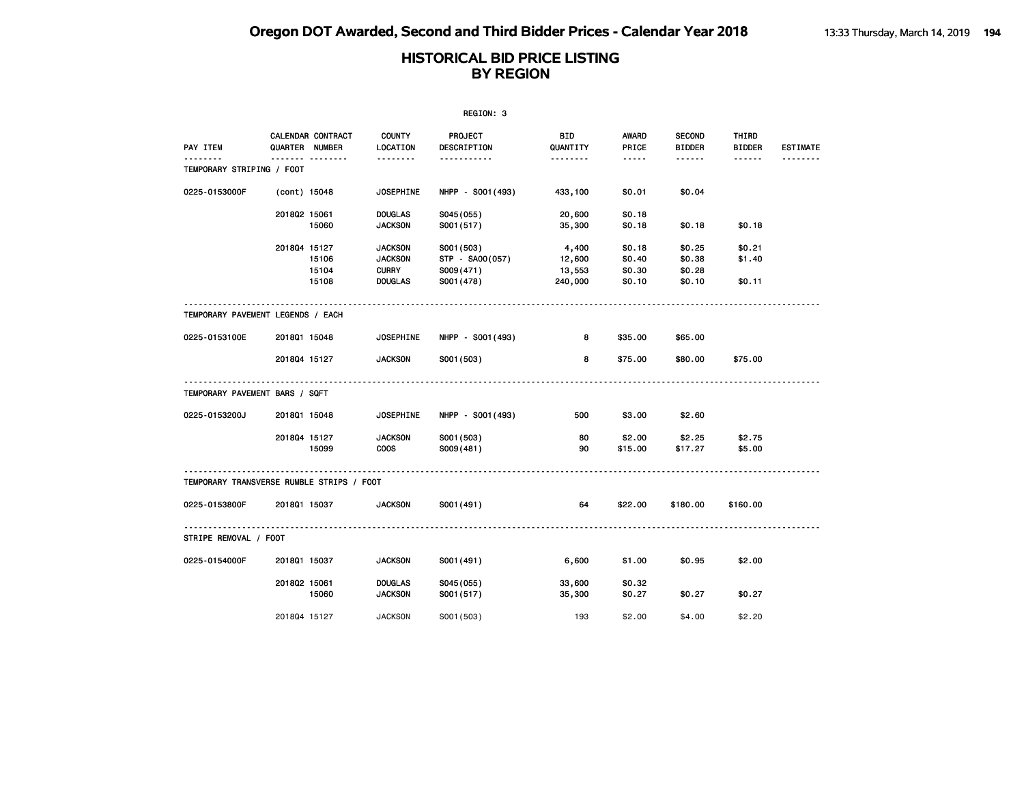|                                           |              |                                     |                                                                    | REGION: 3                                                |                                      |                                      |                                      |                            |                 |
|-------------------------------------------|--------------|-------------------------------------|--------------------------------------------------------------------|----------------------------------------------------------|--------------------------------------|--------------------------------------|--------------------------------------|----------------------------|-----------------|
| PAY ITEM                                  |              | CALENDAR CONTRACT<br>QUARTER NUMBER | <b>COUNTY</b><br>LOCATION                                          | PROJECT<br>DESCRIPTION                                   | <b>BID</b><br>QUANTITY               | <b>AWARD</b><br>PRICE                | <b>SECOND</b><br><b>BIDDER</b>       | THIRD<br><b>BIDDER</b>     | <b>ESTIMATE</b> |
| TEMPORARY STRIPING / FOOT                 |              |                                     | .                                                                  | -----------                                              | <u>.</u>                             | $\cdots\cdots$                       | $- - - - - -$                        | .                          | <u>.</u>        |
| 0225-0153000F                             | (cont) 15048 |                                     | <b>JOSEPHINE</b>                                                   | NHPP - S001(493)                                         | 433,100                              | \$0.01                               | \$0.04                               |                            |                 |
|                                           | 201802 15061 | 15060                               | <b>DOUGLAS</b><br><b>JACKSON</b>                                   | S045 (055)<br>S001 (517)                                 | 20,600<br>35,300                     | \$0.18<br>\$0.18                     | \$0.18                               | \$0.18                     |                 |
|                                           | 201804 15127 | 15106<br>15104<br>15108             | <b>JACKSON</b><br><b>JACKSON</b><br><b>CURRY</b><br><b>DOUGLAS</b> | S001 (503)<br>STP - SA00(057)<br>S009(471)<br>S001 (478) | 4,400<br>12,600<br>13,553<br>240,000 | \$0.18<br>\$0.40<br>\$0.30<br>\$0.10 | \$0.25<br>\$0.38<br>\$0.28<br>\$0.10 | \$0.21<br>\$1.40<br>\$0.11 |                 |
| TEMPORARY PAVEMENT LEGENDS / EACH         |              |                                     |                                                                    |                                                          |                                      |                                      |                                      |                            |                 |
| 0225-0153100E                             | 201801 15048 |                                     | <b>JOSEPHINE</b>                                                   | NHPP - S001 (493)                                        | 8                                    | \$35.00                              | \$65.00                              |                            |                 |
|                                           | 201804 15127 |                                     | <b>JACKSON</b>                                                     | S001 (503)                                               | 8                                    | \$75.00                              | \$80.00                              | \$75.00                    |                 |
| TEMPORARY PAVEMENT BARS / SQFT            |              |                                     |                                                                    |                                                          |                                      |                                      |                                      |                            |                 |
| 0225-0153200J                             | 201801 15048 |                                     | <b>JOSEPHINE</b>                                                   | NHPP - S001 (493)                                        | 500                                  | \$3.00                               | \$2.60                               |                            |                 |
|                                           | 201804 15127 | 15099                               | <b>JACKSON</b><br><b>COOS</b>                                      | S001 (503)<br>S009(481)                                  | 80<br>90                             | \$2.00<br>\$15.00                    | \$2.25<br>\$17.27                    | \$2.75<br>\$5.00           |                 |
| TEMPORARY TRANSVERSE RUMBLE STRIPS / FOOT |              |                                     |                                                                    |                                                          |                                      |                                      |                                      |                            |                 |
| 0225-0153800F                             | 2018Q1 15037 |                                     | <b>JACKSON</b>                                                     | S001 (491)                                               | 64                                   | \$22.00                              | \$180.00                             | \$160.00                   |                 |
| STRIPE REMOVAL / FOOT                     |              |                                     |                                                                    |                                                          |                                      |                                      |                                      |                            |                 |
| 0225-0154000F                             | 201801 15037 |                                     | <b>JACKSON</b>                                                     | S001 (491)                                               | 6,600                                | \$1.00                               | \$0.95                               | \$2.00                     |                 |
|                                           | 201802 15061 | 15060                               | <b>DOUGLAS</b><br><b>JACKSON</b>                                   | S045(055)<br>S001 (517)                                  | 33,600<br>35,300                     | \$0.32<br>\$0.27                     | \$0.27                               | \$0.27                     |                 |
|                                           | 201804 15127 |                                     | <b>JACKSON</b>                                                     | S001 (503)                                               | 193                                  | \$2.00                               | \$4,00                               | \$2.20                     |                 |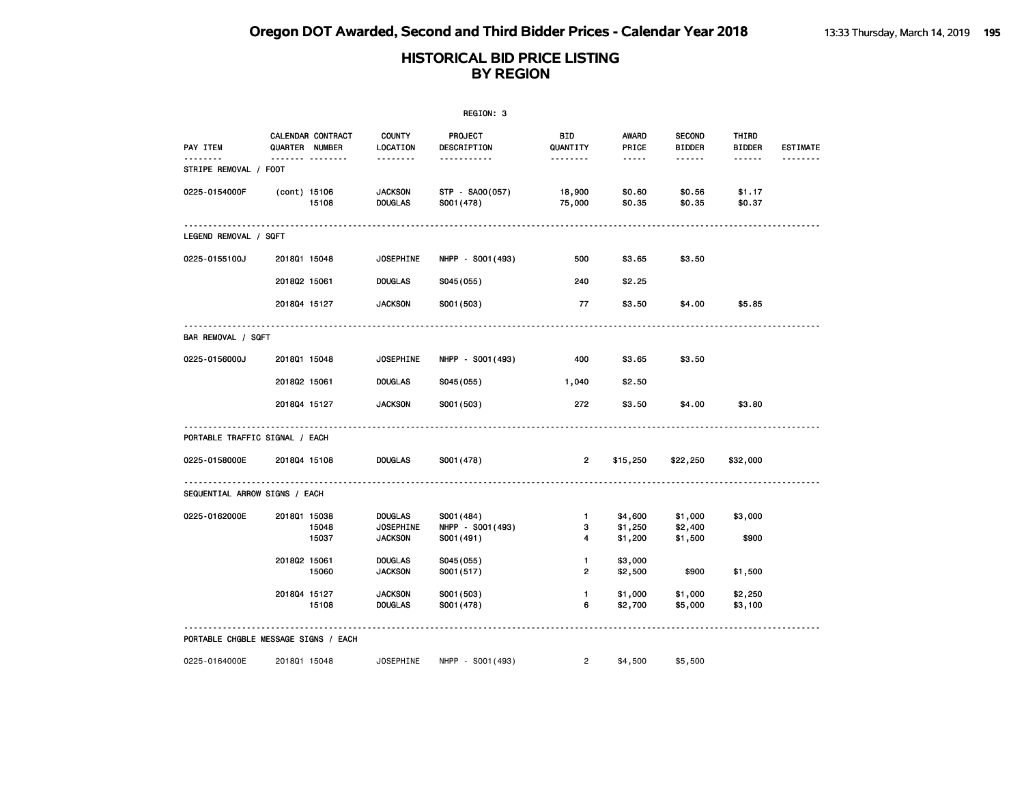|                                      |                |                   |                                                      | REGION: 3                                     |                        |                               |                                |                        |                 |
|--------------------------------------|----------------|-------------------|------------------------------------------------------|-----------------------------------------------|------------------------|-------------------------------|--------------------------------|------------------------|-----------------|
| PAY ITEM                             | QUARTER NUMBER | CALENDAR CONTRACT | <b>COUNTY</b><br>LOCATION                            | PROJECT<br>DESCRIPTION                        | <b>BID</b><br>QUANTITY | AWARD<br>PRICE                | <b>SECOND</b><br><b>BIDDER</b> | THIRD<br><b>BIDDER</b> | <b>ESTIMATE</b> |
| STRIPE REMOVAL / FOOT                |                | <b>.</b>          | .                                                    | <u>.</u>                                      | <u> - - - - - - -</u>  | -----                         | ------                         | ------                 |                 |
| 0225-0154000F                        | (cont) 15106   | 15108             | <b>JACKSON</b><br><b>DOUGLAS</b>                     | STP - SA00(057)<br>S001 (478)                 | 18,900<br>75,000       | \$0.60<br>\$0.35              | \$0.56<br>\$0.35               | \$1.17<br>\$0.37       |                 |
| LEGEND REMOVAL / SQFT                |                |                   |                                                      |                                               |                        |                               |                                |                        |                 |
| 0225-0155100J                        | 201801 15048   |                   | <b>JOSEPHINE</b>                                     | NHPP - S001 (493)                             | 500                    | \$3.65                        | \$3.50                         |                        |                 |
|                                      | 201802 15061   |                   | <b>DOUGLAS</b>                                       | S045(055)                                     | 240                    | \$2.25                        |                                |                        |                 |
|                                      | 201804 15127   |                   | <b>JACKSON</b>                                       | S001 (503)                                    | 77                     | \$3.50                        | \$4.00                         | \$5.85                 |                 |
| BAR REMOVAL / SQFT                   |                |                   |                                                      |                                               |                        |                               |                                |                        |                 |
| 0225-0156000J                        | 201801 15048   |                   | <b>JOSEPHINE</b>                                     | NHPP - S001 (493)                             | 400                    | \$3.65                        | \$3.50                         |                        |                 |
|                                      | 201802 15061   |                   | <b>DOUGLAS</b>                                       | S045(055)                                     | 1,040                  | \$2.50                        |                                |                        |                 |
|                                      | 201804 15127   |                   | <b>JACKSON</b>                                       | S001 (503)                                    | 272                    | \$3.50                        | \$4.00                         | \$3.80                 |                 |
| PORTABLE TRAFFIC SIGNAL / EACH       |                |                   |                                                      |                                               |                        |                               |                                |                        |                 |
| 0225-0158000E                        | 201804 15108   |                   | <b>DOUGLAS</b>                                       | S001 (478)                                    | $\overline{2}$         | \$15,250                      | \$22,250                       | \$32,000               |                 |
| SEQUENTIAL ARROW SIGNS / EACH        |                |                   |                                                      |                                               |                        |                               |                                |                        |                 |
| 0225-0162000E                        | 201801 15038   | 15048<br>15037    | <b>DOUGLAS</b><br><b>JOSEPHINE</b><br><b>JACKSON</b> | S001 (484)<br>NHPP - S001 (493)<br>S001 (491) | $\mathbf{1}$<br>3<br>4 | \$4,600<br>\$1,250<br>\$1,200 | \$1,000<br>\$2,400<br>\$1,500  | \$3,000<br>\$900       |                 |
|                                      | 201802 15061   | 15060             | <b>DOUGLAS</b><br><b>JACKSON</b>                     | S045 (055)<br>S001(517)                       | 1<br>$\overline{2}$    | \$3,000<br>\$2,500            | \$900                          | \$1,500                |                 |
|                                      | 201804 15127   | 15108             | <b>JACKSON</b><br><b>DOUGLAS</b>                     | S001 (503)<br>S001 (478)                      | 1<br>6                 | \$1,000<br>\$2,700            | \$1,000<br>\$5,000             | \$2,250<br>\$3,100     |                 |
| PORTABLE CHGBLE MESSAGE SIGNS / EACH |                |                   |                                                      |                                               |                        |                               |                                |                        |                 |
| 0225-0164000E                        | 201801 15048   |                   | <b>JOSEPHINE</b>                                     | NHPP - S001 (493)                             | $\overline{2}$         | \$4,500                       | \$5,500                        |                        |                 |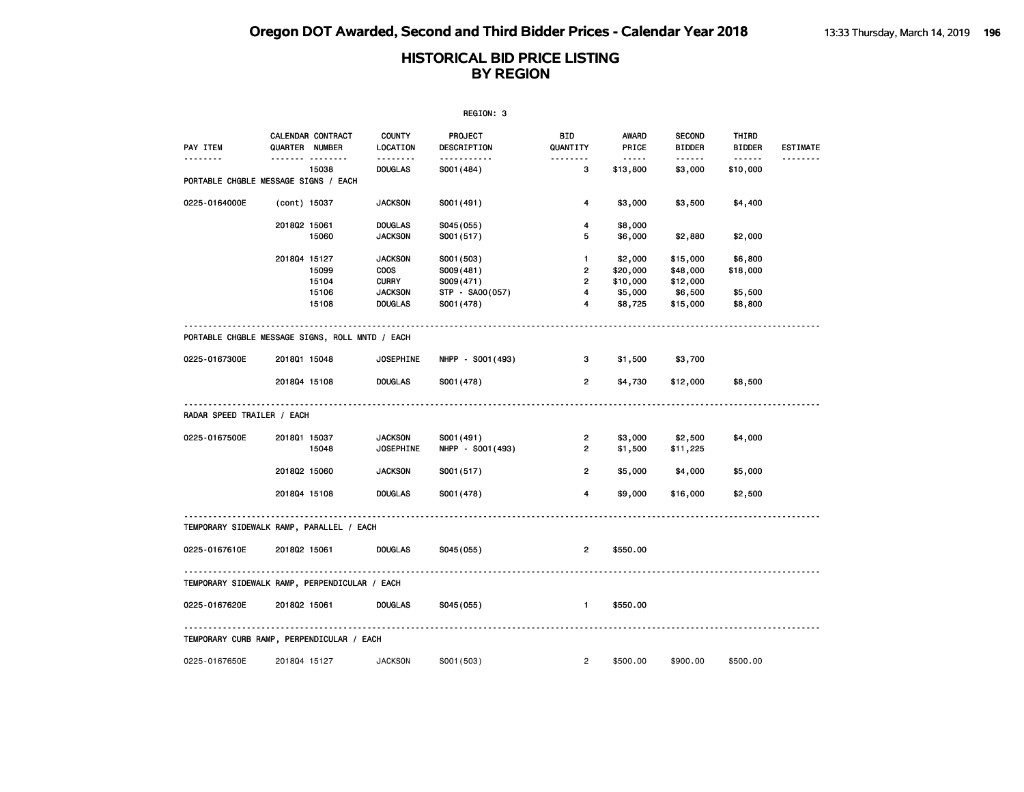|                                                 |                |                   |                            | REGION: 3              |                         |                           |                                |                           |                 |
|-------------------------------------------------|----------------|-------------------|----------------------------|------------------------|-------------------------|---------------------------|--------------------------------|---------------------------|-----------------|
| PAY ITEM                                        | QUARTER NUMBER | CALENDAR CONTRACT | COUNTY<br>LOCATION         | PROJECT<br>DESCRIPTION | <b>BID</b><br>QUANTITY  | AWARD<br>PRICE            | <b>SECOND</b><br><b>BIDDER</b> | THIRD<br><b>BIDDER</b>    | <b>ESTIMATE</b> |
| -------<br>PORTABLE CHGBLE MESSAGE SIGNS / EACH |                | .<br>15038        | <u>.</u><br><b>DOUGLAS</b> | <u>.</u><br>S001 (484) | <u>.</u><br>3           | $\frac{1}{2}$<br>\$13,800 | $- - - - - -$<br>\$3,000       | $- - - - - -$<br>\$10,000 | <u>.</u>        |
|                                                 |                |                   |                            |                        |                         |                           |                                |                           |                 |
| 0225-0164000E                                   | (cont) 15037   |                   | <b>JACKSON</b>             | S001 (491)             | 4                       | \$3,000                   | \$3,500                        | \$4,400                   |                 |
|                                                 | 201802 15061   |                   | <b>DOUGLAS</b>             | S045(055)              | 4                       | \$8,000                   |                                |                           |                 |
|                                                 |                | 15060             | <b>JACKSON</b>             | S001 (517)             | 5                       | \$6,000                   | \$2,880                        | \$2,000                   |                 |
|                                                 | 201804 15127   |                   | <b>JACKSON</b>             | S001 (503)             | $\mathbf{1}$            | \$2,000                   | \$15,000                       | \$6,800                   |                 |
|                                                 |                | 15099             | <b>COOS</b>                | S009(481)              | $\mathbf{2}$            | \$20,000                  | \$48,000                       | \$18,000                  |                 |
|                                                 |                | 15104             | <b>CURRY</b>               | S009(471)              | $\mathbf{2}$            | \$10,000                  | \$12,000                       |                           |                 |
|                                                 |                | 15106             | <b>JACKSON</b>             | STP - SA00(057)        | $\overline{\mathbf{4}}$ | \$5,000                   | \$6,500                        | \$5,500                   |                 |
|                                                 |                | 15108             | <b>DOUGLAS</b>             | S001 (478)             | 4                       | \$8,725                   | \$15,000                       | \$8,800                   |                 |
| PORTABLE CHGBLE MESSAGE SIGNS, ROLL MNTD / EACH |                |                   |                            |                        |                         |                           |                                |                           |                 |
| 0225-0167300E                                   | 201801 15048   |                   | <b>JOSEPHINE</b>           | NHPP - S001 (493)      | 3                       | \$1,500                   | \$3,700                        |                           |                 |
|                                                 | 201804 15108   |                   | <b>DOUGLAS</b>             | S001 (478)             | $\overline{2}$          | \$4,730                   | \$12,000                       | \$8,500                   |                 |
| RADAR SPEED TRAILER / EACH                      |                |                   |                            |                        |                         |                           |                                |                           |                 |
| 0225-0167500E                                   | 201801 15037   |                   | <b>JACKSON</b>             | S001 (491)             | $\overline{2}$          | \$3,000                   |                                | \$4,000                   |                 |
|                                                 |                | 15048             | <b>JOSEPHINE</b>           | NHPP - S001 (493)      | $\overline{2}$          | \$1,500                   | \$2,500<br>\$11,225            |                           |                 |
|                                                 | 201802 15060   |                   | <b>JACKSON</b>             | S001 (517)             | $\overline{2}$          | \$5,000                   | \$4,000                        | \$5,000                   |                 |
|                                                 | 201804 15108   |                   | <b>DOUGLAS</b>             | S001 (478)             | 4                       | \$9,000                   | \$16,000                       | \$2,500                   |                 |
|                                                 |                |                   |                            |                        |                         |                           |                                |                           |                 |
| TEMPORARY SIDEWALK RAMP, PARALLEL / EACH        |                |                   |                            |                        |                         |                           |                                |                           |                 |
| 0225-0167610E                                   | 201802 15061   |                   | <b>DOUGLAS</b>             | S045(055)              | $\overline{2}$          | \$550.00                  |                                |                           |                 |
|                                                 |                |                   |                            |                        |                         |                           |                                |                           |                 |
| TEMPORARY SIDEWALK RAMP, PERPENDICULAR / EACH   |                |                   |                            |                        |                         |                           |                                |                           |                 |
| 0225-0167620E                                   | 201802 15061   |                   | <b>DOUGLAS</b>             | S045(055)              | $\blacksquare$          | \$550.00                  |                                |                           |                 |
| TEMPORARY CURB RAMP, PERPENDICULAR / EACH       |                |                   |                            |                        |                         |                           |                                |                           |                 |
|                                                 |                |                   |                            |                        |                         |                           |                                |                           |                 |
| 0225-0167650E                                   | 201804 15127   |                   | <b>JACKSON</b>             | S001 (503)             | $\overline{2}$          | \$500.00                  | \$900.00                       | \$500.00                  |                 |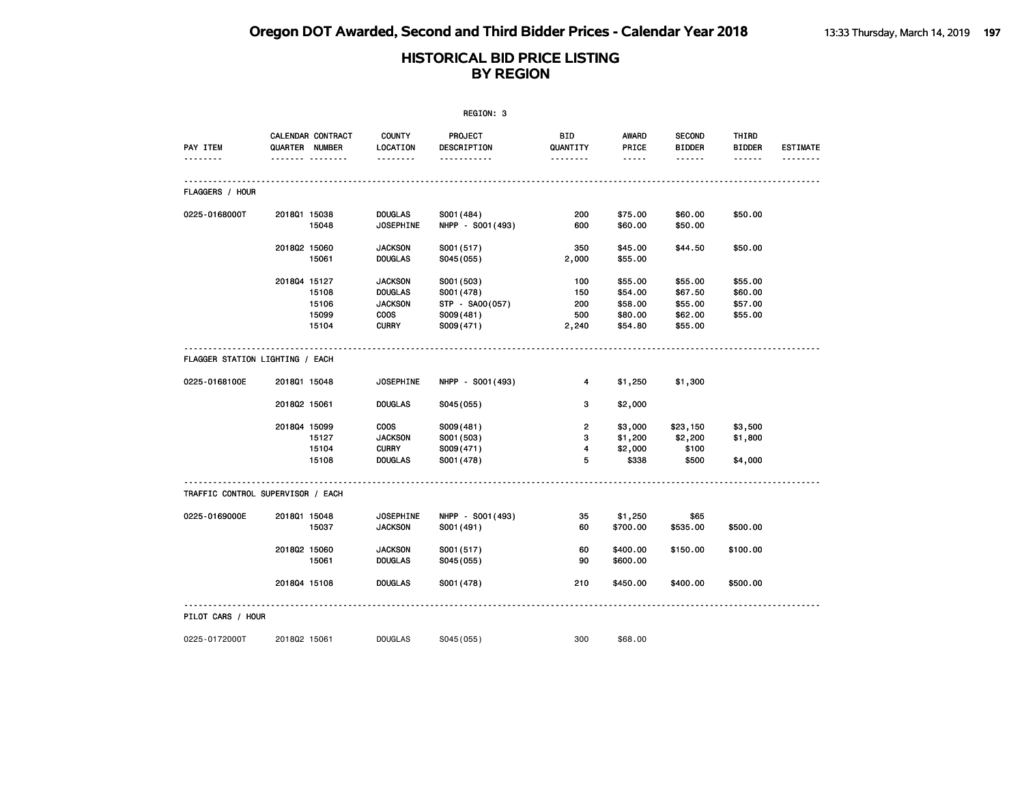|                                   |                |                   |                           | REGION: 3              |                 |                       |                                |                        |                 |
|-----------------------------------|----------------|-------------------|---------------------------|------------------------|-----------------|-----------------------|--------------------------------|------------------------|-----------------|
| PAY ITEM                          | QUARTER NUMBER | CALENDAR CONTRACT | <b>COUNTY</b><br>LOCATION | PROJECT<br>DESCRIPTION | BID<br>QUANTITY | <b>AWARD</b><br>PRICE | <b>SECOND</b><br><b>BIDDER</b> | THIRD<br><b>BIDDER</b> | <b>ESTIMATE</b> |
|                                   |                | .                 | <u>.</u>                  | <u>.</u>               | <u>.</u>        | $- - - - -$           |                                | ------                 | <u>.</u>        |
| <b>FLAGGERS / HOUR</b>            |                |                   |                           |                        |                 |                       |                                |                        |                 |
| 0225-0168000T                     | 201801 15038   |                   | <b>DOUGLAS</b>            | S001 (484)             | 200             | \$75.00               | \$60.00                        | \$50.00                |                 |
|                                   |                | 15048             | <b>JOSEPHINE</b>          | NHPP - S001(493)       | 600             | \$60.00               | \$50.00                        |                        |                 |
|                                   | 201802 15060   |                   | <b>JACKSON</b>            | S001 (517)             | 350             | \$45.00               | \$44.50                        | \$50.00                |                 |
|                                   |                | 15061             | <b>DOUGLAS</b>            | S045 (055)             | 2,000           | \$55.00               |                                |                        |                 |
|                                   | 201804 15127   |                   | <b>JACKSON</b>            | S001 (503)             | 100             | \$55.00               | \$55.00                        | \$55.00                |                 |
|                                   |                | 15108             | <b>DOUGLAS</b>            | S001 (478)             | 150             | \$54.00               | \$67.50                        | \$60.00                |                 |
|                                   |                | 15106             | <b>JACKSON</b>            | STP - SA00(057)        | 200             | \$58.00               | \$55.00                        | \$57.00                |                 |
|                                   |                | 15099             | <b>COOS</b>               | S009(481)              | 500             | \$80.00               | \$62.00                        | \$55.00                |                 |
|                                   |                | 15104             | <b>CURRY</b>              | S009(471)              | 2,240           | \$54.80               | \$55.00                        |                        |                 |
| FLAGGER STATION LIGHTING / EACH   |                |                   |                           |                        |                 |                       |                                |                        |                 |
| 0225-0168100E                     | 201801 15048   |                   | <b>JOSEPHINE</b>          | NHPP - S001 (493)      | 4               | \$1,250               | \$1,300                        |                        |                 |
|                                   | 201802 15061   |                   | <b>DOUGLAS</b>            | S045 (055)             | з               | \$2,000               |                                |                        |                 |
|                                   | 201804 15099   |                   | <b>COOS</b>               | S009(481)              | 2               | \$3,000               | \$23,150                       | \$3,500                |                 |
|                                   |                | 15127             | <b>JACKSON</b>            | S001 (503)             | з               | \$1,200               | \$2,200                        | \$1,800                |                 |
|                                   |                | 15104             | <b>CURRY</b>              | S009(471)              | 4               | \$2,000               | \$100                          |                        |                 |
|                                   |                | 15108             | <b>DOUGLAS</b>            | S001 (478)             | 5               | \$338                 | \$500                          | \$4,000                |                 |
| TRAFFIC CONTROL SUPERVISOR / EACH |                |                   |                           |                        |                 |                       |                                |                        |                 |
| 0225-0169000E                     | 201801 15048   |                   | <b>JOSEPHINE</b>          | NHPP - S001 (493)      | 35              | \$1,250               | \$65                           |                        |                 |
|                                   |                | 15037             | <b>JACKSON</b>            | S001 (491)             | 60              | \$700.00              | \$535.00                       | \$500.00               |                 |
|                                   | 201802 15060   |                   | <b>JACKSON</b>            | S001 (517)             | 60              | \$400.00              | \$150.00                       | \$100.00               |                 |
|                                   |                | 15061             | <b>DOUGLAS</b>            | S045 (055)             | 90              | \$600.00              |                                |                        |                 |
|                                   | 201804 15108   |                   | <b>DOUGLAS</b>            | S001 (478)             | 210             | \$450.00              | \$400.00                       | \$500.00               |                 |
| PILOT CARS / HOUR                 |                |                   |                           |                        |                 |                       |                                |                        |                 |
| 0225-0172000T                     | 201802 15061   |                   | <b>DOUGLAS</b>            | S045 (055)             | 300             | \$68.00               |                                |                        |                 |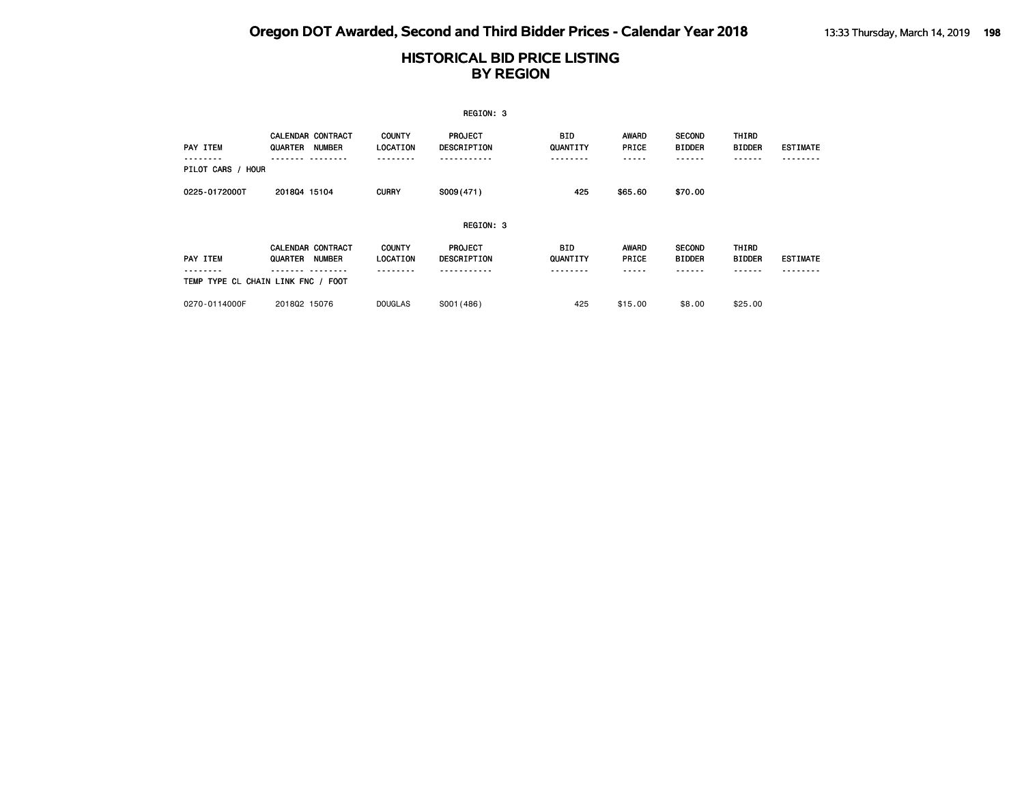|                                    |                                                      |                           | REGION: 3                            |                        |                                    |                                     |                        |                 |
|------------------------------------|------------------------------------------------------|---------------------------|--------------------------------------|------------------------|------------------------------------|-------------------------------------|------------------------|-----------------|
| PAY ITEM                           | <b>CALENDAR CONTRACT</b><br>QUARTER<br><b>NUMBER</b> | <b>COUNTY</b><br>LOCATION | <b>PROJECT</b><br><b>DESCRIPTION</b> | BID.<br>QUANTITY       | <b>AWARD</b><br>PRICE<br>- - - - - | <b>SECOND</b><br><b>BIDDER</b><br>. | THIRD<br><b>BIDDER</b> | <b>ESTIMATE</b> |
| PILOT CARS /<br>HOUR               |                                                      |                           |                                      |                        |                                    |                                     |                        |                 |
| 0225-0172000T                      | 201804 15104                                         | <b>CURRY</b>              | S009(471)                            | 425                    | \$65.60                            | \$70.00                             |                        |                 |
|                                    |                                                      |                           | REGION: 3                            |                        |                                    |                                     |                        |                 |
| <b>PAY ITEM</b>                    | <b>CALENDAR CONTRACT</b><br><b>NUMBER</b><br>QUARTER | <b>COUNTY</b><br>LOCATION | <b>PROJECT</b><br>DESCRIPTION        | <b>BID</b><br>QUANTITY | <b>AWARD</b><br>PRICE              | <b>SECOND</b><br><b>BIDDER</b>      | THIRD<br><b>BIDDER</b> | <b>ESTIMATE</b> |
| TEMP TYPE CL CHAIN LINK FNC / FOOT |                                                      |                           |                                      |                        |                                    |                                     |                        |                 |
| 0270-0114000F                      | 201802 15076                                         | <b>DOUGLAS</b>            | S001 (486)                           | 425                    | \$15.00                            | \$8.00                              | \$25.00                |                 |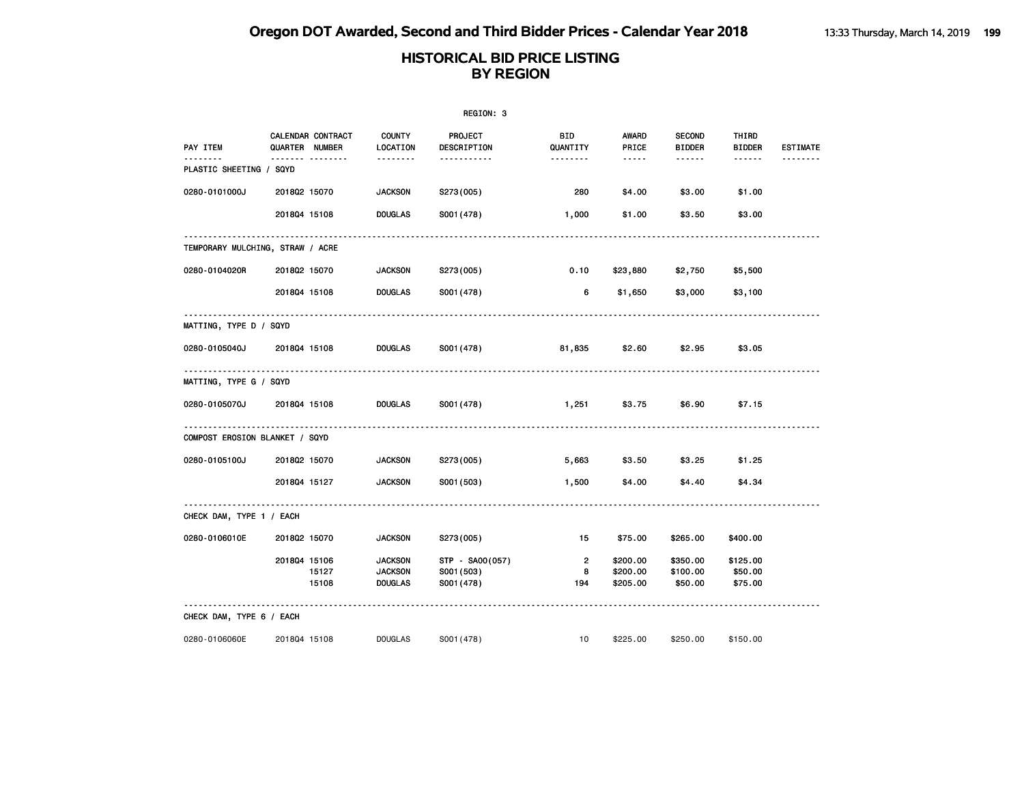|                                  |              |                                            |                                                    | REGION: 3                                   |                            |                                                                                                               |                                 |                                |                 |
|----------------------------------|--------------|--------------------------------------------|----------------------------------------------------|---------------------------------------------|----------------------------|---------------------------------------------------------------------------------------------------------------|---------------------------------|--------------------------------|-----------------|
| PAY ITEM                         |              | CALENDAR CONTRACT<br><b>QUARTER NUMBER</b> | COUNTY<br>LOCATION                                 | PROJECT<br>DESCRIPTION                      | BID<br>QUANTITY            | AWARD<br>PRICE                                                                                                | <b>SECOND</b><br><b>BIDDER</b>  | THIRD<br><b>BIDDER</b>         | <b>ESTIMATE</b> |
| .<br>PLASTIC SHEETING / SQYD     |              | <b>.</b>                                   | <u>.</u>                                           | -----------                                 | <u> - - - - - - -</u>      | $\frac{1}{2} \frac{1}{2} \frac{1}{2} \frac{1}{2} \frac{1}{2} \frac{1}{2} \frac{1}{2} \frac{1}{2} \frac{1}{2}$ | ------                          | ------                         | .               |
| 0280-0101000J                    | 201802 15070 |                                            | <b>JACKSON</b>                                     | S273(005)                                   | 280                        | \$4.00                                                                                                        | \$3.00                          | \$1.00                         |                 |
|                                  | 201804 15108 |                                            | <b>DOUGLAS</b>                                     | S001 (478)                                  | 1,000                      | \$1.00                                                                                                        | \$3.50                          | \$3.00                         |                 |
| TEMPORARY MULCHING, STRAW / ACRE |              |                                            |                                                    |                                             |                            |                                                                                                               |                                 |                                |                 |
| 0280-0104020R                    | 201802 15070 |                                            | <b>JACKSON</b>                                     | S273(005)                                   | 0.10                       | \$23,880                                                                                                      | \$2,750                         | \$5,500                        |                 |
|                                  | 201804 15108 |                                            | <b>DOUGLAS</b>                                     | S001 (478)                                  | 6                          | \$1,650                                                                                                       | \$3,000                         | \$3,100                        |                 |
| MATTING, TYPE D / SQYD           |              |                                            |                                                    |                                             |                            |                                                                                                               |                                 |                                |                 |
| 0280-0105040J                    | 201804 15108 |                                            | <b>DOUGLAS</b>                                     | S001 (478)                                  | 81,835                     | \$2.60                                                                                                        | \$2.95                          | \$3.05                         |                 |
| MATTING, TYPE G / SQYD           |              |                                            |                                                    |                                             |                            |                                                                                                               |                                 |                                |                 |
| 0280-0105070J                    | 201804 15108 |                                            | <b>DOUGLAS</b>                                     | S001 (478)                                  | 1,251                      | \$3.75                                                                                                        | \$6.90                          | \$7.15                         |                 |
| COMPOST EROSION BLANKET / SQYD   |              |                                            |                                                    |                                             |                            |                                                                                                               |                                 |                                |                 |
| 0280-0105100J                    | 201802 15070 |                                            | <b>JACKSON</b>                                     | S273(005)                                   | 5,663                      | \$3.50                                                                                                        | \$3.25                          | \$1.25                         |                 |
|                                  | 201804 15127 |                                            | <b>JACKSON</b>                                     | S001 (503)                                  | 1,500                      | \$4.00                                                                                                        | \$4.40                          | \$4.34                         |                 |
| CHECK DAM, TYPE 1 / EACH         |              |                                            |                                                    |                                             |                            |                                                                                                               |                                 |                                |                 |
| 0280-0106010E                    | 201802 15070 |                                            | <b>JACKSON</b>                                     | S273 (005)                                  | 15                         | \$75.00                                                                                                       | \$265.00                        | \$400.00                       |                 |
|                                  | 201804 15106 | 15127<br>15108                             | <b>JACKSON</b><br><b>JACKSON</b><br><b>DOUGLAS</b> | STP - SA00(057)<br>S001 (503)<br>S001 (478) | $\overline{2}$<br>8<br>194 | \$200.00<br>\$200.00<br>\$205.00                                                                              | \$350.00<br>\$100.00<br>\$50.00 | \$125.00<br>\$50.00<br>\$75.00 |                 |
| CHECK DAM, TYPE 6 / EACH         |              |                                            |                                                    |                                             |                            |                                                                                                               |                                 |                                |                 |
| 0280-0106060E                    | 201804 15108 |                                            | <b>DOUGLAS</b>                                     | S001 (478)                                  | 10                         | \$225.00                                                                                                      | \$250.00                        | \$150.00                       |                 |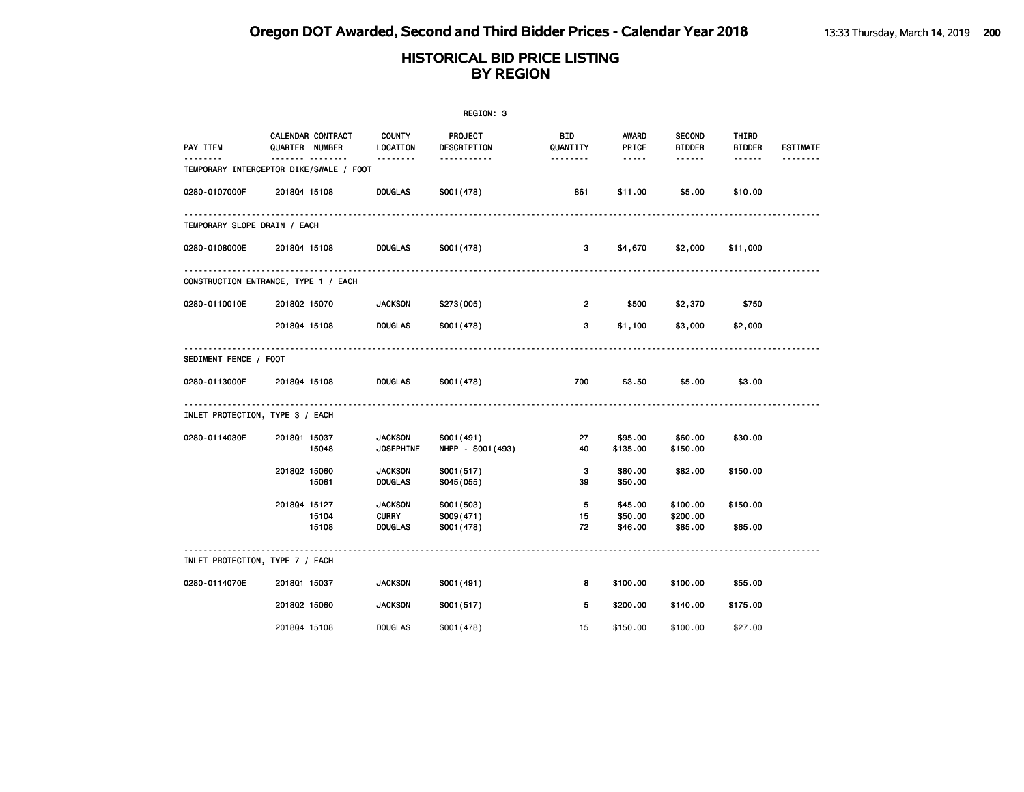|                              |                                              |                                    | REGION: 3                       |                 |                                                                                                                                                      |                                |                        |                 |
|------------------------------|----------------------------------------------|------------------------------------|---------------------------------|-----------------|------------------------------------------------------------------------------------------------------------------------------------------------------|--------------------------------|------------------------|-----------------|
| PAY ITEM                     | CALENDAR CONTRACT<br>QUARTER NUMBER          | <b>COUNTY</b><br>LOCATION          | PROJECT<br>DESCRIPTION          | BID<br>QUANTITY | AWARD<br>PRICE                                                                                                                                       | <b>SECOND</b><br><b>BIDDER</b> | THIRD<br><b>BIDDER</b> | <b>ESTIMATE</b> |
|                              | .<br>TEMPORARY INTERCEPTOR DIKE/SWALE / FOOT | <u>.</u>                           | -----------                     | .               | $\frac{1}{2} \left( \frac{1}{2} \right) \left( \frac{1}{2} \right) \left( \frac{1}{2} \right) \left( \frac{1}{2} \right) \left( \frac{1}{2} \right)$ | $- - - - - -$                  | ------                 | <u>.</u>        |
| 0280-0107000F                | 201804 15108                                 | <b>DOUGLAS</b>                     | S001 (478)                      | 861             | \$11.00                                                                                                                                              | \$5.00                         | \$10.00                |                 |
| TEMPORARY SLOPE DRAIN / EACH |                                              |                                    |                                 |                 |                                                                                                                                                      |                                |                        |                 |
| 0280-0108000E                | 201804 15108                                 | <b>DOUGLAS</b>                     | S001 (478)                      | 3               | \$4,670                                                                                                                                              | \$2,000                        | \$11,000               |                 |
|                              | CONSTRUCTION ENTRANCE, TYPE 1 / EACH         |                                    |                                 |                 |                                                                                                                                                      |                                |                        |                 |
| 0280-0110010E                | 201802 15070                                 | <b>JACKSON</b>                     | S273(005)                       | $\mathbf{2}$    | \$500                                                                                                                                                | \$2,370                        | \$750                  |                 |
|                              | 201804 15108                                 | <b>DOUGLAS</b>                     | S001 (478)                      | 3               | \$1,100                                                                                                                                              | \$3,000                        | \$2,000                |                 |
| SEDIMENT FENCE / FOOT        |                                              |                                    |                                 |                 |                                                                                                                                                      |                                |                        |                 |
| 0280-0113000F                | 201804 15108                                 | <b>DOUGLAS</b>                     | S001 (478)                      | 700             | \$3.50                                                                                                                                               | \$5.00                         | \$3.00                 |                 |
|                              | INLET PROTECTION, TYPE 3 / EACH              |                                    |                                 |                 |                                                                                                                                                      |                                |                        |                 |
| 0280-0114030E                | 201801 15037<br>15048                        | <b>JACKSON</b><br><b>JOSEPHINE</b> | S001 (491)<br>NHPP - S001 (493) | 27<br>40        | \$95.00<br>\$135.00                                                                                                                                  | \$60.00<br>\$150.00            | \$30.00                |                 |
|                              | 201802 15060<br>15061                        | <b>JACKSON</b><br><b>DOUGLAS</b>   | S001 (517)<br>S045(055)         | 3<br>39         | \$80.00<br>\$50.00                                                                                                                                   | \$82.00                        | \$150.00               |                 |
|                              | 201804 15127<br>15104                        | <b>JACKSON</b><br><b>CURRY</b>     | S001 (503)<br>S009(471)         | 5<br>15         | \$45.00<br>\$50.00                                                                                                                                   | \$100.00<br>\$200.00           | \$150.00               |                 |
|                              | 15108                                        | DOUGLAS                            | S001 (478)                      | 72              | \$46.00                                                                                                                                              | \$85.00                        | \$65.00                |                 |
|                              | INLET PROTECTION, TYPE 7 / EACH              |                                    |                                 |                 |                                                                                                                                                      |                                |                        |                 |
| 0280-0114070E                | 201801 15037                                 | <b>JACKSON</b>                     | S001 (491)                      | 8               | \$100.00                                                                                                                                             | \$100.00                       | \$55.00                |                 |
|                              | 201802 15060                                 | <b>JACKSON</b>                     | S001 (517)                      | 5.              | \$200.00                                                                                                                                             | \$140.00                       | \$175.00               |                 |
|                              | 201804 15108                                 | <b>DOUGLAS</b>                     | S001 (478)                      | 15              | \$150.00                                                                                                                                             | \$100.00                       | \$27.00                |                 |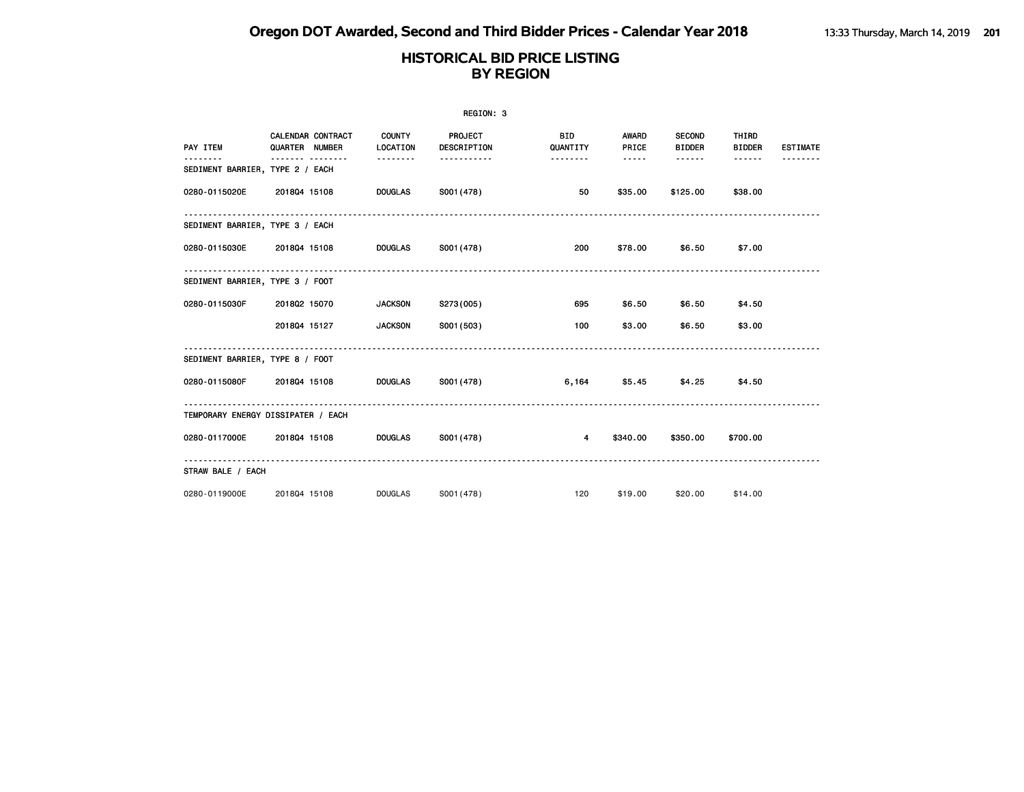|                                    |                |                   |                           | REGION: 3              |                        |                |                                |                        |                 |
|------------------------------------|----------------|-------------------|---------------------------|------------------------|------------------------|----------------|--------------------------------|------------------------|-----------------|
| PAY ITEM                           | QUARTER NUMBER | CALENDAR CONTRACT | <b>COUNTY</b><br>LOCATION | PROJECT<br>DESCRIPTION | <b>BID</b><br>QUANTITY | AWARD<br>PRICE | <b>SECOND</b><br><b>BIDDER</b> | THIRD<br><b>BIDDER</b> | <b>ESTIMATE</b> |
| SEDIMENT BARRIER, TYPE 2 / EACH    |                |                   |                           |                        | .                      | -----          | ------                         | ------                 |                 |
| 0280-0115020E                      | 201804 15108   |                   | <b>DOUGLAS</b>            | S001 (478)             | 50                     | \$35.00        | \$125.00                       | \$38.00                |                 |
| SEDIMENT BARRIER, TYPE 3 / EACH    |                |                   |                           |                        |                        |                |                                |                        |                 |
| 0280-0115030E                      | 201804 15108   |                   | <b>DOUGLAS</b>            | S001 (478)             | 200                    | \$78.00        | \$6.50                         | \$7.00                 |                 |
| SEDIMENT BARRIER, TYPE 3 / FOOT    |                |                   |                           |                        |                        |                |                                |                        |                 |
| 0280-0115030F                      | 201802 15070   |                   | <b>JACKSON</b>            | S273(005)              | 695                    | \$6.50         | \$6.50                         | \$4.50                 |                 |
|                                    | 201804 15127   |                   | <b>JACKSON</b>            | S001 (503)             | 100                    | \$3.00         | \$6.50                         | \$3.00                 |                 |
| SEDIMENT BARRIER, TYPE 8 / FOOT    |                |                   |                           |                        |                        |                |                                |                        |                 |
| 0280-0115080F                      | 201804 15108   |                   | <b>DOUGLAS</b>            | S001 (478)             | 6,164                  | \$5.45         | \$4.25                         | \$4.50                 |                 |
| TEMPORARY ENERGY DISSIPATER / EACH |                |                   |                           |                        |                        |                |                                |                        |                 |
| 0280-0117000E                      | 201804 15108   |                   | <b>DOUGLAS</b>            | S001 (478)             | $\overline{4}$         | \$340.00       | \$350.00                       | \$700.00               |                 |
| STRAW BALE / EACH                  |                |                   |                           |                        |                        |                |                                |                        |                 |
| 0280-0119000E                      | 201804 15108   |                   | <b>DOUGLAS</b>            | S001 (478)             | 120                    | \$19.00        | \$20.00                        | \$14.00                |                 |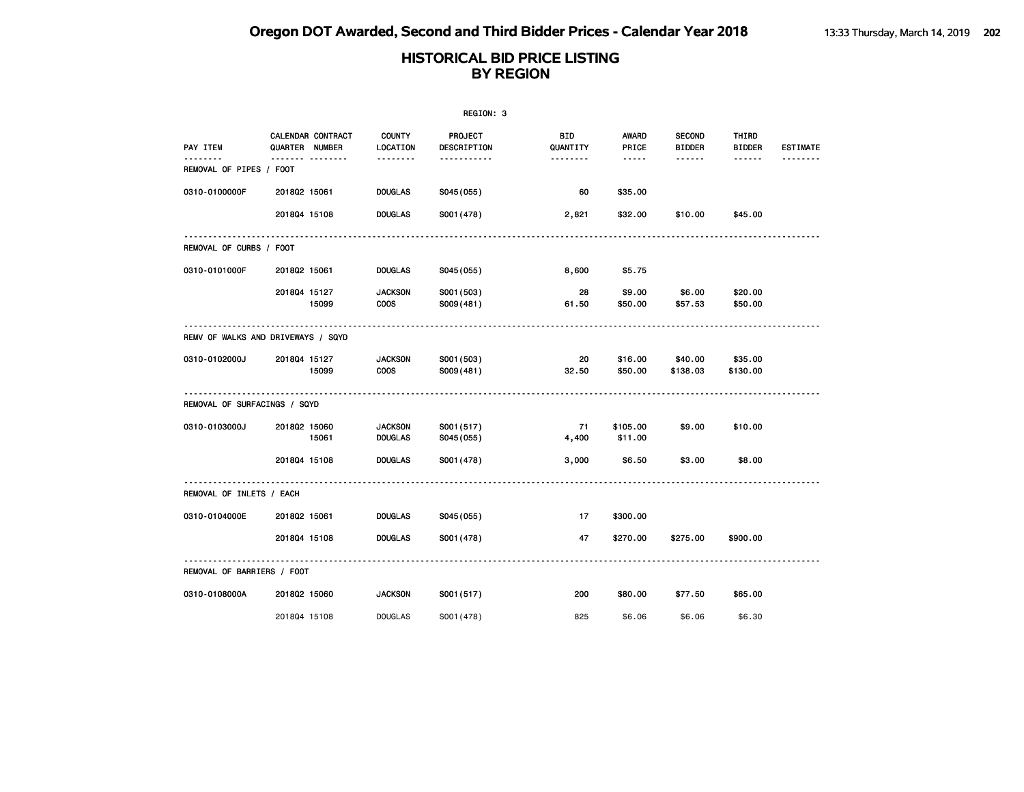|                                     |                                                        |                                       | REGION: 3                   |                                                 |                                                                                                                                        |                                |                                  |                             |
|-------------------------------------|--------------------------------------------------------|---------------------------------------|-----------------------------|-------------------------------------------------|----------------------------------------------------------------------------------------------------------------------------------------|--------------------------------|----------------------------------|-----------------------------|
| PAY ITEM<br>REMOVAL OF PIPES / FOOT | CALENDAR CONTRACT<br><b>QUARTER NUMBER</b><br><b>.</b> | <b>COUNTY</b><br>LOCATION<br><u>.</u> | PROJECT<br>DESCRIPTION<br>. | <b>BID</b><br>QUANTITY<br><u> - - - - - - -</u> | <b>AWARD</b><br>PRICE<br>$\frac{1}{2} \frac{1}{2} \frac{1}{2} \frac{1}{2} \frac{1}{2} \frac{1}{2} \frac{1}{2} \frac{1}{2} \frac{1}{2}$ | <b>SECOND</b><br><b>BIDDER</b> | THIRD<br><b>BIDDER</b><br>------ | <b>ESTIMATE</b><br><u>.</u> |
| 0310-0100000F                       | 201802 15061                                           | <b>DOUGLAS</b>                        | S045(055)                   | 60                                              | \$35.00                                                                                                                                |                                |                                  |                             |
|                                     | 201804 15108                                           | <b>DOUGLAS</b>                        | S001 (478)                  | 2,821                                           | \$32.00                                                                                                                                | \$10.00                        | \$45.00                          |                             |
| REMOVAL OF CURBS / FOOT             |                                                        |                                       |                             |                                                 |                                                                                                                                        |                                |                                  |                             |
| 0310-0101000F                       | 201802 15061                                           | <b>DOUGLAS</b>                        | S045(055)                   | 8,600                                           | \$5.75                                                                                                                                 |                                |                                  |                             |
|                                     | 201804 15127<br>15099                                  | <b>JACKSON</b><br><b>COOS</b>         | S001 (503)<br>S009(481)     | 28<br>61.50                                     | \$9.00<br>\$50.00                                                                                                                      | \$6.00<br>\$57.53              | \$20.00<br>\$50.00               |                             |
|                                     | REMV OF WALKS AND DRIVEWAYS / SQYD                     |                                       |                             |                                                 |                                                                                                                                        |                                |                                  |                             |
| 0310-0102000J                       | 201804 15127<br>15099                                  | <b>JACKSON</b><br><b>COOS</b>         | S001 (503)<br>S009(481)     | 20<br>32.50                                     | \$16.00<br>\$50.00                                                                                                                     | \$40.00<br>\$138.03            | \$35.00<br>\$130.00              |                             |
| REMOVAL OF SURFACINGS / SQYD        |                                                        |                                       |                             |                                                 |                                                                                                                                        |                                |                                  |                             |
| 0310-0103000J                       | 201802 15060<br>15061                                  | <b>JACKSON</b><br><b>DOUGLAS</b>      | S001 (517)<br>S045(055)     | 71<br>4,400                                     | \$105.00<br>\$11.00                                                                                                                    | \$9.00                         | \$10.00                          |                             |
|                                     | 201804 15108                                           | <b>DOUGLAS</b>                        | S001 (478)                  | 3,000                                           | \$6.50                                                                                                                                 | \$3.00                         | \$8.00                           |                             |
| REMOVAL OF INLETS / EACH            |                                                        |                                       |                             |                                                 |                                                                                                                                        |                                |                                  |                             |
| 0310-0104000E                       | 201802 15061                                           | <b>DOUGLAS</b>                        | S045(055)                   | 17                                              | \$300.00                                                                                                                               |                                |                                  |                             |
|                                     | 201804 15108                                           | <b>DOUGLAS</b>                        | S001 (478)                  | 47                                              | \$270.00                                                                                                                               | \$275.00                       | \$900.00                         |                             |
| REMOVAL OF BARRIERS / FOOT          |                                                        |                                       |                             |                                                 |                                                                                                                                        |                                |                                  |                             |
| 0310-0108000A                       | 201802 15060                                           | <b>JACKSON</b>                        | S001 (517)                  | 200                                             | \$80.00                                                                                                                                | \$77.50                        | \$65.00                          |                             |
|                                     | 201804 15108                                           | <b>DOUGLAS</b>                        | S001 (478)                  | 825                                             | \$6.06                                                                                                                                 | \$6.06                         | \$6.30                           |                             |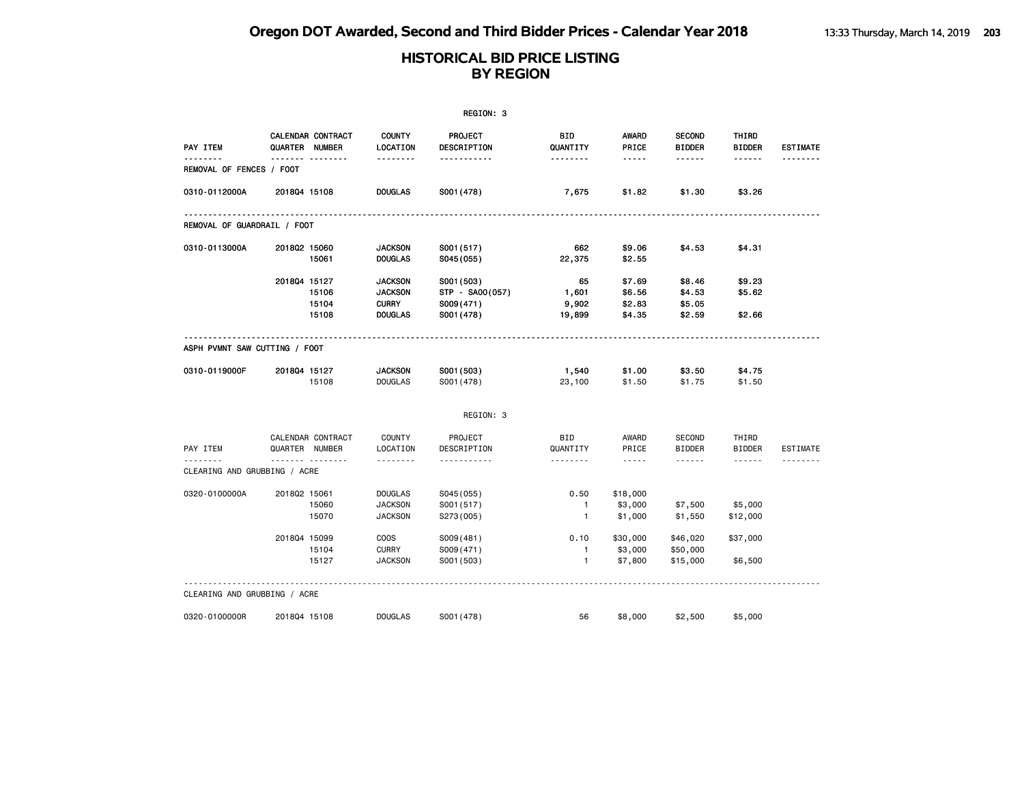|                               |                                                 |                                                                    | REGION: 3                                                |                                      |                                      |                                      |                                         |                             |
|-------------------------------|-------------------------------------------------|--------------------------------------------------------------------|----------------------------------------------------------|--------------------------------------|--------------------------------------|--------------------------------------|-----------------------------------------|-----------------------------|
| PAY ITEM                      | CALENDAR CONTRACT<br>QUARTER NUMBER             | <b>COUNTY</b><br>LOCATION                                          | PROJECT<br>DESCRIPTION                                   | <b>BID</b><br>QUANTITY               | <b>AWARD</b><br>PRICE                | <b>SECOND</b><br><b>BIDDER</b>       | THIRD<br><b>BIDDER</b>                  | <b>ESTIMATE</b>             |
| REMOVAL OF FENCES / FOOT      |                                                 | .                                                                  | .                                                        | .                                    | -----                                | .                                    | $- - - - - -$                           |                             |
| 0310-0112000A                 | 201804 15108                                    | <b>DOUGLAS</b>                                                     | S001 (478)                                               | 7,675                                | \$1.82                               | \$1.30                               | \$3.26                                  |                             |
| REMOVAL OF GUARDRAIL / FOOT   |                                                 |                                                                    |                                                          |                                      |                                      |                                      |                                         |                             |
| 0310-0113000A                 | 201802 15060<br>15061                           | <b>JACKSON</b><br><b>DOUGLAS</b>                                   | S001 (517)<br>S045(055)                                  | 662<br>22,375                        | \$9.06<br>\$2.55                     | \$4.53                               | \$4.31                                  |                             |
|                               | 201804 15127<br>15106<br>15104<br>15108         | <b>JACKSON</b><br><b>JACKSON</b><br><b>CURRY</b><br><b>DOUGLAS</b> | S001 (503)<br>STP - SA00(057)<br>S009(471)<br>S001 (478) | 65<br>1,601<br>9,902<br>19,899       | \$7.69<br>\$6.56<br>\$2.83<br>\$4.35 | \$8.46<br>\$4.53<br>\$5.05<br>\$2.59 | \$9.23<br>\$5.62<br>\$2.66              |                             |
| ASPH PVMNT SAW CUTTING / FOOT |                                                 |                                                                    |                                                          |                                      |                                      |                                      |                                         |                             |
| 0310-0119000F                 | 201804 15127<br>15108                           | <b>JACKSON</b><br><b>DOUGLAS</b>                                   | S001 (503)<br>S001 (478)                                 | 1,540<br>23,100                      | \$1.00<br>\$1.50                     | \$3.50<br>\$1.75                     | \$4.75<br>\$1.50                        |                             |
|                               |                                                 |                                                                    | REGION: 3                                                |                                      |                                      |                                      |                                         |                             |
| PAY ITEM                      | CALENDAR CONTRACT<br>QUARTER NUMBER<br><u>.</u> | <b>COUNTY</b><br>LOCATION<br>.                                     | PROJECT<br>DESCRIPTION<br><u>.</u>                       | BID<br>QUANTITY<br>.                 | AWARD<br>PRICE<br>$- - - - -$        | SECOND<br><b>BIDDER</b><br>------    | THIRD<br><b>BIDDER</b><br>$- - - - - -$ | <b>ESTIMATE</b><br><u>.</u> |
| CLEARING AND GRUBBING / ACRE  |                                                 |                                                                    |                                                          |                                      |                                      |                                      |                                         |                             |
| 0320-0100000A                 | 201802 15061<br>15060<br>15070                  | <b>DOUGLAS</b><br><b>JACKSON</b><br><b>JACKSON</b>                 | S045 (055)<br>S001 (517)<br>S273 (005)                   | 0.50<br>$\mathbf{1}$<br>$\mathbf{1}$ | \$18,000<br>\$3,000<br>\$1,000       | \$7,500<br>\$1,550                   | \$5,000<br>\$12,000                     |                             |
|                               | 201804 15099<br>15104<br>15127                  | <b>COOS</b><br><b>CURRY</b><br><b>JACKSON</b>                      | S009(481)<br>S009(471)<br>S001 (503)                     | 0.10<br>$\mathbf{1}$<br>$\mathbf{1}$ | \$30,000<br>\$3,000<br>\$7,800       | \$46,020<br>\$50,000<br>\$15,000     | \$37,000<br>\$6,500                     |                             |
| CLEARING AND GRUBBING / ACRE  |                                                 |                                                                    |                                                          |                                      |                                      |                                      |                                         |                             |
| 0320-0100000R                 | 201804 15108                                    | <b>DOUGLAS</b>                                                     | S001 (478)                                               | 56                                   | \$8,000                              | \$2,500                              | \$5,000                                 |                             |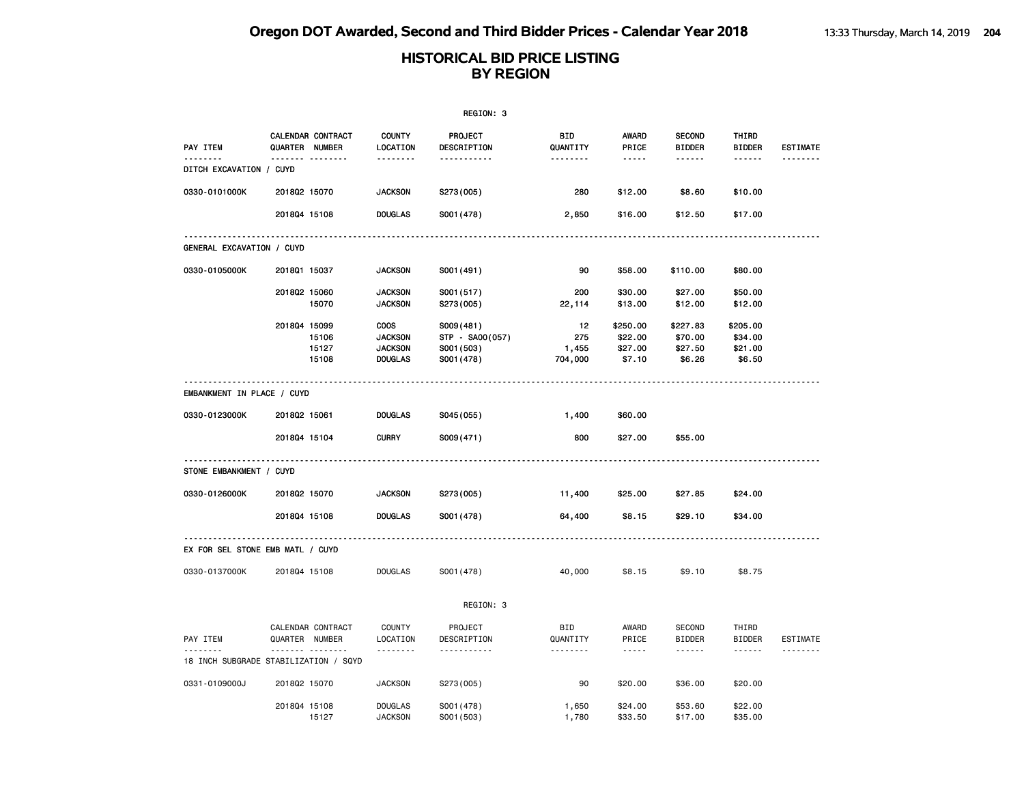|                                       |              |                                          |                                                                   | REGION: 3                                                |                               |                                          |                                          |                                          |                 |
|---------------------------------------|--------------|------------------------------------------|-------------------------------------------------------------------|----------------------------------------------------------|-------------------------------|------------------------------------------|------------------------------------------|------------------------------------------|-----------------|
| PAY ITEM                              |              | CALENDAR CONTRACT<br>QUARTER NUMBER<br>. | <b>COUNTY</b><br>LOCATION<br>.                                    | PROJECT<br>DESCRIPTION<br>.                              | BID<br>QUANTITY<br><u>.</u>   | <b>AWARD</b><br>PRICE<br>$- - - - -$     | <b>SECOND</b><br><b>BIDDER</b><br>------ | THIRD<br><b>BIDDER</b><br>------         | <b>ESTIMATE</b> |
| DITCH EXCAVATION / CUYD               |              |                                          |                                                                   |                                                          |                               |                                          |                                          |                                          |                 |
| 0330-0101000K                         | 201802 15070 |                                          | <b>JACKSON</b>                                                    | S273(005)                                                | 280                           | \$12.00                                  | \$8.60                                   | \$10.00                                  |                 |
|                                       | 201804 15108 |                                          | <b>DOUGLAS</b>                                                    | S001 (478)                                               | 2,850                         | \$16.00                                  | \$12.50                                  | \$17.00                                  |                 |
| GENERAL EXCAVATION / CUYD             |              |                                          |                                                                   |                                                          |                               |                                          |                                          |                                          |                 |
| 0330-0105000K                         | 201801 15037 |                                          | <b>JACKSON</b>                                                    | S001 (491)                                               | 90                            | \$58.00                                  | \$110.00                                 | \$80.00                                  |                 |
|                                       | 201802 15060 | 15070                                    | <b>JACKSON</b><br><b>JACKSON</b>                                  | S001 (517)<br>S273(005)                                  | 200<br>22,114                 | \$30.00<br>\$13.00                       | \$27.00<br>\$12.00                       | \$50.00<br>\$12.00                       |                 |
|                                       | 201804 15099 | 15106<br>15127<br>15108                  | <b>COOS</b><br><b>JACKSON</b><br><b>JACKSON</b><br><b>DOUGLAS</b> | S009(481)<br>STP - SA00(057)<br>S001 (503)<br>S001 (478) | 12<br>275<br>1,455<br>704,000 | \$250.00<br>\$22.00<br>\$27.00<br>\$7.10 | \$227.83<br>\$70.00<br>\$27.50<br>\$6.26 | \$205.00<br>\$34.00<br>\$21.00<br>\$6.50 |                 |
| EMBANKMENT IN PLACE / CUYD            |              |                                          |                                                                   |                                                          |                               |                                          |                                          |                                          |                 |
| 0330-0123000K                         | 201802 15061 |                                          | <b>DOUGLAS</b>                                                    | S045(055)                                                | 1,400                         | \$60.00                                  |                                          |                                          |                 |
|                                       | 201804 15104 |                                          | <b>CURRY</b>                                                      | S009(471)                                                | 800                           | \$27.00                                  | \$55.00                                  |                                          |                 |
| STONE EMBANKMENT / CUYD               |              |                                          |                                                                   |                                                          |                               |                                          |                                          |                                          |                 |
| 0330-0126000K                         | 201802 15070 |                                          | <b>JACKSON</b>                                                    | S273(005)                                                | 11,400                        | \$25.00                                  | \$27.85                                  | \$24.00                                  |                 |
|                                       | 201804 15108 |                                          | <b>DOUGLAS</b>                                                    | S001 (478)                                               | 64,400                        | \$8.15                                   | \$29.10                                  | \$34.00                                  |                 |
| EX FOR SEL STONE EMB MATL / CUYD      |              |                                          |                                                                   |                                                          |                               |                                          |                                          |                                          |                 |
| 0330-0137000K                         | 201804 15108 |                                          | <b>DOUGLAS</b>                                                    | S001 (478)                                               | 40,000                        | \$8.15                                   | \$9.10                                   | \$8.75                                   |                 |
|                                       |              |                                          |                                                                   | REGION: 3                                                |                               |                                          |                                          |                                          |                 |
| PAY ITEM                              |              | CALENDAR CONTRACT<br>QUARTER NUMBER      | <b>COUNTY</b><br>LOCATION                                         | PROJECT<br>DESCRIPTION                                   | <b>BID</b><br>QUANTITY        | AWARD<br>PRICE                           | <b>SECOND</b><br><b>BIDDER</b>           | THIRD<br><b>BIDDER</b>                   | ESTIMATE        |
| 18 INCH SUBGRADE STABILIZATION / SQYD |              | .                                        | <u>.</u>                                                          | <u>.</u>                                                 | <u>.</u>                      | $- - - - -$                              | ------                                   | ------                                   |                 |
| 0331-0109000J                         | 201802 15070 |                                          | <b>JACKSON</b>                                                    | S273(005)                                                | 90                            | \$20.00                                  | \$36.00                                  | \$20.00                                  |                 |
|                                       | 201804 15108 | 15127                                    | <b>DOUGLAS</b><br><b>JACKSON</b>                                  | S001 (478)<br>S001 (503)                                 | 1,650<br>1,780                | \$24.00<br>\$33.50                       | \$53,60<br>\$17.00                       | \$22.00<br>\$35.00                       |                 |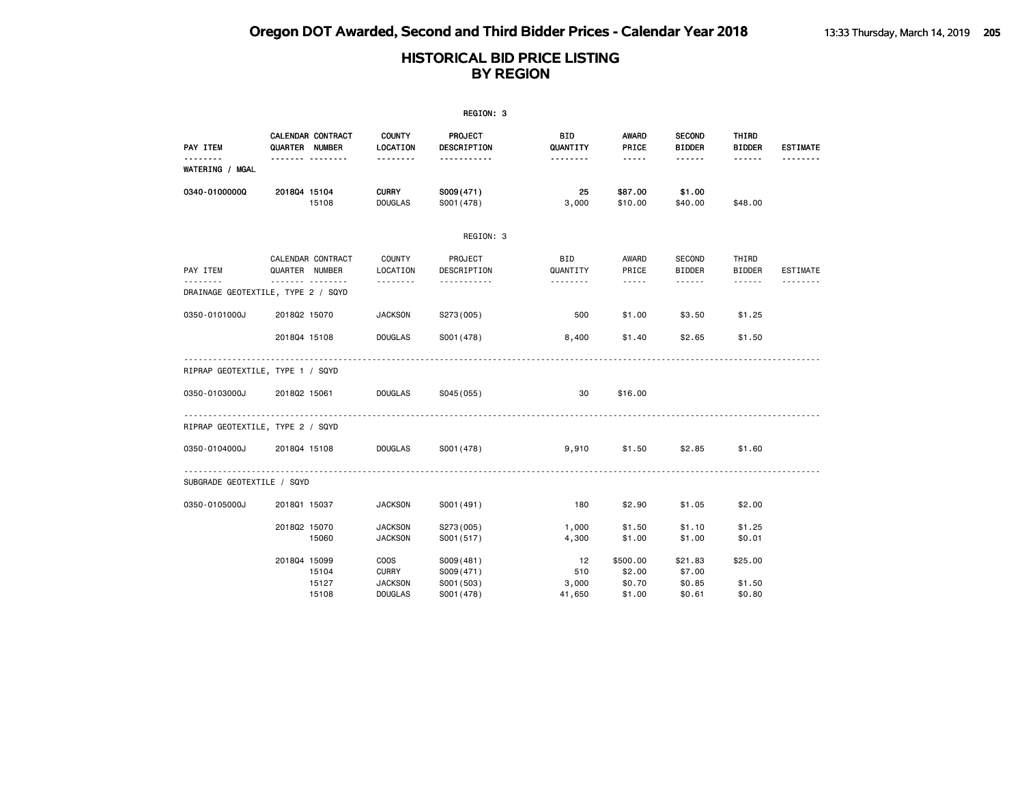|                                    |                |                        |                                  | REGION: 3                   |                             |                                                      |                                |                                  |                 |
|------------------------------------|----------------|------------------------|----------------------------------|-----------------------------|-----------------------------|------------------------------------------------------|--------------------------------|----------------------------------|-----------------|
| PAY ITEM                           | QUARTER NUMBER | CALENDAR CONTRACT      | <b>COUNTY</b><br>LOCATION        | PROJECT<br>DESCRIPTION      | BID<br>QUANTITY             | AWARD<br>PRICE                                       | <b>SECOND</b><br><b>BIDDER</b> | THIRD<br><b>BIDDER</b>           | <b>ESTIMATE</b> |
| .<br>WATERING / MGAL               |                | . <sub>.</sub>         | <u>.</u>                         | <u></u>                     | <u>.</u>                    | $- - - - -$                                          |                                |                                  | .               |
| 0340-01000000                      | 201804 15104   | 15108                  | <b>CURRY</b><br><b>DOUGLAS</b>   | S009(471)<br>S001 (478)     | 25<br>3,000                 | \$87.00<br>\$10.00                                   | \$1.00<br>\$40.00              | \$48.00                          |                 |
|                                    |                |                        |                                  | REGION: 3                   |                             |                                                      |                                |                                  |                 |
| PAY ITEM<br><u>.</u>               | QUARTER NUMBER | CALENDAR CONTRACT<br>. | COUNTY<br>LOCATION<br>.          | PROJECT<br>DESCRIPTION<br>. | <b>BID</b><br>QUANTITY<br>. | AWARD<br>PRICE<br>$\sim$ $\sim$ $\sim$ $\sim$ $\sim$ | SECOND<br><b>BIDDER</b><br>.   | THIRD<br><b>BIDDER</b><br>------ | <b>ESTIMATE</b> |
| DRAINAGE GEOTEXTILE, TYPE 2 / SQYD |                |                        |                                  |                             |                             |                                                      |                                |                                  |                 |
| 0350-0101000J                      | 201802 15070   |                        | <b>JACKSON</b>                   | S273(005)                   | 500                         | \$1.00                                               | \$3.50                         | \$1.25                           |                 |
|                                    | 201804 15108   |                        | <b>DOUGLAS</b>                   | S001 (478)                  | 8,400                       | \$1.40                                               | \$2.65                         | \$1.50                           |                 |
| RIPRAP GEOTEXTILE, TYPE 1 / SQYD   |                |                        |                                  |                             |                             |                                                      |                                |                                  |                 |
| 0350-0103000J                      | 201802 15061   |                        | <b>DOUGLAS</b>                   | S045 (055)                  | 30                          | \$16.00                                              |                                |                                  |                 |
| RIPRAP GEOTEXTILE, TYPE 2 / SQYD   |                |                        |                                  |                             |                             |                                                      |                                |                                  |                 |
| 0350-0104000J                      | 201804 15108   |                        | <b>DOUGLAS</b>                   | S001 (478)                  | 9,910                       | \$1.50                                               | \$2.85                         | \$1.60                           |                 |
| SUBGRADE GEOTEXTILE / SQYD         |                |                        |                                  |                             |                             |                                                      |                                |                                  |                 |
| 0350-0105000J                      | 201801 15037   |                        | <b>JACKSON</b>                   | S001 (491)                  | 180                         | \$2.90                                               | \$1.05                         | \$2.00                           |                 |
|                                    | 201802 15070   | 15060                  | <b>JACKSON</b><br><b>JACKSON</b> | S273(005)<br>S001(517)      | 1,000<br>4,300              | \$1.50<br>\$1.00                                     | \$1.10<br>\$1.00               | \$1.25<br>\$0.01                 |                 |
|                                    | 201804 15099   | 15104                  | <b>COOS</b><br><b>CURRY</b>      | S009(481)<br>S009(471)      | 12<br>510                   | \$500.00<br>\$2.00                                   | \$21.83<br>\$7.00              | \$25.00                          |                 |
|                                    |                | 15127<br>15108         | <b>JACKSON</b><br><b>DOUGLAS</b> | S001 (503)<br>S001 (478)    | 3,000<br>41,650             | \$0.70<br>\$1.00                                     | \$0.85<br>\$0.61               | \$1.50<br>\$0.80                 |                 |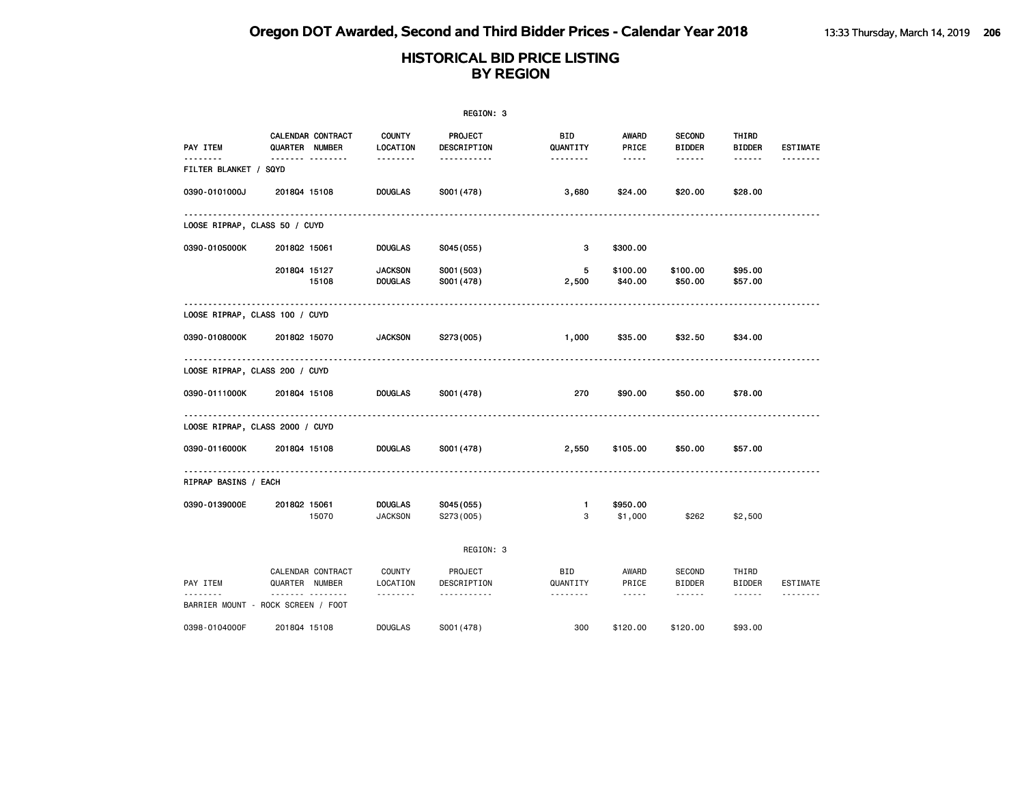|                                    | REGION: 3    |                                          |                                  |                             |                             |                                                                                                                                                                                                   |                                   |                        |                             |  |  |
|------------------------------------|--------------|------------------------------------------|----------------------------------|-----------------------------|-----------------------------|---------------------------------------------------------------------------------------------------------------------------------------------------------------------------------------------------|-----------------------------------|------------------------|-----------------------------|--|--|
| PAY ITEM                           |              | CALENDAR CONTRACT<br>QUARTER NUMBER      | <b>COUNTY</b><br>LOCATION        | PROJECT<br>DESCRIPTION      | BID<br>QUANTITY             | AWARD<br>PRICE                                                                                                                                                                                    | <b>SECOND</b><br><b>BIDDER</b>    | THIRD<br><b>BIDDER</b> | <b>ESTIMATE</b>             |  |  |
| FILTER BLANKET / SQYD              |              | .                                        | <u>.</u>                         | <u>.</u>                    | --------                    | $- - - - -$                                                                                                                                                                                       | ------                            | $\frac{1}{2}$          |                             |  |  |
| 0390-0101000J                      | 201804 15108 |                                          | <b>DOUGLAS</b>                   | S001 (478)                  | 3,680                       | \$24.00                                                                                                                                                                                           | \$20.00                           | \$28.00                |                             |  |  |
| LOOSE RIPRAP, CLASS 50 / CUYD      |              |                                          |                                  |                             |                             |                                                                                                                                                                                                   |                                   |                        |                             |  |  |
| 0390-0105000K                      | 201802 15061 |                                          | <b>DOUGLAS</b>                   | S045(055)                   | 3                           | \$300.00                                                                                                                                                                                          |                                   |                        |                             |  |  |
|                                    | 201804 15127 | 15108                                    | <b>JACKSON</b><br><b>DOUGLAS</b> | S001 (503)<br>S001 (478)    | 5<br>2,500                  | \$100.00<br>\$40.00                                                                                                                                                                               | \$100.00<br>\$50.00               | \$95.00<br>\$57.00     |                             |  |  |
| LOOSE RIPRAP, CLASS 100 / CUYD     |              |                                          |                                  |                             |                             |                                                                                                                                                                                                   |                                   |                        |                             |  |  |
| 0390-0108000K                      | 201802 15070 |                                          | <b>JACKSON</b>                   | S273(005)                   | 1,000                       | \$35.00                                                                                                                                                                                           | \$32.50                           | \$34.00                |                             |  |  |
| LOOSE RIPRAP, CLASS 200 / CUYD     |              |                                          |                                  |                             |                             |                                                                                                                                                                                                   |                                   |                        |                             |  |  |
| 0390-0111000K                      | 201804 15108 |                                          | <b>DOUGLAS</b>                   | S001 (478)                  | 270                         | \$90.00                                                                                                                                                                                           | \$50.00                           | \$78.00                |                             |  |  |
| LOOSE RIPRAP, CLASS 2000 / CUYD    |              | .                                        |                                  |                             |                             |                                                                                                                                                                                                   |                                   |                        |                             |  |  |
| 0390-0116000K                      | 201804 15108 |                                          | <b>DOUGLAS</b>                   | S001 (478)                  | 2,550                       | \$105.00                                                                                                                                                                                          | \$50.00                           | \$57.00                |                             |  |  |
| <b>RIPRAP BASINS / EACH</b>        |              |                                          |                                  |                             |                             |                                                                                                                                                                                                   |                                   |                        |                             |  |  |
| 0390-0139000E                      | 201802 15061 | 15070                                    | <b>DOUGLAS</b><br><b>JACKSON</b> | S045 (055)<br>S273(005)     | $\mathbf{1}$<br>3           | \$950.00<br>\$1,000                                                                                                                                                                               | \$262                             | \$2,500                |                             |  |  |
|                                    |              |                                          |                                  | REGION: 3                   |                             |                                                                                                                                                                                                   |                                   |                        |                             |  |  |
| PAY ITEM                           |              | CALENDAR CONTRACT<br>QUARTER NUMBER<br>. | COUNTY<br>LOCATION<br><u>.</u>   | PROJECT<br>DESCRIPTION<br>. | BID<br>QUANTITY<br><u>.</u> | AWARD<br>PRICE<br>$\frac{1}{2} \left( \frac{1}{2} \right) \left( \frac{1}{2} \right) \left( \frac{1}{2} \right) \left( \frac{1}{2} \right) \left( \frac{1}{2} \right) \left( \frac{1}{2} \right)$ | SECOND<br><b>BIDDER</b><br>------ | THIRD<br><b>BIDDER</b> | <b>ESTIMATE</b><br><u>.</u> |  |  |
| BARRIER MOUNT - ROCK SCREEN / FOOT |              |                                          |                                  |                             |                             |                                                                                                                                                                                                   |                                   |                        |                             |  |  |
| 0398-0104000F                      | 201804 15108 |                                          | <b>DOUGLAS</b>                   | S001 (478)                  | 300                         | \$120.00                                                                                                                                                                                          | \$120.00                          | \$93.00                |                             |  |  |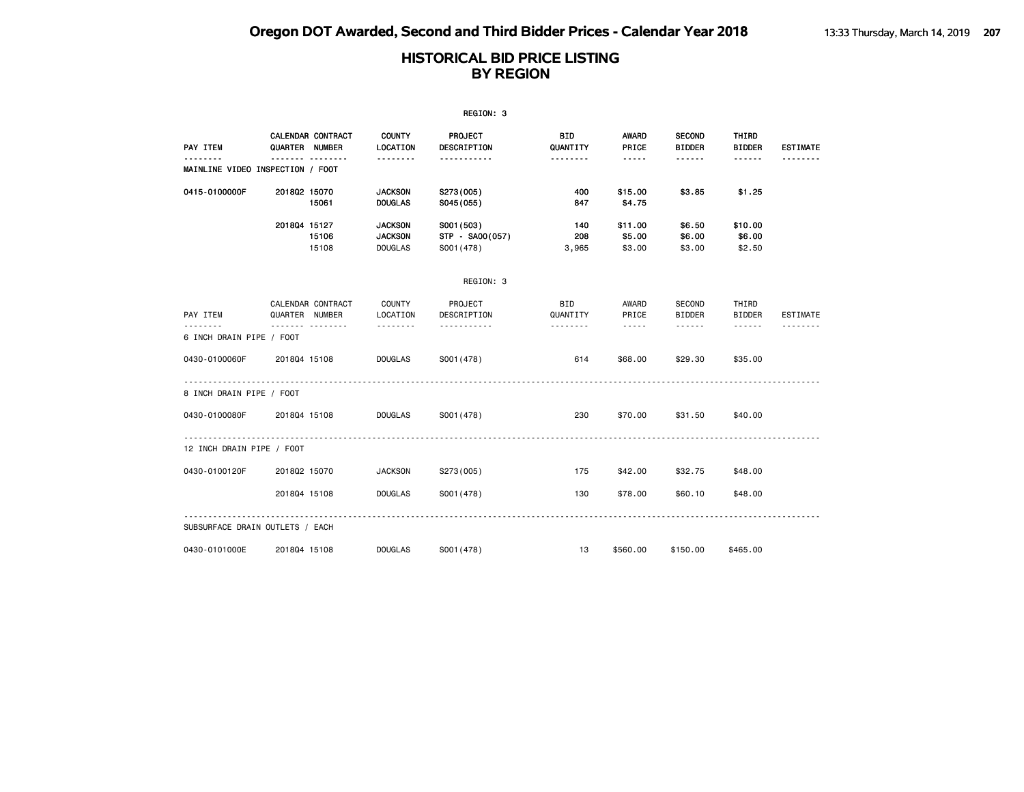|                                  |                |                        |                                                    | REGION: 3                                   |                             |                                                                                                                                                                        |                                     |                                  |                 |
|----------------------------------|----------------|------------------------|----------------------------------------------------|---------------------------------------------|-----------------------------|------------------------------------------------------------------------------------------------------------------------------------------------------------------------|-------------------------------------|----------------------------------|-----------------|
| PAY ITEM                         | QUARTER NUMBER | CALENDAR CONTRACT      | <b>COUNTY</b><br>LOCATION                          | PROJECT<br>DESCRIPTION                      | <b>BID</b><br>QUANTITY      | AWARD<br>PRICE                                                                                                                                                         | <b>SECOND</b><br><b>BIDDER</b>      | THIRD<br><b>BIDDER</b>           | <b>ESTIMATE</b> |
| MAINLINE VIDEO INSPECTION / FOOT | $- - -$        | --------               | .                                                  | .                                           | .                           | -----                                                                                                                                                                  | ------                              | ------                           |                 |
| 0415-0100000F                    | 201802 15070   | 15061                  | <b>JACKSON</b><br><b>DOUGLAS</b>                   | S273(005)<br>S045 (055)                     | 400<br>847                  | \$15.00<br>\$4.75                                                                                                                                                      | \$3.85                              | \$1.25                           |                 |
|                                  | 201804 15127   | 15106<br>15108         | <b>JACKSON</b><br><b>JACKSON</b><br><b>DOUGLAS</b> | S001 (503)<br>STP - SA00(057)<br>S001 (478) | 140<br>208<br>3,965         | \$11.00<br>\$5.00<br>\$3.00                                                                                                                                            | \$6.50<br>\$6.00<br>\$3.00          | \$10.00<br>\$6.00<br>\$2.50      |                 |
|                                  |                |                        |                                                    | REGION: 3                                   |                             |                                                                                                                                                                        |                                     |                                  |                 |
| PAY ITEM<br>$- - - - -$          | QUARTER NUMBER | CALENDAR CONTRACT<br>. | COUNTY<br>LOCATION<br>--------                     | PROJECT<br>DESCRIPTION<br><u>.</u>          | <b>BID</b><br>QUANTITY<br>. | AWARD<br>PRICE<br>$\frac{1}{2} \left( \frac{1}{2} \right) \left( \frac{1}{2} \right) \left( \frac{1}{2} \right) \left( \frac{1}{2} \right) \left( \frac{1}{2} \right)$ | SECOND<br><b>BIDDER</b><br><b>.</b> | THIRD<br><b>BIDDER</b><br>------ | <b>ESTIMATE</b> |
| 6 INCH DRAIN PIPE / FOOT         |                |                        |                                                    |                                             |                             |                                                                                                                                                                        |                                     |                                  |                 |
| 0430-0100060F                    | 201804 15108   |                        | <b>DOUGLAS</b>                                     | S001 (478)                                  | 614                         | \$68,00                                                                                                                                                                | \$29.30                             | \$35.00                          |                 |
| 8 INCH DRAIN PIPE / FOOT         |                |                        |                                                    |                                             |                             |                                                                                                                                                                        |                                     |                                  |                 |
| 0430-0100080F                    | 201804 15108   |                        | <b>DOUGLAS</b>                                     | S001 (478)                                  | 230                         | \$70.00                                                                                                                                                                | \$31.50                             | \$40.00                          |                 |
| 12 INCH DRAIN PIPE / FOOT        |                |                        |                                                    |                                             |                             |                                                                                                                                                                        |                                     |                                  |                 |
| 0430-0100120F                    | 201802 15070   |                        | <b>JACKSON</b>                                     | S273(005)                                   | 175                         | \$42,00                                                                                                                                                                | \$32.75                             | \$48.00                          |                 |
|                                  | 201804 15108   |                        | <b>DOUGLAS</b>                                     | S001 (478)                                  | 130                         | \$78.00                                                                                                                                                                | \$60.10                             | \$48.00                          |                 |
| SUBSURFACE DRAIN OUTLETS / EACH  |                |                        |                                                    |                                             |                             |                                                                                                                                                                        |                                     |                                  |                 |
| 0430-0101000E                    | 201804 15108   |                        | <b>DOUGLAS</b>                                     | S001 (478)                                  | 13                          | \$560.00                                                                                                                                                               | \$150.00                            | \$465.00                         |                 |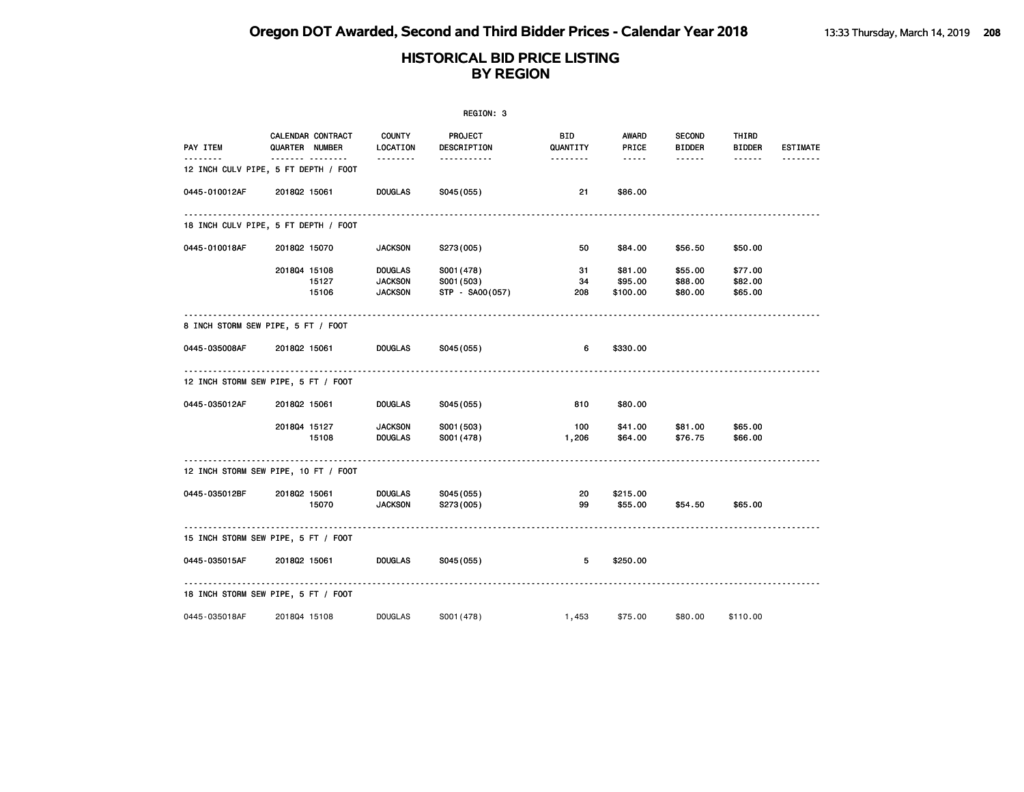|               | REGION: 3                                        |                                                    |                                             |                  |                                |                                |                               |                 |  |  |  |
|---------------|--------------------------------------------------|----------------------------------------------------|---------------------------------------------|------------------|--------------------------------|--------------------------------|-------------------------------|-----------------|--|--|--|
| PAY ITEM      | CALENDAR CONTRACT<br>QUARTER NUMBER              | COUNTY<br>LOCATION                                 | <b>PROJECT</b><br>DESCRIPTION               | BID.<br>QUANTITY | AWARD<br>PRICE                 | <b>SECOND</b><br><b>BIDDER</b> | THIRD<br><b>BIDDER</b>        | <b>ESTIMATE</b> |  |  |  |
|               | <u> </u><br>12 INCH CULV PIPE, 5 FT DEPTH / FOOT | <u>.</u>                                           | .                                           | --------         | $\cdots \cdots$                | ------                         | $- - - - - -$                 |                 |  |  |  |
| 0445-010012AF | 201802 15061                                     | <b>DOUGLAS</b>                                     | S045(055)                                   | 21               | \$86.00                        |                                |                               |                 |  |  |  |
|               | 18 INCH CULV PIPE, 5 FT DEPTH / FOOT             |                                                    |                                             |                  |                                |                                |                               |                 |  |  |  |
| 0445-010018AF | 201802 15070                                     | <b>JACKSON</b>                                     | S273(005)                                   | 50               | \$84.00                        | \$56.50                        | \$50.00                       |                 |  |  |  |
|               | 201804 15108<br>15127<br>15106                   | <b>DOUGLAS</b><br><b>JACKSON</b><br><b>JACKSON</b> | S001 (478)<br>S001 (503)<br>STP - SA00(057) | 31<br>34<br>208  | \$81.00<br>\$95.00<br>\$100.00 | \$55.00<br>\$88.00<br>\$80.00  | \$77.00<br>\$82.00<br>\$65.00 |                 |  |  |  |
|               | 8 INCH STORM SEW PIPE, 5 FT / FOOT               |                                                    |                                             |                  |                                |                                |                               |                 |  |  |  |
|               | 0445-035008AF 201802 15061                       | <b>DOUGLAS</b>                                     | S045(055)                                   | 6                | \$330.00                       |                                |                               |                 |  |  |  |
|               | 12 INCH STORM SEW PIPE, 5 FT / FOOT              |                                                    |                                             |                  |                                |                                |                               |                 |  |  |  |
| 0445-035012AF | 201802 15061                                     | <b>DOUGLAS</b>                                     | S045(055)                                   | 810              | \$80.00                        |                                |                               |                 |  |  |  |
|               | 201804 15127<br>15108                            | <b>JACKSON</b><br>DOUGLAS                          | S001 (503)<br>S001 (478)                    | 100<br>1,206     | \$41.00<br>\$64.00             | \$81.00<br>\$76.75             | \$65.00<br>\$66.00            |                 |  |  |  |
|               | 12 INCH STORM SEW PIPE, 10 FT / FOOT             |                                                    |                                             |                  |                                |                                |                               |                 |  |  |  |
| 0445-035012BF | 201802 15061<br>15070                            | <b>DOUGLAS</b><br><b>JACKSON</b>                   | S045(055)<br>S273(005)                      | 20<br>99         | \$215.00<br>\$55.00            | \$54.50                        | \$65.00                       |                 |  |  |  |
|               | 15 INCH STORM SEW PIPE, 5 FT / FOOT              |                                                    |                                             |                  |                                |                                |                               |                 |  |  |  |
| 0445-035015AF | 201802 15061                                     | <b>DOUGLAS</b>                                     | S045(055)                                   | 5                | \$250.00                       |                                |                               |                 |  |  |  |
|               | 18 INCH STORM SEW PIPE, 5 FT / FOOT              |                                                    |                                             |                  |                                |                                |                               |                 |  |  |  |
| 0445-035018AF | 201804 15108                                     | <b>DOUGLAS</b>                                     | S001 (478)                                  | 1,453            | \$75.00                        | \$80.00                        | \$110.00                      |                 |  |  |  |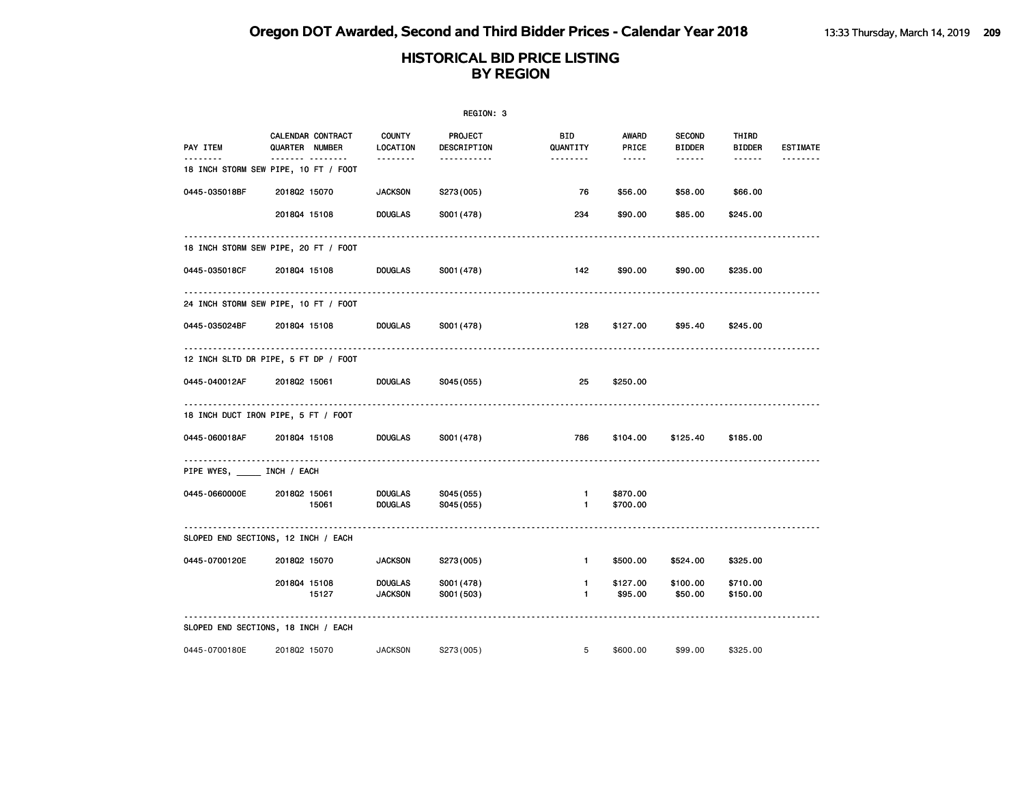|                                   |                                           |                       | REGION: 3              |                 |                                                                                                                                                      |                                |                        |                 |
|-----------------------------------|-------------------------------------------|-----------------------|------------------------|-----------------|------------------------------------------------------------------------------------------------------------------------------------------------------|--------------------------------|------------------------|-----------------|
| PAY ITEM                          | CALENDAR CONTRACT<br>QUARTER NUMBER       | COUNTY<br>LOCATION    | PROJECT<br>DESCRIPTION | BID<br>QUANTITY | AWARD<br>PRICE                                                                                                                                       | <b>SECOND</b><br><b>BIDDER</b> | THIRD<br><b>BIDDER</b> | <b>ESTIMATE</b> |
|                                   | .<br>18 INCH STORM SEW PIPE, 10 FT / FOOT | <u> - - - - - - -</u> | <u>.</u>               |                 | $\frac{1}{2} \left( \frac{1}{2} \right) \left( \frac{1}{2} \right) \left( \frac{1}{2} \right) \left( \frac{1}{2} \right) \left( \frac{1}{2} \right)$ | $- - - - - -$                  | $- - - - - -$          | --------        |
| 0445-035018BF                     | 201802 15070                              | <b>JACKSON</b>        | S273(005)              | 76              | \$56.00                                                                                                                                              | \$58.00                        | \$66.00                |                 |
|                                   | 201804 15108                              | <b>DOUGLAS</b>        | S001 (478)             | 234             | \$90.00                                                                                                                                              | \$85.00                        | \$245.00               |                 |
|                                   | 18 INCH STORM SEW PIPE, 20 FT / FOOT      |                       |                        |                 |                                                                                                                                                      |                                |                        |                 |
| 0445-035018CF                     | 201804 15108                              | <b>DOUGLAS</b>        | S001 (478)             | 142             | \$90.00                                                                                                                                              | \$90.00                        | \$235.00               |                 |
|                                   | 24 INCH STORM SEW PIPE, 10 FT / FOOT      |                       |                        |                 |                                                                                                                                                      |                                |                        |                 |
| 0445-035024BF                     | 201804 15108                              | DOUGLAS               | S001 (478)             | 128             | \$127.00                                                                                                                                             | \$95.40                        | \$245.00               |                 |
|                                   | 12 INCH SLTD DR PIPE, 5 FT DP / FOOT      |                       |                        |                 |                                                                                                                                                      |                                |                        |                 |
| 0445-040012AF                     | 201802 15061                              | <b>DOUGLAS</b>        | S045(055)              | 25              | \$250.00                                                                                                                                             |                                |                        |                 |
|                                   | 18 INCH DUCT IRON PIPE, 5 FT / FOOT       |                       |                        |                 |                                                                                                                                                      |                                |                        |                 |
| 0445-060018AF                     | 201804 15108                              | <b>DOUGLAS</b>        | S001 (478)             | 786             | \$104.00                                                                                                                                             | \$125.40                       | \$185.00               |                 |
| .<br>PIPE WYES, _____ INCH / EACH |                                           |                       |                        |                 |                                                                                                                                                      |                                |                        |                 |
| 0445-0660000E                     | 201802 15061                              | <b>DOUGLAS</b>        | S045(055)              | $\mathbf{1}$    | \$870.00                                                                                                                                             |                                |                        |                 |
|                                   | 15061                                     | <b>DOUGLAS</b>        | S045(055)              | $\mathbf{1}$    | \$700.00                                                                                                                                             |                                |                        |                 |
|                                   | SLOPED END SECTIONS, 12 INCH / EACH       |                       |                        |                 |                                                                                                                                                      |                                |                        |                 |
| 0445-0700120E                     | 201802 15070                              | <b>JACKSON</b>        | S273(005)              | $\mathbf{1}$    | \$500.00                                                                                                                                             | \$524.00                       | \$325.00               |                 |
|                                   | 201804 15108                              | <b>DOUGLAS</b>        | S001 (478)             | $\mathbf{1}$    | \$127.00                                                                                                                                             | \$100.00                       | \$710.00               |                 |
|                                   | 15127                                     | <b>JACKSON</b>        | S001 (503)             | $\mathbf{1}$    | \$95.00                                                                                                                                              | \$50.00                        | \$150.00               |                 |
|                                   | SLOPED END SECTIONS, 18 INCH / EACH       |                       |                        |                 |                                                                                                                                                      |                                |                        |                 |
| 0445-0700180E                     | 201802 15070                              | <b>JACKSON</b>        | S273(005)              | 5               | \$600.00                                                                                                                                             | \$99.00                        | \$325.00               |                 |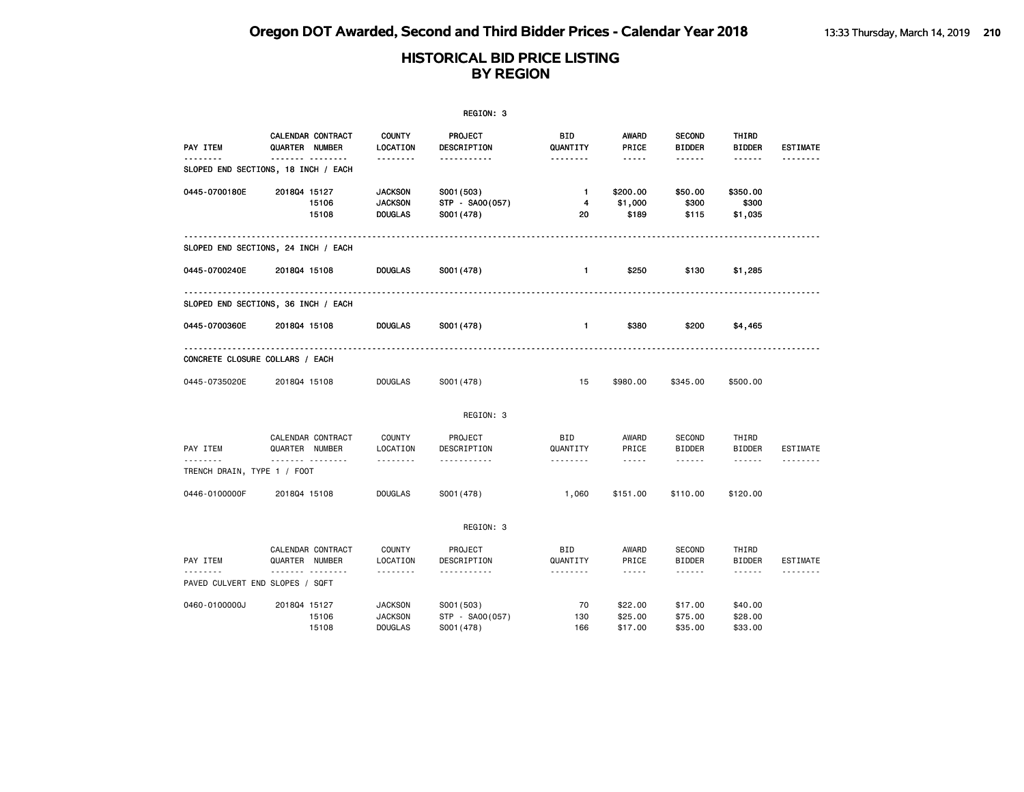|                             |                                          |                                                    | REGION: 3                                   |                         |                                                                                                                                                                                 |                                |                               |                 |
|-----------------------------|------------------------------------------|----------------------------------------------------|---------------------------------------------|-------------------------|---------------------------------------------------------------------------------------------------------------------------------------------------------------------------------|--------------------------------|-------------------------------|-----------------|
| PAY ITEM                    | CALENDAR CONTRACT<br>QUARTER NUMBER      | <b>COUNTY</b><br>LOCATION                          | PROJECT<br>DESCRIPTION                      | <b>BID</b><br>QUANTITY  | <b>AWARD</b><br>PRICE                                                                                                                                                           | <b>SECOND</b><br><b>BIDDER</b> | THIRD<br><b>BIDDER</b>        | <b>ESTIMATE</b> |
|                             | .<br>SLOPED END SECTIONS, 18 INCH / EACH | --------                                           | -----------                                 | --------                | $\cdots\cdots\cdots$                                                                                                                                                            | ------                         | ------                        |                 |
| 0445-0700180E               | 201804 15127<br>15106<br>15108           | <b>JACKSON</b><br><b>JACKSON</b><br><b>DOUGLAS</b> | S001 (503)<br>STP - SA00(057)<br>S001 (478) | $\mathbf{1}$<br>4<br>20 | \$200.00<br>\$1,000<br>\$189                                                                                                                                                    | \$50.00<br>\$300<br>\$115      | \$350.00<br>\$300<br>\$1,035  |                 |
|                             | SLOPED END SECTIONS, 24 INCH / EACH      |                                                    |                                             |                         |                                                                                                                                                                                 |                                |                               |                 |
| 0445-0700240E               | 201804 15108                             | <b>DOUGLAS</b>                                     | S001 (478)                                  | $\mathbf{1}$            | \$250                                                                                                                                                                           | \$130                          | \$1,285                       |                 |
|                             | SLOPED END SECTIONS, 36 INCH / EACH      |                                                    |                                             |                         |                                                                                                                                                                                 |                                |                               |                 |
| 0445-0700360E               | 201804 15108                             | <b>DOUGLAS</b>                                     | S001 (478)                                  | $\mathbf{1}$            | \$380                                                                                                                                                                           | \$200                          | \$4,465                       |                 |
|                             | CONCRETE CLOSURE COLLARS / EACH          |                                                    |                                             |                         |                                                                                                                                                                                 |                                |                               |                 |
| 0445-0735020E               | 201804 15108                             | <b>DOUGLAS</b>                                     | S001 (478)                                  | 15                      | \$980.00                                                                                                                                                                        | \$345.00                       | \$500.00                      |                 |
|                             |                                          |                                                    | REGION: 3                                   |                         |                                                                                                                                                                                 |                                |                               |                 |
| PAY ITEM                    | CALENDAR CONTRACT<br>QUARTER NUMBER      | COUNTY<br>LOCATION                                 | PROJECT<br>DESCRIPTION                      | <b>BID</b><br>QUANTITY  | AWARD<br>PRICE                                                                                                                                                                  | <b>SECOND</b><br><b>BIDDER</b> | THIRD<br><b>BIDDER</b>        | <b>ESTIMATE</b> |
| TRENCH DRAIN, TYPE 1 / FOOT | . <sub>.</sub>                           | .                                                  | .                                           | .                       | $\frac{1}{2} \left( \frac{1}{2} \right) \left( \frac{1}{2} \right) \left( \frac{1}{2} \right) \left( \frac{1}{2} \right) \left( \frac{1}{2} \right) \left( \frac{1}{2} \right)$ | ------                         | ------                        |                 |
| 0446-0100000F               | 201804 15108                             | <b>DOUGLAS</b>                                     | S001 (478)                                  | 1,060                   | \$151.00                                                                                                                                                                        | \$110.00                       | \$120.00                      |                 |
|                             |                                          |                                                    | REGION: 3                                   |                         |                                                                                                                                                                                 |                                |                               |                 |
| PAY ITEM                    | CALENDAR CONTRACT<br>QUARTER NUMBER      | COUNTY<br>LOCATION                                 | PROJECT<br>DESCRIPTION                      | <b>BID</b><br>QUANTITY  | AWARD<br>PRICE                                                                                                                                                                  | <b>SECOND</b><br><b>BIDDER</b> | THIRD<br><b>BIDDER</b>        | <b>ESTIMATE</b> |
| <u>.</u>                    | .<br>PAVED CULVERT END SLOPES / SQFT     | <u>.</u>                                           | <u>.</u>                                    | .                       | $- - - - -$                                                                                                                                                                     | ------                         | $- - - - - -$                 |                 |
| 0460-0100000J               | 201804 15127<br>15106<br>15108           | <b>JACKSON</b><br><b>JACKSON</b><br><b>DOUGLAS</b> | S001 (503)<br>STP - SA00(057)<br>S001 (478) | 70<br>130<br>166        | \$22.00<br>\$25.00<br>\$17.00                                                                                                                                                   | \$17.00<br>\$75.00<br>\$35,00  | \$40.00<br>\$28.00<br>\$33.00 |                 |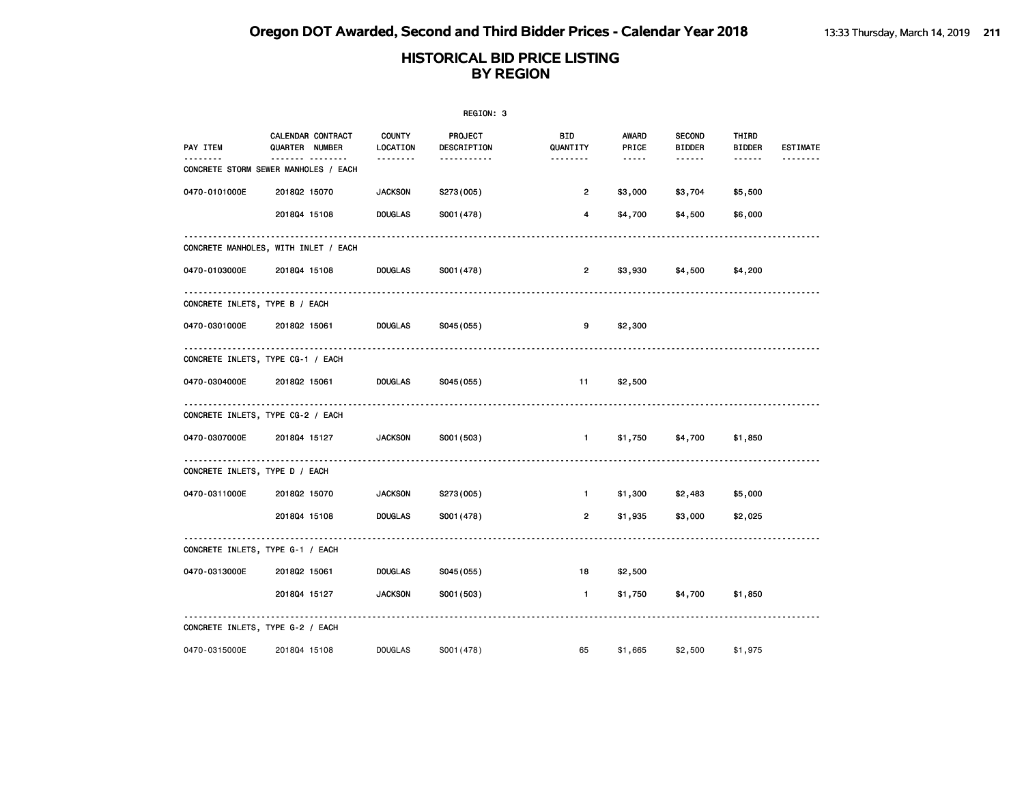|                                |                                                  |                           | REGION: 3                     |                       |                |                                |                 |                 |
|--------------------------------|--------------------------------------------------|---------------------------|-------------------------------|-----------------------|----------------|--------------------------------|-----------------|-----------------|
| PAY ITEM                       | CALENDAR CONTRACT<br>QUARTER NUMBER              | <b>COUNTY</b><br>LOCATION | <b>PROJECT</b><br>DESCRIPTION | BID<br>QUANTITY       | AWARD<br>PRICE | <b>SECOND</b><br><b>BIDDER</b> | THIRD<br>BIDDER | <b>ESTIMATE</b> |
|                                | <u> </u><br>CONCRETE STORM SEWER MANHOLES / EACH | <u>.</u>                  | <u>.</u>                      | <u> - - - - - - -</u> | $- - - - -$    | ------                         | $- - - - - -$   | --------        |
| 0470-0101000E                  | 201802 15070                                     | <b>JACKSON</b>            | S273(005)                     | $\overline{2}$        | \$3,000        | \$3,704                        | \$5,500         |                 |
|                                | 201804 15108                                     | <b>DOUGLAS</b>            | S001 (478)                    | 4                     | \$4,700        | \$4,500                        | \$6,000         |                 |
|                                | CONCRETE MANHOLES, WITH INLET / EACH             |                           |                               |                       |                |                                |                 |                 |
| 0470-0103000E                  | 201804 15108                                     | DOUGLAS                   | S001 (478)                    | $\overline{2}$        | \$3,930        | \$4,500                        | \$4,200         |                 |
| CONCRETE INLETS, TYPE B / EACH | .                                                |                           |                               |                       |                |                                |                 |                 |
| 0470-0301000E                  | 201802 15061                                     | DOUGLAS                   | S045 (055)                    | 9                     | \$2,300        |                                |                 |                 |
|                                | CONCRETE INLETS, TYPE CG-1 / EACH                | .                         |                               |                       |                |                                |                 |                 |
| 0470-0304000E                  | 201802 15061                                     | DOUGLAS                   | S045 (055)                    | 11                    | \$2,500        |                                |                 |                 |
|                                | CONCRETE INLETS, TYPE CG-2 / EACH                |                           |                               |                       |                |                                |                 |                 |
| 0470-0307000E                  | 201804 15127                                     | <b>JACKSON</b>            | S001 (503)                    | $1 -$                 | \$1,750        | \$4,700                        | \$1,850         |                 |
| CONCRETE INLETS, TYPE D / EACH | .                                                |                           |                               |                       |                |                                |                 |                 |
| 0470-0311000E                  | 201802 15070                                     | <b>JACKSON</b>            | S273(005)                     | $\mathbf{1}$          | \$1,300        | \$2,483                        | \$5,000         |                 |
|                                | 201804 15108                                     | <b>DOUGLAS</b>            | S001 (478)                    | $\overline{2}$        | \$1,935        | \$3,000                        | \$2,025         |                 |
|                                | CONCRETE INLETS, TYPE G-1 / EACH                 |                           |                               |                       |                |                                |                 |                 |
| 0470-0313000E                  | 201802 15061                                     | DOUGLAS                   | S045(055)                     | 18                    | \$2,500        |                                |                 |                 |
|                                | 201804 15127                                     | <b>JACKSON</b>            | S001 (503)                    | $\blacksquare$        | \$1,750        | \$4,700                        | \$1,850         |                 |
|                                | CONCRETE INLETS, TYPE G-2 / EACH                 |                           |                               |                       |                |                                |                 |                 |
| 0470-0315000E                  | 201804 15108                                     | <b>DOUGLAS</b>            | S001 (478)                    | 65                    | \$1,665        | \$2,500                        | \$1,975         |                 |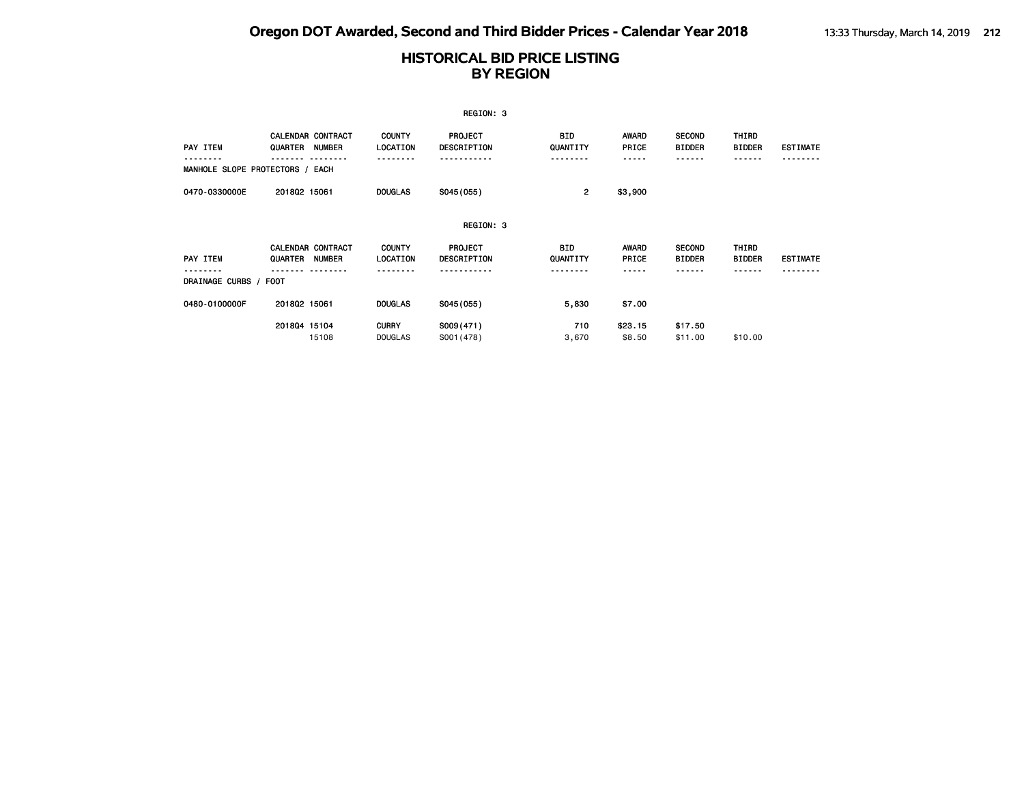|                                 |              |                                           |                                | REGION: 3                            |                        |                       |                                |                        |                 |
|---------------------------------|--------------|-------------------------------------------|--------------------------------|--------------------------------------|------------------------|-----------------------|--------------------------------|------------------------|-----------------|
| <b>PAY ITEM</b>                 | QUARTER      | <b>CALENDAR CONTRACT</b><br><b>NUMBER</b> | <b>COUNTY</b><br>LOCATION      | <b>PROJECT</b><br>DESCRIPTION        | <b>BID</b><br>QUANTITY | <b>AWARD</b><br>PRICE | <b>SECOND</b><br><b>BIDDER</b> | THIRD<br><b>BIDDER</b> | <b>ESTIMATE</b> |
| MANHOLE SLOPE PROTECTORS / EACH |              |                                           |                                |                                      |                        |                       |                                |                        |                 |
| 0470-0330000E                   | 201802 15061 |                                           | <b>DOUGLAS</b>                 | S045 (055)                           | $\overline{2}$         | \$3,900               |                                |                        |                 |
|                                 |              |                                           |                                | REGION: 3                            |                        |                       |                                |                        |                 |
| PAY ITEM                        | QUARTER      | <b>CALENDAR CONTRACT</b><br><b>NUMBER</b> | <b>COUNTY</b><br>LOCATION      | <b>PROJECT</b><br><b>DESCRIPTION</b> | <b>BID</b><br>QUANTITY | <b>AWARD</b><br>PRICE | <b>SECOND</b><br><b>BIDDER</b> | THIRD<br><b>BIDDER</b> | <b>ESTIMATE</b> |
| DRAINAGE CURBS / FOOT           |              |                                           |                                |                                      |                        |                       |                                |                        |                 |
| 0480-0100000F                   | 201802 15061 |                                           | <b>DOUGLAS</b>                 | S045(055)                            | 5,830                  | \$7.00                |                                |                        |                 |
|                                 | 201804 15104 | 15108                                     | <b>CURRY</b><br><b>DOUGLAS</b> | S009(471)<br>S001 (478)              | 710<br>3,670           | \$23.15<br>\$8.50     | \$17.50<br>\$11.00             | \$10.00                |                 |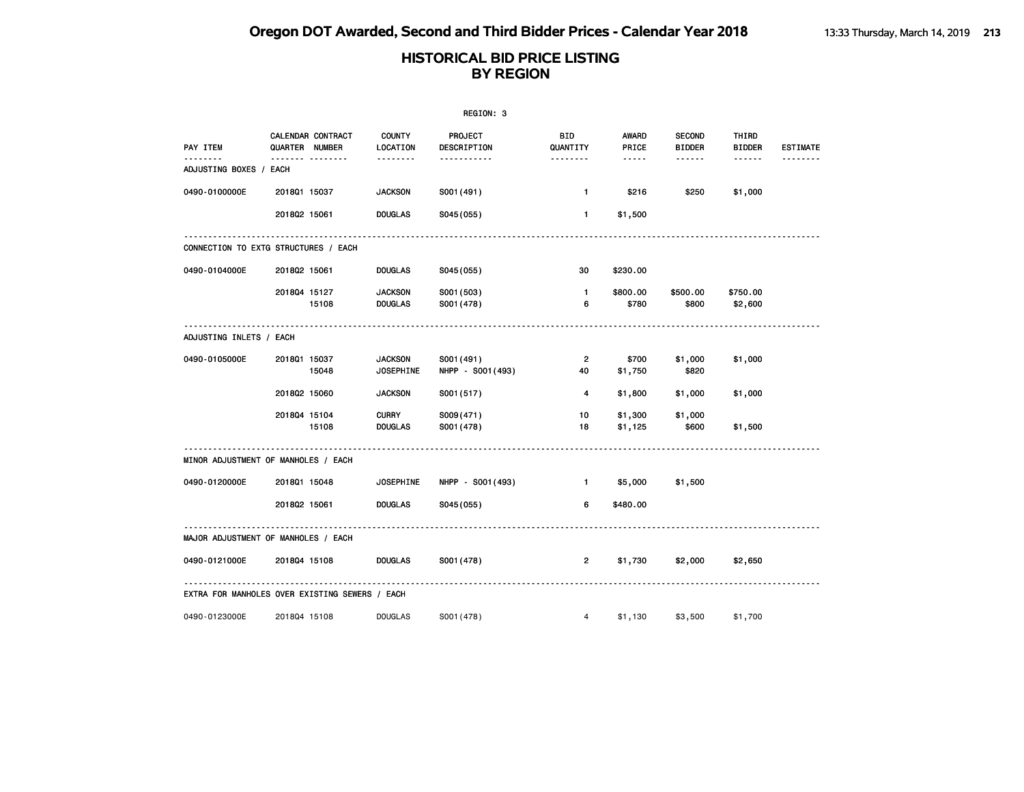|                                                |                |                   |                                    | REGION: 3                       |                      |                                                                                                               |                                |                        |                 |
|------------------------------------------------|----------------|-------------------|------------------------------------|---------------------------------|----------------------|---------------------------------------------------------------------------------------------------------------|--------------------------------|------------------------|-----------------|
| PAY ITEM                                       | QUARTER NUMBER | CALENDAR CONTRACT | <b>COUNTY</b><br>LOCATION          | PROJECT<br>DESCRIPTION          | BID<br>QUANTITY      | AWARD<br>PRICE                                                                                                | <b>SECOND</b><br><b>BIDDER</b> | THIRD<br><b>BIDDER</b> | <b>ESTIMATE</b> |
| ADJUSTING BOXES / EACH                         |                | <b>.</b>          | --------                           | -----------                     | --------             | $\frac{1}{2} \frac{1}{2} \frac{1}{2} \frac{1}{2} \frac{1}{2} \frac{1}{2} \frac{1}{2} \frac{1}{2} \frac{1}{2}$ | ------                         | ------                 |                 |
| 0490-0100000E                                  | 201801 15037   |                   | <b>JACKSON</b>                     | S001 (491)                      | $\mathbf{1}$         | \$216                                                                                                         | \$250                          | \$1,000                |                 |
|                                                | 201802 15061   |                   | <b>DOUGLAS</b>                     | S045 (055)                      | $\mathbf{1}$         | \$1,500                                                                                                       |                                |                        |                 |
| CONNECTION TO EXTG STRUCTURES / EACH           |                |                   |                                    |                                 |                      |                                                                                                               |                                |                        |                 |
| 0490-0104000E                                  | 201802 15061   |                   | <b>DOUGLAS</b>                     | S045(055)                       | 30                   | \$230.00                                                                                                      |                                |                        |                 |
|                                                | 201804 15127   | 15108             | <b>JACKSON</b><br><b>DOUGLAS</b>   | S001 (503)<br>S001 (478)        | $\mathbf{1}$<br>6    | \$800.00<br>\$780                                                                                             | \$500.00<br>\$800              | \$750.00<br>\$2,600    |                 |
| ADJUSTING INLETS / EACH                        |                |                   |                                    |                                 |                      |                                                                                                               |                                |                        |                 |
| 0490-0105000E                                  | 201801 15037   | 15048             | <b>JACKSON</b><br><b>JOSEPHINE</b> | S001 (491)<br>NHPP - S001 (493) | $\overline{2}$<br>40 | \$700<br>\$1,750                                                                                              | \$1,000<br>\$820               | \$1,000                |                 |
|                                                | 201802 15060   |                   | <b>JACKSON</b>                     | S001 (517)                      | 4                    | \$1,800                                                                                                       | \$1,000                        | \$1,000                |                 |
|                                                | 201804 15104   | 15108             | <b>CURRY</b><br><b>DOUGLAS</b>     | S009(471)<br>S001 (478)         | 10<br>18             | \$1,300<br>\$1,125                                                                                            | \$1,000<br>\$600               | \$1,500                |                 |
| MINOR ADJUSTMENT OF MANHOLES / EACH            |                |                   |                                    |                                 |                      |                                                                                                               |                                |                        |                 |
| 0490-0120000E                                  | 201801 15048   |                   | <b>JOSEPHINE</b>                   | NHPP - S001 (493)               | $\blacksquare$       | \$5,000                                                                                                       | \$1,500                        |                        |                 |
|                                                | 201802 15061   |                   | <b>DOUGLAS</b>                     | S045 (055)                      | 6                    | \$480.00                                                                                                      |                                |                        |                 |
| MAJOR ADJUSTMENT OF MANHOLES / EACH            |                |                   |                                    |                                 |                      |                                                                                                               |                                |                        |                 |
| 0490-0121000E                                  | 201804 15108   |                   | <b>DOUGLAS</b>                     | S001 (478)                      | $\overline{2}$       | \$1,730                                                                                                       | \$2,000                        | \$2,650                |                 |
| EXTRA FOR MANHOLES OVER EXISTING SEWERS / EACH |                |                   |                                    |                                 |                      |                                                                                                               |                                |                        |                 |
| 0490-0123000E                                  | 201804 15108   |                   | <b>DOUGLAS</b>                     | S001 (478)                      | 4                    | \$1,130                                                                                                       | \$3,500                        | \$1,700                |                 |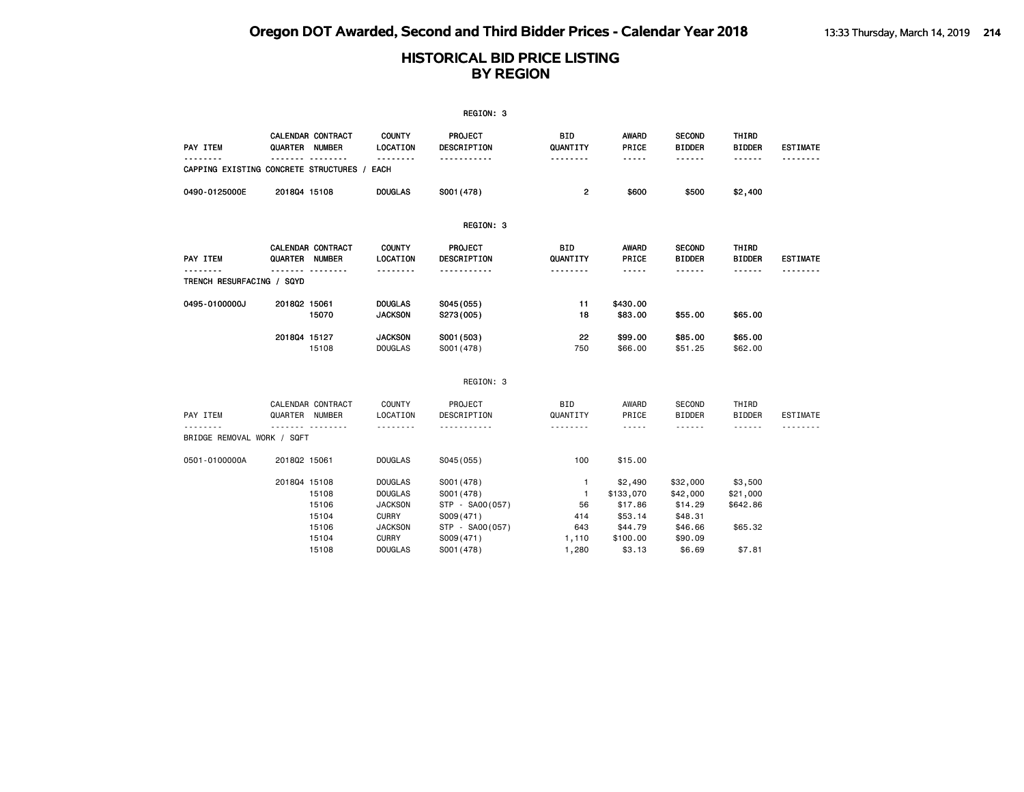|                                                        |              |                                            |                                                                                      | REGION: 3                                                                   |                                                  |                                                                                                                           |                                                       |                                            |                 |
|--------------------------------------------------------|--------------|--------------------------------------------|--------------------------------------------------------------------------------------|-----------------------------------------------------------------------------|--------------------------------------------------|---------------------------------------------------------------------------------------------------------------------------|-------------------------------------------------------|--------------------------------------------|-----------------|
| PAY ITEM                                               |              | CALENDAR CONTRACT<br>QUARTER NUMBER        | <b>COUNTY</b><br>LOCATION                                                            | PROJECT<br>DESCRIPTION                                                      | <b>BID</b><br>QUANTITY                           | <b>AWARD</b><br>PRICE                                                                                                     | <b>SECOND</b><br><b>BIDDER</b>                        | THIRD<br><b>BIDDER</b>                     | <b>ESTIMATE</b> |
| -------<br>CAPPING EXISTING CONCRETE STRUCTURES / EACH |              | .                                          | .                                                                                    | .                                                                           | --------                                         | -----                                                                                                                     | ------                                                | ------                                     |                 |
| 0490-0125000E                                          | 201804 15108 |                                            | <b>DOUGLAS</b>                                                                       | S001 (478)                                                                  | $\overline{2}$                                   | \$600                                                                                                                     | \$500                                                 | \$2,400                                    |                 |
|                                                        |              |                                            |                                                                                      | REGION: 3                                                                   |                                                  |                                                                                                                           |                                                       |                                            |                 |
| PAY ITEM                                               |              | <b>CALENDAR CONTRACT</b><br>QUARTER NUMBER | <b>COUNTY</b><br><b>LOCATION</b>                                                     | <b>PROJECT</b><br>DESCRIPTION                                               | BID.<br>QUANTITY                                 | <b>AWARD</b><br>PRICE                                                                                                     | <b>SECOND</b><br><b>BIDDER</b>                        | THIRD<br><b>BIDDER</b>                     | <b>ESTIMATE</b> |
| TRENCH RESURFACING / SQYD                              |              | .                                          | .                                                                                    | .                                                                           |                                                  | $\cdots \cdots \cdots$                                                                                                    | .                                                     | ------                                     |                 |
| 0495-0100000J                                          | 201802 15061 | 15070                                      | <b>DOUGLAS</b><br><b>JACKSON</b>                                                     | S045(055)<br>S273(005)                                                      | 11<br>18                                         | \$430.00<br>\$83.00                                                                                                       | \$55.00                                               | \$65.00                                    |                 |
|                                                        | 201804 15127 | 15108                                      | <b>JACKSON</b><br><b>DOUGLAS</b>                                                     | S001 (503)<br>S001 (478)                                                    | 22<br>750                                        | \$99.00<br>\$66.00                                                                                                        | \$85.00<br>\$51.25                                    | \$65.00<br>\$62.00                         |                 |
|                                                        |              |                                            |                                                                                      | REGION: 3                                                                   |                                                  |                                                                                                                           |                                                       |                                            |                 |
| PAY ITEM                                               |              | CALENDAR CONTRACT<br>QUARTER NUMBER        | COUNTY<br>LOCATION                                                                   | PROJECT<br>DESCRIPTION                                                      | <b>BID</b><br>QUANTITY                           | AWARD<br>PRICE                                                                                                            | SECOND<br><b>BIDDER</b>                               | THIRD<br><b>BIDDER</b>                     | ESTIMATE        |
| BRIDGE REMOVAL WORK / SQFT                             |              | .                                          | .                                                                                    | <u>.</u>                                                                    | .                                                | $\frac{1}{2} \frac{1}{2} \frac{1}{2} \frac{1}{2} \frac{1}{2} \frac{1}{2} \frac{1}{2} \frac{1}{2} \frac{1}{2} \frac{1}{2}$ | ------                                                | ------                                     | .               |
| 0501-0100000A                                          | 201802 15061 |                                            | <b>DOUGLAS</b>                                                                       | SO45(055)                                                                   | 100                                              | \$15.00                                                                                                                   |                                                       |                                            |                 |
|                                                        | 201804 15108 | 15108<br>15106<br>15104<br>15106           | <b>DOUGLAS</b><br><b>DOUGLAS</b><br><b>JACKSON</b><br><b>CURRY</b><br><b>JACKSON</b> | S001 (478)<br>S001 (478)<br>STP - SA00(057)<br>S009(471)<br>STP - SA00(057) | $\mathbf{1}$<br>$\mathbf{1}$<br>56<br>414<br>643 | \$2,490<br>\$133,070<br>\$17.86<br>\$53.14<br>\$44.79                                                                     | \$32,000<br>\$42,000<br>\$14.29<br>\$48.31<br>\$46.66 | \$3,500<br>\$21,000<br>\$642.86<br>\$65.32 |                 |
|                                                        |              | 15104<br>15108                             | <b>CURRY</b><br><b>DOUGLAS</b>                                                       | S009(471)<br>S001 (478)                                                     | 1,110<br>1,280                                   | \$100.00<br>\$3.13                                                                                                        | \$90.09<br>\$6.69                                     | \$7.81                                     |                 |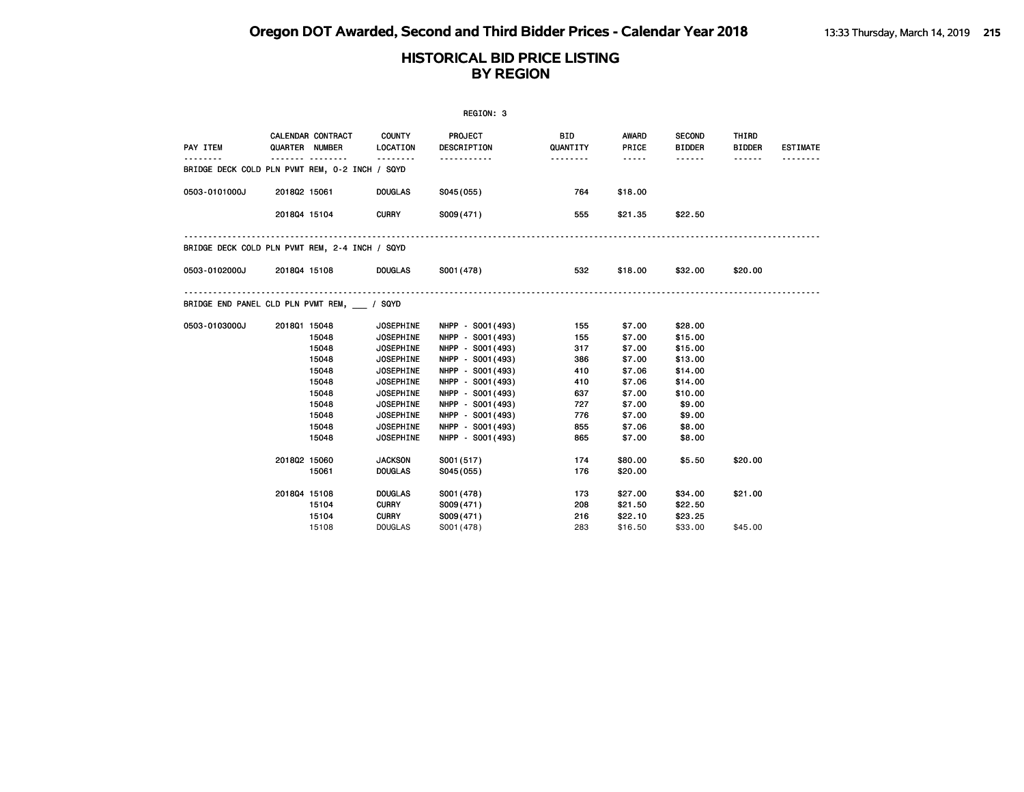|                                                |                |                                      | REGION: 3                     |                        |                                                                                                                                                                                 |                                |                        |                 |
|------------------------------------------------|----------------|--------------------------------------|-------------------------------|------------------------|---------------------------------------------------------------------------------------------------------------------------------------------------------------------------------|--------------------------------|------------------------|-----------------|
| PAY ITEM                                       | QUARTER NUMBER | CALENDAR CONTRACT COUNTY<br>LOCATION | PROJECT<br><b>DESCRIPTION</b> | <b>BID</b><br>QUANTITY | AWARD<br>PRICE                                                                                                                                                                  | <b>SECOND</b><br><b>BIDDER</b> | THIRD<br><b>BIDDER</b> | <b>ESTIMATE</b> |
| BRIDGE DECK COLD PLN PVMT REM, 0-2 INCH / SQYD | .              |                                      | <u>.</u>                      | .                      | $\frac{1}{2} \left( \frac{1}{2} \right) \left( \frac{1}{2} \right) \left( \frac{1}{2} \right) \left( \frac{1}{2} \right) \left( \frac{1}{2} \right) \left( \frac{1}{2} \right)$ | <b>.</b> .                     | $- - - - - -$          |                 |
| 0503-0101000J                                  | 201802 15061   | DOUGLAS                              | S045(055)                     | 764                    | \$18.00                                                                                                                                                                         |                                |                        |                 |
|                                                | 201804 15104   | <b>CURRY</b>                         | S009(471)                     | 555                    | \$21.35                                                                                                                                                                         | \$22.50                        |                        |                 |
| BRIDGE DECK COLD PLN PVMT REM, 2-4 INCH / SQYD |                |                                      |                               |                        |                                                                                                                                                                                 |                                |                        |                 |
| 0503-0102000J 201804 15108 DOUGLAS             |                |                                      | S001 (478)                    | 532                    | \$18.00                                                                                                                                                                         |                                | \$32.00 \$20.00        |                 |
| BRIDGE END PANEL CLD PLN PVMT REM, / SQYD      |                |                                      |                               |                        |                                                                                                                                                                                 |                                |                        |                 |
| 0503-0103000J                                  | 201801 15048   | <b>JOSEPHINE</b>                     | NHPP - S001(493)              | 155                    | \$7.00                                                                                                                                                                          | \$28.00                        |                        |                 |
|                                                | 15048          | <b>JOSEPHINE</b>                     | NHPP - S001(493)              | 155                    | \$7.00                                                                                                                                                                          | \$15.00                        |                        |                 |
|                                                | 15048          | <b>JOSEPHINE</b>                     | NHPP - S001(493)              | 317                    | \$7.00                                                                                                                                                                          | \$15.00                        |                        |                 |
|                                                | 15048          | <b>JOSEPHINE</b>                     | NHPP - S001(493)              | 386                    | \$7.00                                                                                                                                                                          | \$13.00                        |                        |                 |
|                                                | 15048          | <b>JOSEPHINE</b>                     | NHPP - S001(493)              | 410                    | \$7.06                                                                                                                                                                          | \$14.00                        |                        |                 |
|                                                | 15048          | <b>JOSEPHINE</b>                     | NHPP - S001(493)              | 410                    | \$7.06                                                                                                                                                                          | \$14.00                        |                        |                 |
|                                                | 15048          | <b>JOSEPHINE</b>                     | NHPP - S001(493)              | 637                    | \$7.00                                                                                                                                                                          | \$10.00                        |                        |                 |
|                                                | 15048          | <b>JOSEPHINE</b>                     | NHPP - S001(493)              | 727                    | \$7.00                                                                                                                                                                          | \$9.00                         |                        |                 |
|                                                | 15048          | <b>JOSEPHINE</b>                     | NHPP - S001(493)              | 776                    | \$7.00                                                                                                                                                                          | \$9.00                         |                        |                 |
|                                                | 15048          | <b>JOSEPHINE</b>                     | NHPP - S001 (493)             | 855                    | \$7.06                                                                                                                                                                          | \$8.00                         |                        |                 |
|                                                | 15048          | <b>JOSEPHINE</b>                     | NHPP - S001 (493)             | 865                    | \$7.00                                                                                                                                                                          | \$8.00                         |                        |                 |
|                                                | 2018Q2 15060   | <b>JACKSON</b>                       | S001(517)                     | 174                    | \$80.00                                                                                                                                                                         | \$5.50                         | \$20,00                |                 |
|                                                | 15061          | <b>DOUGLAS</b>                       | S045(055)                     | 176                    | \$20.00                                                                                                                                                                         |                                |                        |                 |
|                                                | 201804 15108   | <b>DOUGLAS</b>                       | S001 (478)                    | 173                    | \$27.00                                                                                                                                                                         | \$34.00                        | \$21.00                |                 |
|                                                | 15104          | <b>CURRY</b>                         | S009(471)                     | 208                    | \$21.50                                                                                                                                                                         | \$22.50                        |                        |                 |
|                                                | 15104          | <b>CURRY</b>                         | S009(471)                     | 216                    | \$22.10                                                                                                                                                                         | \$23.25                        |                        |                 |
|                                                | 15108          | <b>DOUGLAS</b>                       | S001 (478)                    | 283                    | \$16.50                                                                                                                                                                         | \$33.00                        | \$45,00                |                 |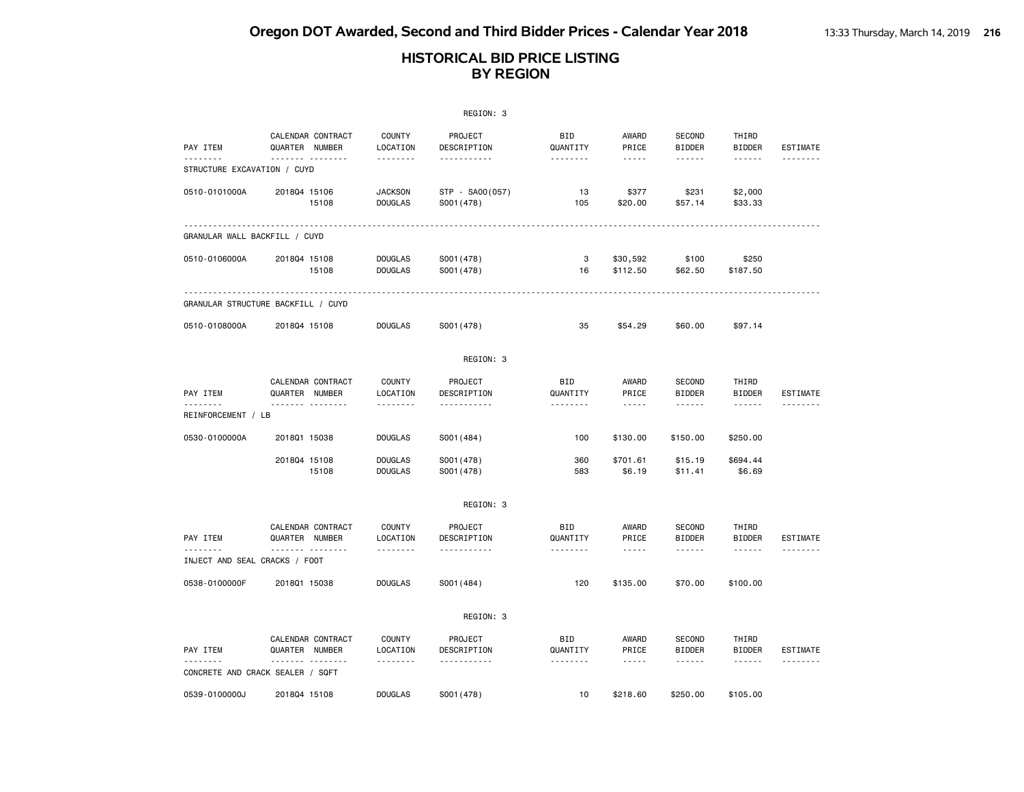|                                         |                                          |                                       | REGION: 3                          |                                    |                                                                                                                                       |                                            |                                    |                             |
|-----------------------------------------|------------------------------------------|---------------------------------------|------------------------------------|------------------------------------|---------------------------------------------------------------------------------------------------------------------------------------|--------------------------------------------|------------------------------------|-----------------------------|
| PAY ITEM                                | CALENDAR CONTRACT<br>QUARTER NUMBER      | <b>COUNTY</b><br>LOCATION             | PROJECT<br>DESCRIPTION             | <b>BID</b><br>QUANTITY             | AWARD<br>PRICE                                                                                                                        | <b>SECOND</b><br><b>BIDDER</b>             | THIRD<br><b>BIDDER</b>             | <b>ESTIMATE</b>             |
| --------<br>STRUCTURE EXCAVATION / CUYD | . <sub>.</sub>                           | .                                     | .                                  | .                                  | $\frac{1}{2} \frac{1}{2} \frac{1}{2} \frac{1}{2} \frac{1}{2} \frac{1}{2} \frac{1}{2} \frac{1}{2} \frac{1}{2} \frac{1}{2} \frac{1}{2}$ | ------                                     | ------                             | --------                    |
| 0510-0101000A                           | 201804 15106<br>15108                    | <b>JACKSON</b><br><b>DOUGLAS</b>      | STP - SA00(057)<br>S001 (478)      | 13<br>105                          | \$377<br>\$20.00                                                                                                                      | \$231<br>\$57.14                           | \$2,000<br>\$33.33                 |                             |
| GRANULAR WALL BACKFILL / CUYD           |                                          |                                       |                                    |                                    |                                                                                                                                       |                                            |                                    |                             |
| 0510-0106000A                           | 201804 15108<br>15108                    | <b>DOUGLAS</b><br><b>DOUGLAS</b>      | S001 (478)<br>S001 (478)           | 3<br>16                            | \$30,592<br>\$112.50                                                                                                                  | \$100<br>\$62.50                           | \$250<br>\$187.50                  |                             |
|                                         | GRANULAR STRUCTURE BACKFILL / CUYD       |                                       |                                    |                                    |                                                                                                                                       |                                            |                                    |                             |
| 0510-0108000A                           | 201804 15108                             | <b>DOUGLAS</b>                        | S001 (478)                         | 35                                 | \$54.29                                                                                                                               | \$60.00                                    | \$97.14                            |                             |
|                                         |                                          |                                       | REGION: 3                          |                                    |                                                                                                                                       |                                            |                                    |                             |
| PAY ITEM<br><u>.</u>                    | CALENDAR CONTRACT<br>QUARTER NUMBER      | <b>COUNTY</b><br>LOCATION             | PROJECT<br>DESCRIPTION             | <b>BID</b><br>QUANTITY             | AWARD<br>PRICE                                                                                                                        | <b>SECOND</b><br><b>BIDDER</b><br><u>.</u> | THIRD<br><b>BIDDER</b>             | <b>ESTIMATE</b><br>-------- |
| REINFORCEMENT / LB                      | .                                        | .                                     | .                                  | .                                  | -----                                                                                                                                 |                                            | $- - - - - -$                      |                             |
| 0530-0100000A                           | 201801 15038                             | <b>DOUGLAS</b>                        | S001 (484)                         | 100                                | \$130.00                                                                                                                              | \$150.00                                   | \$250.00                           |                             |
|                                         | 201804 15108<br>15108                    | <b>DOUGLAS</b><br><b>DOUGLAS</b>      | S001 (478)<br>S001 (478)           | 360<br>583                         | \$701.61<br>\$6.19                                                                                                                    | \$15.19<br>\$11.41                         | \$694.44<br>\$6.69                 |                             |
|                                         |                                          |                                       | REGION: 3                          |                                    |                                                                                                                                       |                                            |                                    |                             |
| PAY ITEM<br><u>.</u>                    | CALENDAR CONTRACT<br>QUARTER NUMBER<br>. | <b>COUNTY</b><br>LOCATION<br><u>.</u> | PROJECT<br>DESCRIPTION<br><u>.</u> | <b>BID</b><br>QUANTITY<br><u>.</u> | AWARD<br>PRICE<br>$- - - - -$                                                                                                         | <b>SECOND</b><br><b>BIDDER</b><br><u>.</u> | THIRD<br><b>BIDDER</b><br><b>.</b> | <b>ESTIMATE</b><br><u>.</u> |
| INJECT AND SEAL CRACKS / FOOT           |                                          |                                       |                                    |                                    |                                                                                                                                       |                                            |                                    |                             |
| 0538-0100000F                           | 201801 15038                             | <b>DOUGLAS</b>                        | S001 (484)                         | 120                                | \$135.00                                                                                                                              | \$70.00                                    | \$100.00                           |                             |
|                                         |                                          |                                       | REGION: 3                          |                                    |                                                                                                                                       |                                            |                                    |                             |
| PAY ITEM                                | CALENDAR CONTRACT<br>QUARTER NUMBER      | <b>COUNTY</b><br>LOCATION             | PROJECT<br>DESCRIPTION             | BID<br>QUANTITY                    | AWARD<br>PRICE                                                                                                                        | <b>SECOND</b><br><b>BIDDER</b>             | THIRD<br><b>BIDDER</b>             | <b>ESTIMATE</b>             |
| .                                       | .<br>CONCRETE AND CRACK SEALER / SQFT    | .                                     | .                                  | .                                  | $- - - -$                                                                                                                             | .                                          | <b>.</b>                           | <u>.</u>                    |
| 0539-0100000J                           | 201804 15108                             | <b>DOUGLAS</b>                        | S001 (478)                         | 10                                 | \$218,60                                                                                                                              | \$250,00                                   | \$105,00                           |                             |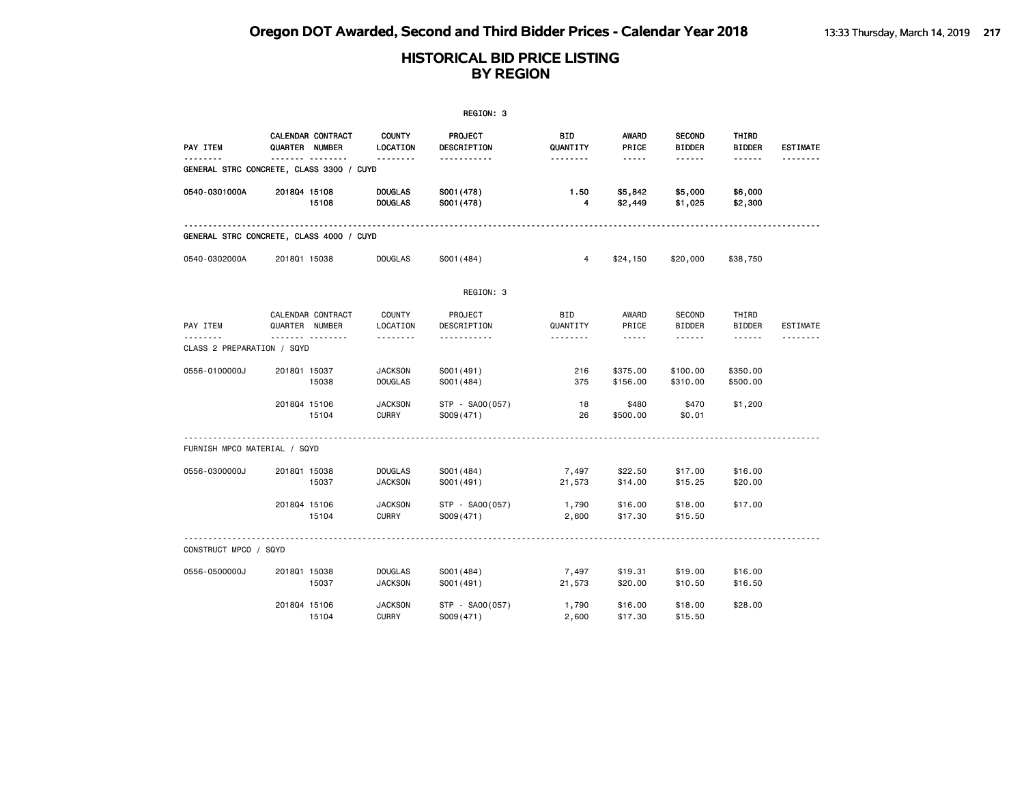| REGION: 3                    |                                                      |                                  |                              |                        |                      |                                |                        |                 |  |
|------------------------------|------------------------------------------------------|----------------------------------|------------------------------|------------------------|----------------------|--------------------------------|------------------------|-----------------|--|
| <b>PAY ITEM</b>              | CALENDAR CONTRACT<br>QUARTER NUMBER                  | <b>COUNTY</b><br>LOCATION        | PROJECT<br>DESCRIPTION       | BID<br>QUANTITY        | AWARD<br>PRICE       | <b>SECOND</b><br><b>BIDDER</b> | THIRD<br><b>BIDDER</b> | <b>ESTIMATE</b> |  |
|                              | <b>.</b><br>GENERAL STRC CONCRETE, CLASS 3300 / CUYD | .                                | .                            | .                      | -----                | ------                         | ------                 |                 |  |
| 0540-0301000A                | 201804 15108<br>15108                                | <b>DOUGLAS</b><br><b>DOUGLAS</b> | S001 (478)<br>S001 (478)     | 1.50<br>4              | \$5,842<br>\$2,449   | \$5,000<br>\$1,025             | \$6,000<br>\$2,300     |                 |  |
|                              | GENERAL STRC CONCRETE, CLASS 4000 / CUYD             |                                  |                              |                        |                      |                                |                        |                 |  |
| 0540-0302000A                | 201801 15038                                         | <b>DOUGLAS</b>                   | S001 (484)                   | 4                      | \$24,150             | \$20,000                       | \$38,750               |                 |  |
|                              |                                                      |                                  | REGION: 3                    |                        |                      |                                |                        |                 |  |
| PAY ITEM                     | CALENDAR CONTRACT<br>QUARTER NUMBER                  | COUNTY<br>LOCATION               | PROJECT<br>DESCRIPTION       | <b>BID</b><br>QUANTITY | AWARD<br>PRICE       | SECOND<br><b>BIDDER</b>        | THIRD<br><b>BIDDER</b> | <b>ESTIMATE</b> |  |
| CLASS 2 PREPARATION / SQYD   | .                                                    | .                                | .                            | .                      | $- - - - -$          | ------                         | .                      | --------        |  |
| 0556-0100000J                | 201801 15037<br>15038                                | <b>JACKSON</b><br><b>DOUGLAS</b> | S001 (491)<br>S001 (484)     | 216<br>375             | \$375.00<br>\$156.00 | \$100.00<br>\$310.00           | \$350.00<br>\$500.00   |                 |  |
|                              | 201804 15106<br>15104                                | <b>JACKSON</b><br><b>CURRY</b>   | STP - SA00(057)<br>S009(471) | 18<br>26               | \$480<br>\$500.00    | \$470<br>\$0.01                | \$1,200                |                 |  |
| FURNISH MPCO MATERIAL / SQYD |                                                      |                                  |                              |                        |                      |                                |                        |                 |  |
| 0556-0300000J                | 201801 15038<br>15037                                | <b>DOUGLAS</b><br><b>JACKSON</b> | S001 (484)<br>S001 (491)     | 7,497<br>21,573        | \$22.50<br>\$14.00   | \$17.00<br>\$15.25             | \$16.00<br>\$20.00     |                 |  |
|                              | 201804 15106<br>15104                                | <b>JACKSON</b><br><b>CURRY</b>   | STP - SA00(057)<br>S009(471) | 1,790<br>2,600         | \$16.00<br>\$17.30   | \$18.00<br>\$15.50             | \$17.00                |                 |  |
| CONSTRUCT MPCO / SQYD        |                                                      |                                  |                              |                        |                      |                                |                        |                 |  |
| 0556-0500000J                | 201801 15038<br>15037                                | <b>DOUGLAS</b><br><b>JACKSON</b> | S001 (484)<br>S001 (491)     | 7,497<br>21,573        | \$19.31<br>\$20.00   | \$19.00<br>\$10.50             | \$16.00<br>\$16.50     |                 |  |
|                              | 201804 15106<br>15104                                | <b>JACKSON</b><br><b>CURRY</b>   | STP - SA00(057)<br>S009(471) | 1,790<br>2,600         | \$16.00<br>\$17.30   | \$18.00<br>\$15.50             | \$28.00                |                 |  |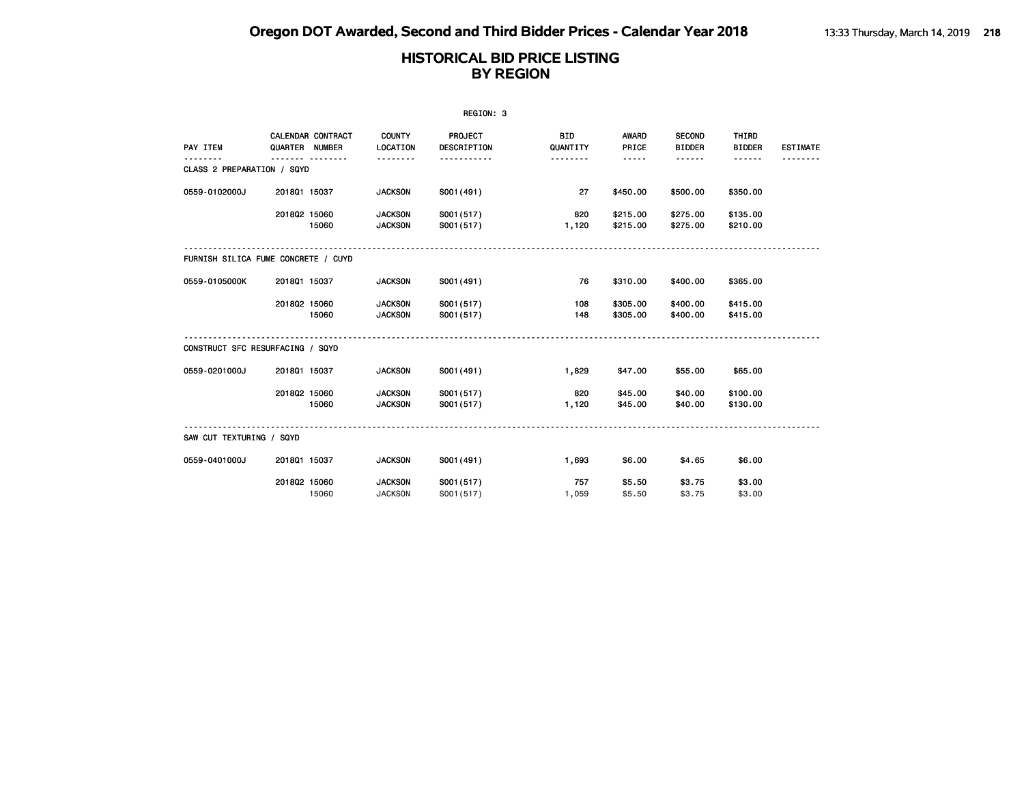|                                     |              |                                            |                                | REGION: 3                   |                        |                                |                                          |                                         |                 |
|-------------------------------------|--------------|--------------------------------------------|--------------------------------|-----------------------------|------------------------|--------------------------------|------------------------------------------|-----------------------------------------|-----------------|
| PAY ITEM                            |              | <b>CALENDAR CONTRACT</b><br>QUARTER NUMBER | <b>COUNTY</b><br>LOCATION<br>. | PROJECT<br>DESCRIPTION<br>. | <b>BID</b><br>QUANTITY | <b>AWARD</b><br>PRICE<br>----- | <b>SECOND</b><br><b>BIDDER</b><br>------ | THIRD<br><b>BIDDER</b><br>$- - - - - -$ | <b>ESTIMATE</b> |
| CLASS 2 PREPARATION / SQYD          |              |                                            |                                |                             |                        |                                |                                          |                                         |                 |
|                                     |              |                                            |                                |                             |                        |                                |                                          |                                         |                 |
| 0559-0102000J                       | 201801 15037 |                                            | <b>JACKSON</b>                 | S001 (491)                  | 27                     | \$450.00                       | \$500.00                                 | \$350.00                                |                 |
|                                     | 201802 15060 |                                            | <b>JACKSON</b>                 | S001 (517)                  | 820                    | \$215.00                       | \$275.00                                 | \$135.00                                |                 |
|                                     |              | 15060                                      | <b>JACKSON</b>                 | S001(517)                   | 1,120                  | \$215.00                       | \$275.00                                 | \$210.00                                |                 |
|                                     |              |                                            |                                |                             |                        |                                |                                          |                                         |                 |
| FURNISH SILICA FUME CONCRETE / CUYD |              |                                            |                                |                             |                        |                                |                                          |                                         |                 |
|                                     |              |                                            |                                |                             |                        |                                |                                          |                                         |                 |
| 0559-0105000K                       | 201801 15037 |                                            | <b>JACKSON</b>                 | S001 (491)                  | 76                     | \$310.00                       | \$400.00                                 | \$365.00                                |                 |
|                                     | 201802 15060 |                                            | <b>JACKSON</b>                 | S001 (517)                  | 108                    | \$305.00                       | \$400.00                                 | \$415.00                                |                 |
|                                     |              | 15060                                      | <b>JACKSON</b>                 | S001 (517)                  | 148                    | \$305.00                       | \$400.00                                 | \$415.00                                |                 |
|                                     |              |                                            |                                |                             |                        |                                |                                          |                                         |                 |
| CONSTRUCT SFC RESURFACING / SQYD    |              |                                            |                                |                             |                        |                                |                                          |                                         |                 |
|                                     |              |                                            |                                |                             |                        |                                |                                          |                                         |                 |
| 0559-0201000J                       | 201801 15037 |                                            | <b>JACKSON</b>                 | S001 (491)                  | 1,829                  | \$47.00                        | \$55.00                                  | \$65.00                                 |                 |
|                                     | 201802 15060 |                                            | <b>JACKSON</b>                 | S001 (517)                  | 820                    | \$45.00                        | \$40.00                                  | \$100.00                                |                 |
|                                     |              | 15060                                      | <b>JACKSON</b>                 | S001 (517)                  | 1,120                  | \$45.00                        | \$40.00                                  | \$130.00                                |                 |
|                                     |              |                                            |                                |                             |                        |                                |                                          |                                         |                 |
|                                     |              |                                            |                                |                             |                        |                                |                                          |                                         |                 |
| SAW CUT TEXTURING / SQYD            |              |                                            |                                |                             |                        |                                |                                          |                                         |                 |
| 0559-0401000J                       | 201801 15037 |                                            | <b>JACKSON</b>                 | S001 (491)                  | 1,693                  | \$6.00                         | \$4.65                                   | \$6.00                                  |                 |
|                                     | 201802 15060 |                                            | <b>JACKSON</b>                 |                             | 757                    |                                |                                          |                                         |                 |
|                                     |              | 15060                                      | <b>JACKSON</b>                 | S001 (517)<br>S001 (517)    | 1,059                  | \$5.50<br>\$5.50               | \$3.75<br>\$3.75                         | \$3.00<br>\$3,00                        |                 |
|                                     |              |                                            |                                |                             |                        |                                |                                          |                                         |                 |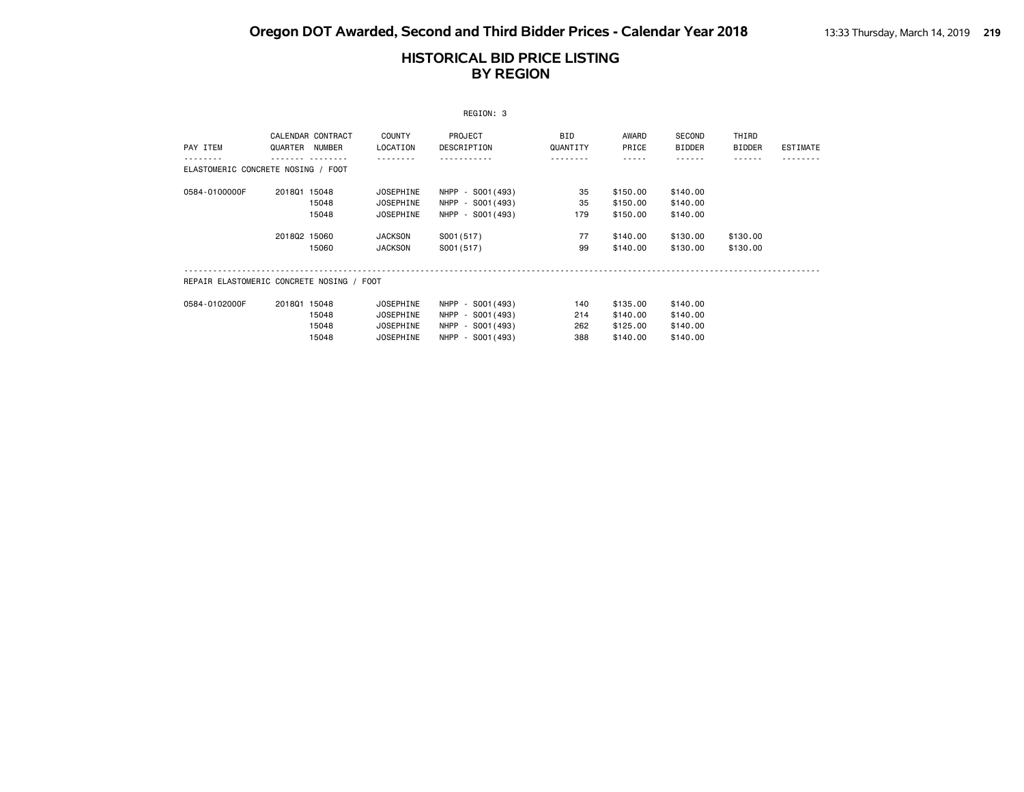|                                           |                              |                                    |                                                                                       | REGION: 3                                                                              |                             |                                                          |                                                          |                        |          |
|-------------------------------------------|------------------------------|------------------------------------|---------------------------------------------------------------------------------------|----------------------------------------------------------------------------------------|-----------------------------|----------------------------------------------------------|----------------------------------------------------------|------------------------|----------|
| PAY ITEM                                  | QUARTER                      | CALENDAR CONTRACT<br><b>NUMBER</b> | COUNTY<br>LOCATION                                                                    | PROJECT<br>DESCRIPTION                                                                 | BID<br>QUANTITY             | AWARD<br>PRICE                                           | SECOND<br><b>BIDDER</b>                                  | THIRD<br><b>BIDDER</b> | ESTIMATE |
| ELASTOMERIC CONCRETE NOSING / FOOT        |                              |                                    |                                                                                       |                                                                                        | . <u>.</u>                  | - - - - -                                                | - - - - - -                                              |                        |          |
| 0584-0100000F                             | 201801 15048<br>201802 15060 | 15048<br>15048<br>15060            | <b>JOSEPHINE</b><br><b>JOSEPHINE</b><br>JOSEPHINE<br><b>JACKSON</b><br><b>JACKSON</b> | NHPP - S001 (493)<br>NHPP - S001 (493)<br>NHPP - S001 (493)<br>S001(517)<br>S001 (517) | 35<br>35<br>179<br>77<br>99 | \$150.00<br>\$150.00<br>\$150.00<br>\$140.00<br>\$140.00 | \$140.00<br>\$140.00<br>\$140.00<br>\$130,00<br>\$130,00 | \$130.00<br>\$130.00   |          |
| REPAIR ELASTOMERIC CONCRETE NOSING / FOOT |                              |                                    |                                                                                       |                                                                                        |                             |                                                          |                                                          |                        |          |
| 0584-0102000F                             | 201801 15048                 | 15048<br>15048<br>15048            | JOSEPHINE<br>JOSEPHINE<br><b>JOSEPHINE</b><br><b>JOSEPHINE</b>                        | NHPP - S001 (493)<br>NHPP - S001 (493)<br>NHPP - S001 (493)<br>NHPP - S001 (493)       | 140<br>214<br>262<br>388    | \$135.00<br>\$140.00<br>\$125.00<br>\$140.00             | \$140.00<br>\$140.00<br>\$140.00<br>\$140.00             |                        |          |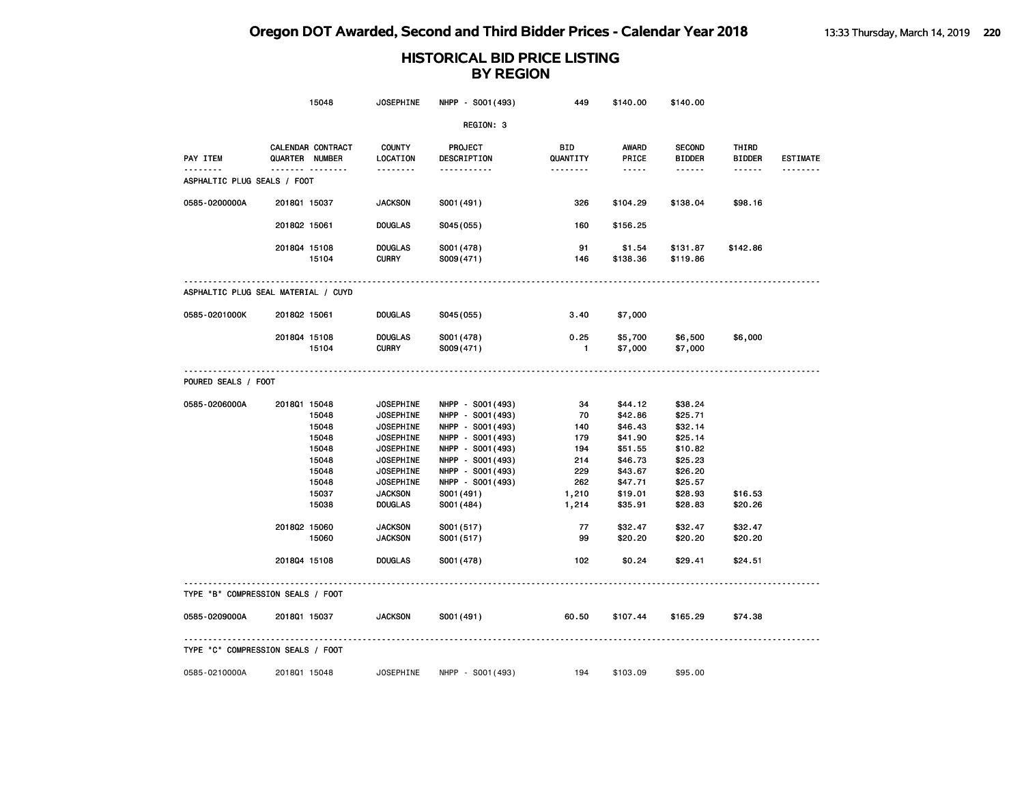|                                     |                                              | 15048                                                                                  | <b>JOSEPHINE</b>                                                                                                                                                                                                                                       | NHPP - S001 (493)                                                                                                                                                                                                                          | 449                                                                                     | \$140.00                                                                                                                                   | \$140.00                                                                                                                                    |                                                     |                 |
|-------------------------------------|----------------------------------------------|----------------------------------------------------------------------------------------|--------------------------------------------------------------------------------------------------------------------------------------------------------------------------------------------------------------------------------------------------------|--------------------------------------------------------------------------------------------------------------------------------------------------------------------------------------------------------------------------------------------|-----------------------------------------------------------------------------------------|--------------------------------------------------------------------------------------------------------------------------------------------|---------------------------------------------------------------------------------------------------------------------------------------------|-----------------------------------------------------|-----------------|
|                                     |                                              |                                                                                        |                                                                                                                                                                                                                                                        | REGION: 3                                                                                                                                                                                                                                  |                                                                                         |                                                                                                                                            |                                                                                                                                             |                                                     |                 |
| PAY ITEM                            | QUARTER NUMBER                               | CALENDAR CONTRACT                                                                      | <b>COUNTY</b><br>LOCATION                                                                                                                                                                                                                              | <b>PROJECT</b><br>DESCRIPTION                                                                                                                                                                                                              | BID<br>QUANTITY                                                                         | AWARD<br>PRICE                                                                                                                             | <b>SECOND</b><br><b>BIDDER</b>                                                                                                              | THIRD<br><b>BIDDER</b>                              | <b>ESTIMATE</b> |
| ASPHALTIC PLUG SEALS / FOOT         |                                              |                                                                                        | <u>.</u>                                                                                                                                                                                                                                               | -----------                                                                                                                                                                                                                                | <u>.</u>                                                                                | -----                                                                                                                                      | ------                                                                                                                                      | ------                                              |                 |
| 0585-0200000A                       | 2018Q1 15037                                 |                                                                                        | <b>JACKSON</b>                                                                                                                                                                                                                                         | S001 (491)                                                                                                                                                                                                                                 | 326                                                                                     | \$104.29                                                                                                                                   | \$138.04                                                                                                                                    | \$98.16                                             |                 |
|                                     | 201802 15061                                 |                                                                                        | <b>DOUGLAS</b>                                                                                                                                                                                                                                         | S045(055)                                                                                                                                                                                                                                  | 160                                                                                     | \$156.25                                                                                                                                   |                                                                                                                                             |                                                     |                 |
|                                     | 201804 15108                                 | 15104                                                                                  | <b>DOUGLAS</b><br><b>CURRY</b>                                                                                                                                                                                                                         | S001 (478)<br>S009(471)                                                                                                                                                                                                                    | 91<br>146                                                                               | \$1.54<br>\$138.36                                                                                                                         | \$131.87<br>\$119.86                                                                                                                        | \$142.86                                            |                 |
| ASPHALTIC PLUG SEAL MATERIAL / CUYD |                                              |                                                                                        |                                                                                                                                                                                                                                                        |                                                                                                                                                                                                                                            |                                                                                         |                                                                                                                                            |                                                                                                                                             |                                                     |                 |
| 0585-0201000K                       | 201802 15061                                 |                                                                                        | <b>DOUGLAS</b>                                                                                                                                                                                                                                         | S045(055)                                                                                                                                                                                                                                  | 3.40                                                                                    | \$7,000                                                                                                                                    |                                                                                                                                             |                                                     |                 |
|                                     | 201804 15108                                 | 15104                                                                                  | <b>DOUGLAS</b><br><b>CURRY</b>                                                                                                                                                                                                                         | S001 (478)<br>S009(471)                                                                                                                                                                                                                    | 0.25<br>$\mathbf{1}$                                                                    | \$5,700<br>\$7,000                                                                                                                         | \$6,500<br>\$7,000                                                                                                                          | \$6,000                                             |                 |
| POURED SEALS / FOOT                 |                                              |                                                                                        |                                                                                                                                                                                                                                                        |                                                                                                                                                                                                                                            |                                                                                         |                                                                                                                                            |                                                                                                                                             |                                                     |                 |
| 0585-0206000A                       | 2018Q1 15048<br>201802 15060<br>201804 15108 | 15048<br>15048<br>15048<br>15048<br>15048<br>15048<br>15048<br>15037<br>15038<br>15060 | <b>JOSEPHINE</b><br><b>JOSEPHINE</b><br><b>JOSEPHINE</b><br><b>JOSEPHINE</b><br><b>JOSEPHINE</b><br><b>JOSEPHINE</b><br><b>JOSEPHINE</b><br><b>JOSEPHINE</b><br><b>JACKSON</b><br><b>DOUGLAS</b><br><b>JACKSON</b><br><b>JACKSON</b><br><b>DOUGLAS</b> | NHPP - S001 (493)<br>NHPP - S001 (493)<br>NHPP - S001 (493)<br>NHPP - S001 (493)<br>NHPP - S001 (493)<br>NHPP - S001 (493)<br>NHPP - S001 (493)<br>NHPP - S001 (493)<br>S001 (491)<br>S001 (484)<br>S001 (517)<br>S001 (517)<br>S001 (478) | 34<br>70<br>140<br>179<br>194<br>214<br>229<br>262<br>1,210<br>1,214<br>77<br>99<br>102 | \$44.12<br>\$42.86<br>\$46.43<br>\$41.90<br>\$51.55<br>\$46.73<br>\$43.67<br>\$47.71<br>\$19.01<br>\$35.91<br>\$32.47<br>\$20.20<br>\$0.24 | \$38.24<br>\$25.71<br>\$32.14<br>\$25.14<br>\$10.82<br>\$25.23<br>\$26.20<br>\$25.57<br>\$28.93<br>\$28.83<br>\$32.47<br>\$20.20<br>\$29.41 | \$16.53<br>\$20.26<br>\$32.47<br>\$20.20<br>\$24.51 |                 |
| TYPE "B" COMPRESSION SEALS / FOOT   |                                              |                                                                                        |                                                                                                                                                                                                                                                        |                                                                                                                                                                                                                                            |                                                                                         |                                                                                                                                            |                                                                                                                                             |                                                     |                 |
| 0585-0209000A                       | 201801 15037                                 |                                                                                        | <b>JACKSON</b>                                                                                                                                                                                                                                         | S001 (491)                                                                                                                                                                                                                                 | 60.50                                                                                   | \$107.44                                                                                                                                   | \$165.29                                                                                                                                    | \$74.38                                             |                 |
| TYPE "C" COMPRESSION SEALS / FOOT   |                                              |                                                                                        |                                                                                                                                                                                                                                                        |                                                                                                                                                                                                                                            |                                                                                         |                                                                                                                                            |                                                                                                                                             |                                                     |                 |
| 0585-0210000A                       | 201801 15048                                 |                                                                                        | JOSEPHINE                                                                                                                                                                                                                                              | NHPP - S001 (493)                                                                                                                                                                                                                          | 194                                                                                     | \$103.09                                                                                                                                   | \$95.00                                                                                                                                     |                                                     |                 |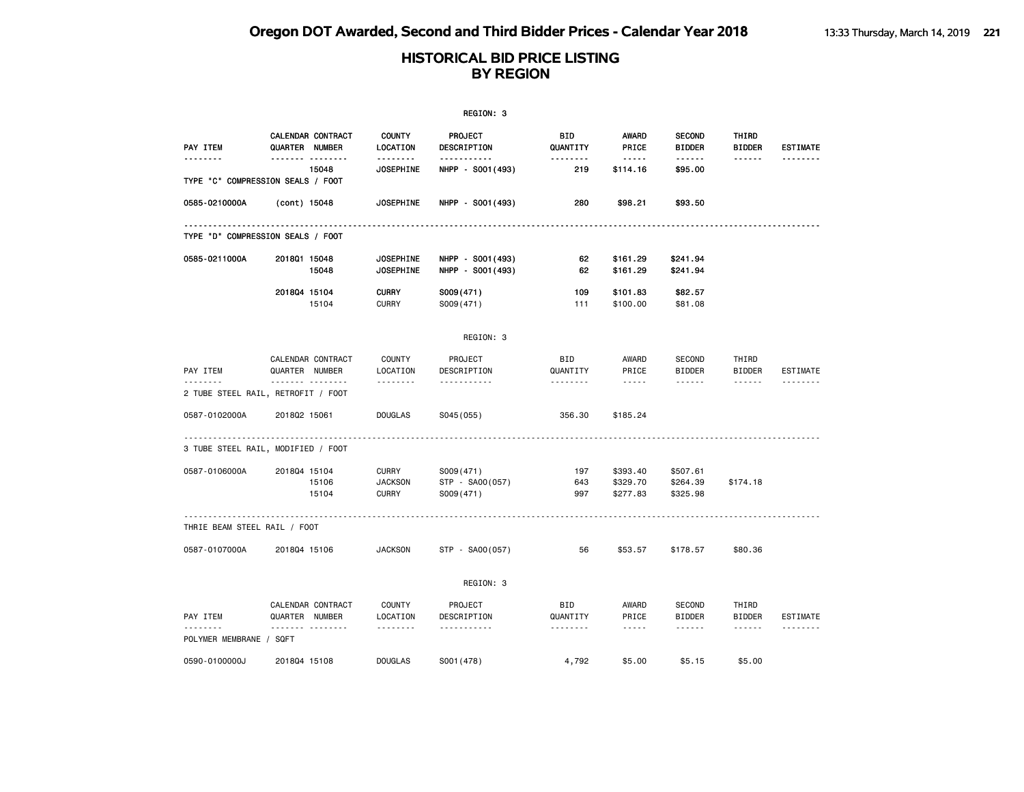|                                     |                                                 |                                                | REGION: 3                                 |                        |                                  |                                  |                        |                 |
|-------------------------------------|-------------------------------------------------|------------------------------------------------|-------------------------------------------|------------------------|----------------------------------|----------------------------------|------------------------|-----------------|
| PAY ITEM                            | CALENDAR CONTRACT<br>QUARTER NUMBER             | <b>COUNTY</b><br>LOCATION                      | PROJECT<br>DESCRIPTION                    | BID<br>QUANTITY        | <b>AWARD</b><br>PRICE            | <b>SECOND</b><br><b>BIDDER</b>   | THIRD<br><b>BIDDER</b> | <b>ESTIMATE</b> |
| <u>.</u>                            | .<br>15048<br>TYPE "C" COMPRESSION SEALS / FOOT | .<br><b>JOSEPHINE</b>                          | -----------<br>NHPP - S001 (493)          | .<br>219               | $\cdots \cdots$<br>\$114.16      | .<br>\$95.00                     | ------                 |                 |
| 0585-0210000A                       | (cont) 15048                                    | <b>JOSEPHINE</b>                               | NHPP - S001 (493)                         | 280                    | \$98.21                          | \$93.50                          |                        |                 |
|                                     | TYPE "D" COMPRESSION SEALS / FOOT               |                                                |                                           |                        |                                  |                                  |                        |                 |
| 0585-0211000A                       | 201801 15048<br>15048                           | <b>JOSEPHINE</b><br><b>JOSEPHINE</b>           | NHPP - S001 (493)<br>NHPP - S001 (493)    | 62<br>62               | \$161.29<br>\$161.29             | \$241.94<br>\$241.94             |                        |                 |
|                                     | 201804 15104<br>15104                           | <b>CURRY</b><br><b>CURRY</b>                   | S009(471)<br>S009(471)                    | 109<br>111             | \$101.83<br>\$100.00             | \$82.57<br>\$81.08               |                        |                 |
|                                     |                                                 |                                                | REGION: 3                                 |                        |                                  |                                  |                        |                 |
| PAY ITEM                            | CALENDAR CONTRACT<br>QUARTER NUMBER             | <b>COUNTY</b><br>LOCATION                      | PROJECT<br>DESCRIPTION                    | BID<br>QUANTITY        | AWARD<br>PRICE                   | <b>SECOND</b><br><b>BIDDER</b>   | THIRD<br><b>BIDDER</b> | <b>ESTIMATE</b> |
| --------                            | <b>.</b><br>2 TUBE STEEL RAIL, RETROFIT / FOOT  | .                                              | .                                         | .                      | $- - - - -$                      | ------                           | .                      |                 |
| 0587-0102000A                       | 201802 15061                                    | <b>DOUGLAS</b>                                 | S045 (055)                                | 356.30                 | \$185.24                         |                                  |                        |                 |
|                                     | 3 TUBE STEEL RAIL, MODIFIED / FOOT              |                                                |                                           |                        |                                  |                                  |                        |                 |
| 0587-0106000A                       | 201804 15104<br>15106<br>15104                  | <b>CURRY</b><br><b>JACKSON</b><br><b>CURRY</b> | S009(471)<br>STP - SA00(057)<br>S009(471) | 197<br>643<br>997      | \$393.40<br>\$329.70<br>\$277.83 | \$507.61<br>\$264.39<br>\$325.98 | \$174.18               |                 |
| THRIE BEAM STEEL RAIL / FOOT        |                                                 |                                                |                                           |                        |                                  |                                  |                        |                 |
| 0587-0107000A                       | 201804 15106                                    | <b>JACKSON</b>                                 | STP - SA00(057)                           | 56                     | \$53.57                          | \$178.57                         | \$80.36                |                 |
|                                     |                                                 |                                                | REGION: 3                                 |                        |                                  |                                  |                        |                 |
| PAY ITEM                            | CALENDAR CONTRACT<br>QUARTER NUMBER             | <b>COUNTY</b><br>LOCATION                      | PROJECT<br>DESCRIPTION                    | <b>BID</b><br>QUANTITY | AWARD<br>PRICE                   | SECOND<br><b>BIDDER</b>          | THIRD<br><b>BIDDER</b> | ESTIMATE        |
| --------<br>POLYMER MEMBRANE / SQFT | <b>.</b>                                        | <u>.</u>                                       | .                                         | <u>.</u>               | $\frac{1}{2}$                    | ------                           | ------                 |                 |
| 0590-0100000J                       | 201804 15108                                    | <b>DOUGLAS</b>                                 | S001 (478)                                | 4,792                  | \$5.00                           | \$5.15                           | \$5.00                 |                 |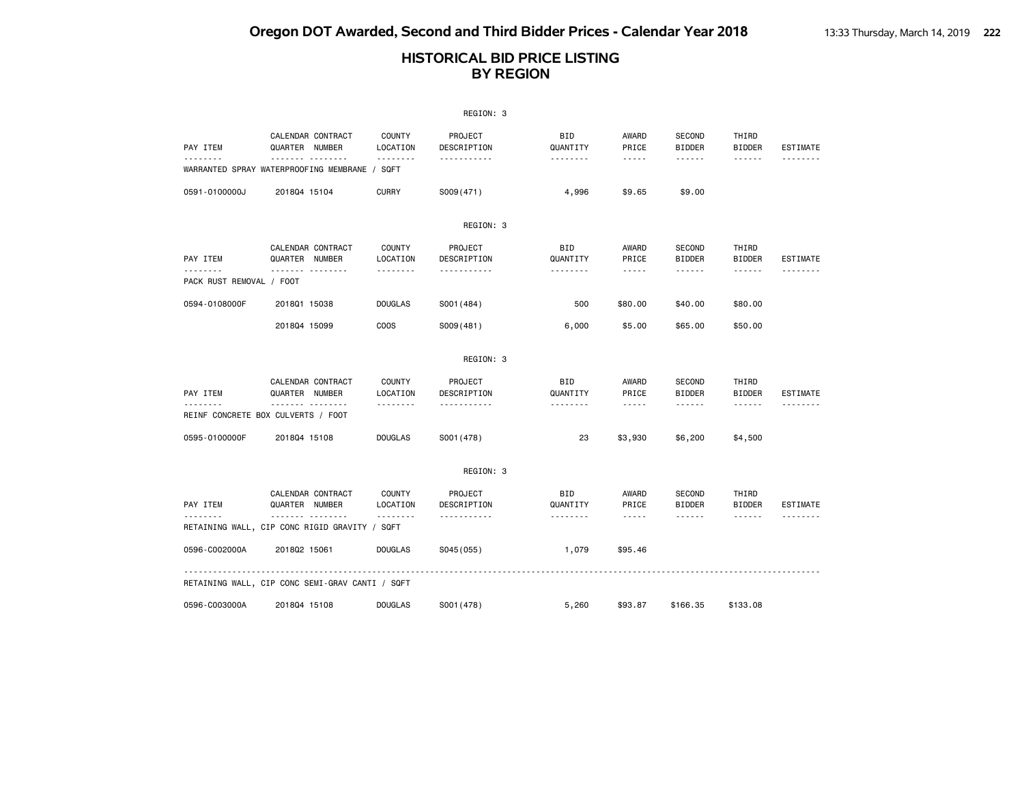|                          |                                                               |                                       | REGION: 3                   |                                    |                                                                                                                                                                                 |                                          |                                  |                             |
|--------------------------|---------------------------------------------------------------|---------------------------------------|-----------------------------|------------------------------------|---------------------------------------------------------------------------------------------------------------------------------------------------------------------------------|------------------------------------------|----------------------------------|-----------------------------|
| PAY ITEM                 | CALENDAR CONTRACT<br>QUARTER NUMBER                           | <b>COUNTY</b><br>LOCATION             | PROJECT<br>DESCRIPTION      | BID<br>QUANTITY                    | AWARD<br>PRICE                                                                                                                                                                  | <b>SECOND</b><br><b>BIDDER</b>           | THIRD<br><b>BIDDER</b>           | <b>ESTIMATE</b>             |
| .                        | -------<br>.<br>WARRANTED SPRAY WATERPROOFING MEMBRANE / SQFT | .                                     | .                           | .                                  | $\frac{1}{2} \left( \frac{1}{2} \right) \left( \frac{1}{2} \right) \left( \frac{1}{2} \right) \left( \frac{1}{2} \right) \left( \frac{1}{2} \right) \left( \frac{1}{2} \right)$ | ------                                   | ------                           | --------                    |
| 0591-0100000J            | 201804 15104                                                  | <b>CURRY</b>                          | S009(471)                   | 4,996                              | \$9.65                                                                                                                                                                          | \$9.00                                   |                                  |                             |
|                          |                                                               |                                       | REGION: 3                   |                                    |                                                                                                                                                                                 |                                          |                                  |                             |
| PAY ITEM<br><u>.</u>     | CALENDAR CONTRACT<br>QUARTER NUMBER<br><u>.</u>               | <b>COUNTY</b><br>LOCATION<br><u>.</u> | PROJECT<br>DESCRIPTION<br>. | BID<br>QUANTITY<br><u>.</u>        | AWARD<br>PRICE<br>$\sim$ $\sim$ $\sim$ $\sim$ $\sim$                                                                                                                            | <b>SECOND</b><br><b>BIDDER</b><br>------ | THIRD<br><b>BIDDER</b><br>------ | <b>ESTIMATE</b><br><u>.</u> |
| PACK RUST REMOVAL / FOOT |                                                               |                                       |                             |                                    |                                                                                                                                                                                 |                                          |                                  |                             |
| 0594-0108000F            | 201801 15038                                                  | <b>DOUGLAS</b>                        | S001 (484)                  | 500                                | \$80.00                                                                                                                                                                         | \$40.00                                  | \$80.00                          |                             |
|                          | 201804 15099                                                  | <b>COOS</b>                           | S009(481)                   | 6,000                              | \$5.00                                                                                                                                                                          | \$65.00                                  | \$50.00                          |                             |
|                          |                                                               |                                       | REGION: 3                   |                                    |                                                                                                                                                                                 |                                          |                                  |                             |
| PAY ITEM<br>.            | CALENDAR CONTRACT<br>QUARTER NUMBER<br>.                      | <b>COUNTY</b><br>LOCATION<br><u>.</u> | PROJECT<br>DESCRIPTION<br>. | <b>BID</b><br>QUANTITY<br><u>.</u> | AWARD<br>PRICE<br>$\sim$ $\sim$ $\sim$ $\sim$ $\sim$                                                                                                                            | <b>SECOND</b><br><b>BIDDER</b><br>------ | THIRD<br><b>BIDDER</b><br>------ | ESTIMATE<br><u>.</u>        |
| 0595-0100000F            | REINF CONCRETE BOX CULVERTS / FOOT<br>201804 15108            | <b>DOUGLAS</b>                        | S001 (478)                  | 23                                 | \$3,930                                                                                                                                                                         | \$6,200                                  | \$4,500                          |                             |
|                          |                                                               |                                       |                             |                                    |                                                                                                                                                                                 |                                          |                                  |                             |
|                          |                                                               |                                       | REGION: 3                   |                                    |                                                                                                                                                                                 |                                          |                                  |                             |
| PAY ITEM<br>.            | CALENDAR CONTRACT<br>QUARTER NUMBER<br>.                      | <b>COUNTY</b><br>LOCATION<br><u>.</u> | PROJECT<br>DESCRIPTION<br>. | <b>BID</b><br>QUANTITY<br><u>.</u> | AWARD<br>PRICE<br>$\sim$ $\sim$ $\sim$ $\sim$ $\sim$                                                                                                                            | <b>SECOND</b><br><b>BIDDER</b><br>.      | THIRD<br><b>BIDDER</b><br>------ | ESTIMATE                    |
|                          | RETAINING WALL, CIP CONC RIGID GRAVITY / SQFT                 |                                       |                             |                                    |                                                                                                                                                                                 |                                          |                                  |                             |
| 0596-C002000A            | 201802 15061                                                  | <b>DOUGLAS</b>                        | S045 (055)                  | 1,079                              | \$95.46                                                                                                                                                                         |                                          |                                  |                             |
|                          | RETAINING WALL, CIP CONC SEMI-GRAV CANTI / SQFT               |                                       | <u>.</u>                    |                                    |                                                                                                                                                                                 |                                          |                                  |                             |
| 0596-C003000A            | 201804 15108                                                  | <b>DOUGLAS</b>                        | S001 (478)                  | 5,260                              | \$93.87                                                                                                                                                                         | \$166.35                                 | \$133.08                         |                             |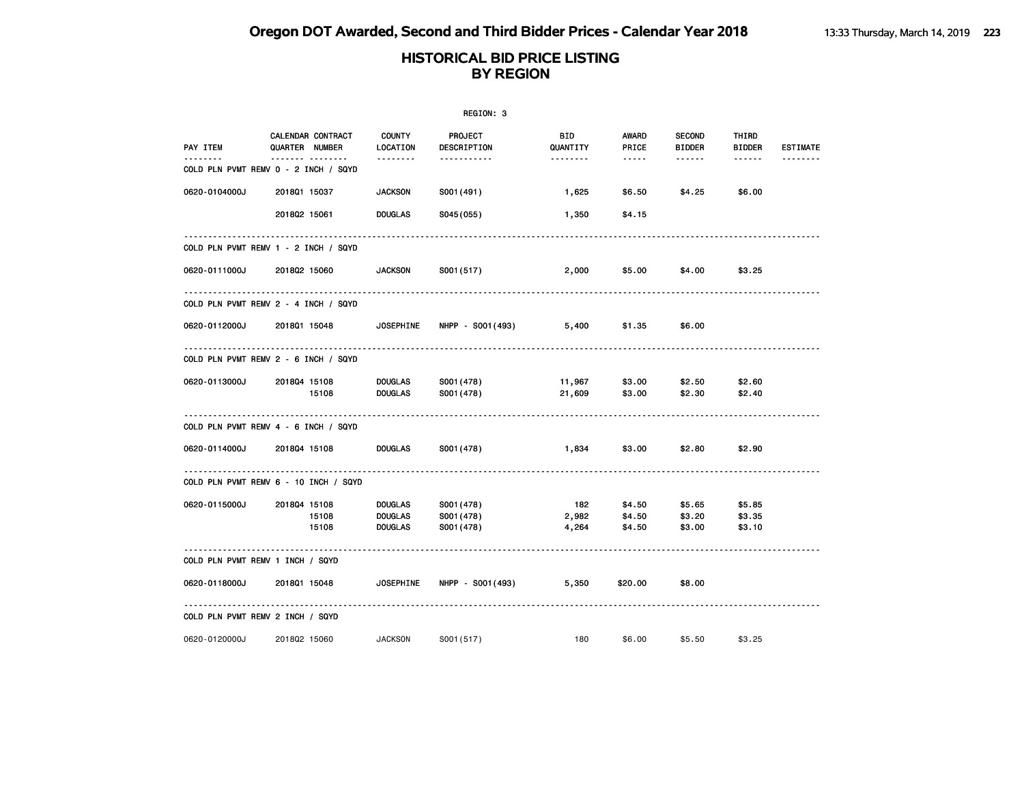|                                  |                                                          |                                                    | REGION: 3                              |                       |                                                                                                               |                                |                            |                 |
|----------------------------------|----------------------------------------------------------|----------------------------------------------------|----------------------------------------|-----------------------|---------------------------------------------------------------------------------------------------------------|--------------------------------|----------------------------|-----------------|
| PAY ITEM                         | CALENDAR CONTRACT<br>QUARTER NUMBER                      | <b>COUNTY</b><br>LOCATION                          | <b>PROJECT</b><br>DESCRIPTION          | BID<br>QUANTITY       | AWARD<br>PRICE                                                                                                | <b>SECOND</b><br><b>BIDDER</b> | THIRD<br><b>BIDDER</b>     | <b>ESTIMATE</b> |
| <u>.</u>                         | ------- --------<br>COLD PLN PVMT REMV 0 - 2 INCH / SQYD | <u> - - - - - - -</u>                              | -----------                            | --------              | $\frac{1}{2} \frac{1}{2} \frac{1}{2} \frac{1}{2} \frac{1}{2} \frac{1}{2} \frac{1}{2} \frac{1}{2} \frac{1}{2}$ | ------                         | ------                     | <u>.</u>        |
| 0620-0104000J                    | 201801 15037                                             | <b>JACKSON</b>                                     | S001 (491)                             | 1,625                 | \$6.50                                                                                                        | \$4.25                         | \$6.00                     |                 |
|                                  | 201802 15061                                             | <b>DOUGLAS</b>                                     | S045(055)                              | 1,350                 | \$4.15                                                                                                        |                                |                            |                 |
|                                  | COLD PLN PVMT REMV 1 - 2 INCH / SQYD                     |                                                    |                                        |                       |                                                                                                               |                                |                            |                 |
| 0620-0111000J                    | 201802 15060                                             | <b>JACKSON</b>                                     | S001 (517)                             | 2,000                 | \$5.00                                                                                                        | \$4.00                         | \$3.25                     |                 |
|                                  | COLD PLN PVMT REMV 2 - 4 INCH / SQYD                     |                                                    |                                        |                       |                                                                                                               |                                |                            |                 |
| 0620-0112000J                    | 201801 15048                                             | <b>JOSEPHINE</b>                                   | NHPP - S001 (493) 5,400                |                       | \$1.35                                                                                                        | \$6.00                         |                            |                 |
|                                  | COLD PLN PVMT REMV 2 - 6 INCH / SQYD                     |                                                    |                                        |                       |                                                                                                               |                                |                            |                 |
| 0620-0113000J                    | 201804 15108<br>15108                                    | <b>DOUGLAS</b><br><b>DOUGLAS</b>                   | S001 (478)<br>S001 (478)               | 11,967<br>21,609      | \$3.00<br>\$3.00                                                                                              | \$2.50<br>\$2.30               | \$2.60<br>\$2.40           |                 |
|                                  | COLD PLN PVMT REMV 4 - 6 INCH / SQYD                     |                                                    |                                        |                       |                                                                                                               |                                |                            |                 |
| 0620-0114000J                    | 201804 15108                                             | <b>DOUGLAS</b>                                     | S001 (478)                             | 1,834                 | \$3.00                                                                                                        | \$2.80                         | \$2.90                     |                 |
|                                  | COLD PLN PVMT REMV 6 - 10 INCH / SQYD                    |                                                    |                                        |                       |                                                                                                               |                                |                            |                 |
| 0620-0115000J                    | 201804 15108<br>15108<br>15108                           | <b>DOUGLAS</b><br><b>DOUGLAS</b><br><b>DOUGLAS</b> | S001 (478)<br>S001 (478)<br>S001 (478) | 182<br>2,982<br>4,264 | \$4.50<br>\$4.50<br>\$4.50                                                                                    | \$5.65<br>\$3.20<br>\$3.00     | \$5.85<br>\$3.35<br>\$3.10 |                 |
| COLD PLN PVMT REMV 1 INCH / SQYD |                                                          |                                                    |                                        |                       |                                                                                                               |                                |                            |                 |
| 0620-0118000J                    | 201801 15048                                             | <b>JOSEPHINE</b>                                   | NHPP - S001(493)                       | 5,350                 | \$20.00                                                                                                       | \$8.00                         |                            |                 |
| COLD PLN PVMT REMV 2 INCH / SQYD |                                                          |                                                    |                                        |                       |                                                                                                               |                                |                            |                 |
| 0620-0120000J                    | 201802 15060                                             | <b>JACKSON</b>                                     | S001(517)                              | 180                   | \$6.00                                                                                                        | \$5.50                         | \$3.25                     |                 |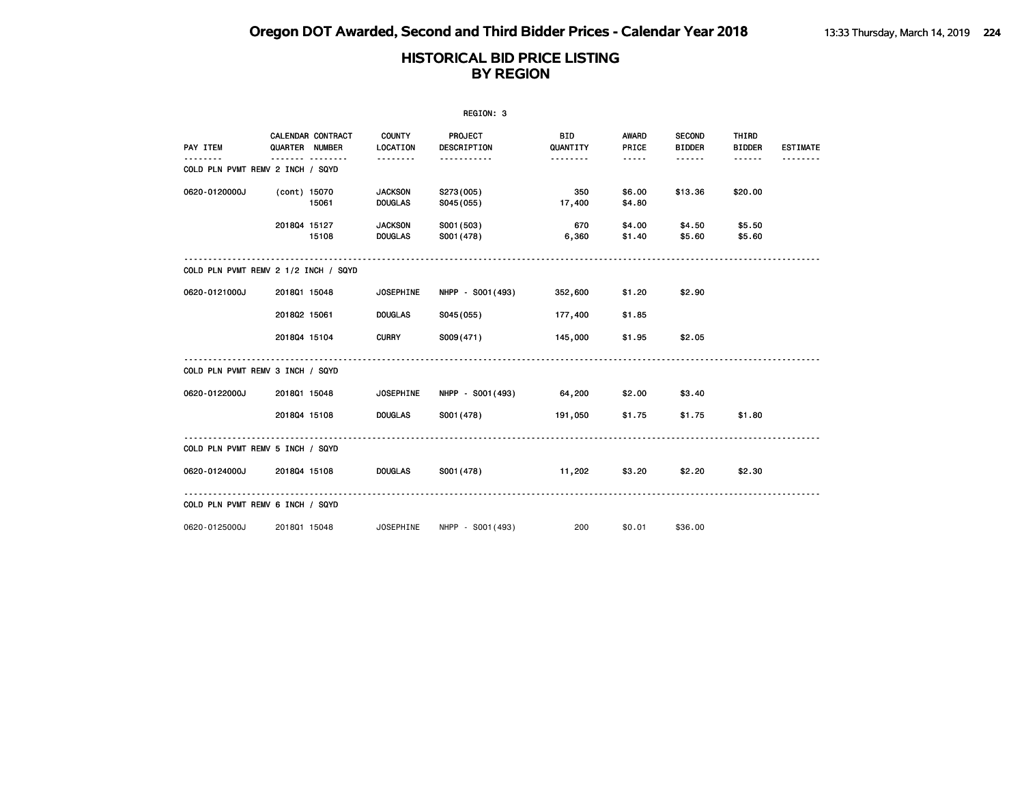|                                  |                                            |                                  | REGION: 3                |                        |                  |                                |                        |                 |
|----------------------------------|--------------------------------------------|----------------------------------|--------------------------|------------------------|------------------|--------------------------------|------------------------|-----------------|
| PAY ITEM                         | <b>CALENDAR CONTRACT</b><br>QUARTER NUMBER | <b>COUNTY</b><br>LOCATION        | PROJECT<br>DESCRIPTION   | <b>BID</b><br>QUANTITY | AWARD<br>PRICE   | <b>SECOND</b><br><b>BIDDER</b> | THIRD<br><b>BIDDER</b> | <b>ESTIMATE</b> |
| COLD PLN PVMT REMV 2 INCH / SQYD | .                                          | <u>.</u>                         | <u>.</u>                 | --------               | -----            | ------                         | ------                 |                 |
| 0620-0120000J                    | (cont) 15070<br>15061                      | <b>JACKSON</b><br><b>DOUGLAS</b> | S273(005)<br>S045(055)   | 350<br>17,400          | \$6.00<br>\$4.80 | \$13.36                        | \$20.00                |                 |
|                                  | 201804 15127<br>15108                      | <b>JACKSON</b><br><b>DOUGLAS</b> | S001 (503)<br>S001 (478) | 670<br>6,360           | \$4.00<br>\$1.40 | \$4.50<br>\$5.60               | \$5.50<br>\$5.60       |                 |
|                                  | COLD PLN PVMT REMV 2 1/2 INCH / SQYD       |                                  |                          |                        |                  |                                |                        |                 |
| 0620-0121000J                    | 201801 15048                               | <b>JOSEPHINE</b>                 | NHPP - SOO1(493)         | 352,600                | \$1.20           | \$2.90                         |                        |                 |
|                                  | 201802 15061                               | <b>DOUGLAS</b>                   | S045(055)                | 177,400                | \$1.85           |                                |                        |                 |
|                                  | 201804 15104                               | <b>CURRY</b>                     | S009(471)                | 145,000                | \$1.95           | \$2.05                         |                        |                 |
| COLD PLN PVMT REMV 3 INCH / SQYD |                                            |                                  |                          |                        |                  |                                |                        |                 |
| 0620-0122000J                    | 201801 15048                               | <b>JOSEPHINE</b>                 | NHPP - S001 (493) 64,200 |                        | \$2.00           | \$3.40                         |                        |                 |
|                                  | 201804 15108                               | <b>DOUGLAS</b>                   | S001 (478) 191,050       |                        | \$1.75           | \$1.75                         | \$1.80                 |                 |
| COLD PLN PVMT REMV 5 INCH / SQYD |                                            |                                  |                          |                        |                  |                                |                        |                 |
| 0620-0124000J 2018Q4 15108       |                                            | <b>DOUGLAS</b>                   | S001 (478)               | 11,202                 | \$3.20           | \$2.20                         | \$2.30                 |                 |
| COLD PLN PVMT REMV 6 INCH / SQYD |                                            |                                  |                          |                        |                  |                                |                        |                 |
| 0620-0125000J                    | 201801 15048                               | JOSEPHINE                        | NHPP - S001 (493)        | 200                    | \$0.01           | \$36.00                        |                        |                 |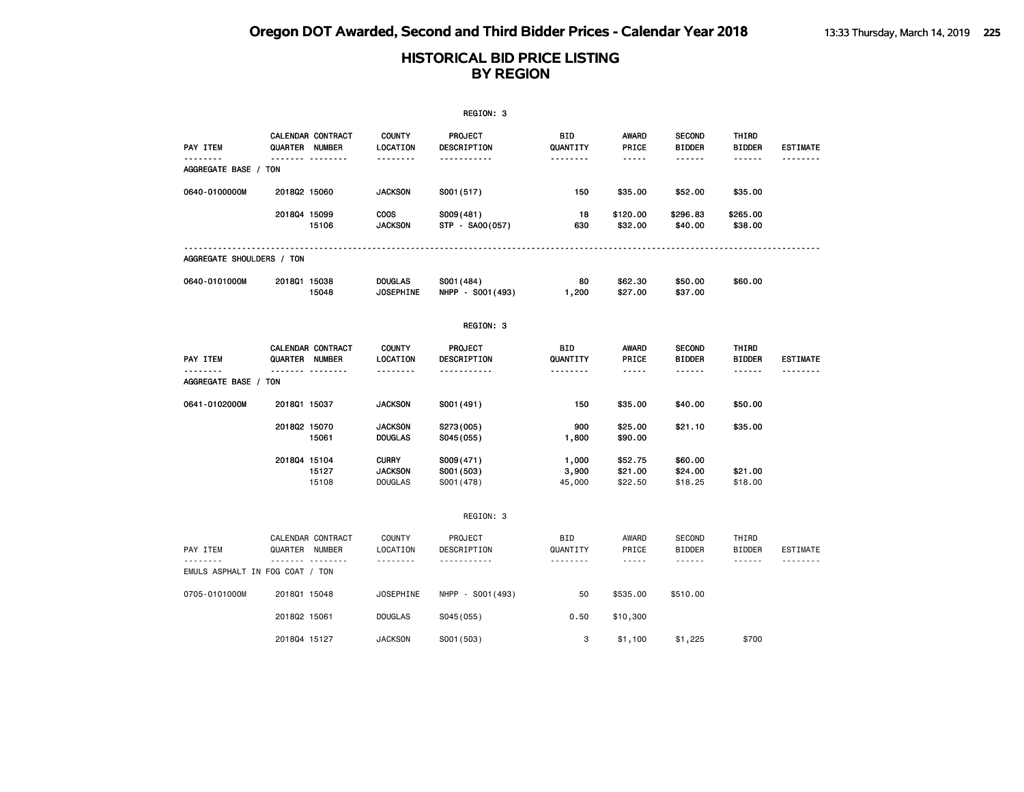|                                  |                |                               |                                                  | REGION: 3                             |                          |                               |                                          |                                  |                             |
|----------------------------------|----------------|-------------------------------|--------------------------------------------------|---------------------------------------|--------------------------|-------------------------------|------------------------------------------|----------------------------------|-----------------------------|
| PAY ITEM                         | QUARTER NUMBER | CALENDAR CONTRACT             | <b>COUNTY</b><br>LOCATION                        | <b>PROJECT</b><br>DESCRIPTION         | BID<br>QUANTITY          | <b>AWARD</b><br>PRICE         | <b>SECOND</b><br><b>BIDDER</b>           | THIRD<br><b>BIDDER</b>           | <b>ESTIMATE</b>             |
| --------<br>AGGREGATE BASE / TON |                | ------- --------              | <u>.</u>                                         | <u>.</u>                              | --------                 | -----                         | ------                                   | ------                           |                             |
| 0640-0100000M                    | 201802 15060   |                               | <b>JACKSON</b>                                   | S001 (517)                            | 150                      | \$35.00                       | \$52.00                                  | \$35.00                          |                             |
|                                  | 201804 15099   | 15106                         | <b>COOS</b><br><b>JACKSON</b>                    | S009(481)<br>STP - SA00(057)          | 18<br>630                | \$120.00<br>\$32.00           | \$296.83<br>\$40.00                      | \$265.00<br>\$38.00              |                             |
| AGGREGATE SHOULDERS / TON        |                |                               |                                                  |                                       |                          |                               |                                          |                                  |                             |
| 0640-0101000M                    | 201801 15038   | 15048                         | <b>DOUGLAS</b><br><b>JOSEPHINE</b>               | S001 (484)<br>NHPP - S001 (493)       | 80<br>1,200              | \$62.30<br>\$27.00            | \$50.00<br>\$37.00                       | \$60.00                          |                             |
|                                  |                |                               |                                                  | REGION: 3                             |                          |                               |                                          |                                  |                             |
| PAY ITEM                         | QUARTER NUMBER | CALENDAR CONTRACT             | <b>COUNTY</b><br>LOCATION                        | PROJECT<br>DESCRIPTION                | BID<br>QUANTITY          | <b>AWARD</b><br>PRICE         | <b>SECOND</b><br><b>BIDDER</b>           | THIRD<br><b>BIDDER</b>           | <b>ESTIMATE</b>             |
| AGGREGATE BASE / TON             |                | . <sub>.</sub>                | .                                                | -----------                           | <u>.</u>                 | $\cdots \cdots \cdots$        | <u>.</u>                                 | ------                           |                             |
| 0641-0102000M                    | 201801 15037   |                               | <b>JACKSON</b>                                   | S001 (491)                            | 150                      | \$35.00                       | \$40.00                                  | \$50.00                          |                             |
|                                  | 201802 15070   | 15061                         | <b>JACKSON</b><br><b>DOUGLAS</b>                 | S273(005)<br>S045 (055)               | 900<br>1,800             | \$25.00<br>\$90.00            | \$21.10                                  | \$35.00                          |                             |
|                                  | 201804 15104   | 15127<br>15108                | <b>CURRY</b><br><b>JACKSON</b><br><b>DOUGLAS</b> | S009(471)<br>S001 (503)<br>S001 (478) | 1,000<br>3,900<br>45,000 | \$52.75<br>\$21.00<br>\$22.50 | \$60.00<br>\$24.00<br>\$18.25            | \$21.00<br>\$18.00               |                             |
|                                  |                |                               |                                                  | REGION: 3                             |                          |                               |                                          |                                  |                             |
| PAY ITEM                         | QUARTER NUMBER | CALENDAR CONTRACT<br><u>.</u> | <b>COUNTY</b><br>LOCATION<br>.                   | PROJECT<br>DESCRIPTION<br>----------- | BID<br>QUANTITY<br>.     | AWARD<br>PRICE<br>$- - - - -$ | <b>SECOND</b><br><b>BIDDER</b><br>------ | THIRD<br><b>BIDDER</b><br>------ | <b>ESTIMATE</b><br>-------- |
| EMULS ASPHALT IN FOG COAT / TON  |                |                               |                                                  |                                       |                          |                               |                                          |                                  |                             |
| 0705-0101000M                    | 201801 15048   |                               | <b>JOSEPHINE</b>                                 | NHPP - S001 (493)                     | 50                       | \$535.00                      | \$510.00                                 |                                  |                             |
|                                  | 201802 15061   |                               | <b>DOUGLAS</b>                                   | S045 (055)                            | 0.50                     | \$10,300                      |                                          |                                  |                             |
|                                  | 201804 15127   |                               | <b>JACKSON</b>                                   | S001 (503)                            | 3                        | \$1,100                       | \$1,225                                  | \$700                            |                             |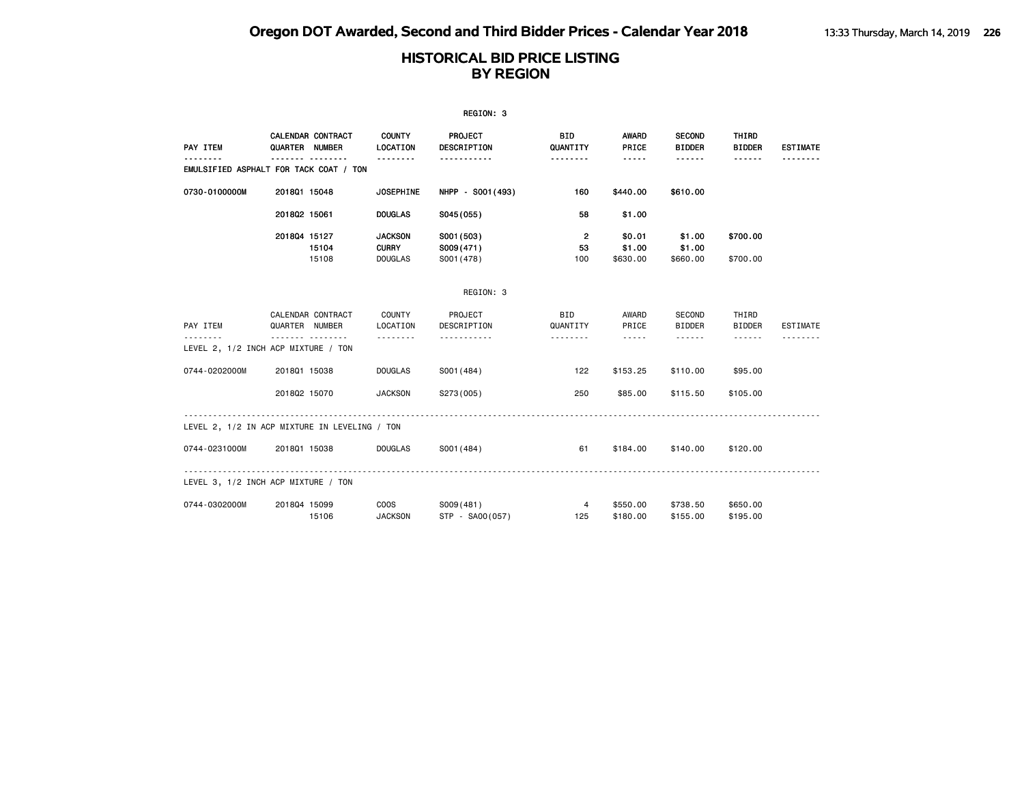|                                               |                |                             |                                                  | REGION: 3                             |                             |                                                                                                                                                      |                                |                        |                 |
|-----------------------------------------------|----------------|-----------------------------|--------------------------------------------------|---------------------------------------|-----------------------------|------------------------------------------------------------------------------------------------------------------------------------------------------|--------------------------------|------------------------|-----------------|
| PAY ITEM<br>.                                 | QUARTER NUMBER | CALENDAR CONTRACT<br>------ | <b>COUNTY</b><br>LOCATION                        | <b>PROJECT</b><br>DESCRIPTION         | <b>BID</b><br>QUANTITY      | <b>AWARD</b><br>PRICE                                                                                                                                | <b>SECOND</b><br><b>BIDDER</b> | THIRD<br><b>BIDDER</b> | <b>ESTIMATE</b> |
| EMULSIFIED ASPHALT FOR TACK COAT / TON        | $- - -$        |                             | <u>.</u>                                         | <u>.</u>                              | <u>.</u>                    | $\frac{1}{2}$                                                                                                                                        |                                |                        |                 |
| 0730-0100000M                                 | 201801 15048   |                             | <b>JOSEPHINE</b>                                 | NHPP - S001 (493)                     | 160                         | \$440.00                                                                                                                                             | \$610.00                       |                        |                 |
|                                               | 201802 15061   |                             | <b>DOUGLAS</b>                                   | S045(055)                             | 58                          | \$1.00                                                                                                                                               |                                |                        |                 |
|                                               | 201804 15127   | 15104<br>15108              | <b>JACKSON</b><br><b>CURRY</b><br><b>DOUGLAS</b> | S001 (503)<br>S009(471)<br>S001 (478) | $\overline{2}$<br>53<br>100 | \$0.01<br>\$1.00<br>\$630.00                                                                                                                         | \$1.00<br>\$1.00<br>\$660.00   | \$700.00<br>\$700.00   |                 |
|                                               |                |                             |                                                  | REGION: 3                             |                             |                                                                                                                                                      |                                |                        |                 |
| PAY ITEM                                      | QUARTER NUMBER | CALENDAR CONTRACT           | COUNTY<br>LOCATION                               | PROJECT<br>DESCRIPTION                | <b>BID</b><br>QUANTITY      | AWARD<br>PRICE                                                                                                                                       | SECOND<br><b>BIDDER</b>        | THIRD<br><b>BIDDER</b> | <b>ESTIMATE</b> |
| LEVEL 2, 1/2 INCH ACP MIXTURE / TON           |                | <u>.</u>                    |                                                  | <u>.</u>                              | .                           | $\frac{1}{2} \left( \frac{1}{2} \right) \left( \frac{1}{2} \right) \left( \frac{1}{2} \right) \left( \frac{1}{2} \right) \left( \frac{1}{2} \right)$ | $- - - - - - -$                | $- - - - - -$          |                 |
| 0744-0202000M                                 | 201801 15038   |                             | <b>DOUGLAS</b>                                   | S001 (484)                            | 122                         | \$153.25                                                                                                                                             | \$110.00                       | \$95,00                |                 |
|                                               | 201802 15070   |                             | <b>JACKSON</b>                                   | S273(005)                             | 250                         | \$85.00                                                                                                                                              | \$115.50                       | \$105.00               |                 |
| LEVEL 2, 1/2 IN ACP MIXTURE IN LEVELING / TON |                |                             |                                                  |                                       |                             |                                                                                                                                                      |                                |                        |                 |
| 0744-0231000M                                 | 201801 15038   |                             | <b>DOUGLAS</b>                                   | S001 (484)                            | 61                          | \$184.00                                                                                                                                             | \$140.00                       | \$120.00               |                 |
| LEVEL 3, 1/2 INCH ACP MIXTURE / TON           |                |                             |                                                  |                                       |                             |                                                                                                                                                      |                                |                        |                 |
| 0744-0302000M                                 | 201804 15099   | 15106                       | COOS<br><b>JACKSON</b>                           | S009(481)<br>STP - SA00(057)          | 4<br>125                    | \$550.00<br>\$180.00                                                                                                                                 | \$738.50<br>\$155.00           | \$650.00<br>\$195.00   |                 |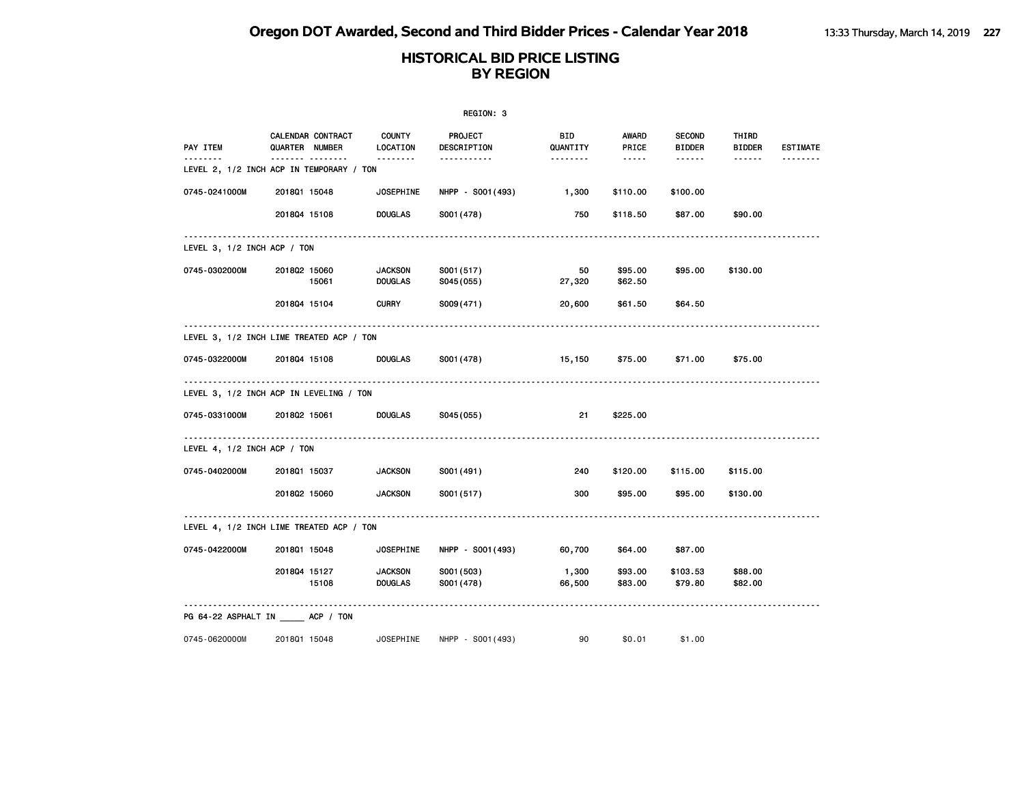|                             |                                               |                                  | REGION: 3                |                 |                    |                                |                        |                 |
|-----------------------------|-----------------------------------------------|----------------------------------|--------------------------|-----------------|--------------------|--------------------------------|------------------------|-----------------|
| PAY ITEM                    | CALENDAR CONTRACT<br><b>QUARTER NUMBER</b>    | COUNTY<br>LOCATION               | PROJECT<br>DESCRIPTION   | BID<br>QUANTITY | AWARD<br>PRICE     | <b>SECOND</b><br><b>BIDDER</b> | THIRD<br><b>BIDDER</b> | <b>ESTIMATE</b> |
| <u>.</u>                    | .<br>LEVEL 2, 1/2 INCH ACP IN TEMPORARY / TON | <u> - - - - - - -</u>            | -----------              | .               | $\cdots \cdots$    | $- - - - - -$                  | ------                 | <u>.</u>        |
| 0745-0241000M               | 201801 15048                                  | <b>JOSEPHINE</b>                 | NHPP - S001 (493)        | 1,300           | \$110.00           | \$100.00                       |                        |                 |
|                             | 201804 15108                                  | <b>DOUGLAS</b>                   | S001 (478)               | 750             | \$118.50           | \$87.00                        | \$90.00                |                 |
| LEVEL 3, 1/2 INCH ACP / TON |                                               |                                  |                          |                 |                    |                                |                        |                 |
| 0745-0302000M               | 201802 15060<br>15061                         | <b>JACKSON</b><br><b>DOUGLAS</b> | S001 (517)<br>S045(055)  | 50<br>27,320    | \$95.00<br>\$62.50 | \$95.00                        | \$130.00               |                 |
|                             | 201804 15104                                  | <b>CURRY</b>                     | S009(471)                | 20,600          | \$61.50            | \$64.50                        |                        |                 |
|                             | LEVEL 3, 1/2 INCH LIME TREATED ACP / TON      |                                  |                          |                 |                    |                                |                        |                 |
| 0745-0322000M               | 201804 15108                                  | <b>DOUGLAS</b>                   | S001 (478)               | 15,150          | \$75.00            | \$71.00                        | \$75.00                |                 |
|                             | LEVEL 3, 1/2 INCH ACP IN LEVELING / TON       |                                  |                          |                 |                    |                                |                        |                 |
| 0745-0331000M               | 201802 15061                                  | DOUGLAS                          | S045(055)                | 21              | \$225.00           |                                |                        |                 |
| LEVEL 4, 1/2 INCH ACP / TON |                                               |                                  |                          |                 |                    |                                |                        |                 |
| 0745-0402000M               | 201801 15037                                  | <b>JACKSON</b>                   | S001 (491)               | 240             | \$120.00           | \$115.00                       | \$115.00               |                 |
|                             | 201802 15060                                  | <b>JACKSON</b>                   | S001 (517)               | 300             | \$95.00            | \$95.00                        | \$130.00               |                 |
|                             | LEVEL 4, 1/2 INCH LIME TREATED ACP / TON      |                                  |                          |                 |                    |                                |                        |                 |
| 0745-0422000M               | 201801 15048                                  | <b>JOSEPHINE</b>                 | NHPP - S001 (493)        | 60,700          | \$64.00            | \$87.00                        |                        |                 |
|                             | 201804 15127<br>15108                         | <b>JACKSON</b><br><b>DOUGLAS</b> | S001 (503)<br>S001 (478) | 1,300<br>66,500 | \$93.00<br>\$83.00 | \$103.53<br>\$79.80            | \$88.00<br>\$82.00     |                 |
|                             | PG 64-22 ASPHALT IN ACP / TON                 |                                  |                          |                 |                    |                                |                        |                 |
| 0745-0620000M               | 201801 15048                                  | JOSEPHINE                        | NHPP - S001 (493)        | 90              | \$0.01             | \$1.00                         |                        |                 |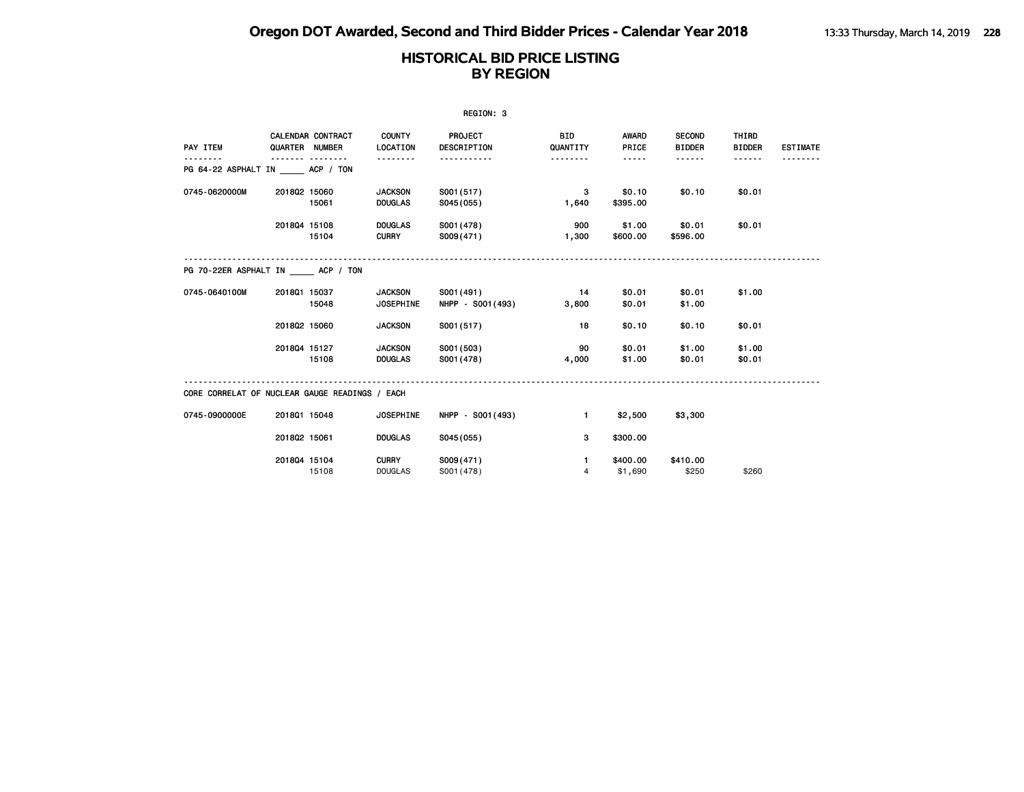|               |                                                |                                    | REGION: 3                          |                                |                                                                                                               |                                |                        |                 |
|---------------|------------------------------------------------|------------------------------------|------------------------------------|--------------------------------|---------------------------------------------------------------------------------------------------------------|--------------------------------|------------------------|-----------------|
| PAY ITEM      | CALENDAR CONTRACT<br>QUARTER NUMBER            | COUNTY<br>LOCATION<br><u>.</u>     | <b>PROJECT</b><br>DESCRIPTION<br>. | <b>BID</b><br>QUANTITY         | AWARD<br>PRICE                                                                                                | <b>SECOND</b><br><b>BIDDER</b> | THIRD<br><b>BIDDER</b> | <b>ESTIMATE</b> |
|               | PG 64-22 ASPHALT IN ACP / TON                  |                                    |                                    | <u>.</u>                       | $\frac{1}{2} \frac{1}{2} \frac{1}{2} \frac{1}{2} \frac{1}{2} \frac{1}{2} \frac{1}{2} \frac{1}{2} \frac{1}{2}$ | ------                         | ------                 |                 |
| 0745-0620000M | 201802 15060<br>15061                          | <b>JACKSON</b><br><b>DOUGLAS</b>   | S001 (517)<br>S045(055)            | $\mathbf{3}$<br>1,640          | \$0.10<br>\$395.00                                                                                            | \$0.10                         | \$0.01                 |                 |
|               | 201804 15108<br>15104                          | <b>DOUGLAS</b><br><b>CURRY</b>     | S001 (478)<br>S009(471)            | 900<br>1,300                   | \$1.00<br>\$600.00                                                                                            | \$0.01<br>\$596.00             | \$0.01                 |                 |
|               | PG 70-22ER ASPHALT IN ACP / TON                |                                    |                                    |                                |                                                                                                               |                                |                        |                 |
| 0745-0640100M | 201801 15037<br>15048                          | <b>JACKSON</b><br><b>JOSEPHINE</b> | S001 (491)<br>NHPP - S001 (493)    | 14<br>3,800                    | \$0.01<br>\$0.01                                                                                              | \$0.01<br>\$1.00               | \$1.00                 |                 |
|               | 201802 15060                                   | <b>JACKSON</b>                     | S001(517)                          | 18                             | \$0.10                                                                                                        | \$0.10                         | \$0.01                 |                 |
|               | 201804 15127<br>15108                          | <b>JACKSON</b><br><b>DOUGLAS</b>   | S001 (503)<br>S001 (478)           | 90<br>4,000                    | \$0.01<br>\$1.00                                                                                              | \$1.00<br>\$0.01               | \$1.00<br>\$0.01       |                 |
|               | CORE CORRELAT OF NUCLEAR GAUGE READINGS / EACH |                                    |                                    |                                |                                                                                                               |                                |                        |                 |
| 0745-0900000E | 201801 15048                                   | <b>JOSEPHINE</b>                   | NHPP - S001 (493)                  | $\blacksquare$                 | \$2,500                                                                                                       | \$3,300                        |                        |                 |
|               | 201802 15061                                   | <b>DOUGLAS</b>                     | S045(055)                          | 3                              | \$300.00                                                                                                      |                                |                        |                 |
|               | 201804 15104<br>15108                          | <b>CURRY</b><br><b>DOUGLAS</b>     | S009(471)<br>S001 (478)            | $\mathbf{1}$<br>$\overline{4}$ | \$400.00<br>\$1,690                                                                                           | \$410.00<br>\$250              | \$260                  |                 |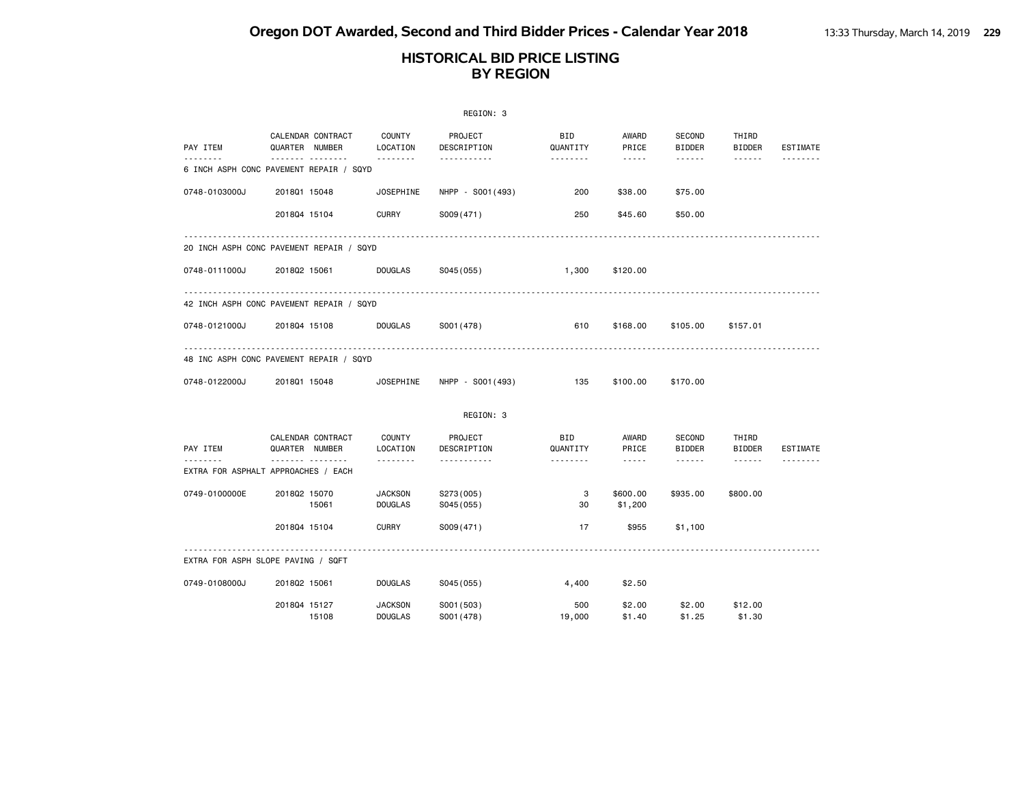|                                                     |                                     |                                  | REGION: 3                |                 |                     |                         |                        |          |
|-----------------------------------------------------|-------------------------------------|----------------------------------|--------------------------|-----------------|---------------------|-------------------------|------------------------|----------|
| PAY ITEM                                            | CALENDAR CONTRACT<br>QUARTER NUMBER | COUNTY<br>LOCATION               | PROJECT<br>DESCRIPTION   | BID<br>QUANTITY | AWARD<br>PRICE      | SECOND<br><b>BIDDER</b> | THIRD<br><b>BIDDER</b> | ESTIMATE |
| <u>.</u><br>6 INCH ASPH CONC PAVEMENT REPAIR / SQYD | .                                   |                                  | <u>.</u>                 |                 | $\frac{1}{2}$       | <b>.</b>                | $- - - - - -$          | .        |
| 0748-0103000J                                       | 201801 15048                        | <b>JOSEPHINE</b>                 | NHPP - S001 (493)        | 200             | \$38,00             | \$75,00                 |                        |          |
|                                                     | 201804 15104                        | <b>CURRY</b>                     | S009(471)                | 250             | \$45.60             | \$50.00                 |                        |          |
| 20 INCH ASPH CONC PAVEMENT REPAIR / SQYD            | .                                   |                                  |                          |                 |                     |                         |                        |          |
| 0748-0111000J                                       | 201802 15061                        | <b>DOUGLAS</b>                   | S045 (055)               | 1,300           | \$120.00            |                         |                        |          |
| 42 INCH ASPH CONC PAVEMENT REPAIR / SQYD            |                                     |                                  |                          |                 |                     |                         |                        |          |
| 0748-0121000J                                       | 201804 15108                        | DOUGLAS                          | S001 (478)               | 610             | \$168.00            | \$105.00                | \$157.01               |          |
| 48 INC ASPH CONC PAVEMENT REPAIR / SQYD             |                                     |                                  |                          |                 |                     |                         |                        |          |
| 0748-0122000J                                       | 201801 15048                        | JOSEPHINE                        | NHPP - S001 (493)        | 135             | \$100.00            | \$170.00                |                        |          |
|                                                     |                                     |                                  | REGION: 3                |                 |                     |                         |                        |          |
| PAY ITEM                                            | CALENDAR CONTRACT<br>QUARTER NUMBER | COUNTY<br>LOCATION               | PROJECT<br>DESCRIPTION   | BID<br>QUANTITY | AWARD<br>PRICE      | SECOND<br><b>BIDDER</b> | THIRD<br><b>BIDDER</b> | ESTIMATE |
| EXTRA FOR ASPHALT APPROACHES / EACH                 | .                                   | .                                | .                        | .               | $\frac{1}{2}$       |                         |                        |          |
| 0749-0100000E                                       | 201802 15070<br>15061               | <b>JACKSON</b><br><b>DOUGLAS</b> | S273(005)<br>S045 (055)  | 3<br>30         | \$600.00<br>\$1,200 | \$935,00                | \$800,00               |          |
|                                                     | 201804 15104                        | <b>CURRY</b>                     | S009(471)                | 17              | \$955               | \$1,100                 |                        |          |
| EXTRA FOR ASPH SLOPE PAVING / SQFT                  |                                     |                                  |                          |                 |                     |                         |                        |          |
| 0749-0108000J                                       | 201802 15061                        | <b>DOUGLAS</b>                   | S045 (055)               | 4,400           | \$2.50              |                         |                        |          |
|                                                     | 201804 15127<br>15108               | <b>JACKSON</b><br><b>DOUGLAS</b> | S001 (503)<br>S001 (478) | 500<br>19,000   | \$2.00<br>\$1.40    | \$2.00<br>\$1.25        | \$12.00<br>\$1.30      |          |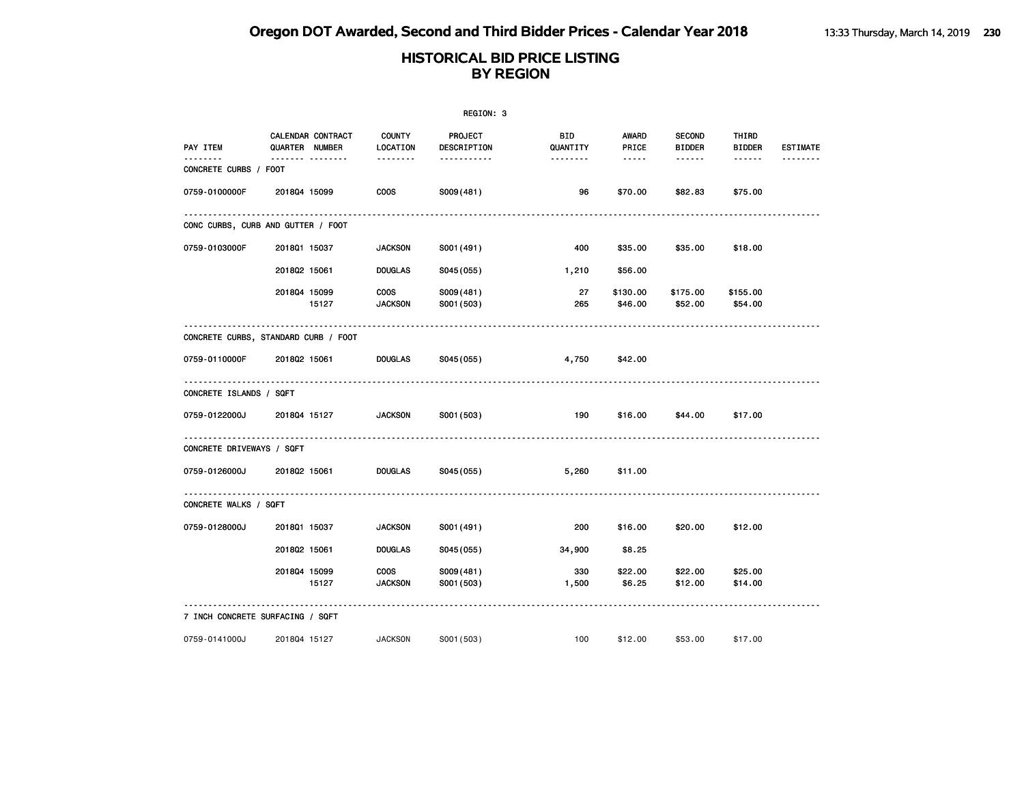|                                      | REGION: 3    |                                     |                               |                         |                 |                       |                                |                        |                 |  |  |
|--------------------------------------|--------------|-------------------------------------|-------------------------------|-------------------------|-----------------|-----------------------|--------------------------------|------------------------|-----------------|--|--|
| PAY ITEM                             |              | CALENDAR CONTRACT<br>QUARTER NUMBER | <b>COUNTY</b><br>LOCATION     | PROJECT<br>DESCRIPTION  | BID<br>QUANTITY | <b>AWARD</b><br>PRICE | <b>SECOND</b><br><b>BIDDER</b> | THIRD<br><b>BIDDER</b> | <b>ESTIMATE</b> |  |  |
| --------<br>CONCRETE CURBS / FOOT    |              | <u>------- --------</u>             | --------                      | -----------             | --------        | $- - - - -$           | ------                         | $\cdots\cdots\cdots$   | .               |  |  |
| 0759-0100000F                        | 201804 15099 |                                     | <b>COOS</b>                   | S009(481)               | 96              | \$70.00               | \$82.83                        | \$75.00                |                 |  |  |
| CONC CURBS, CURB AND GUTTER / FOOT   |              |                                     |                               |                         |                 |                       |                                |                        |                 |  |  |
| 0759-0103000F                        | 201801 15037 |                                     | <b>JACKSON</b>                | S001 (491)              | 400             | \$35.00               | \$35.00                        | \$18.00                |                 |  |  |
|                                      | 201802 15061 |                                     | <b>DOUGLAS</b>                | S045(055)               | 1,210           | \$56.00               |                                |                        |                 |  |  |
|                                      | 201804 15099 | 15127                               | <b>COOS</b><br><b>JACKSON</b> | S009(481)<br>S001 (503) | 27<br>265       | \$130.00<br>\$46.00   | \$175.00<br>\$52.00            | \$155.00<br>\$54.00    |                 |  |  |
| CONCRETE CURBS, STANDARD CURB / FOOT |              |                                     |                               |                         |                 |                       |                                |                        |                 |  |  |
| 0759-0110000F                        | 201802 15061 |                                     | <b>DOUGLAS</b>                | S045 (055)              | 4,750           | \$42.00               |                                |                        |                 |  |  |
| CONCRETE ISLANDS / SQFT              |              |                                     |                               |                         |                 |                       |                                |                        |                 |  |  |
| 0759-0122000J                        | 201804 15127 |                                     | <b>JACKSON</b>                | S001 (503)              | 190             | \$16.00               | \$44.00                        | \$17.00                |                 |  |  |
| CONCRETE DRIVEWAYS / SQFT            |              |                                     |                               |                         |                 |                       |                                |                        |                 |  |  |
| 0759-0126000J                        | 201802 15061 |                                     | <b>DOUGLAS</b>                | S045 (055)              | 5,260           | \$11.00               |                                |                        |                 |  |  |
| CONCRETE WALKS / SQFT                |              |                                     |                               |                         |                 |                       |                                |                        |                 |  |  |
| 0759-0128000J                        | 201801 15037 |                                     | <b>JACKSON</b>                | S001 (491)              | 200             | \$16.00               | \$20.00                        | \$12.00                |                 |  |  |
|                                      | 201802 15061 |                                     | <b>DOUGLAS</b>                | S045(055)               | 34,900          | \$8.25                |                                |                        |                 |  |  |
|                                      | 201804 15099 | 15127                               | <b>COOS</b><br><b>JACKSON</b> | S009(481)<br>S001 (503) | 330<br>1,500    | \$22.00<br>\$6.25     | \$22.00<br>\$12.00             | \$25.00<br>\$14.00     |                 |  |  |
| 7 INCH CONCRETE SURFACING / SQFT     |              |                                     |                               |                         |                 |                       |                                |                        |                 |  |  |
| 0759-0141000J                        | 201804 15127 |                                     | <b>JACKSON</b>                | S001 (503)              | 100             | \$12.00               | \$53.00                        | \$17.00                |                 |  |  |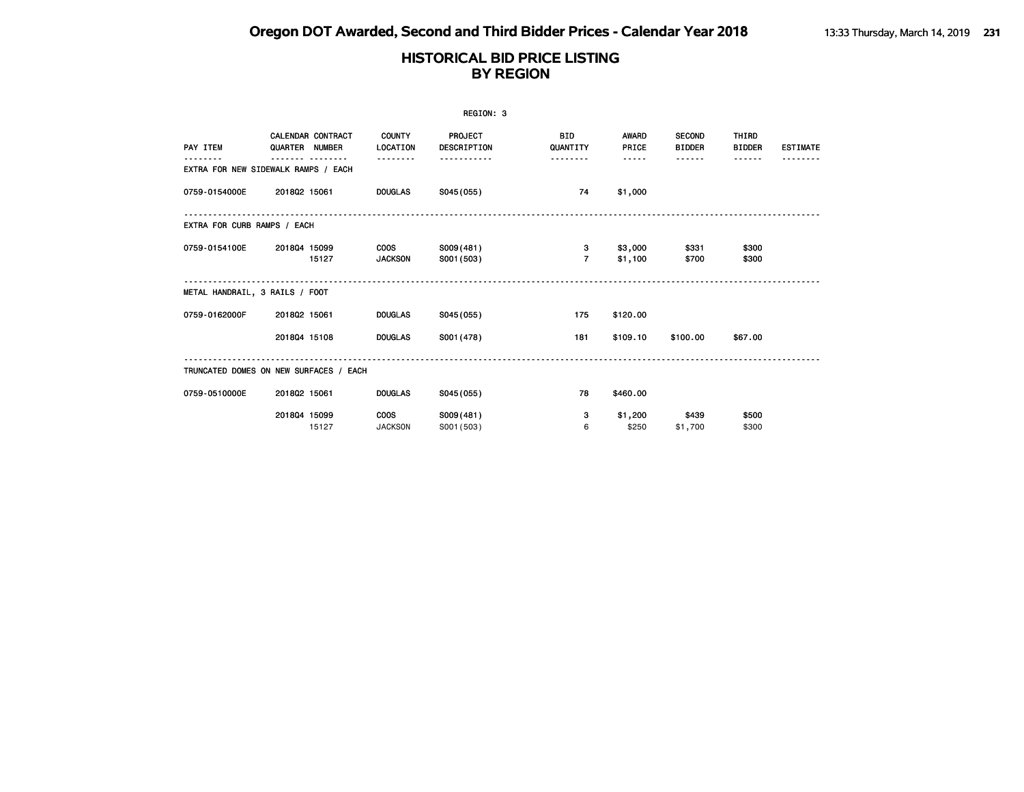| REGION: 3                              |                |                          |                               |                         |                               |                       |                                |                        |                 |  |
|----------------------------------------|----------------|--------------------------|-------------------------------|-------------------------|-------------------------------|-----------------------|--------------------------------|------------------------|-----------------|--|
| PAY ITEM                               | QUARTER NUMBER | <b>CALENDAR CONTRACT</b> | <b>COUNTY</b><br>LOCATION     | PROJECT<br>DESCRIPTION  | <b>BID</b><br>QUANTITY        | <b>AWARD</b><br>PRICE | <b>SECOND</b><br><b>BIDDER</b> | THIRD<br><b>BIDDER</b> | <b>ESTIMATE</b> |  |
| EXTRA FOR NEW SIDEWALK RAMPS / EACH    |                |                          |                               |                         | .                             | -----                 | .                              | ------                 |                 |  |
| 0759-0154000E                          | 201802 15061   |                          | <b>DOUGLAS</b>                | S045 (055)              | 74                            | \$1,000               |                                |                        |                 |  |
| EXTRA FOR CURB RAMPS / EACH            |                |                          |                               |                         |                               |                       |                                |                        |                 |  |
| 0759-0154100E                          | 201804 15099   | 15127                    | <b>COOS</b><br><b>JACKSON</b> | SO09(481)<br>S001 (503) | $3^{\circ}$<br>$\overline{7}$ | \$3,000<br>\$1,100    | \$331<br>\$700                 | \$300<br>\$300         |                 |  |
| METAL HANDRAIL, 3 RAILS / FOOT         |                |                          |                               |                         |                               |                       |                                |                        |                 |  |
| 0759-0162000F                          | 201802 15061   |                          | <b>DOUGLAS</b>                | S045(055)               | 175                           | \$120.00              |                                |                        |                 |  |
|                                        | 201804 15108   |                          | <b>DOUGLAS</b>                | S001 (478)              | 181                           | \$109.10              | \$100.00                       | \$67.00                |                 |  |
| TRUNCATED DOMES ON NEW SURFACES / EACH |                |                          |                               |                         |                               |                       |                                |                        |                 |  |
| 0759-0510000E                          | 201802 15061   |                          | <b>DOUGLAS</b>                | S045(055)               | 78                            | \$460.00              |                                |                        |                 |  |
|                                        | 201804 15099   | 15127                    | <b>COOS</b><br><b>JACKSON</b> | S009(481)<br>S001 (503) | 3<br>6                        | \$1,200<br>\$250      | \$439<br>\$1,700               | \$500<br>\$300         |                 |  |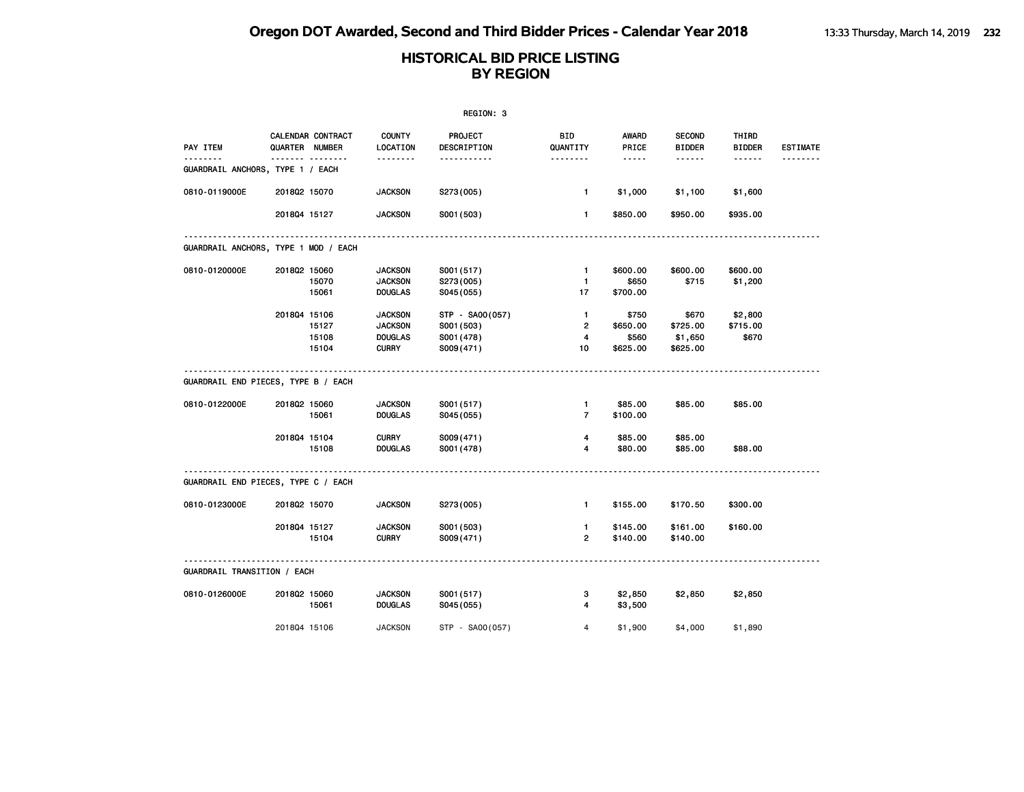|                                              |              |                                     |                                                                    | REGION: 3                                                |                                                               |                                        |                                          |                              |                 |
|----------------------------------------------|--------------|-------------------------------------|--------------------------------------------------------------------|----------------------------------------------------------|---------------------------------------------------------------|----------------------------------------|------------------------------------------|------------------------------|-----------------|
| PAY ITEM                                     |              | CALENDAR CONTRACT<br>QUARTER NUMBER | <b>COUNTY</b><br>LOCATION                                          | PROJECT<br>DESCRIPTION                                   | BID<br>QUANTITY                                               | <b>AWARD</b><br>PRICE                  | <b>SECOND</b><br><b>BIDDER</b>           | THIRD<br><b>BIDDER</b>       | <b>ESTIMATE</b> |
| <u>.</u><br>GUARDRAIL ANCHORS, TYPE 1 / EACH | $- - - -$    | <u> </u>                            | <u>.</u>                                                           | -----------                                              | <u>.</u>                                                      | -----                                  | ------                                   | ------                       | --------        |
| 0810-0119000E                                | 2018Q2 15070 |                                     | <b>JACKSON</b>                                                     | S273(005)                                                | $\mathbf{1}$                                                  | \$1,000                                | \$1,100                                  | \$1,600                      |                 |
|                                              | 2018Q4 15127 |                                     | <b>JACKSON</b>                                                     | S001 (503)                                               | $\mathbf{1}$                                                  | \$850.00                               | \$950.00                                 | \$935.00                     |                 |
| GUARDRAIL ANCHORS, TYPE 1 MOD / EACH         |              |                                     |                                                                    |                                                          |                                                               |                                        |                                          |                              |                 |
| 0810-0120000E                                | 2018Q2 15060 | 15070<br>15061                      | <b>JACKSON</b><br><b>JACKSON</b><br><b>DOUGLAS</b>                 | S001 (517)<br>S273(005)<br>S045 (055)                    | $\mathbf{1}$<br>$\mathbf{1}$<br>17                            | \$600.00<br>\$650<br>\$700.00          | \$600.00<br>\$715                        | \$600.00<br>\$1,200          |                 |
|                                              | 201804 15106 | 15127<br>15108<br>15104             | <b>JACKSON</b><br><b>JACKSON</b><br><b>DOUGLAS</b><br><b>CURRY</b> | STP - SA00(057)<br>S001 (503)<br>S001 (478)<br>S009(471) | $\mathbf{1}$<br>$\mathbf{2}$<br>$\overline{\mathbf{4}}$<br>10 | \$750<br>\$650.00<br>\$560<br>\$625.00 | \$670<br>\$725.00<br>\$1,650<br>\$625.00 | \$2,800<br>\$715.00<br>\$670 |                 |
| GUARDRAIL END PIECES, TYPE B / EACH          |              |                                     |                                                                    |                                                          |                                                               |                                        |                                          |                              |                 |
| 0810-0122000E                                | 2018Q2 15060 | 15061                               | <b>JACKSON</b><br><b>DOUGLAS</b>                                   | S001 (517)<br>S045 (055)                                 | $\mathbf{1}$<br>$\overline{7}$                                | \$85.00<br>\$100.00                    | \$85.00                                  | \$85.00                      |                 |
|                                              | 201804 15104 | 15108                               | <b>CURRY</b><br><b>DOUGLAS</b>                                     | S009(471)<br>S001 (478)                                  | 4<br>4                                                        | \$85.00<br>\$80.00                     | \$85.00<br>\$85.00                       | \$88.00                      |                 |
| GUARDRAIL END PIECES, TYPE C / EACH          |              |                                     |                                                                    |                                                          |                                                               |                                        |                                          |                              |                 |
| 0810-0123000E                                | 2018Q2 15070 |                                     | <b>JACKSON</b>                                                     | S273(005)                                                | $\mathbf{1}$                                                  | \$155.00                               | \$170.50                                 | \$300.00                     |                 |
|                                              | 201804 15127 | 15104                               | <b>JACKSON</b><br><b>CURRY</b>                                     | S001 (503)<br>S009(471)                                  | $\mathbf{1}$<br>$\overline{2}$                                | \$145.00<br>\$140.00                   | \$161.00<br>\$140.00                     | \$160.00                     |                 |
| GUARDRAIL TRANSITION / EACH                  |              |                                     |                                                                    |                                                          |                                                               |                                        |                                          |                              |                 |
| 0810-0126000E                                | 201802 15060 | 15061                               | <b>JACKSON</b><br><b>DOUGLAS</b>                                   | S001 (517)<br>S045 (055)                                 | з<br>4                                                        | \$2,850<br>\$3,500                     | \$2,850                                  | \$2,850                      |                 |
|                                              | 201804 15106 |                                     | <b>JACKSON</b>                                                     | STP - SA00(057)                                          | 4                                                             | \$1,900                                | \$4,000                                  | \$1,890                      |                 |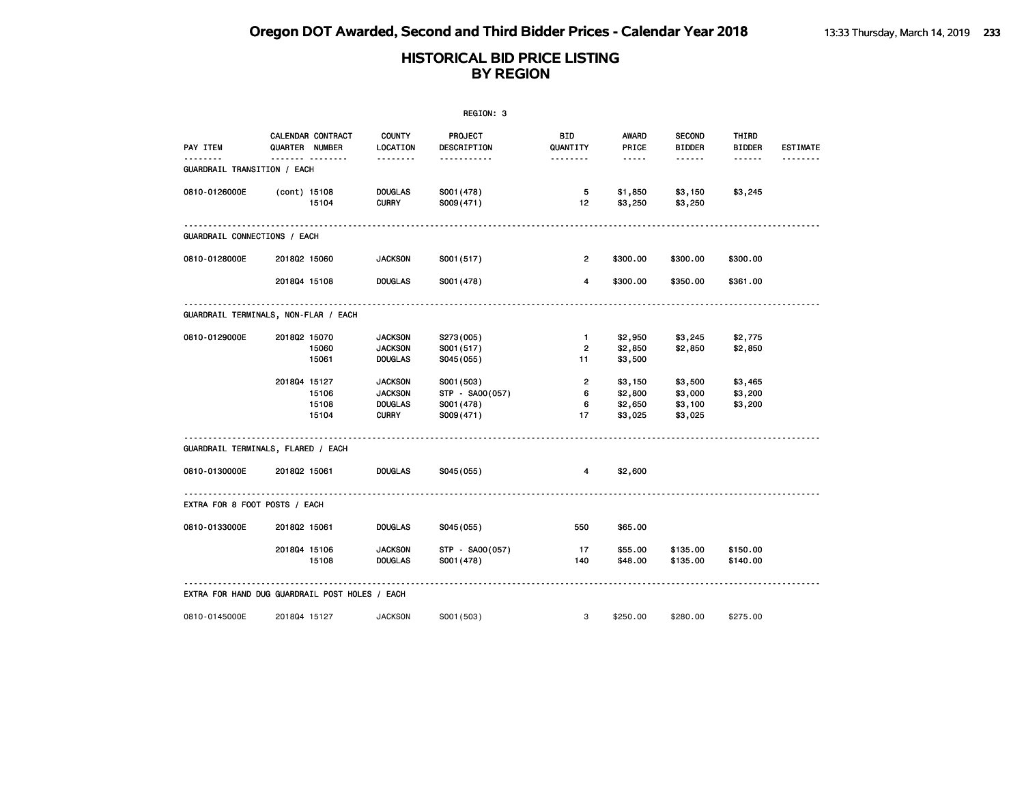|                                                |                |                   |                                | REGION: 3               |                        |                    |                                |                        |                 |
|------------------------------------------------|----------------|-------------------|--------------------------------|-------------------------|------------------------|--------------------|--------------------------------|------------------------|-----------------|
| PAY ITEM                                       | QUARTER NUMBER | CALENDAR CONTRACT | <b>COUNTY</b><br>LOCATION      | PROJECT<br>DESCRIPTION  | <b>BID</b><br>QUANTITY | AWARD<br>PRICE     | <b>SECOND</b><br><b>BIDDER</b> | THIRD<br><b>BIDDER</b> | <b>ESTIMATE</b> |
| ------<br>GUARDRAIL TRANSITION / EACH          |                | <u> </u>          | .                              | .                       | --------               | $- - - - -$        | ------                         | ------                 |                 |
| 0810-0126000E                                  | (cont) 15108   | 15104             | <b>DOUGLAS</b><br><b>CURRY</b> | S001 (478)<br>S009(471) | 5<br>12                | \$1,850<br>\$3,250 | \$3,150<br>\$3,250             | \$3,245                |                 |
| GUARDRAIL CONNECTIONS / EACH                   |                |                   |                                |                         |                        |                    |                                |                        |                 |
| 0810-0128000E                                  | 201802 15060   |                   | <b>JACKSON</b>                 | S001 (517)              | $\overline{2}$         | \$300.00           | \$300.00                       | \$300.00               |                 |
|                                                | 201804 15108   |                   | <b>DOUGLAS</b>                 | S001 (478)              | 4                      | \$300.00           | \$350.00                       | \$361.00               |                 |
| GUARDRAIL TERMINALS, NON-FLAR / EACH           |                |                   |                                |                         |                        |                    |                                |                        |                 |
| 0810-0129000E                                  | 201802 15070   |                   | <b>JACKSON</b>                 | S273(005)               | $\mathbf{1}$           | \$2,950            | \$3,245                        | \$2,775                |                 |
|                                                |                | 15060             | <b>JACKSON</b>                 | S001 (517)              | $\overline{2}$         | \$2,850            | \$2,850                        | \$2,850                |                 |
|                                                |                | 15061             | <b>DOUGLAS</b>                 | S045(055)               | 11                     | \$3,500            |                                |                        |                 |
|                                                | 201804 15127   |                   | <b>JACKSON</b>                 | S001 (503)              | $\overline{2}$         | \$3,150            | \$3,500                        | \$3,465                |                 |
|                                                |                | 15106             | <b>JACKSON</b>                 | STP - SA00(057)         | 6                      | \$2,800            | \$3,000                        | \$3,200                |                 |
|                                                |                | 15108             | <b>DOUGLAS</b>                 | S001 (478)              | 6                      | \$2,650            | \$3,100                        | \$3,200                |                 |
|                                                |                | 15104             | <b>CURRY</b>                   | S009(471)               | 17                     | \$3,025            | \$3,025                        |                        |                 |
| GUARDRAIL TERMINALS, FLARED / EACH             |                |                   |                                |                         |                        |                    |                                |                        |                 |
| 0810-0130000E                                  | 201802 15061   |                   | <b>DOUGLAS</b>                 | S045 (055)              | 4                      | \$2,600            |                                |                        |                 |
| EXTRA FOR 8 FOOT POSTS / EACH                  |                |                   |                                |                         |                        |                    |                                |                        |                 |
| 0810-0133000E                                  | 201802 15061   |                   | <b>DOUGLAS</b>                 | S045 (055)              | 550                    | \$65.00            |                                |                        |                 |
|                                                | 201804 15106   |                   | <b>JACKSON</b>                 | STP - SA00(057)         | 17                     | \$55.00            | \$135.00                       | \$150.00               |                 |
|                                                |                | 15108             | <b>DOUGLAS</b>                 | S001 (478)              | 140                    | \$48.00            | \$135.00                       | \$140.00               |                 |
| EXTRA FOR HAND DUG GUARDRAIL POST HOLES / EACH |                |                   |                                |                         |                        |                    |                                |                        |                 |
| 0810-0145000E                                  | 201804 15127   |                   | <b>JACKSON</b>                 | S001 (503)              | 3                      | \$250.00           | \$280.00                       | \$275.00               |                 |
|                                                |                |                   |                                |                         |                        |                    |                                |                        |                 |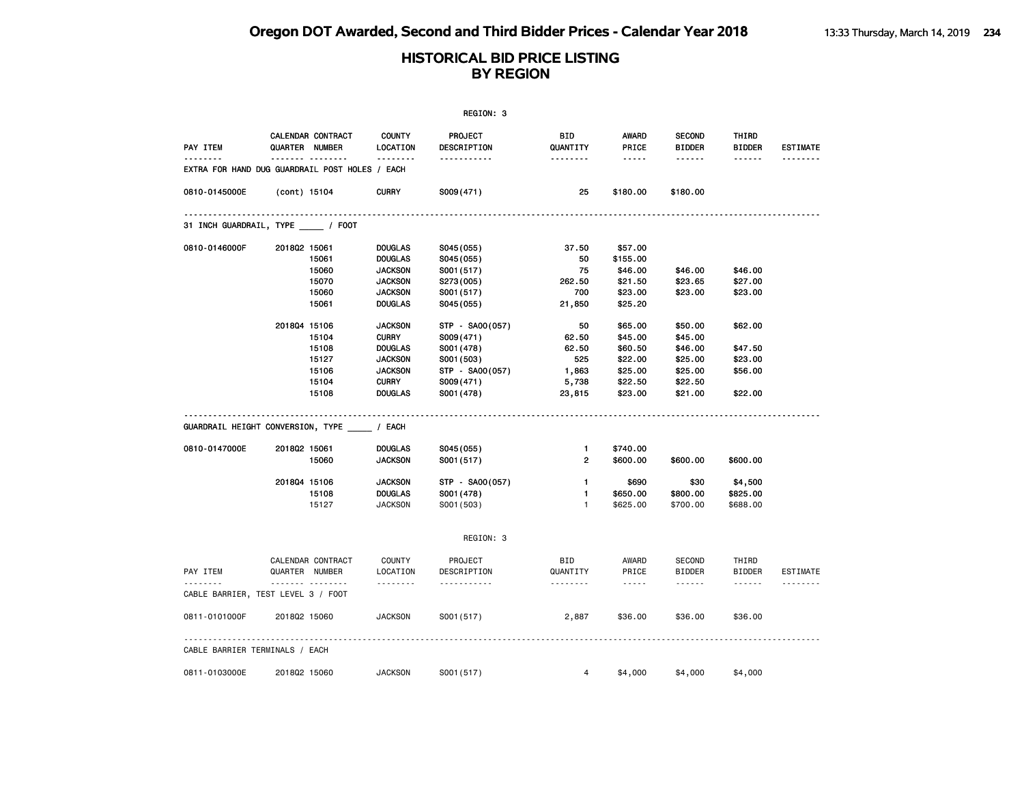| REGION: 3                                       |                |                                                    |                                                                                                                        |                                                                                                        |                                                         |                                                                                                               |                                                                                                                                                                                                                                                                                                                                                                                                                                                                                                       |                                                     |                 |  |
|-------------------------------------------------|----------------|----------------------------------------------------|------------------------------------------------------------------------------------------------------------------------|--------------------------------------------------------------------------------------------------------|---------------------------------------------------------|---------------------------------------------------------------------------------------------------------------|-------------------------------------------------------------------------------------------------------------------------------------------------------------------------------------------------------------------------------------------------------------------------------------------------------------------------------------------------------------------------------------------------------------------------------------------------------------------------------------------------------|-----------------------------------------------------|-----------------|--|
| PAY ITEM                                        | QUARTER NUMBER | CALENDAR CONTRACT                                  | <b>COUNTY</b><br>LOCATION                                                                                              | PROJECT<br>DESCRIPTION                                                                                 | <b>BID</b><br>QUANTITY                                  | AWARD<br>PRICE                                                                                                | <b>SECOND</b><br><b>BIDDER</b>                                                                                                                                                                                                                                                                                                                                                                                                                                                                        | THIRD<br><b>BIDDER</b>                              | <b>ESTIMATE</b> |  |
| EXTRA FOR HAND DUG GUARDRAIL POST HOLES / EACH  |                | <b>.</b>                                           |                                                                                                                        | <u>.</u>                                                                                               | <u>.</u>                                                | $\frac{1}{2} \frac{1}{2} \frac{1}{2} \frac{1}{2} \frac{1}{2} \frac{1}{2} \frac{1}{2} \frac{1}{2} \frac{1}{2}$ | ------                                                                                                                                                                                                                                                                                                                                                                                                                                                                                                | ------                                              |                 |  |
| 0810-0145000E                                   | (cont) 15104   |                                                    | <b>CURRY</b>                                                                                                           | S009(471)                                                                                              | 25                                                      | \$180.00                                                                                                      | \$180.00                                                                                                                                                                                                                                                                                                                                                                                                                                                                                              |                                                     |                 |  |
| 31 INCH GUARDRAIL, TYPE / FOOT                  |                |                                                    |                                                                                                                        |                                                                                                        |                                                         |                                                                                                               |                                                                                                                                                                                                                                                                                                                                                                                                                                                                                                       |                                                     |                 |  |
| 0810-0146000F                                   | 201802 15061   | 15061<br>15060<br>15070                            | <b>DOUGLAS</b><br><b>DOUGLAS</b><br><b>JACKSON</b><br><b>JACKSON</b>                                                   | S045(055)<br>S045(055)<br>S001 (517)<br>S273(005)                                                      | 37.50<br>50<br>75<br>262.50                             | \$57.00<br>\$155.00<br>\$46.00<br>\$21.50                                                                     | \$46.00<br>\$23.65                                                                                                                                                                                                                                                                                                                                                                                                                                                                                    | \$46.00<br>\$27.00                                  |                 |  |
|                                                 |                | 15060<br>15061                                     | <b>JACKSON</b><br><b>DOUGLAS</b>                                                                                       | S001 (517)<br>S045 (055)                                                                               | 700<br>21,850                                           | \$23.00<br>\$25.20                                                                                            | \$23.00                                                                                                                                                                                                                                                                                                                                                                                                                                                                                               | \$23.00                                             |                 |  |
|                                                 | 201804 15106   | 15104<br>15108<br>15127<br>15106<br>15104<br>15108 | <b>JACKSON</b><br><b>CURRY</b><br><b>DOUGLAS</b><br><b>JACKSON</b><br><b>JACKSON</b><br><b>CURRY</b><br><b>DOUGLAS</b> | STP - SA00(057)<br>S009(471)<br>S001 (478)<br>S001 (503)<br>STP - SA00(057)<br>S009(471)<br>S001 (478) | 50<br>62.50<br>62.50<br>525<br>1,863<br>5,738<br>23,815 | \$65.00<br>\$45.00<br>\$60.50<br>\$22.00<br>\$25.00<br>\$22.50<br>\$23.00                                     | \$50.00<br>\$45.00<br>\$46.00<br>\$25.00<br>\$25.00<br>\$22.50<br>\$21.00                                                                                                                                                                                                                                                                                                                                                                                                                             | \$62.00<br>\$47.50<br>\$23.00<br>\$56.00<br>\$22.00 |                 |  |
| GUARDRAIL HEIGHT CONVERSION, TYPE ______ / EACH |                |                                                    |                                                                                                                        |                                                                                                        |                                                         |                                                                                                               |                                                                                                                                                                                                                                                                                                                                                                                                                                                                                                       |                                                     |                 |  |
| 0810-0147000E                                   | 201802 15061   | 15060                                              | <b>DOUGLAS</b><br><b>JACKSON</b>                                                                                       | S045(055)<br>S001 (517)                                                                                | $\mathbf{1}$<br>2                                       | \$740.00<br>\$600.00                                                                                          | \$600.00                                                                                                                                                                                                                                                                                                                                                                                                                                                                                              | \$600.00                                            |                 |  |
|                                                 | 201804 15106   | 15108<br>15127                                     | <b>JACKSON</b><br><b>DOUGLAS</b><br><b>JACKSON</b>                                                                     | STP - SA00(057)<br>S001 (478)<br>S001 (503)                                                            | 1<br>$\mathbf{1}$<br>$\mathbf{1}$                       | \$690<br>\$650.00<br>\$625.00                                                                                 | \$30<br>\$800.00<br>\$700.00                                                                                                                                                                                                                                                                                                                                                                                                                                                                          | \$4,500<br>\$825.00<br>\$688.00                     |                 |  |
|                                                 |                |                                                    |                                                                                                                        | REGION: 3                                                                                              |                                                         |                                                                                                               |                                                                                                                                                                                                                                                                                                                                                                                                                                                                                                       |                                                     |                 |  |
| PAY ITEM                                        | QUARTER NUMBER | CALENDAR CONTRACT<br>.                             | COUNTY<br>LOCATION<br><u>.</u>                                                                                         | PROJECT<br>DESCRIPTION<br><u>.</u>                                                                     | BID<br>QUANTITY<br>.                                    | AWARD<br>PRICE<br>$\sim$ $\sim$ $\sim$ $\sim$ $\sim$                                                          | SECOND<br><b>BIDDER</b><br>$\frac{1}{2} \left( \frac{1}{2} \right) \left( \frac{1}{2} \right) \left( \frac{1}{2} \right) \left( \frac{1}{2} \right) \left( \frac{1}{2} \right) \left( \frac{1}{2} \right) \left( \frac{1}{2} \right) \left( \frac{1}{2} \right) \left( \frac{1}{2} \right) \left( \frac{1}{2} \right) \left( \frac{1}{2} \right) \left( \frac{1}{2} \right) \left( \frac{1}{2} \right) \left( \frac{1}{2} \right) \left( \frac{1}{2} \right) \left( \frac{1}{2} \right) \left( \frac$ | THIRD<br><b>BIDDER</b><br>$- - - - - -$             | ESTIMATE        |  |
| CABLE BARRIER, TEST LEVEL 3 / FOOT              |                |                                                    |                                                                                                                        |                                                                                                        |                                                         |                                                                                                               |                                                                                                                                                                                                                                                                                                                                                                                                                                                                                                       |                                                     |                 |  |
| 0811-0101000F                                   | 201802 15060   |                                                    | <b>JACKSON</b>                                                                                                         | S001 (517)                                                                                             | 2,887                                                   | \$36,00                                                                                                       | \$36,00                                                                                                                                                                                                                                                                                                                                                                                                                                                                                               | \$36,00                                             |                 |  |
| CABLE BARRIER TERMINALS / EACH                  |                |                                                    |                                                                                                                        |                                                                                                        |                                                         |                                                                                                               |                                                                                                                                                                                                                                                                                                                                                                                                                                                                                                       |                                                     |                 |  |
| 0811-0103000E                                   | 201802 15060   |                                                    | <b>JACKSON</b>                                                                                                         | S001 (517)                                                                                             | $\overline{4}$                                          | \$4,000                                                                                                       | \$4,000                                                                                                                                                                                                                                                                                                                                                                                                                                                                                               | \$4,000                                             |                 |  |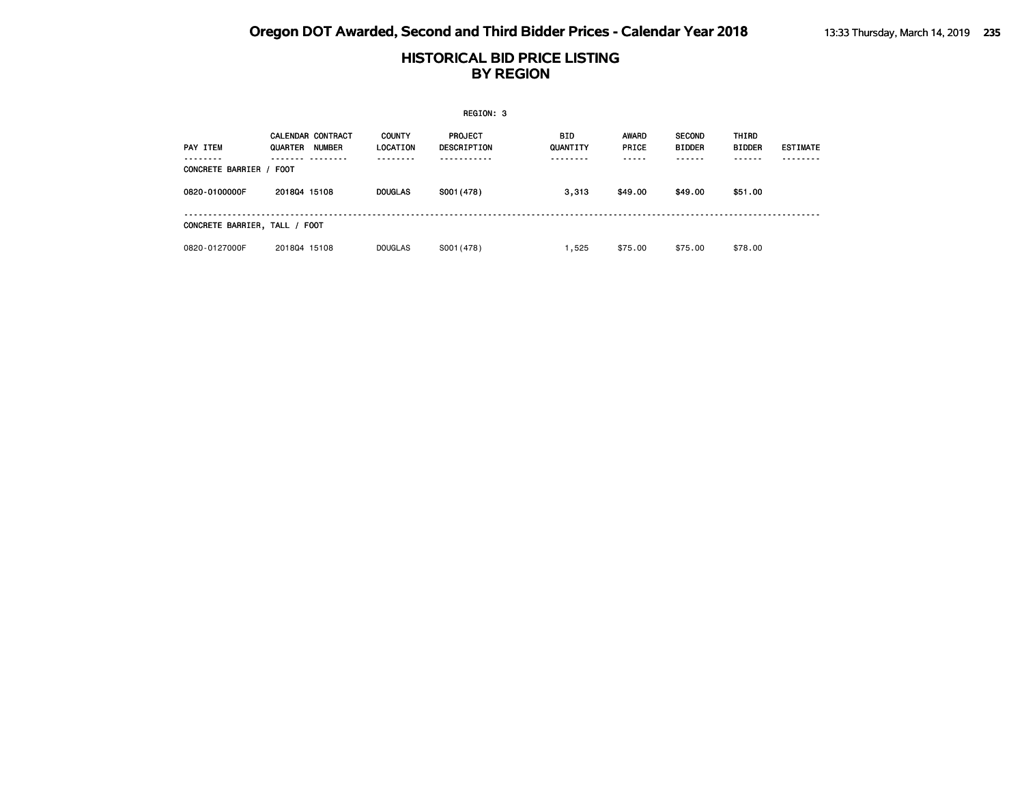| REGION: 3                     |                                                             |                                  |                               |                 |                       |                                |                        |                 |  |  |  |
|-------------------------------|-------------------------------------------------------------|----------------------------------|-------------------------------|-----------------|-----------------------|--------------------------------|------------------------|-----------------|--|--|--|
| <b>PAY ITEM</b>               | <b>CALENDAR CONTRACT</b><br><b>QUARTER</b><br><b>NUMBER</b> | <b>COUNTY</b><br><b>LOCATION</b> | PROJECT<br><b>DESCRIPTION</b> | BID<br>QUANTITY | <b>AWARD</b><br>PRICE | <b>SECOND</b><br><b>BIDDER</b> | THIRD<br><b>BIDDER</b> | <b>ESTIMATE</b> |  |  |  |
| <b>CONCRETE BARRIER /</b>     | <b>FOOT</b>                                                 |                                  |                               |                 | - - - - -             |                                |                        |                 |  |  |  |
| 0820-0100000F                 | 201804 15108                                                | <b>DOUGLAS</b>                   | S001 (478)                    | 3,313           | \$49.00               | \$49.00                        | \$51.00                |                 |  |  |  |
| CONCRETE BARRIER, TALL / FOOT |                                                             |                                  |                               |                 |                       |                                |                        |                 |  |  |  |
| 0820-0127000F                 | 201804 15108                                                | <b>DOUGLAS</b>                   | S001 (478)                    | 1,525           | \$75,00               | \$75.00                        | \$78.00                |                 |  |  |  |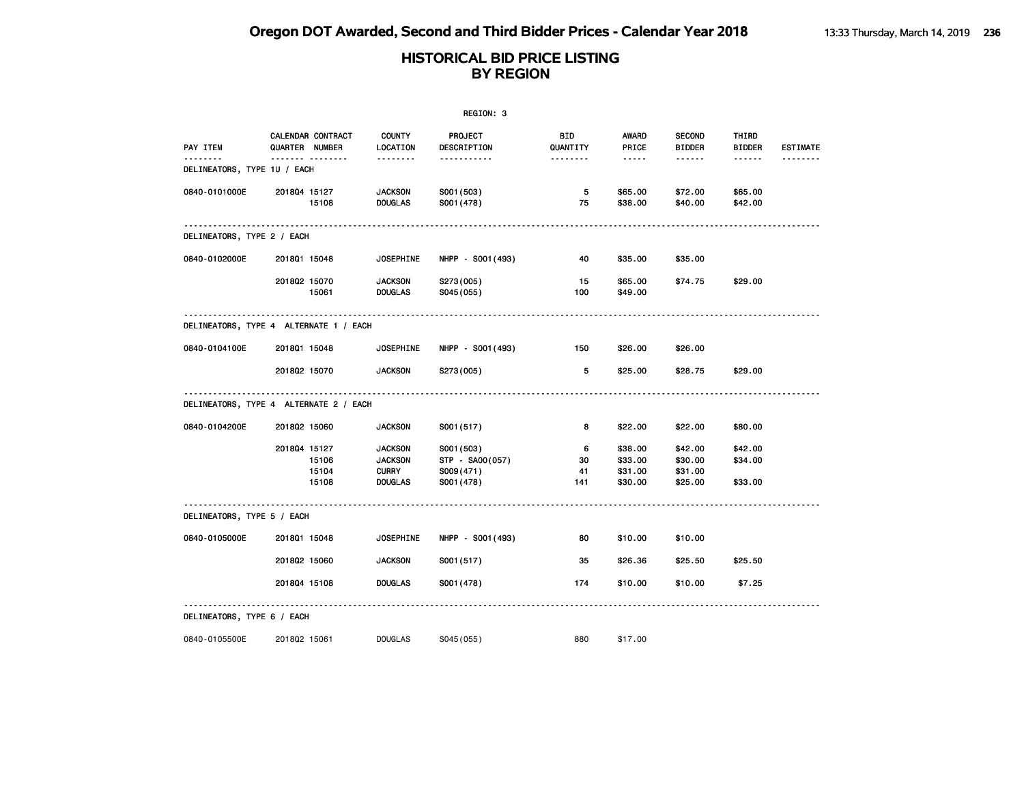|                                        |              |                                     |                                                                    | REGION: 3                                                |                        |                                          |                                          |                               |                 |
|----------------------------------------|--------------|-------------------------------------|--------------------------------------------------------------------|----------------------------------------------------------|------------------------|------------------------------------------|------------------------------------------|-------------------------------|-----------------|
| PAY ITEM                               |              | CALENDAR CONTRACT<br>QUARTER NUMBER | <b>COUNTY</b><br>LOCATION                                          | PROJECT<br>DESCRIPTION                                   | <b>BID</b><br>QUANTITY | AWARD<br>PRICE                           | <b>SECOND</b><br><b>BIDDER</b>           | THIRD<br><b>BIDDER</b>        | <b>ESTIMATE</b> |
| DELINEATORS, TYPE 1U / EACH            |              | <b>.</b>                            | .                                                                  | -----------                                              | --------               | -----                                    | ------                                   | ------                        |                 |
| 0840-0101000E                          | 201804 15127 | 15108                               | <b>JACKSON</b><br>DOUGLAS                                          | S001 (503)<br>S001 (478)                                 | 5<br>75                | \$65.00<br>\$38.00                       | \$72.00<br>\$40.00                       | \$65.00<br>\$42.00            |                 |
| DELINEATORS, TYPE 2 / EACH             |              |                                     |                                                                    |                                                          |                        |                                          |                                          |                               |                 |
| 0840-0102000E                          | 201801 15048 |                                     | <b>JOSEPHINE</b>                                                   | NHPP - S001 (493)                                        | 40                     | \$35.00                                  | \$35.00                                  |                               |                 |
|                                        | 201802 15070 | 15061                               | <b>JACKSON</b><br><b>DOUGLAS</b>                                   | S273(005)<br>S045 (055)                                  | 15<br>100              | \$65.00<br>\$49.00                       | \$74.75                                  | \$29.00                       |                 |
| DELINEATORS, TYPE 4 ALTERNATE 1 / EACH |              |                                     |                                                                    |                                                          |                        |                                          |                                          |                               |                 |
| 0840-0104100E                          | 201801 15048 |                                     | <b>JOSEPHINE</b>                                                   | NHPP - S001 (493)                                        | 150                    | \$26.00                                  | \$26.00                                  |                               |                 |
|                                        | 201802 15070 |                                     | <b>JACKSON</b>                                                     | S273(005)                                                | 5                      | \$25.00                                  | \$28.75                                  | \$29.00                       |                 |
| DELINEATORS, TYPE 4 ALTERNATE 2 / EACH |              |                                     |                                                                    |                                                          |                        |                                          |                                          |                               |                 |
| 0840-0104200E                          | 201802 15060 |                                     | <b>JACKSON</b>                                                     | S001 (517)                                               | 8                      | \$22.00                                  | \$22.00                                  | \$80.00                       |                 |
|                                        | 201804 15127 | 15106<br>15104<br>15108             | <b>JACKSON</b><br><b>JACKSON</b><br><b>CURRY</b><br><b>DOUGLAS</b> | S001 (503)<br>STP - SA00(057)<br>S009(471)<br>S001 (478) | 6<br>30<br>41<br>141   | \$38.00<br>\$33.00<br>\$31.00<br>\$30.00 | \$42.00<br>\$30.00<br>\$31.00<br>\$25.00 | \$42.00<br>\$34.00<br>\$33.00 |                 |
| DELINEATORS, TYPE 5 / EACH             |              |                                     |                                                                    |                                                          |                        |                                          |                                          |                               |                 |
| 0840-0105000E                          | 201801 15048 |                                     | <b>JOSEPHINE</b>                                                   | NHPP - S001(493)                                         | 80                     | \$10.00                                  | \$10.00                                  |                               |                 |
|                                        | 201802 15060 |                                     | <b>JACKSON</b>                                                     | S001 (517)                                               | 35                     | \$26.36                                  | \$25.50                                  | \$25.50                       |                 |
|                                        | 201804 15108 |                                     | <b>DOUGLAS</b>                                                     | S001 (478)                                               | 174                    | \$10.00                                  | \$10.00                                  | \$7.25                        |                 |
| DELINEATORS, TYPE 6 / EACH             |              |                                     |                                                                    |                                                          |                        |                                          |                                          |                               |                 |
| 0840-0105500E                          | 201802 15061 |                                     | <b>DOUGLAS</b>                                                     | S045 (055)                                               | 880                    | \$17.00                                  |                                          |                               |                 |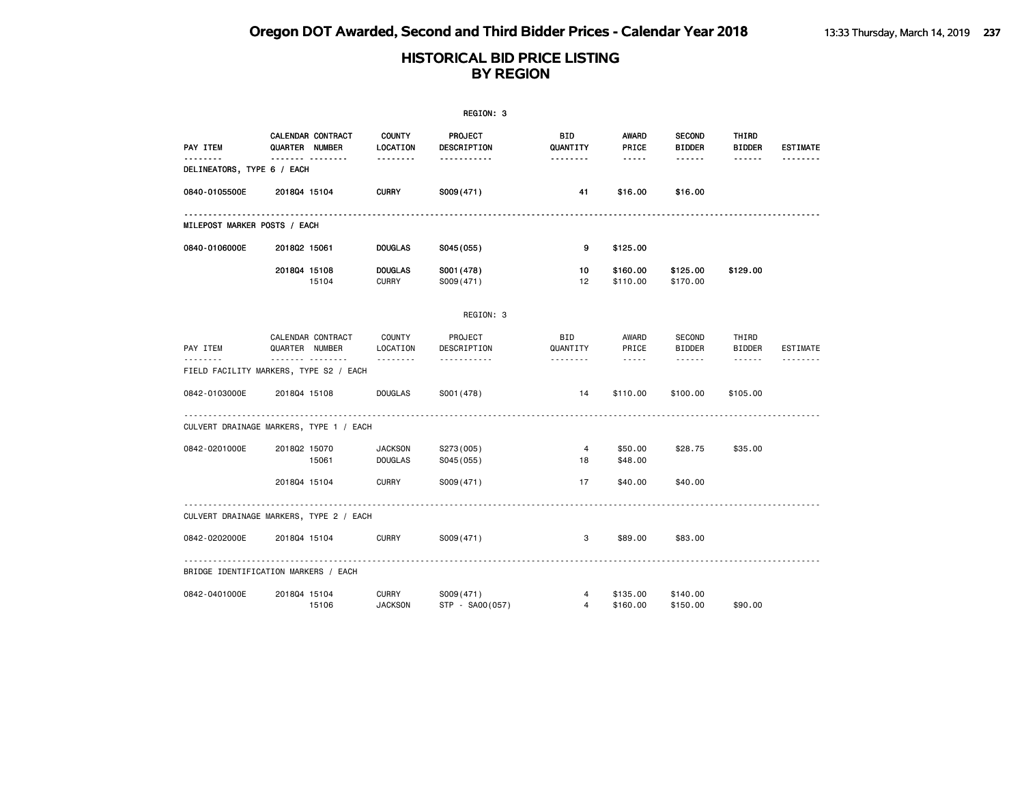|                                         | REGION: 3    |                                            |                                  |                              |                      |                                                                                                                           |                                |                        |                 |  |  |
|-----------------------------------------|--------------|--------------------------------------------|----------------------------------|------------------------------|----------------------|---------------------------------------------------------------------------------------------------------------------------|--------------------------------|------------------------|-----------------|--|--|
| PAY ITEM                                |              | CALENDAR CONTRACT<br><b>QUARTER NUMBER</b> | <b>COUNTY</b><br>LOCATION        | PROJECT<br>DESCRIPTION       | BID<br>QUANTITY      | AWARD<br>PRICE                                                                                                            | <b>SECOND</b><br><b>BIDDER</b> | THIRD<br><b>BIDDER</b> | <b>ESTIMATE</b> |  |  |
| -------<br>DELINEATORS, TYPE 6 / EACH   |              |                                            | <u>.</u>                         | -----------                  | .                    | $\frac{1}{2} \left( \frac{1}{2} \right) \left( \frac{1}{2} \right) \left( \frac{1}{2} \right) \left( \frac{1}{2} \right)$ | .                              |                        | .               |  |  |
| 0840-0105500E                           | 201804 15104 |                                            | <b>CURRY</b>                     | S009(471)                    | 41                   | \$16.00                                                                                                                   | \$16.00                        |                        |                 |  |  |
| MILEPOST MARKER POSTS / EACH            |              |                                            |                                  |                              |                      |                                                                                                                           |                                |                        |                 |  |  |
| 0840-0106000E                           | 201802 15061 |                                            | <b>DOUGLAS</b>                   | S045(055)                    | 9                    | \$125.00                                                                                                                  |                                |                        |                 |  |  |
|                                         | 2018Q4 15108 | 15104                                      | <b>DOUGLAS</b><br><b>CURRY</b>   | S001 (478)<br>S009(471)      | 10<br>12             | \$160.00<br>\$110.00                                                                                                      | \$125.00<br>\$170.00           | \$129.00               |                 |  |  |
|                                         |              |                                            |                                  | REGION: 3                    |                      |                                                                                                                           |                                |                        |                 |  |  |
| PAY ITEM                                |              | CALENDAR CONTRACT<br>QUARTER NUMBER        | COUNTY<br>LOCATION               | PROJECT<br>DESCRIPTION       | BID<br>QUANTITY      | AWARD<br>PRICE                                                                                                            | SECOND<br><b>BIDDER</b>        | THIRD<br><b>BIDDER</b> | ESTIMATE        |  |  |
| FIELD FACILITY MARKERS, TYPE S2 / EACH  |              | .                                          | <u>.</u>                         | <u>.</u>                     | .                    | $\frac{1}{2}$                                                                                                             | $\cdots \cdots \cdots$         | $- - - - - -$          | .               |  |  |
| 0842-0103000E                           | 201804 15108 |                                            | <b>DOUGLAS</b>                   | S001 (478)                   | 14                   | \$110.00                                                                                                                  | \$100.00                       | \$105.00               |                 |  |  |
| CULVERT DRAINAGE MARKERS, TYPE 1 / EACH |              |                                            |                                  |                              |                      |                                                                                                                           |                                |                        |                 |  |  |
| 0842-0201000E                           | 201802 15070 | 15061                                      | <b>JACKSON</b><br><b>DOUGLAS</b> | S273(005)<br>S045 (055)      | $\overline{4}$<br>18 | \$50.00<br>\$48.00                                                                                                        | \$28.75                        | \$35.00                |                 |  |  |
|                                         | 201804 15104 |                                            | <b>CURRY</b>                     | S009(471)                    | 17                   | \$40.00                                                                                                                   | \$40.00                        |                        |                 |  |  |
| CULVERT DRAINAGE MARKERS, TYPE 2 / EACH |              |                                            |                                  |                              |                      |                                                                                                                           |                                |                        |                 |  |  |
| 0842-0202000E                           | 201804 15104 |                                            | <b>CURRY</b>                     | S009(471)                    | 3                    | \$89.00                                                                                                                   | \$83.00                        |                        |                 |  |  |
| BRIDGE IDENTIFICATION MARKERS / EACH    |              |                                            |                                  |                              |                      |                                                                                                                           |                                |                        |                 |  |  |
| 0842-0401000E                           | 201804 15104 | 15106                                      | <b>CURRY</b><br><b>JACKSON</b>   | S009(471)<br>STP - SA00(057) | 4<br>$\overline{4}$  | \$135.00<br>\$160.00                                                                                                      | \$140.00<br>\$150.00           | \$90,00                |                 |  |  |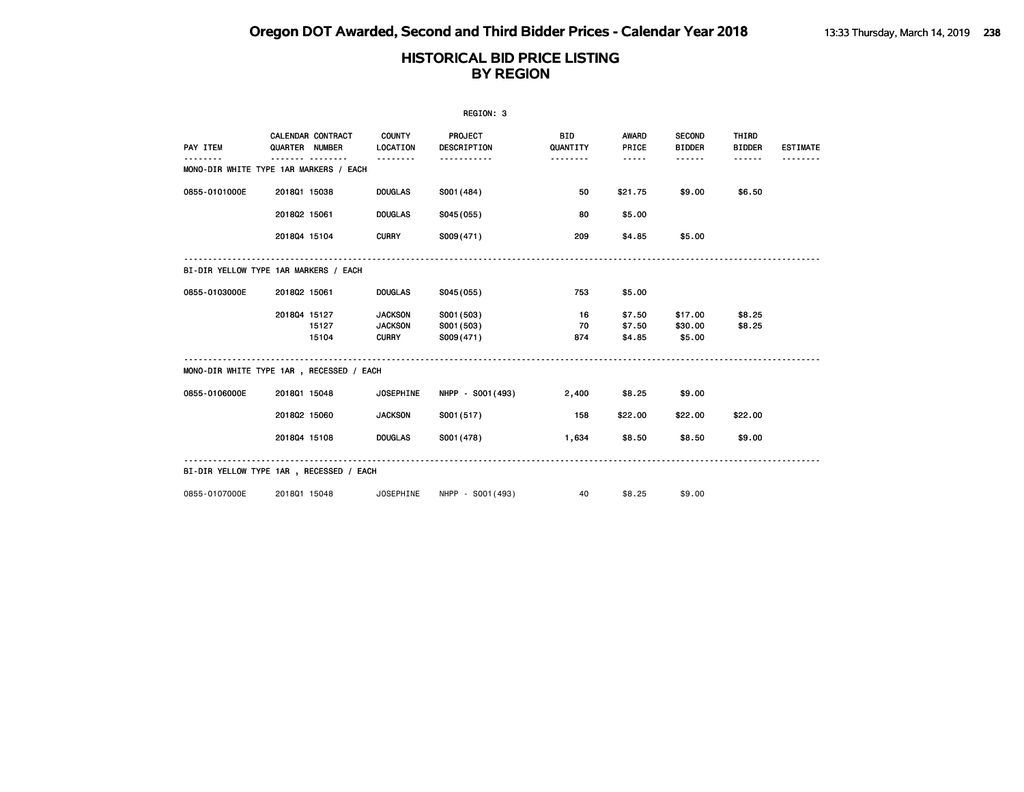|                                          |              |                                            |                           | REGION: 3              |                 |                       |                                |                        |                 |
|------------------------------------------|--------------|--------------------------------------------|---------------------------|------------------------|-----------------|-----------------------|--------------------------------|------------------------|-----------------|
| PAY ITEM                                 |              | <b>CALENDAR CONTRACT</b><br>QUARTER NUMBER | <b>COUNTY</b><br>LOCATION | PROJECT<br>DESCRIPTION | BID<br>QUANTITY | <b>AWARD</b><br>PRICE | <b>SECOND</b><br><b>BIDDER</b> | THIRD<br><b>BIDDER</b> | <b>ESTIMATE</b> |
| MONO-DIR WHITE TYPE 1AR MARKERS / EACH   |              |                                            | .                         |                        |                 | $- - - - -$           |                                | ------                 |                 |
|                                          |              |                                            |                           |                        |                 |                       |                                |                        |                 |
| 0855-0101000E                            | 201801 15038 |                                            | <b>DOUGLAS</b>            | S001 (484)             | 50              | \$21.75               | \$9.00                         | \$6.50                 |                 |
|                                          | 201802 15061 |                                            | <b>DOUGLAS</b>            | S045(055)              | 80              | \$5.00                |                                |                        |                 |
|                                          | 201804 15104 |                                            | <b>CURRY</b>              | S009(471)              | 209             | \$4.85                | \$5.00                         |                        |                 |
| BI-DIR YELLOW TYPE 1AR MARKERS / EACH    |              |                                            |                           |                        |                 |                       |                                |                        |                 |
| 0855-0103000E                            | 201802 15061 |                                            | <b>DOUGLAS</b>            | S045(055)              | 753             | \$5.00                |                                |                        |                 |
|                                          | 201804 15127 |                                            | <b>JACKSON</b>            | S001 (503)             | - 16            | \$7.50                | \$17.00                        | \$8.25                 |                 |
|                                          |              | 15127                                      | <b>JACKSON</b>            | S001 (503)             | 70              | \$7.50                | \$30.00                        | \$8.25                 |                 |
|                                          |              | 15104                                      | <b>CURRY</b>              | S009(471)              | 874             | \$4.85                | \$5.00                         |                        |                 |
| MONO-DIR WHITE TYPE 1AR, RECESSED / EACH |              |                                            |                           |                        |                 |                       |                                |                        |                 |
| 0855-0106000E                            | 201801 15048 |                                            | <b>JOSEPHINE</b>          | NHPP - S001(493)       | 2,400           | \$8.25                | \$9.00                         |                        |                 |
|                                          | 201802 15060 |                                            | <b>JACKSON</b>            | S001 (517)             | 158             | \$22.00               | \$22.00                        | \$22.00                |                 |
|                                          | 201804 15108 |                                            | <b>DOUGLAS</b>            | S001 (478)             | 1,634           | \$8.50                | \$8.50                         | \$9.00                 |                 |
| BI-DIR YELLOW TYPE 1AR, RECESSED / EACH  |              |                                            |                           |                        |                 |                       |                                |                        |                 |
| 0855-0107000E                            | 201801 15048 |                                            | <b>JOSEPHINE</b>          | NHPP - S001 (493)      | 40              | \$8,25                | \$9,00                         |                        |                 |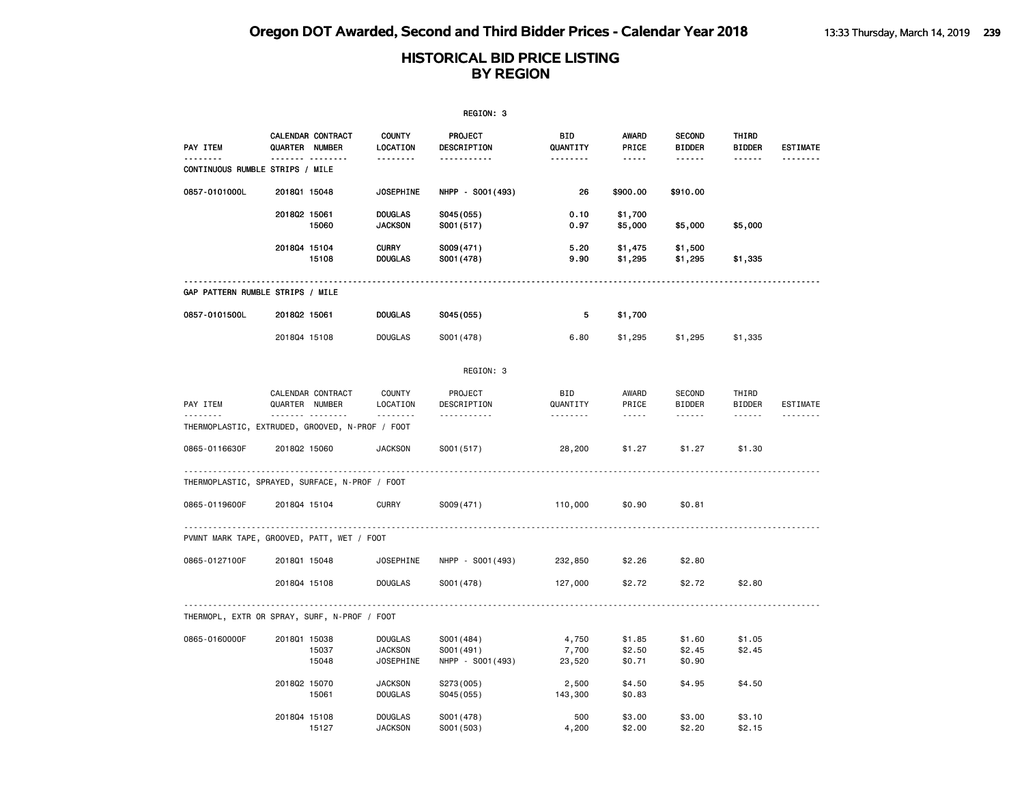|                                                             |              |                                     |                                                      | REGION: 3                                     |                          |                            |                                |                        |                 |
|-------------------------------------------------------------|--------------|-------------------------------------|------------------------------------------------------|-----------------------------------------------|--------------------------|----------------------------|--------------------------------|------------------------|-----------------|
| PAY ITEM                                                    |              | CALENDAR CONTRACT<br>QUARTER NUMBER | <b>COUNTY</b><br>LOCATION                            | PROJECT<br>DESCRIPTION                        | <b>BID</b><br>QUANTITY   | <b>AWARD</b><br>PRICE      | <b>SECOND</b><br><b>BIDDER</b> | THIRD<br><b>BIDDER</b> | <b>ESTIMATE</b> |
| <u>.</u><br>CONTINUOUS RUMBLE STRIPS / MILE                 |              | .                                   | .                                                    | <u>.</u>                                      | <u>.</u>                 | -----                      | ------                         | ------                 | .               |
| 0857-0101000L                                               | 201801 15048 |                                     | <b>JOSEPHINE</b>                                     | NHPP - S001 (493)                             | 26                       | \$900.00                   | \$910.00                       |                        |                 |
|                                                             | 201802 15061 | 15060                               | <b>DOUGLAS</b><br><b>JACKSON</b>                     | S045(055)<br>S001 (517)                       | 0.10<br>0.97             | \$1,700<br>\$5,000         | \$5,000                        | \$5,000                |                 |
|                                                             | 201804 15104 | 15108                               | <b>CURRY</b><br><b>DOUGLAS</b>                       | S009(471)<br>S001 (478)                       | 5.20<br>9.90             | \$1,475<br>\$1,295         | \$1,500<br>\$1,295             | \$1,335                |                 |
| GAP PATTERN RUMBLE STRIPS / MILE                            |              |                                     |                                                      |                                               |                          |                            |                                |                        |                 |
| 0857-0101500L                                               | 201802 15061 |                                     | <b>DOUGLAS</b>                                       | S045(055)                                     | 5                        | \$1,700                    |                                |                        |                 |
|                                                             | 201804 15108 |                                     | <b>DOUGLAS</b>                                       | S001 (478)                                    | 6.80                     | \$1,295                    | \$1,295                        | \$1,335                |                 |
|                                                             |              |                                     |                                                      | REGION: 3                                     |                          |                            |                                |                        |                 |
| PAY ITEM                                                    |              | CALENDAR CONTRACT<br>QUARTER NUMBER | <b>COUNTY</b><br>LOCATION                            | <b>PROJECT</b><br>DESCRIPTION                 | BID<br>QUANTITY          | AWARD<br>PRICE             | <b>SECOND</b><br><b>BIDDER</b> | THIRD<br><b>BIDDER</b> | ESTIMATE        |
| <u>.</u><br>THERMOPLASTIC, EXTRUDED, GROOVED, N-PROF / FOOT |              | <b>.</b>                            | .                                                    | <u>.</u>                                      | .                        | $- - - - -$                | $- - - - - -$                  | $- - - - - -$          | --------        |
| 0865-0116630F                                               | 201802 15060 |                                     | <b>JACKSON</b>                                       | S001(517)                                     | 28,200                   | \$1.27                     | \$1.27                         | \$1.30                 |                 |
| THERMOPLASTIC, SPRAYED, SURFACE, N-PROF / FOOT              |              |                                     |                                                      |                                               |                          |                            |                                |                        |                 |
| 0865-0119600F                                               | 201804 15104 |                                     | <b>CURRY</b>                                         | S009(471)                                     | 110,000                  | \$0.90                     | \$0.81                         |                        |                 |
| PVMNT MARK TAPE, GROOVED, PATT, WET / FOOT                  |              |                                     | <u>.</u>                                             |                                               |                          |                            |                                |                        |                 |
| 0865-0127100F                                               | 201801 15048 |                                     | <b>JOSEPHINE</b>                                     | NHPP - S001 (493)                             | 232,850                  | \$2.26                     | \$2.80                         |                        |                 |
|                                                             | 201804 15108 |                                     | <b>DOUGLAS</b>                                       | S001 (478)                                    | 127,000                  | \$2.72                     | \$2.72                         | \$2.80                 |                 |
| THERMOPL, EXTR OR SPRAY, SURF, N-PROF / FOOT                |              |                                     |                                                      |                                               |                          |                            |                                |                        |                 |
| 0865-0160000F                                               | 201801 15038 | 15037<br>15048                      | <b>DOUGLAS</b><br><b>JACKSON</b><br><b>JOSEPHINE</b> | S001 (484)<br>S001 (491)<br>NHPP - S001 (493) | 4,750<br>7,700<br>23,520 | \$1.85<br>\$2.50<br>\$0.71 | \$1.60<br>\$2.45<br>\$0.90     | \$1.05<br>\$2.45       |                 |
|                                                             | 201802 15070 | 15061                               | <b>JACKSON</b><br><b>DOUGLAS</b>                     | S273(005)<br>S045 (055)                       | 2,500<br>143,300         | \$4.50<br>\$0.83           | \$4.95                         | \$4.50                 |                 |
|                                                             | 201804 15108 | 15127                               | <b>DOUGLAS</b><br><b>JACKSON</b>                     | S001 (478)<br>S001 (503)                      | 500<br>4,200             | \$3.00<br>\$2.00           | \$3.00<br>\$2.20               | \$3.10<br>\$2.15       |                 |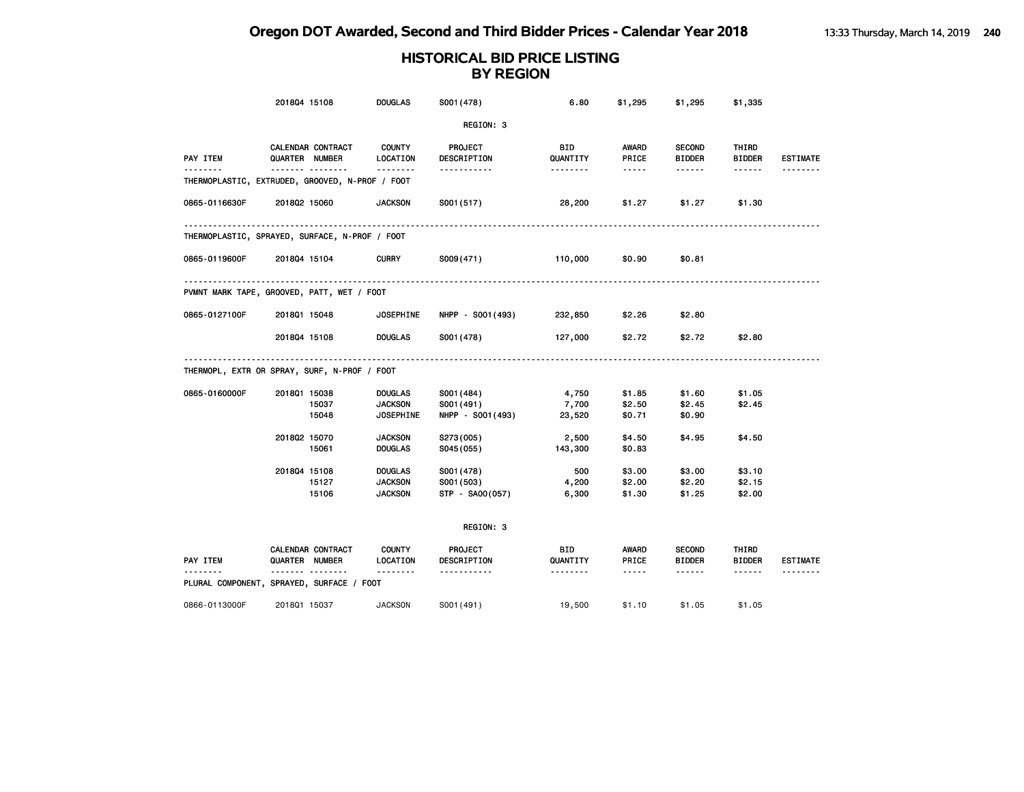|               | 201804 15108                                    | <b>DOUGLAS</b>            | S001 (478)             | 6.80                  | \$1,295                                                                                                       | \$1,295                        | \$1,335                |                 |  |  |  |  |  |
|---------------|-------------------------------------------------|---------------------------|------------------------|-----------------------|---------------------------------------------------------------------------------------------------------------|--------------------------------|------------------------|-----------------|--|--|--|--|--|
| REGION: 3     |                                                 |                           |                        |                       |                                                                                                               |                                |                        |                 |  |  |  |  |  |
| PAY ITEM      | CALENDAR CONTRACT<br>QUARTER NUMBER<br>         | <b>COUNTY</b><br>LOCATION | PROJECT<br>DESCRIPTION | BID<br>QUANTITY       | AWARD<br>PRICE                                                                                                | <b>SECOND</b><br><b>BIDDER</b> | THIRD<br><b>BIDDER</b> | <b>ESTIMATE</b> |  |  |  |  |  |
|               | THERMOPLASTIC, EXTRUDED, GROOVED, N-PROF / FOOT | <u> - - - - - - -</u>     | -----------            | <u> - - - - - - -</u> | $\frac{1}{2} \frac{1}{2} \frac{1}{2} \frac{1}{2} \frac{1}{2} \frac{1}{2} \frac{1}{2} \frac{1}{2} \frac{1}{2}$ | ------                         | $- - - - - -$          |                 |  |  |  |  |  |
| 0865-0116630F | 201802 15060                                    | <b>JACKSON</b>            | S001 (517)             | 28,200                | \$1.27                                                                                                        | \$1.27                         | \$1.30                 |                 |  |  |  |  |  |
|               | THERMOPLASTIC, SPRAYED, SURFACE, N-PROF / FOOT  |                           |                        |                       |                                                                                                               |                                |                        |                 |  |  |  |  |  |
| 0865-0119600F | 201804 15104                                    | <b>CURRY</b>              | S009(471)              | 110,000               | \$0.90                                                                                                        | \$0.81                         |                        |                 |  |  |  |  |  |
|               | PVMNT MARK TAPE, GROOVED, PATT, WET / FOOT      |                           |                        |                       |                                                                                                               |                                |                        |                 |  |  |  |  |  |
| 0865-0127100F | 201801 15048                                    | <b>JOSEPHINE</b>          | NHPP - S001 (493)      | 232,850               | \$2.26                                                                                                        | \$2.80                         |                        |                 |  |  |  |  |  |
|               | 201804 15108                                    | <b>DOUGLAS</b>            | S001 (478)             | 127,000               | \$2.72                                                                                                        | \$2.72                         | \$2.80                 |                 |  |  |  |  |  |
|               | THERMOPL, EXTR OR SPRAY, SURF, N-PROF / FOOT    |                           |                        |                       |                                                                                                               |                                |                        |                 |  |  |  |  |  |
| 0865-0160000F | 201801 15038                                    | <b>DOUGLAS</b>            | S001 (484)             | 4,750                 | \$1.85                                                                                                        | \$1.60                         | \$1.05                 |                 |  |  |  |  |  |
|               | 15037                                           | <b>JACKSON</b>            | S001 (491)             | 7,700                 | \$2.50                                                                                                        | \$2.45                         | \$2.45                 |                 |  |  |  |  |  |
|               | 15048                                           | <b>JOSEPHINE</b>          | NHPP - S001 (493)      | 23,520                | \$0.71                                                                                                        | \$0.90                         |                        |                 |  |  |  |  |  |
|               | 201802 15070                                    | <b>JACKSON</b>            | S273(005)              | 2,500                 | \$4.50                                                                                                        | \$4.95                         | \$4.50                 |                 |  |  |  |  |  |
|               | 15061                                           | <b>DOUGLAS</b>            | S045 (055)             | 143,300               | \$0.83                                                                                                        |                                |                        |                 |  |  |  |  |  |
|               | 2018Q4 15108                                    | <b>DOUGLAS</b>            | S001 (478)             | 500                   | \$3.00                                                                                                        | \$3.00                         | \$3.10                 |                 |  |  |  |  |  |
|               | 15127                                           | <b>JACKSON</b>            | S001 (503)             | 4,200                 | \$2.00                                                                                                        | \$2.20                         | \$2.15                 |                 |  |  |  |  |  |
|               | 15106                                           | <b>JACKSON</b>            | STP - SA00(057)        | 6,300                 | \$1.30                                                                                                        | \$1.25                         | \$2.00                 |                 |  |  |  |  |  |
|               |                                                 |                           | REGION: 3              |                       |                                                                                                               |                                |                        |                 |  |  |  |  |  |
|               | CALENDAR CONTRACT                               | <b>COUNTY</b>             | PROJECT                | BID                   | <b>AWARD</b>                                                                                                  | <b>SECOND</b>                  | THIRD                  |                 |  |  |  |  |  |
| PAY ITEM      | QUARTER NUMBER                                  | LOCATION                  | DESCRIPTION            | QUANTITY              | PRICE                                                                                                         | <b>BIDDER</b>                  | <b>BIDDER</b>          | <b>ESTIMATE</b> |  |  |  |  |  |
| <u>.</u>      | .<br>PLURAL COMPONENT, SPRAYED, SURFACE / FOOT  |                           | <u>.</u>               | <u>.</u>              | $- - - - -$                                                                                                   |                                | $\frac{1}{2}$          | <u>.</u>        |  |  |  |  |  |
| 0866-0113000F | 201801 15037                                    | <b>JACKSON</b>            | S001 (491)             | 19,500                | \$1.10                                                                                                        | \$1.05                         | \$1.05                 |                 |  |  |  |  |  |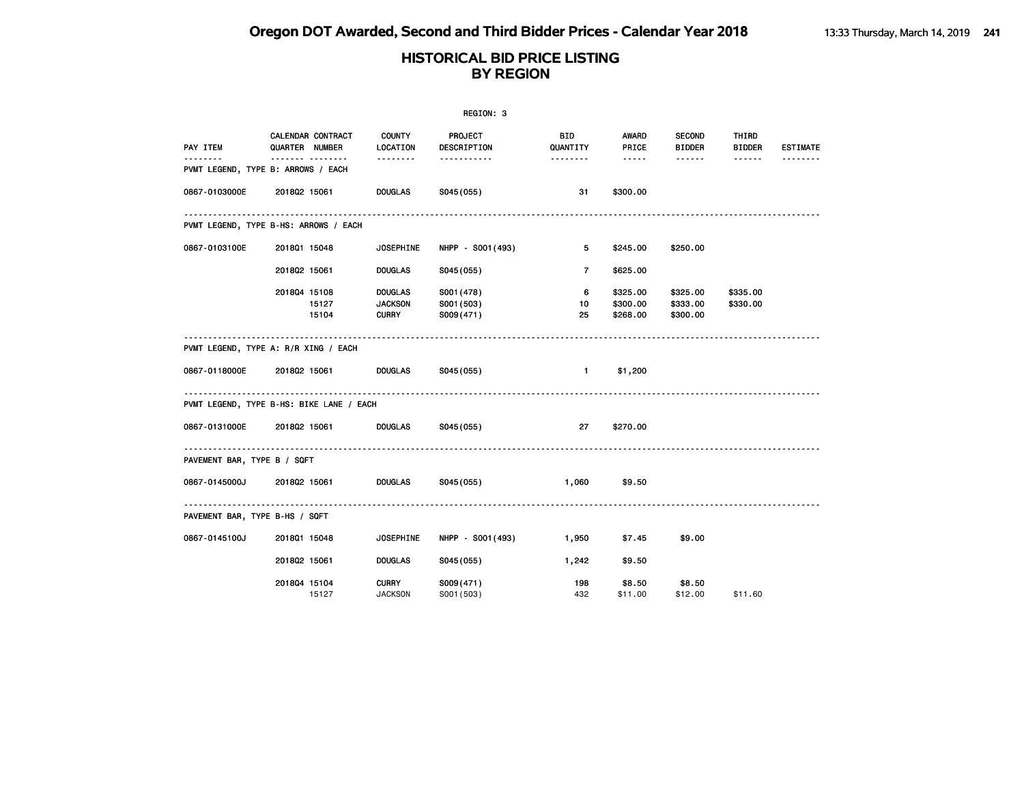|                                |                                          |                                                  | REGION: 3                             |                            |                                                                                                                                                      |                                  |                        |                 |
|--------------------------------|------------------------------------------|--------------------------------------------------|---------------------------------------|----------------------------|------------------------------------------------------------------------------------------------------------------------------------------------------|----------------------------------|------------------------|-----------------|
| PAY ITEM                       | CALENDAR CONTRACT<br>QUARTER NUMBER      | <b>COUNTY</b><br>LOCATION                        | PROJECT<br>DESCRIPTION                | BID<br>QUANTITY            | AWARD<br>PRICE                                                                                                                                       | <b>SECOND</b><br><b>BIDDER</b>   | THIRD<br><b>BIDDER</b> | <b>ESTIMATE</b> |
| <u>.</u>                       | .<br>PVMT LEGEND, TYPE B: ARROWS / EACH  | <u> - - - - - - -</u>                            | -----------                           | <u> - - - - - - -</u>      | $\frac{1}{2} \left( \frac{1}{2} \right) \left( \frac{1}{2} \right) \left( \frac{1}{2} \right) \left( \frac{1}{2} \right) \left( \frac{1}{2} \right)$ | $- - - - - -$                    | ------                 | <u>.</u>        |
| 0867-0103000E                  | 201802 15061                             | <b>DOUGLAS</b>                                   | S045 (055)                            | 31                         | \$300.00                                                                                                                                             |                                  |                        |                 |
|                                | PVMT LEGEND, TYPE B-HS: ARROWS / EACH    |                                                  |                                       |                            |                                                                                                                                                      |                                  |                        |                 |
| 0867-0103100E                  | 201801 15048                             | <b>JOSEPHINE</b>                                 | NHPP - S001 (493)                     | 5                          | \$245.00                                                                                                                                             | \$250.00                         |                        |                 |
|                                | 201802 15061                             | <b>DOUGLAS</b>                                   | S045 (055)                            | $\overline{7}$             | \$625.00                                                                                                                                             |                                  |                        |                 |
|                                | 201804 15108<br>15127<br>15104           | <b>DOUGLAS</b><br><b>JACKSON</b><br><b>CURRY</b> | S001 (478)<br>S001 (503)<br>S009(471) | 6<br>10<br>25              | \$325.00<br>\$300.00<br>\$268.00                                                                                                                     | \$325.00<br>\$333.00<br>\$300.00 | \$335.00<br>\$330.00   |                 |
|                                | PVMT LEGEND, TYPE A: R/R XING / EACH     |                                                  |                                       |                            |                                                                                                                                                      |                                  |                        |                 |
| 0867-0118000E                  | 201802 15061                             | <b>DOUGLAS</b>                                   | S045 (055)                            | <b>Example 1</b> Section 1 | \$1,200                                                                                                                                              |                                  |                        |                 |
|                                | PVMT LEGEND, TYPE B-HS: BIKE LANE / EACH |                                                  |                                       |                            |                                                                                                                                                      |                                  |                        |                 |
| 0867-0131000E 2018Q2 15061     |                                          | <b>DOUGLAS</b>                                   | S045(055)                             | 27                         | \$270.00                                                                                                                                             |                                  |                        |                 |
| PAVEMENT BAR, TYPE B / SQFT    |                                          |                                                  |                                       |                            |                                                                                                                                                      |                                  |                        |                 |
| 0867-0145000J                  | 201802 15061                             | <b>DOUGLAS</b>                                   | S045(055)                             | 1,060                      | \$9.50                                                                                                                                               |                                  |                        |                 |
| PAVEMENT BAR, TYPE B-HS / SQFT |                                          | .                                                |                                       |                            |                                                                                                                                                      |                                  |                        |                 |
| 0867-0145100J                  | 201801 15048                             | <b>JOSEPHINE</b>                                 | NHPP - S001 (493)                     | 1,950                      | \$7.45                                                                                                                                               | \$9.00                           |                        |                 |
|                                | 201802 15061                             | <b>DOUGLAS</b>                                   | S045 (055)                            | 1,242                      | \$9.50                                                                                                                                               |                                  |                        |                 |
|                                | 201804 15104<br>15127                    | <b>CURRY</b><br><b>JACKSON</b>                   | S009(471)<br>S001 (503)               | 198<br>432                 | \$8.50<br>\$11.00                                                                                                                                    | \$8.50<br>\$12.00                | \$11,60                |                 |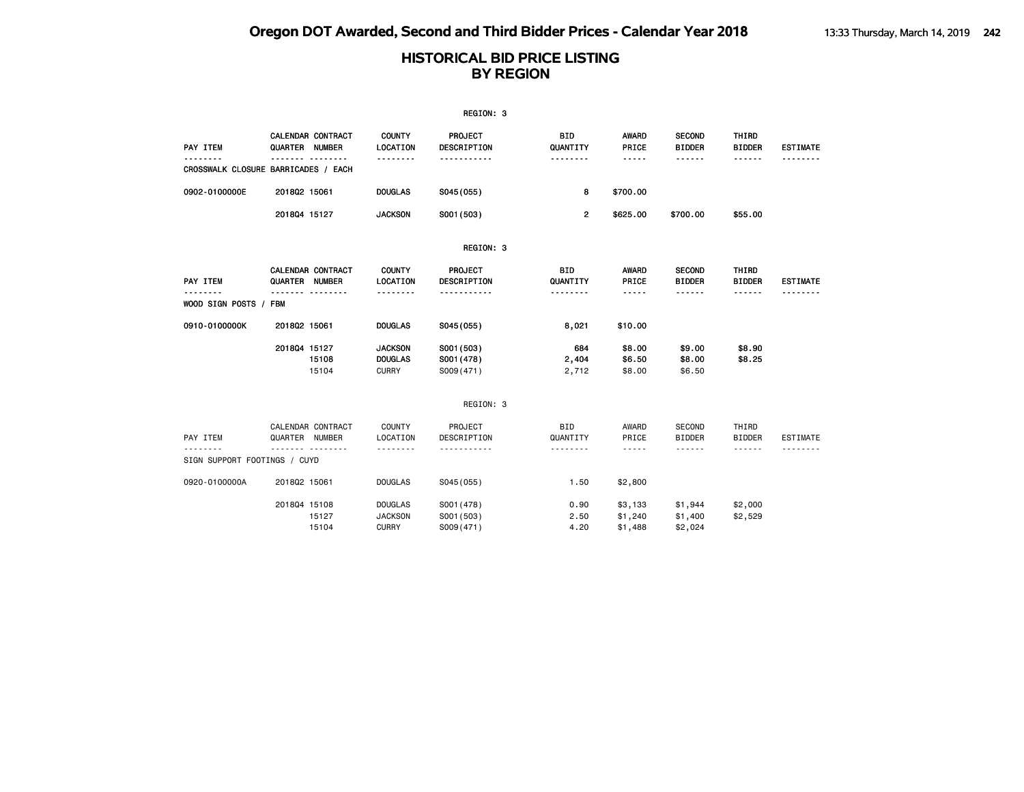|                                   |                                                            |                                                  | REGION: 3                             |                             |                                                 |                                          |                                  |                                    |
|-----------------------------------|------------------------------------------------------------|--------------------------------------------------|---------------------------------------|-----------------------------|-------------------------------------------------|------------------------------------------|----------------------------------|------------------------------------|
| PAY ITEM                          | CALENDAR CONTRACT<br>QUARTER NUMBER<br>---------           | <b>COUNTY</b><br>LOCATION<br>.                   | PROJECT<br>DESCRIPTION<br><u>.</u>    | <b>BID</b><br>QUANTITY<br>. | AWARD<br>PRICE<br>$- - - - -$                   | <b>SECOND</b><br><b>BIDDER</b><br>------ | THIRD<br><b>BIDDER</b><br>------ | <b>ESTIMATE</b><br>- - - - - - - - |
|                                   | CROSSWALK CLOSURE BARRICADES / EACH                        |                                                  |                                       |                             |                                                 |                                          |                                  |                                    |
| 0902-0100000E                     | 201802 15061                                               | <b>DOUGLAS</b>                                   | S045(055)                             | 8                           | \$700.00                                        |                                          |                                  |                                    |
|                                   | 201804 15127                                               | <b>JACKSON</b>                                   | S001 (503)                            | $\overline{2}$              | \$625.00                                        | \$700.00                                 | \$55.00                          |                                    |
|                                   |                                                            |                                                  | REGION: 3                             |                             |                                                 |                                          |                                  |                                    |
| PAY ITEM<br>WOOD SIGN POSTS / FBM | CALENDAR CONTRACT<br>QUARTER NUMBER<br><u>--- --------</u> | <b>COUNTY</b><br>LOCATION                        | PROJECT<br>DESCRIPTION                | <b>BID</b><br>QUANTITY<br>. | <b>AWARD</b><br>PRICE<br>$\cdots \cdots \cdots$ | <b>SECOND</b><br><b>BIDDER</b><br>------ | THIRD<br><b>BIDDER</b><br>------ | <b>ESTIMATE</b>                    |
| 0910-0100000K                     | 201802 15061                                               | <b>DOUGLAS</b>                                   | S045(055)                             | 8,021                       | \$10.00                                         |                                          |                                  |                                    |
|                                   | 201804 15127<br>15108<br>15104                             | <b>JACKSON</b><br><b>DOUGLAS</b><br><b>CURRY</b> | S001 (503)<br>S001 (478)<br>S009(471) | 684<br>2,404<br>2,712       | \$8.00<br>\$6.50<br>\$8.00                      | \$9.00<br>\$8.00<br>\$6.50               | \$8.90<br>\$8.25                 |                                    |
|                                   |                                                            |                                                  | REGION: 3                             |                             |                                                 |                                          |                                  |                                    |
| PAY ITEM                          | CALENDAR CONTRACT<br>QUARTER NUMBER                        | COUNTY<br>LOCATION                               | PROJECT<br>DESCRIPTION                | BID<br>QUANTITY             | AWARD<br>PRICE                                  | SECOND<br><b>BIDDER</b>                  | THIRD<br><b>BIDDER</b>           | ESTIMATE                           |
| SIGN SUPPORT FOOTINGS / CUYD      | .                                                          | .                                                | .                                     | .                           | -----                                           | ------                                   | ------                           |                                    |
| 0920-0100000A                     | 201802 15061                                               | <b>DOUGLAS</b>                                   | SO45(055)                             | 1.50                        | \$2,800                                         |                                          |                                  |                                    |
|                                   | 201804 15108<br>15127<br>15104                             | <b>DOUGLAS</b><br><b>JACKSON</b><br><b>CURRY</b> | S001 (478)<br>S001 (503)<br>S009(471) | 0.90<br>2.50<br>4.20        | \$3,133<br>\$1,240<br>\$1,488                   | \$1,944<br>\$1,400<br>\$2,024            | \$2,000<br>\$2,529               |                                    |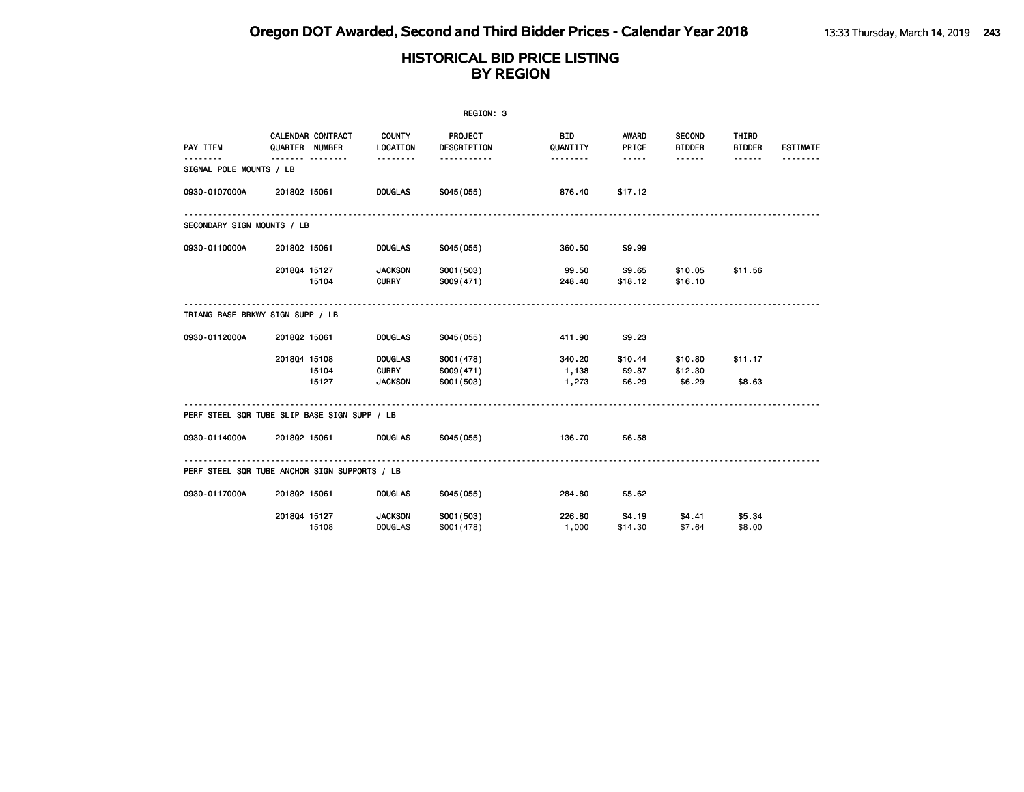|                              |                                               |                                                  | REGION: 3                             |                          |                             |                                |                        |                 |
|------------------------------|-----------------------------------------------|--------------------------------------------------|---------------------------------------|--------------------------|-----------------------------|--------------------------------|------------------------|-----------------|
| PAY ITEM                     | <b>CALENDAR CONTRACT</b><br>QUARTER NUMBER    | <b>COUNTY</b><br>LOCATION                        | PROJECT<br>DESCRIPTION                | <b>BID</b><br>QUANTITY   | <b>AWARD</b><br>PRICE       | <b>SECOND</b><br><b>BIDDER</b> | THIRD<br><b>BIDDER</b> | <b>ESTIMATE</b> |
| .<br>SIGNAL POLE MOUNTS / LB | -------- --------                             | .                                                |                                       | .                        | $\cdots$                    | .                              |                        |                 |
| 0930-0107000A                | 201802 15061                                  | <b>DOUGLAS</b>                                   | S045 (055)                            | 876.40                   | \$17.12                     |                                |                        |                 |
| SECONDARY SIGN MOUNTS / LB   |                                               |                                                  |                                       |                          |                             |                                |                        |                 |
| 0930-0110000A                | 201802 15061                                  | <b>DOUGLAS</b>                                   | S045(055)                             | 360.50                   | \$9.99                      |                                |                        |                 |
|                              | 201804 15127<br>15104                         | <b>JACKSON</b><br><b>CURRY</b>                   | S001 (503)<br>S009(471)               | 99.50<br>248.40          | \$9.65<br>\$18.12           | \$10.05<br>\$16.10             | \$11.56                |                 |
|                              | TRIANG BASE BRKWY SIGN SUPP / LB              |                                                  |                                       |                          |                             |                                |                        |                 |
| 0930-0112000A                | 201802 15061                                  | <b>DOUGLAS</b>                                   | S045(055)                             | 411.90                   | \$9.23                      |                                |                        |                 |
|                              | 201804 15108<br>15104<br>15127                | <b>DOUGLAS</b><br><b>CURRY</b><br><b>JACKSON</b> | S001 (478)<br>S009(471)<br>S001 (503) | 340.20<br>1,138<br>1,273 | \$10.44<br>\$9.87<br>\$6.29 | \$10.80<br>\$12.30<br>\$6.29   | \$11.17<br>\$8.63      |                 |
|                              | PERF STEEL SQR TUBE SLIP BASE SIGN SUPP / LB  |                                                  |                                       |                          |                             |                                |                        |                 |
|                              | 0930-0114000A 2018Q2 15061 DOUGLAS            |                                                  | S045(055)                             | 136.70                   | \$6.58                      |                                |                        |                 |
|                              | PERF STEEL SQR TUBE ANCHOR SIGN SUPPORTS / LB |                                                  |                                       |                          |                             |                                |                        |                 |
| 0930-0117000A                | 201802 15061                                  | <b>DOUGLAS</b>                                   | S045 (055)                            | 284.80                   | \$5.62                      |                                |                        |                 |
|                              | 201804 15127<br>15108                         | <b>JACKSON</b><br><b>DOUGLAS</b>                 | S001 (503)<br>S001 (478)              | 226.80<br>1,000          | \$4.19<br>\$14.30           | \$4.41<br>\$7.64               | \$5.34<br>\$8.00       |                 |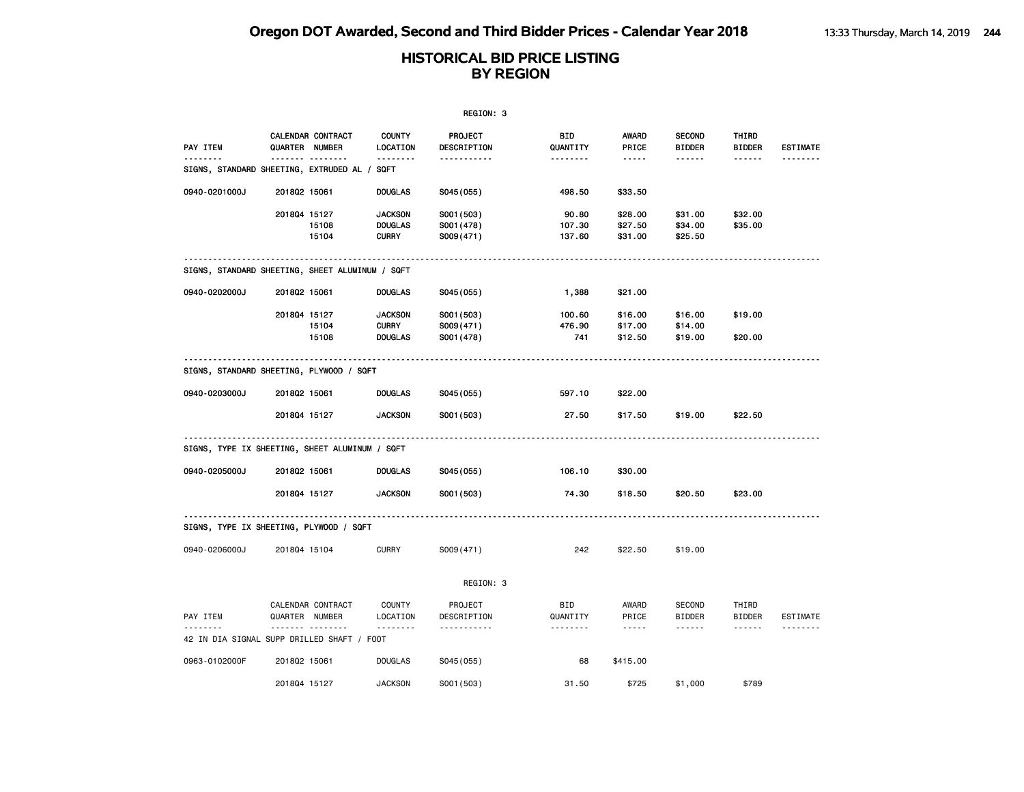|                                                 |              |                                                 |                                                  | REGION: 3                             |                             |                                                                                                                                                      |                                          |                                                                                                                                                                                                                                                                                                                                                                                                                                                                            |                 |
|-------------------------------------------------|--------------|-------------------------------------------------|--------------------------------------------------|---------------------------------------|-----------------------------|------------------------------------------------------------------------------------------------------------------------------------------------------|------------------------------------------|----------------------------------------------------------------------------------------------------------------------------------------------------------------------------------------------------------------------------------------------------------------------------------------------------------------------------------------------------------------------------------------------------------------------------------------------------------------------------|-----------------|
| PAY ITEM                                        |              | CALENDAR CONTRACT<br>QUARTER NUMBER<br><u> </u> | <b>COUNTY</b><br>LOCATION<br><u>.</u>            | PROJECT<br>DESCRIPTION<br>.           | BID<br>QUANTITY<br><u>.</u> | <b>AWARD</b><br>PRICE<br>-----                                                                                                                       | <b>SECOND</b><br><b>BIDDER</b><br>------ | THIRD<br><b>BIDDER</b><br>------                                                                                                                                                                                                                                                                                                                                                                                                                                           | <b>ESTIMATE</b> |
| SIGNS, STANDARD SHEETING, EXTRUDED AL / SQFT    |              |                                                 |                                                  |                                       |                             |                                                                                                                                                      |                                          |                                                                                                                                                                                                                                                                                                                                                                                                                                                                            |                 |
| 0940-0201000J                                   | 201802 15061 |                                                 | <b>DOUGLAS</b>                                   | S045 (055)                            | 498.50                      | \$33.50                                                                                                                                              |                                          |                                                                                                                                                                                                                                                                                                                                                                                                                                                                            |                 |
|                                                 | 201804 15127 | 15108<br>15104                                  | <b>JACKSON</b><br><b>DOUGLAS</b><br><b>CURRY</b> | S001 (503)<br>S001 (478)<br>S009(471) | 90.80<br>107.30<br>137.60   | \$28.00<br>\$27.50<br>\$31.00                                                                                                                        | \$31.00<br>\$34.00<br>\$25.50            | \$32.00<br>\$35.00                                                                                                                                                                                                                                                                                                                                                                                                                                                         |                 |
| SIGNS, STANDARD SHEETING, SHEET ALUMINUM / SQFT |              |                                                 |                                                  |                                       |                             |                                                                                                                                                      |                                          |                                                                                                                                                                                                                                                                                                                                                                                                                                                                            |                 |
| 0940-0202000J                                   | 201802 15061 |                                                 | <b>DOUGLAS</b>                                   | S045(055)                             | 1,388                       | \$21.00                                                                                                                                              |                                          |                                                                                                                                                                                                                                                                                                                                                                                                                                                                            |                 |
|                                                 | 201804 15127 | 15104<br>15108                                  | <b>JACKSON</b><br><b>CURRY</b><br><b>DOUGLAS</b> | S001 (503)<br>S009(471)<br>S001 (478) | 100.60<br>476.90<br>741     | \$16.00<br>\$17.00<br>\$12.50                                                                                                                        | \$16.00<br>\$14.00<br>\$19.00            | \$19.00<br>\$20.00                                                                                                                                                                                                                                                                                                                                                                                                                                                         |                 |
| SIGNS, STANDARD SHEETING, PLYWOOD / SQFT        |              |                                                 |                                                  |                                       |                             |                                                                                                                                                      |                                          |                                                                                                                                                                                                                                                                                                                                                                                                                                                                            |                 |
| 0940-0203000J                                   | 201802 15061 |                                                 | <b>DOUGLAS</b>                                   | S045(055)                             | 597.10                      | \$22.00                                                                                                                                              |                                          |                                                                                                                                                                                                                                                                                                                                                                                                                                                                            |                 |
|                                                 | 201804 15127 |                                                 | <b>JACKSON</b>                                   | S001 (503)                            | 27.50                       | \$17.50                                                                                                                                              | \$19.00                                  | \$22.50                                                                                                                                                                                                                                                                                                                                                                                                                                                                    |                 |
| SIGNS, TYPE IX SHEETING, SHEET ALUMINUM / SQFT  |              |                                                 |                                                  |                                       |                             |                                                                                                                                                      |                                          |                                                                                                                                                                                                                                                                                                                                                                                                                                                                            |                 |
| 0940-0205000J                                   | 201802 15061 |                                                 | <b>DOUGLAS</b>                                   | S045(055)                             | 106.10                      | \$30.00                                                                                                                                              |                                          |                                                                                                                                                                                                                                                                                                                                                                                                                                                                            |                 |
|                                                 | 201804 15127 |                                                 | <b>JACKSON</b>                                   | S001 (503)                            | 74.30                       | \$18.50                                                                                                                                              | \$20.50                                  | \$23.00                                                                                                                                                                                                                                                                                                                                                                                                                                                                    |                 |
| SIGNS, TYPE IX SHEETING, PLYWOOD / SQFT         |              |                                                 |                                                  |                                       |                             |                                                                                                                                                      |                                          |                                                                                                                                                                                                                                                                                                                                                                                                                                                                            |                 |
| 0940-0206000J                                   | 201804 15104 |                                                 | <b>CURRY</b>                                     | S009(471)                             | 242                         | \$22.50                                                                                                                                              | \$19.00                                  |                                                                                                                                                                                                                                                                                                                                                                                                                                                                            |                 |
|                                                 |              |                                                 |                                                  | REGION: 3                             |                             |                                                                                                                                                      |                                          |                                                                                                                                                                                                                                                                                                                                                                                                                                                                            |                 |
| PAY ITEM                                        |              | CALENDAR CONTRACT<br>QUARTER NUMBER             | COUNTY<br>LOCATION                               | PROJECT<br>DESCRIPTION                | BID<br>QUANTITY             | AWARD<br>PRICE                                                                                                                                       | SECOND<br><b>BIDDER</b>                  | THIRD<br><b>BIDDER</b>                                                                                                                                                                                                                                                                                                                                                                                                                                                     | ESTIMATE        |
| 42 IN DIA SIGNAL SUPP DRILLED SHAFT / FOOT      |              | <b>.</b>                                        | <u>.</u>                                         | .                                     | .                           | $\frac{1}{2} \left( \frac{1}{2} \right) \left( \frac{1}{2} \right) \left( \frac{1}{2} \right) \left( \frac{1}{2} \right) \left( \frac{1}{2} \right)$ | ------                                   | $\frac{1}{2} \left( \frac{1}{2} \right) \left( \frac{1}{2} \right) \left( \frac{1}{2} \right) \left( \frac{1}{2} \right) \left( \frac{1}{2} \right) \left( \frac{1}{2} \right) \left( \frac{1}{2} \right) \left( \frac{1}{2} \right) \left( \frac{1}{2} \right) \left( \frac{1}{2} \right) \left( \frac{1}{2} \right) \left( \frac{1}{2} \right) \left( \frac{1}{2} \right) \left( \frac{1}{2} \right) \left( \frac{1}{2} \right) \left( \frac{1}{2} \right) \left( \frac$ | .               |
| 0963-0102000F                                   | 201802 15061 |                                                 | <b>DOUGLAS</b>                                   | S045 (055)                            | 68                          | \$415.00                                                                                                                                             |                                          |                                                                                                                                                                                                                                                                                                                                                                                                                                                                            |                 |
|                                                 | 201804 15127 |                                                 | <b>JACKSON</b>                                   | S001 (503)                            | 31.50                       | \$725                                                                                                                                                | \$1,000                                  | \$789                                                                                                                                                                                                                                                                                                                                                                                                                                                                      |                 |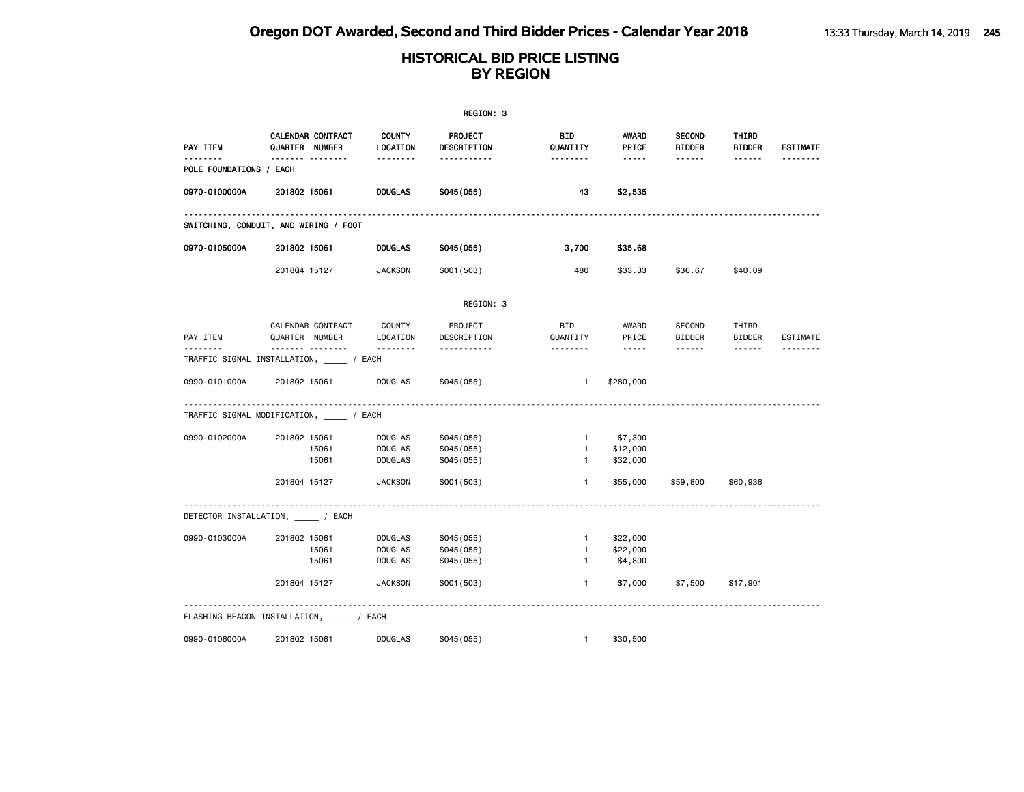|                                     |                                          |                           | REGION: 3              |                 |                        |                                |                        |                 |
|-------------------------------------|------------------------------------------|---------------------------|------------------------|-----------------|------------------------|--------------------------------|------------------------|-----------------|
| PAY ITEM                            | CALENDAR CONTRACT<br>QUARTER NUMBER      | <b>COUNTY</b><br>LOCATION | PROJECT<br>DESCRIPTION | BID<br>QUANTITY | AWARD<br>PRICE         | <b>SECOND</b><br><b>BIDDER</b> | THIRD<br><b>BIDDER</b> | <b>ESTIMATE</b> |
| <u>.</u><br>POLE FOUNDATIONS / EACH | <b>.</b>                                 | --------                  | -----------            | --------        | $\cdots \cdots \cdots$ | ------                         | ------                 |                 |
| 0970-0100000A                       | 201802 15061                             | <b>DOUGLAS</b>            | S045(055)              | 43              | \$2,535                |                                |                        |                 |
|                                     | SWITCHING, CONDUIT, AND WIRING / FOOT    |                           |                        |                 |                        |                                |                        |                 |
| 0970-0105000A                       | 201802 15061                             | <b>DOUGLAS</b>            | S045(055)              | 3,700           | \$35.68                |                                |                        |                 |
|                                     | 201804 15127                             | <b>JACKSON</b>            | S001 (503)             | 480             | \$33.33                | \$36.67                        | \$40.09                |                 |
|                                     |                                          |                           | REGION: 3              |                 |                        |                                |                        |                 |
| PAY ITEM                            | CALENDAR CONTRACT<br>QUARTER NUMBER      | COUNTY<br>LOCATION        | PROJECT<br>DESCRIPTION | BID<br>QUANTITY | AWARD<br>PRICE         | SECOND<br><b>BIDDER</b>        | THIRD<br>BIDDER        | <b>ESTIMATE</b> |
| --------                            | .<br>TRAFFIC SIGNAL INSTALLATION, / EACH |                           | -----------            | .               | $- - - - -$            | .                              | ------                 | --------        |
| 0990-0101000A                       | 201802 15061                             | DOUGLAS                   | S045 (055)             | $\mathbf{1}$    | \$280,000              |                                |                        |                 |
|                                     | TRAFFIC SIGNAL MODIFICATION, ____ / EACH |                           |                        |                 |                        |                                |                        |                 |
| 0990-0102000A                       | 201802 15061                             | <b>DOUGLAS</b>            | S045 (055)             | $\mathbf{1}$    | \$7,300                |                                |                        |                 |
|                                     | 15061                                    | <b>DOUGLAS</b>            | SO45(055)              | $\mathbf{1}$    | \$12,000               |                                |                        |                 |
|                                     | 15061                                    | <b>DOUGLAS</b>            | S045 (055)             | $\mathbf{1}$    | \$32,000               |                                |                        |                 |
|                                     | 201804 15127                             | <b>JACKSON</b>            | S001 (503)             | $\mathbf{1}$    | \$55,000               | \$59,800                       | \$60,936               |                 |
|                                     | DETECTOR INSTALLATION, / EACH            |                           |                        |                 |                        |                                |                        |                 |
| 0990-0103000A                       | 201802 15061                             | <b>DOUGLAS</b>            | S045 (055)             | $\mathbf{1}$    | \$22,000               |                                |                        |                 |
|                                     | 15061                                    | <b>DOUGLAS</b>            | S045 (055)             | 1               | \$22,000               |                                |                        |                 |
|                                     | 15061                                    | <b>DOUGLAS</b>            | S045 (055)             | 1               | \$4,800                |                                |                        |                 |
|                                     | 201804 15127                             | <b>JACKSON</b>            | S001 (503)             | $\mathbf{1}$    | \$7,000                | \$7,500                        | \$17,901               |                 |
|                                     | FLASHING BEACON INSTALLATION, 7 ACH      |                           |                        |                 |                        |                                |                        |                 |
| 0990-0106000A                       | 201802 15061                             | <b>DOUGLAS</b>            | S045 (055)             | $\mathbf{1}$    | \$30,500               |                                |                        |                 |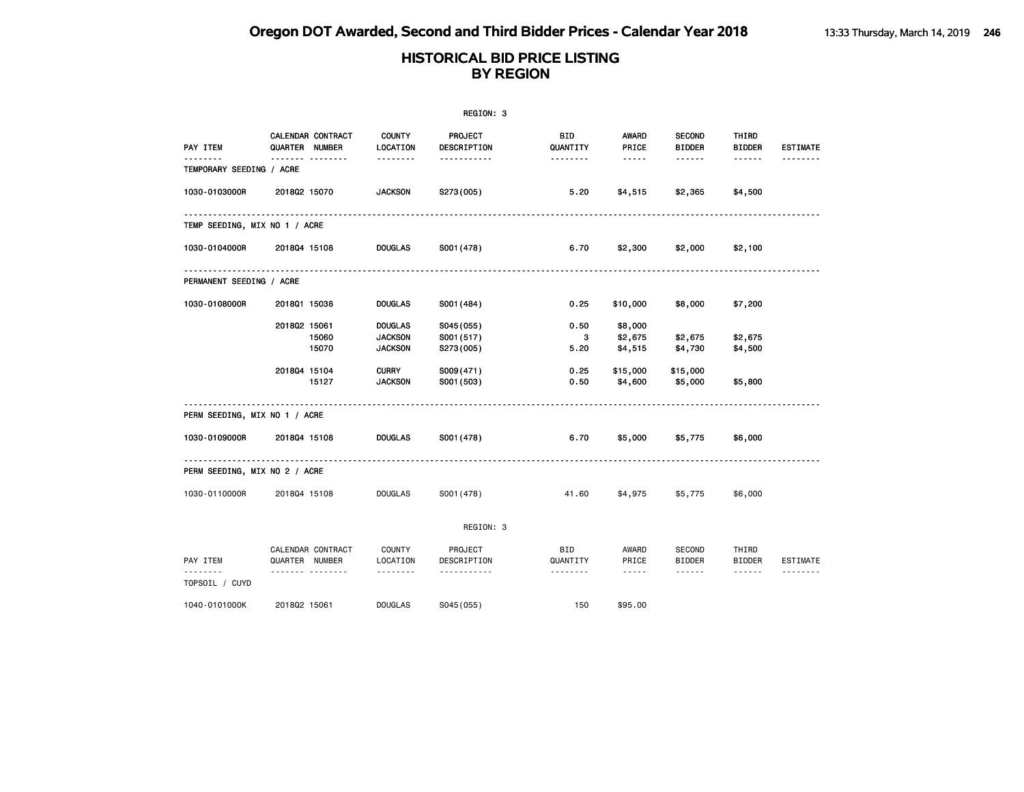#### **HISTORICAL BID PRICE LISTING BY REGION**

|                               |                                          |                                                    | REGION: 3                            |                        |                                                                                                                                                                        |                                |                                                                                                                                                                                                                                                                                                                                                                                                                                                                                               |                      |
|-------------------------------|------------------------------------------|----------------------------------------------------|--------------------------------------|------------------------|------------------------------------------------------------------------------------------------------------------------------------------------------------------------|--------------------------------|-----------------------------------------------------------------------------------------------------------------------------------------------------------------------------------------------------------------------------------------------------------------------------------------------------------------------------------------------------------------------------------------------------------------------------------------------------------------------------------------------|----------------------|
| PAY ITEM                      | CALENDAR CONTRACT<br>QUARTER NUMBER      | <b>COUNTY</b><br>LOCATION                          | PROJECT<br>DESCRIPTION               | <b>BID</b><br>QUANTITY | <b>AWARD</b><br>PRICE                                                                                                                                                  | <b>SECOND</b><br><b>BIDDER</b> | THIRD<br><b>BIDDER</b>                                                                                                                                                                                                                                                                                                                                                                                                                                                                        | <b>ESTIMATE</b>      |
| .<br>TEMPORARY SEEDING / ACRE |                                          | .                                                  | -----------                          | <u> - - - - - - -</u>  | $\cdots \cdots$                                                                                                                                                        | ------                         | $- - - - - -$                                                                                                                                                                                                                                                                                                                                                                                                                                                                                 | .                    |
| 1030-0103000R                 | 201802 15070                             | <b>JACKSON</b>                                     | S273(005)                            | 5.20                   | \$4,515                                                                                                                                                                | \$2,365                        | \$4,500                                                                                                                                                                                                                                                                                                                                                                                                                                                                                       |                      |
| TEMP SEEDING, MIX NO 1 / ACRE |                                          |                                                    |                                      |                        |                                                                                                                                                                        |                                |                                                                                                                                                                                                                                                                                                                                                                                                                                                                                               |                      |
| 1030-0104000R                 | 201804 15108                             | <b>DOUGLAS</b>                                     | S001 (478)                           | 6.70                   | \$2,300                                                                                                                                                                | \$2,000                        | \$2,100                                                                                                                                                                                                                                                                                                                                                                                                                                                                                       |                      |
| PERMANENT SEEDING / ACRE      |                                          |                                                    |                                      |                        |                                                                                                                                                                        |                                |                                                                                                                                                                                                                                                                                                                                                                                                                                                                                               |                      |
| 1030-0108000R                 | 201801 15038                             | <b>DOUGLAS</b>                                     | S001 (484)                           | 0.25                   | \$10,000                                                                                                                                                               | \$8,000                        | \$7,200                                                                                                                                                                                                                                                                                                                                                                                                                                                                                       |                      |
|                               | 201802 15061<br>15060<br>15070           | <b>DOUGLAS</b><br><b>JACKSON</b><br><b>JACKSON</b> | S045(055)<br>S001 (517)<br>S273(005) | 0.50<br>3<br>5.20      | \$8,000<br>\$2,675<br>\$4,515                                                                                                                                          | \$2,675<br>\$4,730             | \$2,675<br>\$4,500                                                                                                                                                                                                                                                                                                                                                                                                                                                                            |                      |
|                               | 201804 15104<br>15127                    | <b>CURRY</b><br><b>JACKSON</b>                     | S009(471)<br>S001 (503)              | 0.25<br>0.50           | \$15,000<br>\$4,600                                                                                                                                                    | \$15,000<br>\$5,000            | \$5,800                                                                                                                                                                                                                                                                                                                                                                                                                                                                                       |                      |
| PERM SEEDING, MIX NO 1 / ACRE |                                          |                                                    |                                      |                        |                                                                                                                                                                        |                                |                                                                                                                                                                                                                                                                                                                                                                                                                                                                                               |                      |
| 1030-0109000R                 | 201804 15108                             | <b>DOUGLAS</b>                                     | S001 (478)                           | 6.70                   | \$5,000                                                                                                                                                                | \$5,775                        | \$6,000                                                                                                                                                                                                                                                                                                                                                                                                                                                                                       |                      |
| PERM SEEDING, MIX NO 2 / ACRE |                                          |                                                    |                                      |                        |                                                                                                                                                                        |                                |                                                                                                                                                                                                                                                                                                                                                                                                                                                                                               |                      |
| 1030-0110000R                 | 201804 15108                             | <b>DOUGLAS</b>                                     | S001 (478)                           | 41.60                  | \$4,975                                                                                                                                                                | \$5,775                        | \$6,000                                                                                                                                                                                                                                                                                                                                                                                                                                                                                       |                      |
|                               |                                          |                                                    | REGION: 3                            |                        |                                                                                                                                                                        |                                |                                                                                                                                                                                                                                                                                                                                                                                                                                                                                               |                      |
| PAY ITEM<br>.                 | CALENDAR CONTRACT<br>QUARTER NUMBER<br>. | COUNTY<br>LOCATION<br>.                            | PROJECT<br>DESCRIPTION<br><u>.</u>   | BID<br>QUANTITY<br>.   | AWARD<br>PRICE<br>$\frac{1}{2} \left( \frac{1}{2} \right) \left( \frac{1}{2} \right) \left( \frac{1}{2} \right) \left( \frac{1}{2} \right) \left( \frac{1}{2} \right)$ | SECOND<br><b>BIDDER</b>        | THIRD<br>BIDDER<br>$\frac{1}{2} \left( \frac{1}{2} \right) \left( \frac{1}{2} \right) \left( \frac{1}{2} \right) \left( \frac{1}{2} \right) \left( \frac{1}{2} \right) \left( \frac{1}{2} \right) \left( \frac{1}{2} \right) \left( \frac{1}{2} \right) \left( \frac{1}{2} \right) \left( \frac{1}{2} \right) \left( \frac{1}{2} \right) \left( \frac{1}{2} \right) \left( \frac{1}{2} \right) \left( \frac{1}{2} \right) \left( \frac{1}{2} \right) \left( \frac{1}{2} \right) \left( \frac$ | ESTIMATE<br><u>.</u> |
| TOPSOIL / CUYD                |                                          |                                                    |                                      |                        |                                                                                                                                                                        |                                |                                                                                                                                                                                                                                                                                                                                                                                                                                                                                               |                      |

1040-0101000K 2018Q2 15061 DOUGLAS S045(055) 150 \$95.00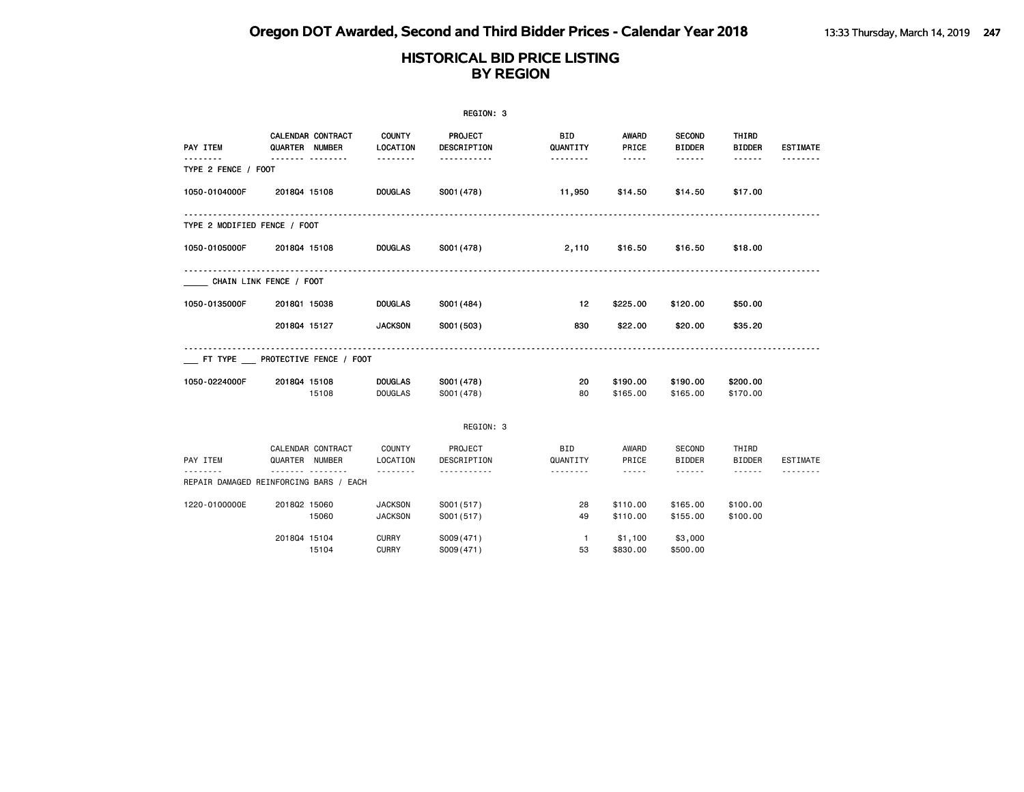|                                        |              |                                     |                                  | REGION: 3                |                        |                      |                                |                               |                 |
|----------------------------------------|--------------|-------------------------------------|----------------------------------|--------------------------|------------------------|----------------------|--------------------------------|-------------------------------|-----------------|
| PAY ITEM                               |              | CALENDAR CONTRACT<br>QUARTER NUMBER | <b>COUNTY</b><br>LOCATION        | PROJECT<br>DESCRIPTION   | <b>BID</b><br>QUANTITY | AWARD<br>PRICE       | <b>SECOND</b><br><b>BIDDER</b> | THIRD<br><b>BIDDER</b>        | <b>ESTIMATE</b> |
| .<br>TYPE 2 FENCE / FOOT               |              | .                                   | --------                         | -----------              | --------               | $- - - - -$          | ------                         | ------                        |                 |
| 1050-0104000F                          | 201804 15108 |                                     | <b>DOUGLAS</b>                   | S001 (478)               | 11,950                 | \$14.50              | \$14.50                        | \$17.00                       |                 |
| TYPE 2 MODIFIED FENCE / FOOT           |              |                                     |                                  |                          |                        |                      |                                |                               |                 |
| 1050-0105000F                          | 2018Q4 15108 |                                     | DOUGLAS                          | S001 (478)               | 2,110                  | \$16.50              | \$16.50                        | \$18.00                       |                 |
| CHAIN LINK FENCE / FOOT                |              |                                     |                                  |                          |                        |                      |                                |                               |                 |
| 1050-0135000F                          | 201801 15038 |                                     | <b>DOUGLAS</b>                   | S001 (484)               | 12 <sup>12</sup>       | \$225.00             | \$120.00                       | \$50.00                       |                 |
|                                        | 201804 15127 |                                     | <b>JACKSON</b>                   | S001 (503)               | 830                    | \$22.00              | \$20.00                        | \$35.20                       |                 |
| FT TYPE PROTECTIVE FENCE / FOOT        |              |                                     |                                  |                          |                        |                      |                                |                               |                 |
| 1050-0224000F                          | 201804 15108 | 15108                               | <b>DOUGLAS</b><br><b>DOUGLAS</b> | S001 (478)<br>S001 (478) | 20<br>80               | \$190.00<br>\$165.00 | \$190.00<br>\$165.00           | \$200.00<br>\$170.00          |                 |
|                                        |              |                                     |                                  | REGION: 3                |                        |                      |                                |                               |                 |
| PAY ITEM                               |              | CALENDAR CONTRACT<br>QUARTER NUMBER | COUNTY<br>LOCATION               | PROJECT<br>DESCRIPTION   | BID<br>QUANTITY        | AWARD<br>PRICE       | SECOND<br><b>BIDDER</b>        | THIRD<br><b>BIDDER</b>        | <b>ESTIMATE</b> |
| REPAIR DAMAGED REINFORCING BARS / EACH |              |                                     | .                                | .                        | <u>.</u>               | $\cdots$             | ------                         | $\cdots \cdots \cdots \cdots$ |                 |
| 1220-0100000E                          | 201802 15060 | 15060                               | <b>JACKSON</b><br><b>JACKSON</b> | S001(517)<br>S001(517)   | 28<br>49               | \$110.00<br>\$110.00 | \$165.00<br>\$155.00           | \$100.00<br>\$100.00          |                 |
|                                        | 201804 15104 | 15104                               | <b>CURRY</b><br><b>CURRY</b>     | S009(471)<br>S009(471)   | $\mathbf{1}$<br>53     | \$1,100<br>\$830.00  | \$3,000<br>\$500.00            |                               |                 |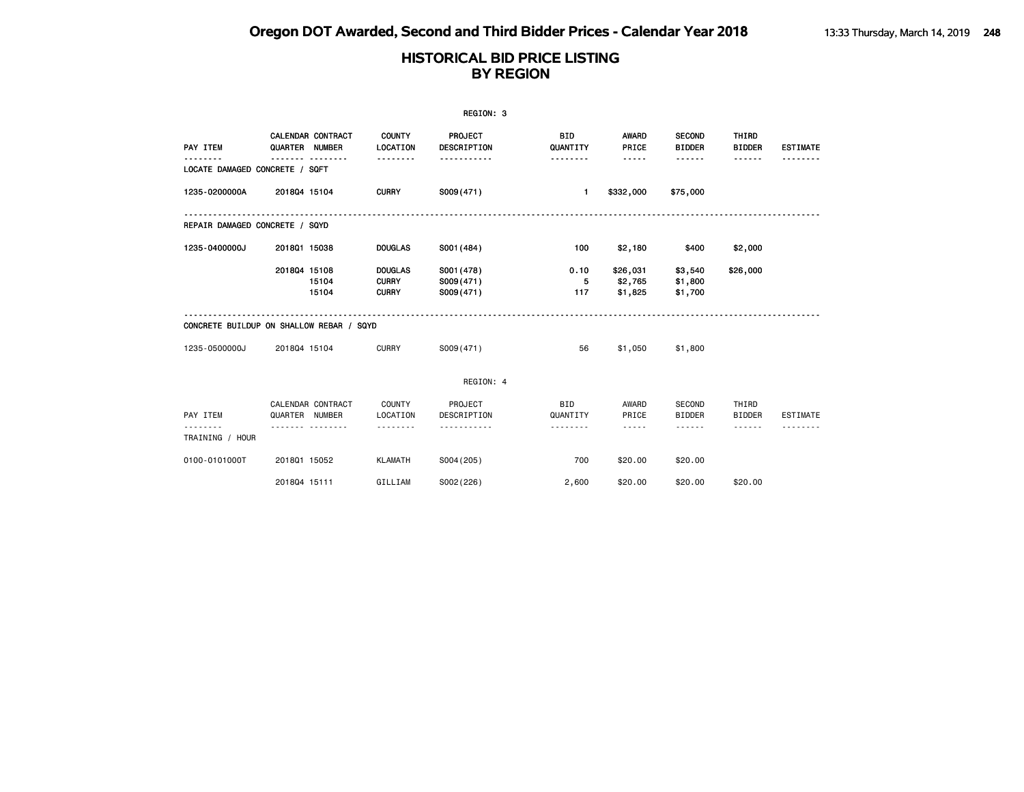|                                          |                |                                     |                                                | REGION: 3                            |                             |                                                                                                                                                                        |                                          |                                  |                 |
|------------------------------------------|----------------|-------------------------------------|------------------------------------------------|--------------------------------------|-----------------------------|------------------------------------------------------------------------------------------------------------------------------------------------------------------------|------------------------------------------|----------------------------------|-----------------|
| PAY ITEM                                 | QUARTER NUMBER | <b>CALENDAR CONTRACT</b><br>.       | <b>COUNTY</b><br>LOCATION<br>.                 | PROJECT<br>DESCRIPTION<br>.          | <b>BID</b><br>QUANTITY<br>. | <b>AWARD</b><br>PRICE<br>-----                                                                                                                                         | <b>SECOND</b><br><b>BIDDER</b><br>.      | THIRD<br><b>BIDDER</b><br>------ | <b>ESTIMATE</b> |
| LOCATE DAMAGED CONCRETE / SQFT           |                |                                     |                                                |                                      |                             |                                                                                                                                                                        |                                          |                                  |                 |
| 1235-0200000A                            | 201804 15104   |                                     | <b>CURRY</b>                                   | S009(471)                            | $\blacksquare$              | \$332,000                                                                                                                                                              | \$75,000                                 |                                  |                 |
| REPAIR DAMAGED CONCRETE / SQYD           |                |                                     |                                                |                                      |                             |                                                                                                                                                                        |                                          |                                  |                 |
| 1235-0400000J                            | 201801 15038   |                                     | <b>DOUGLAS</b>                                 | S001 (484)                           | 100                         | \$2,180                                                                                                                                                                | \$400                                    | \$2,000                          |                 |
|                                          | 201804 15108   | 15104<br>15104                      | <b>DOUGLAS</b><br><b>CURRY</b><br><b>CURRY</b> | S001 (478)<br>S009(471)<br>S009(471) | 0.10<br>5<br>117            | \$26,031<br>\$2,765<br>\$1,825                                                                                                                                         | \$3,540<br>\$1,800<br>\$1,700            | \$26,000                         |                 |
| CONCRETE BUILDUP ON SHALLOW REBAR / SQYD |                |                                     |                                                |                                      |                             |                                                                                                                                                                        |                                          |                                  |                 |
| 1235-0500000J                            | 201804 15104   |                                     | <b>CURRY</b>                                   | S009(471)                            | 56                          | \$1,050                                                                                                                                                                | \$1,800                                  |                                  |                 |
|                                          |                |                                     |                                                | REGION: 4                            |                             |                                                                                                                                                                        |                                          |                                  |                 |
| PAY ITEM                                 | QUARTER NUMBER | CALENDAR CONTRACT<br>. <b>. .</b> . | COUNTY<br>LOCATION<br><u>.</u>                 | PROJECT<br>DESCRIPTION<br>.          | <b>BID</b><br>QUANTITY<br>. | AWARD<br>PRICE<br>$\frac{1}{2} \left( \frac{1}{2} \right) \left( \frac{1}{2} \right) \left( \frac{1}{2} \right) \left( \frac{1}{2} \right) \left( \frac{1}{2} \right)$ | <b>SECOND</b><br><b>BIDDER</b><br>------ | THIRD<br><b>BIDDER</b>           | <b>ESTIMATE</b> |
| TRAINING / HOUR                          |                |                                     |                                                |                                      |                             |                                                                                                                                                                        |                                          |                                  |                 |
| 0100-0101000T                            | 201801 15052   |                                     | <b>KLAMATH</b>                                 | S004 (205)                           | 700                         | \$20.00                                                                                                                                                                | \$20.00                                  |                                  |                 |
|                                          | 201804 15111   |                                     | GILLIAM                                        | S002(226)                            | 2,600                       | \$20.00                                                                                                                                                                | \$20.00                                  | \$20.00                          |                 |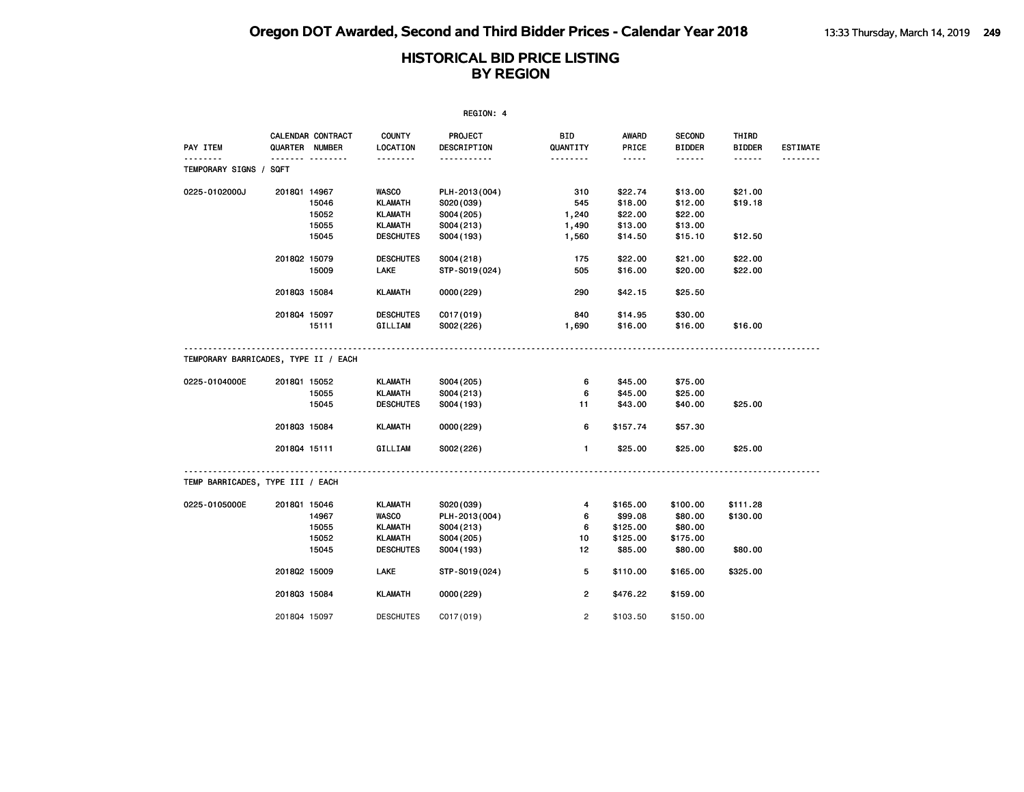|                                      |              |                                            |                                    | REGION: 4                   |                 |                     |                                |                        |                 |
|--------------------------------------|--------------|--------------------------------------------|------------------------------------|-----------------------------|-----------------|---------------------|--------------------------------|------------------------|-----------------|
| PAY ITEM                             |              | CALENDAR CONTRACT<br><b>QUARTER NUMBER</b> | <b>COUNTY</b><br>LOCATION          | PROJECT<br>DESCRIPTION      | BID<br>QUANTITY | AWARD<br>PRICE      | <b>SECOND</b><br><b>BIDDER</b> | THIRD<br><b>BIDDER</b> | <b>ESTIMATE</b> |
| .<br>TEMPORARY SIGNS / SQFT          |              | <b>.</b>                                   | <u>.</u>                           | .                           | <u>.</u>        | -----               | ------                         | ------                 |                 |
| 0225-0102000J                        | 2018Q1 14967 |                                            | WASCO                              | PLH-2013(004)               | 310             | \$22.74             | \$13.00                        | \$21.00                |                 |
|                                      |              | 15046<br>15052                             | <b>KLAMATH</b><br><b>KLAMATH</b>   | S020(039)<br>S004 (205)     | 545<br>1,240    | \$18.00<br>\$22.00  | \$12.00<br>\$22.00             | \$19.18                |                 |
|                                      |              | 15055<br>15045                             | <b>KLAMATH</b><br><b>DESCHUTES</b> | S004 (213)<br>S004 (193)    | 1,490<br>1,560  | \$13.00<br>\$14.50  | \$13.00<br>\$15.10             | \$12.50                |                 |
|                                      | 201802 15079 | 15009                                      | <b>DESCHUTES</b><br>LAKE           | S004(218)<br>STP-S019(024)  | 175<br>505      | \$22.00<br>\$16.00  | \$21.00<br>\$20.00             | \$22.00<br>\$22.00     |                 |
|                                      | 201803 15084 |                                            | KLAMATH                            | 0000(229)                   | 290             | \$42.15             | \$25.50                        |                        |                 |
|                                      | 201804 15097 |                                            | <b>DESCHUTES</b>                   | C017(019)                   | 840             | \$14.95             | \$30.00                        |                        |                 |
|                                      |              | 15111                                      | GILLIAM                            | S002(226)                   | 1,690           | \$16.00             | \$16.00                        | \$16.00                |                 |
| TEMPORARY BARRICADES, TYPE II / EACH |              |                                            |                                    |                             |                 |                     |                                |                        |                 |
| 0225-0104000E                        | 201801 15052 |                                            | <b>KLAMATH</b>                     | S004 (205)                  | 6               | \$45.00             | \$75.00                        |                        |                 |
|                                      |              | 15055<br>15045                             | <b>KLAMATH</b><br><b>DESCHUTES</b> | S004 (213)<br>S004 (193)    | 6<br>11         | \$45.00<br>\$43.00  | \$25.00<br>\$40.00             | \$25.00                |                 |
|                                      | 201803 15084 |                                            | <b>KLAMATH</b>                     | 0000 (229)                  | 6               | \$157.74            | \$57.30                        |                        |                 |
|                                      | 201804 15111 |                                            | GILLIAM                            | S002(226)                   | $\mathbf{1}$    | \$25.00             | \$25.00                        | \$25.00                |                 |
| TEMP BARRICADES, TYPE III / EACH     |              |                                            |                                    |                             |                 |                     |                                |                        |                 |
| 0225-0105000E                        | 2018Q1 15046 |                                            | <b>KLAMATH</b>                     | S020(039)                   | 4               | \$165.00            | \$100.00                       | \$111.28               |                 |
|                                      |              | 14967<br>15055                             | <b>WASCO</b><br><b>KLAMATH</b>     | PLH-2013(004)<br>S004 (213) | 6<br>6          | \$99.08<br>\$125.00 | \$80.00<br>\$80.00             | \$130.00               |                 |
|                                      |              | 15052<br>15045                             | <b>KLAMATH</b><br><b>DESCHUTES</b> | S004 (205)<br>S004 (193)    | 10<br>12        | \$125.00<br>\$85.00 | \$175.00<br>\$80.00            | \$80.00                |                 |
|                                      | 201802 15009 |                                            | <b>LAKE</b>                        | STP-S019(024)               | 5               | \$110.00            | \$165.00                       | \$325.00               |                 |
|                                      | 201803 15084 |                                            | <b>KLAMATH</b>                     | 0000(229)                   | $\overline{2}$  | \$476.22            | \$159.00                       |                        |                 |
|                                      | 201804 15097 |                                            | <b>DESCHUTES</b>                   | C017(019)                   | $\overline{2}$  | \$103.50            | \$150.00                       |                        |                 |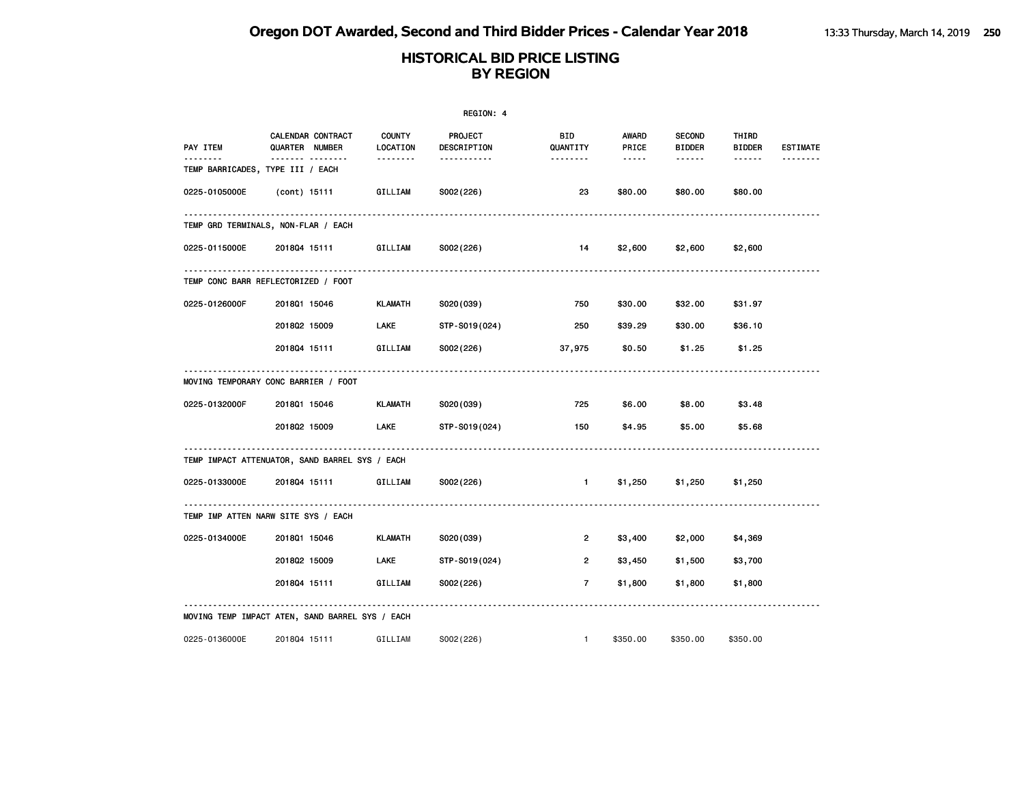|                                                 |                                            |                           | REGION: 4              |                       |                |                                |                        |                 |
|-------------------------------------------------|--------------------------------------------|---------------------------|------------------------|-----------------------|----------------|--------------------------------|------------------------|-----------------|
| PAY ITEM                                        | CALENDAR CONTRACT<br><b>QUARTER NUMBER</b> | <b>COUNTY</b><br>LOCATION | PROJECT<br>DESCRIPTION | BID<br>QUANTITY       | AWARD<br>PRICE | <b>SECOND</b><br><b>BIDDER</b> | THIRD<br><b>BIDDER</b> | <b>ESTIMATE</b> |
| .<br>TEMP BARRICADES, TYPE III / EACH           | <u></u>                                    |                           | .                      | <u> - - - - - - -</u> | $- - - - -$    | ------                         | ------                 | .               |
| 0225-0105000E                                   | (cont) 15111                               | GILLIAM                   | S002(226)              | 23                    | \$80.00        | \$80.00                        | \$80.00                |                 |
| TEMP GRD TERMINALS, NON-FLAR / EACH             |                                            |                           |                        |                       |                |                                |                        |                 |
| 0225-0115000E                                   | 201804 15111                               | GILLIAM                   | S002(226)              | 14                    | \$2,600        | \$2,600                        | \$2,600                |                 |
| TEMP CONC BARR REFLECTORIZED / FOOT             |                                            |                           |                        |                       |                |                                |                        |                 |
| 0225-0126000F                                   | 2018Q1 15046                               | KLAMATH                   | S020(039)              | 750                   | \$30.00        | \$32.00                        | \$31.97                |                 |
|                                                 | 201802 15009                               | <b>LAKE</b>               | STP-S019(024)          | 250                   | \$39.29        | \$30.00                        | \$36.10                |                 |
|                                                 | 201804 15111                               | GILLIAM                   | S002(226)              | 37,975                | \$0.50         | \$1.25                         | \$1.25                 |                 |
| MOVING TEMPORARY CONC BARRIER / FOOT            |                                            |                           |                        |                       |                |                                |                        |                 |
| 0225-0132000F                                   | 201801 15046                               | KLAMATH                   | S020(039)              | 725                   | \$6.00         | \$8.00                         | \$3.48                 |                 |
|                                                 | 2018Q2 15009                               | LAKE                      | STP-S019(024)          | 150                   | \$4.95         | \$5.00                         | \$5.68                 |                 |
| TEMP IMPACT ATTENUATOR, SAND BARREL SYS / EACH  |                                            |                           |                        |                       |                |                                |                        |                 |
| 0225-0133000E                                   | 201804 15111                               | GILLIAM                   | S002(226)              | $\blacksquare$        | \$1,250        | \$1,250                        | \$1,250                |                 |
| TEMP IMP ATTEN NARW SITE SYS / EACH             |                                            |                           |                        |                       |                |                                |                        |                 |
| 0225-0134000E                                   | 201801 15046                               | KLAMATH                   | S020(039)              | $\overline{2}$        | \$3,400        | \$2,000                        | \$4,369                |                 |
|                                                 | 201802 15009                               | LAKE                      | STP-S019(024)          | $\overline{2}$        | \$3,450        | \$1,500                        | \$3,700                |                 |
|                                                 | 201804 15111                               | GILLIAM                   | S002(226)              | $\overline{7}$        | \$1,800        | \$1,800                        | \$1,800                |                 |
| MOVING TEMP IMPACT ATEN, SAND BARREL SYS / EACH |                                            |                           |                        |                       |                |                                |                        |                 |
| 0225-0136000E                                   | 201804 15111                               | GILLIAM                   | S002(226)              | $\overline{1}$        | \$350.00       | \$350.00                       | \$350.00               |                 |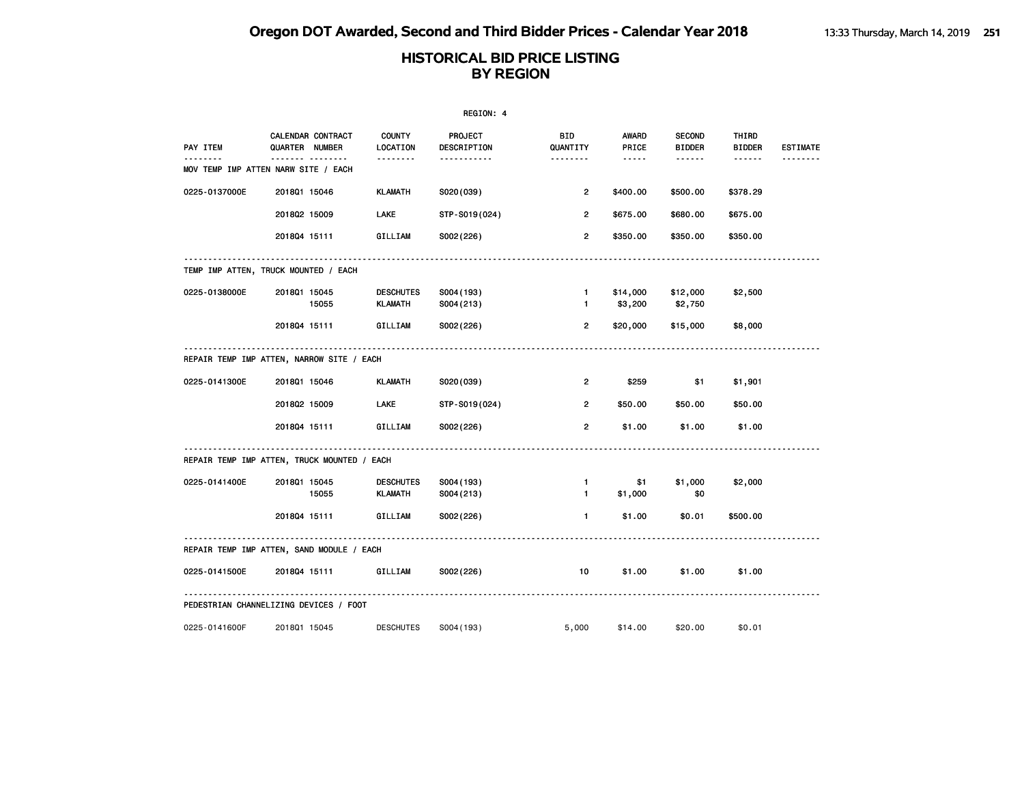|               |                                                   |                                    | REGION: 4                     |                                |                                                                                                                                                      |                                |                        |                 |
|---------------|---------------------------------------------------|------------------------------------|-------------------------------|--------------------------------|------------------------------------------------------------------------------------------------------------------------------------------------------|--------------------------------|------------------------|-----------------|
| PAY ITEM      | <b>CALENDAR CONTRACT</b><br><b>QUARTER NUMBER</b> | <b>COUNTY</b><br>LOCATION          | <b>PROJECT</b><br>DESCRIPTION | BID.<br>QUANTITY               | <b>AWARD</b><br>PRICE                                                                                                                                | <b>SECOND</b><br><b>BIDDER</b> | THIRD<br><b>BIDDER</b> | <b>ESTIMATE</b> |
|               | .<br>MOV TEMP IMP ATTEN NARW SITE / EACH          |                                    | -----------                   | <u> - - - - - - -</u>          | $\frac{1}{2} \left( \frac{1}{2} \right) \left( \frac{1}{2} \right) \left( \frac{1}{2} \right) \left( \frac{1}{2} \right) \left( \frac{1}{2} \right)$ | ------                         | ------                 | <u>.</u>        |
| 0225-0137000E | 201801 15046                                      | <b>KLAMATH</b>                     | S020(039)                     | $\overline{2}$                 | \$400.00                                                                                                                                             | \$500.00                       | \$378.29               |                 |
|               | 201802 15009                                      | <b>LAKE</b>                        | STP-S019(024)                 | $\overline{2}$                 | \$675.00                                                                                                                                             | \$680.00                       | \$675.00               |                 |
|               | 201804 15111                                      | GILLIAM                            | S002(226)                     | $\overline{2}$                 | \$350.00                                                                                                                                             | \$350.00                       | \$350.00               |                 |
|               | TEMP IMP ATTEN, TRUCK MOUNTED / EACH              |                                    |                               |                                |                                                                                                                                                      |                                |                        |                 |
| 0225-0138000E | 2018Q1 15045<br>15055                             | <b>DESCHUTES</b><br>KLAMATH        | S004 (193)<br>S004(213)       | $\blacksquare$<br>$\mathbf{1}$ | \$14,000<br>\$3,200                                                                                                                                  | \$12,000<br>\$2,750            | \$2,500                |                 |
|               | 201804 15111                                      | GILLIAM                            | S002(226)                     | $\overline{2}$                 | \$20,000                                                                                                                                             | \$15,000                       | \$8,000                |                 |
|               | REPAIR TEMP IMP ATTEN, NARROW SITE / EACH         |                                    |                               |                                |                                                                                                                                                      |                                |                        |                 |
| 0225-0141300E | 201801 15046                                      | KLAMATH                            | S020(039)                     | $\overline{2}$                 | \$259                                                                                                                                                | \$1                            | \$1,901                |                 |
|               | 201802 15009                                      | <b>LAKE</b>                        | STP-S019(024)                 | $\overline{2}$                 | \$50.00                                                                                                                                              | \$50.00                        | \$50.00                |                 |
|               | 201804 15111                                      | GILLIAM                            | S002(226)                     | $\overline{2}$                 | \$1.00                                                                                                                                               | \$1.00                         | \$1.00                 |                 |
|               | REPAIR TEMP IMP ATTEN, TRUCK MOUNTED / EACH       |                                    |                               |                                |                                                                                                                                                      |                                |                        |                 |
| 0225-0141400E | 2018Q1 15045<br>15055                             | <b>DESCHUTES</b><br><b>KLAMATH</b> | S004 (193)<br>S004 (213)      | $\mathbf{1}$<br>$\mathbf{1}$   | \$1<br>\$1,000                                                                                                                                       | \$1,000<br>\$0                 | \$2,000                |                 |
|               | 201804 15111                                      | GILLIAM                            | S002(226)                     | $\mathbf{1}$                   | \$1.00                                                                                                                                               | \$0.01                         | \$500.00               |                 |
|               | REPAIR TEMP IMP ATTEN, SAND MODULE / EACH         |                                    |                               |                                |                                                                                                                                                      |                                |                        |                 |
| 0225-0141500E | 201804 15111                                      | GILLIAM                            | S002(226)                     | 10                             | \$1.00                                                                                                                                               | \$1.00                         | \$1.00                 |                 |
|               | PEDESTRIAN CHANNELIZING DEVICES / FOOT            |                                    |                               |                                |                                                                                                                                                      |                                |                        |                 |
| 0225-0141600F | 201801 15045                                      | <b>DESCHUTES</b>                   | S004 (193)                    | 5,000                          | \$14.00                                                                                                                                              | \$20.00                        | \$0.01                 |                 |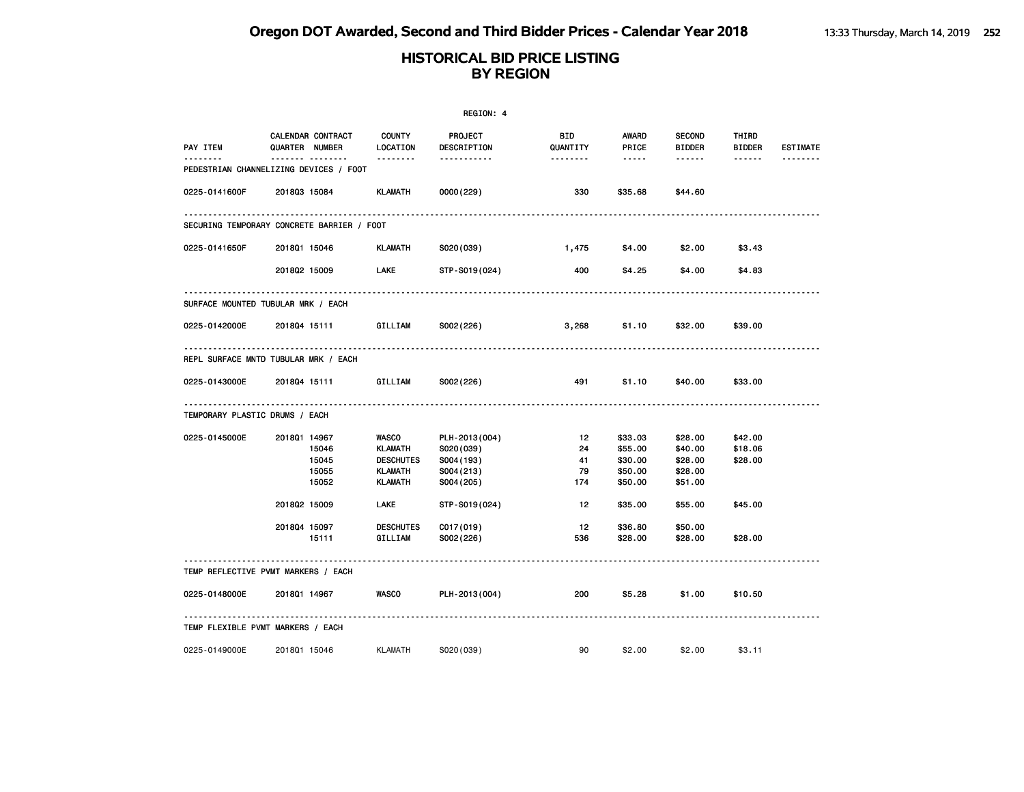|                                             |              |                                     |                                                                                 | REGION: 4                                                            |                             |                                                                                                   |                                                     |                               |                 |
|---------------------------------------------|--------------|-------------------------------------|---------------------------------------------------------------------------------|----------------------------------------------------------------------|-----------------------------|---------------------------------------------------------------------------------------------------|-----------------------------------------------------|-------------------------------|-----------------|
| PAY ITEM                                    |              | CALENDAR CONTRACT<br>QUARTER NUMBER | <b>COUNTY</b><br>LOCATION                                                       | <b>PROJECT</b><br>DESCRIPTION                                        | BID<br>QUANTITY             | AWARD<br>PRICE                                                                                    | <b>SECOND</b><br><b>BIDDER</b>                      | THIRD<br><b>BIDDER</b>        | <b>ESTIMATE</b> |
| .<br>PEDESTRIAN CHANNELIZING DEVICES / FOOT |              | ------- --------                    | <u> - - - - - - -</u>                                                           | -----------                                                          | <u> - - - - - - -</u>       | $\begin{array}{cccccccccc} \bullet & \bullet & \bullet & \bullet & \bullet & \bullet \end{array}$ | ------                                              | $- - - - - -$                 | --------        |
| 0225-0141600F                               | 201803 15084 |                                     | KLAMATH                                                                         | 0000(229)                                                            | 330                         | \$35.68                                                                                           | \$44.60                                             |                               |                 |
| SECURING TEMPORARY CONCRETE BARRIER / FOOT  |              |                                     |                                                                                 |                                                                      |                             |                                                                                                   |                                                     |                               |                 |
| 0225-0141650F                               | 201801 15046 |                                     | KLAMATH                                                                         | S020(039)                                                            | 1,475                       | \$4.00                                                                                            | \$2.00                                              | \$3.43                        |                 |
|                                             | 201802 15009 |                                     | LAKE                                                                            | STP-S019(024)                                                        | 400                         | \$4.25                                                                                            | \$4.00                                              | \$4.83                        |                 |
| SURFACE MOUNTED TUBULAR MRK / EACH          |              |                                     |                                                                                 |                                                                      |                             |                                                                                                   |                                                     |                               |                 |
| 0225-0142000E                               | 201804 15111 |                                     | GILLIAM                                                                         | S002(226)                                                            | 3,268                       | \$1.10                                                                                            | \$32.00                                             | \$39.00                       |                 |
| REPL SURFACE MNTD TUBULAR MRK / EACH        |              |                                     |                                                                                 |                                                                      |                             |                                                                                                   |                                                     |                               |                 |
| 0225-0143000E                               | 201804 15111 |                                     | GILLIAM                                                                         | S002(226)                                                            | 491                         | \$1.10                                                                                            | \$40.00                                             | \$33.00                       |                 |
| TEMPORARY PLASTIC DRUMS / EACH              |              |                                     |                                                                                 |                                                                      |                             |                                                                                                   |                                                     |                               |                 |
| 0225-0145000E                               | 201801 14967 | 15046<br>15045<br>15055<br>15052    | <b>WASCO</b><br><b>KLAMATH</b><br><b>DESCHUTES</b><br><b>KLAMATH</b><br>KLAMATH | PLH-2013(004)<br>S020(039)<br>S004 (193)<br>S004 (213)<br>S004 (205) | 12<br>24<br>41<br>79<br>174 | \$33.03<br>\$55.00<br>\$30.00<br>\$50.00<br>\$50.00                                               | \$28.00<br>\$40.00<br>\$28.00<br>\$28.00<br>\$51.00 | \$42.00<br>\$18.06<br>\$28.00 |                 |
|                                             | 201802 15009 |                                     | LAKE                                                                            | STP-S019(024)                                                        | 12                          | \$35.00                                                                                           | \$55.00                                             | \$45.00                       |                 |
|                                             | 201804 15097 | 15111                               | <b>DESCHUTES</b><br>GILLIAM                                                     | C017(019)<br>S002(226)                                               | 12<br>536                   | \$36.80<br>\$28.00                                                                                | \$50.00<br>\$28.00                                  | \$28.00                       |                 |
| TEMP REFLECTIVE PVMT MARKERS / EACH         |              |                                     |                                                                                 |                                                                      |                             |                                                                                                   |                                                     |                               |                 |
| 0225-0148000E                               |              | 201801 14967                        | <b>WASCO</b>                                                                    | PLH-2013(004)                                                        | 200                         | \$5.28                                                                                            | \$1.00                                              | \$10.50                       |                 |
| TEMP FLEXIBLE PVMT MARKERS / EACH           |              |                                     |                                                                                 |                                                                      |                             |                                                                                                   |                                                     |                               |                 |
| 0225-0149000E                               | 201801 15046 |                                     | KLAMATH                                                                         | S020(039)                                                            | 90                          | \$2.00                                                                                            | \$2.00                                              | \$3.11                        |                 |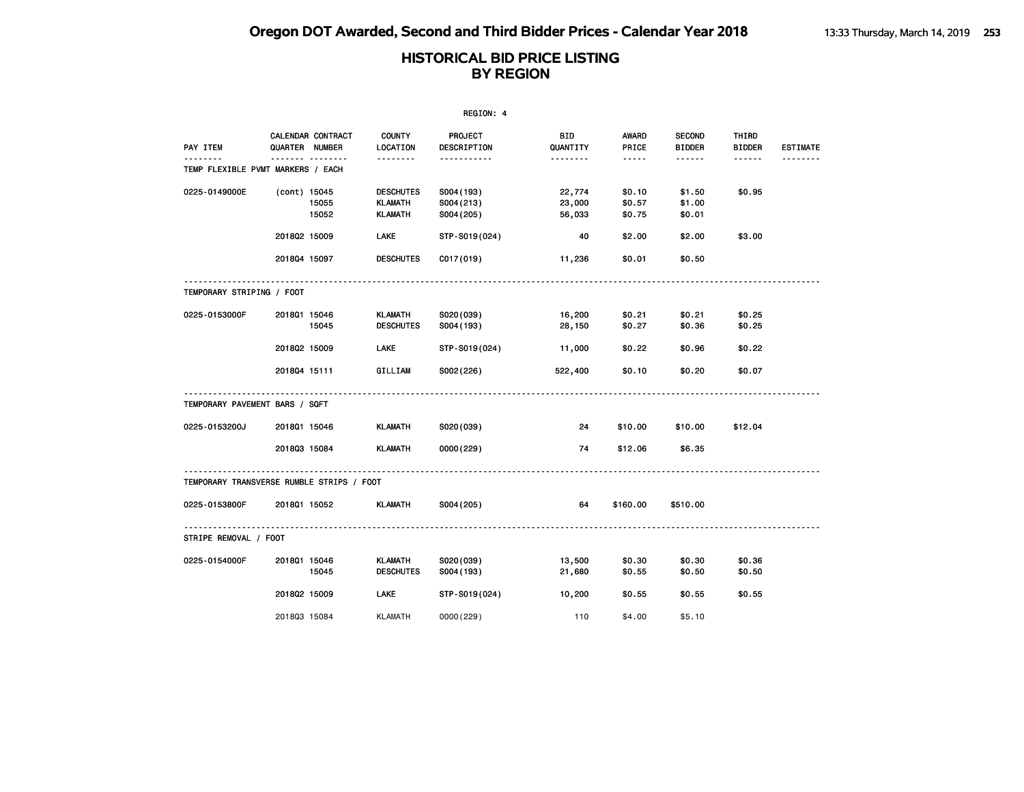| REGION: 4                                 |              |                                     |                                                      |                                       |                            |                            |                                |                        |                 |  |
|-------------------------------------------|--------------|-------------------------------------|------------------------------------------------------|---------------------------------------|----------------------------|----------------------------|--------------------------------|------------------------|-----------------|--|
| PAY ITEM                                  |              | CALENDAR CONTRACT<br>QUARTER NUMBER | <b>COUNTY</b><br>LOCATION                            | PROJECT<br>DESCRIPTION                | BID<br>QUANTITY            | <b>AWARD</b><br>PRICE      | <b>SECOND</b><br><b>BIDDER</b> | THIRD<br><b>BIDDER</b> | <b>ESTIMATE</b> |  |
| TEMP FLEXIBLE PVMT MARKERS / EACH         |              |                                     | .                                                    | .                                     | <u>.</u>                   | $\cdots \cdots$            | ------                         | ------                 | --------        |  |
| 0225-0149000E                             | (cont) 15045 | 15055<br>15052                      | <b>DESCHUTES</b><br><b>KLAMATH</b><br><b>KLAMATH</b> | S004 (193)<br>S004(213)<br>S004 (205) | 22,774<br>23,000<br>56,033 | \$0.10<br>\$0.57<br>\$0.75 | \$1.50<br>\$1.00<br>\$0.01     | \$0.95                 |                 |  |
|                                           | 201802 15009 |                                     | LAKE                                                 | STP-S019(024)                         | 40                         | \$2.00                     | \$2.00                         | \$3.00                 |                 |  |
|                                           | 201804 15097 |                                     | <b>DESCHUTES</b>                                     | C017(019)                             | 11,236                     | \$0.01                     | \$0.50                         |                        |                 |  |
| TEMPORARY STRIPING / FOOT                 |              |                                     |                                                      |                                       |                            |                            |                                |                        |                 |  |
| 0225-0153000F                             | 201801 15046 | 15045                               | KLAMATH<br><b>DESCHUTES</b>                          | S020(039)<br>S004 (193)               | 16,200<br>28,150           | \$0.21<br>\$0.27           | \$0.21<br>\$0.36               | \$0.25<br>\$0.25       |                 |  |
|                                           | 201802 15009 |                                     | LAKE                                                 | STP-S019(024)                         | 11,000                     | \$0.22                     | \$0.96                         | \$0.22                 |                 |  |
|                                           | 201804 15111 |                                     | GILLIAM                                              | S002(226)                             | 522,400                    | \$0.10                     | \$0.20                         | \$0.07                 |                 |  |
| TEMPORARY PAVEMENT BARS / SQFT            |              |                                     |                                                      |                                       |                            |                            |                                |                        |                 |  |
| 0225-0153200J                             | 201801 15046 |                                     | KLAMATH                                              | S020(039)                             | 24                         | \$10.00                    | \$10.00                        | \$12.04                |                 |  |
|                                           | 201803 15084 |                                     | <b>KLAMATH</b>                                       | 0000(229)                             | 74                         | \$12.06                    | \$6.35                         |                        |                 |  |
| TEMPORARY TRANSVERSE RUMBLE STRIPS / FOOT |              |                                     |                                                      |                                       |                            |                            |                                |                        |                 |  |
| 0225-0153800F                             | 201801 15052 |                                     | KLAMATH                                              | S004 (205)                            | 64                         | \$160.00                   | \$510.00                       |                        |                 |  |
| STRIPE REMOVAL / FOOT                     |              |                                     |                                                      |                                       |                            |                            |                                |                        |                 |  |
| 0225-0154000F                             | 201801 15046 | 15045                               | <b>KLAMATH</b><br><b>DESCHUTES</b>                   | S020(039)<br>S004 (193)               | 13,500<br>21,680           | \$0.30<br>\$0.55           | \$0.30<br>\$0.50               | \$0.36<br>\$0.50       |                 |  |
|                                           | 201802 15009 |                                     | LAKE                                                 | STP-S019(024)                         | 10,200                     | \$0.55                     | \$0.55                         | \$0.55                 |                 |  |
|                                           | 201803 15084 |                                     | <b>KLAMATH</b>                                       | 0000(229)                             | 110                        | \$4,00                     | \$5.10                         |                        |                 |  |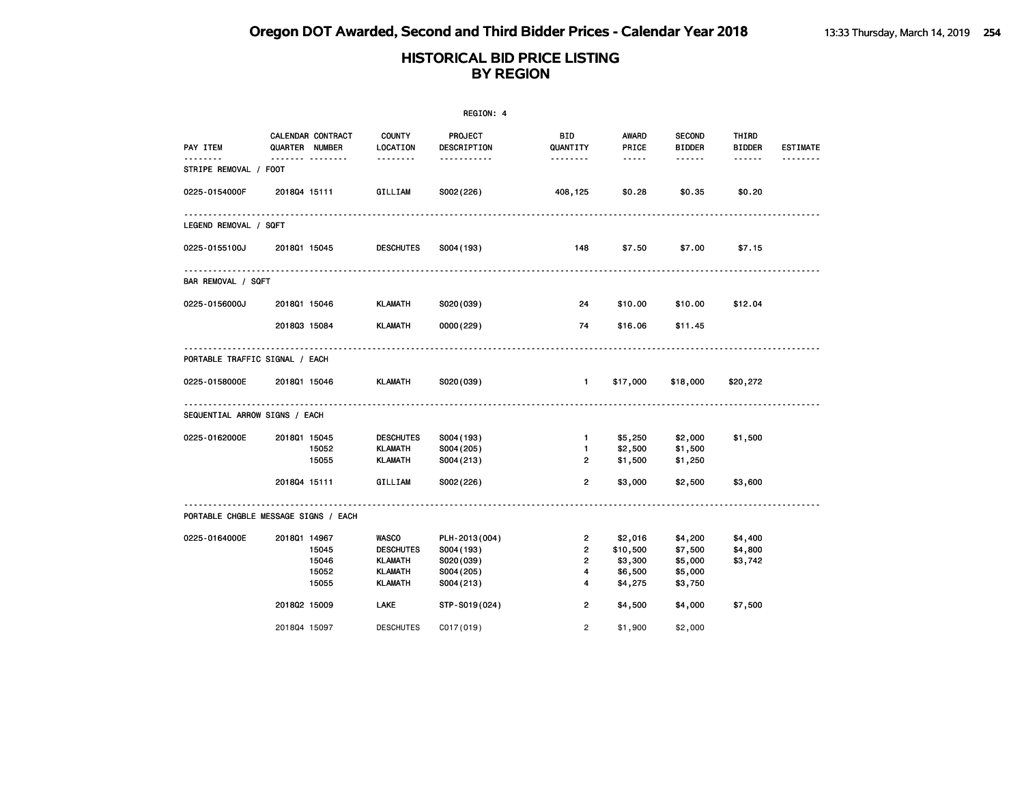| REGION: 4                      |                                                  |                                                                                        |                                                                     |                                                  |                                                                                                               |                                                     |                               |                 |  |
|--------------------------------|--------------------------------------------------|----------------------------------------------------------------------------------------|---------------------------------------------------------------------|--------------------------------------------------|---------------------------------------------------------------------------------------------------------------|-----------------------------------------------------|-------------------------------|-----------------|--|
| PAY ITEM                       | CALENDAR CONTRACT<br>QUARTER NUMBER              | <b>COUNTY</b><br>LOCATION                                                              | PROJECT<br>DESCRIPTION                                              | <b>BID</b><br>QUANTITY                           | AWARD<br>PRICE                                                                                                | <b>SECOND</b><br><b>BIDDER</b>                      | THIRD<br><b>BIDDER</b>        | <b>ESTIMATE</b> |  |
| .<br>STRIPE REMOVAL / FOOT     | .                                                | <u>.</u>                                                                               | .                                                                   | --------                                         | $\frac{1}{2} \frac{1}{2} \frac{1}{2} \frac{1}{2} \frac{1}{2} \frac{1}{2} \frac{1}{2} \frac{1}{2} \frac{1}{2}$ | ------                                              | ------                        |                 |  |
| 0225-0154000F                  | 201804 15111                                     | GILLIAM                                                                                | S002(226)                                                           | 408,125                                          | \$0.28                                                                                                        | \$0.35                                              | \$0.20                        |                 |  |
| <b>LEGEND REMOVAL / SQFT</b>   |                                                  |                                                                                        |                                                                     |                                                  |                                                                                                               |                                                     |                               |                 |  |
| 0225-0155100J                  | 201801 15045                                     | <b>DESCHUTES</b>                                                                       | S004 (193)                                                          | 148                                              | \$7.50                                                                                                        | \$7.00                                              | \$7.15                        |                 |  |
| BAR REMOVAL / SQFT             |                                                  |                                                                                        |                                                                     |                                                  |                                                                                                               |                                                     |                               |                 |  |
| 0225-0156000J                  | 201801 15046                                     | KLAMATH                                                                                | S020(039)                                                           | 24                                               | \$10.00                                                                                                       | \$10.00                                             | \$12.04                       |                 |  |
|                                | 201803 15084                                     | KLAMATH                                                                                | 0000(229)                                                           | 74                                               | \$16.06                                                                                                       | \$11.45                                             |                               |                 |  |
| PORTABLE TRAFFIC SIGNAL / EACH |                                                  |                                                                                        |                                                                     |                                                  |                                                                                                               |                                                     |                               |                 |  |
| 0225-0158000E                  | 2018Q1 15046                                     | <b>KLAMATH</b>                                                                         | S020(039)                                                           | $\mathbf{1}$                                     | \$17,000                                                                                                      | \$18,000                                            | \$20,272                      |                 |  |
| SEQUENTIAL ARROW SIGNS / EACH  |                                                  |                                                                                        |                                                                     |                                                  |                                                                                                               |                                                     |                               |                 |  |
| 0225-0162000E                  | 2018Q1 15045<br>15052<br>15055                   | <b>DESCHUTES</b><br><b>KLAMATH</b><br><b>KLAMATH</b>                                   | S004 (193)<br>S004 (205)<br>S004(213)                               | $\blacksquare$<br>$\mathbf{1}$<br>$\overline{2}$ | \$5,250<br>\$2,500<br>\$1,500                                                                                 | \$2,000<br>\$1,500<br>\$1,250                       | \$1,500                       |                 |  |
|                                | 201804 15111                                     | GILLIAM                                                                                | S002(226)                                                           | $\overline{2}$                                   | \$3,000                                                                                                       | \$2,500                                             | \$3,600                       |                 |  |
|                                | PORTABLE CHGBLE MESSAGE SIGNS / EACH             |                                                                                        |                                                                     |                                                  |                                                                                                               |                                                     |                               |                 |  |
| 0225-0164000E                  | 201801 14967<br>15045<br>15046<br>15052<br>15055 | <b>WASCO</b><br><b>DESCHUTES</b><br><b>KLAMATH</b><br><b>KLAMATH</b><br><b>KLAMATH</b> | PLH-2013(004)<br>S004 (193)<br>S020(039)<br>S004 (205)<br>S004(213) | 2<br>$\overline{2}$<br>$\overline{2}$<br>4<br>4  | \$2,016<br>\$10,500<br>\$3,300<br>\$6,500<br>\$4,275                                                          | \$4,200<br>\$7,500<br>\$5,000<br>\$5,000<br>\$3,750 | \$4,400<br>\$4,800<br>\$3,742 |                 |  |
|                                | 201802 15009                                     | LAKE                                                                                   | STP-S019(024)                                                       | $\overline{2}$                                   | \$4,500                                                                                                       | \$4,000                                             | \$7,500                       |                 |  |
|                                | 201804 15097                                     | <b>DESCHUTES</b>                                                                       | CO17(019)                                                           | $\overline{2}$                                   | \$1,900                                                                                                       | \$2,000                                             |                               |                 |  |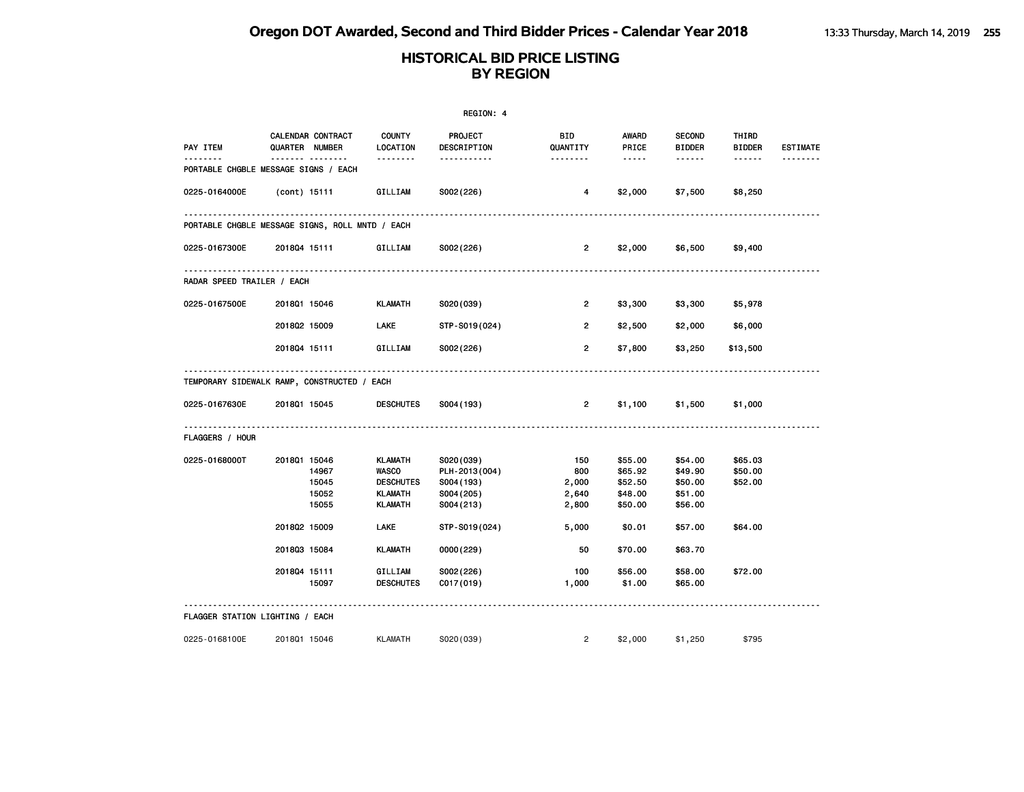|                            |                                                  |                           | REGION: 4              |                        |                                                                                                                                                      |                                |                        |          |
|----------------------------|--------------------------------------------------|---------------------------|------------------------|------------------------|------------------------------------------------------------------------------------------------------------------------------------------------------|--------------------------------|------------------------|----------|
| PAY ITEM                   | CALENDAR CONTRACT<br>QUARTER NUMBER              | <b>COUNTY</b><br>LOCATION | PROJECT<br>DESCRIPTION | <b>BID</b><br>QUANTITY | AWARD<br>PRICE                                                                                                                                       | <b>SECOND</b><br><b>BIDDER</b> | THIRD<br><b>BIDDER</b> | ESTIMATE |
| $- - - - -$                | <u> </u><br>PORTABLE CHGBLE MESSAGE SIGNS / EACH | --------                  | <u>.</u>               | --------               | $\frac{1}{2} \left( \frac{1}{2} \right) \left( \frac{1}{2} \right) \left( \frac{1}{2} \right) \left( \frac{1}{2} \right) \left( \frac{1}{2} \right)$ | ------                         | ------                 |          |
| 0225-0164000E              | (cont) 15111                                     | GILLIAM                   | S002(226)              | 4                      | \$2,000                                                                                                                                              | \$7,500                        | \$8,250                |          |
|                            | PORTABLE CHGBLE MESSAGE SIGNS, ROLL MNTD / EACH  |                           |                        |                        |                                                                                                                                                      |                                |                        |          |
| 0225-0167300E              | 201804 15111                                     | GILLIAM                   | S002(226)              | $2^{\circ}$            | \$2,000                                                                                                                                              | \$6,500                        | \$9,400                |          |
| RADAR SPEED TRAILER / EACH |                                                  |                           |                        |                        |                                                                                                                                                      |                                |                        |          |
| 0225-0167500E              | 201801 15046                                     | KLAMATH                   | S020(039)              | $\overline{2}$         | \$3,300                                                                                                                                              | \$3,300                        | \$5,978                |          |
|                            | 201802 15009                                     | <b>LAKE</b>               | STP-S019(024)          | $\overline{2}$         | \$2,500                                                                                                                                              | \$2,000                        | \$6,000                |          |
|                            | 201804 15111                                     | GILLIAM                   | S002(226)              | $\overline{2}$         | \$7,800                                                                                                                                              | \$3,250                        | \$13,500               |          |
|                            | TEMPORARY SIDEWALK RAMP, CONSTRUCTED / EACH      |                           |                        |                        |                                                                                                                                                      |                                |                        |          |
| 0225-0167630E              | 201801 15045                                     | <b>DESCHUTES</b>          | S004 (193)             | $\mathbf{2}$           | \$1,100                                                                                                                                              | \$1,500                        | \$1,000                |          |
| <b>FLAGGERS / HOUR</b>     |                                                  |                           |                        |                        |                                                                                                                                                      |                                |                        |          |
| 0225-0168000T              | 201801 15046                                     | KLAMATH                   | S020(039)              | 150                    | \$55.00                                                                                                                                              | \$54.00                        | \$65.03                |          |
|                            | 14967                                            | WASCO                     | PLH-2013(004)          | 800                    | \$65.92                                                                                                                                              | \$49.90                        | \$50.00                |          |
|                            | 15045                                            | <b>DESCHUTES</b>          | S004(193)              | 2,000                  | \$52.50                                                                                                                                              | \$50.00                        | \$52.00                |          |
|                            | 15052                                            | <b>KLAMATH</b>            | S004 (205)             | 2,640                  | \$48.00                                                                                                                                              | \$51.00                        |                        |          |
|                            | 15055                                            | <b>KLAMATH</b>            | S004 (213)             | 2,800                  | \$50.00                                                                                                                                              | \$56.00                        |                        |          |
|                            | 201802 15009                                     | LAKE                      | STP-S019(024)          | 5,000                  | \$0.01                                                                                                                                               | \$57.00                        | \$64.00                |          |
|                            | 201803 15084                                     | <b>KLAMATH</b>            | 0000 (229)             | 50                     | \$70.00                                                                                                                                              | \$63.70                        |                        |          |
|                            | 201804 15111                                     | GILLIAM                   | S002(226)              | 100                    | \$56.00                                                                                                                                              | \$58.00                        | \$72.00                |          |
|                            | 15097                                            | <b>DESCHUTES</b>          | C017(019)              | 1,000                  | \$1.00                                                                                                                                               | \$65.00                        |                        |          |
|                            | FLAGGER STATION LIGHTING / EACH                  |                           |                        |                        |                                                                                                                                                      |                                |                        |          |
| 0225-0168100E              | 201801 15046                                     | <b>KLAMATH</b>            | S020(039)              | $\overline{2}$         | \$2,000                                                                                                                                              | \$1,250                        | \$795                  |          |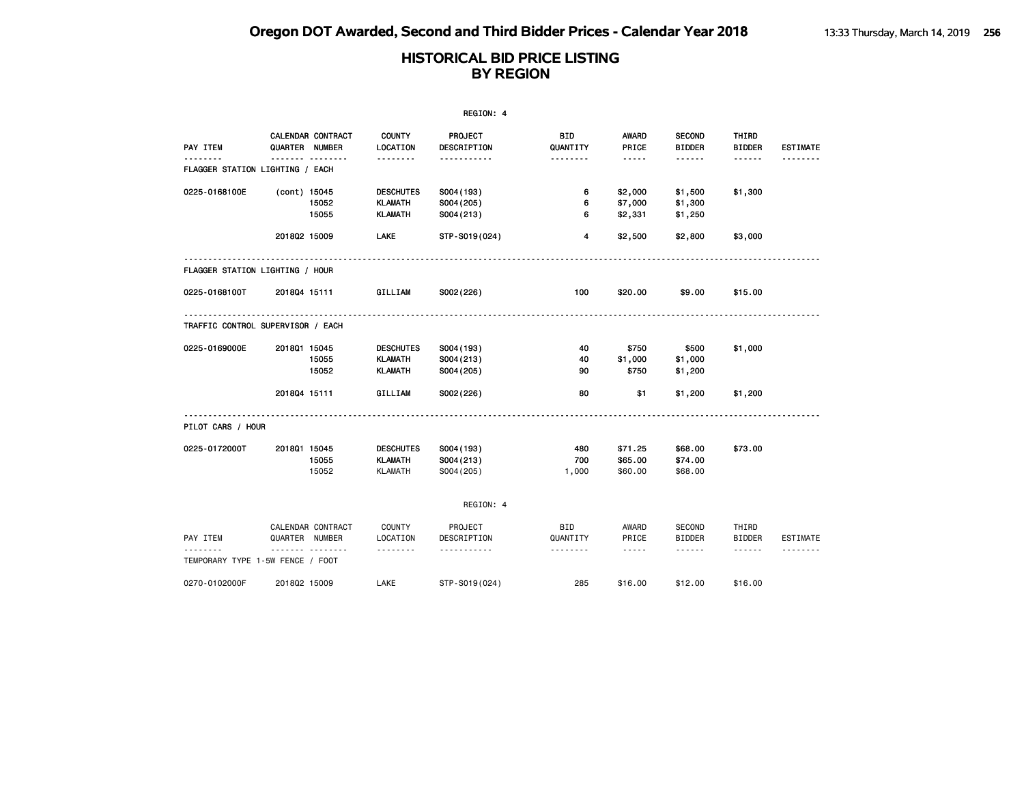|                                   |              |                                                 |                                                      | REGION: 4                             |                             |                                                                                                                                                                        |                                   |                                  |                 |
|-----------------------------------|--------------|-------------------------------------------------|------------------------------------------------------|---------------------------------------|-----------------------------|------------------------------------------------------------------------------------------------------------------------------------------------------------------------|-----------------------------------|----------------------------------|-----------------|
| PAY ITEM                          |              | CALENDAR CONTRACT<br>QUARTER NUMBER             | <b>COUNTY</b><br>LOCATION                            | PROJECT<br>DESCRIPTION                | BID<br>QUANTITY             | <b>AWARD</b><br>PRICE                                                                                                                                                  | <b>SECOND</b><br><b>BIDDER</b>    | THIRD<br><b>BIDDER</b>           | <b>ESTIMATE</b> |
| FLAGGER STATION LIGHTING / EACH   |              |                                                 | --------                                             | <u>.</u>                              | <u>.</u>                    | $- - - - -$                                                                                                                                                            | <u>.</u>                          | ------                           |                 |
| 0225-0168100E                     | (cont) 15045 | 15052<br>15055                                  | <b>DESCHUTES</b><br><b>KLAMATH</b><br><b>KLAMATH</b> | S004 (193)<br>S004 (205)<br>S004(213) | 6<br>6<br>6                 | \$2,000<br>\$7,000<br>\$2,331                                                                                                                                          | \$1,500<br>\$1,300<br>\$1,250     | \$1,300                          |                 |
|                                   | 201802 15009 |                                                 | LAKE                                                 | STP-S019(024)                         | 4                           | \$2,500                                                                                                                                                                | \$2,800                           | \$3,000                          |                 |
| FLAGGER STATION LIGHTING / HOUR   |              |                                                 |                                                      |                                       |                             |                                                                                                                                                                        |                                   |                                  |                 |
| 0225-0168100T                     | 201804 15111 |                                                 | GILLIAM                                              | S002(226)                             | 100                         | \$20.00                                                                                                                                                                | \$9.00                            | \$15.00                          |                 |
| TRAFFIC CONTROL SUPERVISOR / EACH |              |                                                 |                                                      |                                       |                             |                                                                                                                                                                        |                                   |                                  |                 |
| 0225-0169000E                     | 201801 15045 | 15055<br>15052                                  | <b>DESCHUTES</b><br><b>KLAMATH</b><br><b>KLAMATH</b> | S004 (193)<br>S004(213)<br>S004 (205) | 40<br>40<br>90              | \$750<br>\$1,000<br>\$750                                                                                                                                              | \$500<br>\$1,000<br>\$1,200       | \$1,000                          |                 |
|                                   | 201804 15111 |                                                 | GILLIAM                                              | S002(226)                             | 80                          | \$1                                                                                                                                                                    | \$1,200                           | \$1,200                          |                 |
| PILOT CARS / HOUR                 |              |                                                 |                                                      |                                       |                             |                                                                                                                                                                        |                                   |                                  |                 |
| 0225-0172000T                     | 201801 15045 | 15055<br>15052                                  | <b>DESCHUTES</b><br><b>KLAMATH</b><br><b>KLAMATH</b> | S004 (193)<br>S004(213)<br>S004 (205) | 480<br>700<br>1,000         | \$71.25<br>\$65.00<br>\$60.00                                                                                                                                          | \$68.00<br>\$74.00<br>\$68.00     | \$73.00                          |                 |
|                                   |              |                                                 |                                                      | REGION: 4                             |                             |                                                                                                                                                                        |                                   |                                  |                 |
| PAY ITEM                          |              | CALENDAR CONTRACT<br>QUARTER NUMBER<br><u>.</u> | <b>COUNTY</b><br>LOCATION<br>.                       | PROJECT<br>DESCRIPTION<br>.           | BID<br>QUANTITY<br>-------- | AWARD<br>PRICE<br>$\frac{1}{2} \left( \frac{1}{2} \right) \left( \frac{1}{2} \right) \left( \frac{1}{2} \right) \left( \frac{1}{2} \right) \left( \frac{1}{2} \right)$ | SECOND<br><b>BIDDER</b><br>------ | THIRD<br><b>BIDDER</b><br>------ | ESTIMATE        |
| TEMPORARY TYPE 1-5W FENCE / FOOT  |              |                                                 |                                                      |                                       |                             |                                                                                                                                                                        |                                   |                                  |                 |
| 0270-0102000F                     | 201802 15009 |                                                 | LAKE                                                 | STP-S019(024)                         | 285                         | \$16,00                                                                                                                                                                | \$12.00                           | \$16.00                          |                 |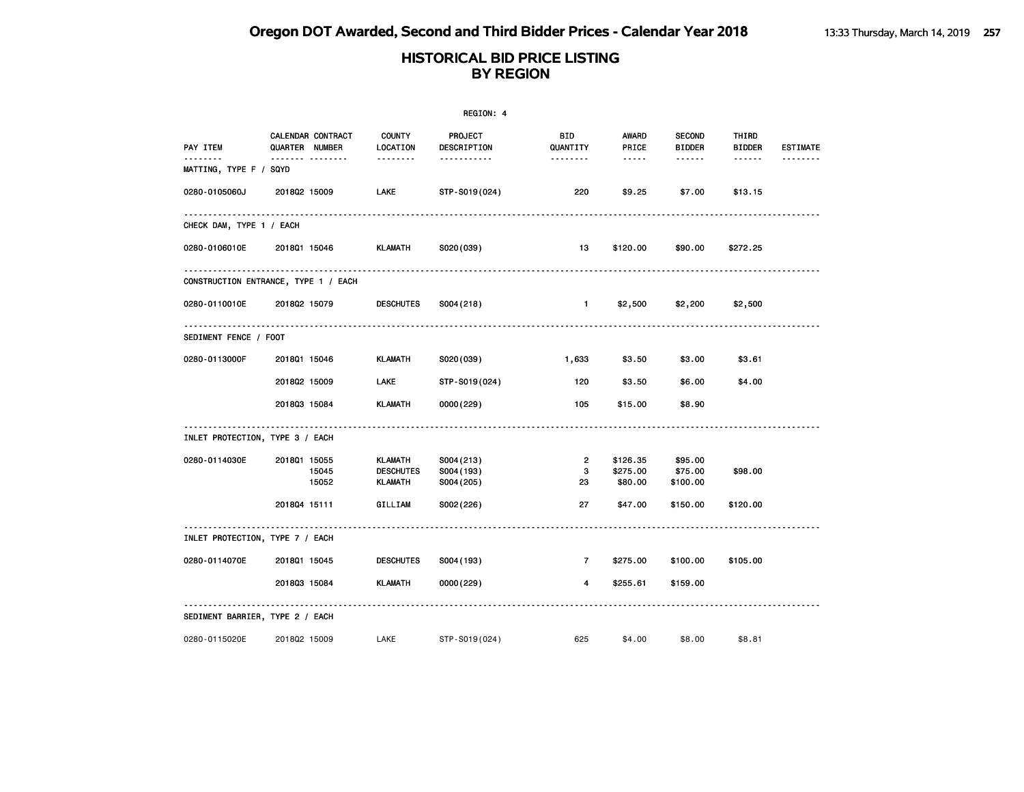| REGION: 4                       |                                      |                             |                          |                       |                     |                                |                 |                 |  |  |  |
|---------------------------------|--------------------------------------|-----------------------------|--------------------------|-----------------------|---------------------|--------------------------------|-----------------|-----------------|--|--|--|
| PAY ITEM                        | CALENDAR CONTRACT<br>QUARTER NUMBER  | <b>COUNTY</b><br>LOCATION   | PROJECT<br>DESCRIPTION   | BID<br>QUANTITY       | AWARD<br>PRICE      | <b>SECOND</b><br><b>BIDDER</b> | THIRD<br>BIDDER | <b>ESTIMATE</b> |  |  |  |
| .<br>MATTING, TYPE F / SQYD     | ------- --------                     | .                           | <u>.</u>                 | <u> - - - - - - -</u> | $\cdots \cdots$     | ------                         | ------          | .               |  |  |  |
| 0280-0105060J                   | 201802 15009                         | LAKE                        | STP-S019(024)            | 220                   | \$9.25              | \$7.00                         | \$13.15         |                 |  |  |  |
| CHECK DAM, TYPE 1 / EACH        | --------------------------------     |                             |                          |                       |                     |                                |                 |                 |  |  |  |
| 0280-0106010E                   | 201801 15046                         | KLAMATH                     | S020(039)                | 13                    | \$120.00            | \$90.00                        | \$272.25        |                 |  |  |  |
|                                 | CONSTRUCTION ENTRANCE, TYPE 1 / EACH |                             |                          |                       |                     |                                |                 |                 |  |  |  |
| 0280-0110010E                   | 201802 15079                         | <b>DESCHUTES</b>            | S004(218)                | $\blacksquare$        | \$2,500             | \$2,200                        | \$2,500         |                 |  |  |  |
| SEDIMENT FENCE / FOOT           |                                      |                             |                          |                       |                     |                                |                 |                 |  |  |  |
| 0280-0113000F                   | 201801 15046                         | KLAMATH                     | S020(039)                | 1,633                 | \$3.50              | \$3.00                         | \$3.61          |                 |  |  |  |
|                                 | 201802 15009                         | <b>LAKE</b>                 | STP-S019(024)            | 120                   | \$3.50              | \$6.00                         | \$4.00          |                 |  |  |  |
|                                 | 201803 15084                         | <b>KLAMATH</b>              | 0000(229)                | 105                   | \$15.00             | \$8.90                         |                 |                 |  |  |  |
| INLET PROTECTION, TYPE 3 / EACH |                                      |                             |                          |                       |                     |                                |                 |                 |  |  |  |
| 0280-0114030E                   | 201801 15055                         | KLAMATH                     | S004(213)                | $\overline{2}$        | \$126.35            | \$95.00                        |                 |                 |  |  |  |
|                                 | 15045<br>15052                       | <b>DESCHUTES</b><br>KLAMATH | S004 (193)<br>S004 (205) | 3<br>23               | \$275.00<br>\$80.00 | \$75.00<br>\$100.00            | \$98.00         |                 |  |  |  |
|                                 |                                      |                             |                          |                       |                     |                                |                 |                 |  |  |  |
|                                 | 201804 15111                         | GILLIAM                     | S002(226)                | 27                    | \$47.00             | \$150.00                       | \$120.00        |                 |  |  |  |
| INLET PROTECTION, TYPE 7 / EACH |                                      |                             |                          |                       |                     |                                |                 |                 |  |  |  |
| 0280-0114070E                   | 201801 15045                         | <b>DESCHUTES</b>            | S004 (193)               | $7^{\circ}$           | \$275.00            | \$100.00                       | \$105.00        |                 |  |  |  |
|                                 | 201803 15084                         | KLAMATH                     | 0000(229)                | 4                     | \$255.61            | \$159.00                       |                 |                 |  |  |  |
|                                 | SEDIMENT BARRIER, TYPE 2 / EACH      |                             |                          |                       |                     |                                |                 |                 |  |  |  |
| 0280-0115020E                   | 201802 15009                         | LAKE                        | STP-S019(024)            | 625                   | \$4.00              | \$8.00                         | \$8.81          |                 |  |  |  |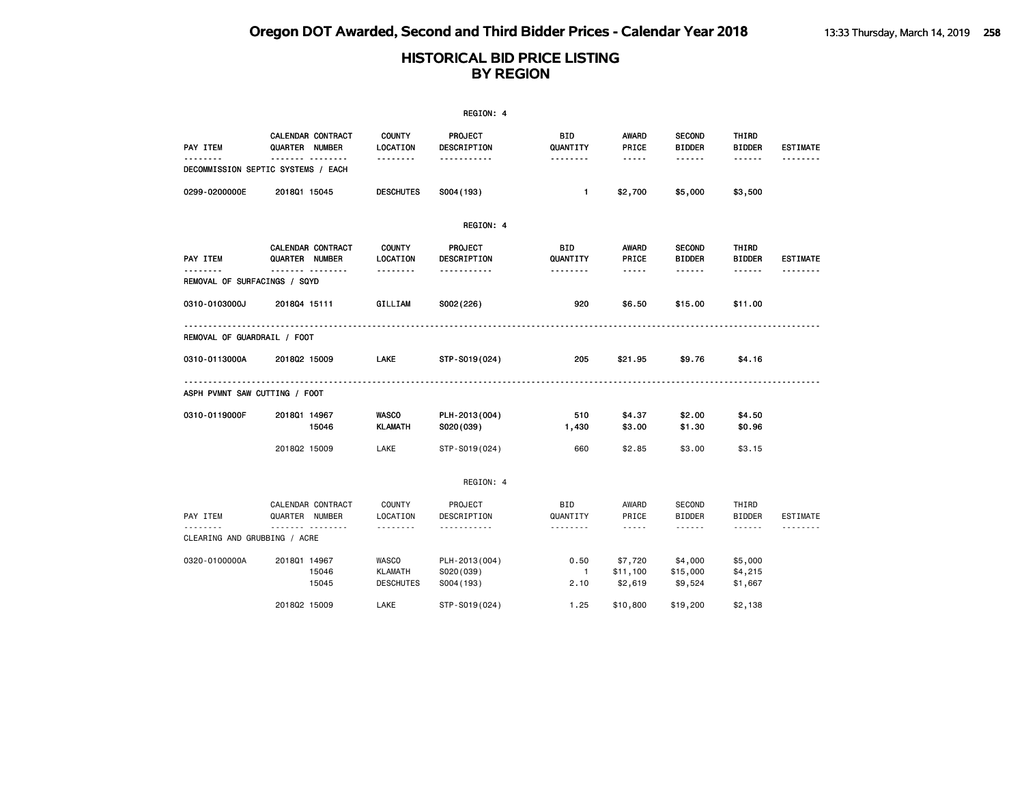|                                          |                                                |                                                     | REGION: 4                                |                                      |                                                                                                               |                                |                               |                 |
|------------------------------------------|------------------------------------------------|-----------------------------------------------------|------------------------------------------|--------------------------------------|---------------------------------------------------------------------------------------------------------------|--------------------------------|-------------------------------|-----------------|
| PAY ITEM                                 | CALENDAR CONTRACT<br>QUARTER NUMBER            | <b>COUNTY</b><br>LOCATION                           | <b>PROJECT</b><br>DESCRIPTION            | BID<br>QUANTITY                      | <b>AWARD</b><br>PRICE                                                                                         | <b>SECOND</b><br><b>BIDDER</b> | THIRD<br><b>BIDDER</b>        | <b>ESTIMATE</b> |
| .                                        | .<br>DECOMMISSION SEPTIC SYSTEMS / EACH        | --------                                            | .                                        | .                                    | -----                                                                                                         | ------                         | ------                        | .               |
| 0299-0200000E                            | 201801 15045                                   | <b>DESCHUTES</b>                                    | S004 (193)                               | $\mathbf{1}$                         | \$2,700                                                                                                       | \$5,000                        | \$3,500                       |                 |
|                                          |                                                |                                                     | REGION: 4                                |                                      |                                                                                                               |                                |                               |                 |
| PAY ITEM                                 | CALENDAR CONTRACT<br>QUARTER NUMBER            | <b>COUNTY</b><br>LOCATION                           | <b>PROJECT</b><br>DESCRIPTION            | <b>BID</b><br>QUANTITY               | <b>AWARD</b><br>PRICE                                                                                         | <b>SECOND</b><br><b>BIDDER</b> | THIRD<br><b>BIDDER</b>        | <b>ESTIMATE</b> |
| <u>.</u><br>REMOVAL OF SURFACINGS / SQYD | <u></u>                                        | --------                                            | -----------                              | <u> - - - - - - -</u>                | $\frac{1}{2} \frac{1}{2} \frac{1}{2} \frac{1}{2} \frac{1}{2} \frac{1}{2} \frac{1}{2} \frac{1}{2} \frac{1}{2}$ | ------                         | ------                        | - - - - - - - - |
| 0310-0103000J                            | 201804 15111                                   | GILLIAM                                             | S002(226)                                | 920                                  | \$6.50                                                                                                        | \$15.00                        | \$11.00                       |                 |
| REMOVAL OF GUARDRAIL / FOOT              |                                                |                                                     |                                          |                                      |                                                                                                               |                                |                               |                 |
| 0310-0113000A                            | 201802 15009                                   | LAKE                                                | STP-S019(024)                            | 205                                  | \$21.95                                                                                                       | \$9.76                         | \$4.16                        |                 |
| ASPH PVMNT SAW CUTTING / FOOT            |                                                |                                                     |                                          |                                      |                                                                                                               |                                |                               |                 |
| 0310-0119000F                            | 201801 14967<br>15046                          | WASCO<br><b>KLAMATH</b>                             | PLH-2013(004)<br>S020(039)               | 510<br>1,430                         | \$4.37<br>\$3.00                                                                                              | \$2.00<br>\$1.30               | \$4.50<br>\$0.96              |                 |
|                                          | 201802 15009                                   | LAKE                                                | STP-S019(024)                            | 660                                  | \$2.85                                                                                                        | \$3,00                         | \$3.15                        |                 |
|                                          |                                                |                                                     | REGION: 4                                |                                      |                                                                                                               |                                |                               |                 |
| PAY ITEM                                 | CALENDAR CONTRACT<br>QUARTER NUMBER            | <b>COUNTY</b><br>LOCATION                           | PROJECT<br>DESCRIPTION                   | <b>BID</b><br>QUANTITY               | AWARD<br>PRICE                                                                                                | SECOND<br><b>BIDDER</b>        | THIRD<br><b>BIDDER</b>        | <b>ESTIMATE</b> |
| CLEARING AND GRUBBING / ACRE             | <u></u>                                        | <u>.</u>                                            | <u>.</u>                                 |                                      | $\frac{1}{2}$                                                                                                 | $- - - - - - -$                | $- - - - - -$                 |                 |
| 0320-0100000A                            | 201801 14967<br>15046<br>15045<br>201802 15009 | WASCO<br><b>KLAMATH</b><br><b>DESCHUTES</b><br>LAKE | PLH-2013(004)<br>S020(039)<br>S004 (193) | 0.50<br>$\mathbf{1}$<br>2.10<br>1.25 | \$7,720<br>\$11,100<br>\$2,619                                                                                | \$4,000<br>\$15,000<br>\$9,524 | \$5,000<br>\$4,215<br>\$1,667 |                 |
|                                          |                                                |                                                     | STP-S019(024)                            |                                      | \$10,800                                                                                                      | \$19,200                       | \$2,138                       |                 |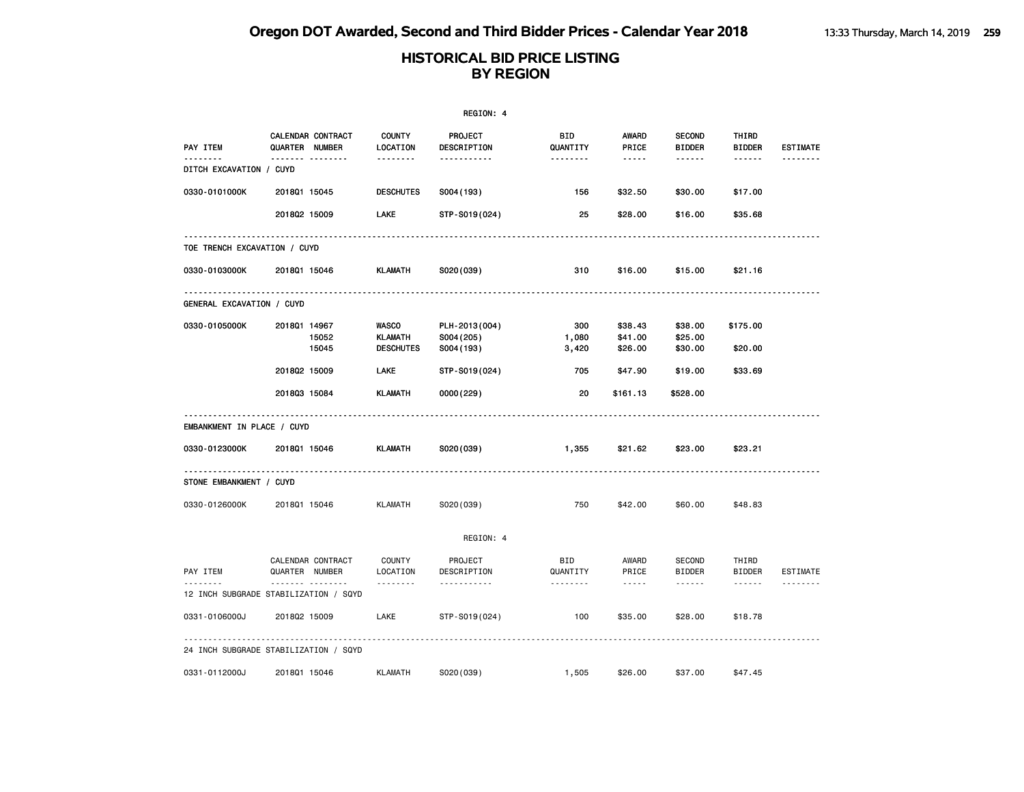|                              |                                                 |                                       | REGION: 4                                                    |                             |                                      |                                          |                                                                                                                                                                                                                                                                                                                                                                                                                                                                            |                 |
|------------------------------|-------------------------------------------------|---------------------------------------|--------------------------------------------------------------|-----------------------------|--------------------------------------|------------------------------------------|----------------------------------------------------------------------------------------------------------------------------------------------------------------------------------------------------------------------------------------------------------------------------------------------------------------------------------------------------------------------------------------------------------------------------------------------------------------------------|-----------------|
| PAY ITEM                     | CALENDAR CONTRACT<br>QUARTER NUMBER<br><b>.</b> | <b>COUNTY</b><br>LOCATION<br><u>.</u> | <b>PROJECT</b><br>DESCRIPTION<br><u> - - - - - - - - - -</u> | BID<br>QUANTITY<br><u>.</u> | <b>AWARD</b><br>PRICE<br>$- - - - -$ | <b>SECOND</b><br><b>BIDDER</b><br>------ | THIRD<br><b>BIDDER</b>                                                                                                                                                                                                                                                                                                                                                                                                                                                     | <b>ESTIMATE</b> |
| DITCH EXCAVATION / CUYD      |                                                 |                                       |                                                              |                             |                                      |                                          |                                                                                                                                                                                                                                                                                                                                                                                                                                                                            |                 |
| 0330-0101000K                | 201801 15045                                    | <b>DESCHUTES</b>                      | S004 (193)                                                   | 156                         | \$32.50                              | \$30.00                                  | \$17.00                                                                                                                                                                                                                                                                                                                                                                                                                                                                    |                 |
|                              | 201802 15009                                    | LAKE                                  | STP-S019(024)                                                | 25                          | \$28.00                              | \$16.00                                  | \$35.68                                                                                                                                                                                                                                                                                                                                                                                                                                                                    |                 |
| TOE TRENCH EXCAVATION / CUYD |                                                 |                                       |                                                              |                             |                                      |                                          |                                                                                                                                                                                                                                                                                                                                                                                                                                                                            |                 |
| 0330-0103000K                | 201801 15046                                    | <b>KLAMATH</b>                        | S020(039)                                                    | 310                         | \$16.00                              | \$15.00                                  | \$21.16                                                                                                                                                                                                                                                                                                                                                                                                                                                                    |                 |
| GENERAL EXCAVATION / CUYD    |                                                 |                                       |                                                              |                             |                                      |                                          |                                                                                                                                                                                                                                                                                                                                                                                                                                                                            |                 |
| 0330-0105000K                | 201801 14967                                    | <b>WASCO</b>                          | PLH-2013(004)                                                | 300                         | \$38.43                              | \$38.00                                  | \$175.00                                                                                                                                                                                                                                                                                                                                                                                                                                                                   |                 |
|                              | 15052<br>15045                                  | KLAMATH<br><b>DESCHUTES</b>           | S004 (205)<br>S004 (193)                                     | 1,080<br>3,420              | \$41.00<br>\$26.00                   | \$25.00<br>\$30.00                       | \$20.00                                                                                                                                                                                                                                                                                                                                                                                                                                                                    |                 |
|                              |                                                 |                                       |                                                              |                             |                                      |                                          |                                                                                                                                                                                                                                                                                                                                                                                                                                                                            |                 |
|                              | 201802 15009                                    | LAKE                                  | STP-S019(024)                                                | 705                         | \$47.90                              | \$19.00                                  | \$33.69                                                                                                                                                                                                                                                                                                                                                                                                                                                                    |                 |
|                              | 201803 15084                                    | <b>KLAMATH</b>                        | 0000(229)                                                    | 20                          | \$161.13                             | \$528.00                                 |                                                                                                                                                                                                                                                                                                                                                                                                                                                                            |                 |
| EMBANKMENT IN PLACE / CUYD   |                                                 |                                       |                                                              |                             |                                      |                                          |                                                                                                                                                                                                                                                                                                                                                                                                                                                                            |                 |
| 0330-0123000K                | 201801 15046                                    | KLAMATH                               | S020(039)                                                    | 1,355                       | \$21.62                              | \$23.00                                  | \$23.21                                                                                                                                                                                                                                                                                                                                                                                                                                                                    |                 |
| STONE EMBANKMENT / CUYD      |                                                 |                                       |                                                              |                             |                                      |                                          |                                                                                                                                                                                                                                                                                                                                                                                                                                                                            |                 |
| 0330-0126000K                | 201801 15046                                    | <b>KLAMATH</b>                        | S020(039)                                                    | 750                         | \$42.00                              | \$60.00                                  | \$48.83                                                                                                                                                                                                                                                                                                                                                                                                                                                                    |                 |
|                              |                                                 |                                       | REGION: 4                                                    |                             |                                      |                                          |                                                                                                                                                                                                                                                                                                                                                                                                                                                                            |                 |
| PAY ITEM                     | CALENDAR CONTRACT<br>QUARTER NUMBER             | <b>COUNTY</b><br>LOCATION             | PROJECT<br>DESCRIPTION                                       | BID<br>QUANTITY             | AWARD<br>PRICE                       | SECOND<br><b>BIDDER</b>                  | THIRD<br>BIDDER                                                                                                                                                                                                                                                                                                                                                                                                                                                            | ESTIMATE        |
|                              | <b>.</b>                                        | .                                     | .                                                            | .                           | $- - - - -$                          | ------                                   | $\frac{1}{2} \left( \frac{1}{2} \right) \left( \frac{1}{2} \right) \left( \frac{1}{2} \right) \left( \frac{1}{2} \right) \left( \frac{1}{2} \right) \left( \frac{1}{2} \right) \left( \frac{1}{2} \right) \left( \frac{1}{2} \right) \left( \frac{1}{2} \right) \left( \frac{1}{2} \right) \left( \frac{1}{2} \right) \left( \frac{1}{2} \right) \left( \frac{1}{2} \right) \left( \frac{1}{2} \right) \left( \frac{1}{2} \right) \left( \frac{1}{2} \right) \left( \frac$ |                 |
|                              | 12 INCH SUBGRADE STABILIZATION / SQYD           |                                       |                                                              |                             |                                      |                                          |                                                                                                                                                                                                                                                                                                                                                                                                                                                                            |                 |
| 0331-0106000J                | 201802 15009                                    | LAKE                                  | STP-S019(024)                                                | 100                         | \$35.00                              | \$28.00                                  | \$18.78                                                                                                                                                                                                                                                                                                                                                                                                                                                                    |                 |
|                              | 24 INCH SUBGRADE STABILIZATION / SQYD           |                                       |                                                              |                             |                                      |                                          |                                                                                                                                                                                                                                                                                                                                                                                                                                                                            |                 |
| 0331-0112000J                | 201801 15046                                    | <b>KLAMATH</b>                        | S020(039)                                                    | 1,505                       | \$26.00                              | \$37.00                                  | \$47.45                                                                                                                                                                                                                                                                                                                                                                                                                                                                    |                 |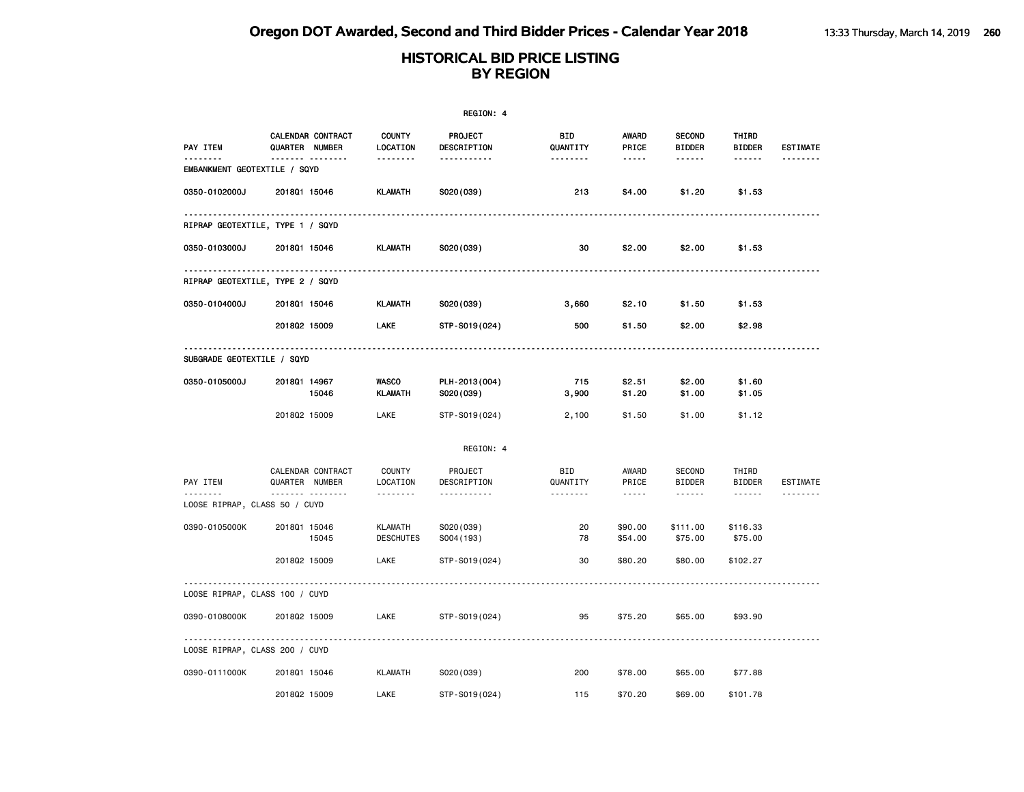|                                  |                                          |                                    | REGION: 4                          |                             |                                      |                                          |                                  |                             |
|----------------------------------|------------------------------------------|------------------------------------|------------------------------------|-----------------------------|--------------------------------------|------------------------------------------|----------------------------------|-----------------------------|
| PAY ITEM<br>--------             | CALENDAR CONTRACT<br>QUARTER NUMBER<br>. | <b>COUNTY</b><br>LOCATION<br>.     | PROJECT<br>DESCRIPTION<br><u>.</u> | BID<br>QUANTITY<br><u>.</u> | <b>AWARD</b><br>PRICE<br>$- - - - -$ | <b>SECOND</b><br><b>BIDDER</b><br>------ | THIRD<br><b>BIDDER</b><br>------ | <b>ESTIMATE</b><br>-------- |
| EMBANKMENT GEOTEXTILE / SQYD     |                                          |                                    |                                    |                             |                                      |                                          |                                  |                             |
| 0350-0102000J                    | 201801 15046                             | KLAMATH                            | S020(039)                          | 213                         | \$4.00                               | \$1.20                                   | \$1.53                           |                             |
| RIPRAP GEOTEXTILE, TYPE 1 / SQYD |                                          |                                    |                                    |                             |                                      |                                          |                                  |                             |
| 0350-0103000J                    | 201801 15046                             | <b>KLAMATH</b>                     | S020(039)                          | 30                          | \$2.00                               | \$2.00                                   | \$1.53                           |                             |
| RIPRAP GEOTEXTILE, TYPE 2 / SQYD |                                          |                                    |                                    |                             |                                      |                                          |                                  |                             |
| 0350-0104000J                    | 201801 15046                             | <b>KLAMATH</b>                     | S020(039)                          | 3,660                       | \$2.10                               | \$1.50                                   | \$1.53                           |                             |
|                                  | 201802 15009                             | LAKE                               | STP-S019(024)                      | 500                         | \$1.50                               | \$2.00                                   | \$2.98                           |                             |
| SUBGRADE GEOTEXTILE / SQYD       |                                          | .                                  |                                    |                             |                                      |                                          |                                  |                             |
| 0350-0105000J                    | 201801 14967<br>15046                    | <b>WASCO</b><br><b>KLAMATH</b>     | PLH-2013(004)<br>S020(039)         | 715<br>3,900                | \$2.51<br>\$1.20                     | \$2.00<br>\$1.00                         | \$1.60<br>\$1.05                 |                             |
|                                  | 201802 15009                             | LAKE                               | STP-S019(024)                      | 2,100                       | \$1.50                               | \$1.00                                   | \$1.12                           |                             |
|                                  |                                          |                                    | REGION: 4                          |                             |                                      |                                          |                                  |                             |
| PAY ITEM                         | CALENDAR CONTRACT<br>QUARTER NUMBER<br>. | <b>COUNTY</b><br>LOCATION<br>.     | PROJECT<br>DESCRIPTION<br><u>.</u> | <b>BID</b><br>QUANTITY<br>. | AWARD<br>PRICE<br>$\frac{1}{2}$      | SECOND<br><b>BIDDER</b><br>------        | THIRD<br><b>BIDDER</b><br>------ | ESTIMATE                    |
| LOOSE RIPRAP, CLASS 50 / CUYD    |                                          |                                    |                                    |                             |                                      |                                          |                                  |                             |
| 0390-0105000K                    | 201801 15046<br>15045                    | <b>KLAMATH</b><br><b>DESCHUTES</b> | S020(039)<br>S004 (193)            | 20<br>78                    | \$90.00<br>\$54.00                   | \$111.00<br>\$75.00                      | \$116.33<br>\$75.00              |                             |
|                                  | 201802 15009                             | LAKE                               | STP-S019(024)                      | 30                          | \$80.20                              | \$80.00                                  | \$102.27                         |                             |
| LOOSE RIPRAP, CLASS 100 / CUYD   |                                          |                                    |                                    |                             |                                      |                                          |                                  |                             |
| 0390-0108000K                    | 201802 15009                             | LAKE                               | STP-S019(024)                      | 95                          | \$75.20                              | \$65.00                                  | \$93.90                          |                             |
| LOOSE RIPRAP, CLASS 200 / CUYD   |                                          |                                    |                                    |                             |                                      |                                          |                                  |                             |
| 0390-0111000K                    | 201801 15046                             | <b>KLAMATH</b>                     | S020(039)                          | 200                         | \$78.00                              | \$65.00                                  | \$77.88                          |                             |
|                                  | 201802 15009                             | LAKE                               | STP-S019(024)                      | 115                         | \$70.20                              | \$69,00                                  | \$101.78                         |                             |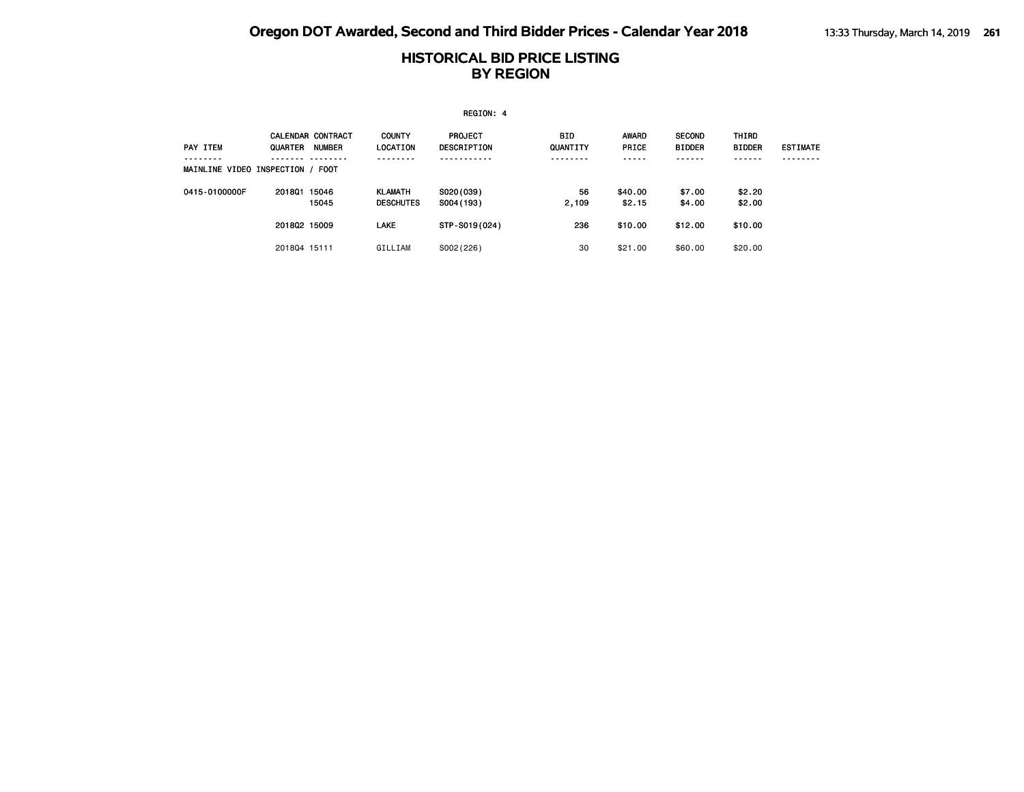|                                  |              |                                           |                                    | REGION: 4                     |                        |                       |                                |                        |                 |
|----------------------------------|--------------|-------------------------------------------|------------------------------------|-------------------------------|------------------------|-----------------------|--------------------------------|------------------------|-----------------|
| PAY ITEM                         | QUARTER      | <b>CALENDAR CONTRACT</b><br><b>NUMBER</b> | <b>COUNTY</b><br><b>LOCATION</b>   | PROJECT<br><b>DESCRIPTION</b> | <b>BID</b><br>QUANTITY | <b>AWARD</b><br>PRICE | <b>SECOND</b><br><b>BIDDER</b> | THIRD<br><b>BIDDER</b> | <b>ESTIMATE</b> |
| MAINLINE VIDEO INSPECTION / FOOT |              |                                           |                                    |                               | ----                   | -----                 |                                | ----                   |                 |
| 0415-0100000F                    | 201801 15046 | 15045                                     | <b>KLAMATH</b><br><b>DESCHUTES</b> | S020(039)<br>S004 (193)       | 56<br>2,109            | \$40.00<br>\$2.15     | \$7.00<br>\$4.00               | \$2.20<br>\$2.00       |                 |
|                                  | 201802 15009 |                                           | <b>LAKE</b>                        | STP-S019(024)                 | 236                    | \$10.00               | \$12.00                        | \$10.00                |                 |
|                                  | 201804 15111 |                                           | GILLIAM                            | S002(226)                     | 30                     | \$21,00               | \$60,00                        | \$20,00                |                 |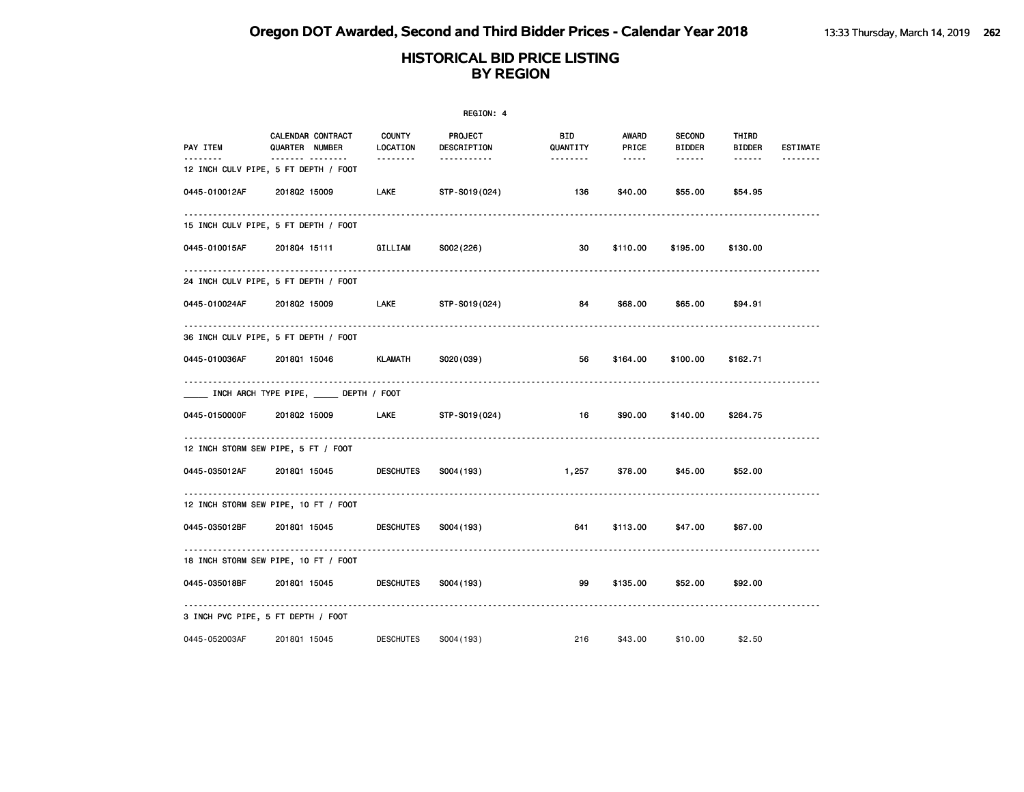|               |                                                          |                           | REGION: 4              |                 |                 |                                |                        |                 |
|---------------|----------------------------------------------------------|---------------------------|------------------------|-----------------|-----------------|--------------------------------|------------------------|-----------------|
| PAY ITEM      | CALENDAR CONTRACT<br>QUARTER NUMBER                      | <b>COUNTY</b><br>LOCATION | PROJECT<br>DESCRIPTION | BID<br>QUANTITY | AWARD<br>PRICE  | <b>SECOND</b><br><b>BIDDER</b> | THIRD<br><b>BIDDER</b> | <b>ESTIMATE</b> |
| .             | ------- --------<br>12 INCH CULV PIPE, 5 FT DEPTH / FOOT | --------                  | -----------            | --------        | $\cdots \cdots$ | ------                         | $- - - - - -$          |                 |
| 0445-010012AF | 201802 15009                                             | <b>LAKE</b>               | STP-S019(024)          | 136             | \$40.00         | \$55.00                        | \$54.95                |                 |
|               | .<br>15 INCH CULV PIPE, 5 FT DEPTH / FOOT                |                           |                        |                 |                 |                                |                        |                 |
|               | 0445-010015AF 2018Q4 15111                               | GILLIAM                   | S002(226)              | 30              | \$110.00        | \$195.00                       | \$130.00               |                 |
|               | 24 INCH CULV PIPE, 5 FT DEPTH / FOOT                     |                           |                        |                 |                 |                                |                        |                 |
|               | 0445-010024AF 2018Q2 15009                               | LAKE                      | STP-S019(024)          | 84 — 10         | \$68.00         | \$65.00                        | \$94.91                |                 |
|               | 36 INCH CULV PIPE, 5 FT DEPTH / FOOT                     |                           |                        |                 |                 |                                |                        |                 |
| 0445-010036AF | 2018Q1 15046                                             | KLAMATH                   | S020(039)              | 56              | \$164.00        | \$100.00                       | \$162.71               |                 |
|               | INCH ARCH TYPE PIPE, _____ DEPTH / FOOT                  |                           |                        |                 |                 |                                |                        |                 |
| 0445-0150000F | 201802 15009                                             |                           | LAKE STP-S019(024)     | 16              | \$90.00         | \$140.00                       | \$264.75               |                 |
|               | 12 INCH STORM SEW PIPE, 5 FT / FOOT                      |                           |                        |                 |                 |                                |                        |                 |
|               | 0445-035012AF 2018Q1 15045                               | <b>DESCHUTES</b>          | S004 (193)             | 1,257           | \$78.00         | \$45.00                        | \$52.00                |                 |
|               | 12 INCH STORM SEW PIPE, 10 FT / FOOT                     |                           |                        |                 |                 |                                |                        |                 |
| 0445-035012BF | 201801 15045                                             | <b>DESCHUTES</b>          | S004 (193)             | 641             | \$113.00        | \$47.00                        | \$67.00                |                 |
|               | 18 INCH STORM SEW PIPE, 10 FT / FOOT                     |                           |                        |                 |                 |                                |                        |                 |
| 0445-035018BF | 201801 15045                                             | <b>DESCHUTES</b>          | S004 (193)             | 99              | \$135.00        | \$52.00                        | \$92.00                |                 |
|               | 3 INCH PVC PIPE, 5 FT DEPTH / FOOT                       |                           |                        |                 |                 |                                |                        |                 |
| 0445-052003AF | 201801 15045                                             | <b>DESCHUTES</b>          | S004 (193)             | 216             | \$43.00         | \$10.00                        | \$2.50                 |                 |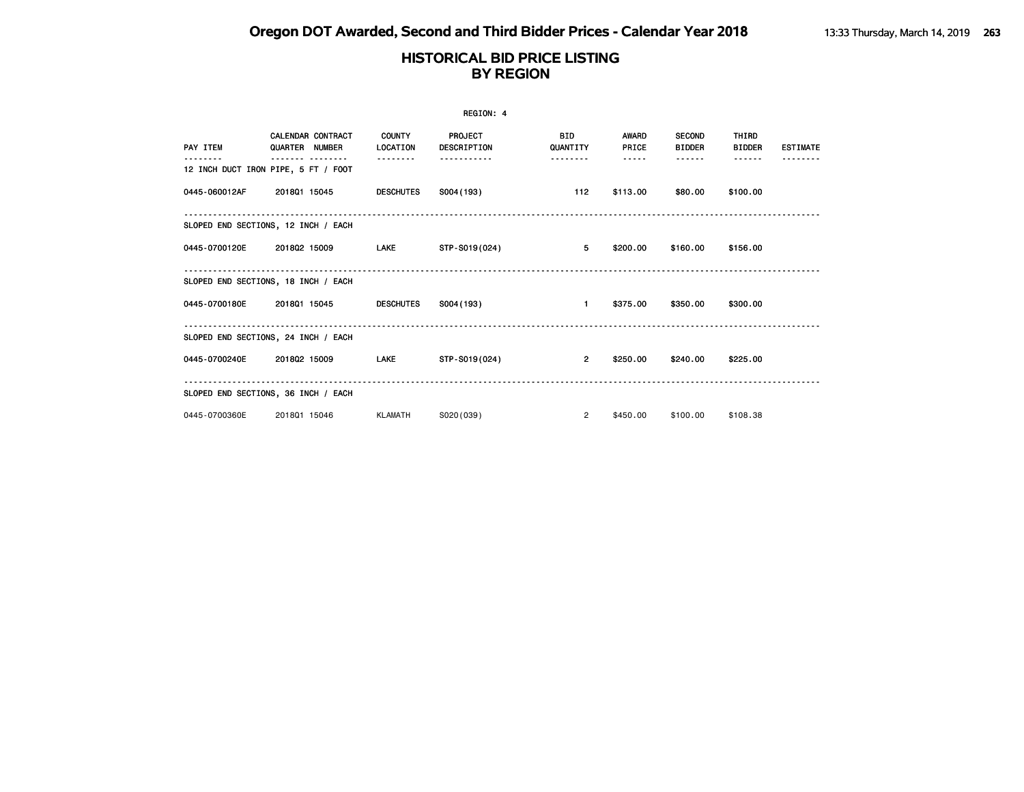|               |                                            |                           | REGION: 4                     |                        |                       |                                |                        |                 |
|---------------|--------------------------------------------|---------------------------|-------------------------------|------------------------|-----------------------|--------------------------------|------------------------|-----------------|
| PAY ITEM      | <b>CALENDAR CONTRACT</b><br>QUARTER NUMBER | <b>COUNTY</b><br>LOCATION | <b>PROJECT</b><br>DESCRIPTION | <b>BID</b><br>QUANTITY | <b>AWARD</b><br>PRICE | <b>SECOND</b><br><b>BIDDER</b> | THIRD<br><b>BIDDER</b> | <b>ESTIMATE</b> |
|               | 12 INCH DUCT IRON PIPE, 5 FT / FOOT        | <u>.</u>                  |                               | --------               | $- - - - -$           | ------                         | ------                 |                 |
| 0445-060012AF | 201801 15045                               | <b>DESCHUTES</b>          | S004 (193)                    | 112                    | \$113.00              | \$80.00                        | \$100.00               |                 |
|               | SLOPED END SECTIONS, 12 INCH / EACH        |                           |                               |                        |                       |                                |                        |                 |
| 0445-0700120E | 201802 15009                               | <b>LAKE</b>               | STP-S019(024)                 | 5                      | \$200.00              | \$160.00                       | \$156.00               |                 |
|               | SLOPED END SECTIONS, 18 INCH / EACH        |                           |                               |                        |                       |                                |                        |                 |
| 0445-0700180E | 201801 15045                               | <b>DESCHUTES</b>          | S004 (193)                    | $\blacksquare$         | \$375.00              | \$350.00                       | \$300.00               |                 |
|               | SLOPED END SECTIONS, 24 INCH / EACH        |                           |                               |                        |                       |                                |                        |                 |
| 0445-0700240E | 201802 15009                               | LAKE                      | STP-S019(024)                 | $\overline{2}$         | \$250.00              | \$240.00                       | \$225.00               |                 |
|               | SLOPED END SECTIONS, 36 INCH / EACH        |                           |                               |                        |                       |                                |                        |                 |
| 0445-0700360E | 201801 15046                               | <b>KLAMATH</b>            | S020(039)                     | $\overline{2}$         | \$450,00              | \$100.00                       | \$108.38               |                 |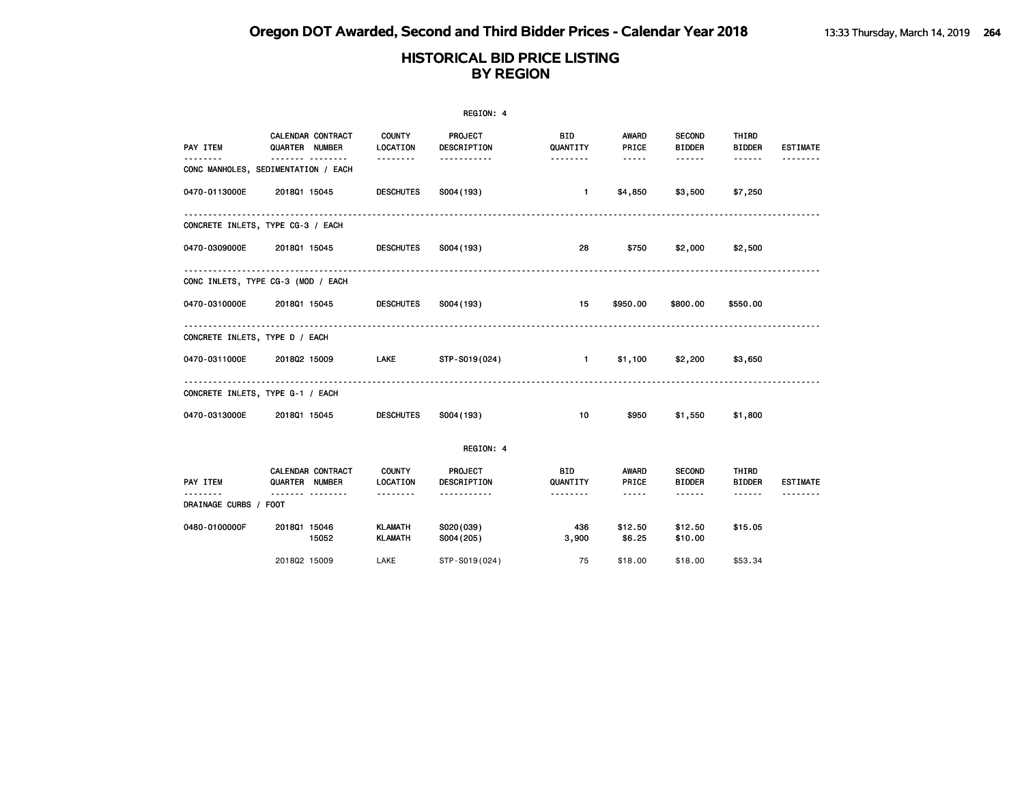|                                                |                                            |             |                                  | REGION: 4               |                        |                   |                                |                        |                 |
|------------------------------------------------|--------------------------------------------|-------------|----------------------------------|-------------------------|------------------------|-------------------|--------------------------------|------------------------|-----------------|
| PAY ITEM                                       | CALENDAR CONTRACT<br>QUARTER NUMBER        |             | <b>COUNTY</b><br>LOCATION        | PROJECT<br>DESCRIPTION  | BID<br>QUANTITY        | AWARD<br>PRICE    | <b>SECOND</b><br><b>BIDDER</b> | THIRD<br><b>BIDDER</b> | <b>ESTIMATE</b> |
| -------<br>CONC MANHOLES, SEDIMENTATION / EACH | .                                          |             | .                                | -----------             | <u> - - - - - - -</u>  | $\cdots \cdots$   | ------                         | ------                 |                 |
| 0470-0113000E                                  | 201801 15045                               |             | <b>DESCHUTES</b>                 | S004 (193)              | $\mathbf{1}$           | \$4,850           | \$3,500                        | \$7,250                |                 |
| CONCRETE INLETS, TYPE CG-3 / EACH              |                                            |             |                                  |                         |                        |                   |                                |                        |                 |
| 0470-0309000E                                  | 2018Q1 15045                               |             | <b>DESCHUTES</b>                 | S004 (193)              | 28                     | \$750             | \$2,000                        | \$2,500                |                 |
| CONC INLETS, TYPE CG-3 (MOD / EACH             |                                            | .           |                                  |                         |                        |                   |                                |                        |                 |
| 0470-0310000E                                  | 201801 15045                               |             | <b>DESCHUTES</b>                 | S004 (193)              | 15                     | \$950.00          | \$800.00                       | \$550.00               |                 |
| CONCRETE INLETS, TYPE D / EACH                 |                                            |             |                                  |                         |                        |                   |                                |                        |                 |
| 0470-0311000E                                  | 201802 15009                               | <b>LAKE</b> |                                  | STP-S019(024)           | $\mathbf{1}$           | \$1,100           | \$2,200                        | \$3,650                |                 |
| <u>.</u><br>CONCRETE INLETS, TYPE G-1 / EACH   |                                            | <u>.</u>    |                                  |                         |                        |                   |                                |                        |                 |
| 0470-0313000E                                  | 201801 15045                               |             | <b>DESCHUTES</b>                 | S004 (193)              | 10                     | \$950             | \$1,550                        | \$1,800                |                 |
|                                                |                                            |             |                                  | REGION: 4               |                        |                   |                                |                        |                 |
| <b>PAY ITEM</b>                                | <b>CALENDAR CONTRACT</b><br>QUARTER NUMBER |             | <b>COUNTY</b><br>LOCATION        | PROJECT<br>DESCRIPTION  | <b>BID</b><br>QUANTITY | AWARD<br>PRICE    | <b>SECOND</b><br><b>BIDDER</b> | THIRD<br><b>BIDDER</b> | <b>ESTIMATE</b> |
| ------<br>DRAINAGE CURBS / FOOT                | <u> </u>                                   |             | .                                | .                       | .                      | -----             | ------                         | ------                 |                 |
| 0480-0100000F                                  | 2018Q1 15046<br>15052                      |             | <b>KLAMATH</b><br><b>KLAMATH</b> | S020(039)<br>S004 (205) | 436<br>3,900           | \$12.50<br>\$6.25 | \$12.50<br>\$10.00             | \$15.05                |                 |
|                                                | 201802 15009                               | LAKE        |                                  | STP-S019(024)           | 75                     | \$18,00           | \$18.00                        | \$53.34                |                 |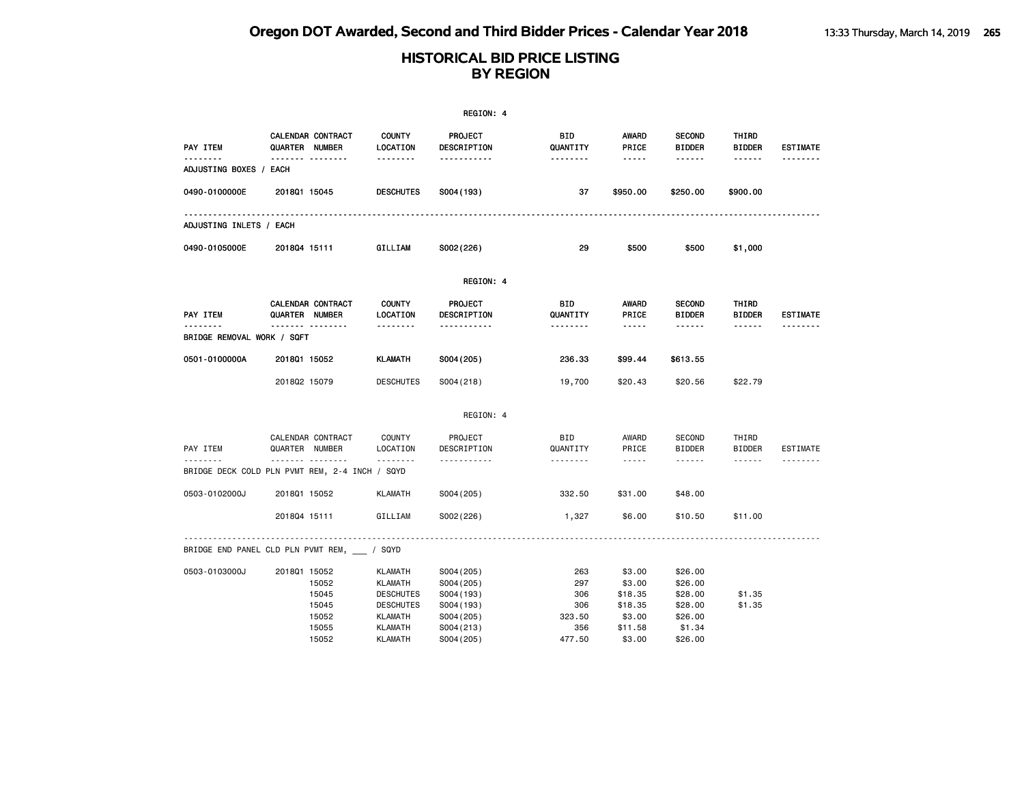|                                        |                                                           |                                                                                                              | REGION: 4                                                                       |                                           |                                                                                                                                                      |                                                               |                        |                             |
|----------------------------------------|-----------------------------------------------------------|--------------------------------------------------------------------------------------------------------------|---------------------------------------------------------------------------------|-------------------------------------------|------------------------------------------------------------------------------------------------------------------------------------------------------|---------------------------------------------------------------|------------------------|-----------------------------|
| PAY ITEM<br><u>.</u>                   | CALENDAR CONTRACT<br>QUARTER NUMBER                       | <b>COUNTY</b><br>LOCATION                                                                                    | <b>PROJECT</b><br>DESCRIPTION                                                   | <b>BID</b><br>QUANTITY                    | <b>AWARD</b><br>PRICE                                                                                                                                | <b>SECOND</b><br><b>BIDDER</b>                                | THIRD<br><b>BIDDER</b> | <b>ESTIMATE</b><br><u>.</u> |
| ADJUSTING BOXES / EACH                 | ------- --------                                          | --------                                                                                                     | -----------                                                                     | <u> - - - - - - -</u>                     | -----                                                                                                                                                | ------                                                        | ------                 |                             |
| 0490-0100000E                          | 201801 15045                                              | <b>DESCHUTES</b>                                                                                             | S004 (193)                                                                      | 37                                        | \$950.00                                                                                                                                             | \$250.00                                                      | \$900.00               |                             |
| ADJUSTING INLETS / EACH                |                                                           |                                                                                                              |                                                                                 |                                           |                                                                                                                                                      |                                                               |                        |                             |
| 0490-0105000E                          | 201804 15111                                              | GILLIAM                                                                                                      | S002(226)                                                                       | 29                                        | \$500                                                                                                                                                | \$500                                                         | \$1,000                |                             |
|                                        |                                                           |                                                                                                              | REGION: 4                                                                       |                                           |                                                                                                                                                      |                                                               |                        |                             |
| PAY ITEM                               | CALENDAR CONTRACT<br>QUARTER NUMBER                       | COUNTY<br>LOCATION                                                                                           | PROJECT<br>DESCRIPTION                                                          | BID<br>QUANTITY                           | AWARD<br>PRICE                                                                                                                                       | <b>SECOND</b><br><b>BIDDER</b>                                | THIRD<br><b>BIDDER</b> | <b>ESTIMATE</b>             |
| --------<br>BRIDGE REMOVAL WORK / SQFT | <u></u>                                                   | --------                                                                                                     | -----------                                                                     | --------                                  | $- - - - -$                                                                                                                                          | ------                                                        | ------                 | --------                    |
| 0501-0100000A                          | 201801 15052                                              | <b>KLAMATH</b>                                                                                               | S004 (205)                                                                      | 236.33                                    | \$99.44                                                                                                                                              | \$613.55                                                      |                        |                             |
|                                        | 201802 15079                                              | <b>DESCHUTES</b>                                                                                             | S004(218)                                                                       | 19,700                                    | \$20.43                                                                                                                                              | \$20.56                                                       | \$22.79                |                             |
|                                        |                                                           |                                                                                                              | REGION: 4                                                                       |                                           |                                                                                                                                                      |                                                               |                        |                             |
| PAY ITEM                               | CALENDAR CONTRACT<br>QUARTER NUMBER                       | COUNTY<br>LOCATION                                                                                           | PROJECT<br>DESCRIPTION                                                          | BID<br>QUANTITY                           | AWARD<br>PRICE                                                                                                                                       | <b>SECOND</b><br><b>BIDDER</b>                                | THIRD<br><b>BIDDER</b> | ESTIMATE                    |
| .                                      | .<br>BRIDGE DECK COLD PLN PVMT REM, 2-4 INCH / SQYD       | .                                                                                                            | .                                                                               | <u>.</u>                                  | $\frac{1}{2} \left( \frac{1}{2} \right) \left( \frac{1}{2} \right) \left( \frac{1}{2} \right) \left( \frac{1}{2} \right) \left( \frac{1}{2} \right)$ | .                                                             | ------                 | .                           |
| 0503-0102000J                          | 201801 15052                                              | <b>KLAMATH</b>                                                                                               | S004 (205)                                                                      | 332.50                                    | \$31.00                                                                                                                                              | \$48.00                                                       |                        |                             |
|                                        | 201804 15111                                              | GILLIAM                                                                                                      | S002(226)                                                                       | 1,327                                     | \$6.00                                                                                                                                               | \$10.50                                                       | \$11.00                |                             |
|                                        | BRIDGE END PANEL CLD PLN PVMT REM, 1997 / SQYD            |                                                                                                              |                                                                                 |                                           |                                                                                                                                                      |                                                               |                        |                             |
| 0503-0103000J                          | 201801 15052<br>15052<br>15045<br>15045<br>15052<br>15055 | <b>KLAMATH</b><br><b>KLAMATH</b><br><b>DESCHUTES</b><br><b>DESCHUTES</b><br><b>KLAMATH</b><br><b>KLAMATH</b> | S004 (205)<br>S004 (205)<br>S004 (193)<br>S004 (193)<br>S004 (205)<br>S004(213) | 263<br>297<br>306<br>306<br>323.50<br>356 | \$3.00<br>\$3.00<br>\$18.35<br>\$18.35<br>\$3.00<br>\$11.58                                                                                          | \$26.00<br>\$26.00<br>\$28.00<br>\$28.00<br>\$26.00<br>\$1.34 | \$1.35<br>\$1.35       |                             |
|                                        | 15052                                                     | <b>KLAMATH</b>                                                                                               | S004 (205)                                                                      | 477.50                                    | \$3.00                                                                                                                                               | \$26.00                                                       |                        |                             |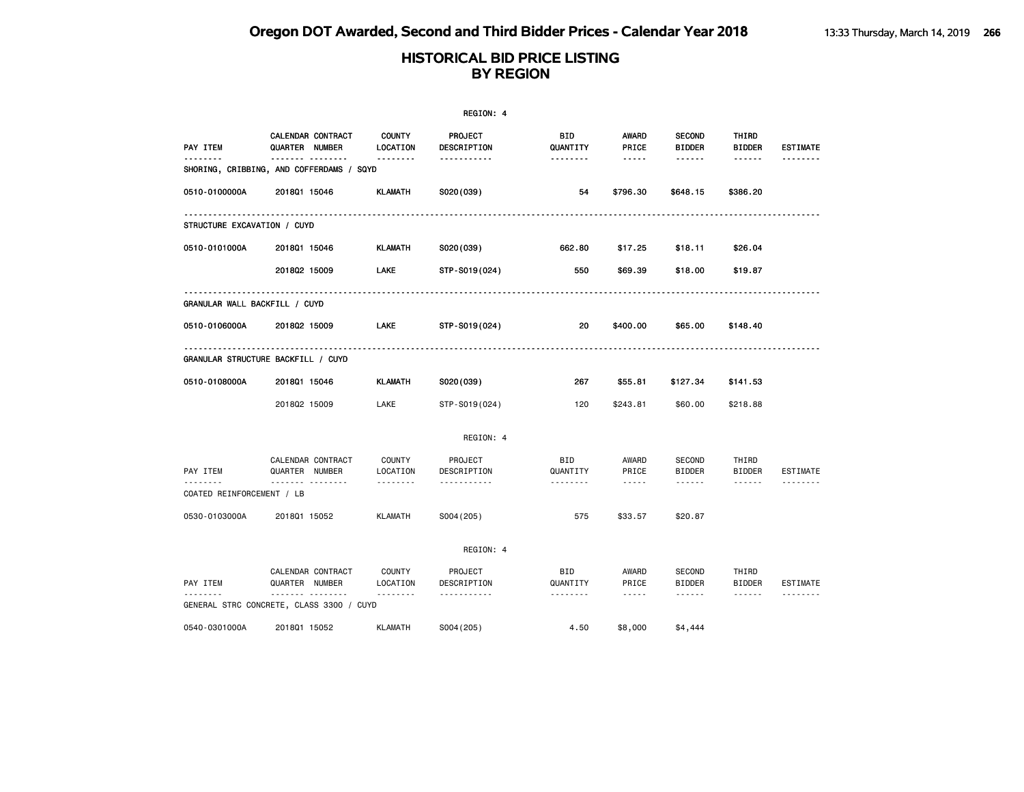|                               |                                                              |                           | REGION: 4              |                 |                                                                                                                                                                                 |                                |                        |                 |
|-------------------------------|--------------------------------------------------------------|---------------------------|------------------------|-----------------|---------------------------------------------------------------------------------------------------------------------------------------------------------------------------------|--------------------------------|------------------------|-----------------|
| <b>PAY ITEM</b>               | CALENDAR CONTRACT<br>QUARTER NUMBER                          | <b>COUNTY</b><br>LOCATION | PROJECT<br>DESCRIPTION | BID<br>QUANTITY | <b>AWARD</b><br>PRICE                                                                                                                                                           | <b>SECOND</b><br><b>BIDDER</b> | THIRD<br><b>BIDDER</b> | <b>ESTIMATE</b> |
| <u>.</u>                      | ------- --------<br>SHORING, CRIBBING, AND COFFERDAMS / SQYD | --------                  | -----------            | --------        | $- - - - -$                                                                                                                                                                     | ------                         | ------                 |                 |
| 0510-0100000A                 | 201801 15046                                                 | <b>KLAMATH</b>            | S020(039)              | 54              | \$796.30                                                                                                                                                                        | \$648.15                       | \$386.20               |                 |
| STRUCTURE EXCAVATION / CUYD   |                                                              |                           |                        |                 |                                                                                                                                                                                 |                                |                        |                 |
| 0510-0101000A                 | 201801 15046                                                 | <b>KLAMATH</b>            | S020(039)              | 662.80          | \$17.25                                                                                                                                                                         | \$18.11                        | \$26.04                |                 |
|                               | 201802 15009                                                 | <b>LAKE</b>               | STP-S019(024)          | 550             | \$69.39                                                                                                                                                                         | \$18.00                        | \$19.87                |                 |
| GRANULAR WALL BACKFILL / CUYD |                                                              |                           |                        |                 |                                                                                                                                                                                 |                                |                        |                 |
| 0510-0106000A                 | 201802 15009                                                 | <b>LAKE</b>               | STP-S019(024)          | 20              | \$400.00                                                                                                                                                                        | \$65.00                        | \$148.40               |                 |
|                               | GRANULAR STRUCTURE BACKFILL / CUYD                           |                           |                        |                 |                                                                                                                                                                                 |                                |                        |                 |
| 0510-0108000A                 | 201801 15046                                                 | <b>KLAMATH</b>            | S020(039)              | 267             | \$55.81                                                                                                                                                                         | \$127.34                       | \$141.53               |                 |
|                               | 201802 15009                                                 | LAKE                      | STP-S019(024)          | 120             | \$243.81                                                                                                                                                                        | \$60.00                        | \$218.88               |                 |
|                               |                                                              |                           | REGION: 4              |                 |                                                                                                                                                                                 |                                |                        |                 |
| PAY ITEM                      | CALENDAR CONTRACT<br>QUARTER NUMBER                          | <b>COUNTY</b><br>LOCATION | PROJECT<br>DESCRIPTION | BID<br>QUANTITY | AWARD<br>PRICE                                                                                                                                                                  | <b>SECOND</b><br><b>BIDDER</b> | THIRD<br><b>BIDDER</b> | ESTIMATE        |
| COATED REINFORCEMENT / LB     |                                                              | .                         | -----------            | .               | $\frac{1}{2} \left( \frac{1}{2} \right) \left( \frac{1}{2} \right) \left( \frac{1}{2} \right) \left( \frac{1}{2} \right) \left( \frac{1}{2} \right) \left( \frac{1}{2} \right)$ | ------                         | ------                 | .               |
| 0530-0103000A                 | 201801 15052                                                 | <b>KLAMATH</b>            | S004 (205)             | 575             | \$33.57                                                                                                                                                                         | \$20.87                        |                        |                 |
|                               |                                                              |                           | REGION: 4              |                 |                                                                                                                                                                                 |                                |                        |                 |
| PAY ITEM                      | CALENDAR CONTRACT<br>QUARTER NUMBER                          | COUNTY<br>LOCATION        | PROJECT<br>DESCRIPTION | BID<br>QUANTITY | AWARD<br>PRICE                                                                                                                                                                  | <b>SECOND</b><br><b>BIDDER</b> | THIRD<br><b>BIDDER</b> | ESTIMATE        |
|                               | .<br>GENERAL STRC CONCRETE, CLASS 3300 / CUYD                |                           | <u>.</u>               | <u>.</u>        | $- - - - -$                                                                                                                                                                     | ------                         | $- - - - - -$          | --------        |
| 0540-0301000A                 | 201801 15052                                                 | <b>KLAMATH</b>            | S004 (205)             | 4.50            | \$8,000                                                                                                                                                                         | \$4,444                        |                        |                 |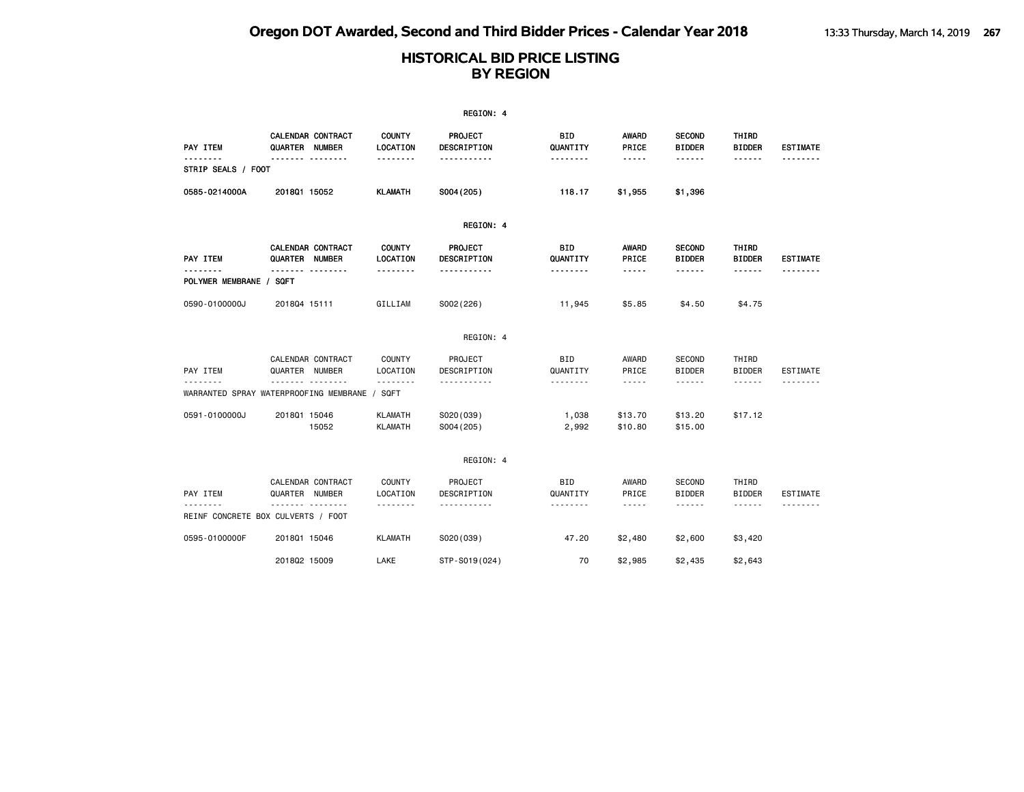|                                     |                                                    |                                  | REGION: 4                     |                        |                                                                                                                                                                                                                                                                                                                                                                                                                                                                            |                                |                        |                 |
|-------------------------------------|----------------------------------------------------|----------------------------------|-------------------------------|------------------------|----------------------------------------------------------------------------------------------------------------------------------------------------------------------------------------------------------------------------------------------------------------------------------------------------------------------------------------------------------------------------------------------------------------------------------------------------------------------------|--------------------------------|------------------------|-----------------|
| PAY ITEM                            | CALENDAR CONTRACT<br>QUARTER NUMBER                | <b>COUNTY</b><br>LOCATION        | <b>PROJECT</b><br>DESCRIPTION | BID<br>QUANTITY        | <b>AWARD</b><br>PRICE                                                                                                                                                                                                                                                                                                                                                                                                                                                      | <b>SECOND</b><br><b>BIDDER</b> | THIRD<br><b>BIDDER</b> | <b>ESTIMATE</b> |
| .<br>STRIP SEALS / FOOT             | . <sub>.</sub>                                     | - - - - - - - -                  | .                             | --------               | -----                                                                                                                                                                                                                                                                                                                                                                                                                                                                      | ------                         | ------                 | --------        |
| 0585-0214000A                       | 201801 15052                                       | <b>KLAMATH</b>                   | S004 (205)                    | 118.17                 | \$1,955                                                                                                                                                                                                                                                                                                                                                                                                                                                                    | \$1,396                        |                        |                 |
|                                     |                                                    |                                  | REGION: 4                     |                        |                                                                                                                                                                                                                                                                                                                                                                                                                                                                            |                                |                        |                 |
| PAY ITEM                            | CALENDAR CONTRACT<br>QUARTER NUMBER                | <b>COUNTY</b><br>LOCATION        | PROJECT<br>DESCRIPTION        | BID<br>QUANTITY        | <b>AWARD</b><br>PRICE                                                                                                                                                                                                                                                                                                                                                                                                                                                      | <b>SECOND</b><br><b>BIDDER</b> | THIRD<br><b>BIDDER</b> | <b>ESTIMATE</b> |
| --------<br>POLYMER MEMBRANE / SQFT | . <sub>.</sub>                                     | --------                         | -----------                   | --------               | -----                                                                                                                                                                                                                                                                                                                                                                                                                                                                      | ------                         | ------                 | --------        |
| 0590-0100000J                       | 201804 15111                                       | GILLIAM                          | S002(226)                     | 11,945                 | \$5.85                                                                                                                                                                                                                                                                                                                                                                                                                                                                     | \$4.50                         | \$4.75                 |                 |
|                                     |                                                    |                                  | REGION: 4                     |                        |                                                                                                                                                                                                                                                                                                                                                                                                                                                                            |                                |                        |                 |
| PAY ITEM                            | CALENDAR CONTRACT<br>QUARTER NUMBER                | <b>COUNTY</b><br>LOCATION        | PROJECT<br>DESCRIPTION        | <b>BID</b><br>QUANTITY | AWARD<br>PRICE                                                                                                                                                                                                                                                                                                                                                                                                                                                             | SECOND<br><b>BIDDER</b>        | THIRD<br>BIDDER        | <b>ESTIMATE</b> |
|                                     | --------<br>WARRANTED SPRAY WATERPROOFING MEMBRANE | .<br>/ SQFT                      | .                             | .                      | $- - - - -$                                                                                                                                                                                                                                                                                                                                                                                                                                                                | ------                         | ------                 |                 |
| 0591-0100000J                       | 201801 15046<br>15052                              | <b>KLAMATH</b><br><b>KLAMATH</b> | S020(039)<br>S004 (205)       | 1,038<br>2,992         | \$13.70<br>\$10.80                                                                                                                                                                                                                                                                                                                                                                                                                                                         | \$13.20<br>\$15.00             | \$17.12                |                 |
|                                     |                                                    |                                  | REGION: 4                     |                        |                                                                                                                                                                                                                                                                                                                                                                                                                                                                            |                                |                        |                 |
| PAY ITEM                            | CALENDAR CONTRACT<br>QUARTER NUMBER                | COUNTY<br>LOCATION               | PROJECT<br>DESCRIPTION        | <b>BID</b><br>QUANTITY | AWARD<br>PRICE                                                                                                                                                                                                                                                                                                                                                                                                                                                             | <b>SECOND</b><br><b>BIDDER</b> | THIRD<br>BIDDER        | <b>ESTIMATE</b> |
|                                     | .<br>REINF CONCRETE BOX CULVERTS / FOOT            | .                                | .                             | .                      | $\frac{1}{2} \left( \frac{1}{2} \right) \left( \frac{1}{2} \right) \left( \frac{1}{2} \right) \left( \frac{1}{2} \right) \left( \frac{1}{2} \right) \left( \frac{1}{2} \right) \left( \frac{1}{2} \right) \left( \frac{1}{2} \right) \left( \frac{1}{2} \right) \left( \frac{1}{2} \right) \left( \frac{1}{2} \right) \left( \frac{1}{2} \right) \left( \frac{1}{2} \right) \left( \frac{1}{2} \right) \left( \frac{1}{2} \right) \left( \frac{1}{2} \right) \left( \frac$ | ------                         | ------                 | .               |
| 0595-0100000F                       | 201801 15046                                       | <b>KLAMATH</b>                   | S020(039)                     | 47.20                  | \$2,480                                                                                                                                                                                                                                                                                                                                                                                                                                                                    | \$2,600                        | \$3,420                |                 |
|                                     | 201802 15009                                       | LAKE                             | STP-S019(024)                 | 70                     | \$2,985                                                                                                                                                                                                                                                                                                                                                                                                                                                                    | \$2,435                        | \$2,643                |                 |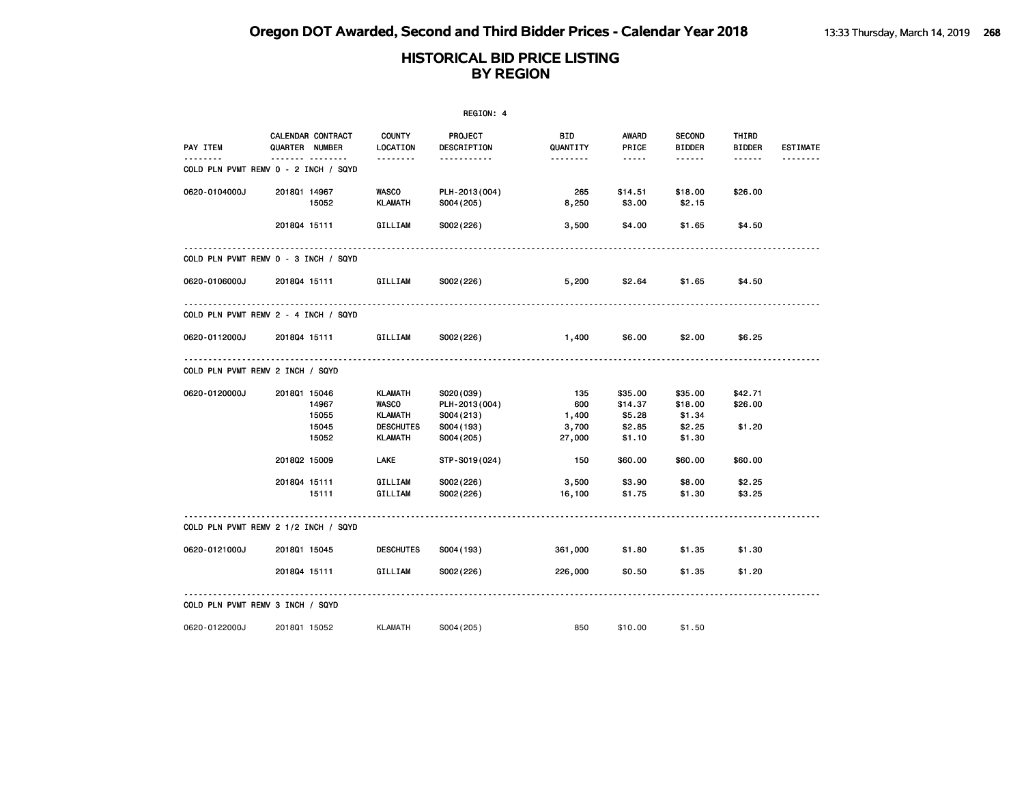|               |                                                  |                                                                                        | REGION: 4                                                            |                                        |                                                  |                                                  |                              |                 |
|---------------|--------------------------------------------------|----------------------------------------------------------------------------------------|----------------------------------------------------------------------|----------------------------------------|--------------------------------------------------|--------------------------------------------------|------------------------------|-----------------|
| PAY ITEM      | CALENDAR CONTRACT<br>QUARTER NUMBER              | <b>COUNTY</b><br>LOCATION                                                              | PROJECT<br>DESCRIPTION                                               | <b>BID</b><br>QUANTITY                 | <b>AWARD</b><br>PRICE                            | <b>SECOND</b><br><b>BIDDER</b>                   | THIRD<br><b>BIDDER</b>       | <b>ESTIMATE</b> |
| ------        | <b>.</b><br>COLD PLN PVMT REMV 0 - 2 INCH / SQYD | .                                                                                      | .                                                                    | --------                               | -----                                            | ------                                           | $\cdots\cdots\cdots$         |                 |
| 0620-0104000J | 2018Q1 14967<br>15052                            | <b>WASCO</b><br><b>KLAMATH</b>                                                         | PLH-2013(004)<br>S004 (205)                                          | 265<br>8,250                           | \$14.51<br>\$3.00                                | \$18.00<br>\$2.15                                | \$26.00                      |                 |
|               | 201804 15111                                     | GILLIAM                                                                                | S002(226)                                                            | 3,500                                  | \$4.00                                           | \$1.65                                           | \$4.50                       |                 |
|               | COLD PLN PVMT REMV 0 - 3 INCH / SQYD             |                                                                                        |                                                                      |                                        |                                                  |                                                  |                              |                 |
| 0620-0106000J | 201804 15111                                     | GILLIAM                                                                                | S002(226)                                                            | 5,200                                  | \$2.64                                           | \$1.65                                           | \$4.50                       |                 |
|               | COLD PLN PVMT REMV 2 - 4 INCH / SQYD             |                                                                                        |                                                                      |                                        |                                                  |                                                  |                              |                 |
| 0620-0112000J | 201804 15111                                     | GILLIAM                                                                                | S002(226)                                                            | 1,400                                  | \$6.00                                           | \$2.00                                           | \$6.25                       |                 |
|               | COLD PLN PVMT REMV 2 INCH / SQYD                 |                                                                                        |                                                                      |                                        |                                                  |                                                  |                              |                 |
| 0620-0120000J | 2018Q1 15046<br>14967<br>15055<br>15045<br>15052 | <b>KLAMATH</b><br><b>WASCO</b><br><b>KLAMATH</b><br><b>DESCHUTES</b><br><b>KLAMATH</b> | S020(039)<br>PLH-2013(004)<br>S004 (213)<br>S004 (193)<br>S004 (205) | 135<br>600<br>1,400<br>3,700<br>27,000 | \$35.00<br>\$14.37<br>\$5.28<br>\$2.85<br>\$1.10 | \$35.00<br>\$18.00<br>\$1.34<br>\$2.25<br>\$1.30 | \$42.71<br>\$26.00<br>\$1.20 |                 |
|               | 201802 15009                                     | <b>LAKE</b>                                                                            | STP-S019(024)                                                        | 150                                    | \$60.00                                          | \$60.00                                          | \$60.00                      |                 |
|               | 201804 15111<br>15111                            | GILLIAM<br>GILLIAM                                                                     | S002(226)<br>S002(226)                                               | 3,500<br>16,100                        | \$3.90<br>\$1.75                                 | \$8.00<br>\$1.30                                 | \$2.25<br>\$3.25             |                 |
|               | COLD PLN PVMT REMV 2 1/2 INCH / SQYD             |                                                                                        |                                                                      |                                        |                                                  |                                                  |                              |                 |
| 0620-0121000J | 201801 15045                                     | <b>DESCHUTES</b>                                                                       | S004 (193)                                                           | 361,000                                | \$1.80                                           | \$1.35                                           | \$1.30                       |                 |
|               | 201804 15111                                     | GILLIAM                                                                                | S002(226)                                                            | 226,000                                | \$0.50                                           | \$1.35                                           | \$1.20                       |                 |
|               | COLD PLN PVMT REMV 3 INCH / SQYD                 |                                                                                        |                                                                      |                                        |                                                  |                                                  |                              |                 |
| 0620-0122000J | 201801 15052                                     | <b>KLAMATH</b>                                                                         | S004 (205)                                                           | 850                                    | \$10.00                                          | \$1.50                                           |                              |                 |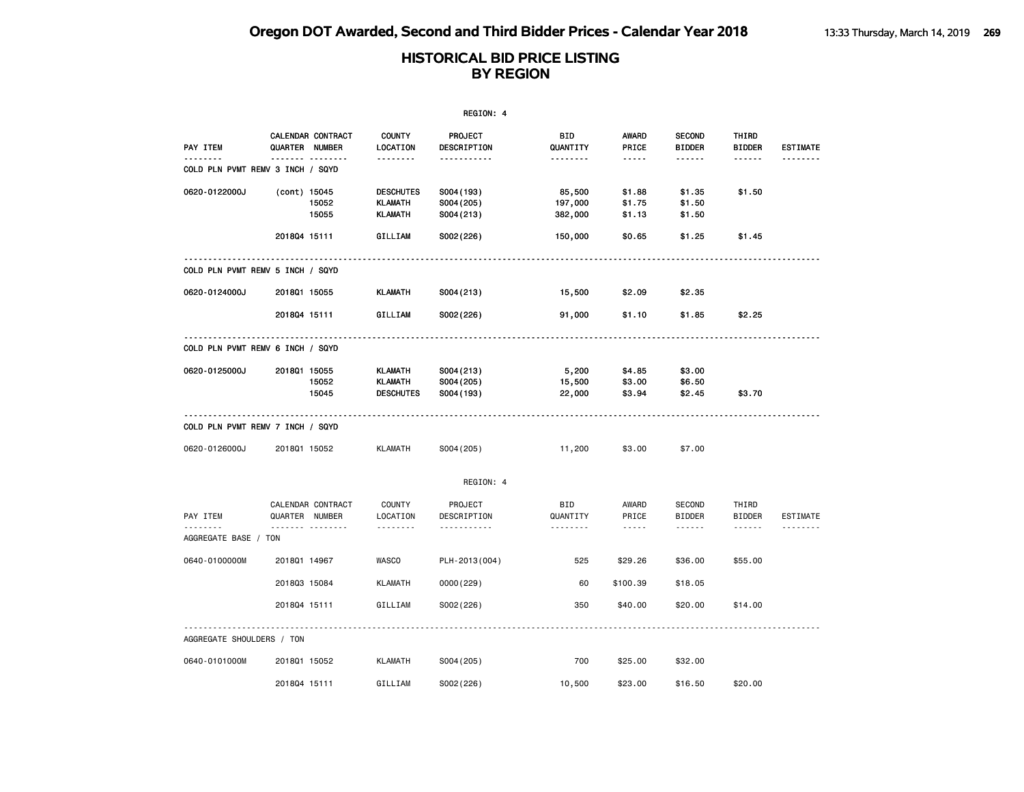|                                  |                |                   |                                                      | REGION: 4                             |                              |                            |                                |                        |                 |
|----------------------------------|----------------|-------------------|------------------------------------------------------|---------------------------------------|------------------------------|----------------------------|--------------------------------|------------------------|-----------------|
| PAY ITEM                         | QUARTER NUMBER | CALENDAR CONTRACT | <b>COUNTY</b><br>LOCATION                            | <b>PROJECT</b><br>DESCRIPTION         | <b>BID</b><br>QUANTITY       | AWARD<br>PRICE             | <b>SECOND</b><br><b>BIDDER</b> | THIRD<br><b>BIDDER</b> | <b>ESTIMATE</b> |
| COLD PLN PVMT REMV 3 INCH / SQYD |                | <u> </u>          | <u>.</u>                                             | <u>.</u>                              | <u>.</u>                     | -----                      | .                              | ------                 |                 |
| 0620-0122000J                    | (cont) 15045   | 15052<br>15055    | <b>DESCHUTES</b><br><b>KLAMATH</b><br><b>KLAMATH</b> | S004 (193)<br>S004 (205)<br>S004(213) | 85,500<br>197,000<br>382,000 | \$1.88<br>\$1.75<br>\$1.13 | \$1.35<br>\$1.50<br>\$1.50     | \$1.50                 |                 |
|                                  | 201804 15111   |                   | GILLIAM                                              | S002(226)                             | 150,000                      | \$0.65                     | \$1.25                         | \$1.45                 |                 |
| COLD PLN PVMT REMV 5 INCH / SQYD |                |                   |                                                      |                                       |                              |                            |                                |                        |                 |
| 0620-0124000J                    | 201801 15055   |                   | KLAMATH                                              | S004(213)                             | 15,500                       | \$2.09                     | \$2.35                         |                        |                 |
|                                  | 201804 15111   |                   | GILLIAM                                              | S002(226)                             | 91,000                       | \$1.10                     | \$1.85                         | \$2.25                 |                 |
| COLD PLN PVMT REMV 6 INCH / SQYD |                |                   |                                                      |                                       |                              |                            |                                |                        |                 |
| 0620-0125000J                    | 201801 15055   | 15052<br>15045    | <b>KLAMATH</b><br><b>KLAMATH</b><br><b>DESCHUTES</b> | S004(213)<br>S004 (205)<br>S004 (193) | 5,200<br>15,500<br>22,000    | \$4.85<br>\$3.00<br>\$3.94 | \$3.00<br>\$6.50<br>\$2.45     | \$3.70                 |                 |
| COLD PLN PVMT REMV 7 INCH / SQYD |                |                   |                                                      |                                       |                              |                            |                                |                        |                 |
| 0620-0126000J                    | 201801 15052   |                   | <b>KLAMATH</b>                                       | S004 (205)                            | 11,200                       | \$3.00                     | \$7.00                         |                        |                 |
|                                  |                |                   |                                                      | REGION: 4                             |                              |                            |                                |                        |                 |
| PAY ITEM                         | QUARTER NUMBER | CALENDAR CONTRACT | <b>COUNTY</b><br>LOCATION                            | PROJECT<br>DESCRIPTION                | <b>BID</b><br>QUANTITY       | AWARD<br>PRICE             | <b>SECOND</b><br><b>BIDDER</b> | THIRD<br><b>BIDDER</b> | <b>ESTIMATE</b> |
| .<br>AGGREGATE BASE / TON        |                | .                 | <u>.</u>                                             | <u>.</u>                              | .                            | $- - - - -$                | <u>.</u>                       | ------                 |                 |
| 0640-0100000M                    | 201801 14967   |                   | <b>WASCO</b>                                         | PLH-2013(004)                         | 525                          | \$29.26                    | \$36.00                        | \$55.00                |                 |
|                                  | 201803 15084   |                   | <b>KLAMATH</b>                                       | 0000 (229)                            | 60                           | \$100.39                   | \$18.05                        |                        |                 |
|                                  | 201804 15111   |                   | GILLIAM                                              | S002(226)                             | 350                          | \$40.00                    | \$20.00                        | \$14.00                |                 |
| AGGREGATE SHOULDERS / TON        |                |                   |                                                      |                                       |                              |                            |                                |                        |                 |
| 0640-0101000M                    | 201801 15052   |                   | <b>KLAMATH</b>                                       | S004 (205)                            | 700                          | \$25.00                    | \$32.00                        |                        |                 |
|                                  | 201804 15111   |                   | GILLIAM                                              | S002(226)                             | 10,500                       | \$23,00                    | \$16.50                        | \$20,00                |                 |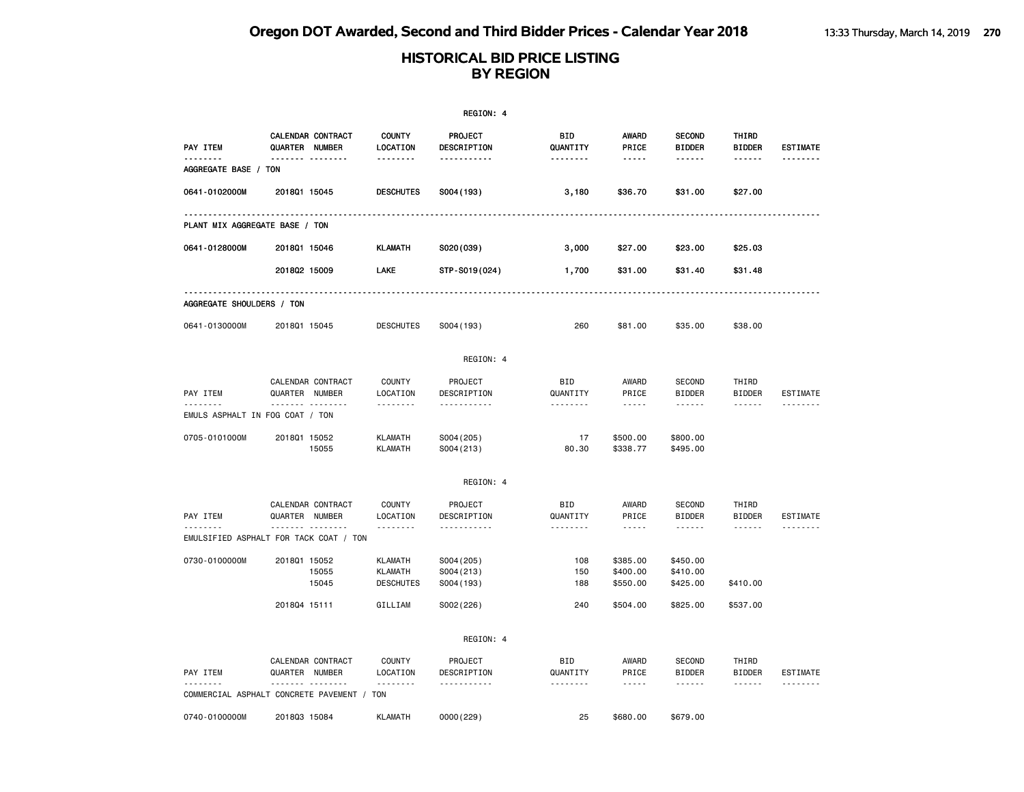|                                            |                                          |                |                                                      | REGION: 4                             |                        |                                    |                                          |                                  |                 |
|--------------------------------------------|------------------------------------------|----------------|------------------------------------------------------|---------------------------------------|------------------------|------------------------------------|------------------------------------------|----------------------------------|-----------------|
| PAY ITEM                                   | CALENDAR CONTRACT<br>QUARTER NUMBER      |                | <b>COUNTY</b><br>LOCATION                            | <b>PROJECT</b><br>DESCRIPTION         | BID<br>QUANTITY        | <b>AWARD</b><br>PRICE              | <b>SECOND</b><br><b>BIDDER</b>           | THIRD<br><b>BIDDER</b>           | <b>ESTIMATE</b> |
| <u>.</u><br>AGGREGATE BASE / TON           |                                          |                | <u> - - - - - - - -</u>                              | <u>.</u>                              | <u>.</u>               | $- - - - -$                        | ------                                   | ------                           | <u>.</u>        |
| 0641-0102000M                              | 201801 15045                             |                | <b>DESCHUTES</b>                                     | S004 (193)                            | 3,180                  | \$36.70                            | \$31.00                                  | \$27.00                          |                 |
| PLANT MIX AGGREGATE BASE / TON             | ------------                             |                |                                                      | --------------------------------      |                        |                                    |                                          |                                  |                 |
| 0641-0128000M                              | 201801 15046                             |                | <b>KLAMATH</b>                                       | S020(039)                             | 3,000                  | \$27.00                            | \$23.00                                  | \$25.03                          |                 |
|                                            | 201802 15009                             |                | LAKE                                                 | STP-S019(024)                         | 1,700                  | \$31.00                            | \$31.40                                  | \$31.48                          |                 |
| AGGREGATE SHOULDERS / TON                  |                                          |                |                                                      |                                       |                        |                                    |                                          |                                  |                 |
| 0641-0130000M                              | 201801 15045                             |                | <b>DESCHUTES</b>                                     | S004 (193)                            | 260                    | \$81.00                            | \$35.00                                  | \$38.00                          |                 |
|                                            |                                          |                |                                                      | REGION: 4                             |                        |                                    |                                          |                                  |                 |
| PAY ITEM                                   | CALENDAR CONTRACT<br>QUARTER NUMBER      |                | COUNTY<br>LOCATION                                   | PROJECT<br>DESCRIPTION                | <b>BID</b><br>QUANTITY | AWARD<br>PRICE                     | <b>SECOND</b><br><b>BIDDER</b>           | THIRD<br><b>BIDDER</b>           | <b>ESTIMATE</b> |
| EMULS ASPHALT IN FOG COAT / TON            | .                                        |                | .                                                    | .                                     | .                      | $- - - - -$                        | ------                                   | .                                | .               |
| 0705-0101000M                              | 201801 15052                             | 15055          | <b>KLAMATH</b><br><b>KLAMATH</b>                     | S004 (205)<br>S004(213)               | 17<br>80.30            | \$500.00<br>\$338.77               | \$800.00<br>\$495.00                     |                                  |                 |
|                                            |                                          |                |                                                      | REGION: 4                             |                        |                                    |                                          |                                  |                 |
| PAY ITEM                                   | CALENDAR CONTRACT<br>QUARTER NUMBER      |                | COUNTY<br>LOCATION                                   | PROJECT<br>DESCRIPTION                | <b>BID</b><br>QUANTITY | AWARD<br>PRICE                     | <b>SECOND</b><br><b>BIDDER</b>           | THIRD<br><b>BIDDER</b>           | <b>ESTIMATE</b> |
| EMULSIFIED ASPHALT FOR TACK COAT / TON     | . <sub>.</sub>                           |                | .                                                    | .                                     | .                      | $\sim$ $\sim$ $\sim$ $\sim$ $\sim$ | $- - - - - -$                            | ------                           | <u>.</u>        |
| 0730-0100000M                              | 201801 15052                             | 15055<br>15045 | <b>KLAMATH</b><br><b>KLAMATH</b><br><b>DESCHUTES</b> | S004 (205)<br>S004(213)<br>S004 (193) | 108<br>150<br>188      | \$385.00<br>\$400.00<br>\$550.00   | \$450.00<br>\$410.00<br>\$425.00         | \$410.00                         |                 |
|                                            | 201804 15111                             |                | GILLIAM                                              | S002(226)                             | 240                    | \$504.00                           | \$825.00                                 | \$537.00                         |                 |
|                                            |                                          |                |                                                      | REGION: 4                             |                        |                                    |                                          |                                  |                 |
| PAY ITEM                                   | CALENDAR CONTRACT<br>QUARTER NUMBER<br>. |                | COUNTY<br>LOCATION                                   | PROJECT<br>DESCRIPTION<br><u>.</u>    | BID<br>QUANTITY<br>.   | AWARD<br>PRICE<br>$\frac{1}{2}$    | <b>SECOND</b><br><b>BIDDER</b><br>------ | THIRD<br><b>BIDDER</b><br>------ | ESTIMATE        |
| COMMERCIAL ASPHALT CONCRETE PAVEMENT / TON |                                          |                |                                                      |                                       |                        |                                    |                                          |                                  |                 |
| 0740-0100000M                              | 201803 15084                             |                | <b>KLAMATH</b>                                       | 0000(229)                             | 25                     | \$680.00                           | \$679.00                                 |                                  |                 |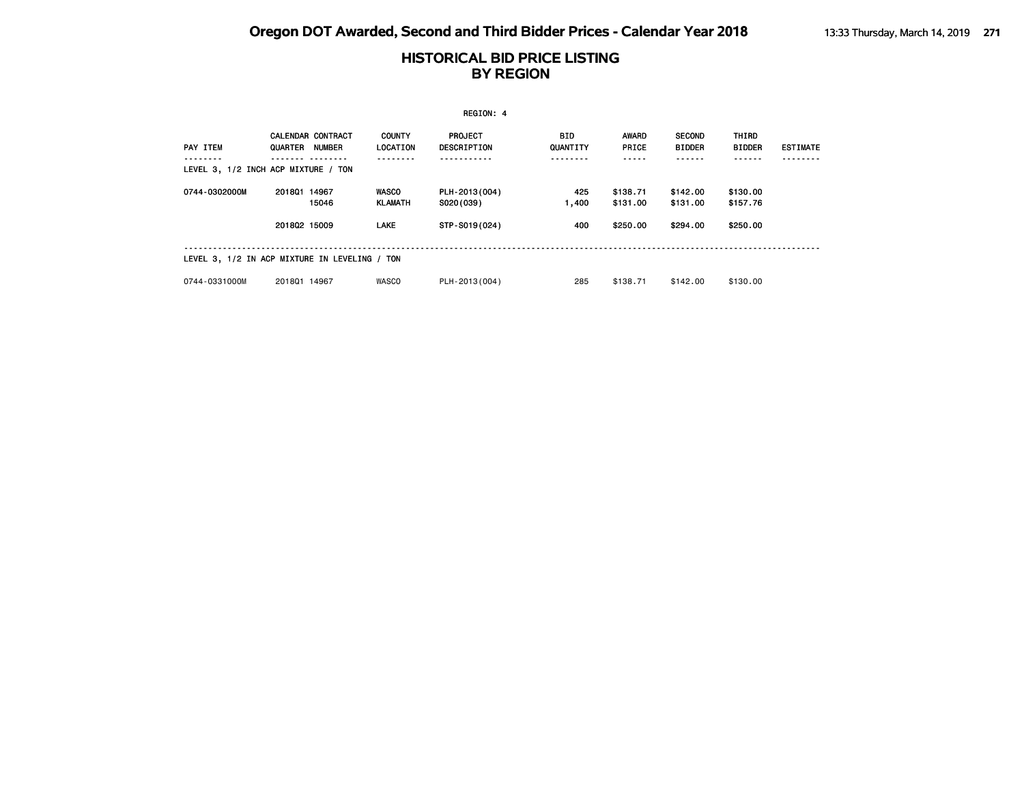|                                               |              |                                           |                                  | REGION: 4                     |                 |                       |                                |                               |                 |
|-----------------------------------------------|--------------|-------------------------------------------|----------------------------------|-------------------------------|-----------------|-----------------------|--------------------------------|-------------------------------|-----------------|
| PAY ITEM                                      | QUARTER      | <b>CALENDAR CONTRACT</b><br><b>NUMBER</b> | <b>COUNTY</b><br><b>LOCATION</b> | <b>PROJECT</b><br>DESCRIPTION | BID<br>QUANTITY | <b>AWARD</b><br>PRICE | <b>SECOND</b><br><b>BIDDER</b> | <b>THIRD</b><br><b>BIDDER</b> | <b>ESTIMATE</b> |
| LEVEL 3, 1/2 INCH ACP MIXTURE / TON           |              |                                           |                                  |                               | ----            |                       |                                |                               |                 |
| 0744-0302000M                                 | 201801 14967 | 15046                                     | <b>WASCO</b><br><b>KLAMATH</b>   | PLH-2013(004)<br>S020(039)    | 425<br>1,400    | \$138.71<br>\$131.00  | \$142.00<br>\$131.00           | \$130.00<br>\$157.76          |                 |
|                                               | 201802 15009 |                                           | <b>LAKE</b>                      | STP-S019(024)                 | 400             | \$250.00              | \$294.00                       | \$250.00                      |                 |
| LEVEL 3, 1/2 IN ACP MIXTURE IN LEVELING / TON |              |                                           |                                  |                               |                 |                       |                                |                               |                 |
| 0744-0331000M                                 | 201801 14967 |                                           | <b>WASCO</b>                     | PLH-2013(004)                 | 285             | \$138.71              | \$142,00                       | \$130,00                      |                 |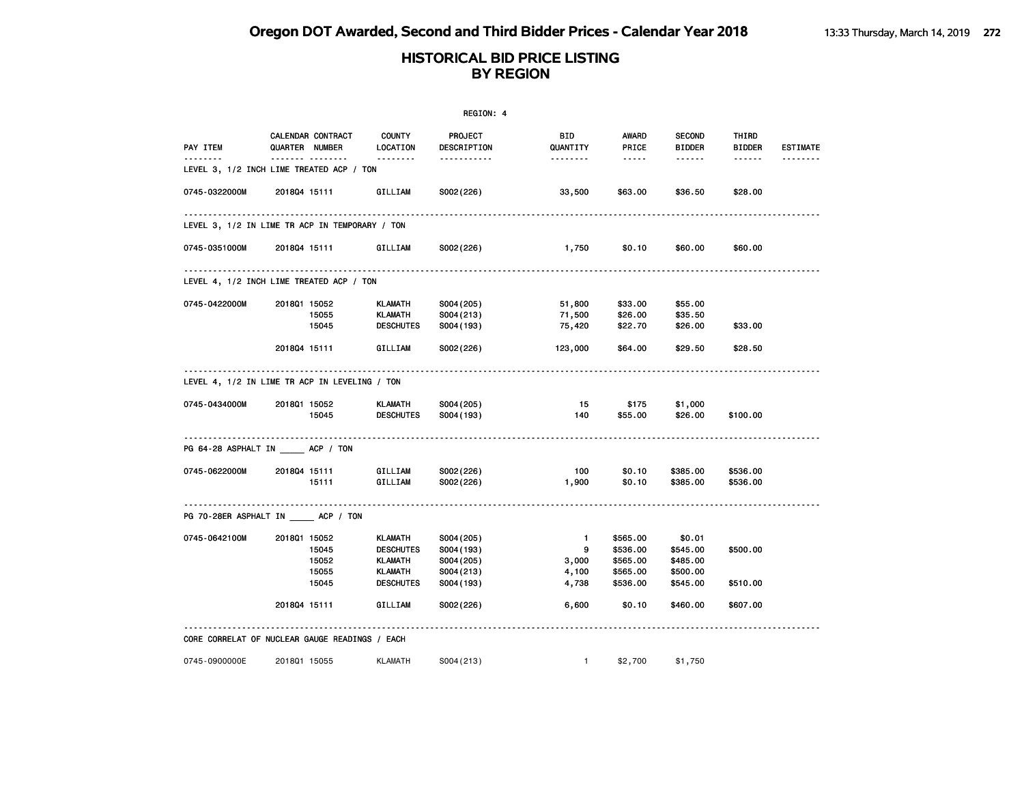|                                                |                              |                                     |                                                                                         | REGION: 4                                                                      |                                                       |                                                                    |                                                                    |                                  |                 |
|------------------------------------------------|------------------------------|-------------------------------------|-----------------------------------------------------------------------------------------|--------------------------------------------------------------------------------|-------------------------------------------------------|--------------------------------------------------------------------|--------------------------------------------------------------------|----------------------------------|-----------------|
| PAY ITEM                                       |                              | CALENDAR CONTRACT<br>QUARTER NUMBER | <b>COUNTY</b><br>LOCATION                                                               | PROJECT<br>DESCRIPTION                                                         | BID.<br>QUANTITY                                      | AWARD<br>PRICE                                                     | <b>SECOND</b><br><b>BIDDER</b>                                     | THIRD<br><b>BIDDER</b>           | <b>ESTIMATE</b> |
| LEVEL 3, 1/2 INCH LIME TREATED ACP / TON       |                              | ------- --------                    | --------                                                                                | -----------                                                                    | --------                                              | $- - - - -$                                                        | ------                                                             | ------                           |                 |
| 0745-0322000M                                  | 201804 15111                 |                                     | GILLIAM                                                                                 | S002(226)                                                                      | 33,500                                                | \$63.00                                                            | \$36.50                                                            | \$28.00                          |                 |
| LEVEL 3, 1/2 IN LIME TR ACP IN TEMPORARY / TON |                              |                                     |                                                                                         |                                                                                |                                                       |                                                                    |                                                                    |                                  |                 |
| 0745-0351000M                                  | 201804 15111                 |                                     | GILLIAM                                                                                 | S002(226)                                                                      | 1,750                                                 | \$0.10                                                             | \$60.00                                                            | \$60.00                          |                 |
| LEVEL 4, 1/2 INCH LIME TREATED ACP / TON       |                              |                                     |                                                                                         |                                                                                |                                                       |                                                                    |                                                                    |                                  |                 |
| 0745-0422000M                                  | 201801 15052                 | 15055<br>15045                      | KLAMATH<br><b>KLAMATH</b><br><b>DESCHUTES</b>                                           | S004 (205)<br>S004(213)<br>S004 (193)                                          | 51,800<br>71,500<br>75,420                            | \$33.00<br>\$26.00<br>\$22.70                                      | \$55.00<br>\$35.50<br>\$26.00                                      | \$33.00                          |                 |
|                                                | 201804 15111                 |                                     | GILLIAM                                                                                 | S002(226)                                                                      | 123,000                                               | \$64.00                                                            | \$29.50                                                            | \$28.50                          |                 |
| LEVEL 4, 1/2 IN LIME TR ACP IN LEVELING / TON  |                              |                                     |                                                                                         |                                                                                |                                                       |                                                                    |                                                                    |                                  |                 |
| 0745-0434000M                                  | 201801 15052                 | 15045                               | <b>KLAMATH</b><br><b>DESCHUTES</b>                                                      | S004 (205)<br>S004 (193)                                                       | -15<br>140                                            | \$175<br>\$55.00                                                   | \$1,000<br>\$26.00                                                 | \$100.00                         |                 |
| PG 64-28 ASPHALT IN ACP / TON                  |                              |                                     |                                                                                         |                                                                                |                                                       |                                                                    |                                                                    |                                  |                 |
| 0745-0622000M                                  | 201804 15111                 | 15111                               | GILLIAM<br>GILLIAM                                                                      | S002(226)<br>S002(226)                                                         | 100<br>1,900                                          | \$0.10<br>\$0.10                                                   | \$385.00<br>\$385.00                                               | \$536.00<br>\$536.00             |                 |
| PG 70-28ER ASPHALT IN ACP / TON                |                              |                                     |                                                                                         |                                                                                |                                                       |                                                                    |                                                                    |                                  |                 |
| 0745-0642100M                                  | 201801 15052<br>201804 15111 | 15045<br>15052<br>15055<br>15045    | KLAMATH<br><b>DESCHUTES</b><br><b>KLAMATH</b><br>KLAMATH<br><b>DESCHUTES</b><br>GILLIAM | S004 (205)<br>S004 (193)<br>S004 (205)<br>S004(213)<br>S004 (193)<br>S002(226) | $\mathbf{1}$<br>9<br>3,000<br>4,100<br>4,738<br>6,600 | \$565.00<br>\$536.00<br>\$565.00<br>\$565.00<br>\$536.00<br>\$0.10 | \$0.01<br>\$545.00<br>\$485.00<br>\$500.00<br>\$545.00<br>\$460.00 | \$500.00<br>\$510.00<br>\$607.00 |                 |
| CORE CORRELAT OF NUCLEAR GAUGE READINGS / EACH |                              |                                     |                                                                                         |                                                                                |                                                       |                                                                    |                                                                    |                                  |                 |
| 0745-0900000E                                  | 201801 15055                 |                                     | KLAMATH                                                                                 | S004(213)                                                                      | $\mathbf{1}$                                          | \$2,700                                                            | \$1,750                                                            |                                  |                 |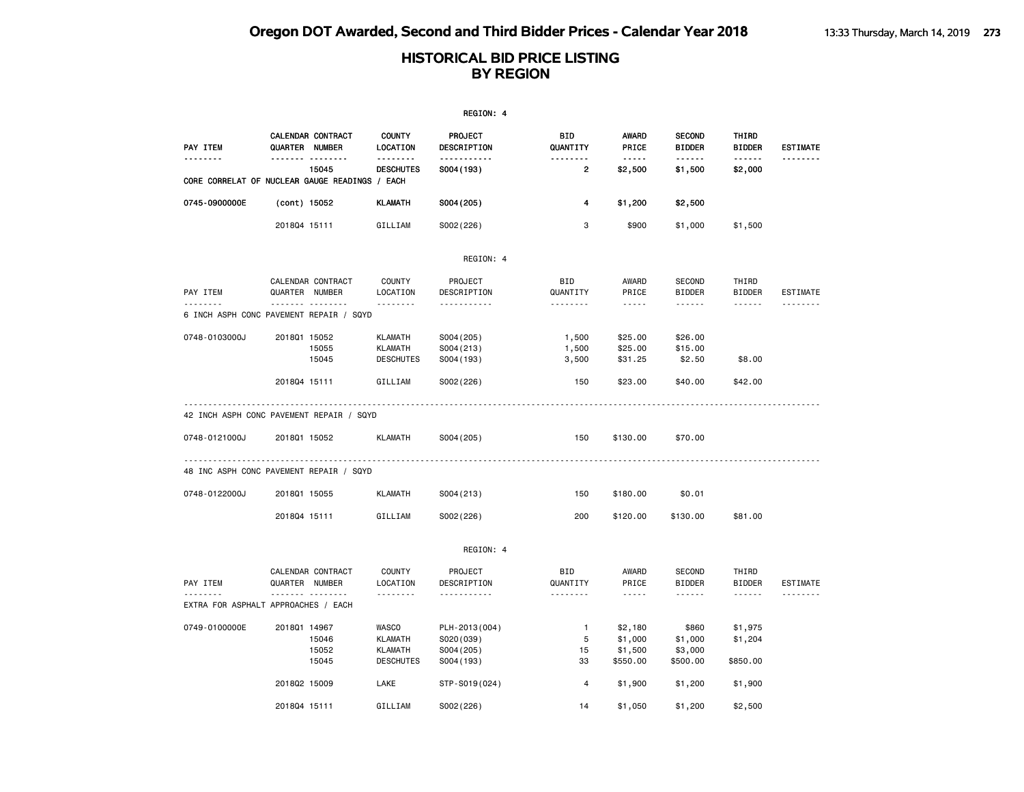|                                                            |              |                                         |                                                                      | REGION: 4                                              |                               |                                           |                                         |                                  |                 |
|------------------------------------------------------------|--------------|-----------------------------------------|----------------------------------------------------------------------|--------------------------------------------------------|-------------------------------|-------------------------------------------|-----------------------------------------|----------------------------------|-----------------|
| PAY ITEM                                                   |              | CALENDAR CONTRACT<br>QUARTER NUMBER     | <b>COUNTY</b><br>LOCATION                                            | PROJECT<br>DESCRIPTION                                 | BID<br>QUANTITY               | <b>AWARD</b><br>PRICE                     | <b>SECOND</b><br><b>BIDDER</b>          | THIRD<br><b>BIDDER</b>           | <b>ESTIMATE</b> |
| <u>.</u><br>CORE CORRELAT OF NUCLEAR GAUGE READINGS / EACH |              | <b>.</b><br>15045                       | <u>.</u><br><b>DESCHUTES</b>                                         | -----------<br>S004 (193)                              | .<br>2                        | $- - - - -$<br>\$2,500                    | \$1,500                                 | $- - - - - -$<br>\$2,000         | <u>.</u>        |
| 0745-0900000E                                              | (cont) 15052 |                                         | <b>KLAMATH</b>                                                       | S004 (205)                                             | 4                             | \$1,200                                   | \$2,500                                 |                                  |                 |
|                                                            | 201804 15111 |                                         | GILLIAM                                                              | S002(226)                                              | 3                             | \$900                                     | \$1,000                                 | \$1,500                          |                 |
|                                                            |              |                                         |                                                                      | REGION: 4                                              |                               |                                           |                                         |                                  |                 |
| PAY ITEM<br>.                                              |              | CALENDAR CONTRACT<br>QUARTER NUMBER<br> | <b>COUNTY</b><br>LOCATION<br>.                                       | PROJECT<br>DESCRIPTION<br>.                            | <b>BID</b><br>QUANTITY<br>.   | AWARD<br>PRICE<br>$- - - -$               | SECOND<br><b>BIDDER</b><br>.            | THIRD<br><b>BIDDER</b><br>------ | ESTIMATE<br>.   |
| 6 INCH ASPH CONC PAVEMENT REPAIR / SQYD                    |              |                                         |                                                                      |                                                        |                               |                                           |                                         |                                  |                 |
| 0748-0103000J                                              | 201801 15052 | 15055<br>15045                          | <b>KLAMATH</b><br><b>KLAMATH</b><br><b>DESCHUTES</b>                 | S004 (205)<br>S004(213)<br>S004 (193)                  | 1,500<br>1,500<br>3,500       | \$25.00<br>\$25.00<br>\$31.25             | \$26.00<br>\$15.00<br>\$2.50            | \$8.00                           |                 |
|                                                            | 201804 15111 |                                         | GILLIAM                                                              | S002(226)                                              | 150                           | \$23.00                                   | \$40.00                                 | \$42.00                          |                 |
| 42 INCH ASPH CONC PAVEMENT REPAIR / SQYD                   |              |                                         |                                                                      |                                                        |                               |                                           |                                         |                                  |                 |
| 0748-0121000J                                              | 201801 15052 |                                         | <b>KLAMATH</b>                                                       | S004 (205)                                             | 150                           | \$130.00                                  | \$70.00                                 |                                  |                 |
| 48 INC ASPH CONC PAVEMENT REPAIR / SQYD                    |              |                                         |                                                                      |                                                        |                               |                                           |                                         |                                  |                 |
| 0748-0122000J                                              | 201801 15055 |                                         | <b>KLAMATH</b>                                                       | S004(213)                                              | 150                           | \$180.00                                  | \$0.01                                  |                                  |                 |
|                                                            | 201804 15111 |                                         | GILLIAM                                                              | S002(226)                                              | 200                           | \$120.00                                  | \$130.00                                | \$81.00                          |                 |
|                                                            |              |                                         |                                                                      | REGION: 4                                              |                               |                                           |                                         |                                  |                 |
| PAY ITEM                                                   |              | CALENDAR CONTRACT<br>QUARTER NUMBER     | COUNTY<br>LOCATION                                                   | PROJECT<br>DESCRIPTION                                 | <b>BID</b><br>QUANTITY        | AWARD<br>PRICE                            | <b>SECOND</b><br><b>BIDDER</b>          | THIRD<br><b>BIDDER</b>           | ESTIMATE        |
| EXTRA FOR ASPHALT APPROACHES / EACH                        |              | <b>.</b>                                | <u>.</u>                                                             | .                                                      | .                             | $\sim$ $\sim$ $\sim$ $\sim$ $\sim$        | ------                                  | ------                           | .               |
| 0749-0100000E                                              | 201801 14967 | 15046<br>15052<br>15045                 | <b>WASCO</b><br><b>KLAMATH</b><br><b>KLAMATH</b><br><b>DESCHUTES</b> | PLH-2013(004)<br>S020(039)<br>S004 (205)<br>S004 (193) | $\mathbf{1}$<br>5<br>15<br>33 | \$2,180<br>\$1,000<br>\$1,500<br>\$550.00 | \$860<br>\$1,000<br>\$3,000<br>\$500.00 | \$1,975<br>\$1,204<br>\$850.00   |                 |
|                                                            | 201802 15009 |                                         | LAKE                                                                 | STP-S019(024)                                          | $\overline{4}$                | \$1,900                                   | \$1,200                                 | \$1,900                          |                 |
|                                                            | 201804 15111 |                                         | GILLIAM                                                              | S002(226)                                              | 14                            | \$1,050                                   | \$1,200                                 | \$2,500                          |                 |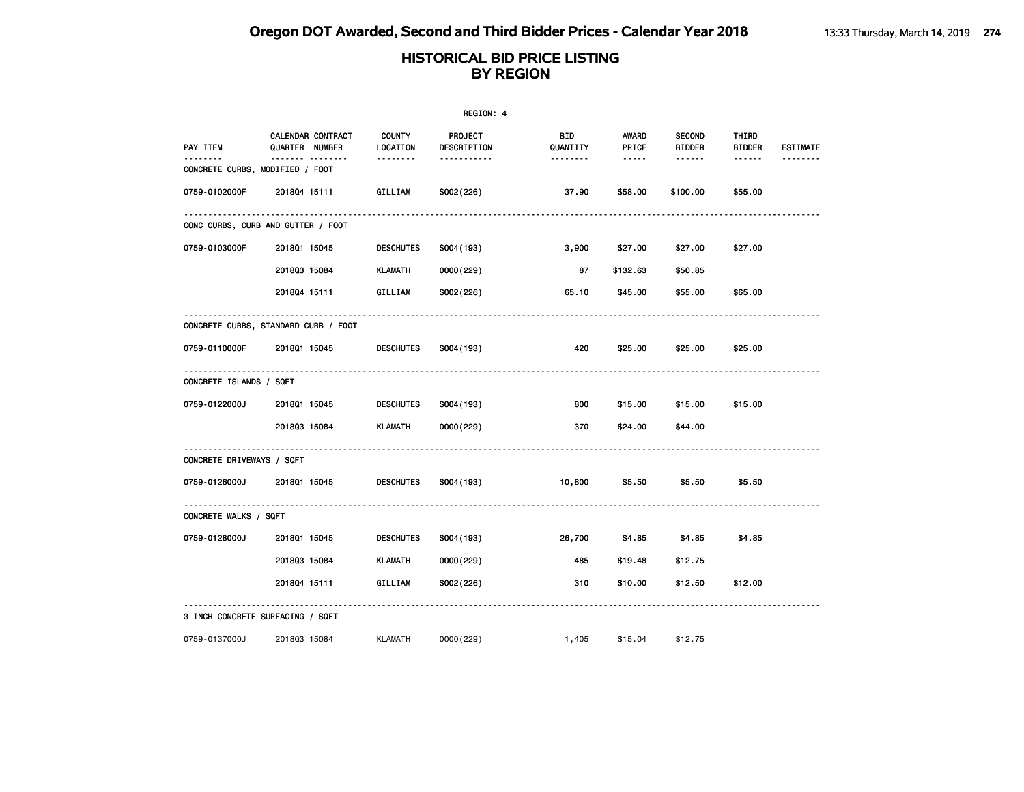|                                      |                                      |                    | REGION: 4              |                       |                                                                                                               |                                |                        |                 |
|--------------------------------------|--------------------------------------|--------------------|------------------------|-----------------------|---------------------------------------------------------------------------------------------------------------|--------------------------------|------------------------|-----------------|
| PAY ITEM                             | CALENDAR CONTRACT<br>QUARTER NUMBER  | COUNTY<br>LOCATION | PROJECT<br>DESCRIPTION | BID<br>QUANTITY       | AWARD<br>PRICE                                                                                                | <b>SECOND</b><br><b>BIDDER</b> | THIRD<br><b>BIDDER</b> | <b>ESTIMATE</b> |
| .<br>CONCRETE CURBS, MODIFIED / FOOT | .                                    | .                  | .                      | <u> - - - - - - -</u> | $\frac{1}{2} \frac{1}{2} \frac{1}{2} \frac{1}{2} \frac{1}{2} \frac{1}{2} \frac{1}{2} \frac{1}{2} \frac{1}{2}$ | ------                         | ------                 | <u>.</u>        |
| 0759-0102000F                        | 201804 15111                         | GILLIAM            | S002(226)              | 37.90                 | \$58.00                                                                                                       | \$100.00                       | \$55.00                |                 |
|                                      | CONC CURBS, CURB AND GUTTER / FOOT   |                    |                        |                       |                                                                                                               |                                |                        |                 |
| 0759-0103000F                        | 201801 15045                         | <b>DESCHUTES</b>   | S004 (193)             | 3,900                 | \$27.00                                                                                                       | \$27.00                        | \$27.00                |                 |
|                                      | 201803 15084                         | KLAMATH            | 0000(229)              | 87                    | \$132.63                                                                                                      | \$50.85                        |                        |                 |
|                                      | 201804 15111                         | GILLIAM            | S002(226)              | 65.10                 | \$45.00                                                                                                       | \$55.00                        | \$65.00                |                 |
|                                      | CONCRETE CURBS, STANDARD CURB / FOOT |                    |                        |                       |                                                                                                               |                                |                        |                 |
| 0759-0110000F                        | 201801 15045                         | <b>DESCHUTES</b>   | S004 (193)             | 420                   | \$25.00                                                                                                       | \$25.00                        | \$25.00                |                 |
| CONCRETE ISLANDS / SQFT              |                                      |                    |                        |                       |                                                                                                               |                                |                        |                 |
| 0759-0122000J                        | 201801 15045                         | <b>DESCHUTES</b>   | S004 (193)             | 800                   | \$15.00                                                                                                       | \$15.00                        | \$15.00                |                 |
|                                      | 201803 15084                         | KLAMATH            | 0000(229)              | 370                   | \$24.00                                                                                                       | \$44.00                        |                        |                 |
| CONCRETE DRIVEWAYS / SQFT            |                                      |                    |                        |                       |                                                                                                               |                                |                        |                 |
| 0759-0126000J                        | 201801 15045                         | <b>DESCHUTES</b>   | S004 (193)             | 10,800                | \$5.50                                                                                                        | \$5.50                         | \$5.50                 |                 |
| CONCRETE WALKS / SQFT                |                                      |                    |                        |                       |                                                                                                               |                                |                        |                 |
| 0759-0128000J                        | 201801 15045                         | <b>DESCHUTES</b>   | S004 (193)             | 26,700                | \$4.85                                                                                                        | \$4.85                         | \$4.85                 |                 |
|                                      | 201803 15084                         | <b>KLAMATH</b>     | 0000(229)              | 485                   | \$19.48                                                                                                       | \$12.75                        |                        |                 |
|                                      | 201804 15111                         | GILLIAM            | S002(226)              | 310                   | \$10.00                                                                                                       | \$12.50                        | \$12.00                |                 |
| 3 INCH CONCRETE SURFACING / SQFT     |                                      |                    |                        |                       |                                                                                                               |                                |                        |                 |
| 0759-0137000J                        | 201803 15084                         | KLAMATH            | 0000(229)              | 1,405                 | \$15.04                                                                                                       | \$12.75                        |                        |                 |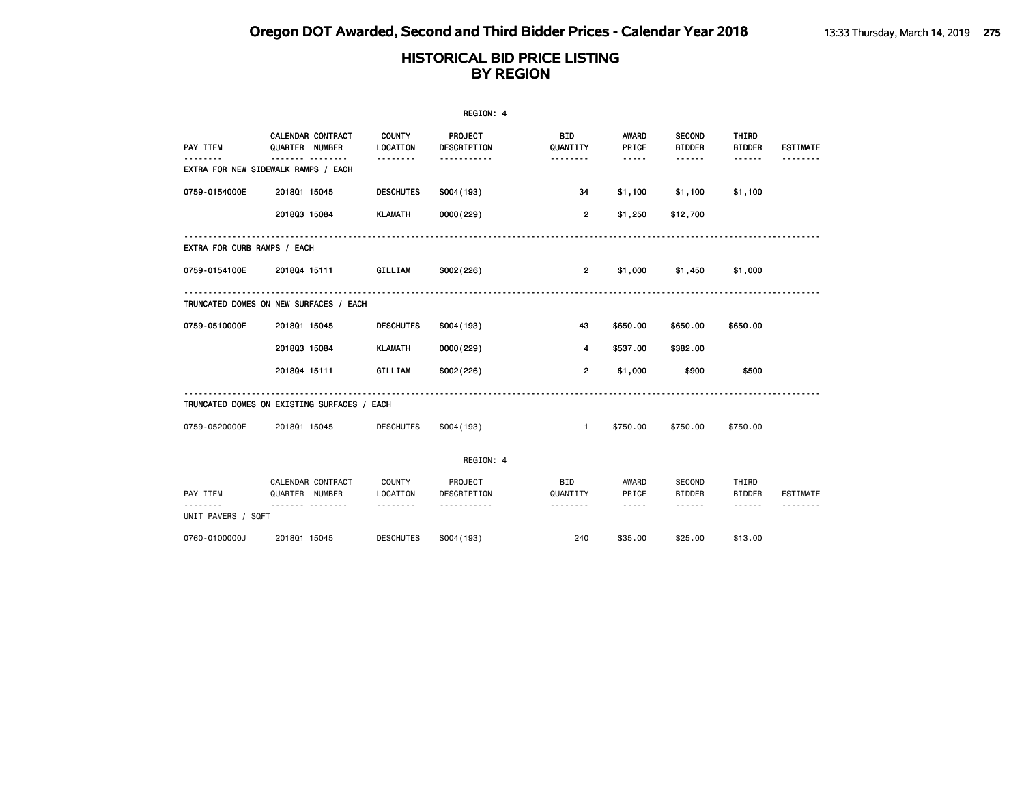|                             |                                             |                           | REGION: 4              |                        |                       |                                |                        |                 |
|-----------------------------|---------------------------------------------|---------------------------|------------------------|------------------------|-----------------------|--------------------------------|------------------------|-----------------|
| PAY ITEM                    | <b>CALENDAR CONTRACT</b><br>QUARTER NUMBER  | <b>COUNTY</b><br>LOCATION | PROJECT<br>DESCRIPTION | <b>BID</b><br>QUANTITY | <b>AWARD</b><br>PRICE | <b>SECOND</b><br><b>BIDDER</b> | THIRD<br><b>BIDDER</b> | ESTIMATE        |
| .                           | .<br>EXTRA FOR NEW SIDEWALK RAMPS / EACH    | .                         | -----------            | .                      | -----                 | .                              | ------                 |                 |
| 0759-0154000E               | 201801 15045                                | <b>DESCHUTES</b>          | S004 (193)             | 34                     | \$1,100               | \$1,100                        | \$1,100                |                 |
|                             | 201803 15084                                | <b>KLAMATH</b>            | 0000 (229)             | $\overline{2}$         | \$1,250               | \$12,700                       |                        |                 |
| EXTRA FOR CURB RAMPS / EACH |                                             |                           |                        |                        |                       |                                |                        |                 |
| 0759-0154100E               | 201804 15111                                | GILLIAM                   | S002(226)              | $\overline{2}$         | \$1,000               | \$1,450                        | \$1,000                |                 |
|                             | TRUNCATED DOMES ON NEW SURFACES / EACH      |                           |                        |                        |                       |                                |                        |                 |
| 0759-0510000E               | 201801 15045                                | <b>DESCHUTES</b>          | S004 (193)             | 43                     | \$650.00              | \$650.00                       | \$650.00               |                 |
|                             | 201803 15084                                | <b>KLAMATH</b>            | 0000(229)              | 4                      | \$537.00              | \$382.00                       |                        |                 |
|                             | 201804 15111                                | GILLIAM                   | S002(226)              | $\overline{2}$         | \$1,000               | \$900                          | \$500                  |                 |
|                             | TRUNCATED DOMES ON EXISTING SURFACES / EACH |                           |                        |                        |                       |                                |                        |                 |
| 0759-0520000E               | 201801 15045                                | <b>DESCHUTES</b>          | S004 (193)             | $\mathbf{1}$           | \$750.00              | \$750.00                       | \$750.00               |                 |
|                             |                                             |                           | REGION: 4              |                        |                       |                                |                        |                 |
| PAY ITEM                    | CALENDAR CONTRACT<br>QUARTER NUMBER         | COUNTY<br>LOCATION        | PROJECT<br>DESCRIPTION | BID<br>QUANTITY        | AWARD<br>PRICE        | SECOND<br><b>BIDDER</b>        | THIRD<br><b>BIDDER</b> | <b>ESTIMATE</b> |
| UNIT PAVERS / SQFT          | . <sub>.</sub>                              | --------                  | .                      | <u>.</u>               | $- - - - -$           |                                | ------                 |                 |
| 0760-0100000J               | 201801 15045                                | <b>DESCHUTES</b>          | S004 (193)             | 240                    | \$35.00               | \$25.00                        | \$13.00                |                 |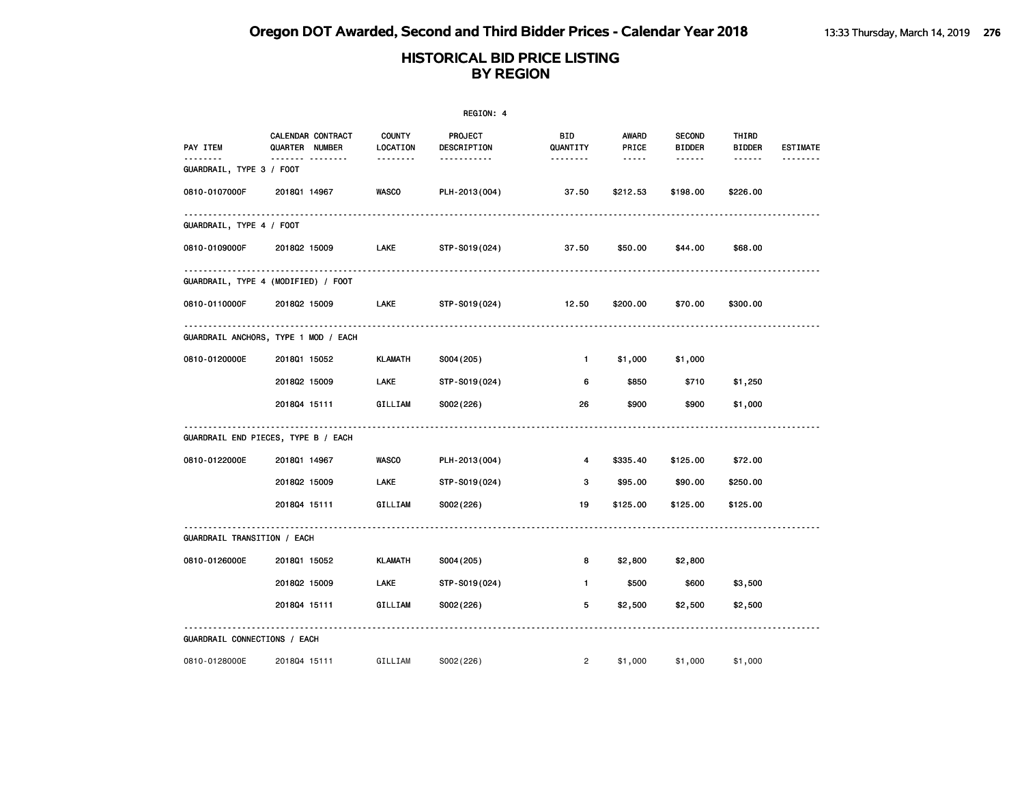|                                    |                                      |                           | REGION: 4                     |                       |                                                                                                               |                                |                        |                 |
|------------------------------------|--------------------------------------|---------------------------|-------------------------------|-----------------------|---------------------------------------------------------------------------------------------------------------|--------------------------------|------------------------|-----------------|
| PAY ITEM<br>.                      | CALENDAR CONTRACT<br>QUARTER NUMBER  | <b>COUNTY</b><br>LOCATION | <b>PROJECT</b><br>DESCRIPTION | BID<br>QUANTITY       | AWARD<br>PRICE                                                                                                | <b>SECOND</b><br><b>BIDDER</b> | THIRD<br><b>BIDDER</b> | <b>ESTIMATE</b> |
| GUARDRAIL, TYPE 3 / FOOT           | ------- --------                     | .                         | <u>.</u>                      | <u> - - - - - - -</u> | $\frac{1}{2} \frac{1}{2} \frac{1}{2} \frac{1}{2} \frac{1}{2} \frac{1}{2} \frac{1}{2} \frac{1}{2} \frac{1}{2}$ | ------                         | ------                 |                 |
| 0810-0107000F                      | 201801 14967                         | <b>WASCO</b>              | PLH-2013(004)                 | 37.50                 | \$212.53                                                                                                      | \$198.00                       | \$226.00               |                 |
| GUARDRAIL, TYPE 4 / FOOT           |                                      |                           |                               |                       |                                                                                                               |                                |                        |                 |
| 0810-0109000F                      | 201802 15009                         | LAKE                      | STP-S019(024)                 | 37.50                 | \$50.00                                                                                                       | \$44.00                        | \$68.00                |                 |
|                                    | GUARDRAIL, TYPE 4 (MODIFIED) / FOOT  |                           |                               |                       |                                                                                                               |                                |                        |                 |
| 0810-0110000F                      | 201802 15009                         | LAKE                      | STP-S019(024)                 | 12.50                 | \$200.00                                                                                                      | \$70.00                        | \$300.00               |                 |
|                                    | GUARDRAIL ANCHORS, TYPE 1 MOD / EACH |                           |                               |                       |                                                                                                               |                                |                        |                 |
| 0810-0120000E                      | 201801 15052                         | KLAMATH                   | S004 (205)                    | $\mathbf{1}$          | \$1,000                                                                                                       | \$1,000                        |                        |                 |
|                                    | 201802 15009                         | LAKE                      | STP-S019(024)                 | 6                     | \$850                                                                                                         | \$710                          | \$1,250                |                 |
|                                    | 201804 15111                         | GILLIAM                   | S002(226)                     | 26                    | \$900                                                                                                         | \$900                          | \$1,000                |                 |
|                                    | GUARDRAIL END PIECES, TYPE B / EACH  |                           |                               |                       |                                                                                                               |                                |                        |                 |
| 0810-0122000E                      | 201801 14967                         | <b>WASCO</b>              | PLH-2013(004)                 | 4                     | \$335.40                                                                                                      | \$125.00                       | \$72.00                |                 |
|                                    | 201802 15009                         | LAKE                      | STP-S019(024)                 | 3                     | \$95.00                                                                                                       | \$90.00                        | \$250.00               |                 |
|                                    | 201804 15111                         | GILLIAM                   | S002(226)                     | 19                    | \$125.00                                                                                                      | \$125.00                       | \$125.00               |                 |
| <b>GUARDRAIL TRANSITION / EACH</b> |                                      |                           |                               |                       |                                                                                                               |                                |                        |                 |
| 0810-0126000E                      | 201801 15052                         | <b>KLAMATH</b>            | S004 (205)                    | 8                     | \$2,800                                                                                                       | \$2,800                        |                        |                 |
|                                    | 201802 15009                         | LAKE                      | STP-S019(024)                 | $\mathbf{1}$          | \$500                                                                                                         | \$600                          | \$3,500                |                 |
|                                    | 201804 15111                         | GILLIAM                   | S002(226)                     | 5                     | \$2,500                                                                                                       | \$2,500                        | \$2,500                |                 |
| GUARDRAIL CONNECTIONS / EACH       |                                      |                           |                               |                       |                                                                                                               |                                |                        |                 |
| 0810-0128000E                      | 201804 15111                         | GILLIAM                   | S002(226)                     | $\overline{2}$        | \$1,000                                                                                                       | \$1,000                        | \$1,000                |                 |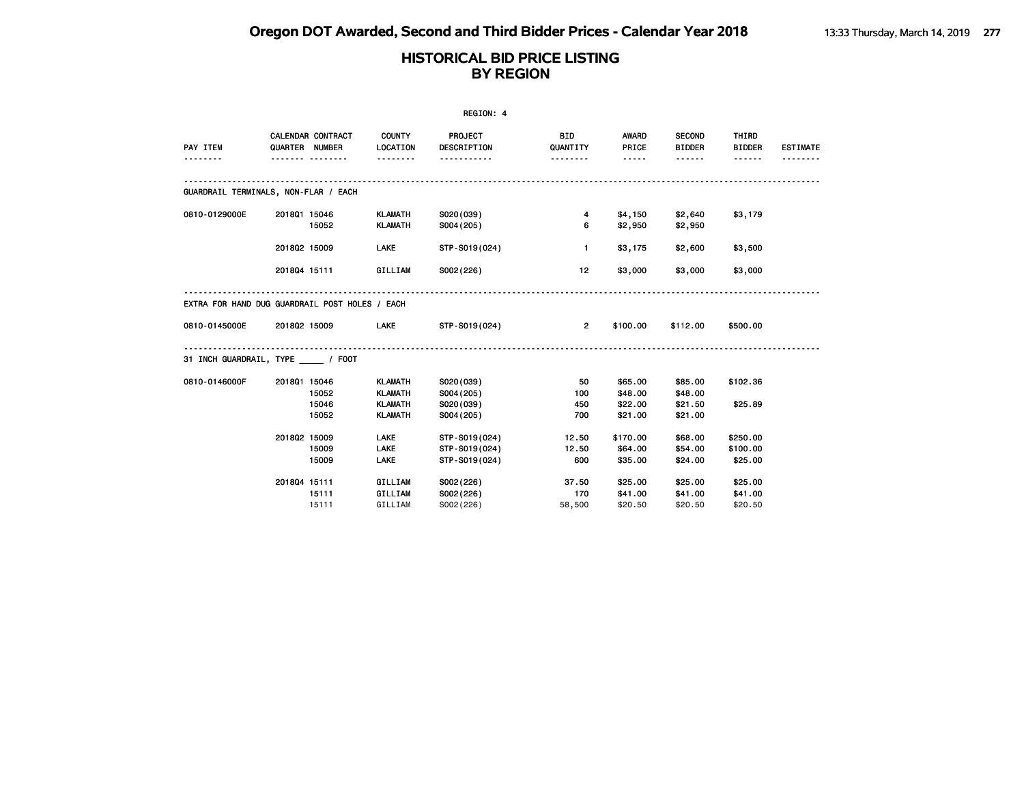|                                                |              |                                     |                           | REGION: 4              |                        |                                                                                                                                                      |                                |                        |                 |
|------------------------------------------------|--------------|-------------------------------------|---------------------------|------------------------|------------------------|------------------------------------------------------------------------------------------------------------------------------------------------------|--------------------------------|------------------------|-----------------|
| PAY ITEM                                       |              | CALENDAR CONTRACT<br>QUARTER NUMBER | <b>COUNTY</b><br>LOCATION | PROJECT<br>DESCRIPTION | <b>BID</b><br>QUANTITY | AWARD<br>PRICE                                                                                                                                       | <b>SECOND</b><br><b>BIDDER</b> | THIRD<br><b>BIDDER</b> | <b>ESTIMATE</b> |
| .                                              |              |                                     | <u>.</u>                  | <u>.</u>               | <u>.</u>               | $\frac{1}{2} \left( \frac{1}{2} \right) \left( \frac{1}{2} \right) \left( \frac{1}{2} \right) \left( \frac{1}{2} \right) \left( \frac{1}{2} \right)$ | ------                         | ------                 | .               |
| GUARDRAIL TERMINALS, NON-FLAR / EACH           |              |                                     |                           |                        |                        |                                                                                                                                                      |                                |                        |                 |
| 0810-0129000E                                  | 201801 15046 |                                     | KLAMATH                   | S020(039)              | $\overline{4}$         | \$4,150                                                                                                                                              | \$2,640                        | \$3,179                |                 |
|                                                |              | 15052                               | <b>KLAMATH</b>            | S004(205)              | 6                      | \$2,950                                                                                                                                              | \$2,950                        |                        |                 |
|                                                | 201802 15009 |                                     | LAKE                      | STP-S019(024)          | $\mathbf{1}$           | \$3,175                                                                                                                                              | \$2,600                        | \$3,500                |                 |
|                                                | 201804 15111 |                                     | GILLIAM                   | S002(226)              | 12 <sup>2</sup>        | \$3,000                                                                                                                                              | \$3,000                        | \$3,000                |                 |
| EXTRA FOR HAND DUG GUARDRAIL POST HOLES / EACH |              |                                     |                           |                        |                        |                                                                                                                                                      |                                |                        |                 |
| 0810-0145000E 2018Q2 15009                     |              |                                     | LAKE                      | STP-S019(024)          | $\overline{2}$         | \$100.00                                                                                                                                             | \$112.00                       | \$500.00               |                 |
| 31 INCH GUARDRAIL, TYPE / FOOT                 |              |                                     |                           |                        |                        |                                                                                                                                                      |                                |                        |                 |
| 0810-0146000F                                  | 201801 15046 |                                     | KLAMATH                   | S020(039)              | 50                     | \$65.00                                                                                                                                              | \$85.00                        | \$102.36               |                 |
|                                                |              | 15052                               | <b>KLAMATH</b>            | S004 (205)             | 100                    | \$48.00                                                                                                                                              | \$48.00                        |                        |                 |
|                                                |              | 15046                               | <b>KLAMATH</b>            | S020(039)              | 450                    | \$22.00                                                                                                                                              | \$21.50                        | \$25.89                |                 |
|                                                |              | 15052                               | <b>KLAMATH</b>            | S004(205)              | 700                    | \$21.00                                                                                                                                              | \$21.00                        |                        |                 |
|                                                | 201802 15009 |                                     | <b>LAKE</b>               | STP-S019(024)          | 12.50                  | \$170.00                                                                                                                                             | \$68.00                        | \$250.00               |                 |
|                                                |              | 15009                               | <b>LAKE</b>               | STP-S019(024)          | 12.50                  | \$64.00                                                                                                                                              | \$54.00                        | \$100.00               |                 |
|                                                |              | 15009                               | <b>LAKE</b>               | STP-S019(024)          | 600                    | \$35,00                                                                                                                                              | \$24.00                        | \$25.00                |                 |
|                                                | 201804 15111 |                                     | GILLIAM                   | S002(226)              | 37.50                  | \$25.00                                                                                                                                              | \$25.00                        | \$25.00                |                 |
|                                                |              | 15111                               | GILLIAM                   | S002(226)              | 170                    | \$41.00                                                                                                                                              | \$41.00                        | \$41.00                |                 |
|                                                |              | 15111                               | GILLIAM                   | S002(226)              | 58,500                 | \$20.50                                                                                                                                              | \$20.50                        | \$20.50                |                 |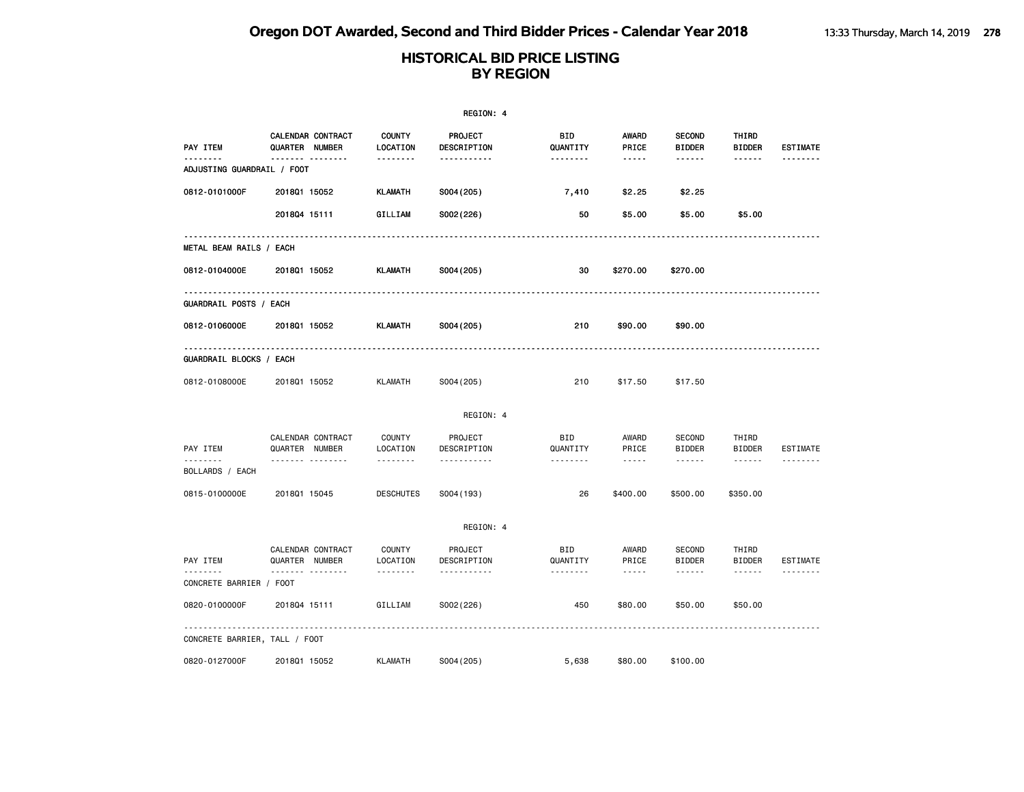|                                     |                                     |                           | REGION: 4                          |                        |                                                                                                                                                                                 |                                |                                                                                                                                                                                                                                                                                                                                                                                                                                                                            |                      |
|-------------------------------------|-------------------------------------|---------------------------|------------------------------------|------------------------|---------------------------------------------------------------------------------------------------------------------------------------------------------------------------------|--------------------------------|----------------------------------------------------------------------------------------------------------------------------------------------------------------------------------------------------------------------------------------------------------------------------------------------------------------------------------------------------------------------------------------------------------------------------------------------------------------------------|----------------------|
| PAY ITEM<br><u>.</u>                | CALENDAR CONTRACT<br>QUARTER NUMBER | <b>COUNTY</b><br>LOCATION | PROJECT<br>DESCRIPTION<br><u>.</u> | BID<br>QUANTITY        | <b>AWARD</b><br>PRICE                                                                                                                                                           | <b>SECOND</b><br><b>BIDDER</b> | THIRD<br><b>BIDDER</b>                                                                                                                                                                                                                                                                                                                                                                                                                                                     | <b>ESTIMATE</b><br>. |
| ADJUSTING GUARDRAIL / FOOT          | ------- --------                    | --------                  |                                    | --------               |                                                                                                                                                                                 | ------                         | ------                                                                                                                                                                                                                                                                                                                                                                                                                                                                     |                      |
| 0812-0101000F                       | 201801 15052                        | <b>KLAMATH</b>            | S004 (205)                         | 7,410                  | \$2.25                                                                                                                                                                          | \$2.25                         |                                                                                                                                                                                                                                                                                                                                                                                                                                                                            |                      |
|                                     | 201804 15111                        | GILLIAM                   | S002(226)                          | 50                     | \$5.00                                                                                                                                                                          | \$5.00                         | \$5.00                                                                                                                                                                                                                                                                                                                                                                                                                                                                     |                      |
| <b>METAL BEAM RAILS / EACH</b>      |                                     |                           |                                    |                        |                                                                                                                                                                                 |                                |                                                                                                                                                                                                                                                                                                                                                                                                                                                                            |                      |
| 0812-0104000E                       | 201801 15052                        | KLAMATH                   | S004 (205)                         | 30                     | \$270.00                                                                                                                                                                        | \$270.00                       |                                                                                                                                                                                                                                                                                                                                                                                                                                                                            |                      |
| GUARDRAIL POSTS / EACH              |                                     |                           |                                    |                        |                                                                                                                                                                                 |                                |                                                                                                                                                                                                                                                                                                                                                                                                                                                                            |                      |
| 0812-0106000E                       | 201801 15052                        | <b>KLAMATH</b>            | S004 (205)                         | 210                    | \$90.00                                                                                                                                                                         | \$90.00                        |                                                                                                                                                                                                                                                                                                                                                                                                                                                                            |                      |
| GUARDRAIL BLOCKS / EACH             |                                     |                           |                                    |                        |                                                                                                                                                                                 |                                |                                                                                                                                                                                                                                                                                                                                                                                                                                                                            |                      |
| 0812-0108000E                       | 201801 15052                        | <b>KLAMATH</b>            | S004 (205)                         | 210                    | \$17.50                                                                                                                                                                         | \$17.50                        |                                                                                                                                                                                                                                                                                                                                                                                                                                                                            |                      |
|                                     |                                     |                           | REGION: 4                          |                        |                                                                                                                                                                                 |                                |                                                                                                                                                                                                                                                                                                                                                                                                                                                                            |                      |
| PAY ITEM                            | CALENDAR CONTRACT<br>QUARTER NUMBER | COUNTY<br>LOCATION        | PROJECT<br>DESCRIPTION             | BID<br>QUANTITY        | AWARD<br>PRICE                                                                                                                                                                  | <b>SECOND</b><br><b>BIDDER</b> | THIRD<br><b>BIDDER</b>                                                                                                                                                                                                                                                                                                                                                                                                                                                     | ESTIMATE             |
| --------<br>BOLLARDS / EACH         | .                                   | .                         | <u>.</u>                           | .                      | $\frac{1}{2} \frac{1}{2} \frac{1}{2} \frac{1}{2} \frac{1}{2} \frac{1}{2} \frac{1}{2} \frac{1}{2} \frac{1}{2} \frac{1}{2} \frac{1}{2}$                                           | ------                         | $\frac{1}{2} \left( \frac{1}{2} \right) \left( \frac{1}{2} \right) \left( \frac{1}{2} \right) \left( \frac{1}{2} \right) \left( \frac{1}{2} \right) \left( \frac{1}{2} \right) \left( \frac{1}{2} \right) \left( \frac{1}{2} \right) \left( \frac{1}{2} \right) \left( \frac{1}{2} \right) \left( \frac{1}{2} \right) \left( \frac{1}{2} \right) \left( \frac{1}{2} \right) \left( \frac{1}{2} \right) \left( \frac{1}{2} \right) \left( \frac{1}{2} \right) \left( \frac$ | <u>.</u>             |
| 0815-0100000E                       | 201801 15045                        | <b>DESCHUTES</b>          | S004 (193)                         | 26                     | \$400.00                                                                                                                                                                        | \$500.00                       | \$350.00                                                                                                                                                                                                                                                                                                                                                                                                                                                                   |                      |
|                                     |                                     |                           | REGION: 4                          |                        |                                                                                                                                                                                 |                                |                                                                                                                                                                                                                                                                                                                                                                                                                                                                            |                      |
| PAY ITEM                            | CALENDAR CONTRACT<br>QUARTER NUMBER | <b>COUNTY</b><br>LOCATION | PROJECT<br>DESCRIPTION             | <b>BID</b><br>QUANTITY | AWARD<br>PRICE                                                                                                                                                                  | <b>SECOND</b><br><b>BIDDER</b> | THIRD<br><b>BIDDER</b>                                                                                                                                                                                                                                                                                                                                                                                                                                                     | ESTIMATE             |
| --------<br>CONCRETE BARRIER / FOOT | <b>.</b>                            | .                         | -----------                        | .                      | $\frac{1}{2} \left( \frac{1}{2} \right) \left( \frac{1}{2} \right) \left( \frac{1}{2} \right) \left( \frac{1}{2} \right) \left( \frac{1}{2} \right) \left( \frac{1}{2} \right)$ | .                              | ------                                                                                                                                                                                                                                                                                                                                                                                                                                                                     | <u>.</u>             |
| 0820-0100000F                       | 201804 15111                        | GILLIAM                   | S002(226)                          | 450                    | \$80.00                                                                                                                                                                         | \$50.00                        | \$50.00                                                                                                                                                                                                                                                                                                                                                                                                                                                                    |                      |
| CONCRETE BARRIER, TALL / FOOT       |                                     |                           |                                    |                        |                                                                                                                                                                                 |                                |                                                                                                                                                                                                                                                                                                                                                                                                                                                                            |                      |
| 0820-0127000F                       | 201801 15052                        | <b>KLAMATH</b>            | S004 (205)                         | 5,638                  | \$80.00                                                                                                                                                                         | \$100.00                       |                                                                                                                                                                                                                                                                                                                                                                                                                                                                            |                      |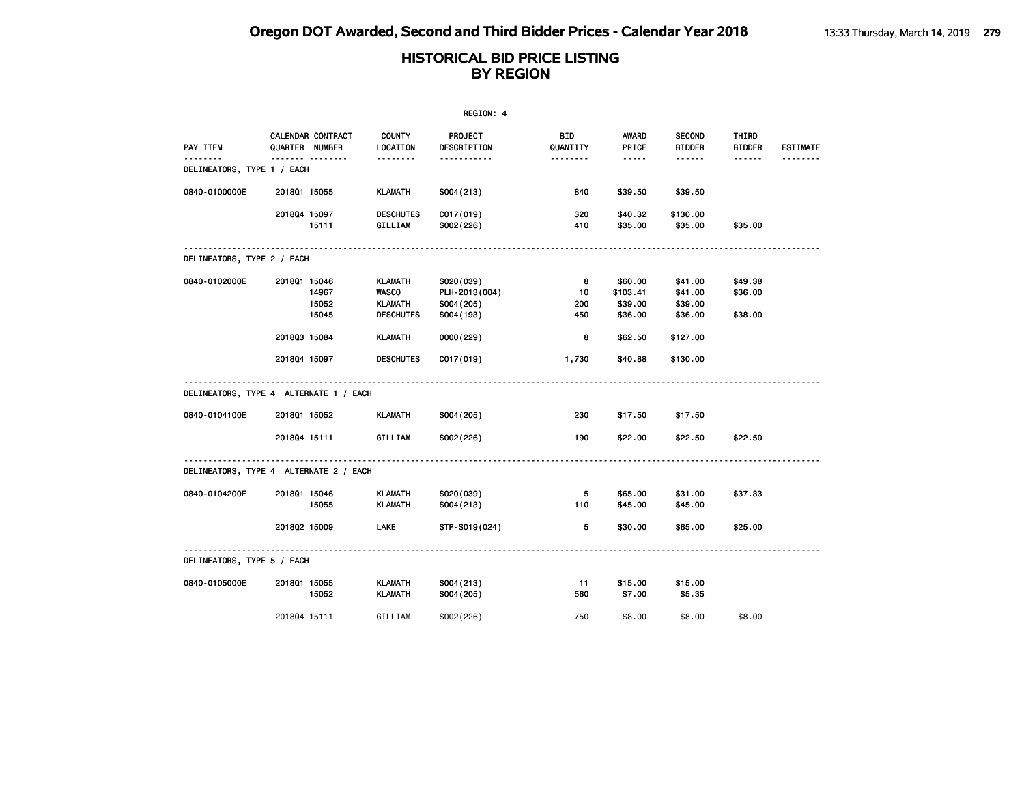| REGION: 4                              |                                         |                                                               |                                                        |                         |                                           |                                          |                               |                 |  |
|----------------------------------------|-----------------------------------------|---------------------------------------------------------------|--------------------------------------------------------|-------------------------|-------------------------------------------|------------------------------------------|-------------------------------|-----------------|--|
| PAY ITEM                               | CALENDAR CONTRACT<br>QUARTER NUMBER     | <b>COUNTY</b><br>LOCATION                                     | PROJECT<br>DESCRIPTION                                 | <b>BID</b><br>QUANTITY  | AWARD<br>PRICE                            | <b>SECOND</b><br><b>BIDDER</b>           | THIRD<br><b>BIDDER</b>        | <b>ESTIMATE</b> |  |
| DELINEATORS, TYPE 1 / EACH             | <u> </u>                                | --------                                                      | .                                                      | --------                | -----                                     | ------                                   | ------                        |                 |  |
| 0840-0100000E                          | 201801 15055                            | <b>KLAMATH</b>                                                | S004(213)                                              | 840                     | \$39.50                                   | \$39.50                                  |                               |                 |  |
|                                        | 201804 15097<br>15111                   | <b>DESCHUTES</b><br>GILLIAM                                   | C017(019)<br>S002(226)                                 | 320<br>410              | \$40.32<br>\$35.00                        | \$130.00<br>\$35.00                      | \$35.00                       |                 |  |
| DELINEATORS, TYPE 2 / EACH             |                                         |                                                               |                                                        |                         |                                           |                                          |                               |                 |  |
| 0840-0102000E                          | 201801 15046<br>14967<br>15052<br>15045 | KLAMATH<br><b>WASCO</b><br><b>KLAMATH</b><br><b>DESCHUTES</b> | S020(039)<br>PLH-2013(004)<br>S004 (205)<br>S004 (193) | - 8<br>10<br>200<br>450 | \$60.00<br>\$103.41<br>\$39.00<br>\$36.00 | \$41.00<br>\$41.00<br>\$39.00<br>\$36.00 | \$49.38<br>\$36.00<br>\$38.00 |                 |  |
|                                        | 201803 15084                            | <b>KLAMATH</b>                                                | 0000(229)                                              | 8                       | \$62.50                                   | \$127.00                                 |                               |                 |  |
|                                        | 201804 15097                            | <b>DESCHUTES</b>                                              | C017(019)                                              | 1,730                   | \$40.88                                   | \$130.00                                 |                               |                 |  |
| DELINEATORS, TYPE 4 ALTERNATE 1 / EACH |                                         |                                                               |                                                        |                         |                                           |                                          |                               |                 |  |
| 0840-0104100E                          | 201801 15052                            | <b>KLAMATH</b>                                                | S004 (205)                                             | 230                     | \$17.50                                   | \$17.50                                  |                               |                 |  |
|                                        | 201804 15111                            | GILLIAM                                                       | S002(226)                                              | 190                     | \$22.00                                   | \$22.50                                  | \$22.50                       |                 |  |
| DELINEATORS, TYPE 4 ALTERNATE 2 / EACH |                                         |                                                               |                                                        |                         |                                           |                                          |                               |                 |  |
| 0840-0104200E                          | 201801 15046<br>15055                   | <b>KLAMATH</b><br><b>KLAMATH</b>                              | S020(039)<br>S004(213)                                 | 5.<br>110               | \$65.00<br>\$45.00                        | \$31.00<br>\$45.00                       | \$37.33                       |                 |  |
|                                        | 201802 15009                            | <b>LAKE</b>                                                   | STP-S019(024)                                          | 5                       | \$30.00                                   | \$65.00                                  | \$25,00                       |                 |  |
| DELINEATORS, TYPE 5 / EACH             |                                         |                                                               |                                                        |                         |                                           |                                          |                               |                 |  |
| 0840-0105000E                          | 201801 15055<br>15052                   | KLAMATH<br><b>KLAMATH</b>                                     | S004(213)<br>S004 (205)                                | 11<br>560               | \$15.00<br>\$7.00                         | \$15.00<br>\$5.35                        |                               |                 |  |
|                                        | 201804 15111                            | GILLIAM                                                       | S002(226)                                              | 750                     | \$8.00                                    | \$8.00                                   | \$8.00                        |                 |  |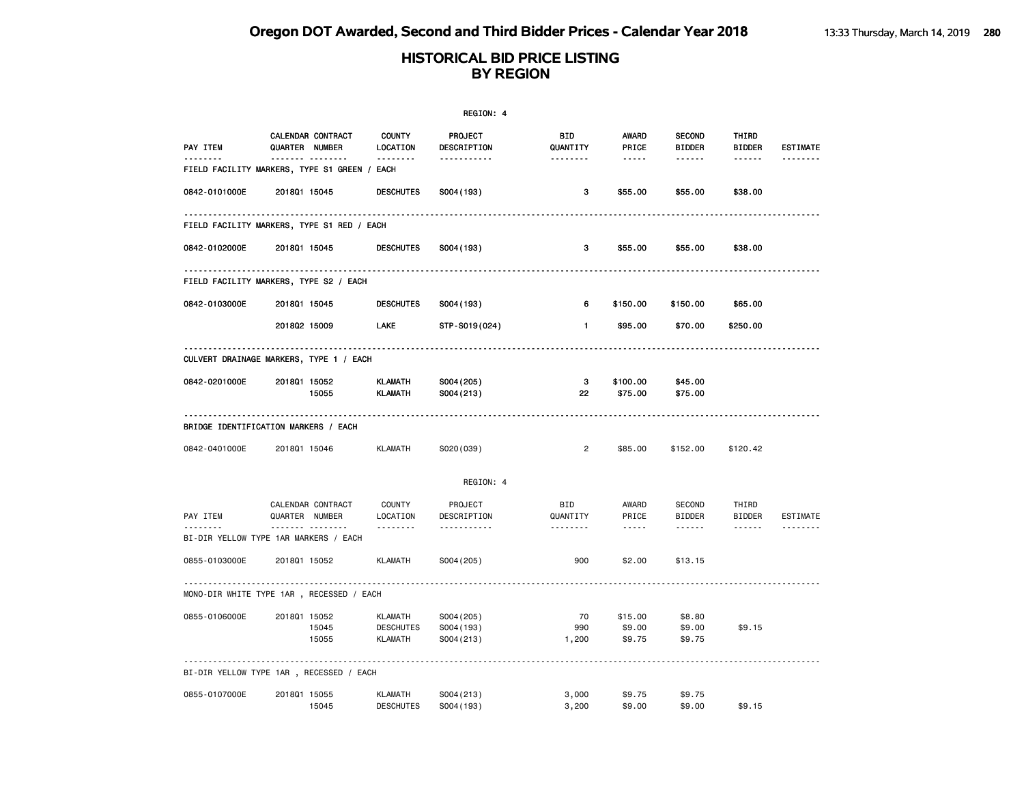|               |                                                  |                                                      | REGION: 4                             |                        |                             |                                |                        |                 |
|---------------|--------------------------------------------------|------------------------------------------------------|---------------------------------------|------------------------|-----------------------------|--------------------------------|------------------------|-----------------|
| PAY ITEM      | CALENDAR CONTRACT<br>QUARTER NUMBER              | <b>COUNTY</b><br>LOCATION                            | <b>PROJECT</b><br>DESCRIPTION         | BID<br>QUANTITY        | <b>AWARD</b><br>PRICE       | <b>SECOND</b><br><b>BIDDER</b> | THIRD<br><b>BIDDER</b> | <b>ESTIMATE</b> |
| <u>.</u>      | <br>FIELD FACILITY MARKERS, TYPE S1 GREEN / EACH | <u>.</u>                                             | <u></u>                               | .                      | $- - - - -$                 |                                |                        | .               |
| 0842-0101000E | 201801 15045                                     | <b>DESCHUTES</b>                                     | S004 (193)                            | 3                      | \$55.00                     | \$55.00                        | \$38.00                |                 |
|               | FIELD FACILITY MARKERS, TYPE S1 RED / EACH       |                                                      |                                       |                        |                             |                                |                        |                 |
| 0842-0102000E | 201801 15045                                     | <b>DESCHUTES</b>                                     | S004 (193)                            | 3                      | \$55.00                     | \$55.00                        | \$38.00                |                 |
|               | FIELD FACILITY MARKERS, TYPE S2 / EACH           |                                                      |                                       |                        |                             |                                |                        |                 |
| 0842-0103000E | 201801 15045                                     | <b>DESCHUTES</b>                                     | S004 (193)                            | 6                      | \$150.00                    | \$150.00                       | \$65.00                |                 |
|               | 201802 15009                                     | LAKE                                                 | STP-S019(024)                         | $\mathbf{1}$           | \$95.00                     | \$70.00                        | \$250.00               |                 |
|               | CULVERT DRAINAGE MARKERS, TYPE 1 / EACH          |                                                      |                                       |                        |                             |                                |                        |                 |
| 0842-0201000E | 201801 15052<br>15055                            | <b>KLAMATH</b><br><b>KLAMATH</b>                     | S004 (205)<br>S004(213)               | 3<br>22                | \$100.00<br>\$75.00         | \$45.00<br>\$75.00             |                        |                 |
|               | BRIDGE IDENTIFICATION MARKERS / EACH             |                                                      |                                       |                        |                             |                                |                        |                 |
| 0842-0401000E | 201801 15046                                     | <b>KLAMATH</b>                                       | S020(039)                             | $\overline{2}$         | \$85.00                     | \$152.00                       | \$120.42               |                 |
|               |                                                  |                                                      | REGION: 4                             |                        |                             |                                |                        |                 |
| PAY ITEM      | CALENDAR CONTRACT<br>QUARTER NUMBER              | <b>COUNTY</b><br>LOCATION                            | PROJECT<br>DESCRIPTION                | <b>BID</b><br>QUANTITY | AWARD<br>PRICE              | SECOND<br><b>BIDDER</b>        | THIRD<br><b>BIDDER</b> | <b>ESTIMATE</b> |
| <u>.</u>      | .<br>BI-DIR YELLOW TYPE 1AR MARKERS / EACH       | <u>.</u>                                             | <u>.</u>                              | .                      | $- - - - -$                 | ------                         | ------                 |                 |
| 0855-0103000E | 201801 15052                                     | <b>KLAMATH</b>                                       | S004 (205)                            | 900                    | \$2.00                      | \$13.15                        |                        |                 |
|               | MONO-DIR WHITE TYPE 1AR , RECESSED / EACH        |                                                      |                                       |                        |                             |                                |                        |                 |
| 0855-0106000E | 201801 15052<br>15045<br>15055                   | <b>KLAMATH</b><br><b>DESCHUTES</b><br><b>KLAMATH</b> | S004 (205)<br>S004 (193)<br>S004(213) | 70<br>990<br>1,200     | \$15.00<br>\$9.00<br>\$9.75 | \$8.80<br>\$9.00<br>\$9.75     | \$9.15                 |                 |
|               | BI-DIR YELLOW TYPE 1AR, RECESSED / EACH          |                                                      |                                       |                        |                             |                                |                        |                 |
| 0855-0107000E | 201801 15055<br>15045                            | <b>KLAMATH</b><br><b>DESCHUTES</b>                   | S004(213)<br>S004 (193)               | 3,000<br>3,200         | \$9.75<br>\$9.00            | \$9.75<br>\$9.00               | \$9.15                 |                 |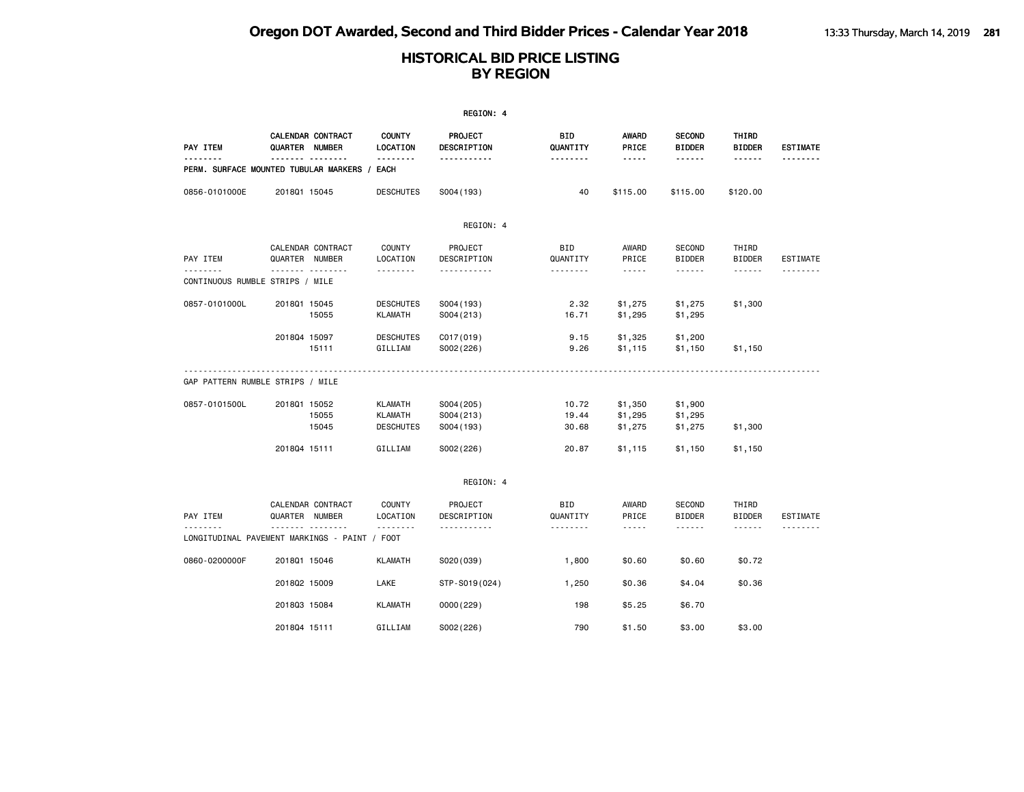|                 |                                                                          |                                                      | REGION: 4                             |                         |                                                                                                                                                                                                   |                                          |                                  |                 |
|-----------------|--------------------------------------------------------------------------|------------------------------------------------------|---------------------------------------|-------------------------|---------------------------------------------------------------------------------------------------------------------------------------------------------------------------------------------------|------------------------------------------|----------------------------------|-----------------|
| <b>PAY ITEM</b> | CALENDAR CONTRACT<br>QUARTER NUMBER                                      | <b>COUNTY</b><br>LOCATION                            | PROJECT<br>DESCRIPTION                | BID<br>QUANTITY         | <b>AWARD</b><br>PRICE                                                                                                                                                                             | <b>SECOND</b><br><b>BIDDER</b>           | THIRD<br><b>BIDDER</b>           | <b>ESTIMATE</b> |
|                 | <b>.</b><br>PERM. SURFACE MOUNTED TUBULAR MARKERS                        | .<br>EACH                                            | .                                     | .                       | $- - - - -$                                                                                                                                                                                       | ------                                   | ------                           | <u>.</u>        |
| 0856-0101000E   | 201801 15045                                                             | <b>DESCHUTES</b>                                     | S004 (193)                            | 40                      | \$115.00                                                                                                                                                                                          | \$115.00                                 | \$120.00                         |                 |
|                 |                                                                          |                                                      | REGION: 4                             |                         |                                                                                                                                                                                                   |                                          |                                  |                 |
| PAY ITEM        | CALENDAR CONTRACT<br>QUARTER NUMBER                                      | COUNTY<br>LOCATION                                   | PROJECT<br>DESCRIPTION                | <b>BID</b><br>QUANTITY  | AWARD<br>PRICE                                                                                                                                                                                    | <b>SECOND</b><br><b>BIDDER</b>           | THIRD<br><b>BIDDER</b>           | <b>ESTIMATE</b> |
|                 | . <sub>.</sub><br>CONTINUOUS RUMBLE STRIPS / MILE                        | .                                                    | .                                     | .                       | $\frac{1}{2} \left( \frac{1}{2} \right) \left( \frac{1}{2} \right) \left( \frac{1}{2} \right) \left( \frac{1}{2} \right) \left( \frac{1}{2} \right) \left( \frac{1}{2} \right)$                   | ------                                   | ------                           |                 |
| 0857-0101000L   | 201801 15045<br>15055                                                    | <b>DESCHUTES</b><br><b>KLAMATH</b>                   | S004 (193)<br>S004(213)               | 2.32<br>16.71           | \$1,275<br>\$1,295                                                                                                                                                                                | \$1,275<br>\$1,295                       | \$1,300                          |                 |
|                 | 201804 15097<br>15111                                                    | <b>DESCHUTES</b><br>GILLIAM                          | CO17(019)<br>S002(226)                | 9.15<br>9.26            | \$1,325<br>\$1,115                                                                                                                                                                                | \$1,200<br>\$1,150                       | \$1,150                          |                 |
|                 | GAP PATTERN RUMBLE STRIPS / MILE                                         |                                                      |                                       |                         |                                                                                                                                                                                                   |                                          |                                  |                 |
| 0857-0101500L   | 201801 15052<br>15055<br>15045                                           | <b>KLAMATH</b><br><b>KLAMATH</b><br><b>DESCHUTES</b> | S004 (205)<br>S004(213)<br>S004 (193) | 10.72<br>19.44<br>30.68 | \$1,350<br>\$1,295<br>\$1,275                                                                                                                                                                     | \$1,900<br>\$1,295<br>\$1,275            | \$1,300                          |                 |
|                 | 201804 15111                                                             | GILLIAM                                              | S002(226)                             | 20.87                   | \$1,115                                                                                                                                                                                           | \$1,150                                  | \$1,150                          |                 |
|                 |                                                                          |                                                      | REGION: 4                             |                         |                                                                                                                                                                                                   |                                          |                                  |                 |
| PAY ITEM        | CALENDAR CONTRACT<br>QUARTER NUMBER<br><u>.</u><br><u> - - - - - - -</u> | <b>COUNTY</b><br>LOCATION<br>--------                | PROJECT<br>DESCRIPTION<br>.           | BID<br>QUANTITY<br>.    | AWARD<br>PRICE<br>$\frac{1}{2} \left( \frac{1}{2} \right) \left( \frac{1}{2} \right) \left( \frac{1}{2} \right) \left( \frac{1}{2} \right) \left( \frac{1}{2} \right) \left( \frac{1}{2} \right)$ | <b>SECOND</b><br><b>BIDDER</b><br>------ | THIRD<br><b>BIDDER</b><br>------ | ESTIMATE<br>.   |
|                 | LONGITUDINAL PAVEMENT MARKINGS - PAINT / FOOT                            |                                                      |                                       |                         |                                                                                                                                                                                                   |                                          |                                  |                 |
| 0860-0200000F   | 201801 15046                                                             | <b>KLAMATH</b>                                       | S020(039)                             | 1,800                   | \$0.60                                                                                                                                                                                            | \$0.60                                   | \$0.72                           |                 |
|                 | 201802 15009                                                             | LAKE                                                 | STP-S019(024)                         | 1,250                   | \$0.36                                                                                                                                                                                            | \$4.04                                   | \$0.36                           |                 |
|                 | 201803 15084                                                             | <b>KLAMATH</b>                                       | 0000(229)                             | 198                     | \$5.25                                                                                                                                                                                            | \$6.70                                   |                                  |                 |
|                 | 201804 15111                                                             | GILLIAM                                              | S002(226)                             | 790                     | \$1.50                                                                                                                                                                                            | \$3.00                                   | \$3.00                           |                 |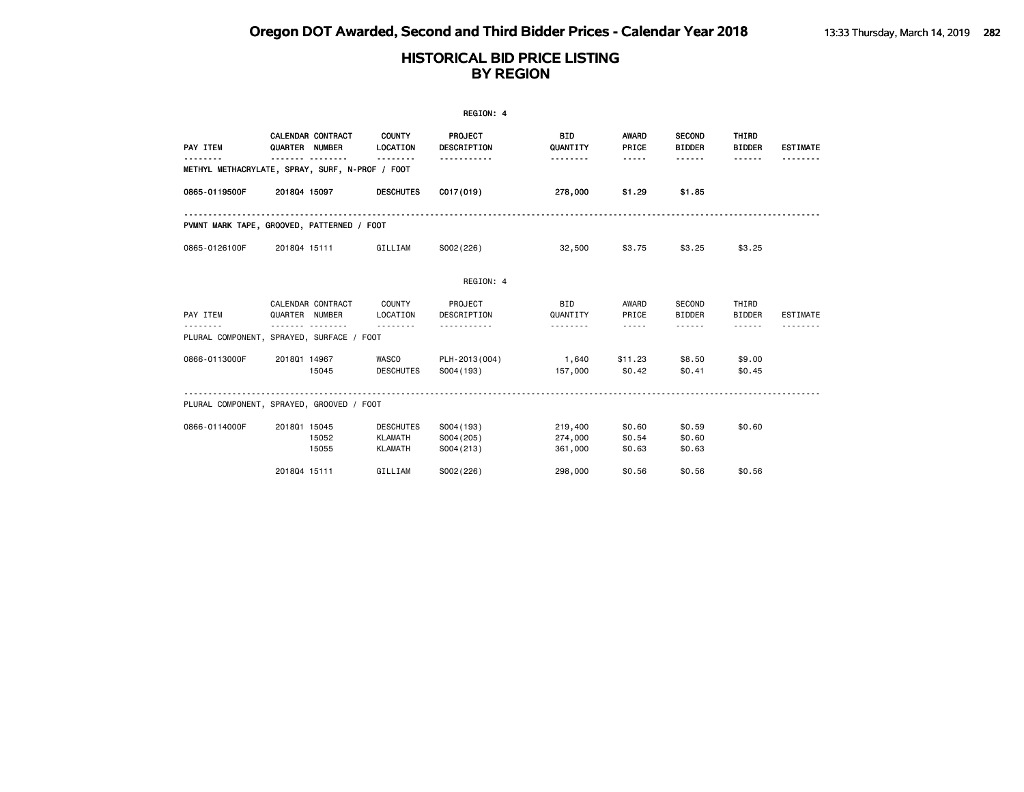| REGION: 4     |                                                           |                                                      |                                       |                               |                                                                                                                                                      |                                |                        |                 |  |  |
|---------------|-----------------------------------------------------------|------------------------------------------------------|---------------------------------------|-------------------------------|------------------------------------------------------------------------------------------------------------------------------------------------------|--------------------------------|------------------------|-----------------|--|--|
| PAY ITEM      | CALENDAR CONTRACT<br>QUARTER NUMBER                       | COUNTY<br>LOCATION                                   | PROJECT<br>DESCRIPTION                | <b>BID</b><br>QUANTITY        | AWARD<br>PRICE                                                                                                                                       | <b>SECOND</b><br><b>BIDDER</b> | THIRD<br><b>BIDDER</b> | <b>ESTIMATE</b> |  |  |
| .             | ------<br>METHYL METHACRYLATE, SPRAY, SURF, N-PROF / FOOT | <b>.</b>                                             | -----------                           | .                             | -----                                                                                                                                                | .                              | ------                 |                 |  |  |
| 0865-0119500F | 201804 15097                                              | <b>DESCHUTES</b>                                     | C017(019)                             | 278,000                       | \$1.29                                                                                                                                               | \$1.85                         |                        |                 |  |  |
|               | PVMNT MARK TAPE, GROOVED, PATTERNED / FOOT                |                                                      |                                       |                               |                                                                                                                                                      |                                |                        |                 |  |  |
| 0865-0126100F | 201804 15111                                              | GILLIAM                                              | S002(226)                             | 32,500                        | \$3.75                                                                                                                                               | \$3.25                         | \$3.25                 |                 |  |  |
|               |                                                           |                                                      | REGION: 4                             |                               |                                                                                                                                                      |                                |                        |                 |  |  |
| PAY ITEM      | CALENDAR CONTRACT<br>QUARTER NUMBER                       | COUNTY<br>LOCATION                                   | PROJECT<br>DESCRIPTION                | <b>BID</b><br>QUANTITY        | AWARD<br>PRICE                                                                                                                                       | SECOND<br><b>BIDDER</b>        | THIRD<br><b>BIDDER</b> | <b>ESTIMATE</b> |  |  |
| <u>.</u>      | .<br>PLURAL COMPONENT, SPRAYED, SURFACE / FOOT            | .                                                    | <u>.</u>                              | .                             | $\frac{1}{2} \left( \frac{1}{2} \right) \left( \frac{1}{2} \right) \left( \frac{1}{2} \right) \left( \frac{1}{2} \right) \left( \frac{1}{2} \right)$ | <b>.</b>                       | $- - - - - -$          |                 |  |  |
| 0866-0113000F | 201801 14967<br>15045                                     | WASCO<br><b>DESCHUTES</b>                            | PLH-2013(004)<br>S004 (193)           | 1,640<br>157,000              | \$11.23<br>\$0.42                                                                                                                                    | \$8.50<br>\$0.41               | \$9.00<br>\$0.45       |                 |  |  |
|               | PLURAL COMPONENT, SPRAYED, GROOVED / FOOT                 |                                                      |                                       |                               |                                                                                                                                                      |                                |                        |                 |  |  |
| 0866-0114000F | 201801 15045<br>15052<br>15055                            | <b>DESCHUTES</b><br><b>KLAMATH</b><br><b>KLAMATH</b> | S004 (193)<br>S004 (205)<br>S004(213) | 219,400<br>274,000<br>361,000 | \$0.60<br>\$0.54<br>\$0.63                                                                                                                           | \$0.59<br>\$0.60<br>\$0.63     | \$0.60                 |                 |  |  |
|               | 201804 15111                                              | GILLIAM                                              | S002(226)                             | 298,000                       | \$0.56                                                                                                                                               | \$0.56                         | \$0.56                 |                 |  |  |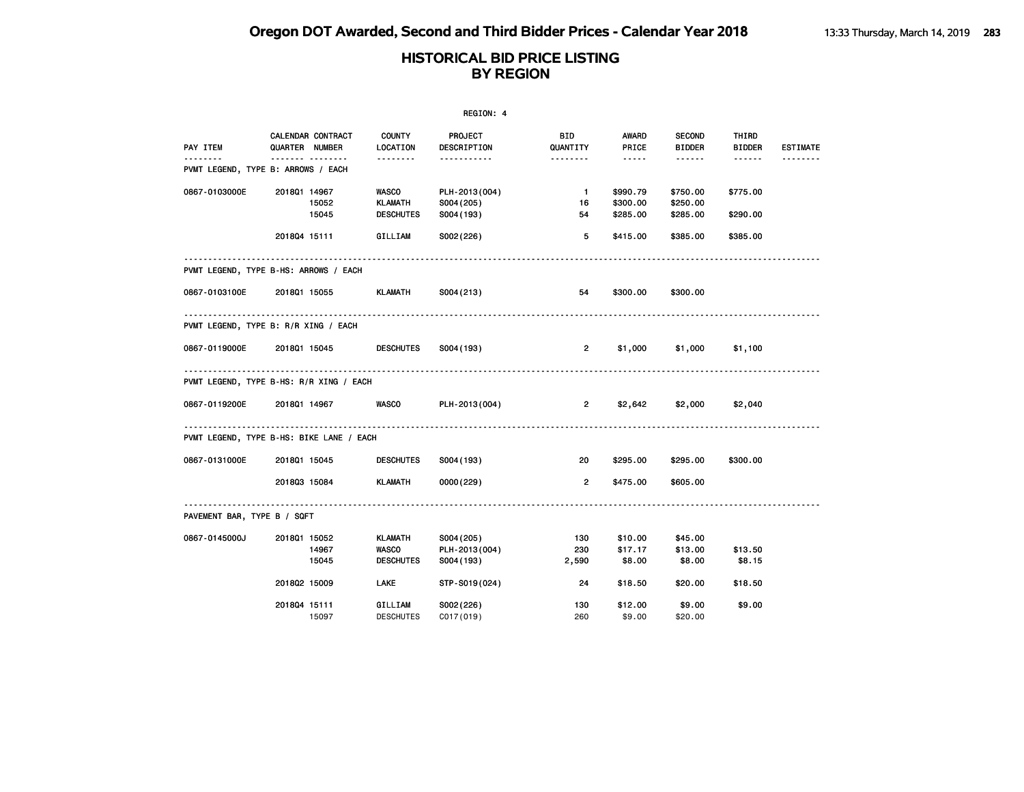|                             |                                          |                                  | REGION: 4                   |                 |                       |                                |                        |                 |
|-----------------------------|------------------------------------------|----------------------------------|-----------------------------|-----------------|-----------------------|--------------------------------|------------------------|-----------------|
| PAY ITEM                    | CALENDAR CONTRACT<br>QUARTER NUMBER      | COUNTY<br>LOCATION               | PROJECT<br>DESCRIPTION      | BID<br>QUANTITY | <b>AWARD</b><br>PRICE | <b>SECOND</b><br><b>BIDDER</b> | THIRD<br><b>BIDDER</b> | <b>ESTIMATE</b> |
| ------                      | .<br>PVMT LEGEND, TYPE B: ARROWS / EACH  | --------                         | .                           | .               | $- - - - -$           | ------                         | ------                 |                 |
| 0867-0103000E               | 201801 14967                             | <b>WASCO</b>                     | PLH-2013(004)               | $\mathbf{1}$    | \$990.79              | \$750.00                       | \$775.00               |                 |
|                             | 15052<br>15045                           | KLAMATH<br><b>DESCHUTES</b>      | S004 (205)<br>S004(193)     | 16<br>54        | \$300.00<br>\$285.00  | \$250.00<br>\$285.00           | \$290.00               |                 |
|                             | 201804 15111                             | GILLIAM                          | S002(226)                   | 5               | \$415.00              | \$385.00                       | \$385.00               |                 |
|                             | PVMT LEGEND, TYPE B-HS: ARROWS / EACH    |                                  |                             |                 |                       |                                |                        |                 |
| 0867-0103100E               | 201801 15055                             | KLAMATH                          | S004(213)                   | 54              | \$300.00              | \$300.00                       |                        |                 |
|                             | PVMT LEGEND, TYPE B: R/R XING / EACH     |                                  |                             |                 |                       |                                |                        |                 |
| 0867-0119000E               | 201801 15045                             | <b>DESCHUTES</b>                 | S004 (193)                  | $\overline{2}$  | \$1,000               | \$1,000                        | \$1,100                |                 |
|                             | PVMT LEGEND, TYPE B-HS: R/R XING / EACH  |                                  |                             |                 |                       |                                |                        |                 |
| 0867-0119200E               | 201801 14967                             | WASCO                            | PLH-2013(004)               | $\overline{2}$  | \$2,642               | \$2,000                        | \$2,040                |                 |
|                             | PVMT LEGEND, TYPE B-HS: BIKE LANE / EACH |                                  |                             |                 |                       |                                |                        |                 |
| 0867-0131000E               | 201801 15045                             | <b>DESCHUTES</b>                 | S004 (193)                  | 20              | \$295.00              | \$295.00                       | \$300.00               |                 |
|                             | 201803 15084                             | <b>KLAMATH</b>                   | 0000(229)                   | $\overline{2}$  | \$475.00              | \$605.00                       |                        |                 |
| PAVEMENT BAR, TYPE B / SQFT |                                          |                                  |                             |                 |                       |                                |                        |                 |
| 0867-0145000J               | 201801 15052                             | KLAMATH                          | S004 (205)                  | 130             | \$10.00               | \$45.00                        |                        |                 |
|                             | 14967<br>15045                           | <b>WASCO</b><br><b>DESCHUTES</b> | PLH-2013(004)<br>S004 (193) | 230<br>2,590    | \$17.17<br>\$8.00     | \$13.00<br>\$8.00              | \$13.50<br>\$8.15      |                 |
|                             | 201802 15009                             | LAKE                             | STP-S019(024)               | 24              | \$18.50               | \$20.00                        | \$18.50                |                 |
|                             | 201804 15111<br>15097                    | GILLIAM<br><b>DESCHUTES</b>      | S002(226)<br>C017(019)      | 130<br>260      | \$12.00<br>\$9,00     | \$9.00<br>\$20.00              | \$9.00                 |                 |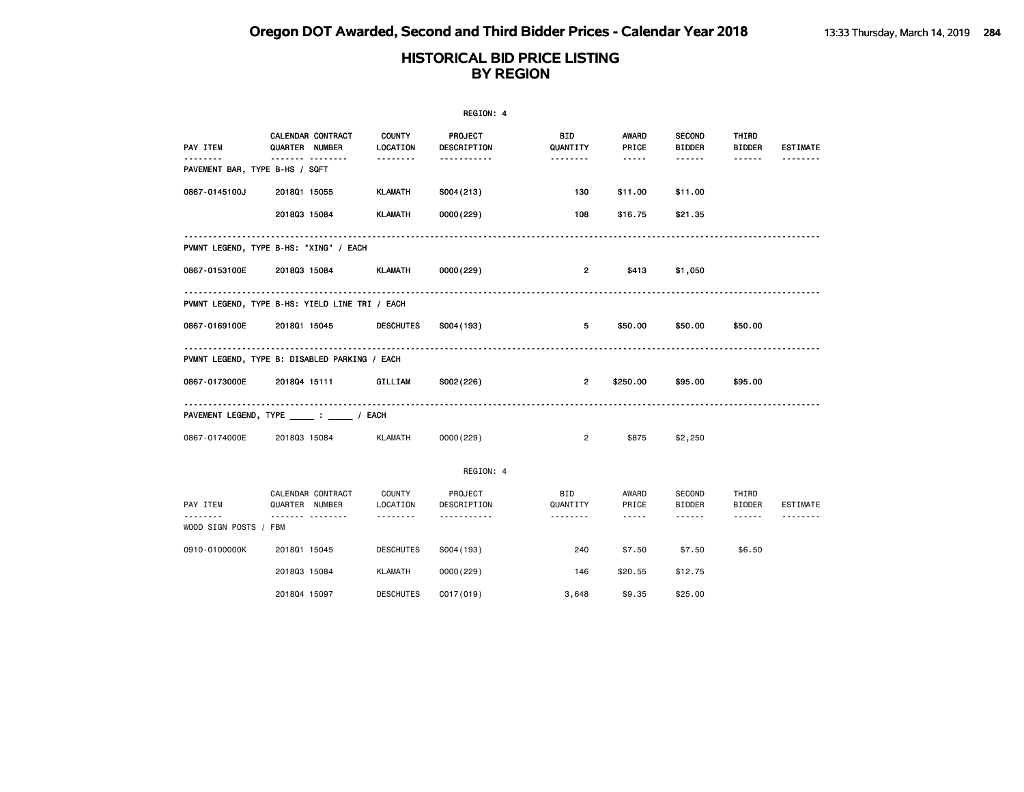#### **HISTORICAL BID PRICE LISTING BY REGION**

|                                |                                                    |                           | REGION: 4               |                        |                                                                                                                                                               |                                |                                  |                             |
|--------------------------------|----------------------------------------------------|---------------------------|-------------------------|------------------------|---------------------------------------------------------------------------------------------------------------------------------------------------------------|--------------------------------|----------------------------------|-----------------------------|
| PAY ITEM                       | CALENDAR CONTRACT<br>QUARTER NUMBER<br><b>.</b>    | <b>COUNTY</b><br>LOCATION | PROJECT<br>DESCRIPTION  | <b>BID</b><br>QUANTITY | AWARD<br>PRICE                                                                                                                                                | <b>SECOND</b><br><b>BIDDER</b> | THIRD<br><b>BIDDER</b>           | <b>ESTIMATE</b>             |
| PAVEMENT BAR, TYPE B-HS / SQFT |                                                    | - - - - - - - -           | .                       | --------               | -----                                                                                                                                                         | ------                         | ------                           |                             |
| 0867-0145100J                  | 201801 15055                                       | KLAMATH                   | S004(213)               | 130                    | \$11.00                                                                                                                                                       | \$11.00                        |                                  |                             |
|                                | 201803 15084                                       | <b>KLAMATH</b>            | 0000(229)               | 108                    | \$16.75                                                                                                                                                       | \$21.35                        |                                  |                             |
|                                | PVMNT LEGEND, TYPE B-HS: "XING" / EACH             |                           |                         |                        |                                                                                                                                                               |                                |                                  |                             |
| 0867-0153100E                  | 201803 15084                                       | KLAMATH                   | 0000(229)               | $\overline{2}$         | \$413                                                                                                                                                         | \$1,050                        |                                  |                             |
|                                | PVMNT LEGEND, TYPE B-HS: YIELD LINE TRI / EACH     |                           |                         |                        |                                                                                                                                                               |                                |                                  |                             |
| 0867-0169100E                  | 201801 15045                                       | <b>DESCHUTES</b>          | S004 (193)              | 5                      | \$50.00                                                                                                                                                       | \$50.00                        | \$50.00                          |                             |
|                                | .<br>PVMNT LEGEND, TYPE B: DISABLED PARKING / EACH |                           |                         |                        |                                                                                                                                                               |                                |                                  |                             |
| 0867-0173000E                  | 201804 15111                                       | GILLIAM                   | S002(226)               | $\mathbf{2}$           | \$250.00                                                                                                                                                      | \$95.00                        | \$95.00                          |                             |
|                                | PAVEMENT LEGEND, TYPE _______: _______ / EACH      |                           |                         |                        |                                                                                                                                                               |                                |                                  |                             |
| 0867-0174000E                  | 201803 15084                                       | <b>KLAMATH</b>            | 0000(229)               | $\overline{2}$         | \$875                                                                                                                                                         | \$2,250                        |                                  |                             |
|                                |                                                    |                           | REGION: 4               |                        |                                                                                                                                                               |                                |                                  |                             |
|                                | CALENDAR CONTRACT                                  | COUNTY                    | PROJECT                 | <b>BID</b>             | AWARD                                                                                                                                                         | SECOND                         | THIRD                            |                             |
| PAY ITEM                       | QUARTER NUMBER<br>.                                | LOCATION<br>--------      | DESCRIPTION<br><u>.</u> | QUANTITY<br>.          | PRICE<br>$\frac{1}{2} \left( \frac{1}{2} \right) \left( \frac{1}{2} \right) \left( \frac{1}{2} \right) \left( \frac{1}{2} \right) \left( \frac{1}{2} \right)$ | <b>BIDDER</b><br><b>.</b>      | <b>BIDDER</b><br>$- - - - - - -$ | <b>ESTIMATE</b><br>-------- |
| WOOD SIGN POSTS / FBM          |                                                    |                           |                         |                        |                                                                                                                                                               |                                |                                  |                             |
| 0910-0100000K                  | 201801 15045                                       | <b>DESCHUTES</b>          | S004 (193)              | 240                    | \$7.50                                                                                                                                                        | \$7.50                         | \$6.50                           |                             |

 2018Q3 15084 KLAMATH 0000(229) 146 \$20.55 \$12.75 2018Q4 15097 DESCHUTES C017(019) 3,648 \$9.35 \$25.00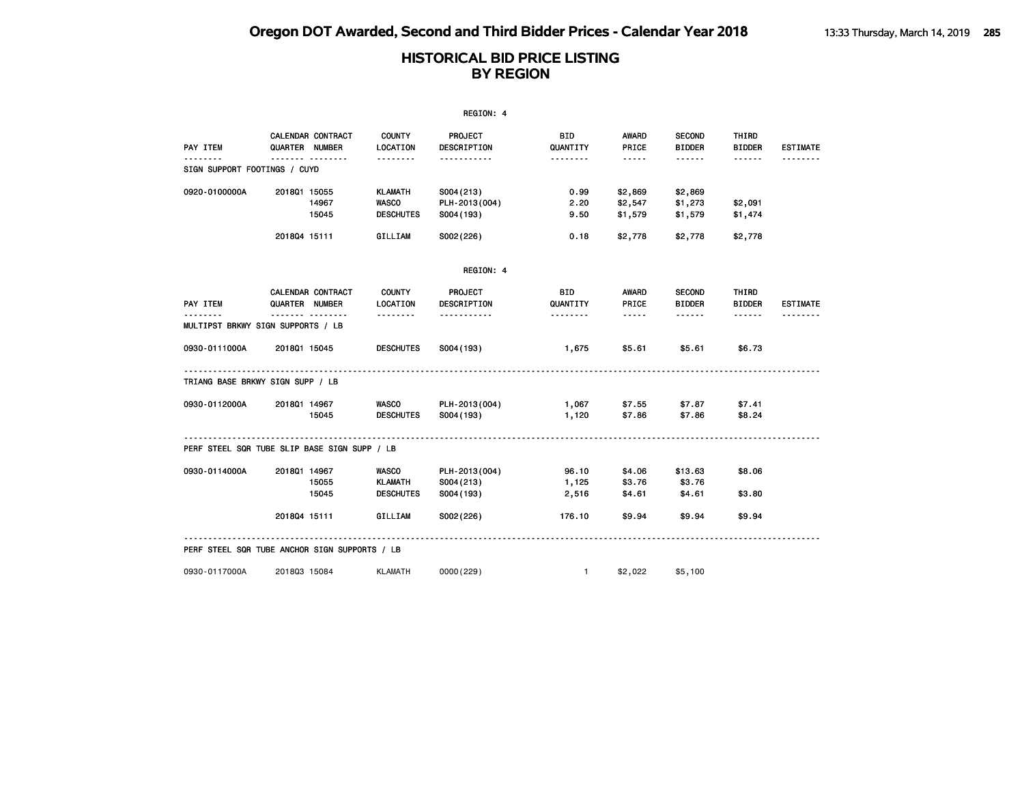|                                               |              |                                     |                                  | REGION: 4                     |                        |                                                                                                               |                                |                        |                 |
|-----------------------------------------------|--------------|-------------------------------------|----------------------------------|-------------------------------|------------------------|---------------------------------------------------------------------------------------------------------------|--------------------------------|------------------------|-----------------|
| PAY ITEM                                      |              | CALENDAR CONTRACT<br>QUARTER NUMBER | <b>COUNTY</b><br>LOCATION        | <b>PROJECT</b><br>DESCRIPTION | <b>BID</b><br>QUANTITY | AWARD<br>PRICE                                                                                                | <b>SECOND</b><br><b>BIDDER</b> | THIRD<br><b>BIDDER</b> | <b>ESTIMATE</b> |
| <u>.</u><br>SIGN SUPPORT FOOTINGS / CUYD      |              | .                                   | <u>.</u>                         | -----------                   | <u>.</u>               | $- - - - -$                                                                                                   | $- - - - - -$                  |                        |                 |
| 0920-0100000A                                 | 201801 15055 |                                     | KLAMATH                          | S004(213)                     | 0.99                   | \$2,869                                                                                                       | \$2,869                        |                        |                 |
|                                               |              | 14967<br>15045                      | <b>WASCO</b><br><b>DESCHUTES</b> | PLH-2013(004)<br>S004 (193)   | 2.20<br>9.50           | \$2,547                                                                                                       | \$1,273                        | \$2,091                |                 |
|                                               |              |                                     |                                  |                               |                        | \$1,579                                                                                                       | \$1,579                        | \$1,474                |                 |
|                                               | 201804 15111 |                                     | GILLIAM                          | S002(226)                     | 0.18                   | \$2,778                                                                                                       | \$2,778                        | \$2,778                |                 |
|                                               |              |                                     |                                  | REGION: 4                     |                        |                                                                                                               |                                |                        |                 |
|                                               |              | CALENDAR CONTRACT                   | <b>COUNTY</b>                    | PROJECT                       | <b>BID</b>             | AWARD                                                                                                         | <b>SECOND</b>                  | THIRD                  |                 |
| PAY ITEM                                      |              | QUARTER NUMBER                      | LOCATION                         | DESCRIPTION                   | QUANTITY               | PRICE                                                                                                         | <b>BIDDER</b>                  | <b>BIDDER</b>          | <b>ESTIMATE</b> |
| MULTIPST BRKWY SIGN SUPPORTS / LB             |              |                                     | <u>.</u>                         | <u>.</u>                      |                        | $\frac{1}{2} \frac{1}{2} \frac{1}{2} \frac{1}{2} \frac{1}{2} \frac{1}{2} \frac{1}{2} \frac{1}{2} \frac{1}{2}$ | $- - - - - -$                  |                        | --------        |
| 0930-0111000A                                 | 201801 15045 |                                     | <b>DESCHUTES</b>                 | S004(193)                     | 1,675                  | \$5.61                                                                                                        | \$5.61                         | \$6.73                 |                 |
| TRIANG BASE BRKWY SIGN SUPP / LB              |              |                                     |                                  |                               |                        |                                                                                                               |                                |                        |                 |
| 0930-0112000A                                 | 2018Q1 14967 |                                     | <b>WASCO</b>                     | PLH-2013(004)                 | 1,067                  | \$7.55                                                                                                        | \$7.87                         | \$7.41                 |                 |
|                                               |              | 15045                               | <b>DESCHUTES</b>                 | S004 (193)                    | 1,120                  | \$7.86                                                                                                        | \$7.86                         | \$8.24                 |                 |
| PERF STEEL SQR TUBE SLIP BASE SIGN SUPP / LB  |              |                                     |                                  |                               |                        |                                                                                                               |                                |                        |                 |
| 0930-0114000A                                 | 201801 14967 |                                     | <b>WASCO</b>                     | PLH-2013(004)                 | 96.10                  | \$4.06                                                                                                        | \$13.63                        | \$8.06                 |                 |
|                                               |              | 15055                               | <b>KLAMATH</b>                   | S004(213)                     | 1,125                  | \$3.76                                                                                                        | \$3.76                         |                        |                 |
|                                               |              | 15045                               | <b>DESCHUTES</b>                 | S004 (193)                    | 2,516                  | \$4.61                                                                                                        | \$4.61                         | \$3.80                 |                 |
|                                               | 201804 15111 |                                     | GILLIAM                          | S002(226)                     | 176.10                 | \$9.94                                                                                                        | \$9.94                         | \$9.94                 |                 |
| PERF STEEL SQR TUBE ANCHOR SIGN SUPPORTS / LB |              |                                     |                                  |                               |                        |                                                                                                               |                                |                        |                 |
| 0930-0117000A                                 | 201803 15084 |                                     | <b>KLAMATH</b>                   | 0000(229)                     | $\mathbf{1}$           | \$2,022                                                                                                       | \$5,100                        |                        |                 |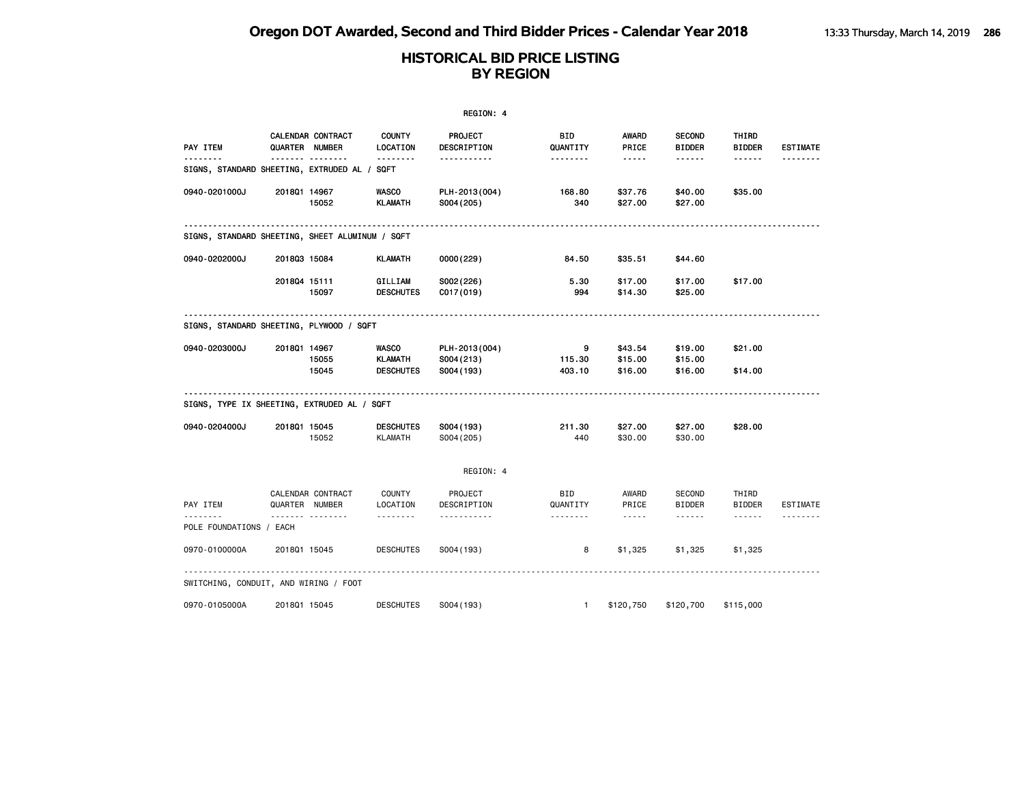|                                                          |              |                                     |                                                    | REGION: 4                                |                        |                                    |                                |                        |                 |
|----------------------------------------------------------|--------------|-------------------------------------|----------------------------------------------------|------------------------------------------|------------------------|------------------------------------|--------------------------------|------------------------|-----------------|
| PAY ITEM                                                 |              | CALENDAR CONTRACT<br>QUARTER NUMBER | <b>COUNTY</b><br>LOCATION                          | PROJECT<br>DESCRIPTION                   | BID<br>QUANTITY        | <b>AWARD</b><br>PRICE              | <b>SECOND</b><br><b>BIDDER</b> | THIRD<br><b>BIDDER</b> | <b>ESTIMATE</b> |
| --------<br>SIGNS, STANDARD SHEETING, EXTRUDED AL / SQFT | -------      | .                                   | --------                                           | -----------                              | --------               | -----                              | ------                         | ------                 |                 |
| 0940-0201000J                                            | 201801 14967 | 15052                               | <b>WASCO</b><br><b>KLAMATH</b>                     | PLH-2013(004)<br>S004 (205)              | 168.80<br>340          | \$37.76<br>\$27.00                 | \$40.00<br>\$27.00             | \$35.00                |                 |
| SIGNS, STANDARD SHEETING, SHEET ALUMINUM / SQFT          |              |                                     |                                                    |                                          |                        |                                    |                                |                        |                 |
| 0940-0202000J                                            | 201803 15084 |                                     | <b>KLAMATH</b>                                     | 0000(229)                                | 84.50                  | \$35.51                            | \$44.60                        |                        |                 |
|                                                          | 201804 15111 | 15097                               | GILLIAM<br><b>DESCHUTES</b>                        | S002(226)<br>C017(019)                   | 5.30<br>994            | \$17.00<br>\$14.30                 | \$17.00<br>\$25.00             | \$17.00                |                 |
| SIGNS, STANDARD SHEETING, PLYWOOD / SQFT                 |              |                                     |                                                    |                                          |                        |                                    |                                |                        |                 |
| 0940-0203000J                                            | 201801 14967 | 15055<br>15045                      | <b>WASCO</b><br><b>KLAMATH</b><br><b>DESCHUTES</b> | PLH-2013(004)<br>S004(213)<br>S004 (193) | 9<br>115.30<br>403.10  | \$43.54<br>\$15.00<br>\$16.00      | \$19.00<br>\$15.00<br>\$16.00  | \$21.00<br>\$14.00     |                 |
| SIGNS, TYPE IX SHEETING, EXTRUDED AL / SQFT              |              |                                     |                                                    |                                          |                        |                                    |                                |                        |                 |
| 0940-0204000J                                            | 201801 15045 | 15052                               | <b>DESCHUTES</b><br><b>KLAMATH</b>                 | S004 (193)<br>S004 (205)                 | 211.30<br>440          | \$27.00<br>\$30.00                 | \$27.00<br>\$30.00             | \$28.00                |                 |
|                                                          |              |                                     |                                                    | REGION: 4                                |                        |                                    |                                |                        |                 |
| PAY ITEM                                                 |              | CALENDAR CONTRACT<br>QUARTER NUMBER | <b>COUNTY</b><br>LOCATION                          | PROJECT<br>DESCRIPTION                   | <b>BID</b><br>QUANTITY | AWARD<br>PRICE                     | <b>SECOND</b><br><b>BIDDER</b> | THIRD<br><b>BIDDER</b> | <b>ESTIMATE</b> |
| POLE FOUNDATIONS / EACH                                  |              | . <sub>.</sub>                      | .                                                  | <u>.</u>                                 | .                      | $\sim$ $\sim$ $\sim$ $\sim$ $\sim$ | ------                         | ------                 |                 |
| 0970-0100000A                                            | 201801 15045 |                                     | <b>DESCHUTES</b>                                   | S004 (193)                               | 8                      | \$1,325                            | \$1,325                        | \$1,325                |                 |
| SWITCHING, CONDUIT, AND WIRING / FOOT                    |              |                                     |                                                    |                                          |                        |                                    |                                |                        |                 |
| 0970-0105000A                                            | 201801 15045 |                                     | <b>DESCHUTES</b>                                   | S004 (193)                               | $\mathbf{1}$           | \$120,750                          | \$120,700                      | \$115,000              |                 |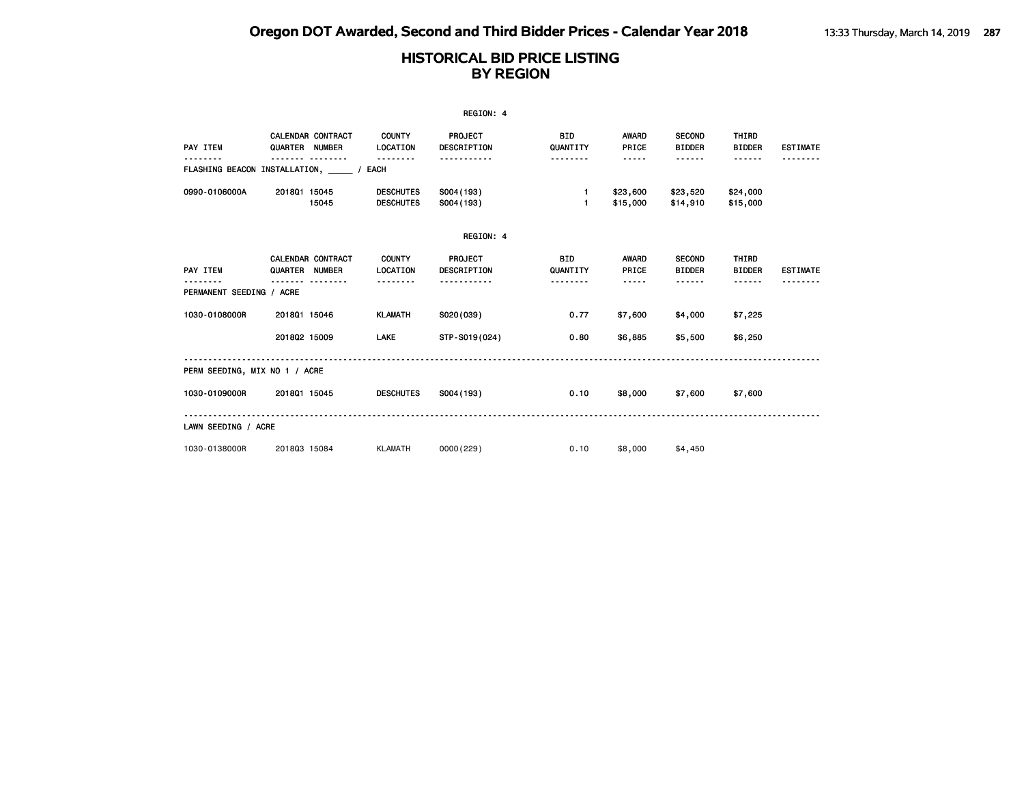|                               |                                            |                                      | REGION: 4                     |                        |                       |                                |                               |                 |
|-------------------------------|--------------------------------------------|--------------------------------------|-------------------------------|------------------------|-----------------------|--------------------------------|-------------------------------|-----------------|
| PAY ITEM                      | CALENDAR CONTRACT<br>QUARTER NUMBER        | <b>COUNTY</b><br>LOCATION            | <b>PROJECT</b><br>DESCRIPTION | <b>BID</b><br>QUANTITY | <b>AWARD</b><br>PRICE | <b>SECOND</b><br><b>BIDDER</b> | THIRD<br><b>BIDDER</b>        | <b>ESTIMATE</b> |
|                               | FLASHING BEACON INSTALLATION, / EACH       |                                      |                               |                        | -----                 |                                | ------                        |                 |
| 0990-0106000A                 | 201801 15045<br>15045                      | <b>DESCHUTES</b><br><b>DESCHUTES</b> | S004 (193)<br>S004 (193)      | 1.<br>$\mathbf{1}$     | \$23,600<br>\$15,000  | \$23,520<br>\$14,910           | \$24,000<br>\$15,000          |                 |
|                               |                                            |                                      | REGION: 4                     |                        |                       |                                |                               |                 |
| PAY ITEM                      | <b>CALENDAR CONTRACT</b><br>QUARTER NUMBER | <b>COUNTY</b><br>LOCATION            | PROJECT<br><b>DESCRIPTION</b> | BID.<br>QUANTITY       | <b>AWARD</b><br>PRICE | <b>SECOND</b><br><b>BIDDER</b> | <b>THIRD</b><br><b>BIDDER</b> | <b>ESTIMATE</b> |
| PERMANENT SEEDING / ACRE      |                                            | .                                    |                               | <u>.</u>               | -----                 | .                              | ------                        |                 |
| 1030-0108000R                 | 201801 15046                               | <b>KLAMATH</b>                       | S020(039)                     | 0.77                   | \$7,600               | \$4,000                        | \$7,225                       |                 |
|                               | 201802 15009                               | LAKE                                 | STP-S019(024)                 | 0.80                   | \$6,885               | \$5,500                        | \$6,250                       |                 |
| PERM SEEDING, MIX NO 1 / ACRE |                                            |                                      |                               |                        |                       |                                |                               |                 |
| 1030-0109000R                 | 201801 15045                               | <b>DESCHUTES</b>                     | S004 (193)                    | 0.10                   | \$8,000               | \$7,600                        | \$7,600                       |                 |
| LAWN SEEDING / ACRE           |                                            |                                      |                               |                        |                       |                                |                               |                 |
| 1030-0138000R                 | 201803 15084                               | <b>KLAMATH</b>                       | 0000(229)                     | 0.10                   | \$8,000               | \$4,450                        |                               |                 |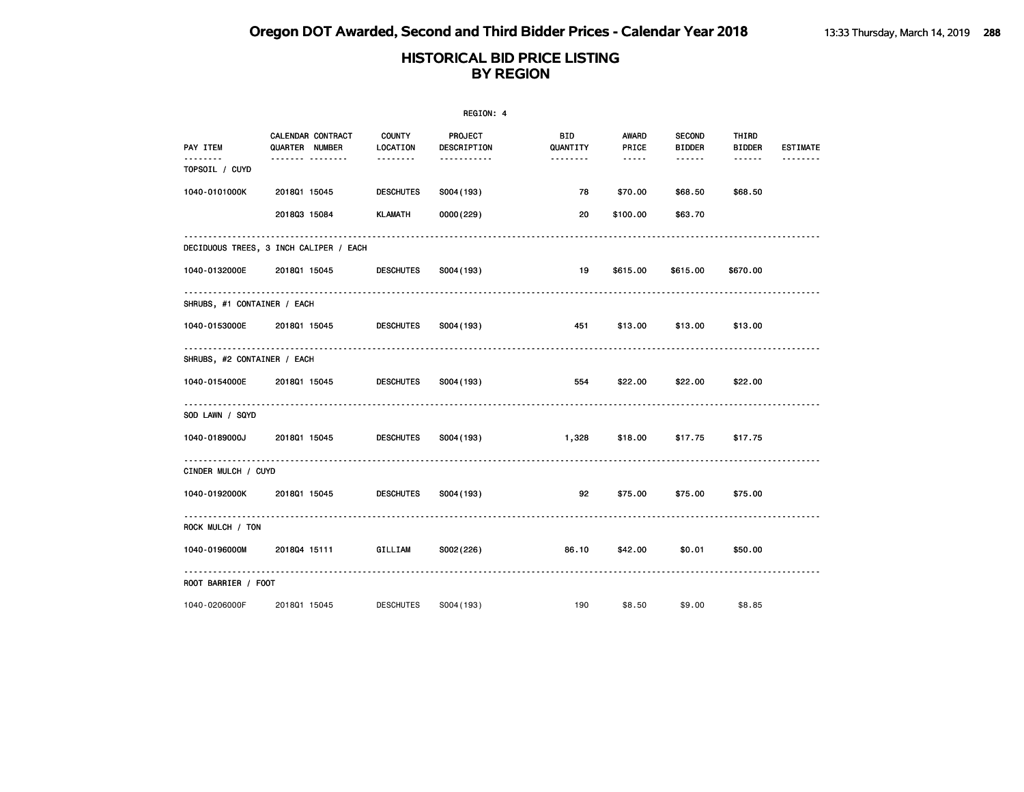| REGION: 4                   |                                        |                           |                        |                 |                 |                                |                 |                 |  |
|-----------------------------|----------------------------------------|---------------------------|------------------------|-----------------|-----------------|--------------------------------|-----------------|-----------------|--|
| PAY ITEM                    | CALENDAR CONTRACT<br>QUARTER NUMBER    | <b>COUNTY</b><br>LOCATION | PROJECT<br>DESCRIPTION | BID<br>QUANTITY | AWARD<br>PRICE  | <b>SECOND</b><br><b>BIDDER</b> | THIRD<br>BIDDER | <b>ESTIMATE</b> |  |
| .<br>TOPSOIL / CUYD         | <b>.</b>                               | --------                  | .                      | --------        | $\cdots \cdots$ | ------                         | ------          |                 |  |
| 1040-0101000K               | 201801 15045                           | <b>DESCHUTES</b>          | S004 (193)             | 78              | \$70.00         | \$68.50                        | \$68.50         |                 |  |
|                             | 201803 15084                           | KLAMATH                   | 0000(229)              | 20              | \$100.00        | \$63.70                        |                 |                 |  |
|                             | DECIDUOUS TREES, 3 INCH CALIPER / EACH |                           |                        |                 |                 |                                |                 |                 |  |
| 1040-0132000E               | 201801 15045                           | <b>DESCHUTES</b>          | S004 (193)             | 19              | \$615.00        | \$615.00                       | \$670.00        |                 |  |
| SHRUBS, #1 CONTAINER / EACH |                                        |                           |                        |                 |                 |                                |                 |                 |  |
| 1040-0153000E               | 201801 15045                           | <b>DESCHUTES</b>          | S004 (193)             | 451             | \$13.00         | \$13.00                        | \$13.00         |                 |  |
| SHRUBS, #2 CONTAINER / EACH |                                        |                           |                        |                 |                 |                                |                 |                 |  |
| 1040-0154000E               | 201801 15045                           | <b>DESCHUTES</b>          | S004(193)              | 554             | \$22.00         | \$22.00                        | \$22.00         |                 |  |
| SOD LAWN / SQYD             |                                        |                           |                        |                 |                 |                                |                 |                 |  |
| 1040-0189000J               | 201801 15045                           | <b>DESCHUTES</b>          | S004 (193)             | 1,328           | \$18.00         | \$17.75                        | \$17.75         |                 |  |
| CINDER MULCH / CUYD         |                                        |                           |                        |                 |                 |                                |                 |                 |  |
| 1040-0192000K               | 201801 15045                           | <b>DESCHUTES</b>          | S004 (193)             | 92              | \$75.00         | \$75.00                        | \$75.00         |                 |  |
| ROCK MULCH / TON            |                                        |                           |                        |                 |                 |                                |                 |                 |  |
| 1040-0196000M               | 201804 15111                           | GILLIAM                   | S002(226)              | 86.10           | \$42.00         | \$0.01                         | \$50.00         |                 |  |
| ROOT BARRIER / FOOT         |                                        |                           |                        |                 |                 |                                |                 |                 |  |
| 1040-0206000F               | 201801 15045                           | <b>DESCHUTES</b>          | S004 (193)             | 190             | \$8.50          | \$9,00                         | \$8.85          |                 |  |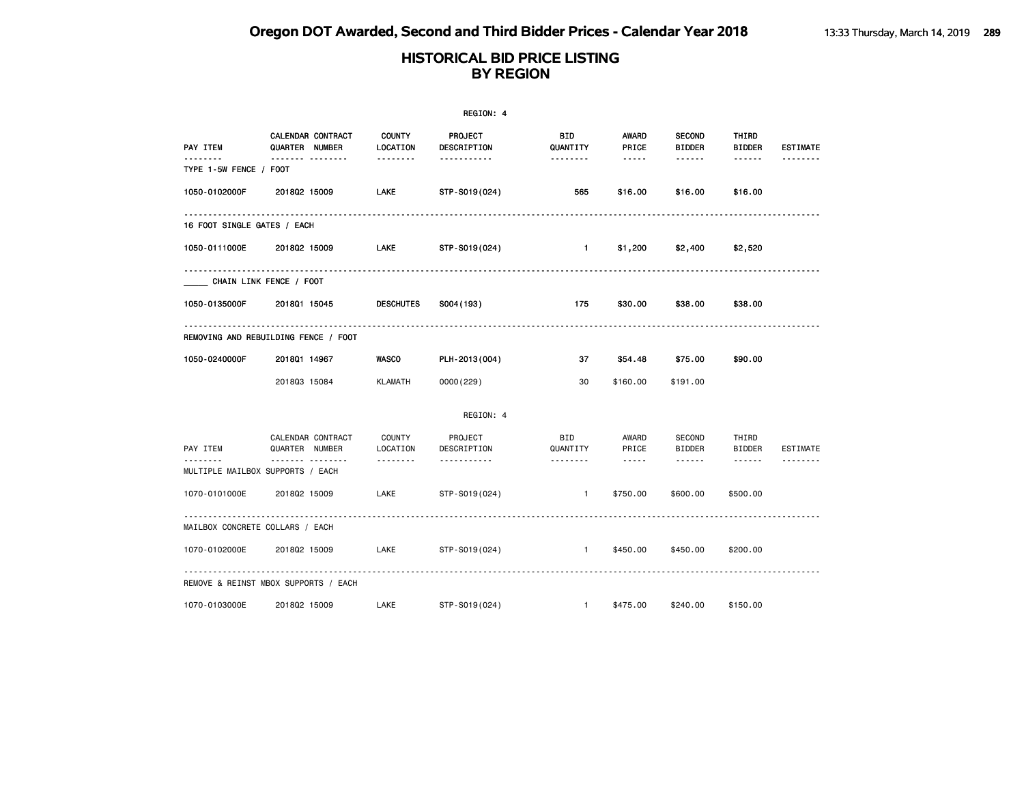|                             | REGION: 4                                             |                           |                        |                        |                        |                                |                        |                 |  |  |  |
|-----------------------------|-------------------------------------------------------|---------------------------|------------------------|------------------------|------------------------|--------------------------------|------------------------|-----------------|--|--|--|
| PAY ITEM                    | <b>CALENDAR CONTRACT</b><br>QUARTER NUMBER            | <b>COUNTY</b><br>LOCATION | PROJECT<br>DESCRIPTION | <b>BID</b><br>QUANTITY | AWARD<br>PRICE         | <b>SECOND</b><br><b>BIDDER</b> | THIRD<br><b>BIDDER</b> | <b>ESTIMATE</b> |  |  |  |
| TYPE 1-5W FENCE / FOOT      | <u> </u>                                              | <u>.</u>                  | -----------            | <u>.</u>               | $\cdots \cdots$        | $- - - - - -$                  | $- - - - - -$          | --------        |  |  |  |
| 1050-0102000F               | 201802 15009                                          | LAKE                      | STP-S019(024)          | 565                    | \$16.00                | \$16.00                        | \$16.00                |                 |  |  |  |
| 16 FOOT SINGLE GATES / EACH |                                                       |                           |                        |                        |                        |                                |                        |                 |  |  |  |
| 1050-0111000E               | 201802 15009                                          | LAKE                      | STP-S019(024)          |                        | \$1,200                | \$2,400                        | \$2,520                |                 |  |  |  |
|                             | CHAIN LINK FENCE / FOOT                               |                           |                        |                        |                        |                                |                        |                 |  |  |  |
|                             | 1050-0135000F 2018Q1 15045                            | <b>DESCHUTES</b>          | S004 (193)             | 175                    | \$30.00                | \$38.00                        | \$38.00                |                 |  |  |  |
|                             | REMOVING AND REBUILDING FENCE / FOOT                  |                           |                        |                        |                        |                                |                        |                 |  |  |  |
| 1050-0240000F               | 201801 14967                                          | <b>WASCO</b>              | PLH-2013(004)          | 37                     | \$54.48                | \$75.00                        | \$90.00                |                 |  |  |  |
|                             | 201803 15084                                          | <b>KLAMATH</b>            | 0000(229)              | 30                     | \$160.00               | \$191.00                       |                        |                 |  |  |  |
|                             |                                                       |                           | REGION: 4              |                        |                        |                                |                        |                 |  |  |  |
| PAY ITEM                    | CALENDAR CONTRACT<br>QUARTER NUMBER                   | COUNTY<br>LOCATION        | PROJECT<br>DESCRIPTION | BID<br>QUANTITY        | AWARD<br>PRICE         | SECOND<br><b>BIDDER</b>        | THIRD<br><b>BIDDER</b> | ESTIMATE        |  |  |  |
| <u>.</u>                    | -------- --------<br>MULTIPLE MAILBOX SUPPORTS / EACH | .                         | -----------            | <b></b>                | $\cdots \cdots \cdots$ | $\cdots \cdots \cdots$         | $\cdots \cdots \cdots$ |                 |  |  |  |
| 1070-0101000E               | 201802 15009                                          | LAKE                      | STP-S019(024)          | $\overline{1}$         | \$750.00               | \$600.00                       | \$500.00               |                 |  |  |  |
|                             | MAILBOX CONCRETE COLLARS / EACH                       |                           |                        |                        |                        |                                |                        |                 |  |  |  |
| 1070-0102000E               | 201802 15009                                          | LAKE                      | STP-S019(024)          | $\sim$ 1               | \$450.00               | \$450.00                       | \$200.00               |                 |  |  |  |
|                             | REMOVE & REINST MBOX SUPPORTS / EACH                  |                           |                        |                        |                        |                                |                        |                 |  |  |  |
| 1070-0103000E               | 201802 15009                                          | LAKE                      | STP-S019(024)          | $\sim$ 1               | \$475.00               | \$240.00                       | \$150.00               |                 |  |  |  |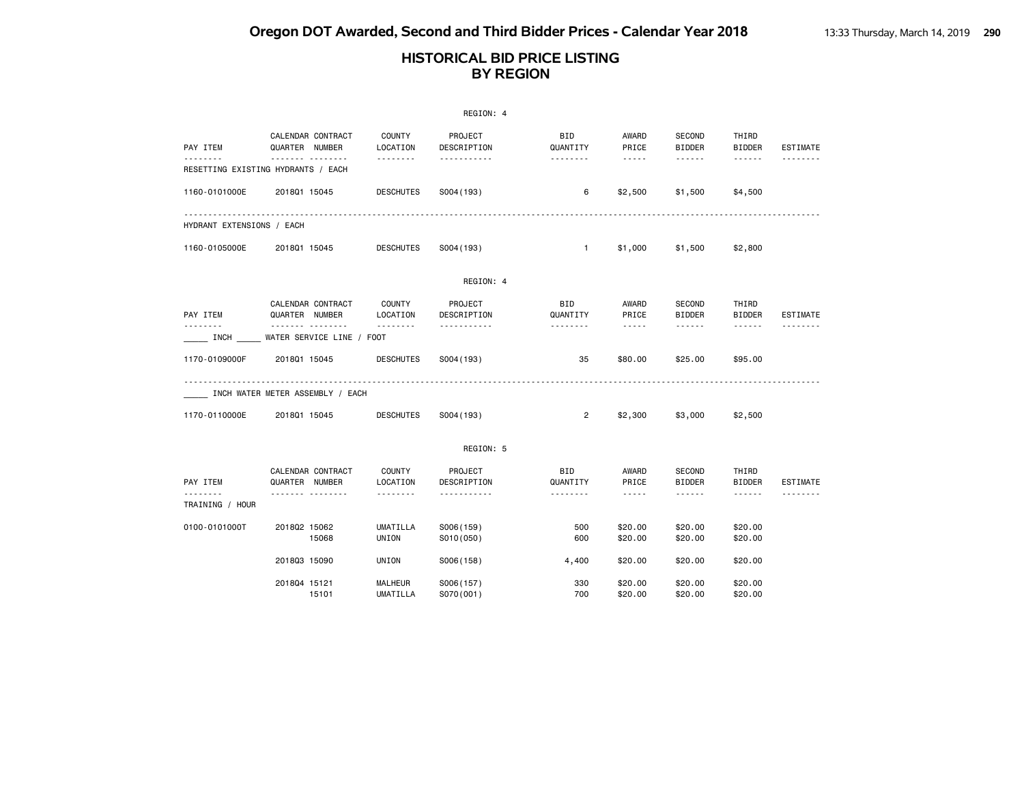|                           |                                                 |                                | REGION: 4                          |                             |                                                      |                                |                                                                                                                                                                                                                                                                                                                                                                                                                                                                            |                             |
|---------------------------|-------------------------------------------------|--------------------------------|------------------------------------|-----------------------------|------------------------------------------------------|--------------------------------|----------------------------------------------------------------------------------------------------------------------------------------------------------------------------------------------------------------------------------------------------------------------------------------------------------------------------------------------------------------------------------------------------------------------------------------------------------------------------|-----------------------------|
| PAY ITEM                  | CALENDAR CONTRACT<br>QUARTER NUMBER             | <b>COUNTY</b><br>LOCATION      | PROJECT<br>DESCRIPTION             | <b>BID</b><br>QUANTITY      | AWARD<br>PRICE                                       | <b>SECOND</b><br><b>BIDDER</b> | THIRD<br><b>BIDDER</b>                                                                                                                                                                                                                                                                                                                                                                                                                                                     | <b>ESTIMATE</b>             |
|                           | RESETTING EXISTING HYDRANTS / EACH              | .                              | .                                  | .                           | $\frac{1}{2}$                                        | $- - - - - -$                  | $\frac{1}{2} \left( \frac{1}{2} \right) \left( \frac{1}{2} \right) \left( \frac{1}{2} \right) \left( \frac{1}{2} \right) \left( \frac{1}{2} \right) \left( \frac{1}{2} \right) \left( \frac{1}{2} \right) \left( \frac{1}{2} \right) \left( \frac{1}{2} \right) \left( \frac{1}{2} \right) \left( \frac{1}{2} \right) \left( \frac{1}{2} \right) \left( \frac{1}{2} \right) \left( \frac{1}{2} \right) \left( \frac{1}{2} \right) \left( \frac{1}{2} \right) \left( \frac$ |                             |
| 1160-0101000E             | 201801 15045                                    | <b>DESCHUTES</b>               | S004 (193)                         | 6                           | \$2,500                                              | \$1,500                        | \$4,500                                                                                                                                                                                                                                                                                                                                                                                                                                                                    |                             |
| HYDRANT EXTENSIONS / EACH |                                                 |                                |                                    |                             |                                                      |                                |                                                                                                                                                                                                                                                                                                                                                                                                                                                                            |                             |
| 1160-0105000E             | 201801 15045                                    | <b>DESCHUTES</b>               | S004 (193)                         | $\mathbf{1}$                | \$1,000                                              | \$1,500                        | \$2,800                                                                                                                                                                                                                                                                                                                                                                                                                                                                    |                             |
|                           |                                                 |                                | REGION: 4                          |                             |                                                      |                                |                                                                                                                                                                                                                                                                                                                                                                                                                                                                            |                             |
| PAY ITEM                  | CALENDAR CONTRACT<br>QUARTER NUMBER<br><b>.</b> | COUNTY<br>LOCATION<br>.        | PROJECT<br>DESCRIPTION<br>.        | <b>BID</b><br>QUANTITY<br>. | AWARD<br>PRICE<br>-----                              | <b>SECOND</b><br><b>BIDDER</b> | THIRD<br><b>BIDDER</b><br>------                                                                                                                                                                                                                                                                                                                                                                                                                                           | <b>ESTIMATE</b>             |
| <b>INCH</b>               | WATER SERVICE LINE / FOOT                       |                                |                                    |                             |                                                      | ------                         |                                                                                                                                                                                                                                                                                                                                                                                                                                                                            |                             |
| 1170-0109000F             | 201801 15045                                    | <b>DESCHUTES</b>               | S004 (193)                         | 35                          | \$80.00                                              | \$25.00                        | \$95.00                                                                                                                                                                                                                                                                                                                                                                                                                                                                    |                             |
|                           | INCH WATER METER ASSEMBLY / EACH                |                                |                                    |                             |                                                      |                                |                                                                                                                                                                                                                                                                                                                                                                                                                                                                            |                             |
| 1170-0110000E             | 201801 15045                                    | <b>DESCHUTES</b>               | S004 (193)                         | $\overline{2}$              | \$2,300                                              | \$3,000                        | \$2,500                                                                                                                                                                                                                                                                                                                                                                                                                                                                    |                             |
|                           |                                                 |                                | REGION: 5                          |                             |                                                      |                                |                                                                                                                                                                                                                                                                                                                                                                                                                                                                            |                             |
| PAY ITEM<br><u>.</u>      | CALENDAR CONTRACT<br>QUARTER NUMBER<br>.        | <b>COUNTY</b><br>LOCATION<br>. | PROJECT<br>DESCRIPTION<br><u>.</u> | <b>BID</b><br>QUANTITY<br>. | AWARD<br>PRICE<br>$\sim$ $\sim$ $\sim$ $\sim$ $\sim$ | <b>SECOND</b><br><b>BIDDER</b> | THIRD<br><b>BIDDER</b><br>------                                                                                                                                                                                                                                                                                                                                                                                                                                           | <b>ESTIMATE</b><br><u>.</u> |
| TRAINING / HOUR           |                                                 |                                |                                    |                             |                                                      |                                |                                                                                                                                                                                                                                                                                                                                                                                                                                                                            |                             |
| 0100-0101000T             | 201802 15062<br>15068                           | UMATILLA<br>UNION              | S006(159)<br>S010(050)             | 500<br>600                  | \$20.00<br>\$20.00                                   | \$20.00<br>\$20.00             | \$20.00<br>\$20.00                                                                                                                                                                                                                                                                                                                                                                                                                                                         |                             |
|                           | 201803 15090                                    | UNION                          | S006(158)                          | 4,400                       | \$20.00                                              | \$20.00                        | \$20.00                                                                                                                                                                                                                                                                                                                                                                                                                                                                    |                             |
|                           | 201804 15121<br>15101                           | MALHEUR<br>UMATILLA            | S006(157)<br>S070(001)             | 330<br>700                  | \$20.00<br>\$20.00                                   | \$20.00<br>\$20.00             | \$20.00<br>\$20.00                                                                                                                                                                                                                                                                                                                                                                                                                                                         |                             |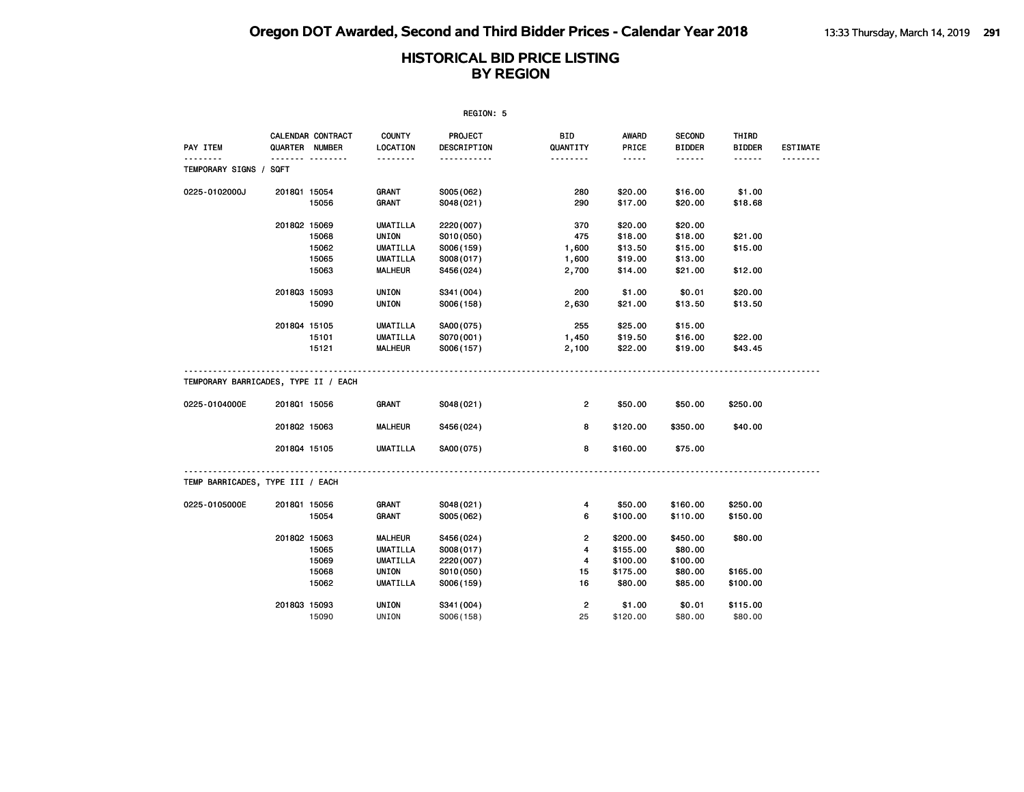| REGION: 5                                             |                              |                                     |                           |                        |                     |                       |                                |                        |                 |  |
|-------------------------------------------------------|------------------------------|-------------------------------------|---------------------------|------------------------|---------------------|-----------------------|--------------------------------|------------------------|-----------------|--|
| PAY ITEM                                              |                              | CALENDAR CONTRACT<br>QUARTER NUMBER | <b>COUNTY</b><br>LOCATION | PROJECT<br>DESCRIPTION | BID<br>QUANTITY     | <b>AWARD</b><br>PRICE | <b>SECOND</b><br><b>BIDDER</b> | THIRD<br><b>BIDDER</b> | <b>ESTIMATE</b> |  |
| .                                                     |                              | . <sub>.</sub>                      | .                         | .                      | <u>.</u>            | $- - - - -$           | .                              | $- - - - - -$          | .               |  |
| TEMPORARY SIGNS /                                     | SQFT                         |                                     |                           |                        |                     |                       |                                |                        |                 |  |
| 0225-0102000J                                         | 201801 15054                 |                                     | GRANT                     | S005(062)              | 280                 | \$20.00               | \$16.00                        | \$1.00                 |                 |  |
|                                                       |                              | 15056                               | GRANT                     | S048(021)              | 290                 | \$17.00               | \$20.00                        | \$18.68                |                 |  |
|                                                       |                              |                                     |                           |                        |                     |                       |                                |                        |                 |  |
|                                                       | 201802 15069                 |                                     | <b>UMATILLA</b>           | 2220 (007)             | 370                 | \$20.00               | \$20.00                        |                        |                 |  |
|                                                       |                              | 15068                               | UNION                     | S010(050)              | 475                 | \$18.00               | \$18.00                        | \$21.00                |                 |  |
|                                                       |                              | 15062                               | <b>UMATILLA</b>           | S006(159)              | 1,600               | \$13.50               | \$15.00                        | \$15.00                |                 |  |
|                                                       |                              | 15065                               | UMATILLA                  | S008(017)              | 1,600               | \$19.00               | \$13.00                        |                        |                 |  |
|                                                       |                              | 15063                               | MALHEUR                   | S456(024)              | 2,700               | \$14.00               | \$21.00                        | \$12.00                |                 |  |
|                                                       | 201803 15093                 |                                     | UNION                     | S341 (004)             | 200                 | \$1.00                | \$0.01                         | \$20.00                |                 |  |
|                                                       |                              | 15090                               | UNION                     | S006(158)              | 2,630               | \$21.00               | \$13.50                        | \$13.50                |                 |  |
|                                                       |                              |                                     |                           |                        |                     |                       |                                |                        |                 |  |
|                                                       | 201804 15105                 |                                     | <b>UMATILLA</b>           | SA00(075)              | 255                 | \$25.00               | \$15.00                        |                        |                 |  |
|                                                       |                              | 15101                               | <b>UMATILLA</b>           | S070(001)              | 1,450               | \$19.50               | \$16.00                        | \$22.00                |                 |  |
|                                                       |                              | 15121                               | <b>MALHEUR</b>            | S006(157)              | 2,100               | \$22.00               | \$19.00                        | \$43.45                |                 |  |
| TEMPORARY BARRICADES, TYPE II / EACH<br>0225-0104000E | 201801 15056<br>201802 15063 |                                     | GRANT<br><b>MALHEUR</b>   | S048(021)<br>S456(024) | $\overline{2}$<br>8 | \$50.00<br>\$120.00   | \$50.00<br>\$350.00            | \$250.00<br>\$40.00    |                 |  |
|                                                       | 201804 15105                 |                                     | UMATILLA                  | SA00(075)              | 8                   | \$160.00              | \$75.00                        |                        |                 |  |
| TEMP BARRICADES, TYPE III / EACH                      |                              |                                     |                           |                        |                     |                       |                                |                        |                 |  |
| 0225-0105000E                                         | 201801 15056                 |                                     | GRANT                     | S048(021)              | 4                   | \$50.00               | \$160.00                       | \$250.00               |                 |  |
|                                                       |                              | 15054                               | GRANT                     | S005(062)              | 6                   | \$100.00              | \$110.00                       | \$150.00               |                 |  |
|                                                       |                              |                                     |                           |                        |                     |                       |                                |                        |                 |  |
|                                                       | 201802 15063                 |                                     | <b>MALHEUR</b>            | S456(024)              | $\overline{2}$      | \$200.00              | \$450.00                       | \$80.00                |                 |  |
|                                                       |                              | 15065                               | <b>UMATILLA</b>           | S008(017)              | 4                   | \$155.00              | \$80.00                        |                        |                 |  |
|                                                       |                              | 15069                               | <b>UMATILLA</b>           | 2220 (007)             | 4                   | \$100.00              | \$100.00                       |                        |                 |  |
|                                                       |                              | 15068                               | UNION                     | S010(050)              | 15                  | \$175.00              | \$80.00                        | \$165.00               |                 |  |
|                                                       |                              | 15062                               | <b>UMATILLA</b>           | S006(159)              | 16                  | \$80.00               | \$85.00                        | \$100.00               |                 |  |
|                                                       |                              |                                     |                           |                        |                     |                       |                                |                        |                 |  |
|                                                       | 201803 15093                 |                                     | UNION                     | S341 (004)             | $\overline{2}$      | \$1.00                | \$0.01                         | \$115.00               |                 |  |
|                                                       |                              | 15090                               | UNION                     | S006(158)              | 25                  | \$120.00              | \$80.00                        | \$80.00                |                 |  |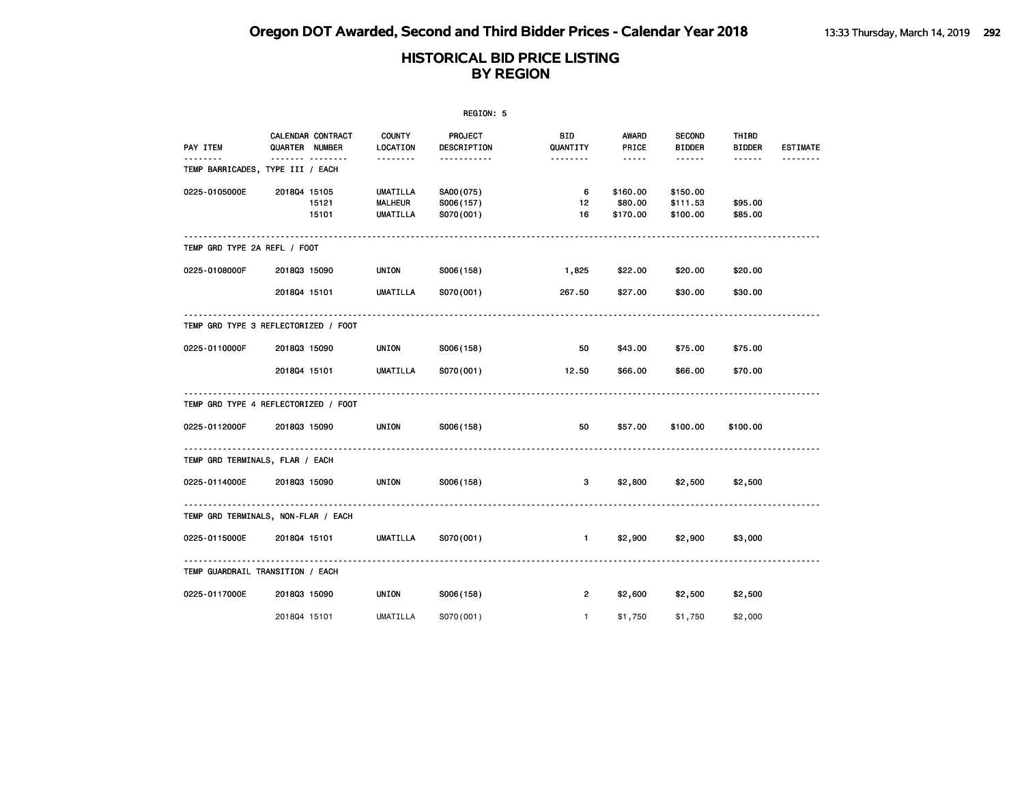|                                      |              |                                     |                                                      | REGION: 5                           |                 |                                 |                                  |                        |                 |
|--------------------------------------|--------------|-------------------------------------|------------------------------------------------------|-------------------------------------|-----------------|---------------------------------|----------------------------------|------------------------|-----------------|
| PAY ITEM                             |              | CALENDAR CONTRACT<br>QUARTER NUMBER | <b>COUNTY</b><br>LOCATION                            | PROJECT<br>DESCRIPTION              | BID<br>QUANTITY | AWARD<br>PRICE                  | <b>SECOND</b><br><b>BIDDER</b>   | THIRD<br><b>BIDDER</b> | <b>ESTIMATE</b> |
| TEMP BARRICADES, TYPE III / EACH     |              |                                     | <u>.</u>                                             | .                                   | --------        | $- - - - -$                     | ------                           | ------                 |                 |
| 0225-0105000E                        | 201804 15105 | 15121<br>15101                      | <b>UMATILLA</b><br><b>MALHEUR</b><br><b>UMATILLA</b> | SA00(075)<br>S006(157)<br>S070(001) | 6<br>12<br>16   | \$160.00<br>\$80.00<br>\$170.00 | \$150.00<br>\$111.53<br>\$100.00 | \$95.00<br>\$85.00     |                 |
| TEMP GRD TYPE 2A REFL / FOOT         |              |                                     |                                                      |                                     |                 |                                 |                                  |                        |                 |
| 0225-0108000F                        | 201803 15090 |                                     | UNION                                                | S006(158)                           | 1,825           | \$22.00                         | \$20.00                          | \$20.00                |                 |
|                                      | 201804 15101 |                                     | <b>UMATILLA</b>                                      | S070(001)                           | 267.50          | \$27.00                         | \$30.00                          | \$30.00                |                 |
| TEMP GRD TYPE 3 REFLECTORIZED / FOOT |              |                                     |                                                      |                                     |                 |                                 |                                  |                        |                 |
| 0225-0110000F                        | 201803 15090 |                                     | UNION                                                | S006(158)                           | 50              | \$43.00                         | \$75.00                          | \$75.00                |                 |
|                                      | 201804 15101 |                                     | <b>UMATILLA</b>                                      | S070(001)                           | 12.50           | \$66.00                         | \$66.00                          | \$70.00                |                 |
| TEMP GRD TYPE 4 REFLECTORIZED / FOOT |              |                                     |                                                      |                                     |                 |                                 |                                  |                        |                 |
| 0225-0112000F                        | 201803 15090 |                                     | UNION                                                | S006(158)                           | 50              | \$57.00                         | \$100.00                         | \$100.00               |                 |
| TEMP GRD TERMINALS, FLAR / EACH      |              |                                     |                                                      |                                     |                 |                                 |                                  |                        |                 |
| 0225-0114000E                        | 201803 15090 |                                     | UNION                                                | S006(158)                           | 3               | \$2,800                         | \$2,500                          | \$2,500                |                 |
| TEMP GRD TERMINALS, NON-FLAR / EACH  |              |                                     |                                                      |                                     |                 |                                 |                                  |                        |                 |
| 0225-0115000E                        | 201804 15101 |                                     | <b>UMATILLA</b>                                      | S070(001)                           | $\blacksquare$  | \$2,900                         | \$2,900                          | \$3,000                |                 |
| TEMP GUARDRAIL TRANSITION / EACH     |              |                                     |                                                      |                                     |                 |                                 |                                  |                        |                 |
| 0225-0117000E                        | 201803 15090 |                                     | UNION                                                | S006(158)                           | 2               | \$2,600                         | \$2,500                          | \$2,500                |                 |
|                                      | 201804 15101 |                                     | <b>UMATILLA</b>                                      | S070(001)                           | $\mathbf{1}$    | \$1,750                         | \$1,750                          | \$2,000                |                 |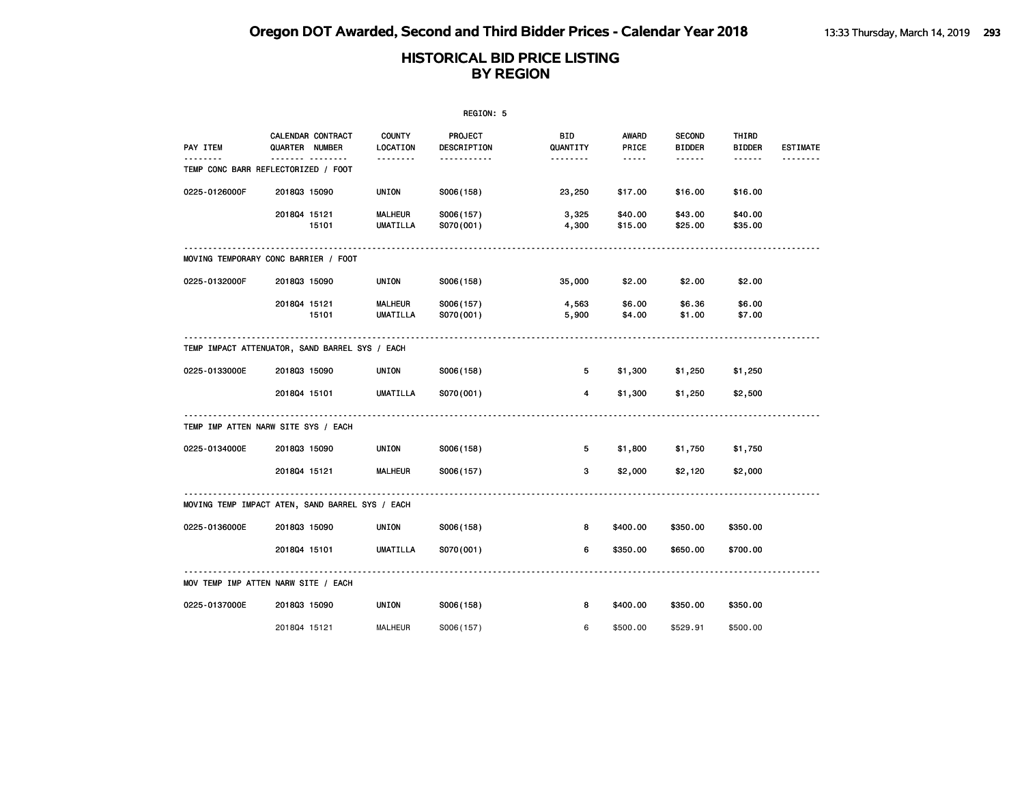|                                                 |                |                   |                                   | REGION: 5                     |                 |                    |                                |                        |                 |
|-------------------------------------------------|----------------|-------------------|-----------------------------------|-------------------------------|-----------------|--------------------|--------------------------------|------------------------|-----------------|
| PAY ITEM                                        | QUARTER NUMBER | CALENDAR CONTRACT | <b>COUNTY</b><br>LOCATION         | <b>PROJECT</b><br>DESCRIPTION | BID<br>QUANTITY | AWARD<br>PRICE     | <b>SECOND</b><br><b>BIDDER</b> | THIRD<br><b>BIDDER</b> | <b>ESTIMATE</b> |
| TEMP CONC BARR REFLECTORIZED / FOOT             |                | <u>.</u>          | .                                 | .                             | <u>.</u>        | $\cdots \cdots$    | $- - - - - -$                  | ------                 | --------        |
| 0225-0126000F                                   | 201803 15090   |                   | UNION                             | S006(158)                     | 23,250          | \$17.00            | \$16.00                        | \$16.00                |                 |
|                                                 | 201804 15121   | 15101             | <b>MALHEUR</b><br>UMATILLA        | S006(157)<br>S070(001)        | 3,325<br>4,300  | \$40.00<br>\$15.00 | \$43.00<br>\$25.00             | \$40.00<br>\$35.00     |                 |
| MOVING TEMPORARY CONC BARRIER / FOOT            |                |                   |                                   |                               |                 |                    |                                |                        |                 |
| 0225-0132000F                                   | 201803 15090   |                   | UNION                             | S006(158)                     | 35,000          | \$2.00             | \$2.00                         | \$2.00                 |                 |
|                                                 | 201804 15121   | 15101             | <b>MALHEUR</b><br><b>UMATILLA</b> | S006(157)<br>S070(001)        | 4,563<br>5,900  | \$6.00<br>\$4.00   | \$6.36<br>\$1.00               | \$6.00<br>\$7.00       |                 |
| TEMP IMPACT ATTENUATOR, SAND BARREL SYS / EACH  |                |                   |                                   |                               |                 |                    |                                |                        |                 |
| 0225-0133000E                                   | 201803 15090   |                   | UNION                             | S006(158)                     | 5               | \$1,300            | \$1,250                        | \$1,250                |                 |
|                                                 | 201804 15101   |                   | <b>UMATILLA</b>                   | S070(001)                     | $\overline{4}$  | \$1,300            | \$1,250                        | \$2,500                |                 |
| TEMP IMP ATTEN NARW SITE SYS / EACH             |                |                   |                                   |                               |                 |                    |                                |                        |                 |
| 0225-0134000E                                   | 201803 15090   |                   | <b>UNION</b>                      | S006(158)                     | 5               | \$1,800            | \$1,750                        | \$1,750                |                 |
|                                                 | 201804 15121   |                   | <b>MALHEUR</b>                    | S006(157)                     | 3               | \$2,000            | \$2,120                        | \$2,000                |                 |
| MOVING TEMP IMPACT ATEN, SAND BARREL SYS / EACH |                |                   |                                   |                               |                 |                    |                                |                        |                 |
| 0225-0136000E                                   | 201803 15090   |                   | UNION                             | S006(158)                     | 8               | \$400.00           | \$350.00                       | \$350.00               |                 |
|                                                 | 201804 15101   |                   | UMATILLA                          | S070(001)                     | 6               | \$350.00           | \$650.00                       | \$700.00               |                 |
| MOV TEMP IMP ATTEN NARW SITE / EACH             |                |                   |                                   |                               |                 |                    |                                |                        |                 |
| 0225-0137000E                                   | 201803 15090   |                   | UNION                             | S006(158)                     | 8               | \$400.00           | \$350.00                       | \$350.00               |                 |
|                                                 | 201804 15121   |                   | <b>MALHEUR</b>                    | S006(157)                     | 6               | \$500.00           | \$529.91                       | \$500.00               |                 |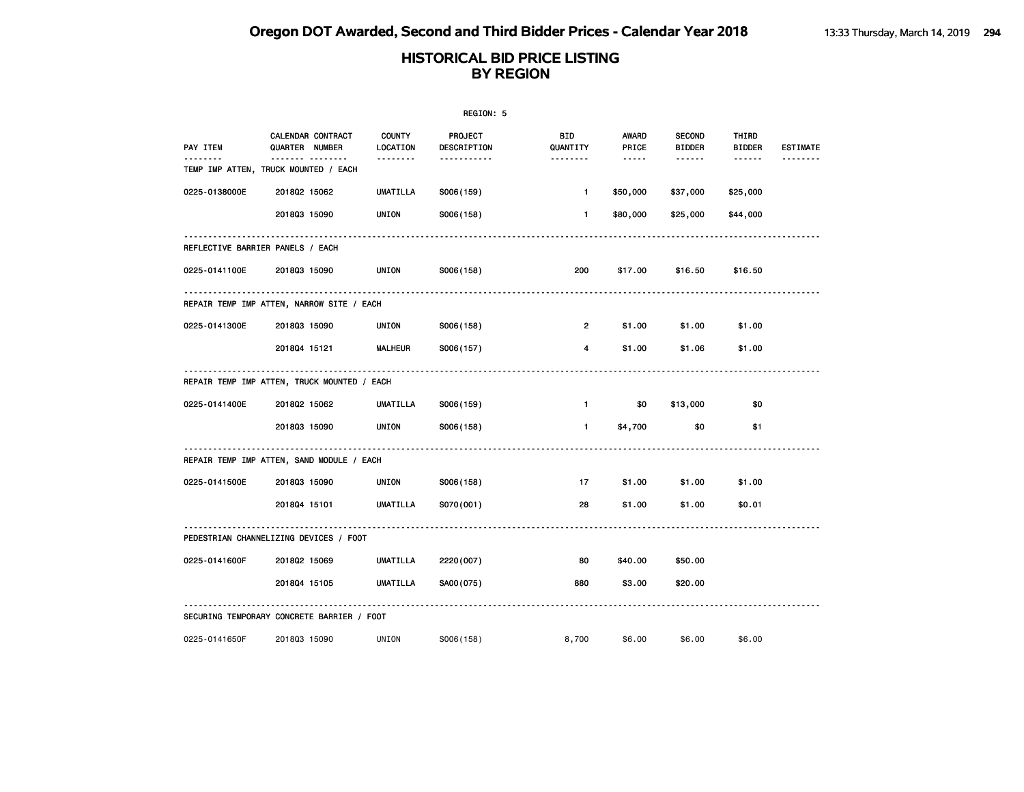| REGION: 5     |                                                  |                           |                        |                 |                                                                                                               |                                |                        |                 |  |  |
|---------------|--------------------------------------------------|---------------------------|------------------------|-----------------|---------------------------------------------------------------------------------------------------------------|--------------------------------|------------------------|-----------------|--|--|
| PAY ITEM      | CALENDAR CONTRACT<br><b>QUARTER NUMBER</b>       | <b>COUNTY</b><br>LOCATION | PROJECT<br>DESCRIPTION | BID<br>QUANTITY | AWARD<br>PRICE                                                                                                | <b>SECOND</b><br><b>BIDDER</b> | THIRD<br><b>BIDDER</b> | <b>ESTIMATE</b> |  |  |
|               | <u> </u><br>TEMP IMP ATTEN, TRUCK MOUNTED / EACH | .                         | .                      | <u>.</u>        | $\frac{1}{2} \frac{1}{2} \frac{1}{2} \frac{1}{2} \frac{1}{2} \frac{1}{2} \frac{1}{2} \frac{1}{2} \frac{1}{2}$ | ------                         | ------                 |                 |  |  |
| 0225-0138000E | 201802 15062                                     | UMATILLA                  | S006(159)              | $\mathbf{1}$    | \$50,000                                                                                                      | \$37,000                       | \$25,000               |                 |  |  |
|               | 201803 15090                                     | UNION                     | S006(158)              | 1.              | \$80,000                                                                                                      | \$25,000                       | \$44,000               |                 |  |  |
|               | REFLECTIVE BARRIER PANELS / EACH                 |                           |                        |                 |                                                                                                               |                                |                        |                 |  |  |
| 0225-0141100E | 201803 15090                                     | UNION                     | S006(158)              | 200             | \$17.00                                                                                                       | \$16.50                        | \$16.50                |                 |  |  |
|               | REPAIR TEMP IMP ATTEN, NARROW SITE / EACH        |                           |                        |                 |                                                                                                               |                                |                        |                 |  |  |
| 0225-0141300E | 201803 15090                                     | UNION                     | S006(158)              | $\overline{2}$  | \$1.00                                                                                                        | \$1.00                         | \$1.00                 |                 |  |  |
|               | 201804 15121                                     | <b>MALHEUR</b>            | S006(157)              | 4               | \$1.00                                                                                                        | \$1.06                         | \$1.00                 |                 |  |  |
|               | REPAIR TEMP IMP ATTEN, TRUCK MOUNTED / EACH      |                           |                        |                 |                                                                                                               |                                |                        |                 |  |  |
| 0225-0141400E | 201802 15062                                     | UMATILLA                  | S006(159)              | $\blacksquare$  | \$0                                                                                                           | \$13,000                       | \$0                    |                 |  |  |
|               | 201803 15090                                     | UNION                     | S006(158)              | $\mathbf{1}$    | \$4,700                                                                                                       | \$0                            | \$1                    |                 |  |  |
|               | REPAIR TEMP IMP ATTEN, SAND MODULE / EACH        |                           |                        |                 |                                                                                                               |                                |                        |                 |  |  |
| 0225-0141500E | 201803 15090                                     | UNION                     | S006(158)              | 17              | \$1.00                                                                                                        | \$1.00                         | \$1.00                 |                 |  |  |
|               | 201804 15101                                     | <b>UMATILLA</b>           | S070(001)              | 28              | \$1.00                                                                                                        | \$1.00                         | \$0.01                 |                 |  |  |
|               | PEDESTRIAN CHANNELIZING DEVICES / FOOT           |                           |                        |                 |                                                                                                               |                                |                        |                 |  |  |
| 0225-0141600F | 201802 15069                                     | UMATILLA                  | 2220 (007)             | 80              | \$40.00                                                                                                       | \$50.00                        |                        |                 |  |  |
|               | 201804 15105                                     | <b>UMATILLA</b>           | SA00(075)              | 880             | \$3.00                                                                                                        | \$20.00                        |                        |                 |  |  |
|               | SECURING TEMPORARY CONCRETE BARRIER / FOOT       |                           |                        |                 |                                                                                                               |                                |                        |                 |  |  |
| 0225-0141650F | 201803 15090                                     | UNION                     | S006(158)              | 8,700           | \$6.00                                                                                                        | \$6.00                         | \$6.00                 |                 |  |  |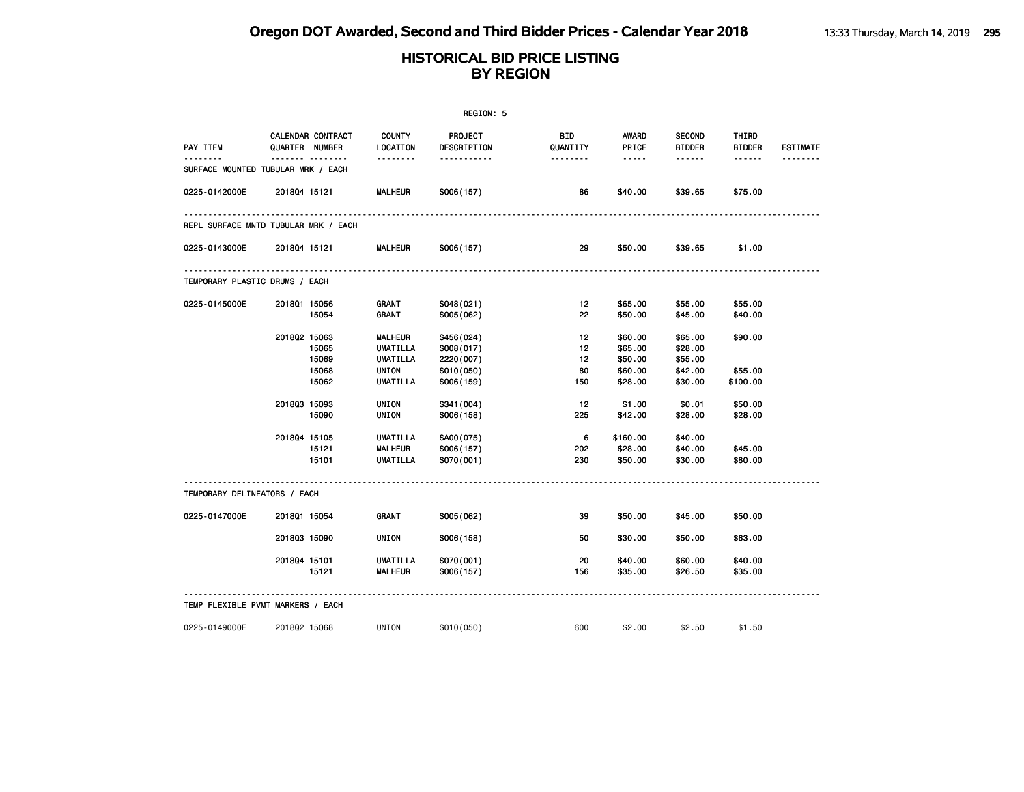|                                      |                                     |       |                           | REGION: 5              |                        |                |                                |                        |                 |
|--------------------------------------|-------------------------------------|-------|---------------------------|------------------------|------------------------|----------------|--------------------------------|------------------------|-----------------|
| PAY ITEM                             | CALENDAR CONTRACT<br>QUARTER NUMBER |       | <b>COUNTY</b><br>LOCATION | PROJECT<br>DESCRIPTION | <b>BID</b><br>QUANTITY | AWARD<br>PRICE | <b>SECOND</b><br><b>BIDDER</b> | THIRD<br><b>BIDDER</b> | <b>ESTIMATE</b> |
| SURFACE MOUNTED TUBULAR MRK / EACH   | .                                   |       | <u>.</u>                  | <u>.</u>               | <u> - - - - - - -</u>  | $- - - - -$    | ------                         | $- - - - - -$          |                 |
| 0225-0142000E                        | 201804 15121                        |       | <b>MALHEUR</b>            | S006(157)              | 86                     | \$40.00        | \$39.65                        | \$75.00                |                 |
| REPL SURFACE MNTD TUBULAR MRK / EACH |                                     |       |                           |                        |                        |                |                                |                        |                 |
| 0225-0143000E                        | 201804 15121                        |       | <b>MALHEUR</b>            | S006(157)              | 29                     | \$50.00        | \$39.65                        | \$1.00                 |                 |
| TEMPORARY PLASTIC DRUMS / EACH       |                                     |       |                           |                        |                        |                |                                |                        |                 |
| 0225-0145000E                        | 201801 15056                        |       | GRANT                     | S048(021)              | 12                     | \$65.00        | \$55.00                        | \$55.00                |                 |
|                                      |                                     | 15054 | <b>GRANT</b>              | S005(062)              | 22                     | \$50.00        | \$45.00                        | \$40.00                |                 |
|                                      | 201802 15063                        |       | <b>MALHEUR</b>            | S456(024)              | 12                     | \$60.00        | \$65.00                        | \$90.00                |                 |
|                                      |                                     | 15065 | <b>UMATILLA</b>           | S008(017)              | 12                     | \$65.00        | \$28.00                        |                        |                 |
|                                      |                                     | 15069 | <b>UMATILLA</b>           | 2220 (007)             | 12                     | \$50.00        | \$55.00                        |                        |                 |
|                                      |                                     | 15068 | UNION                     | S010(050)              | 80                     | \$60.00        | \$42.00                        | \$55.00                |                 |
|                                      |                                     | 15062 | <b>UMATILLA</b>           | S006(159)              | 150                    | \$28.00        | \$30.00                        | \$100.00               |                 |
|                                      | 201803 15093                        |       | UNION                     | S341 (004)             | 12                     | \$1.00         | \$0.01                         | \$50.00                |                 |
|                                      |                                     | 15090 | UNION                     | S006(158)              | 225                    | \$42.00        | \$28.00                        | \$28.00                |                 |
|                                      | 201804 15105                        |       | <b>UMATILLA</b>           | SA00(075)              | 6                      | \$160.00       | \$40.00                        |                        |                 |
|                                      |                                     | 15121 | <b>MALHEUR</b>            | S006(157)              | 202                    | \$28.00        | \$40.00                        | \$45.00                |                 |
|                                      |                                     | 15101 | <b>UMATILLA</b>           | S070(001)              | 230                    | \$50.00        | \$30.00                        | \$80.00                |                 |
| TEMPORARY DELINEATORS / EACH         |                                     |       |                           |                        |                        |                |                                |                        |                 |
| 0225-0147000E                        | 201801 15054                        |       | GRANT                     | S005(062)              | 39                     | \$50.00        | \$45.00                        | \$50.00                |                 |
|                                      | 201803 15090                        |       | UNION                     | S006(158)              | 50                     | \$30.00        | \$50.00                        | \$63.00                |                 |
|                                      | 201804 15101                        |       | <b>UMATILLA</b>           | S070(001)              | 20                     | \$40.00        | \$60.00                        | \$40.00                |                 |
|                                      |                                     | 15121 | <b>MALHEUR</b>            | S006(157)              | 156                    | \$35.00        | \$26.50                        | \$35.00                |                 |
| TEMP FLEXIBLE PVMT MARKERS / EACH    |                                     |       |                           |                        |                        |                |                                |                        |                 |
| 0225-0149000E                        | 201802 15068                        |       | UNION                     | SO10(050)              | 600                    | \$2.00         | \$2.50                         | \$1.50                 |                 |
|                                      |                                     |       |                           |                        |                        |                |                                |                        |                 |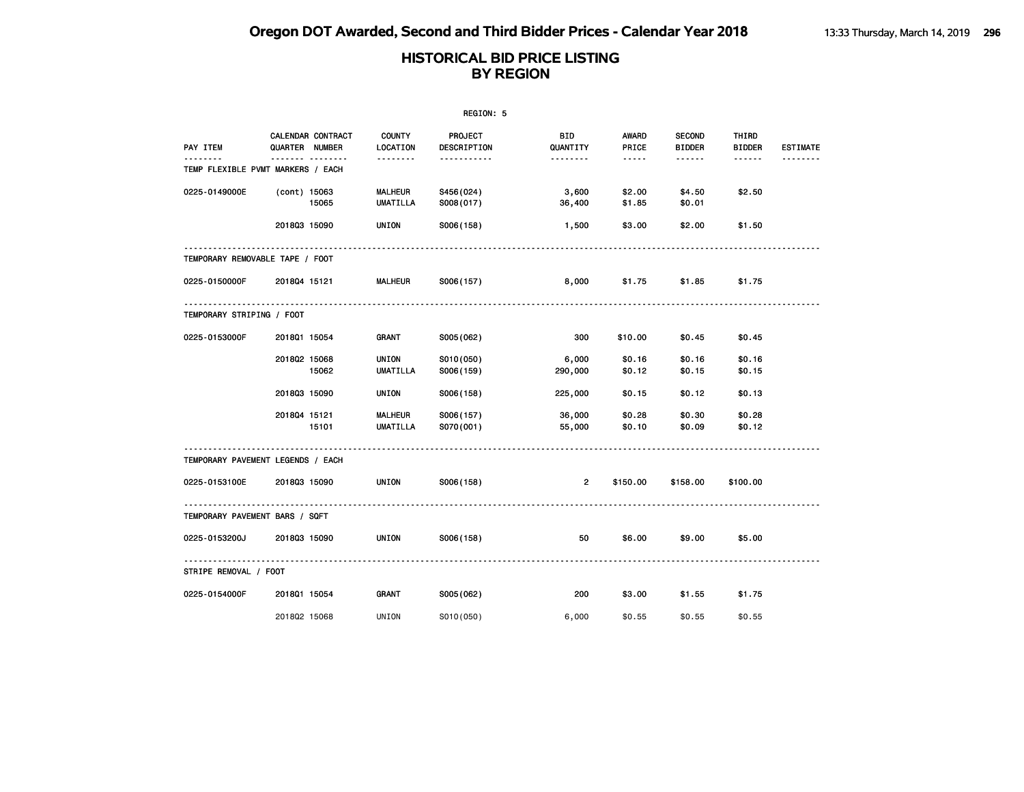| REGION: 5                         |                |                   |                                   |                               |                  |                        |                                |                        |                 |  |
|-----------------------------------|----------------|-------------------|-----------------------------------|-------------------------------|------------------|------------------------|--------------------------------|------------------------|-----------------|--|
| PAY ITEM                          | QUARTER NUMBER | CALENDAR CONTRACT | <b>COUNTY</b><br>LOCATION         | <b>PROJECT</b><br>DESCRIPTION | BID<br>QUANTITY  | AWARD<br>PRICE         | <b>SECOND</b><br><b>BIDDER</b> | THIRD<br><b>BIDDER</b> | <b>ESTIMATE</b> |  |
| TEMP FLEXIBLE PVMT MARKERS / EACH |                |                   | <u>.</u>                          | -----------                   | --------         | $\cdots \cdots \cdots$ | ------                         | ------                 |                 |  |
| 0225-0149000E                     | (cont) 15063   | 15065             | <b>MALHEUR</b><br><b>UMATILLA</b> | S456(024)<br>S008(017)        | 3,600<br>36,400  | \$2.00<br>\$1.85       | \$4.50<br>\$0.01               | \$2.50                 |                 |  |
|                                   | 201803 15090   |                   | UNION                             | S006(158)                     | 1,500            | \$3.00                 | \$2.00                         | \$1.50                 |                 |  |
| TEMPORARY REMOVABLE TAPE / FOOT   |                |                   |                                   |                               |                  |                        |                                |                        |                 |  |
| 0225-0150000F                     | 201804 15121   |                   | <b>MALHEUR</b>                    | S006(157)                     | 8,000            | \$1.75                 | \$1.85                         | \$1.75                 |                 |  |
| TEMPORARY STRIPING / FOOT         |                |                   |                                   |                               |                  |                        |                                |                        |                 |  |
| 0225-0153000F                     | 201801 15054   |                   | GRANT                             | S005(062)                     | 300              | \$10.00                | \$0.45                         | \$0.45                 |                 |  |
|                                   | 201802 15068   | 15062             | UNION<br>UMATILLA                 | S010(050)<br>S006(159)        | 6,000<br>290,000 | \$0.16<br>\$0.12       | \$0.16<br>\$0.15               | \$0.16<br>\$0.15       |                 |  |
|                                   | 201803 15090   |                   | UNION                             | S006(158)                     | 225,000          | \$0.15                 | \$0.12                         | \$0.13                 |                 |  |
|                                   | 201804 15121   | 15101             | <b>MALHEUR</b><br><b>UMATILLA</b> | S006(157)<br>S070(001)        | 36,000<br>55,000 | \$0.28<br>\$0.10       | \$0.30<br>\$0.09               | \$0.28<br>\$0.12       |                 |  |
| TEMPORARY PAVEMENT LEGENDS / EACH |                |                   |                                   |                               |                  |                        |                                |                        |                 |  |
| 0225-0153100E                     | 201803 15090   |                   | <b>UNION</b>                      | S006(158)                     | $\overline{2}$   | \$150.00               | \$158.00                       | \$100.00               |                 |  |
| TEMPORARY PAVEMENT BARS / SQFT    |                |                   |                                   |                               |                  |                        |                                |                        |                 |  |
| 0225-0153200J                     | 201803 15090   |                   | UNION                             | S006(158)                     | 50               | \$6.00                 | \$9.00                         | \$5.00                 |                 |  |
| STRIPE REMOVAL / FOOT             |                |                   |                                   |                               |                  |                        |                                |                        |                 |  |
| 0225-0154000F                     | 201801 15054   |                   | GRANT                             | S005(062)                     | 200              | \$3.00                 | \$1.55                         | \$1.75                 |                 |  |
|                                   | 201802 15068   |                   | UNION                             | S010(050)                     | 6,000            | \$0.55                 | \$0.55                         | \$0.55                 |                 |  |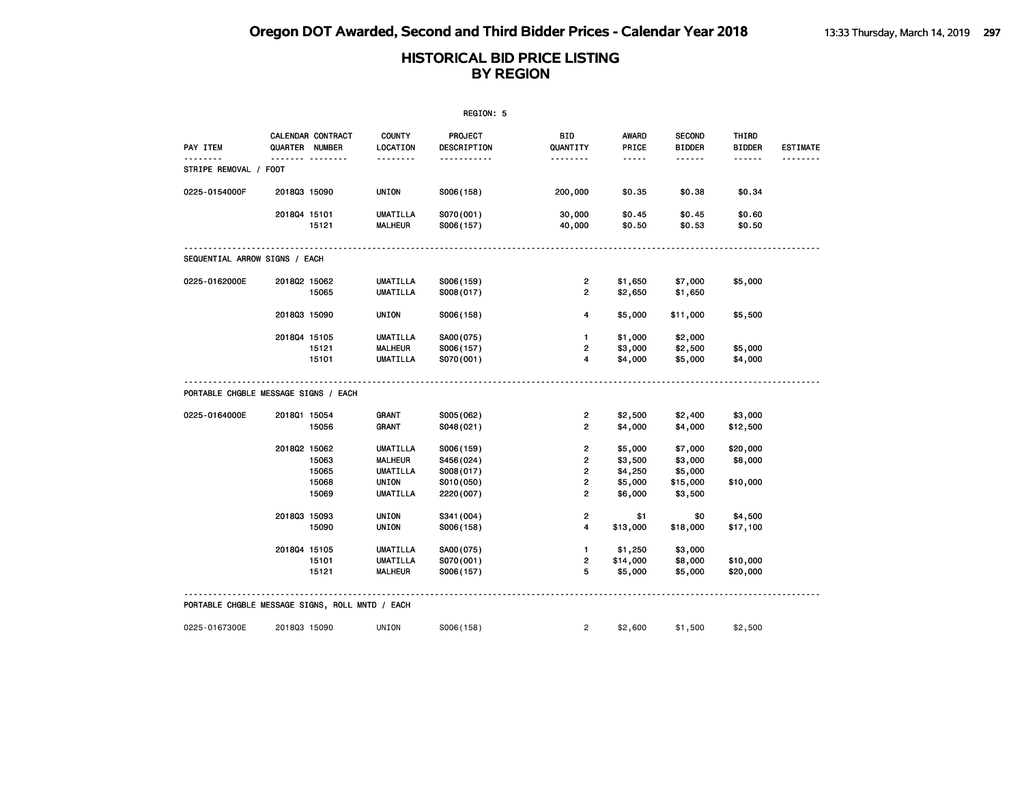|                                                 |              |                                     |                                                      | REGION: 5                           |                                         |                                |                                |                        |                 |
|-------------------------------------------------|--------------|-------------------------------------|------------------------------------------------------|-------------------------------------|-----------------------------------------|--------------------------------|--------------------------------|------------------------|-----------------|
| <b>PAY ITEM</b>                                 |              | CALENDAR CONTRACT<br>QUARTER NUMBER | <b>COUNTY</b><br>LOCATION                            | <b>PROJECT</b><br>DESCRIPTION       | <b>BID</b><br>QUANTITY                  | AWARD<br>PRICE                 | <b>SECOND</b><br><b>BIDDER</b> | THIRD<br><b>BIDDER</b> | <b>ESTIMATE</b> |
| STRIPE REMOVAL / FOOT                           |              | <b>.</b>                            | <u>.</u>                                             | .                                   | <u>.</u>                                | -----                          | ------                         | ------                 |                 |
| 0225-0154000F                                   | 201803 15090 |                                     | UNION                                                | S006(158)                           | 200,000                                 | \$0.35                         | \$0.38                         | \$0.34                 |                 |
|                                                 | 201804 15101 | 15121                               | <b>UMATILLA</b><br><b>MALHEUR</b>                    | S070(001)<br>S006(157)              | 30,000<br>40,000                        | \$0.45<br>\$0.50               | \$0.45<br>\$0.53               | \$0.60<br>\$0.50       |                 |
| SEQUENTIAL ARROW SIGNS / EACH                   |              |                                     |                                                      |                                     |                                         |                                |                                |                        |                 |
| 0225-0162000E                                   | 201802 15062 | 15065                               | <b>UMATILLA</b><br><b>UMATILLA</b>                   | S006(159)<br>S008(017)              | 2<br>$\overline{2}$                     | \$1,650<br>\$2,650             | \$7,000<br>\$1,650             | \$5,000                |                 |
|                                                 | 201803 15090 |                                     | UNION                                                | S006(158)                           | 4                                       | \$5,000                        | \$11,000                       | \$5,500                |                 |
|                                                 | 201804 15105 | 15121<br>15101                      | <b>UMATILLA</b><br><b>MALHEUR</b><br><b>UMATILLA</b> | SA00(075)<br>S006(157)<br>S070(001) | $\mathbf{1}$<br>$\mathbf{2}$<br>4       | \$1,000<br>\$3,000<br>\$4,000  | \$2,000<br>\$2,500<br>\$5,000  | \$5,000<br>\$4,000     |                 |
| PORTABLE CHGBLE MESSAGE SIGNS / EACH            |              |                                     |                                                      |                                     |                                         |                                |                                |                        |                 |
| 0225-0164000E                                   | 2018Q1 15054 | 15056                               | GRANT<br>GRANT                                       | S005(062)<br>S048(021)              | 2<br>$\overline{2}$                     | \$2,500<br>\$4,000             | \$2,400<br>\$4,000             | \$3,000<br>\$12,500    |                 |
|                                                 | 201802 15062 | 15063<br>15065                      | UMATILLA<br><b>MALHEUR</b><br><b>UMATILLA</b>        | S006(159)<br>S456(024)<br>S008(017) | 2<br>$\overline{2}$<br>$\mathbf{2}$     | \$5,000<br>\$3,500<br>\$4,250  | \$7,000<br>\$3,000<br>\$5,000  | \$20,000<br>\$8,000    |                 |
|                                                 |              | 15068<br>15069                      | UNION<br><b>UMATILLA</b>                             | S010(050)<br>2220 (007)             | $\overline{\mathbf{c}}$<br>$\mathbf{2}$ | \$5,000<br>\$6,000             | \$15,000<br>\$3,500            | \$10,000               |                 |
|                                                 | 201803 15093 | 15090                               | UNION<br>UNION                                       | S341 (004)<br>S006(158)             | $\overline{\mathbf{c}}$<br>4            | \$1<br>\$13,000                | \$0<br>\$18,000                | \$4,500<br>\$17,100    |                 |
|                                                 | 201804 15105 | 15101<br>15121                      | <b>UMATILLA</b><br><b>UMATILLA</b><br><b>MALHEUR</b> | SA00(075)<br>S070(001)<br>S006(157) | $\mathbf{1}$<br>$\mathbf{2}$<br>5       | \$1,250<br>\$14,000<br>\$5,000 | \$3,000<br>\$8,000<br>\$5,000  | \$10,000<br>\$20,000   |                 |
| PORTABLE CHGBLE MESSAGE SIGNS, ROLL MNTD / EACH |              |                                     |                                                      |                                     |                                         |                                |                                |                        |                 |
| 0225-0167300E                                   | 201803 15090 |                                     | UNION                                                | S006(158)                           | $\overline{2}$                          | \$2,600                        | \$1,500                        | \$2,500                |                 |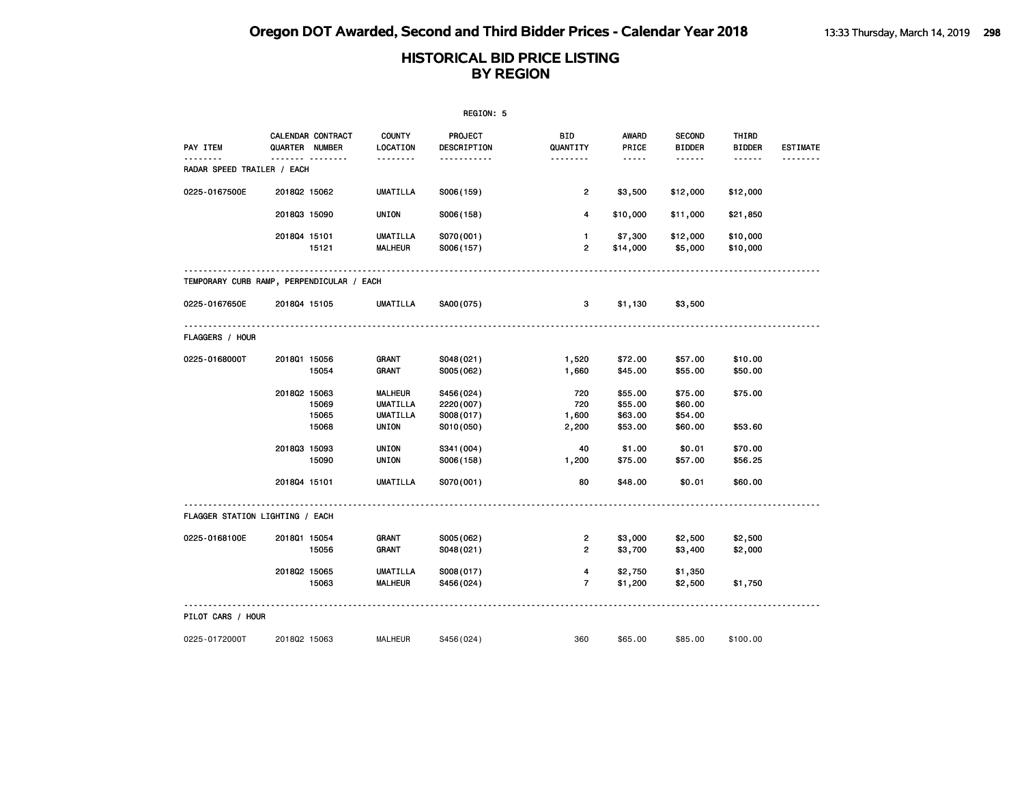| REGION: 5                                 |               |                                     |                                                      |                                      |                                  |                                                                                                               |                                |                        |                 |  |
|-------------------------------------------|---------------|-------------------------------------|------------------------------------------------------|--------------------------------------|----------------------------------|---------------------------------------------------------------------------------------------------------------|--------------------------------|------------------------|-----------------|--|
| PAY ITEM                                  |               | CALENDAR CONTRACT<br>QUARTER NUMBER | <b>COUNTY</b><br><b>LOCATION</b>                     | PROJECT<br>DESCRIPTION               | BID<br>QUANTITY                  | <b>AWARD</b><br>PRICE                                                                                         | <b>SECOND</b><br><b>BIDDER</b> | THIRD<br><b>BIDDER</b> | <b>ESTIMATE</b> |  |
| <u>.</u><br>RADAR SPEED TRAILER / EACH    | $\frac{1}{2}$ | <u> </u>                            | <u> - - - - - - -</u>                                | -----------                          | <u> - - - - - - -</u>            | $\frac{1}{2} \frac{1}{2} \frac{1}{2} \frac{1}{2} \frac{1}{2} \frac{1}{2} \frac{1}{2} \frac{1}{2} \frac{1}{2}$ | ------                         | $- - - - - -$          | .               |  |
| 0225-0167500E                             | 201802 15062  |                                     | UMATILLA                                             | S006(159)                            | 2                                | \$3,500                                                                                                       | \$12,000                       | \$12,000               |                 |  |
|                                           | 201803 15090  |                                     | UNION                                                | S006(158)                            | 4                                | \$10,000                                                                                                      | \$11,000                       | \$21,850               |                 |  |
|                                           | 201804 15101  | 15121                               | <b>UMATILLA</b><br><b>MALHEUR</b>                    | S070(001)<br>S006(157)               | $\mathbf{1}$<br>$\overline{2}$   | \$7,300<br>\$14,000                                                                                           | \$12,000<br>\$5,000            | \$10,000<br>\$10,000   |                 |  |
| TEMPORARY CURB RAMP, PERPENDICULAR / EACH |               |                                     |                                                      |                                      |                                  |                                                                                                               |                                |                        |                 |  |
| 0225-0167650E                             | 201804 15105  |                                     | UMATILLA                                             | SA00(075)                            | 3                                | \$1,130                                                                                                       | \$3,500                        |                        |                 |  |
| FLAGGERS / HOUR                           |               |                                     |                                                      |                                      |                                  |                                                                                                               |                                |                        |                 |  |
| 0225-0168000T                             | 2018Q1 15056  | 15054                               | GRANT<br>GRANT                                       | S048(021)<br>S005(062)               | 1,520<br>1,660                   | \$72.00<br>\$45.00                                                                                            | \$57.00<br>\$55.00             | \$10.00<br>\$50.00     |                 |  |
|                                           | 201802 15063  | 15069<br>15065                      | <b>MALHEUR</b><br><b>UMATILLA</b><br><b>UMATILLA</b> | S456(024)<br>2220 (007)<br>S008(017) | 720<br>720<br>1,600              | \$55.00<br>\$55.00<br>\$63.00                                                                                 | \$75.00<br>\$60.00<br>\$54.00  | \$75.00                |                 |  |
|                                           |               | 15068                               | UNION                                                | S010(050)                            | 2,200                            | \$53.00                                                                                                       | \$60.00                        | \$53.60                |                 |  |
|                                           | 201803 15093  | 15090                               | UNION<br>UNION                                       | S341 (004)<br>S006(158)              | 40<br>1,200                      | \$1.00<br>\$75.00                                                                                             | \$0.01<br>\$57.00              | \$70.00<br>\$56.25     |                 |  |
|                                           | 201804 15101  |                                     | <b>UMATILLA</b>                                      | S070(001)                            | 80                               | \$48.00                                                                                                       | \$0.01                         | \$60.00                |                 |  |
| FLAGGER STATION LIGHTING / EACH           |               |                                     |                                                      |                                      |                                  |                                                                                                               |                                |                        |                 |  |
| 0225-0168100E                             | 201801 15054  | 15056                               | GRANT<br>GRANT                                       | S005(062)<br>S048(021)               | 2<br>$\overline{2}$              | \$3,000<br>\$3,700                                                                                            | \$2,500<br>\$3,400             | \$2,500<br>\$2,000     |                 |  |
|                                           | 201802 15065  | 15063                               | <b>UMATILLA</b><br><b>MALHEUR</b>                    | S008(017)<br>S456(024)               | $\overline{4}$<br>$\overline{7}$ | \$2,750<br>\$1,200                                                                                            | \$1,350<br>\$2,500             | \$1,750                |                 |  |
| PILOT CARS / HOUR                         |               |                                     |                                                      |                                      |                                  |                                                                                                               |                                |                        |                 |  |
| 0225-0172000T                             | 201802 15063  |                                     | <b>MALHEUR</b>                                       | S456(024)                            | 360                              | \$65.00                                                                                                       | \$85.00                        | \$100.00               |                 |  |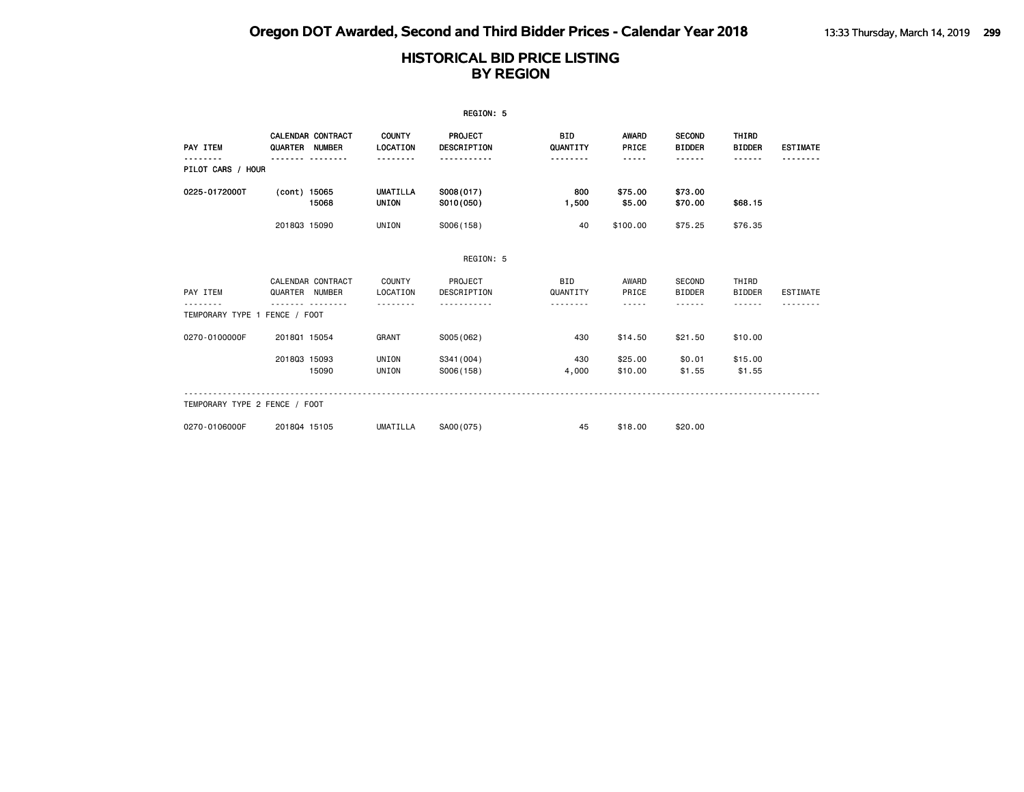| REGION: 5                                 |                |                          |                                 |                                           |                             |                                      |                                        |                                  |                 |  |
|-------------------------------------------|----------------|--------------------------|---------------------------------|-------------------------------------------|-----------------------------|--------------------------------------|----------------------------------------|----------------------------------|-----------------|--|
| PAY ITEM<br>.                             | QUARTER NUMBER | <b>CALENDAR CONTRACT</b> | <b>COUNTY</b><br>LOCATION<br>.  | <b>PROJECT</b><br><b>DESCRIPTION</b><br>. | <b>BID</b><br>QUANTITY<br>. | <b>AWARD</b><br>PRICE<br>$- - - - -$ | <b>SECOND</b><br><b>BIDDER</b><br>.    | THIRD<br><b>BIDDER</b><br>------ | <b>ESTIMATE</b> |  |
| PILOT CARS / HOUR                         |                |                          |                                 |                                           |                             |                                      |                                        |                                  |                 |  |
| 0225-0172000T                             | (cont) 15065   | 15068                    | <b>UMATILLA</b><br><b>UNION</b> | S008(017)<br>S010(050)                    | 800<br>1,500                | \$75.00<br>\$5.00                    | \$73.00<br>\$70.00                     | \$68.15                          |                 |  |
|                                           | 201803 15090   |                          | UNION                           | S006(158)                                 | 40                          | \$100.00                             | \$75.25                                | \$76.35                          |                 |  |
|                                           |                |                          |                                 | REGION: 5                                 |                             |                                      |                                        |                                  |                 |  |
| PAY ITEM<br>TEMPORARY TYPE 1 FENCE / FOOT | QUARTER NUMBER | CALENDAR CONTRACT        | COUNTY<br>LOCATION              | PROJECT<br>DESCRIPTION                    | <b>BID</b><br>QUANTITY<br>. | AWARD<br>PRICE<br>$- - - - -$        | SECOND<br><b>BIDDER</b><br>- - - - - - | THIRD<br><b>BIDDER</b><br>.      | <b>ESTIMATE</b> |  |
| 0270-0100000F                             | 201801 15054   |                          | GRANT                           | S005(062)                                 | 430                         | \$14.50                              | \$21.50                                | \$10.00                          |                 |  |
|                                           | 201803 15093   | 15090                    | UNION<br>UNION                  | S341 (004)<br>S006(158)                   | 430<br>4,000                | \$25.00<br>\$10.00                   | \$0.01<br>\$1.55                       | \$15.00<br>\$1.55                |                 |  |
| TEMPORARY TYPE 2 FENCE / FOOT             |                |                          |                                 |                                           |                             |                                      |                                        |                                  |                 |  |
| 0270-0106000F                             | 201804 15105   |                          | UMATILLA                        | SA00(075)                                 | 45                          | \$18,00                              | \$20.00                                |                                  |                 |  |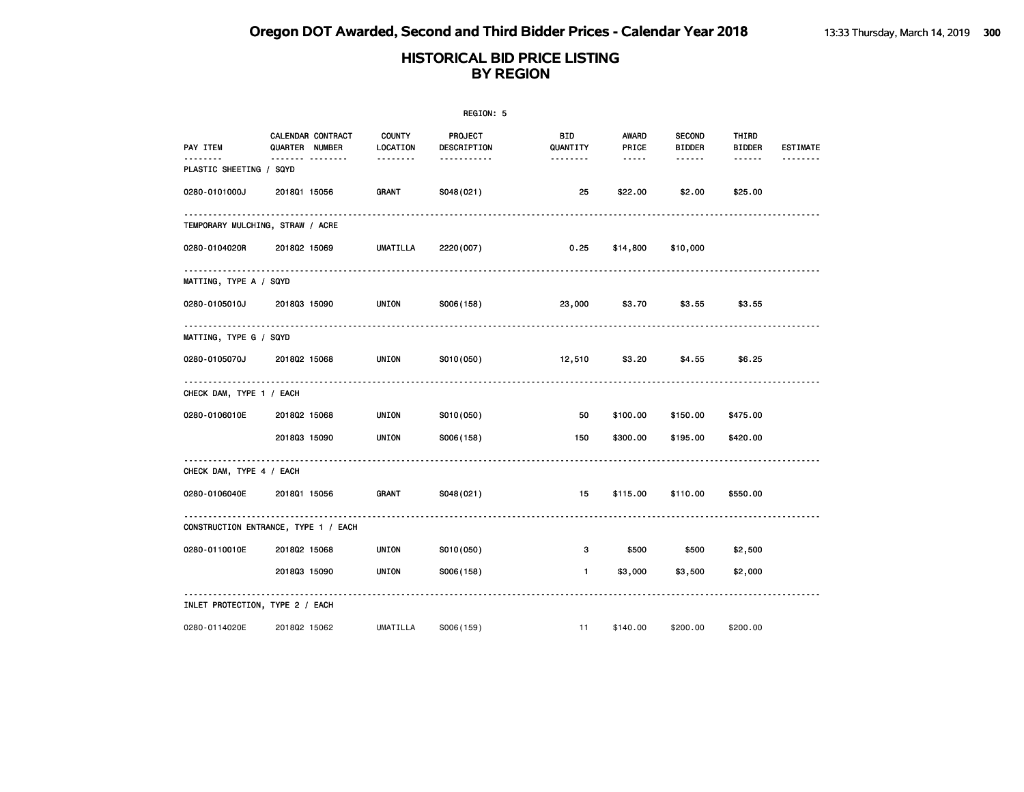| REGION: 5                         |                                      |                    |                        |                        |                 |                                |                        |                 |  |  |
|-----------------------------------|--------------------------------------|--------------------|------------------------|------------------------|-----------------|--------------------------------|------------------------|-----------------|--|--|
| PAY ITEM                          | CALENDAR CONTRACT<br>QUARTER NUMBER  | COUNTY<br>LOCATION | PROJECT<br>DESCRIPTION | <b>BID</b><br>QUANTITY | AWARD<br>PRICE  | <b>SECOND</b><br><b>BIDDER</b> | THIRD<br><b>BIDDER</b> | <b>ESTIMATE</b> |  |  |
| ------<br>PLASTIC SHEETING / SQYD | <u></u>                              | <u>.</u>           | .                      | --------               | $\cdots \cdots$ | $- - - - - -$                  | ------                 |                 |  |  |
| 0280-0101000J                     | 2018Q1 15056                         | GRANT              | S048(021)              | 25                     | \$22.00         | \$2.00                         | \$25.00                |                 |  |  |
|                                   | TEMPORARY MULCHING, STRAW / ACRE     |                    |                        |                        |                 |                                |                        |                 |  |  |
| 0280-0104020R                     | 201802 15069                         | UMATILLA           | 2220 (007)             | 0.25                   | \$14,800        | \$10,000                       |                        |                 |  |  |
| MATTING, TYPE A / SQYD            |                                      |                    |                        |                        |                 |                                |                        |                 |  |  |
| 0280-0105010J                     | 201803 15090                         | <b>UNION</b>       | S006(158)              | 23,000                 | \$3.70          | \$3.55                         | \$3.55                 |                 |  |  |
| MATTING, TYPE G / SQYD            |                                      |                    |                        |                        |                 |                                |                        |                 |  |  |
| 0280-0105070J                     | 201802 15068                         | UNION              | S010(050)              | 12,510                 | \$3.20          | \$4.55                         | \$6.25                 |                 |  |  |
| CHECK DAM, TYPE 1 / EACH          |                                      |                    |                        |                        |                 |                                |                        |                 |  |  |
| 0280-0106010E                     | 201802 15068                         | <b>UNION</b>       | S010(050)              | 50                     | \$100.00        | \$150.00                       | \$475.00               |                 |  |  |
|                                   | 201803 15090                         | <b>UNION</b>       | S006(158)              | 150                    | \$300.00        | \$195.00                       | \$420.00               |                 |  |  |
| CHECK DAM, TYPE 4 / EACH          |                                      |                    |                        |                        |                 |                                |                        |                 |  |  |
| 0280-0106040E                     | 201801 15056                         | <b>GRANT</b>       | S048(021)              | 15                     | \$115.00        | \$110.00                       | \$550.00               |                 |  |  |
|                                   | CONSTRUCTION ENTRANCE, TYPE 1 / EACH |                    |                        |                        |                 |                                |                        |                 |  |  |
| 0280-0110010E                     | 201802 15068                         | UNION              | S010(050)              | 3                      | \$500           | \$500                          | \$2,500                |                 |  |  |
|                                   | 201803 15090                         | UNION              | S006(158)              | $\mathbf{1}$           | \$3,000         | \$3,500                        | \$2,000                |                 |  |  |
|                                   | INLET PROTECTION, TYPE 2 / EACH      |                    |                        |                        |                 |                                |                        |                 |  |  |
| 0280-0114020E                     | 201802 15062                         | UMATILLA           | S006(159)              | 11                     | \$140.00        | \$200.00                       | \$200.00               |                 |  |  |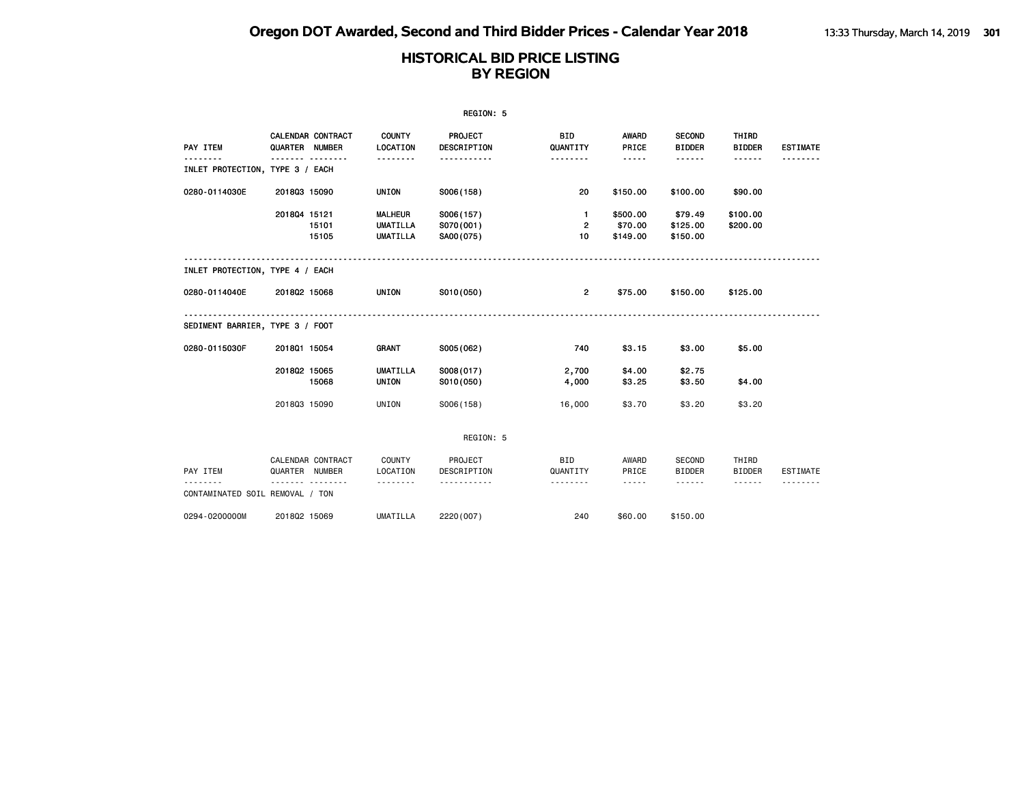|                                 |                |                   |                                                      | REGION: 5                           |                                      |                                                                                                                                                                                 |                                 |                                                                                                                                                                                                                                                                                                                                                                                                                                                                            |                 |
|---------------------------------|----------------|-------------------|------------------------------------------------------|-------------------------------------|--------------------------------------|---------------------------------------------------------------------------------------------------------------------------------------------------------------------------------|---------------------------------|----------------------------------------------------------------------------------------------------------------------------------------------------------------------------------------------------------------------------------------------------------------------------------------------------------------------------------------------------------------------------------------------------------------------------------------------------------------------------|-----------------|
| PAY ITEM                        | QUARTER NUMBER | CALENDAR CONTRACT | <b>COUNTY</b><br><b>LOCATION</b>                     | PROJECT<br>DESCRIPTION              | <b>BID</b><br>QUANTITY               | AWARD<br>PRICE                                                                                                                                                                  | <b>SECOND</b><br><b>BIDDER</b>  | THIRD<br><b>BIDDER</b>                                                                                                                                                                                                                                                                                                                                                                                                                                                     | <b>ESTIMATE</b> |
| INLET PROTECTION, TYPE 3 / EACH |                | <u>.</u>          | <u>.</u>                                             | .                                   | <u>.</u>                             | $- - - - -$                                                                                                                                                                     | ------                          | ------                                                                                                                                                                                                                                                                                                                                                                                                                                                                     |                 |
| 0280-0114030E                   | 201803 15090   |                   | UNION                                                | S006(158)                           | 20                                   | \$150.00                                                                                                                                                                        | \$100.00                        | \$90.00                                                                                                                                                                                                                                                                                                                                                                                                                                                                    |                 |
|                                 | 201804 15121   | 15101<br>15105    | <b>MALHEUR</b><br><b>UMATILLA</b><br><b>UMATILLA</b> | S006(157)<br>S070(001)<br>SA00(075) | $\mathbf{1}$<br>$\overline{2}$<br>10 | \$500.00<br>\$70.00<br>\$149.00                                                                                                                                                 | \$79.49<br>\$125.00<br>\$150.00 | \$100.00<br>\$200.00                                                                                                                                                                                                                                                                                                                                                                                                                                                       |                 |
| INLET PROTECTION, TYPE 4 / EACH |                |                   |                                                      |                                     |                                      |                                                                                                                                                                                 |                                 |                                                                                                                                                                                                                                                                                                                                                                                                                                                                            |                 |
| 0280-0114040E                   | 201802 15068   |                   | UNION                                                | S010(050)                           | $\overline{2}$                       | \$75.00                                                                                                                                                                         | \$150.00                        | \$125.00                                                                                                                                                                                                                                                                                                                                                                                                                                                                   |                 |
| SEDIMENT BARRIER, TYPE 3 / FOOT |                |                   |                                                      |                                     |                                      |                                                                                                                                                                                 |                                 |                                                                                                                                                                                                                                                                                                                                                                                                                                                                            |                 |
| 0280-0115030F                   | 201801 15054   |                   | <b>GRANT</b>                                         | S005(062)                           | 740                                  | \$3.15                                                                                                                                                                          | \$3.00                          | \$5.00                                                                                                                                                                                                                                                                                                                                                                                                                                                                     |                 |
|                                 | 201802 15065   | 15068             | <b>UMATILLA</b><br><b>UNION</b>                      | S008(017)<br>S010(050)              | 2,700<br>4,000                       | \$4.00<br>\$3.25                                                                                                                                                                | \$2.75<br>\$3.50                | \$4.00                                                                                                                                                                                                                                                                                                                                                                                                                                                                     |                 |
|                                 | 201803 15090   |                   | UNION                                                | S006(158)                           | 16,000                               | \$3,70                                                                                                                                                                          | \$3,20                          | \$3.20                                                                                                                                                                                                                                                                                                                                                                                                                                                                     |                 |
|                                 |                |                   |                                                      | REGION: 5                           |                                      |                                                                                                                                                                                 |                                 |                                                                                                                                                                                                                                                                                                                                                                                                                                                                            |                 |
| PAY ITEM                        | QUARTER NUMBER | CALENDAR CONTRACT | COUNTY<br>LOCATION                                   | PROJECT<br>DESCRIPTION              | <b>BID</b><br>QUANTITY               | AWARD<br>PRICE                                                                                                                                                                  | SECOND<br><b>BIDDER</b>         | THIRD<br><b>BIDDER</b>                                                                                                                                                                                                                                                                                                                                                                                                                                                     | <b>ESTIMATE</b> |
| CONTAMINATED SOIL REMOVAL / TON | $- - - -$      | .                 | <u>.</u>                                             | <u>.</u>                            | .                                    | $\frac{1}{2} \left( \frac{1}{2} \right) \left( \frac{1}{2} \right) \left( \frac{1}{2} \right) \left( \frac{1}{2} \right) \left( \frac{1}{2} \right) \left( \frac{1}{2} \right)$ | ------                          | $\frac{1}{2} \left( \frac{1}{2} \right) \left( \frac{1}{2} \right) \left( \frac{1}{2} \right) \left( \frac{1}{2} \right) \left( \frac{1}{2} \right) \left( \frac{1}{2} \right) \left( \frac{1}{2} \right) \left( \frac{1}{2} \right) \left( \frac{1}{2} \right) \left( \frac{1}{2} \right) \left( \frac{1}{2} \right) \left( \frac{1}{2} \right) \left( \frac{1}{2} \right) \left( \frac{1}{2} \right) \left( \frac{1}{2} \right) \left( \frac{1}{2} \right) \left( \frac$ | - - - - - - - - |
| 0294-0200000M                   | 201802 15069   |                   | UMATILLA                                             | 2220 (007)                          | 240                                  | \$60,00                                                                                                                                                                         | \$150.00                        |                                                                                                                                                                                                                                                                                                                                                                                                                                                                            |                 |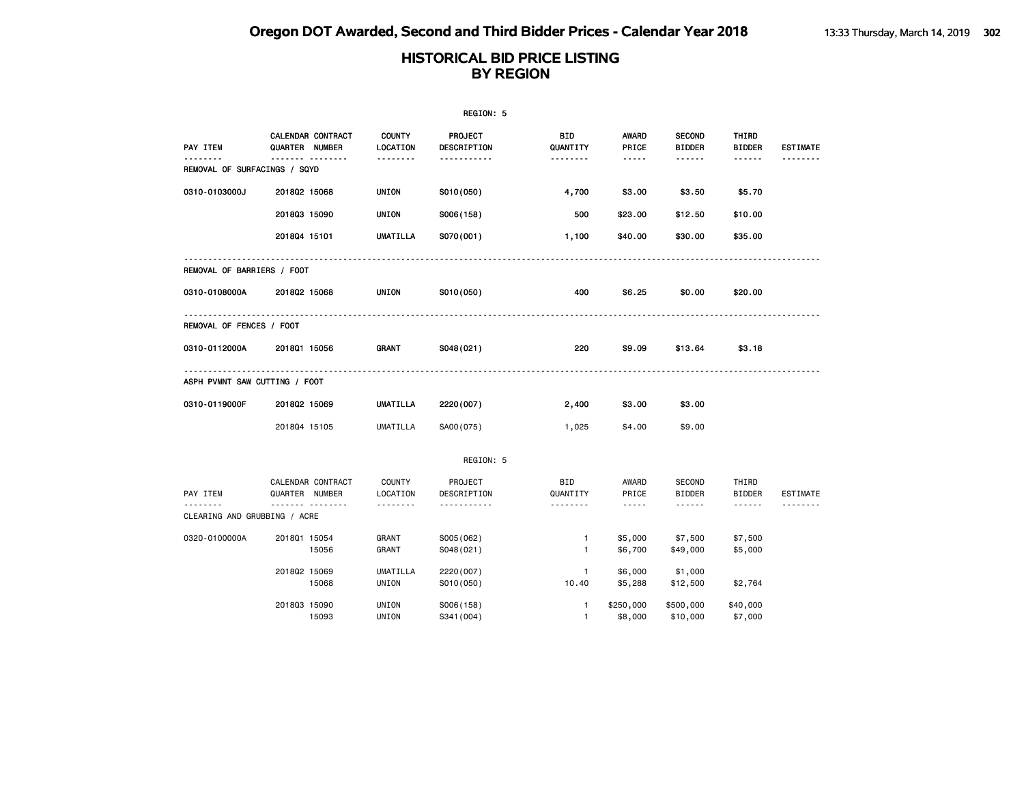|                                          |                                          |                           | REGION: 5               |                              |                        |                                |                        |                 |
|------------------------------------------|------------------------------------------|---------------------------|-------------------------|------------------------------|------------------------|--------------------------------|------------------------|-----------------|
| PAY ITEM                                 | CALENDAR CONTRACT<br>QUARTER NUMBER      | <b>COUNTY</b><br>LOCATION | PROJECT<br>DESCRIPTION  | BID<br>QUANTITY              | AWARD<br>PRICE         | <b>SECOND</b><br><b>BIDDER</b> | THIRD<br><b>BIDDER</b> | <b>ESTIMATE</b> |
| <u>.</u><br>REMOVAL OF SURFACINGS / SQYD | -------- --------                        | <u>.</u>                  | -----------             | .                            | $\cdots \cdots \cdots$ | ------                         | $- - - - - -$          | <u>.</u>        |
| 0310-0103000J                            | 201802 15068                             | UNION                     | S010(050)               | 4,700                        | \$3.00                 | \$3.50                         | \$5.70                 |                 |
|                                          | 201803 15090                             | UNION                     | S006(158)               | 500                          | \$23.00                | \$12.50                        | \$10.00                |                 |
|                                          | 201804 15101                             | UMATILLA                  | S070(001)               | 1,100                        | \$40.00                | \$30.00                        | \$35.00                |                 |
| REMOVAL OF BARRIERS / FOOT               |                                          |                           |                         |                              |                        |                                |                        |                 |
| 0310-0108000A                            | 201802 15068                             | UNION                     | S010(050)               | 400                          | \$6.25                 | \$0.00                         | \$20.00                |                 |
| REMOVAL OF FENCES / FOOT                 |                                          |                           |                         |                              |                        |                                |                        |                 |
| 0310-0112000A                            | 201801 15056                             | GRANT                     | S048(021)               | 220                          | \$9.09                 | \$13.64                        | \$3.18                 |                 |
| ASPH PVMNT SAW CUTTING / FOOT            |                                          |                           |                         |                              |                        |                                |                        |                 |
| 0310-0119000F                            | 201802 15069                             | UMATILLA                  | 2220 (007)              | 2,400                        | \$3.00                 | \$3.00                         |                        |                 |
|                                          | 201804 15105                             | UMATILLA                  | SA00(075)               | 1,025                        | \$4.00                 | \$9.00                         |                        |                 |
|                                          |                                          |                           | REGION: 5               |                              |                        |                                |                        |                 |
| PAY ITEM                                 | CALENDAR CONTRACT<br>QUARTER NUMBER<br>. | COUNTY<br>LOCATION        | PROJECT<br>DESCRIPTION  | <b>BID</b><br>QUANTITY       | AWARD<br>PRICE         | SECOND<br><b>BIDDER</b>        | THIRD<br><b>BIDDER</b> | <b>ESTIMATE</b> |
| CLEARING AND GRUBBING / ACRE             |                                          | .                         | .                       | --------                     | $\cdots \cdots \cdots$ |                                | ------                 |                 |
| 0320-0100000A                            | 201801 15054<br>15056                    | GRANT<br>GRANT            | S005(062)<br>S048(021)  | $\mathbf{1}$<br>$\mathbf{1}$ | \$5,000<br>\$6,700     | \$7,500<br>\$49,000            | \$7,500<br>\$5,000     |                 |
|                                          | 201802 15069<br>15068                    | UMATILLA<br>UNION         | 2220 (007)<br>S010(050) | $\mathbf{1}$<br>10.40        | \$6,000<br>\$5,288     | \$1,000<br>\$12,500            | \$2,764                |                 |
|                                          | 201803 15090<br>15093                    | UNION<br>UNION            | S006(158)<br>S341 (004) | 1<br>$\mathbf{1}$            | \$250,000<br>\$8,000   | \$500,000<br>\$10,000          | \$40,000<br>\$7,000    |                 |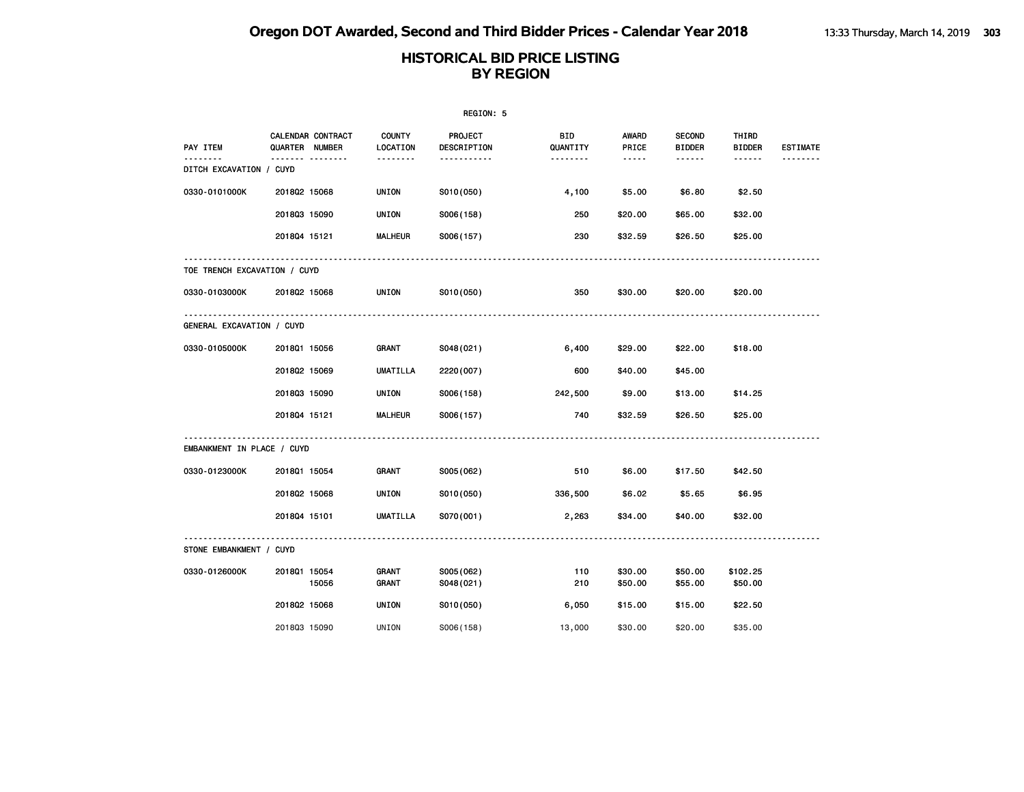| REGION: 5                    |                                          |                |                                                                 |                             |                                                                                                                                        |                                          |                                  |                             |  |  |
|------------------------------|------------------------------------------|----------------|-----------------------------------------------------------------|-----------------------------|----------------------------------------------------------------------------------------------------------------------------------------|------------------------------------------|----------------------------------|-----------------------------|--|--|
| PAY ITEM                     | CALENDAR CONTRACT<br>QUARTER NUMBER<br>. |                | <b>COUNTY</b><br>PROJECT<br>LOCATION<br>DESCRIPTION<br><u>.</u> | BID<br>QUANTITY<br><u>.</u> | <b>AWARD</b><br>PRICE<br>$\frac{1}{2} \frac{1}{2} \frac{1}{2} \frac{1}{2} \frac{1}{2} \frac{1}{2} \frac{1}{2} \frac{1}{2} \frac{1}{2}$ | <b>SECOND</b><br><b>BIDDER</b><br>------ | THIRD<br><b>BIDDER</b><br>------ | <b>ESTIMATE</b><br><u>.</u> |  |  |
| DITCH EXCAVATION / CUYD      |                                          |                | -----------                                                     |                             |                                                                                                                                        |                                          |                                  |                             |  |  |
| 0330-0101000K                | 201802 15068                             | UNION          | S010(050)                                                       | 4,100                       | \$5.00                                                                                                                                 | \$6.80                                   | \$2.50                           |                             |  |  |
|                              | 201803 15090                             | UNION          | S006(158)                                                       | 250                         | \$20.00                                                                                                                                | \$65.00                                  | \$32.00                          |                             |  |  |
|                              | 201804 15121                             | <b>MALHEUR</b> | S006(157)                                                       | 230                         | \$32.59                                                                                                                                | \$26.50                                  | \$25.00                          |                             |  |  |
| TOE TRENCH EXCAVATION / CUYD |                                          |                |                                                                 |                             |                                                                                                                                        |                                          |                                  |                             |  |  |
| 0330-0103000K                | 201802 15068                             | UNION          | S010(050)                                                       | 350                         | \$30.00                                                                                                                                | \$20.00                                  | \$20.00                          |                             |  |  |
| GENERAL EXCAVATION / CUYD    |                                          |                |                                                                 |                             |                                                                                                                                        |                                          |                                  |                             |  |  |
| 0330-0105000K                | 201801 15056                             | GRANT          | S048(021)                                                       | 6,400                       | \$29.00                                                                                                                                | \$22.00                                  | \$18.00                          |                             |  |  |
|                              | 201802 15069                             |                | <b>UMATILLA</b><br>2220 (007)                                   | 600                         | \$40.00                                                                                                                                | \$45.00                                  |                                  |                             |  |  |
|                              | 201803 15090                             | UNION          | S006(158)                                                       | 242,500                     | \$9.00                                                                                                                                 | \$13.00                                  | \$14.25                          |                             |  |  |
|                              | 201804 15121                             | <b>MALHEUR</b> | S006(157)                                                       | 740                         | \$32.59                                                                                                                                | \$26.50                                  | \$25.00                          |                             |  |  |
| EMBANKMENT IN PLACE / CUYD   |                                          |                |                                                                 |                             |                                                                                                                                        |                                          |                                  |                             |  |  |
| 0330-0123000K                | 201801 15054                             | GRANT          | S005(062)                                                       | 510                         | \$6.00                                                                                                                                 | \$17.50                                  | \$42.50                          |                             |  |  |
|                              | 201802 15068                             | UNION          | S010(050)                                                       | 336,500                     | \$6.02                                                                                                                                 | \$5.65                                   | \$6.95                           |                             |  |  |
|                              | 201804 15101                             |                | <b>UMATILLA</b><br>S070(001)                                    | 2,263                       | \$34.00                                                                                                                                | \$40.00                                  | \$32.00                          |                             |  |  |
| STONE EMBANKMENT / CUYD      |                                          |                |                                                                 |                             |                                                                                                                                        |                                          |                                  |                             |  |  |
| 0330-0126000K                | 2018Q1 15054<br>15056                    | GRANT<br>GRANT | S005(062)<br>S048(021)                                          | 110<br>210                  | \$30.00<br>\$50.00                                                                                                                     | \$50.00<br>\$55.00                       | \$102.25<br>\$50.00              |                             |  |  |
|                              | 201802 15068                             | UNION          | S010(050)                                                       | 6,050                       | \$15.00                                                                                                                                | \$15.00                                  | \$22.50                          |                             |  |  |
|                              | 201803 15090                             | UNION          | S006(158)                                                       | 13,000                      | \$30.00                                                                                                                                | \$20.00                                  | \$35.00                          |                             |  |  |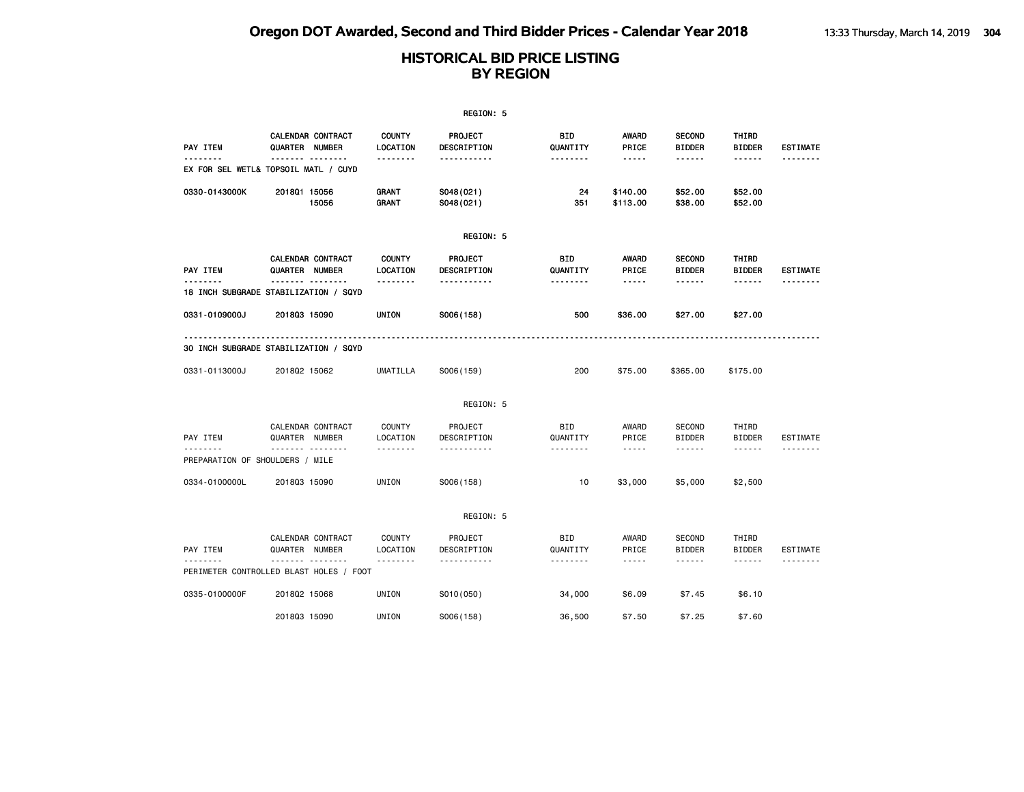|                                      |                                                   |                                | REGION: 5                          |                             |                                                                                                                                                                        |                                          |                                                                                                                                                                                                                                                                                                                                                                                                                                                                            |                 |
|--------------------------------------|---------------------------------------------------|--------------------------------|------------------------------------|-----------------------------|------------------------------------------------------------------------------------------------------------------------------------------------------------------------|------------------------------------------|----------------------------------------------------------------------------------------------------------------------------------------------------------------------------------------------------------------------------------------------------------------------------------------------------------------------------------------------------------------------------------------------------------------------------------------------------------------------------|-----------------|
| PAY ITEM                             | <b>CALENDAR CONTRACT</b><br>QUARTER NUMBER        | <b>COUNTY</b><br>LOCATION      | PROJECT<br>DESCRIPTION             | BID<br>QUANTITY             | AWARD<br>PRICE                                                                                                                                                         | <b>SECOND</b><br><b>BIDDER</b>           | THIRD<br><b>BIDDER</b>                                                                                                                                                                                                                                                                                                                                                                                                                                                     | <b>ESTIMATE</b> |
|                                      | <b>.</b><br>EX FOR SEL WETL& TOPSOIL MATL / CUYD  | <u>.</u>                       | .                                  | <u>.</u>                    | -----                                                                                                                                                                  | ------                                   | ------                                                                                                                                                                                                                                                                                                                                                                                                                                                                     | <u>.</u>        |
| 0330-0143000K                        | 2018Q1 15056<br>15056                             | GRANT<br>GRANT                 | S048(021)<br>S048(021)             | 24<br>351                   | \$140.00<br>\$113.00                                                                                                                                                   | \$52.00<br>\$38.00                       | \$52.00<br>\$52.00                                                                                                                                                                                                                                                                                                                                                                                                                                                         |                 |
|                                      |                                                   |                                | REGION: 5                          |                             |                                                                                                                                                                        |                                          |                                                                                                                                                                                                                                                                                                                                                                                                                                                                            |                 |
| <b>PAY ITEM</b>                      | CALENDAR CONTRACT<br>QUARTER NUMBER               | <b>COUNTY</b><br>LOCATION      | PROJECT<br>DESCRIPTION             | BID<br>QUANTITY             | <b>AWARD</b><br>PRICE                                                                                                                                                  | <b>SECOND</b><br><b>BIDDER</b>           | THIRD<br><b>BIDDER</b>                                                                                                                                                                                                                                                                                                                                                                                                                                                     | <b>ESTIMATE</b> |
|                                      | <b>.</b><br>18 INCH SUBGRADE STABILIZATION / SQYD | --------                       | -----------                        | --------                    | -----                                                                                                                                                                  | ------                                   | ------                                                                                                                                                                                                                                                                                                                                                                                                                                                                     | .               |
| 0331-0109000J                        | 201803 15090                                      | UNION                          | S006(158)                          | 500                         | \$36.00                                                                                                                                                                | \$27.00                                  | \$27.00                                                                                                                                                                                                                                                                                                                                                                                                                                                                    |                 |
|                                      | 30 INCH SUBGRADE STABILIZATION / SQYD             |                                |                                    |                             |                                                                                                                                                                        |                                          |                                                                                                                                                                                                                                                                                                                                                                                                                                                                            |                 |
| 0331-0113000J                        | 201802 15062                                      | UMATILLA                       | S006(159)                          | 200                         | \$75.00                                                                                                                                                                | \$365.00                                 | \$175.00                                                                                                                                                                                                                                                                                                                                                                                                                                                                   |                 |
|                                      |                                                   |                                | REGION: 5                          |                             |                                                                                                                                                                        |                                          |                                                                                                                                                                                                                                                                                                                                                                                                                                                                            |                 |
| PAY ITEM                             | CALENDAR CONTRACT<br>QUARTER NUMBER               | <b>COUNTY</b><br>LOCATION      | PROJECT<br>DESCRIPTION             | <b>BID</b><br>QUANTITY      | AWARD<br>PRICE                                                                                                                                                         | <b>SECOND</b><br><b>BIDDER</b>           | THIRD<br><b>BIDDER</b>                                                                                                                                                                                                                                                                                                                                                                                                                                                     | <b>ESTIMATE</b> |
| .<br>PREPARATION OF SHOULDERS / MILE | .                                                 | .                              | <u>.</u>                           | .                           | $\frac{1}{2} \left( \frac{1}{2} \right) \left( \frac{1}{2} \right) \left( \frac{1}{2} \right) \left( \frac{1}{2} \right) \left( \frac{1}{2} \right)$                   | $- - - - - -$                            | $\frac{1}{2} \left( \frac{1}{2} \right) \left( \frac{1}{2} \right) \left( \frac{1}{2} \right) \left( \frac{1}{2} \right) \left( \frac{1}{2} \right) \left( \frac{1}{2} \right) \left( \frac{1}{2} \right) \left( \frac{1}{2} \right) \left( \frac{1}{2} \right) \left( \frac{1}{2} \right) \left( \frac{1}{2} \right) \left( \frac{1}{2} \right) \left( \frac{1}{2} \right) \left( \frac{1}{2} \right) \left( \frac{1}{2} \right) \left( \frac{1}{2} \right) \left( \frac$ |                 |
| 0334-0100000L                        | 201803 15090                                      | UNION                          | S006(158)                          | 10                          | \$3,000                                                                                                                                                                | \$5,000                                  | \$2,500                                                                                                                                                                                                                                                                                                                                                                                                                                                                    |                 |
|                                      |                                                   |                                | REGION: 5                          |                             |                                                                                                                                                                        |                                          |                                                                                                                                                                                                                                                                                                                                                                                                                                                                            |                 |
| PAY ITEM<br>.                        | CALENDAR CONTRACT<br>QUARTER NUMBER<br>.          | <b>COUNTY</b><br>LOCATION<br>. | PROJECT<br>DESCRIPTION<br><u>.</u> | <b>BID</b><br>QUANTITY<br>. | AWARD<br>PRICE<br>$\frac{1}{2} \left( \frac{1}{2} \right) \left( \frac{1}{2} \right) \left( \frac{1}{2} \right) \left( \frac{1}{2} \right) \left( \frac{1}{2} \right)$ | <b>SECOND</b><br><b>BIDDER</b><br>------ | THIRD<br><b>BIDDER</b><br><b>.</b>                                                                                                                                                                                                                                                                                                                                                                                                                                         | <b>ESTIMATE</b> |
|                                      | PERIMETER CONTROLLED BLAST HOLES / FOOT           |                                |                                    |                             |                                                                                                                                                                        |                                          |                                                                                                                                                                                                                                                                                                                                                                                                                                                                            |                 |
| 0335-0100000F                        | 201802 15068                                      | UNION                          | S010(050)                          | 34,000                      | \$6.09                                                                                                                                                                 | \$7.45                                   | \$6.10                                                                                                                                                                                                                                                                                                                                                                                                                                                                     |                 |
|                                      | 201803 15090                                      | UNION                          | S006(158)                          | 36,500                      | \$7.50                                                                                                                                                                 | \$7.25                                   | \$7.60                                                                                                                                                                                                                                                                                                                                                                                                                                                                     |                 |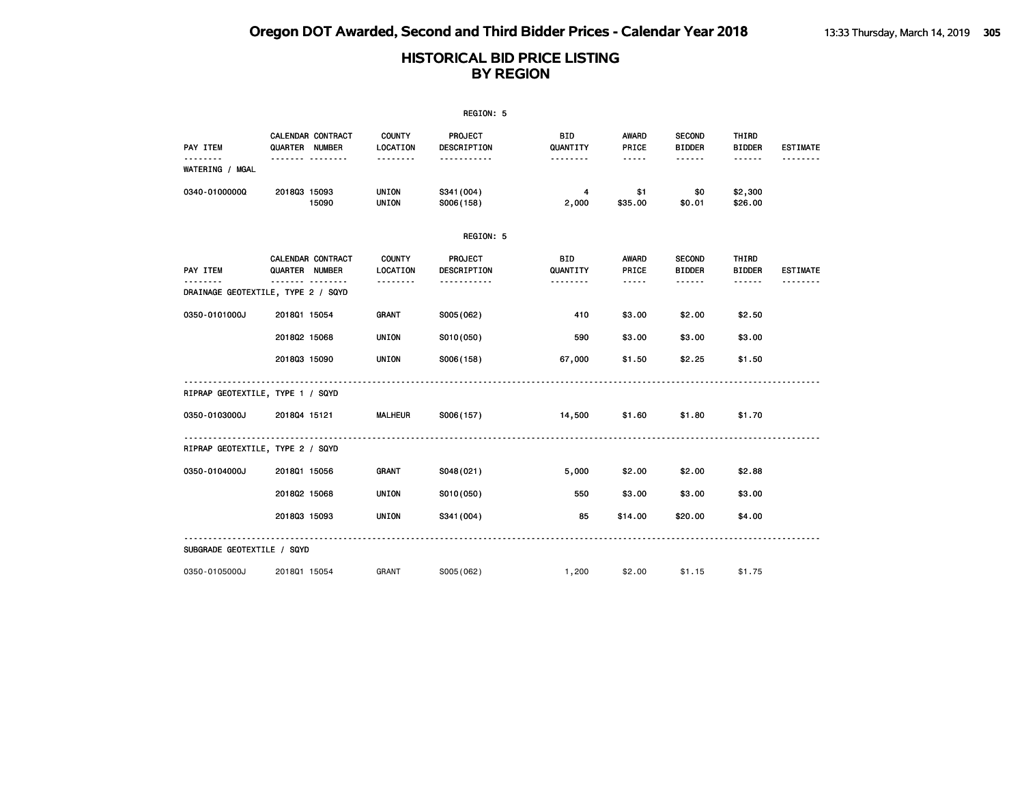|                                                |                       |                        |                                       | REGION: 5                     |                             |                         |                                          |                                  |                 |
|------------------------------------------------|-----------------------|------------------------|---------------------------------------|-------------------------------|-----------------------------|-------------------------|------------------------------------------|----------------------------------|-----------------|
| PAY ITEM                                       | <b>QUARTER NUMBER</b> | CALENDAR CONTRACT      | <b>COUNTY</b><br>LOCATION             | <b>PROJECT</b><br>DESCRIPTION | <b>BID</b><br>QUANTITY      | AWARD<br>PRICE          | <b>SECOND</b><br><b>BIDDER</b>           | THIRD<br><b>BIDDER</b>           | <b>ESTIMATE</b> |
| <u>.</u><br>WATERING / MGAL                    |                       | .                      | .                                     | <u>.</u>                      | <u>.</u>                    | $- - - - -$             |                                          | ------                           | .               |
| 0340-01000000                                  | 201803 15093          | 15090                  | UNION<br>UNION                        | S341 (004)<br>S006(158)       | 4<br>2,000                  | \$1<br>\$35.00          | \$0<br>\$0.01                            | \$2,300<br>\$26.00               |                 |
|                                                |                       |                        |                                       | REGION: 5                     |                             |                         |                                          |                                  |                 |
| PAY ITEM<br>DRAINAGE GEOTEXTILE, TYPE 2 / SQYD | QUARTER NUMBER        | CALENDAR CONTRACT<br>. | <b>COUNTY</b><br>LOCATION<br><u>.</u> | PROJECT<br>DESCRIPTION<br>.   | BID<br>QUANTITY<br>-------- | AWARD<br>PRICE<br>----- | <b>SECOND</b><br><b>BIDDER</b><br>------ | THIRD<br><b>BIDDER</b><br>------ | <b>ESTIMATE</b> |
| 0350-0101000J                                  | 201801 15054          |                        | GRANT                                 | S005(062)                     | 410                         | \$3.00                  | \$2.00                                   | \$2.50                           |                 |
|                                                | 201802 15068          |                        | UNION                                 | S010(050)                     | 590                         | \$3.00                  | \$3.00                                   | \$3.00                           |                 |
|                                                | 201803 15090          |                        | <b>UNION</b>                          | S006(158)                     | 67,000                      | \$1.50                  | \$2.25                                   | \$1.50                           |                 |
| RIPRAP GEOTEXTILE, TYPE 1 / SQYD               |                       |                        |                                       |                               |                             |                         |                                          |                                  |                 |
| 0350-0103000J                                  | 201804 15121          |                        | <b>MALHEUR</b>                        | S006(157)                     | 14,500                      | \$1.60                  | \$1.80                                   | \$1.70                           |                 |
| RIPRAP GEOTEXTILE, TYPE 2 / SQYD               |                       |                        |                                       |                               |                             |                         |                                          |                                  |                 |
| 0350-0104000J                                  | 201801 15056          |                        | GRANT                                 | S048(021)                     | 5,000                       | \$2.00                  | \$2.00                                   | \$2.88                           |                 |
|                                                | 201802 15068          |                        | UNION                                 | S010(050)                     | 550                         | \$3.00                  | \$3.00                                   | \$3.00                           |                 |
|                                                | 201803 15093          |                        | <b>UNION</b>                          | S341 (004)                    | 85                          | \$14.00                 | \$20.00                                  | \$4.00                           |                 |
| SUBGRADE GEOTEXTILE / SQYD                     |                       |                        |                                       |                               |                             |                         |                                          |                                  |                 |
| 0350-0105000J                                  | 201801 15054          |                        | GRANT                                 | S005(062)                     | 1,200                       | \$2.00                  | \$1.15                                   | \$1.75                           |                 |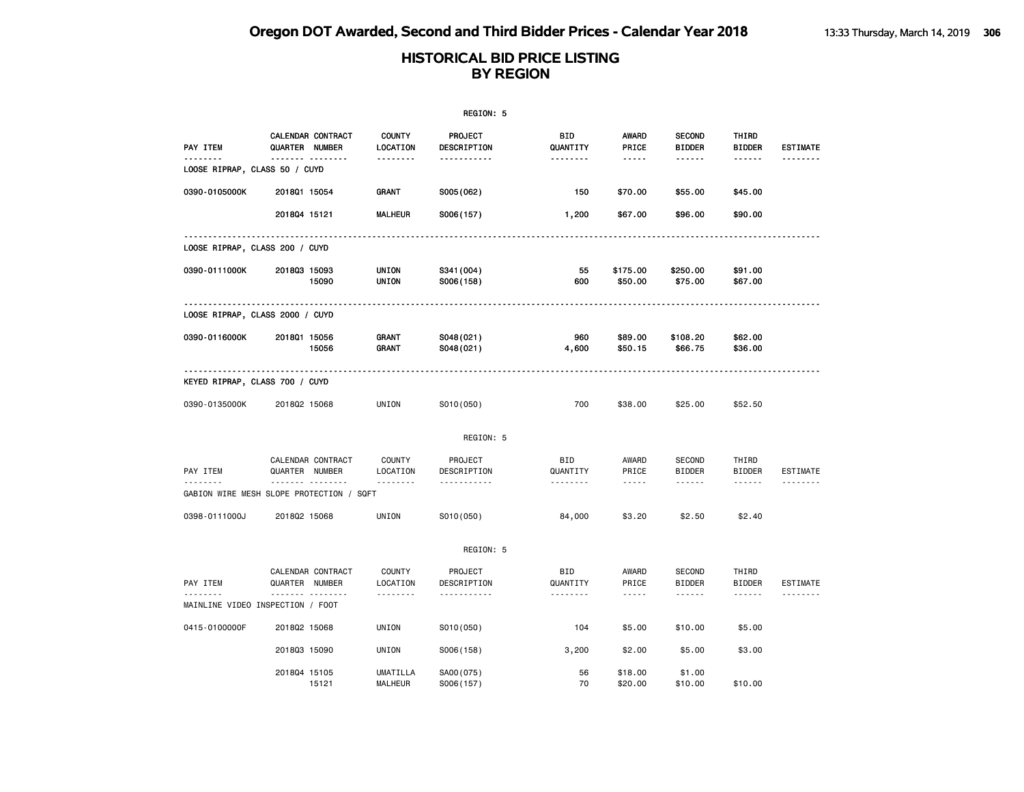|                                                      |              |                                     |                            | REGION: 5                     |                        |                       |                                |                        |                           |
|------------------------------------------------------|--------------|-------------------------------------|----------------------------|-------------------------------|------------------------|-----------------------|--------------------------------|------------------------|---------------------------|
| PAY ITEM                                             |              | CALENDAR CONTRACT<br>QUARTER NUMBER | <b>COUNTY</b><br>LOCATION  | <b>PROJECT</b><br>DESCRIPTION | BID<br>QUANTITY        | <b>AWARD</b><br>PRICE | <b>SECOND</b><br><b>BIDDER</b> | THIRD<br><b>BIDDER</b> | <b>ESTIMATE</b>           |
| .<br>LOOSE RIPRAP, CLASS 50 / CUYD                   |              |                                     | .                          | <u>.</u>                      | <u>.</u>               | -----                 | ------                         | ------                 |                           |
| 0390-0105000K                                        | 201801 15054 |                                     | GRANT                      | S005(062)                     | 150                    | \$70.00               | \$55.00                        | \$45.00                |                           |
|                                                      | 201804 15121 |                                     | <b>MALHEUR</b>             | S006(157)                     | 1,200                  | \$67.00               | \$96.00                        | \$90.00                |                           |
| LOOSE RIPRAP, CLASS 200 / CUYD                       |              |                                     |                            |                               |                        |                       |                                |                        |                           |
| 0390-0111000K                                        | 201803 15093 | 15090                               | UNION<br>UNION             | S341 (004)<br>S006(158)       | 55<br>600              | \$175.00<br>\$50.00   | \$250.00<br>\$75.00            | \$91.00<br>\$67.00     |                           |
| LOOSE RIPRAP, CLASS 2000 / CUYD                      |              |                                     |                            |                               |                        |                       |                                |                        | <u> - - - - - - - - -</u> |
| 0390-0116000K                                        | 201801 15056 | 15056                               | <b>GRANT</b><br>GRANT      | S048(021)<br>S048(021)        | 960<br>4,600           | \$89.00<br>\$50.15    | \$108.20<br>\$66.75            | \$62.00<br>\$36.00     |                           |
| KEYED RIPRAP, CLASS 700 / CUYD                       |              |                                     |                            |                               |                        |                       |                                |                        |                           |
| 0390-0135000K                                        | 201802 15068 |                                     | UNION                      | S010(050)                     | 700                    | \$38.00               | \$25.00                        | \$52.50                |                           |
|                                                      |              |                                     |                            | REGION: 5                     |                        |                       |                                |                        |                           |
| PAY ITEM                                             |              | CALENDAR CONTRACT<br>QUARTER NUMBER | COUNTY<br>LOCATION         | PROJECT<br>DESCRIPTION        | <b>BID</b><br>QUANTITY | AWARD<br>PRICE        | <b>SECOND</b><br><b>BIDDER</b> | THIRD<br><b>BIDDER</b> | <b>ESTIMATE</b>           |
| <u>.</u><br>GABION WIRE MESH SLOPE PROTECTION / SQFT |              | <u>.</u>                            | <u>.</u>                   | <u>.</u>                      | .                      | $- - - - -$           | ------                         | ------                 | --------                  |
| 0398-0111000J                                        | 201802 15068 |                                     | UNION                      | S010(050)                     | 84,000                 | \$3.20                | \$2.50                         | \$2.40                 |                           |
|                                                      |              |                                     |                            | REGION: 5                     |                        |                       |                                |                        |                           |
| PAY ITEM                                             |              | CALENDAR CONTRACT<br>QUARTER NUMBER | COUNTY<br>LOCATION         | PROJECT<br>DESCRIPTION        | <b>BID</b><br>QUANTITY | AWARD<br>PRICE        | <b>SECOND</b><br><b>BIDDER</b> | THIRD<br><b>BIDDER</b> | <b>ESTIMATE</b>           |
| MAINLINE VIDEO INSPECTION / FOOT                     |              | <u>.</u>                            | .                          | <u>.</u>                      | <u>.</u>               | $- - - - -$           | ------                         | ------                 |                           |
| 0415-0100000F                                        | 201802 15068 |                                     | UNION                      | S010(050)                     | 104                    | \$5.00                | \$10.00                        | \$5.00                 |                           |
|                                                      | 201803 15090 |                                     | UNION                      | S006(158)                     | 3,200                  | \$2.00                | \$5.00                         | \$3.00                 |                           |
|                                                      | 201804 15105 | 15121                               | UMATILLA<br><b>MALHEUR</b> | SA00(075)<br>S006(157)        | 56<br>70               | \$18.00<br>\$20.00    | \$1.00<br>\$10.00              | \$10.00                |                           |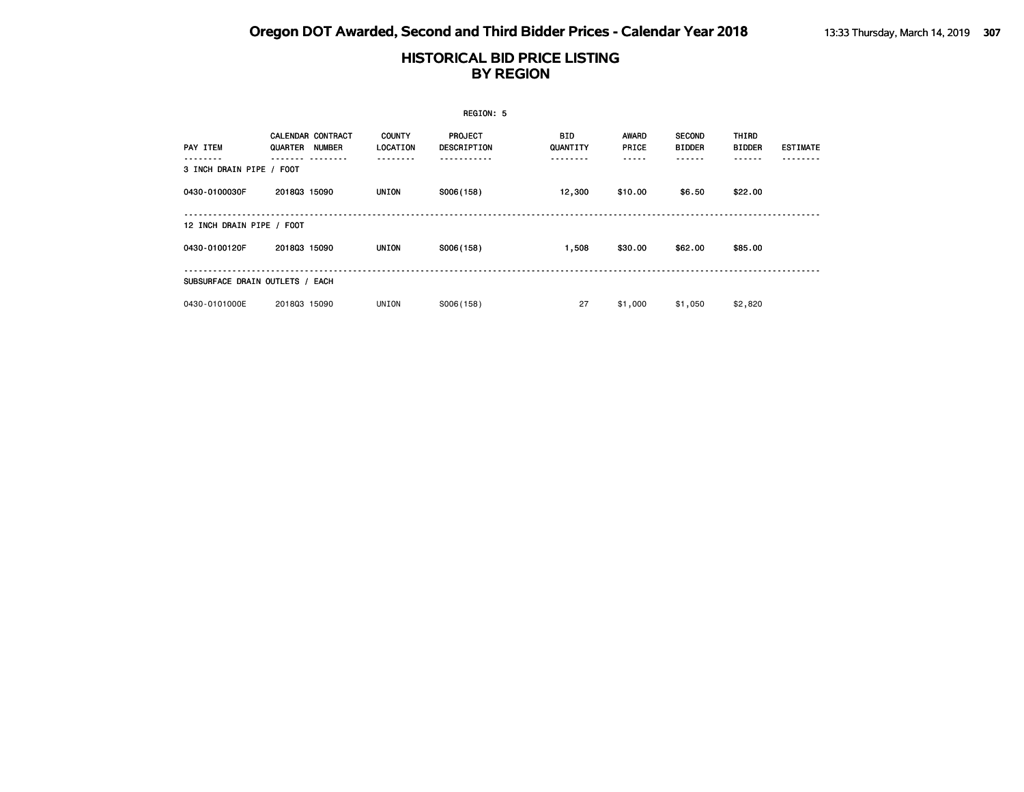|                                 |              |                                    |                                   | REGION: 5                     |                               |                |                                        |                                              |                 |
|---------------------------------|--------------|------------------------------------|-----------------------------------|-------------------------------|-------------------------------|----------------|----------------------------------------|----------------------------------------------|-----------------|
| <b>PAY ITEM</b>                 | QUARTER      | <b>CALENDAR CONTRACT</b><br>NUMBER | <b>COUNTY</b><br>LOCATION<br>---- | <b>PROJECT</b><br>DESCRIPTION | BID.<br>QUANTITY<br>- - - - - | AWARD<br>PRICE | <b>SECOND</b><br><b>BIDDER</b><br>---- | <b>THIRD</b><br><b>BIDDER</b><br>- - - - - - | <b>ESTIMATE</b> |
| 3 INCH DRAIN PIPE / FOOT        |              |                                    |                                   |                               |                               |                |                                        |                                              |                 |
| 0430-0100030F                   | 201803 15090 |                                    | <b>UNION</b>                      | S006(158)                     | 12,300                        | \$10.00        | \$6.50                                 | \$22.00                                      |                 |
| 12 INCH DRAIN PIPE / FOOT       |              |                                    |                                   |                               |                               |                |                                        |                                              |                 |
| 0430-0100120F                   | 201803 15090 |                                    | <b>UNION</b>                      | S006(158)                     | 1,508                         | \$30.00        | \$62.00                                | \$85.00                                      |                 |
| SUBSURFACE DRAIN OUTLETS / EACH |              |                                    |                                   |                               |                               |                |                                        |                                              |                 |
| 0430-0101000E                   | 201803 15090 |                                    | UNION                             | S006(158)                     | 27                            | \$1,000        | \$1,050                                | \$2,820                                      |                 |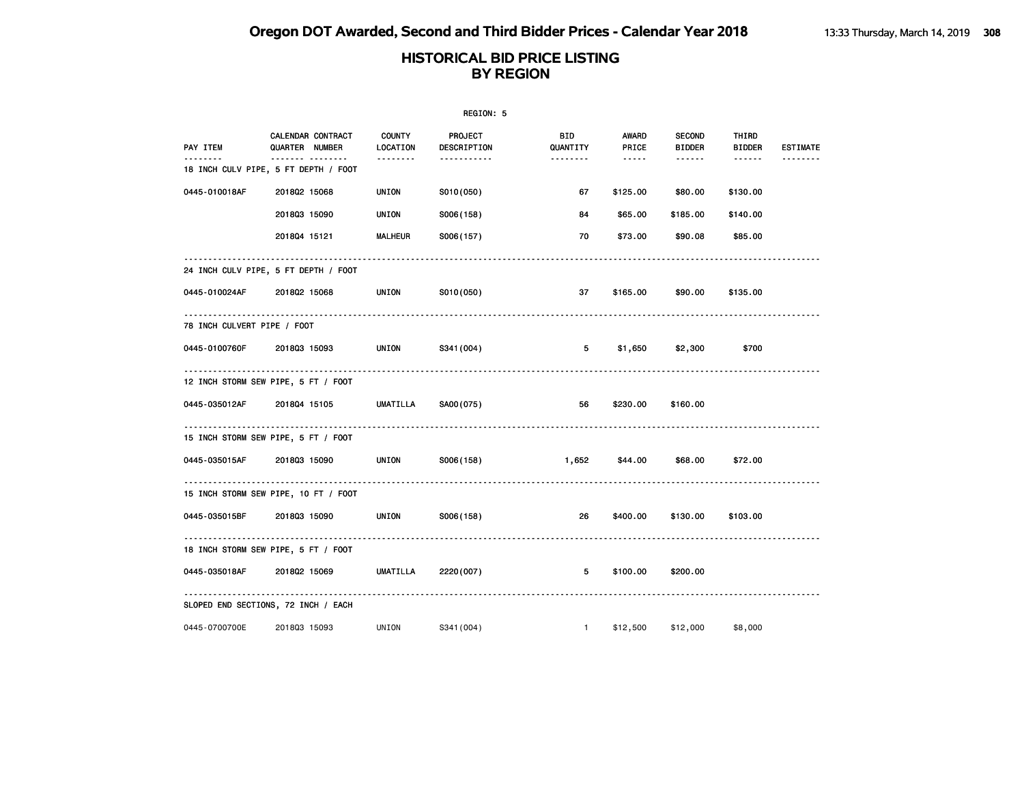| REGION: 5                   |                                                          |                           |                               |                 |                 |                                |                        |                 |  |  |
|-----------------------------|----------------------------------------------------------|---------------------------|-------------------------------|-----------------|-----------------|--------------------------------|------------------------|-----------------|--|--|
| PAY ITEM                    | <b>CALENDAR CONTRACT</b><br>QUARTER NUMBER               | <b>COUNTY</b><br>LOCATION | <b>PROJECT</b><br>DESCRIPTION | BID<br>QUANTITY | AWARD<br>PRICE  | <b>SECOND</b><br><b>BIDDER</b> | THIRD<br><b>BIDDER</b> | <b>ESTIMATE</b> |  |  |
|                             | ------- --------<br>18 INCH CULV PIPE, 5 FT DEPTH / FOOT | <u>.</u>                  | -----------                   | .               | $\cdots \cdots$ | ------                         | ------                 | <u>.</u>        |  |  |
| 0445-010018AF               | 201802 15068                                             | <b>UNION</b>              | S010(050)                     | 67              | \$125.00        | \$80.00                        | \$130.00               |                 |  |  |
|                             | 201803 15090                                             | <b>UNION</b>              | S006(158)                     | 84              | \$65.00         | \$185.00                       | \$140.00               |                 |  |  |
|                             | 201804 15121                                             | <b>MALHEUR</b>            | S006(157)                     | 70              | \$73.00         | \$90.08                        | \$85.00                |                 |  |  |
|                             | 24 INCH CULV PIPE, 5 FT DEPTH / FOOT                     |                           |                               |                 |                 |                                |                        |                 |  |  |
| 0445-010024AF               | 201802 15068                                             | <b>UNION</b>              | S010(050)                     | 37              | \$165.00        | \$90.00                        | \$135.00               |                 |  |  |
| 78 INCH CULVERT PIPE / FOOT | --------------<br><u>.</u>                               |                           |                               |                 |                 |                                |                        |                 |  |  |
| 0445-0100760F               | 201803 15093                                             | UNION                     | S341 (004)                    | 5               | \$1,650         | \$2,300                        | \$700                  |                 |  |  |
|                             | 12 INCH STORM SEW PIPE, 5 FT / FOOT                      |                           |                               |                 |                 |                                |                        |                 |  |  |
| 0445-035012AF               | 201804 15105                                             | UMATILLA                  | SA00(075)                     | 56              | \$230.00        | \$160.00                       |                        |                 |  |  |
|                             | 15 INCH STORM SEW PIPE, 5 FT / FOOT                      |                           |                               |                 |                 |                                |                        |                 |  |  |
| 0445-035015AF               | 201803 15090                                             | UNION                     | S006(158)                     | 1,652           | \$44.00         | \$68.00                        | \$72.00                |                 |  |  |
|                             | 15 INCH STORM SEW PIPE, 10 FT / FOOT                     |                           |                               |                 |                 |                                |                        |                 |  |  |
| 0445-035015BF               | 201803 15090                                             | <b>UNION</b>              | S006(158)                     | 26              | \$400.00        | \$130.00                       | \$103.00               |                 |  |  |
|                             | 18 INCH STORM SEW PIPE, 5 FT / FOOT                      |                           |                               |                 |                 |                                |                        |                 |  |  |
| 0445-035018AF               | 201802 15069                                             | UMATILLA                  | 2220 (007)                    | 5 <sub>5</sub>  | \$100.00        | \$200.00                       |                        |                 |  |  |
|                             | SLOPED END SECTIONS, 72 INCH / EACH                      |                           |                               |                 |                 |                                |                        |                 |  |  |
| 0445-0700700E               | 201803 15093                                             | UNION                     | S341 (004)                    | $\overline{1}$  | \$12,500        | \$12,000                       | \$8,000                |                 |  |  |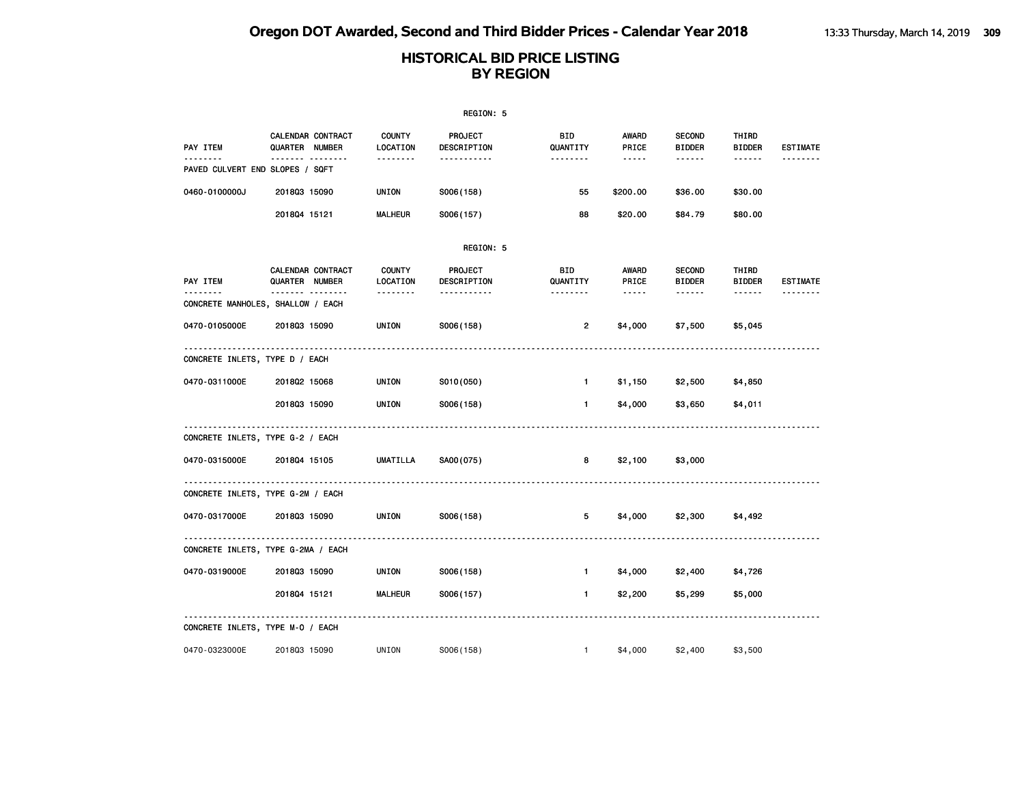|                                      |                                                       |                           | REGION: 5              |                 |                                                                                                               |                                |                        |                 |
|--------------------------------------|-------------------------------------------------------|---------------------------|------------------------|-----------------|---------------------------------------------------------------------------------------------------------------|--------------------------------|------------------------|-----------------|
| PAY ITEM                             | CALENDAR CONTRACT<br>QUARTER NUMBER                   | COUNTY<br>LOCATION        | PROJECT<br>DESCRIPTION | BID<br>QUANTITY | <b>AWARD</b><br>PRICE                                                                                         | <b>SECOND</b><br><b>BIDDER</b> | THIRD<br><b>BIDDER</b> | <b>ESTIMATE</b> |
| .<br>PAVED CULVERT END SLOPES / SQFT | <u> </u>                                              | .                         | -----------            | --------        | $- - - - -$                                                                                                   | ------                         | ------                 | <u>.</u>        |
| 0460-0100000J                        | 201803 15090                                          | UNION                     | S006(158)              | 55              | \$200.00                                                                                                      | \$36.00                        | \$30.00                |                 |
|                                      | 201804 15121                                          | <b>MALHEUR</b>            | S006(157)              | 88              | \$20.00                                                                                                       | \$84.79                        | \$80.00                |                 |
|                                      |                                                       |                           | REGION: 5              |                 |                                                                                                               |                                |                        |                 |
| PAY ITEM                             | CALENDAR CONTRACT<br>QUARTER NUMBER                   | <b>COUNTY</b><br>LOCATION | PROJECT<br>DESCRIPTION | BID<br>QUANTITY | AWARD<br>PRICE                                                                                                | <b>SECOND</b><br><b>BIDDER</b> | THIRD<br><b>BIDDER</b> | <b>ESTIMATE</b> |
|                                      | ------- --------<br>CONCRETE MANHOLES, SHALLOW / EACH | .                         | -----------            | --------        | $\frac{1}{2} \frac{1}{2} \frac{1}{2} \frac{1}{2} \frac{1}{2} \frac{1}{2} \frac{1}{2} \frac{1}{2} \frac{1}{2}$ | ------                         | ------                 | .               |
| 0470-0105000E                        | 201803 15090                                          | UNION                     | S006(158)              | 2               | \$4,000                                                                                                       | \$7,500                        | \$5,045                |                 |
| CONCRETE INLETS, TYPE D / EACH       |                                                       |                           |                        |                 |                                                                                                               |                                |                        |                 |
| 0470-0311000E                        | 201802 15068                                          | UNION                     | S010(050)              | $\mathbf{1}$    | \$1,150                                                                                                       | \$2,500                        | \$4,850                |                 |
|                                      | 201803 15090                                          | UNION                     | S006(158)              | $\mathbf{1}$    | \$4,000                                                                                                       | \$3,650                        | \$4,011                |                 |
|                                      | CONCRETE INLETS, TYPE G-2 / EACH                      |                           |                        |                 |                                                                                                               |                                |                        |                 |
| 0470-0315000E                        | 201804 15105                                          | UMATILLA                  | SA00(075)              | 8               | \$2,100                                                                                                       | \$3,000                        |                        |                 |
|                                      | CONCRETE INLETS, TYPE G-2M / EACH                     |                           |                        |                 |                                                                                                               |                                |                        |                 |
| 0470-0317000E                        | 201803 15090                                          | UNION                     | S006(158)              | 5               | \$4,000                                                                                                       | \$2,300                        | \$4,492                |                 |
|                                      | CONCRETE INLETS, TYPE G-2MA / EACH                    |                           |                        |                 |                                                                                                               |                                |                        |                 |
| 0470-0319000E                        | 201803 15090                                          | UNION                     | S006(158)              | $\blacksquare$  | \$4,000                                                                                                       | \$2,400                        | \$4,726                |                 |
|                                      | 201804 15121                                          | <b>MALHEUR</b>            | S006(157)              | $\mathbf{1}$    | \$2,200                                                                                                       | \$5,299                        | \$5,000                |                 |
|                                      | CONCRETE INLETS, TYPE M-0 / EACH                      |                           |                        |                 |                                                                                                               |                                |                        |                 |
| 0470-0323000E                        | 201803 15090                                          | UNION                     | S006(158)              | $\mathbf{1}$    | \$4,000                                                                                                       | \$2,400                        | \$3,500                |                 |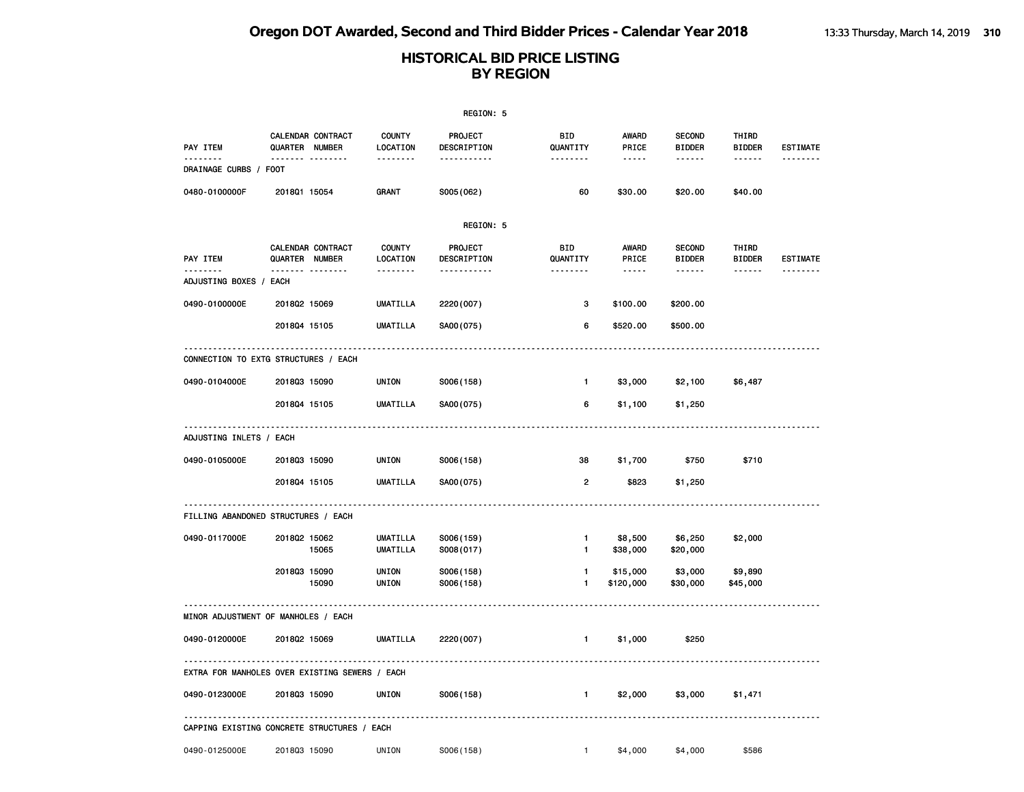|                                                |                                     |          |                                       | REGION: 5                   |                        |                                      |                                |                                  |                 |
|------------------------------------------------|-------------------------------------|----------|---------------------------------------|-----------------------------|------------------------|--------------------------------------|--------------------------------|----------------------------------|-----------------|
| PAY ITEM<br>.                                  | CALENDAR CONTRACT<br>QUARTER NUMBER | <u>.</u> | <b>COUNTY</b><br>LOCATION<br><u>.</u> | PROJECT<br>DESCRIPTION<br>. | <b>BID</b><br>QUANTITY | <b>AWARD</b><br>PRICE<br>$- - - - -$ | <b>SECOND</b><br><b>BIDDER</b> | THIRD<br><b>BIDDER</b><br>------ | <b>ESTIMATE</b> |
| DRAINAGE CURBS / FOOT                          |                                     |          |                                       |                             |                        |                                      |                                |                                  |                 |
| 0480-0100000F                                  | 2018Q1 15054                        |          | GRANT                                 | S005(062)                   | 60                     | \$30.00                              | \$20.00                        | \$40.00                          |                 |
|                                                |                                     |          |                                       | REGION: 5                   |                        |                                      |                                |                                  |                 |
| PAY ITEM                                       | CALENDAR CONTRACT<br>QUARTER NUMBER |          | <b>COUNTY</b><br>LOCATION             | PROJECT<br>DESCRIPTION      | BID<br>QUANTITY        | <b>AWARD</b><br>PRICE                | <b>SECOND</b><br><b>BIDDER</b> | THIRD<br><b>BIDDER</b>           | <b>ESTIMATE</b> |
| ADJUSTING BOXES / EACH                         |                                     |          | .                                     | .                           | .                      | $- - - - -$                          | ------                         | .                                |                 |
| 0490-0100000E                                  | 201802 15069                        |          | <b>UMATILLA</b>                       | 2220 (007)                  | з                      | \$100.00                             | \$200.00                       |                                  |                 |
|                                                | 201804 15105                        |          | <b>UMATILLA</b>                       | SA00(075)                   | 6                      | \$520.00                             | \$500.00                       |                                  |                 |
| CONNECTION TO EXTG STRUCTURES / EACH           |                                     |          |                                       |                             |                        |                                      |                                |                                  |                 |
| 0490-0104000E                                  | 201803 15090                        |          | UNION                                 | S006(158)                   | 1.                     | \$3,000                              | \$2,100                        | \$6,487                          |                 |
|                                                | 201804 15105                        |          | <b>UMATILLA</b>                       | SA00(075)                   | 6                      | \$1,100                              | \$1,250                        |                                  |                 |
| ADJUSTING INLETS / EACH                        |                                     |          |                                       |                             |                        |                                      |                                |                                  |                 |
| 0490-0105000E                                  | 201803 15090                        |          | UNION                                 | S006(158)                   | 38                     | \$1,700                              | \$750                          | \$710                            |                 |
|                                                | 201804 15105                        |          | <b>UMATILLA</b>                       | SA00(075)                   | $\mathbf{2}$           | \$823                                | \$1,250                        |                                  |                 |
| FILLING ABANDONED STRUCTURES / EACH            |                                     |          |                                       |                             |                        |                                      |                                |                                  |                 |
| 0490-0117000E                                  | 201802 15062                        | 15065    | <b>UMATILLA</b><br><b>UMATILLA</b>    | S006(159)<br>S008(017)      | 1<br>1                 | \$8,500<br>\$38,000                  | \$6,250<br>\$20,000            | \$2,000                          |                 |
|                                                | 201803 15090                        | 15090    | UNION<br>UNION                        | S006(158)<br>S006(158)      | 1<br>1                 | \$15,000<br>\$120,000                | \$3,000<br>\$30,000            | \$9,890<br>\$45,000              |                 |
| MINOR ADJUSTMENT OF MANHOLES / EACH            |                                     |          |                                       |                             |                        |                                      |                                |                                  |                 |
| 0490-0120000E                                  | 201802 15069                        |          | <b>UMATILLA</b>                       | 2220 (007)                  | $\mathbf{1}$           | \$1,000                              | \$250                          |                                  |                 |
| EXTRA FOR MANHOLES OVER EXISTING SEWERS / EACH |                                     |          |                                       |                             |                        |                                      |                                |                                  |                 |
| 0490-0123000E                                  | 201803 15090                        |          | UNION                                 | S006(158)                   | $\mathbf{1}$           | \$2,000                              | \$3,000                        | \$1,471                          |                 |
| CAPPING EXISTING CONCRETE STRUCTURES / EACH    |                                     |          |                                       |                             |                        |                                      |                                |                                  |                 |
| 0490-0125000E                                  | 201803 15090                        |          | UNION                                 | S006(158)                   | $\mathbf{1}$           | \$4,000                              | \$4,000                        | \$586                            |                 |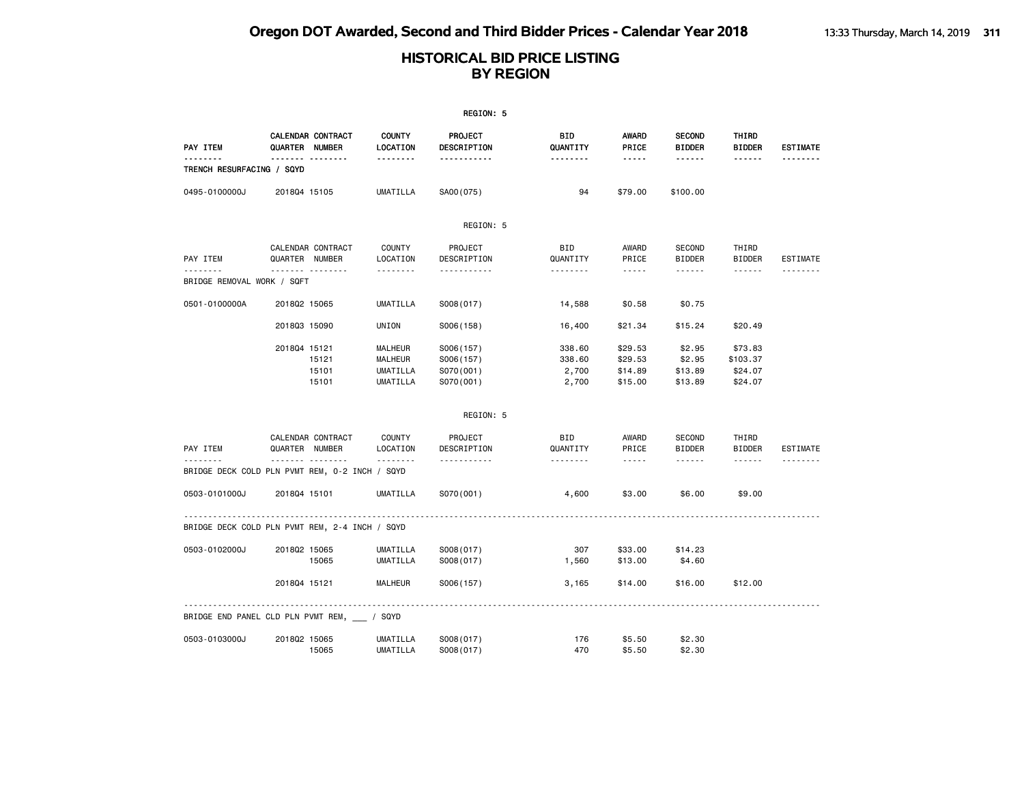|                                                     |                |                          |                                                          | REGION: 5                                        |                                    |                                          |                                        |                                           |                 |
|-----------------------------------------------------|----------------|--------------------------|----------------------------------------------------------|--------------------------------------------------|------------------------------------|------------------------------------------|----------------------------------------|-------------------------------------------|-----------------|
| PAY ITEM                                            | QUARTER NUMBER | <b>CALENDAR CONTRACT</b> | <b>COUNTY</b><br>LOCATION                                | PROJECT<br>DESCRIPTION                           | BID<br>QUANTITY                    | AWARD<br>PRICE                           | <b>SECOND</b><br><b>BIDDER</b>         | THIRD<br><b>BIDDER</b>                    | <b>ESTIMATE</b> |
| .<br>TRENCH RESURFACING / SQYD                      |                | .                        | .                                                        | .                                                | <u>.</u>                           | $- - - - -$                              | ------                                 | .                                         | <u>.</u>        |
| 0495-0100000J                                       | 201804 15105   |                          | <b>UMATILLA</b>                                          | SA00(075)                                        | 94                                 | \$79.00                                  | \$100.00                               |                                           |                 |
|                                                     |                |                          |                                                          | REGION: 5                                        |                                    |                                          |                                        |                                           |                 |
| PAY ITEM                                            | QUARTER NUMBER | CALENDAR CONTRACT        | <b>COUNTY</b><br>LOCATION                                | PROJECT<br>DESCRIPTION                           | <b>BID</b><br>QUANTITY             | AWARD<br>PRICE                           | <b>SECOND</b><br><b>BIDDER</b>         | THIRD<br><b>BIDDER</b>                    | ESTIMATE        |
| BRIDGE REMOVAL WORK / SQFT                          |                | . <sub>.</sub>           | --------                                                 | <u>.</u>                                         | <u>.</u>                           | $- - - - -$                              | ------                                 | ------                                    |                 |
| 0501-0100000A                                       | 201802 15065   |                          | <b>UMATILLA</b>                                          | S008(017)                                        | 14,588                             | \$0.58                                   | \$0.75                                 |                                           |                 |
|                                                     | 201803 15090   |                          | UNION                                                    | S006(158)                                        | 16,400                             | \$21.34                                  | \$15.24                                | \$20.49                                   |                 |
|                                                     | 201804 15121   | 15121<br>15101<br>15101  | MALHEUR<br>MALHEUR<br><b>UMATILLA</b><br><b>UMATILLA</b> | S006(157)<br>S006(157)<br>S070(001)<br>S070(001) | 338.60<br>338.60<br>2,700<br>2,700 | \$29.53<br>\$29.53<br>\$14.89<br>\$15.00 | \$2.95<br>\$2.95<br>\$13.89<br>\$13.89 | \$73.83<br>\$103.37<br>\$24.07<br>\$24.07 |                 |
|                                                     |                |                          |                                                          | REGION: 5                                        |                                    |                                          |                                        |                                           |                 |
| PAY ITEM                                            | QUARTER NUMBER | CALENDAR CONTRACT        | COUNTY<br>LOCATION                                       | PROJECT<br>DESCRIPTION                           | <b>BID</b><br>QUANTITY             | AWARD<br>PRICE                           | <b>SECOND</b><br><b>BIDDER</b>         | THIRD<br><b>BIDDER</b>                    | <b>ESTIMATE</b> |
| .<br>BRIDGE DECK COLD PLN PVMT REM, 0-2 INCH / SQYD |                | .                        | .                                                        | <u>.</u>                                         | .                                  | $- - - - -$                              | .                                      |                                           |                 |
| 0503-0101000J                                       | 201804 15101   |                          | UMATILLA                                                 | S070(001)                                        | 4,600                              | \$3.00                                   | \$6.00                                 | \$9.00                                    |                 |
| BRIDGE DECK COLD PLN PVMT REM, 2-4 INCH / SQYD      |                |                          |                                                          |                                                  |                                    |                                          |                                        |                                           |                 |
| 0503-0102000J                                       | 201802 15065   | 15065                    | UMATILLA<br>UMATILLA                                     | S008(017)<br>S008(017)                           | 307<br>1,560                       | \$33.00<br>\$13.00                       | \$14.23<br>\$4.60                      |                                           |                 |
|                                                     | 201804 15121   |                          | MALHEUR                                                  | S006(157)                                        | 3,165                              | \$14.00                                  | \$16.00                                | \$12.00                                   |                 |
| BRIDGE END PANEL CLD PLN PVMT REM, / SQYD           |                |                          |                                                          |                                                  |                                    |                                          |                                        |                                           |                 |
| 0503-0103000J                                       | 201802 15065   | 15065                    | UMATILLA<br><b>UMATILLA</b>                              | S008(017)<br>S008(017)                           | 176<br>470                         | \$5.50<br>\$5.50                         | \$2.30<br>\$2.30                       |                                           |                 |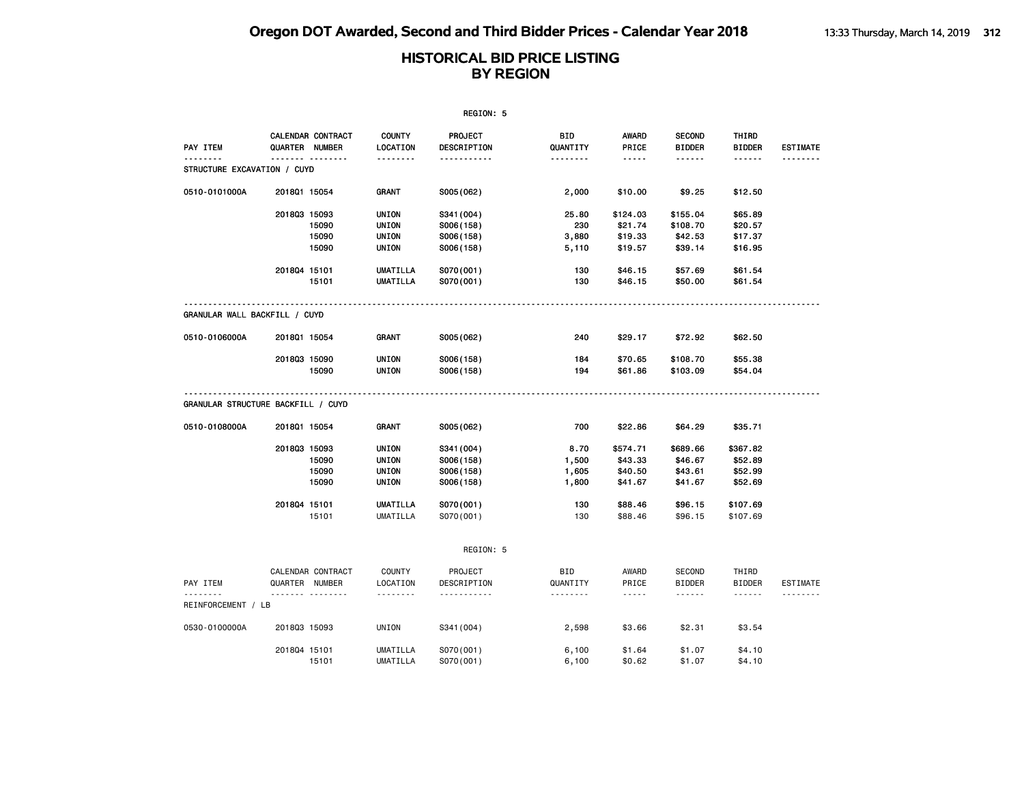|                                    |              |                                     |                           | REGION: 5              |                        |                       |                                |                        |                 |
|------------------------------------|--------------|-------------------------------------|---------------------------|------------------------|------------------------|-----------------------|--------------------------------|------------------------|-----------------|
| PAY ITEM                           |              | CALENDAR CONTRACT<br>QUARTER NUMBER | <b>COUNTY</b><br>LOCATION | PROJECT<br>DESCRIPTION | BID<br>QUANTITY        | <b>AWARD</b><br>PRICE | <b>SECOND</b><br><b>BIDDER</b> | THIRD<br><b>BIDDER</b> | <b>ESTIMATE</b> |
| .<br>STRUCTURE EXCAVATION / CUYD   |              |                                     | .                         | .                      | <u>.</u>               | <u>.</u>              |                                |                        | <u>.</u>        |
|                                    |              |                                     |                           |                        |                        |                       |                                |                        |                 |
| 0510-0101000A                      | 201801 15054 |                                     | GRANT                     | S005(062)              | 2,000                  | \$10.00               | \$9.25                         | \$12.50                |                 |
|                                    | 201803 15093 |                                     | UNION                     | S341 (004)             | 25.80                  | \$124.03              | \$155.04                       | \$65.89                |                 |
|                                    |              | 15090                               | <b>UNION</b>              | S006(158)              | 230                    | \$21.74               | \$108.70                       | \$20.57                |                 |
|                                    |              | 15090                               | UNION                     | S006(158)              | 3,880                  | \$19.33               | \$42.53                        | \$17.37                |                 |
|                                    |              | 15090                               | UNION                     | S006(158)              | 5,110                  | \$19.57               | \$39.14                        | \$16.95                |                 |
|                                    | 201804 15101 |                                     | <b>UMATILLA</b>           | S070(001)              | 130                    | \$46.15               | \$57.69                        | \$61.54                |                 |
|                                    |              | 15101                               | <b>UMATILLA</b>           | S070(001)              | 130                    | \$46.15               | \$50.00                        | \$61.54                |                 |
|                                    |              |                                     |                           |                        |                        |                       |                                |                        |                 |
| GRANULAR WALL BACKFILL / CUYD      |              |                                     |                           |                        |                        |                       |                                |                        |                 |
| 0510-0106000A                      | 201801 15054 |                                     | GRANT                     | S005(062)              | 240                    | \$29.17               | \$72.92                        | \$62.50                |                 |
|                                    | 201803 15090 |                                     | UNION                     | S006(158)              | 184                    | \$70.65               | \$108.70                       | \$55.38                |                 |
|                                    |              | 15090                               | UNION                     | S006(158)              | 194                    | \$61.86               | \$103.09                       | \$54.04                |                 |
| GRANULAR STRUCTURE BACKFILL / CUYD |              |                                     |                           |                        |                        |                       |                                |                        |                 |
| 0510-0108000A                      | 201801 15054 |                                     | GRANT                     | S005(062)              | 700                    | \$22.86               | \$64.29                        | \$35.71                |                 |
|                                    | 201803 15093 |                                     | UNION                     | S341 (004)             | 8.70                   | \$574.71              | \$689.66                       | \$367.82               |                 |
|                                    |              | 15090                               | UNION                     | S006(158)              | 1,500                  | \$43.33               | \$46.67                        | \$52.89                |                 |
|                                    |              | 15090                               | UNION                     | S006(158)              | 1,605                  | \$40.50               | \$43.61                        | \$52.99                |                 |
|                                    |              | 15090                               | UNION                     | S006(158)              | 1,800                  | \$41.67               | \$41.67                        | \$52.69                |                 |
|                                    | 201804 15101 |                                     | <b>UMATILLA</b>           | S070(001)              | 130                    | \$88.46               | \$96.15                        | \$107.69               |                 |
|                                    |              | 15101                               | <b>UMATILLA</b>           | S070(001)              | 130                    | \$88.46               | \$96.15                        | \$107.69               |                 |
|                                    |              |                                     |                           | REGION: 5              |                        |                       |                                |                        |                 |
|                                    |              |                                     |                           |                        |                        |                       |                                |                        |                 |
| PAY ITEM                           |              | CALENDAR CONTRACT<br>QUARTER NUMBER | <b>COUNTY</b><br>LOCATION | PROJECT<br>DESCRIPTION | <b>BID</b><br>QUANTITY | AWARD<br>PRICE        | <b>SECOND</b><br><b>BIDDER</b> | THIRD<br><b>BIDDER</b> | <b>ESTIMATE</b> |
| .                                  |              | .                                   | .                         | .                      | .                      | $- - - - -$           | .                              | .                      | .               |
| REINFORCEMENT / LB                 |              |                                     |                           |                        |                        |                       |                                |                        |                 |
| 0530-0100000A                      | 201803 15093 |                                     | UNION                     | S341 (004)             | 2,598                  | \$3.66                | \$2.31                         | \$3.54                 |                 |
|                                    | 201804 15101 |                                     | UMATILLA                  | S070(001)              | 6,100                  | \$1.64                | \$1.07                         | \$4.10                 |                 |
|                                    |              | 15101                               | <b>UMATILLA</b>           | S070(001)              | 6,100                  | \$0.62                | \$1.07                         | \$4.10                 |                 |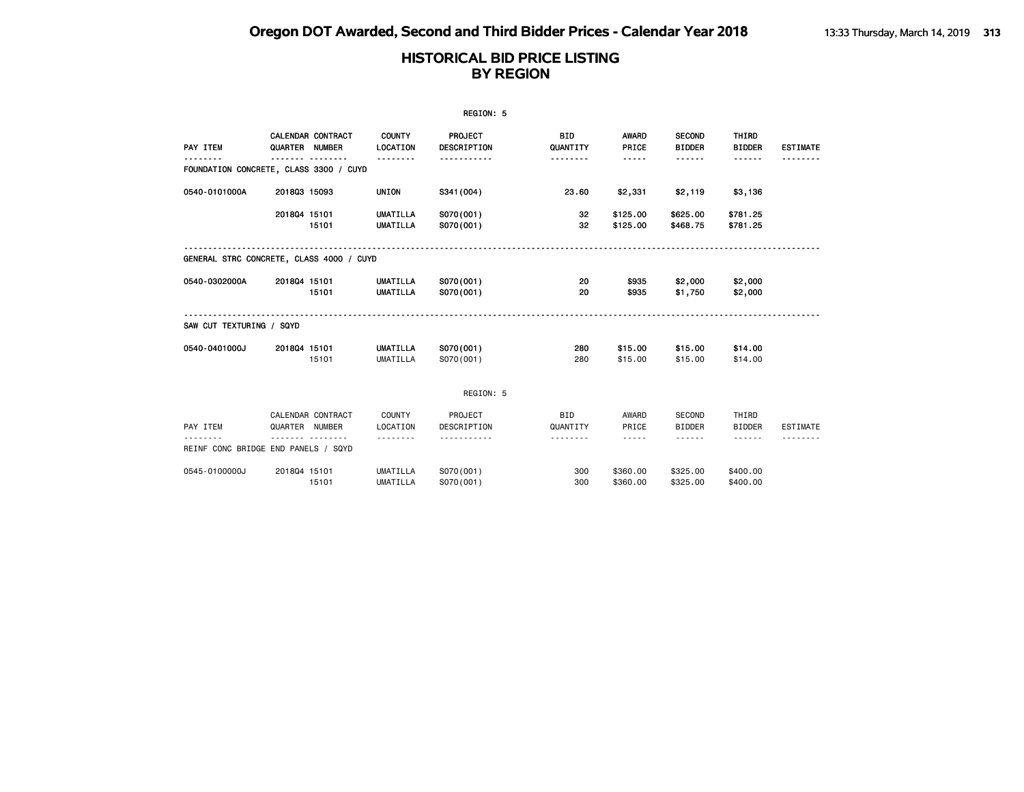|                          |                                            |                                       | REGION: 5              |                                    |                               |                                          |                                  |                 |
|--------------------------|--------------------------------------------|---------------------------------------|------------------------|------------------------------------|-------------------------------|------------------------------------------|----------------------------------|-----------------|
| PAY ITEM                 | <b>CALENDAR CONTRACT</b><br>QUARTER NUMBER | <b>COUNTY</b><br>LOCATION             | PROJECT<br>DESCRIPTION | <b>BID</b><br>QUANTITY             | <b>AWARD</b><br>PRICE         | <b>SECOND</b><br><b>BIDDER</b>           | THIRD<br><b>BIDDER</b>           | <b>ESTIMATE</b> |
|                          | FOUNDATION CONCRETE, CLASS 3300 / CUYD     | .                                     | <u>.</u>               | .                                  | $- - - - -$                   | .                                        | ------                           |                 |
| 0540-0101000A            | 201803 15093                               | <b>UNION</b>                          | S341 (004)             | 23.60                              | \$2,331                       | \$2,119                                  | \$3,136                          |                 |
|                          | 201804 15101<br>15101                      | <b>UMATILLA</b><br><b>UMATILLA</b>    | S070(001)<br>S070(001) | 32<br>32                           | \$125.00<br>\$125.00          | \$625.00<br>\$468.75                     | \$781.25<br>\$781.25             |                 |
|                          | GENERAL STRC CONCRETE, CLASS 4000 / CUYD   |                                       |                        |                                    |                               |                                          |                                  |                 |
| 0540-0302000A            | 201804 15101<br>15101                      | <b>UMATILLA</b><br><b>UMATILLA</b>    | S070(001)<br>S070(001) | 20<br>20                           | \$935<br>\$935                | \$2,000<br>\$1,750                       | \$2,000<br>\$2,000               |                 |
| SAW CUT TEXTURING / SQYD |                                            |                                       |                        |                                    |                               |                                          |                                  |                 |
| 0540-0401000J            | 201804 15101<br>15101                      | <b>UMATILLA</b><br><b>UMATILLA</b>    | S070(001)<br>S070(001) | 280<br>280                         | \$15.00<br>\$15,00            | \$15.00<br>\$15.00                       | \$14.00<br>\$14.00               |                 |
|                          |                                            |                                       | REGION: 5              |                                    |                               |                                          |                                  |                 |
| PAY ITEM                 | CALENDAR CONTRACT<br>QUARTER NUMBER        | <b>COUNTY</b><br>LOCATION<br><u>.</u> | PROJECT<br>DESCRIPTION | <b>BID</b><br>QUANTITY<br>-------- | AWARD<br>PRICE<br>$- - - - -$ | <b>SECOND</b><br><b>BIDDER</b><br>------ | THIRD<br><b>BIDDER</b><br>------ | <b>ESTIMATE</b> |
|                          | REINF CONC BRIDGE END PANELS / SQYD        |                                       |                        |                                    |                               |                                          |                                  |                 |
| 0545-0100000J            | 201804 15101<br>15101                      | <b>UMATILLA</b><br><b>UMATILLA</b>    | S070(001)<br>S070(001) | 300<br>300                         | \$360.00<br>\$360.00          | \$325.00<br>\$325.00                     | \$400.00<br>\$400.00             |                 |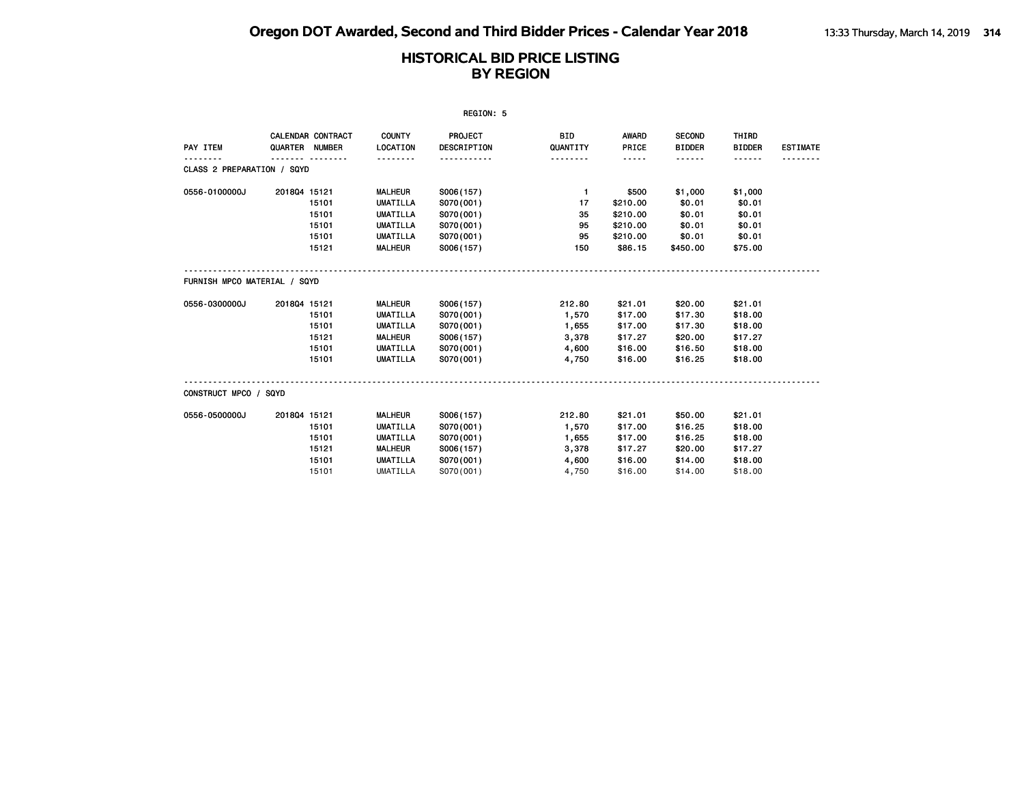|                              |              |                                     |                    | REGION: 5                     |                        |                |                                |                        |                 |
|------------------------------|--------------|-------------------------------------|--------------------|-------------------------------|------------------------|----------------|--------------------------------|------------------------|-----------------|
| PAY ITEM                     |              | CALENDAR CONTRACT<br>QUARTER NUMBER | COUNTY<br>LOCATION | <b>PROJECT</b><br>DESCRIPTION | <b>BID</b><br>QUANTITY | AWARD<br>PRICE | <b>SECOND</b><br><b>BIDDER</b> | THIRD<br><b>BIDDER</b> | <b>ESTIMATE</b> |
| CLASS 2 PREPARATION / SQYD   |              |                                     | <u>.</u>           | .                             | <u>.</u>               | $- - - - -$    |                                | ------                 |                 |
| 0556-0100000J                | 201804 15121 |                                     | <b>MALHEUR</b>     | S006(157)                     | $\blacksquare$         | \$500          | \$1,000                        | \$1,000                |                 |
|                              |              | 15101                               | <b>UMATILLA</b>    | S070(001)                     | 17                     | \$210.00       | \$0.01                         | \$0.01                 |                 |
|                              |              | 15101                               | <b>UMATILLA</b>    | S070(001)                     | 35                     | \$210.00       | \$0.01                         | \$0.01                 |                 |
|                              |              | 15101                               | <b>UMATILLA</b>    | S070(001)                     | 95                     | \$210.00       | \$0.01                         | \$0.01                 |                 |
|                              |              | 15101                               | <b>UMATILLA</b>    | S070(001)                     | 95                     | \$210.00       | \$0.01                         | \$0.01                 |                 |
|                              |              | 15121                               | <b>MALHEUR</b>     | S006(157)                     | 150                    | \$86.15        | \$450.00                       | \$75.00                |                 |
| FURNISH MPCO MATERIAL / SQYD |              |                                     |                    |                               |                        |                |                                |                        |                 |
| 0556-0300000J                | 201804 15121 |                                     | <b>MALHEUR</b>     | S006(157)                     | 212.80                 | \$21.01        | \$20.00                        | \$21.01                |                 |
|                              |              | 15101                               | <b>UMATILLA</b>    | S070(001)                     | 1,570                  | \$17.00        | \$17.30                        | \$18.00                |                 |
|                              |              | 15101                               | <b>UMATILLA</b>    | S070(001)                     | 1,655                  | \$17.00        | \$17.30                        | \$18.00                |                 |
|                              |              | 15121                               | <b>MALHEUR</b>     | S006(157)                     | 3,378                  | \$17.27        | \$20.00                        | \$17.27                |                 |
|                              |              | 15101                               | <b>UMATILLA</b>    | S070(001)                     | 4,600                  | \$16.00        | \$16.50                        | \$18.00                |                 |
|                              |              | 15101                               | UMATILLA           | S070(001)                     | 4,750                  | \$16.00        | \$16.25                        | \$18.00                |                 |
| CONSTRUCT MPCO / SQYD        |              |                                     |                    |                               |                        |                |                                |                        |                 |
| 0556-0500000J                | 201804 15121 |                                     | <b>MALHEUR</b>     | S006(157)                     | 212.80                 | \$21.01        | \$50.00                        | \$21.01                |                 |
|                              |              | 15101                               | <b>UMATILLA</b>    | S070(001)                     | 1,570                  | \$17.00        | \$16.25                        | \$18.00                |                 |
|                              |              | 15101                               | <b>UMATILLA</b>    | S070(001)                     | 1,655                  | \$17.00        | \$16.25                        | \$18.00                |                 |
|                              |              | 15121                               | <b>MALHEUR</b>     | S006(157)                     | 3,378                  | \$17.27        | \$20.00                        | \$17.27                |                 |
|                              |              | 15101                               | <b>UMATILLA</b>    | S070(001)                     | 4,600                  | \$16.00        | \$14.00                        | \$18.00                |                 |
|                              |              | 15101                               | <b>UMATILLA</b>    | S070(001)                     | 4,750                  | \$16.00        | \$14.00                        | \$18.00                |                 |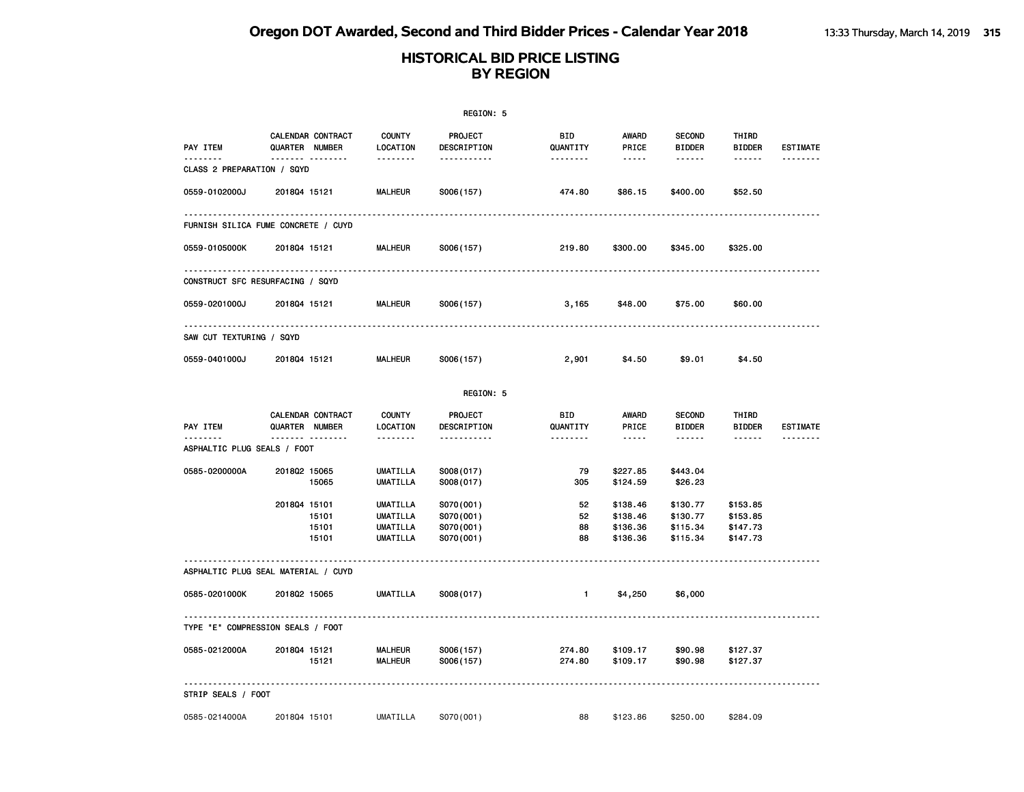|                                     |              |                                                         |                                                            | REGION: 5                                        |                                          |                                              |                                              |                                              |                             |
|-------------------------------------|--------------|---------------------------------------------------------|------------------------------------------------------------|--------------------------------------------------|------------------------------------------|----------------------------------------------|----------------------------------------------|----------------------------------------------|-----------------------------|
| PAY ITEM<br>--------                |              | CALENDAR CONTRACT<br>QUARTER NUMBER<br><u></u>          | <b>COUNTY</b><br>LOCATION<br>.                             | <b>PROJECT</b><br>DESCRIPTION<br><u>.</u>        | BID<br>QUANTITY<br><u>.</u>              | AWARD<br>PRICE<br>$- - - - -$                | <b>SECOND</b><br><b>BIDDER</b><br>------     | THIRD<br><b>BIDDER</b><br>------             | <b>ESTIMATE</b><br>-------- |
| CLASS 2 PREPARATION / SQYD          |              |                                                         |                                                            |                                                  |                                          |                                              |                                              |                                              |                             |
| 0559-0102000J                       | 201804 15121 |                                                         | <b>MALHEUR</b>                                             | S006(157)                                        | 474.80                                   | \$86.15                                      | \$400.00                                     | \$52.50                                      |                             |
| FURNISH SILICA FUME CONCRETE / CUYD |              |                                                         |                                                            |                                                  |                                          |                                              |                                              |                                              |                             |
| 0559-0105000K                       | 201804 15121 |                                                         | MALHEUR                                                    | S006(157)                                        | 219.80                                   | \$300.00                                     | \$345.00                                     | \$325.00                                     |                             |
| CONSTRUCT SFC RESURFACING / SQYD    |              |                                                         |                                                            |                                                  |                                          |                                              |                                              |                                              |                             |
| 0559-0201000J                       | 201804 15121 |                                                         | <b>MALHEUR</b>                                             | S006(157)                                        | 3,165                                    | \$48.00                                      | \$75.00                                      | \$60.00                                      |                             |
| SAW CUT TEXTURING / SQYD            |              |                                                         |                                                            |                                                  |                                          |                                              |                                              |                                              |                             |
| 0559-0401000J                       | 201804 15121 |                                                         | <b>MALHEUR</b>                                             | S006(157)                                        | 2,901                                    | \$4.50                                       | \$9.01                                       | \$4.50                                       |                             |
|                                     |              |                                                         |                                                            | REGION: 5                                        |                                          |                                              |                                              |                                              |                             |
| PAY ITEM<br>.                       |              | CALENDAR CONTRACT<br>QUARTER NUMBER<br>------- -------- | <b>COUNTY</b><br>LOCATION<br>.                             | <b>PROJECT</b><br>DESCRIPTION<br>.               | BID<br>QUANTITY<br><u> - - - - - - -</u> | <b>AWARD</b><br>PRICE<br>.                   | <b>SECOND</b><br><b>BIDDER</b><br>.          | THIRD<br><b>BIDDER</b><br>.                  | <b>ESTIMATE</b><br><u>.</u> |
| ASPHALTIC PLUG SEALS / FOOT         |              |                                                         |                                                            |                                                  |                                          |                                              |                                              |                                              |                             |
| 0585-0200000A                       | 201802 15065 | 15065                                                   | <b>UMATILLA</b><br>UMATILLA                                | S008(017)<br>S008(017)                           | 79<br>305                                | \$227.85<br>\$124.59                         | \$443.04<br>\$26.23                          |                                              |                             |
|                                     | 201804 15101 | 15101<br>15101<br>15101                                 | UMATILLA<br><b>UMATILLA</b><br><b>UMATILLA</b><br>UMATILLA | S070(001)<br>S070(001)<br>S070(001)<br>S070(001) | 52<br>52<br>88<br>88                     | \$138.46<br>\$138.46<br>\$136.36<br>\$136.36 | \$130.77<br>\$130.77<br>\$115.34<br>\$115.34 | \$153.85<br>\$153.85<br>\$147.73<br>\$147.73 |                             |
| ASPHALTIC PLUG SEAL MATERIAL / CUYD |              |                                                         |                                                            |                                                  |                                          |                                              |                                              |                                              |                             |
| 0585-0201000K                       | 201802 15065 |                                                         | UMATILLA                                                   | S008(017)                                        | $\blacksquare$                           | \$4,250                                      | \$6,000                                      |                                              |                             |
| TYPE "E" COMPRESSION SEALS / FOOT   |              |                                                         |                                                            |                                                  |                                          |                                              |                                              |                                              |                             |
| 0585-0212000A                       | 201804 15121 | 15121                                                   | <b>MALHEUR</b><br><b>MALHEUR</b>                           | S006(157)<br>S006(157)                           | 274.80<br>274.80                         | \$109.17<br>\$109.17                         | \$90.98<br>\$90.98                           | \$127.37<br>\$127.37                         |                             |
| STRIP SEALS / FOOT                  |              |                                                         |                                                            |                                                  |                                          |                                              |                                              |                                              |                             |
| 0585-0214000A                       | 201804 15101 |                                                         | UMATILLA                                                   | S070(001)                                        | 88                                       | \$123.86                                     | \$250.00                                     | \$284.09                                     |                             |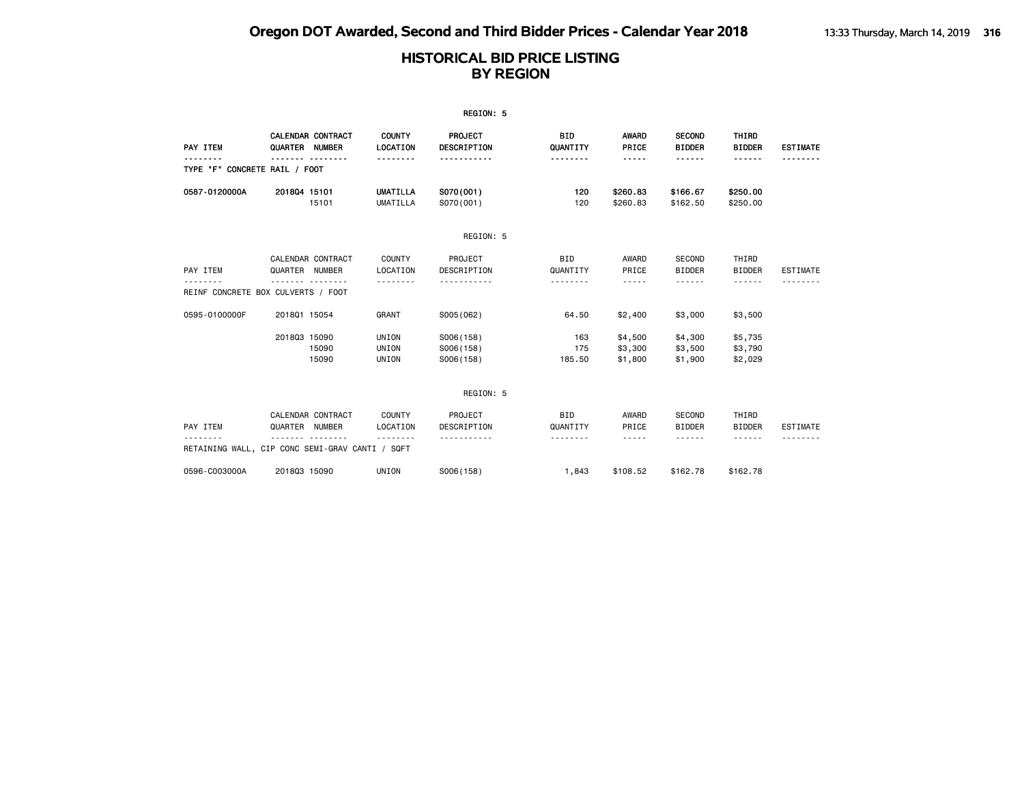|                               |                                            |                           | REGION: 5                           |                             |                                                                                                                                                                                                   |                                          |                                  |                             |
|-------------------------------|--------------------------------------------|---------------------------|-------------------------------------|-----------------------------|---------------------------------------------------------------------------------------------------------------------------------------------------------------------------------------------------|------------------------------------------|----------------------------------|-----------------------------|
| PAY ITEM                      | <b>CALENDAR CONTRACT</b><br>QUARTER NUMBER | <b>COUNTY</b><br>LOCATION | PROJECT<br><b>DESCRIPTION</b>       | <b>BID</b><br>QUANTITY      | <b>AWARD</b><br>PRICE                                                                                                                                                                             | <b>SECOND</b><br><b>BIDDER</b>           | <b>THIRD</b><br><b>BIDDER</b>    | <b>ESTIMATE</b>             |
| TYPE "F" CONCRETE RAIL / FOOT |                                            |                           |                                     | .                           | -----                                                                                                                                                                                             | - - - - - -                              | ------                           |                             |
| 0587-0120000A                 | 201804 15101<br>15101                      | UMATILLA<br>UMATILLA      | S070(001)<br>S070(001)              | 120<br>120                  | \$260.83<br>\$260.83                                                                                                                                                                              | \$166.67<br>\$162.50                     | \$250.00<br>\$250,00             |                             |
|                               |                                            |                           | REGION: 5                           |                             |                                                                                                                                                                                                   |                                          |                                  |                             |
| PAY ITEM                      | CALENDAR CONTRACT<br>QUARTER NUMBER        | COUNTY<br>LOCATION        | PROJECT<br>DESCRIPTION              | <b>BID</b><br>QUANTITY      | AWARD<br>PRICE                                                                                                                                                                                    | <b>SECOND</b><br><b>BIDDER</b>           | THIRD<br><b>BIDDER</b>           | <b>ESTIMATE</b>             |
|                               | REINF CONCRETE BOX CULVERTS / FOOT         |                           |                                     |                             | -----                                                                                                                                                                                             | - - - - - -                              |                                  |                             |
| 0595-0100000F                 | 201801 15054                               | <b>GRANT</b>              | S005(062)                           | 64.50                       | \$2,400                                                                                                                                                                                           | \$3,000                                  | \$3,500                          |                             |
|                               | 201803 15090<br>15090<br>15090             | UNION<br>UNION<br>UNION   | S006(158)<br>S006(158)<br>S006(158) | 163<br>175<br>185.50        | \$4,500<br>\$3,300<br>\$1,800                                                                                                                                                                     | \$4,300<br>\$3,500<br>\$1,900            | \$5,735<br>\$3,790<br>\$2,029    |                             |
|                               |                                            |                           | REGION: 5                           |                             |                                                                                                                                                                                                   |                                          |                                  |                             |
| PAY ITEM<br>--------          | CALENDAR CONTRACT<br>QUARTER NUMBER<br>.   | COUNTY<br>LOCATION<br>.   | PROJECT<br>DESCRIPTION<br><u>.</u>  | <b>BID</b><br>QUANTITY<br>. | AWARD<br>PRICE<br>$\frac{1}{2} \left( \frac{1}{2} \right) \left( \frac{1}{2} \right) \left( \frac{1}{2} \right) \left( \frac{1}{2} \right) \left( \frac{1}{2} \right) \left( \frac{1}{2} \right)$ | <b>SECOND</b><br><b>BIDDER</b><br>------ | THIRD<br><b>BIDDER</b><br>------ | <b>ESTIMATE</b><br>-------- |

0596-C003000A 2018Q3 15090 UNION S006(158) 1,843 \$108.52 \$162.78 \$162.78

RETAINING WALL, CIP CONC SEMI-GRAV CANTI / SQFT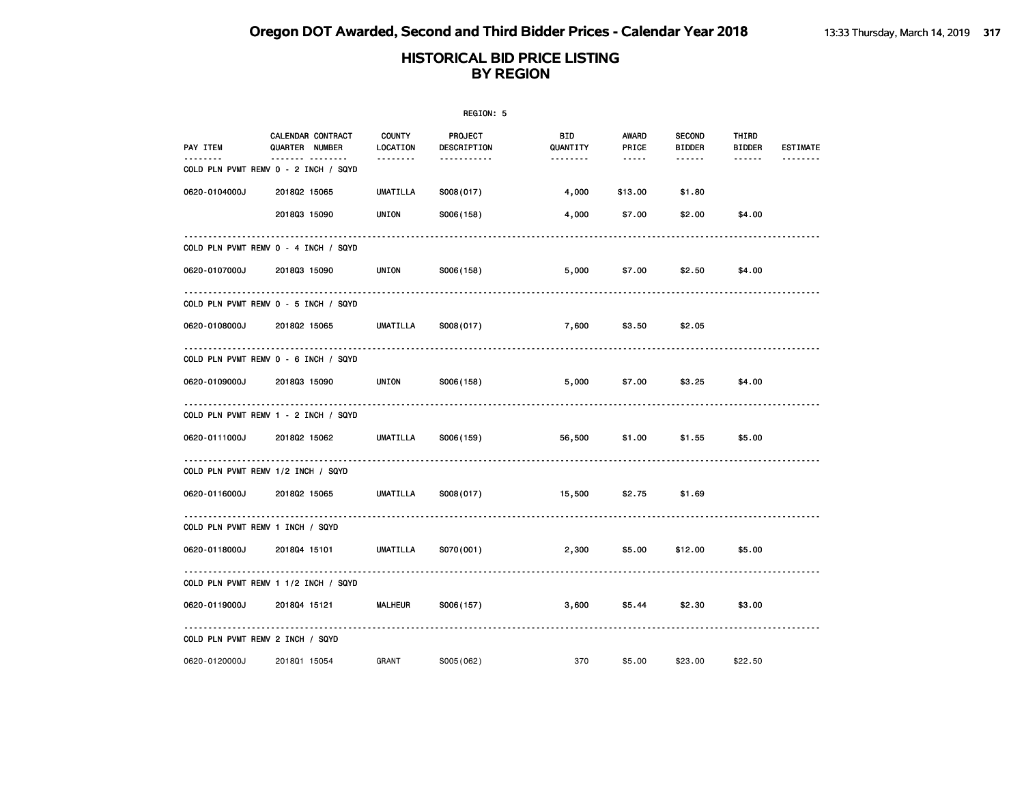|                                  |                                                 |                           | REGION: 5              |                 |                        |                                |                        |                 |
|----------------------------------|-------------------------------------------------|---------------------------|------------------------|-----------------|------------------------|--------------------------------|------------------------|-----------------|
| PAY ITEM                         | <b>CALENDAR CONTRACT</b><br>QUARTER NUMBER      | <b>COUNTY</b><br>LOCATION | PROJECT<br>DESCRIPTION | BID<br>QUANTITY | AWARD<br>PRICE         | <b>SECOND</b><br><b>BIDDER</b> | THIRD<br><b>BIDDER</b> | <b>ESTIMATE</b> |
|                                  | <u></u><br>COLD PLN PVMT REMV 0 - 2 INCH / SQYD | --------                  | -----------            | <u>.</u>        | $\cdots \cdots \cdots$ | $- - - - - -$                  | ------                 |                 |
| 0620-0104000J                    | 201802 15065                                    | UMATILLA                  | S008(017)              | 4,000           | \$13.00                | \$1.80                         |                        |                 |
|                                  | 201803 15090                                    | UNION                     | S006(158)              | 4,000           | \$7.00                 | \$2.00                         | \$4.00                 |                 |
|                                  | COLD PLN PVMT REMV 0 - 4 INCH / SQYD            |                           |                        |                 |                        |                                |                        |                 |
| 0620-0107000J                    | 201803 15090                                    | <b>UNION</b>              | S006(158)              | 5,000           | \$7.00                 | \$2.50                         | \$4.00                 |                 |
|                                  | COLD PLN PVMT REMV 0 - 5 INCH / SQYD            |                           |                        |                 |                        |                                |                        |                 |
| 0620-0108000J                    | 201802 15065                                    |                           | UMATILLA S008(017)     | 7,600           | \$3.50                 | \$2.05                         |                        |                 |
|                                  | .<br>COLD PLN PVMT REMV 0 - 6 INCH / SQYD       |                           |                        |                 |                        |                                |                        |                 |
| 0620-0109000J                    | 201803 15090                                    | UNION                     | S006(158)              | 5,000           | \$7.00                 | \$3.25                         | \$4.00                 |                 |
|                                  | COLD PLN PVMT REMV 1 - 2 INCH / SQYD            |                           |                        |                 |                        |                                |                        |                 |
|                                  | 0620-0111000J 2018Q2 15062                      | UMATILLA                  | S006(159)              | 56,500          | \$1.00                 | \$1.55                         | \$5.00                 |                 |
|                                  | COLD PLN PVMT REMV 1/2 INCH / SQYD              |                           |                        |                 |                        |                                |                        |                 |
| 0620-0116000J                    | 201802 15065                                    | UMATILLA                  | S008(017)              | 15,500          | \$2.75                 | \$1.69                         |                        |                 |
| COLD PLN PVMT REMV 1 INCH / SQYD |                                                 |                           |                        |                 |                        |                                |                        |                 |
| 0620-0118000J                    | 201804 15101                                    | UMATILLA                  | S070(001)              | 2,300           | \$5.00                 | \$12.00                        | \$5.00                 |                 |
|                                  | COLD PLN PVMT REMV 1 1/2 INCH / SQYD            |                           |                        |                 |                        |                                |                        |                 |
| 0620-0119000J                    | 201804 15121                                    | <b>MALHEUR</b>            | S006(157)              | 3,600           | \$5.44                 | \$2.30                         | \$3.00                 |                 |
| COLD PLN PVMT REMV 2 INCH / SQYD |                                                 |                           |                        |                 |                        |                                |                        |                 |
| 0620-0120000J                    | 201801 15054                                    | GRANT                     | S005(062)              | 370             | \$5.00                 | \$23.00                        | \$22.50                |                 |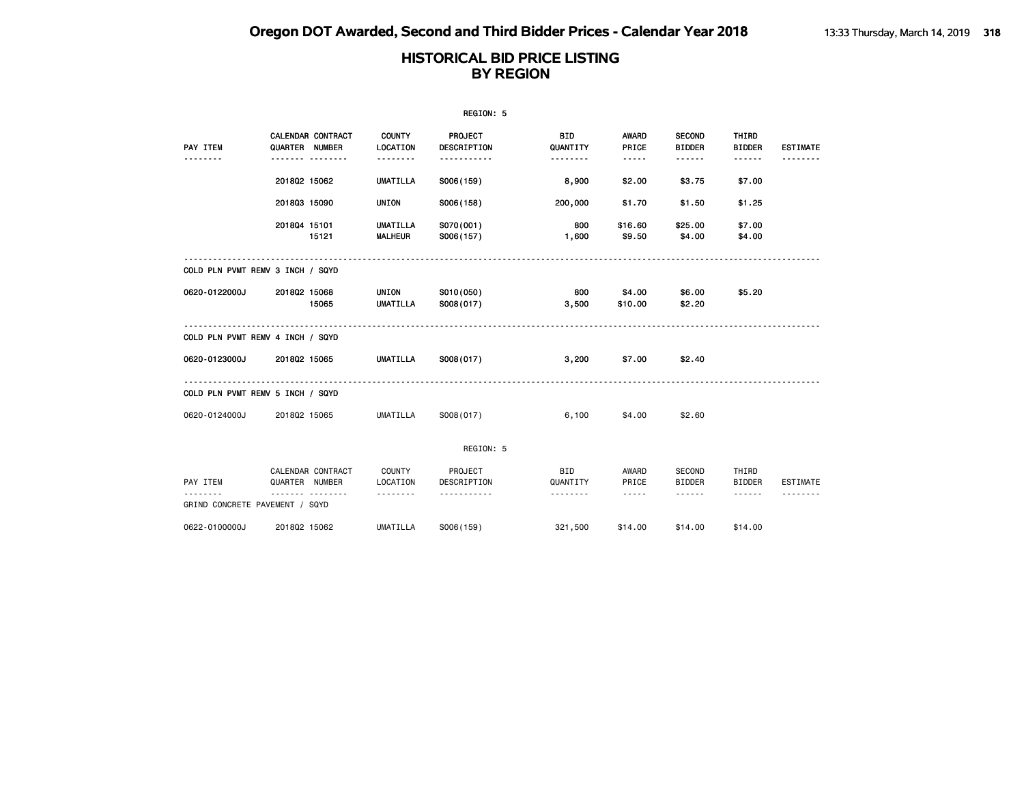|                                  |                |                   |                          | REGION: 5               |                                   |                                                                                                                                                      |                         |                                                                                                                                                                                                                                                                                                                                                                                                                                                                            |                             |
|----------------------------------|----------------|-------------------|--------------------------|-------------------------|-----------------------------------|------------------------------------------------------------------------------------------------------------------------------------------------------|-------------------------|----------------------------------------------------------------------------------------------------------------------------------------------------------------------------------------------------------------------------------------------------------------------------------------------------------------------------------------------------------------------------------------------------------------------------------------------------------------------------|-----------------------------|
|                                  |                | CALENDAR CONTRACT | COUNTY                   | PROJECT                 | <b>BID</b>                        | AWARD                                                                                                                                                | <b>SECOND</b>           | THIRD                                                                                                                                                                                                                                                                                                                                                                                                                                                                      |                             |
| PAY ITEM<br>-------              | QUARTER NUMBER | . <sub>.</sub>    | LOCATION<br><u>.</u>     | DESCRIPTION<br><u>.</u> | QUANTITY<br><u> - - - - - - -</u> | PRICE<br>$\frac{1}{2} \frac{1}{2} \frac{1}{2} \frac{1}{2} \frac{1}{2} \frac{1}{2} \frac{1}{2} \frac{1}{2} \frac{1}{2}$                               | <b>BIDDER</b><br>------ | <b>BIDDER</b>                                                                                                                                                                                                                                                                                                                                                                                                                                                              | <b>ESTIMATE</b><br>-------- |
|                                  |                |                   |                          |                         |                                   |                                                                                                                                                      |                         |                                                                                                                                                                                                                                                                                                                                                                                                                                                                            |                             |
|                                  | 201802 15062   |                   | UMATILLA                 | S006(159)               | 8,900                             | \$2.00                                                                                                                                               | \$3.75                  | \$7.00                                                                                                                                                                                                                                                                                                                                                                                                                                                                     |                             |
|                                  | 201803 15090   |                   | UNION                    | S006(158)               | 200,000                           | \$1.70                                                                                                                                               | \$1.50                  | \$1.25                                                                                                                                                                                                                                                                                                                                                                                                                                                                     |                             |
|                                  | 201804 15101   |                   | <b>UMATILLA</b>          | S070(001)               | 800                               | \$16.60                                                                                                                                              | \$25.00                 | \$7.00                                                                                                                                                                                                                                                                                                                                                                                                                                                                     |                             |
|                                  |                | 15121             | <b>MALHEUR</b>           | S006(157)               | 1,600                             | \$9.50                                                                                                                                               | \$4.00                  | \$4.00                                                                                                                                                                                                                                                                                                                                                                                                                                                                     |                             |
| COLD PLN PVMT REMV 3 INCH / SQYD |                |                   |                          |                         |                                   |                                                                                                                                                      |                         |                                                                                                                                                                                                                                                                                                                                                                                                                                                                            |                             |
|                                  |                |                   |                          |                         |                                   |                                                                                                                                                      |                         |                                                                                                                                                                                                                                                                                                                                                                                                                                                                            |                             |
| 0620-0122000J                    | 201802 15068   | 15065             | UNION<br><b>UMATILLA</b> | S010(050)<br>S008(017)  | 800<br>3,500                      | \$4.00<br>\$10.00                                                                                                                                    | \$6.00<br>\$2.20        | \$5.20                                                                                                                                                                                                                                                                                                                                                                                                                                                                     |                             |
|                                  |                |                   |                          |                         |                                   |                                                                                                                                                      |                         |                                                                                                                                                                                                                                                                                                                                                                                                                                                                            |                             |
| COLD PLN PVMT REMV 4 INCH / SQYD |                |                   |                          |                         |                                   |                                                                                                                                                      |                         |                                                                                                                                                                                                                                                                                                                                                                                                                                                                            |                             |
| 0620-0123000J                    | 201802 15065   |                   | <b>UMATILLA</b>          | S008(017)               | 3,200                             | \$7.00                                                                                                                                               | \$2.40                  |                                                                                                                                                                                                                                                                                                                                                                                                                                                                            |                             |
| COLD PLN PVMT REMV 5 INCH / SQYD |                |                   |                          |                         |                                   |                                                                                                                                                      |                         |                                                                                                                                                                                                                                                                                                                                                                                                                                                                            |                             |
| 0620-0124000J                    | 201802 15065   |                   | UMATILLA                 | SO08(017)               | 6,100                             | \$4.00                                                                                                                                               | \$2.60                  |                                                                                                                                                                                                                                                                                                                                                                                                                                                                            |                             |
|                                  |                |                   |                          | REGION: 5               |                                   |                                                                                                                                                      |                         |                                                                                                                                                                                                                                                                                                                                                                                                                                                                            |                             |
| PAY ITEM                         | QUARTER NUMBER | CALENDAR CONTRACT | COUNTY<br>LOCATION       | PROJECT<br>DESCRIPTION  | <b>BID</b><br>QUANTITY            | AWARD<br>PRICE                                                                                                                                       | SECOND<br><b>BIDDER</b> | THIRD<br><b>BIDDER</b>                                                                                                                                                                                                                                                                                                                                                                                                                                                     | <b>ESTIMATE</b>             |
| GRIND CONCRETE PAVEMENT / SQYD   |                | . <sub>.</sub>    | <u>.</u>                 | <u>.</u>                |                                   | $\frac{1}{2} \left( \frac{1}{2} \right) \left( \frac{1}{2} \right) \left( \frac{1}{2} \right) \left( \frac{1}{2} \right) \left( \frac{1}{2} \right)$ | <b>.</b>                | $\frac{1}{2} \left( \frac{1}{2} \right) \left( \frac{1}{2} \right) \left( \frac{1}{2} \right) \left( \frac{1}{2} \right) \left( \frac{1}{2} \right) \left( \frac{1}{2} \right) \left( \frac{1}{2} \right) \left( \frac{1}{2} \right) \left( \frac{1}{2} \right) \left( \frac{1}{2} \right) \left( \frac{1}{2} \right) \left( \frac{1}{2} \right) \left( \frac{1}{2} \right) \left( \frac{1}{2} \right) \left( \frac{1}{2} \right) \left( \frac{1}{2} \right) \left( \frac$ | <u>.</u>                    |
| 0622-0100000J                    | 201802 15062   |                   | UMATILLA                 | S006(159)               | 321,500                           | \$14.00                                                                                                                                              | \$14.00                 | \$14.00                                                                                                                                                                                                                                                                                                                                                                                                                                                                    |                             |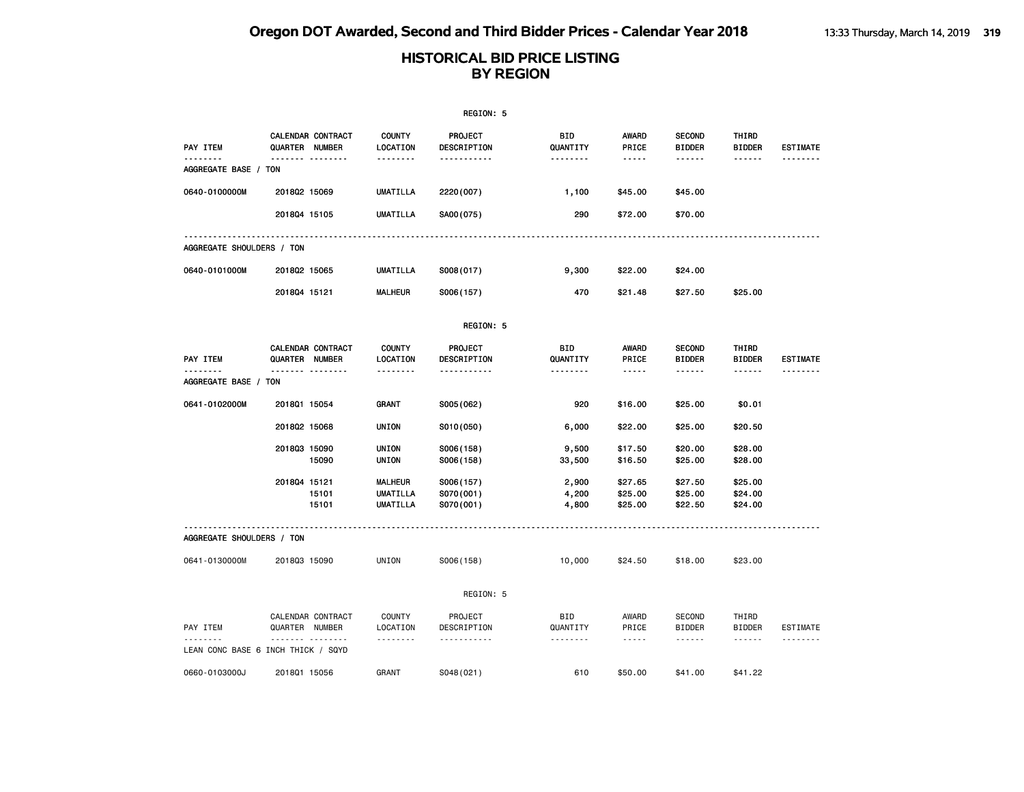|                                    |                    |                   |                                    | REGION: 5              |                 |                                                                                                               |                                |                        |                             |
|------------------------------------|--------------------|-------------------|------------------------------------|------------------------|-----------------|---------------------------------------------------------------------------------------------------------------|--------------------------------|------------------------|-----------------------------|
| PAY ITEM                           | QUARTER NUMBER     | CALENDAR CONTRACT | <b>COUNTY</b><br>LOCATION          | PROJECT<br>DESCRIPTION | BID<br>QUANTITY | AWARD<br>PRICE                                                                                                | <b>SECOND</b><br><b>BIDDER</b> | THIRD<br><b>BIDDER</b> | <b>ESTIMATE</b>             |
| .<br>AGGREGATE BASE / TON          |                    |                   | <u>.</u>                           | .                      | .               | $- - - - -$                                                                                                   | .                              |                        | .                           |
| 0640-0100000M                      | 201802 15069       |                   | UMATILLA                           | 2220 (007)             | 1,100           | \$45.00                                                                                                       | \$45.00                        |                        |                             |
|                                    | 201804 15105       |                   | <b>UMATILLA</b>                    | SA00(075)              | 290             | \$72.00                                                                                                       | \$70.00                        |                        |                             |
| AGGREGATE SHOULDERS / TON          |                    |                   |                                    |                        |                 |                                                                                                               |                                |                        |                             |
| 0640-0101000M                      | 201802 15065       |                   | <b>UMATILLA</b>                    | S008(017)              | 9,300           | \$22.00                                                                                                       | \$24.00                        |                        |                             |
|                                    | 201804 15121       |                   | <b>MALHEUR</b>                     | S006(157)              | 470             | \$21.48                                                                                                       | \$27.50                        | \$25.00                |                             |
|                                    |                    |                   |                                    | REGION: 5              |                 |                                                                                                               |                                |                        |                             |
| PAY ITEM<br>.                      | QUARTER NUMBER<br> | CALENDAR CONTRACT | <b>COUNTY</b><br>LOCATION          | PROJECT<br>DESCRIPTION | BID<br>QUANTITY | <b>AWARD</b><br>PRICE                                                                                         | <b>SECOND</b><br><b>BIDDER</b> | THIRD<br><b>BIDDER</b> | <b>ESTIMATE</b><br>-------- |
| AGGREGATE BASE / TON               |                    |                   | <u>.</u>                           | -----------            | <u>.</u>        | $\frac{1}{2} \frac{1}{2} \frac{1}{2} \frac{1}{2} \frac{1}{2} \frac{1}{2} \frac{1}{2} \frac{1}{2} \frac{1}{2}$ | ------                         | ------                 |                             |
| 0641-0102000M                      | 201801 15054       |                   | GRANT                              | S005(062)              | 920             | \$16.00                                                                                                       | \$25.00                        | \$0.01                 |                             |
|                                    | 201802 15068       |                   | UNION                              | S010(050)              | 6,000           | \$22.00                                                                                                       | \$25.00                        | \$20.50                |                             |
|                                    | 201803 15090       | 15090             | UNION<br>UNION                     | S006(158)<br>S006(158) | 9,500<br>33,500 | \$17.50<br>\$16.50                                                                                            | \$20.00<br>\$25.00             | \$28.00<br>\$28.00     |                             |
|                                    | 201804 15121       |                   | <b>MALHEUR</b>                     | S006(157)              | 2,900           | \$27.65                                                                                                       | \$27.50                        | \$25.00                |                             |
|                                    |                    | 15101<br>15101    | <b>UMATILLA</b><br><b>UMATILLA</b> | S070(001)<br>S070(001) | 4,200<br>4,800  | \$25.00<br>\$25.00                                                                                            | \$25.00<br>\$22.50             | \$24.00<br>\$24.00     |                             |
| AGGREGATE SHOULDERS / TON          |                    |                   |                                    |                        |                 |                                                                                                               |                                |                        |                             |
| 0641-0130000M                      | 201803 15090       |                   | UNION                              | S006(158)              | 10,000          | \$24.50                                                                                                       | \$18.00                        | \$23.00                |                             |
|                                    |                    |                   |                                    | REGION: 5              |                 |                                                                                                               |                                |                        |                             |
| PAY ITEM                           | QUARTER NUMBER     | CALENDAR CONTRACT | <b>COUNTY</b><br>LOCATION          | PROJECT<br>DESCRIPTION | BID<br>QUANTITY | AWARD<br>PRICE                                                                                                | <b>SECOND</b><br><b>BIDDER</b> | THIRD<br><b>BIDDER</b> | ESTIMATE                    |
| LEAN CONC BASE 6 INCH THICK / SQYD | .                  |                   | .                                  | -----------            | .               | $\frac{1}{2}$                                                                                                 | ------                         | ------                 | .                           |
| 0660-0103000J                      | 201801 15056       |                   | GRANT                              | S048(021)              | 610             | \$50.00                                                                                                       | \$41.00                        | \$41.22                |                             |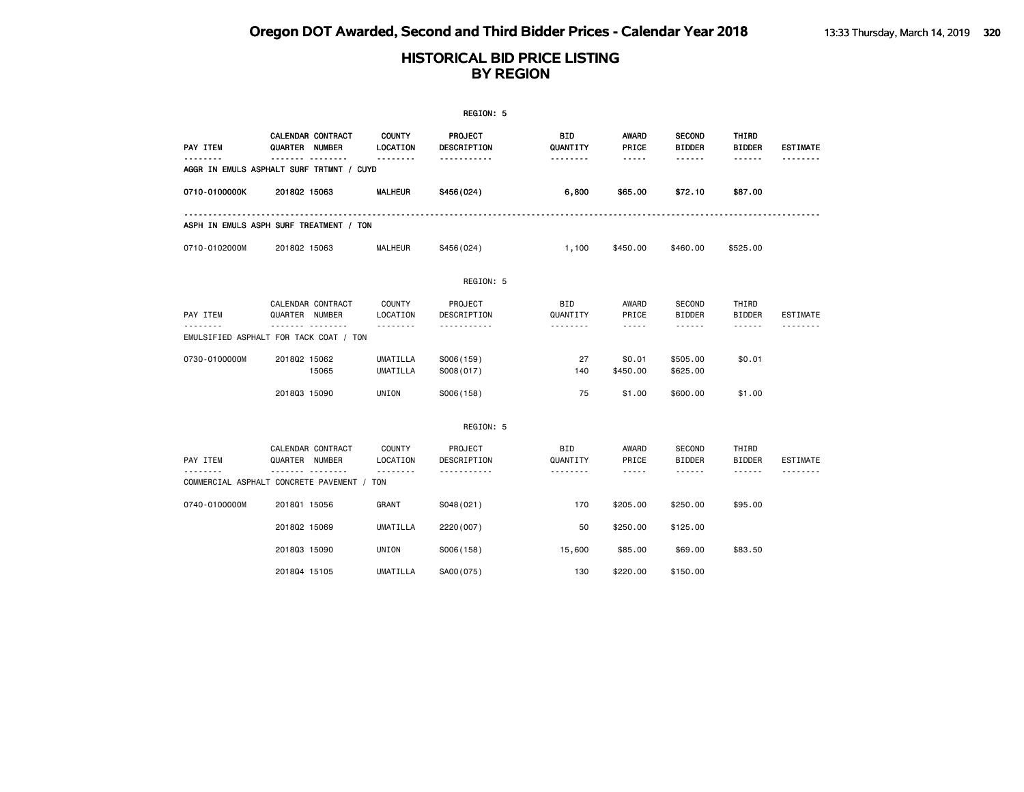|               |                                                                                    |                                    | REGION: 5                          |                             |                                                                                                                                                                        |                                            |                                  |                             |
|---------------|------------------------------------------------------------------------------------|------------------------------------|------------------------------------|-----------------------------|------------------------------------------------------------------------------------------------------------------------------------------------------------------------|--------------------------------------------|----------------------------------|-----------------------------|
| PAY ITEM      | CALENDAR CONTRACT<br>QUARTER NUMBER                                                | <b>COUNTY</b><br>LOCATION          | PROJECT<br>DESCRIPTION             | BID<br>QUANTITY             | <b>AWARD</b><br>PRICE                                                                                                                                                  | <b>SECOND</b><br><b>BIDDER</b>             | THIRD<br><b>BIDDER</b>           | <b>ESTIMATE</b>             |
|               | AGGR IN EMULS ASPHALT SURF TRTMNT / CUYD                                           | .                                  | .                                  | <u>.</u>                    | -----                                                                                                                                                                  | ------                                     | ------                           |                             |
| 0710-0100000K | 201802 15063                                                                       | <b>MALHEUR</b>                     | S456(024)                          | 6,800                       | \$65.00                                                                                                                                                                | \$72.10                                    | \$87.00                          |                             |
|               | ASPH IN EMULS ASPH SURF TREATMENT / TON                                            |                                    |                                    |                             |                                                                                                                                                                        |                                            |                                  |                             |
| 0710-0102000M | 201802 15063                                                                       | <b>MALHEUR</b>                     | S456(024)                          | 1,100                       | \$450.00                                                                                                                                                               | \$460.00                                   | \$525.00                         |                             |
|               |                                                                                    |                                    | REGION: 5                          |                             |                                                                                                                                                                        |                                            |                                  |                             |
| PAY ITEM      | CALENDAR CONTRACT<br>QUARTER NUMBER<br>.<br>EMULSIFIED ASPHALT FOR TACK COAT / TON | COUNTY<br>LOCATION<br><u>.</u>     | PROJECT<br>DESCRIPTION<br>.        | <b>BID</b><br>QUANTITY      | AWARD<br>PRICE<br>$- - - - -$                                                                                                                                          | SECOND<br><b>BIDDER</b><br>------          | THIRD<br><b>BIDDER</b><br>------ | <b>ESTIMATE</b>             |
| 0730-0100000M | 201802 15062<br>15065                                                              | <b>UMATILLA</b><br><b>UMATILLA</b> | S006(159)<br>SO08(017)             | 27<br>140                   | \$0.01<br>\$450.00                                                                                                                                                     | \$505.00<br>\$625.00                       | \$0.01                           |                             |
|               | 201803 15090                                                                       | UNION                              | S006(158)                          | 75                          | \$1.00                                                                                                                                                                 | \$600.00                                   | \$1.00                           |                             |
|               |                                                                                    |                                    | REGION: 5                          |                             |                                                                                                                                                                        |                                            |                                  |                             |
| PAY ITEM      | CALENDAR CONTRACT<br>QUARTER NUMBER<br>.                                           | <b>COUNTY</b><br>LOCATION<br>.     | PROJECT<br>DESCRIPTION<br><u>.</u> | <b>BID</b><br>QUANTITY<br>. | AWARD<br>PRICE<br>$\frac{1}{2} \left( \frac{1}{2} \right) \left( \frac{1}{2} \right) \left( \frac{1}{2} \right) \left( \frac{1}{2} \right) \left( \frac{1}{2} \right)$ | <b>SECOND</b><br><b>BIDDER</b><br><b>.</b> | THIRD<br><b>BIDDER</b><br>------ | <b>ESTIMATE</b><br><u>.</u> |
|               | COMMERCIAL ASPHALT CONCRETE PAVEMENT / TON                                         |                                    |                                    |                             |                                                                                                                                                                        |                                            |                                  |                             |
| 0740-0100000M | 201801 15056                                                                       | GRANT                              | S048(021)                          | 170                         | \$205.00                                                                                                                                                               | \$250.00                                   | \$95.00                          |                             |
|               | 201802 15069                                                                       | <b>UMATILLA</b>                    | 2220 (007)                         | 50                          | \$250.00                                                                                                                                                               | \$125.00                                   |                                  |                             |
|               | 201803 15090                                                                       | UNION                              | S006(158)                          | 15,600                      | \$85.00                                                                                                                                                                | \$69.00                                    | \$83.50                          |                             |
|               | 201804 15105                                                                       | <b>UMATILLA</b>                    | SA00(075)                          | 130                         | \$220.00                                                                                                                                                               | \$150.00                                   |                                  |                             |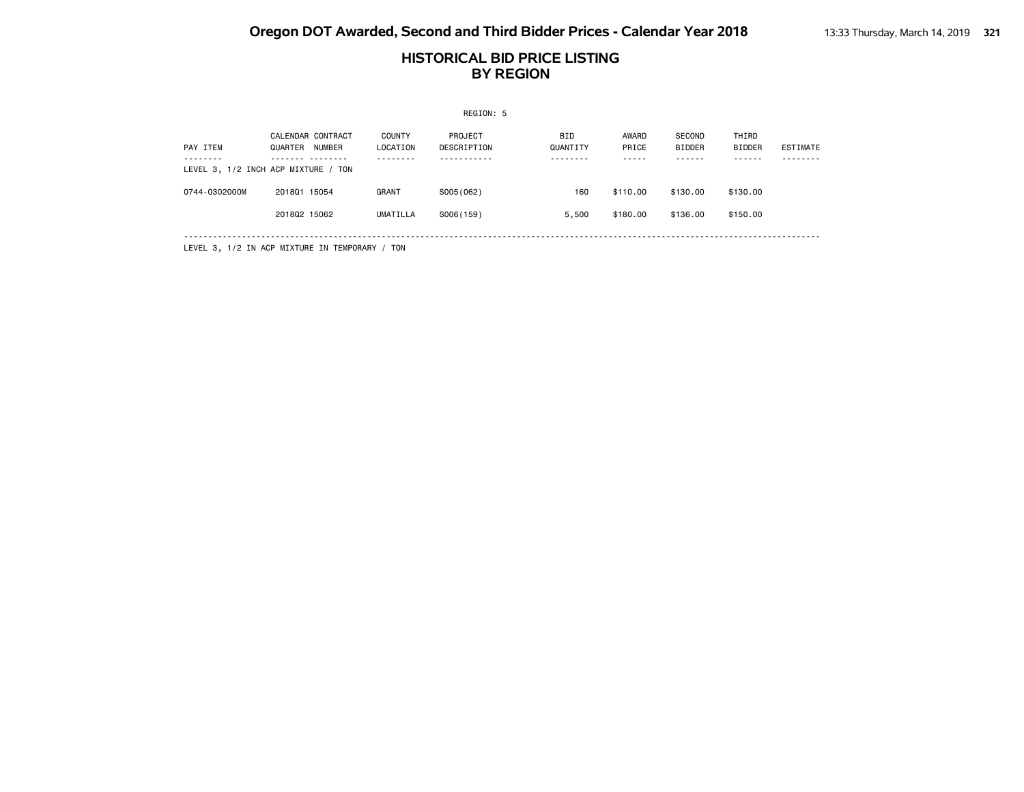#### **HISTORICAL BID PRICE LISTING BY REGION**

|               |                                                                                                                             |                           | REGION: 5              |                        |                |                         |                        |                 |
|---------------|-----------------------------------------------------------------------------------------------------------------------------|---------------------------|------------------------|------------------------|----------------|-------------------------|------------------------|-----------------|
| PAY ITEM      | CALENDAR CONTRACT<br><b>NUMBER</b><br>QUARTER                                                                               | <b>COUNTY</b><br>LOCATION | PROJECT<br>DESCRIPTION | <b>BID</b><br>QUANTITY | AWARD<br>PRICE | SECOND<br><b>BIDDER</b> | THIRD<br><b>BIDDER</b> | <b>ESTIMATE</b> |
|               | LEVEL 3, 1/2 INCH ACP MIXTURE / TON                                                                                         |                           |                        |                        |                |                         |                        |                 |
| 0744-0302000M | 201801 15054                                                                                                                | <b>GRANT</b>              | S005(062)              | 160                    | \$110.00       | \$130,00                | \$130,00               |                 |
|               | 201802 15062                                                                                                                | <b>UMATILLA</b>           | S006(159)              | 5,500                  | \$180.00       | \$136,00                | \$150,00               |                 |
|               | $\mathbf{r} = \mathbf{r} \cdot \mathbf{r}$ , and the contract of the contract of $\mathbf{r} = \mathbf{r} \cdot \mathbf{r}$ |                           |                        |                        |                |                         |                        |                 |

LEVEL 3, 1/2 IN ACP MIXTURE IN TEMPORARY / TON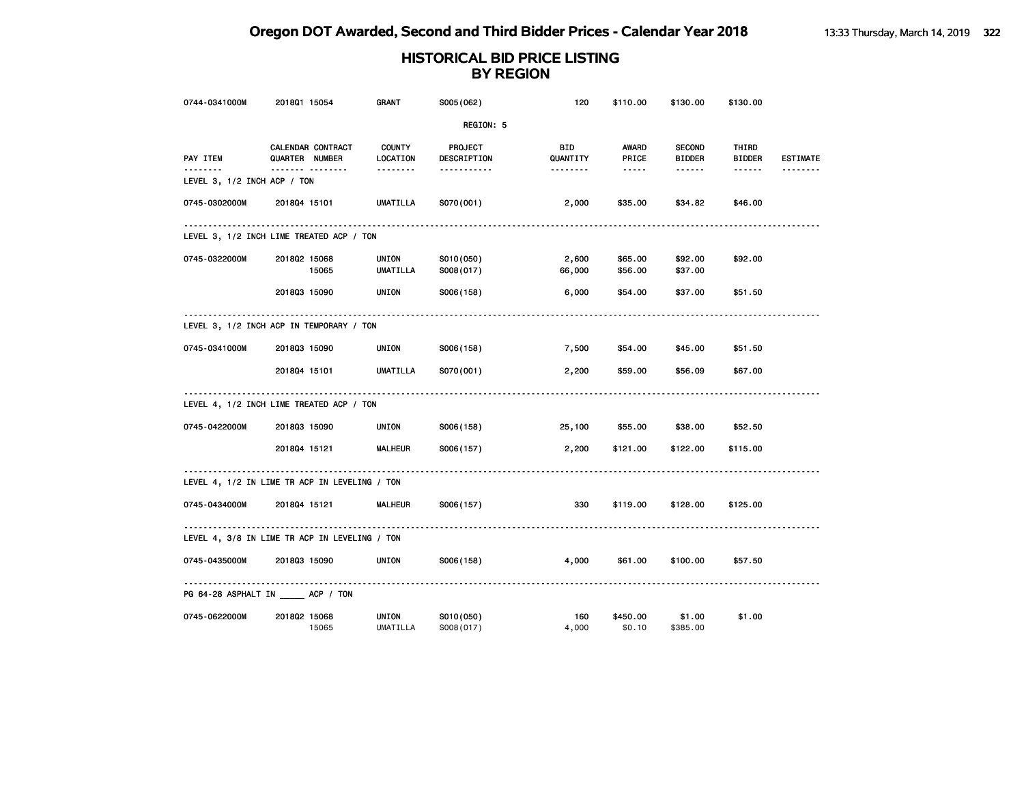| 0744-0341000M               | 2018Q1 15054                                  | GRANT                    | S005(062)              | 120                    | \$110.00                                                                                                      | \$130.00                       | \$130.00               |                 |
|-----------------------------|-----------------------------------------------|--------------------------|------------------------|------------------------|---------------------------------------------------------------------------------------------------------------|--------------------------------|------------------------|-----------------|
|                             |                                               |                          | REGION: 5              |                        |                                                                                                               |                                |                        |                 |
| PAY ITEM                    | CALENDAR CONTRACT<br>QUARTER NUMBER           | COUNTY<br>LOCATION       | PROJECT<br>DESCRIPTION | <b>BID</b><br>QUANTITY | AWARD<br>PRICE                                                                                                | <b>SECOND</b><br><b>BIDDER</b> | THIRD<br><b>BIDDER</b> | <b>ESTIMATE</b> |
| LEVEL 3, 1/2 INCH ACP / TON | <u> </u>                                      |                          | -----------            | <u> - - - - - - -</u>  | $\frac{1}{2} \frac{1}{2} \frac{1}{2} \frac{1}{2} \frac{1}{2} \frac{1}{2} \frac{1}{2} \frac{1}{2} \frac{1}{2}$ | ------                         | ------                 |                 |
| 0745-0302000M               | 201804 15101                                  | UMATILLA                 | S070(001)              | 2,000                  | \$35.00                                                                                                       | \$34.82                        | \$46.00                |                 |
|                             | LEVEL 3, 1/2 INCH LIME TREATED ACP / TON      |                          |                        |                        |                                                                                                               |                                |                        |                 |
| 0745-0322000M               | 201802 15068<br>15065                         | UNION<br><b>UMATILLA</b> | S010(050)<br>S008(017) | 2,600<br>66,000        | \$65.00<br>\$56.00                                                                                            | \$92.00<br>\$37.00             | \$92.00                |                 |
|                             | 201803 15090                                  | UNION                    | S006(158)              | 6,000                  | \$54.00                                                                                                       | \$37.00                        | \$51.50                |                 |
|                             | LEVEL 3, 1/2 INCH ACP IN TEMPORARY / TON      |                          |                        |                        |                                                                                                               |                                |                        |                 |
| 0745-0341000M               | 201803 15090                                  | UNION                    | S006(158)              | 7,500                  | \$54.00                                                                                                       | \$45.00                        | \$51.50                |                 |
|                             | 201804 15101                                  | UMATILLA                 | S070(001)              | 2,200                  | \$59.00                                                                                                       | \$56.09                        | \$67.00                |                 |
|                             | LEVEL 4, 1/2 INCH LIME TREATED ACP / TON      |                          |                        |                        |                                                                                                               |                                |                        |                 |
| 0745-0422000M               | 201803 15090                                  | UNION                    | S006(158)              | 25,100                 | \$55.00                                                                                                       | \$38.00                        | \$52.50                |                 |
|                             | 201804 15121                                  | <b>MALHEUR</b>           | S006(157)              | 2,200                  | \$121.00                                                                                                      | \$122.00                       | \$115.00               |                 |
|                             | LEVEL 4, 1/2 IN LIME TR ACP IN LEVELING / TON |                          |                        |                        |                                                                                                               |                                |                        |                 |
| 0745-0434000M               | 201804 15121                                  | <b>MALHEUR</b>           | S006(157)              | 330                    | \$119.00                                                                                                      | \$128.00                       | \$125.00               |                 |
|                             | LEVEL 4, 3/8 IN LIME TR ACP IN LEVELING / TON |                          |                        |                        |                                                                                                               |                                |                        |                 |
| 0745-0435000M               | 201803 15090                                  | UNION                    | S006(158)              | 4,000                  | \$61.00                                                                                                       | \$100.00                       | \$57.50                |                 |
|                             | PG 64-28 ASPHALT IN _____ ACP / TON           |                          |                        |                        |                                                                                                               |                                |                        |                 |
| 0745-0622000M               | 201802 15068<br>15065                         | UNION<br>UMATILLA        | S010(050)<br>S008(017) | 160<br>4,000           | \$450.00<br>\$0.10                                                                                            | \$1.00<br>\$385.00             | \$1.00                 |                 |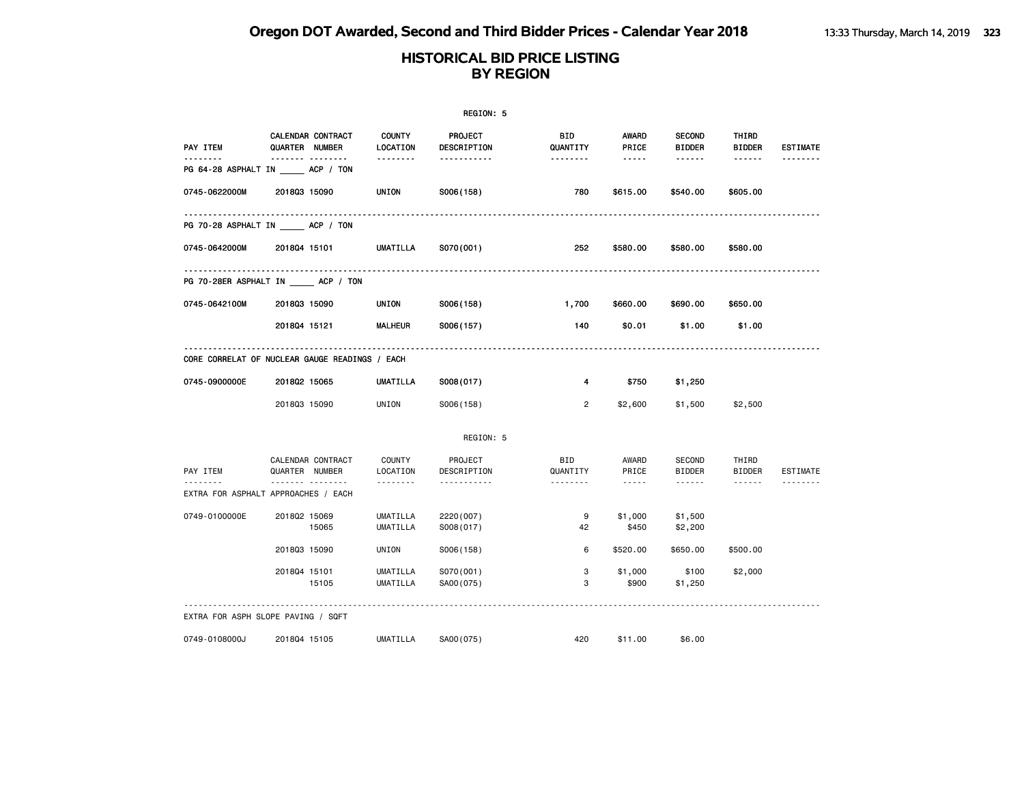|               |                                                 |                           | REGION: 5               |                       |                                                                                                                                                                                 |                                |                                                                                                                           |                 |
|---------------|-------------------------------------------------|---------------------------|-------------------------|-----------------------|---------------------------------------------------------------------------------------------------------------------------------------------------------------------------------|--------------------------------|---------------------------------------------------------------------------------------------------------------------------|-----------------|
| PAY ITEM      | CALENDAR CONTRACT<br>QUARTER NUMBER             | <b>COUNTY</b><br>LOCATION | PROJECT<br>DESCRIPTION  | BID<br>QUANTITY       | AWARD<br>PRICE                                                                                                                                                                  | <b>SECOND</b><br><b>BIDDER</b> | THIRD<br><b>BIDDER</b>                                                                                                    | <b>ESTIMATE</b> |
| .             | .<br>PG 64-28 ASPHALT IN _____ ACP / TON        |                           | <u>.</u>                | <u> - - - - - - -</u> | $\frac{1}{2} \frac{1}{2} \frac{1}{2} \frac{1}{2} \frac{1}{2} \frac{1}{2} \frac{1}{2} \frac{1}{2} \frac{1}{2}$                                                                   | ------                         |                                                                                                                           |                 |
| 0745-0622000M | 201803 15090                                    | UNION                     | S006(158)               | 780                   | \$615.00                                                                                                                                                                        | \$540.00                       | \$605.00                                                                                                                  |                 |
|               | <u>.</u><br>PG 70-28 ASPHALT IN _____ ACP / TON |                           |                         |                       |                                                                                                                                                                                 |                                |                                                                                                                           |                 |
| 0745-0642000M | 201804 15101                                    | UMATILLA                  | S070(001)               | 252                   | \$580.00                                                                                                                                                                        | \$580.00                       | \$580.00                                                                                                                  |                 |
|               | PG 70-28ER ASPHALT IN ACP / TON                 |                           |                         |                       |                                                                                                                                                                                 |                                |                                                                                                                           |                 |
| 0745-0642100M | 201803 15090                                    | UNION                     | S006(158)               | 1,700                 | \$660.00                                                                                                                                                                        | \$690.00                       | \$650.00                                                                                                                  |                 |
|               | 201804 15121                                    | <b>MALHEUR</b>            | S006(157)               | 140                   | \$0.01                                                                                                                                                                          | \$1.00                         | \$1.00                                                                                                                    |                 |
|               | CORE CORRELAT OF NUCLEAR GAUGE READINGS / EACH  |                           |                         |                       |                                                                                                                                                                                 |                                |                                                                                                                           |                 |
| 0745-0900000E | 201802 15065                                    | UMATILLA                  | S008(017)               | 4                     | \$750                                                                                                                                                                           | \$1,250                        |                                                                                                                           |                 |
|               | 201803 15090                                    | UNION                     | S006(158)               | $\overline{2}$        | \$2,600                                                                                                                                                                         | \$1,500                        | \$2,500                                                                                                                   |                 |
|               |                                                 |                           | REGION: 5               |                       |                                                                                                                                                                                 |                                |                                                                                                                           |                 |
| PAY ITEM      | CALENDAR CONTRACT<br>QUARTER NUMBER             | COUNTY<br>LOCATION        | PROJECT<br>DESCRIPTION  | BID<br>QUANTITY       | AWARD<br>PRICE                                                                                                                                                                  | SECOND<br>BIDDER               | THIRD<br>BIDDER                                                                                                           | ESTIMATE        |
|               | .<br>EXTRA FOR ASPHALT APPROACHES / EACH        | .                         | .                       | .                     | $\frac{1}{2} \left( \frac{1}{2} \right) \left( \frac{1}{2} \right) \left( \frac{1}{2} \right) \left( \frac{1}{2} \right) \left( \frac{1}{2} \right) \left( \frac{1}{2} \right)$ | $\cdots \cdots \cdots$         | $\begin{array}{cccccccccccccc} \bullet & \bullet & \bullet & \bullet & \bullet & \bullet & \bullet & \bullet \end{array}$ |                 |
| 0749-0100000E | 201802 15069<br>15065                           | UMATILLA<br>UMATILLA      | 2220 (007)<br>S008(017) | 9<br>42               | \$1,000<br>\$450                                                                                                                                                                | \$1,500<br>\$2,200             |                                                                                                                           |                 |
|               | 201803 15090                                    | UNION                     | S006(158)               | 6                     | \$520.00                                                                                                                                                                        | \$650.00                       | \$500.00                                                                                                                  |                 |
|               | 201804 15101<br>15105                           | UMATILLA<br>UMATILLA      | S070(001)<br>SA00(075)  | 3<br>3                | \$1,000<br>\$900                                                                                                                                                                | \$100<br>\$1,250               | \$2,000                                                                                                                   |                 |
|               | EXTRA FOR ASPH SLOPE PAVING / SQFT              |                           |                         |                       |                                                                                                                                                                                 |                                |                                                                                                                           |                 |
| 0749-0108000J | 201804 15105                                    | UMATILLA                  | SA00(075)               | 420                   | \$11.00                                                                                                                                                                         | \$6.00                         |                                                                                                                           |                 |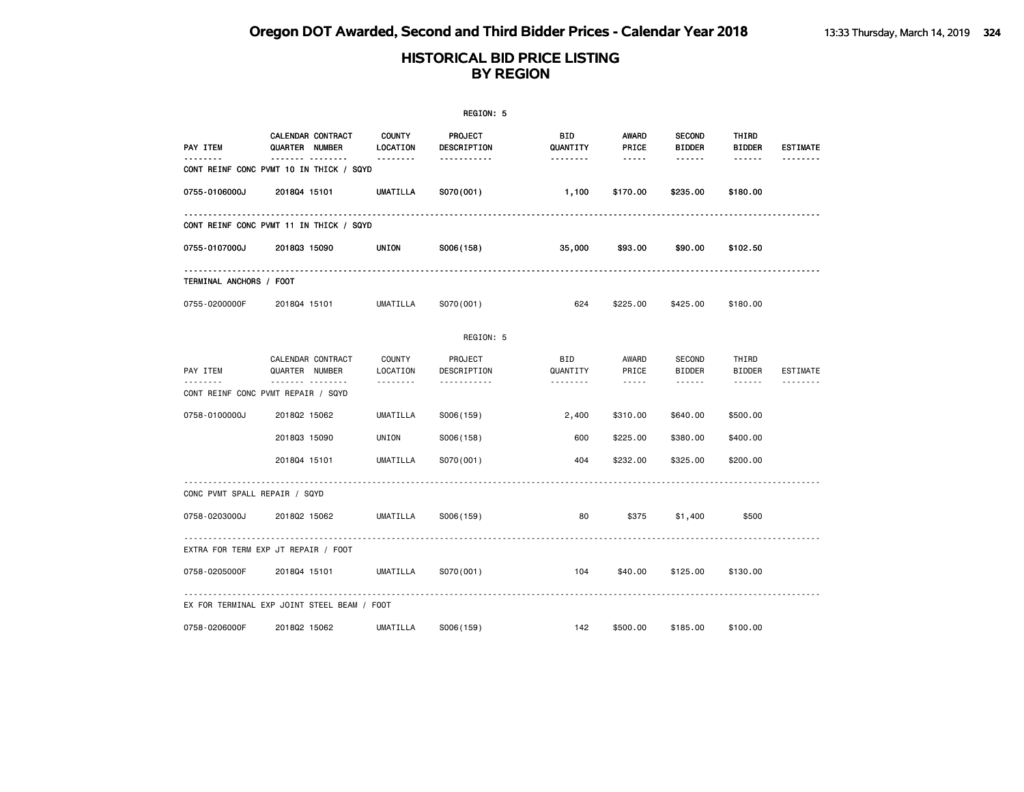|                               |                                                              |                           | REGION: 5              |                        |                                                                                                                                                      |                                |                        |                 |
|-------------------------------|--------------------------------------------------------------|---------------------------|------------------------|------------------------|------------------------------------------------------------------------------------------------------------------------------------------------------|--------------------------------|------------------------|-----------------|
| PAY ITEM                      | CALENDAR CONTRACT<br>QUARTER NUMBER                          | <b>COUNTY</b><br>LOCATION | PROJECT<br>DESCRIPTION | BID<br>QUANTITY        | AWARD<br>PRICE                                                                                                                                       | <b>SECOND</b><br><b>BIDDER</b> | THIRD<br><b>BIDDER</b> | <b>ESTIMATE</b> |
|                               | -------- --------<br>CONT REINF CONC PVMT 10 IN THICK / SQYD | --------                  | -----------            | --------               | $\frac{1}{2} \left( \frac{1}{2} \right) \left( \frac{1}{2} \right) \left( \frac{1}{2} \right) \left( \frac{1}{2} \right) \left( \frac{1}{2} \right)$ | ------                         | ------                 | --------        |
| 0755-0106000J                 | 201804 15101                                                 | <b>UMATILLA</b>           | S070(001)              | 1,100                  | \$170.00                                                                                                                                             | \$235.00                       | \$180.00               |                 |
|                               | CONT REINF CONC PVMT 11 IN THICK / SQYD                      | <u>.</u>                  |                        |                        |                                                                                                                                                      |                                |                        |                 |
| 0755-0107000J                 | 201803 15090                                                 | UNION                     | S006(158)              | 35,000                 | \$93.00                                                                                                                                              | \$90.00                        | \$102.50               |                 |
| TERMINAL ANCHORS / FOOT       |                                                              |                           |                        |                        |                                                                                                                                                      |                                |                        |                 |
| 0755-0200000F                 | 201804 15101                                                 | UMATILLA                  | S070(001)              | 624                    | \$225.00                                                                                                                                             | \$425.00                       | \$180.00               |                 |
|                               |                                                              |                           | REGION: 5              |                        |                                                                                                                                                      |                                |                        |                 |
| PAY ITEM                      | CALENDAR CONTRACT<br>QUARTER NUMBER                          | COUNTY<br>LOCATION        | PROJECT<br>DESCRIPTION | <b>BID</b><br>QUANTITY | AWARD<br>PRICE                                                                                                                                       | SECOND<br>BIDDER               | THIRD<br>BIDDER        | <b>ESTIMATE</b> |
|                               | <u> </u><br>CONT REINF CONC PVMT REPAIR / SQYD               | .                         | .                      | .                      | $\sim$ $\sim$ $\sim$ $\sim$ $\sim$                                                                                                                   |                                |                        | --------        |
| 0758-0100000J                 | 201802 15062                                                 | UMATILLA                  | S006(159)              | 2,400                  | \$310.00                                                                                                                                             | \$640.00                       | \$500.00               |                 |
|                               | 201803 15090                                                 | UNION                     | S006(158)              | 600                    | \$225.00                                                                                                                                             | \$380.00                       | \$400.00               |                 |
|                               | 201804 15101                                                 | UMATILLA                  | S070(001)              | 404                    | \$232.00                                                                                                                                             | \$325.00                       | \$200.00               |                 |
| CONC PVMT SPALL REPAIR / SQYD |                                                              |                           |                        |                        |                                                                                                                                                      |                                |                        |                 |
| 0758-0203000J                 | 201802 15062                                                 | UMATILLA                  | S006(159)              | 80                     | \$375                                                                                                                                                | \$1,400                        | \$500                  |                 |
|                               | EXTRA FOR TERM EXP JT REPAIR / FOOT                          |                           |                        |                        |                                                                                                                                                      |                                |                        |                 |
| 0758-0205000F                 | 201804 15101                                                 | UMATILLA                  | S070(001)              | 104                    | \$40,00                                                                                                                                              | \$125.00                       | \$130,00               |                 |
|                               | EX FOR TERMINAL EXP JOINT STEEL BEAM / FOOT                  |                           |                        |                        |                                                                                                                                                      |                                |                        |                 |
| 0758-0206000F                 | 201802 15062                                                 | UMATILLA                  | S006(159)              | 142                    | \$500.00                                                                                                                                             | \$185.00                       | \$100.00               |                 |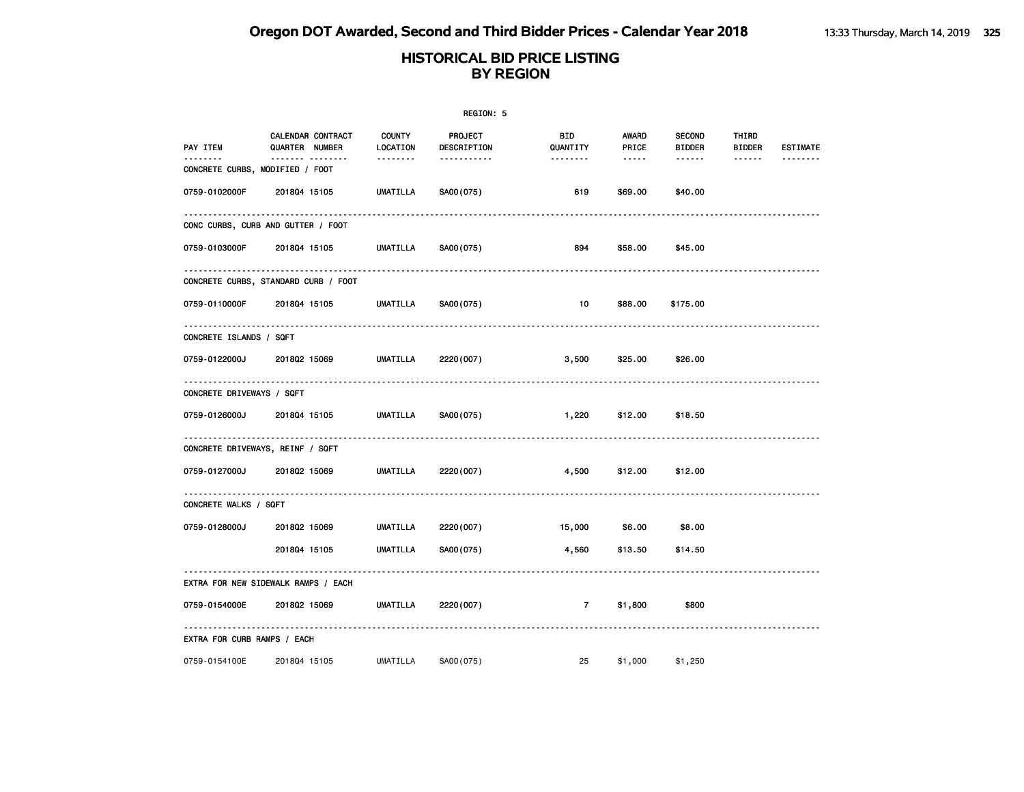|                             |                                             |                           | REGION: 5                     |                         |                                                                                                                                                      |                                |                 |                 |
|-----------------------------|---------------------------------------------|---------------------------|-------------------------------|-------------------------|------------------------------------------------------------------------------------------------------------------------------------------------------|--------------------------------|-----------------|-----------------|
| PAY ITEM                    | CALENDAR CONTRACT<br>QUARTER NUMBER         | <b>COUNTY</b><br>LOCATION | <b>PROJECT</b><br>DESCRIPTION | BID<br>QUANTITY         | AWARD<br>PRICE                                                                                                                                       | <b>SECOND</b><br><b>BIDDER</b> | THIRD<br>BIDDER | <b>ESTIMATE</b> |
| .                           | <u> </u><br>CONCRETE CURBS, MODIFIED / FOOT | <u> - - - - - - -</u>     | -----------                   | <u> - - - - - - -</u>   | $\frac{1}{2} \left( \frac{1}{2} \right) \left( \frac{1}{2} \right) \left( \frac{1}{2} \right) \left( \frac{1}{2} \right) \left( \frac{1}{2} \right)$ | $- - - - - -$                  |                 | <u>.</u>        |
| 0759-0102000F               | 201804 15105                                | UMATILLA                  | SA00(075)                     | 619                     | \$69.00                                                                                                                                              | \$40.00                        |                 |                 |
|                             | CONC CURBS, CURB AND GUTTER / FOOT          |                           |                               |                         |                                                                                                                                                      |                                |                 |                 |
|                             | 0759-0103000F 2018Q4 15105                  | UMATILLA                  | SA00 (075)                    | 894                     | \$58.00                                                                                                                                              | \$45.00                        |                 |                 |
|                             | CONCRETE CURBS, STANDARD CURB / FOOT        |                           |                               |                         |                                                                                                                                                      |                                |                 |                 |
|                             | 0759-0110000F 2018Q4 15105                  | UMATILLA                  | SA00(075)                     | $\sim$ 10               | \$88.00                                                                                                                                              | \$175.00                       |                 |                 |
| CONCRETE ISLANDS / SQFT     |                                             |                           |                               |                         |                                                                                                                                                      |                                |                 |                 |
| 0759-0122000J               | 2018Q2 15069 UMATILLA                       |                           | 2220 (007)                    | 3,500                   | \$25.00                                                                                                                                              | \$26.00                        |                 |                 |
| CONCRETE DRIVEWAYS / SQFT   |                                             |                           |                               |                         |                                                                                                                                                      |                                |                 |                 |
| 0759-0126000J               | 201804 15105                                | UMATILLA SA00(075)        |                               | $1,220$ \$12.00 \$18.50 |                                                                                                                                                      |                                |                 |                 |
|                             | .<br>CONCRETE DRIVEWAYS, REINF / SQFT       |                           |                               |                         |                                                                                                                                                      |                                |                 |                 |
|                             | 0759-0127000J 2018Q2 15069                  | UMATILLA                  | 2220 (007)                    | 4,500                   | \$12.00                                                                                                                                              | \$12.00                        |                 |                 |
| CONCRETE WALKS / SQFT       |                                             |                           |                               |                         |                                                                                                                                                      |                                |                 |                 |
| 0759-0128000J               | 201802 15069                                | UMATILLA                  | 2220 (007)                    | 15,000 \$6.00           |                                                                                                                                                      | \$8.00                         |                 |                 |
|                             | 201804 15105                                | UMATILLA                  | SA00(075)                     | 4,560                   | \$13.50                                                                                                                                              | \$14.50                        |                 |                 |
|                             | EXTRA FOR NEW SIDEWALK RAMPS / EACH         |                           |                               |                         |                                                                                                                                                      |                                |                 |                 |
| 0759-0154000E               | 201802 15069                                | UMATILLA                  | 2220 (007)                    |                         | \$1,800                                                                                                                                              | \$800                          |                 |                 |
| EXTRA FOR CURB RAMPS / EACH |                                             |                           |                               |                         |                                                                                                                                                      |                                |                 |                 |
| 0759-0154100E               | 201804 15105                                | UMATILLA                  | SA00(075)                     | 25                      | \$1,000                                                                                                                                              | \$1,250                        |                 |                 |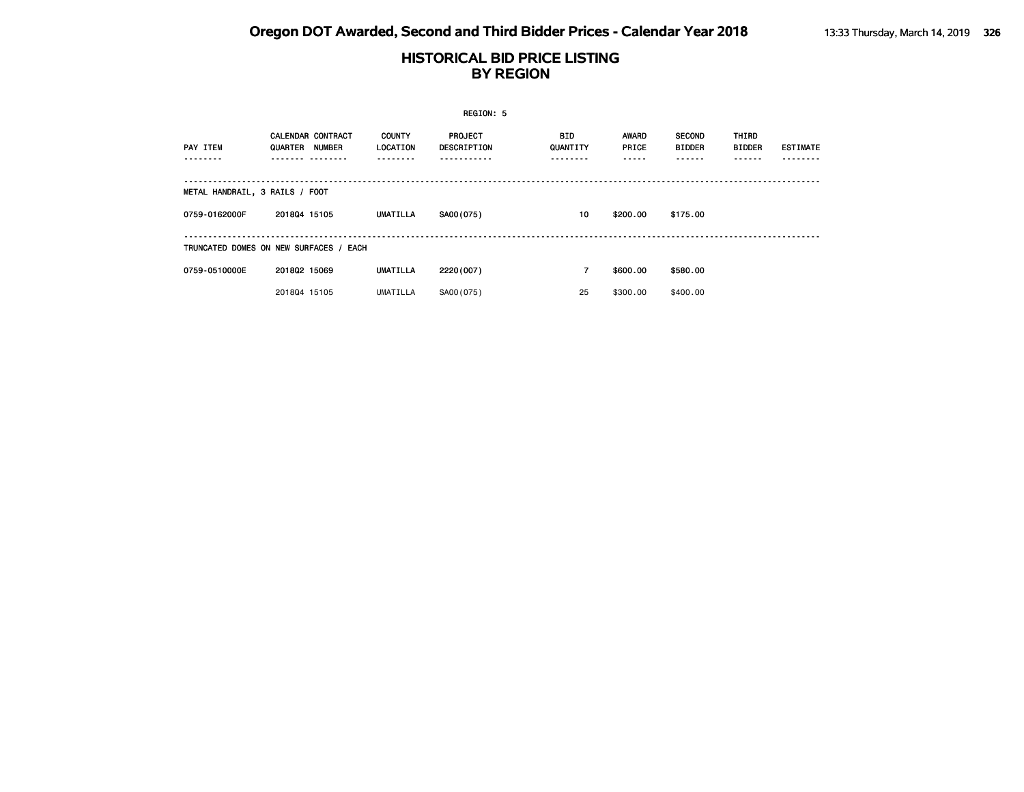|                                        |              |                                           |                                  | REGION: 5              |                        |                       |                                |                        |                 |
|----------------------------------------|--------------|-------------------------------------------|----------------------------------|------------------------|------------------------|-----------------------|--------------------------------|------------------------|-----------------|
| PAY ITEM                               | QUARTER      | <b>CALENDAR CONTRACT</b><br><b>NUMBER</b> | <b>COUNTY</b><br><b>LOCATION</b> | PROJECT<br>DESCRIPTION | <b>BID</b><br>QUANTITY | <b>AWARD</b><br>PRICE | <b>SECOND</b><br><b>BIDDER</b> | THIRD<br><b>BIDDER</b> | <b>ESTIMATE</b> |
| METAL HANDRAIL, 3 RAILS / FOOT         |              |                                           |                                  |                        |                        |                       |                                |                        |                 |
| 0759-0162000F                          | 201804 15105 |                                           | <b>UMATILLA</b>                  | SA00(075)              | 10                     | \$200.00              | \$175.00                       |                        |                 |
| TRUNCATED DOMES ON NEW SURFACES / EACH |              |                                           |                                  |                        |                        |                       |                                |                        |                 |
| 0759-0510000E                          | 201802 15069 |                                           | <b>UMATILLA</b>                  | 2220 (007)             | 7                      | \$600.00              | \$580.00                       |                        |                 |
|                                        | 201804 15105 |                                           | <b>UMATILLA</b>                  | SA00(075)              | 25                     | \$300,00              | \$400,00                       |                        |                 |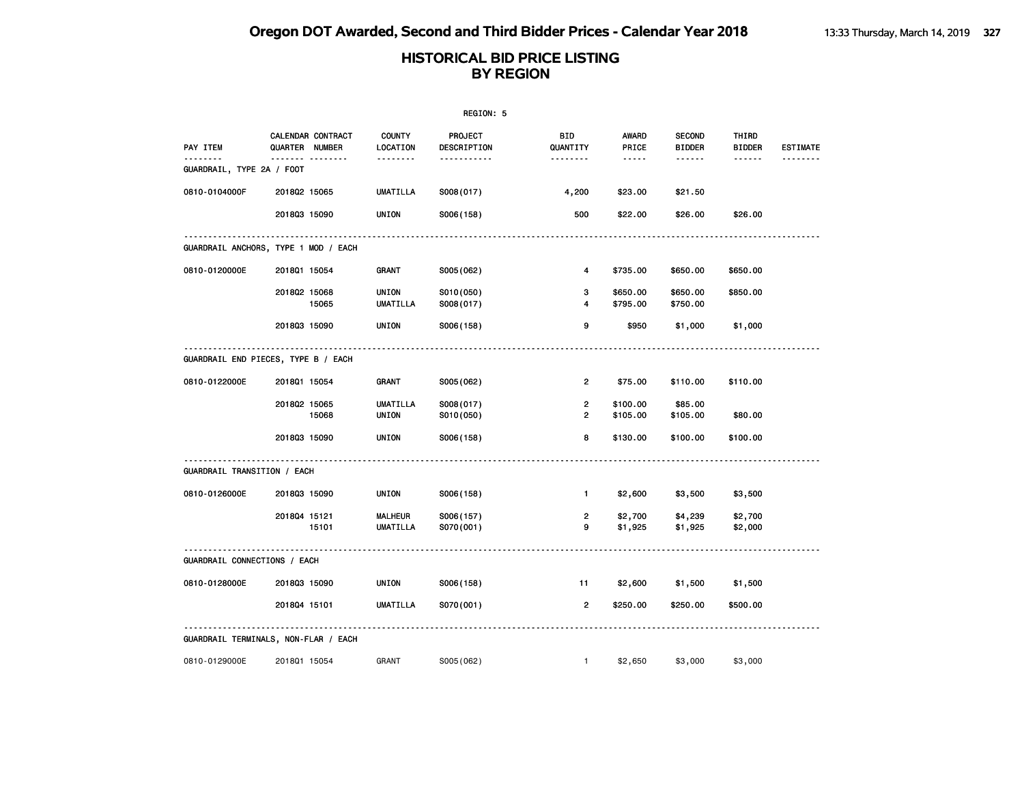|                              |                                            |                                 | REGION: 5                     |                 |                      |                                |                        |                 |
|------------------------------|--------------------------------------------|---------------------------------|-------------------------------|-----------------|----------------------|--------------------------------|------------------------|-----------------|
| PAY ITEM                     | CALENDAR CONTRACT<br><b>QUARTER NUMBER</b> | <b>COUNTY</b><br>LOCATION       | <b>PROJECT</b><br>DESCRIPTION | BID<br>QUANTITY | AWARD<br>PRICE       | <b>SECOND</b><br><b>BIDDER</b> | THIRD<br><b>BIDDER</b> | <b>ESTIMATE</b> |
| GUARDRAIL, TYPE 2A / FOOT    | <u></u>                                    | --------                        | .                             | --------        | -----                | ------                         | ------                 |                 |
| 0810-0104000F                | 201802 15065                               | <b>UMATILLA</b>                 | S008(017)                     | 4,200           | \$23.00              | \$21.50                        |                        |                 |
|                              | 201803 15090                               | UNION                           | S006(158)                     | 500             | \$22.00              | \$26.00                        | \$26.00                |                 |
|                              | GUARDRAIL ANCHORS, TYPE 1 MOD / EACH       |                                 |                               |                 |                      |                                |                        |                 |
| 0810-0120000E                | 201801 15054                               | GRANT                           | S005(062)                     | 4               | \$735.00             | \$650.00                       | \$650.00               |                 |
|                              | 201802 15068<br>15065                      | <b>UNION</b><br><b>UMATILLA</b> | S010(050)<br>S008(017)        | 3<br>4          | \$650.00<br>\$795.00 | \$650.00<br>\$750.00           | \$850.00               |                 |
|                              | 201803 15090                               | UNION                           | S006(158)                     | 9               | \$950                | \$1,000                        | \$1,000                |                 |
|                              | GUARDRAIL END PIECES, TYPE B / EACH        |                                 |                               |                 |                      |                                |                        |                 |
| 0810-0122000E                | 201801 15054                               | GRANT                           | S005(062)                     | $\overline{2}$  | \$75.00              | \$110.00                       | \$110.00               |                 |
|                              | 201802 15065                               | <b>UMATILLA</b>                 | S008(017)                     | $\overline{2}$  | \$100.00             | \$85.00                        |                        |                 |
|                              | 15068                                      | <b>UNION</b>                    | S010(050)                     | $\overline{2}$  | \$105.00             | \$105.00                       | \$80.00                |                 |
|                              | 201803 15090                               | UNION                           | S006(158)                     | 8               | \$130.00             | \$100.00                       | \$100.00               |                 |
| GUARDRAIL TRANSITION / EACH  |                                            |                                 |                               |                 |                      |                                |                        |                 |
| 0810-0126000E                | 201803 15090                               | UNION                           | S006(158)                     | $\blacksquare$  | \$2,600              | \$3,500                        | \$3,500                |                 |
|                              | 201804 15121                               | <b>MALHEUR</b>                  | S006(157)                     | $\overline{2}$  | \$2,700              | \$4,239                        | \$2,700                |                 |
|                              | 15101                                      | <b>UMATILLA</b>                 | S070(001)                     | 9               | \$1,925              | \$1,925                        | \$2,000                |                 |
| GUARDRAIL CONNECTIONS / EACH |                                            |                                 |                               |                 |                      |                                |                        |                 |
| 0810-0128000E                | 201803 15090                               | UNION                           | S006(158)                     | 11              | \$2,600              | \$1,500                        | \$1,500                |                 |
|                              | 201804 15101                               | <b>UMATILLA</b>                 | S070(001)                     | $\overline{2}$  | \$250.00             | \$250.00                       | \$500.00               |                 |
|                              | GUARDRAIL TERMINALS, NON-FLAR / EACH       |                                 |                               |                 |                      |                                |                        |                 |
| 0810-0129000E                | 201801 15054                               | GRANT                           | S005(062)                     | $\mathbf{1}$    | \$2,650              | \$3,000                        | \$3,000                |                 |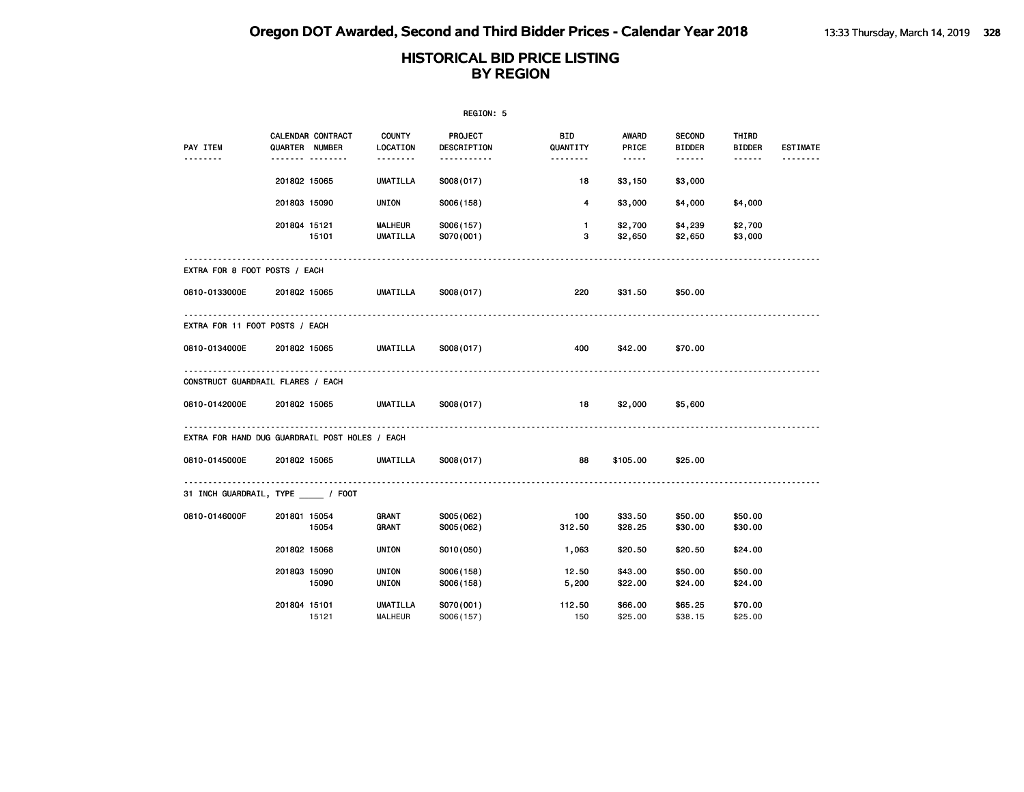|                                                |                |                               |                            | REGION: 5                             |                             |                                                                                                                     |                                |                                  |                             |
|------------------------------------------------|----------------|-------------------------------|----------------------------|---------------------------------------|-----------------------------|---------------------------------------------------------------------------------------------------------------------|--------------------------------|----------------------------------|-----------------------------|
| PAY ITEM<br><u>.</u>                           | QUARTER NUMBER | CALENDAR CONTRACT<br><b>.</b> | <b>COUNTY</b><br>LOCATION  | PROJECT<br>DESCRIPTION<br>----------- | BID<br>QUANTITY<br>-------- | AWARD<br>PRICE<br>$\begin{array}{cccccccccc} \bullet & \bullet & \bullet & \bullet & \bullet & \bullet \end{array}$ | <b>SECOND</b><br><b>BIDDER</b> | THIRD<br><b>BIDDER</b><br>------ | <b>ESTIMATE</b><br><u>.</u> |
|                                                | 201802 15065   |                               | UMATILLA                   | S008(017)                             | 18                          | \$3,150                                                                                                             | \$3,000                        |                                  |                             |
|                                                | 201803 15090   |                               | <b>UNION</b>               | S006(158)                             | 4                           | \$3,000                                                                                                             | \$4,000                        | \$4,000                          |                             |
|                                                | 201804 15121   | 15101                         | <b>MALHEUR</b><br>UMATILLA | S006(157)<br>S070(001)                | $\mathbf{1}$<br>3           | \$2,700<br>\$2,650                                                                                                  | \$4,239<br>\$2,650             | \$2,700<br>\$3,000               |                             |
| EXTRA FOR 8 FOOT POSTS / EACH                  |                |                               |                            |                                       |                             |                                                                                                                     |                                |                                  |                             |
| 0810-0133000E 2018Q2 15065                     |                |                               | <b>UMATILLA</b>            | S008(017)                             | 220                         | \$31.50                                                                                                             | \$50.00                        |                                  |                             |
| EXTRA FOR 11 FOOT POSTS / EACH                 |                |                               |                            |                                       |                             |                                                                                                                     |                                |                                  |                             |
| 0810-0134000E                                  | 201802 15065   |                               | <b>UMATILLA</b>            | S008(017)                             | 400                         | \$42.00                                                                                                             | \$70.00                        |                                  |                             |
| CONSTRUCT GUARDRAIL FLARES / EACH              |                |                               |                            |                                       |                             |                                                                                                                     |                                |                                  |                             |
| 0810-0142000E                                  | 201802 15065   |                               | <b>UMATILLA</b>            | S008(017)                             | 18                          | \$2,000                                                                                                             | \$5,600                        |                                  |                             |
| EXTRA FOR HAND DUG GUARDRAIL POST HOLES / EACH |                |                               |                            |                                       |                             |                                                                                                                     |                                |                                  |                             |
| 0810-0145000E                                  | 201802 15065   |                               | UMATILLA                   | S008(017)                             | 88                          | \$105.00                                                                                                            | \$25.00                        |                                  |                             |
| 31 INCH GUARDRAIL, TYPE _____ / FOOT           |                |                               |                            |                                       |                             |                                                                                                                     |                                |                                  |                             |
| 0810-0146000F                                  | 201801 15054   | 15054                         | GRANT<br>GRANT             | S005(062)<br>S005(062)                | 100<br>312.50               | \$33.50<br>\$28.25                                                                                                  | \$50.00<br>\$30.00             | \$50.00<br>\$30.00               |                             |
|                                                | 201802 15068   |                               | UNION                      | S010(050)                             | 1,063                       | \$20.50                                                                                                             | \$20.50                        | \$24.00                          |                             |
|                                                | 201803 15090   | 15090                         | UNION<br>UNION             | S006(158)<br>S006(158)                | 12.50<br>5,200              | \$43.00<br>\$22.00                                                                                                  | \$50.00<br>\$24.00             | \$50.00<br>\$24.00               |                             |
|                                                | 201804 15101   | 15121                         | UMATILLA<br><b>MALHEUR</b> | S070(001)<br>S006(157)                | 112.50<br>150               | \$66.00<br>\$25.00                                                                                                  | \$65.25<br>\$38.15             | \$70.00<br>\$25.00               |                             |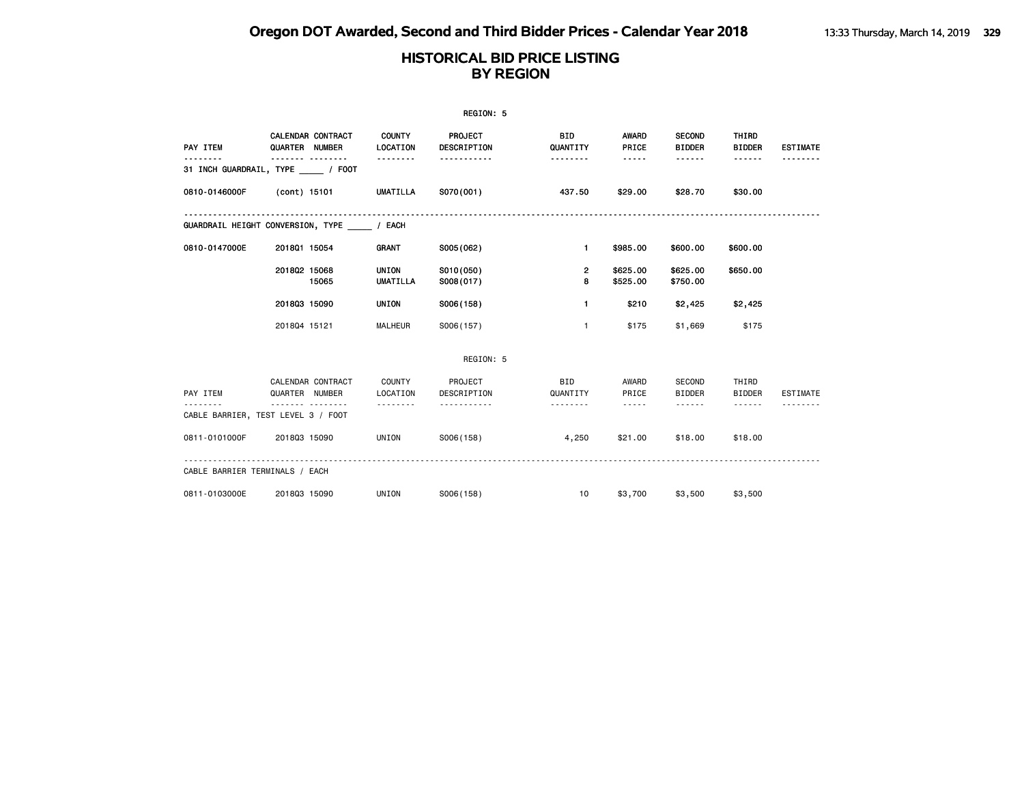|                                          |              |                                                 |                           | REGION: 5                     |                                    |                               |                                |                                         |                 |
|------------------------------------------|--------------|-------------------------------------------------|---------------------------|-------------------------------|------------------------------------|-------------------------------|--------------------------------|-----------------------------------------|-----------------|
| PAY ITEM                                 |              | <b>CALENDAR CONTRACT</b><br>QUARTER NUMBER      | <b>COUNTY</b><br>LOCATION | <b>PROJECT</b><br>DESCRIPTION | <b>BID</b><br>QUANTITY             | AWARD<br>PRICE                | <b>SECOND</b><br><b>BIDDER</b> | THIRD<br><b>BIDDER</b>                  | <b>ESTIMATE</b> |
| 31 INCH GUARDRAIL, TYPE / FOOT           |              |                                                 | .                         | -----------                   | .                                  | -----                         | ------                         | ------                                  |                 |
| 0810-0146000F                            | (cont) 15101 |                                                 | UMATILLA                  | S070(001)                     | 437.50                             | \$29.00                       | \$28.70                        | \$30.00                                 |                 |
| GUARDRAIL HEIGHT CONVERSION, TYPE / EACH |              |                                                 |                           |                               |                                    |                               |                                |                                         |                 |
| 0810-0147000E                            | 201801 15054 |                                                 | GRANT                     | S005(062)                     | $\mathbf{1}$                       | \$985.00                      | \$600.00                       | \$600.00                                |                 |
|                                          | 201802 15068 | 15065                                           | UNION<br><b>UMATILLA</b>  | S010(050)<br>S008(017)        | $\overline{2}$<br>8                | \$625.00<br>\$525.00          | \$625.00<br>\$750.00           | \$650.00                                |                 |
|                                          | 201803 15090 |                                                 | <b>UNION</b>              | S006(158)                     | $\mathbf{1}$                       | \$210                         | \$2,425                        | \$2,425                                 |                 |
|                                          | 201804 15121 |                                                 | <b>MALHEUR</b>            | S006(157)                     | $\mathbf{1}$                       | \$175                         | \$1,669                        | \$175                                   |                 |
|                                          |              |                                                 |                           | REGION: 5                     |                                    |                               |                                |                                         |                 |
| PAY ITEM<br>.                            |              | CALENDAR CONTRACT<br>QUARTER NUMBER<br><u>.</u> | COUNTY<br>LOCATION        | PROJECT<br>DESCRIPTION<br>.   | <b>BID</b><br>QUANTITY<br><u>.</u> | AWARD<br>PRICE<br>$- - - - -$ | SECOND<br><b>BIDDER</b>        | THIRD<br><b>BIDDER</b><br>$- - - - - -$ | <b>ESTIMATE</b> |
| CABLE BARRIER, TEST LEVEL 3 / FOOT       |              |                                                 |                           |                               |                                    |                               |                                |                                         |                 |
| 0811-0101000F                            | 201803 15090 |                                                 | UNION                     | S006(158)                     | 4,250                              | \$21.00                       | \$18,00                        | \$18,00                                 |                 |
| CABLE BARRIER TERMINALS / EACH           |              |                                                 |                           |                               |                                    |                               |                                |                                         |                 |
| 0811-0103000E                            | 201803 15090 |                                                 | UNION                     | S006(158)                     | 10                                 |                               | \$3,700 \$3,500                | \$3,500                                 |                 |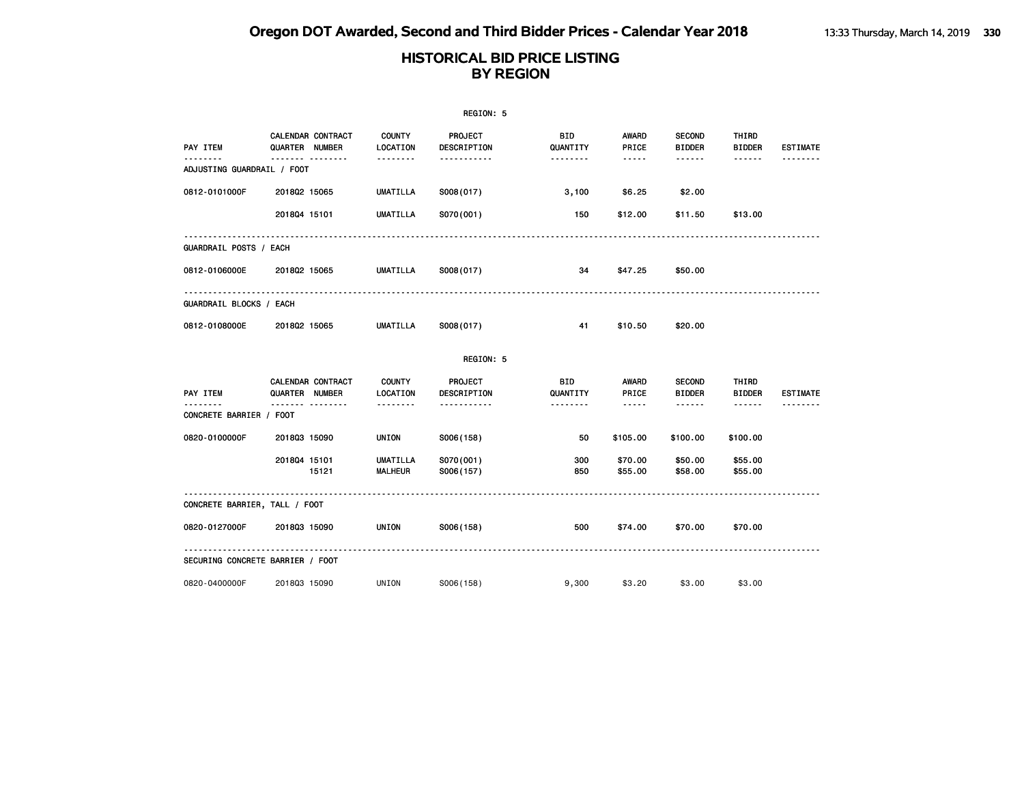|                               |                                                   |                            | REGION: 5                     |                 |                    |                                |                        |                 |
|-------------------------------|---------------------------------------------------|----------------------------|-------------------------------|-----------------|--------------------|--------------------------------|------------------------|-----------------|
| PAY ITEM                      | CALENDAR CONTRACT<br><b>QUARTER NUMBER</b>        | <b>COUNTY</b><br>LOCATION  | <b>PROJECT</b><br>DESCRIPTION | BID<br>QUANTITY | AWARD<br>PRICE     | <b>SECOND</b><br><b>BIDDER</b> | THIRD<br><b>BIDDER</b> | <b>ESTIMATE</b> |
| ADJUSTING GUARDRAIL / FOOT    | .                                                 | <u>.</u>                   | <u>.</u>                      | .               | -----              | .                              | ------                 |                 |
| 0812-0101000F                 | 201802 15065                                      | UMATILLA                   | S008(017)                     | 3,100           | \$6.25             | \$2.00                         |                        |                 |
|                               | 201804 15101                                      | <b>UMATILLA</b>            | S070(001)                     | 150             | \$12.00            | \$11.50                        | \$13.00                |                 |
| GUARDRAIL POSTS / EACH        |                                                   |                            |                               |                 |                    |                                |                        |                 |
| 0812-0106000E                 | 201802 15065                                      | UMATILLA                   | S008(017)                     | 34              | \$47.25            | \$50.00                        |                        |                 |
| GUARDRAIL BLOCKS / EACH       |                                                   |                            |                               |                 |                    |                                |                        |                 |
| 0812-0108000E                 | 201802 15065                                      | UMATILLA                   | S008(017)                     | 41              | \$10.50            | \$20.00                        |                        |                 |
|                               |                                                   |                            | REGION: 5                     |                 |                    |                                |                        |                 |
| PAY ITEM                      | <b>CALENDAR CONTRACT</b><br><b>QUARTER NUMBER</b> | <b>COUNTY</b><br>LOCATION  | PROJECT<br>DESCRIPTION        | BID<br>QUANTITY | AWARD<br>PRICE     | <b>SECOND</b><br><b>BIDDER</b> | THIRD<br><b>BIDDER</b> | <b>ESTIMATE</b> |
| CONCRETE BARRIER / FOOT       | ------- --------                                  | .                          | <u>.</u>                      | <u>.</u>        | -----              | .                              | ------                 |                 |
| 0820-0100000F                 | 201803 15090                                      | <b>UNION</b>               | S006(158)                     | 50              | \$105.00           | \$100.00                       | \$100.00               |                 |
|                               | 201804 15101<br>15121                             | UMATILLA<br><b>MALHEUR</b> | S070(001)<br>S006(157)        | 300<br>850      | \$70.00<br>\$55.00 | \$50.00<br>\$58.00             | \$55.00<br>\$55.00     |                 |
| CONCRETE BARRIER, TALL / FOOT |                                                   |                            |                               |                 |                    |                                |                        |                 |
| 0820-0127000F                 | 201803 15090                                      | UNION                      | S006(158)                     | 500             | \$74.00            | \$70.00                        | \$70.00                |                 |
|                               | SECURING CONCRETE BARRIER / FOOT                  |                            |                               |                 |                    |                                |                        |                 |
| 0820-0400000F                 | 201803 15090                                      | UNION                      | S006(158)                     | 9,300           | \$3.20             | \$3.00                         | \$3.00                 |                 |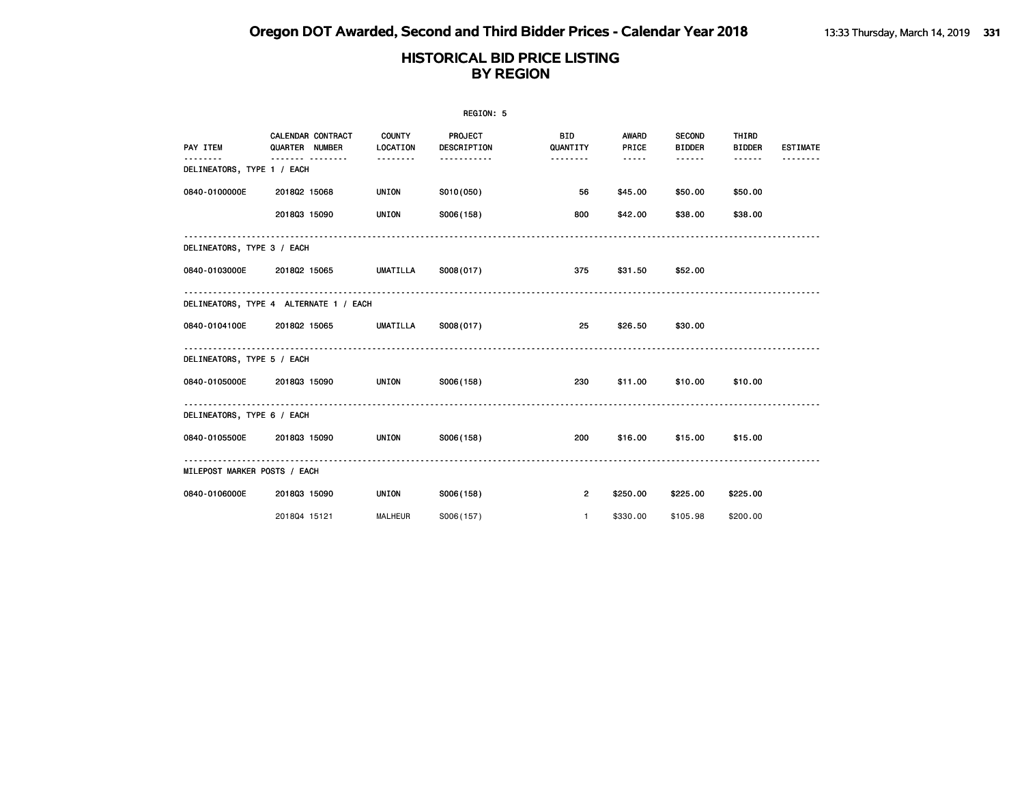|                              |                                                 |                           | REGION: 5              |                        |                                      |                                |                        |                 |
|------------------------------|-------------------------------------------------|---------------------------|------------------------|------------------------|--------------------------------------|--------------------------------|------------------------|-----------------|
| PAY ITEM                     | <b>CALENDAR CONTRACT</b><br>QUARTER NUMBER<br>. | <b>COUNTY</b><br>LOCATION | PROJECT<br>DESCRIPTION | <b>BID</b><br>QUANTITY | <b>AWARD</b><br>PRICE<br>$- - - - -$ | <b>SECOND</b><br><b>BIDDER</b> | THIRD<br><b>BIDDER</b> | <b>ESTIMATE</b> |
| DELINEATORS, TYPE 1 / EACH   |                                                 | .                         | .                      | --------               |                                      | ------                         | ------                 |                 |
| 0840-0100000E                | 201802 15068                                    | UNION                     | S010(050)              | 56                     | \$45.00                              | \$50.00                        | \$50.00                |                 |
|                              | 201803 15090                                    | UNION                     | S006(158)              | 800                    | \$42.00                              | \$38.00                        | \$38.00                |                 |
| DELINEATORS, TYPE 3 / EACH   |                                                 |                           |                        |                        |                                      |                                |                        |                 |
| 0840-0103000E                | 201802 15065                                    | UMATILLA                  | S008(017)              | 375                    | \$31.50                              | \$52.00                        |                        |                 |
|                              | DELINEATORS, TYPE 4 ALTERNATE 1 / EACH          |                           |                        |                        |                                      |                                |                        |                 |
| 0840-0104100E                | 201802 15065                                    | UMATILLA                  | S008(017)              | 25                     | \$26.50                              | \$30.00                        |                        |                 |
| DELINEATORS, TYPE 5 / EACH   |                                                 |                           |                        |                        |                                      |                                |                        |                 |
| 0840-0105000E                | 201803 15090                                    | UNION                     | S006(158)              | 230                    | \$11.00                              | \$10.00                        | \$10.00                |                 |
| DELINEATORS, TYPE 6 / EACH   |                                                 |                           |                        |                        |                                      |                                |                        |                 |
| 0840-0105500E                | 201803 15090                                    | UNION                     | S006(158)              | 200                    | \$16.00                              | \$15.00                        | \$15.00                |                 |
| MILEPOST MARKER POSTS / EACH |                                                 |                           |                        |                        |                                      |                                |                        |                 |
| 0840-0106000E                | 201803 15090                                    | UNION                     | S006(158)              | $\overline{2}$         | \$250.00                             | \$225.00                       | \$225.00               |                 |
|                              | 201804 15121                                    | <b>MALHEUR</b>            | S006(157)              | $\mathbf{1}$           | \$330.00                             | \$105.98                       | \$200.00               |                 |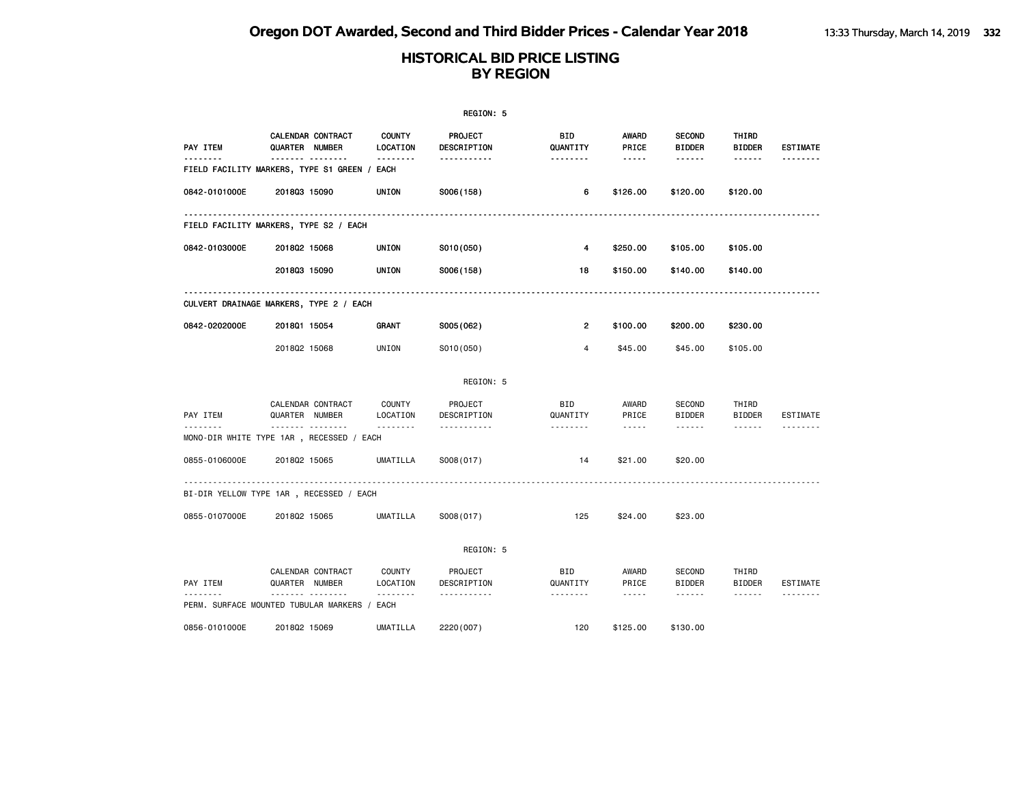|               |                                                       |                           | REGION: 5                     |                 |                                                                                                                                                      |                                |                        |                 |
|---------------|-------------------------------------------------------|---------------------------|-------------------------------|-----------------|------------------------------------------------------------------------------------------------------------------------------------------------------|--------------------------------|------------------------|-----------------|
| PAY ITEM      | CALENDAR CONTRACT<br>QUARTER NUMBER                   | <b>COUNTY</b><br>LOCATION | <b>PROJECT</b><br>DESCRIPTION | BID<br>QUANTITY | AWARD<br>PRICE                                                                                                                                       | <b>SECOND</b><br><b>BIDDER</b> | THIRD<br><b>BIDDER</b> | <b>ESTIMATE</b> |
|               | .<br>FIELD FACILITY MARKERS, TYPE S1 GREEN / EACH     | --------                  | -----------                   | --------        | -----                                                                                                                                                | ------                         | ------                 |                 |
| 0842-0101000E | 201803 15090                                          | UNION                     | S006(158)                     | 6               | \$126.00                                                                                                                                             | \$120.00                       | \$120.00               |                 |
|               | FIELD FACILITY MARKERS, TYPE S2 / EACH                |                           |                               |                 |                                                                                                                                                      |                                |                        |                 |
| 0842-0103000E | 201802 15068                                          | UNION                     | S010(050)                     | 4               | \$250.00                                                                                                                                             | \$105.00                       | \$105.00               |                 |
|               | 201803 15090                                          | UNION                     | S006(158)                     | 18              | \$150.00                                                                                                                                             | \$140.00                       | \$140.00               |                 |
|               | CULVERT DRAINAGE MARKERS, TYPE 2 / EACH               |                           |                               |                 |                                                                                                                                                      |                                |                        |                 |
| 0842-0202000E | 201801 15054                                          | <b>GRANT</b>              | S005(062)                     | $\overline{2}$  | \$100.00                                                                                                                                             | \$200.00                       | \$230.00               |                 |
|               | 201802 15068                                          | UNION                     | S010(050)                     | 4               | \$45.00                                                                                                                                              | \$45.00                        | \$105.00               |                 |
|               |                                                       |                           | REGION: 5                     |                 |                                                                                                                                                      |                                |                        |                 |
| PAY ITEM      | CALENDAR CONTRACT<br>QUARTER NUMBER                   | <b>COUNTY</b><br>LOCATION | PROJECT<br>DESCRIPTION        | BID<br>QUANTITY | AWARD<br>PRICE                                                                                                                                       | SECOND<br><b>BIDDER</b>        | THIRD<br><b>BIDDER</b> | <b>ESTIMATE</b> |
| --------      | <u> </u><br>MONO-DIR WHITE TYPE 1AR , RECESSED / EACH | .                         | .                             | <u>.</u>        | $- - - - -$                                                                                                                                          | $- - - - - -$                  | $- - - - - - -$        | --------        |
| 0855-0106000E | 201802 15065                                          | UMATILLA                  | S008(017)                     | 14              | \$21.00                                                                                                                                              | \$20.00                        |                        |                 |
|               | BI-DIR YELLOW TYPE 1AR , RECESSED / EACH              |                           |                               |                 |                                                                                                                                                      |                                |                        |                 |
| 0855-0107000E | 201802 15065                                          | UMATILLA                  | S008(017)                     | 125             | \$24.00                                                                                                                                              | \$23.00                        |                        |                 |
|               |                                                       |                           | REGION: 5                     |                 |                                                                                                                                                      |                                |                        |                 |
| PAY ITEM      | CALENDAR CONTRACT<br>QUARTER NUMBER                   | COUNTY<br>LOCATION        | PROJECT<br>DESCRIPTION        | BID<br>QUANTITY | AWARD<br>PRICE                                                                                                                                       | SECOND<br><b>BIDDER</b>        | THIRD<br><b>BIDDER</b> | <b>ESTIMATE</b> |
|               | .<br>PERM. SURFACE MOUNTED TUBULAR MARKERS / EACH     | .                         | .                             | .               | $\frac{1}{2} \left( \frac{1}{2} \right) \left( \frac{1}{2} \right) \left( \frac{1}{2} \right) \left( \frac{1}{2} \right) \left( \frac{1}{2} \right)$ |                                | .                      | <u>.</u>        |
| 0856-0101000E | 201802 15069                                          | UMATILLA                  | 2220 (007)                    | 120             | \$125.00                                                                                                                                             | \$130.00                       |                        |                 |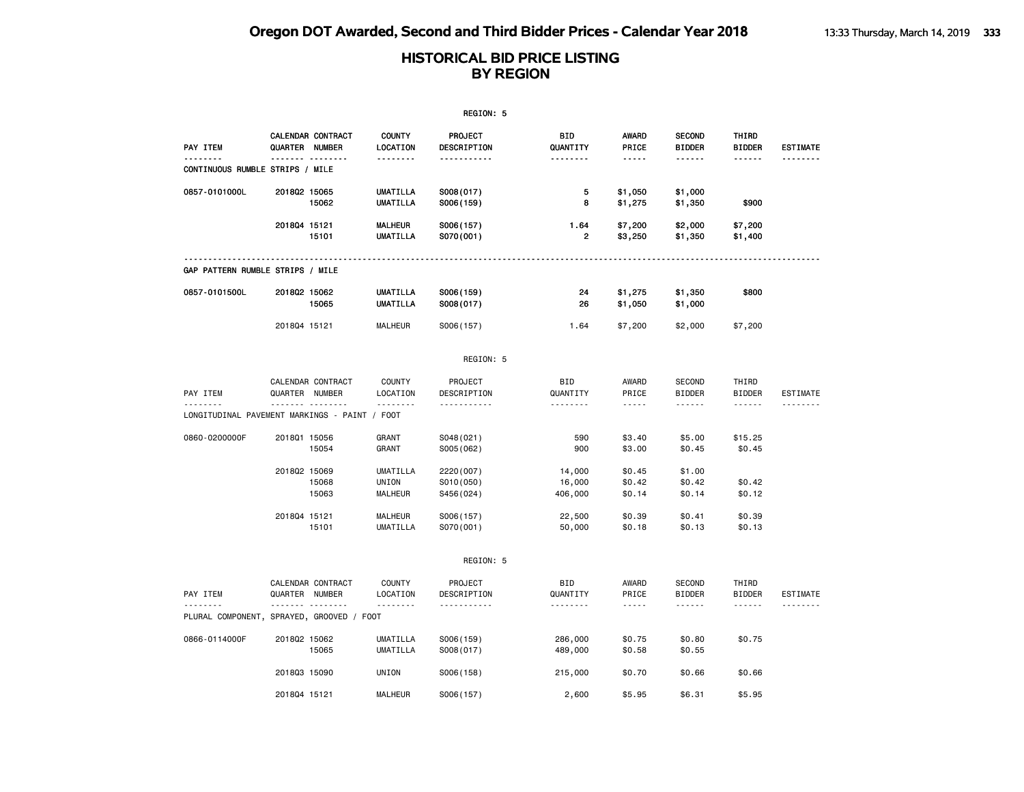|                                               |                     |                                         |                                       | REGION: 5                            |                             |                                |                                          |                                  |                      |
|-----------------------------------------------|---------------------|-----------------------------------------|---------------------------------------|--------------------------------------|-----------------------------|--------------------------------|------------------------------------------|----------------------------------|----------------------|
| PAY ITEM                                      |                     | CALENDAR CONTRACT<br>QUARTER NUMBER     | <b>COUNTY</b><br>LOCATION<br><u>.</u> | <b>PROJECT</b><br>DESCRIPTION<br>.   | BID<br>QUANTITY<br><u>.</u> | <b>AWARD</b><br>PRICE<br>----- | <b>SECOND</b><br><b>BIDDER</b><br>------ | THIRD<br><b>BIDDER</b><br>------ | <b>ESTIMATE</b>      |
| CONTINUOUS RUMBLE STRIPS / MILE               |                     |                                         |                                       |                                      |                             |                                |                                          |                                  |                      |
| 0857-0101000L                                 | 201802 15065        | 15062                                   | <b>UMATILLA</b><br><b>UMATILLA</b>    | S008(017)<br>S006(159)               | 5<br>8                      | \$1,050<br>\$1,275             | \$1,000<br>\$1,350                       | \$900                            |                      |
|                                               | 201804 15121        | 15101                                   | <b>MALHEUR</b><br><b>UMATILLA</b>     | S006(157)<br>S070(001)               | 1.64<br>2                   | \$7,200<br>\$3,250             | \$2,000<br>\$1,350                       | \$7,200<br>\$1,400               |                      |
| GAP PATTERN RUMBLE STRIPS / MILE              |                     |                                         |                                       |                                      |                             |                                |                                          |                                  |                      |
| 0857-0101500L                                 | 2018Q2 15062        | 15065                                   | <b>UMATILLA</b><br><b>UMATILLA</b>    | S006(159)<br>S008(017)               | 24<br>26                    | \$1,275<br>\$1,050             | \$1,350<br>\$1,000                       | \$800                            |                      |
|                                               | 201804 15121        |                                         | MALHEUR                               | S006(157)                            | 1.64                        | \$7,200                        | \$2,000                                  | \$7,200                          |                      |
|                                               |                     |                                         |                                       | REGION: 5                            |                             |                                |                                          |                                  |                      |
| PAY ITEM<br>.                                 | QUARTER NUMBER<br>. | CALENDAR CONTRACT<br>.                  | <b>COUNTY</b><br>LOCATION<br><u>.</u> | PROJECT<br>DESCRIPTION               | <b>BID</b><br>QUANTITY      | AWARD<br>PRICE                 | SECOND<br><b>BIDDER</b>                  | THIRD<br><b>BIDDER</b>           | ESTIMATE<br><u>.</u> |
| LONGITUDINAL PAVEMENT MARKINGS - PAINT / FOOT |                     |                                         |                                       | .                                    | .                           | -----                          | .                                        | ------                           |                      |
| 0860-0200000F                                 | 201801 15056        | 15054                                   | GRANT<br><b>GRANT</b>                 | S048(021)<br>S005(062)               | 590<br>900                  | \$3.40<br>\$3.00               | \$5.00<br>\$0.45                         | \$15.25<br>\$0.45                |                      |
|                                               | 201802 15069        | 15068<br>15063                          | UMATILLA<br>UNION<br>MALHEUR          | 2220 (007)<br>S010(050)<br>S456(024) | 14,000<br>16,000<br>406,000 | \$0.45<br>\$0.42<br>\$0.14     | \$1.00<br>\$0.42<br>\$0.14               | \$0.42<br>\$0.12                 |                      |
|                                               | 201804 15121        | 15101                                   | MALHEUR<br>UMATILLA                   | S006(157)<br>S070(001)               | 22,500<br>50,000            | \$0.39<br>\$0.18               | \$0.41<br>\$0.13                         | \$0.39<br>\$0.13                 |                      |
|                                               |                     |                                         |                                       | REGION: 5                            |                             |                                |                                          |                                  |                      |
| PAY ITEM<br>.                                 |                     | CALENDAR CONTRACT<br>QUARTER NUMBER<br> | <b>COUNTY</b><br>LOCATION<br>.        | PROJECT<br>DESCRIPTION<br>.          | <b>BID</b><br>QUANTITY<br>. | AWARD<br>PRICE<br>.            | SECOND<br><b>BIDDER</b><br>.             | THIRD<br><b>BIDDER</b><br>------ | ESTIMATE             |
| PLURAL COMPONENT, SPRAYED, GROOVED / FOOT     |                     |                                         |                                       |                                      |                             |                                |                                          |                                  |                      |
| 0866-0114000F                                 | 201802 15062        | 15065                                   | <b>UMATILLA</b><br>UMATILLA           | S006(159)<br>S008(017)               | 286,000<br>489,000          | \$0.75<br>\$0.58               | \$0.80<br>\$0.55                         | \$0.75                           |                      |
|                                               | 201803 15090        |                                         | UNION                                 | S006(158)                            | 215,000                     | \$0.70                         | \$0.66                                   | \$0.66                           |                      |
|                                               | 201804 15121        |                                         | <b>MALHEUR</b>                        | S006(157)                            | 2,600                       | \$5.95                         | \$6.31                                   | \$5.95                           |                      |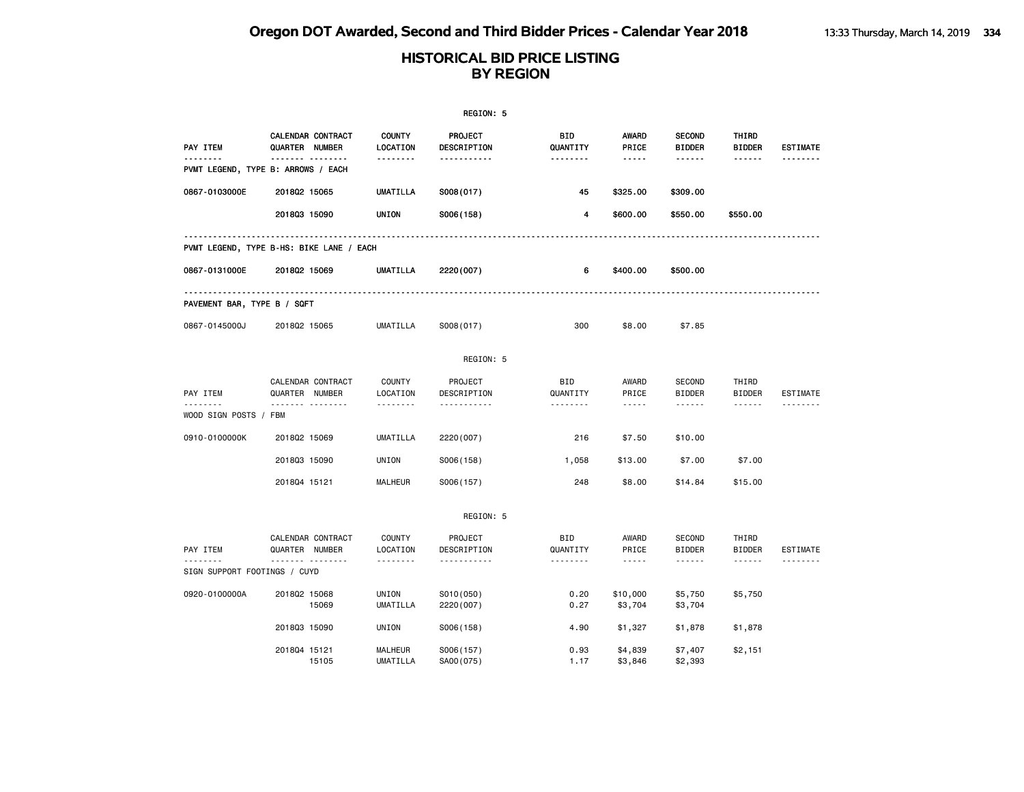|                              |                                          |                                       | REGION: 5                          |                             |                                                                                                                                                                                 |                                          |                                  |                      |
|------------------------------|------------------------------------------|---------------------------------------|------------------------------------|-----------------------------|---------------------------------------------------------------------------------------------------------------------------------------------------------------------------------|------------------------------------------|----------------------------------|----------------------|
| PAY ITEM                     | CALENDAR CONTRACT<br>QUARTER NUMBER<br>  | <b>COUNTY</b><br>LOCATION<br><u>.</u> | PROJECT<br>DESCRIPTION<br><u>.</u> | BID<br>QUANTITY<br><u>.</u> | AWARD<br>PRICE<br>$- - - - -$                                                                                                                                                   | <b>SECOND</b><br><b>BIDDER</b><br>------ | THIRD<br><b>BIDDER</b><br>------ | <b>ESTIMATE</b>      |
|                              | PVMT LEGEND, TYPE B: ARROWS / EACH       |                                       |                                    |                             |                                                                                                                                                                                 |                                          |                                  |                      |
| 0867-0103000E                | 201802 15065                             | <b>UMATILLA</b>                       | S008(017)                          | 45                          | \$325.00                                                                                                                                                                        | \$309.00                                 |                                  |                      |
|                              | 201803 15090                             | UNION                                 | S006(158)                          | 4                           | \$600.00                                                                                                                                                                        | \$550.00                                 | \$550.00                         |                      |
|                              | PVMT LEGEND, TYPE B-HS: BIKE LANE / EACH |                                       |                                    |                             |                                                                                                                                                                                 |                                          |                                  |                      |
| 0867-0131000E                | 201802 15069                             | UMATILLA                              | 2220 (007)                         | 6                           | \$400.00                                                                                                                                                                        | \$500.00                                 |                                  |                      |
| PAVEMENT BAR, TYPE B / SQFT  |                                          |                                       |                                    |                             |                                                                                                                                                                                 |                                          |                                  |                      |
| 0867-0145000J                | 201802 15065                             | UMATILLA                              | S008(017)                          | 300                         | \$8.00                                                                                                                                                                          | \$7.85                                   |                                  |                      |
|                              |                                          |                                       | REGION: 5                          |                             |                                                                                                                                                                                 |                                          |                                  |                      |
| PAY ITEM                     | CALENDAR CONTRACT<br>QUARTER NUMBER<br>. | <b>COUNTY</b><br>LOCATION<br>.        | PROJECT<br>DESCRIPTION<br><u>.</u> | <b>BID</b><br>QUANTITY<br>. | AWARD<br>PRICE<br>$- - - - -$                                                                                                                                                   | <b>SECOND</b><br><b>BIDDER</b><br>------ | THIRD<br><b>BIDDER</b>           | ESTIMATE<br><u>.</u> |
| WOOD SIGN POSTS / FBM        |                                          |                                       |                                    |                             |                                                                                                                                                                                 |                                          | ------                           |                      |
| 0910-0100000K                | 201802 15069                             | UMATILLA                              | 2220 (007)                         | 216                         | \$7.50                                                                                                                                                                          | \$10.00                                  |                                  |                      |
|                              | 201803 15090                             | UNION                                 | S006(158)                          | 1,058                       | \$13.00                                                                                                                                                                         | \$7.00                                   | \$7.00                           |                      |
|                              | 201804 15121                             | MALHEUR                               | S006(157)                          | 248                         | \$8.00                                                                                                                                                                          | \$14.84                                  | \$15.00                          |                      |
|                              |                                          |                                       | REGION: 5                          |                             |                                                                                                                                                                                 |                                          |                                  |                      |
| PAY ITEM                     | CALENDAR CONTRACT<br>QUARTER NUMBER      | <b>COUNTY</b><br>LOCATION             | PROJECT<br>DESCRIPTION             | BID<br>QUANTITY             | AWARD<br>PRICE                                                                                                                                                                  | <b>SECOND</b><br><b>BIDDER</b>           | THIRD<br><b>BIDDER</b>           | ESTIMATE             |
| SIGN SUPPORT FOOTINGS / CUYD | <u></u>                                  | .                                     | .                                  | .                           | $\frac{1}{2} \left( \frac{1}{2} \right) \left( \frac{1}{2} \right) \left( \frac{1}{2} \right) \left( \frac{1}{2} \right) \left( \frac{1}{2} \right) \left( \frac{1}{2} \right)$ | .                                        | ------                           |                      |
| 0920-0100000A                | 201802 15068<br>15069                    | UNION<br>UMATILLA                     | S010(050)<br>2220 (007)            | 0.20<br>0.27                | \$10,000<br>\$3,704                                                                                                                                                             | \$5,750<br>\$3,704                       | \$5,750                          |                      |
|                              | 201803 15090                             | UNION                                 | S006(158)                          | 4.90                        | \$1,327                                                                                                                                                                         | \$1,878                                  | \$1,878                          |                      |
|                              | 201804 15121<br>15105                    | MALHEUR<br>UMATILLA                   | S006(157)<br>SA00(075)             | 0.93<br>1.17                | \$4,839<br>\$3,846                                                                                                                                                              | \$7,407<br>\$2,393                       | \$2,151                          |                      |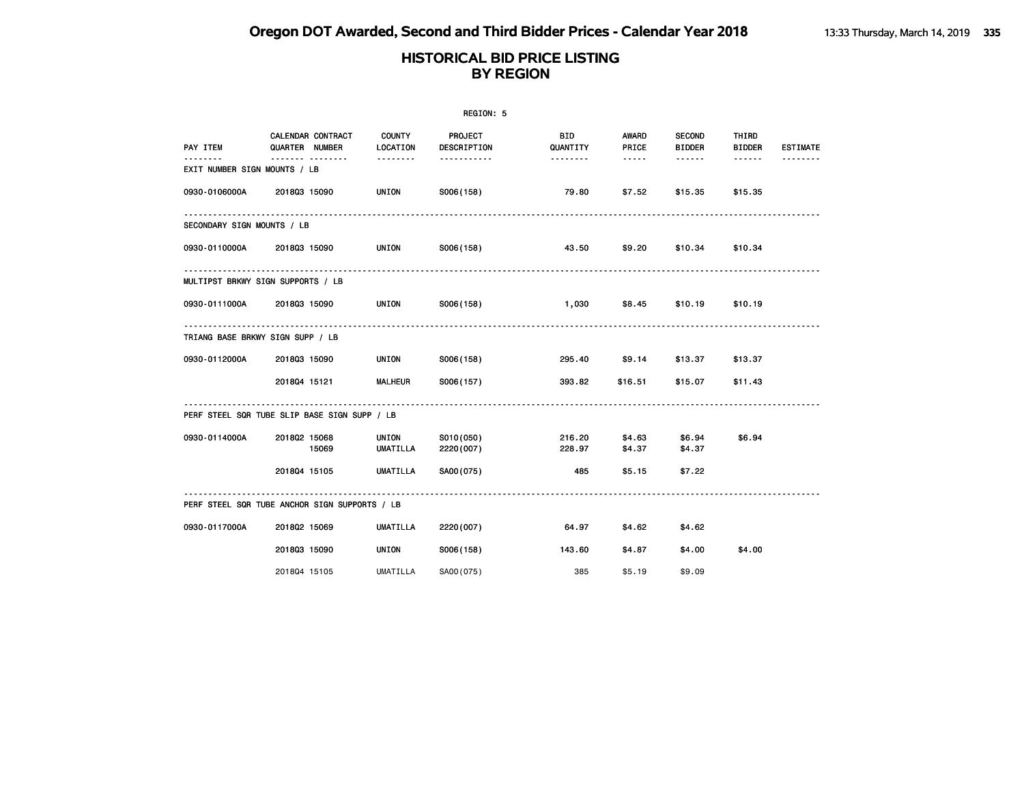|                                   |                                               |                           | REGION: 5              |                 |                                                                                                                                                                                                                                                                                                                                                                                                                                                                            |                                |                 |                 |
|-----------------------------------|-----------------------------------------------|---------------------------|------------------------|-----------------|----------------------------------------------------------------------------------------------------------------------------------------------------------------------------------------------------------------------------------------------------------------------------------------------------------------------------------------------------------------------------------------------------------------------------------------------------------------------------|--------------------------------|-----------------|-----------------|
| PAY ITEM                          | CALENDAR CONTRACT<br>QUARTER NUMBER           | <b>COUNTY</b><br>LOCATION | PROJECT<br>DESCRIPTION | BID<br>QUANTITY | AWARD<br>PRICE                                                                                                                                                                                                                                                                                                                                                                                                                                                             | <b>SECOND</b><br><b>BIDDER</b> | THIRD<br>BIDDER | <b>ESTIMATE</b> |
| .<br>EXIT NUMBER SIGN MOUNTS / LB | .                                             | <u> - - - - - - - -</u>   | <u>.</u>               | <b></b>         | $\frac{1}{2} \left( \frac{1}{2} \right) \left( \frac{1}{2} \right) \left( \frac{1}{2} \right) \left( \frac{1}{2} \right) \left( \frac{1}{2} \right) \left( \frac{1}{2} \right) \left( \frac{1}{2} \right) \left( \frac{1}{2} \right) \left( \frac{1}{2} \right) \left( \frac{1}{2} \right) \left( \frac{1}{2} \right) \left( \frac{1}{2} \right) \left( \frac{1}{2} \right) \left( \frac{1}{2} \right) \left( \frac{1}{2} \right) \left( \frac{1}{2} \right) \left( \frac$ | <b></b>                        | $- - - - - -$   | .               |
| 0930-0106000A 2018Q3 15090        |                                               | UNION                     | S006(158)              | 79.80           | \$7.52                                                                                                                                                                                                                                                                                                                                                                                                                                                                     | \$15.35                        | \$15.35         |                 |
| SECONDARY SIGN MOUNTS / LB        |                                               |                           |                        |                 |                                                                                                                                                                                                                                                                                                                                                                                                                                                                            |                                |                 |                 |
| 0930-0110000A 2018Q3 15090        |                                               | <b>UNION</b>              | S006(158)              | 43.50           | \$9.20                                                                                                                                                                                                                                                                                                                                                                                                                                                                     | \$10.34 \$10.34                |                 |                 |
|                                   | MULTIPST BRKWY SIGN SUPPORTS / LB             |                           |                        |                 |                                                                                                                                                                                                                                                                                                                                                                                                                                                                            |                                |                 |                 |
| 0930-0111000A 2018Q3 15090        |                                               | <b>UNION</b>              | S006(158)              | 1,030 1         | \$8.45                                                                                                                                                                                                                                                                                                                                                                                                                                                                     | \$10.19                        | \$10.19         |                 |
| TRIANG BASE BRKWY SIGN SUPP / LB  |                                               |                           |                        |                 |                                                                                                                                                                                                                                                                                                                                                                                                                                                                            |                                |                 |                 |
| 0930-0112000A 2018Q3 15090        |                                               | UNION                     | S006(158)              | 295.40          | \$9.14                                                                                                                                                                                                                                                                                                                                                                                                                                                                     | \$13.37                        | \$13.37         |                 |
|                                   | 201804 15121                                  | <b>MALHEUR</b>            | S006(157)              | 393.82          | \$16.51                                                                                                                                                                                                                                                                                                                                                                                                                                                                    | \$15.07                        | \$11.43         |                 |
|                                   | PERF STEEL SQR TUBE SLIP BASE SIGN SUPP / LB  |                           |                        |                 |                                                                                                                                                                                                                                                                                                                                                                                                                                                                            |                                |                 |                 |
| 0930-0114000A                     | 201802 15068                                  | <b>UNION</b>              | S010(050)              | 216.20          | \$4.63                                                                                                                                                                                                                                                                                                                                                                                                                                                                     | \$6.94                         | \$6.94          |                 |
|                                   | 15069                                         | UMATILLA                  | 2220 (007)             | 228.97          | \$4.37                                                                                                                                                                                                                                                                                                                                                                                                                                                                     | \$4.37                         |                 |                 |
|                                   | 201804 15105                                  | UMATILLA                  | SA00(075)              | 485             | \$5.15                                                                                                                                                                                                                                                                                                                                                                                                                                                                     | \$7.22                         |                 |                 |
|                                   | PERF STEEL SQR TUBE ANCHOR SIGN SUPPORTS / LB |                           |                        |                 |                                                                                                                                                                                                                                                                                                                                                                                                                                                                            |                                |                 |                 |
| 0930-0117000A                     | 201802 15069                                  | UMATILLA                  | 2220 (007)             | 64.97           | \$4.62                                                                                                                                                                                                                                                                                                                                                                                                                                                                     | \$4.62                         |                 |                 |
|                                   | 201803 15090                                  | UNION                     | S006(158)              | 143.60          | \$4.87                                                                                                                                                                                                                                                                                                                                                                                                                                                                     | \$4.00                         | \$4.00          |                 |
|                                   | 201804 15105                                  | UMATILLA                  | SA00(075)              | 385             | \$5.19                                                                                                                                                                                                                                                                                                                                                                                                                                                                     | \$9.09                         |                 |                 |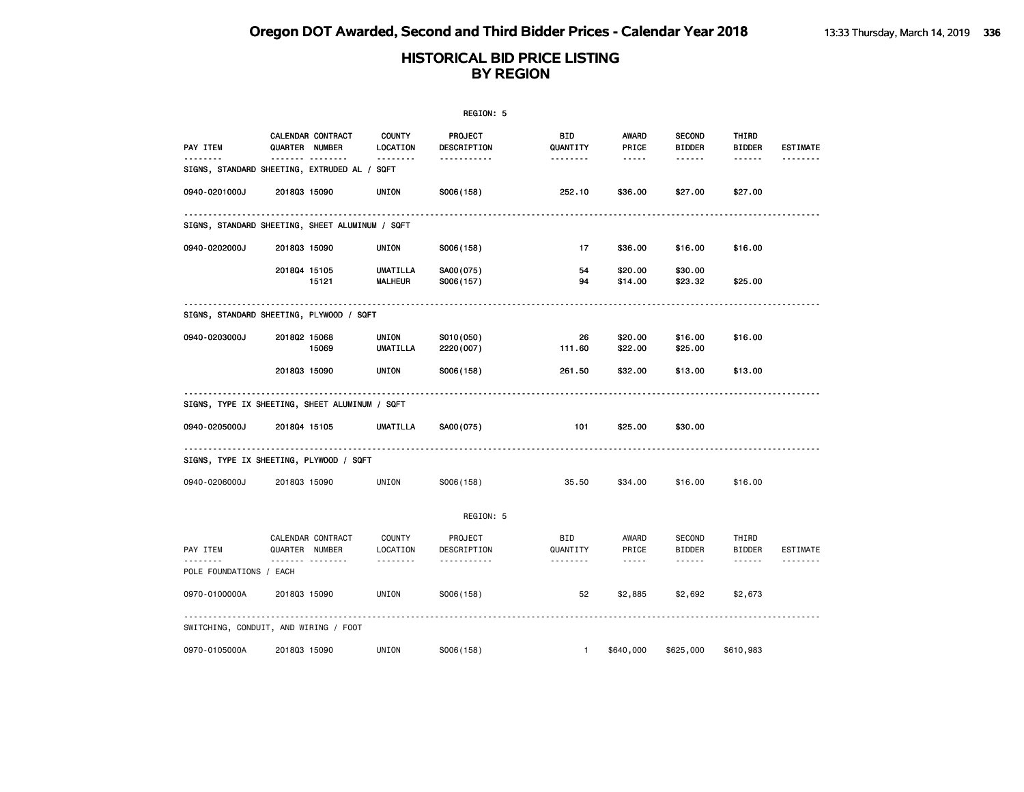|                         |                                                          |                            | REGION: 5               |                      |                                                                                                                                                                                 |                                |                        |                      |
|-------------------------|----------------------------------------------------------|----------------------------|-------------------------|----------------------|---------------------------------------------------------------------------------------------------------------------------------------------------------------------------------|--------------------------------|------------------------|----------------------|
| <b>PAY ITEM</b>         | CALENDAR CONTRACT<br>QUARTER NUMBER                      | <b>COUNTY</b><br>LOCATION  | PROJECT<br>DESCRIPTION  | BID<br>QUANTITY      | AWARD<br>PRICE                                                                                                                                                                  | <b>SECOND</b><br><b>BIDDER</b> | THIRD<br><b>BIDDER</b> | <b>ESTIMATE</b>      |
| <u>.</u>                | <b>.</b><br>SIGNS, STANDARD SHEETING, EXTRUDED AL / SQFT | .                          | -----------             | --------             | $- - - - -$                                                                                                                                                                     | ------                         | ------                 |                      |
| 0940-0201000J           | 201803 15090                                             | UNION                      | S006(158)               | 252.10               | \$36.00                                                                                                                                                                         | \$27.00                        | \$27.00                |                      |
|                         | SIGNS, STANDARD SHEETING, SHEET ALUMINUM / SQFT          |                            |                         |                      |                                                                                                                                                                                 |                                |                        |                      |
| 0940-0202000J           | 201803 15090                                             | UNION                      | S006(158)               | 17                   | \$36.00                                                                                                                                                                         | \$16.00                        | \$16.00                |                      |
|                         | 201804 15105<br>15121                                    | UMATILLA<br><b>MALHEUR</b> | SA00(075)<br>S006(157)  | 54<br>94             | \$20.00<br>\$14.00                                                                                                                                                              | \$30.00<br>\$23.32             | \$25.00                |                      |
|                         | SIGNS, STANDARD SHEETING, PLYWOOD / SQFT                 | .                          |                         |                      |                                                                                                                                                                                 |                                |                        |                      |
| 0940-0203000J           | 201802 15068<br>15069                                    | UNION<br>UMATILLA          | S010(050)<br>2220 (007) | 26<br>111.60         | \$20.00<br>\$22.00                                                                                                                                                              | \$16.00<br>\$25.00             | \$16.00                |                      |
|                         | 201803 15090                                             | UNION                      | S006(158)               | 261.50               | \$32.00                                                                                                                                                                         | \$13.00                        | \$13.00                |                      |
|                         | SIGNS, TYPE IX SHEETING, SHEET ALUMINUM / SQFT           |                            |                         |                      |                                                                                                                                                                                 |                                |                        |                      |
| 0940-0205000J           | 201804 15105                                             | <b>UMATILLA</b>            | SA00(075)               | 101                  | \$25.00                                                                                                                                                                         | \$30.00                        |                        |                      |
|                         | SIGNS, TYPE IX SHEETING, PLYWOOD / SQFT                  |                            |                         |                      |                                                                                                                                                                                 |                                |                        |                      |
| 0940-0206000J           | 201803 15090                                             | UNION                      | S006(158)               | 35.50                | \$34.00                                                                                                                                                                         | \$16.00                        | \$16.00                |                      |
|                         |                                                          |                            | REGION: 5               |                      |                                                                                                                                                                                 |                                |                        |                      |
| PAY ITEM<br>--------    | CALENDAR CONTRACT<br>QUARTER NUMBER<br>                  | <b>COUNTY</b><br>LOCATION  | PROJECT<br>DESCRIPTION  | BID<br>QUANTITY<br>. | AWARD<br>PRICE                                                                                                                                                                  | SECOND<br><b>BIDDER</b><br>.   | THIRD<br>BIDDER        | ESTIMATE<br>-------- |
| POLE FOUNDATIONS / EACH |                                                          | .                          | .                       |                      | $\frac{1}{2} \left( \frac{1}{2} \right) \left( \frac{1}{2} \right) \left( \frac{1}{2} \right) \left( \frac{1}{2} \right) \left( \frac{1}{2} \right) \left( \frac{1}{2} \right)$ |                                | $\cdots \cdots \cdots$ |                      |
| 0970-0100000A           | 201803 15090                                             | UNION                      | S006(158)               | 52                   | \$2,885                                                                                                                                                                         | \$2,692                        | \$2,673                |                      |
|                         | SWITCHING, CONDUIT, AND WIRING / FOOT                    |                            |                         |                      |                                                                                                                                                                                 |                                |                        |                      |
| 0970-0105000A           | 201803 15090                                             | UNION                      | S006(158)               | $\mathbf{1}$         | \$640,000                                                                                                                                                                       | \$625,000                      | \$610,983              |                      |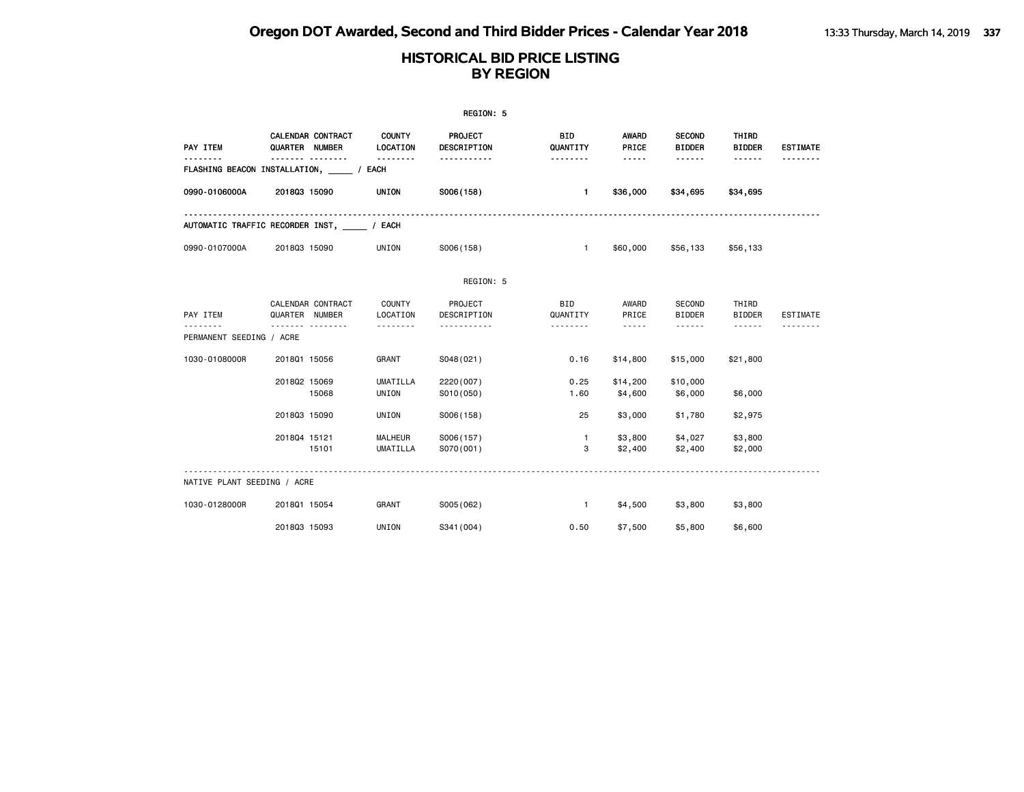|                                            |                |                   |                            | REGION: 5               |                        |                                    |                                |                        |                 |
|--------------------------------------------|----------------|-------------------|----------------------------|-------------------------|------------------------|------------------------------------|--------------------------------|------------------------|-----------------|
| PAY ITEM<br>.                              | QUARTER NUMBER | CALENDAR CONTRACT | <b>COUNTY</b><br>LOCATION  | PROJECT<br>DESCRIPTION  | <b>BID</b><br>QUANTITY | AWARD<br>PRICE                     | <b>SECOND</b><br><b>BIDDER</b> | THIRD<br><b>BIDDER</b> | <b>ESTIMATE</b> |
| FLASHING BEACON INSTALLATION, _____ / EACH |                | .                 | <b>.</b>                   |                         | .                      | -----                              | ------                         | ------                 |                 |
| 0990-0106000A                              | 201803 15090   |                   | <b>UNION</b>               | S006(158)               | $\mathbf{1}$           | \$36,000                           | \$34,695                       | \$34,695               |                 |
| AUTOMATIC TRAFFIC RECORDER INST, / EACH    |                |                   |                            |                         |                        |                                    |                                |                        |                 |
| 0990-0107000A                              | 201803 15090   |                   | UNION                      | S006(158)               | $\mathbf{1}$           | \$60,000                           | \$56,133                       | \$56,133               |                 |
|                                            |                |                   |                            | REGION: 5               |                        |                                    |                                |                        |                 |
| PAY ITEM                                   | QUARTER NUMBER | CALENDAR CONTRACT | COUNTY<br>LOCATION         | PROJECT<br>DESCRIPTION  | BID<br>QUANTITY        | AWARD<br>PRICE                     | SECOND<br><b>BIDDER</b>        | THIRD<br><b>BIDDER</b> | <b>ESTIMATE</b> |
| PERMANENT SEEDING / ACRE                   |                | .                 | .                          | .                       | .                      | $\sim$ $\sim$ $\sim$ $\sim$ $\sim$ | ------                         | ------                 |                 |
| 1030-0108000R                              | 201801 15056   |                   | GRANT                      | S048(021)               | 0.16                   | \$14,800                           | \$15,000                       | \$21,800               |                 |
|                                            | 201802 15069   | 15068             | <b>UMATILLA</b><br>UNION   | 2220 (007)<br>S010(050) | 0.25<br>1.60           | \$14,200<br>\$4,600                | \$10,000<br>\$6,000            | \$6,000                |                 |
|                                            | 201803 15090   |                   | UNION                      | S006(158)               | 25                     | \$3,000                            | \$1,780                        | \$2,975                |                 |
|                                            | 201804 15121   | 15101             | <b>MALHEUR</b><br>UMATILLA | S006(157)<br>S070(001)  | $\mathbf{1}$<br>3      | \$3,800<br>\$2,400                 | \$4,027<br>\$2,400             | \$3,800<br>\$2,000     |                 |
| NATIVE PLANT SEEDING / ACRE                |                |                   |                            |                         |                        |                                    |                                |                        |                 |
| 1030-0128000R                              | 201801 15054   |                   | GRANT                      | S005(062)               | $\overline{1}$         | \$4,500                            | \$3,800                        | \$3,800                |                 |
|                                            | 201803 15093   |                   | UNION                      | S341 (004)              | 0.50                   | \$7,500                            | \$5,800                        | \$6,600                |                 |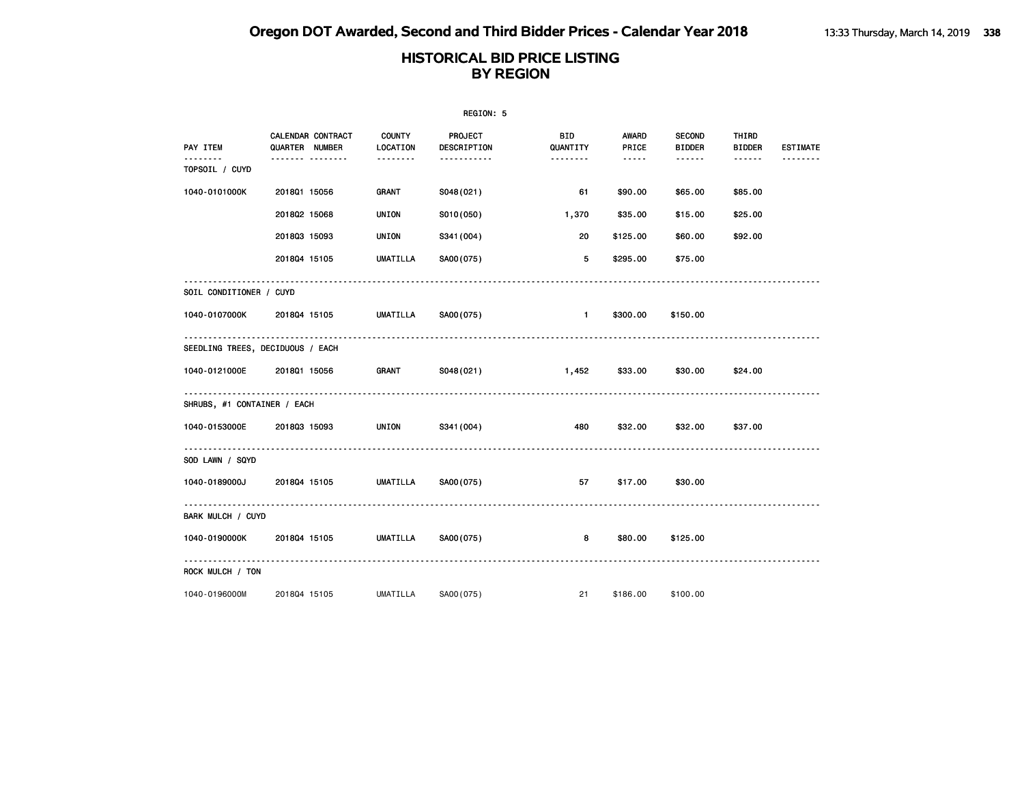|                                  | REGION: 5      |                   |                           |                        |                 |                                                                                                                                                      |                                |                        |                 |  |  |  |
|----------------------------------|----------------|-------------------|---------------------------|------------------------|-----------------|------------------------------------------------------------------------------------------------------------------------------------------------------|--------------------------------|------------------------|-----------------|--|--|--|
| PAY ITEM                         | QUARTER NUMBER | CALENDAR CONTRACT | <b>COUNTY</b><br>LOCATION | PROJECT<br>DESCRIPTION | BID<br>QUANTITY | AWARD<br>PRICE                                                                                                                                       | <b>SECOND</b><br><b>BIDDER</b> | THIRD<br><b>BIDDER</b> | <b>ESTIMATE</b> |  |  |  |
| <u>.</u><br>TOPSOIL / CUYD       |                |                   |                           | <u></u>                |                 | $\frac{1}{2} \left( \frac{1}{2} \right) \left( \frac{1}{2} \right) \left( \frac{1}{2} \right) \left( \frac{1}{2} \right) \left( \frac{1}{2} \right)$ |                                | $- - - - - -$          | <u>.</u>        |  |  |  |
| 1040-0101000K                    | 201801 15056   |                   | GRANT                     | S048(021)              | 61              | \$90.00                                                                                                                                              | \$65.00                        | \$85.00                |                 |  |  |  |
|                                  | 201802 15068   |                   | UNION                     | S010(050)              | 1,370           | \$35.00                                                                                                                                              | \$15.00                        | \$25.00                |                 |  |  |  |
|                                  | 201803 15093   |                   | UNION                     | S341 (004)             | 20              | \$125.00                                                                                                                                             | \$60.00                        | \$92.00                |                 |  |  |  |
|                                  | 201804 15105   |                   | UMATILLA                  | SA00(075)              | 5               | \$295.00                                                                                                                                             | \$75.00                        |                        |                 |  |  |  |
| SOIL CONDITIONER / CUYD          |                |                   |                           |                        |                 |                                                                                                                                                      |                                |                        |                 |  |  |  |
| 1040-0107000K 2018Q4 15105       |                |                   | <b>UMATILLA</b>           | SA00(075)              | $\blacksquare$  | \$300.00                                                                                                                                             | \$150.00                       |                        |                 |  |  |  |
| SEEDLING TREES, DECIDUOUS / EACH |                |                   |                           |                        |                 |                                                                                                                                                      |                                |                        |                 |  |  |  |
| 1040-0121000E                    | 201801 15056   |                   |                           | GRANT S048(021)        | 1,452           | \$33.00                                                                                                                                              | \$30.00                        | \$24.00                |                 |  |  |  |
| SHRUBS, #1 CONTAINER / EACH      |                |                   |                           |                        |                 |                                                                                                                                                      |                                |                        |                 |  |  |  |
| 1040-0153000E                    | 201803 15093   |                   | UNION                     | S341 (004)             | 480             | \$32.00                                                                                                                                              | \$32.00                        | \$37.00                |                 |  |  |  |
| SOD LAWN / SQYD                  |                |                   |                           |                        |                 |                                                                                                                                                      |                                |                        |                 |  |  |  |
| 1040-0189000J 2018Q4 15105       |                |                   |                           | UMATILLA SA00(075)     | 57              | \$17.00                                                                                                                                              | \$30.00                        |                        |                 |  |  |  |
| BARK MULCH / CUYD                |                |                   |                           |                        |                 |                                                                                                                                                      |                                |                        |                 |  |  |  |
| 1040-0190000K                    | 201804 15105   |                   | <b>UMATILLA</b>           | SA00(075)              | 8               | \$80.00                                                                                                                                              | \$125.00                       |                        |                 |  |  |  |
| ROCK MULCH / TON                 |                |                   |                           |                        |                 |                                                                                                                                                      |                                |                        |                 |  |  |  |
| 1040-0196000M                    | 201804 15105   |                   | UMATILLA                  | SA00(075)              | 21              | \$186,00                                                                                                                                             | \$100.00                       |                        |                 |  |  |  |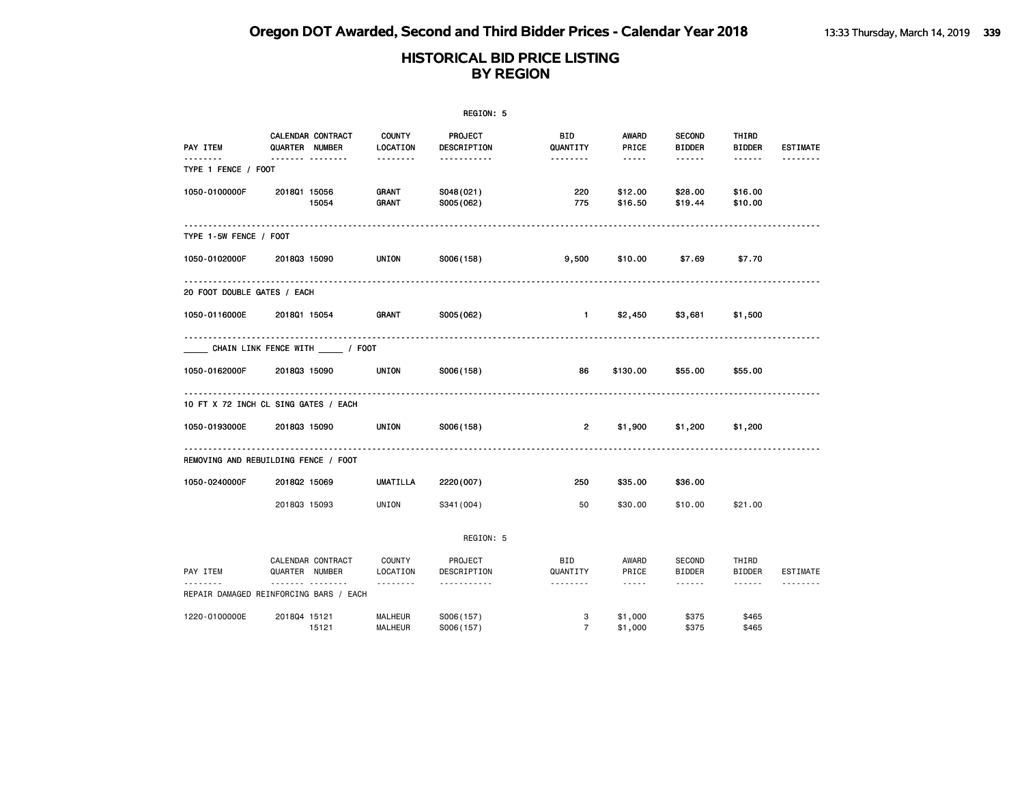|                             |                                                    |                           | REGION: 5              |                        |                                                                                                                                                                                 |                                |                        |                 |
|-----------------------------|----------------------------------------------------|---------------------------|------------------------|------------------------|---------------------------------------------------------------------------------------------------------------------------------------------------------------------------------|--------------------------------|------------------------|-----------------|
| PAY ITEM                    | CALENDAR CONTRACT<br>QUARTER NUMBER                | <b>COUNTY</b><br>LOCATION | PROJECT<br>DESCRIPTION | <b>BID</b><br>QUANTITY | AWARD<br>PRICE                                                                                                                                                                  | <b>SECOND</b><br><b>BIDDER</b> | THIRD<br><b>BIDDER</b> | <b>ESTIMATE</b> |
| TYPE 1 FENCE / FOOT         | . <sub>.</sub>                                     | .                         | -----------            | .                      | $\frac{1}{2} \frac{1}{2} \frac{1}{2} \frac{1}{2} \frac{1}{2} \frac{1}{2} \frac{1}{2} \frac{1}{2} \frac{1}{2}$                                                                   | ------                         | $- - - - - -$          |                 |
| 1050-0100000F               | 201801 15056<br>15054                              | GRANT<br><b>GRANT</b>     | S048(021)<br>S005(062) | 220<br>775             | \$12.00<br>\$16.50                                                                                                                                                              | \$28.00<br>\$19.44             | \$16.00<br>\$10.00     |                 |
| TYPE 1-5W FENCE / FOOT      |                                                    |                           |                        |                        |                                                                                                                                                                                 |                                |                        |                 |
| 1050-0102000F               | 201803 15090                                       | UNION                     | S006(158)              | 9,500                  | \$10.00                                                                                                                                                                         | \$7.69                         | \$7.70                 |                 |
| 20 FOOT DOUBLE GATES / EACH |                                                    |                           |                        |                        |                                                                                                                                                                                 |                                |                        |                 |
| 1050-0116000E               | 201801 15054                                       | GRANT                     | S005(062)              | $\mathbf{1}$           | \$2,450                                                                                                                                                                         | \$3,681                        | \$1,500                |                 |
|                             | CHAIN LINK FENCE WITH ______ / FOOT                |                           |                        |                        |                                                                                                                                                                                 |                                |                        |                 |
| 1050-0162000F               | 201803 15090                                       | UNION                     | S006(158)              | 86                     | \$130.00                                                                                                                                                                        | \$55.00                        | \$55.00                |                 |
|                             | 10 FT X 72 INCH CL SING GATES / EACH               |                           |                        |                        |                                                                                                                                                                                 |                                |                        |                 |
| 1050-0193000E               | 201803 15090                                       | UNION                     | S006(158)              | $\overline{2}$         | \$1,900                                                                                                                                                                         | \$1,200                        | \$1,200                |                 |
|                             | REMOVING AND REBUILDING FENCE / FOOT               |                           |                        |                        |                                                                                                                                                                                 |                                |                        |                 |
| 1050-0240000F               | 201802 15069                                       | UMATILLA                  | 2220 (007)             | 250                    | \$35.00                                                                                                                                                                         | \$36.00                        |                        |                 |
|                             | 201803 15093                                       | UNION                     | S341 (004)             | 50                     | \$30,00                                                                                                                                                                         | \$10.00                        | \$21.00                |                 |
|                             |                                                    |                           | REGION: 5              |                        |                                                                                                                                                                                 |                                |                        |                 |
| PAY ITEM                    | CALENDAR CONTRACT<br>QUARTER NUMBER                | COUNTY<br>LOCATION        | PROJECT<br>DESCRIPTION | BID<br>QUANTITY        | AWARD<br>PRICE                                                                                                                                                                  | SECOND<br><b>BIDDER</b>        | THIRD<br>BIDDER        | ESTIMATE        |
|                             | <u>.</u><br>REPAIR DAMAGED REINFORCING BARS / EACH | .                         | .                      | --------               | $\frac{1}{2} \left( \frac{1}{2} \right) \left( \frac{1}{2} \right) \left( \frac{1}{2} \right) \left( \frac{1}{2} \right) \left( \frac{1}{2} \right) \left( \frac{1}{2} \right)$ | $\cdots\cdots\cdots$           | $\cdots \cdots \cdots$ |                 |
| 1220-0100000E               | 201804 15121<br>15121                              | MALHEUR<br>MALHEUR        | S006(157)<br>S006(157) | 3<br>$\overline{7}$    | \$1,000<br>\$1,000                                                                                                                                                              | \$375<br>\$375                 | \$465<br>\$465         |                 |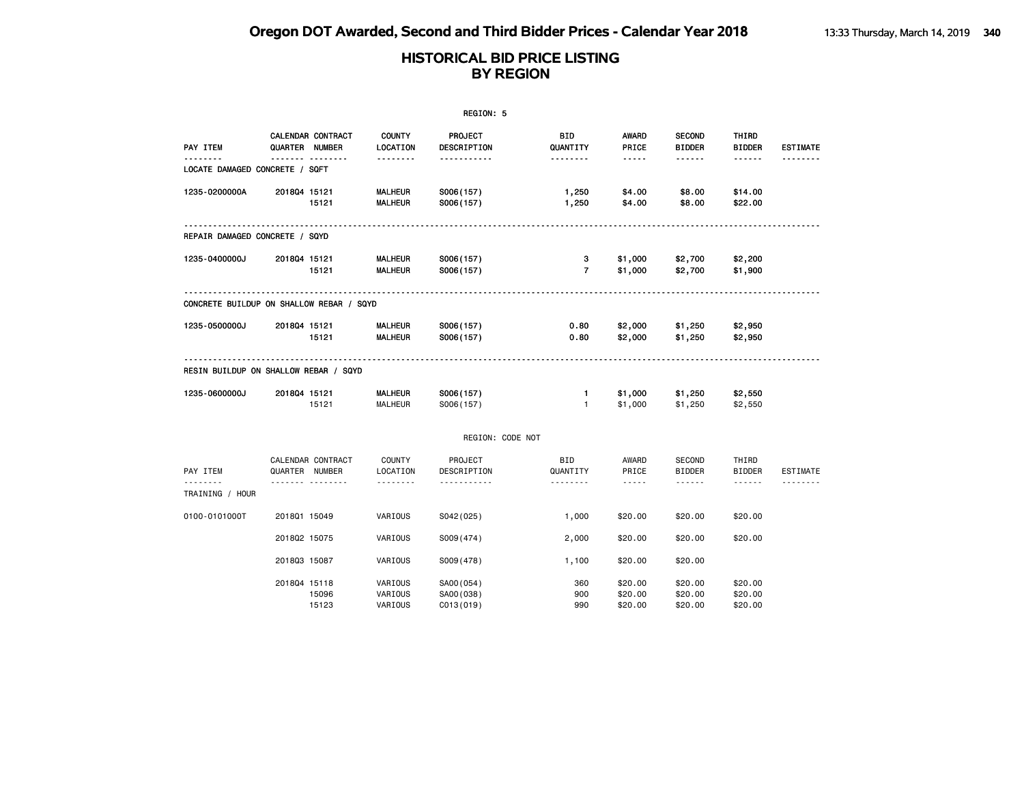|                                          | REGION: 5      |                   |                                  |                                     |                              |                                    |                                |                               |                 |  |  |  |
|------------------------------------------|----------------|-------------------|----------------------------------|-------------------------------------|------------------------------|------------------------------------|--------------------------------|-------------------------------|-----------------|--|--|--|
| PAY ITEM                                 | QUARTER NUMBER | CALENDAR CONTRACT | <b>COUNTY</b><br>LOCATION        | PROJECT<br>DESCRIPTION              | <b>BID</b><br>QUANTITY       | <b>AWARD</b><br>PRICE              | <b>SECOND</b><br><b>BIDDER</b> | THIRD<br><b>BIDDER</b>        | <b>ESTIMATE</b> |  |  |  |
| .<br>LOCATE DAMAGED CONCRETE / SQFT      | -------        | .                 | .                                | -----------                         | .                            | $- - - -$                          | .                              | ------                        | --------        |  |  |  |
| 1235-0200000A                            | 201804 15121   | 15121             | <b>MALHEUR</b><br><b>MALHEUR</b> | S006(157)<br>S006(157)              | 1,250<br>1,250               | \$4.00<br>\$4.00                   | \$8.00<br>\$8.00               | \$14.00<br>\$22.00            |                 |  |  |  |
| REPAIR DAMAGED CONCRETE / SQYD           |                |                   |                                  |                                     |                              |                                    |                                |                               |                 |  |  |  |
| 1235-0400000J                            | 201804 15121   | 15121             | <b>MALHEUR</b><br><b>MALHEUR</b> | S006(157)<br>S006(157)              | з<br>$\overline{7}$          | \$1,000<br>\$1,000                 | \$2,700<br>\$2,700             | \$2,200<br>\$1,900            |                 |  |  |  |
| CONCRETE BUILDUP ON SHALLOW REBAR / SQYD |                |                   |                                  |                                     |                              |                                    |                                |                               |                 |  |  |  |
| 1235-0500000J                            | 201804 15121   | 15121             | <b>MALHEUR</b><br><b>MALHEUR</b> | S006(157)<br>S006(157)              | 0.80<br>0.80                 | \$2,000<br>\$2,000                 | \$1,250<br>\$1,250             | \$2,950<br>\$2,950            |                 |  |  |  |
| RESIN BUILDUP ON SHALLOW REBAR / SQYD    |                |                   |                                  |                                     |                              |                                    |                                |                               |                 |  |  |  |
| 1235-0600000J                            | 201804 15121   | 15121             | <b>MALHEUR</b><br><b>MALHEUR</b> | S006(157)<br>S006(157)              | $\mathbf{1}$<br>$\mathbf{1}$ | \$1,000<br>\$1,000                 | \$1,250<br>\$1,250             | \$2,550<br>\$2,550            |                 |  |  |  |
|                                          |                |                   |                                  | REGION: CODE NOT                    |                              |                                    |                                |                               |                 |  |  |  |
| PAY ITEM                                 | QUARTER NUMBER | CALENDAR CONTRACT | COUNTY<br>LOCATION               | PROJECT<br>DESCRIPTION              | BID<br>QUANTITY              | AWARD<br>PRICE                     | <b>SECOND</b><br><b>BIDDER</b> | THIRD<br><b>BIDDER</b>        | ESTIMATE        |  |  |  |
| .<br>TRAINING / HOUR                     |                | . <sub>.</sub>    | .                                | .                                   | .                            | $\sim$ $\sim$ $\sim$ $\sim$ $\sim$ | .                              | ------                        | <u>.</u>        |  |  |  |
| 0100-0101000T                            | 201801 15049   |                   | VARIOUS                          | S042(025)                           | 1,000                        | \$20.00                            | \$20.00                        | \$20.00                       |                 |  |  |  |
|                                          | 201802 15075   |                   | VARIOUS                          | S009(474)                           | 2,000                        | \$20.00                            | \$20.00                        | \$20.00                       |                 |  |  |  |
|                                          | 201803 15087   |                   | VARIOUS                          | S009(478)                           | 1,100                        | \$20.00                            | \$20.00                        |                               |                 |  |  |  |
|                                          | 201804 15118   | 15096<br>15123    | VARIOUS<br>VARIOUS<br>VARIOUS    | SA00(054)<br>SA00(038)<br>C013(019) | 360<br>900<br>990            | \$20.00<br>\$20.00<br>\$20.00      | \$20.00<br>\$20.00<br>\$20.00  | \$20.00<br>\$20.00<br>\$20.00 |                 |  |  |  |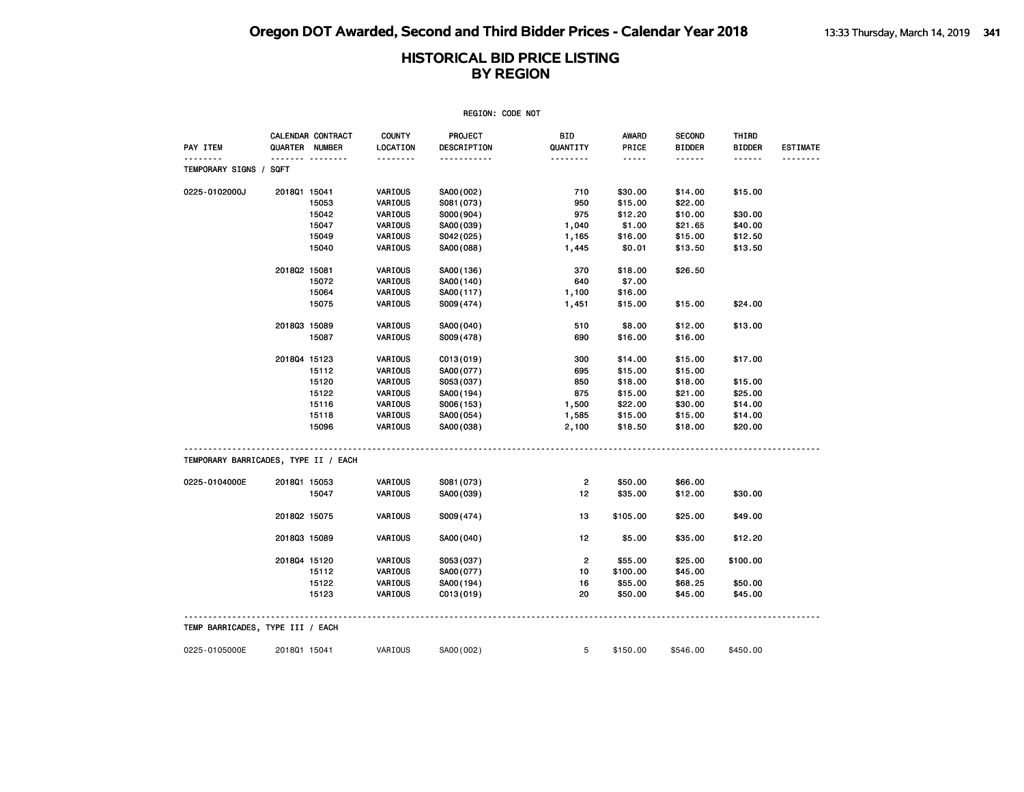| REGION: CODE NOT                     |              |                                            |                           |                        |                 |                                                                                                               |                                |                        |                 |  |  |
|--------------------------------------|--------------|--------------------------------------------|---------------------------|------------------------|-----------------|---------------------------------------------------------------------------------------------------------------|--------------------------------|------------------------|-----------------|--|--|
| PAY ITEM                             |              | <b>CALENDAR CONTRACT</b><br>QUARTER NUMBER | <b>COUNTY</b><br>LOCATION | PROJECT<br>DESCRIPTION | BID<br>QUANTITY | AWARD<br>PRICE                                                                                                | <b>SECOND</b><br><b>BIDDER</b> | THIRD<br><b>BIDDER</b> | <b>ESTIMATE</b> |  |  |
| TEMPORARY SIGNS / SQFT               |              | . . <i>.</i>                               | --------                  | <u>.</u>               | .               | $\frac{1}{2} \frac{1}{2} \frac{1}{2} \frac{1}{2} \frac{1}{2} \frac{1}{2} \frac{1}{2} \frac{1}{2} \frac{1}{2}$ | .                              | $\cdots\cdots\cdots$   |                 |  |  |
| 0225-0102000J                        | 201801 15041 |                                            | VARIOUS                   | SA00(002)              | 710             | \$30.00                                                                                                       | \$14.00                        | \$15.00                |                 |  |  |
|                                      |              | 15053                                      | VARIOUS                   | S081 (073)             | 950             | \$15.00                                                                                                       | \$22.00                        |                        |                 |  |  |
|                                      |              | 15042                                      | VARIOUS                   | S000(904)              | 975             | \$12.20                                                                                                       | \$10.00                        | \$30.00                |                 |  |  |
|                                      |              | 15047                                      | VARIOUS                   | SA00(039)              | 1,040           | \$1.00                                                                                                        | \$21.65                        | \$40.00                |                 |  |  |
|                                      |              | 15049                                      | VARIOUS                   | S042(025)              | 1,165           | \$16.00                                                                                                       | \$15.00                        | \$12.50                |                 |  |  |
|                                      |              | 15040                                      | VARIOUS                   | SA00(088)              | 1,445           | \$0.01                                                                                                        | \$13.50                        | \$13.50                |                 |  |  |
|                                      | 201802 15081 |                                            | VARIOUS                   | SA00 (136)             | 370             | \$18.00                                                                                                       | \$26.50                        |                        |                 |  |  |
|                                      |              | 15072                                      | VARIOUS                   | SA00 (140)             | 640             | \$7.00                                                                                                        |                                |                        |                 |  |  |
|                                      |              | 15064                                      | VARIOUS                   | SA00(117)              | 1,100           | \$16.00                                                                                                       |                                |                        |                 |  |  |
|                                      |              | 15075                                      | VARIOUS                   | S009(474)              | 1,451           | \$15.00                                                                                                       | \$15.00                        | \$24.00                |                 |  |  |
|                                      | 201803 15089 |                                            | VARIOUS                   | SA00 (040)             | 510             | \$8.00                                                                                                        | \$12.00                        | \$13.00                |                 |  |  |
|                                      |              | 15087                                      | VARIOUS                   | S009(478)              | 690             | \$16.00                                                                                                       | \$16.00                        |                        |                 |  |  |
|                                      | 201804 15123 |                                            | VARIOUS                   | C013(019)              | 300             | \$14.00                                                                                                       | \$15.00                        | \$17.00                |                 |  |  |
|                                      |              | 15112                                      | VARIOUS                   | SA00(077)              | 695             | \$15.00                                                                                                       | \$15.00                        |                        |                 |  |  |
|                                      |              | 15120                                      | VARIOUS                   | S053(037)              | 850             | \$18.00                                                                                                       | \$18.00                        | \$15.00                |                 |  |  |
|                                      |              | 15122                                      | VARIOUS                   | SA00(194)              | 875             | \$15.00                                                                                                       | \$21.00                        | \$25.00                |                 |  |  |
|                                      |              | 15116                                      | VARIOUS                   | S006(153)              | 1,500           | \$22.00                                                                                                       | \$30.00                        | \$14.00                |                 |  |  |
|                                      |              | 15118                                      | VARIOUS                   | SA00(054)              | 1,585           | \$15.00                                                                                                       | \$15.00                        | \$14.00                |                 |  |  |
|                                      |              | 15096                                      | VARIOUS                   | SA00(038)              | 2,100           | \$18.50                                                                                                       | \$18.00                        | \$20.00                |                 |  |  |
| TEMPORARY BARRICADES, TYPE II / EACH |              |                                            |                           |                        |                 |                                                                                                               |                                |                        |                 |  |  |
| 0225-0104000E                        | 201801 15053 |                                            | VARIOUS                   | S081 (073)             | $\overline{2}$  | \$50.00                                                                                                       | \$66.00                        |                        |                 |  |  |
|                                      |              | 15047                                      | VARIOUS                   | SA00(039)              | 12              | \$35.00                                                                                                       | \$12.00                        | \$30.00                |                 |  |  |
|                                      | 201802 15075 |                                            | VARIOUS                   | S009(474)              | 13              | \$105.00                                                                                                      | \$25.00                        | \$49.00                |                 |  |  |
|                                      | 201803 15089 |                                            | VARIOUS                   | SA00(040)              | 12              | \$5.00                                                                                                        | \$35.00                        | \$12.20                |                 |  |  |
|                                      | 201804 15120 |                                            | VARIOUS                   | S053(037)              | $\overline{2}$  | \$55.00                                                                                                       | \$25.00                        | \$100.00               |                 |  |  |
|                                      |              | 15112                                      | VARIOUS                   | SA00(077)              | 10              | \$100.00                                                                                                      | \$45.00                        |                        |                 |  |  |
|                                      |              | 15122                                      | VARIOUS                   | SA00(194)              | 16              | \$55.00                                                                                                       | \$68.25                        | \$50.00                |                 |  |  |
|                                      |              | 15123                                      | VARIOUS                   | C013(019)              | 20              | \$50.00                                                                                                       | \$45.00                        | \$45.00                |                 |  |  |
| TEMP BARRICADES, TYPE III / EACH     |              |                                            |                           |                        |                 |                                                                                                               |                                |                        |                 |  |  |
|                                      |              |                                            |                           |                        |                 |                                                                                                               |                                |                        |                 |  |  |
| 0225-0105000E                        | 201801 15041 |                                            | VARIOUS                   | SA00 (002)             | 5               | \$150.00                                                                                                      | \$546.00                       | \$450.00               |                 |  |  |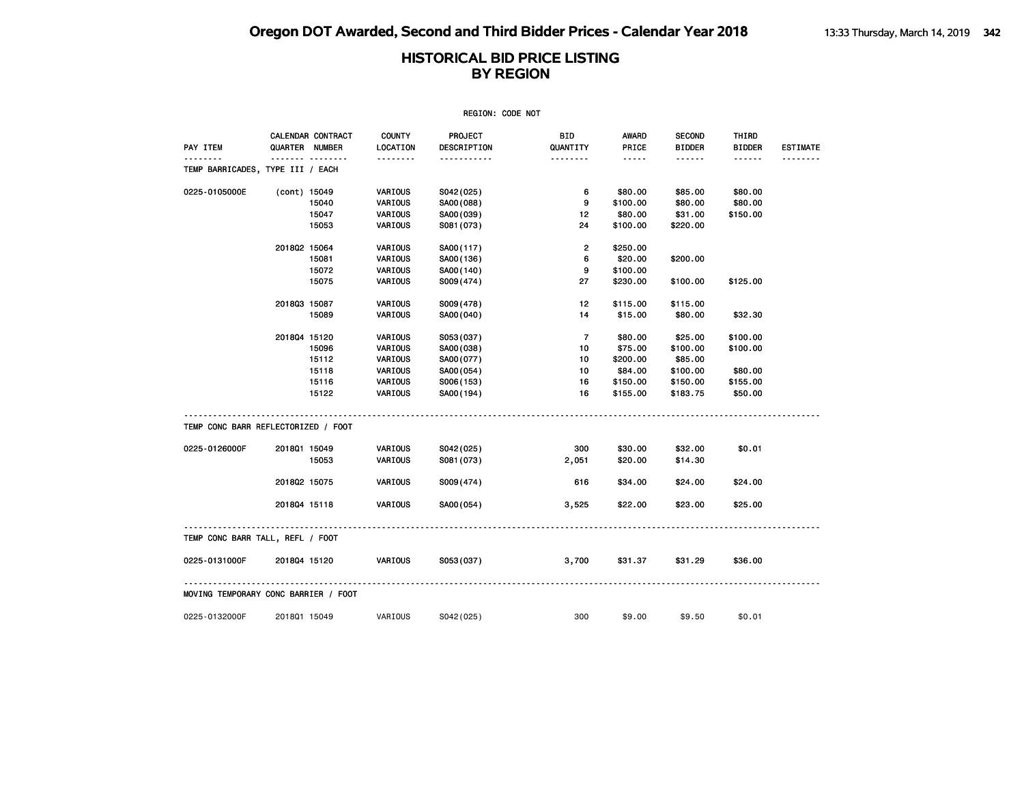|                                              |              |                                     |                    | REGION: CODE NOT       |                 |                 |                                |                        |                 |
|----------------------------------------------|--------------|-------------------------------------|--------------------|------------------------|-----------------|-----------------|--------------------------------|------------------------|-----------------|
| PAY ITEM                                     |              | CALENDAR CONTRACT<br>QUARTER NUMBER | COUNTY<br>LOCATION | PROJECT<br>DESCRIPTION | BID<br>QUANTITY | AWARD<br>PRICE  | <b>SECOND</b><br><b>BIDDER</b> | THIRD<br><b>BIDDER</b> | <b>ESTIMATE</b> |
| <u>.</u><br>TEMP BARRICADES, TYPE III / EACH |              | .                                   | <u>.</u>           | <u>.</u>               |                 | $\cdots \cdots$ | ------                         | ------                 |                 |
| 0225-0105000E                                | (cont) 15049 |                                     | VARIOUS            | S042(025)              | 6               | \$80.00         | \$85.00                        | \$80.00                |                 |
|                                              |              | 15040                               | VARIOUS            | SA00(088)              | 9               | \$100.00        | \$80.00                        | \$80.00                |                 |
|                                              |              | 15047                               | VARIOUS            | SA00(039)              | 12              | \$80.00         | \$31.00                        | \$150.00               |                 |
|                                              |              | 15053                               | VARIOUS            | S081 (073)             | 24              | \$100.00        | \$220.00                       |                        |                 |
|                                              |              |                                     |                    |                        |                 |                 |                                |                        |                 |
|                                              | 201802 15064 |                                     | VARIOUS            | SA00(117)              | $\overline{2}$  | \$250.00        |                                |                        |                 |
|                                              |              | 15081                               | VARIOUS            | SA00(136)              | 6               | \$20.00         | \$200.00                       |                        |                 |
|                                              |              | 15072                               | VARIOUS            | SA00(140)              | 9               | \$100.00        |                                |                        |                 |
|                                              |              | 15075                               | VARIOUS            | S009(474)              | 27              | \$230.00        | \$100.00                       | \$125.00               |                 |
|                                              | 201803 15087 |                                     | VARIOUS            | S009(478)              | 12              | \$115.00        | \$115.00                       |                        |                 |
|                                              |              | 15089                               | VARIOUS            | SA00(040)              | 14              | \$15.00         | \$80.00                        | \$32.30                |                 |
|                                              | 201804 15120 |                                     | VARIOUS            |                        | $\overline{7}$  | \$80.00         | \$25.00                        | \$100.00               |                 |
|                                              |              | 15096                               |                    | S053(037)              |                 |                 |                                | \$100.00               |                 |
|                                              |              |                                     | VARIOUS            | SA00(038)              | 10              | \$75.00         | \$100.00                       |                        |                 |
|                                              |              | 15112                               | VARIOUS            | SA00(077)              | 10              | \$200.00        | \$85.00                        |                        |                 |
|                                              |              | 15118                               | VARIOUS            | SA00(054)              | 10              | \$84.00         | \$100.00                       | \$80.00                |                 |
|                                              |              | 15116                               | VARIOUS            | S006(153)              | 16              | \$150.00        | \$150.00                       | \$155.00               |                 |
|                                              |              | 15122                               | VARIOUS            | SA00(194)              | 16              | \$155.00        | \$183.75                       | \$50.00                |                 |
| TEMP CONC BARR REFLECTORIZED / FOOT          |              |                                     |                    |                        |                 |                 |                                |                        |                 |
| 0225-0126000F                                | 2018Q1 15049 |                                     | <b>VARIOUS</b>     | S042(025)              | 300             | \$30.00         | \$32.00                        | \$0.01                 |                 |
|                                              |              | 15053                               | VARIOUS            | S081 (073)             | 2,051           | \$20.00         | \$14.30                        |                        |                 |
|                                              | 201802 15075 |                                     | <b>VARIOUS</b>     | S009(474)              | 616             | \$34.00         | \$24.00                        | \$24.00                |                 |
|                                              | 201804 15118 |                                     | <b>VARIOUS</b>     | SA00(054)              | 3,525           | \$22.00         | \$23.00                        | \$25.00                |                 |
| TEMP CONC BARR TALL, REFL / FOOT             |              |                                     |                    |                        |                 |                 |                                |                        |                 |
|                                              |              |                                     |                    |                        |                 |                 |                                |                        |                 |
| 0225-0131000F                                | 201804 15120 |                                     | VARIOUS            | S053(037)              | 3,700           | \$31.37         | \$31.29                        | \$36.00                |                 |
| MOVING TEMPORARY CONC BARRIER / FOOT         |              |                                     |                    |                        |                 |                 |                                |                        |                 |
| 0225-0132000F                                | 201801 15049 |                                     | VARIOUS            | S042(025)              | 300             | \$9.00          | \$9.50                         | \$0.01                 |                 |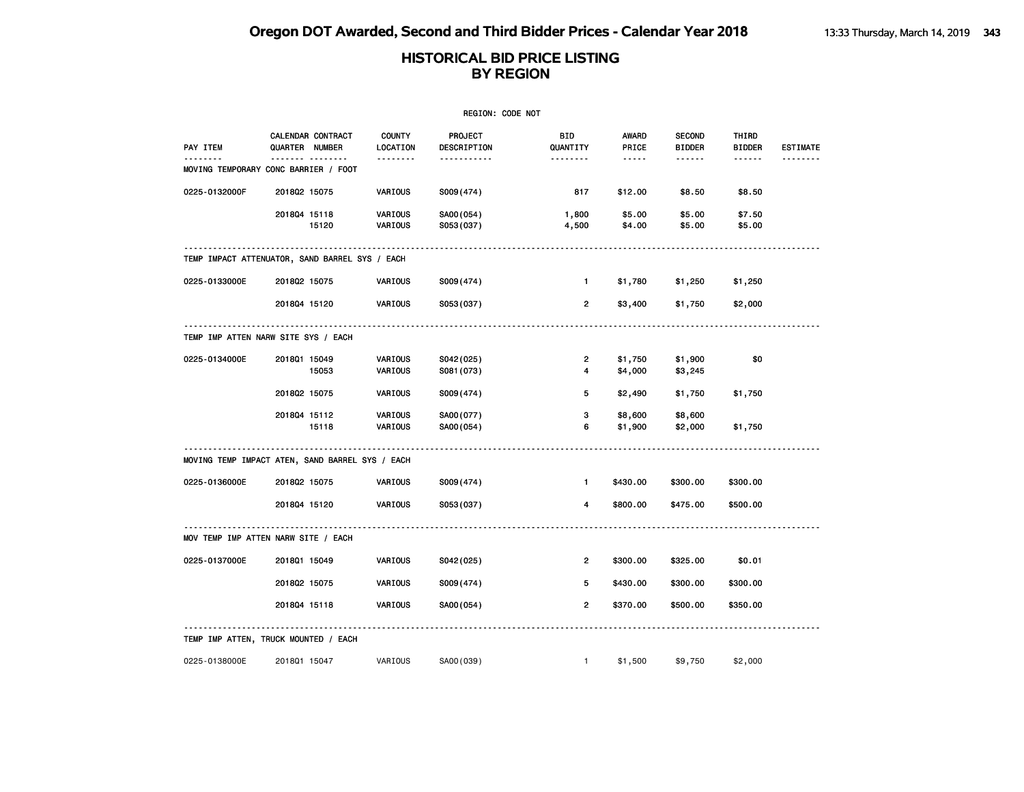| REGION: CODE NOT |                                                 |                           |                         |                     |                                                                                                               |                                |                        |                 |  |  |  |
|------------------|-------------------------------------------------|---------------------------|-------------------------|---------------------|---------------------------------------------------------------------------------------------------------------|--------------------------------|------------------------|-----------------|--|--|--|
| PAY ITEM         | <b>CALENDAR CONTRACT</b><br>QUARTER NUMBER      | <b>COUNTY</b><br>LOCATION | PROJECT<br>DESCRIPTION  | BID<br>QUANTITY     | AWARD<br>PRICE                                                                                                | <b>SECOND</b><br><b>BIDDER</b> | THIRD<br><b>BIDDER</b> | <b>ESTIMATE</b> |  |  |  |
|                  | .<br>MOVING TEMPORARY CONC BARRIER / FOOT       | .                         | -----------             | .                   | $\frac{1}{2} \frac{1}{2} \frac{1}{2} \frac{1}{2} \frac{1}{2} \frac{1}{2} \frac{1}{2} \frac{1}{2} \frac{1}{2}$ | ------                         | ------                 |                 |  |  |  |
| 0225-0132000F    | 201802 15075                                    | VARIOUS                   | S009(474)               | 817                 | \$12.00                                                                                                       | \$8.50                         | \$8.50                 |                 |  |  |  |
|                  | 201804 15118<br>15120                           | VARIOUS<br>VARIOUS        | SA00(054)<br>S053 (037) | 1,800<br>4,500      | \$5.00<br>\$4.00                                                                                              | \$5.00<br>\$5.00               | \$7.50<br>\$5.00       |                 |  |  |  |
|                  | TEMP IMPACT ATTENUATOR, SAND BARREL SYS / EACH  |                           |                         |                     |                                                                                                               |                                |                        |                 |  |  |  |
| 0225-0133000E    | 201802 15075                                    | VARIOUS                   | S009(474)               | $\mathbf{1}$        | \$1,780                                                                                                       | \$1,250                        | \$1,250                |                 |  |  |  |
|                  | 201804 15120                                    | VARIOUS                   | S053(037)               | $\overline{2}$      | \$3,400                                                                                                       | \$1,750                        | \$2,000                |                 |  |  |  |
|                  | TEMP IMP ATTEN NARW SITE SYS / EACH             |                           |                         |                     |                                                                                                               |                                |                        |                 |  |  |  |
| 0225-0134000E    | 201801 15049<br>15053                           | VARIOUS<br>VARIOUS        | S042(025)<br>S081 (073) | $\overline{2}$<br>4 | \$1,750<br>\$4,000                                                                                            | \$1,900<br>\$3,245             | \$0                    |                 |  |  |  |
|                  | 201802 15075                                    | VARIOUS                   | S009(474)               | 5                   | \$2,490                                                                                                       | \$1,750                        | \$1,750                |                 |  |  |  |
|                  | 201804 15112<br>15118                           | VARIOUS<br>VARIOUS        | SA00(077)<br>SA00(054)  | 3<br>6              | \$8,600<br>\$1,900                                                                                            | \$8,600<br>\$2,000             | \$1,750                |                 |  |  |  |
|                  | MOVING TEMP IMPACT ATEN, SAND BARREL SYS / EACH |                           |                         |                     |                                                                                                               |                                |                        |                 |  |  |  |
| 0225-0136000E    | 201802 15075                                    | <b>VARIOUS</b>            | S009(474)               | $\mathbf{1}$        | \$430.00                                                                                                      | \$300.00                       | \$300.00               |                 |  |  |  |
|                  | 201804 15120                                    | VARIOUS                   | S053(037)               | 4                   | \$800.00                                                                                                      | \$475.00                       | \$500.00               |                 |  |  |  |
|                  | MOV TEMP IMP ATTEN NARW SITE / EACH             |                           |                         |                     |                                                                                                               |                                |                        |                 |  |  |  |
| 0225-0137000E    | 201801 15049                                    | VARIOUS                   | S042(025)               | $\overline{2}$      | \$300.00                                                                                                      | \$325.00                       | \$0.01                 |                 |  |  |  |
|                  | 201802 15075                                    | VARIOUS                   | S009(474)               | 5                   | \$430.00                                                                                                      | \$300.00                       | \$300.00               |                 |  |  |  |
|                  | 201804 15118                                    | VARIOUS                   | SA00(054)               | $\overline{2}$      | \$370.00                                                                                                      | \$500.00                       | \$350.00               |                 |  |  |  |
|                  | TEMP IMP ATTEN, TRUCK MOUNTED / EACH            |                           |                         |                     |                                                                                                               |                                |                        |                 |  |  |  |
| 0225-0138000E    | 201801 15047                                    | VARIOUS                   | SA00 (039)              | $\mathbf{1}$        | \$1,500                                                                                                       | \$9,750                        | \$2,000                |                 |  |  |  |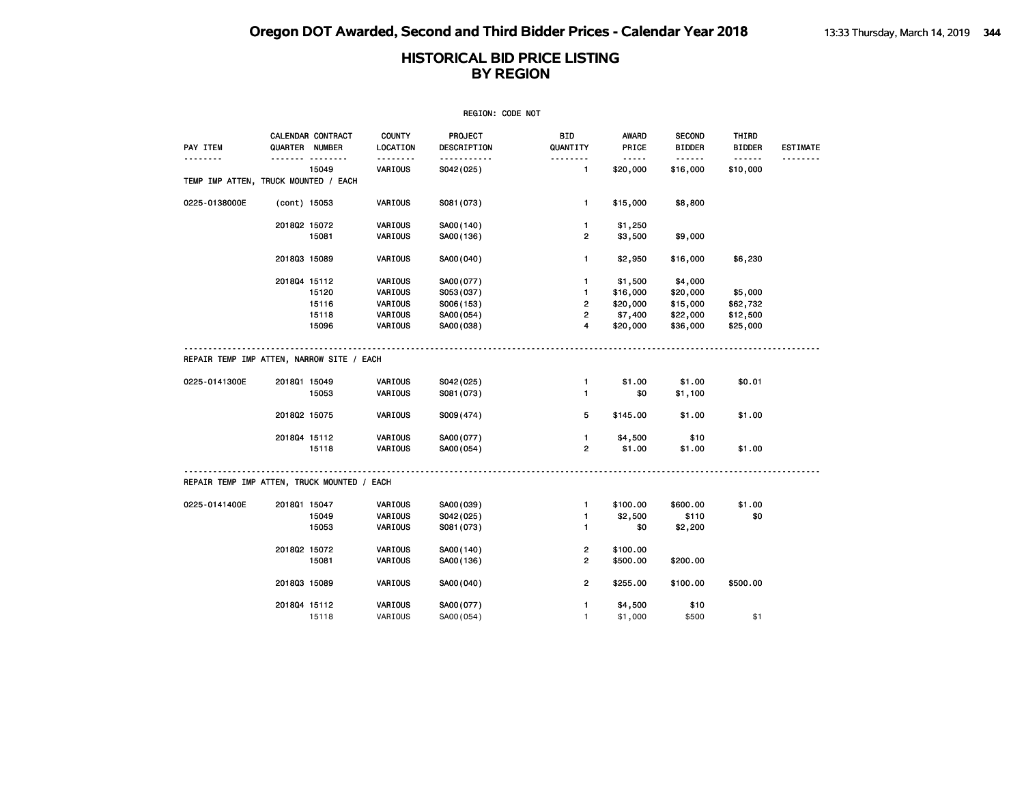|                                             |              |                                     |                           | REGION: CODE NOT       |                          |                       |                                |                        |                 |
|---------------------------------------------|--------------|-------------------------------------|---------------------------|------------------------|--------------------------|-----------------------|--------------------------------|------------------------|-----------------|
| PAY ITEM                                    |              | CALENDAR CONTRACT<br>QUARTER NUMBER | <b>COUNTY</b><br>LOCATION | PROJECT<br>DESCRIPTION | BID<br>QUANTITY          | <b>AWARD</b><br>PRICE | <b>SECOND</b><br><b>BIDDER</b> | THIRD<br><b>BIDDER</b> | <b>ESTIMATE</b> |
| .                                           |              |                                     | <u>.</u>                  | .                      | <u>.</u><br>$\mathbf{1}$ | $- - - - -$           | ------                         | $\cdots \cdots \cdots$ | .               |
| TEMP IMP ATTEN, TRUCK MOUNTED / EACH        |              | 15049                               | VARIOUS                   | S042(025)              |                          | \$20,000              | \$16,000                       | \$10,000               |                 |
| 0225-0138000E                               | (cont) 15053 |                                     | VARIOUS                   | S081 (073)             | 1.                       | \$15,000              | \$8,800                        |                        |                 |
|                                             | 201802 15072 |                                     | VARIOUS                   | SA00(140)              | 1.                       | \$1,250               |                                |                        |                 |
|                                             |              | 15081                               | VARIOUS                   | SA00(136)              | $\overline{2}$           | \$3,500               | \$9,000                        |                        |                 |
|                                             | 201803 15089 |                                     | VARIOUS                   | SA00(040)              | $\mathbf{1}$             | \$2,950               | \$16,000                       | \$6,230                |                 |
|                                             | 201804 15112 |                                     | VARIOUS                   | SA00(077)              | 1.                       | \$1,500               | \$4,000                        |                        |                 |
|                                             |              | 15120                               | VARIOUS                   | S053(037)              | $\mathbf{1}$             | \$16,000              | \$20,000                       | \$5,000                |                 |
|                                             |              | 15116                               | VARIOUS                   | S006(153)              | $\overline{2}$           | \$20,000              | \$15,000                       | \$62,732               |                 |
|                                             |              | 15118                               | VARIOUS                   | SA00(054)              | $\overline{2}$           | \$7,400               | \$22,000                       | \$12,500               |                 |
|                                             |              | 15096                               | VARIOUS                   | SA00(038)              | 4                        | \$20,000              | \$36,000                       | \$25,000               |                 |
| REPAIR TEMP IMP ATTEN, NARROW SITE / EACH   |              |                                     |                           |                        |                          |                       |                                |                        |                 |
| 0225-0141300E                               | 201801 15049 |                                     | VARIOUS                   | S042(025)              | 1                        | \$1.00                | \$1.00                         | \$0.01                 |                 |
|                                             |              | 15053                               | VARIOUS                   | S081 (073)             | $\mathbf{1}$             | \$0                   | \$1,100                        |                        |                 |
|                                             | 201802 15075 |                                     | VARIOUS                   | S009(474)              | 5                        | \$145.00              | \$1.00                         | \$1.00                 |                 |
|                                             | 201804 15112 |                                     | VARIOUS                   | SA00(077)              | $\mathbf{1}$             | \$4,500               | \$10                           |                        |                 |
|                                             |              | 15118                               | VARIOUS                   | SA00(054)              | $\overline{2}$           | \$1.00                | \$1.00                         | \$1.00                 |                 |
| REPAIR TEMP IMP ATTEN, TRUCK MOUNTED / EACH |              |                                     |                           |                        |                          |                       |                                |                        |                 |
| 0225-0141400E                               | 201801 15047 |                                     | VARIOUS                   | SA00(039)              | $\mathbf{1}$             | \$100.00              | \$600.00                       | \$1.00                 |                 |
|                                             |              | 15049                               | VARIOUS                   | S042(025)              | 1                        | \$2,500               | \$110                          | \$0                    |                 |
|                                             |              | 15053                               | VARIOUS                   | S081 (073)             | $\mathbf{1}$             | \$0                   | \$2,200                        |                        |                 |
|                                             | 201802 15072 |                                     | VARIOUS                   | SA00(140)              | 2                        | \$100.00              |                                |                        |                 |
|                                             |              | 15081                               | VARIOUS                   | SA00(136)              | $\overline{2}$           | \$500.00              | \$200.00                       |                        |                 |
|                                             | 201803 15089 |                                     | VARIOUS                   | SA00(040)              | $\overline{2}$           | \$255.00              | \$100.00                       | \$500.00               |                 |
|                                             | 201804 15112 |                                     | VARIOUS                   | SA00(077)              | $\mathbf{1}$             | \$4,500               | \$10                           |                        |                 |
|                                             |              | 15118                               | VARIOUS                   | SA00(054)              | $\mathbf{1}$             | \$1,000               | \$500                          | \$1                    |                 |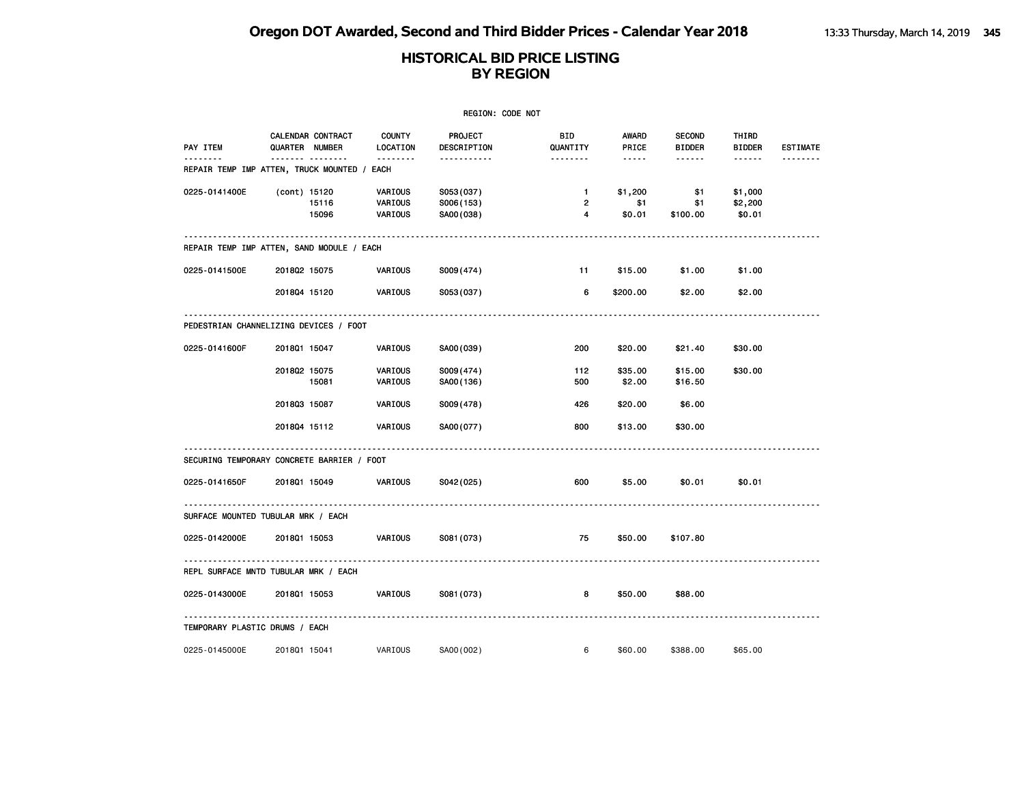|                                                  |              |                                     |                               | REGION: CODE NOT                    |                                       |                          |                                |                              |                 |
|--------------------------------------------------|--------------|-------------------------------------|-------------------------------|-------------------------------------|---------------------------------------|--------------------------|--------------------------------|------------------------------|-----------------|
| PAY ITEM                                         |              | CALENDAR CONTRACT<br>QUARTER NUMBER | <b>COUNTY</b><br>LOCATION     | PROJECT<br>DESCRIPTION              | <b>BID</b><br>QUANTITY                | AWARD<br>PRICE           | <b>SECOND</b><br><b>BIDDER</b> | THIRD<br><b>BIDDER</b>       | <b>ESTIMATE</b> |
| .<br>REPAIR TEMP IMP ATTEN, TRUCK MOUNTED / EACH |              | <u></u>                             |                               | <u>.</u>                            |                                       | $- - - - -$              | $- - - - - -$                  | $- - - - - -$                |                 |
| 0225-0141400E                                    | (cont) 15120 | 15116<br>15096                      | VARIOUS<br>VARIOUS<br>VARIOUS | S053(037)<br>S006(153)<br>SA00(038) | $\blacksquare$<br>$\overline{2}$<br>4 | \$1,200<br>\$1<br>\$0.01 | \$1<br>\$1<br>\$100.00         | \$1,000<br>\$2,200<br>\$0.01 |                 |
| REPAIR TEMP IMP ATTEN, SAND MODULE / EACH        |              |                                     |                               |                                     |                                       |                          |                                |                              |                 |
| 0225-0141500E                                    | 201802 15075 |                                     | VARIOUS                       | S009(474)                           | 11                                    | \$15.00                  | \$1.00                         | \$1.00                       |                 |
|                                                  | 201804 15120 |                                     | VARIOUS                       | S053(037)                           | 6                                     | \$200.00                 | \$2.00                         | \$2.00                       |                 |
| PEDESTRIAN CHANNELIZING DEVICES / FOOT           |              |                                     |                               |                                     |                                       |                          |                                |                              |                 |
| 0225-0141600F                                    | 201801 15047 |                                     | VARIOUS                       | SA00(039)                           | 200                                   | \$20.00                  | \$21.40                        | \$30.00                      |                 |
|                                                  | 201802 15075 | 15081                               | VARIOUS<br>VARIOUS            | S009(474)<br>SA00(136)              | 112<br>500                            | \$35.00<br>\$2.00        | \$15.00<br>\$16.50             | \$30.00                      |                 |
|                                                  | 201803 15087 |                                     | VARIOUS                       | S009(478)                           | 426                                   | \$20.00                  | \$6.00                         |                              |                 |
|                                                  | 201804 15112 |                                     | VARIOUS                       | SA00(077)                           | 800                                   | \$13.00                  | \$30.00                        |                              |                 |
| SECURING TEMPORARY CONCRETE BARRIER / FOOT       |              |                                     |                               |                                     |                                       |                          |                                |                              |                 |
| 0225-0141650F                                    | 201801 15049 |                                     | VARIOUS                       | S042(025)                           | 600                                   | \$5.00                   | \$0.01                         | \$0.01                       |                 |
| SURFACE MOUNTED TUBULAR MRK / EACH               |              |                                     |                               |                                     |                                       |                          |                                |                              |                 |
| 0225-0142000E                                    | 201801 15053 |                                     | VARIOUS                       | S081 (073)                          | 75                                    | \$50.00                  | \$107.80                       |                              |                 |
| REPL SURFACE MNTD TUBULAR MRK / EACH             |              |                                     |                               |                                     |                                       |                          |                                |                              |                 |
| 0225-0143000E                                    | 201801 15053 |                                     | VARIOUS                       | S081 (073)                          | 8                                     | \$50.00                  | \$88.00                        |                              |                 |
| TEMPORARY PLASTIC DRUMS / EACH                   |              |                                     |                               |                                     |                                       |                          |                                |                              |                 |
| 0225-0145000E                                    | 201801 15041 |                                     | VARIOUS                       | SA00(002)                           | 6                                     | \$60.00                  | \$388.00                       | \$65.00                      |                 |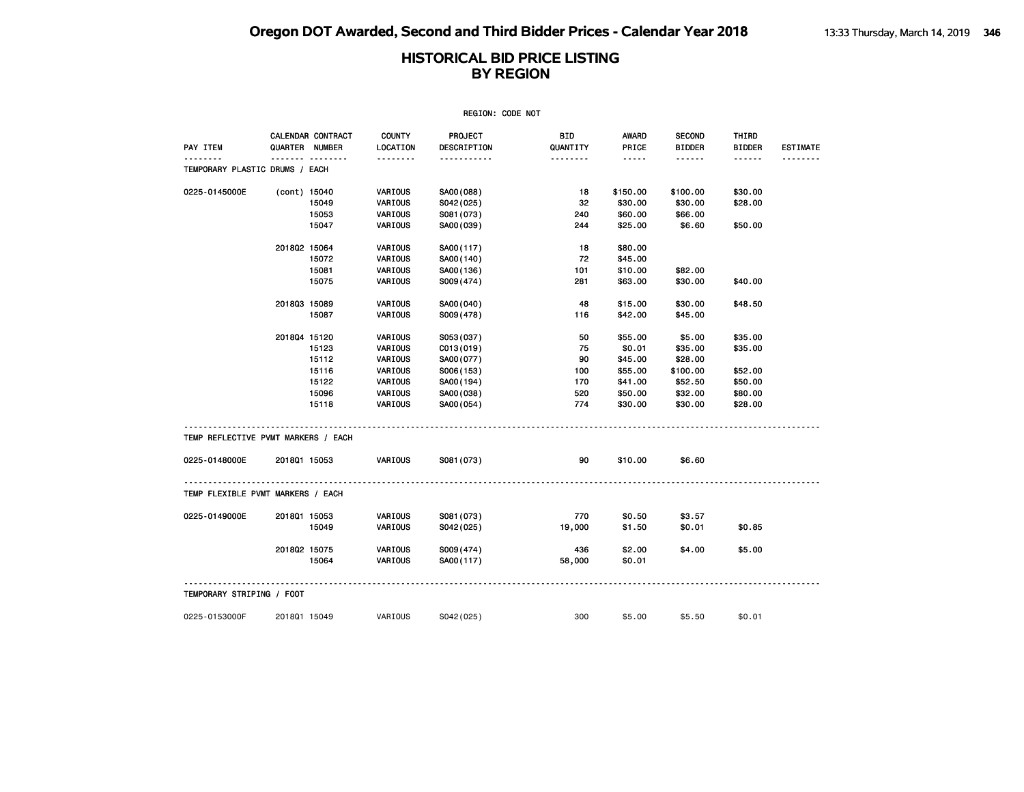| PAY ITEM                            | <b>QUARTER NUMBER</b> | CALENDAR CONTRACT | <b>COUNTY</b><br>LOCATION | PROJECT<br>DESCRIPTION | BID<br>QUANTITY | AWARD<br>PRICE | <b>SECOND</b><br><b>BIDDER</b> | THIRD<br><b>BIDDER</b> | <b>ESTIMATE</b> |
|-------------------------------------|-----------------------|-------------------|---------------------------|------------------------|-----------------|----------------|--------------------------------|------------------------|-----------------|
| .                                   |                       | <u></u>           | .                         | .                      |                 | $- - - - -$    |                                |                        | <u>.</u>        |
| TEMPORARY PLASTIC DRUMS / EACH      |                       |                   |                           |                        |                 |                |                                |                        |                 |
| 0225-0145000E                       | (cont) 15040          |                   | <b>VARIOUS</b>            | SA00(088)              | 18              | \$150.00       | \$100.00                       | \$30.00                |                 |
|                                     |                       | 15049             | VARIOUS                   | S042(025)              | 32              | \$30.00        | \$30.00                        | \$28.00                |                 |
|                                     |                       | 15053             | VARIOUS                   | S081 (073)             | 240             | \$60.00        | \$66.00                        |                        |                 |
|                                     |                       | 15047             | VARIOUS                   | SA00(039)              | 244             | \$25.00        | \$6.60                         | \$50.00                |                 |
|                                     | 201802 15064          |                   | VARIOUS                   | SA00(117)              | 18              | \$80.00        |                                |                        |                 |
|                                     |                       | 15072             | VARIOUS                   | SA00(140)              | 72              | \$45.00        |                                |                        |                 |
|                                     |                       | 15081             | VARIOUS                   | SA00(136)              | 101             | \$10.00        | \$82.00                        |                        |                 |
|                                     |                       | 15075             | VARIOUS                   | S009(474)              | 281             | \$63.00        | \$30.00                        | \$40.00                |                 |
|                                     | 201803 15089          |                   | VARIOUS                   | SA00(040)              | 48              | \$15.00        | \$30.00                        | \$48.50                |                 |
|                                     |                       | 15087             | VARIOUS                   | S009(478)              | 116             | \$42.00        | \$45.00                        |                        |                 |
|                                     | 201804 15120          |                   | VARIOUS                   | S053(037)              | 50              | \$55.00        | \$5.00                         | \$35.00                |                 |
|                                     |                       | 15123             | VARIOUS                   | CO13(019)              | 75              | \$0.01         | \$35.00                        | \$35.00                |                 |
|                                     |                       | 15112             | VARIOUS                   | SA00(077)              | 90              | \$45.00        | \$28.00                        |                        |                 |
|                                     |                       | 15116             | VARIOUS                   | S006(153)              | 100             | \$55.00        | \$100.00                       | \$52.00                |                 |
|                                     |                       | 15122             | VARIOUS                   | SA00(194)              | 170             | \$41.00        | \$52.50                        | \$50.00                |                 |
|                                     |                       | 15096             | VARIOUS                   | SA00(038)              | 520             | \$50.00        | \$32.00                        | \$80.00                |                 |
|                                     |                       | 15118             | <b>VARIOUS</b>            | SA00(054)              | 774             | \$30.00        | \$30.00                        | \$28.00                |                 |
| TEMP REFLECTIVE PVMT MARKERS / EACH |                       |                   |                           |                        |                 |                |                                |                        |                 |
| 0225-0148000E                       | 201801 15053          |                   | <b>VARIOUS</b>            | S081 (073)             | 90              | \$10.00        | \$6.60                         |                        |                 |
| TEMP FLEXIBLE PVMT MARKERS / EACH   |                       |                   |                           |                        |                 |                |                                |                        |                 |
| 0225-0149000E                       | 2018Q1 15053          |                   | <b>VARIOUS</b>            | S081 (073)             | 770             | \$0.50         | \$3.57                         |                        |                 |
|                                     |                       | 15049             | VARIOUS                   | S042(025)              | 19,000          | \$1.50         | \$0.01                         | \$0.85                 |                 |
|                                     | 201802 15075          |                   | <b>VARIOUS</b>            | S009(474)              | 436             | \$2.00         | \$4.00                         | \$5.00                 |                 |
|                                     |                       | 15064             | <b>VARIOUS</b>            | SA00(117)              | 58,000          | \$0.01         |                                |                        |                 |
| TEMPORARY STRIPING / FOOT           |                       |                   |                           |                        |                 |                |                                |                        |                 |
| 0225-0153000F                       | 201801 15049          |                   | VARIOUS                   | S042(025)              | 300             | \$5.00         | \$5.50                         | \$0.01                 |                 |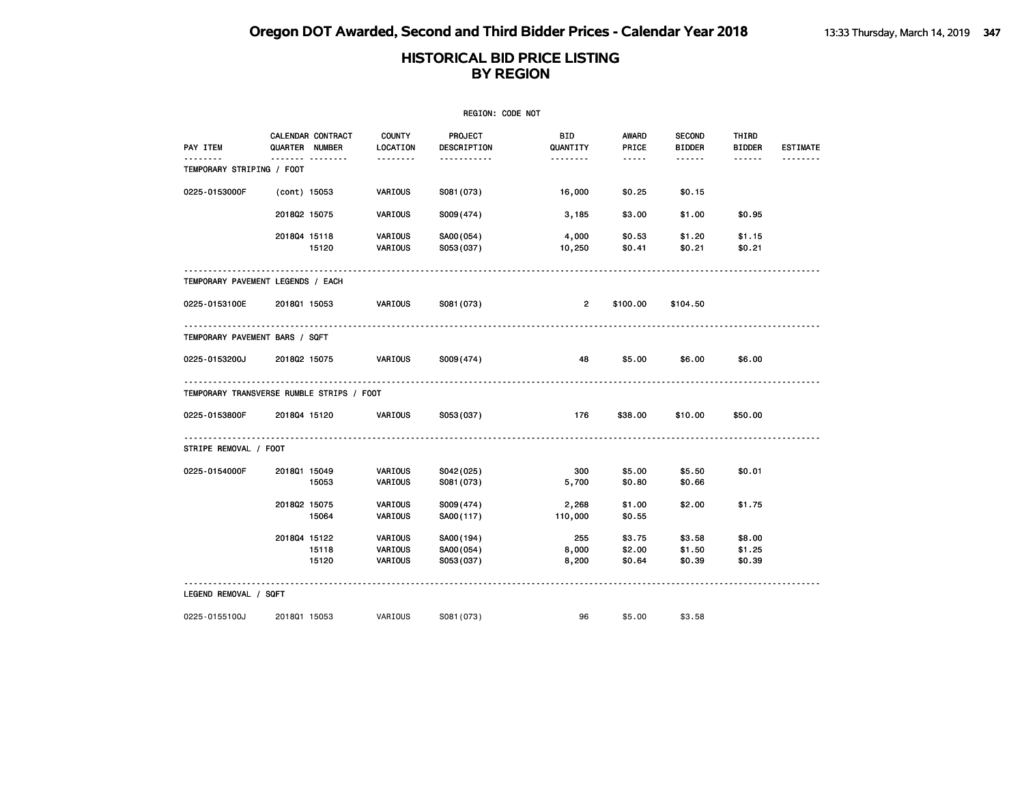|                                           | REGION: CODE NOT      |                   |                           |                        |                        |                       |                                |                        |                 |  |  |  |
|-------------------------------------------|-----------------------|-------------------|---------------------------|------------------------|------------------------|-----------------------|--------------------------------|------------------------|-----------------|--|--|--|
| PAY ITEM                                  | <b>QUARTER NUMBER</b> | CALENDAR CONTRACT | <b>COUNTY</b><br>LOCATION | PROJECT<br>DESCRIPTION | <b>BID</b><br>QUANTITY | <b>AWARD</b><br>PRICE | <b>SECOND</b><br><b>BIDDER</b> | THIRD<br><b>BIDDER</b> | <b>ESTIMATE</b> |  |  |  |
| TEMPORARY STRIPING / FOOT                 | $- - -$               | .                 | --------                  | .                      | .                      | $- - - - -$           | ------                         | ------                 |                 |  |  |  |
| 0225-0153000F                             | (cont) 15053          |                   | VARIOUS                   | S081 (073)             | 16,000                 | \$0.25                | \$0.15                         |                        |                 |  |  |  |
|                                           | 2018Q2 15075          |                   | VARIOUS                   | S009(474)              | 3,185                  | \$3.00                | \$1.00                         | \$0.95                 |                 |  |  |  |
|                                           | 201804 15118          |                   | VARIOUS                   | SA00(054)              | 4,000                  | \$0.53                | \$1.20                         | \$1.15                 |                 |  |  |  |
|                                           |                       | 15120             | VARIOUS                   | S053(037)              | 10,250                 | \$0.41                | \$0.21                         | \$0.21                 |                 |  |  |  |
| TEMPORARY PAVEMENT LEGENDS / EACH         |                       |                   |                           |                        |                        |                       |                                |                        |                 |  |  |  |
| 0225-0153100E                             | 201801 15053          |                   | VARIOUS                   | S081 (073)             | $\overline{2}$         | \$100.00              | \$104.50                       |                        |                 |  |  |  |
| TEMPORARY PAVEMENT BARS / SQFT            |                       |                   |                           |                        |                        |                       |                                |                        |                 |  |  |  |
| 0225-0153200J                             | 201802 15075          |                   | <b>VARIOUS</b>            | S009(474)              | 48                     | \$5.00                | \$6.00                         | \$6.00                 |                 |  |  |  |
| TEMPORARY TRANSVERSE RUMBLE STRIPS / FOOT |                       |                   |                           |                        |                        |                       |                                |                        |                 |  |  |  |
| 0225-0153800F                             | 201804 15120          |                   | VARIOUS                   | S053(037)              | 176                    | \$38.00               | \$10.00                        | \$50.00                |                 |  |  |  |
| STRIPE REMOVAL / FOOT                     |                       |                   |                           |                        |                        |                       |                                |                        |                 |  |  |  |
| 0225-0154000F                             | 2018Q1 15049          |                   | VARIOUS                   | S042(025)              | 300                    | \$5.00                | \$5.50                         | \$0.01                 |                 |  |  |  |
|                                           |                       | 15053             | VARIOUS                   | S081 (073)             | 5,700                  | \$0.80                | \$0.66                         |                        |                 |  |  |  |
|                                           | 201802 15075          |                   | VARIOUS                   | S009(474)              | 2,268                  | \$1.00                | \$2.00                         | \$1.75                 |                 |  |  |  |
|                                           |                       | 15064             | VARIOUS                   | SA00(117)              | 110,000                | \$0.55                |                                |                        |                 |  |  |  |
|                                           | 201804 15122          |                   | VARIOUS                   | SA00(194)              | 255                    | \$3.75                | \$3.58                         | \$8.00                 |                 |  |  |  |
|                                           |                       | 15118             | VARIOUS                   | SA00(054)              | 8,000                  | \$2.00                | \$1.50                         | \$1.25                 |                 |  |  |  |
|                                           |                       | 15120             | VARIOUS                   | S053 (037)             | 8,200                  | \$0.64                | \$0.39                         | \$0.39                 |                 |  |  |  |
| LEGEND REMOVAL / SQFT                     |                       |                   |                           |                        |                        |                       |                                |                        |                 |  |  |  |
| 0225-0155100J                             | 201801 15053          |                   | VARIOUS                   | S081 (073)             | 96                     | \$5,00                | \$3.58                         |                        |                 |  |  |  |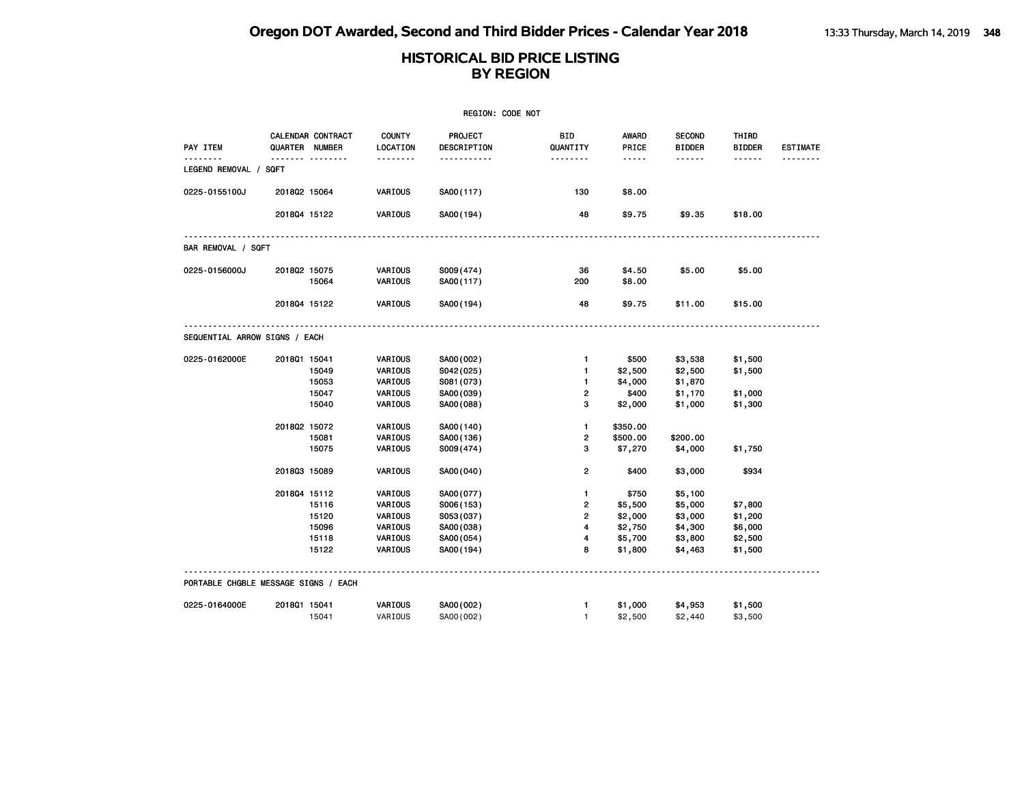|                                      | REGION: CODE NOT |                                     |                           |                        |                        |                                                                                                               |                                |                        |                 |  |  |
|--------------------------------------|------------------|-------------------------------------|---------------------------|------------------------|------------------------|---------------------------------------------------------------------------------------------------------------|--------------------------------|------------------------|-----------------|--|--|
| PAY ITEM                             |                  | CALENDAR CONTRACT<br>QUARTER NUMBER | <b>COUNTY</b><br>LOCATION | PROJECT<br>DESCRIPTION | <b>BID</b><br>QUANTITY | <b>AWARD</b><br>PRICE                                                                                         | <b>SECOND</b><br><b>BIDDER</b> | THIRD<br><b>BIDDER</b> | <b>ESTIMATE</b> |  |  |
| LEGEND REMOVAL / SQFT                |                  | <b>.</b>                            | .                         | .                      | .                      | $\frac{1}{2} \frac{1}{2} \frac{1}{2} \frac{1}{2} \frac{1}{2} \frac{1}{2} \frac{1}{2} \frac{1}{2} \frac{1}{2}$ | ------                         | ------                 |                 |  |  |
| 0225-0155100J                        | 201802 15064     |                                     | VARIOUS                   | SA00(117)              | 130                    | \$8.00                                                                                                        |                                |                        |                 |  |  |
|                                      | 201804 15122     |                                     | VARIOUS                   | SA00(194)              | 48                     | \$9.75                                                                                                        | \$9.35                         | \$18.00                |                 |  |  |
| BAR REMOVAL / SQFT                   |                  |                                     |                           |                        |                        |                                                                                                               |                                |                        |                 |  |  |
| 0225-0156000J                        | 201802 15075     |                                     | <b>VARIOUS</b>            | S009(474)              | 36                     | \$4.50                                                                                                        | \$5.00                         | \$5.00                 |                 |  |  |
|                                      |                  | 15064                               | VARIOUS                   | SA00(117)              | 200                    | \$8.00                                                                                                        |                                |                        |                 |  |  |
|                                      | 201804 15122     |                                     | VARIOUS                   | SA00(194)              | 48                     | \$9.75                                                                                                        | \$11.00                        | \$15.00                |                 |  |  |
| SEQUENTIAL ARROW SIGNS / EACH        |                  |                                     |                           |                        |                        |                                                                                                               |                                |                        |                 |  |  |
| 0225-0162000E                        | 201801 15041     |                                     | VARIOUS                   | SA00(002)              | $\mathbf{1}$           | \$500                                                                                                         | \$3,538                        | \$1,500                |                 |  |  |
|                                      |                  | 15049                               | VARIOUS                   | S042(025)              | $\mathbf{1}$           | \$2,500                                                                                                       | \$2,500                        | \$1,500                |                 |  |  |
|                                      |                  | 15053                               | VARIOUS                   | S081 (073)             | $\mathbf{1}$           | \$4,000                                                                                                       | \$1,870                        |                        |                 |  |  |
|                                      |                  | 15047                               | VARIOUS                   | SA00(039)              | 2                      | \$400                                                                                                         | \$1,170                        | \$1,000                |                 |  |  |
|                                      |                  | 15040                               | VARIOUS                   | SA00(088)              | з                      | \$2,000                                                                                                       | \$1,000                        | \$1,300                |                 |  |  |
|                                      | 201802 15072     |                                     | VARIOUS                   | SA00(140)              | $\mathbf{1}$           | \$350.00                                                                                                      |                                |                        |                 |  |  |
|                                      |                  | 15081                               | VARIOUS                   | SA00(136)              | $\overline{2}$         | \$500.00                                                                                                      | \$200.00                       |                        |                 |  |  |
|                                      |                  | 15075                               | VARIOUS                   | S009(474)              | з                      | \$7,270                                                                                                       | \$4,000                        | \$1,750                |                 |  |  |
|                                      | 201803 15089     |                                     | VARIOUS                   | SA00(040)              | $\overline{2}$         | \$400                                                                                                         | \$3,000                        | \$934                  |                 |  |  |
|                                      | 201804 15112     |                                     | VARIOUS                   | SA00(077)              | $\mathbf{1}$           | \$750                                                                                                         | \$5,100                        |                        |                 |  |  |
|                                      |                  | 15116                               | VARIOUS                   | S006(153)              | 2                      | \$5,500                                                                                                       | \$5,000                        | \$7,800                |                 |  |  |
|                                      |                  | 15120                               | VARIOUS                   | S053(037)              | 2                      | \$2,000                                                                                                       | \$3,000                        | \$1,200                |                 |  |  |
|                                      |                  | 15096                               | VARIOUS                   | SA00(038)              | $\overline{4}$         | \$2,750                                                                                                       | \$4,300                        | \$6,000                |                 |  |  |
|                                      |                  | 15118                               | VARIOUS                   | SA00(054)              | 4                      | \$5,700                                                                                                       | \$3,800                        | \$2,500                |                 |  |  |
|                                      |                  | 15122                               | VARIOUS                   | SA00(194)              | 8                      | \$1,800                                                                                                       | \$4,463                        | \$1,500                |                 |  |  |
| PORTABLE CHGBLE MESSAGE SIGNS / EACH |                  |                                     |                           |                        |                        |                                                                                                               |                                |                        |                 |  |  |
| 0225-0164000E                        | 201801 15041     |                                     | VARIOUS                   | SA00(002)              | $\mathbf{1}$           | \$1,000                                                                                                       | \$4,953                        | \$1,500                |                 |  |  |
|                                      |                  | 15041                               | VARIOUS                   | SA00(002)              | $\mathbf{1}$           | \$2,500                                                                                                       | \$2,440                        | \$3,500                |                 |  |  |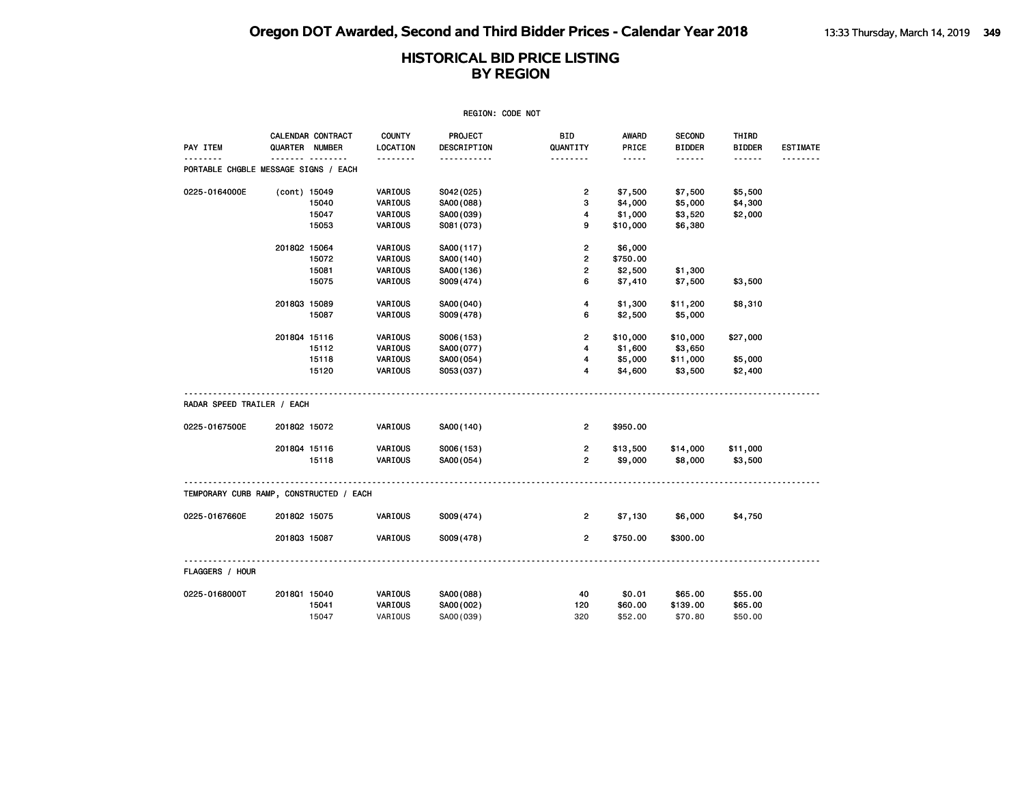|                                                    | <b>REGION: CODE NOT</b> |                                     |                           |                               |                        |                       |                                |                        |                 |  |  |
|----------------------------------------------------|-------------------------|-------------------------------------|---------------------------|-------------------------------|------------------------|-----------------------|--------------------------------|------------------------|-----------------|--|--|
| PAY ITEM                                           |                         | CALENDAR CONTRACT<br>QUARTER NUMBER | <b>COUNTY</b><br>LOCATION | <b>PROJECT</b><br>DESCRIPTION | <b>BID</b><br>QUANTITY | <b>AWARD</b><br>PRICE | <b>SECOND</b><br><b>BIDDER</b> | THIRD<br><b>BIDDER</b> | <b>ESTIMATE</b> |  |  |
| . <b>.</b><br>PORTABLE CHGBLE MESSAGE SIGNS / EACH |                         | .                                   | .                         | .                             | --------               | $- - - - -$           | ------                         | ------                 |                 |  |  |
| 0225-0164000E                                      | (cont) 15049            |                                     | VARIOUS                   | S042(025)                     | $\overline{2}$         | \$7,500               | \$7,500                        | \$5,500                |                 |  |  |
|                                                    |                         | 15040                               | VARIOUS                   | SA00 (088)                    | 3                      | \$4,000               | \$5,000                        | \$4,300                |                 |  |  |
|                                                    |                         | 15047                               | VARIOUS                   | SA00(039)                     | 4                      | \$1,000               | \$3,520                        | \$2,000                |                 |  |  |
|                                                    |                         | 15053                               | VARIOUS                   | S081 (073)                    | 9                      | \$10,000              | \$6,380                        |                        |                 |  |  |
|                                                    | 201802 15064            |                                     | VARIOUS                   | SA00(117)                     | $\overline{2}$         | \$6,000               |                                |                        |                 |  |  |
|                                                    |                         | 15072                               | VARIOUS                   | SA00(140)                     | $\overline{2}$         | \$750.00              |                                |                        |                 |  |  |
|                                                    |                         | 15081                               | VARIOUS                   | SA00(136)                     | $\overline{2}$         | \$2,500               | \$1,300                        |                        |                 |  |  |
|                                                    |                         | 15075                               | VARIOUS                   | S009(474)                     | 6                      | \$7,410               | \$7,500                        | \$3,500                |                 |  |  |
|                                                    | 201803 15089            |                                     | VARIOUS                   | SA00 (040)                    | 4                      | \$1,300               | \$11,200                       | \$8,310                |                 |  |  |
|                                                    |                         | 15087                               | VARIOUS                   | S009(478)                     | 6                      | \$2,500               | \$5,000                        |                        |                 |  |  |
|                                                    | 201804 15116            |                                     | VARIOUS                   | S006(153)                     | $\overline{2}$         | \$10,000              | \$10,000                       | \$27,000               |                 |  |  |
|                                                    |                         | 15112                               | VARIOUS                   | SA00(077)                     | 4                      | \$1,600               | \$3,650                        |                        |                 |  |  |
|                                                    |                         | 15118                               | VARIOUS                   | SA00(054)                     | 4                      | \$5,000               | \$11,000                       | \$5,000                |                 |  |  |
|                                                    |                         | 15120                               | VARIOUS                   | S053(037)                     | 4                      | \$4,600               | \$3,500                        | \$2,400                |                 |  |  |
| RADAR SPEED TRAILER / EACH                         |                         |                                     |                           |                               |                        |                       |                                |                        |                 |  |  |
| 0225-0167500E                                      | 201802 15072            |                                     | VARIOUS                   | SA00(140)                     | $\overline{2}$         | \$950.00              |                                |                        |                 |  |  |
|                                                    | 201804 15116            |                                     | VARIOUS                   | S006(153)                     | $\overline{2}$         | \$13,500              | \$14,000                       | \$11,000               |                 |  |  |
|                                                    |                         | 15118                               | VARIOUS                   | SA00(054)                     | $\overline{2}$         | \$9,000               | \$8,000                        | \$3,500                |                 |  |  |
| TEMPORARY CURB RAMP, CONSTRUCTED / EACH            |                         |                                     |                           |                               |                        |                       |                                |                        |                 |  |  |
| 0225-0167660E                                      | 201802 15075            |                                     | VARIOUS                   | S009(474)                     | $\overline{2}$         | \$7,130               | \$6,000                        | \$4,750                |                 |  |  |
|                                                    |                         |                                     |                           |                               |                        |                       |                                |                        |                 |  |  |
|                                                    | 201803 15087            |                                     | VARIOUS                   | S009(478)                     | $\overline{2}$         | \$750.00              | \$300.00                       |                        |                 |  |  |
| FLAGGERS / HOUR                                    |                         |                                     |                           |                               |                        |                       |                                |                        |                 |  |  |
| 0225-0168000T                                      | 2018Q1 15040            |                                     | VARIOUS                   | SA00(088)                     | 40                     | \$0.01                | \$65.00                        | \$55.00                |                 |  |  |
|                                                    |                         | 15041                               | VARIOUS                   | SA00(002)                     | 120                    | \$60.00               | \$139.00                       | \$65.00                |                 |  |  |
|                                                    |                         | 15047                               | VARIOUS                   | SA00(039)                     | 320                    | \$52,00               | \$70.80                        | \$50.00                |                 |  |  |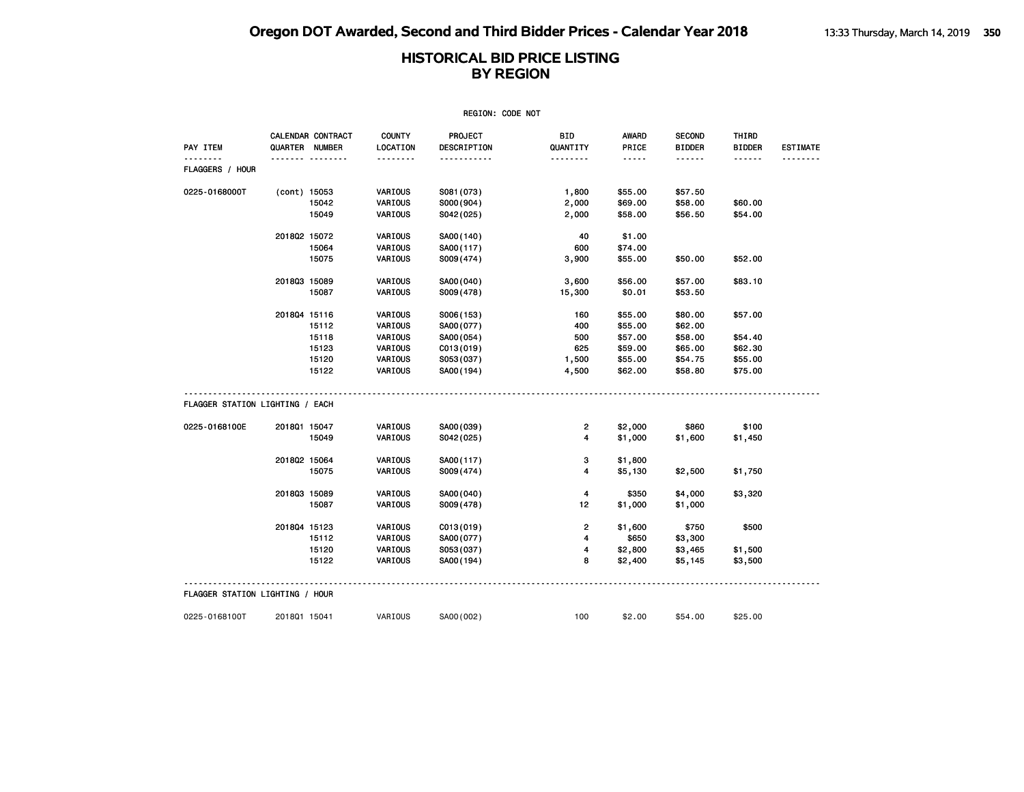|                                 |              |                                     |                           | REGION: CODE NOT       |                 |                       |                                |                        |                 |
|---------------------------------|--------------|-------------------------------------|---------------------------|------------------------|-----------------|-----------------------|--------------------------------|------------------------|-----------------|
| PAY ITEM                        |              | CALENDAR CONTRACT<br>QUARTER NUMBER | <b>COUNTY</b><br>LOCATION | PROJECT<br>DESCRIPTION | BID<br>QUANTITY | <b>AWARD</b><br>PRICE | <b>SECOND</b><br><b>BIDDER</b> | THIRD<br><b>BIDDER</b> | <b>ESTIMATE</b> |
| .                               |              | .                                   | .                         | .                      | <u>.</u>        | -----                 | ------                         | ------                 |                 |
| <b>FLAGGERS / HOUR</b>          |              |                                     |                           |                        |                 |                       |                                |                        |                 |
| 0225-0168000T                   | (cont) 15053 |                                     | VARIOUS                   | S081 (073)             | 1,800           | \$55.00               | \$57.50                        |                        |                 |
|                                 |              | 15042                               | VARIOUS                   | S000(904)              | 2,000           | \$69.00               | \$58.00                        | \$60.00                |                 |
|                                 |              | 15049                               | VARIOUS                   | S042(025)              | 2,000           | \$58.00               | \$56.50                        | \$54.00                |                 |
|                                 | 201802 15072 |                                     | VARIOUS                   | SA00 (140)             | 40              | \$1.00                |                                |                        |                 |
|                                 |              | 15064                               | VARIOUS                   | SA00(117)              | 600             | \$74.00               |                                |                        |                 |
|                                 |              | 15075                               | VARIOUS                   | S009(474)              | 3,900           | \$55.00               | \$50.00                        | \$52.00                |                 |
|                                 | 201803 15089 |                                     | VARIOUS                   | SA00 (040)             | 3,600           | \$56.00               | \$57.00                        | \$83.10                |                 |
|                                 |              | 15087                               | VARIOUS                   | S009(478)              | 15,300          | \$0.01                | \$53.50                        |                        |                 |
|                                 | 201804 15116 |                                     | VARIOUS                   | S006(153)              | 160             | \$55.00               | \$80.00                        | \$57.00                |                 |
|                                 |              | 15112                               | VARIOUS                   | SA00(077)              | 400             | \$55.00               | \$62.00                        |                        |                 |
|                                 |              | 15118                               | VARIOUS                   | SA00(054)              | 500             | \$57.00               | \$58.00                        | \$54.40                |                 |
|                                 |              | 15123                               | VARIOUS                   | C013(019)              | 625             | \$59.00               | \$65.00                        | \$62.30                |                 |
|                                 |              | 15120                               | VARIOUS                   | S053(037)              | 1,500           | \$55.00               | \$54.75                        | \$55.00                |                 |
|                                 |              | 15122                               | VARIOUS                   | SA00 (194)             | 4,500           | \$62.00               | \$58.80                        | \$75.00                |                 |
| FLAGGER STATION LIGHTING / EACH |              |                                     |                           |                        |                 |                       |                                |                        |                 |
| 0225-0168100E                   | 201801 15047 |                                     | VARIOUS                   | SA00 (039)             | 2               | \$2,000               | \$860                          | \$100                  |                 |
|                                 |              | 15049                               | VARIOUS                   | S042(025)              | 4               | \$1,000               | \$1,600                        | \$1,450                |                 |
|                                 | 2018Q2 15064 |                                     | VARIOUS                   | SA00(117)              | з               | \$1,800               |                                |                        |                 |
|                                 |              | 15075                               | VARIOUS                   | S009(474)              | 4               | \$5,130               | \$2,500                        | \$1,750                |                 |
|                                 | 201803 15089 |                                     | VARIOUS                   | SA00(040)              | 4               | \$350                 | \$4,000                        | \$3,320                |                 |
|                                 |              | 15087                               | VARIOUS                   | S009(478)              | 12              | \$1,000               | \$1,000                        |                        |                 |
|                                 | 201804 15123 |                                     | VARIOUS                   | C013(019)              | $\overline{2}$  | \$1,600               | \$750                          | \$500                  |                 |
|                                 |              | 15112                               | VARIOUS                   | SA00(077)              | 4               | \$650                 | \$3,300                        |                        |                 |
|                                 |              | 15120                               | VARIOUS                   | S053(037)              | 4               | \$2,800               | \$3,465                        | \$1,500                |                 |
|                                 |              | 15122                               | VARIOUS                   | SA00(194)              | 8               | \$2,400               | \$5,145                        | \$3,500                |                 |
| FLAGGER STATION LIGHTING / HOUR |              |                                     |                           |                        |                 |                       |                                |                        |                 |
| 0225-0168100T                   | 201801 15041 |                                     | VARIOUS                   | SA00 (002)             | 100             | \$2.00                | \$54.00                        | \$25.00                |                 |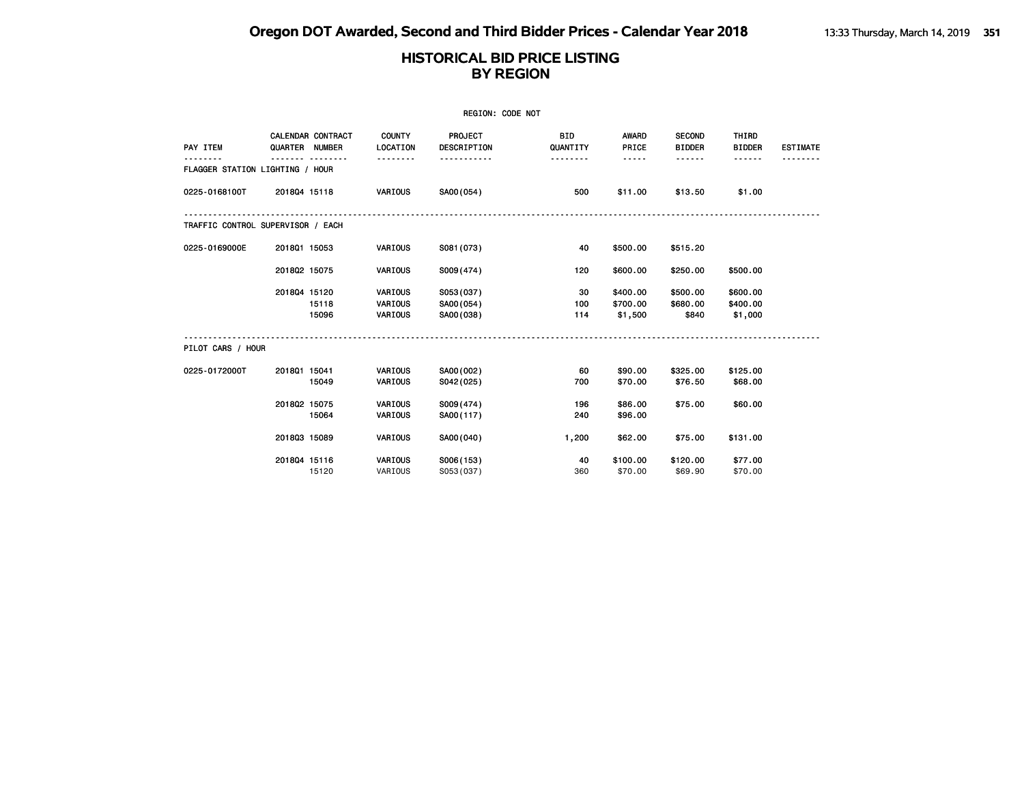| <b>REGION: CODE NOT</b>           |                |                          |                           |                        |                        |                       |                                |                        |                 |  |
|-----------------------------------|----------------|--------------------------|---------------------------|------------------------|------------------------|-----------------------|--------------------------------|------------------------|-----------------|--|
| PAY ITEM                          | QUARTER NUMBER | <b>CALENDAR CONTRACT</b> | <b>COUNTY</b><br>LOCATION | PROJECT<br>DESCRIPTION | <b>BID</b><br>QUANTITY | <b>AWARD</b><br>PRICE | <b>SECOND</b><br><b>BIDDER</b> | THIRD<br><b>BIDDER</b> | <b>ESTIMATE</b> |  |
| FLAGGER STATION LIGHTING / HOUR   |                |                          | .                         |                        | .                      | -----                 | .                              | .                      |                 |  |
| 0225-0168100T                     | 201804 15118   |                          | <b>VARIOUS</b>            | SA00(054)              | 500                    | \$11.00               | \$13.50                        | \$1.00                 |                 |  |
| TRAFFIC CONTROL SUPERVISOR / EACH |                |                          |                           |                        |                        |                       |                                |                        |                 |  |
| 0225-0169000E                     | 201801 15053   |                          | <b>VARIOUS</b>            | S081 (073)             | 40                     | \$500.00              | \$515.20                       |                        |                 |  |
|                                   | 201802 15075   |                          | VARIOUS                   | S009(474)              | 120                    | \$600.00              | \$250.00                       | \$500.00               |                 |  |
|                                   | 201804 15120   | 15118                    | <b>VARIOUS</b><br>VARIOUS | S053(037)<br>SA00(054) | 30<br>100              | \$400.00<br>\$700.00  | \$500.00<br>\$680.00           | \$600.00<br>\$400.00   |                 |  |
|                                   |                | 15096                    | VARIOUS                   | SA00(038)              | 114                    | \$1,500               | \$840                          | \$1,000                |                 |  |
| PILOT CARS / HOUR                 |                |                          |                           |                        |                        |                       |                                |                        |                 |  |
| 0225-0172000T                     | 201801 15041   | 15049                    | VARIOUS<br>VARIOUS        | SA00(002)<br>S042(025) | 60<br>700              | \$90,00<br>\$70.00    | \$325.00<br>\$76.50            | \$125.00<br>\$68.00    |                 |  |
|                                   | 201802 15075   | 15064                    | VARIOUS<br>VARIOUS        | S009(474)<br>SA00(117) | 196<br>240             | \$86.00<br>\$96.00    | \$75.00                        | \$60.00                |                 |  |
|                                   | 201803 15089   |                          | VARIOUS                   | SA00(040)              | 1,200                  | \$62.00               | \$75.00                        | \$131.00               |                 |  |
|                                   | 201804 15116   | 15120                    | VARIOUS<br>VARIOUS        | S006(153)<br>S053(037) | 40<br>360              | \$100.00<br>\$70.00   | \$120.00<br>\$69.90            | \$77.00<br>\$70.00     |                 |  |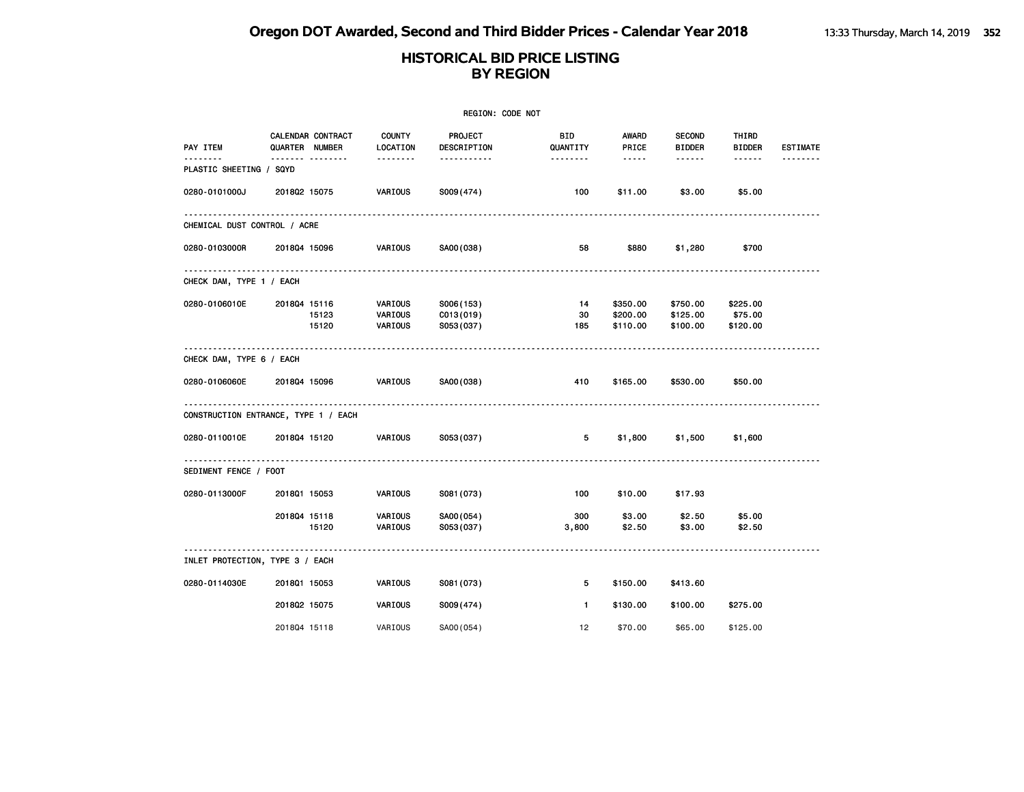| REGION: CODE NOT                     |                                     |                |                               |                                     |                        |                                                                                                               |                                  |                                 |                 |
|--------------------------------------|-------------------------------------|----------------|-------------------------------|-------------------------------------|------------------------|---------------------------------------------------------------------------------------------------------------|----------------------------------|---------------------------------|-----------------|
| PAY ITEM<br>------                   | CALENDAR CONTRACT<br>QUARTER NUMBER |                | COUNTY<br>LOCATION            | PROJECT<br>DESCRIPTION              | <b>BID</b><br>QUANTITY | AWARD<br>PRICE                                                                                                | <b>SECOND</b><br><b>BIDDER</b>   | THIRD<br><b>BIDDER</b>          | <b>ESTIMATE</b> |
| PLASTIC SHEETING / SQYD              | <u> </u>                            |                | .                             | .                                   | --------               | $\frac{1}{2} \frac{1}{2} \frac{1}{2} \frac{1}{2} \frac{1}{2} \frac{1}{2} \frac{1}{2} \frac{1}{2} \frac{1}{2}$ | ------                           | ------                          |                 |
| 0280-0101000J                        | 201802 15075                        |                | VARIOUS                       | S009(474)                           | 100                    | \$11.00                                                                                                       | \$3.00                           | \$5.00                          |                 |
| CHEMICAL DUST CONTROL / ACRE         |                                     |                |                               |                                     |                        |                                                                                                               |                                  |                                 |                 |
| 0280-0103000R                        | 201804 15096                        |                | <b>VARIOUS</b>                | SA00(038)                           | 58                     | \$880                                                                                                         | \$1,280                          | \$700                           |                 |
| CHECK DAM, TYPE 1 / EACH             |                                     |                |                               |                                     |                        |                                                                                                               |                                  |                                 |                 |
| 0280-0106010E                        | 201804 15116                        | 15123<br>15120 | VARIOUS<br>VARIOUS<br>VARIOUS | S006(153)<br>C013(019)<br>S053(037) | 14<br>30<br>185        | \$350.00<br>\$200.00<br>\$110.00                                                                              | \$750.00<br>\$125.00<br>\$100.00 | \$225.00<br>\$75.00<br>\$120.00 |                 |
| CHECK DAM, TYPE 6 / EACH             |                                     |                |                               |                                     |                        |                                                                                                               |                                  |                                 |                 |
| 0280-0106060E                        | 201804 15096                        |                | VARIOUS                       | SA00(038)                           | 410                    | \$165.00                                                                                                      | \$530.00                         | \$50.00                         |                 |
| CONSTRUCTION ENTRANCE, TYPE 1 / EACH |                                     |                |                               |                                     |                        |                                                                                                               |                                  |                                 |                 |
| 0280-0110010E                        | 201804 15120                        |                | VARIOUS                       | S053(037)                           | 5                      | \$1,800                                                                                                       | \$1,500                          | \$1,600                         |                 |
| SEDIMENT FENCE / FOOT                |                                     |                |                               |                                     |                        |                                                                                                               |                                  |                                 |                 |
| 0280-0113000F                        | 201801 15053                        |                | <b>VARIOUS</b>                | S081 (073)                          | 100                    | \$10.00                                                                                                       | \$17.93                          |                                 |                 |
|                                      | 201804 15118                        | 15120          | VARIOUS<br>VARIOUS            | SA00(054)<br>S053(037)              | 300<br>3,800           | \$3.00<br>\$2.50                                                                                              | \$2.50<br>\$3.00                 | \$5.00<br>\$2.50                |                 |
| INLET PROTECTION, TYPE 3 / EACH      |                                     |                |                               |                                     |                        |                                                                                                               |                                  |                                 |                 |
| 0280-0114030E                        | 201801 15053                        |                | VARIOUS                       | S081 (073)                          | 5                      | \$150.00                                                                                                      | \$413.60                         |                                 |                 |
|                                      | 201802 15075                        |                | VARIOUS                       | S009(474)                           | $\mathbf{1}$           | \$130.00                                                                                                      | \$100.00                         | \$275.00                        |                 |
|                                      | 201804 15118                        |                | VARIOUS                       | SA00(054)                           | 12                     | \$70.00                                                                                                       | \$65.00                          | \$125.00                        |                 |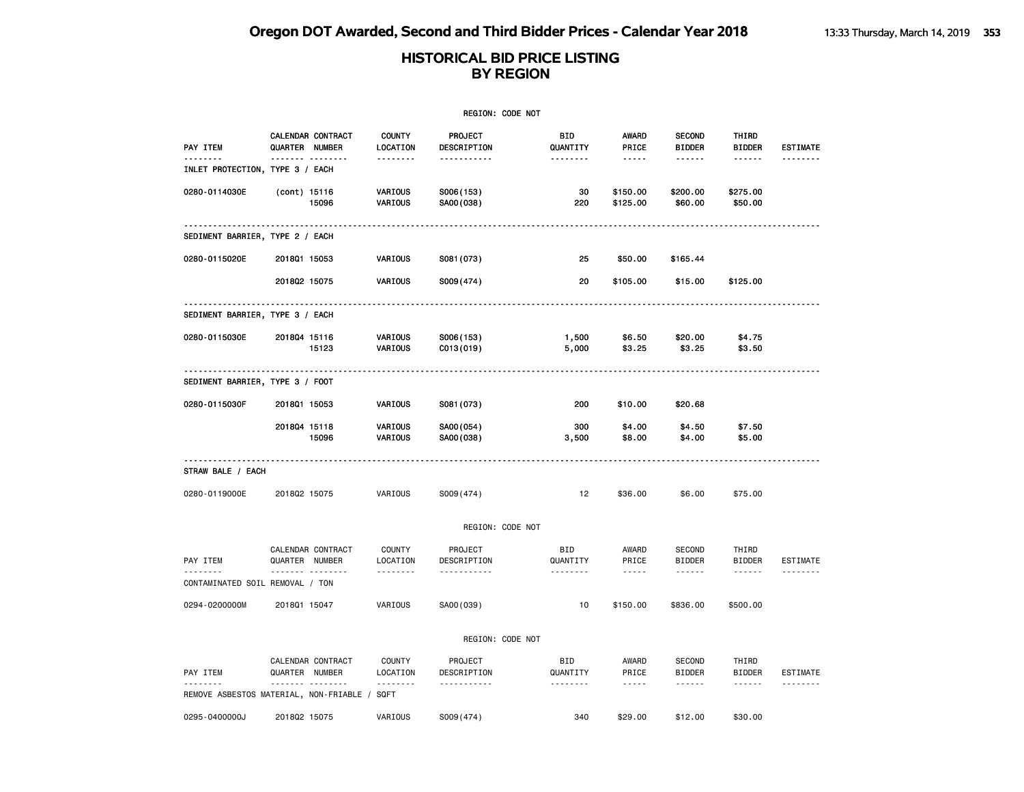|                                             |                                                |                           | REGION: CODE NOT              |                        |                                    |                                          |                        |                             |
|---------------------------------------------|------------------------------------------------|---------------------------|-------------------------------|------------------------|------------------------------------|------------------------------------------|------------------------|-----------------------------|
| PAY ITEM<br>.                               | CALENDAR CONTRACT<br>QUARTER NUMBER<br><u></u> | <b>COUNTY</b><br>LOCATION | <b>PROJECT</b><br>DESCRIPTION | BID<br>QUANTITY        | AWARD<br>PRICE<br>.                | <b>SECOND</b><br><b>BIDDER</b><br>------ | THIRD<br><b>BIDDER</b> | <b>ESTIMATE</b><br><u>.</u> |
| INLET PROTECTION, TYPE 3 / EACH             |                                                | --------                  | .                             |                        |                                    |                                          | ------                 |                             |
| 0280-0114030E                               | (cont) 15116<br>15096                          | VARIOUS<br>VARIOUS        | S006(153)<br>SA00(038)        | 30<br>220              | \$150.00<br>\$125.00               | \$200.00<br>\$60.00                      | \$275.00<br>\$50.00    |                             |
| SEDIMENT BARRIER, TYPE 2 / EACH             |                                                |                           |                               |                        |                                    |                                          |                        |                             |
| 0280-0115020E                               | 201801 15053                                   | VARIOUS                   | S081 (073)                    | 25                     | \$50.00                            | \$165.44                                 |                        |                             |
|                                             | 201802 15075                                   | VARIOUS                   | S009(474)                     | 20                     | \$105.00                           | \$15.00                                  | \$125.00               |                             |
| SEDIMENT BARRIER, TYPE 3 / EACH             |                                                |                           |                               |                        |                                    |                                          |                        |                             |
| 0280-0115030E                               | 201804 15116                                   | VARIOUS                   | S006(153)                     | 1,500                  | \$6.50                             | \$20.00                                  | \$4.75                 |                             |
|                                             | 15123                                          | VARIOUS                   | C013(019)                     | 5,000                  | \$3.25                             | \$3.25                                   | \$3.50                 |                             |
| SEDIMENT BARRIER, TYPE 3 / FOOT             |                                                |                           |                               |                        |                                    |                                          |                        |                             |
| 0280-0115030F                               | 201801 15053                                   | VARIOUS                   | S081 (073)                    | 200                    | \$10.00                            | \$20.68                                  |                        |                             |
|                                             | 201804 15118<br>15096                          | VARIOUS<br>VARIOUS        | SA00(054)<br>SA00(038)        | 300<br>3,500           | \$4.00<br>\$8.00                   | \$4.50<br>\$4.00                         | \$7.50<br>\$5.00       |                             |
| STRAW BALE / EACH                           |                                                |                           |                               |                        |                                    |                                          |                        |                             |
| 0280-0119000E                               | 201802 15075                                   | VARIOUS                   | S009(474)                     | 12                     | \$36.00                            | \$6.00                                   | \$75.00                |                             |
|                                             |                                                |                           | REGION: CODE NOT              |                        |                                    |                                          |                        |                             |
| PAY ITEM                                    | CALENDAR CONTRACT<br>QUARTER NUMBER            | <b>COUNTY</b><br>LOCATION | PROJECT<br>DESCRIPTION        | <b>BID</b><br>QUANTITY | AWARD<br>PRICE                     | <b>SECOND</b><br><b>BIDDER</b>           | THIRD<br><b>BIDDER</b> | ESTIMATE                    |
| <u>.</u><br>CONTAMINATED SOIL REMOVAL / TON | .                                              | <u>.</u>                  | .                             | <u>.</u>               | $\sim$ $\sim$ $\sim$ $\sim$ $\sim$ | ------                                   | ------                 |                             |
| 0294-0200000M                               | 201801 15047                                   | VARIOUS                   | SA00(039)                     | 10                     | \$150.00                           | \$836.00                                 | \$500.00               |                             |
|                                             |                                                |                           | REGION: CODE NOT              |                        |                                    |                                          |                        |                             |
| PAY ITEM                                    | CALENDAR CONTRACT<br>QUARTER NUMBER            | <b>COUNTY</b><br>LOCATION | PROJECT<br>DESCRIPTION        | BID<br>QUANTITY        | AWARD<br>PRICE                     | <b>SECOND</b><br><b>BIDDER</b>           | THIRD<br><b>BIDDER</b> | ESTIMATE                    |
|                                             | REMOVE ASBESTOS MATERIAL, NON-FRIABLE / SQFT   | .                         | .                             | .                      | $\sim$ $\sim$ $\sim$ $\sim$ $\sim$ | ------                                   | ------                 |                             |
| 0295-0400000J                               |                                                | VARIOUS                   |                               | 340                    | \$29.00                            |                                          | \$30.00                |                             |
|                                             | 201802 15075                                   |                           | S009(474)                     |                        |                                    | \$12.00                                  |                        |                             |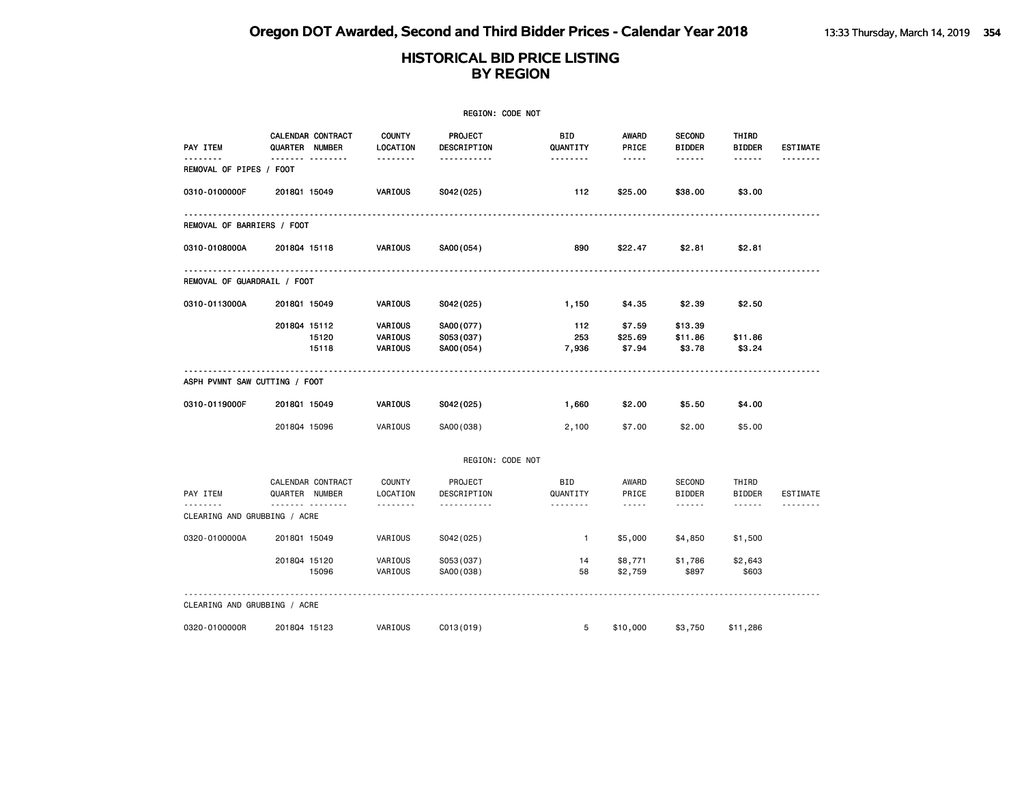|                               | REGION: CODE NOT                    |                               |                                     |                        |                                                                                                                                                      |                                |                        |                 |  |  |
|-------------------------------|-------------------------------------|-------------------------------|-------------------------------------|------------------------|------------------------------------------------------------------------------------------------------------------------------------------------------|--------------------------------|------------------------|-----------------|--|--|
| PAY ITEM                      | CALENDAR CONTRACT<br>QUARTER NUMBER | <b>COUNTY</b><br>LOCATION     | PROJECT<br>DESCRIPTION              | <b>BID</b><br>QUANTITY | AWARD<br>PRICE                                                                                                                                       | <b>SECOND</b><br><b>BIDDER</b> | THIRD<br><b>BIDDER</b> | ESTIMATE        |  |  |
| .<br>REMOVAL OF PIPES / FOOT  | <u> </u>                            | --------                      | <u>.</u>                            | <u>.</u>               | $\cdots \cdots \cdots$                                                                                                                               | ------                         | ------                 |                 |  |  |
| 0310-0100000F                 | 2018Q1 15049                        | VARIOUS                       | S042(025)                           | 112                    | \$25.00                                                                                                                                              | \$38.00                        | \$3.00                 |                 |  |  |
| REMOVAL OF BARRIERS / FOOT    |                                     |                               |                                     |                        |                                                                                                                                                      |                                |                        |                 |  |  |
| 0310-0108000A                 | 201804 15118                        | VARIOUS                       | SA00(054)                           | 890                    | \$22.47                                                                                                                                              | \$2.81                         | \$2.81                 |                 |  |  |
| REMOVAL OF GUARDRAIL / FOOT   |                                     |                               |                                     |                        |                                                                                                                                                      |                                |                        |                 |  |  |
| 0310-0113000A                 | 201801 15049                        | VARIOUS                       | S042(025)                           | 1,150                  | \$4.35                                                                                                                                               | \$2.39                         | \$2.50                 |                 |  |  |
|                               | 201804 15112<br>15120<br>15118      | VARIOUS<br>VARIOUS<br>VARIOUS | SA00(077)<br>S053(037)<br>SA00(054) | 112<br>253<br>7,936    | \$7.59<br>\$25.69<br>\$7.94                                                                                                                          | \$13.39<br>\$11.86<br>\$3.78   | \$11.86<br>\$3.24      |                 |  |  |
| ASPH PVMNT SAW CUTTING / FOOT |                                     |                               |                                     |                        |                                                                                                                                                      |                                |                        |                 |  |  |
| 0310-0119000F                 | 201801 15049                        | VARIOUS                       | S042(025)                           | 1,660                  | \$2.00                                                                                                                                               | \$5.50                         | \$4.00                 |                 |  |  |
|                               | 201804 15096                        | VARIOUS                       | SA00(038)                           | 2,100                  | \$7.00                                                                                                                                               | \$2.00                         | \$5.00                 |                 |  |  |
|                               |                                     |                               | REGION: CODE NOT                    |                        |                                                                                                                                                      |                                |                        |                 |  |  |
| PAY ITEM                      | CALENDAR CONTRACT<br>QUARTER NUMBER | <b>COUNTY</b><br>LOCATION     | PROJECT<br>DESCRIPTION              | BID<br>QUANTITY        | AWARD<br>PRICE                                                                                                                                       | SECOND<br><b>BIDDER</b>        | THIRD<br><b>BIDDER</b> | <b>ESTIMATE</b> |  |  |
| CLEARING AND GRUBBING / ACRE  | .                                   | .                             | <u>.</u>                            |                        | $\frac{1}{2} \left( \frac{1}{2} \right) \left( \frac{1}{2} \right) \left( \frac{1}{2} \right) \left( \frac{1}{2} \right) \left( \frac{1}{2} \right)$ | $- - - - - -$                  | $- - - - - -$          | <u>.</u>        |  |  |
| 0320-0100000A                 | 201801 15049                        | VARIOUS                       | S042(025)                           | $\mathbf{1}$           | \$5,000                                                                                                                                              | \$4,850                        | \$1,500                |                 |  |  |
|                               | 201804 15120<br>15096               | VARIOUS<br>VARIOUS            | S053(037)<br>SA00(038)              | 14<br>58               | \$8,771<br>\$2,759                                                                                                                                   | \$1,786<br>\$897               | \$2,643<br>\$603       |                 |  |  |
| CLEARING AND GRUBBING / ACRE  |                                     |                               |                                     |                        |                                                                                                                                                      |                                |                        |                 |  |  |
| 0320-0100000R                 | 201804 15123                        | VARIOUS                       | C013(019)                           | 5                      | \$10,000                                                                                                                                             | \$3,750                        | \$11,286               |                 |  |  |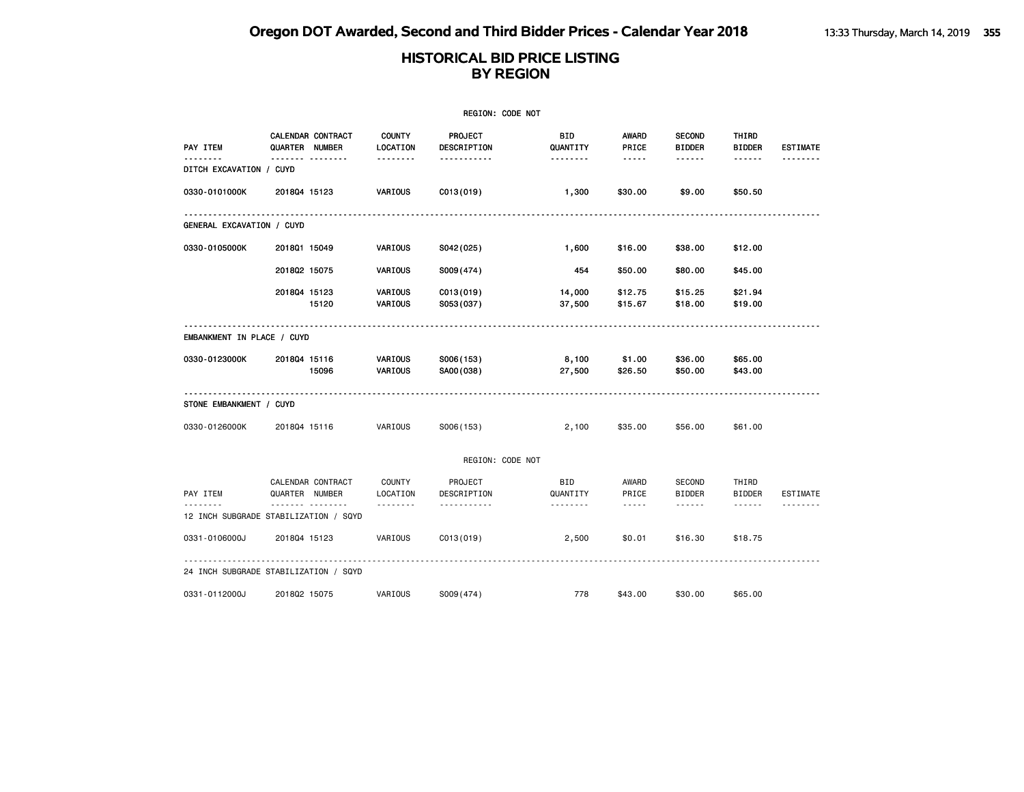|                                                   | REGION: CODE NOT |                   |                           |                        |                  |                                                                                                                                                      |                                |                               |                 |  |  |
|---------------------------------------------------|------------------|-------------------|---------------------------|------------------------|------------------|------------------------------------------------------------------------------------------------------------------------------------------------------|--------------------------------|-------------------------------|-----------------|--|--|
| PAY ITEM                                          | QUARTER NUMBER   | CALENDAR CONTRACT | <b>COUNTY</b><br>LOCATION | PROJECT<br>DESCRIPTION | BID<br>QUANTITY  | <b>AWARD</b><br>PRICE                                                                                                                                | <b>SECOND</b><br><b>BIDDER</b> | THIRD<br><b>BIDDER</b>        | <b>ESTIMATE</b> |  |  |
| ------<br>DITCH EXCAVATION / CUYD                 |                  | <b>.</b>          | --------                  | -----------            | --------         | -----                                                                                                                                                | ------                         | ------                        |                 |  |  |
| 0330-0101000K                                     | 201804 15123     |                   | VARIOUS                   | C013(019)              | 1,300            | \$30.00                                                                                                                                              | \$9.00                         | \$50.50                       |                 |  |  |
| GENERAL EXCAVATION / CUYD                         |                  |                   |                           |                        |                  |                                                                                                                                                      |                                |                               |                 |  |  |
| 0330-0105000K                                     | 201801 15049     |                   | VARIOUS                   | S042(025)              | 1,600            | \$16.00                                                                                                                                              | \$38.00                        | \$12.00                       |                 |  |  |
|                                                   | 201802 15075     |                   | VARIOUS                   | S009(474)              | 454              | \$50.00                                                                                                                                              | \$80.00                        | \$45.00                       |                 |  |  |
|                                                   | 201804 15123     | 15120             | VARIOUS<br>VARIOUS        | C013(019)<br>S053(037) | 14,000<br>37,500 | \$12.75<br>\$15.67                                                                                                                                   | \$15.25<br>\$18.00             | \$21.94<br>\$19.00            |                 |  |  |
| EMBANKMENT IN PLACE / CUYD                        |                  |                   |                           |                        |                  |                                                                                                                                                      |                                |                               |                 |  |  |
| 0330-0123000K                                     | 201804 15116     | 15096             | VARIOUS<br>VARIOUS        | S006(153)<br>SA00(038) | 8,100<br>27,500  | \$1.00<br>\$26.50                                                                                                                                    | \$36.00<br>\$50.00             | \$65.00<br>\$43.00            |                 |  |  |
| STONE EMBANKMENT / CUYD                           |                  |                   |                           |                        |                  |                                                                                                                                                      |                                |                               |                 |  |  |
| 0330-0126000K                                     | 201804 15116     |                   | VARIOUS                   | S006(153)              | 2,100            | \$35.00                                                                                                                                              | \$56.00                        | \$61.00                       |                 |  |  |
|                                                   |                  |                   |                           | REGION: CODE NOT       |                  |                                                                                                                                                      |                                |                               |                 |  |  |
| PAY ITEM                                          | QUARTER NUMBER   | CALENDAR CONTRACT | COUNTY<br>LOCATION        | PROJECT<br>DESCRIPTION | BID<br>QUANTITY  | AWARD<br>PRICE                                                                                                                                       | SECOND<br><b>BIDDER</b>        | THIRD<br>BIDDER               | ESTIMATE        |  |  |
| <u>.</u><br>12 INCH SUBGRADE STABILIZATION / SQYD |                  | .                 | .                         | -----------            | --------         | $\frac{1}{2} \left( \frac{1}{2} \right) \left( \frac{1}{2} \right) \left( \frac{1}{2} \right) \left( \frac{1}{2} \right) \left( \frac{1}{2} \right)$ | $\cdots \cdots \cdots$         | $\cdots \cdots \cdots \cdots$ | <u>.</u>        |  |  |
| 0331-0106000J                                     | 201804 15123     |                   | VARIOUS                   | C013(019)              | 2,500            | \$0.01                                                                                                                                               | \$16.30                        | \$18.75                       |                 |  |  |
| 24 INCH SUBGRADE STABILIZATION / SQYD             |                  |                   |                           |                        |                  |                                                                                                                                                      |                                |                               |                 |  |  |
| 0331-0112000J                                     | 201802 15075     |                   | VARIOUS                   | S009(474)              | 778              | \$43,00                                                                                                                                              | \$30,00                        | \$65,00                       |                 |  |  |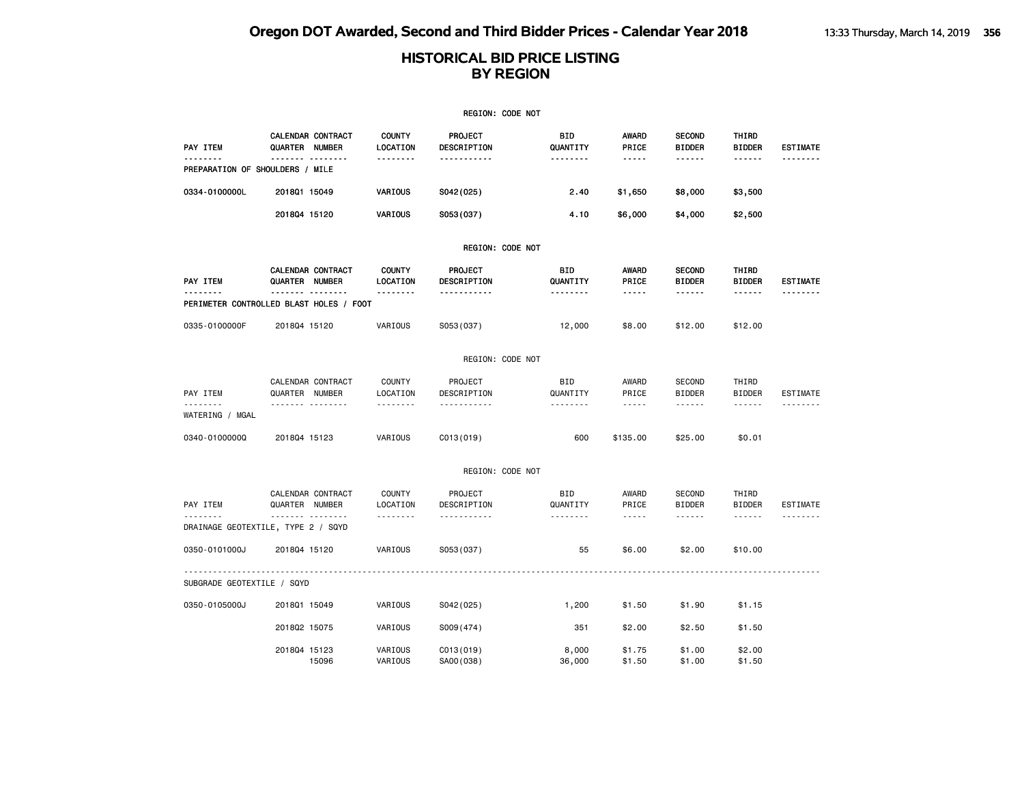|                                                     |                |                   |                                | REGION: CODE NOT                   |                        |                                    |                                |                                                                                                                                                                                                                                                                                                                                                                                                                                                                            |                             |
|-----------------------------------------------------|----------------|-------------------|--------------------------------|------------------------------------|------------------------|------------------------------------|--------------------------------|----------------------------------------------------------------------------------------------------------------------------------------------------------------------------------------------------------------------------------------------------------------------------------------------------------------------------------------------------------------------------------------------------------------------------------------------------------------------------|-----------------------------|
| PAY ITEM                                            | QUARTER NUMBER | CALENDAR CONTRACT | <b>COUNTY</b><br>LOCATION      | PROJECT<br>DESCRIPTION             | BID<br>QUANTITY        | <b>AWARD</b><br>PRICE              | <b>SECOND</b><br><b>BIDDER</b> | THIRD<br><b>BIDDER</b>                                                                                                                                                                                                                                                                                                                                                                                                                                                     | <b>ESTIMATE</b>             |
| <u>.</u><br>PREPARATION OF SHOULDERS / MILE         |                | ------- --------  | --------                       | -----------                        | --------               | $\cdots \cdots \cdots$             | ------                         | ------                                                                                                                                                                                                                                                                                                                                                                                                                                                                     |                             |
| 0334-0100000L                                       | 201801 15049   |                   | VARIOUS                        | S042(025)                          | 2.40                   | \$1,650                            | \$8,000                        | \$3,500                                                                                                                                                                                                                                                                                                                                                                                                                                                                    |                             |
|                                                     | 201804 15120   |                   | VARIOUS                        | S053(037)                          | 4.10                   | \$6,000                            | \$4,000                        | \$2,500                                                                                                                                                                                                                                                                                                                                                                                                                                                                    |                             |
|                                                     |                |                   |                                | REGION: CODE NOT                   |                        |                                    |                                |                                                                                                                                                                                                                                                                                                                                                                                                                                                                            |                             |
| PAY ITEM                                            | QUARTER NUMBER | CALENDAR CONTRACT | <b>COUNTY</b><br>LOCATION      | PROJECT<br>DESCRIPTION             | BID<br>QUANTITY        | AWARD<br>PRICE                     | <b>SECOND</b><br><b>BIDDER</b> | THIRD<br><b>BIDDER</b>                                                                                                                                                                                                                                                                                                                                                                                                                                                     | <b>ESTIMATE</b>             |
| <u>.</u><br>PERIMETER CONTROLLED BLAST HOLES / FOOT |                | ------- --------  | --------                       | <u>.</u>                           | --------               | .                                  | ------                         | ------                                                                                                                                                                                                                                                                                                                                                                                                                                                                     | <u>.</u>                    |
| 0335-0100000F                                       | 201804 15120   |                   | VARIOUS                        | S053(037)                          | 12,000                 | \$8.00                             | \$12.00                        | \$12.00                                                                                                                                                                                                                                                                                                                                                                                                                                                                    |                             |
|                                                     |                |                   |                                | REGION: CODE NOT                   |                        |                                    |                                |                                                                                                                                                                                                                                                                                                                                                                                                                                                                            |                             |
| PAY ITEM<br><u>.</u>                                | QUARTER NUMBER | CALENDAR CONTRACT | <b>COUNTY</b><br>LOCATION<br>. | PROJECT<br>DESCRIPTION<br><u>.</u> | <b>BID</b><br>QUANTITY | AWARD<br>PRICE<br>$- - - - -$      | <b>SECOND</b><br><b>BIDDER</b> | THIRD<br><b>BIDDER</b><br>$- - - - - -$                                                                                                                                                                                                                                                                                                                                                                                                                                    | ESTIMATE<br><u>.</u>        |
| WATERING / MGAL                                     |                | .                 |                                |                                    | .                      |                                    |                                |                                                                                                                                                                                                                                                                                                                                                                                                                                                                            |                             |
| 0340-0100000Q                                       | 201804 15123   |                   | VARIOUS                        | C <sub>013(019)</sub>              | 600                    | \$135.00                           | \$25.00                        | \$0.01                                                                                                                                                                                                                                                                                                                                                                                                                                                                     |                             |
|                                                     |                |                   |                                | REGION: CODE NOT                   |                        |                                    |                                |                                                                                                                                                                                                                                                                                                                                                                                                                                                                            |                             |
| PAY ITEM<br>.                                       | QUARTER NUMBER | CALENDAR CONTRACT | <b>COUNTY</b><br>LOCATION      | PROJECT<br>DESCRIPTION             | BID<br>QUANTITY        | AWARD<br>PRICE                     | <b>SECOND</b><br><b>BIDDER</b> | THIRD<br><b>BIDDER</b>                                                                                                                                                                                                                                                                                                                                                                                                                                                     | <b>ESTIMATE</b><br><u>.</u> |
| DRAINAGE GEOTEXTILE, TYPE 2 / SQYD                  |                | .                 | <u>.</u>                       | .                                  | <u>.</u>               | $\sim$ $\sim$ $\sim$ $\sim$ $\sim$ | ------                         | $\frac{1}{2} \left( \frac{1}{2} \right) \left( \frac{1}{2} \right) \left( \frac{1}{2} \right) \left( \frac{1}{2} \right) \left( \frac{1}{2} \right) \left( \frac{1}{2} \right) \left( \frac{1}{2} \right) \left( \frac{1}{2} \right) \left( \frac{1}{2} \right) \left( \frac{1}{2} \right) \left( \frac{1}{2} \right) \left( \frac{1}{2} \right) \left( \frac{1}{2} \right) \left( \frac{1}{2} \right) \left( \frac{1}{2} \right) \left( \frac{1}{2} \right) \left( \frac$ |                             |
| 0350-0101000J                                       | 201804 15120   |                   | VARIOUS                        | S053(037)                          | 55                     | \$6.00                             | \$2.00                         | \$10.00                                                                                                                                                                                                                                                                                                                                                                                                                                                                    |                             |
| SUBGRADE GEOTEXTILE / SQYD                          |                |                   |                                |                                    |                        |                                    |                                |                                                                                                                                                                                                                                                                                                                                                                                                                                                                            |                             |
| 0350-0105000J                                       | 201801 15049   |                   | VARIOUS                        | S042(025)                          | 1,200                  | \$1.50                             | \$1.90                         | \$1.15                                                                                                                                                                                                                                                                                                                                                                                                                                                                     |                             |
|                                                     | 201802 15075   |                   | VARIOUS                        | S009(474)                          | 351                    | \$2.00                             | \$2.50                         | \$1.50                                                                                                                                                                                                                                                                                                                                                                                                                                                                     |                             |
|                                                     | 201804 15123   | 15096             | VARIOUS<br>VARIOUS             | C013(019)<br>SA00(038)             | 8,000<br>36,000        | \$1.75<br>\$1.50                   | \$1.00<br>\$1.00               | \$2.00<br>\$1.50                                                                                                                                                                                                                                                                                                                                                                                                                                                           |                             |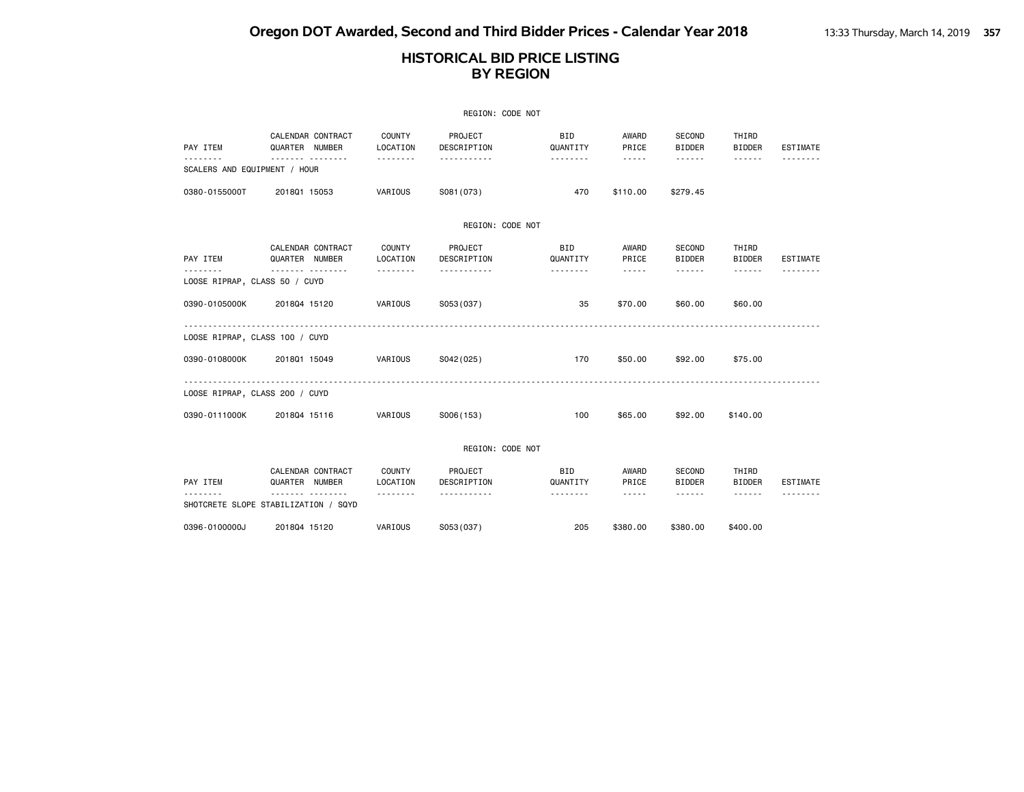|                                          |                                          |                                | REGION: CODE NOT                   |                             |                                                                                                                                                                                 |                                                                                                                                                                                                                   |                             |                             |
|------------------------------------------|------------------------------------------|--------------------------------|------------------------------------|-----------------------------|---------------------------------------------------------------------------------------------------------------------------------------------------------------------------------|-------------------------------------------------------------------------------------------------------------------------------------------------------------------------------------------------------------------|-----------------------------|-----------------------------|
| PAY ITEM                                 | CALENDAR CONTRACT<br>QUARTER NUMBER      | COUNTY<br>LOCATION             | PROJECT<br>DESCRIPTION             | <b>BID</b><br>QUANTITY      | AWARD<br>PRICE                                                                                                                                                                  | SECOND<br><b>BIDDER</b>                                                                                                                                                                                           | THIRD<br><b>BIDDER</b>      | ESTIMATE                    |
| --------<br>SCALERS AND EQUIPMENT / HOUR | .                                        | .                              | .                                  | .                           | $\frac{1}{2} \left( \frac{1}{2} \right) \left( \frac{1}{2} \right) \left( \frac{1}{2} \right) \left( \frac{1}{2} \right) \left( \frac{1}{2} \right) \left( \frac{1}{2} \right)$ |                                                                                                                                                                                                                   | ------                      |                             |
| 0380-0155000T                            | 201801 15053                             | VARIOUS                        | S081 (073)                         | 470                         | \$110.00                                                                                                                                                                        | \$279.45                                                                                                                                                                                                          |                             |                             |
|                                          |                                          |                                | REGION: CODE NOT                   |                             |                                                                                                                                                                                 |                                                                                                                                                                                                                   |                             |                             |
| PAY ITEM                                 | CALENDAR CONTRACT<br>QUARTER NUMBER      | COUNTY<br>LOCATION             | PROJECT<br>DESCRIPTION             | <b>BID</b><br>QUANTITY      | AWARD<br>PRICE                                                                                                                                                                  | SECOND<br><b>BIDDER</b>                                                                                                                                                                                           | THIRD<br><b>BIDDER</b>      | ESTIMATE                    |
| LOOSE RIPRAP, CLASS 50 / CUYD            | <b>.</b>                                 | .                              | .                                  | --------                    | $- - - - -$                                                                                                                                                                     | ------                                                                                                                                                                                                            | ------                      |                             |
| 0390-0105000K                            | 201804 15120                             | VARIOUS                        | S053(037)                          | 35                          | \$70.00                                                                                                                                                                         | \$60.00                                                                                                                                                                                                           | \$60,00                     |                             |
| LOOSE RIPRAP, CLASS 100 / CUYD           |                                          |                                |                                    |                             |                                                                                                                                                                                 |                                                                                                                                                                                                                   |                             |                             |
| 0390-0108000K                            | 201801 15049                             | VARIOUS                        | S042(025)                          | 170                         | \$50.00                                                                                                                                                                         | \$92.00                                                                                                                                                                                                           | \$75.00                     |                             |
| LOOSE RIPRAP, CLASS 200 / CUYD           |                                          | .                              |                                    |                             |                                                                                                                                                                                 |                                                                                                                                                                                                                   |                             |                             |
| 0390-0111000K                            | 201804 15116                             | VARIOUS                        | S006(153)                          | 100                         | \$65.00                                                                                                                                                                         | \$92.00                                                                                                                                                                                                           | \$140.00                    |                             |
|                                          |                                          |                                | REGION: CODE NOT                   |                             |                                                                                                                                                                                 |                                                                                                                                                                                                                   |                             |                             |
| PAY ITEM                                 | CALENDAR CONTRACT<br>QUARTER NUMBER<br>. | COUNTY<br>LOCATION<br><u>.</u> | PROJECT<br>DESCRIPTION<br><u>.</u> | <b>BID</b><br>QUANTITY<br>. | AWARD<br>PRICE<br>$\frac{1}{2} \left( \frac{1}{2} \right) \left( \frac{1}{2} \right) \left( \frac{1}{2} \right) \left( \frac{1}{2} \right) \left( \frac{1}{2} \right)$          | <b>SECOND</b><br><b>BIDDER</b><br>$\frac{1}{2} \left( \frac{1}{2} \right) \left( \frac{1}{2} \right) \left( \frac{1}{2} \right) \left( \frac{1}{2} \right) \left( \frac{1}{2} \right) \left( \frac{1}{2} \right)$ | THIRD<br><b>BIDDER</b><br>. | <b>ESTIMATE</b><br>-------- |
|                                          | SHOTCRETE SLOPE STABILIZATION / SQYD     |                                |                                    |                             |                                                                                                                                                                                 |                                                                                                                                                                                                                   |                             |                             |
| 0396-0100000J                            | 201804 15120                             | VARIOUS                        | S053(037)                          | 205                         | \$380.00                                                                                                                                                                        | \$380.00                                                                                                                                                                                                          | \$400.00                    |                             |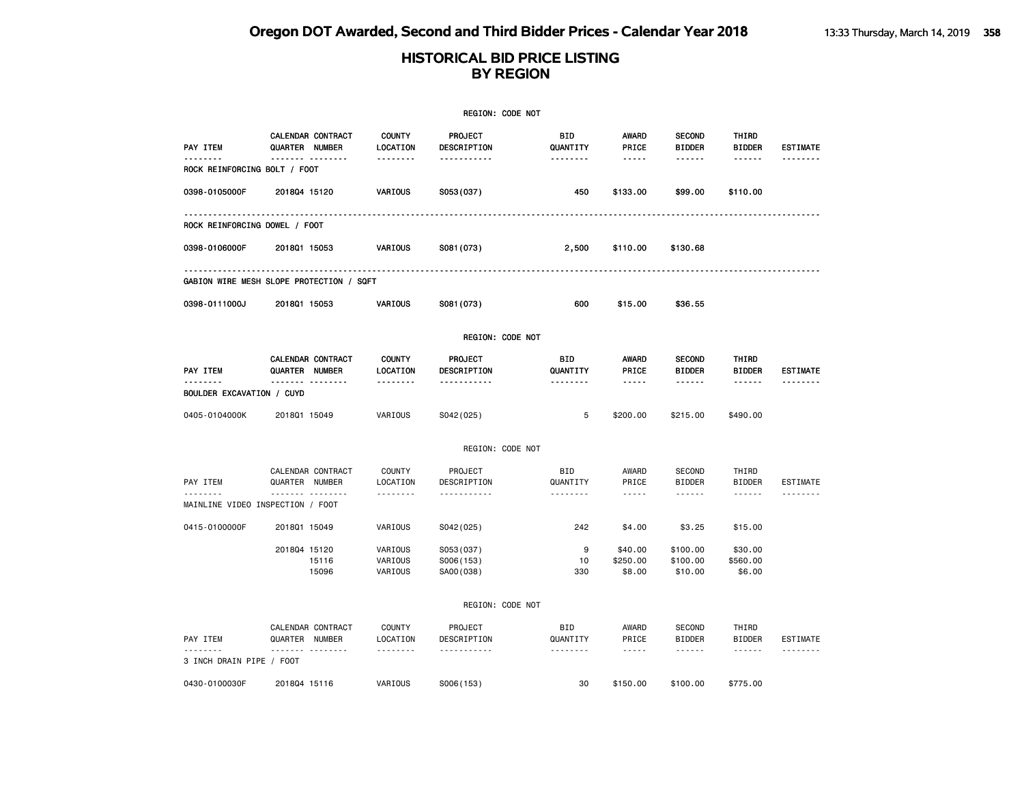|                                     |                                                 |                                | <b>REGION: CODE NOT</b>                               |                             |                                      |                                          |                                  |                             |
|-------------------------------------|-------------------------------------------------|--------------------------------|-------------------------------------------------------|-----------------------------|--------------------------------------|------------------------------------------|----------------------------------|-----------------------------|
| PAY ITEM<br><u>.</u>                | CALENDAR CONTRACT<br>QUARTER NUMBER<br><u> </u> | <b>COUNTY</b><br>LOCATION<br>. | <b>PROJECT</b><br>DESCRIPTION<br><u>.</u>             | <b>BID</b><br>QUANTITY      | <b>AWARD</b><br>PRICE<br>$- - - - -$ | <b>SECOND</b><br><b>BIDDER</b><br>------ | THIRD<br><b>BIDDER</b><br>------ | <b>ESTIMATE</b>             |
| ROCK REINFORCING BOLT / FOOT        |                                                 |                                |                                                       |                             |                                      |                                          |                                  |                             |
| 0398-0105000F                       | 201804 15120                                    | VARIOUS                        | S053(037)                                             | 450                         | \$133.00                             | \$99.00                                  | \$110.00                         |                             |
| ROCK REINFORCING DOWEL / FOOT       |                                                 |                                |                                                       |                             |                                      |                                          |                                  |                             |
| 0398-0106000F                       | 201801 15053                                    | VARIOUS                        | S081 (073)                                            | 2,500                       | \$110.00                             | \$130.68                                 |                                  |                             |
|                                     | GABION WIRE MESH SLOPE PROTECTION / SQFT        |                                |                                                       |                             |                                      |                                          |                                  |                             |
| 0398-0111000J                       | 2018Q1 15053                                    | VARIOUS                        | S081 (073)                                            | 600                         | \$15.00                              | \$36.55                                  |                                  |                             |
|                                     |                                                 |                                | REGION: CODE NOT                                      |                             |                                      |                                          |                                  |                             |
| PAY ITEM<br>-------                 | CALENDAR CONTRACT<br>QUARTER NUMBER             | <b>COUNTY</b><br>LOCATION      | PROJECT<br>DESCRIPTION                                | BID<br>QUANTITY             | AWARD<br>PRICE                       | <b>SECOND</b><br><b>BIDDER</b>           | THIRD<br><b>BIDDER</b>           | <b>ESTIMATE</b><br>-------- |
| BOULDER EXCAVATION / CUYD           | . <sub>.</sub>                                  | .                              | <u>.</u>                                              | <u>.</u>                    | -----                                | ------                                   | ------                           |                             |
| 0405-0104000K                       | 201801 15049                                    | VARIOUS                        | S042(025)                                             | 5                           | \$200.00                             | \$215.00                                 | \$490.00                         |                             |
|                                     |                                                 |                                | REGION: CODE NOT                                      |                             |                                      |                                          |                                  |                             |
| PAY ITEM<br>--------                | CALENDAR CONTRACT<br>QUARTER NUMBER<br><u>.</u> | <b>COUNTY</b><br>LOCATION<br>. | PROJECT<br>DESCRIPTION<br><u> - - - - - - - - - -</u> | BID<br>QUANTITY<br><u>.</u> | AWARD<br>PRICE<br>$- - - - -$        | <b>SECOND</b><br><b>BIDDER</b><br>------ | THIRD<br><b>BIDDER</b><br>------ | <b>ESTIMATE</b>             |
|                                     | MAINLINE VIDEO INSPECTION / FOOT                |                                |                                                       |                             |                                      |                                          |                                  |                             |
| 0415-0100000F                       | 201801 15049                                    | VARIOUS                        | S042(025)                                             | 242                         | \$4.00                               | \$3.25                                   | \$15.00                          |                             |
|                                     | 201804 15120<br>15116<br>15096                  | VARIOUS<br>VARIOUS<br>VARIOUS  | S053(037)<br>S006(153)<br>SA00 (038)                  | 9<br>10<br>330              | \$40.00<br>\$250.00<br>\$8.00        | \$100.00<br>\$100.00<br>\$10.00          | \$30.00<br>\$560.00<br>\$6.00    |                             |
|                                     |                                                 |                                | REGION: CODE NOT                                      |                             |                                      |                                          |                                  |                             |
| PAY ITEM                            | CALENDAR CONTRACT<br>QUARTER NUMBER             | COUNTY<br>LOCATION             | PROJECT<br>DESCRIPTION                                | BID<br>QUANTITY             | AWARD<br>PRICE                       | <b>SECOND</b><br><b>BIDDER</b>           | THIRD<br><b>BIDDER</b>           | <b>ESTIMATE</b>             |
| -------<br>3 INCH DRAIN PIPE / FOOT | -------<br>.                                    | .                              | <u>.</u>                                              | <u>.</u>                    | $- - - - -$                          | ------                                   | $- - - - - -$                    |                             |
| 0430-0100030F                       | 201804 15116                                    | VARIOUS                        | S006(153)                                             | 30                          | \$150.00                             | \$100.00                                 | \$775.00                         |                             |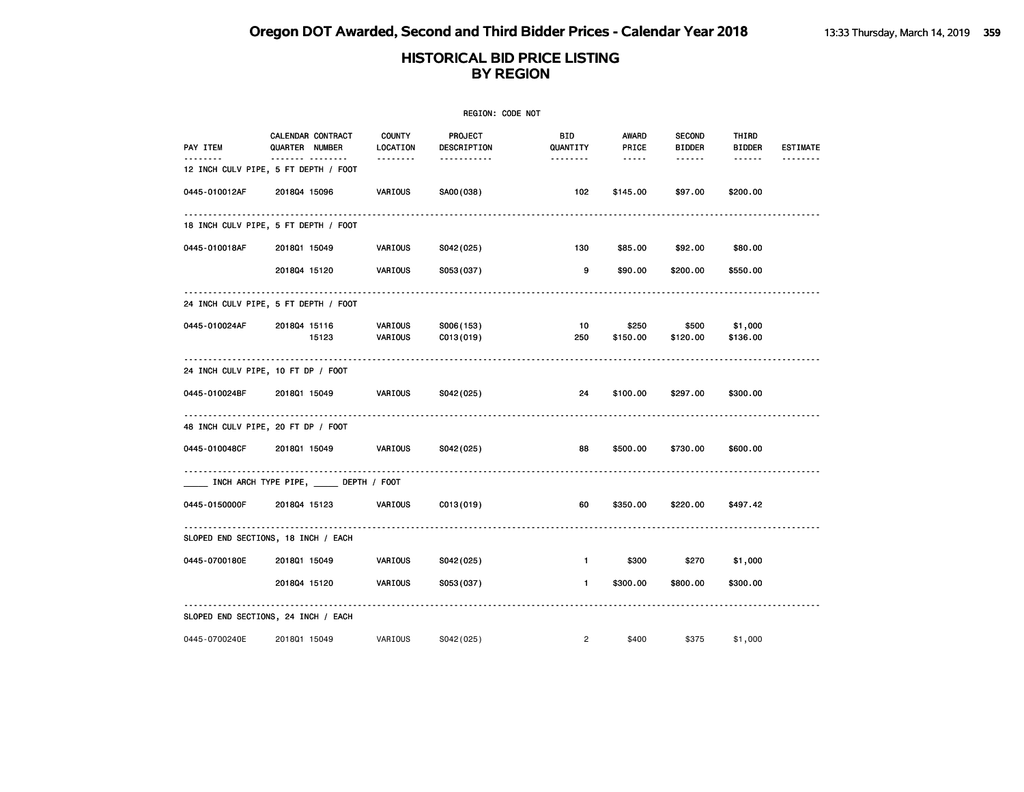| <b>REGION: CODE NOT</b>            |                                                          |                           |                        |                 |                   |                                |                           |                 |  |  |
|------------------------------------|----------------------------------------------------------|---------------------------|------------------------|-----------------|-------------------|--------------------------------|---------------------------|-----------------|--|--|
| PAY ITEM                           | CALENDAR CONTRACT<br>QUARTER NUMBER                      | <b>COUNTY</b><br>LOCATION | PROJECT<br>DESCRIPTION | BID<br>QUANTITY | AWARD<br>PRICE    | <b>SECOND</b><br><b>BIDDER</b> | THIRD<br><b>BIDDER</b>    | <b>ESTIMATE</b> |  |  |
| <u>.</u>                           | ------- --------<br>12 INCH CULV PIPE, 5 FT DEPTH / FOOT | .                         | -----------            | --------        | $\cdots \cdots$   | ------                         | $- - - - - -$             | .               |  |  |
| 0445-010012AF                      | 201804 15096                                             | VARIOUS                   | SA00(038)              | 102             | \$145.00          | \$97.00                        | \$200.00                  |                 |  |  |
|                                    | 18 INCH CULV PIPE, 5 FT DEPTH / FOOT                     |                           |                        |                 |                   |                                |                           |                 |  |  |
| 0445-010018AF                      | 201801 15049                                             | VARIOUS                   | S042(025)              | 130             | \$85.00           | \$92.00                        | \$80.00                   |                 |  |  |
|                                    | 201804 15120                                             | VARIOUS                   | S053(037)              | 9               | \$90.00           | \$200.00                       | \$550.00                  |                 |  |  |
|                                    | 24 INCH CULV PIPE, 5 FT DEPTH / FOOT                     |                           |                        |                 |                   |                                |                           |                 |  |  |
| 0445-010024AF                      | 201804 15116<br>15123                                    | VARIOUS<br><b>VARIOUS</b> | S006(153)<br>CO13(019) | 10<br>250       | \$250<br>\$150.00 | \$120.00                       | \$500 \$1,000<br>\$136.00 |                 |  |  |
| 24 INCH CULV PIPE, 10 FT DP / FOOT |                                                          |                           |                        |                 |                   |                                |                           |                 |  |  |
| 0445-010024BF                      | 201801 15049                                             | VARIOUS                   | S042 (025)             | 24              | \$100.00          | \$297.00                       | \$300.00                  |                 |  |  |
| 48 INCH CULV PIPE, 20 FT DP / FOOT |                                                          |                           |                        |                 |                   |                                |                           |                 |  |  |
| 0445-010048CF                      | 201801 15049                                             | VARIOUS                   | S042(025)              | 88              | \$500.00          | \$730.00                       | \$600.00                  |                 |  |  |
|                                    | INCH ARCH TYPE PIPE, _____ DEPTH / FOOT                  |                           |                        |                 |                   |                                |                           |                 |  |  |
| 0445-0150000F                      | 201804 15123                                             | VARIOUS                   | C013(019)              | 60              | \$350.00          | \$220.00                       | \$497.42                  |                 |  |  |
|                                    | SLOPED END SECTIONS, 18 INCH / EACH                      |                           |                        |                 |                   |                                |                           |                 |  |  |
| 0445-0700180E                      | 201801 15049                                             | VARIOUS                   | S042(025)              | $\blacksquare$  | \$300             | \$270                          | \$1,000                   |                 |  |  |
|                                    | 201804 15120                                             | VARIOUS                   | S053(037)              | $\mathbf{1}$    | \$300.00          | \$800.00                       | \$300.00                  |                 |  |  |
|                                    | SLOPED END SECTIONS, 24 INCH / EACH                      |                           |                        |                 |                   |                                |                           |                 |  |  |
| 0445-0700240E                      | 201801 15049                                             | VARIOUS                   | S042(025)              | $\overline{2}$  | \$400             | \$375                          | \$1,000                   |                 |  |  |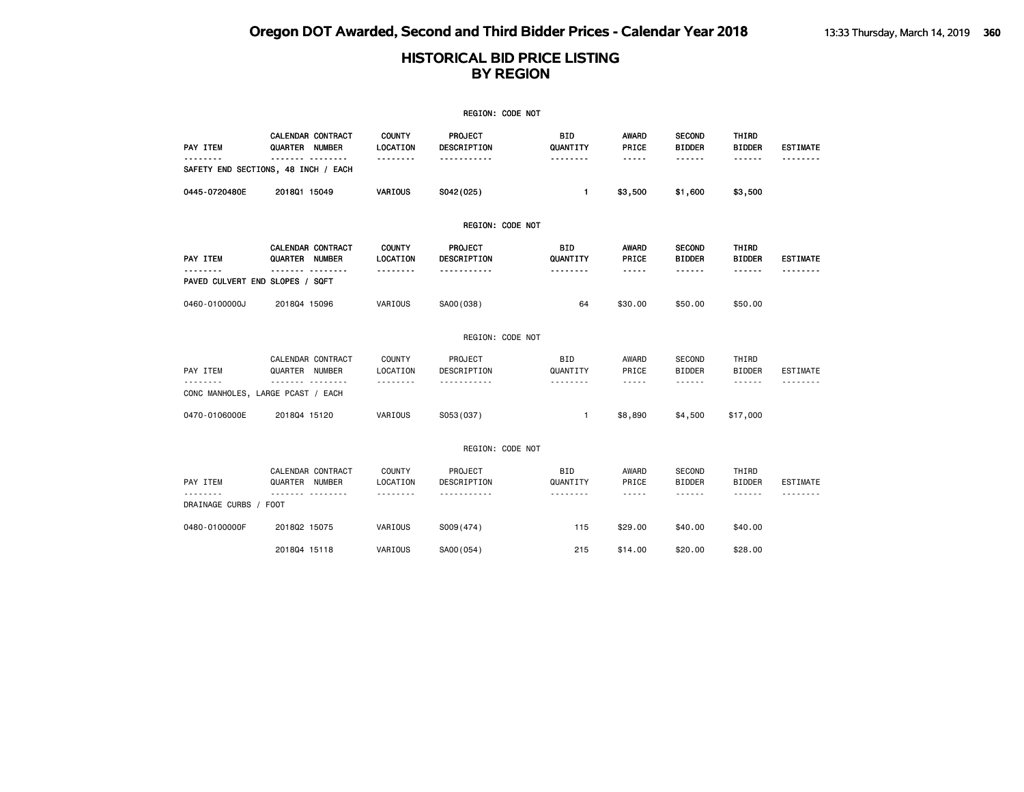|                                 |                                                |                                       | REGION: CODE NOT                          |                             |                                                                                                                                                                                                   |                                          |                                                                                                                                                                                                                                                                                                                                                                                                                                                                                                      |                      |
|---------------------------------|------------------------------------------------|---------------------------------------|-------------------------------------------|-----------------------------|---------------------------------------------------------------------------------------------------------------------------------------------------------------------------------------------------|------------------------------------------|------------------------------------------------------------------------------------------------------------------------------------------------------------------------------------------------------------------------------------------------------------------------------------------------------------------------------------------------------------------------------------------------------------------------------------------------------------------------------------------------------|----------------------|
| PAY ITEM                        | CALENDAR CONTRACT<br>QUARTER NUMBER<br>.       | <b>COUNTY</b><br>LOCATION<br>.        | PROJECT<br>DESCRIPTION                    | <b>BID</b><br>QUANTITY<br>. | <b>AWARD</b><br>PRICE                                                                                                                                                                             | <b>SECOND</b><br><b>BIDDER</b>           | THIRD<br><b>BIDDER</b>                                                                                                                                                                                                                                                                                                                                                                                                                                                                               | <b>ESTIMATE</b>      |
|                                 | -------<br>SAFETY END SECTIONS, 48 INCH / EACH |                                       | .                                         |                             | -----                                                                                                                                                                                             | ------                                   | ------                                                                                                                                                                                                                                                                                                                                                                                                                                                                                               |                      |
| 0445-0720480E                   | 201801 15049                                   | VARIOUS                               | S042(025)                                 | $\mathbf{1}$                | \$3,500                                                                                                                                                                                           | \$1,600                                  | \$3,500                                                                                                                                                                                                                                                                                                                                                                                                                                                                                              |                      |
|                                 |                                                |                                       | REGION: CODE NOT                          |                             |                                                                                                                                                                                                   |                                          |                                                                                                                                                                                                                                                                                                                                                                                                                                                                                                      |                      |
| PAY ITEM<br>--------            | CALENDAR CONTRACT<br>QUARTER NUMBER<br>.       | <b>COUNTY</b><br>LOCATION<br>-------- | <b>PROJECT</b><br>DESCRIPTION<br><u>.</u> | BID<br>QUANTITY<br>.        | AWARD<br>PRICE<br>$\cdots \cdots \cdots$                                                                                                                                                          | <b>SECOND</b><br><b>BIDDER</b><br>------ | THIRD<br><b>BIDDER</b><br>------                                                                                                                                                                                                                                                                                                                                                                                                                                                                     | <b>ESTIMATE</b>      |
| PAVED CULVERT END SLOPES / SQFT |                                                |                                       |                                           |                             |                                                                                                                                                                                                   |                                          |                                                                                                                                                                                                                                                                                                                                                                                                                                                                                                      |                      |
| 0460-0100000J                   | 201804 15096                                   | VARIOUS                               | SA00(038)                                 | 64                          | \$30.00                                                                                                                                                                                           | \$50.00                                  | \$50.00                                                                                                                                                                                                                                                                                                                                                                                                                                                                                              |                      |
|                                 |                                                |                                       | REGION: CODE NOT                          |                             |                                                                                                                                                                                                   |                                          |                                                                                                                                                                                                                                                                                                                                                                                                                                                                                                      |                      |
| PAY ITEM<br><u>.</u>            | CALENDAR CONTRACT<br>QUARTER NUMBER<br>.       | COUNTY<br>LOCATION<br>.               | PROJECT<br>DESCRIPTION<br>.               | <b>BID</b><br>QUANTITY<br>. | AWARD<br>PRICE<br>$\frac{1}{2}$                                                                                                                                                                   | <b>SECOND</b><br><b>BIDDER</b><br>------ | THIRD<br><b>BIDDER</b><br>$\frac{1}{2} \left( \frac{1}{2} \right) \left( \frac{1}{2} \right) \left( \frac{1}{2} \right) \left( \frac{1}{2} \right) \left( \frac{1}{2} \right) \left( \frac{1}{2} \right) \left( \frac{1}{2} \right) \left( \frac{1}{2} \right) \left( \frac{1}{2} \right) \left( \frac{1}{2} \right) \left( \frac{1}{2} \right) \left( \frac{1}{2} \right) \left( \frac{1}{2} \right) \left( \frac{1}{2} \right) \left( \frac{1}{2} \right) \left( \frac{1}{2} \right) \left( \frac$ | <b>ESTIMATE</b><br>. |
|                                 | CONC MANHOLES, LARGE PCAST / EACH              |                                       |                                           |                             |                                                                                                                                                                                                   |                                          |                                                                                                                                                                                                                                                                                                                                                                                                                                                                                                      |                      |
| 0470-0106000E                   | 201804 15120                                   | VARIOUS                               | S053(037)                                 | $\mathbf{1}$                | \$8,890                                                                                                                                                                                           | \$4,500                                  | \$17,000                                                                                                                                                                                                                                                                                                                                                                                                                                                                                             |                      |
|                                 |                                                |                                       | REGION: CODE NOT                          |                             |                                                                                                                                                                                                   |                                          |                                                                                                                                                                                                                                                                                                                                                                                                                                                                                                      |                      |
| PAY ITEM<br>.                   | CALENDAR CONTRACT<br>QUARTER NUMBER<br>.       | <b>COUNTY</b><br>LOCATION<br>.        | PROJECT<br>DESCRIPTION<br>.               | BID<br>QUANTITY<br>.        | AWARD<br>PRICE<br>$\frac{1}{2} \left( \frac{1}{2} \right) \left( \frac{1}{2} \right) \left( \frac{1}{2} \right) \left( \frac{1}{2} \right) \left( \frac{1}{2} \right) \left( \frac{1}{2} \right)$ | <b>SECOND</b><br><b>BIDDER</b><br>------ | THIRD<br><b>BIDDER</b><br>------                                                                                                                                                                                                                                                                                                                                                                                                                                                                     | <b>ESTIMATE</b>      |
| DRAINAGE CURBS /                | <b>FOOT</b>                                    |                                       |                                           |                             |                                                                                                                                                                                                   |                                          |                                                                                                                                                                                                                                                                                                                                                                                                                                                                                                      |                      |
| 0480-0100000F                   | 201802 15075                                   | VARIOUS                               | S009(474)                                 | 115                         | \$29.00                                                                                                                                                                                           | \$40.00                                  | \$40.00                                                                                                                                                                                                                                                                                                                                                                                                                                                                                              |                      |
|                                 | 201804 15118                                   | VARIOUS                               | SA00(054)                                 | 215                         | \$14,00                                                                                                                                                                                           | \$20,00                                  | \$28,00                                                                                                                                                                                                                                                                                                                                                                                                                                                                                              |                      |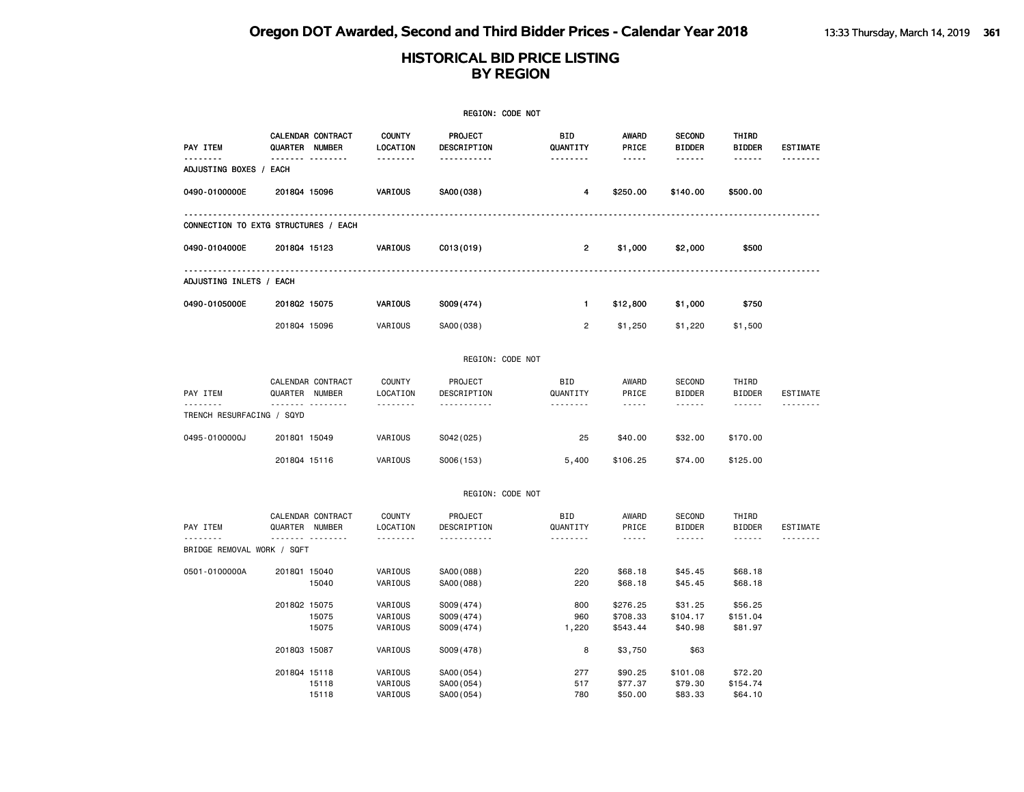|                                       |                                         |                |                                       | REGION: CODE NOT                       |                                                 |                                  |                                          |                                  |                             |
|---------------------------------------|-----------------------------------------|----------------|---------------------------------------|----------------------------------------|-------------------------------------------------|----------------------------------|------------------------------------------|----------------------------------|-----------------------------|
| PAY ITEM<br>.                         | CALENDAR CONTRACT<br>QUARTER NUMBER<br> |                | <b>COUNTY</b><br>LOCATION<br><u>.</u> | PROJECT<br>DESCRIPTION<br>.            | <b>BID</b><br>QUANTITY<br><u> - - - - - - -</u> | <b>AWARD</b><br>PRICE<br>-----   | <b>SECOND</b><br><b>BIDDER</b><br>------ | THIRD<br><b>BIDDER</b><br>------ | <b>ESTIMATE</b><br><u>.</u> |
| ADJUSTING BOXES / EACH                |                                         |                |                                       |                                        |                                                 |                                  |                                          |                                  |                             |
| 0490-0100000E                         | 201804 15096                            |                | VARIOUS                               | SA00(038)                              | 4                                               | \$250.00                         | \$140.00                                 | \$500.00                         |                             |
| CONNECTION TO EXTG STRUCTURES / EACH  |                                         |                |                                       |                                        |                                                 |                                  |                                          |                                  |                             |
| 0490-0104000E                         | 201804 15123                            |                | VARIOUS                               | CO13(019)                              | $\overline{2}$                                  | \$1,000                          | \$2,000                                  | \$500                            |                             |
| --------<br>ADJUSTING INLETS / EACH   |                                         |                |                                       |                                        |                                                 |                                  |                                          |                                  |                             |
| 0490-0105000E                         | 201802 15075                            |                | VARIOUS                               | S009(474)                              | $\mathbf{1}$                                    | \$12,800                         | \$1,000                                  | \$750                            |                             |
|                                       | 201804 15096                            |                | VARIOUS                               | SA00(038)                              | $\overline{2}$                                  | \$1,250                          | \$1,220                                  | \$1,500                          |                             |
|                                       |                                         |                |                                       | REGION: CODE NOT                       |                                                 |                                  |                                          |                                  |                             |
| PAY ITEM                              | CALENDAR CONTRACT<br>QUARTER NUMBER     |                | <b>COUNTY</b><br>LOCATION             | PROJECT<br>DESCRIPTION                 | BID<br>QUANTITY                                 | AWARD<br>PRICE                   | <b>SECOND</b><br><b>BIDDER</b>           | THIRD<br><b>BIDDER</b>           | ESTIMATE                    |
| <u>.</u><br>TRENCH RESURFACING / SQYD | .                                       |                | .                                     | .                                      | .                                               | $- - - - -$                      | .                                        | ------                           | .                           |
| 0495-0100000J                         | 201801 15049                            |                | VARIOUS                               | S042(025)                              | 25                                              | \$40.00                          | \$32.00                                  | \$170.00                         |                             |
|                                       | 201804 15116                            |                | VARIOUS                               | S006(153)                              | 5,400                                           | \$106.25                         | \$74.00                                  | \$125.00                         |                             |
|                                       |                                         |                |                                       | REGION: CODE NOT                       |                                                 |                                  |                                          |                                  |                             |
| PAY ITEM                              | CALENDAR CONTRACT<br>QUARTER NUMBER     |                | <b>COUNTY</b><br>LOCATION             | PROJECT<br>DESCRIPTION                 | <b>BID</b><br>QUANTITY                          | AWARD<br>PRICE                   | <b>SECOND</b><br><b>BIDDER</b>           | THIRD<br><b>BIDDER</b>           | <b>ESTIMATE</b>             |
| .<br>BRIDGE REMOVAL WORK / SQFT       | <b>.</b>                                |                | .                                     | .                                      | .                                               | .                                | .                                        | ------                           | .                           |
| 0501-0100000A                         | 201801 15040                            | 15040          | VARIOUS<br>VARIOUS                    | SA00 (088)<br>SA00(088)                | 220<br>220                                      | \$68.18<br>\$68.18               | \$45.45<br>\$45.45                       | \$68.18<br>\$68.18               |                             |
|                                       | 201802 15075                            | 15075<br>15075 | VARIOUS<br>VARIOUS<br>VARIOUS         | S009(474)<br>S009(474)<br>S009(474)    | 800<br>960<br>1,220                             | \$276.25<br>\$708.33<br>\$543.44 | \$31.25<br>\$104.17<br>\$40.98           | \$56.25<br>\$151.04<br>\$81.97   |                             |
|                                       | 201803 15087                            |                | VARIOUS                               | S009(478)                              | 8                                               | \$3,750                          | \$63                                     |                                  |                             |
|                                       | 201804 15118                            | 15118<br>15118 | VARIOUS<br>VARIOUS<br>VARIOUS         | SA00 (054)<br>SA00 (054)<br>SA00 (054) | 277<br>517<br>780                               | \$90.25<br>\$77.37<br>\$50.00    | \$101.08<br>\$79.30<br>\$83.33           | \$72.20<br>\$154.74<br>\$64.10   |                             |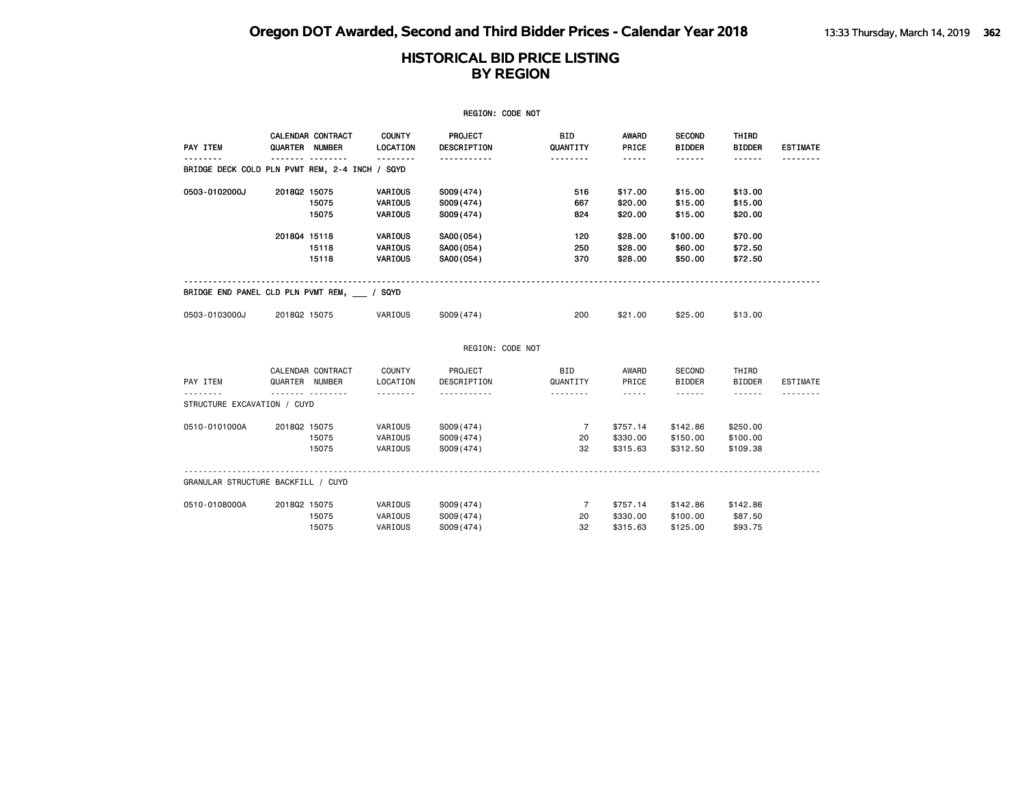|                                                          |                |                   |                                  | REGION: CODE NOT                    |                            |                                    |                                  |                                  |                 |
|----------------------------------------------------------|----------------|-------------------|----------------------------------|-------------------------------------|----------------------------|------------------------------------|----------------------------------|----------------------------------|-----------------|
| PAY ITEM                                                 | QUARTER NUMBER | CALENDAR CONTRACT | <b>COUNTY</b><br><b>LOCATION</b> | PROJECT<br><b>DESCRIPTION</b>       | <b>BID</b><br>QUANTITY     | AWARD<br>PRICE                     | <b>SECOND</b><br><b>BIDDER</b>   | THIRD<br><b>BIDDER</b>           | <b>ESTIMATE</b> |
| ------<br>BRIDGE DECK COLD PLN PVMT REM, 2-4 INCH / SQYD |                | .                 | <u>.</u>                         | <u>.</u>                            | <u>.</u>                   | -----                              | .                                |                                  |                 |
| 0503-0102000J                                            | 201802 15075   | 15075<br>15075    | VARIOUS<br>VARIOUS<br>VARIOUS    | S009(474)<br>S009(474)<br>S009(474) | 516<br>667<br>824          | \$17.00<br>\$20.00<br>\$20.00      | \$15.00<br>\$15.00<br>\$15.00    | \$13.00<br>\$15.00<br>\$20.00    |                 |
|                                                          | 201804 15118   | 15118<br>15118    | VARIOUS<br>VARIOUS<br>VARIOUS    | SA00(054)<br>SA00(054)<br>SA00(054) | 120<br>250<br>370          | \$28.00<br>\$28.00<br>\$28.00      | \$100.00<br>\$60.00<br>\$50.00   | \$70.00<br>\$72.50<br>\$72.50    |                 |
| BRIDGE END PANEL CLD PLN PVMT REM, / SQYD                |                |                   |                                  |                                     |                            |                                    |                                  |                                  |                 |
| 0503-0103000J                                            | 201802 15075   |                   | VARIOUS                          | S009(474)                           | 200                        | \$21.00                            | \$25.00                          | \$13.00                          |                 |
|                                                          |                |                   |                                  | REGION: CODE NOT                    |                            |                                    |                                  |                                  |                 |
| PAY ITEM<br>.                                            | QUARTER NUMBER | CALENDAR CONTRACT | COUNTY<br>LOCATION               | PROJECT<br>DESCRIPTION              | <b>BID</b><br>QUANTITY     | AWARD<br>PRICE                     | SECOND<br><b>BIDDER</b>          | THIRD<br><b>BIDDER</b>           | <b>ESTIMATE</b> |
| STRUCTURE EXCAVATION / CUYD                              |                | .                 |                                  | <u>.</u>                            |                            | $\sim$ $\sim$ $\sim$ $\sim$ $\sim$ |                                  | .                                | .               |
| 0510-0101000A                                            | 201802 15075   | 15075<br>15075    | VARIOUS<br>VARIOUS<br>VARIOUS    | S009(474)<br>S009(474)<br>S009(474) | $\overline{7}$<br>20<br>32 | \$757.14<br>\$330.00<br>\$315.63   | \$142.86<br>\$150.00<br>\$312.50 | \$250.00<br>\$100.00<br>\$109.38 |                 |
| GRANULAR STRUCTURE BACKFILL / CUYD                       |                |                   |                                  |                                     |                            |                                    |                                  |                                  |                 |
| 0510-0108000A                                            | 201802 15075   | 15075<br>15075    | VARIOUS<br>VARIOUS<br>VARIOUS    | S009(474)<br>S009(474)<br>S009(474) | 7<br>20<br>32              | \$757.14<br>\$330.00<br>\$315.63   | \$142.86<br>\$100.00<br>\$125.00 | \$142.86<br>\$87.50<br>\$93.75   |                 |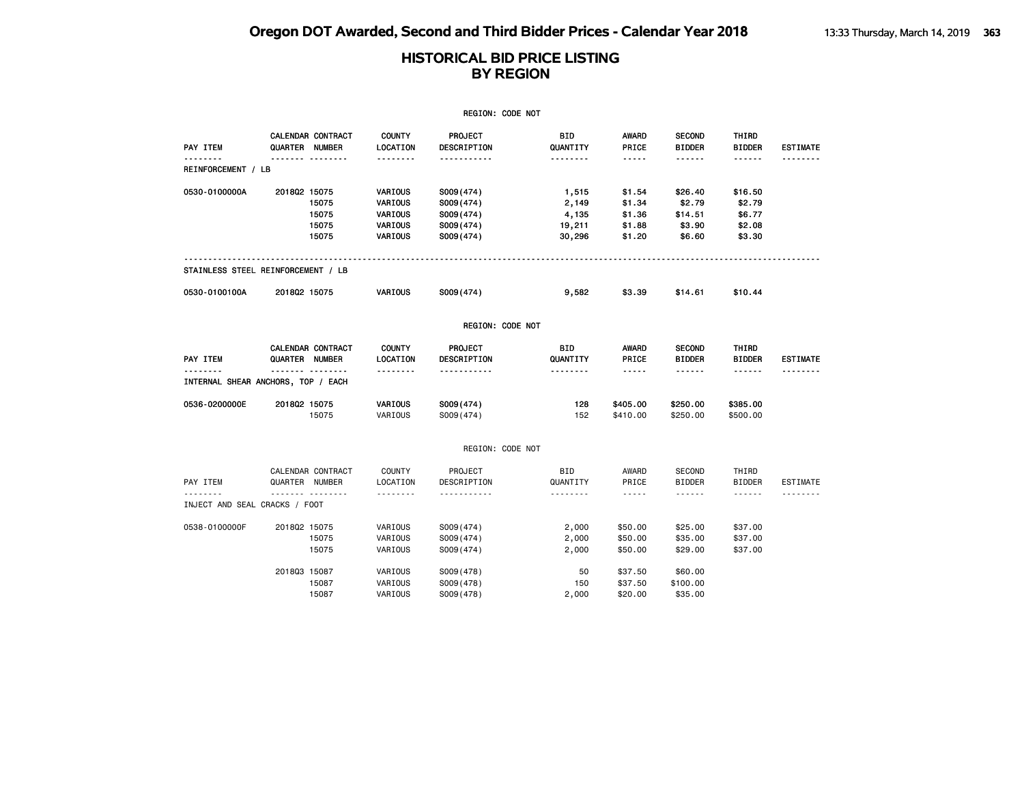| REGION: CODE NOT              |                                                  |                                                     |                                                               |                                             |                                                |                                                  |                                                 |                 |  |  |
|-------------------------------|--------------------------------------------------|-----------------------------------------------------|---------------------------------------------------------------|---------------------------------------------|------------------------------------------------|--------------------------------------------------|-------------------------------------------------|-----------------|--|--|
| PAY ITEM                      | CALENDAR CONTRACT<br>QUARTER NUMBER              | <b>COUNTY</b><br>LOCATION                           | PROJECT<br>DESCRIPTION                                        | BID<br>QUANTITY                             | <b>AWARD</b><br>PRICE                          | <b>SECOND</b><br><b>BIDDER</b>                   | THIRD<br><b>BIDDER</b>                          | <b>ESTIMATE</b> |  |  |
| .<br>REINFORCEMENT / LB       | <u> </u>                                         | <u>.</u>                                            | <u>.</u>                                                      |                                             | $- - - - -$                                    |                                                  | $- - - - - -$                                   | .               |  |  |
| 0530-0100000A                 | 201802 15075<br>15075<br>15075<br>15075<br>15075 | VARIOUS<br>VARIOUS<br>VARIOUS<br>VARIOUS<br>VARIOUS | S009(474)<br>S009(474)<br>S009(474)<br>S009(474)<br>S009(474) | 1,515<br>2,149<br>4,135<br>19,211<br>30,296 | \$1.54<br>\$1.34<br>\$1.36<br>\$1.88<br>\$1.20 | \$26.40<br>\$2.79<br>\$14.51<br>\$3.90<br>\$6.60 | \$16.50<br>\$2.79<br>\$6.77<br>\$2.08<br>\$3.30 |                 |  |  |
|                               | STAINLESS STEEL REINFORCEMENT / LB               |                                                     |                                                               |                                             |                                                |                                                  |                                                 |                 |  |  |
| 0530-0100100A                 | 201802 15075                                     | VARIOUS                                             | S009(474)                                                     | 9,582                                       | \$3.39                                         | \$14.61                                          | \$10.44                                         |                 |  |  |
|                               |                                                  |                                                     | REGION: CODE NOT                                              |                                             |                                                |                                                  |                                                 |                 |  |  |
| PAY ITEM                      | CALENDAR CONTRACT<br><b>QUARTER NUMBER</b>       | <b>COUNTY</b><br>LOCATION                           | PROJECT<br>DESCRIPTION                                        | BID<br>QUANTITY                             | <b>AWARD</b><br>PRICE                          | <b>SECOND</b><br><b>BIDDER</b>                   | THIRD<br><b>BIDDER</b>                          | <b>ESTIMATE</b> |  |  |
|                               | <br>INTERNAL SHEAR ANCHORS, TOP / EACH           |                                                     | <u>.</u>                                                      | <u>.</u>                                    | $- - - - -$                                    |                                                  | $- - - - - -$                                   |                 |  |  |
| 0536-0200000E                 | 201802 15075<br>15075                            | VARIOUS<br>VARIOUS                                  | S009(474)<br>S009(474)                                        | 128<br>152                                  | \$405.00<br>\$410.00                           | \$250.00<br>\$250.00                             | \$385.00<br>\$500.00                            |                 |  |  |
|                               |                                                  |                                                     | REGION: CODE NOT                                              |                                             |                                                |                                                  |                                                 |                 |  |  |
| PAY ITEM                      | CALENDAR CONTRACT<br>QUARTER NUMBER<br>.         | COUNTY<br>LOCATION                                  | PROJECT<br>DESCRIPTION                                        | BID<br>QUANTITY<br>.                        | AWARD<br>PRICE<br>$- - - - -$                  | SECOND<br><b>BIDDER</b><br>------                | THIRD<br><b>BIDDER</b>                          | <b>ESTIMATE</b> |  |  |
| INJECT AND SEAL CRACKS / FOOT |                                                  | .                                                   |                                                               |                                             |                                                |                                                  | ------                                          |                 |  |  |
| 0538-0100000F                 | 201802 15075<br>15075<br>15075                   | VARIOUS<br>VARIOUS<br>VARIOUS                       | S009(474)<br>S009(474)<br>S009(474)                           | 2,000<br>2,000<br>2,000                     | \$50.00<br>\$50.00<br>\$50.00                  | \$25.00<br>\$35.00<br>\$29.00                    | \$37.00<br>\$37.00<br>\$37.00                   |                 |  |  |
|                               | 201803 15087<br>15087<br>15087                   | VARIOUS<br>VARIOUS<br>VARIOUS                       | S009(478)<br>S009(478)<br>S009(478)                           | 50<br>150<br>2,000                          | \$37.50<br>\$37.50<br>\$20.00                  | \$60.00<br>\$100.00<br>\$35.00                   |                                                 |                 |  |  |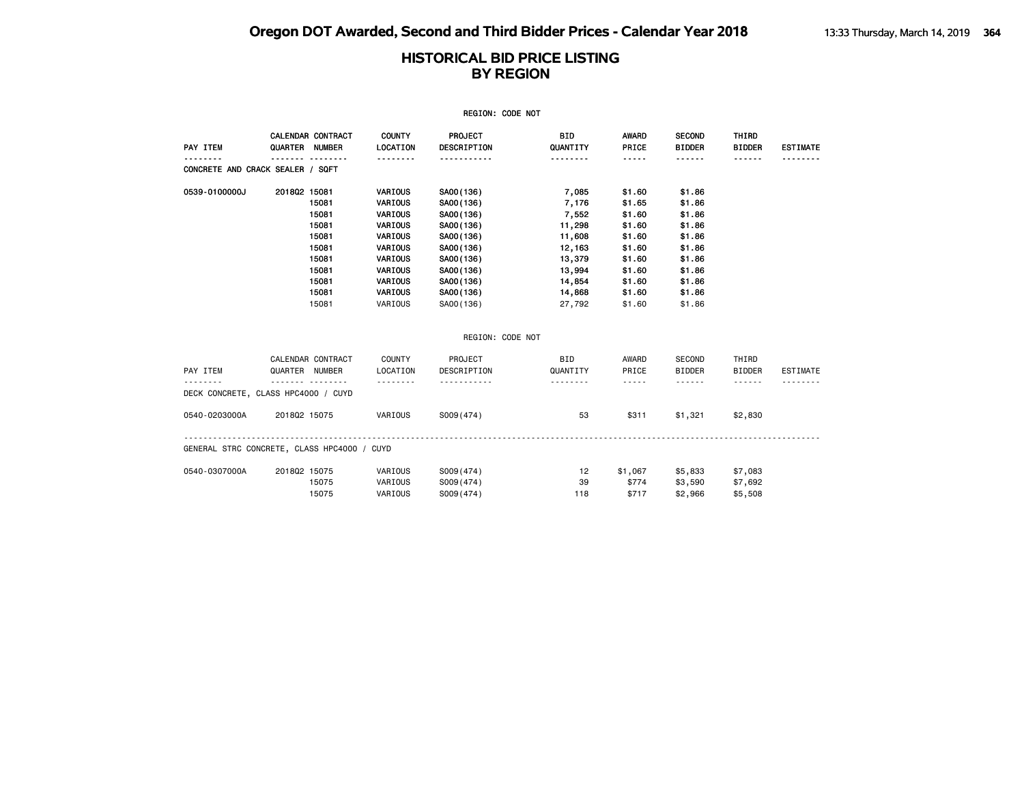|                                  |                                             |                 | REGION: CODE NOT   |            |             |               |               |                 |
|----------------------------------|---------------------------------------------|-----------------|--------------------|------------|-------------|---------------|---------------|-----------------|
|                                  | CALENDAR CONTRACT                           | <b>COUNTY</b>   | PROJECT            | <b>BID</b> | AWARD       | <b>SECOND</b> | THIRD         |                 |
| PAY ITEM                         | QUARTER NUMBER                              | <b>LOCATION</b> | <b>DESCRIPTION</b> | QUANTITY   | PRICE       | <b>BIDDER</b> | <b>BIDDER</b> | <b>ESTIMATE</b> |
| CONCRETE AND CRACK SEALER / SQFT | <u> </u>                                    | <u>.</u>        | <u>.</u>           | <u>.</u>   | -----       | ------        | ------        |                 |
| 0539-0100000J                    | 201802 15081                                | VARIOUS         | SA00(136)          | 7,085      | \$1.60      | \$1.86        |               |                 |
|                                  | 15081                                       | VARIOUS         | SA00(136)          | 7,176      | \$1.65      | \$1.86        |               |                 |
|                                  | 15081                                       | VARIOUS         | SA00(136)          | 7,552      | \$1.60      | \$1.86        |               |                 |
|                                  | 15081                                       | VARIOUS         | SA00(136)          | 11,298     | \$1.60      | \$1.86        |               |                 |
|                                  | 15081                                       | VARIOUS         | SA00(136)          | 11,608     | \$1.60      | \$1.86        |               |                 |
|                                  | 15081                                       | VARIOUS         | SA00(136)          | 12,163     | \$1.60      | \$1.86        |               |                 |
|                                  | 15081                                       | VARIOUS         | SA00(136)          | 13,379     | \$1.60      | \$1.86        |               |                 |
|                                  | 15081                                       | VARIOUS         | SA00(136)          | 13,994     | \$1.60      | \$1.86        |               |                 |
|                                  | 15081                                       | VARIOUS         | SA00(136)          | 14,854     | \$1.60      | \$1.86        |               |                 |
|                                  | 15081                                       | VARIOUS         | SA00(136)          | 14,868     | \$1.60      | \$1.86        |               |                 |
|                                  | 15081                                       | VARIOUS         | SA00(136)          | 27,792     | \$1.60      | \$1.86        |               |                 |
|                                  |                                             |                 |                    |            |             |               |               |                 |
|                                  |                                             |                 | REGION: CODE NOT   |            |             |               |               |                 |
|                                  | CALENDAR CONTRACT                           | COUNTY          | PROJECT            | <b>BID</b> | AWARD       | SECOND        | THIRD         |                 |
| PAY ITEM                         | QUARTER NUMBER                              | LOCATION        | DESCRIPTION        | QUANTITY   | PRICE       | <b>BIDDER</b> | <b>BIDDER</b> | <b>ESTIMATE</b> |
|                                  | <u></u> .                                   | <u>.</u>        | <u>.</u>           | <u>.</u>   | $- - - - -$ | $- - - - - -$ | ------        |                 |
|                                  | DECK CONCRETE, CLASS HPC4000 / CUYD         |                 |                    |            |             |               |               |                 |
| 0540-0203000A                    | 201802 15075                                | VARIOUS         | S009(474)          | 53         | \$311       | \$1,321       | \$2,830       |                 |
|                                  |                                             |                 |                    |            |             |               |               |                 |
|                                  | GENERAL STRC CONCRETE, CLASS HPC4000 / CUYD |                 |                    |            |             |               |               |                 |
| 0540-0307000A                    | 201802 15075                                | VARIOUS         | S009(474)          | 12         | \$1,067     | \$5,833       | \$7,083       |                 |
|                                  | 15075                                       | VARIOUS         | S009(474)          | 39         | \$774       | \$3,590       | \$7,692       |                 |
|                                  | 15075                                       | VARIOUS         | S009(474)          | 118        | \$717       | \$2,966       | \$5,508       |                 |
|                                  |                                             |                 |                    |            |             |               |               |                 |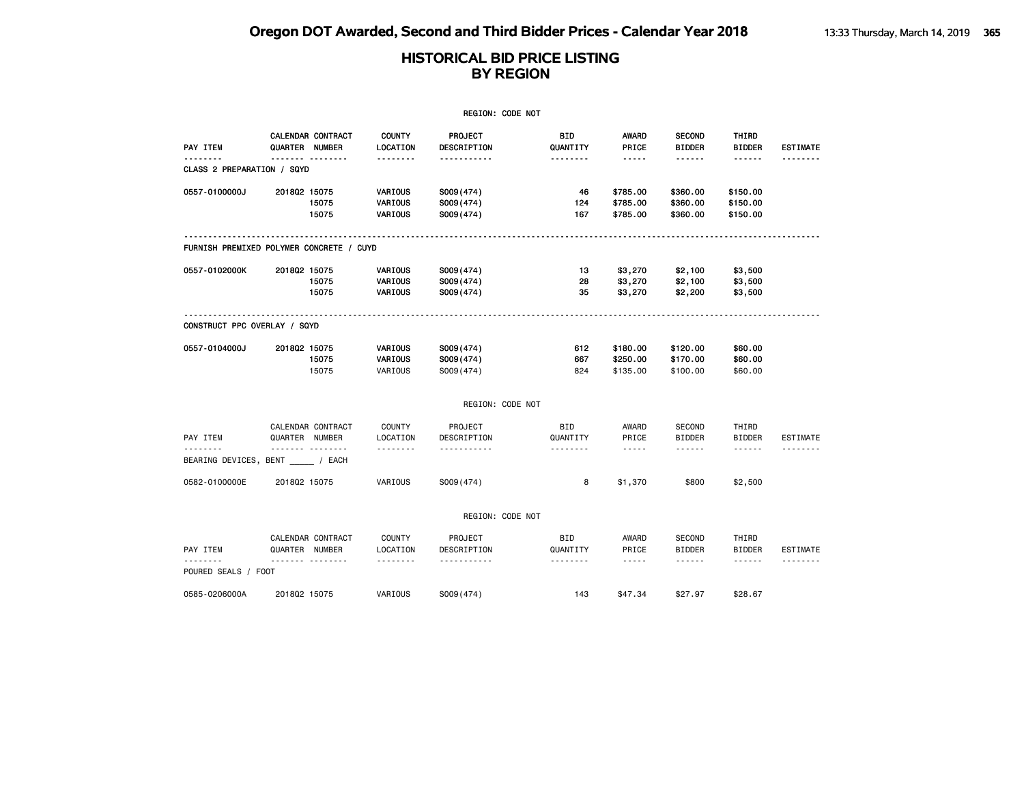|                              |                                                 |                                | REGION: CODE NOT                    |                             |                                                                                                                                                                        |                                          |                                  |                      |
|------------------------------|-------------------------------------------------|--------------------------------|-------------------------------------|-----------------------------|------------------------------------------------------------------------------------------------------------------------------------------------------------------------|------------------------------------------|----------------------------------|----------------------|
| PAY ITEM                     | CALENDAR CONTRACT<br>QUARTER NUMBER             | <b>COUNTY</b><br>LOCATION      | PROJECT<br>DESCRIPTION              | BID<br>QUANTITY             | AWARD<br>PRICE                                                                                                                                                         | <b>SECOND</b><br><b>BIDDER</b>           | THIRD<br><b>BIDDER</b>           | <b>ESTIMATE</b>      |
| CLASS 2 PREPARATION / SQYD   | <u>.</u>                                        | --------                       | -----------                         | .                           | $- - - - -$                                                                                                                                                            | ------                                   | ------                           | .                    |
| 0557-0100000J                | 201802 15075<br>15075<br>15075                  | VARIOUS<br>VARIOUS<br>VARIOUS  | S009(474)<br>S009(474)<br>S009(474) | 46<br>124<br>167            | \$785.00<br>\$785.00<br>\$785.00                                                                                                                                       | \$360.00<br>\$360.00<br>\$360.00         | \$150.00<br>\$150.00<br>\$150.00 |                      |
|                              | FURNISH PREMIXED POLYMER CONCRETE / CUYD        |                                |                                     |                             |                                                                                                                                                                        |                                          |                                  |                      |
| 0557-0102000K                | 201802 15075<br>15075<br>15075                  | VARIOUS<br>VARIOUS<br>VARIOUS  | S009(474)<br>S009(474)<br>S009(474) | 13<br>28<br>35              | \$3,270<br>\$3,270<br>\$3,270                                                                                                                                          | \$2,100<br>\$2,100<br>\$2,200            | \$3,500<br>\$3,500<br>\$3,500    |                      |
| CONSTRUCT PPC OVERLAY / SQYD |                                                 |                                |                                     |                             |                                                                                                                                                                        |                                          |                                  |                      |
| 0557-0104000J                | 201802 15075<br>15075<br>15075                  | VARIOUS<br>VARIOUS<br>VARIOUS  | S009(474)<br>S009(474)<br>S009(474) | 612<br>667<br>824           | \$180.00<br>\$250.00<br>\$135.00                                                                                                                                       | \$120.00<br>\$170.00<br>\$100.00         | \$60.00<br>\$60.00<br>\$60.00    |                      |
|                              |                                                 |                                | REGION: CODE NOT                    |                             |                                                                                                                                                                        |                                          |                                  |                      |
| PAY ITEM                     | CALENDAR CONTRACT<br>QUARTER NUMBER<br><u> </u> | <b>COUNTY</b><br>LOCATION      | PROJECT<br>DESCRIPTION              | <b>BID</b><br>QUANTITY      | <b>AWARD</b><br>PRICE                                                                                                                                                  | <b>SECOND</b><br><b>BIDDER</b>           | THIRD<br><b>BIDDER</b>           | <b>ESTIMATE</b>      |
| <u>.</u>                     | BEARING DEVICES, BENT / EACH                    | <u>.</u>                       | <u>.</u>                            | .                           | $\frac{1}{2}$                                                                                                                                                          |                                          | .                                | .                    |
| 0582-0100000E                | 201802 15075                                    | VARIOUS                        | S009(474)                           | 8                           | \$1,370                                                                                                                                                                | \$800                                    | \$2,500                          |                      |
|                              |                                                 |                                | REGION: CODE NOT                    |                             |                                                                                                                                                                        |                                          |                                  |                      |
| PAY ITEM                     | CALENDAR CONTRACT<br>QUARTER NUMBER<br><u>.</u> | <b>COUNTY</b><br>LOCATION<br>. | PROJECT<br>DESCRIPTION<br>.         | <b>BID</b><br>QUANTITY<br>. | AWARD<br>PRICE<br>$\frac{1}{2} \left( \frac{1}{2} \right) \left( \frac{1}{2} \right) \left( \frac{1}{2} \right) \left( \frac{1}{2} \right) \left( \frac{1}{2} \right)$ | <b>SECOND</b><br><b>BIDDER</b><br>------ | THIRD<br><b>BIDDER</b><br>------ | <b>ESTIMATE</b><br>. |
| POURED SEALS / FOOT          |                                                 |                                |                                     |                             |                                                                                                                                                                        |                                          |                                  |                      |
| 0585-0206000A                | 201802 15075                                    | VARIOUS                        | S009(474)                           | 143                         | \$47.34                                                                                                                                                                | \$27.97                                  | \$28.67                          |                      |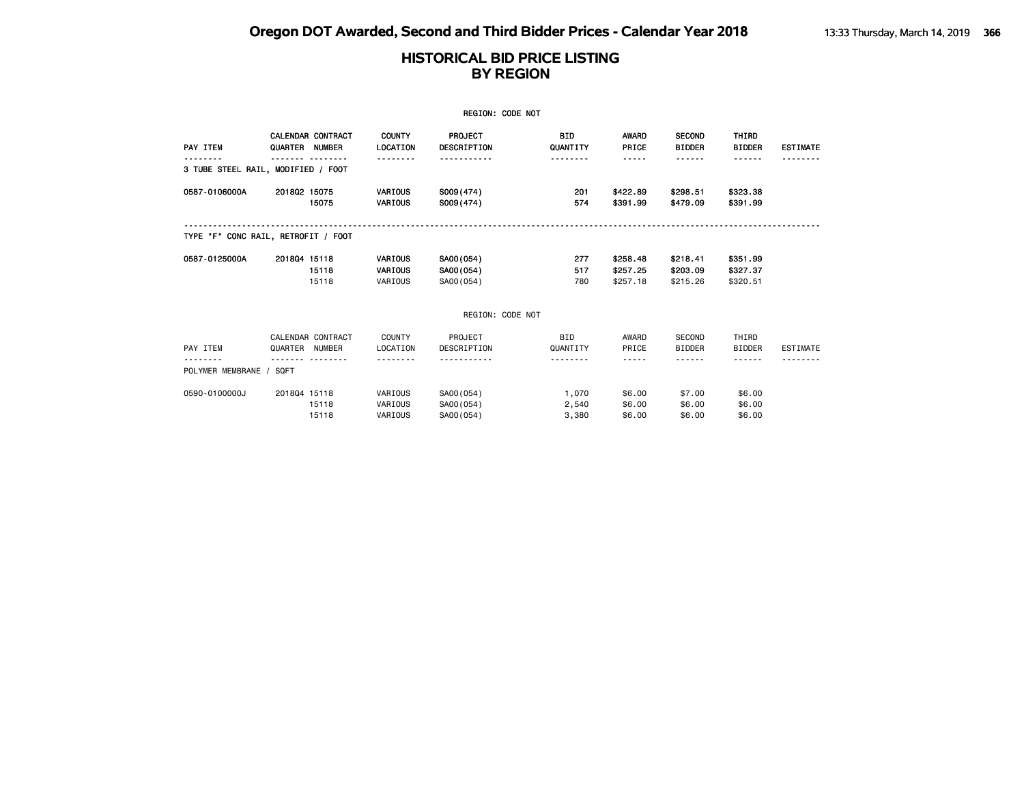|                                     |              |                                            |                                      | REGION: CODE NOT                    |                         |                                  |                                  |                                  |                 |
|-------------------------------------|--------------|--------------------------------------------|--------------------------------------|-------------------------------------|-------------------------|----------------------------------|----------------------------------|----------------------------------|-----------------|
| PAY ITEM                            |              | <b>CALENDAR CONTRACT</b><br>QUARTER NUMBER | <b>COUNTY</b><br><b>LOCATION</b>     | PROJECT<br><b>DESCRIPTION</b>       | <b>BID</b><br>QUANTITY  | AWARD<br>PRICE                   | <b>SECOND</b><br><b>BIDDER</b>   | THIRD<br><b>BIDDER</b>           | <b>ESTIMATE</b> |
| 3 TUBE STEEL RAIL, MODIFIED / FOOT  |              |                                            |                                      |                                     |                         | -----                            | <b>.</b>                         | ------                           |                 |
| 0587-0106000A                       | 201802 15075 | 15075                                      | VARIOUS<br>VARIOUS                   | S009(474)<br>S009(474)              | 201<br>574              | \$422.89<br>\$391.99             | \$298.51<br>\$479.09             | \$323.38<br>\$391.99             |                 |
| TYPE "F" CONC RAIL, RETROFIT / FOOT |              |                                            |                                      |                                     |                         |                                  |                                  |                                  |                 |
| 0587-0125000A                       | 201804 15118 | 15118<br>15118                             | VARIOUS<br><b>VARIOUS</b><br>VARIOUS | SA00(054)<br>SA00(054)<br>SA00(054) | 277<br>517<br>780       | \$258.48<br>\$257.25<br>\$257.18 | \$218.41<br>\$203.09<br>\$215.26 | \$351.99<br>\$327.37<br>\$320.51 |                 |
|                                     |              |                                            |                                      | REGION: CODE NOT                    |                         |                                  |                                  |                                  |                 |
| PAY ITEM                            |              | CALENDAR CONTRACT<br>QUARTER NUMBER        | COUNTY<br>LOCATION                   | PROJECT<br>DESCRIPTION              | <b>BID</b><br>QUANTITY  | AWARD<br>PRICE                   | <b>SECOND</b><br><b>BIDDER</b>   | THIRD<br><b>BIDDER</b>           | ESTIMATE        |
| POLYMER MEMBRANE / SQFT             |              |                                            |                                      |                                     |                         | -----                            |                                  | - - - - - -                      |                 |
| 0590-0100000J                       | 201804 15118 | 15118<br>15118                             | VARIOUS<br>VARIOUS<br>VARIOUS        | SA00(054)<br>SA00(054)<br>SA00(054) | 1,070<br>2,540<br>3,380 | \$6.00<br>\$6.00<br>\$6.00       | \$7.00<br>\$6.00<br>\$6.00       | \$6.00<br>\$6.00<br>\$6.00       |                 |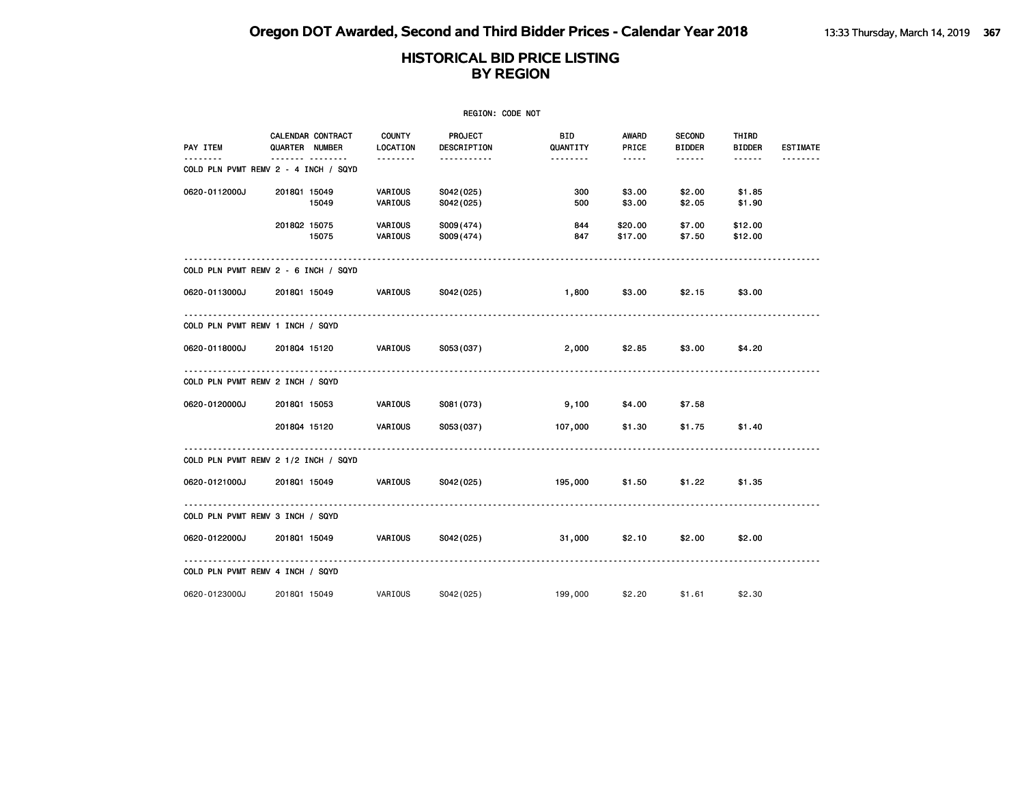| REGION: CODE NOT           |                                                           |                           |                        |                        |                    |                                |                        |                 |  |  |
|----------------------------|-----------------------------------------------------------|---------------------------|------------------------|------------------------|--------------------|--------------------------------|------------------------|-----------------|--|--|
| PAY ITEM                   | CALENDAR CONTRACT<br>QUARTER NUMBER                       | <b>COUNTY</b><br>LOCATION | PROJECT<br>DESCRIPTION | <b>BID</b><br>QUANTITY | AWARD<br>PRICE     | <b>SECOND</b><br><b>BIDDER</b> | THIRD<br><b>BIDDER</b> | <b>ESTIMATE</b> |  |  |
| .                          | -------- --------<br>COLD PLN PVMT REMV 2 - 4 INCH / SQYD | --------                  | -----------            | --------               | $\cdots \cdots$    | .                              | ------                 |                 |  |  |
| 0620-0112000J              | 201801 15049<br>15049                                     | <b>VARIOUS</b><br>VARIOUS | S042(025)<br>S042(025) | 300<br>500             | \$3.00<br>\$3.00   | \$2.00<br>\$2.05               | \$1.85<br>\$1.90       |                 |  |  |
|                            | 2018Q2 15075<br>15075                                     | <b>VARIOUS</b><br>VARIOUS | S009(474)<br>S009(474) | 844<br>847             | \$20.00<br>\$17.00 | \$7.00<br>\$7.50               | \$12.00<br>\$12.00     |                 |  |  |
|                            | COLD PLN PVMT REMV 2 - 6 INCH / SQYD                      |                           |                        |                        |                    |                                |                        |                 |  |  |
| 0620-0113000J              | 2018Q1 15049 VARIOUS                                      |                           | S042(025) 1,800        |                        | \$3.00             | \$2.15                         | \$3.00                 |                 |  |  |
|                            | COLD PLN PVMT REMV 1 INCH / SQYD                          |                           |                        |                        |                    |                                |                        |                 |  |  |
| 0620-0118000J 2018Q4 15120 |                                                           | <b>VARIOUS</b>            | S053(037)              | 2,000                  | \$2.85             |                                | $$3.00$ $$4.20$        |                 |  |  |
|                            | COLD PLN PVMT REMV 2 INCH / SQYD                          |                           |                        |                        |                    |                                |                        |                 |  |  |
| 0620-0120000J              | 201801 15053                                              | <b>VARIOUS</b>            | S081 (073)             | 9,100 \$4.00           |                    | \$7.58                         |                        |                 |  |  |
|                            | 201804 15120                                              | <b>VARIOUS</b>            | S053(037)              | 107,000                | \$1.30             |                                | \$1.75 \$1.40          |                 |  |  |
|                            | COLD PLN PVMT REMV 2 1/2 INCH / SQYD                      |                           |                        |                        |                    |                                |                        |                 |  |  |
| 0620-0121000J              | 201801 15049                                              | <b>VARIOUS</b>            | S042(025)              | 195,000                | \$1.50             | \$1.22                         | \$1.35                 |                 |  |  |
|                            | COLD PLN PVMT REMV 3 INCH / SQYD                          |                           |                        |                        |                    |                                |                        |                 |  |  |
|                            | 0620-0122000J 2018Q1 15049                                | <b>VARIOUS</b>            | S042(025)              | 31,000                 | \$2.10             | \$2.00                         | \$2.00                 |                 |  |  |
|                            | COLD PLN PVMT REMV 4 INCH / SQYD                          |                           |                        |                        |                    |                                |                        |                 |  |  |
| 0620-0123000J              | 201801 15049                                              | VARIOUS                   | S042(025)              | 199,000                | \$2,20             | \$1.61                         | \$2.30                 |                 |  |  |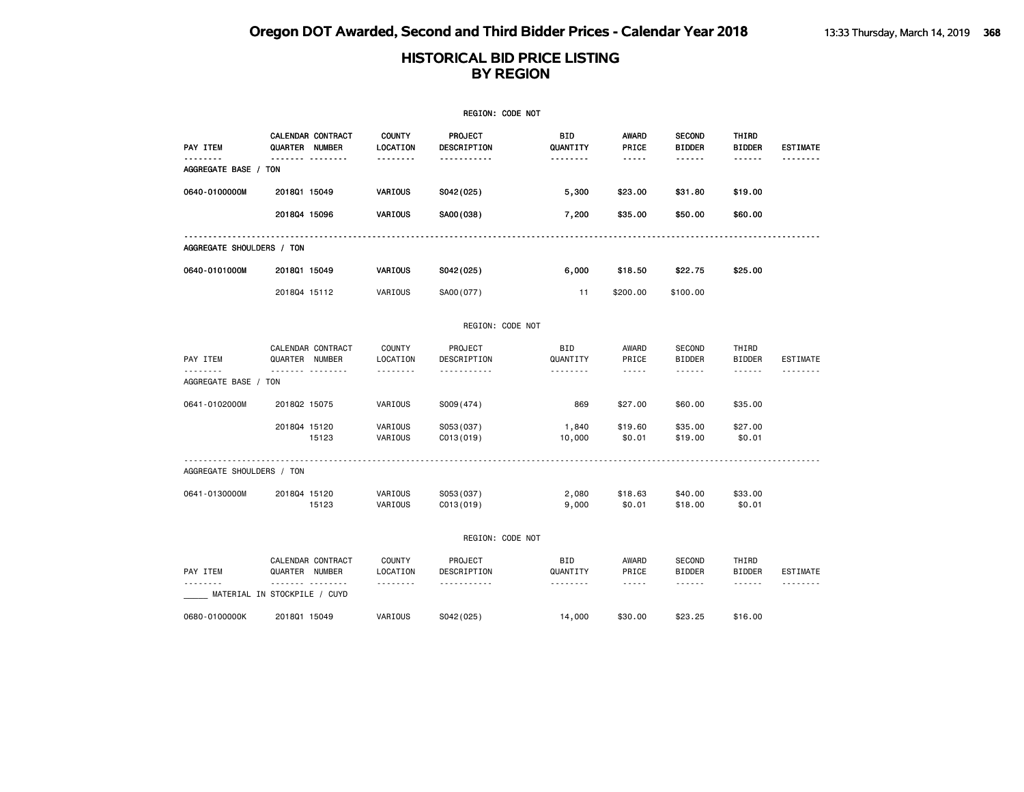|                           |                                                                          |                           | REGION: CODE NOT                   |                             |                               |                                                 |                                  |                 |
|---------------------------|--------------------------------------------------------------------------|---------------------------|------------------------------------|-----------------------------|-------------------------------|-------------------------------------------------|----------------------------------|-----------------|
| PAY ITEM                  | CALENDAR CONTRACT<br>QUARTER NUMBER                                      | <b>COUNTY</b><br>LOCATION | PROJECT<br>DESCRIPTION             | BID<br>QUANTITY             | AWARD<br>PRICE                | <b>SECOND</b><br><b>BIDDER</b>                  | THIRD<br><b>BIDDER</b>           | <b>ESTIMATE</b> |
| AGGREGATE BASE / TON      | .                                                                        | <u>.</u>                  | -----------                        | <u>.</u>                    | $- - - - -$                   | ------                                          | ------                           | <u>.</u>        |
| 0640-0100000M             | 201801 15049                                                             | VARIOUS                   | S042(025)                          | 5,300                       | \$23.00                       | \$31.80                                         | \$19.00                          |                 |
|                           | 201804 15096                                                             | VARIOUS                   | SA00(038)                          | 7,200                       | \$35.00                       | \$50.00                                         | \$60.00                          |                 |
| AGGREGATE SHOULDERS / TON |                                                                          |                           |                                    |                             |                               |                                                 |                                  |                 |
| 0640-0101000M             | 201801 15049                                                             | VARIOUS                   | S042(025)                          | 6,000                       | \$18.50                       | \$22.75                                         | \$25.00                          |                 |
|                           | 201804 15112                                                             | VARIOUS                   | SA00(077)                          | 11                          | \$200.00                      | \$100.00                                        |                                  |                 |
|                           |                                                                          |                           | REGION: CODE NOT                   |                             |                               |                                                 |                                  |                 |
| PAY ITEM                  | CALENDAR CONTRACT<br>QUARTER NUMBER                                      | <b>COUNTY</b><br>LOCATION | PROJECT<br>DESCRIPTION             | BID<br>QUANTITY             | AWARD<br>PRICE                | SECOND<br><b>BIDDER</b>                         | THIRD<br><b>BIDDER</b>           | <b>ESTIMATE</b> |
| AGGREGATE BASE / TON      | .                                                                        | <u>.</u>                  | <u>.</u>                           | .                           | $\frac{1}{2}$                 |                                                 | $- - - - - -$                    |                 |
| 0641-0102000M             | 201802 15075                                                             | VARIOUS                   | S009(474)                          | 869                         | \$27.00                       | \$60.00                                         | \$35.00                          |                 |
|                           | 201804 15120<br>15123                                                    | VARIOUS<br>VARIOUS        | S053(037)<br>C013(019)             | 1,840<br>10,000             | \$19.60<br>\$0.01             | \$35.00<br>\$19.00                              | \$27.00<br>\$0.01                |                 |
| AGGREGATE SHOULDERS / TON |                                                                          |                           |                                    |                             |                               |                                                 |                                  |                 |
| 0641-0130000M             | 201804 15120<br>15123                                                    | VARIOUS<br>VARIOUS        | S053 (037)<br>C013(019)            | 2,080<br>9,000              | \$18.63<br>\$0.01             | \$40,00<br>\$18.00                              | \$33,00<br>\$0.01                |                 |
|                           |                                                                          |                           | REGION: CODE NOT                   |                             |                               |                                                 |                                  |                 |
| PAY ITEM                  | CALENDAR CONTRACT<br>QUARTER NUMBER<br>.<br>MATERIAL IN STOCKPILE / CUYD | <b>COUNTY</b><br>LOCATION | PROJECT<br>DESCRIPTION<br><u>.</u> | <b>BID</b><br>QUANTITY<br>. | AWARD<br>PRICE<br>$- - - - -$ | <b>SECOND</b><br><b>BIDDER</b><br>$- - - - - -$ | THIRD<br><b>BIDDER</b><br>------ | ESTIMATE<br>.   |
| 0680-0100000K             | 201801 15049                                                             | VARIOUS                   | S042(025)                          | 14,000                      | \$30.00                       | \$23.25                                         | \$16.00                          |                 |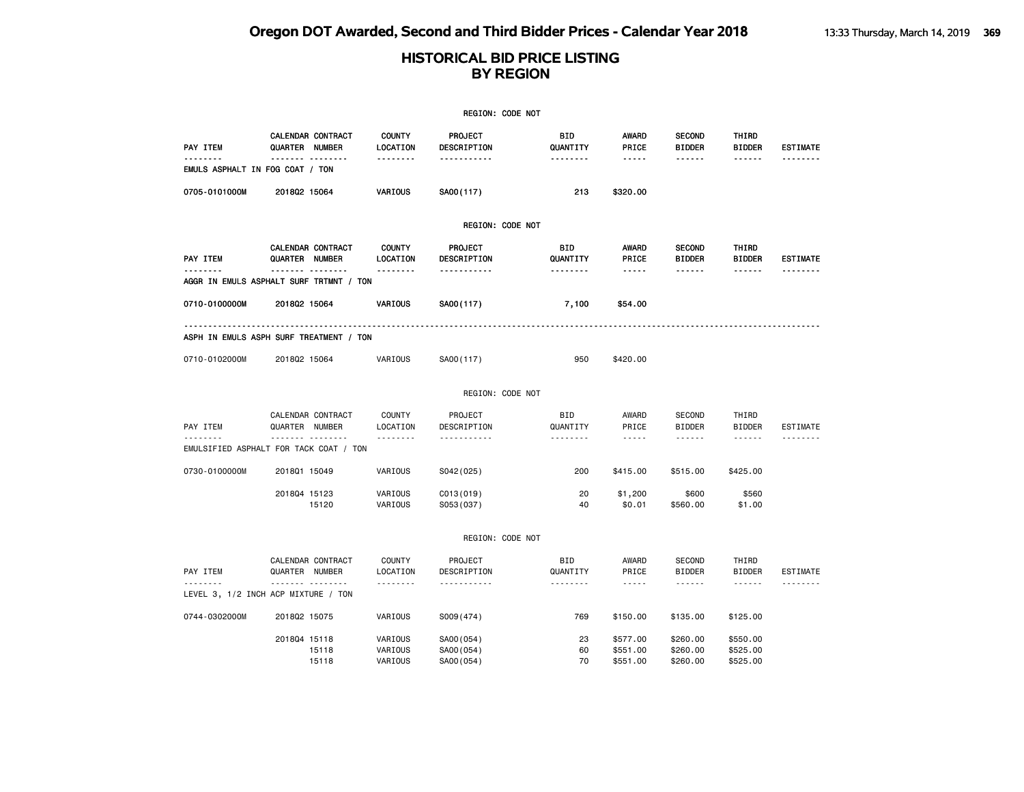#### **HISTORICAL BID PRICE LISTING BY REGION**

|               |                                                     |                                | REGION: CODE NOT            |                             |                             |                                                                                                                                               |                                                                                                                                                                                                                                                                                                                                                                                                                                                                            |                             |
|---------------|-----------------------------------------------------|--------------------------------|-----------------------------|-----------------------------|-----------------------------|-----------------------------------------------------------------------------------------------------------------------------------------------|----------------------------------------------------------------------------------------------------------------------------------------------------------------------------------------------------------------------------------------------------------------------------------------------------------------------------------------------------------------------------------------------------------------------------------------------------------------------------|-----------------------------|
| PAY ITEM      | CALENDAR CONTRACT<br>QUARTER NUMBER                 | <b>COUNTY</b><br>LOCATION      | PROJECT<br>DESCRIPTION      | <b>BID</b><br>QUANTITY      | <b>AWARD</b><br>PRICE       | <b>SECOND</b><br><b>BIDDER</b>                                                                                                                | THIRD<br><b>BIDDER</b>                                                                                                                                                                                                                                                                                                                                                                                                                                                     | <b>ESTIMATE</b>             |
| <u>.</u>      | . <sub>.</sub><br>EMULS ASPHALT IN FOG COAT / TON   | <u>.</u>                       | -----------                 | <u>.</u>                    | $- - - - -$                 | ------                                                                                                                                        | ------                                                                                                                                                                                                                                                                                                                                                                                                                                                                     | <u>.</u>                    |
| 0705-0101000M | 201802 15064                                        | VARIOUS                        | SA00(117)                   | 213                         | \$320.00                    |                                                                                                                                               |                                                                                                                                                                                                                                                                                                                                                                                                                                                                            |                             |
|               |                                                     |                                | REGION: CODE NOT            |                             |                             |                                                                                                                                               |                                                                                                                                                                                                                                                                                                                                                                                                                                                                            |                             |
| PAY ITEM      | CALENDAR CONTRACT<br>QUARTER NUMBER                 | <b>COUNTY</b><br>LOCATION      | PROJECT<br>DESCRIPTION      | BID<br>QUANTITY             | <b>AWARD</b><br>PRICE       | <b>SECOND</b><br><b>BIDDER</b>                                                                                                                | THIRD<br><b>BIDDER</b>                                                                                                                                                                                                                                                                                                                                                                                                                                                     | <b>ESTIMATE</b>             |
| --------      | <u> </u><br>AGGR IN EMULS ASPHALT SURF TRTMNT / TON | <u>.</u>                       | -----------                 | --------                    | $- - - - -$                 | ------                                                                                                                                        | ------                                                                                                                                                                                                                                                                                                                                                                                                                                                                     | --------                    |
| 0710-0100000M | 201802 15064                                        | VARIOUS                        | SA00(117)                   | 7,100                       | \$54.00                     |                                                                                                                                               |                                                                                                                                                                                                                                                                                                                                                                                                                                                                            |                             |
|               | ASPH IN EMULS ASPH SURF TREATMENT / TON             |                                |                             |                             |                             |                                                                                                                                               |                                                                                                                                                                                                                                                                                                                                                                                                                                                                            |                             |
| 0710-0102000M | 201802 15064                                        | VARIOUS                        | SA00(117)                   | 950                         | \$420.00                    |                                                                                                                                               |                                                                                                                                                                                                                                                                                                                                                                                                                                                                            |                             |
|               |                                                     |                                | REGION: CODE NOT            |                             |                             |                                                                                                                                               |                                                                                                                                                                                                                                                                                                                                                                                                                                                                            |                             |
| PAY ITEM      | CALENDAR CONTRACT<br>QUARTER NUMBER                 | COUNTY<br>LOCATION             | PROJECT<br>DESCRIPTION      | <b>BID</b><br>QUANTITY      | AWARD<br>PRICE              | <b>SECOND</b><br><b>BIDDER</b>                                                                                                                | THIRD<br><b>BIDDER</b>                                                                                                                                                                                                                                                                                                                                                                                                                                                     | <b>ESTIMATE</b>             |
|               | <u>.</u><br>EMULSIFIED ASPHALT FOR TACK COAT / TON  | <u>.</u>                       | .                           | .                           | $\frac{1}{2}$               | $- - - - - -$                                                                                                                                 | $\frac{1}{2} \left( \frac{1}{2} \right) \left( \frac{1}{2} \right) \left( \frac{1}{2} \right) \left( \frac{1}{2} \right) \left( \frac{1}{2} \right) \left( \frac{1}{2} \right) \left( \frac{1}{2} \right) \left( \frac{1}{2} \right) \left( \frac{1}{2} \right) \left( \frac{1}{2} \right) \left( \frac{1}{2} \right) \left( \frac{1}{2} \right) \left( \frac{1}{2} \right) \left( \frac{1}{2} \right) \left( \frac{1}{2} \right) \left( \frac{1}{2} \right) \left( \frac$ |                             |
| 0730-0100000M | 201801 15049                                        | VARIOUS                        | S042(025)                   | 200                         | \$415.00                    | \$515,00                                                                                                                                      | \$425.00                                                                                                                                                                                                                                                                                                                                                                                                                                                                   |                             |
|               | 201804 15123<br>15120                               | VARIOUS<br>VARIOUS             | C013(019)<br>S053(037)      | 20<br>40                    | \$1,200<br>\$0.01           | \$600<br>\$560.00                                                                                                                             | \$560<br>\$1.00                                                                                                                                                                                                                                                                                                                                                                                                                                                            |                             |
|               |                                                     |                                | REGION: CODE NOT            |                             |                             |                                                                                                                                               |                                                                                                                                                                                                                                                                                                                                                                                                                                                                            |                             |
| PAY ITEM      | CALENDAR CONTRACT<br>QUARTER NUMBER<br>.            | <b>COUNTY</b><br>LOCATION<br>. | PROJECT<br>DESCRIPTION<br>. | <b>BID</b><br>QUANTITY<br>. | AWARD<br>PRICE<br>$- - - -$ | <b>SECOND</b><br><b>BIDDER</b><br>$\begin{array}{cccccccccc} \bullet & \bullet & \bullet & \bullet & \bullet & \bullet & \bullet \end{array}$ | THIRD<br><b>BIDDER</b><br>$- - - - - -$                                                                                                                                                                                                                                                                                                                                                                                                                                    | <b>ESTIMATE</b><br><u>.</u> |
|               | LEVEL 3, 1/2 INCH ACP MIXTURE / TON                 |                                |                             |                             |                             |                                                                                                                                               |                                                                                                                                                                                                                                                                                                                                                                                                                                                                            |                             |
| 0744-0302000M | 201802 15075                                        | VARIOUS                        | S009(474)                   | 769                         | \$150.00                    | \$135.00                                                                                                                                      | \$125.00                                                                                                                                                                                                                                                                                                                                                                                                                                                                   |                             |
|               | 201804 15118<br>15118                               | VARIOUS<br>VARIOUS             | SA00 (054)<br>SA00(054)     | 23<br>60                    | \$577.00<br>\$551.00        | \$260.00<br>\$260.00                                                                                                                          | \$550.00<br>\$525.00                                                                                                                                                                                                                                                                                                                                                                                                                                                       |                             |

15118 VARIOUS SA00(054) 70 \$551.00 \$260.00 \$525.00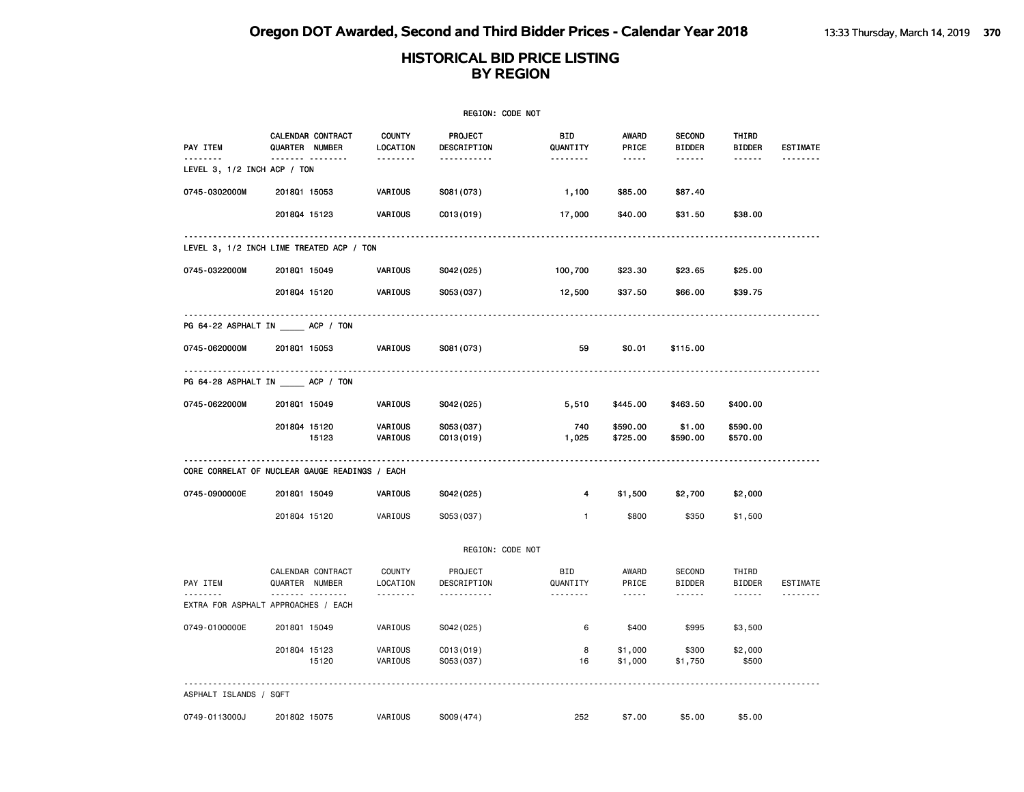|                             |                                                |                           | REGION: CODE NOT                    |                        |                       |                                |                        |                 |
|-----------------------------|------------------------------------------------|---------------------------|-------------------------------------|------------------------|-----------------------|--------------------------------|------------------------|-----------------|
| PAY ITEM                    | CALENDAR CONTRACT<br>QUARTER NUMBER            | <b>COUNTY</b><br>LOCATION | PROJECT<br>DESCRIPTION              | <b>BID</b><br>QUANTITY | <b>AWARD</b><br>PRICE | <b>SECOND</b><br><b>BIDDER</b> | THIRD<br><b>BIDDER</b> | <b>ESTIMATE</b> |
| LEVEL 3, 1/2 INCH ACP / TON | <b>.</b>                                       | .                         | .                                   | <u>.</u>               | $- - - -$             | .                              |                        |                 |
| 0745-0302000M               | 201801 15053                                   | VARIOUS                   | S081 (073)                          | 1,100                  | \$85.00               | \$87.40                        |                        |                 |
|                             | 201804 15123                                   | VARIOUS                   | C013(019)                           | 17,000                 | \$40.00               | \$31.50                        | \$38.00                |                 |
|                             | LEVEL 3, 1/2 INCH LIME TREATED ACP / TON       |                           |                                     |                        |                       |                                |                        |                 |
| 0745-0322000M               | 201801 15049                                   | VARIOUS                   | S042(025)                           | 100,700                | \$23.30               | \$23.65                        | \$25.00                |                 |
|                             | 201804 15120                                   | VARIOUS                   | S053(037)                           | 12,500                 | \$37.50               | \$66.00                        | \$39.75                |                 |
|                             | PG 64-22 ASPHALT IN ACP / TON                  |                           |                                     |                        |                       |                                |                        |                 |
| 0745-0620000M               | 201801 15053                                   | VARIOUS                   | S081 (073)                          | 59                     | \$0.01                | \$115.00                       |                        |                 |
|                             | <b>PG 64-28 ASPHALT IN _____ ACP / TON</b>     |                           |                                     |                        |                       |                                |                        |                 |
| 0745-0622000M               | 201801 15049                                   | <b>VARIOUS</b>            | S042(025)                           | 5,510                  | \$445.00              | \$463.50                       | \$400.00               |                 |
|                             | 201804 15120<br>15123                          | VARIOUS<br>VARIOUS        | S053(037)<br>C013(019)              | 740<br>1,025           | \$590.00<br>\$725.00  | \$1.00<br>\$590.00             | \$590.00<br>\$570.00   |                 |
|                             | CORE CORRELAT OF NUCLEAR GAUGE READINGS / EACH |                           |                                     |                        |                       |                                |                        |                 |
| 0745-0900000E               | 201801 15049                                   | VARIOUS                   | S042(025)                           | 4                      | \$1,500               | \$2,700                        | \$2,000                |                 |
|                             | 201804 15120                                   | VARIOUS                   | S053(037)                           | $\mathbf{1}$           | \$800                 | \$350                          | \$1,500                |                 |
|                             |                                                |                           | REGION: CODE NOT                    |                        |                       |                                |                        |                 |
| PAY ITEM                    | CALENDAR CONTRACT<br>QUARTER NUMBER            | <b>COUNTY</b><br>LOCATION | PROJECT<br>DESCRIPTION              | BID<br>QUANTITY        | AWARD<br>PRICE        | SECOND<br><b>BIDDER</b>        | THIRD<br><b>BIDDER</b> | <b>ESTIMATE</b> |
|                             | .<br>EXTRA FOR ASPHALT APPROACHES / EACH       | .                         | .                                   | .                      | $- - - - -$           | .                              | <b>.</b>               | <u>.</u>        |
| 0749-0100000E               | 201801 15049                                   | VARIOUS                   | S042(025)                           | 6                      | \$400                 | \$995                          | \$3,500                |                 |
|                             | 201804 15123<br>15120                          | VARIOUS<br>VARIOUS        | C <sub>013(019)<br/>S053(037)</sub> | 8<br>16                | \$1,000<br>\$1,000    | \$300<br>\$1,750               | \$2,000<br>\$500       |                 |
| ASPHALT ISLANDS / SQFT      |                                                |                           |                                     |                        |                       |                                |                        |                 |
| 0749-0113000J               | 201802 15075                                   | VARIOUS                   | S009(474)                           | 252                    | \$7.00                | \$5.00                         | \$5.00                 |                 |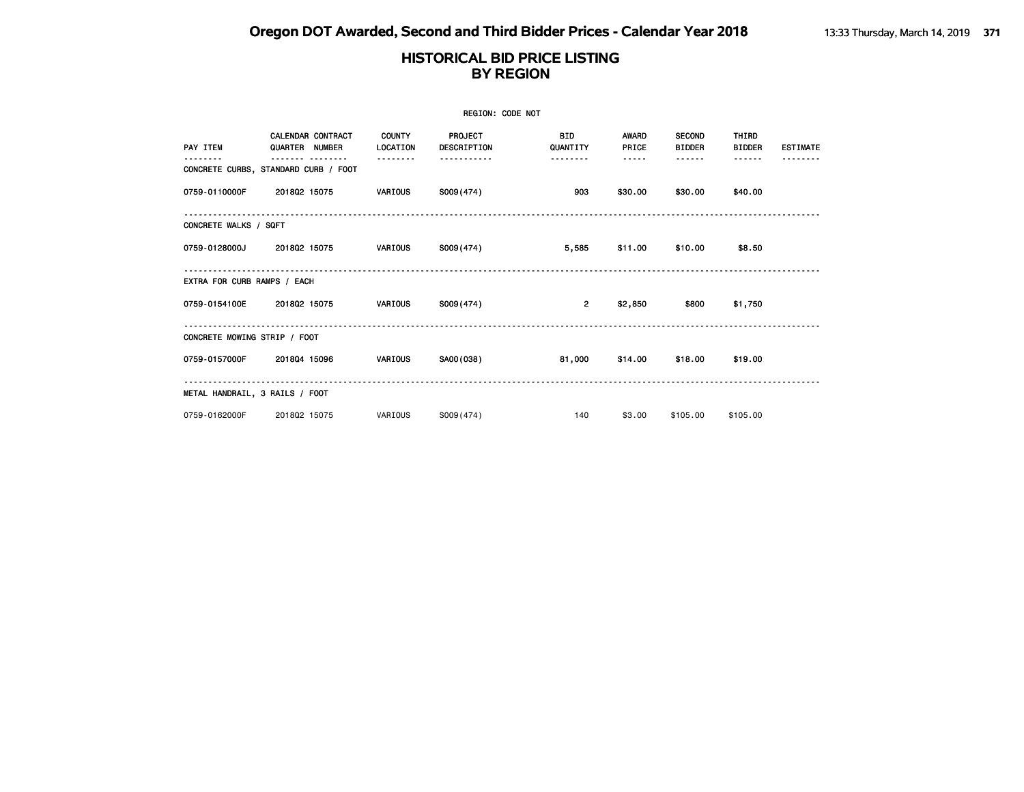|                                |                                            |                           | REGION: CODE NOT              |                 |                       |                                |                        |                 |
|--------------------------------|--------------------------------------------|---------------------------|-------------------------------|-----------------|-----------------------|--------------------------------|------------------------|-----------------|
| PAY ITEM                       | <b>CALENDAR CONTRACT</b><br>QUARTER NUMBER | <b>COUNTY</b><br>LOCATION | <b>PROJECT</b><br>DESCRIPTION | BID<br>QUANTITY | <b>AWARD</b><br>PRICE | <b>SECOND</b><br><b>BIDDER</b> | THIRD<br><b>BIDDER</b> | <b>ESTIMATE</b> |
|                                | CONCRETE CURBS, STANDARD CURB / FOOT       | --------                  | .                             | --------        | -----                 | ------                         |                        |                 |
| 0759-0110000F                  | 201802 15075                               | <b>VARIOUS</b>            | S009(474)                     | 903             | \$30.00               |                                | \$30.00 \$40.00        |                 |
| CONCRETE WALKS / SQFT          |                                            |                           |                               |                 |                       |                                |                        |                 |
|                                | 0759-0128000J 201802 15075                 | <b>VARIOUS</b>            | S009 (474)                    | 5,585           | \$11.00               | \$10.00                        | \$8.50                 |                 |
| EXTRA FOR CURB RAMPS / EACH    |                                            |                           |                               |                 |                       |                                |                        |                 |
|                                | 0759-0154100E 2018Q2 15075                 | <b>VARIOUS</b>            | S009(474)                     | $\overline{2}$  | \$2,850               | \$800                          | \$1,750                |                 |
| CONCRETE MOWING STRIP / FOOT   |                                            |                           |                               |                 |                       |                                |                        |                 |
| 0759-0157000F                  | 201804 15096                               | VARIOUS                   | SA00(038)                     | 81,000          | \$14.00               | \$18.00                        | \$19.00                |                 |
| METAL HANDRAIL, 3 RAILS / FOOT |                                            |                           |                               |                 |                       |                                |                        |                 |
| 0759-0162000F                  | 201802 15075                               | VARIOUS                   | S009(474)                     | 140             | \$3.00                | \$105.00                       | \$105.00               |                 |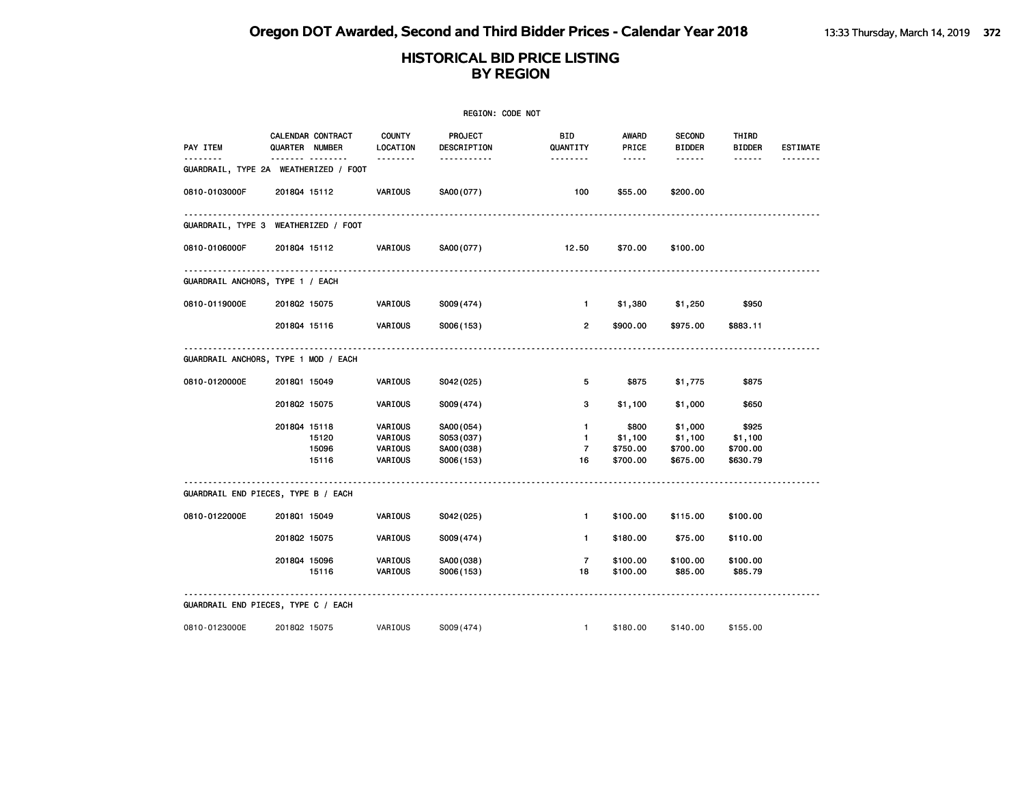|                                                   |                                            |          |                           | REGION: CODE NOT       |                 |                                                                                                                                                      |                                |                        |                 |
|---------------------------------------------------|--------------------------------------------|----------|---------------------------|------------------------|-----------------|------------------------------------------------------------------------------------------------------------------------------------------------------|--------------------------------|------------------------|-----------------|
| PAY ITEM                                          | <b>CALENDAR CONTRACT</b><br>QUARTER NUMBER |          | <b>COUNTY</b><br>LOCATION | PROJECT<br>DESCRIPTION | BID<br>QUANTITY | <b>AWARD</b><br>PRICE                                                                                                                                | <b>SECOND</b><br><b>BIDDER</b> | THIRD<br><b>BIDDER</b> | <b>ESTIMATE</b> |
| <u>.</u><br>GUARDRAIL, TYPE 2A WEATHERIZED / FOOT | ------- --------                           |          | <u> - - - - - - -</u>     | -----------            |                 | $\frac{1}{2} \left( \frac{1}{2} \right) \left( \frac{1}{2} \right) \left( \frac{1}{2} \right) \left( \frac{1}{2} \right) \left( \frac{1}{2} \right)$ | <b></b>                        | ------                 | <u>.</u>        |
| 0810-0103000F                                     | 201804 15112                               |          | <b>VARIOUS</b>            | SA00(077)              | 100             | \$55.00                                                                                                                                              | \$200.00                       |                        |                 |
| GUARDRAIL, TYPE 3 WEATHERIZED / FOOT              |                                            |          |                           |                        |                 |                                                                                                                                                      |                                |                        |                 |
| 0810-0106000F                                     | 201804 15112                               |          | <b>VARIOUS</b>            | SA00(077)              | 12.50           | \$70.00                                                                                                                                              | \$100.00                       |                        |                 |
| GUARDRAIL ANCHORS, TYPE 1 / EACH                  |                                            | <u>.</u> |                           |                        |                 |                                                                                                                                                      |                                |                        |                 |
| 0810-0119000E                                     | 201802 15075                               |          | <b>VARIOUS</b>            | S009(474)              |                 | $\mathbf{1}$<br>\$1,380                                                                                                                              | \$1,250                        | \$950                  |                 |
|                                                   | 201804 15116                               |          | VARIOUS                   | S006(153)              |                 | $\overline{2}$<br>\$900.00                                                                                                                           | \$975.00                       | \$883.11               |                 |
| GUARDRAIL ANCHORS, TYPE 1 MOD / EACH              |                                            |          |                           |                        |                 |                                                                                                                                                      |                                |                        |                 |
| 0810-0120000E                                     | 201801 15049                               |          | VARIOUS                   | S042(025)              |                 | \$875<br>5                                                                                                                                           | \$1,775                        | \$875                  |                 |
|                                                   | 201802 15075                               |          | <b>VARIOUS</b>            | S009(474)              |                 | 3<br>\$1,100                                                                                                                                         | \$1,000                        | \$650                  |                 |
|                                                   | 201804 15118                               |          | VARIOUS                   | SA00(054)              |                 | \$800<br>$\mathbf{1}$                                                                                                                                | \$1,000                        | \$925                  |                 |
|                                                   | 15120                                      |          | <b>VARIOUS</b>            | S053(037)              |                 | $\blacksquare$<br>\$1,100                                                                                                                            | \$1,100                        | \$1,100                |                 |
|                                                   | 15096<br>15116                             |          | VARIOUS<br>VARIOUS        | SA00(038)<br>S006(153) | 16              | $\overline{7}$<br>\$750.00<br>\$700.00                                                                                                               | \$700.00<br>\$675.00           | \$700.00<br>\$630.79   |                 |
| GUARDRAIL END PIECES, TYPE B / EACH               |                                            |          |                           |                        |                 |                                                                                                                                                      |                                |                        |                 |
| 0810-0122000E                                     | 201801 15049                               |          | VARIOUS                   | S042(025)              |                 | \$100.00<br>$\blacksquare$                                                                                                                           | \$115.00                       | \$100.00               |                 |
|                                                   | 201802 15075                               |          | VARIOUS                   | S009(474)              |                 | $\blacksquare$<br>\$180.00                                                                                                                           | \$75.00                        | \$110.00               |                 |
|                                                   | 201804 15096                               |          | VARIOUS                   | SA00(038)              |                 | $\overline{7}$<br>\$100.00                                                                                                                           | \$100.00                       | \$100.00               |                 |
|                                                   | 15116                                      |          | VARIOUS                   | S006(153)              | 18              | \$100.00                                                                                                                                             | \$85.00                        | \$85.79                |                 |
| GUARDRAIL END PIECES, TYPE C / EACH               |                                            |          |                           |                        |                 |                                                                                                                                                      |                                |                        |                 |
| 0810-0123000E                                     | 201802 15075                               |          | VARIOUS                   | S009(474)              |                 | \$180.00<br>$\mathbf{1}$                                                                                                                             | \$140.00                       | \$155.00               |                 |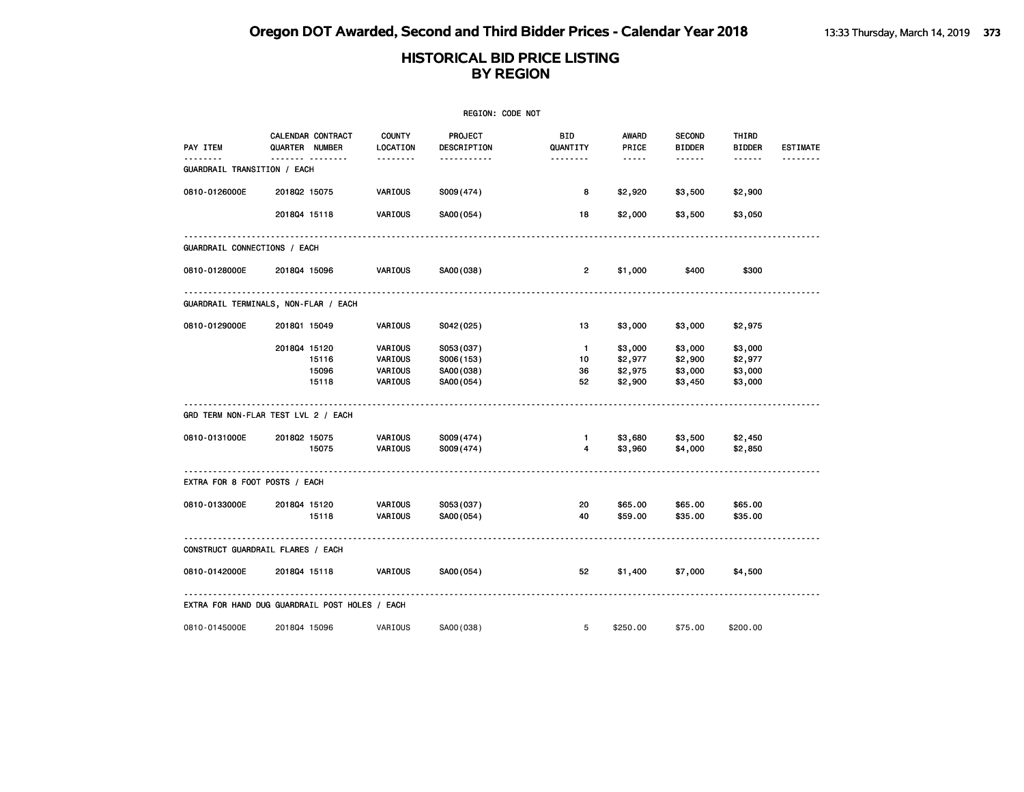|                                                |              |                                                   |                                          | REGION: CODE NOT                                 |                                  |                                          |                                          |                                          |                 |
|------------------------------------------------|--------------|---------------------------------------------------|------------------------------------------|--------------------------------------------------|----------------------------------|------------------------------------------|------------------------------------------|------------------------------------------|-----------------|
| PAY ITEM                                       |              | <b>CALENDAR CONTRACT</b><br><b>QUARTER NUMBER</b> | <b>COUNTY</b><br>LOCATION                | <b>PROJECT</b><br>DESCRIPTION                    | BID.<br>QUANTITY                 | <b>AWARD</b><br>PRICE                    | <b>SECOND</b><br><b>BIDDER</b>           | THIRD<br><b>BIDDER</b>                   | <b>ESTIMATE</b> |
| <u>.</u><br>GUARDRAIL TRANSITION / EACH        |              | <u></u>                                           | <u> - - - - - - -</u>                    | -----------                                      |                                  | $\cdots\cdots$                           | $- - - - - -$                            |                                          | <u>.</u>        |
| 0810-0126000E                                  | 201802 15075 |                                                   | VARIOUS                                  | S009(474)                                        | 8                                | \$2,920                                  | \$3,500                                  | \$2,900                                  |                 |
|                                                | 201804 15118 |                                                   | VARIOUS                                  | SA00(054)                                        | 18                               | \$2,000                                  | \$3,500                                  | \$3,050                                  |                 |
| GUARDRAIL CONNECTIONS / EACH                   |              |                                                   |                                          |                                                  |                                  |                                          |                                          |                                          |                 |
| 0810-0128000E                                  | 201804 15096 |                                                   | <b>VARIOUS</b>                           | SA00(038)                                        | $\overline{2}$                   | \$1,000                                  | \$400                                    | \$300                                    |                 |
| GUARDRAIL TERMINALS, NON-FLAR / EACH           |              |                                                   |                                          |                                                  |                                  |                                          |                                          |                                          |                 |
| 0810-0129000E                                  | 201801 15049 |                                                   | VARIOUS                                  | S042(025)                                        | 13                               | \$3,000                                  | \$3,000                                  | \$2,975                                  |                 |
|                                                | 201804 15120 | 15116<br>15096<br>15118                           | VARIOUS<br>VARIOUS<br>VARIOUS<br>VARIOUS | S053(037)<br>S006(153)<br>SA00(038)<br>SA00(054) | $\blacksquare$<br>10<br>36<br>52 | \$3,000<br>\$2,977<br>\$2,975<br>\$2,900 | \$3,000<br>\$2,900<br>\$3,000<br>\$3,450 | \$3,000<br>\$2,977<br>\$3,000<br>\$3,000 |                 |
| GRD TERM NON-FLAR TEST LVL 2 / EACH            |              |                                                   |                                          |                                                  |                                  |                                          |                                          |                                          |                 |
| 0810-0131000E                                  | 201802 15075 |                                                   | <b>VARIOUS</b>                           | S009(474)                                        | $\mathbf{1}$                     | \$3,680                                  | \$3,500                                  | \$2,450                                  |                 |
|                                                |              | 15075                                             | VARIOUS                                  | S009(474)                                        | 4                                | \$3,960                                  | \$4,000                                  | \$2,850                                  |                 |
| EXTRA FOR 8 FOOT POSTS / EACH                  |              |                                                   |                                          |                                                  |                                  |                                          |                                          |                                          |                 |
| 0810-0133000E                                  | 201804 15120 | 15118                                             | <b>VARIOUS</b><br>VARIOUS                | S053(037)<br>SA00(054)                           | 20<br>40                         | \$65.00<br>\$59.00                       | \$65.00<br>\$35.00                       | \$65.00<br>\$35.00                       |                 |
| CONSTRUCT GUARDRAIL FLARES / EACH              |              |                                                   |                                          |                                                  |                                  |                                          |                                          |                                          |                 |
| 0810-0142000E                                  |              | 201804 15118                                      | VARIOUS                                  | SA00(054)                                        | 52                               | \$1,400                                  | \$7,000                                  | \$4,500                                  |                 |
| EXTRA FOR HAND DUG GUARDRAIL POST HOLES / EACH |              |                                                   |                                          |                                                  |                                  |                                          |                                          |                                          |                 |
| 0810-0145000E                                  | 201804 15096 |                                                   | VARIOUS                                  | SA00(038)                                        | 5                                | \$250.00                                 | \$75.00                                  | \$200.00                                 |                 |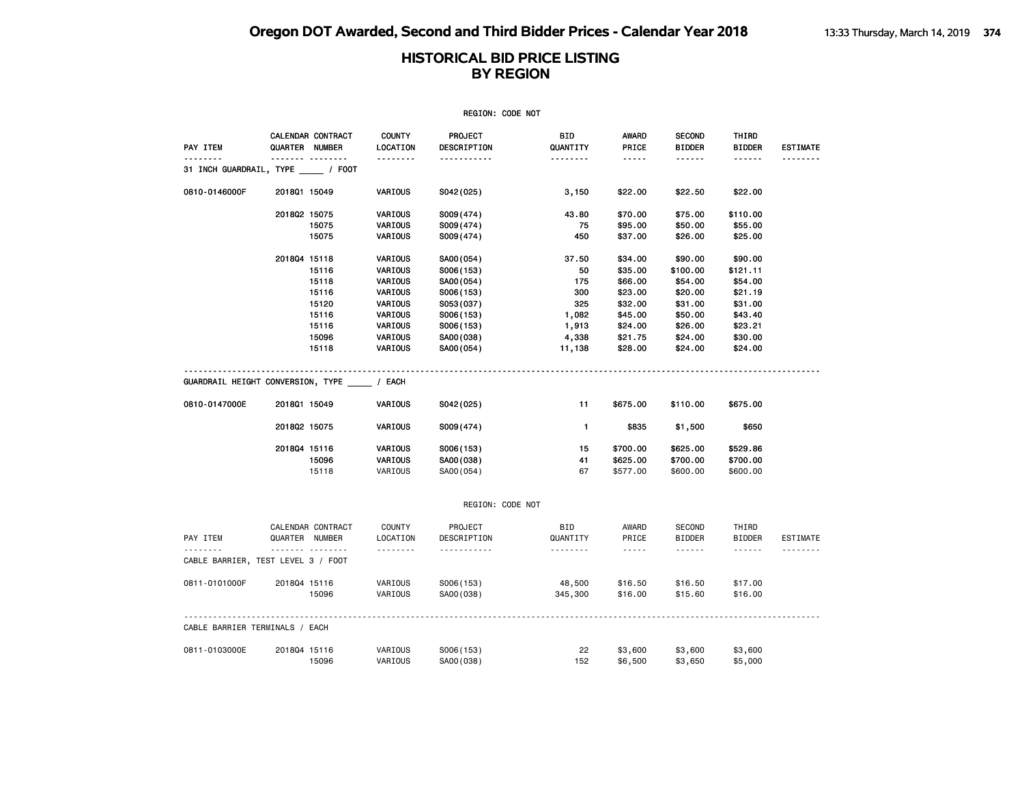|                                    |                              |                                     |                           | REGION: CODE NOT       |                        |                       |                                |                        |                 |
|------------------------------------|------------------------------|-------------------------------------|---------------------------|------------------------|------------------------|-----------------------|--------------------------------|------------------------|-----------------|
| <b>PAY ITEM</b>                    |                              | CALENDAR CONTRACT<br>QUARTER NUMBER | <b>COUNTY</b><br>LOCATION | PROJECT<br>DESCRIPTION | <b>BID</b><br>QUANTITY | <b>AWARD</b><br>PRICE | <b>SECOND</b><br><b>BIDDER</b> | THIRD<br><b>BIDDER</b> | <b>ESTIMATE</b> |
| 31 INCH GUARDRAIL, TYPE / FOOT     |                              | <b>.</b>                            | .                         | -----------            | .                      | -----                 | ------                         | ------                 |                 |
| 0810-0146000F                      | 201801 15049                 |                                     | VARIOUS                   | S042(025)              | 3,150                  | \$22.00               | \$22.50                        | \$22.00                |                 |
|                                    | 201802 15075                 |                                     | VARIOUS                   | S009(474)              | 43.80                  | \$70.00               | \$75.00                        | \$110.00               |                 |
|                                    |                              | 15075                               | VARIOUS                   | S009(474)              | 75                     | \$95.00               | \$50.00                        | \$55.00                |                 |
|                                    |                              | 15075                               | VARIOUS                   | S009(474)              | 450                    | \$37.00               | \$26.00                        | \$25.00                |                 |
|                                    | 201804 15118                 |                                     | VARIOUS                   | SA00(054)              | 37.50                  | \$34.00               | \$90.00                        | \$90.00                |                 |
|                                    |                              | 15116                               | VARIOUS                   | S006(153)              | 50                     | \$35.00               | \$100.00                       | \$121.11               |                 |
|                                    |                              | 15118                               | VARIOUS                   | SA00(054)              | 175                    | \$66.00               | \$54.00                        | \$54.00                |                 |
|                                    |                              | 15116                               | VARIOUS                   | S006(153)              | 300                    | \$23.00               | \$20.00                        | \$21.19                |                 |
|                                    |                              | 15120                               | VARIOUS                   | S053(037)              | 325                    | \$32.00               | \$31.00                        | \$31.00                |                 |
|                                    |                              | 15116                               | VARIOUS                   | S006(153)              | 1,082                  | \$45.00               | \$50.00                        | \$43.40                |                 |
|                                    |                              | 15116                               | VARIOUS                   | S006(153)              | 1,913                  | \$24.00               | \$26.00                        | \$23.21                |                 |
|                                    |                              | 15096                               | VARIOUS                   | SA00(038)              | 4,338                  | \$21.75               | \$24.00                        | \$30.00                |                 |
|                                    |                              | 15118                               | VARIOUS                   | SA00(054)              | 11,138                 | \$28.00               | \$24.00                        | \$24.00                |                 |
| 0810-0147000E                      | 201801 15049<br>201802 15075 |                                     | VARIOUS<br>VARIOUS        | S042(025)<br>S009(474) | 11<br>$\mathbf{1}$     | \$675.00<br>\$835     | \$110.00<br>\$1,500            | \$675.00<br>\$650      |                 |
|                                    | 201804 15116                 |                                     | VARIOUS                   | S006(153)              | 15                     | \$700.00              | \$625.00                       | \$529.86               |                 |
|                                    |                              | 15096                               | VARIOUS                   | SA00(038)              | 41                     | \$625.00              | \$700.00                       | \$700.00               |                 |
|                                    |                              | 15118                               | VARIOUS                   | SA00 (054)             | 67                     | \$577.00              | \$600.00                       | \$600.00               |                 |
|                                    |                              |                                     |                           | REGION: CODE NOT       |                        |                       |                                |                        |                 |
|                                    |                              |                                     |                           |                        | <b>BID</b>             | AWARD                 | <b>SECOND</b>                  | THIRD                  |                 |
| PAY ITEM                           |                              | CALENDAR CONTRACT<br>QUARTER NUMBER | COUNTY<br>LOCATION        | PROJECT<br>DESCRIPTION | QUANTITY               | PRICE                 | <b>BIDDER</b>                  | <b>BIDDER</b>          | ESTIMATE        |
|                                    |                              | .                                   | <u>.</u>                  | <u>.</u>               | <u>.</u>               | $- - - - -$           | ------                         | ------                 |                 |
| CABLE BARRIER, TEST LEVEL 3 / FOOT |                              |                                     |                           |                        |                        |                       |                                |                        |                 |
| 0811-0101000F                      | 201804 15116                 |                                     | VARIOUS                   | S006(153)              | 48,500                 | \$16.50               | \$16.50                        | \$17.00                |                 |
|                                    |                              | 15096                               | VARIOUS                   | SA00 (038)             | 345,300                | \$16.00               | \$15.60                        | \$16.00                |                 |
| CABLE BARRIER TERMINALS / EACH     |                              |                                     |                           |                        |                        |                       |                                |                        |                 |
|                                    |                              |                                     |                           |                        |                        |                       |                                |                        |                 |
| 0811-0103000E                      | 201804 15116                 | 15096                               | VARIOUS<br>VARIOUS        | S006(153)              | 22<br>152              | \$3,600               | \$3,600                        | \$3,600                |                 |
|                                    |                              |                                     |                           | SA00(038)              |                        | \$6,500               | \$3,650                        | \$5,000                |                 |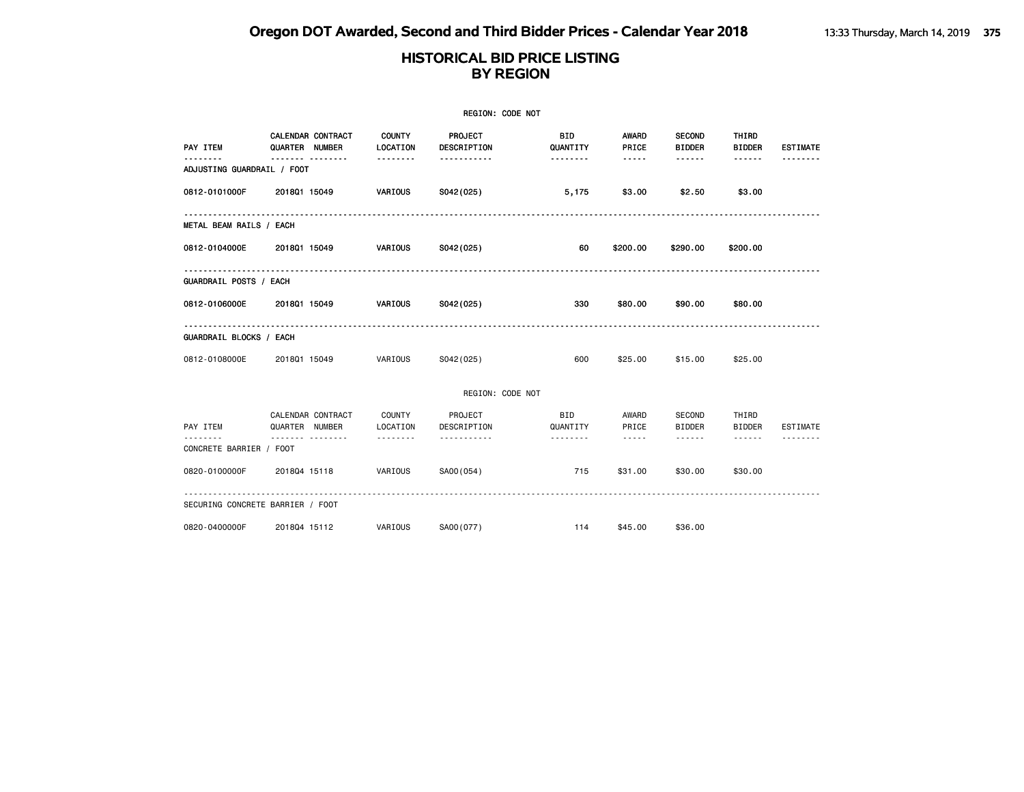|                                        |                                     |                           | REGION: CODE NOT              |                        |                |                                |                        |                 |
|----------------------------------------|-------------------------------------|---------------------------|-------------------------------|------------------------|----------------|--------------------------------|------------------------|-----------------|
| PAY ITEM                               | CALENDAR CONTRACT<br>QUARTER NUMBER | <b>COUNTY</b><br>LOCATION | PROJECT<br><b>DESCRIPTION</b> | <b>BID</b><br>QUANTITY | AWARD<br>PRICE | <b>SECOND</b><br><b>BIDDER</b> | THIRD<br><b>BIDDER</b> | <b>ESTIMATE</b> |
| <b>.</b><br>ADJUSTING GUARDRAIL / FOOT | -------- --------                   | --------                  | -----------                   | .                      | $- - - - -$    | ------                         | ------                 |                 |
| 0812-0101000F                          | 201801 15049                        | VARIOUS                   | S042(025)                     | 5,175                  | \$3.00         | \$2.50                         | \$3.00                 |                 |
| METAL BEAM RAILS / EACH                |                                     |                           |                               |                        |                |                                |                        |                 |
| 0812-0104000E                          | 201801 15049                        | VARIOUS                   | S042(025)                     | 60                     | \$200.00       | \$290.00                       | \$200.00               |                 |
| GUARDRAIL POSTS / EACH                 |                                     |                           |                               |                        |                |                                |                        |                 |
| 0812-0106000E                          | 201801 15049                        | VARIOUS                   | S042(025)                     | 330                    | \$80.00        | \$90.00                        | \$80.00                |                 |
| GUARDRAIL BLOCKS / EACH                |                                     |                           |                               |                        |                |                                |                        |                 |
| 0812-0108000E                          | 201801 15049                        | VARIOUS                   | S042(025)                     | 600                    | \$25.00        | \$15.00                        | \$25.00                |                 |
|                                        |                                     |                           | REGION: CODE NOT              |                        |                |                                |                        |                 |
| PAY ITEM                               | CALENDAR CONTRACT<br>QUARTER NUMBER | COUNTY<br>LOCATION        | PROJECT<br>DESCRIPTION        | <b>BID</b><br>QUANTITY | AWARD<br>PRICE | SECOND<br><b>BIDDER</b>        | THIRD<br><b>BIDDER</b> | <b>ESTIMATE</b> |
| -------<br>CONCRETE BARRIER / FOOT     | .                                   | --------                  | <u>.</u>                      | .                      | $\cdots$       | ------                         | ------                 |                 |
| 0820-0100000F                          | 201804 15118                        | VARIOUS                   | SA00(054)                     | 715                    | \$31.00        | \$30.00                        | \$30.00                |                 |
| SECURING CONCRETE BARRIER / FOOT       |                                     |                           |                               |                        |                |                                |                        |                 |
| 0820-0400000F                          | 201804 15112                        | VARIOUS                   | SA00(077)                     | 114                    | \$45.00        | \$36.00                        |                        |                 |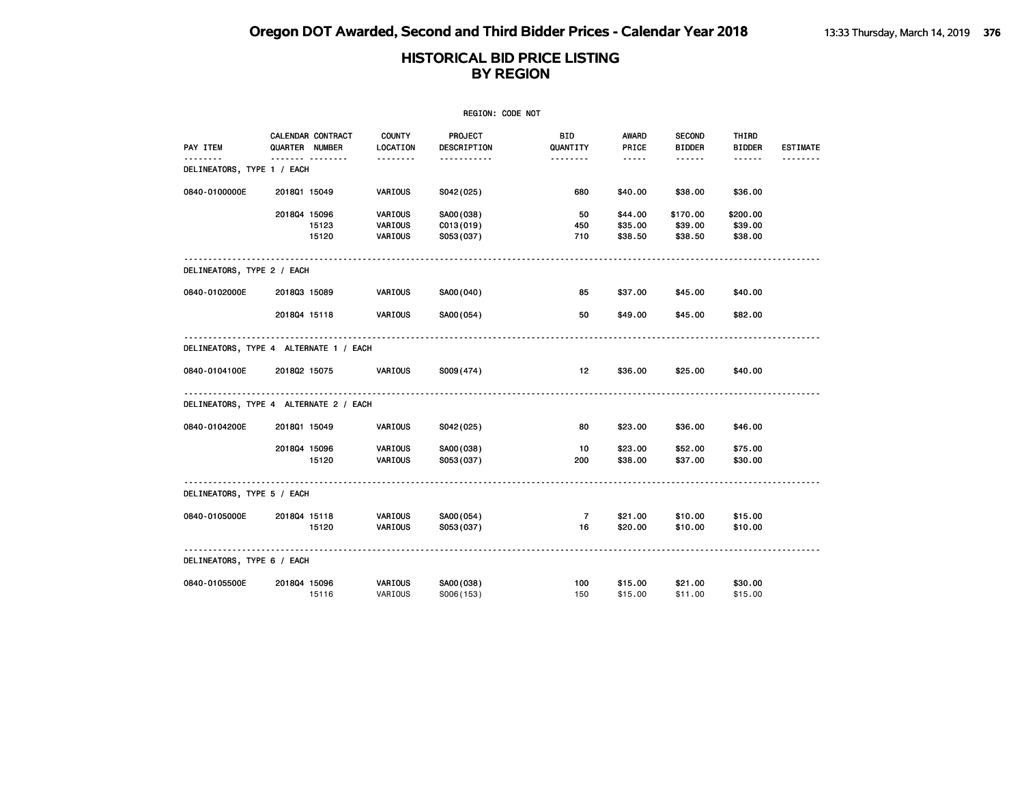| REGION: CODE NOT                       |                |                   |                               |                                     |                        |                                                                                                                                                      |                                |                                |                 |  |
|----------------------------------------|----------------|-------------------|-------------------------------|-------------------------------------|------------------------|------------------------------------------------------------------------------------------------------------------------------------------------------|--------------------------------|--------------------------------|-----------------|--|
| PAY ITEM                               | QUARTER NUMBER | CALENDAR CONTRACT | COUNTY<br>LOCATION            | PROJECT<br>DESCRIPTION              | <b>BID</b><br>QUANTITY | AWARD<br>PRICE                                                                                                                                       | <b>SECOND</b><br><b>BIDDER</b> | THIRD<br><b>BIDDER</b>         | <b>ESTIMATE</b> |  |
| .<br>DELINEATORS, TYPE 1 / EACH        |                |                   | <u>.</u>                      | -----------                         | <u> - - - - - - -</u>  | $\frac{1}{2} \left( \frac{1}{2} \right) \left( \frac{1}{2} \right) \left( \frac{1}{2} \right) \left( \frac{1}{2} \right) \left( \frac{1}{2} \right)$ |                                | ------                         | .               |  |
| 0840-0100000E                          | 201801 15049   |                   | VARIOUS                       | S042(025)                           | 680                    | \$40.00                                                                                                                                              | \$38.00                        | \$36.00                        |                 |  |
|                                        | 201804 15096   | 15123<br>15120    | VARIOUS<br>VARIOUS<br>VARIOUS | SA00(038)<br>CO13(019)<br>S053(037) | 50<br>450<br>710       | \$44.00<br>\$35.00<br>\$38.50                                                                                                                        | \$170.00<br>\$39.00<br>\$38.50 | \$200.00<br>\$39.00<br>\$38.00 |                 |  |
| DELINEATORS, TYPE 2 / EACH             |                |                   |                               |                                     |                        |                                                                                                                                                      |                                |                                |                 |  |
| 0840-0102000E                          | 201803 15089   |                   | VARIOUS                       | SA00(040)                           | 85                     | \$37.00                                                                                                                                              | \$45.00                        | \$40.00                        |                 |  |
|                                        | 201804 15118   |                   | VARIOUS                       | SA00(054)                           | 50                     | \$49.00                                                                                                                                              | \$45.00                        | \$82.00                        |                 |  |
| DELINEATORS, TYPE 4 ALTERNATE 1 / EACH |                |                   | .                             |                                     |                        |                                                                                                                                                      |                                |                                |                 |  |
| 0840-0104100E                          | 201802 15075   |                   | VARIOUS                       | S009(474)                           | 12                     | \$36.00                                                                                                                                              | \$25.00                        | \$40.00                        |                 |  |
| DELINEATORS, TYPE 4 ALTERNATE 2 / EACH | .              |                   |                               |                                     |                        |                                                                                                                                                      |                                |                                |                 |  |
| 0840-0104200E                          | 201801 15049   |                   | VARIOUS                       | S042(025)                           | 80                     | \$23.00                                                                                                                                              | \$36.00                        | \$46.00                        |                 |  |
|                                        | 201804 15096   | 15120             | VARIOUS<br><b>VARIOUS</b>     | SA00(038)<br>S053(037)              | 10<br>200              | \$23.00<br>\$38.00                                                                                                                                   | \$52.00<br>\$37.00             | \$75.00<br>\$30.00             |                 |  |
| DELINEATORS, TYPE 5 / EACH             |                |                   |                               |                                     |                        |                                                                                                                                                      |                                |                                |                 |  |
| 0840-0105000E                          | 201804 15118   | 15120             | VARIOUS<br><b>VARIOUS</b>     | SA00(054)<br>S053(037)              | $\overline{7}$<br>16   | \$21.00<br>\$20.00                                                                                                                                   | \$10.00<br>\$10.00             | \$15.00<br>\$10.00             |                 |  |
| DELINEATORS, TYPE 6 / EACH             |                |                   |                               |                                     |                        |                                                                                                                                                      |                                |                                |                 |  |
| 0840-0105500E                          | 201804 15096   | 15116             | VARIOUS<br>VARIOUS            | SA00(038)<br>S006(153)              | 100<br>150             | \$15.00<br>\$15.00                                                                                                                                   | \$21.00<br>\$11.00             | \$30.00<br>\$15.00             |                 |  |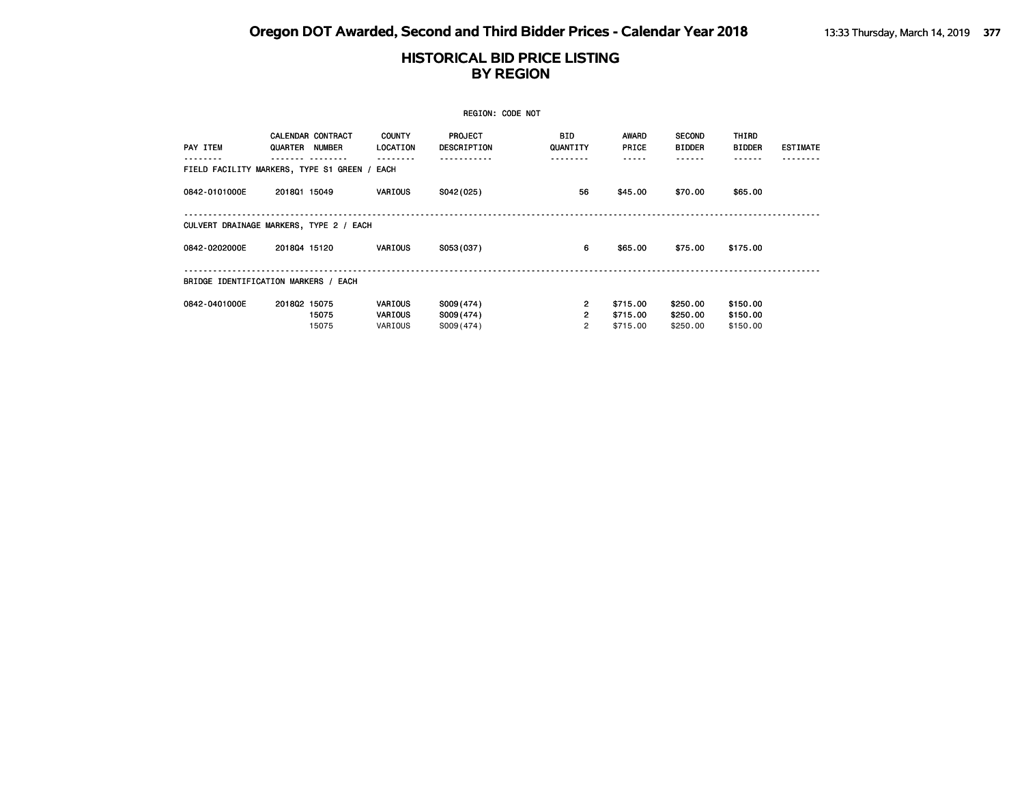| REGION: CODE NOT                        |                                     |                                     |                               |                        |                       |                                |                        |                 |  |  |
|-----------------------------------------|-------------------------------------|-------------------------------------|-------------------------------|------------------------|-----------------------|--------------------------------|------------------------|-----------------|--|--|
| PAY ITEM                                | <b>CALENDAR CONTRACT</b><br>QUARTER | <b>COUNTY</b><br>NUMBER<br>LOCATION | <b>PROJECT</b><br>DESCRIPTION | <b>BID</b><br>QUANTITY | <b>AWARD</b><br>PRICE | <b>SECOND</b><br><b>BIDDER</b> | THIRD<br><b>BIDDER</b> | <b>ESTIMATE</b> |  |  |
| FIELD FACILITY MARKERS, TYPE S1 GREEN / |                                     | EACH                                |                               | -------                |                       |                                |                        |                 |  |  |
| 0842-0101000E                           | 201801 15049                        | VARIOUS                             | S042(025)                     | 56                     | \$45.00               | \$70.00                        | \$65.00                |                 |  |  |
| CULVERT DRAINAGE MARKERS, TYPE 2 / EACH |                                     |                                     |                               |                        |                       |                                |                        |                 |  |  |
| 0842-0202000E                           | 201804 15120                        | <b>VARIOUS</b>                      | S053(037)                     | 6                      | \$65.00               | \$75.00                        | \$175.00               |                 |  |  |
| BRIDGE IDENTIFICATION MARKERS / EACH    |                                     |                                     |                               |                        |                       |                                |                        |                 |  |  |
| 0842-0401000E                           | 201802 15075                        | <b>VARIOUS</b>                      | S009(474)                     | $\mathbf{2}$           | \$715.00              | \$250.00                       | \$150.00               |                 |  |  |
|                                         | 15075                               | <b>VARIOUS</b>                      | S009(474)                     | 2                      | \$715.00              | \$250.00                       | \$150.00               |                 |  |  |
|                                         | 15075                               | VARIOUS                             | S009(474)                     | $\overline{c}$         | \$715.00              | \$250,00                       | \$150,00               |                 |  |  |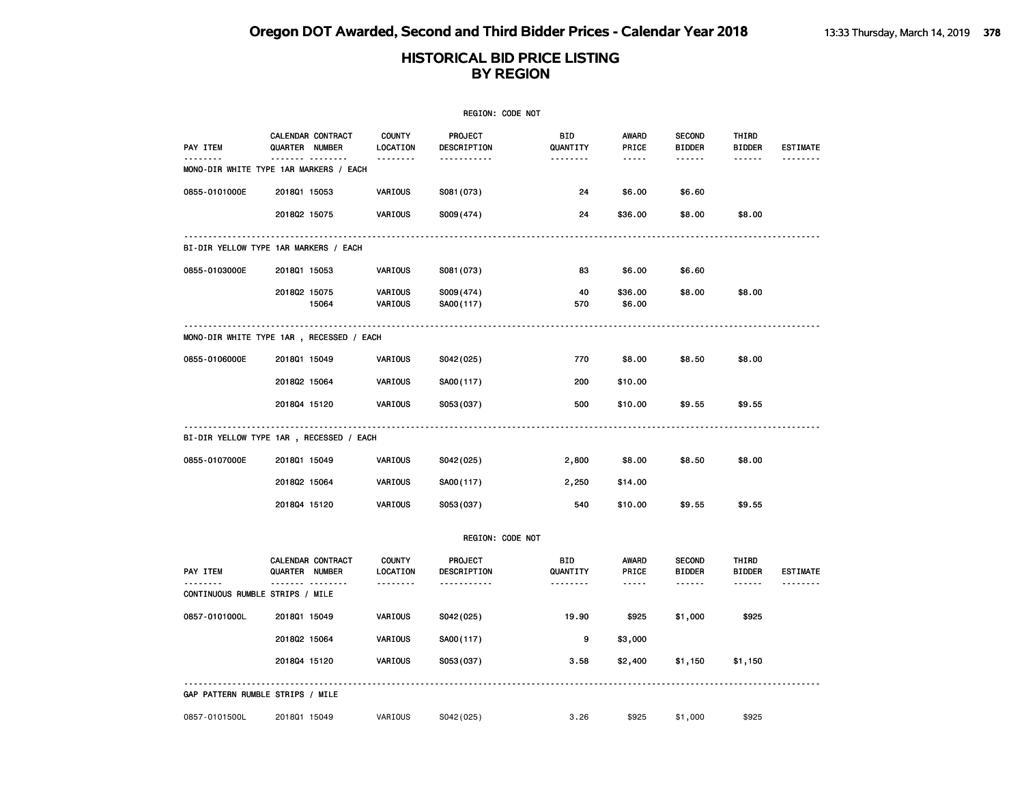|                                  |                                             |                           | REGION: CODE NOT       |                 |                       |                                |                        |                 |
|----------------------------------|---------------------------------------------|---------------------------|------------------------|-----------------|-----------------------|--------------------------------|------------------------|-----------------|
| PAY ITEM                         | CALENDAR CONTRACT<br>QUARTER NUMBER         | <b>COUNTY</b><br>LOCATION | PROJECT<br>DESCRIPTION | BID<br>QUANTITY | <b>AWARD</b><br>PRICE | <b>SECOND</b><br><b>BIDDER</b> | THIRD<br><b>BIDDER</b> | <b>ESTIMATE</b> |
|                                  | .<br>MONO-DIR WHITE TYPE 1AR MARKERS / EACH | <u>.</u>                  | <u>.</u>               | <u>.</u>        | $- - - - -$           | ------                         | ------                 |                 |
| 0855-0101000E                    | 201801 15053                                | VARIOUS                   | S081 (073)             | 24              | \$6.00                | \$6.60                         |                        |                 |
|                                  | 201802 15075                                | VARIOUS                   | S009(474)              | 24              | \$36.00               | \$8.00                         | \$8.00                 |                 |
|                                  | BI-DIR YELLOW TYPE 1AR MARKERS / EACH       |                           |                        |                 |                       |                                |                        |                 |
| 0855-0103000E                    | 2018Q1 15053                                | VARIOUS                   | S081 (073)             | 83              | \$6.00                | \$6.60                         |                        |                 |
|                                  | 201802 15075<br>15064                       | VARIOUS<br>VARIOUS        | S009(474)<br>SA00(117) | 40<br>570       | \$36.00<br>\$6.00     | \$8.00                         | \$8.00                 |                 |
|                                  | MONO-DIR WHITE TYPE 1AR , RECESSED / EACH   |                           |                        |                 |                       |                                |                        |                 |
| 0855-0106000E                    | 201801 15049                                | VARIOUS                   | S042(025)              | 770             | \$8.00                | \$8.50                         | \$8.00                 |                 |
|                                  | 201802 15064                                | VARIOUS                   | SA00(117)              | 200             | \$10.00               |                                |                        |                 |
|                                  | 201804 15120                                | VARIOUS                   | S053(037)              | 500             | \$10.00               | \$9.55                         | \$9.55                 |                 |
|                                  | BI-DIR YELLOW TYPE 1AR, RECESSED / EACH     |                           |                        |                 |                       |                                |                        |                 |
| 0855-0107000E                    | 201801 15049                                | VARIOUS                   | S042(025)              | 2,800           | \$8.00                | \$8.50                         | \$8.00                 |                 |
|                                  | 201802 15064                                | VARIOUS                   | SA00(117)              | 2,250           | \$14.00               |                                |                        |                 |
|                                  | 201804 15120                                | VARIOUS                   | S053(037)              | 540             | \$10.00               | \$9.55                         | \$9.55                 |                 |
|                                  |                                             |                           | REGION: CODE NOT       |                 |                       |                                |                        |                 |
| PAY ITEM                         | CALENDAR CONTRACT<br>QUARTER NUMBER         | <b>COUNTY</b><br>LOCATION | PROJECT<br>DESCRIPTION | BID<br>QUANTITY | <b>AWARD</b><br>PRICE | <b>SECOND</b><br><b>BIDDER</b> | THIRD<br><b>BIDDER</b> | <b>ESTIMATE</b> |
| CONTINUOUS RUMBLE STRIPS / MILE  |                                             | .                         | .                      | .               | $- - - - -$           | ------                         | ------                 |                 |
| 0857-0101000L                    | 201801 15049                                | VARIOUS                   | S042(025)              | 19.90           | \$925                 | \$1,000                        | \$925                  |                 |
|                                  | 201802 15064                                | VARIOUS                   | SA00(117)              | 9               | \$3,000               |                                |                        |                 |
|                                  | 201804 15120                                | VARIOUS                   | S053 (037)             | 3.58            | \$2,400               | \$1,150                        | \$1,150                |                 |
| GAP PATTERN RUMBLE STRIPS / MILE |                                             |                           |                        |                 |                       |                                |                        |                 |
| 0857-0101500L                    | 201801 15049                                | VARIOUS                   | S042(025)              | 3.26            | \$925                 | \$1,000                        | \$925                  |                 |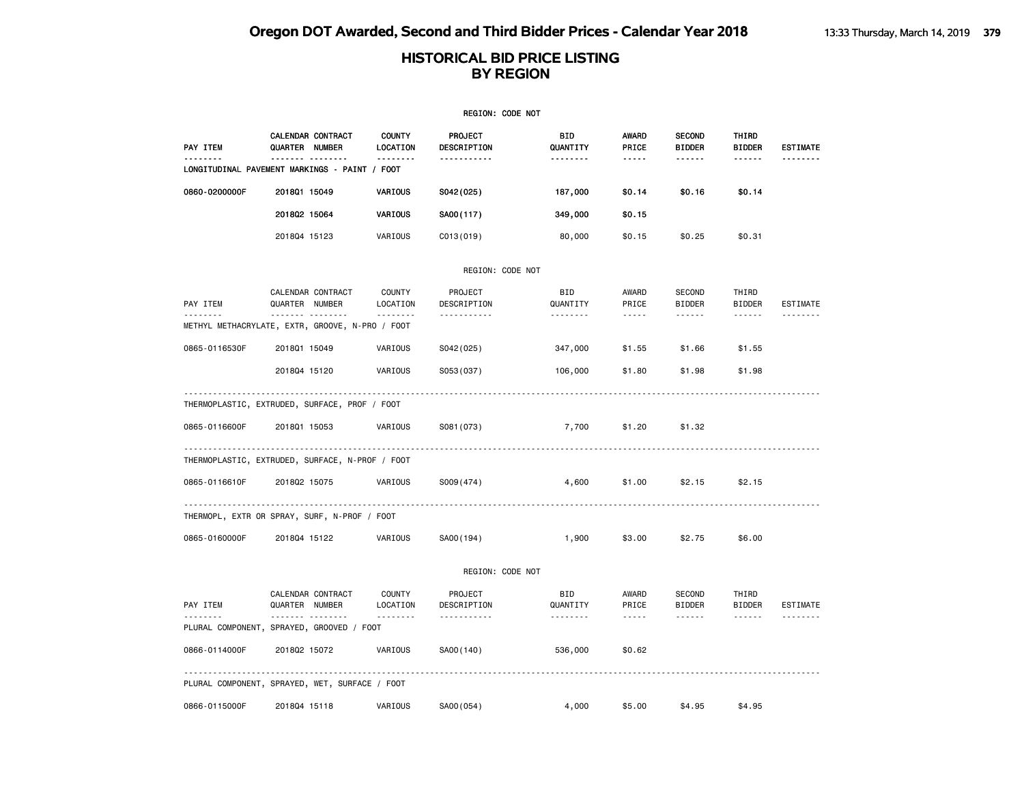|               |                                                                 |                                | REGION: CODE NOT            |                                    |                                                      |                                     |                                  |                      |
|---------------|-----------------------------------------------------------------|--------------------------------|-----------------------------|------------------------------------|------------------------------------------------------|-------------------------------------|----------------------------------|----------------------|
| PAY ITEM      | CALENDAR CONTRACT<br>QUARTER NUMBER                             | <b>COUNTY</b><br>LOCATION      | PROJECT<br>DESCRIPTION      | <b>BID</b><br>QUANTITY             | <b>AWARD</b><br>PRICE                                | <b>SECOND</b><br><b>BIDDER</b>      | THIRD<br><b>BIDDER</b>           | <b>ESTIMATE</b>      |
| .             | . <sub>.</sub><br>LONGITUDINAL PAVEMENT MARKINGS - PAINT / FOOT | .                              | -----------                 | --------                           | $\cdots \cdots \cdots$                               | .                                   | ------                           |                      |
| 0860-0200000F | 201801 15049                                                    | VARIOUS                        | S042(025)                   | 187,000                            | \$0.14                                               | \$0.16                              | \$0.14                           |                      |
|               | 201802 15064                                                    | VARIOUS                        | SA00(117)                   | 349,000                            | \$0.15                                               |                                     |                                  |                      |
|               | 201804 15123                                                    | VARIOUS                        | C013(019)                   | 80,000                             | \$0.15                                               | \$0.25                              | \$0.31                           |                      |
|               |                                                                 |                                | REGION: CODE NOT            |                                    |                                                      |                                     |                                  |                      |
| PAY ITEM      | CALENDAR CONTRACT<br>QUARTER NUMBER                             | <b>COUNTY</b><br>LOCATION      | PROJECT<br>DESCRIPTION      | <b>BID</b><br>QUANTITY             | AWARD<br>PRICE                                       | SECOND<br><b>BIDDER</b>             | THIRD<br><b>BIDDER</b>           | ESTIMATE             |
| .             | .<br>METHYL METHACRYLATE, EXTR, GROOVE, N-PRO / FOOT            | .                              | .                           | <u>.</u>                           | $\frac{1}{2}$                                        | .                                   | $\cdots \cdots \cdots$           | <u>.</u>             |
| 0865-0116530F | 201801 15049                                                    | VARIOUS                        | S042(025)                   | 347,000                            | \$1.55                                               | \$1.66                              | \$1.55                           |                      |
|               | 201804 15120                                                    | VARIOUS                        | S053(037)                   | 106,000                            | \$1.80                                               | \$1.98                              | \$1.98                           |                      |
|               | THERMOPLASTIC, EXTRUDED, SURFACE, PROF / FOOT                   |                                |                             |                                    |                                                      |                                     | -------------------------------- |                      |
| 0865-0116600F | 201801 15053                                                    | VARIOUS                        | S081 (073)                  | 7,700                              | \$1.20                                               | \$1.32                              |                                  |                      |
|               | THERMOPLASTIC, EXTRUDED, SURFACE, N-PROF / FOOT                 |                                |                             |                                    |                                                      |                                     |                                  |                      |
| 0865-0116610F | 201802 15075                                                    | VARIOUS                        | S009(474)                   | 4,600                              | \$1.00                                               | \$2.15                              | \$2.15                           |                      |
|               | THERMOPL, EXTR OR SPRAY, SURF, N-PROF / FOOT                    |                                |                             |                                    |                                                      |                                     |                                  |                      |
| 0865-0160000F | 201804 15122                                                    | VARIOUS                        | SA00(194)                   | 1,900                              | \$3.00                                               | \$2.75                              | \$6.00                           |                      |
|               |                                                                 |                                | REGION: CODE NOT            |                                    |                                                      |                                     |                                  |                      |
| PAY ITEM<br>. | CALENDAR CONTRACT<br>QUARTER NUMBER<br>. <sub>.</sub>           | <b>COUNTY</b><br>LOCATION<br>. | PROJECT<br>DESCRIPTION<br>. | <b>BID</b><br>QUANTITY<br><u>.</u> | AWARD<br>PRICE<br>$\sim$ $\sim$ $\sim$ $\sim$ $\sim$ | <b>SECOND</b><br><b>BIDDER</b><br>. | THIRD<br><b>BIDDER</b><br>------ | ESTIMATE<br><u>.</u> |
|               | PLURAL COMPONENT, SPRAYED, GROOVED / FOOT                       |                                |                             |                                    |                                                      |                                     |                                  |                      |
| 0866-0114000F | 201802 15072                                                    | VARIOUS                        | SA00(140)                   | 536,000                            | \$0.62                                               |                                     |                                  |                      |
|               | PLURAL COMPONENT, SPRAYED, WET, SURFACE / FOOT                  |                                |                             |                                    |                                                      |                                     |                                  |                      |
| 0866-0115000F | 201804 15118                                                    | VARIOUS                        | SA00 (054)                  | 4,000                              | \$5,00                                               | \$4.95                              | \$4.95                           |                      |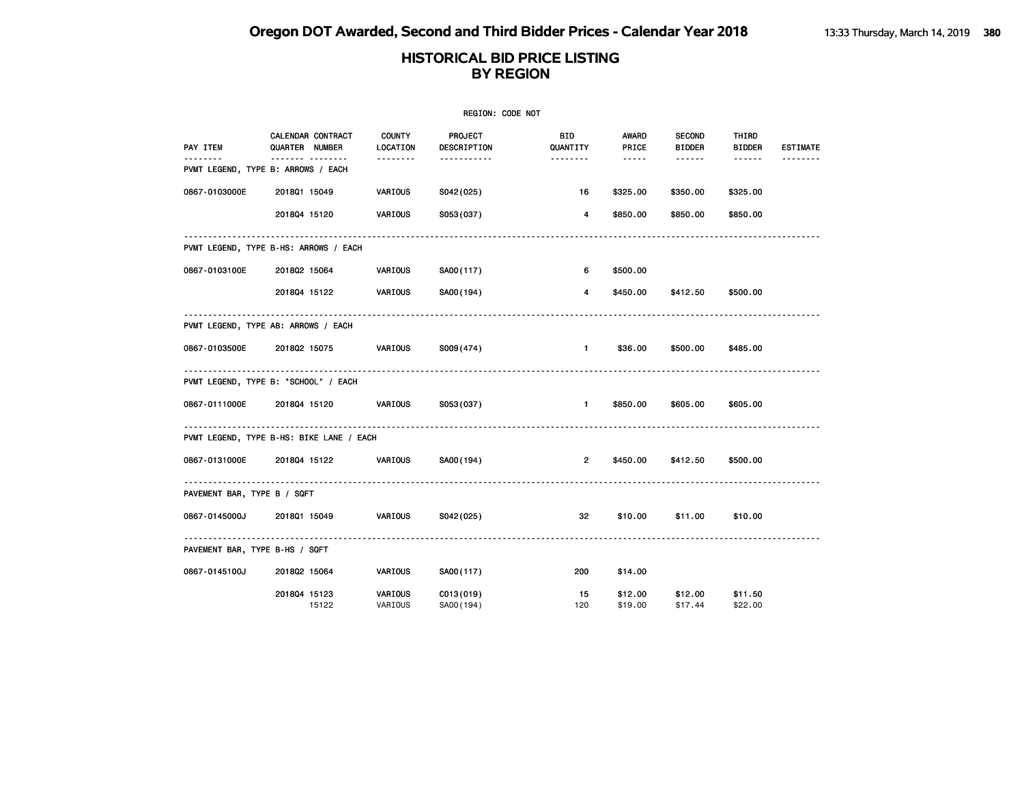| REGION: CODE NOT                   |                                            |                           |                        |                 |                    |                                |                        |                 |  |  |
|------------------------------------|--------------------------------------------|---------------------------|------------------------|-----------------|--------------------|--------------------------------|------------------------|-----------------|--|--|
| PAY ITEM                           | CALENDAR CONTRACT<br><b>QUARTER NUMBER</b> | <b>COUNTY</b><br>LOCATION | PROJECT<br>DESCRIPTION | BID<br>QUANTITY | AWARD<br>PRICE     | <b>SECOND</b><br><b>BIDDER</b> | THIRD<br><b>BIDDER</b> | <b>ESTIMATE</b> |  |  |
| PVMT LEGEND, TYPE B: ARROWS / EACH | .                                          | .                         | .                      | --------        | -----              | ------                         | ------                 |                 |  |  |
| 0867-0103000E                      | 201801 15049                               | <b>VARIOUS</b>            | S042(025)              | 16              | \$325.00           | \$350.00                       | \$325.00               |                 |  |  |
|                                    | 201804 15120                               | VARIOUS                   | S053(037)              | 4               | \$850.00           | \$850.00                       | \$850.00               |                 |  |  |
|                                    | PVMT LEGEND, TYPE B-HS: ARROWS / EACH      |                           |                        |                 |                    |                                |                        |                 |  |  |
| 0867-0103100E                      | 201802 15064                               | <b>VARIOUS</b>            | SA00(117)              | 6               | \$500.00           |                                |                        |                 |  |  |
|                                    | 201804 15122                               | <b>VARIOUS</b>            | SA00(194)              | 4               | \$450.00           | \$412.50                       | \$500.00               |                 |  |  |
|                                    | PVMT LEGEND, TYPE AB: ARROWS / EACH        |                           |                        |                 |                    |                                |                        |                 |  |  |
| 0867-0103500E                      | 201802 15075                               | VARIOUS                   | S009(474)              | $\mathbf{1}$    | \$36.00            | \$500.00                       | \$485.00               |                 |  |  |
|                                    | .<br>PVMT LEGEND, TYPE B: "SCHOOL" / EACH  |                           |                        |                 |                    |                                |                        |                 |  |  |
| 0867-0111000E                      | 201804 15120                               | <b>VARIOUS</b>            | S053(037)              | $\mathbf{1}$    | \$850.00           | \$605.00                       | \$605.00               |                 |  |  |
|                                    | PVMT LEGEND, TYPE B-HS: BIKE LANE / EACH   |                           |                        |                 |                    |                                |                        |                 |  |  |
| 0867-0131000E                      | 201804 15122                               | <b>VARIOUS</b>            | SA00(194)              | $\overline{2}$  | \$450.00           | \$412.50                       | \$500.00               |                 |  |  |
| PAVEMENT BAR, TYPE B / SQFT        |                                            |                           |                        |                 |                    |                                |                        |                 |  |  |
| 0867-0145000J                      | 201801 15049                               | VARIOUS                   | S042(025)              | 32              | \$10.00            | \$11.00                        | \$10.00                |                 |  |  |
| PAVEMENT BAR, TYPE B-HS / SQFT     |                                            |                           |                        |                 |                    |                                |                        |                 |  |  |
| 0867-0145100J                      | 201802 15064                               | <b>VARIOUS</b>            | SA00(117)              | 200             | \$14.00            |                                |                        |                 |  |  |
|                                    | 201804 15123<br>15122                      | VARIOUS<br>VARIOUS        | C013(019)<br>SA00(194) | 15<br>120       | \$12.00<br>\$19.00 | \$12.00<br>\$17.44             | \$11.50<br>\$22.00     |                 |  |  |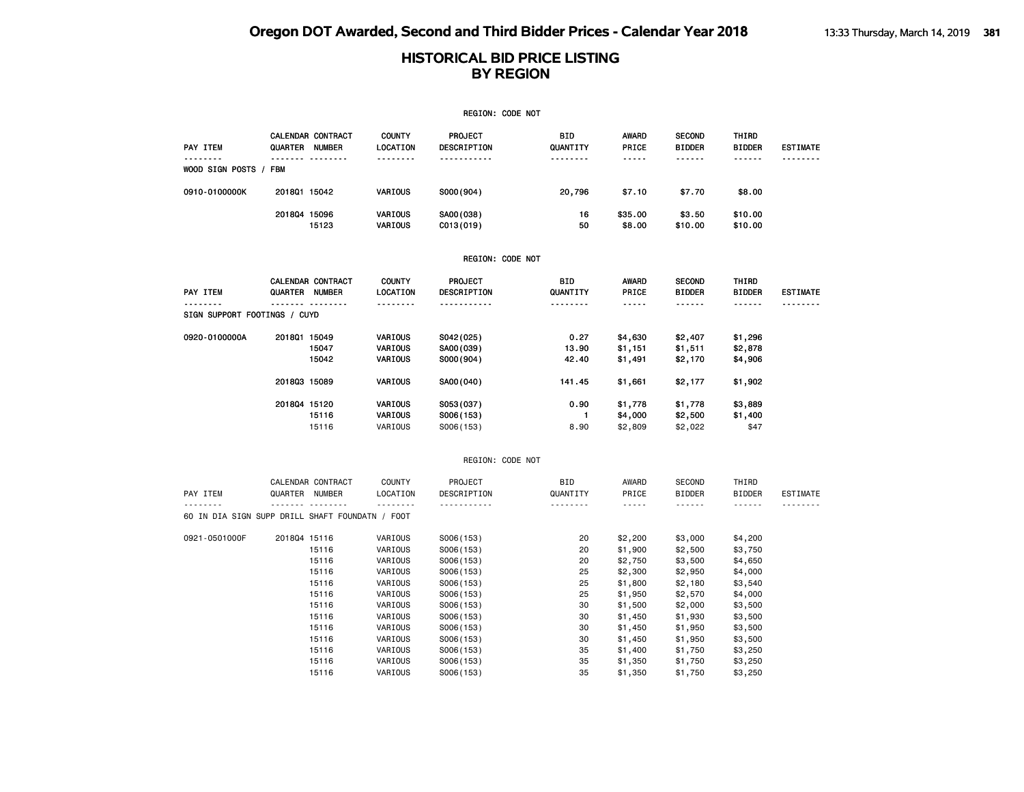|                                                 |              |                                                                                                 |                                                                                                                                  | REGION: CODE NOT                                                                                                                                         |                                                                      |                                                                                                                                  |                                                                                                                                  |                                                                                                                                  |                             |
|-------------------------------------------------|--------------|-------------------------------------------------------------------------------------------------|----------------------------------------------------------------------------------------------------------------------------------|----------------------------------------------------------------------------------------------------------------------------------------------------------|----------------------------------------------------------------------|----------------------------------------------------------------------------------------------------------------------------------|----------------------------------------------------------------------------------------------------------------------------------|----------------------------------------------------------------------------------------------------------------------------------|-----------------------------|
| PAY ITEM<br><u>.</u>                            |              | CALENDAR CONTRACT<br>QUARTER NUMBER<br>------- --------                                         | <b>COUNTY</b><br>LOCATION<br><u>.</u>                                                                                            | PROJECT<br>DESCRIPTION<br><u>.</u>                                                                                                                       | BID<br>QUANTITY<br><u>.</u>                                          | <b>AWARD</b><br>PRICE<br>$- - - - -$                                                                                             | <b>SECOND</b><br><b>BIDDER</b><br>------                                                                                         | THIRD<br><b>BIDDER</b><br>------                                                                                                 | <b>ESTIMATE</b><br>-------- |
| WOOD SIGN POSTS / FBM                           |              |                                                                                                 |                                                                                                                                  |                                                                                                                                                          |                                                                      |                                                                                                                                  |                                                                                                                                  |                                                                                                                                  |                             |
| 0910-0100000K                                   | 2018Q1 15042 |                                                                                                 | VARIOUS                                                                                                                          | S000(904)                                                                                                                                                | 20,796                                                               | \$7.10                                                                                                                           | \$7.70                                                                                                                           | \$8.00                                                                                                                           |                             |
|                                                 | 201804 15096 | 15123                                                                                           | VARIOUS<br>VARIOUS                                                                                                               | SA00(038)<br>CO13(019)                                                                                                                                   | 16<br>50                                                             | \$35.00<br>\$8.00                                                                                                                | \$3.50<br>\$10.00                                                                                                                | \$10.00<br>\$10.00                                                                                                               |                             |
|                                                 |              |                                                                                                 |                                                                                                                                  | REGION: CODE NOT                                                                                                                                         |                                                                      |                                                                                                                                  |                                                                                                                                  |                                                                                                                                  |                             |
| <b>PAY ITEM</b>                                 |              | CALENDAR CONTRACT<br>QUARTER NUMBER                                                             | <b>COUNTY</b><br>LOCATION                                                                                                        | PROJECT<br>DESCRIPTION                                                                                                                                   | BID<br>QUANTITY                                                      | <b>AWARD</b><br>PRICE                                                                                                            | <b>SECOND</b><br><b>BIDDER</b>                                                                                                   | THIRD<br><b>BIDDER</b>                                                                                                           | <b>ESTIMATE</b>             |
| <u>.</u><br>SIGN SUPPORT FOOTINGS / CUYD        |              | .                                                                                               | <u>.</u>                                                                                                                         | -----------                                                                                                                                              | <u>.</u>                                                             | $- - - - -$                                                                                                                      | $- - - - - -$                                                                                                                    | ------                                                                                                                           | <u>.</u>                    |
| 0920-0100000A                                   | 201801 15049 | 15047<br>15042                                                                                  | VARIOUS<br>VARIOUS<br>VARIOUS                                                                                                    | S042(025)<br>SA00(039)<br>S000(904)                                                                                                                      | 0.27<br>13.90<br>42.40                                               | \$4,630<br>\$1,151<br>\$1,491                                                                                                    | \$2,407<br>\$1,511<br>\$2,170                                                                                                    | \$1,296<br>\$2,878<br>\$4,906                                                                                                    |                             |
|                                                 | 201803 15089 |                                                                                                 | VARIOUS                                                                                                                          | SA00(040)                                                                                                                                                | 141.45                                                               | \$1,661                                                                                                                          | \$2,177                                                                                                                          | \$1,902                                                                                                                          |                             |
|                                                 | 201804 15120 | 15116<br>15116                                                                                  | VARIOUS<br>VARIOUS<br>VARIOUS                                                                                                    | S053(037)<br>S006(153)<br>S006(153)                                                                                                                      | 0.90<br>$\mathbf{1}$<br>8.90                                         | \$1,778<br>\$4,000<br>\$2,809                                                                                                    | \$1,778<br>\$2,500<br>\$2,022                                                                                                    | \$3,889<br>\$1,400<br>\$47                                                                                                       |                             |
|                                                 |              |                                                                                                 |                                                                                                                                  | REGION: CODE NOT                                                                                                                                         |                                                                      |                                                                                                                                  |                                                                                                                                  |                                                                                                                                  |                             |
| PAY ITEM                                        |              | CALENDAR CONTRACT<br>QUARTER NUMBER<br><b>.</b>                                                 | <b>COUNTY</b><br>LOCATION<br><u>.</u>                                                                                            | PROJECT<br>DESCRIPTION<br>.                                                                                                                              | <b>BID</b><br>QUANTITY<br><u>.</u>                                   | AWARD<br>PRICE<br>$\sim$ $\sim$ $\sim$ $\sim$ $\sim$                                                                             | <b>SECOND</b><br><b>BIDDER</b><br>.                                                                                              | THIRD<br><b>BIDDER</b><br>------                                                                                                 | <b>ESTIMATE</b><br>.        |
| 60 IN DIA SIGN SUPP DRILL SHAFT FOUNDATN / FOOT |              |                                                                                                 |                                                                                                                                  |                                                                                                                                                          |                                                                      |                                                                                                                                  |                                                                                                                                  |                                                                                                                                  |                             |
| 0921-0501000F                                   | 201804 15116 | 15116<br>15116<br>15116<br>15116<br>15116<br>15116<br>15116<br>15116<br>15116<br>15116<br>15116 | VARIOUS<br>VARIOUS<br>VARIOUS<br>VARIOUS<br>VARIOUS<br>VARIOUS<br>VARIOUS<br>VARIOUS<br>VARIOUS<br>VARIOUS<br>VARIOUS<br>VARIOUS | S006(153)<br>S006(153)<br>S006(153)<br>S006(153)<br>S006(153)<br>S006(153)<br>S006(153)<br>S006(153)<br>S006(153)<br>S006(153)<br>S006(153)<br>S006(153) | 20<br>20<br>20<br>25<br>25<br>25<br>30<br>30<br>30<br>30<br>35<br>35 | \$2,200<br>\$1,900<br>\$2,750<br>\$2,300<br>\$1,800<br>\$1,950<br>\$1,500<br>\$1,450<br>\$1,450<br>\$1,450<br>\$1,400<br>\$1,350 | \$3,000<br>\$2,500<br>\$3,500<br>\$2,950<br>\$2,180<br>\$2,570<br>\$2,000<br>\$1,930<br>\$1,950<br>\$1,950<br>\$1,750<br>\$1,750 | \$4,200<br>\$3,750<br>\$4,650<br>\$4,000<br>\$3,540<br>\$4,000<br>\$3,500<br>\$3,500<br>\$3,500<br>\$3,500<br>\$3,250<br>\$3,250 |                             |
|                                                 |              | 15116                                                                                           | VARIOUS                                                                                                                          | S006(153)                                                                                                                                                | 35                                                                   | \$1,350                                                                                                                          | \$1,750                                                                                                                          | \$3,250                                                                                                                          |                             |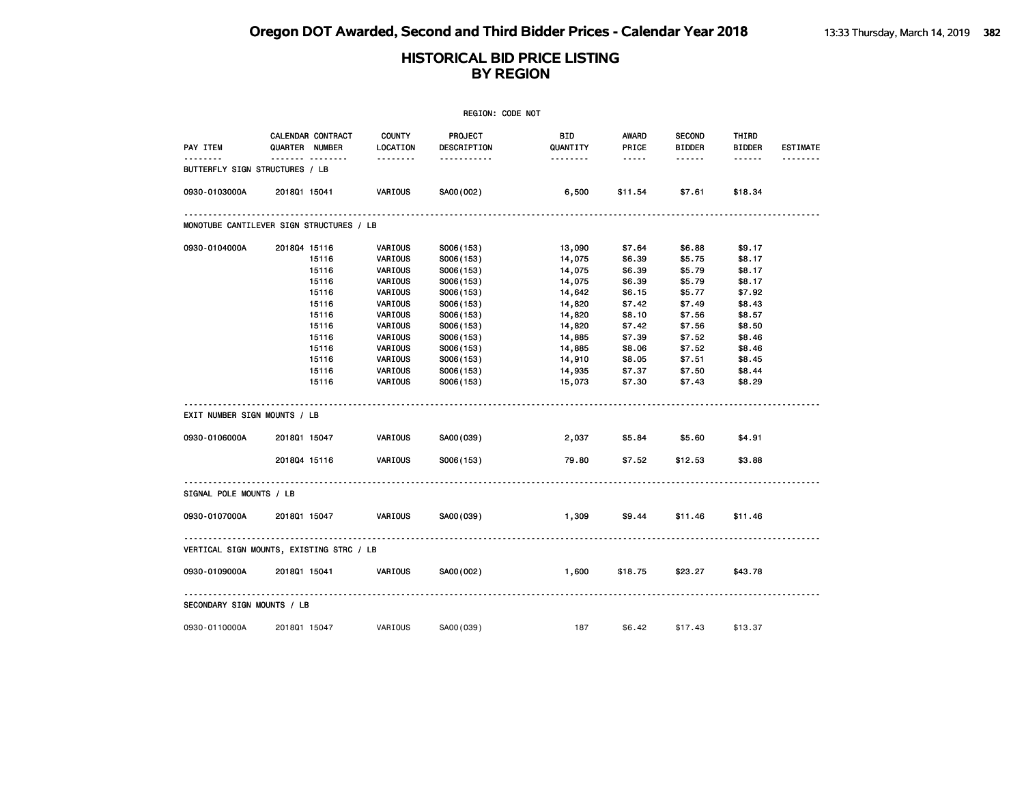| REGION: CODE NOT                         |                                     |       |                       |                               |                        |                                                                                                               |                                |                        |                 |  |
|------------------------------------------|-------------------------------------|-------|-----------------------|-------------------------------|------------------------|---------------------------------------------------------------------------------------------------------------|--------------------------------|------------------------|-----------------|--|
| PAY ITEM                                 | CALENDAR CONTRACT<br>QUARTER NUMBER |       | COUNTY<br>LOCATION    | <b>PROJECT</b><br>DESCRIPTION | <b>BID</b><br>QUANTITY | AWARD<br>PRICE                                                                                                | <b>SECOND</b><br><b>BIDDER</b> | THIRD<br><b>BIDDER</b> | <b>ESTIMATE</b> |  |
| BUTTERFLY SIGN STRUCTURES / LB           | .                                   |       | <u> - - - - - - -</u> | -----------                   | --------               | $\frac{1}{2} \frac{1}{2} \frac{1}{2} \frac{1}{2} \frac{1}{2} \frac{1}{2} \frac{1}{2} \frac{1}{2} \frac{1}{2}$ | ------                         | $- - - - - -$          |                 |  |
| 0930-0103000A                            | 201801 15041                        |       | VARIOUS               | SA00(002)                     | 6,500                  | \$11.54                                                                                                       | \$7.61                         | \$18.34                |                 |  |
| MONOTUBE CANTILEVER SIGN STRUCTURES / LB |                                     |       |                       |                               |                        |                                                                                                               |                                |                        |                 |  |
| 0930-0104000A                            | 201804 15116                        |       | VARIOUS               | S006(153)                     | 13,090                 | \$7.64                                                                                                        | \$6.88                         | \$9.17                 |                 |  |
|                                          |                                     | 15116 | VARIOUS               | S006(153)                     | 14,075                 | \$6.39                                                                                                        | \$5.75                         | \$8.17                 |                 |  |
|                                          |                                     | 15116 | VARIOUS               | S006(153)                     | 14,075                 | \$6.39                                                                                                        | \$5.79                         | \$8.17                 |                 |  |
|                                          |                                     | 15116 | VARIOUS               | S006(153)                     | 14,075                 | \$6.39                                                                                                        | \$5.79                         | \$8.17                 |                 |  |
|                                          |                                     | 15116 | VARIOUS               | S006(153)                     | 14,642                 | \$6.15                                                                                                        | \$5.77                         | \$7.92                 |                 |  |
|                                          |                                     | 15116 | VARIOUS               | S006(153)                     | 14,820                 | \$7.42                                                                                                        | \$7.49                         | \$8.43                 |                 |  |
|                                          |                                     | 15116 | VARIOUS               | S006(153)                     | 14,820                 | \$8.10                                                                                                        | \$7.56                         | \$8.57                 |                 |  |
|                                          |                                     | 15116 | VARIOUS               | S006(153)                     | 14,820                 | \$7.42                                                                                                        | \$7.56                         | \$8.50                 |                 |  |
|                                          |                                     | 15116 | VARIOUS               | S006(153)                     | 14,885                 | \$7.39                                                                                                        | \$7.52                         | \$8.46                 |                 |  |
|                                          |                                     | 15116 | VARIOUS               | S006(153)                     | 14,885                 | \$8.06                                                                                                        | \$7.52                         | \$8.46                 |                 |  |
|                                          |                                     | 15116 | VARIOUS               | S006(153)                     | 14,910                 | \$8.05                                                                                                        | \$7.51                         | \$8.45                 |                 |  |
|                                          |                                     | 15116 | VARIOUS               | S006(153)                     | 14,935                 | \$7.37                                                                                                        | \$7.50                         | \$8.44                 |                 |  |
|                                          |                                     | 15116 | VARIOUS               | S006(153)                     | 15,073                 | \$7.30                                                                                                        | \$7.43                         | \$8.29                 |                 |  |
| EXIT NUMBER SIGN MOUNTS / LB             |                                     |       |                       |                               |                        |                                                                                                               |                                |                        |                 |  |
| 0930-0106000A                            | 201801 15047                        |       | <b>VARIOUS</b>        | SA00(039)                     | 2,037                  | \$5.84                                                                                                        | \$5.60                         | \$4.91                 |                 |  |
|                                          | 201804 15116                        |       | <b>VARIOUS</b>        | S006(153)                     | 79.80                  | \$7.52                                                                                                        | \$12.53                        | \$3.88                 |                 |  |
| SIGNAL POLE MOUNTS / LB                  |                                     |       |                       |                               |                        |                                                                                                               |                                |                        |                 |  |
| 0930-0107000A                            | 201801 15047                        |       | VARIOUS               | SA00(039)                     | 1,309                  | \$9.44                                                                                                        | \$11.46                        | \$11.46                |                 |  |
| VERTICAL SIGN MOUNTS, EXISTING STRC / LB |                                     |       |                       |                               |                        |                                                                                                               |                                |                        |                 |  |
| 0930-0109000A                            | 201801 15041                        |       | VARIOUS               | SA00(002)                     | 1,600                  | \$18.75                                                                                                       | \$23.27                        | \$43.78                |                 |  |
| SECONDARY SIGN MOUNTS / LB               |                                     |       |                       |                               |                        |                                                                                                               |                                |                        |                 |  |
| 0930-0110000A                            | 201801 15047                        |       | VARIOUS               | SA00 (039)                    | 187                    | \$6.42                                                                                                        | \$17.43                        | \$13.37                |                 |  |
|                                          |                                     |       |                       |                               |                        |                                                                                                               |                                |                        |                 |  |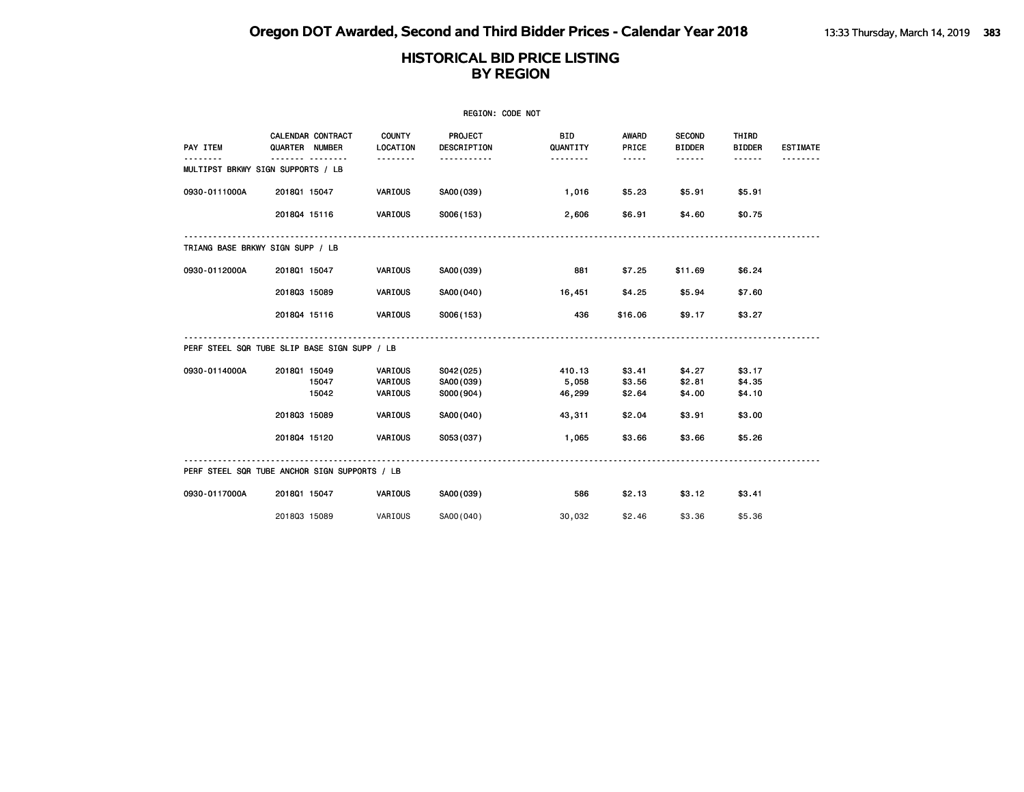|                                               |                |                   |                                      | <b>REGION: CODE NOT</b>             |                           |                            |                                |                            |                 |
|-----------------------------------------------|----------------|-------------------|--------------------------------------|-------------------------------------|---------------------------|----------------------------|--------------------------------|----------------------------|-----------------|
| PAY ITEM                                      | QUARTER NUMBER | CALENDAR CONTRACT | COUNTY<br>LOCATION                   | <b>PROJECT</b><br>DESCRIPTION       | <b>BID</b><br>QUANTITY    | <b>AWARD</b><br>PRICE      | <b>SECOND</b><br><b>BIDDER</b> | THIRD<br><b>BIDDER</b>     | <b>ESTIMATE</b> |
| MULTIPST BRKWY SIGN SUPPORTS / LB             |                | <u>.</u>          |                                      | .                                   | --------                  | -----                      | ------                         | ------                     |                 |
| 0930-0111000A                                 | 201801 15047   |                   | <b>VARIOUS</b>                       | SA00(039)                           | 1,016                     | \$5.23                     | \$5.91                         | \$5.91                     |                 |
|                                               | 201804 15116   |                   | VARIOUS                              | S006(153)                           | 2,606                     | \$6.91                     | \$4.60                         | \$0.75                     |                 |
| TRIANG BASE BRKWY SIGN SUPP / LB              |                |                   |                                      |                                     |                           |                            |                                |                            |                 |
| 0930-0112000A                                 | 201801 15047   |                   | <b>VARIOUS</b>                       | SA00(039)                           | 881                       | \$7.25                     | \$11.69                        | \$6.24                     |                 |
|                                               | 201803 15089   |                   | VARIOUS                              | SA00(040)                           | 16,451                    | \$4.25                     | \$5.94                         | \$7.60                     |                 |
|                                               | 201804 15116   |                   | <b>VARIOUS</b>                       | S006(153)                           | 436                       | \$16.06                    | \$9.17                         | \$3.27                     |                 |
| PERF STEEL SQR TUBE SLIP BASE SIGN SUPP / LB  |                |                   |                                      |                                     |                           |                            |                                |                            |                 |
| 0930-0114000A                                 | 201801 15049   | 15047<br>15042    | VARIOUS<br><b>VARIOUS</b><br>VARIOUS | S042(025)<br>SA00(039)<br>S000(904) | 410.13<br>5,058<br>46,299 | \$3.41<br>\$3.56<br>\$2.64 | \$4.27<br>\$2.81<br>\$4.00     | \$3.17<br>\$4.35<br>\$4.10 |                 |
|                                               | 201803 15089   |                   | VARIOUS                              | SA00(040)                           | 43,311                    | \$2.04                     | \$3.91                         | \$3.00                     |                 |
|                                               | 201804 15120   |                   | <b>VARIOUS</b>                       | S053(037)                           | 1,065                     | \$3.66                     | \$3.66                         | \$5.26                     |                 |
| PERF STEEL SQR TUBE ANCHOR SIGN SUPPORTS / LB |                |                   |                                      |                                     |                           |                            |                                |                            |                 |
| 0930-0117000A                                 | 201801 15047   |                   | <b>VARIOUS</b>                       | SA00(039)                           | 586                       | \$2.13                     | \$3.12                         | \$3.41                     |                 |
|                                               | 201803 15089   |                   | VARIOUS                              | SA00(040)                           | 30,032                    | \$2.46                     | \$3.36                         | \$5.36                     |                 |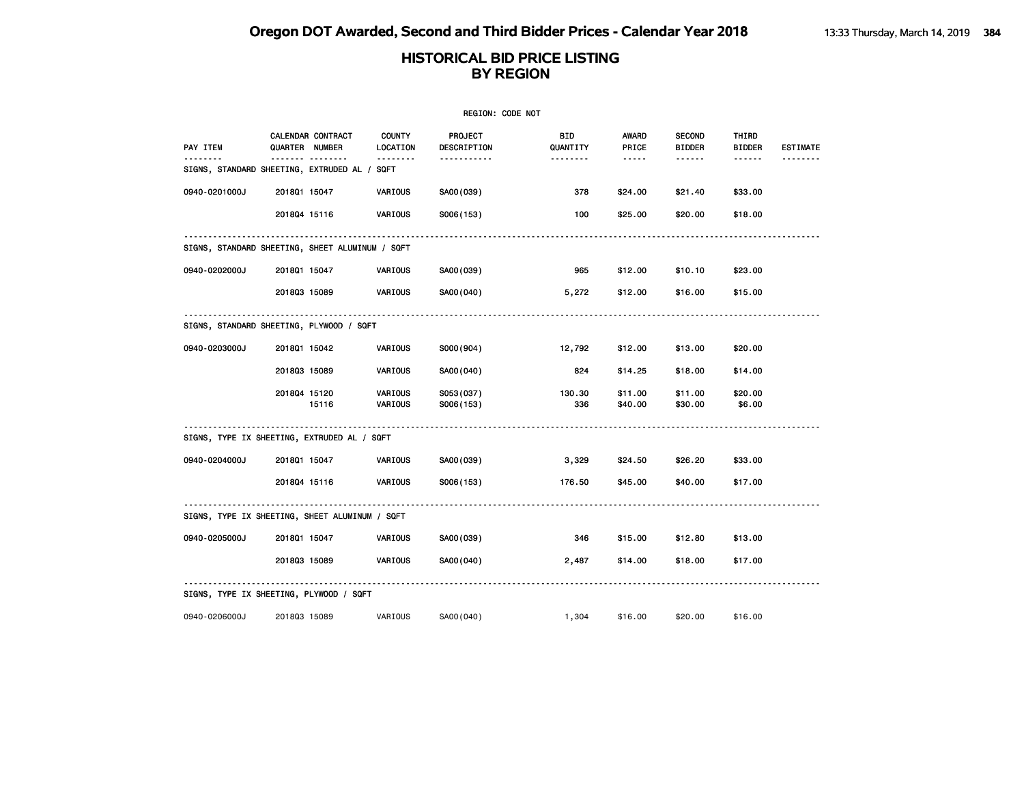| REGION: CODE NOT |                                                                                                 |                                       |                                    |                             |                               |                                          |                                  |                 |  |  |  |
|------------------|-------------------------------------------------------------------------------------------------|---------------------------------------|------------------------------------|-----------------------------|-------------------------------|------------------------------------------|----------------------------------|-----------------|--|--|--|
| PAY ITEM         | CALENDAR CONTRACT<br>QUARTER NUMBER<br><u> </u><br>SIGNS, STANDARD SHEETING, EXTRUDED AL / SQFT | <b>COUNTY</b><br>LOCATION<br>-------- | PROJECT<br>DESCRIPTION<br><u>.</u> | BID<br>QUANTITY<br>-------- | AWARD<br>PRICE<br>$- - - - -$ | <b>SECOND</b><br><b>BIDDER</b><br>------ | THIRD<br><b>BIDDER</b><br>------ | <b>ESTIMATE</b> |  |  |  |
| 0940-0201000J    | 201801 15047                                                                                    | VARIOUS                               | SA00(039)                          | 378                         | \$24.00                       | \$21.40                                  | \$33.00                          |                 |  |  |  |
|                  | 201804 15116                                                                                    | VARIOUS                               | S006(153)                          | 100                         | \$25.00                       | \$20.00                                  | \$18.00                          |                 |  |  |  |
|                  | SIGNS, STANDARD SHEETING, SHEET ALUMINUM / SQFT                                                 |                                       |                                    |                             |                               |                                          |                                  |                 |  |  |  |
| 0940-0202000J    | 201801 15047                                                                                    | VARIOUS                               | SA00(039)                          | 965                         | \$12.00                       | \$10.10                                  | \$23.00                          |                 |  |  |  |
|                  | 201803 15089                                                                                    | VARIOUS                               | SA00(040)                          | 5,272                       | \$12.00                       | \$16.00                                  | \$15.00                          |                 |  |  |  |
|                  | SIGNS, STANDARD SHEETING, PLYWOOD / SQFT                                                        |                                       |                                    |                             |                               |                                          |                                  |                 |  |  |  |
| 0940-0203000J    | 201801 15042                                                                                    | <b>VARIOUS</b>                        | S000(904)                          | 12,792                      | \$12.00                       | \$13.00                                  | \$20.00                          |                 |  |  |  |
|                  | 201803 15089                                                                                    | VARIOUS                               | SA00(040)                          | 824                         | \$14.25                       | \$18.00                                  | \$14.00                          |                 |  |  |  |
|                  | 201804 15120<br>15116                                                                           | VARIOUS<br>VARIOUS                    | S053(037)<br>S006(153)             | 130.30<br>336               | \$11.00<br>\$40.00            | \$11.00<br>\$30.00                       | \$20.00<br>\$6.00                |                 |  |  |  |
|                  | SIGNS, TYPE IX SHEETING, EXTRUDED AL / SQFT                                                     |                                       |                                    |                             |                               |                                          |                                  |                 |  |  |  |
| 0940-0204000J    | 201801 15047                                                                                    | VARIOUS                               | SA00(039)                          | 3,329                       | \$24.50                       | \$26.20                                  | \$33.00                          |                 |  |  |  |
|                  | 201804 15116                                                                                    | <b>VARIOUS</b>                        | S006(153)                          | 176.50                      | \$45.00                       | \$40.00                                  | \$17.00                          |                 |  |  |  |
|                  | SIGNS, TYPE IX SHEETING, SHEET ALUMINUM / SQFT                                                  |                                       |                                    |                             |                               |                                          |                                  |                 |  |  |  |
| 0940-0205000J    | 201801 15047                                                                                    | VARIOUS                               | SA00(039)                          | 346                         | \$15.00                       | \$12.80                                  | \$13.00                          |                 |  |  |  |
|                  | 201803 15089                                                                                    | VARIOUS                               | SA00(040)                          | 2,487                       | \$14.00                       | \$18.00                                  | \$17.00                          |                 |  |  |  |
|                  | SIGNS, TYPE IX SHEETING, PLYWOOD / SQFT                                                         |                                       |                                    |                             |                               |                                          |                                  |                 |  |  |  |
| 0940-0206000J    | 201803 15089                                                                                    | VARIOUS                               | SA00(040)                          | 1,304                       | \$16.00                       | \$20.00                                  | \$16.00                          |                 |  |  |  |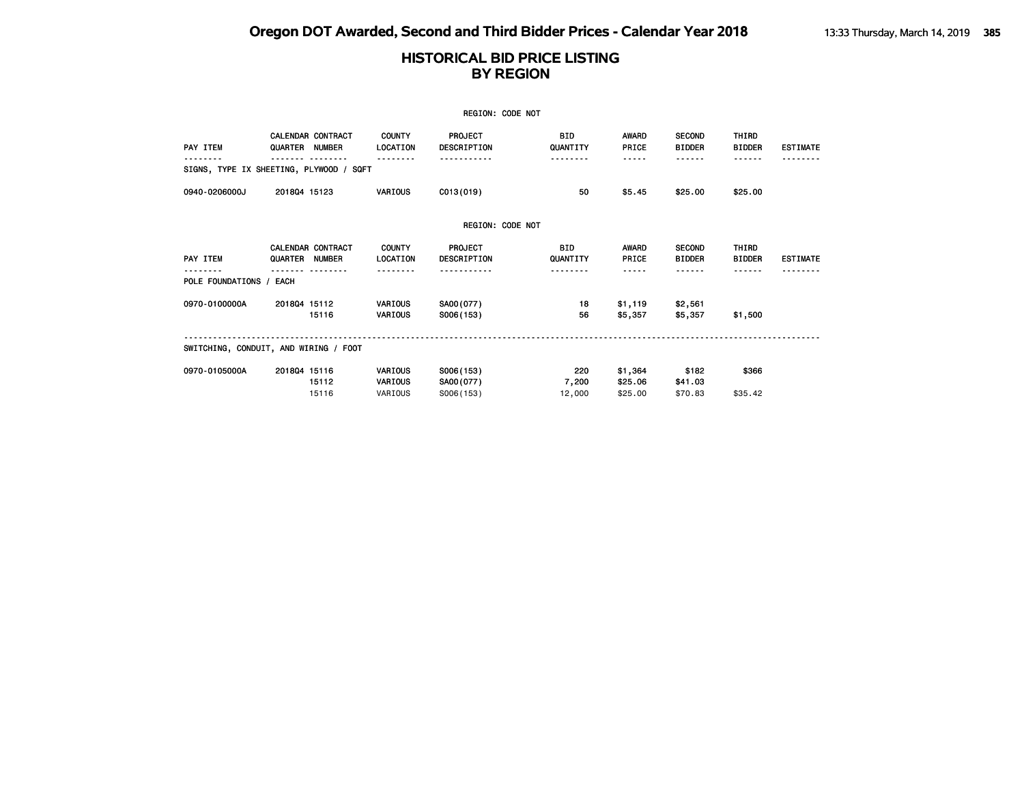|                         |                                            |                                  | REGION: CODE NOT                     |                        |                       |                                |                        |                 |
|-------------------------|--------------------------------------------|----------------------------------|--------------------------------------|------------------------|-----------------------|--------------------------------|------------------------|-----------------|
| PAY ITEM                | <b>CALENDAR CONTRACT</b><br>QUARTER NUMBER | <b>COUNTY</b><br>LOCATION        | <b>PROJECT</b><br>DESCRIPTION        | <b>BID</b><br>QUANTITY | <b>AWARD</b><br>PRICE | <b>SECOND</b><br><b>BIDDER</b> | THIRD<br><b>BIDDER</b> | <b>ESTIMATE</b> |
|                         | SIGNS, TYPE IX SHEETING, PLYWOOD / SQFT    |                                  |                                      | .                      | -----                 | - - - - - -                    | ------                 |                 |
| 0940-0206000J           | 201804 15123                               | <b>VARIOUS</b>                   | CO13(019)                            | 50                     | \$5.45                | \$25.00                        | \$25.00                |                 |
|                         |                                            |                                  | <b>REGION: CODE NOT</b>              |                        |                       |                                |                        |                 |
| PAY ITEM                | <b>CALENDAR CONTRACT</b><br>QUARTER NUMBER | <b>COUNTY</b><br>LOCATION        | <b>PROJECT</b><br><b>DESCRIPTION</b> | <b>BID</b><br>QUANTITY | <b>AWARD</b><br>PRICE | <b>SECOND</b><br><b>BIDDER</b> | THIRD<br><b>BIDDER</b> | <b>ESTIMATE</b> |
| POLE FOUNDATIONS / EACH |                                            |                                  |                                      |                        |                       |                                |                        |                 |
| 0970-0100000A           | 201804 15112<br>15116                      | <b>VARIOUS</b><br><b>VARIOUS</b> | SA00(077)<br>S006(153)               | 18<br>56               | \$1,119<br>\$5,357    | \$2,561<br>\$5,357             | \$1,500                |                 |
|                         | SWITCHING, CONDUIT, AND WIRING / FOOT      |                                  |                                      |                        |                       |                                |                        |                 |
| 0970-0105000A           | 201804 15116<br>15112                      | <b>VARIOUS</b><br><b>VARIOUS</b> | S006(153)<br>SA00(077)               | 220<br>7,200           | \$1,364<br>\$25.06    | \$182<br>\$41.03               | \$366                  |                 |
|                         | 15116                                      | VARIOUS                          | S006(153)                            | 12,000                 | \$25.00               | \$70.83                        | \$35.42                |                 |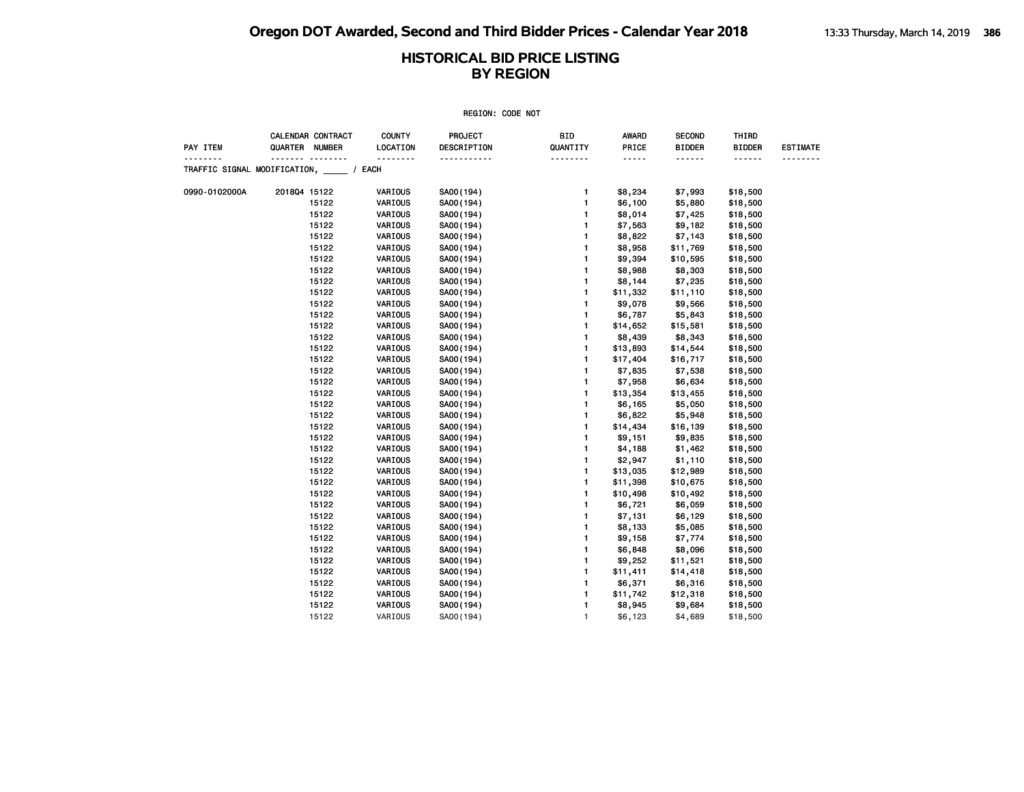REGION: CODE NOT

| <b>PAY ITEM</b> | CALENDAR CONTRACT<br>QUARTER NUMBER       | <b>COUNTY</b><br>LOCATION | PROJECT<br>DESCRIPTION | BID<br>QUANTITY | <b>AWARD</b><br>PRICE | <b>SECOND</b><br><b>BIDDER</b> | THIRD<br><b>BIDDER</b> | <b>ESTIMATE</b> |
|-----------------|-------------------------------------------|---------------------------|------------------------|-----------------|-----------------------|--------------------------------|------------------------|-----------------|
|                 | <u>-- --------</u>                        | <u>.</u>                  |                        | .               | -----                 | .                              | ------                 |                 |
|                 | TRAFFIC SIGNAL MODIFICATION, _____ / EACH |                           |                        |                 |                       |                                |                        |                 |
| 0990-0102000A   | 201804 15122                              | VARIOUS                   | SA00(194)              | $\mathbf{1}$    | \$8,234               | \$7,993                        | \$18,500               |                 |
|                 | 15122                                     | VARIOUS                   | SA00(194)              | $\mathbf{1}$    | \$6,100               | \$5,880                        | \$18,500               |                 |
|                 | 15122                                     | VARIOUS                   | SA00(194)              | $\mathbf{1}$    | \$8,014               | \$7,425                        | \$18,500               |                 |
|                 | 15122                                     | VARIOUS                   | SA00(194)              | $\mathbf{1}$    | \$7,563               | \$9,182                        | \$18,500               |                 |
|                 | 15122                                     | VARIOUS                   | SA00(194)              | $\mathbf{1}$    | \$8,822               | \$7,143                        | \$18,500               |                 |
|                 | 15122                                     | VARIOUS                   | SA00(194)              | $\mathbf{1}$    | \$8,958               | \$11,769                       | \$18,500               |                 |
|                 | 15122                                     | VARIOUS                   | SA00(194)              | 1               | \$9,394               | \$10,595                       | \$18,500               |                 |
|                 | 15122                                     | VARIOUS                   | SA00(194)              | $\mathbf{1}$    | \$8,988               | \$8,303                        | \$18,500               |                 |
|                 | 15122                                     | VARIOUS                   | SA00(194)              | $\mathbf{1}$    | \$8,144               | \$7,235                        | \$18,500               |                 |
|                 | 15122                                     | VARIOUS                   | SA00(194)              | 1               | \$11,332              | \$11,110                       | \$18,500               |                 |
|                 | 15122                                     | VARIOUS                   | SA00(194)              | $\mathbf{1}$    | \$9,078               | \$9,566                        | \$18,500               |                 |
|                 | 15122                                     | VARIOUS                   | SA00(194)              | 1               | \$6,787               | \$5,843                        | \$18,500               |                 |
|                 | 15122                                     | VARIOUS                   | SA00(194)              | $\mathbf{1}$    | \$14,652              | \$15,581                       | \$18,500               |                 |
|                 | 15122                                     | VARIOUS                   | SA00(194)              | 1               | \$8,439               | \$8,343                        | \$18,500               |                 |
|                 | 15122                                     | VARIOUS                   | SA00(194)              | 1               | \$13,893              | \$14,544                       | \$18,500               |                 |
|                 | 15122                                     | VARIOUS                   | SA00(194)              | 1               | \$17,404              | \$16,717                       | \$18,500               |                 |
|                 | 15122                                     | VARIOUS                   | SA00(194)              | 1               | \$7,835               | \$7,538                        | \$18,500               |                 |
|                 | 15122                                     | VARIOUS                   | SA00(194)              | $\mathbf{1}$    | \$7,958               | \$6,634                        | \$18,500               |                 |
|                 | 15122                                     | VARIOUS                   | SA00(194)              | $\mathbf{1}$    | \$13,354              | \$13,455                       | \$18,500               |                 |
|                 | 15122                                     | VARIOUS                   | SA00(194)              | $\mathbf{1}$    | \$6,165               | \$5,050                        | \$18,500               |                 |
|                 | 15122                                     | VARIOUS                   | SA00(194)              | 1               | \$6,822               | \$5,948                        | \$18,500               |                 |
|                 | 15122                                     | VARIOUS                   | SA00(194)              | 1               | \$14,434              | \$16,139                       | \$18,500               |                 |
|                 | 15122                                     | VARIOUS                   | SA00(194)              | 1               | \$9,151               | \$9,835                        | \$18,500               |                 |
|                 | 15122                                     | VARIOUS                   | SA00(194)              | 1               | \$4,188               | \$1,462                        | \$18,500               |                 |
|                 | 15122                                     | VARIOUS                   | SA00(194)              | 1               | \$2,947               | \$1,110                        | \$18,500               |                 |
|                 | 15122                                     | VARIOUS                   | SA00(194)              | 1               | \$13,035              | \$12,989                       | \$18,500               |                 |
|                 | 15122                                     | VARIOUS                   | SA00(194)              | 1               | \$11,398              | \$10,675                       | \$18,500               |                 |
|                 | 15122                                     | VARIOUS                   | SA00(194)              | 1               | \$10,498              | \$10,492                       | \$18,500               |                 |
|                 | 15122                                     | VARIOUS                   | SA00(194)              | 1               | \$6,721               | \$6,059                        | \$18,500               |                 |
|                 | 15122                                     | VARIOUS                   | SA00(194)              | $\mathbf{1}$    | \$7,131               | \$6,129                        | \$18,500               |                 |
|                 | 15122                                     | VARIOUS                   | SA00(194)              | $\mathbf{1}$    | \$8,133               | \$5,085                        | \$18,500               |                 |
|                 | 15122                                     | VARIOUS                   | SA00(194)              | $\mathbf{1}$    | \$9,158               | \$7,774                        | \$18,500               |                 |
|                 | 15122                                     | VARIOUS                   | SA00(194)              | 1               | \$6,848               | \$8,096                        | \$18,500               |                 |
|                 | 15122                                     | VARIOUS                   | SA00(194)              | $\mathbf{1}$    | \$9,252               | \$11,521                       | \$18,500               |                 |
|                 | 15122                                     | VARIOUS                   | SA00(194)              | $\mathbf{1}$    | \$11,411              | \$14,418                       | \$18,500               |                 |
|                 | 15122                                     | VARIOUS                   | SA00(194)              | 1               | \$6,371               | \$6,316                        | \$18,500               |                 |
|                 | 15122                                     | VARIOUS                   | SA00(194)              | $\mathbf{1}$    | \$11,742              | \$12,318                       | \$18,500               |                 |
|                 | 15122                                     | VARIOUS                   | SA00(194)              | 1               | \$8,945               | \$9,684                        | \$18,500               |                 |
|                 | 15122                                     | VARIOUS                   | SA00 (194)             | $\mathbf{1}$    | \$6,123               | \$4,689                        | \$18,500               |                 |
|                 |                                           |                           |                        |                 |                       |                                |                        |                 |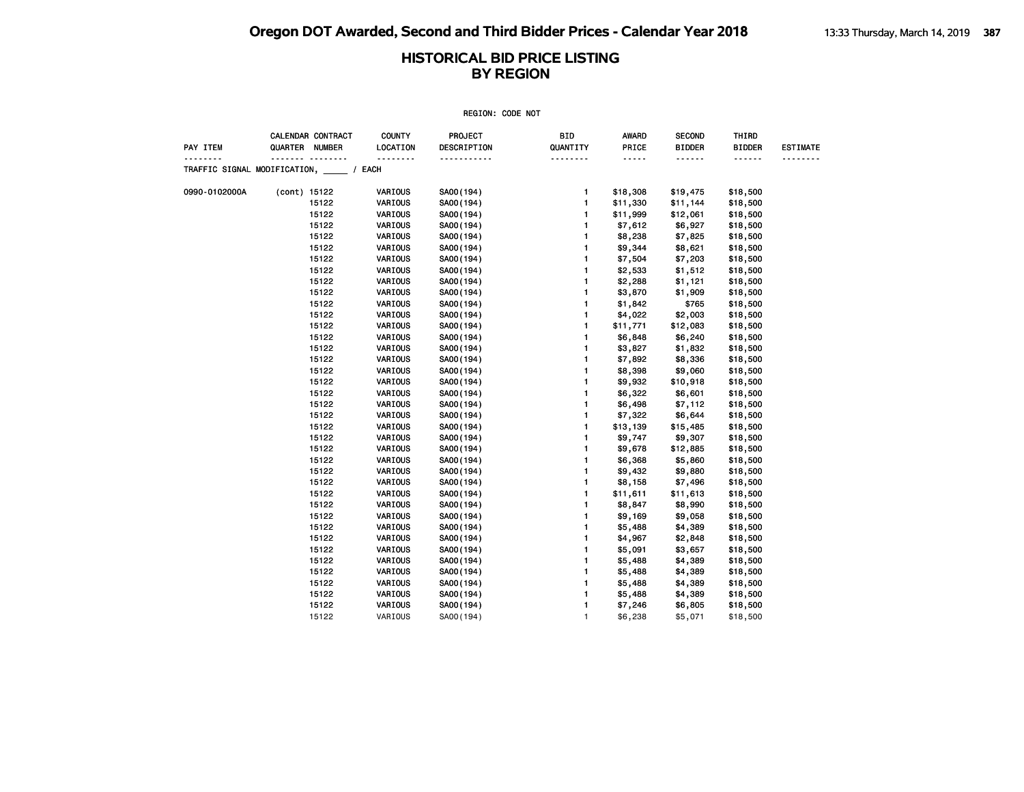REGION: CODE NOT

| $- - -$<br>TRAFFIC SIGNAL MODIFICATION, / EACH<br>0990-0102000A<br>(cont) 15122<br>VARIOUS<br>SA00(194)<br>\$18,308<br>\$18,500<br>1.<br>\$19,475<br>15122<br>$\mathbf{1}$<br>VARIOUS<br>\$11,330<br>\$11,144<br>\$18,500<br>SA00(194)<br>15122<br>1<br>VARIOUS<br>SA00 (194)<br>\$11,999<br>\$12,061<br>\$18,500<br>15122<br>1<br>VARIOUS<br>SA00 (194)<br>\$7,612<br>\$6,927<br>\$18,500<br>15122<br>VARIOUS<br>$\mathbf{1}$<br>\$7,825<br>SA00 (194)<br>\$8,238<br>\$18,500<br>$\mathbf{1}$<br>15122<br>\$18,500<br>VARIOUS<br>SA00(194)<br>\$9,344<br>\$8,621<br>15122<br>1<br>\$7,203<br>VARIOUS<br>SA00(194)<br>\$7,504<br>\$18,500<br>$\mathbf{1}$<br>15122<br>VARIOUS<br>SA00 (194)<br>\$2,533<br>\$1,512<br>\$18,500<br>$\mathbf{1}$<br>15122<br>VARIOUS<br>SA00 (194)<br>\$2,288<br>\$1,121<br>\$18,500<br>$\mathbf{1}$<br>15122<br>VARIOUS<br>\$1,909<br>SA00 (194)<br>\$3,870<br>\$18,500<br>$\mathbf{1}$<br>15122<br>VARIOUS<br>\$765<br>SA00 (194)<br>\$1,842<br>\$18,500<br>15122<br>$\mathbf{1}$<br>VARIOUS<br>\$2,003<br>SA00 (194)<br>\$4,022<br>\$18,500<br>15122<br>VARIOUS<br>1<br>SA00 (194)<br>\$11,771<br>\$12,083<br>\$18,500<br>15122<br>1<br>VARIOUS<br>SA00(194)<br>\$6,848<br>\$6,240<br>\$18,500<br>$\mathbf{1}$<br>15122<br>VARIOUS<br>SA00(194)<br>\$3,827<br>\$1,832<br>\$18,500<br>$\mathbf{1}$<br>15122<br>VARIOUS<br>SA00 (194)<br>\$7,892<br>\$8,336<br>\$18,500<br>15122<br>$\mathbf{1}$<br>VARIOUS<br>\$18,500<br>SA00 (194)<br>\$8,398<br>\$9,060<br>15122<br>VARIOUS<br>$\mathbf{1}$<br>SA00 (194)<br>\$9,932<br>\$10,918<br>\$18,500<br>15122<br>$\mathbf{1}$<br>VARIOUS<br>SA00 (194)<br>\$6,322<br>\$6,601<br>\$18,500<br>$\mathbf{1}$<br>15122<br>VARIOUS<br>SA00(194)<br>\$6,498<br>\$7,112<br>\$18,500<br>15122<br>$\mathbf{1}$<br>VARIOUS<br>SA00 (194)<br>\$7,322<br>\$6,644<br>\$18,500<br>15122<br>$\mathbf{1}$<br>VARIOUS<br>SA00 (194)<br>\$13,139<br>\$15,485<br>\$18,500<br>15122<br>$\mathbf{1}$<br>VARIOUS<br>SA00 (194)<br>\$9,747<br>\$9,307<br>\$18,500<br>15122<br>$\mathbf{1}$<br>VARIOUS<br>SA00 (194)<br>\$9,678<br>\$12,885<br>\$18,500<br>$\mathbf{1}$<br>15122<br>VARIOUS<br>\$6,368<br>\$5,860<br>\$18,500<br>SA00 (194)<br>15122<br>$\mathbf{1}$<br>VARIOUS<br>\$9,432<br>\$9,880<br>\$18,500<br>SA00 (194)<br>15122<br>$\mathbf{1}$<br>VARIOUS<br>SA00(194)<br>\$8,158<br>\$7,496<br>\$18,500<br>$\mathbf{1}$<br>15122<br>VARIOUS<br>SA00 (194)<br>\$11,611<br>\$11,613<br>\$18,500<br>15122<br>$\mathbf{1}$<br>VARIOUS<br>\$8,990<br>\$18,500<br>SA00 (194)<br>\$8,847<br>15122<br>$\mathbf{1}$<br>VARIOUS<br>\$9,169<br>\$9,058<br>\$18,500<br>SA00 (194)<br>15122<br>$\mathbf{1}$<br>VARIOUS<br>SA00 (194)<br>\$5,488<br>\$4,389<br>\$18,500<br>$\mathbf{1}$<br>15122<br>VARIOUS<br>\$4,967<br>\$2,848<br>\$18,500<br>SA00 (194)<br>$\mathbf{1}$<br>15122<br>VARIOUS<br>\$5,091<br>\$3,657<br>\$18,500<br>SA00(194)<br>15122<br>$\mathbf{1}$<br>\$4,389<br>VARIOUS<br>SA00 (194)<br>\$18,500<br>\$5,488<br>15122<br>$\mathbf{1}$<br>VARIOUS<br>SA00(194)<br>\$4,389<br>\$18,500<br>\$5,488<br>15122<br>$\mathbf{1}$<br>VARIOUS<br>\$5,488<br>\$4,389<br>\$18,500<br>SA00(194)<br>15122<br>$\mathbf{1}$<br>VARIOUS<br>SA00 (194)<br>\$4,389<br>\$18,500<br>\$5,488<br>15122<br>$\mathbf{1}$<br>VARIOUS<br>SA00 (194)<br>\$7,246<br>\$6,805<br>\$18,500 | PAY ITEM | CALENDAR CONTRACT<br>QUARTER NUMBER | <b>COUNTY</b><br>LOCATION | PROJECT<br>DESCRIPTION | <b>BID</b><br>QUANTITY | <b>AWARD</b><br>PRICE | <b>SECOND</b><br><b>BIDDER</b> | THIRD<br><b>BIDDER</b> | <b>ESTIMATE</b> |
|--------------------------------------------------------------------------------------------------------------------------------------------------------------------------------------------------------------------------------------------------------------------------------------------------------------------------------------------------------------------------------------------------------------------------------------------------------------------------------------------------------------------------------------------------------------------------------------------------------------------------------------------------------------------------------------------------------------------------------------------------------------------------------------------------------------------------------------------------------------------------------------------------------------------------------------------------------------------------------------------------------------------------------------------------------------------------------------------------------------------------------------------------------------------------------------------------------------------------------------------------------------------------------------------------------------------------------------------------------------------------------------------------------------------------------------------------------------------------------------------------------------------------------------------------------------------------------------------------------------------------------------------------------------------------------------------------------------------------------------------------------------------------------------------------------------------------------------------------------------------------------------------------------------------------------------------------------------------------------------------------------------------------------------------------------------------------------------------------------------------------------------------------------------------------------------------------------------------------------------------------------------------------------------------------------------------------------------------------------------------------------------------------------------------------------------------------------------------------------------------------------------------------------------------------------------------------------------------------------------------------------------------------------------------------------------------------------------------------------------------------------------------------------------------------------------------------------------------------------------------------------------------------------------------------------------------------------------------------------------------------------------------------------------------------------------------------------------------------------------------------------------------------------------------------------------------------------------------------------------------------------------------------------------------------------------------------------|----------|-------------------------------------|---------------------------|------------------------|------------------------|-----------------------|--------------------------------|------------------------|-----------------|
|                                                                                                                                                                                                                                                                                                                                                                                                                                                                                                                                                                                                                                                                                                                                                                                                                                                                                                                                                                                                                                                                                                                                                                                                                                                                                                                                                                                                                                                                                                                                                                                                                                                                                                                                                                                                                                                                                                                                                                                                                                                                                                                                                                                                                                                                                                                                                                                                                                                                                                                                                                                                                                                                                                                                                                                                                                                                                                                                                                                                                                                                                                                                                                                                                                                                                                                                |          |                                     |                           |                        | --------               | .                     | ------                         |                        |                 |
|                                                                                                                                                                                                                                                                                                                                                                                                                                                                                                                                                                                                                                                                                                                                                                                                                                                                                                                                                                                                                                                                                                                                                                                                                                                                                                                                                                                                                                                                                                                                                                                                                                                                                                                                                                                                                                                                                                                                                                                                                                                                                                                                                                                                                                                                                                                                                                                                                                                                                                                                                                                                                                                                                                                                                                                                                                                                                                                                                                                                                                                                                                                                                                                                                                                                                                                                |          |                                     |                           |                        |                        |                       |                                |                        |                 |
|                                                                                                                                                                                                                                                                                                                                                                                                                                                                                                                                                                                                                                                                                                                                                                                                                                                                                                                                                                                                                                                                                                                                                                                                                                                                                                                                                                                                                                                                                                                                                                                                                                                                                                                                                                                                                                                                                                                                                                                                                                                                                                                                                                                                                                                                                                                                                                                                                                                                                                                                                                                                                                                                                                                                                                                                                                                                                                                                                                                                                                                                                                                                                                                                                                                                                                                                |          |                                     |                           |                        |                        |                       |                                |                        |                 |
|                                                                                                                                                                                                                                                                                                                                                                                                                                                                                                                                                                                                                                                                                                                                                                                                                                                                                                                                                                                                                                                                                                                                                                                                                                                                                                                                                                                                                                                                                                                                                                                                                                                                                                                                                                                                                                                                                                                                                                                                                                                                                                                                                                                                                                                                                                                                                                                                                                                                                                                                                                                                                                                                                                                                                                                                                                                                                                                                                                                                                                                                                                                                                                                                                                                                                                                                |          |                                     |                           |                        |                        |                       |                                |                        |                 |
|                                                                                                                                                                                                                                                                                                                                                                                                                                                                                                                                                                                                                                                                                                                                                                                                                                                                                                                                                                                                                                                                                                                                                                                                                                                                                                                                                                                                                                                                                                                                                                                                                                                                                                                                                                                                                                                                                                                                                                                                                                                                                                                                                                                                                                                                                                                                                                                                                                                                                                                                                                                                                                                                                                                                                                                                                                                                                                                                                                                                                                                                                                                                                                                                                                                                                                                                |          |                                     |                           |                        |                        |                       |                                |                        |                 |
|                                                                                                                                                                                                                                                                                                                                                                                                                                                                                                                                                                                                                                                                                                                                                                                                                                                                                                                                                                                                                                                                                                                                                                                                                                                                                                                                                                                                                                                                                                                                                                                                                                                                                                                                                                                                                                                                                                                                                                                                                                                                                                                                                                                                                                                                                                                                                                                                                                                                                                                                                                                                                                                                                                                                                                                                                                                                                                                                                                                                                                                                                                                                                                                                                                                                                                                                |          |                                     |                           |                        |                        |                       |                                |                        |                 |
|                                                                                                                                                                                                                                                                                                                                                                                                                                                                                                                                                                                                                                                                                                                                                                                                                                                                                                                                                                                                                                                                                                                                                                                                                                                                                                                                                                                                                                                                                                                                                                                                                                                                                                                                                                                                                                                                                                                                                                                                                                                                                                                                                                                                                                                                                                                                                                                                                                                                                                                                                                                                                                                                                                                                                                                                                                                                                                                                                                                                                                                                                                                                                                                                                                                                                                                                |          |                                     |                           |                        |                        |                       |                                |                        |                 |
|                                                                                                                                                                                                                                                                                                                                                                                                                                                                                                                                                                                                                                                                                                                                                                                                                                                                                                                                                                                                                                                                                                                                                                                                                                                                                                                                                                                                                                                                                                                                                                                                                                                                                                                                                                                                                                                                                                                                                                                                                                                                                                                                                                                                                                                                                                                                                                                                                                                                                                                                                                                                                                                                                                                                                                                                                                                                                                                                                                                                                                                                                                                                                                                                                                                                                                                                |          |                                     |                           |                        |                        |                       |                                |                        |                 |
|                                                                                                                                                                                                                                                                                                                                                                                                                                                                                                                                                                                                                                                                                                                                                                                                                                                                                                                                                                                                                                                                                                                                                                                                                                                                                                                                                                                                                                                                                                                                                                                                                                                                                                                                                                                                                                                                                                                                                                                                                                                                                                                                                                                                                                                                                                                                                                                                                                                                                                                                                                                                                                                                                                                                                                                                                                                                                                                                                                                                                                                                                                                                                                                                                                                                                                                                |          |                                     |                           |                        |                        |                       |                                |                        |                 |
|                                                                                                                                                                                                                                                                                                                                                                                                                                                                                                                                                                                                                                                                                                                                                                                                                                                                                                                                                                                                                                                                                                                                                                                                                                                                                                                                                                                                                                                                                                                                                                                                                                                                                                                                                                                                                                                                                                                                                                                                                                                                                                                                                                                                                                                                                                                                                                                                                                                                                                                                                                                                                                                                                                                                                                                                                                                                                                                                                                                                                                                                                                                                                                                                                                                                                                                                |          |                                     |                           |                        |                        |                       |                                |                        |                 |
|                                                                                                                                                                                                                                                                                                                                                                                                                                                                                                                                                                                                                                                                                                                                                                                                                                                                                                                                                                                                                                                                                                                                                                                                                                                                                                                                                                                                                                                                                                                                                                                                                                                                                                                                                                                                                                                                                                                                                                                                                                                                                                                                                                                                                                                                                                                                                                                                                                                                                                                                                                                                                                                                                                                                                                                                                                                                                                                                                                                                                                                                                                                                                                                                                                                                                                                                |          |                                     |                           |                        |                        |                       |                                |                        |                 |
|                                                                                                                                                                                                                                                                                                                                                                                                                                                                                                                                                                                                                                                                                                                                                                                                                                                                                                                                                                                                                                                                                                                                                                                                                                                                                                                                                                                                                                                                                                                                                                                                                                                                                                                                                                                                                                                                                                                                                                                                                                                                                                                                                                                                                                                                                                                                                                                                                                                                                                                                                                                                                                                                                                                                                                                                                                                                                                                                                                                                                                                                                                                                                                                                                                                                                                                                |          |                                     |                           |                        |                        |                       |                                |                        |                 |
|                                                                                                                                                                                                                                                                                                                                                                                                                                                                                                                                                                                                                                                                                                                                                                                                                                                                                                                                                                                                                                                                                                                                                                                                                                                                                                                                                                                                                                                                                                                                                                                                                                                                                                                                                                                                                                                                                                                                                                                                                                                                                                                                                                                                                                                                                                                                                                                                                                                                                                                                                                                                                                                                                                                                                                                                                                                                                                                                                                                                                                                                                                                                                                                                                                                                                                                                |          |                                     |                           |                        |                        |                       |                                |                        |                 |
|                                                                                                                                                                                                                                                                                                                                                                                                                                                                                                                                                                                                                                                                                                                                                                                                                                                                                                                                                                                                                                                                                                                                                                                                                                                                                                                                                                                                                                                                                                                                                                                                                                                                                                                                                                                                                                                                                                                                                                                                                                                                                                                                                                                                                                                                                                                                                                                                                                                                                                                                                                                                                                                                                                                                                                                                                                                                                                                                                                                                                                                                                                                                                                                                                                                                                                                                |          |                                     |                           |                        |                        |                       |                                |                        |                 |
|                                                                                                                                                                                                                                                                                                                                                                                                                                                                                                                                                                                                                                                                                                                                                                                                                                                                                                                                                                                                                                                                                                                                                                                                                                                                                                                                                                                                                                                                                                                                                                                                                                                                                                                                                                                                                                                                                                                                                                                                                                                                                                                                                                                                                                                                                                                                                                                                                                                                                                                                                                                                                                                                                                                                                                                                                                                                                                                                                                                                                                                                                                                                                                                                                                                                                                                                |          |                                     |                           |                        |                        |                       |                                |                        |                 |
|                                                                                                                                                                                                                                                                                                                                                                                                                                                                                                                                                                                                                                                                                                                                                                                                                                                                                                                                                                                                                                                                                                                                                                                                                                                                                                                                                                                                                                                                                                                                                                                                                                                                                                                                                                                                                                                                                                                                                                                                                                                                                                                                                                                                                                                                                                                                                                                                                                                                                                                                                                                                                                                                                                                                                                                                                                                                                                                                                                                                                                                                                                                                                                                                                                                                                                                                |          |                                     |                           |                        |                        |                       |                                |                        |                 |
|                                                                                                                                                                                                                                                                                                                                                                                                                                                                                                                                                                                                                                                                                                                                                                                                                                                                                                                                                                                                                                                                                                                                                                                                                                                                                                                                                                                                                                                                                                                                                                                                                                                                                                                                                                                                                                                                                                                                                                                                                                                                                                                                                                                                                                                                                                                                                                                                                                                                                                                                                                                                                                                                                                                                                                                                                                                                                                                                                                                                                                                                                                                                                                                                                                                                                                                                |          |                                     |                           |                        |                        |                       |                                |                        |                 |
|                                                                                                                                                                                                                                                                                                                                                                                                                                                                                                                                                                                                                                                                                                                                                                                                                                                                                                                                                                                                                                                                                                                                                                                                                                                                                                                                                                                                                                                                                                                                                                                                                                                                                                                                                                                                                                                                                                                                                                                                                                                                                                                                                                                                                                                                                                                                                                                                                                                                                                                                                                                                                                                                                                                                                                                                                                                                                                                                                                                                                                                                                                                                                                                                                                                                                                                                |          |                                     |                           |                        |                        |                       |                                |                        |                 |
|                                                                                                                                                                                                                                                                                                                                                                                                                                                                                                                                                                                                                                                                                                                                                                                                                                                                                                                                                                                                                                                                                                                                                                                                                                                                                                                                                                                                                                                                                                                                                                                                                                                                                                                                                                                                                                                                                                                                                                                                                                                                                                                                                                                                                                                                                                                                                                                                                                                                                                                                                                                                                                                                                                                                                                                                                                                                                                                                                                                                                                                                                                                                                                                                                                                                                                                                |          |                                     |                           |                        |                        |                       |                                |                        |                 |
|                                                                                                                                                                                                                                                                                                                                                                                                                                                                                                                                                                                                                                                                                                                                                                                                                                                                                                                                                                                                                                                                                                                                                                                                                                                                                                                                                                                                                                                                                                                                                                                                                                                                                                                                                                                                                                                                                                                                                                                                                                                                                                                                                                                                                                                                                                                                                                                                                                                                                                                                                                                                                                                                                                                                                                                                                                                                                                                                                                                                                                                                                                                                                                                                                                                                                                                                |          |                                     |                           |                        |                        |                       |                                |                        |                 |
|                                                                                                                                                                                                                                                                                                                                                                                                                                                                                                                                                                                                                                                                                                                                                                                                                                                                                                                                                                                                                                                                                                                                                                                                                                                                                                                                                                                                                                                                                                                                                                                                                                                                                                                                                                                                                                                                                                                                                                                                                                                                                                                                                                                                                                                                                                                                                                                                                                                                                                                                                                                                                                                                                                                                                                                                                                                                                                                                                                                                                                                                                                                                                                                                                                                                                                                                |          |                                     |                           |                        |                        |                       |                                |                        |                 |
|                                                                                                                                                                                                                                                                                                                                                                                                                                                                                                                                                                                                                                                                                                                                                                                                                                                                                                                                                                                                                                                                                                                                                                                                                                                                                                                                                                                                                                                                                                                                                                                                                                                                                                                                                                                                                                                                                                                                                                                                                                                                                                                                                                                                                                                                                                                                                                                                                                                                                                                                                                                                                                                                                                                                                                                                                                                                                                                                                                                                                                                                                                                                                                                                                                                                                                                                |          |                                     |                           |                        |                        |                       |                                |                        |                 |
|                                                                                                                                                                                                                                                                                                                                                                                                                                                                                                                                                                                                                                                                                                                                                                                                                                                                                                                                                                                                                                                                                                                                                                                                                                                                                                                                                                                                                                                                                                                                                                                                                                                                                                                                                                                                                                                                                                                                                                                                                                                                                                                                                                                                                                                                                                                                                                                                                                                                                                                                                                                                                                                                                                                                                                                                                                                                                                                                                                                                                                                                                                                                                                                                                                                                                                                                |          |                                     |                           |                        |                        |                       |                                |                        |                 |
|                                                                                                                                                                                                                                                                                                                                                                                                                                                                                                                                                                                                                                                                                                                                                                                                                                                                                                                                                                                                                                                                                                                                                                                                                                                                                                                                                                                                                                                                                                                                                                                                                                                                                                                                                                                                                                                                                                                                                                                                                                                                                                                                                                                                                                                                                                                                                                                                                                                                                                                                                                                                                                                                                                                                                                                                                                                                                                                                                                                                                                                                                                                                                                                                                                                                                                                                |          |                                     |                           |                        |                        |                       |                                |                        |                 |
|                                                                                                                                                                                                                                                                                                                                                                                                                                                                                                                                                                                                                                                                                                                                                                                                                                                                                                                                                                                                                                                                                                                                                                                                                                                                                                                                                                                                                                                                                                                                                                                                                                                                                                                                                                                                                                                                                                                                                                                                                                                                                                                                                                                                                                                                                                                                                                                                                                                                                                                                                                                                                                                                                                                                                                                                                                                                                                                                                                                                                                                                                                                                                                                                                                                                                                                                |          |                                     |                           |                        |                        |                       |                                |                        |                 |
|                                                                                                                                                                                                                                                                                                                                                                                                                                                                                                                                                                                                                                                                                                                                                                                                                                                                                                                                                                                                                                                                                                                                                                                                                                                                                                                                                                                                                                                                                                                                                                                                                                                                                                                                                                                                                                                                                                                                                                                                                                                                                                                                                                                                                                                                                                                                                                                                                                                                                                                                                                                                                                                                                                                                                                                                                                                                                                                                                                                                                                                                                                                                                                                                                                                                                                                                |          |                                     |                           |                        |                        |                       |                                |                        |                 |
|                                                                                                                                                                                                                                                                                                                                                                                                                                                                                                                                                                                                                                                                                                                                                                                                                                                                                                                                                                                                                                                                                                                                                                                                                                                                                                                                                                                                                                                                                                                                                                                                                                                                                                                                                                                                                                                                                                                                                                                                                                                                                                                                                                                                                                                                                                                                                                                                                                                                                                                                                                                                                                                                                                                                                                                                                                                                                                                                                                                                                                                                                                                                                                                                                                                                                                                                |          |                                     |                           |                        |                        |                       |                                |                        |                 |
|                                                                                                                                                                                                                                                                                                                                                                                                                                                                                                                                                                                                                                                                                                                                                                                                                                                                                                                                                                                                                                                                                                                                                                                                                                                                                                                                                                                                                                                                                                                                                                                                                                                                                                                                                                                                                                                                                                                                                                                                                                                                                                                                                                                                                                                                                                                                                                                                                                                                                                                                                                                                                                                                                                                                                                                                                                                                                                                                                                                                                                                                                                                                                                                                                                                                                                                                |          |                                     |                           |                        |                        |                       |                                |                        |                 |
|                                                                                                                                                                                                                                                                                                                                                                                                                                                                                                                                                                                                                                                                                                                                                                                                                                                                                                                                                                                                                                                                                                                                                                                                                                                                                                                                                                                                                                                                                                                                                                                                                                                                                                                                                                                                                                                                                                                                                                                                                                                                                                                                                                                                                                                                                                                                                                                                                                                                                                                                                                                                                                                                                                                                                                                                                                                                                                                                                                                                                                                                                                                                                                                                                                                                                                                                |          |                                     |                           |                        |                        |                       |                                |                        |                 |
|                                                                                                                                                                                                                                                                                                                                                                                                                                                                                                                                                                                                                                                                                                                                                                                                                                                                                                                                                                                                                                                                                                                                                                                                                                                                                                                                                                                                                                                                                                                                                                                                                                                                                                                                                                                                                                                                                                                                                                                                                                                                                                                                                                                                                                                                                                                                                                                                                                                                                                                                                                                                                                                                                                                                                                                                                                                                                                                                                                                                                                                                                                                                                                                                                                                                                                                                |          |                                     |                           |                        |                        |                       |                                |                        |                 |
|                                                                                                                                                                                                                                                                                                                                                                                                                                                                                                                                                                                                                                                                                                                                                                                                                                                                                                                                                                                                                                                                                                                                                                                                                                                                                                                                                                                                                                                                                                                                                                                                                                                                                                                                                                                                                                                                                                                                                                                                                                                                                                                                                                                                                                                                                                                                                                                                                                                                                                                                                                                                                                                                                                                                                                                                                                                                                                                                                                                                                                                                                                                                                                                                                                                                                                                                |          |                                     |                           |                        |                        |                       |                                |                        |                 |
|                                                                                                                                                                                                                                                                                                                                                                                                                                                                                                                                                                                                                                                                                                                                                                                                                                                                                                                                                                                                                                                                                                                                                                                                                                                                                                                                                                                                                                                                                                                                                                                                                                                                                                                                                                                                                                                                                                                                                                                                                                                                                                                                                                                                                                                                                                                                                                                                                                                                                                                                                                                                                                                                                                                                                                                                                                                                                                                                                                                                                                                                                                                                                                                                                                                                                                                                |          |                                     |                           |                        |                        |                       |                                |                        |                 |
|                                                                                                                                                                                                                                                                                                                                                                                                                                                                                                                                                                                                                                                                                                                                                                                                                                                                                                                                                                                                                                                                                                                                                                                                                                                                                                                                                                                                                                                                                                                                                                                                                                                                                                                                                                                                                                                                                                                                                                                                                                                                                                                                                                                                                                                                                                                                                                                                                                                                                                                                                                                                                                                                                                                                                                                                                                                                                                                                                                                                                                                                                                                                                                                                                                                                                                                                |          |                                     |                           |                        |                        |                       |                                |                        |                 |
|                                                                                                                                                                                                                                                                                                                                                                                                                                                                                                                                                                                                                                                                                                                                                                                                                                                                                                                                                                                                                                                                                                                                                                                                                                                                                                                                                                                                                                                                                                                                                                                                                                                                                                                                                                                                                                                                                                                                                                                                                                                                                                                                                                                                                                                                                                                                                                                                                                                                                                                                                                                                                                                                                                                                                                                                                                                                                                                                                                                                                                                                                                                                                                                                                                                                                                                                |          |                                     |                           |                        |                        |                       |                                |                        |                 |
|                                                                                                                                                                                                                                                                                                                                                                                                                                                                                                                                                                                                                                                                                                                                                                                                                                                                                                                                                                                                                                                                                                                                                                                                                                                                                                                                                                                                                                                                                                                                                                                                                                                                                                                                                                                                                                                                                                                                                                                                                                                                                                                                                                                                                                                                                                                                                                                                                                                                                                                                                                                                                                                                                                                                                                                                                                                                                                                                                                                                                                                                                                                                                                                                                                                                                                                                |          |                                     |                           |                        |                        |                       |                                |                        |                 |
|                                                                                                                                                                                                                                                                                                                                                                                                                                                                                                                                                                                                                                                                                                                                                                                                                                                                                                                                                                                                                                                                                                                                                                                                                                                                                                                                                                                                                                                                                                                                                                                                                                                                                                                                                                                                                                                                                                                                                                                                                                                                                                                                                                                                                                                                                                                                                                                                                                                                                                                                                                                                                                                                                                                                                                                                                                                                                                                                                                                                                                                                                                                                                                                                                                                                                                                                |          |                                     |                           |                        |                        |                       |                                |                        |                 |
|                                                                                                                                                                                                                                                                                                                                                                                                                                                                                                                                                                                                                                                                                                                                                                                                                                                                                                                                                                                                                                                                                                                                                                                                                                                                                                                                                                                                                                                                                                                                                                                                                                                                                                                                                                                                                                                                                                                                                                                                                                                                                                                                                                                                                                                                                                                                                                                                                                                                                                                                                                                                                                                                                                                                                                                                                                                                                                                                                                                                                                                                                                                                                                                                                                                                                                                                |          |                                     |                           |                        |                        |                       |                                |                        |                 |
|                                                                                                                                                                                                                                                                                                                                                                                                                                                                                                                                                                                                                                                                                                                                                                                                                                                                                                                                                                                                                                                                                                                                                                                                                                                                                                                                                                                                                                                                                                                                                                                                                                                                                                                                                                                                                                                                                                                                                                                                                                                                                                                                                                                                                                                                                                                                                                                                                                                                                                                                                                                                                                                                                                                                                                                                                                                                                                                                                                                                                                                                                                                                                                                                                                                                                                                                |          |                                     |                           |                        |                        |                       |                                |                        |                 |
|                                                                                                                                                                                                                                                                                                                                                                                                                                                                                                                                                                                                                                                                                                                                                                                                                                                                                                                                                                                                                                                                                                                                                                                                                                                                                                                                                                                                                                                                                                                                                                                                                                                                                                                                                                                                                                                                                                                                                                                                                                                                                                                                                                                                                                                                                                                                                                                                                                                                                                                                                                                                                                                                                                                                                                                                                                                                                                                                                                                                                                                                                                                                                                                                                                                                                                                                |          |                                     |                           |                        |                        |                       |                                |                        |                 |
|                                                                                                                                                                                                                                                                                                                                                                                                                                                                                                                                                                                                                                                                                                                                                                                                                                                                                                                                                                                                                                                                                                                                                                                                                                                                                                                                                                                                                                                                                                                                                                                                                                                                                                                                                                                                                                                                                                                                                                                                                                                                                                                                                                                                                                                                                                                                                                                                                                                                                                                                                                                                                                                                                                                                                                                                                                                                                                                                                                                                                                                                                                                                                                                                                                                                                                                                |          | 15122                               | VARIOUS                   | SA00 (194)             | $\mathbf{1}$           | \$6,238               | \$5,071                        | \$18,500               |                 |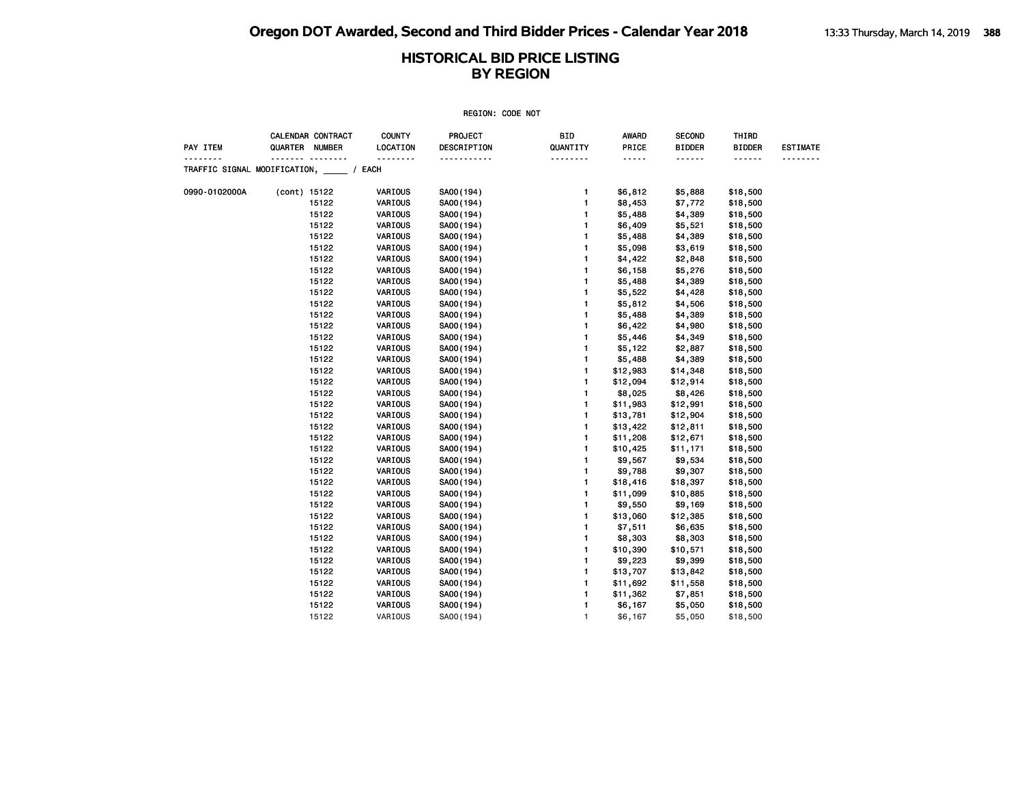REGION: CODE NOT

| PAY ITEM                                  |              | CALENDAR CONTRACT<br>QUARTER NUMBER | <b>COUNTY</b><br>LOCATION | <b>PROJECT</b><br>DESCRIPTION | BID<br>QUANTITY | <b>AWARD</b><br>PRICE | <b>SECOND</b><br><b>BIDDER</b> | THIRD<br><b>BIDDER</b> | <b>ESTIMATE</b> |
|-------------------------------------------|--------------|-------------------------------------|---------------------------|-------------------------------|-----------------|-----------------------|--------------------------------|------------------------|-----------------|
|                                           |              | <u> </u>                            |                           |                               | .               | -----                 |                                | ------                 |                 |
| TRAFFIC SIGNAL MODIFICATION, _____ / EACH |              |                                     |                           |                               |                 |                       |                                |                        |                 |
| 0990-0102000A                             | (cont) 15122 |                                     | VARIOUS                   | SA00(194)                     | $\mathbf{1}$    | \$6,812               | \$5,888                        | \$18,500               |                 |
|                                           |              | 15122                               | VARIOUS                   | SA00(194)                     | 1               | \$8,453               | \$7,772                        | \$18,500               |                 |
|                                           |              | 15122                               | VARIOUS                   | SA00(194)                     | 1               | \$5,488               | \$4,389                        | \$18,500               |                 |
|                                           |              | 15122                               | VARIOUS                   | SA00(194)                     | $\mathbf{1}$    | \$6,409               | \$5,521                        | \$18,500               |                 |
|                                           |              | 15122                               | VARIOUS                   | SA00(194)                     | 1               | \$5,488               | \$4,389                        | \$18,500               |                 |
|                                           |              | 15122                               | VARIOUS                   | SA00(194)                     | 1               | \$5,098               | \$3,619                        | \$18,500               |                 |
|                                           |              | 15122                               | VARIOUS                   | SA00(194)                     | 1               | \$4,422               | \$2,848                        | \$18,500               |                 |
|                                           |              | 15122                               | VARIOUS                   | SA00(194)                     | 1               | \$6,158               | \$5,276                        | \$18,500               |                 |
|                                           |              | 15122                               | VARIOUS                   | SA00(194)                     | $\mathbf{1}$    | \$5,488               | \$4,389                        | \$18,500               |                 |
|                                           |              | 15122                               | VARIOUS                   | SA00(194)                     | 1               | \$5,522               | \$4,428                        | \$18,500               |                 |
|                                           |              | 15122                               | VARIOUS                   | SA00(194)                     | $\mathbf{1}$    | \$5,812               | \$4,506                        | \$18,500               |                 |
|                                           |              | 15122                               | VARIOUS                   | SA00(194)                     | 1               | \$5,488               | \$4,389                        | \$18,500               |                 |
|                                           |              | 15122                               | VARIOUS                   | SA00(194)                     | 1               | \$6,422               | \$4,980                        | \$18,500               |                 |
|                                           |              | 15122                               | VARIOUS                   | SA00(194)                     | 1               | \$5,446               | \$4,349                        | \$18,500               |                 |
|                                           |              | 15122                               | VARIOUS                   | SA00(194)                     | 1               | \$5,122               | \$2,887                        | \$18,500               |                 |
|                                           |              | 15122                               | VARIOUS                   | SA00(194)                     | $\mathbf{1}$    | \$5,488               | \$4,389                        | \$18,500               |                 |
|                                           |              | 15122                               | VARIOUS                   | SA00(194)                     | 1               | \$12,983              | \$14,348                       | \$18,500               |                 |
|                                           |              | 15122                               | VARIOUS                   | SA00(194)                     | $\mathbf{1}$    | \$12,094              | \$12,914                       | \$18,500               |                 |
|                                           |              | 15122                               | VARIOUS                   | SA00(194)                     | 1               | \$8,025               | \$8,426                        | \$18,500               |                 |
|                                           |              | 15122                               | VARIOUS                   | SA00(194)                     | 1               | \$11,983              | \$12,991                       | \$18,500               |                 |
|                                           |              | 15122                               | VARIOUS                   | SA00(194)                     | 1               | \$13,781              | \$12,904                       | \$18,500               |                 |
|                                           |              | 15122                               | VARIOUS                   | SA00(194)                     | 1               | \$13,422              | \$12,811                       | \$18,500               |                 |
|                                           |              | 15122                               | VARIOUS                   | SA00(194)                     | 1               | \$11,208              | \$12,671                       | \$18,500               |                 |
|                                           |              | 15122                               | VARIOUS                   | SA00(194)                     | 1               | \$10,425              | \$11,171                       | \$18,500               |                 |
|                                           |              | 15122                               | VARIOUS                   | SA00(194)                     | 1               | \$9,567               | \$9,534                        | \$18,500               |                 |
|                                           |              | 15122                               | VARIOUS                   | SA00(194)                     | 1               | \$9,788               | \$9,307                        | \$18,500               |                 |
|                                           |              | 15122                               | VARIOUS                   | SA00(194)                     | $\mathbf{1}$    | \$18,416              | \$18,397                       | \$18,500               |                 |
|                                           |              | 15122                               | VARIOUS                   | SA00(194)                     | 1               | \$11,099              | \$10,885                       | \$18,500               |                 |
|                                           |              | 15122                               | VARIOUS                   | SA00(194)                     | 1               | \$9,550               | \$9,169                        | \$18,500               |                 |
|                                           |              | 15122                               | VARIOUS                   | SA00(194)                     | 1               | \$13,060              | \$12,385                       | \$18,500               |                 |
|                                           |              | 15122                               | VARIOUS                   | SA00(194)                     | 1               | \$7,511               | \$6,635                        | \$18,500               |                 |
|                                           |              | 15122                               | VARIOUS                   | SA00(194)                     | $\mathbf{1}$    | \$8,303               | \$8,303                        | \$18,500               |                 |
|                                           |              | 15122                               | VARIOUS                   | SA00(194)                     | 1               | \$10,390              | \$10,571                       | \$18,500               |                 |
|                                           |              | 15122                               | VARIOUS                   | SA00(194)                     | 1               | \$9,223               | \$9,399                        | \$18,500               |                 |
|                                           |              | 15122                               | VARIOUS                   | SA00(194)                     | 1               | \$13,707              | \$13,842                       | \$18,500               |                 |
|                                           |              | 15122                               | VARIOUS                   | SA00(194)                     | $\mathbf{1}$    | \$11,692              | \$11,558                       | \$18,500               |                 |
|                                           |              | 15122                               | VARIOUS                   | SA00(194)                     | 1               | \$11,362              | \$7,851                        | \$18,500               |                 |
|                                           |              | 15122                               |                           |                               | 1               |                       |                                | \$18,500               |                 |
|                                           |              |                                     | VARIOUS                   | SA00(194)                     |                 | \$6,167               | \$5,050                        |                        |                 |
|                                           |              | 15122                               | VARIOUS                   | SA00 (194)                    | $\mathbf{1}$    | \$6,167               | \$5,050                        | \$18,500               |                 |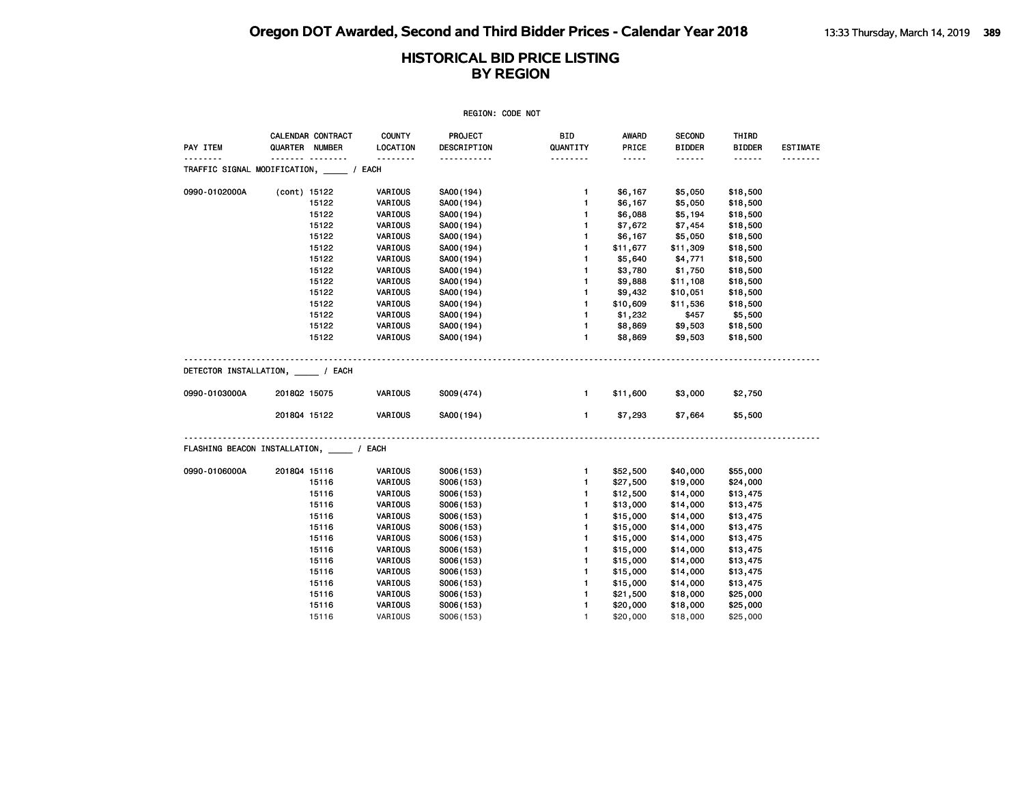| REGION: CODE NOT |                                                |                       |                        |                       |                                                                                                                           |                                |                        |                 |  |
|------------------|------------------------------------------------|-----------------------|------------------------|-----------------------|---------------------------------------------------------------------------------------------------------------------------|--------------------------------|------------------------|-----------------|--|
| PAY ITEM         | CALENDAR CONTRACT<br>QUARTER NUMBER            | COUNTY<br>LOCATION    | PROJECT<br>DESCRIPTION | BID<br>QUANTITY       | AWARD<br>PRICE                                                                                                            | <b>SECOND</b><br><b>BIDDER</b> | THIRD<br><b>BIDDER</b> | <b>ESTIMATE</b> |  |
|                  | .<br>TRAFFIC SIGNAL MODIFICATION, _____ / EACH | <u> - - - - - - -</u> | <u>.</u>               | <u> - - - - - - -</u> | $\frac{1}{2} \left( \frac{1}{2} \right) \left( \frac{1}{2} \right) \left( \frac{1}{2} \right) \left( \frac{1}{2} \right)$ | ------                         | ------                 |                 |  |
| 0990-0102000A    | (cont) 15122                                   | VARIOUS               | SA00(194)              | $\mathbf{1}$          | \$6,167                                                                                                                   | \$5,050                        | \$18,500               |                 |  |
|                  | 15122                                          | VARIOUS               | SA00(194)              | $\mathbf{1}$          | \$6,167                                                                                                                   | \$5,050                        | \$18,500               |                 |  |
|                  | 15122                                          | VARIOUS               | SA00(194)              | $\mathbf{1}$          | \$6,088                                                                                                                   | \$5,194                        | \$18,500               |                 |  |
|                  | 15122                                          | VARIOUS               | SA00(194)              | $\mathbf{1}$          | \$7,672                                                                                                                   | \$7,454                        | \$18,500               |                 |  |
|                  | 15122                                          | VARIOUS               | SA00(194)              | $\mathbf{1}$          | \$6,167                                                                                                                   | \$5,050                        | \$18,500               |                 |  |
|                  | 15122                                          | VARIOUS               | SA00(194)              | $\mathbf{1}$          | \$11,677                                                                                                                  | \$11,309                       | \$18,500               |                 |  |
|                  | 15122                                          | VARIOUS               | SA00(194)              | $\mathbf{1}$          | \$5,640                                                                                                                   | \$4,771                        | \$18,500               |                 |  |
|                  | 15122                                          | VARIOUS               | SA00(194)              | $\mathbf{1}$          | \$3,780                                                                                                                   | \$1,750                        | \$18,500               |                 |  |
|                  | 15122                                          | VARIOUS               | SA00(194)              | $\mathbf{1}$          | \$9,888                                                                                                                   | \$11,108                       | \$18,500               |                 |  |
|                  | 15122                                          | VARIOUS               | SA00(194)              | $\mathbf{1}$          | \$9,432                                                                                                                   | \$10,051                       | \$18,500               |                 |  |
|                  | 15122                                          | <b>VARIOUS</b>        | SA00(194)              | $\mathbf{1}$          | \$10,609                                                                                                                  | \$11,536                       | \$18,500               |                 |  |
|                  | 15122                                          | VARIOUS               | SA00(194)              | $\mathbf{1}$          | \$1,232                                                                                                                   | \$457                          | \$5,500                |                 |  |
|                  | 15122                                          | VARIOUS               | SA00(194)              | $\mathbf{1}$          | \$8,869                                                                                                                   | \$9,503                        | \$18,500               |                 |  |
|                  | 15122                                          | VARIOUS               | SA00(194)              | $\mathbf{1}$          | \$8,869                                                                                                                   | \$9,503                        | \$18,500               |                 |  |
|                  | DETECTOR INSTALLATION, / EACH                  |                       |                        |                       |                                                                                                                           |                                |                        |                 |  |
| 0990-0103000A    | 201802 15075                                   | <b>VARIOUS</b>        | S009(474)              | $\mathbf{1}$          | \$11,600                                                                                                                  | \$3,000                        | \$2,750                |                 |  |
|                  | 201804 15122                                   | VARIOUS               | SA00(194)              | $\mathbf{1}$          | \$7,293                                                                                                                   | \$7,664                        | \$5,500                |                 |  |
|                  | FLASHING BEACON INSTALLATION, _____ / EACH     |                       |                        |                       |                                                                                                                           |                                |                        |                 |  |
| 0990-0106000A    | 201804 15116                                   | VARIOUS               | S006(153)              | $\mathbf{1}$          | \$52,500                                                                                                                  | \$40,000                       | \$55,000               |                 |  |
|                  | 15116                                          | VARIOUS               | S006(153)              | $\mathbf{1}$          | \$27,500                                                                                                                  | \$19,000                       | \$24,000               |                 |  |
|                  | 15116                                          | VARIOUS               | S006(153)              | $\mathbf{1}$          | \$12,500                                                                                                                  | \$14,000                       | \$13,475               |                 |  |
|                  | 15116                                          | VARIOUS               | S006(153)              | $\mathbf{1}$          | \$13,000                                                                                                                  | \$14,000                       | \$13,475               |                 |  |
|                  | 15116                                          | VARIOUS               | S006(153)              | $\mathbf{1}$          | \$15,000                                                                                                                  | \$14,000                       | \$13,475               |                 |  |
|                  | 15116                                          | VARIOUS               | S006(153)              | $\mathbf{1}$          | \$15,000                                                                                                                  | \$14,000                       | \$13,475               |                 |  |
|                  | 15116                                          | VARIOUS               | S006(153)              | $\mathbf{1}$          | \$15,000                                                                                                                  | \$14,000                       | \$13,475               |                 |  |
|                  | 15116                                          | <b>VARIOUS</b>        | S006(153)              | 1                     | \$15,000                                                                                                                  | \$14,000                       | \$13,475               |                 |  |
|                  | 15116                                          | VARIOUS               | S006(153)              | $\mathbf{1}$          | \$15,000                                                                                                                  | \$14,000                       | \$13,475               |                 |  |
|                  | 15116                                          | VARIOUS               | S006(153)              | $\mathbf{1}$          | \$15,000                                                                                                                  | \$14,000                       | \$13,475               |                 |  |
|                  | 15116                                          | VARIOUS               | S006(153)              | $\mathbf{1}$          | \$15,000                                                                                                                  | \$14,000                       | \$13,475               |                 |  |
|                  | 15116                                          | VARIOUS               | S006(153)              | $\mathbf{1}$          | \$21,500                                                                                                                  | \$18,000                       | \$25,000               |                 |  |
|                  | 15116                                          | VARIOUS               | S006(153)              | $\mathbf{1}$          | \$20,000                                                                                                                  | \$18,000                       | \$25,000               |                 |  |

15116 VARIOUS S006(153) 1 \$20,000 \$18,000 \$25,000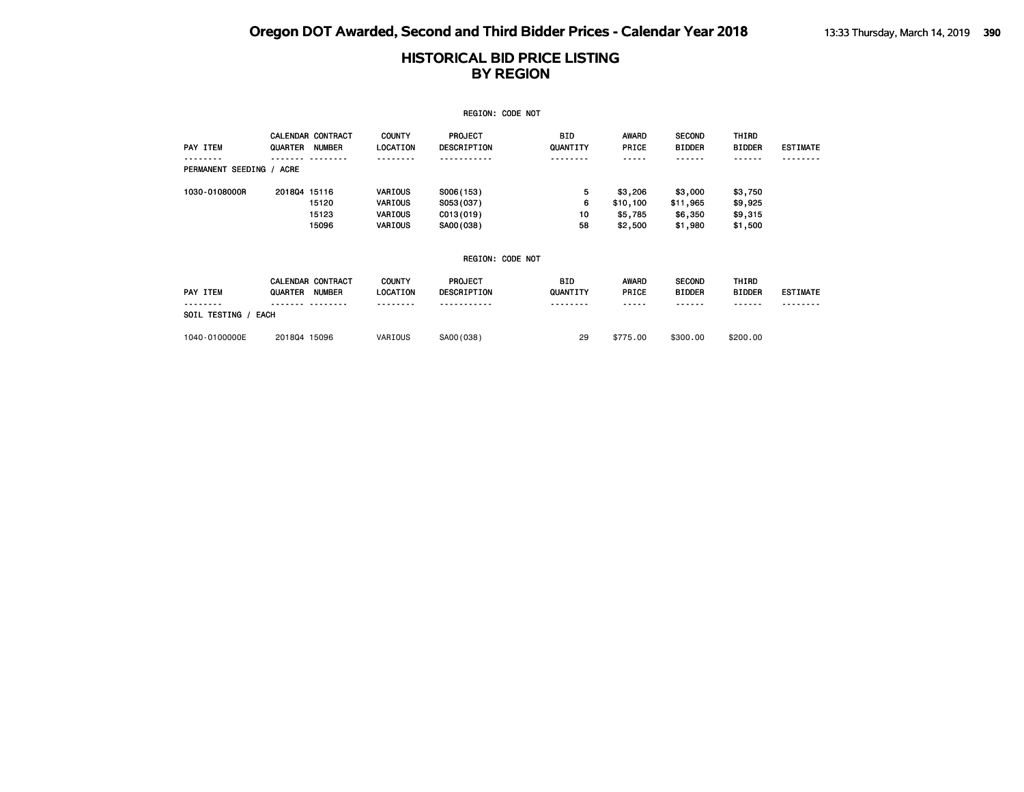|                          |                                                      |                                          | <b>REGION: CODE NOT</b>                          |                        |                                           |                                           |                                          |                 |
|--------------------------|------------------------------------------------------|------------------------------------------|--------------------------------------------------|------------------------|-------------------------------------------|-------------------------------------------|------------------------------------------|-----------------|
| PAY ITEM                 | <b>CALENDAR CONTRACT</b><br>QUARTER<br><b>NUMBER</b> | <b>COUNTY</b><br>LOCATION                | <b>PROJECT</b><br>DESCRIPTION                    | <b>BID</b><br>QUANTITY | <b>AWARD</b><br>PRICE                     | <b>SECOND</b><br><b>BIDDER</b>            | THIRD<br><b>BIDDER</b>                   | <b>ESTIMATE</b> |
| PERMANENT SEEDING / ACRE |                                                      |                                          |                                                  |                        |                                           |                                           |                                          |                 |
| 1030-0108000R            | 201804 15116<br>15120<br>15123<br>15096              | VARIOUS<br>VARIOUS<br>VARIOUS<br>VARIOUS | S006(153)<br>S053(037)<br>CO13(019)<br>SA00(038) | 5<br>6<br>10<br>58     | \$3,206<br>\$10,100<br>\$5,785<br>\$2,500 | \$3,000<br>\$11,965<br>\$6,350<br>\$1,980 | \$3,750<br>\$9,925<br>\$9,315<br>\$1,500 |                 |
|                          |                                                      |                                          | <b>REGION: CODE NOT</b>                          |                        |                                           |                                           |                                          |                 |
| PAY ITEM                 | <b>CALENDAR CONTRACT</b><br><b>NUMBER</b><br>QUARTER | <b>COUNTY</b><br>LOCATION                | <b>PROJECT</b><br>DESCRIPTION                    | <b>BID</b><br>QUANTITY | <b>AWARD</b><br>PRICE                     | <b>SECOND</b><br><b>BIDDER</b>            | THIRD<br><b>BIDDER</b>                   | <b>ESTIMATE</b> |
| SOIL TESTING / EACH      |                                                      |                                          |                                                  |                        |                                           |                                           |                                          |                 |
| 1040-0100000E            | 201804 15096                                         | VARIOUS                                  | SA00(038)                                        | 29                     | \$775.00                                  | \$300.00                                  | \$200.00                                 |                 |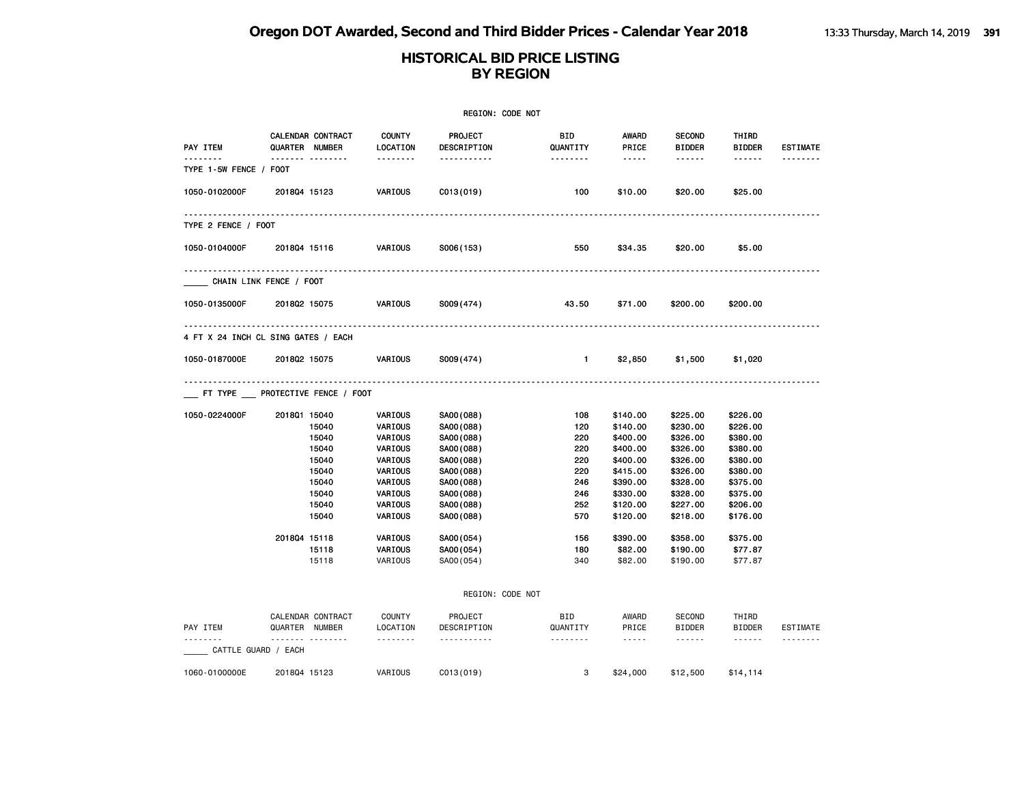|                             | REGION: CODE NOT                                                                                                                                     |                                                                                                                                                       |                                                                                                                                                                                                      |                                                                                                |                                                                                                                                                                 |                                                                                                                                                                           |                                                                                                                                                                                                                                                                                                                                                                                                                                                                                             |                      |  |  |
|-----------------------------|------------------------------------------------------------------------------------------------------------------------------------------------------|-------------------------------------------------------------------------------------------------------------------------------------------------------|------------------------------------------------------------------------------------------------------------------------------------------------------------------------------------------------------|------------------------------------------------------------------------------------------------|-----------------------------------------------------------------------------------------------------------------------------------------------------------------|---------------------------------------------------------------------------------------------------------------------------------------------------------------------------|---------------------------------------------------------------------------------------------------------------------------------------------------------------------------------------------------------------------------------------------------------------------------------------------------------------------------------------------------------------------------------------------------------------------------------------------------------------------------------------------|----------------------|--|--|
| PAY ITEM                    | CALENDAR CONTRACT<br>QUARTER NUMBER                                                                                                                  | <b>COUNTY</b><br>LOCATION                                                                                                                             | PROJECT<br>DESCRIPTION                                                                                                                                                                               | BID<br>QUANTITY                                                                                | AWARD<br>PRICE                                                                                                                                                  | <b>SECOND</b><br><b>BIDDER</b>                                                                                                                                            | THIRD<br><b>BIDDER</b>                                                                                                                                                                                                                                                                                                                                                                                                                                                                      | <b>ESTIMATE</b>      |  |  |
| .<br>TYPE 1-5W FENCE / FOOT | .                                                                                                                                                    | .                                                                                                                                                     | .                                                                                                                                                                                                    | <u>.</u>                                                                                       | $- - - - -$                                                                                                                                                     | $- - - - - -$                                                                                                                                                             |                                                                                                                                                                                                                                                                                                                                                                                                                                                                                             | <u>.</u>             |  |  |
| 1050-0102000F               | 201804 15123                                                                                                                                         | VARIOUS                                                                                                                                               | CO13(019)                                                                                                                                                                                            | 100                                                                                            | \$10.00                                                                                                                                                         | \$20.00                                                                                                                                                                   | \$25.00                                                                                                                                                                                                                                                                                                                                                                                                                                                                                     |                      |  |  |
| TYPE 2 FENCE / FOOT         |                                                                                                                                                      |                                                                                                                                                       |                                                                                                                                                                                                      |                                                                                                |                                                                                                                                                                 |                                                                                                                                                                           |                                                                                                                                                                                                                                                                                                                                                                                                                                                                                             |                      |  |  |
| 1050-0104000F               | 201804 15116                                                                                                                                         | VARIOUS                                                                                                                                               | S006(153)                                                                                                                                                                                            | 550                                                                                            | \$34.35                                                                                                                                                         | \$20.00                                                                                                                                                                   | \$5.00                                                                                                                                                                                                                                                                                                                                                                                                                                                                                      |                      |  |  |
|                             | CHAIN LINK FENCE / FOOT                                                                                                                              |                                                                                                                                                       |                                                                                                                                                                                                      |                                                                                                |                                                                                                                                                                 |                                                                                                                                                                           |                                                                                                                                                                                                                                                                                                                                                                                                                                                                                             |                      |  |  |
| 1050-0135000F               | 201802 15075                                                                                                                                         | VARIOUS                                                                                                                                               | S009(474)                                                                                                                                                                                            | 43.50                                                                                          | \$71.00                                                                                                                                                         | \$200.00                                                                                                                                                                  | \$200.00                                                                                                                                                                                                                                                                                                                                                                                                                                                                                    |                      |  |  |
|                             | 4 FT X 24 INCH CL SING GATES / EACH                                                                                                                  |                                                                                                                                                       |                                                                                                                                                                                                      |                                                                                                |                                                                                                                                                                 |                                                                                                                                                                           |                                                                                                                                                                                                                                                                                                                                                                                                                                                                                             |                      |  |  |
| 1050-0187000E               | 201802 15075                                                                                                                                         | VARIOUS                                                                                                                                               | S009(474)                                                                                                                                                                                            | $\mathbf{1}$                                                                                   | \$2,850                                                                                                                                                         | \$1,500                                                                                                                                                                   | \$1,020                                                                                                                                                                                                                                                                                                                                                                                                                                                                                     |                      |  |  |
|                             | __ FT TYPE __ PROTECTIVE FENCE / FOOT                                                                                                                |                                                                                                                                                       |                                                                                                                                                                                                      |                                                                                                |                                                                                                                                                                 |                                                                                                                                                                           |                                                                                                                                                                                                                                                                                                                                                                                                                                                                                             |                      |  |  |
| 1050-0224000F               | 2018Q1 15040<br>15040<br>15040<br>15040<br>15040<br>15040<br>15040<br>15040<br>15040<br>15040<br>201804 15118<br>15118<br>15118<br>CALENDAR CONTRACT | VARIOUS<br>VARIOUS<br>VARIOUS<br>VARIOUS<br>VARIOUS<br>VARIOUS<br>VARIOUS<br>VARIOUS<br>VARIOUS<br>VARIOUS<br>VARIOUS<br>VARIOUS<br>VARIOUS<br>COUNTY | SA00(088)<br>SA00(088)<br>SA00(088)<br>SA00(088)<br>SA00(088)<br>SA00(088)<br>SA00(088)<br>SA00(088)<br>SA00(088)<br>SA00(088)<br>SA00(054)<br>SA00(054)<br>SA00(054)<br>REGION: CODE NOT<br>PROJECT | 108<br>120<br>220<br>220<br>220<br>220<br>246<br>246<br>252<br>570<br>156<br>180<br>340<br>BID | \$140.00<br>\$140.00<br>\$400.00<br>\$400.00<br>\$400.00<br>\$415.00<br>\$390.00<br>\$330.00<br>\$120.00<br>\$120.00<br>\$390.00<br>\$82.00<br>\$82.00<br>AWARD | \$225.00<br>\$230.00<br>\$326.00<br>\$326.00<br>\$326.00<br>\$326.00<br>\$328.00<br>\$328.00<br>\$227.00<br>\$218.00<br>\$358.00<br>\$190.00<br>\$190.00<br><b>SECOND</b> | \$226.00<br>\$226.00<br>\$380.00<br>\$380.00<br>\$380.00<br>\$380.00<br>\$375.00<br>\$375.00<br>\$206.00<br>\$176.00<br>\$375.00<br>\$77.87<br>\$77.87<br>THIRD                                                                                                                                                                                                                                                                                                                             |                      |  |  |
| PAY ITEM                    | QUARTER NUMBER<br>                                                                                                                                   | LOCATION<br><u>.</u>                                                                                                                                  | DESCRIPTION<br>.                                                                                                                                                                                     | QUANTITY<br>--------                                                                           | PRICE<br>$\frac{1}{2} \frac{1}{2} \frac{1}{2} \frac{1}{2} \frac{1}{2} \frac{1}{2} \frac{1}{2} \frac{1}{2} \frac{1}{2} \frac{1}{2}$                              | <b>BIDDER</b>                                                                                                                                                             | <b>BIDDER</b><br>$\frac{1}{2} \left( \frac{1}{2} \right) \left( \frac{1}{2} \right) \left( \frac{1}{2} \right) \left( \frac{1}{2} \right) \left( \frac{1}{2} \right) \left( \frac{1}{2} \right) \left( \frac{1}{2} \right) \left( \frac{1}{2} \right) \left( \frac{1}{2} \right) \left( \frac{1}{2} \right) \left( \frac{1}{2} \right) \left( \frac{1}{2} \right) \left( \frac{1}{2} \right) \left( \frac{1}{2} \right) \left( \frac{1}{2} \right) \left( \frac{1}{2} \right) \left( \frac$ | ESTIMATE<br><u>.</u> |  |  |
| CATTLE GUARD / EACH         |                                                                                                                                                      |                                                                                                                                                       |                                                                                                                                                                                                      |                                                                                                |                                                                                                                                                                 |                                                                                                                                                                           |                                                                                                                                                                                                                                                                                                                                                                                                                                                                                             |                      |  |  |
| 1060-0100000E               | 201804 15123                                                                                                                                         | VARIOUS                                                                                                                                               | C013(019)                                                                                                                                                                                            | 3                                                                                              | \$24,000                                                                                                                                                        | \$12,500                                                                                                                                                                  | \$14,114                                                                                                                                                                                                                                                                                                                                                                                                                                                                                    |                      |  |  |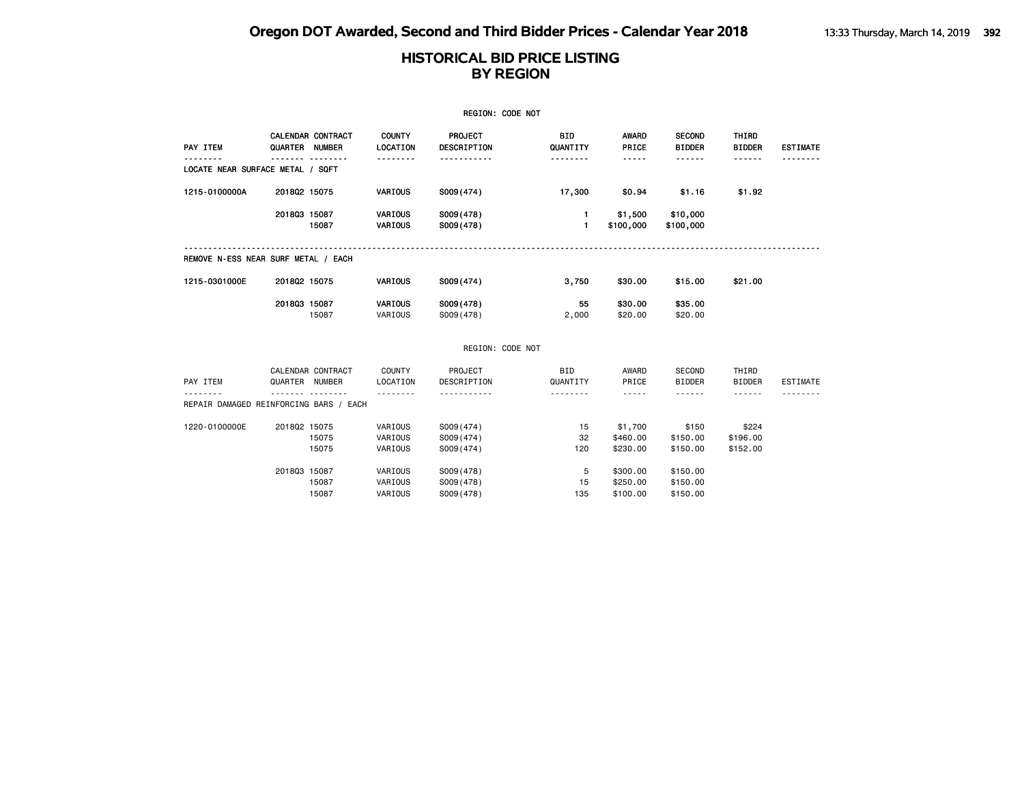|                                        |              |                                     |                                | REGION: CODE NOT                    |                              |                                      |                                          |                                  |                 |
|----------------------------------------|--------------|-------------------------------------|--------------------------------|-------------------------------------|------------------------------|--------------------------------------|------------------------------------------|----------------------------------|-----------------|
| PAY ITEM                               |              | CALENDAR CONTRACT<br>QUARTER NUMBER | <b>COUNTY</b><br>LOCATION<br>. | PROJECT<br>DESCRIPTION              | <b>BID</b><br>QUANTITY<br>.  | <b>AWARD</b><br>PRICE<br>$- - - - -$ | <b>SECOND</b><br><b>BIDDER</b><br>------ | THIRD<br><b>BIDDER</b><br>------ | <b>ESTIMATE</b> |
| LOCATE NEAR SURFACE METAL / SQFT       |              |                                     |                                |                                     |                              |                                      |                                          |                                  |                 |
| 1215-0100000A                          | 201802 15075 |                                     | VARIOUS                        | S009(474)                           | 17,300                       | \$0.94                               | \$1.16                                   | \$1.92                           |                 |
|                                        | 201803 15087 | 15087                               | VARIOUS<br>VARIOUS             | S009(478)<br>S009(478)              | $\mathbf{1}$<br>$\mathbf{1}$ | \$1,500<br>\$100,000                 | \$10,000<br>\$100,000                    |                                  |                 |
| REMOVE N-ESS NEAR SURF METAL / EACH    |              |                                     |                                |                                     |                              |                                      |                                          |                                  |                 |
| 1215-0301000E                          | 201802 15075 |                                     | VARIOUS                        | S009(474)                           | 3,750                        | \$30.00                              | \$15.00                                  | \$21.00                          |                 |
|                                        | 201803 15087 | 15087                               | VARIOUS<br>VARIOUS             | S009(478)<br>S009(478)              | 55<br>2,000                  | \$30.00<br>\$20.00                   | \$35.00<br>\$20.00                       |                                  |                 |
|                                        |              |                                     |                                | REGION: CODE NOT                    |                              |                                      |                                          |                                  |                 |
| PAY ITEM                               |              | CALENDAR CONTRACT<br>QUARTER NUMBER | COUNTY<br>LOCATION             | PROJECT<br>DESCRIPTION              | <b>BID</b><br>QUANTITY       | AWARD<br>PRICE                       | SECOND<br><b>BIDDER</b>                  | THIRD<br><b>BIDDER</b>           | <b>ESTIMATE</b> |
| REPAIR DAMAGED REINFORCING BARS / EACH |              |                                     |                                |                                     | .                            | $- - - - -$                          | ------                                   | ------                           |                 |
| 1220-0100000E                          | 201802 15075 | 15075<br>15075                      | VARIOUS<br>VARIOUS<br>VARIOUS  | S009(474)<br>S009(474)<br>S009(474) | 15<br>32<br>120              | \$1,700<br>\$460.00<br>\$230.00      | \$150<br>\$150.00<br>\$150.00            | \$224<br>\$196.00<br>\$152.00    |                 |
|                                        | 201803 15087 | 15087<br>15087                      | VARIOUS<br>VARIOUS<br>VARIOUS  | S009(478)<br>S009(478)<br>S009(478) | 5<br>15<br>135               | \$300.00<br>\$250.00<br>\$100.00     | \$150.00<br>\$150.00<br>\$150.00         |                                  |                 |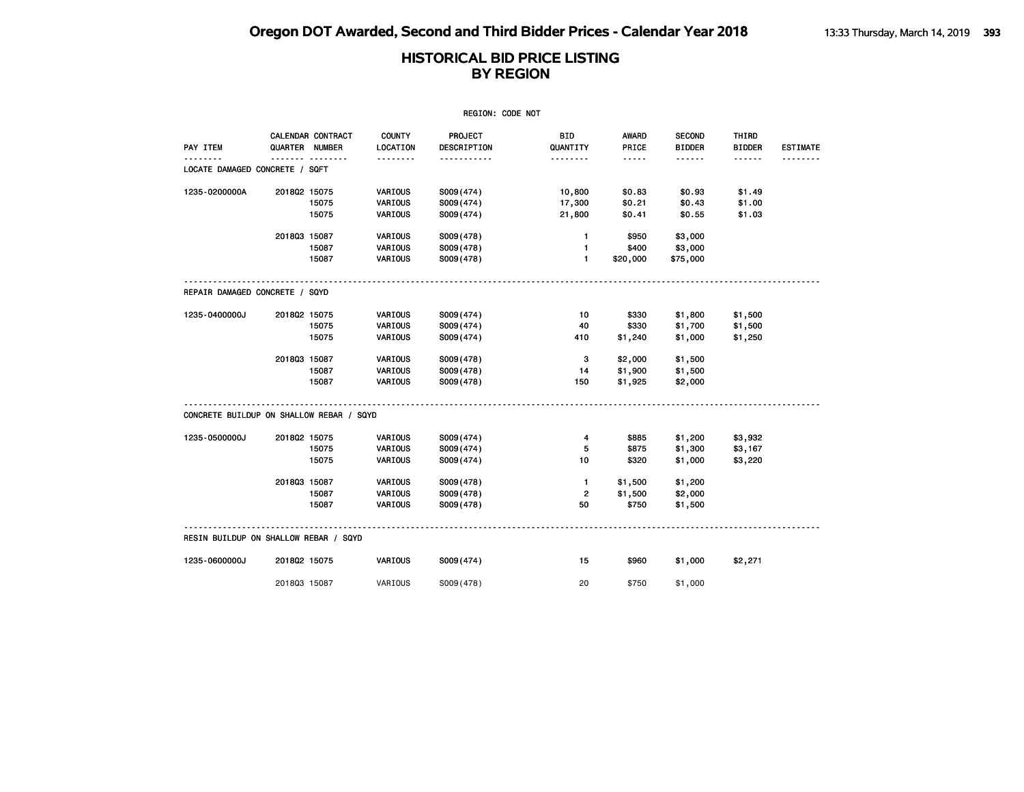| <b>REGION: CODE NOT</b>                  |              |                                     |                           |                               |                 |                |                                |                        |                 |  |
|------------------------------------------|--------------|-------------------------------------|---------------------------|-------------------------------|-----------------|----------------|--------------------------------|------------------------|-----------------|--|
| PAY ITEM                                 |              | CALENDAR CONTRACT<br>QUARTER NUMBER | <b>COUNTY</b><br>LOCATION | PROJECT<br><b>DESCRIPTION</b> | BID<br>QUANTITY | AWARD<br>PRICE | <b>SECOND</b><br><b>BIDDER</b> | THIRD<br><b>BIDDER</b> | <b>ESTIMATE</b> |  |
| LOCATE DAMAGED CONCRETE / SQFT           |              | <u> </u>                            | --------                  |                               | <u>.</u>        | $- - - - -$    | ------                         | ------                 |                 |  |
| 1235-0200000A                            | 2018Q2 15075 |                                     | VARIOUS                   | S009(474)                     | 10,800          | \$0.83         | \$0.93                         | \$1.49                 |                 |  |
|                                          |              | 15075                               | VARIOUS                   | S009(474)                     | 17,300          | \$0.21         | \$0.43                         | \$1.00                 |                 |  |
|                                          |              | 15075                               | VARIOUS                   | S009(474)                     | 21,800          | \$0.41         | \$0.55                         | \$1.03                 |                 |  |
|                                          | 201803 15087 |                                     | VARIOUS                   | S009(478)                     | $\mathbf{1}$    | \$950          | \$3,000                        |                        |                 |  |
|                                          |              | 15087                               | VARIOUS                   | S009(478)                     | $\mathbf{1}$    | \$400          | \$3,000                        |                        |                 |  |
|                                          |              | 15087                               | VARIOUS                   | S009(478)                     | $\mathbf{1}$    | \$20,000       | \$75,000                       |                        |                 |  |
| REPAIR DAMAGED CONCRETE / SQYD           |              |                                     |                           |                               |                 |                |                                |                        |                 |  |
| 1235-0400000J                            | 201802 15075 |                                     | VARIOUS                   | S009(474)                     | 10              | \$330          | \$1,800                        | \$1,500                |                 |  |
|                                          |              | 15075                               | VARIOUS                   | S009(474)                     | 40              | \$330          | \$1,700                        | \$1,500                |                 |  |
|                                          |              | 15075                               | VARIOUS                   | S009(474)                     | 410             | \$1,240        | \$1,000                        | \$1,250                |                 |  |
|                                          | 201803 15087 |                                     | VARIOUS                   | S009(478)                     | 3               | \$2,000        | \$1,500                        |                        |                 |  |
|                                          |              | 15087                               | VARIOUS                   | S009(478)                     | 14              | \$1,900        | \$1,500                        |                        |                 |  |
|                                          |              | 15087                               | VARIOUS                   | S009(478)                     | 150             | \$1,925        | \$2,000                        |                        |                 |  |
| CONCRETE BUILDUP ON SHALLOW REBAR / SQYD |              |                                     |                           |                               |                 |                |                                |                        |                 |  |
| 1235-0500000J                            | 201802 15075 |                                     | VARIOUS                   | S009(474)                     | 4               | \$885          | \$1,200                        | \$3,932                |                 |  |
|                                          |              | 15075                               | VARIOUS                   | S009(474)                     | 5               | \$875          | \$1,300                        | \$3,167                |                 |  |
|                                          |              | 15075                               | VARIOUS                   | S009(474)                     | 10              | \$320          | \$1,000                        | \$3,220                |                 |  |
|                                          | 201803 15087 |                                     | VARIOUS                   | S009(478)                     | $\mathbf{1}$    | \$1,500        | \$1,200                        |                        |                 |  |
|                                          |              | 15087                               | VARIOUS                   | S009(478)                     | $\overline{2}$  | \$1,500        | \$2,000                        |                        |                 |  |
|                                          |              | 15087                               | VARIOUS                   | S009(478)                     | 50              | \$750          | \$1,500                        |                        |                 |  |
| RESIN BUILDUP ON SHALLOW REBAR / SQYD    |              |                                     |                           |                               |                 |                |                                |                        |                 |  |
| 1235-0600000J                            | 201802 15075 |                                     | VARIOUS                   | S009(474)                     | 15              | \$960          | \$1,000                        | \$2,271                |                 |  |
|                                          | 201803 15087 |                                     | VARIOUS                   | S009(478)                     | 20              | \$750          | \$1,000                        |                        |                 |  |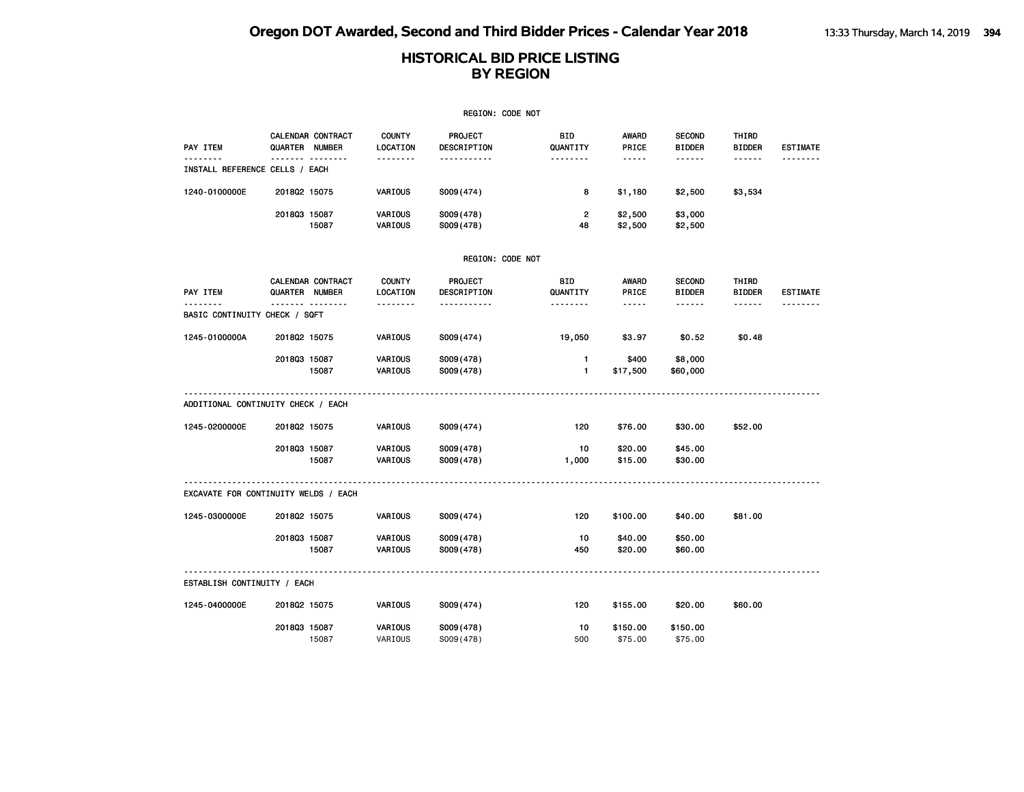|                                      |              |                                                   |                           | REGION: CODE NOT            |                        |                         |                                     |                                  |                 |
|--------------------------------------|--------------|---------------------------------------------------|---------------------------|-----------------------------|------------------------|-------------------------|-------------------------------------|----------------------------------|-----------------|
| PAY ITEM                             |              | CALENDAR CONTRACT<br>QUARTER NUMBER               | <b>COUNTY</b><br>LOCATION | PROJECT<br>DESCRIPTION      | <b>BID</b><br>QUANTITY | <b>AWARD</b><br>PRICE   | <b>SECOND</b><br><b>BIDDER</b>      | THIRD<br><b>BIDDER</b>           | <b>ESTIMATE</b> |
| INSTALL REFERENCE CELLS / EACH       |              | <u>------- --------</u>                           | .                         | .                           | --------               | -----                   | .                                   | ------                           |                 |
| 1240-0100000E                        | 2018Q2 15075 |                                                   | VARIOUS                   | S009(474)                   | 8                      | \$1,180                 | \$2,500                             | \$3,534                          |                 |
|                                      | 2018Q3 15087 | 15087                                             | VARIOUS<br>VARIOUS        | S009(478)<br>S009(478)      | 2<br>48                | \$2,500<br>\$2,500      | \$3,000<br>\$2,500                  |                                  |                 |
|                                      |              |                                                   |                           | REGION: CODE NOT            |                        |                         |                                     |                                  |                 |
| PAY ITEM                             | <u>.</u> .   | CALENDAR CONTRACT<br>QUARTER NUMBER<br>. <b>.</b> | <b>COUNTY</b><br>LOCATION | PROJECT<br>DESCRIPTION<br>. | BID<br>QUANTITY<br>.   | AWARD<br>PRICE<br>----- | <b>SECOND</b><br><b>BIDDER</b><br>. | THIRD<br><b>BIDDER</b><br>------ | ESTIMATE<br>.   |
| BASIC CONTINUITY CHECK / SQFT        |              |                                                   | --------                  |                             |                        |                         |                                     |                                  |                 |
| 1245-0100000A                        | 201802 15075 |                                                   | <b>VARIOUS</b>            | S009(474)                   | 19,050                 | \$3.97                  | \$0.52                              | \$0.48                           |                 |
|                                      | 201803 15087 | 15087                                             | VARIOUS<br>VARIOUS        | S009(478)<br>S009(478)      | 1<br>1                 | \$400<br>\$17,500       | \$8,000<br>\$60,000                 |                                  |                 |
| ADDITIONAL CONTINUITY CHECK / EACH   |              |                                                   |                           |                             |                        |                         |                                     |                                  |                 |
| 1245-0200000E                        | 201802 15075 |                                                   | VARIOUS                   | S009(474)                   | 120                    | \$76.00                 | \$30.00                             | \$52.00                          |                 |
|                                      | 2018Q3 15087 | 15087                                             | VARIOUS<br>VARIOUS        | S009(478)<br>S009(478)      | 10<br>1,000            | \$20.00<br>\$15.00      | \$45.00<br>\$30.00                  |                                  |                 |
| EXCAVATE FOR CONTINUITY WELDS / EACH |              |                                                   |                           |                             |                        |                         |                                     |                                  |                 |
| 1245-0300000E                        | 201802 15075 |                                                   | VARIOUS                   | S009(474)                   | 120                    | \$100.00                | \$40.00                             | \$81.00                          |                 |
|                                      | 2018Q3 15087 | 15087                                             | VARIOUS<br>VARIOUS        | S009(478)<br>S009(478)      | 10<br>450              | \$40.00<br>\$20.00      | \$50.00<br>\$60.00                  |                                  |                 |
| ESTABLISH CONTINUITY / EACH          |              |                                                   |                           |                             |                        |                         |                                     |                                  |                 |
| 1245-0400000E                        | 201802 15075 |                                                   | VARIOUS                   | S009(474)                   | 120                    | \$155.00                | \$20.00                             | \$60.00                          |                 |
|                                      | 201803 15087 | 15087                                             | VARIOUS<br>VARIOUS        | S009(478)<br>S009(478)      | 10<br>500              | \$150.00<br>\$75.00     | \$150.00<br>\$75.00                 |                                  |                 |